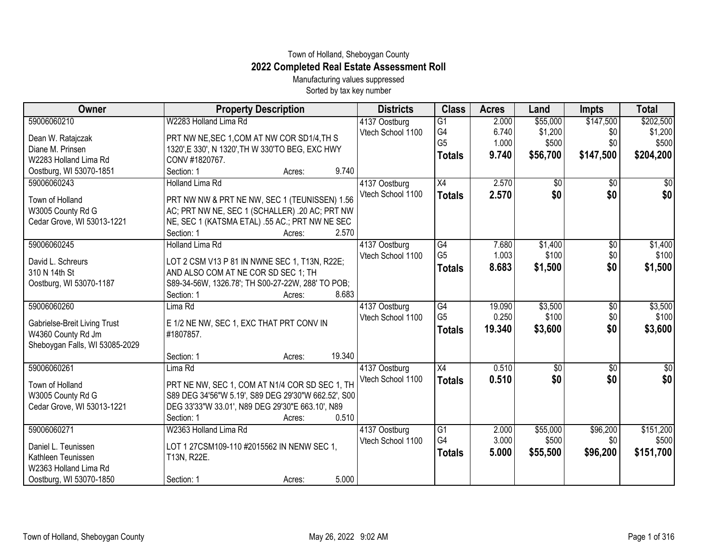## Town of Holland, Sheboygan County **2022 Completed Real Estate Assessment Roll**

Manufacturing values suppressed Sorted by tax key number

| W2283 Holland Lima Rd<br>59006060210<br>\$55,000<br>\$147,500<br>4137 Oostburg<br>$\overline{G1}$<br>2.000<br>G <sub>4</sub><br>6.740<br>\$1,200<br>\$0<br>Vtech School 1100<br>PRT NW NE, SEC 1, COM AT NW COR SD1/4, TH S<br>Dean W. Ratajczak<br>G <sub>5</sub><br>\$500<br>1.000<br>\$500<br>\$0<br>Diane M. Prinsen<br>1320', E 330', N 1320', TH W 330'TO BEG, EXC HWY<br>\$56,700<br>\$147,500<br>\$204,200<br>9.740<br><b>Totals</b><br>W2283 Holland Lima Rd<br>CONV #1820767.<br>9.740<br>Oostburg, WI 53070-1851<br>Section: 1<br>Acres:<br>59006060243<br><b>Holland Lima Rd</b><br>X4<br>2.570<br>$\overline{50}$<br>$\overline{50}$<br>4137 Oostburg<br>\$0<br>\$0<br>Vtech School 1100<br>2.570<br><b>Totals</b><br>Town of Holland<br>PRT NW NW & PRT NE NW, SEC 1 (TEUNISSEN) 1.56<br>W3005 County Rd G<br>AC; PRT NW NE, SEC 1 (SCHALLER) .20 AC; PRT NW<br>Cedar Grove, WI 53013-1221<br>NE, SEC 1 (KATSMA ETAL) .55 AC.; PRT NW NE SEC<br>Section: 1<br>2.570<br>Acres:<br>59006060245<br>\$1,400<br><b>Holland Lima Rd</b><br>4137 Oostburg<br>G4<br>7.680<br>\$0<br>\$100<br>\$0<br>G <sub>5</sub><br>1.003<br>Vtech School 1100<br>LOT 2 CSM V13 P 81 IN NWNE SEC 1, T13N, R22E;<br>David L. Schreurs<br>\$0<br>8.683<br>\$1,500<br><b>Totals</b><br>310 N 14th St<br>AND ALSO COM AT NE COR SD SEC 1; TH<br>Oostburg, WI 53070-1187<br>S89-34-56W, 1326.78'; TH S00-27-22W, 288' TO POB;<br>8.683 | Owner | <b>Property Description</b> | <b>Districts</b> | <b>Class</b> | <b>Acres</b> | Land | Impts | <b>Total</b> |
|---------------------------------------------------------------------------------------------------------------------------------------------------------------------------------------------------------------------------------------------------------------------------------------------------------------------------------------------------------------------------------------------------------------------------------------------------------------------------------------------------------------------------------------------------------------------------------------------------------------------------------------------------------------------------------------------------------------------------------------------------------------------------------------------------------------------------------------------------------------------------------------------------------------------------------------------------------------------------------------------------------------------------------------------------------------------------------------------------------------------------------------------------------------------------------------------------------------------------------------------------------------------------------------------------------------------------------------------------------------------------------------------------------------------------|-------|-----------------------------|------------------|--------------|--------------|------|-------|--------------|
|                                                                                                                                                                                                                                                                                                                                                                                                                                                                                                                                                                                                                                                                                                                                                                                                                                                                                                                                                                                                                                                                                                                                                                                                                                                                                                                                                                                                                           |       |                             |                  |              |              |      |       | \$202,500    |
|                                                                                                                                                                                                                                                                                                                                                                                                                                                                                                                                                                                                                                                                                                                                                                                                                                                                                                                                                                                                                                                                                                                                                                                                                                                                                                                                                                                                                           |       |                             |                  |              |              |      |       | \$1,200      |
|                                                                                                                                                                                                                                                                                                                                                                                                                                                                                                                                                                                                                                                                                                                                                                                                                                                                                                                                                                                                                                                                                                                                                                                                                                                                                                                                                                                                                           |       |                             |                  |              |              |      |       |              |
|                                                                                                                                                                                                                                                                                                                                                                                                                                                                                                                                                                                                                                                                                                                                                                                                                                                                                                                                                                                                                                                                                                                                                                                                                                                                                                                                                                                                                           |       |                             |                  |              |              |      |       |              |
|                                                                                                                                                                                                                                                                                                                                                                                                                                                                                                                                                                                                                                                                                                                                                                                                                                                                                                                                                                                                                                                                                                                                                                                                                                                                                                                                                                                                                           |       |                             |                  |              |              |      |       |              |
|                                                                                                                                                                                                                                                                                                                                                                                                                                                                                                                                                                                                                                                                                                                                                                                                                                                                                                                                                                                                                                                                                                                                                                                                                                                                                                                                                                                                                           |       |                             |                  |              |              |      |       | \$0          |
|                                                                                                                                                                                                                                                                                                                                                                                                                                                                                                                                                                                                                                                                                                                                                                                                                                                                                                                                                                                                                                                                                                                                                                                                                                                                                                                                                                                                                           |       |                             |                  |              |              |      |       | \$0          |
|                                                                                                                                                                                                                                                                                                                                                                                                                                                                                                                                                                                                                                                                                                                                                                                                                                                                                                                                                                                                                                                                                                                                                                                                                                                                                                                                                                                                                           |       |                             |                  |              |              |      |       |              |
|                                                                                                                                                                                                                                                                                                                                                                                                                                                                                                                                                                                                                                                                                                                                                                                                                                                                                                                                                                                                                                                                                                                                                                                                                                                                                                                                                                                                                           |       |                             |                  |              |              |      |       |              |
|                                                                                                                                                                                                                                                                                                                                                                                                                                                                                                                                                                                                                                                                                                                                                                                                                                                                                                                                                                                                                                                                                                                                                                                                                                                                                                                                                                                                                           |       |                             |                  |              |              |      |       |              |
|                                                                                                                                                                                                                                                                                                                                                                                                                                                                                                                                                                                                                                                                                                                                                                                                                                                                                                                                                                                                                                                                                                                                                                                                                                                                                                                                                                                                                           |       |                             |                  |              |              |      |       | \$1,400      |
|                                                                                                                                                                                                                                                                                                                                                                                                                                                                                                                                                                                                                                                                                                                                                                                                                                                                                                                                                                                                                                                                                                                                                                                                                                                                                                                                                                                                                           |       |                             |                  |              |              |      |       | \$100        |
|                                                                                                                                                                                                                                                                                                                                                                                                                                                                                                                                                                                                                                                                                                                                                                                                                                                                                                                                                                                                                                                                                                                                                                                                                                                                                                                                                                                                                           |       |                             |                  |              |              |      |       | \$1,500      |
|                                                                                                                                                                                                                                                                                                                                                                                                                                                                                                                                                                                                                                                                                                                                                                                                                                                                                                                                                                                                                                                                                                                                                                                                                                                                                                                                                                                                                           |       |                             |                  |              |              |      |       |              |
|                                                                                                                                                                                                                                                                                                                                                                                                                                                                                                                                                                                                                                                                                                                                                                                                                                                                                                                                                                                                                                                                                                                                                                                                                                                                                                                                                                                                                           |       | Section: 1<br>Acres:        |                  |              |              |      |       |              |
| \$3,500<br>59006060260<br>Lima Rd<br>4137 Oostburg<br>G4<br>19.090<br>\$0                                                                                                                                                                                                                                                                                                                                                                                                                                                                                                                                                                                                                                                                                                                                                                                                                                                                                                                                                                                                                                                                                                                                                                                                                                                                                                                                                 |       |                             |                  |              |              |      |       | \$3,500      |
| G <sub>5</sub><br>0.250<br>\$100<br>\$0<br>Vtech School 1100<br>Gabrielse-Breit Living Trust<br>E 1/2 NE NW, SEC 1, EXC THAT PRT CONV IN                                                                                                                                                                                                                                                                                                                                                                                                                                                                                                                                                                                                                                                                                                                                                                                                                                                                                                                                                                                                                                                                                                                                                                                                                                                                                  |       |                             |                  |              |              |      |       | \$100        |
| \$0<br>19.340<br>\$3,600<br><b>Totals</b><br>W4360 County Rd Jm<br>#1807857.                                                                                                                                                                                                                                                                                                                                                                                                                                                                                                                                                                                                                                                                                                                                                                                                                                                                                                                                                                                                                                                                                                                                                                                                                                                                                                                                              |       |                             |                  |              |              |      |       | \$3,600      |
| Sheboygan Falls, WI 53085-2029                                                                                                                                                                                                                                                                                                                                                                                                                                                                                                                                                                                                                                                                                                                                                                                                                                                                                                                                                                                                                                                                                                                                                                                                                                                                                                                                                                                            |       |                             |                  |              |              |      |       |              |
| 19.340<br>Section: 1<br>Acres:                                                                                                                                                                                                                                                                                                                                                                                                                                                                                                                                                                                                                                                                                                                                                                                                                                                                                                                                                                                                                                                                                                                                                                                                                                                                                                                                                                                            |       |                             |                  |              |              |      |       |              |
| 59006060261<br>Lima Rd<br>X4<br>0.510<br>\$0<br>\$0<br>4137 Oostburg                                                                                                                                                                                                                                                                                                                                                                                                                                                                                                                                                                                                                                                                                                                                                                                                                                                                                                                                                                                                                                                                                                                                                                                                                                                                                                                                                      |       |                             |                  |              |              |      |       | \$0          |
| \$0<br>Vtech School 1100<br>\$0<br>0.510<br><b>Totals</b><br>PRT NE NW, SEC 1, COM AT N1/4 COR SD SEC 1, TH<br>Town of Holland                                                                                                                                                                                                                                                                                                                                                                                                                                                                                                                                                                                                                                                                                                                                                                                                                                                                                                                                                                                                                                                                                                                                                                                                                                                                                            |       |                             |                  |              |              |      |       | \$0          |
| W3005 County Rd G<br>S89 DEG 34'56"W 5.19', S89 DEG 29'30"W 662.52', S00                                                                                                                                                                                                                                                                                                                                                                                                                                                                                                                                                                                                                                                                                                                                                                                                                                                                                                                                                                                                                                                                                                                                                                                                                                                                                                                                                  |       |                             |                  |              |              |      |       |              |
| Cedar Grove, WI 53013-1221<br>DEG 33'33"W 33.01', N89 DEG 29'30"E 663.10', N89                                                                                                                                                                                                                                                                                                                                                                                                                                                                                                                                                                                                                                                                                                                                                                                                                                                                                                                                                                                                                                                                                                                                                                                                                                                                                                                                            |       |                             |                  |              |              |      |       |              |
| 0.510<br>Section: 1<br>Acres:                                                                                                                                                                                                                                                                                                                                                                                                                                                                                                                                                                                                                                                                                                                                                                                                                                                                                                                                                                                                                                                                                                                                                                                                                                                                                                                                                                                             |       |                             |                  |              |              |      |       |              |
| 59006060271<br>W2363 Holland Lima Rd<br>\$55,000<br>\$96,200<br>G1<br>2.000<br>4137 Oostburg                                                                                                                                                                                                                                                                                                                                                                                                                                                                                                                                                                                                                                                                                                                                                                                                                                                                                                                                                                                                                                                                                                                                                                                                                                                                                                                              |       |                             |                  |              |              |      |       | \$151,200    |
| G <sub>4</sub><br>3.000<br>Vtech School 1100<br>\$500<br>\$0                                                                                                                                                                                                                                                                                                                                                                                                                                                                                                                                                                                                                                                                                                                                                                                                                                                                                                                                                                                                                                                                                                                                                                                                                                                                                                                                                              |       |                             |                  |              |              |      |       | \$500        |
| LOT 1 27CSM109-110 #2015562 IN NENW SEC 1,<br>Daniel L. Teunissen<br>\$96,200<br>5.000<br>\$55,500<br><b>Totals</b>                                                                                                                                                                                                                                                                                                                                                                                                                                                                                                                                                                                                                                                                                                                                                                                                                                                                                                                                                                                                                                                                                                                                                                                                                                                                                                       |       |                             |                  |              |              |      |       | \$151,700    |
| Kathleen Teunissen<br>T13N, R22E.<br>W2363 Holland Lima Rd                                                                                                                                                                                                                                                                                                                                                                                                                                                                                                                                                                                                                                                                                                                                                                                                                                                                                                                                                                                                                                                                                                                                                                                                                                                                                                                                                                |       |                             |                  |              |              |      |       |              |
| 5.000<br>Oostburg, WI 53070-1850<br>Section: 1<br>Acres:                                                                                                                                                                                                                                                                                                                                                                                                                                                                                                                                                                                                                                                                                                                                                                                                                                                                                                                                                                                                                                                                                                                                                                                                                                                                                                                                                                  |       |                             |                  |              |              |      |       |              |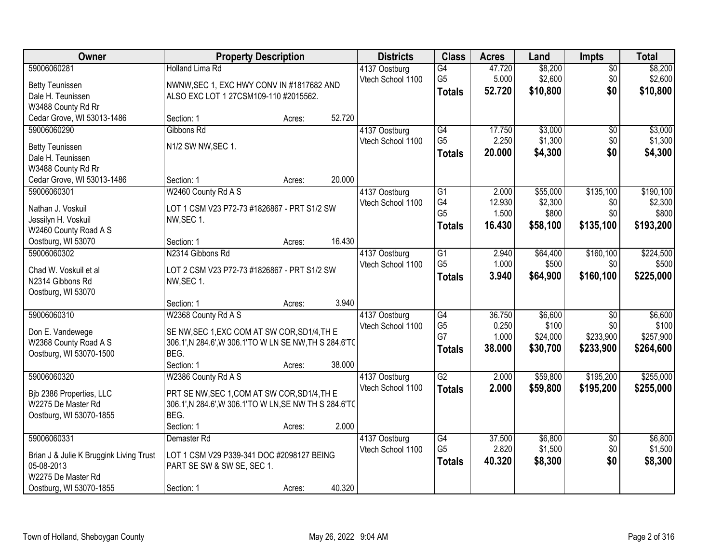| Owner                                       | <b>Property Description</b>                            |        |        | <b>Districts</b>                   | <b>Class</b>                      | <b>Acres</b>   | Land              | <b>Impts</b>     | <b>Total</b>       |
|---------------------------------------------|--------------------------------------------------------|--------|--------|------------------------------------|-----------------------------------|----------------|-------------------|------------------|--------------------|
| 59006060281                                 | <b>Holland Lima Rd</b>                                 |        |        | 4137 Oostburg                      | $\overline{G4}$                   | 47.720         | \$8,200           | $\overline{30}$  | \$8,200            |
| <b>Betty Teunissen</b>                      | NWNW, SEC 1, EXC HWY CONV IN #1817682 AND              |        |        | Vtech School 1100                  | G <sub>5</sub>                    | 5.000          | \$2,600           | \$0              | \$2,600            |
| Dale H. Teunissen                           | ALSO EXC LOT 1 27CSM109-110 #2015562.                  |        |        |                                    | <b>Totals</b>                     | 52.720         | \$10,800          | \$0              | \$10,800           |
| W3488 County Rd Rr                          |                                                        |        |        |                                    |                                   |                |                   |                  |                    |
| Cedar Grove, WI 53013-1486                  | Section: 1                                             | Acres: | 52.720 |                                    |                                   |                |                   |                  |                    |
| 59006060290                                 | Gibbons Rd                                             |        |        | 4137 Oostburg                      | G4                                | 17.750         | \$3,000           | \$0              | \$3,000            |
|                                             | N1/2 SW NW, SEC 1.                                     |        |        | Vtech School 1100                  | G <sub>5</sub>                    | 2.250          | \$1,300           | \$0              | \$1,300            |
| <b>Betty Teunissen</b><br>Dale H. Teunissen |                                                        |        |        |                                    | <b>Totals</b>                     | 20.000         | \$4,300           | \$0              | \$4,300            |
| W3488 County Rd Rr                          |                                                        |        |        |                                    |                                   |                |                   |                  |                    |
| Cedar Grove, WI 53013-1486                  | Section: 1                                             | Acres: | 20.000 |                                    |                                   |                |                   |                  |                    |
| 59006060301                                 | W2460 County Rd A S                                    |        |        | 4137 Oostburg                      | $\overline{G1}$                   | 2.000          | \$55,000          | \$135,100        | \$190,100          |
|                                             |                                                        |        |        | Vtech School 1100                  | G4                                | 12.930         | \$2,300           | \$0              | \$2,300            |
| Nathan J. Voskuil                           | LOT 1 CSM V23 P72-73 #1826867 - PRT S1/2 SW            |        |        |                                    | G <sub>5</sub>                    | 1.500          | \$800             | \$0              | \$800              |
| Jessilyn H. Voskuil                         | NW, SEC 1.                                             |        |        |                                    | <b>Totals</b>                     | 16.430         | \$58,100          | \$135,100        | \$193,200          |
| W2460 County Road A S                       |                                                        |        |        |                                    |                                   |                |                   |                  |                    |
| Oostburg, WI 53070                          | Section: 1                                             | Acres: | 16.430 |                                    |                                   |                |                   |                  |                    |
| 59006060302                                 | N2314 Gibbons Rd                                       |        |        | 4137 Oostburg<br>Vtech School 1100 | $\overline{G1}$<br>G <sub>5</sub> | 2.940<br>1.000 | \$64,400<br>\$500 | \$160,100<br>\$0 | \$224,500<br>\$500 |
| Chad W. Voskuil et al                       | LOT 2 CSM V23 P72-73 #1826867 - PRT S1/2 SW            |        |        |                                    |                                   |                |                   |                  |                    |
| N2314 Gibbons Rd                            | NW, SEC 1.                                             |        |        |                                    | <b>Totals</b>                     | 3.940          | \$64,900          | \$160,100        | \$225,000          |
| Oostburg, WI 53070                          |                                                        |        |        |                                    |                                   |                |                   |                  |                    |
|                                             | Section: 1                                             | Acres: | 3.940  |                                    |                                   |                |                   |                  |                    |
| 59006060310                                 | W2368 County Rd A S                                    |        |        | 4137 Oostburg                      | G4                                | 36.750         | \$6,600           | $\overline{30}$  | \$6,600            |
| Don E. Vandewege                            | SE NW, SEC 1, EXC COM AT SW COR, SD1/4, TH E           |        |        | Vtech School 1100                  | G <sub>5</sub>                    | 0.250          | \$100             | \$0              | \$100              |
| W2368 County Road A S                       | 306.1', N 284.6', W 306.1'TO W LN SE NW, TH S 284.6'TO |        |        |                                    | G7                                | 1.000          | \$24,000          | \$233,900        | \$257,900          |
| Oostburg, WI 53070-1500                     | BEG.                                                   |        |        |                                    | <b>Totals</b>                     | 38.000         | \$30,700          | \$233,900        | \$264,600          |
|                                             | Section: 1                                             | Acres: | 38.000 |                                    |                                   |                |                   |                  |                    |
| 59006060320                                 | W2386 County Rd A S                                    |        |        | 4137 Oostburg                      | $\overline{G2}$                   | 2.000          | \$59,800          | \$195,200        | \$255,000          |
| Bjb 2386 Properties, LLC                    | PRT SE NW, SEC 1, COM AT SW COR, SD1/4, TH E           |        |        | Vtech School 1100                  | <b>Totals</b>                     | 2.000          | \$59,800          | \$195,200        | \$255,000          |
| W2275 De Master Rd                          | 306.1', N 284.6', W 306.1'TO W LN, SE NW TH S 284.6'TO |        |        |                                    |                                   |                |                   |                  |                    |
| Oostburg, WI 53070-1855                     | BEG.                                                   |        |        |                                    |                                   |                |                   |                  |                    |
|                                             | Section: 1                                             | Acres: | 2.000  |                                    |                                   |                |                   |                  |                    |
| 59006060331                                 | Demaster <sub>Rd</sub>                                 |        |        | 4137 Oostburg                      | G4                                | 37.500         | \$6,800           | $\overline{30}$  | \$6,800            |
| Brian J & Julie K Bruggink Living Trust     | LOT 1 CSM V29 P339-341 DOC #2098127 BEING              |        |        | Vtech School 1100                  | G <sub>5</sub>                    | 2.820          | \$1,500           | \$0              | \$1,500            |
| 05-08-2013                                  | PART SE SW & SW SE, SEC 1.                             |        |        |                                    | <b>Totals</b>                     | 40.320         | \$8,300           | \$0              | \$8,300            |
| W2275 De Master Rd                          |                                                        |        |        |                                    |                                   |                |                   |                  |                    |
| Oostburg, WI 53070-1855                     | Section: 1                                             | Acres: | 40.320 |                                    |                                   |                |                   |                  |                    |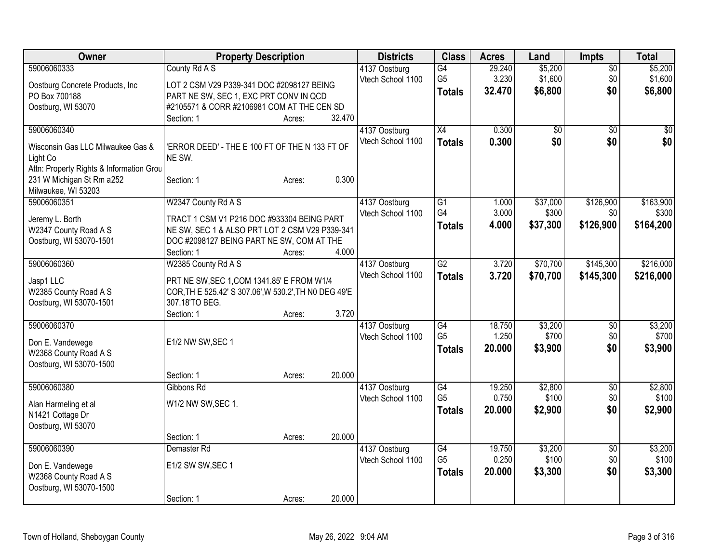| Owner                                         | <b>Property Description</b>                              |        |        | <b>Districts</b>  | <b>Class</b>         | <b>Acres</b>    | Land            | <b>Impts</b>    | <b>Total</b> |
|-----------------------------------------------|----------------------------------------------------------|--------|--------|-------------------|----------------------|-----------------|-----------------|-----------------|--------------|
| 59006060333                                   | County Rd A S                                            |        |        | 4137 Oostburg     | $\overline{G4}$      | 29.240          | \$5,200         | $\overline{50}$ | \$5,200      |
| Oostburg Concrete Products, Inc               | LOT 2 CSM V29 P339-341 DOC #2098127 BEING                |        |        | Vtech School 1100 | G <sub>5</sub>       | 3.230           | \$1,600         | \$0             | \$1,600      |
| PO Box 700188                                 | PART NE SW, SEC 1, EXC PRT CONV IN QCD                   |        |        |                   | <b>Totals</b>        | 32.470          | \$6,800         | \$0             | \$6,800      |
| Oostburg, WI 53070                            | #2105571 & CORR #2106981 COM AT THE CEN SD               |        |        |                   |                      |                 |                 |                 |              |
|                                               | Section: 1                                               | Acres: | 32.470 |                   |                      |                 |                 |                 |              |
| 59006060340                                   |                                                          |        |        | 4137 Oostburg     | X4                   | 0.300           | $\overline{50}$ | $\overline{50}$ | \$0          |
|                                               |                                                          |        |        | Vtech School 1100 | <b>Totals</b>        | 0.300           | \$0             | \$0             | \$0          |
| Wisconsin Gas LLC Milwaukee Gas &<br>Light Co | 'ERROR DEED' - THE E 100 FT OF THE N 133 FT OF<br>NE SW. |        |        |                   |                      |                 |                 |                 |              |
| Attn: Property Rights & Information Grou      |                                                          |        |        |                   |                      |                 |                 |                 |              |
| 231 W Michigan St Rm a252                     | Section: 1                                               | Acres: | 0.300  |                   |                      |                 |                 |                 |              |
| Milwaukee, WI 53203                           |                                                          |        |        |                   |                      |                 |                 |                 |              |
| 59006060351                                   | W2347 County Rd A S                                      |        |        | 4137 Oostburg     | G1                   | 1.000           | \$37,000        | \$126,900       | \$163,900    |
|                                               |                                                          |        |        | Vtech School 1100 | G4                   | 3.000           | \$300           | \$0             | \$300        |
| Jeremy L. Borth                               | TRACT 1 CSM V1 P216 DOC #933304 BEING PART               |        |        |                   | <b>Totals</b>        | 4.000           | \$37,300        | \$126,900       | \$164,200    |
| W2347 County Road A S                         | NE SW, SEC 1 & ALSO PRT LOT 2 CSM V29 P339-341           |        |        |                   |                      |                 |                 |                 |              |
| Oostburg, WI 53070-1501                       | DOC #2098127 BEING PART NE SW, COM AT THE                |        |        |                   |                      |                 |                 |                 |              |
|                                               | Section: 1                                               | Acres: | 4.000  |                   |                      |                 |                 |                 |              |
| 59006060360                                   | W2385 County Rd A S                                      |        |        | 4137 Oostburg     | G2                   | 3.720           | \$70,700        | \$145,300       | \$216,000    |
| Jasp1 LLC                                     | PRT NE SW, SEC 1, COM 1341.85' E FROM W1/4               |        |        | Vtech School 1100 | <b>Totals</b>        | 3.720           | \$70,700        | \$145,300       | \$216,000    |
| W2385 County Road A S                         | COR, TH E 525.42' S 307.06', W 530.2', TH NO DEG 49'E    |        |        |                   |                      |                 |                 |                 |              |
| Oostburg, WI 53070-1501                       | 307.18'TO BEG.                                           |        |        |                   |                      |                 |                 |                 |              |
|                                               | Section: 1                                               | Acres: | 3.720  |                   |                      |                 |                 |                 |              |
| 59006060370                                   |                                                          |        |        | 4137 Oostburg     | G4                   | 18.750          | \$3,200         | \$0             | \$3,200      |
| Don E. Vandewege                              | E1/2 NW SW, SEC 1                                        |        |        | Vtech School 1100 | G <sub>5</sub>       | 1.250           | \$700           | \$0             | \$700        |
| W2368 County Road A S                         |                                                          |        |        |                   | <b>Totals</b>        | 20.000          | \$3,900         | \$0             | \$3,900      |
| Oostburg, WI 53070-1500                       |                                                          |        |        |                   |                      |                 |                 |                 |              |
|                                               | Section: 1                                               | Acres: | 20.000 |                   |                      |                 |                 |                 |              |
| 59006060380                                   | Gibbons Rd                                               |        |        | 4137 Oostburg     | G4                   | 19.250          | \$2,800         | $\overline{50}$ | \$2,800      |
|                                               |                                                          |        |        | Vtech School 1100 | G <sub>5</sub>       | 0.750           | \$100           | \$0             | \$100        |
| Alan Harmeling et al                          | W1/2 NW SW, SEC 1.                                       |        |        |                   | <b>Totals</b>        | 20.000          | \$2,900         | \$0             | \$2,900      |
| N1421 Cottage Dr                              |                                                          |        |        |                   |                      |                 |                 |                 |              |
| Oostburg, WI 53070                            |                                                          |        |        |                   |                      |                 |                 |                 |              |
|                                               | Section: 1                                               | Acres: | 20.000 |                   |                      |                 |                 |                 |              |
| 59006060390                                   | Demaster Rd                                              |        |        | 4137 Oostburg     | G4<br>G <sub>5</sub> | 19.750<br>0.250 | \$3,200         | $\overline{50}$ | \$3,200      |
| Don E. Vandewege                              | E1/2 SW SW, SEC 1                                        |        |        | Vtech School 1100 |                      |                 | \$100           | \$0             | \$100        |
| W2368 County Road A S                         |                                                          |        |        |                   | <b>Totals</b>        | 20.000          | \$3,300         | \$0             | \$3,300      |
| Oostburg, WI 53070-1500                       |                                                          |        |        |                   |                      |                 |                 |                 |              |
|                                               | Section: 1                                               | Acres: | 20.000 |                   |                      |                 |                 |                 |              |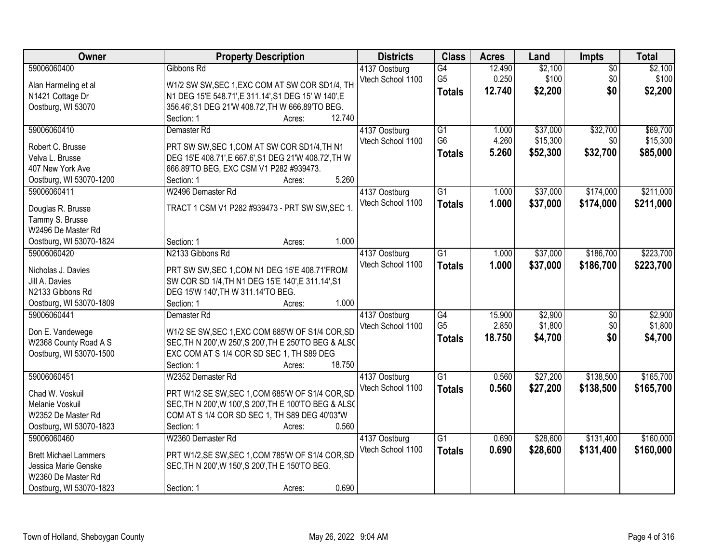| Owner                               | <b>Property Description</b>                                                                           | <b>Districts</b>  | <b>Class</b>    | <b>Acres</b> | Land     | <b>Impts</b>    | <b>Total</b> |
|-------------------------------------|-------------------------------------------------------------------------------------------------------|-------------------|-----------------|--------------|----------|-----------------|--------------|
| 59006060400                         | Gibbons Rd                                                                                            | 4137 Oostburg     | $\overline{G4}$ | 12.490       | \$2,100  | $\overline{50}$ | \$2,100      |
| Alan Harmeling et al                | W1/2 SW SW, SEC 1, EXC COM AT SW COR SD1/4, TH                                                        | Vtech School 1100 | G <sub>5</sub>  | 0.250        | \$100    | \$0             | \$100        |
| N1421 Cottage Dr                    | N1 DEG 15'E 548.71', E 311.14', S1 DEG 15' W 140', E                                                  |                   | <b>Totals</b>   | 12.740       | \$2,200  | \$0             | \$2,200      |
| Oostburg, WI 53070                  | 356.46', S1 DEG 21'W 408.72', TH W 666.89'TO BEG.                                                     |                   |                 |              |          |                 |              |
|                                     | Section: 1<br>12.740<br>Acres:                                                                        |                   |                 |              |          |                 |              |
| 59006060410                         | Demaster Rd                                                                                           | 4137 Oostburg     | $\overline{G1}$ | 1.000        | \$37,000 | \$32,700        | \$69,700     |
|                                     |                                                                                                       | Vtech School 1100 | G <sub>6</sub>  | 4.260        | \$15,300 | \$0             | \$15,300     |
| Robert C. Brusse<br>Velva L. Brusse | PRT SW SW, SEC 1, COM AT SW COR SD1/4, TH N1<br>DEG 15'E 408.71', E 667.6', S1 DEG 21'W 408.72', TH W |                   | <b>Totals</b>   | 5.260        | \$52,300 | \$32,700        | \$85,000     |
| 407 New York Ave                    | 666.89'TO BEG, EXC CSM V1 P282 #939473.                                                               |                   |                 |              |          |                 |              |
| Oostburg, WI 53070-1200             | 5.260<br>Section: 1<br>Acres:                                                                         |                   |                 |              |          |                 |              |
| 59006060411                         | W2496 Demaster Rd                                                                                     | 4137 Oostburg     | $\overline{G1}$ | 1.000        | \$37,000 | \$174,000       | \$211,000    |
|                                     |                                                                                                       | Vtech School 1100 |                 |              |          |                 |              |
| Douglas R. Brusse                   | TRACT 1 CSM V1 P282 #939473 - PRT SW SW, SEC 1.                                                       |                   | <b>Totals</b>   | 1.000        | \$37,000 | \$174,000       | \$211,000    |
| Tammy S. Brusse                     |                                                                                                       |                   |                 |              |          |                 |              |
| W2496 De Master Rd                  |                                                                                                       |                   |                 |              |          |                 |              |
| Oostburg, WI 53070-1824             | 1.000<br>Section: 1<br>Acres:                                                                         |                   |                 |              |          |                 |              |
| 59006060420                         | N2133 Gibbons Rd                                                                                      | 4137 Oostburg     | $\overline{G1}$ | 1.000        | \$37,000 | \$186,700       | \$223,700    |
| Nicholas J. Davies                  | PRT SW SW, SEC 1, COM N1 DEG 15'E 408.71'FROM                                                         | Vtech School 1100 | <b>Totals</b>   | 1.000        | \$37,000 | \$186,700       | \$223,700    |
| Jill A. Davies                      | SW COR SD 1/4, TH N1 DEG 15'E 140', E 311.14', S1                                                     |                   |                 |              |          |                 |              |
| N2133 Gibbons Rd                    | DEG 15'W 140', TH W 311.14'TO BEG.                                                                    |                   |                 |              |          |                 |              |
| Oostburg, WI 53070-1809             | 1.000<br>Section: 1<br>Acres:                                                                         |                   |                 |              |          |                 |              |
| 59006060441                         | Demaster <sub>Rd</sub>                                                                                | 4137 Oostburg     | $\overline{G4}$ | 15.900       | \$2,900  | $\overline{50}$ | \$2,900      |
|                                     |                                                                                                       | Vtech School 1100 | G <sub>5</sub>  | 2.850        | \$1,800  | \$0             | \$1,800      |
| Don E. Vandewege                    | W1/2 SE SW, SEC 1, EXC COM 685'W OF S1/4 COR, SD                                                      |                   | <b>Totals</b>   | 18.750       | \$4,700  | \$0             | \$4,700      |
| W2368 County Road A S               | SEC, TH N 200', W 250', S 200', TH E 250'TO BEG & ALSO                                                |                   |                 |              |          |                 |              |
| Oostburg, WI 53070-1500             | EXC COM AT S 1/4 COR SD SEC 1, TH S89 DEG                                                             |                   |                 |              |          |                 |              |
|                                     | 18.750<br>Section: 1<br>Acres:                                                                        |                   |                 |              |          |                 |              |
| 59006060451                         | W2352 Demaster Rd                                                                                     | 4137 Oostburg     | $\overline{G1}$ | 0.560        | \$27,200 | \$138,500       | \$165,700    |
| Chad W. Voskuil                     | PRT W1/2 SE SW, SEC 1, COM 685'W OF S1/4 COR, SD                                                      | Vtech School 1100 | <b>Totals</b>   | 0.560        | \$27,200 | \$138,500       | \$165,700    |
| Melanie Voskuil                     | SEC, TH N 200', W 100', S 200', TH E 100'TO BEG & ALS(                                                |                   |                 |              |          |                 |              |
| W2352 De Master Rd                  | COM AT S 1/4 COR SD SEC 1, TH S89 DEG 40'03"W                                                         |                   |                 |              |          |                 |              |
| Oostburg, WI 53070-1823             | 0.560<br>Section: 1<br>Acres:                                                                         |                   |                 |              |          |                 |              |
| 59006060460                         | W2360 Demaster Rd                                                                                     | 4137 Oostburg     | $\overline{G1}$ | 0.690        | \$28,600 | \$131,400       | \$160,000    |
|                                     |                                                                                                       | Vtech School 1100 | <b>Totals</b>   | 0.690        | \$28,600 | \$131,400       | \$160,000    |
| <b>Brett Michael Lammers</b>        | PRT W1/2,SE SW,SEC 1,COM 785'W OF S1/4 COR,SD                                                         |                   |                 |              |          |                 |              |
| Jessica Marie Genske                | SEC, TH N 200', W 150', S 200', TH E 150'TO BEG.                                                      |                   |                 |              |          |                 |              |
| W2360 De Master Rd                  |                                                                                                       |                   |                 |              |          |                 |              |
| Oostburg, WI 53070-1823             | 0.690<br>Section: 1<br>Acres:                                                                         |                   |                 |              |          |                 |              |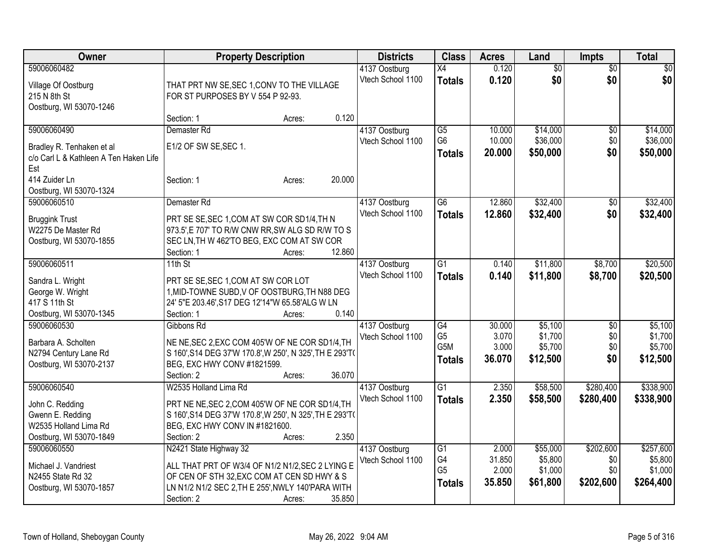| Owner                                                                                                  | <b>Property Description</b>                                                                                                                                                                                      | <b>Districts</b>                   | <b>Class</b>                                              | <b>Acres</b>                       | Land                                       | <b>Impts</b>                         | <b>Total</b>                                 |
|--------------------------------------------------------------------------------------------------------|------------------------------------------------------------------------------------------------------------------------------------------------------------------------------------------------------------------|------------------------------------|-----------------------------------------------------------|------------------------------------|--------------------------------------------|--------------------------------------|----------------------------------------------|
| 59006060482<br>Village Of Oostburg<br>215 N 8th St<br>Oostburg, WI 53070-1246                          | THAT PRT NW SE, SEC 1, CONV TO THE VILLAGE<br>FOR ST PURPOSES BY V 554 P 92-93.                                                                                                                                  | 4137 Oostburg<br>Vtech School 1100 | X4<br><b>Totals</b>                                       | 0.120<br>0.120                     | $\overline{50}$<br>\$0                     | $\overline{50}$<br>\$0               | $\sqrt{30}$<br>\$0                           |
|                                                                                                        | 0.120<br>Section: 1<br>Acres:                                                                                                                                                                                    |                                    |                                                           |                                    |                                            |                                      |                                              |
| 59006060490<br>Bradley R. Tenhaken et al<br>c/o Carl L & Kathleen A Ten Haken Life<br>Est              | Demaster Rd<br>E1/2 OF SW SE, SEC 1.                                                                                                                                                                             | 4137 Oostburg<br>Vtech School 1100 | $\overline{G5}$<br>G <sub>6</sub><br><b>Totals</b>        | 10.000<br>10.000<br>20.000         | \$14,000<br>\$36,000<br>\$50,000           | \$0<br>\$0<br>\$0                    | \$14,000<br>\$36,000<br>\$50,000             |
| 414 Zuider Ln<br>Oostburg, WI 53070-1324                                                               | 20.000<br>Section: 1<br>Acres:                                                                                                                                                                                   |                                    |                                                           |                                    |                                            |                                      |                                              |
| 59006060510<br><b>Bruggink Trust</b><br>W2275 De Master Rd<br>Oostburg, WI 53070-1855                  | Demaster Rd<br>PRT SE SE, SEC 1, COM AT SW COR SD1/4, TH N<br>973.5', E 707' TO R/W CNW RR, SW ALG SD R/W TO S<br>SEC LN, TH W 462'TO BEG, EXC COM AT SW COR<br>12.860<br>Section: 1<br>Acres:                   | 4137 Oostburg<br>Vtech School 1100 | $\overline{G6}$<br><b>Totals</b>                          | 12.860<br>12.860                   | \$32,400<br>\$32,400                       | $\sqrt[6]{30}$<br>\$0                | \$32,400<br>\$32,400                         |
| 59006060511<br>Sandra L. Wright<br>George W. Wright<br>417 S 11th St<br>Oostburg, WI 53070-1345        | $11th$ St<br>PRT SE SE, SEC 1, COM AT SW COR LOT<br>1, MID-TOWNE SUBD, V OF OOSTBURG, TH N88 DEG<br>24' 5"E 203.46', S17 DEG 12'14"W 65.58'ALG W LN<br>0.140<br>Section: 1<br>Acres:                             | 4137 Oostburg<br>Vtech School 1100 | G <sub>1</sub><br><b>Totals</b>                           | 0.140<br>0.140                     | \$11,800<br>\$11,800                       | \$8,700<br>\$8,700                   | \$20,500<br>\$20,500                         |
| 59006060530<br>Barbara A. Scholten<br>N2794 Century Lane Rd<br>Oostburg, WI 53070-2137                 | Gibbons Rd<br>NE NE, SEC 2, EXC COM 405'W OF NE COR SD1/4, TH<br>S 160', S14 DEG 37'W 170.8', W 250', N 325', TH E 293'T(<br>BEG, EXC HWY CONV #1821599.<br>36.070<br>Section: 2<br>Acres:                       | 4137 Oostburg<br>Vtech School 1100 | $\overline{G4}$<br>G <sub>5</sub><br>G5M<br><b>Totals</b> | 30.000<br>3.070<br>3.000<br>36.070 | \$5,100<br>\$1,700<br>\$5,700<br>\$12,500  | \$0<br>\$0<br>\$0<br>\$0             | \$5,100<br>\$1,700<br>\$5,700<br>\$12,500    |
| 59006060540<br>John C. Redding<br>Gwenn E. Redding<br>W2535 Holland Lima Rd<br>Oostburg, WI 53070-1849 | W2535 Holland Lima Rd<br>PRT NE NE, SEC 2, COM 405'W OF NE COR SD1/4, TH<br>S 160', S14 DEG 37'W 170.8', W 250', N 325', TH E 293'T(<br>BEG, EXC HWY CONV IN #1821600.<br>2.350<br>Section: 2<br>Acres:          | 4137 Oostburg<br>Vtech School 1100 | $\overline{G1}$<br><b>Totals</b>                          | 2.350<br>2.350                     | \$58,500<br>\$58,500                       | \$280,400<br>\$280,400               | \$338,900<br>\$338,900                       |
| 59006060550<br>Michael J. Vandriest<br>N2455 State Rd 32<br>Oostburg, WI 53070-1857                    | N2421 State Highway 32<br>ALL THAT PRT OF W3/4 OF N1/2 N1/2, SEC 2 LYING E<br>OF CEN OF STH 32, EXC COM AT CEN SD HWY & S<br>LN N1/2 N1/2 SEC 2, TH E 255', NWLY 140'PARA WITH<br>35.850<br>Section: 2<br>Acres: | 4137 Oostburg<br>Vtech School 1100 | $\overline{G1}$<br>G4<br>G <sub>5</sub><br><b>Totals</b>  | 2.000<br>31.850<br>2.000<br>35.850 | \$55,000<br>\$5,800<br>\$1,000<br>\$61,800 | \$202,600<br>\$0<br>\$0<br>\$202,600 | \$257,600<br>\$5,800<br>\$1,000<br>\$264,400 |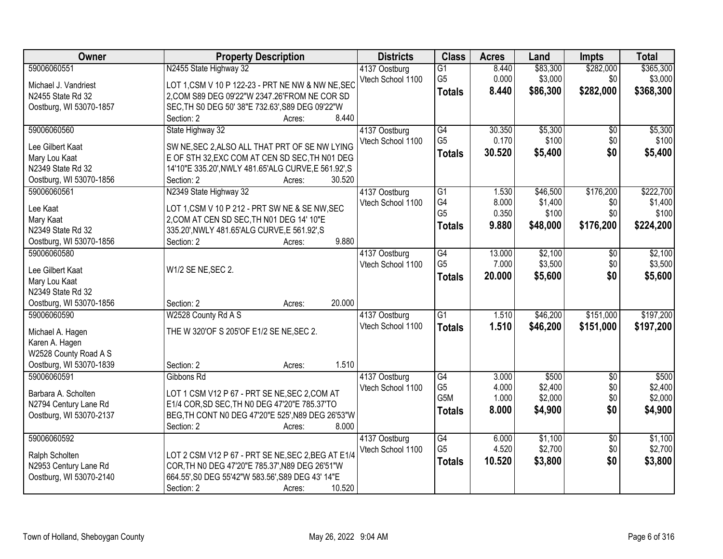| Owner                              | <b>Property Description</b>                                                                            | <b>Districts</b>  | <b>Class</b>    | <b>Acres</b> | Land     | Impts           | <b>Total</b> |
|------------------------------------|--------------------------------------------------------------------------------------------------------|-------------------|-----------------|--------------|----------|-----------------|--------------|
| 59006060551                        | N2455 State Highway 32                                                                                 | 4137 Oostburg     | $\overline{G1}$ | 8.440        | \$83,300 | \$282,000       | \$365,300    |
| Michael J. Vandriest               | LOT 1, CSM V 10 P 122-23 - PRT NE NW & NW NE, SEC                                                      | Vtech School 1100 | G <sub>5</sub>  | 0.000        | \$3,000  | \$0             | \$3,000      |
| N2455 State Rd 32                  | 2, COM S89 DEG 09'22"W 2347.26'FROM NE COR SD                                                          |                   | <b>Totals</b>   | 8.440        | \$86,300 | \$282,000       | \$368,300    |
| Oostburg, WI 53070-1857            | SEC, TH S0 DEG 50' 38"E 732.63', S89 DEG 09'22"W                                                       |                   |                 |              |          |                 |              |
|                                    | 8.440<br>Section: 2<br>Acres:                                                                          |                   |                 |              |          |                 |              |
| 59006060560                        | State Highway 32                                                                                       | 4137 Oostburg     | G4              | 30.350       | \$5,300  | $\overline{50}$ | \$5,300      |
|                                    |                                                                                                        | Vtech School 1100 | G <sub>5</sub>  | 0.170        | \$100    | \$0             | \$100        |
| Lee Gilbert Kaat                   | SW NE, SEC 2, ALSO ALL THAT PRT OF SE NW LYING                                                         |                   | <b>Totals</b>   | 30.520       | \$5,400  | \$0             | \$5,400      |
| Mary Lou Kaat<br>N2349 State Rd 32 | E OF STH 32, EXC COM AT CEN SD SEC, TH N01 DEG<br>14'10"E 335.20', NWLY 481.65'ALG CURVE, E 561.92', S |                   |                 |              |          |                 |              |
| Oostburg, WI 53070-1856            | 30.520<br>Section: 2<br>Acres:                                                                         |                   |                 |              |          |                 |              |
| 59006060561                        | N2349 State Highway 32                                                                                 | 4137 Oostburg     | G1              | 1.530        | \$46,500 | \$176,200       | \$222,700    |
|                                    |                                                                                                        | Vtech School 1100 | G4              | 8.000        | \$1,400  | \$0             | \$1,400      |
| Lee Kaat                           | LOT 1, CSM V 10 P 212 - PRT SW NE & SE NW, SEC                                                         |                   | G <sub>5</sub>  | 0.350        | \$100    | \$0             | \$100        |
| Mary Kaat                          | 2, COM AT CEN SD SEC, TH N01 DEG 14' 10"E                                                              |                   |                 |              |          |                 |              |
| N2349 State Rd 32                  | 335.20', NWLY 481.65' ALG CURVE, E 561.92', S                                                          |                   | <b>Totals</b>   | 9.880        | \$48,000 | \$176,200       | \$224,200    |
| Oostburg, WI 53070-1856            | 9.880<br>Section: 2<br>Acres:                                                                          |                   |                 |              |          |                 |              |
| 59006060580                        |                                                                                                        | 4137 Oostburg     | G4              | 13.000       | \$2,100  | $\sqrt{6}$      | \$2,100      |
| Lee Gilbert Kaat                   | W1/2 SE NE, SEC 2.                                                                                     | Vtech School 1100 | G <sub>5</sub>  | 7.000        | \$3,500  | \$0             | \$3,500      |
| Mary Lou Kaat                      |                                                                                                        |                   | <b>Totals</b>   | 20.000       | \$5,600  | \$0             | \$5,600      |
| N2349 State Rd 32                  |                                                                                                        |                   |                 |              |          |                 |              |
| Oostburg, WI 53070-1856            | 20.000<br>Section: 2<br>Acres:                                                                         |                   |                 |              |          |                 |              |
| 59006060590                        | W2528 County Rd A S                                                                                    | 4137 Oostburg     | $\overline{G1}$ | 1.510        | \$46,200 | \$151,000       | \$197,200    |
|                                    |                                                                                                        | Vtech School 1100 |                 | 1.510        | \$46,200 | \$151,000       | \$197,200    |
| Michael A. Hagen                   | THE W 320'OF S 205'OF E1/2 SE NE, SEC 2.                                                               |                   | <b>Totals</b>   |              |          |                 |              |
| Karen A. Hagen                     |                                                                                                        |                   |                 |              |          |                 |              |
| W2528 County Road A S              |                                                                                                        |                   |                 |              |          |                 |              |
| Oostburg, WI 53070-1839            | 1.510<br>Section: 2<br>Acres:                                                                          |                   |                 |              |          |                 |              |
| 59006060591                        | Gibbons Rd                                                                                             | 4137 Oostburg     | G4              | 3.000        | \$500    | $\sqrt{6}$      | \$500        |
| Barbara A. Scholten                | LOT 1 CSM V12 P 67 - PRT SE NE, SEC 2, COM AT                                                          | Vtech School 1100 | G <sub>5</sub>  | 4.000        | \$2,400  | \$0             | \$2,400      |
| N2794 Century Lane Rd              | E1/4 COR, SD SEC, TH N0 DEG 47'20"E 785.37'TO                                                          |                   | G5M             | 1.000        | \$2,000  | \$0             | \$2,000      |
| Oostburg, WI 53070-2137            | BEG, TH CONT N0 DEG 47'20"E 525', N89 DEG 26'53"W                                                      |                   | <b>Totals</b>   | 8.000        | \$4,900  | \$0             | \$4,900      |
|                                    | 8.000<br>Section: 2<br>Acres:                                                                          |                   |                 |              |          |                 |              |
| 59006060592                        |                                                                                                        | 4137 Oostburg     | $\overline{G4}$ | 6.000        | \$1,100  | $\overline{50}$ | \$1,100      |
|                                    |                                                                                                        | Vtech School 1100 | G <sub>5</sub>  | 4.520        | \$2,700  | \$0             | \$2,700      |
| Ralph Scholten                     | LOT 2 CSM V12 P 67 - PRT SE NE, SEC 2, BEG AT E1/4                                                     |                   | <b>Totals</b>   | 10.520       | \$3,800  | \$0             | \$3,800      |
| N2953 Century Lane Rd              | COR, TH NO DEG 47'20"E 785.37', N89 DEG 26'51"W                                                        |                   |                 |              |          |                 |              |
| Oostburg, WI 53070-2140            | 664.55', S0 DEG 55'42"W 583.56', S89 DEG 43' 14"E                                                      |                   |                 |              |          |                 |              |
|                                    | 10.520<br>Section: 2<br>Acres:                                                                         |                   |                 |              |          |                 |              |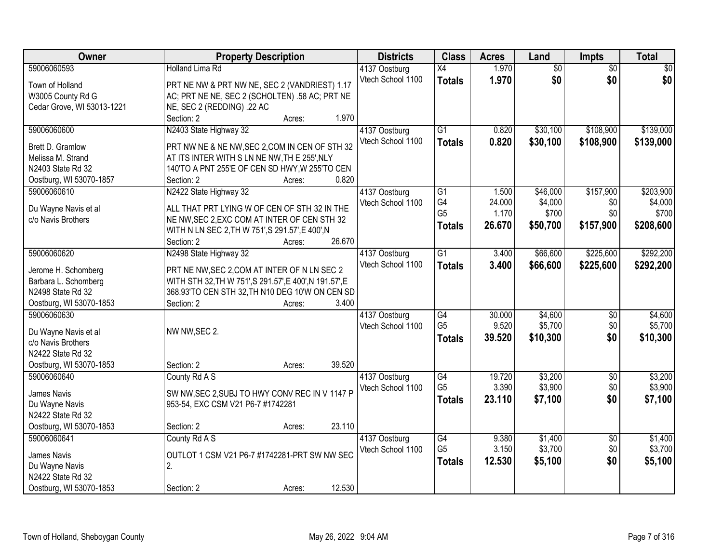| Owner                                       | <b>Property Description</b>                                           | <b>Districts</b>                   | <b>Class</b>    | <b>Acres</b>   | Land            | Impts                  | <b>Total</b> |
|---------------------------------------------|-----------------------------------------------------------------------|------------------------------------|-----------------|----------------|-----------------|------------------------|--------------|
| 59006060593                                 | <b>Holland Lima Rd</b>                                                | 4137 Oostburg                      | $\overline{X4}$ | 1.970          | $\overline{50}$ | $\overline{50}$        | \$0          |
| Town of Holland                             | PRT NE NW & PRT NW NE, SEC 2 (VANDRIEST) 1.17                         | Vtech School 1100                  | <b>Totals</b>   | 1.970          | \$0             | \$0                    | \$0          |
| W3005 County Rd G                           | AC; PRT NE NE, SEC 2 (SCHOLTEN) .58 AC; PRT NE                        |                                    |                 |                |                 |                        |              |
| Cedar Grove, WI 53013-1221                  | NE, SEC 2 (REDDING) .22 AC                                            |                                    |                 |                |                 |                        |              |
|                                             | Section: 2<br>1.970<br>Acres:                                         |                                    |                 |                |                 |                        |              |
| 59006060600                                 | N2403 State Highway 32                                                | 4137 Oostburg                      | $\overline{G1}$ | 0.820          | \$30,100        | \$108,900              | \$139,000    |
|                                             |                                                                       | Vtech School 1100                  | <b>Totals</b>   | 0.820          | \$30,100        | \$108,900              | \$139,000    |
| Brett D. Gramlow                            | PRT NW NE & NE NW, SEC 2, COM IN CEN OF STH 32                        |                                    |                 |                |                 |                        |              |
| Melissa M. Strand<br>N2403 State Rd 32      | AT ITS INTER WITH S LN NE NW, TH E 255', NLY                          |                                    |                 |                |                 |                        |              |
|                                             | 140'TO A PNT 255'E OF CEN SD HWY, W 255'TO CEN<br>0.820<br>Section: 2 |                                    |                 |                |                 |                        |              |
| Oostburg, WI 53070-1857<br>59006060610      | Acres:<br>N2422 State Highway 32                                      |                                    | $\overline{G1}$ | 1.500          | \$46,000        | \$157,900              | \$203,900    |
|                                             |                                                                       | 4137 Oostburg<br>Vtech School 1100 | G4              | 24.000         | \$4,000         | \$0                    | \$4,000      |
| Du Wayne Navis et al                        | ALL THAT PRT LYING W OF CEN OF STH 32 IN THE                          |                                    | G <sub>5</sub>  | 1.170          | \$700           | \$0                    | \$700        |
| c/o Navis Brothers                          | NE NW, SEC 2, EXC COM AT INTER OF CEN STH 32                          |                                    |                 | 26.670         |                 |                        |              |
|                                             | WITH N LN SEC 2, TH W 751', S 291.57', E 400', N                      |                                    | <b>Totals</b>   |                | \$50,700        | \$157,900              | \$208,600    |
|                                             | 26.670<br>Section: 2<br>Acres:                                        |                                    |                 |                |                 |                        |              |
| 59006060620                                 | N2498 State Highway 32                                                | 4137 Oostburg                      | G1              | 3.400          | \$66,600        | \$225,600              | \$292,200    |
|                                             | PRT NE NW, SEC 2, COM AT INTER OF N LN SEC 2                          | Vtech School 1100                  | <b>Totals</b>   | 3.400          | \$66,600        | \$225,600              | \$292,200    |
| Jerome H. Schomberg<br>Barbara L. Schomberg | WITH STH 32, TH W 751', S 291.57', E 400', N 191.57', E               |                                    |                 |                |                 |                        |              |
| N2498 State Rd 32                           | 368.93'TO CEN STH 32, TH N10 DEG 10'W ON CEN SD                       |                                    |                 |                |                 |                        |              |
| Oostburg, WI 53070-1853                     | 3.400<br>Section: 2<br>Acres:                                         |                                    |                 |                |                 |                        |              |
| 59006060630                                 |                                                                       |                                    | $\overline{G4}$ | 30.000         | \$4,600         | \$0                    | \$4,600      |
|                                             |                                                                       | 4137 Oostburg                      | G <sub>5</sub>  | 9.520          | \$5,700         | \$0                    | \$5,700      |
| Du Wayne Navis et al                        | NW NW, SEC 2.                                                         | Vtech School 1100                  |                 | 39.520         |                 | \$0                    |              |
| c/o Navis Brothers                          |                                                                       |                                    | <b>Totals</b>   |                | \$10,300        |                        | \$10,300     |
| N2422 State Rd 32                           |                                                                       |                                    |                 |                |                 |                        |              |
| Oostburg, WI 53070-1853                     | 39.520<br>Section: 2<br>Acres:                                        |                                    |                 |                |                 |                        |              |
| 59006060640                                 | County Rd A S                                                         | 4137 Oostburg                      | G4              | 19.720         | \$3,200         | $\overline{50}$        | \$3,200      |
| James Navis                                 | SW NW, SEC 2, SUBJ TO HWY CONV REC IN V 1147 P                        | Vtech School 1100                  | G <sub>5</sub>  | 3.390          | \$3,900         | \$0                    | \$3,900      |
| Du Wayne Navis                              | 953-54, EXC CSM V21 P6-7 #1742281                                     |                                    | <b>Totals</b>   | 23.110         | \$7,100         | \$0                    | \$7,100      |
| N2422 State Rd 32                           |                                                                       |                                    |                 |                |                 |                        |              |
| Oostburg, WI 53070-1853                     | 23.110<br>Section: 2                                                  |                                    |                 |                |                 |                        |              |
| 59006060641                                 | Acres:                                                                |                                    | $\overline{G4}$ |                | \$1,400         |                        | \$1,400      |
|                                             | County Rd A S                                                         | 4137 Oostburg                      | G <sub>5</sub>  | 9.380<br>3.150 | \$3,700         | $\overline{50}$<br>\$0 | \$3,700      |
| James Navis                                 | OUTLOT 1 CSM V21 P6-7 #1742281-PRT SW NW SEC                          | Vtech School 1100                  |                 |                |                 |                        |              |
| Du Wayne Navis                              | 2.                                                                    |                                    | <b>Totals</b>   | 12.530         | \$5,100         | \$0                    | \$5,100      |
| N2422 State Rd 32                           |                                                                       |                                    |                 |                |                 |                        |              |
| Oostburg, WI 53070-1853                     | 12.530<br>Section: 2<br>Acres:                                        |                                    |                 |                |                 |                        |              |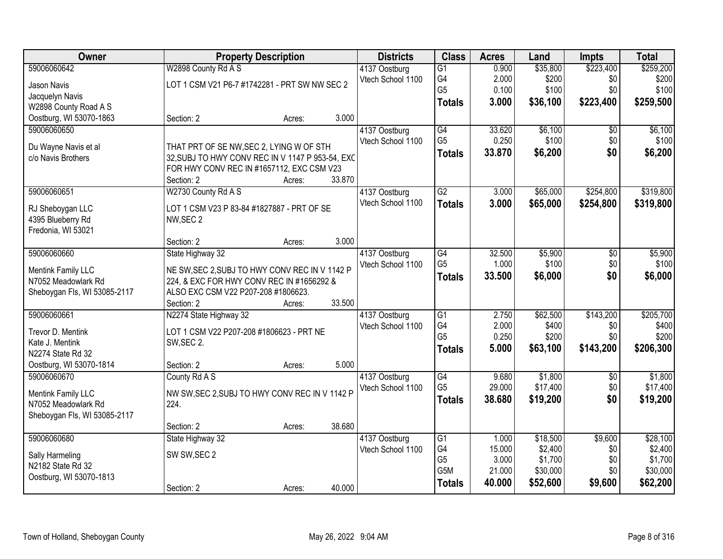| Owner                                      |                                                                                              | <b>Property Description</b> |        | <b>Districts</b>  | <b>Class</b>    | <b>Acres</b> | Land     | <b>Impts</b>    | <b>Total</b> |
|--------------------------------------------|----------------------------------------------------------------------------------------------|-----------------------------|--------|-------------------|-----------------|--------------|----------|-----------------|--------------|
| 59006060642                                | W2898 County Rd A S                                                                          |                             |        | 4137 Oostburg     | $\overline{G1}$ | 0.900        | \$35,800 | \$223,400       | \$259,200    |
| Jason Navis                                | LOT 1 CSM V21 P6-7 #1742281 - PRT SW NW SEC 2                                                |                             |        | Vtech School 1100 | G4              | 2.000        | \$200    | \$0             | \$200        |
| Jacquelyn Navis                            |                                                                                              |                             |        |                   | G <sub>5</sub>  | 0.100        | \$100    | \$0             | \$100        |
| W2898 County Road A S                      |                                                                                              |                             |        |                   | <b>Totals</b>   | 3.000        | \$36,100 | \$223,400       | \$259,500    |
| Oostburg, WI 53070-1863                    | Section: 2                                                                                   | Acres:                      | 3.000  |                   |                 |              |          |                 |              |
| 59006060650                                |                                                                                              |                             |        | 4137 Oostburg     | $\overline{G4}$ | 33.620       | \$6,100  | \$0             | \$6,100      |
|                                            |                                                                                              |                             |        | Vtech School 1100 | G <sub>5</sub>  | 0.250        | \$100    | \$0             | \$100        |
| Du Wayne Navis et al<br>c/o Navis Brothers | THAT PRT OF SE NW, SEC 2, LYING W OF STH<br>32, SUBJ TO HWY CONV REC IN V 1147 P 953-54, EXC |                             |        |                   | <b>Totals</b>   | 33.870       | \$6,200  | \$0             | \$6,200      |
|                                            | FOR HWY CONV REC IN #1657112, EXC CSM V23                                                    |                             |        |                   |                 |              |          |                 |              |
|                                            | Section: 2                                                                                   | Acres:                      | 33.870 |                   |                 |              |          |                 |              |
| 59006060651                                | W2730 County Rd A S                                                                          |                             |        | 4137 Oostburg     | $\overline{G2}$ | 3.000        | \$65,000 | \$254,800       | \$319,800    |
|                                            |                                                                                              |                             |        | Vtech School 1100 | <b>Totals</b>   | 3.000        | \$65,000 | \$254,800       | \$319,800    |
| RJ Sheboygan LLC                           | LOT 1 CSM V23 P 83-84 #1827887 - PRT OF SE                                                   |                             |        |                   |                 |              |          |                 |              |
| 4395 Blueberry Rd                          | NW, SEC 2                                                                                    |                             |        |                   |                 |              |          |                 |              |
| Fredonia, WI 53021                         |                                                                                              |                             |        |                   |                 |              |          |                 |              |
|                                            | Section: 2                                                                                   | Acres:                      | 3.000  |                   |                 |              |          |                 |              |
| 59006060660                                | State Highway 32                                                                             |                             |        | 4137 Oostburg     | G4              | 32.500       | \$5,900  | $\sqrt[6]{}$    | \$5,900      |
| Mentink Family LLC                         | NE SW, SEC 2, SUBJ TO HWY CONV REC IN V 1142 P                                               |                             |        | Vtech School 1100 | G <sub>5</sub>  | 1.000        | \$100    | \$0             | \$100        |
| N7052 Meadowlark Rd                        | 224, & EXC FOR HWY CONV REC IN #1656292 &                                                    |                             |        |                   | <b>Totals</b>   | 33.500       | \$6,000  | \$0             | \$6,000      |
| Sheboygan Fls, WI 53085-2117               | ALSO EXC CSM V22 P207-208 #1806623.                                                          |                             |        |                   |                 |              |          |                 |              |
|                                            | Section: 2                                                                                   | Acres:                      | 33.500 |                   |                 |              |          |                 |              |
| 59006060661                                | N2274 State Highway 32                                                                       |                             |        | 4137 Oostburg     | $\overline{G1}$ | 2.750        | \$62,500 | \$143,200       | \$205,700    |
| Trevor D. Mentink                          | LOT 1 CSM V22 P207-208 #1806623 - PRT NE                                                     |                             |        | Vtech School 1100 | G4              | 2.000        | \$400    | \$0             | \$400        |
| Kate J. Mentink                            | SW, SEC 2.                                                                                   |                             |        |                   | G <sub>5</sub>  | 0.250        | \$200    | \$0             | \$200        |
| N2274 State Rd 32                          |                                                                                              |                             |        |                   | <b>Totals</b>   | 5.000        | \$63,100 | \$143,200       | \$206,300    |
| Oostburg, WI 53070-1814                    | Section: 2                                                                                   | Acres:                      | 5.000  |                   |                 |              |          |                 |              |
| 59006060670                                | County Rd A S                                                                                |                             |        | 4137 Oostburg     | $\overline{G4}$ | 9.680        | \$1,800  | $\overline{50}$ | \$1,800      |
| <b>Mentink Family LLC</b>                  | NW SW, SEC 2, SUBJ TO HWY CONV REC IN V 1142 P                                               |                             |        | Vtech School 1100 | G <sub>5</sub>  | 29.000       | \$17,400 | \$0             | \$17,400     |
| N7052 Meadowlark Rd                        | 224.                                                                                         |                             |        |                   | <b>Totals</b>   | 38,680       | \$19,200 | \$0             | \$19,200     |
| Sheboygan Fls, WI 53085-2117               |                                                                                              |                             |        |                   |                 |              |          |                 |              |
|                                            | Section: 2                                                                                   | Acres:                      | 38.680 |                   |                 |              |          |                 |              |
| 59006060680                                | State Highway 32                                                                             |                             |        | 4137 Oostburg     | $\overline{G1}$ | 1.000        | \$18,500 | \$9,600         | \$28,100     |
|                                            |                                                                                              |                             |        | Vtech School 1100 | G4              | 15.000       | \$2,400  | \$0             | \$2,400      |
| Sally Harmeling                            | SW SW, SEC 2                                                                                 |                             |        |                   | G <sub>5</sub>  | 3.000        | \$1,700  | \$0             | \$1,700      |
| N2182 State Rd 32                          |                                                                                              |                             |        |                   | G5M             | 21.000       | \$30,000 | \$0             | \$30,000     |
| Oostburg, WI 53070-1813                    |                                                                                              |                             |        |                   | <b>Totals</b>   | 40.000       | \$52,600 | \$9,600         | \$62,200     |
|                                            | Section: 2                                                                                   | Acres:                      | 40.000 |                   |                 |              |          |                 |              |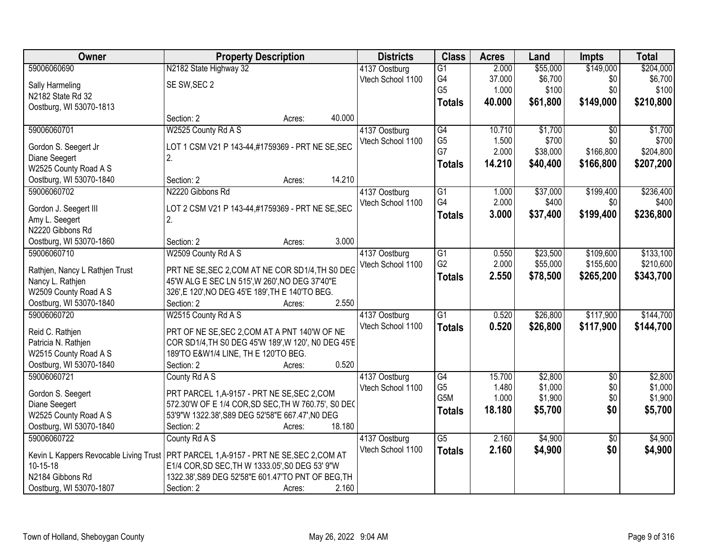| Owner                          | <b>Property Description</b>                                                              | <b>Districts</b>  | <b>Class</b>    | <b>Acres</b> | Land     | <b>Impts</b>    | <b>Total</b> |
|--------------------------------|------------------------------------------------------------------------------------------|-------------------|-----------------|--------------|----------|-----------------|--------------|
| 59006060690                    | N2182 State Highway 32                                                                   | 4137 Oostburg     | $\overline{G1}$ | 2.000        | \$55,000 | \$149,000       | \$204,000    |
| Sally Harmeling                | SE SW, SEC 2                                                                             | Vtech School 1100 | G4              | 37.000       | \$6,700  | \$0             | \$6,700      |
| N2182 State Rd 32              |                                                                                          |                   | G <sub>5</sub>  | 1.000        | \$100    | \$0             | \$100        |
| Oostburg, WI 53070-1813        |                                                                                          |                   | <b>Totals</b>   | 40.000       | \$61,800 | \$149,000       | \$210,800    |
|                                | 40.000<br>Section: 2<br>Acres:                                                           |                   |                 |              |          |                 |              |
| 59006060701                    | W2525 County Rd A S                                                                      | 4137 Oostburg     | $\overline{G4}$ | 10.710       | \$1,700  | $\overline{50}$ | \$1,700      |
|                                |                                                                                          | Vtech School 1100 | G <sub>5</sub>  | 1.500        | \$700    | \$0             | \$700        |
| Gordon S. Seegert Jr           | LOT 1 CSM V21 P 143-44,#1759369 - PRT NE SE, SEC                                         |                   | G7              | 2.000        | \$38,000 | \$166,800       | \$204,800    |
| Diane Seegert                  | 2.                                                                                       |                   | <b>Totals</b>   | 14.210       | \$40,400 | \$166,800       | \$207,200    |
| W2525 County Road A S          |                                                                                          |                   |                 |              |          |                 |              |
| Oostburg, WI 53070-1840        | 14.210<br>Section: 2<br>Acres:                                                           |                   |                 |              |          |                 |              |
| 59006060702                    | N2220 Gibbons Rd                                                                         | 4137 Oostburg     | $\overline{G1}$ | 1.000        | \$37,000 | \$199,400       | \$236,400    |
| Gordon J. Seegert III          | LOT 2 CSM V21 P 143-44,#1759369 - PRT NE SE, SEC                                         | Vtech School 1100 | G4              | 2.000        | \$400    | \$0             | \$400        |
| Amy L. Seegert                 | 2.                                                                                       |                   | <b>Totals</b>   | 3.000        | \$37,400 | \$199,400       | \$236,800    |
| N2220 Gibbons Rd               |                                                                                          |                   |                 |              |          |                 |              |
| Oostburg, WI 53070-1860        | 3.000<br>Section: 2<br>Acres:                                                            |                   |                 |              |          |                 |              |
| 59006060710                    | W2509 County Rd A S                                                                      | 4137 Oostburg     | $\overline{G1}$ | 0.550        | \$23,500 | \$109,600       | \$133,100    |
| Rathjen, Nancy L Rathjen Trust | PRT NE SE, SEC 2, COM AT NE COR SD1/4, TH S0 DEG                                         | Vtech School 1100 | G <sub>2</sub>  | 2.000        | \$55,000 | \$155,600       | \$210,600    |
| Nancy L. Rathjen               | 45'W ALG E SEC LN 515', W 260', NO DEG 37'40"E                                           |                   | <b>Totals</b>   | 2.550        | \$78,500 | \$265,200       | \$343,700    |
| W2509 County Road A S          | 326', E 120', NO DEG 45'E 189', TH E 140'TO BEG.                                         |                   |                 |              |          |                 |              |
| Oostburg, WI 53070-1840        | 2.550<br>Section: 2<br>Acres:                                                            |                   |                 |              |          |                 |              |
| 59006060720                    | W2515 County Rd A S                                                                      | 4137 Oostburg     | $\overline{G1}$ | 0.520        | \$26,800 | \$117,900       | \$144,700    |
|                                |                                                                                          | Vtech School 1100 |                 | 0.520        | \$26,800 | \$117,900       | \$144,700    |
| Reid C. Rathjen                | PRT OF NE SE, SEC 2, COM AT A PNT 140'W OF NE                                            |                   | <b>Totals</b>   |              |          |                 |              |
| Patricia N. Rathjen            | COR SD1/4, TH S0 DEG 45'W 189', W 120', N0 DEG 45'E                                      |                   |                 |              |          |                 |              |
| W2515 County Road A S          | 189'TO E&W1/4 LINE, TH E 120'TO BEG.                                                     |                   |                 |              |          |                 |              |
| Oostburg, WI 53070-1840        | 0.520<br>Section: 2<br>Acres:                                                            |                   |                 |              |          |                 |              |
| 59006060721                    | County Rd A S                                                                            | 4137 Oostburg     | G4              | 15.700       | \$2,800  | $\overline{50}$ | \$2,800      |
| Gordon S. Seegert              | PRT PARCEL 1, A-9157 - PRT NE SE, SEC 2, COM                                             | Vtech School 1100 | G <sub>5</sub>  | 1.480        | \$1,000  | \$0             | \$1,000      |
| Diane Seegert                  | 572.30'W OF E 1/4 COR, SD SEC, TH W 760.75', S0 DEC                                      |                   | G5M             | 1.000        | \$1,900  | \$0             | \$1,900      |
| W2525 County Road A S          | 53'9"W 1322.38', S89 DEG 52'58"E 667.47', N0 DEG                                         |                   | <b>Totals</b>   | 18.180       | \$5,700  | \$0             | \$5,700      |
| Oostburg, WI 53070-1840        | 18.180<br>Section: 2<br>Acres:                                                           |                   |                 |              |          |                 |              |
| 59006060722                    | County Rd A S                                                                            |                   | $\overline{G5}$ | 2.160        | \$4,900  |                 | \$4,900      |
|                                |                                                                                          | 4137 Oostburg     |                 |              |          | $\overline{50}$ |              |
|                                | Kevin L Kappers Revocable Living Trust   PRT PARCEL 1, A-9157 - PRT NE SE, SEC 2, COM AT | Vtech School 1100 | <b>Totals</b>   | 2.160        | \$4,900  | \$0             | \$4,900      |
| 10-15-18                       | E1/4 COR, SD SEC, TH W 1333.05', S0 DEG 53' 9"W                                          |                   |                 |              |          |                 |              |
| N2184 Gibbons Rd               | 1322.38', S89 DEG 52'58"E 601.47'TO PNT OF BEG, TH                                       |                   |                 |              |          |                 |              |
| Oostburg, WI 53070-1807        | Section: 2<br>2.160<br>Acres:                                                            |                   |                 |              |          |                 |              |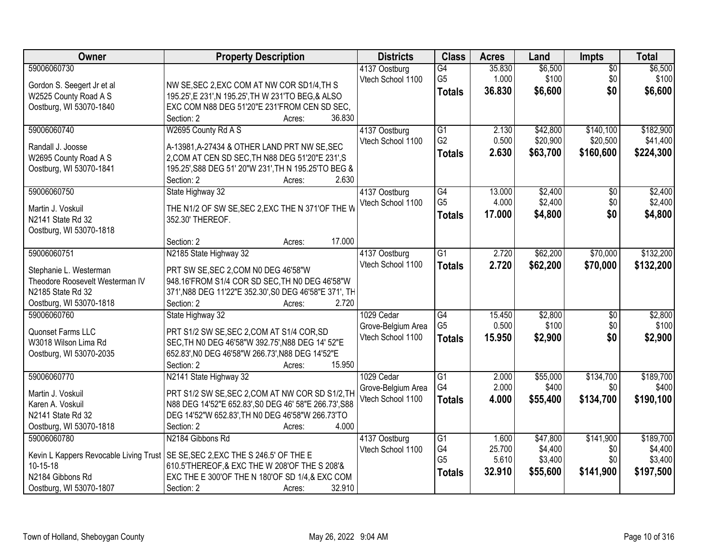| 59006060730<br>\$6,500<br>\$6,500<br>G4<br>35.830<br>$\overline{50}$<br>4137 Oostburg<br>\$100<br>1.000<br>\$100<br>\$0<br>Vtech School 1100<br>G5<br>Gordon S. Seegert Jr et al<br>NW SE, SEC 2, EXC COM AT NW COR SD1/4, TH S<br>\$0<br>36.830<br>\$6,600<br>\$6,600<br><b>Totals</b><br>195.25', E 231', N 195.25', TH W 231'TO BEG, & ALSO<br>W2525 County Road A S<br>Oostburg, WI 53070-1840<br>EXC COM N88 DEG 51'20"E 231'FROM CEN SD SEC,<br>36.830<br>Section: 2<br>Acres:<br>W2695 County Rd A S<br>$\overline{G1}$<br>\$42,800<br>\$140,100<br>\$182,900<br>59006060740<br>4137 Oostburg<br>2.130<br>0.500<br>G <sub>2</sub><br>\$20,900<br>\$20,500<br>\$41,400<br>Vtech School 1100<br>A-13981, A-27434 & OTHER LAND PRT NW SE, SEC<br>Randall J. Joosse<br>2.630<br>\$63,700<br>\$160,600<br>\$224,300<br><b>Totals</b><br>2, COM AT CEN SD SEC, TH N88 DEG 51'20"E 231', S<br>W2695 County Road A S<br>Oostburg, WI 53070-1841<br>195.25', S88 DEG 51' 20"W 231', TH N 195.25'TO BEG &<br>2.630<br>Section: 2<br>Acres:<br>59006060750<br>State Highway 32<br>\$2,400<br>\$2,400<br>4137 Oostburg<br>G4<br>13.000<br>\$0<br>G <sub>5</sub><br>4.000<br>\$2,400<br>\$0<br>\$2,400<br>Vtech School 1100<br>THE N1/2 OF SW SE, SEC 2, EXC THE N 371'OF THE W<br>Martin J. Voskuil<br>17.000<br>\$4,800<br>\$0<br>\$4,800<br><b>Totals</b><br>N2141 State Rd 32<br>352.30' THEREOF.<br>Oostburg, WI 53070-1818<br>17.000<br>Section: 2<br>Acres:<br>\$132,200<br>59006060751<br>N2185 State Highway 32<br>G1<br>2.720<br>\$62,200<br>\$70,000<br>4137 Oostburg<br>Vtech School 1100<br>2.720<br>\$62,200<br>\$70,000<br>\$132,200<br><b>Totals</b><br>Stephanie L. Westerman<br>PRT SW SE, SEC 2, COM N0 DEG 46'58"W<br>Theodore Roosevelt Westerman IV<br>948.16'FROM S1/4 COR SD SEC, TH N0 DEG 46'58"W<br>N2185 State Rd 32<br>371', N88 DEG 11'22"E 352.30', S0 DEG 46'58"E 371', TH<br>Section: 2<br>2.720<br>Oostburg, WI 53070-1818<br>Acres:<br>\$2,800<br>59006060760<br>$\overline{G4}$<br>15.450<br>\$2,800<br>$\overline{30}$<br>State Highway 32<br>1029 Cedar<br>G <sub>5</sub><br>0.500<br>\$100<br>\$0<br>\$100<br>Grove-Belgium Area<br>Quonset Farms LLC<br>PRT S1/2 SW SE, SEC 2, COM AT S1/4 COR, SD<br>\$0<br>15.950<br>\$2,900<br>Vtech School 1100<br>\$2,900<br><b>Totals</b><br>W3018 Wilson Lima Rd<br>SEC.TH NO DEG 46'58"W 392.75', N88 DEG 14' 52"E<br>652.83', NO DEG 46'58"W 266.73', N88 DEG 14'52"E<br>Oostburg, WI 53070-2035<br>15.950<br>Section: 2<br>Acres:<br>59006060770<br>\$55,000<br>\$134,700<br>\$189,700<br>N2141 State Highway 32<br>$\overline{G1}$<br>2.000<br>1029 Cedar<br>G4<br>2.000<br>\$400<br>\$400<br>\$0<br>Grove-Belgium Area<br>PRT S1/2 SW SE, SEC 2, COM AT NW COR SD S1/2, TH<br>Martin J. Voskuil<br>Vtech School 1100<br>4.000<br>\$134,700<br>\$190,100<br>\$55,400<br><b>Totals</b><br>N88 DEG 14'52"E 652.83', S0 DEG 46' 58"E 266.73', S88<br>Karen A. Voskuil | <b>Owner</b>      | <b>Property Description</b>                      | <b>Districts</b> | <b>Class</b> | <b>Acres</b> | Land | Impts | <b>Total</b> |
|-------------------------------------------------------------------------------------------------------------------------------------------------------------------------------------------------------------------------------------------------------------------------------------------------------------------------------------------------------------------------------------------------------------------------------------------------------------------------------------------------------------------------------------------------------------------------------------------------------------------------------------------------------------------------------------------------------------------------------------------------------------------------------------------------------------------------------------------------------------------------------------------------------------------------------------------------------------------------------------------------------------------------------------------------------------------------------------------------------------------------------------------------------------------------------------------------------------------------------------------------------------------------------------------------------------------------------------------------------------------------------------------------------------------------------------------------------------------------------------------------------------------------------------------------------------------------------------------------------------------------------------------------------------------------------------------------------------------------------------------------------------------------------------------------------------------------------------------------------------------------------------------------------------------------------------------------------------------------------------------------------------------------------------------------------------------------------------------------------------------------------------------------------------------------------------------------------------------------------------------------------------------------------------------------------------------------------------------------------------------------------------------------------------------------------------------------------------------------------------------------------------------------------------------------------------------------------------------------------------------------------------------------------------------------------------------------------------------------------------------------------------------------------------------------------------------------------------------------------------------------------------------------------------------------------------------------|-------------------|--------------------------------------------------|------------------|--------------|--------------|------|-------|--------------|
|                                                                                                                                                                                                                                                                                                                                                                                                                                                                                                                                                                                                                                                                                                                                                                                                                                                                                                                                                                                                                                                                                                                                                                                                                                                                                                                                                                                                                                                                                                                                                                                                                                                                                                                                                                                                                                                                                                                                                                                                                                                                                                                                                                                                                                                                                                                                                                                                                                                                                                                                                                                                                                                                                                                                                                                                                                                                                                                                                 |                   |                                                  |                  |              |              |      |       |              |
|                                                                                                                                                                                                                                                                                                                                                                                                                                                                                                                                                                                                                                                                                                                                                                                                                                                                                                                                                                                                                                                                                                                                                                                                                                                                                                                                                                                                                                                                                                                                                                                                                                                                                                                                                                                                                                                                                                                                                                                                                                                                                                                                                                                                                                                                                                                                                                                                                                                                                                                                                                                                                                                                                                                                                                                                                                                                                                                                                 |                   |                                                  |                  |              |              |      |       |              |
|                                                                                                                                                                                                                                                                                                                                                                                                                                                                                                                                                                                                                                                                                                                                                                                                                                                                                                                                                                                                                                                                                                                                                                                                                                                                                                                                                                                                                                                                                                                                                                                                                                                                                                                                                                                                                                                                                                                                                                                                                                                                                                                                                                                                                                                                                                                                                                                                                                                                                                                                                                                                                                                                                                                                                                                                                                                                                                                                                 |                   |                                                  |                  |              |              |      |       |              |
|                                                                                                                                                                                                                                                                                                                                                                                                                                                                                                                                                                                                                                                                                                                                                                                                                                                                                                                                                                                                                                                                                                                                                                                                                                                                                                                                                                                                                                                                                                                                                                                                                                                                                                                                                                                                                                                                                                                                                                                                                                                                                                                                                                                                                                                                                                                                                                                                                                                                                                                                                                                                                                                                                                                                                                                                                                                                                                                                                 |                   |                                                  |                  |              |              |      |       |              |
|                                                                                                                                                                                                                                                                                                                                                                                                                                                                                                                                                                                                                                                                                                                                                                                                                                                                                                                                                                                                                                                                                                                                                                                                                                                                                                                                                                                                                                                                                                                                                                                                                                                                                                                                                                                                                                                                                                                                                                                                                                                                                                                                                                                                                                                                                                                                                                                                                                                                                                                                                                                                                                                                                                                                                                                                                                                                                                                                                 |                   |                                                  |                  |              |              |      |       |              |
|                                                                                                                                                                                                                                                                                                                                                                                                                                                                                                                                                                                                                                                                                                                                                                                                                                                                                                                                                                                                                                                                                                                                                                                                                                                                                                                                                                                                                                                                                                                                                                                                                                                                                                                                                                                                                                                                                                                                                                                                                                                                                                                                                                                                                                                                                                                                                                                                                                                                                                                                                                                                                                                                                                                                                                                                                                                                                                                                                 |                   |                                                  |                  |              |              |      |       |              |
|                                                                                                                                                                                                                                                                                                                                                                                                                                                                                                                                                                                                                                                                                                                                                                                                                                                                                                                                                                                                                                                                                                                                                                                                                                                                                                                                                                                                                                                                                                                                                                                                                                                                                                                                                                                                                                                                                                                                                                                                                                                                                                                                                                                                                                                                                                                                                                                                                                                                                                                                                                                                                                                                                                                                                                                                                                                                                                                                                 |                   |                                                  |                  |              |              |      |       |              |
|                                                                                                                                                                                                                                                                                                                                                                                                                                                                                                                                                                                                                                                                                                                                                                                                                                                                                                                                                                                                                                                                                                                                                                                                                                                                                                                                                                                                                                                                                                                                                                                                                                                                                                                                                                                                                                                                                                                                                                                                                                                                                                                                                                                                                                                                                                                                                                                                                                                                                                                                                                                                                                                                                                                                                                                                                                                                                                                                                 |                   |                                                  |                  |              |              |      |       |              |
|                                                                                                                                                                                                                                                                                                                                                                                                                                                                                                                                                                                                                                                                                                                                                                                                                                                                                                                                                                                                                                                                                                                                                                                                                                                                                                                                                                                                                                                                                                                                                                                                                                                                                                                                                                                                                                                                                                                                                                                                                                                                                                                                                                                                                                                                                                                                                                                                                                                                                                                                                                                                                                                                                                                                                                                                                                                                                                                                                 |                   |                                                  |                  |              |              |      |       |              |
|                                                                                                                                                                                                                                                                                                                                                                                                                                                                                                                                                                                                                                                                                                                                                                                                                                                                                                                                                                                                                                                                                                                                                                                                                                                                                                                                                                                                                                                                                                                                                                                                                                                                                                                                                                                                                                                                                                                                                                                                                                                                                                                                                                                                                                                                                                                                                                                                                                                                                                                                                                                                                                                                                                                                                                                                                                                                                                                                                 |                   |                                                  |                  |              |              |      |       |              |
|                                                                                                                                                                                                                                                                                                                                                                                                                                                                                                                                                                                                                                                                                                                                                                                                                                                                                                                                                                                                                                                                                                                                                                                                                                                                                                                                                                                                                                                                                                                                                                                                                                                                                                                                                                                                                                                                                                                                                                                                                                                                                                                                                                                                                                                                                                                                                                                                                                                                                                                                                                                                                                                                                                                                                                                                                                                                                                                                                 |                   |                                                  |                  |              |              |      |       |              |
|                                                                                                                                                                                                                                                                                                                                                                                                                                                                                                                                                                                                                                                                                                                                                                                                                                                                                                                                                                                                                                                                                                                                                                                                                                                                                                                                                                                                                                                                                                                                                                                                                                                                                                                                                                                                                                                                                                                                                                                                                                                                                                                                                                                                                                                                                                                                                                                                                                                                                                                                                                                                                                                                                                                                                                                                                                                                                                                                                 |                   |                                                  |                  |              |              |      |       |              |
|                                                                                                                                                                                                                                                                                                                                                                                                                                                                                                                                                                                                                                                                                                                                                                                                                                                                                                                                                                                                                                                                                                                                                                                                                                                                                                                                                                                                                                                                                                                                                                                                                                                                                                                                                                                                                                                                                                                                                                                                                                                                                                                                                                                                                                                                                                                                                                                                                                                                                                                                                                                                                                                                                                                                                                                                                                                                                                                                                 |                   |                                                  |                  |              |              |      |       |              |
|                                                                                                                                                                                                                                                                                                                                                                                                                                                                                                                                                                                                                                                                                                                                                                                                                                                                                                                                                                                                                                                                                                                                                                                                                                                                                                                                                                                                                                                                                                                                                                                                                                                                                                                                                                                                                                                                                                                                                                                                                                                                                                                                                                                                                                                                                                                                                                                                                                                                                                                                                                                                                                                                                                                                                                                                                                                                                                                                                 |                   |                                                  |                  |              |              |      |       |              |
|                                                                                                                                                                                                                                                                                                                                                                                                                                                                                                                                                                                                                                                                                                                                                                                                                                                                                                                                                                                                                                                                                                                                                                                                                                                                                                                                                                                                                                                                                                                                                                                                                                                                                                                                                                                                                                                                                                                                                                                                                                                                                                                                                                                                                                                                                                                                                                                                                                                                                                                                                                                                                                                                                                                                                                                                                                                                                                                                                 |                   |                                                  |                  |              |              |      |       |              |
|                                                                                                                                                                                                                                                                                                                                                                                                                                                                                                                                                                                                                                                                                                                                                                                                                                                                                                                                                                                                                                                                                                                                                                                                                                                                                                                                                                                                                                                                                                                                                                                                                                                                                                                                                                                                                                                                                                                                                                                                                                                                                                                                                                                                                                                                                                                                                                                                                                                                                                                                                                                                                                                                                                                                                                                                                                                                                                                                                 |                   |                                                  |                  |              |              |      |       |              |
|                                                                                                                                                                                                                                                                                                                                                                                                                                                                                                                                                                                                                                                                                                                                                                                                                                                                                                                                                                                                                                                                                                                                                                                                                                                                                                                                                                                                                                                                                                                                                                                                                                                                                                                                                                                                                                                                                                                                                                                                                                                                                                                                                                                                                                                                                                                                                                                                                                                                                                                                                                                                                                                                                                                                                                                                                                                                                                                                                 |                   |                                                  |                  |              |              |      |       |              |
|                                                                                                                                                                                                                                                                                                                                                                                                                                                                                                                                                                                                                                                                                                                                                                                                                                                                                                                                                                                                                                                                                                                                                                                                                                                                                                                                                                                                                                                                                                                                                                                                                                                                                                                                                                                                                                                                                                                                                                                                                                                                                                                                                                                                                                                                                                                                                                                                                                                                                                                                                                                                                                                                                                                                                                                                                                                                                                                                                 |                   |                                                  |                  |              |              |      |       |              |
|                                                                                                                                                                                                                                                                                                                                                                                                                                                                                                                                                                                                                                                                                                                                                                                                                                                                                                                                                                                                                                                                                                                                                                                                                                                                                                                                                                                                                                                                                                                                                                                                                                                                                                                                                                                                                                                                                                                                                                                                                                                                                                                                                                                                                                                                                                                                                                                                                                                                                                                                                                                                                                                                                                                                                                                                                                                                                                                                                 |                   |                                                  |                  |              |              |      |       |              |
|                                                                                                                                                                                                                                                                                                                                                                                                                                                                                                                                                                                                                                                                                                                                                                                                                                                                                                                                                                                                                                                                                                                                                                                                                                                                                                                                                                                                                                                                                                                                                                                                                                                                                                                                                                                                                                                                                                                                                                                                                                                                                                                                                                                                                                                                                                                                                                                                                                                                                                                                                                                                                                                                                                                                                                                                                                                                                                                                                 |                   |                                                  |                  |              |              |      |       |              |
|                                                                                                                                                                                                                                                                                                                                                                                                                                                                                                                                                                                                                                                                                                                                                                                                                                                                                                                                                                                                                                                                                                                                                                                                                                                                                                                                                                                                                                                                                                                                                                                                                                                                                                                                                                                                                                                                                                                                                                                                                                                                                                                                                                                                                                                                                                                                                                                                                                                                                                                                                                                                                                                                                                                                                                                                                                                                                                                                                 |                   |                                                  |                  |              |              |      |       |              |
|                                                                                                                                                                                                                                                                                                                                                                                                                                                                                                                                                                                                                                                                                                                                                                                                                                                                                                                                                                                                                                                                                                                                                                                                                                                                                                                                                                                                                                                                                                                                                                                                                                                                                                                                                                                                                                                                                                                                                                                                                                                                                                                                                                                                                                                                                                                                                                                                                                                                                                                                                                                                                                                                                                                                                                                                                                                                                                                                                 |                   |                                                  |                  |              |              |      |       |              |
|                                                                                                                                                                                                                                                                                                                                                                                                                                                                                                                                                                                                                                                                                                                                                                                                                                                                                                                                                                                                                                                                                                                                                                                                                                                                                                                                                                                                                                                                                                                                                                                                                                                                                                                                                                                                                                                                                                                                                                                                                                                                                                                                                                                                                                                                                                                                                                                                                                                                                                                                                                                                                                                                                                                                                                                                                                                                                                                                                 |                   |                                                  |                  |              |              |      |       |              |
|                                                                                                                                                                                                                                                                                                                                                                                                                                                                                                                                                                                                                                                                                                                                                                                                                                                                                                                                                                                                                                                                                                                                                                                                                                                                                                                                                                                                                                                                                                                                                                                                                                                                                                                                                                                                                                                                                                                                                                                                                                                                                                                                                                                                                                                                                                                                                                                                                                                                                                                                                                                                                                                                                                                                                                                                                                                                                                                                                 |                   |                                                  |                  |              |              |      |       |              |
|                                                                                                                                                                                                                                                                                                                                                                                                                                                                                                                                                                                                                                                                                                                                                                                                                                                                                                                                                                                                                                                                                                                                                                                                                                                                                                                                                                                                                                                                                                                                                                                                                                                                                                                                                                                                                                                                                                                                                                                                                                                                                                                                                                                                                                                                                                                                                                                                                                                                                                                                                                                                                                                                                                                                                                                                                                                                                                                                                 |                   |                                                  |                  |              |              |      |       |              |
|                                                                                                                                                                                                                                                                                                                                                                                                                                                                                                                                                                                                                                                                                                                                                                                                                                                                                                                                                                                                                                                                                                                                                                                                                                                                                                                                                                                                                                                                                                                                                                                                                                                                                                                                                                                                                                                                                                                                                                                                                                                                                                                                                                                                                                                                                                                                                                                                                                                                                                                                                                                                                                                                                                                                                                                                                                                                                                                                                 |                   |                                                  |                  |              |              |      |       |              |
|                                                                                                                                                                                                                                                                                                                                                                                                                                                                                                                                                                                                                                                                                                                                                                                                                                                                                                                                                                                                                                                                                                                                                                                                                                                                                                                                                                                                                                                                                                                                                                                                                                                                                                                                                                                                                                                                                                                                                                                                                                                                                                                                                                                                                                                                                                                                                                                                                                                                                                                                                                                                                                                                                                                                                                                                                                                                                                                                                 |                   |                                                  |                  |              |              |      |       |              |
|                                                                                                                                                                                                                                                                                                                                                                                                                                                                                                                                                                                                                                                                                                                                                                                                                                                                                                                                                                                                                                                                                                                                                                                                                                                                                                                                                                                                                                                                                                                                                                                                                                                                                                                                                                                                                                                                                                                                                                                                                                                                                                                                                                                                                                                                                                                                                                                                                                                                                                                                                                                                                                                                                                                                                                                                                                                                                                                                                 |                   |                                                  |                  |              |              |      |       |              |
|                                                                                                                                                                                                                                                                                                                                                                                                                                                                                                                                                                                                                                                                                                                                                                                                                                                                                                                                                                                                                                                                                                                                                                                                                                                                                                                                                                                                                                                                                                                                                                                                                                                                                                                                                                                                                                                                                                                                                                                                                                                                                                                                                                                                                                                                                                                                                                                                                                                                                                                                                                                                                                                                                                                                                                                                                                                                                                                                                 |                   |                                                  |                  |              |              |      |       |              |
|                                                                                                                                                                                                                                                                                                                                                                                                                                                                                                                                                                                                                                                                                                                                                                                                                                                                                                                                                                                                                                                                                                                                                                                                                                                                                                                                                                                                                                                                                                                                                                                                                                                                                                                                                                                                                                                                                                                                                                                                                                                                                                                                                                                                                                                                                                                                                                                                                                                                                                                                                                                                                                                                                                                                                                                                                                                                                                                                                 |                   |                                                  |                  |              |              |      |       |              |
|                                                                                                                                                                                                                                                                                                                                                                                                                                                                                                                                                                                                                                                                                                                                                                                                                                                                                                                                                                                                                                                                                                                                                                                                                                                                                                                                                                                                                                                                                                                                                                                                                                                                                                                                                                                                                                                                                                                                                                                                                                                                                                                                                                                                                                                                                                                                                                                                                                                                                                                                                                                                                                                                                                                                                                                                                                                                                                                                                 | N2141 State Rd 32 | DEG 14'52"W 652.83', TH N0 DEG 46'58"W 266.73'TO |                  |              |              |      |       |              |
| Oostburg, WI 53070-1818<br>Section: 2<br>4.000<br>Acres:                                                                                                                                                                                                                                                                                                                                                                                                                                                                                                                                                                                                                                                                                                                                                                                                                                                                                                                                                                                                                                                                                                                                                                                                                                                                                                                                                                                                                                                                                                                                                                                                                                                                                                                                                                                                                                                                                                                                                                                                                                                                                                                                                                                                                                                                                                                                                                                                                                                                                                                                                                                                                                                                                                                                                                                                                                                                                        |                   |                                                  |                  |              |              |      |       |              |
| 59006060780<br>N2184 Gibbons Rd<br>$\overline{G1}$<br>\$47,800<br>\$141,900<br>\$189,700<br>4137 Oostburg<br>1.600                                                                                                                                                                                                                                                                                                                                                                                                                                                                                                                                                                                                                                                                                                                                                                                                                                                                                                                                                                                                                                                                                                                                                                                                                                                                                                                                                                                                                                                                                                                                                                                                                                                                                                                                                                                                                                                                                                                                                                                                                                                                                                                                                                                                                                                                                                                                                                                                                                                                                                                                                                                                                                                                                                                                                                                                                              |                   |                                                  |                  |              |              |      |       |              |
| G4<br>25.700<br>\$4,400<br>\$4,400<br>Vtech School 1100<br>\$0<br>SE SE, SEC 2, EXC THE S 246.5' OF THE E                                                                                                                                                                                                                                                                                                                                                                                                                                                                                                                                                                                                                                                                                                                                                                                                                                                                                                                                                                                                                                                                                                                                                                                                                                                                                                                                                                                                                                                                                                                                                                                                                                                                                                                                                                                                                                                                                                                                                                                                                                                                                                                                                                                                                                                                                                                                                                                                                                                                                                                                                                                                                                                                                                                                                                                                                                       |                   |                                                  |                  |              |              |      |       |              |
| Kevin L Kappers Revocable Living Trust<br>G <sub>5</sub><br>5.610<br>\$3,400<br>\$0<br>\$3,400<br>10-15-18<br>610.5'THEREOF, & EXC THE W 208'OF THE S 208'&                                                                                                                                                                                                                                                                                                                                                                                                                                                                                                                                                                                                                                                                                                                                                                                                                                                                                                                                                                                                                                                                                                                                                                                                                                                                                                                                                                                                                                                                                                                                                                                                                                                                                                                                                                                                                                                                                                                                                                                                                                                                                                                                                                                                                                                                                                                                                                                                                                                                                                                                                                                                                                                                                                                                                                                     |                   |                                                  |                  |              |              |      |       |              |
| 32.910<br>\$55,600<br>\$141,900<br>\$197,500<br><b>Totals</b><br>N2184 Gibbons Rd<br>EXC THE E 300'OF THE N 180'OF SD 1/4,& EXC COM                                                                                                                                                                                                                                                                                                                                                                                                                                                                                                                                                                                                                                                                                                                                                                                                                                                                                                                                                                                                                                                                                                                                                                                                                                                                                                                                                                                                                                                                                                                                                                                                                                                                                                                                                                                                                                                                                                                                                                                                                                                                                                                                                                                                                                                                                                                                                                                                                                                                                                                                                                                                                                                                                                                                                                                                             |                   |                                                  |                  |              |              |      |       |              |
| Oostburg, WI 53070-1807<br>32.910<br>Section: 2<br>Acres:                                                                                                                                                                                                                                                                                                                                                                                                                                                                                                                                                                                                                                                                                                                                                                                                                                                                                                                                                                                                                                                                                                                                                                                                                                                                                                                                                                                                                                                                                                                                                                                                                                                                                                                                                                                                                                                                                                                                                                                                                                                                                                                                                                                                                                                                                                                                                                                                                                                                                                                                                                                                                                                                                                                                                                                                                                                                                       |                   |                                                  |                  |              |              |      |       |              |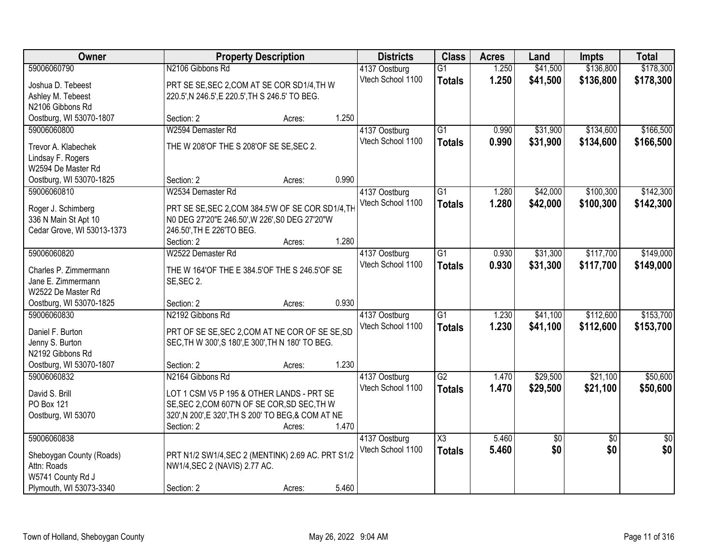| Owner                            | <b>Property Description</b>                                                 |        | <b>Districts</b>  | <b>Class</b>    | <b>Acres</b> | Land     | <b>Impts</b>    | <b>Total</b>    |
|----------------------------------|-----------------------------------------------------------------------------|--------|-------------------|-----------------|--------------|----------|-----------------|-----------------|
| 59006060790                      | N2106 Gibbons Rd                                                            |        | 4137 Oostburg     | $\overline{G1}$ | 1.250        | \$41,500 | \$136,800       | \$178,300       |
| Joshua D. Tebeest                | PRT SE SE, SEC 2, COM AT SE COR SD1/4, TH W                                 |        | Vtech School 1100 | <b>Totals</b>   | 1.250        | \$41,500 | \$136,800       | \$178,300       |
| Ashley M. Tebeest                | 220.5', N 246.5', E 220.5', TH S 246.5' TO BEG.                             |        |                   |                 |              |          |                 |                 |
| N2106 Gibbons Rd                 |                                                                             |        |                   |                 |              |          |                 |                 |
| Oostburg, WI 53070-1807          | Section: 2                                                                  | Acres: | 1.250             |                 |              |          |                 |                 |
| 59006060800                      | W2594 Demaster Rd                                                           |        | 4137 Oostburg     | $\overline{G1}$ | 0.990        | \$31,900 | \$134,600       | \$166,500       |
| Trevor A. Klabechek              | THE W 208'OF THE S 208'OF SE SE, SEC 2.                                     |        | Vtech School 1100 | <b>Totals</b>   | 0.990        | \$31,900 | \$134,600       | \$166,500       |
| Lindsay F. Rogers                |                                                                             |        |                   |                 |              |          |                 |                 |
| W2594 De Master Rd               |                                                                             |        |                   |                 |              |          |                 |                 |
| Oostburg, WI 53070-1825          | Section: 2                                                                  | Acres: | 0.990             |                 |              |          |                 |                 |
| 59006060810                      | W2534 Demaster Rd                                                           |        | 4137 Oostburg     | $\overline{G1}$ | 1.280        | \$42,000 | \$100,300       | \$142,300       |
|                                  |                                                                             |        | Vtech School 1100 | <b>Totals</b>   | 1.280        | \$42,000 | \$100,300       | \$142,300       |
| Roger J. Schimberg               | PRT SE SE, SEC 2, COM 384.5'W OF SE COR SD1/4, TH                           |        |                   |                 |              |          |                 |                 |
| 336 N Main St Apt 10             | N0 DEG 27'20"E 246.50', W 226', S0 DEG 27'20"W<br>246.50', TH E 226'TO BEG. |        |                   |                 |              |          |                 |                 |
| Cedar Grove, WI 53013-1373       | Section: 2                                                                  | Acres: | 1.280             |                 |              |          |                 |                 |
| 59006060820                      | W2522 Demaster Rd                                                           |        | 4137 Oostburg     | G1              | 0.930        | \$31,300 | \$117,700       | \$149,000       |
|                                  |                                                                             |        | Vtech School 1100 | <b>Totals</b>   | 0.930        | \$31,300 | \$117,700       | \$149,000       |
| Charles P. Zimmermann            | THE W 164'OF THE E 384.5'OF THE S 246.5'OF SE                               |        |                   |                 |              |          |                 |                 |
| Jane E. Zimmermann               | SE, SEC 2.                                                                  |        |                   |                 |              |          |                 |                 |
| W2522 De Master Rd               |                                                                             |        |                   |                 |              |          |                 |                 |
| Oostburg, WI 53070-1825          | Section: 2                                                                  | Acres: | 0.930             |                 |              |          |                 |                 |
| 59006060830                      | N2192 Gibbons Rd                                                            |        | 4137 Oostburg     | $\overline{G1}$ | 1.230        | \$41,100 | \$112,600       | \$153,700       |
| Daniel F. Burton                 | PRT OF SE SE, SEC 2, COM AT NE COR OF SE SE, SD                             |        | Vtech School 1100 | <b>Totals</b>   | 1.230        | \$41,100 | \$112,600       | \$153,700       |
| Jenny S. Burton                  | SEC, TH W 300', S 180', E 300', TH N 180' TO BEG.                           |        |                   |                 |              |          |                 |                 |
| N2192 Gibbons Rd                 |                                                                             |        |                   |                 |              |          |                 |                 |
| Oostburg, WI 53070-1807          | Section: 2                                                                  | Acres: | 1.230             |                 |              |          |                 |                 |
| 59006060832                      | N2164 Gibbons Rd                                                            |        | 4137 Oostburg     | G2              | 1.470        | \$29,500 | \$21,100        | \$50,600        |
| David S. Brill                   | LOT 1 CSM V5 P 195 & OTHER LANDS - PRT SE                                   |        | Vtech School 1100 | <b>Totals</b>   | 1.470        | \$29,500 | \$21,100        | \$50,600        |
| <b>PO Box 121</b>                | SE, SEC 2, COM 607'N OF SE COR, SD SEC, TH W                                |        |                   |                 |              |          |                 |                 |
| Oostburg, WI 53070               | 320', N 200', E 320', TH S 200' TO BEG, & COM AT NE                         |        |                   |                 |              |          |                 |                 |
|                                  | Section: 2                                                                  | Acres: | 1.470             |                 |              |          |                 |                 |
| 59006060838                      |                                                                             |        | 4137 Oostburg     | X3              | 5.460        | \$0      | $\overline{50}$ | $\overline{50}$ |
|                                  |                                                                             |        | Vtech School 1100 | <b>Totals</b>   | 5.460        | \$0      | \$0             | \$0             |
| Sheboygan County (Roads)         | PRT N1/2 SW1/4, SEC 2 (MENTINK) 2.69 AC. PRT S1/2                           |        |                   |                 |              |          |                 |                 |
| Attn: Roads<br>W5741 County Rd J | NW1/4, SEC 2 (NAVIS) 2.77 AC.                                               |        |                   |                 |              |          |                 |                 |
| Plymouth, WI 53073-3340          | Section: 2                                                                  | Acres: | 5.460             |                 |              |          |                 |                 |
|                                  |                                                                             |        |                   |                 |              |          |                 |                 |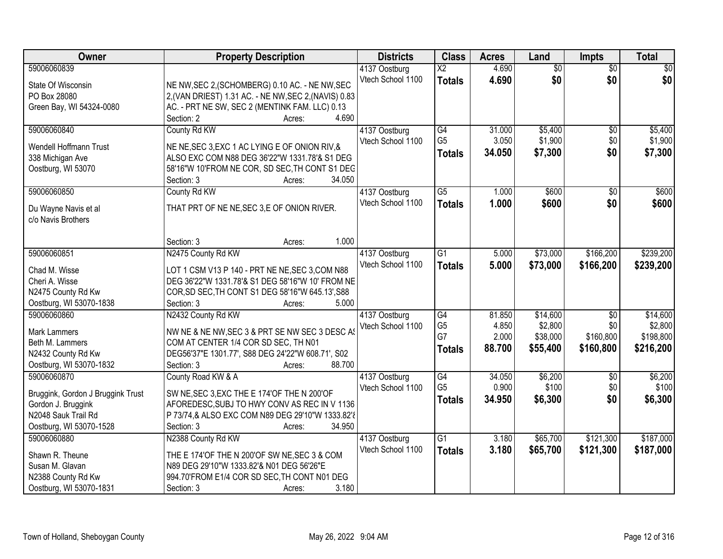| Owner                                 | <b>Property Description</b>                                                                     | <b>Districts</b>                   | <b>Class</b>           | <b>Acres</b> | Land            | <b>Impts</b>    | <b>Total</b> |
|---------------------------------------|-------------------------------------------------------------------------------------------------|------------------------------------|------------------------|--------------|-----------------|-----------------|--------------|
| 59006060839                           |                                                                                                 | 4137 Oostburg                      | $\overline{\text{X2}}$ | 4.690        | $\overline{50}$ | $\overline{50}$ | \$0          |
| State Of Wisconsin                    | NE NW, SEC 2, (SCHOMBERG) 0.10 AC. - NE NW, SEC                                                 | Vtech School 1100                  | <b>Totals</b>          | 4.690        | \$0             | \$0             | \$0          |
| PO Box 28080                          | 2, (VAN DRIEST) 1.31 AC. - NE NW, SEC 2, (NAVIS) 0.83                                           |                                    |                        |              |                 |                 |              |
| Green Bay, WI 54324-0080              | AC. - PRT NE SW, SEC 2 (MENTINK FAM. LLC) 0.13                                                  |                                    |                        |              |                 |                 |              |
|                                       | 4.690<br>Section: 2<br>Acres:                                                                   |                                    |                        |              |                 |                 |              |
| 59006060840                           | County Rd KW                                                                                    | 4137 Oostburg                      | G4                     | 31.000       | \$5,400         | \$0             | \$5,400      |
|                                       |                                                                                                 | Vtech School 1100                  | G <sub>5</sub>         | 3.050        | \$1,900         | \$0             | \$1,900      |
| Wendell Hoffmann Trust                | NE NE, SEC 3, EXC 1 AC LYING E OF ONION RIV, &<br>ALSO EXC COM N88 DEG 36'22"W 1331.78'& S1 DEG |                                    | <b>Totals</b>          | 34.050       | \$7,300         | \$0             | \$7,300      |
| 338 Michigan Ave                      |                                                                                                 |                                    |                        |              |                 |                 |              |
| Oostburg, WI 53070                    | 58'16"W 10'FROM NE COR, SD SEC, TH CONT S1 DEG<br>34.050<br>Section: 3                          |                                    |                        |              |                 |                 |              |
| 59006060850                           | Acres:<br>County Rd KW                                                                          | 4137 Oostburg                      | $\overline{G5}$        | 1.000        | \$600           | $\sqrt[6]{}$    | \$600        |
|                                       |                                                                                                 | Vtech School 1100                  |                        | 1.000        | \$600           | \$0             | \$600        |
| Du Wayne Navis et al                  | THAT PRT OF NE NE, SEC 3, E OF ONION RIVER.                                                     |                                    | <b>Totals</b>          |              |                 |                 |              |
| c/o Navis Brothers                    |                                                                                                 |                                    |                        |              |                 |                 |              |
|                                       |                                                                                                 |                                    |                        |              |                 |                 |              |
|                                       | 1.000<br>Section: 3<br>Acres:                                                                   |                                    |                        |              |                 |                 |              |
| 59006060851                           | N2475 County Rd KW                                                                              | 4137 Oostburg                      | $\overline{G1}$        | 5.000        | \$73,000        | \$166,200       | \$239,200    |
| Chad M. Wisse                         | LOT 1 CSM V13 P 140 - PRT NE NE, SEC 3, COM N88                                                 | Vtech School 1100                  | <b>Totals</b>          | 5.000        | \$73,000        | \$166,200       | \$239,200    |
| Cheri A. Wisse                        | DEG 36'22"W 1331.78'& S1 DEG 58'16"W 10' FROM NE                                                |                                    |                        |              |                 |                 |              |
| N2475 County Rd Kw                    | COR, SD SEC, TH CONT S1 DEG 58'16"W 645.13', S88                                                |                                    |                        |              |                 |                 |              |
| Oostburg, WI 53070-1838               | Section: 3<br>5.000<br>Acres:                                                                   |                                    |                        |              |                 |                 |              |
| 59006060860                           | N2432 County Rd KW                                                                              | 4137 Oostburg                      | $\overline{G4}$        | 81.850       | \$14,600        | \$0             | \$14,600     |
|                                       |                                                                                                 | Vtech School 1100                  | G <sub>5</sub>         | 4.850        | \$2,800         | \$0             | \$2,800      |
| <b>Mark Lammers</b>                   | NW NE & NE NW, SEC 3 & PRT SE NW SEC 3 DESC AS                                                  |                                    | G7                     | 2.000        | \$38,000        | \$160,800       | \$198,800    |
| Beth M. Lammers<br>N2432 County Rd Kw | COM AT CENTER 1/4 COR SD SEC, TH N01<br>DEG56'37"E 1301.77', S88 DEG 24'22"W 608.71', S02       |                                    | <b>Totals</b>          | 88.700       | \$55,400        | \$160,800       | \$216,200    |
| Oostburg, WI 53070-1832               | 88.700<br>Section: 3<br>Acres:                                                                  |                                    |                        |              |                 |                 |              |
| 59006060870                           | County Road KW & A                                                                              |                                    | $\overline{G4}$        | 34.050       | \$6,200         | $\overline{50}$ | \$6,200      |
|                                       |                                                                                                 | 4137 Oostburg<br>Vtech School 1100 | G <sub>5</sub>         | 0.900        | \$100           | \$0             | \$100        |
| Bruggink, Gordon J Bruggink Trust     | SW NE, SEC 3, EXC THE E 174' OF THE N 200' OF                                                   |                                    | <b>Totals</b>          | 34.950       | \$6,300         | \$0             | \$6,300      |
| Gordon J. Bruggink                    | AFOREDESC, SUBJ TO HWY CONV AS REC IN V 1136                                                    |                                    |                        |              |                 |                 |              |
| N2048 Sauk Trail Rd                   | P 73/74,& ALSO EXC COM N89 DEG 29'10"W 1333.82'{                                                |                                    |                        |              |                 |                 |              |
| Oostburg, WI 53070-1528               | 34.950<br>Section: 3<br>Acres:                                                                  |                                    |                        |              |                 |                 |              |
| 59006060880                           | N2388 County Rd KW                                                                              | 4137 Oostburg                      | $\overline{G1}$        | 3.180        | \$65,700        | \$121,300       | \$187,000    |
| Shawn R. Theune                       | THE E 174'OF THE N 200'OF SW NE, SEC 3 & COM                                                    | Vtech School 1100                  | <b>Totals</b>          | 3.180        | \$65,700        | \$121,300       | \$187,000    |
| Susan M. Glavan                       | N89 DEG 29'10"W 1333.82'& N01 DEG 56'26"E                                                       |                                    |                        |              |                 |                 |              |
| N2388 County Rd Kw                    | 994.70'FROM E1/4 COR SD SEC, TH CONT N01 DEG                                                    |                                    |                        |              |                 |                 |              |
| Oostburg, WI 53070-1831               | 3.180<br>Section: 3<br>Acres:                                                                   |                                    |                        |              |                 |                 |              |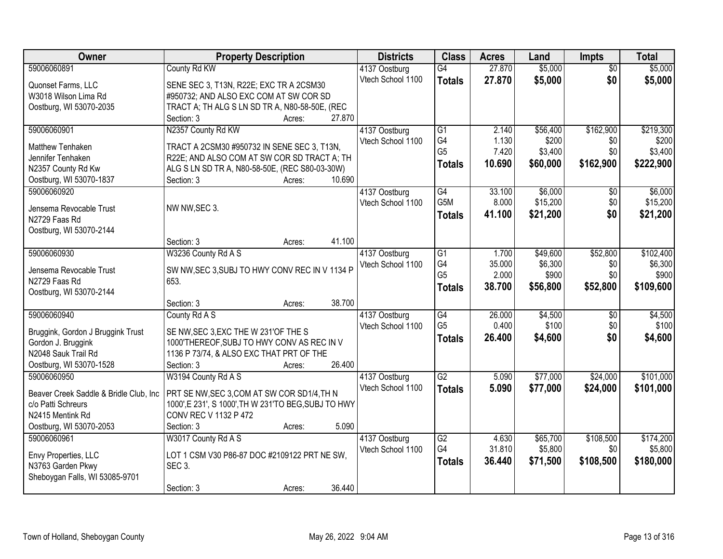| Owner                                         | <b>Property Description</b>                                            |        | <b>Districts</b>                   | <b>Class</b>    | <b>Acres</b> | Land     | <b>Impts</b>    | <b>Total</b> |
|-----------------------------------------------|------------------------------------------------------------------------|--------|------------------------------------|-----------------|--------------|----------|-----------------|--------------|
| 59006060891                                   | County Rd KW                                                           |        | 4137 Oostburg                      | $\overline{G4}$ | 27.870       | \$5,000  | $\overline{50}$ | \$5,000      |
| Quonset Farms, LLC                            | SENE SEC 3, T13N, R22E; EXC TR A 2CSM30                                |        | Vtech School 1100                  | <b>Totals</b>   | 27.870       | \$5,000  | \$0             | \$5,000      |
| W3018 Wilson Lima Rd                          | #950732; AND ALSO EXC COM AT SW COR SD                                 |        |                                    |                 |              |          |                 |              |
| Oostburg, WI 53070-2035                       | TRACT A; TH ALG S LN SD TR A, N80-58-50E, (REC                         |        |                                    |                 |              |          |                 |              |
|                                               | Section: 3<br>Acres:                                                   | 27.870 |                                    |                 |              |          |                 |              |
| 59006060901                                   | N2357 County Rd KW                                                     |        | 4137 Oostburg                      | $\overline{G1}$ | 2.140        | \$56,400 | \$162,900       | \$219,300    |
|                                               |                                                                        |        | Vtech School 1100                  | G4              | 1.130        | \$200    | \$0             | \$200        |
| <b>Matthew Tenhaken</b>                       | TRACT A 2CSM30 #950732 IN SENE SEC 3, T13N,                            |        |                                    | G <sub>5</sub>  | 7.420        | \$3,400  | \$0             | \$3,400      |
| Jennifer Tenhaken                             | R22E; AND ALSO COM AT SW COR SD TRACT A; TH                            |        |                                    | <b>Totals</b>   | 10.690       | \$60,000 | \$162,900       | \$222,900    |
| N2357 County Rd Kw<br>Oostburg, WI 53070-1837 | ALG S LN SD TR A, N80-58-50E, (REC S80-03-30W)<br>Section: 3<br>Acres: | 10.690 |                                    |                 |              |          |                 |              |
| 59006060920                                   |                                                                        |        |                                    | G4              | 33.100       | \$6,000  | \$0             | \$6,000      |
|                                               |                                                                        |        | 4137 Oostburg<br>Vtech School 1100 | G5M             | 8.000        | \$15,200 | \$0             | \$15,200     |
| Jensema Revocable Trust                       | NW NW, SEC 3.                                                          |        |                                    |                 | 41.100       | \$21,200 | \$0             |              |
| N2729 Faas Rd                                 |                                                                        |        |                                    | <b>Totals</b>   |              |          |                 | \$21,200     |
| Oostburg, WI 53070-2144                       |                                                                        |        |                                    |                 |              |          |                 |              |
|                                               | Section: 3<br>Acres:                                                   | 41.100 |                                    |                 |              |          |                 |              |
| 59006060930                                   | W3236 County Rd A S                                                    |        | 4137 Oostburg                      | $\overline{G1}$ | 1.700        | \$49,600 | \$52,800        | \$102,400    |
| Jensema Revocable Trust                       | SW NW, SEC 3, SUBJ TO HWY CONV REC IN V 1134 P                         |        | Vtech School 1100                  | G4              | 35.000       | \$6,300  | \$0             | \$6,300      |
| N2729 Faas Rd                                 | 653.                                                                   |        |                                    | G <sub>5</sub>  | 2.000        | \$900    | \$0             | \$900        |
| Oostburg, WI 53070-2144                       |                                                                        |        |                                    | <b>Totals</b>   | 38.700       | \$56,800 | \$52,800        | \$109,600    |
|                                               | Section: 3<br>Acres:                                                   | 38.700 |                                    |                 |              |          |                 |              |
| 59006060940                                   | County Rd A S                                                          |        | 4137 Oostburg                      | G4              | 26.000       | \$4,500  | $\overline{50}$ | \$4,500      |
|                                               |                                                                        |        | Vtech School 1100                  | G <sub>5</sub>  | 0.400        | \$100    | \$0             | \$100        |
| Bruggink, Gordon J Bruggink Trust             | SE NW, SEC 3, EXC THE W 231'OF THE S                                   |        |                                    | <b>Totals</b>   | 26.400       | \$4,600  | \$0             | \$4,600      |
| Gordon J. Bruggink                            | 1000'THEREOF, SUBJ TO HWY CONV AS REC IN V                             |        |                                    |                 |              |          |                 |              |
| N2048 Sauk Trail Rd                           | 1136 P 73/74, & ALSO EXC THAT PRT OF THE                               |        |                                    |                 |              |          |                 |              |
| Oostburg, WI 53070-1528                       | Section: 3<br>Acres:                                                   | 26.400 |                                    |                 |              |          |                 |              |
| 59006060950                                   | W3194 County Rd A S                                                    |        | 4137 Oostburg                      | G2              | 5.090        | \$77,000 | \$24,000        | \$101,000    |
| Beaver Creek Saddle & Bridle Club, Inc        | PRT SE NW, SEC 3, COM AT SW COR SD1/4, TH N                            |        | Vtech School 1100                  | <b>Totals</b>   | 5.090        | \$77,000 | \$24,000        | \$101,000    |
| c/o Patti Schreurs                            | 1000', E 231', S 1000', TH W 231'TO BEG, SUBJ TO HWY                   |        |                                    |                 |              |          |                 |              |
| N2415 Mentink Rd                              | CONV REC V 1132 P 472                                                  |        |                                    |                 |              |          |                 |              |
| Oostburg, WI 53070-2053                       | Section: 3<br>Acres:                                                   | 5.090  |                                    |                 |              |          |                 |              |
| 59006060961                                   | W3017 County Rd A S                                                    |        | 4137 Oostburg                      | G2              | 4.630        | \$65,700 | \$108,500       | \$174,200    |
|                                               |                                                                        |        | Vtech School 1100                  | G4              | 31.810       | \$5,800  | \$0             | \$5,800      |
| Envy Properties, LLC                          | LOT 1 CSM V30 P86-87 DOC #2109122 PRT NE SW,                           |        |                                    | <b>Totals</b>   | 36.440       | \$71,500 | \$108,500       | \$180,000    |
| N3763 Garden Pkwy                             | <b>SEC 3.</b>                                                          |        |                                    |                 |              |          |                 |              |
| Sheboygan Falls, WI 53085-9701                |                                                                        |        |                                    |                 |              |          |                 |              |
|                                               | Section: 3<br>Acres:                                                   | 36.440 |                                    |                 |              |          |                 |              |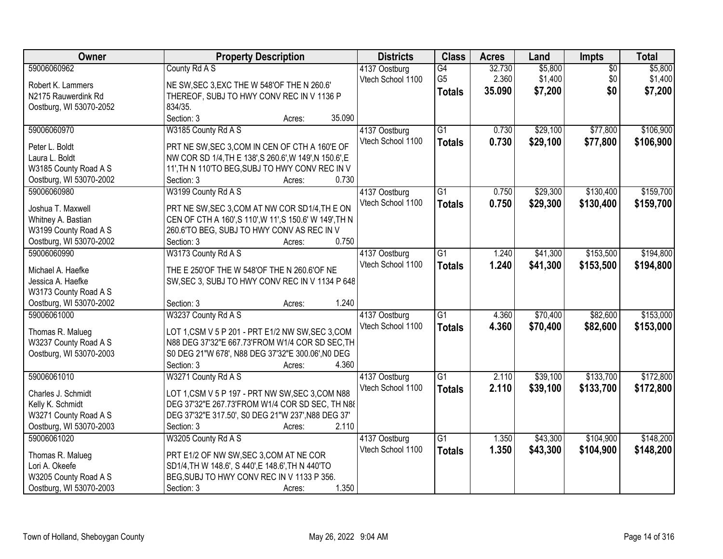| Owner                                            | <b>Property Description</b>                                               | <b>Districts</b>                   | <b>Class</b>    | <b>Acres</b> | Land     | <b>Impts</b>    | <b>Total</b> |
|--------------------------------------------------|---------------------------------------------------------------------------|------------------------------------|-----------------|--------------|----------|-----------------|--------------|
| 59006060962                                      | County Rd A S                                                             | 4137 Oostburg                      | G4              | 32.730       | \$5,800  | $\overline{50}$ | \$5,800      |
| Robert K. Lammers                                | NE SW, SEC 3, EXC THE W 548'OF THE N 260.6'                               | Vtech School 1100                  | G <sub>5</sub>  | 2.360        | \$1,400  | \$0             | \$1,400      |
| N2175 Rauwerdink Rd                              | THEREOF, SUBJ TO HWY CONV REC IN V 1136 P                                 |                                    | <b>Totals</b>   | 35.090       | \$7,200  | \$0             | \$7,200      |
| Oostburg, WI 53070-2052                          | 834/35.                                                                   |                                    |                 |              |          |                 |              |
|                                                  | Section: 3<br>35.090<br>Acres:                                            |                                    |                 |              |          |                 |              |
| 59006060970                                      | W3185 County Rd A S                                                       | 4137 Oostburg                      | $\overline{G1}$ | 0.730        | \$29,100 | \$77,800        | \$106,900    |
| Peter L. Boldt                                   | PRT NE SW, SEC 3, COM IN CEN OF CTH A 160'E OF                            | Vtech School 1100                  | <b>Totals</b>   | 0.730        | \$29,100 | \$77,800        | \$106,900    |
| Laura L. Boldt                                   | NW COR SD 1/4, TH E 138', S 260.6', W 149', N 150.6', E                   |                                    |                 |              |          |                 |              |
| W3185 County Road A S                            | 11', TH N 110'TO BEG, SUBJ TO HWY CONV REC IN V                           |                                    |                 |              |          |                 |              |
| Oostburg, WI 53070-2002                          | 0.730<br>Section: 3<br>Acres:                                             |                                    |                 |              |          |                 |              |
| 59006060980                                      | W3199 County Rd A S                                                       | 4137 Oostburg                      | $\overline{G1}$ | 0.750        | \$29,300 | \$130,400       | \$159,700    |
|                                                  |                                                                           | Vtech School 1100                  | <b>Totals</b>   | 0.750        | \$29,300 | \$130,400       | \$159,700    |
| Joshua T. Maxwell                                | PRT NE SW, SEC 3, COM AT NW COR SD1/4, TH E ON                            |                                    |                 |              |          |                 |              |
| Whitney A. Bastian                               | CEN OF CTH A 160', S 110', W 11', S 150.6' W 149', TH N                   |                                    |                 |              |          |                 |              |
| W3199 County Road A S                            | 260.6'TO BEG, SUBJ TO HWY CONV AS REC IN V                                |                                    |                 |              |          |                 |              |
| Oostburg, WI 53070-2002                          | 0.750<br>Section: 3<br>Acres:                                             |                                    |                 |              |          |                 |              |
| 59006060990                                      | W3173 County Rd A S                                                       | 4137 Oostburg                      | G1              | 1.240        | \$41,300 | \$153,500       | \$194,800    |
| Michael A. Haefke                                | THE E 250'OF THE W 548'OF THE N 260.6'OF NE                               | Vtech School 1100                  | <b>Totals</b>   | 1.240        | \$41,300 | \$153,500       | \$194,800    |
| Jessica A. Haefke                                | SW, SEC 3, SUBJ TO HWY CONV REC IN V 1134 P 648                           |                                    |                 |              |          |                 |              |
| W3173 County Road A S                            |                                                                           |                                    |                 |              |          |                 |              |
| Oostburg, WI 53070-2002                          | 1.240<br>Section: 3<br>Acres:                                             |                                    |                 |              |          |                 |              |
| 59006061000                                      | W3237 County Rd A S                                                       | 4137 Oostburg                      | $\overline{G1}$ | 4.360        | \$70,400 | \$82,600        | \$153,000    |
| Thomas R. Malueg                                 | LOT 1, CSM V 5 P 201 - PRT E1/2 NW SW, SEC 3, COM                         | Vtech School 1100                  | <b>Totals</b>   | 4.360        | \$70,400 | \$82,600        | \$153,000    |
| W3237 County Road A S                            | N88 DEG 37'32"E 667.73'FROM W1/4 COR SD SEC, TH                           |                                    |                 |              |          |                 |              |
| Oostburg, WI 53070-2003                          | S0 DEG 21"W 678', N88 DEG 37'32"E 300.06', N0 DEG                         |                                    |                 |              |          |                 |              |
|                                                  | 4.360<br>Section: 3<br>Acres:                                             |                                    |                 |              |          |                 |              |
| 59006061010                                      | W3271 County Rd A S                                                       | 4137 Oostburg                      | $\overline{G1}$ | 2.110        | \$39,100 | \$133,700       | \$172,800    |
|                                                  |                                                                           | Vtech School 1100                  | <b>Totals</b>   | 2.110        | \$39,100 | \$133,700       | \$172,800    |
| Charles J. Schmidt                               | LOT 1, CSM V 5 P 197 - PRT NW SW, SEC 3, COM N88                          |                                    |                 |              |          |                 |              |
| Kelly K. Schmidt                                 | DEG 37'32"E 267.73'FROM W1/4 COR SD SEC, TH N88                           |                                    |                 |              |          |                 |              |
| W3271 County Road A S<br>Oostburg, WI 53070-2003 | DEG 37'32"E 317.50', S0 DEG 21"W 237', N88 DEG 37'<br>2.110<br>Section: 3 |                                    |                 |              |          |                 |              |
| 59006061020                                      | Acres:<br>W3205 County Rd A S                                             |                                    | $\overline{G1}$ | 1.350        | \$43,300 | \$104,900       | \$148,200    |
|                                                  |                                                                           | 4137 Oostburg<br>Vtech School 1100 |                 |              |          |                 |              |
| Thomas R. Malueg                                 | PRT E1/2 OF NW SW, SEC 3, COM AT NE COR                                   |                                    | <b>Totals</b>   | 1.350        | \$43,300 | \$104,900       | \$148,200    |
| Lori A. Okeefe                                   | SD1/4, TH W 148.6', S 440', E 148.6', TH N 440'TO                         |                                    |                 |              |          |                 |              |
| W3205 County Road A S                            | BEG, SUBJ TO HWY CONV REC IN V 1133 P 356.                                |                                    |                 |              |          |                 |              |
| Oostburg, WI 53070-2003                          | 1.350<br>Section: 3<br>Acres:                                             |                                    |                 |              |          |                 |              |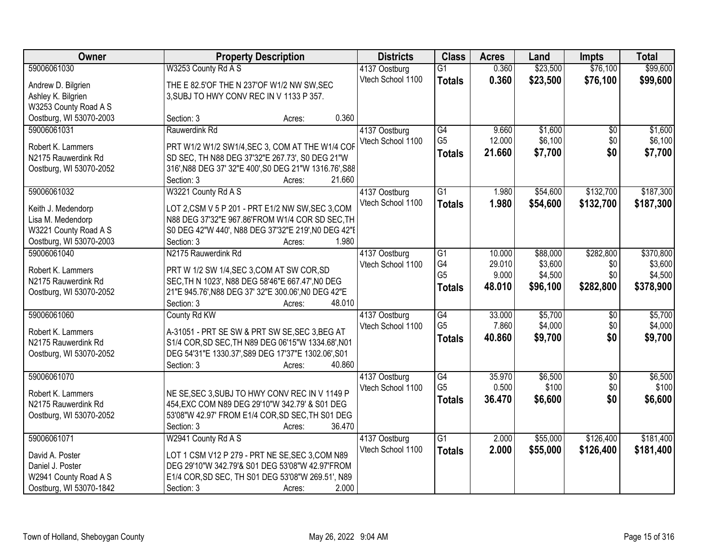| Owner                   | <b>Property Description</b>                                      | <b>Districts</b>  | <b>Class</b>         | <b>Acres</b> | Land     | <b>Impts</b>           | <b>Total</b> |
|-------------------------|------------------------------------------------------------------|-------------------|----------------------|--------------|----------|------------------------|--------------|
| 59006061030             | W3253 County Rd A S                                              | 4137 Oostburg     | $\overline{G1}$      | 0.360        | \$23,500 | \$76,100               | \$99,600     |
| Andrew D. Bilgrien      | THE E 82.5'OF THE N 237'OF W1/2 NW SW, SEC                       | Vtech School 1100 | <b>Totals</b>        | 0.360        | \$23,500 | \$76,100               | \$99,600     |
| Ashley K. Bilgrien      | 3, SUBJ TO HWY CONV REC IN V 1133 P 357.                         |                   |                      |              |          |                        |              |
| W3253 County Road A S   |                                                                  |                   |                      |              |          |                        |              |
| Oostburg, WI 53070-2003 | 0.360<br>Section: 3<br>Acres:                                    |                   |                      |              |          |                        |              |
| 59006061031             | Rauwerdink Rd                                                    | 4137 Oostburg     | G4                   | 9.660        | \$1,600  | \$0                    | \$1,600      |
|                         |                                                                  | Vtech School 1100 | G <sub>5</sub>       | 12.000       | \$6,100  | \$0                    | \$6,100      |
| Robert K. Lammers       | PRT W1/2 W1/2 SW1/4, SEC 3, COM AT THE W1/4 COF                  |                   | <b>Totals</b>        | 21.660       | \$7,700  | \$0                    | \$7,700      |
| N2175 Rauwerdink Rd     | SD SEC, TH N88 DEG 37'32"E 267.73', S0 DEG 21"W                  |                   |                      |              |          |                        |              |
| Oostburg, WI 53070-2052 | 316', N88 DEG 37' 32"E 400', S0 DEG 21"W 1316.76', S88<br>21.660 |                   |                      |              |          |                        |              |
|                         | Section: 3<br>Acres:                                             |                   |                      |              |          |                        |              |
| 59006061032             | W3221 County Rd A S                                              | 4137 Oostburg     | $\overline{G1}$      | 1.980        | \$54,600 | \$132,700              | \$187,300    |
| Keith J. Medendorp      | LOT 2,CSM V 5 P 201 - PRT E1/2 NW SW, SEC 3,COM                  | Vtech School 1100 | <b>Totals</b>        | 1.980        | \$54,600 | \$132,700              | \$187,300    |
| Lisa M. Medendorp       | N88 DEG 37'32"E 967.86'FROM W1/4 COR SD SEC, TH                  |                   |                      |              |          |                        |              |
| W3221 County Road A S   | S0 DEG 42"W 440', N88 DEG 37'32"E 219', N0 DEG 42"E              |                   |                      |              |          |                        |              |
| Oostburg, WI 53070-2003 | 1.980<br>Section: 3<br>Acres:                                    |                   |                      |              |          |                        |              |
| 59006061040             | N2175 Rauwerdink Rd                                              | 4137 Oostburg     | G1                   | 10.000       | \$88,000 | \$282,800              | \$370,800    |
|                         |                                                                  | Vtech School 1100 | G4                   | 29.010       | \$3,600  | \$0                    | \$3,600      |
| Robert K. Lammers       | PRT W 1/2 SW 1/4, SEC 3, COM AT SW COR, SD                       |                   | G <sub>5</sub>       | 9.000        | \$4,500  | \$0                    | \$4,500      |
| N2175 Rauwerdink Rd     | SEC, TH N 1023', N88 DEG 58'46"E 667.47', NO DEG                 |                   | <b>Totals</b>        | 48.010       | \$96,100 | \$282,800              | \$378,900    |
| Oostburg, WI 53070-2052 | 21"E 945.76', N88 DEG 37' 32"E 300.06', N0 DEG 42"E<br>48.010    |                   |                      |              |          |                        |              |
| 59006061060             | Section: 3<br>Acres:                                             |                   |                      | 33.000       | \$5,700  |                        | \$5,700      |
|                         | County Rd KW                                                     | 4137 Oostburg     | G4<br>G <sub>5</sub> | 7.860        | \$4,000  | $\overline{50}$<br>\$0 |              |
| Robert K. Lammers       | A-31051 - PRT SE SW & PRT SW SE, SEC 3, BEG AT                   | Vtech School 1100 |                      |              |          | \$0                    | \$4,000      |
| N2175 Rauwerdink Rd     | S1/4 COR, SD SEC, TH N89 DEG 06'15"W 1334.68', N01               |                   | <b>Totals</b>        | 40.860       | \$9,700  |                        | \$9,700      |
| Oostburg, WI 53070-2052 | DEG 54'31"E 1330.37', S89 DEG 17'37"E 1302.06', S01              |                   |                      |              |          |                        |              |
|                         | Section: 3<br>40.860<br>Acres:                                   |                   |                      |              |          |                        |              |
| 59006061070             |                                                                  | 4137 Oostburg     | G4                   | 35.970       | \$6,500  | $\sqrt{6}$             | \$6,500      |
| Robert K. Lammers       | NE SE, SEC 3, SUBJ TO HWY CONV REC IN V 1149 P                   | Vtech School 1100 | G <sub>5</sub>       | 0.500        | \$100    | \$0                    | \$100        |
| N2175 Rauwerdink Rd     | 454, EXC COM N89 DEG 29'10"W 342.79' & S01 DEG                   |                   | <b>Totals</b>        | 36.470       | \$6,600  | \$0                    | \$6,600      |
| Oostburg, WI 53070-2052 | 53'08"W 42.97' FROM E1/4 COR, SD SEC, TH S01 DEG                 |                   |                      |              |          |                        |              |
|                         | 36.470<br>Section: 3<br>Acres:                                   |                   |                      |              |          |                        |              |
| 59006061071             | W2941 County Rd A S                                              | 4137 Oostburg     | $\overline{G1}$      | 2.000        | \$55,000 | \$126,400              | \$181,400    |
|                         |                                                                  | Vtech School 1100 |                      |              |          |                        |              |
| David A. Poster         | LOT 1 CSM V12 P 279 - PRT NE SE, SEC 3, COM N89                  |                   | <b>Totals</b>        | 2.000        | \$55,000 | \$126,400              | \$181,400    |
| Daniel J. Poster        | DEG 29'10"W 342.79'& S01 DEG 53'08"W 42.97'FROM                  |                   |                      |              |          |                        |              |
| W2941 County Road A S   | E1/4 COR, SD SEC, TH S01 DEG 53'08"W 269.51', N89                |                   |                      |              |          |                        |              |
| Oostburg, WI 53070-1842 | 2.000<br>Section: 3<br>Acres:                                    |                   |                      |              |          |                        |              |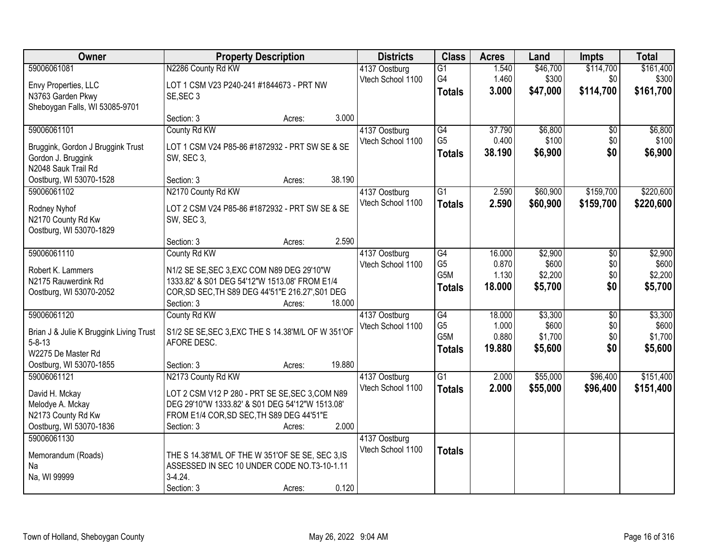| Owner                                   | <b>Property Description</b>                        |        |        | <b>Districts</b>  | <b>Class</b>    | <b>Acres</b> | Land     | <b>Impts</b>    | <b>Total</b> |
|-----------------------------------------|----------------------------------------------------|--------|--------|-------------------|-----------------|--------------|----------|-----------------|--------------|
| 59006061081                             | N2286 County Rd KW                                 |        |        | 4137 Oostburg     | $\overline{G1}$ | 1.540        | \$46,700 | \$114,700       | \$161,400    |
| Envy Properties, LLC                    | LOT 1 CSM V23 P240-241 #1844673 - PRT NW           |        |        | Vtech School 1100 | G4              | 1.460        | \$300    | \$0             | \$300        |
| N3763 Garden Pkwy                       | SE, SEC 3                                          |        |        |                   | <b>Totals</b>   | 3.000        | \$47,000 | \$114,700       | \$161,700    |
| Sheboygan Falls, WI 53085-9701          |                                                    |        |        |                   |                 |              |          |                 |              |
|                                         | Section: 3                                         | Acres: | 3.000  |                   |                 |              |          |                 |              |
| 59006061101                             | County Rd KW                                       |        |        | 4137 Oostburg     | G4              | 37.790       | \$6,800  | \$0             | \$6,800      |
| Bruggink, Gordon J Bruggink Trust       | LOT 1 CSM V24 P85-86 #1872932 - PRT SW SE & SE     |        |        | Vtech School 1100 | G <sub>5</sub>  | 0.400        | \$100    | \$0             | \$100        |
| Gordon J. Bruggink                      | SW, SEC 3,                                         |        |        |                   | <b>Totals</b>   | 38.190       | \$6,900  | \$0             | \$6,900      |
| N2048 Sauk Trail Rd                     |                                                    |        |        |                   |                 |              |          |                 |              |
| Oostburg, WI 53070-1528                 | Section: 3                                         | Acres: | 38.190 |                   |                 |              |          |                 |              |
| 59006061102                             | N2170 County Rd KW                                 |        |        | 4137 Oostburg     | $\overline{G1}$ | 2.590        | \$60,900 | \$159,700       | \$220,600    |
|                                         | LOT 2 CSM V24 P85-86 #1872932 - PRT SW SE & SE     |        |        | Vtech School 1100 | <b>Totals</b>   | 2.590        | \$60,900 | \$159,700       | \$220,600    |
| Rodney Nyhof<br>N2170 County Rd Kw      | SW, SEC 3,                                         |        |        |                   |                 |              |          |                 |              |
| Oostburg, WI 53070-1829                 |                                                    |        |        |                   |                 |              |          |                 |              |
|                                         | Section: 3                                         | Acres: | 2.590  |                   |                 |              |          |                 |              |
| 59006061110                             | County Rd KW                                       |        |        | 4137 Oostburg     | G4              | 16.000       | \$2,900  | \$0             | \$2,900      |
|                                         |                                                    |        |        | Vtech School 1100 | G <sub>5</sub>  | 0.870        | \$600    | \$0             | \$600        |
| Robert K. Lammers                       | N1/2 SE SE, SEC 3, EXC COM N89 DEG 29'10"W         |        |        |                   | G5M             | 1.130        | \$2,200  | \$0             | \$2,200      |
| N2175 Rauwerdink Rd                     | 1333.82' & S01 DEG 54'12"W 1513.08' FROM E1/4      |        |        |                   | <b>Totals</b>   | 18.000       | \$5,700  | \$0             | \$5,700      |
| Oostburg, WI 53070-2052                 | COR, SD SEC, TH S89 DEG 44'51"E 216.27', S01 DEG   |        |        |                   |                 |              |          |                 |              |
|                                         | Section: 3                                         | Acres: | 18.000 |                   |                 |              |          |                 |              |
| 59006061120                             | County Rd KW                                       |        |        | 4137 Oostburg     | G4              | 18.000       | \$3,300  | $\overline{50}$ | \$3,300      |
| Brian J & Julie K Bruggink Living Trust | S1/2 SE SE, SEC 3, EXC THE S 14.38'M/L OF W 351'OF |        |        | Vtech School 1100 | G <sub>5</sub>  | 1.000        | \$600    | \$0             | \$600        |
| $5 - 8 - 13$                            | AFORE DESC.                                        |        |        |                   | G5M             | 0.880        | \$1,700  | \$0             | \$1,700      |
| W2275 De Master Rd                      |                                                    |        |        |                   | <b>Totals</b>   | 19.880       | \$5,600  | \$0             | \$5,600      |
| Oostburg, WI 53070-1855                 | Section: 3                                         | Acres: | 19.880 |                   |                 |              |          |                 |              |
| 59006061121                             | N2173 County Rd KW                                 |        |        | 4137 Oostburg     | $\overline{G1}$ | 2.000        | \$55,000 | \$96,400        | \$151,400    |
| David H. Mckay                          | LOT 2 CSM V12 P 280 - PRT SE SE, SEC 3, COM N89    |        |        | Vtech School 1100 | <b>Totals</b>   | 2.000        | \$55,000 | \$96,400        | \$151,400    |
| Melodye A. Mckay                        | DEG 29'10"W 1333.82' & S01 DEG 54'12"W 1513.08'    |        |        |                   |                 |              |          |                 |              |
| N2173 County Rd Kw                      | FROM E1/4 COR, SD SEC, TH S89 DEG 44'51"E          |        |        |                   |                 |              |          |                 |              |
| Oostburg, WI 53070-1836                 | Section: 3                                         | Acres: | 2.000  |                   |                 |              |          |                 |              |
| 59006061130                             |                                                    |        |        | 4137 Oostburg     |                 |              |          |                 |              |
| Memorandum (Roads)                      | THE S 14.38'M/L OF THE W 351'OF SE SE, SEC 3, IS   |        |        | Vtech School 1100 | <b>Totals</b>   |              |          |                 |              |
| Na                                      | ASSESSED IN SEC 10 UNDER CODE NO.T3-10-1.11        |        |        |                   |                 |              |          |                 |              |
| Na, WI 99999                            | $3-4.24$ .                                         |        |        |                   |                 |              |          |                 |              |
|                                         | Section: 3                                         | Acres: | 0.120  |                   |                 |              |          |                 |              |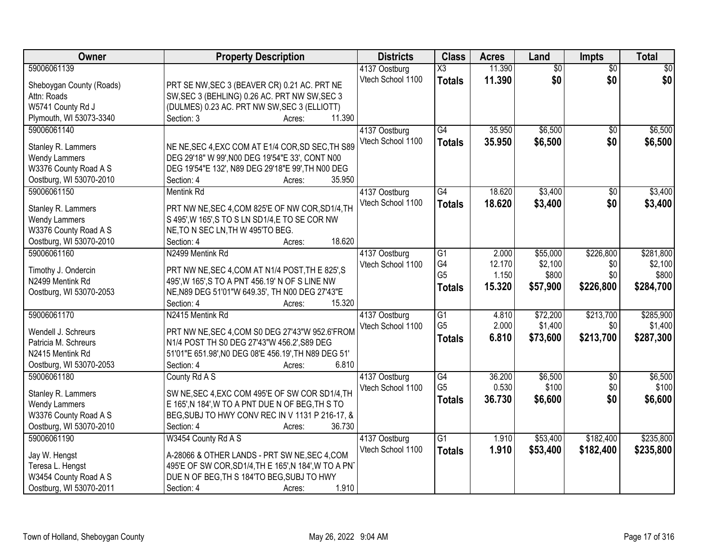| Owner                                  | <b>Property Description</b>                          | <b>Districts</b>  | <b>Class</b>    | <b>Acres</b> | Land            | <b>Impts</b>    | <b>Total</b> |
|----------------------------------------|------------------------------------------------------|-------------------|-----------------|--------------|-----------------|-----------------|--------------|
| 59006061139                            |                                                      | 4137 Oostburg     | X3              | 11.390       | $\overline{50}$ | $\overline{50}$ | $\sqrt{30}$  |
| Sheboygan County (Roads)               | PRT SE NW, SEC 3 (BEAVER CR) 0.21 AC. PRT NE         | Vtech School 1100 | <b>Totals</b>   | 11.390       | \$0             | \$0             | \$0          |
| Attn: Roads                            | SW, SEC 3 (BEHLING) 0.26 AC. PRT NW SW, SEC 3        |                   |                 |              |                 |                 |              |
| W5741 County Rd J                      | (DULMES) 0.23 AC. PRT NW SW, SEC 3 (ELLIOTT)         |                   |                 |              |                 |                 |              |
| Plymouth, WI 53073-3340                | 11.390<br>Section: 3<br>Acres:                       |                   |                 |              |                 |                 |              |
| 59006061140                            |                                                      | 4137 Oostburg     | G4              | 35.950       | \$6,500         | $\overline{50}$ | \$6,500      |
|                                        |                                                      | Vtech School 1100 | <b>Totals</b>   | 35.950       | \$6,500         | \$0             | \$6,500      |
| Stanley R. Lammers                     | NE NE, SEC 4, EXC COM AT E1/4 COR, SD SEC, TH S89    |                   |                 |              |                 |                 |              |
| <b>Wendy Lammers</b>                   | DEG 29'18" W 99', N00 DEG 19'54"E 33', CONT N00      |                   |                 |              |                 |                 |              |
| W3376 County Road A S                  | DEG 19'54"E 132', N89 DEG 29'18"E 99', TH N00 DEG    |                   |                 |              |                 |                 |              |
| Oostburg, WI 53070-2010                | 35.950<br>Section: 4<br>Acres:                       |                   |                 |              |                 |                 |              |
| 59006061150                            | <b>Mentink Rd</b>                                    | 4137 Oostburg     | G4              | 18.620       | \$3,400         | $\overline{50}$ | \$3,400      |
| Stanley R. Lammers                     | PRT NW NE, SEC 4, COM 825'E OF NW COR, SD1/4, TH     | Vtech School 1100 | <b>Totals</b>   | 18.620       | \$3,400         | \$0             | \$3,400      |
| <b>Wendy Lammers</b>                   | S 495', W 165', S TO S LN SD1/4, E TO SE COR NW      |                   |                 |              |                 |                 |              |
| W3376 County Road A S                  | NE, TO N SEC LN, TH W 495'TO BEG.                    |                   |                 |              |                 |                 |              |
| Oostburg, WI 53070-2010                | 18.620<br>Section: 4<br>Acres:                       |                   |                 |              |                 |                 |              |
| 59006061160                            | N2499 Mentink Rd                                     | 4137 Oostburg     | G1              | 2.000        | \$55,000        | \$226,800       | \$281,800    |
|                                        |                                                      | Vtech School 1100 | G4              | 12.170       | \$2,100         | \$0             | \$2,100      |
| Timothy J. Ondercin                    | PRT NW NE, SEC 4, COM AT N1/4 POST, TH E 825', S     |                   | G <sub>5</sub>  | 1.150        | \$800           | \$0             | \$800        |
| N2499 Mentink Rd                       | 495', W 165', S TO A PNT 456.19' N OF S LINE NW      |                   | <b>Totals</b>   | 15.320       | \$57,900        | \$226,800       | \$284,700    |
| Oostburg, WI 53070-2053                | NE, N89 DEG 51'01"W 649.35', TH N00 DEG 27'43"E      |                   |                 |              |                 |                 |              |
|                                        | 15.320<br>Section: 4<br>Acres:                       |                   |                 |              |                 |                 |              |
| 59006061170                            | N2415 Mentink Rd                                     | 4137 Oostburg     | $\overline{G1}$ | 4.810        | \$72,200        | \$213,700       | \$285,900    |
| Wendell J. Schreurs                    | PRT NW NE, SEC 4, COM S0 DEG 27'43"W 952.6'FROM      | Vtech School 1100 | G <sub>5</sub>  | 2.000        | \$1,400         | \$0             | \$1,400      |
| Patricia M. Schreurs                   | N1/4 POST TH S0 DEG 27'43"W 456.2', S89 DEG          |                   | <b>Totals</b>   | 6.810        | \$73,600        | \$213,700       | \$287,300    |
| N2415 Mentink Rd                       | 51'01"E 651.98', NO DEG 08'E 456.19', TH N89 DEG 51' |                   |                 |              |                 |                 |              |
| Oostburg, WI 53070-2053                | 6.810<br>Section: 4<br>Acres:                        |                   |                 |              |                 |                 |              |
| 59006061180                            | County Rd A S                                        | 4137 Oostburg     | G4              | 36.200       | \$6,500         | $\overline{60}$ | \$6,500      |
|                                        |                                                      | Vtech School 1100 | G <sub>5</sub>  | 0.530        | \$100           | \$0             | \$100        |
| Stanley R. Lammers                     | SW NE, SEC 4, EXC COM 495'E OF SW COR SD1/4, TH      |                   | <b>Totals</b>   | 36.730       | \$6,600         | \$0             | \$6,600      |
| <b>Wendy Lammers</b>                   | E 165', N 184', W TO A PNT DUE N OF BEG, TH S TO     |                   |                 |              |                 |                 |              |
| W3376 County Road A S                  | BEG, SUBJ TO HWY CONV REC IN V 1131 P 216-17, &      |                   |                 |              |                 |                 |              |
| Oostburg, WI 53070-2010<br>59006061190 | 36.730<br>Section: 4<br>Acres:                       |                   |                 |              |                 |                 |              |
|                                        | W3454 County Rd A S                                  | 4137 Oostburg     | $\overline{G1}$ | 1.910        | \$53,400        | \$182,400       | \$235,800    |
| Jay W. Hengst                          | A-28066 & OTHER LANDS - PRT SW NE, SEC 4, COM        | Vtech School 1100 | <b>Totals</b>   | 1.910        | \$53,400        | \$182,400       | \$235,800    |
| Teresa L. Hengst                       | 495'E OF SW COR, SD1/4, TH E 165', N 184', W TO A PN |                   |                 |              |                 |                 |              |
| W3454 County Road A S                  | DUE N OF BEG, TH S 184'TO BEG, SUBJ TO HWY           |                   |                 |              |                 |                 |              |
| Oostburg, WI 53070-2011                | 1.910<br>Section: 4<br>Acres:                        |                   |                 |              |                 |                 |              |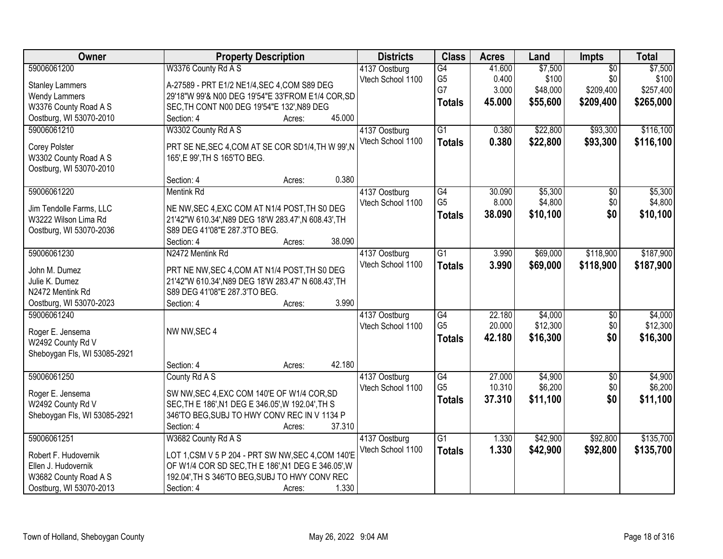| Owner                        | <b>Property Description</b>                          | <b>Districts</b>  | <b>Class</b>    | <b>Acres</b> | Land     | Impts           | <b>Total</b> |
|------------------------------|------------------------------------------------------|-------------------|-----------------|--------------|----------|-----------------|--------------|
| 59006061200                  | W3376 County Rd A S                                  | 4137 Oostburg     | G4              | 41.600       | \$7,500  | $\overline{50}$ | \$7,500      |
| <b>Stanley Lammers</b>       | A-27589 - PRT E1/2 NE1/4, SEC 4, COM S89 DEG         | Vtech School 1100 | G <sub>5</sub>  | 0.400        | \$100    | \$0             | \$100        |
| <b>Wendy Lammers</b>         | 29'18"W 99'& N00 DEG 19'54"E 33'FROM E1/4 COR, SD    |                   | G7              | 3.000        | \$48,000 | \$209,400       | \$257,400    |
| W3376 County Road A S        | SEC, TH CONT N00 DEG 19'54"E 132', N89 DEG           |                   | <b>Totals</b>   | 45.000       | \$55,600 | \$209,400       | \$265,000    |
| Oostburg, WI 53070-2010      | Section: 4<br>45.000<br>Acres:                       |                   |                 |              |          |                 |              |
| 59006061210                  | W3302 County Rd A S                                  | 4137 Oostburg     | $\overline{G1}$ | 0.380        | \$22,800 | \$93,300        | \$116,100    |
|                              |                                                      | Vtech School 1100 | <b>Totals</b>   | 0.380        | \$22,800 | \$93,300        | \$116,100    |
| <b>Corey Polster</b>         | PRT SE NE, SEC 4, COM AT SE COR SD1/4, TH W 99', N   |                   |                 |              |          |                 |              |
| W3302 County Road A S        | 165', E 99', TH S 165'TO BEG.                        |                   |                 |              |          |                 |              |
| Oostburg, WI 53070-2010      |                                                      |                   |                 |              |          |                 |              |
|                              | 0.380<br>Section: 4<br>Acres:                        |                   |                 |              |          |                 |              |
| 59006061220                  | <b>Mentink Rd</b>                                    | 4137 Oostburg     | $\overline{G4}$ | 30.090       | \$5,300  | $\overline{50}$ | \$5,300      |
| Jim Tendolle Farms, LLC      | NE NW, SEC 4, EXC COM AT N1/4 POST, TH S0 DEG        | Vtech School 1100 | G <sub>5</sub>  | 8.000        | \$4,800  | \$0             | \$4,800      |
| W3222 Wilson Lima Rd         | 21'42"W 610.34', N89 DEG 18'W 283.47', N 608.43', TH |                   | <b>Totals</b>   | 38.090       | \$10,100 | \$0             | \$10,100     |
| Oostburg, WI 53070-2036      | S89 DEG 41'08"E 287.3'TO BEG.                        |                   |                 |              |          |                 |              |
|                              | 38.090<br>Section: 4<br>Acres:                       |                   |                 |              |          |                 |              |
| 59006061230                  | N2472 Mentink Rd                                     | 4137 Oostburg     | $\overline{G1}$ | 3.990        | \$69,000 | \$118,900       | \$187,900    |
|                              |                                                      | Vtech School 1100 | <b>Totals</b>   | 3.990        | \$69,000 | \$118,900       | \$187,900    |
| John M. Dumez                | PRT NE NW, SEC 4, COM AT N1/4 POST, TH S0 DEG        |                   |                 |              |          |                 |              |
| Julie K. Dumez               | 21'42"W 610.34', N89 DEG 18'W 283.47' N 608.43', TH  |                   |                 |              |          |                 |              |
| N2472 Mentink Rd             | S89 DEG 41'08"E 287.3'TO BEG.                        |                   |                 |              |          |                 |              |
| Oostburg, WI 53070-2023      | 3.990<br>Section: 4<br>Acres:                        |                   |                 |              |          |                 |              |
| 59006061240                  |                                                      | 4137 Oostburg     | $\overline{G4}$ | 22.180       | \$4,000  | \$0             | \$4,000      |
| Roger E. Jensema             | NW NW, SEC 4                                         | Vtech School 1100 | G <sub>5</sub>  | 20.000       | \$12,300 | \$0             | \$12,300     |
| W2492 County Rd V            |                                                      |                   | <b>Totals</b>   | 42.180       | \$16,300 | \$0             | \$16,300     |
| Sheboygan Fls, WI 53085-2921 |                                                      |                   |                 |              |          |                 |              |
|                              | 42.180<br>Section: 4<br>Acres:                       |                   |                 |              |          |                 |              |
| 59006061250                  | County Rd A S                                        | 4137 Oostburg     | G4              | 27.000       | \$4,900  | $\sqrt{6}$      | \$4,900      |
|                              |                                                      | Vtech School 1100 | G <sub>5</sub>  | 10.310       | \$6,200  | \$0             | \$6,200      |
| Roger E. Jensema             | SW NW, SEC 4, EXC COM 140'E OF W1/4 COR, SD          |                   | <b>Totals</b>   | 37.310       | \$11,100 | \$0             | \$11,100     |
| W2492 County Rd V            | SEC, TH E 186', N1 DEG E 346.05', W 192.04', TH S    |                   |                 |              |          |                 |              |
| Sheboygan Fls, WI 53085-2921 | 346'TO BEG, SUBJ TO HWY CONV REC IN V 1134 P         |                   |                 |              |          |                 |              |
|                              | Section: 4<br>37.310<br>Acres:                       |                   |                 |              |          |                 |              |
| 59006061251                  | W3682 County Rd A S                                  | 4137 Oostburg     | $\overline{G1}$ | 1.330        | \$42,900 | \$92,800        | \$135,700    |
| Robert F. Hudovernik         | LOT 1,CSM V 5 P 204 - PRT SW NW, SEC 4,COM 140'E     | Vtech School 1100 | <b>Totals</b>   | 1.330        | \$42,900 | \$92,800        | \$135,700    |
| Ellen J. Hudovernik          | OF W1/4 COR SD SEC, TH E 186', N1 DEG E 346.05', W   |                   |                 |              |          |                 |              |
| W3682 County Road A S        | 192.04', TH S 346'TO BEG, SUBJ TO HWY CONV REC       |                   |                 |              |          |                 |              |
| Oostburg, WI 53070-2013      | 1.330<br>Section: 4<br>Acres:                        |                   |                 |              |          |                 |              |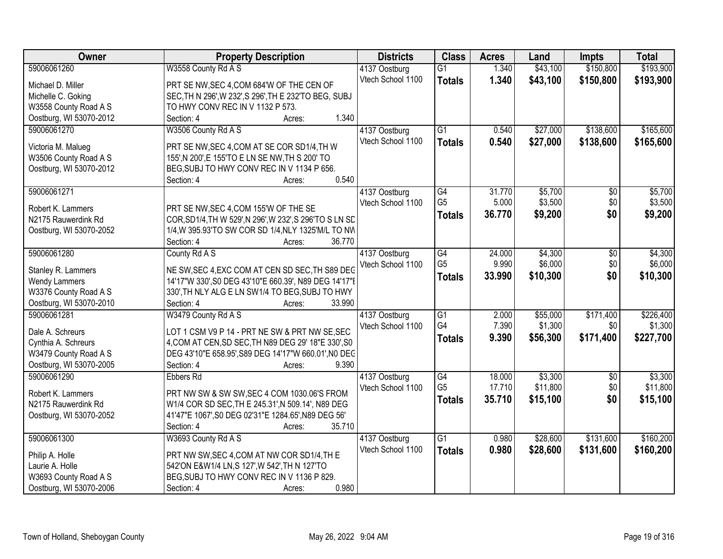| Owner                   | <b>Property Description</b>                             | <b>Districts</b>  | <b>Class</b>    | <b>Acres</b> | Land     | <b>Impts</b>    | <b>Total</b> |
|-------------------------|---------------------------------------------------------|-------------------|-----------------|--------------|----------|-----------------|--------------|
| 59006061260             | W3558 County Rd A S                                     | 4137 Oostburg     | $\overline{G1}$ | 1.340        | \$43,100 | \$150,800       | \$193,900    |
| Michael D. Miller       | PRT SE NW, SEC 4, COM 684'W OF THE CEN OF               | Vtech School 1100 | <b>Totals</b>   | 1.340        | \$43,100 | \$150,800       | \$193,900    |
| Michelle C. Goking      | SEC, TH N 296', W 232', S 296', TH E 232'TO BEG, SUBJ   |                   |                 |              |          |                 |              |
| W3558 County Road A S   | TO HWY CONV REC IN V 1132 P 573.                        |                   |                 |              |          |                 |              |
| Oostburg, WI 53070-2012 | 1.340<br>Section: 4<br>Acres:                           |                   |                 |              |          |                 |              |
| 59006061270             | W3506 County Rd A S                                     | 4137 Oostburg     | $\overline{G1}$ | 0.540        | \$27,000 | \$138,600       | \$165,600    |
|                         |                                                         | Vtech School 1100 | <b>Totals</b>   | 0.540        | \$27,000 | \$138,600       | \$165,600    |
| Victoria M. Malueg      | PRT SE NW, SEC 4, COM AT SE COR SD1/4, TH W             |                   |                 |              |          |                 |              |
| W3506 County Road A S   | 155', N 200', E 155'TO E LN SE NW, TH S 200' TO         |                   |                 |              |          |                 |              |
| Oostburg, WI 53070-2012 | BEG, SUBJ TO HWY CONV REC IN V 1134 P 656.              |                   |                 |              |          |                 |              |
|                         | 0.540<br>Section: 4<br>Acres:                           |                   |                 |              |          |                 |              |
| 59006061271             |                                                         | 4137 Oostburg     | G4              | 31.770       | \$5,700  | \$0             | \$5,700      |
| Robert K. Lammers       | PRT SE NW, SEC 4, COM 155'W OF THE SE                   | Vtech School 1100 | G <sub>5</sub>  | 5.000        | \$3,500  | \$0             | \$3,500      |
| N2175 Rauwerdink Rd     | COR, SD1/4, TH W 529', N 296', W 232', S 296'TO S LN SD |                   | <b>Totals</b>   | 36.770       | \$9,200  | \$0             | \$9,200      |
| Oostburg, WI 53070-2052 | 1/4, W 395.93'TO SW COR SD 1/4, NLY 1325'M/L TO NW      |                   |                 |              |          |                 |              |
|                         | Section: 4<br>36.770<br>Acres:                          |                   |                 |              |          |                 |              |
| 59006061280             | County Rd A S                                           | 4137 Oostburg     | $\overline{G4}$ | 24.000       | \$4,300  | \$0             | \$4,300      |
|                         |                                                         | Vtech School 1100 | G <sub>5</sub>  | 9.990        | \$6,000  | \$0             | \$6,000      |
| Stanley R. Lammers      | NE SW, SEC 4, EXC COM AT CEN SD SEC, TH S89 DEG         |                   | <b>Totals</b>   | 33.990       | \$10,300 | \$0             | \$10,300     |
| <b>Wendy Lammers</b>    | 14'17"W 330', S0 DEG 43'10"E 660.39', N89 DEG 14'17"E   |                   |                 |              |          |                 |              |
| W3376 County Road A S   | 330', TH NLY ALG E LN SW1/4 TO BEG, SUBJ TO HWY         |                   |                 |              |          |                 |              |
| Oostburg, WI 53070-2010 | 33.990<br>Section: 4<br>Acres:                          |                   |                 |              |          |                 |              |
| 59006061281             | W3479 County Rd A S                                     | 4137 Oostburg     | $\overline{G1}$ | 2.000        | \$55,000 | \$171,400       | \$226,400    |
| Dale A. Schreurs        | LOT 1 CSM V9 P 14 - PRT NE SW & PRT NW SE, SEC          | Vtech School 1100 | G4              | 7.390        | \$1,300  | \$0             | \$1,300      |
| Cynthia A. Schreurs     | 4, COM AT CEN, SD SEC, TH N89 DEG 29' 18"E 330', S0     |                   | <b>Totals</b>   | 9.390        | \$56,300 | \$171,400       | \$227,700    |
| W3479 County Road A S   | DEG 43'10"E 658.95', S89 DEG 14'17"W 660.01', NO DEC    |                   |                 |              |          |                 |              |
| Oostburg, WI 53070-2005 | 9.390<br>Section: 4<br>Acres:                           |                   |                 |              |          |                 |              |
| 59006061290             | <b>Ebbers Rd</b>                                        | 4137 Oostburg     | G4              | 18.000       | \$3,300  | $\overline{50}$ | \$3,300      |
|                         |                                                         | Vtech School 1100 | G <sub>5</sub>  | 17.710       | \$11,800 | \$0             | \$11,800     |
| Robert K. Lammers       | PRT NW SW & SW SW, SEC 4 COM 1030.06'S FROM             |                   | <b>Totals</b>   | 35.710       | \$15,100 | \$0             | \$15,100     |
| N2175 Rauwerdink Rd     | W1/4 COR SD SEC, TH E 245.31', N 509.14', N89 DEG       |                   |                 |              |          |                 |              |
| Oostburg, WI 53070-2052 | 41'47"E 1067', S0 DEG 02'31"E 1284.65', N89 DEG 56'     |                   |                 |              |          |                 |              |
|                         | 35.710<br>Section: 4<br>Acres:                          |                   |                 |              |          |                 |              |
| 59006061300             | W3693 County Rd A S                                     | 4137 Oostburg     | $\overline{G1}$ | 0.980        | \$28,600 | \$131,600       | \$160,200    |
| Philip A. Holle         | PRT NW SW, SEC 4, COM AT NW COR SD1/4, TH E             | Vtech School 1100 | <b>Totals</b>   | 0.980        | \$28,600 | \$131,600       | \$160,200    |
| Laurie A. Holle         | 542'ON E&W1/4 LN, S 127', W 542', TH N 127'TO           |                   |                 |              |          |                 |              |
| W3693 County Road A S   | BEG, SUBJ TO HWY CONV REC IN V 1136 P 829.              |                   |                 |              |          |                 |              |
| Oostburg, WI 53070-2006 | 0.980<br>Section: 4<br>Acres:                           |                   |                 |              |          |                 |              |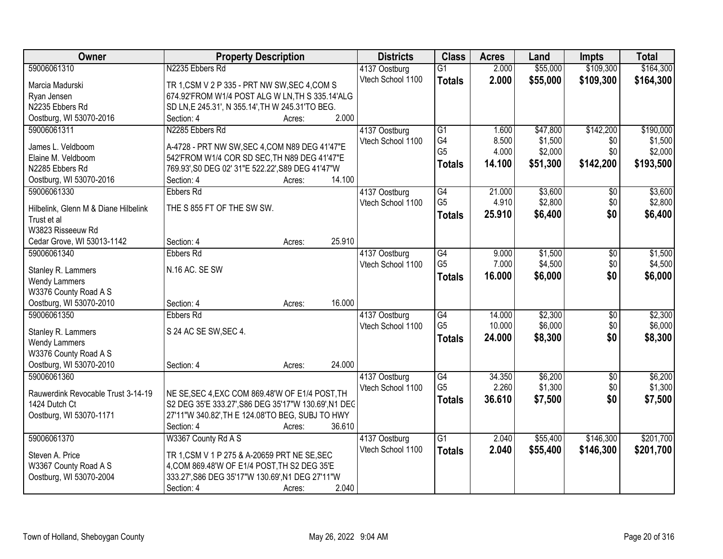| Owner                                      | <b>Property Description</b>                                                                    |        | <b>Districts</b>  | <b>Class</b>    | <b>Acres</b> | Land     | Impts           | <b>Total</b> |
|--------------------------------------------|------------------------------------------------------------------------------------------------|--------|-------------------|-----------------|--------------|----------|-----------------|--------------|
| 59006061310                                | N2235 Ebbers Rd                                                                                |        | 4137 Oostburg     | $\overline{G1}$ | 2.000        | \$55,000 | \$109,300       | \$164,300    |
| Marcia Madurski                            | TR 1, CSM V 2 P 335 - PRT NW SW, SEC 4, COM S                                                  |        | Vtech School 1100 | <b>Totals</b>   | 2.000        | \$55,000 | \$109,300       | \$164,300    |
| Ryan Jensen                                | 674.92'FROM W1/4 POST ALG W LN, TH S 335.14'ALG                                                |        |                   |                 |              |          |                 |              |
| N2235 Ebbers Rd                            | SD LN, E 245.31', N 355.14', TH W 245.31'TO BEG.                                               |        |                   |                 |              |          |                 |              |
| Oostburg, WI 53070-2016                    | Section: 4                                                                                     | Acres: | 2.000             |                 |              |          |                 |              |
| 59006061311                                | N2285 Ebbers Rd                                                                                |        | 4137 Oostburg     | $\overline{G1}$ | 1.600        | \$47,800 | \$142,200       | \$190,000    |
|                                            |                                                                                                |        | Vtech School 1100 | G4              | 8.500        | \$1,500  | \$0             | \$1,500      |
| James L. Veldboom<br>Elaine M. Veldboom    | A-4728 - PRT NW SW, SEC 4, COM N89 DEG 41'47"E<br>542'FROM W1/4 COR SD SEC. TH N89 DEG 41'47"E |        |                   | G <sub>5</sub>  | 4.000        | \$2,000  | \$0             | \$2,000      |
| N2285 Ebbers Rd                            | 769.93', S0 DEG 02' 31"E 522.22', S89 DEG 41'47"W                                              |        |                   | <b>Totals</b>   | 14.100       | \$51,300 | \$142,200       | \$193,500    |
|                                            | Section: 4                                                                                     |        | 14.100            |                 |              |          |                 |              |
| Oostburg, WI 53070-2016<br>59006061330     | <b>Ebbers Rd</b>                                                                               | Acres: |                   | G4              | 21.000       | \$3,600  |                 | \$3,600      |
|                                            |                                                                                                |        | 4137 Oostburg     | G <sub>5</sub>  |              | \$2,800  | \$0             |              |
| Hilbelink, Glenn M & Diane Hilbelink       | THE S 855 FT OF THE SW SW.                                                                     |        | Vtech School 1100 |                 | 4.910        |          | \$0             | \$2,800      |
| Trust et al                                |                                                                                                |        |                   | <b>Totals</b>   | 25.910       | \$6,400  | \$0             | \$6,400      |
| W3823 Risseeuw Rd                          |                                                                                                |        |                   |                 |              |          |                 |              |
| Cedar Grove, WI 53013-1142                 | Section: 4                                                                                     | Acres: | 25.910            |                 |              |          |                 |              |
| 59006061340                                | <b>Ebbers Rd</b>                                                                               |        | 4137 Oostburg     | G4              | 9.000        | \$1,500  | \$0             | \$1,500      |
|                                            | N.16 AC. SE SW                                                                                 |        | Vtech School 1100 | G <sub>5</sub>  | 7.000        | \$4,500  | \$0             | \$4,500      |
| Stanley R. Lammers<br><b>Wendy Lammers</b> |                                                                                                |        |                   | <b>Totals</b>   | 16.000       | \$6,000  | \$0             | \$6,000      |
| W3376 County Road A S                      |                                                                                                |        |                   |                 |              |          |                 |              |
| Oostburg, WI 53070-2010                    | Section: 4                                                                                     | Acres: | 16.000            |                 |              |          |                 |              |
| 59006061350                                | <b>Ebbers Rd</b>                                                                               |        | 4137 Oostburg     | $\overline{G4}$ | 14.000       | \$2,300  | $\overline{30}$ | \$2,300      |
|                                            |                                                                                                |        | Vtech School 1100 | G <sub>5</sub>  | 10.000       | \$6,000  | \$0             | \$6,000      |
| Stanley R. Lammers                         | S 24 AC SE SW, SEC 4.                                                                          |        |                   |                 | 24.000       | \$8,300  | \$0             | \$8,300      |
| <b>Wendy Lammers</b>                       |                                                                                                |        |                   | <b>Totals</b>   |              |          |                 |              |
| W3376 County Road A S                      |                                                                                                |        |                   |                 |              |          |                 |              |
| Oostburg, WI 53070-2010                    | Section: 4                                                                                     | Acres: | 24.000            |                 |              |          |                 |              |
| 59006061360                                |                                                                                                |        | 4137 Oostburg     | G4              | 34.350       | \$6,200  | $\overline{50}$ | \$6,200      |
| Rauwerdink Revocable Trust 3-14-19         | NE SE, SEC 4, EXC COM 869.48'W OF E1/4 POST, TH                                                |        | Vtech School 1100 | G <sub>5</sub>  | 2.260        | \$1,300  | \$0             | \$1,300      |
| 1424 Dutch Ct                              | S2 DEG 35'E 333.27', S86 DEG 35'17"W 130.69', N1 DEC                                           |        |                   | <b>Totals</b>   | 36.610       | \$7,500  | \$0             | \$7,500      |
| Oostburg, WI 53070-1171                    | 27'11"W 340.82', TH E 124.08'TO BEG, SUBJ TO HWY                                               |        |                   |                 |              |          |                 |              |
|                                            | Section: 4                                                                                     | Acres: | 36.610            |                 |              |          |                 |              |
| 59006061370                                | W3367 County Rd A S                                                                            |        | 4137 Oostburg     | $\overline{G1}$ | 2.040        | \$55,400 | \$146,300       | \$201,700    |
|                                            |                                                                                                |        | Vtech School 1100 | <b>Totals</b>   | 2.040        | \$55,400 | \$146,300       | \$201,700    |
| Steven A. Price                            | TR 1, CSM V 1 P 275 & A-20659 PRT NE SE, SEC                                                   |        |                   |                 |              |          |                 |              |
| W3367 County Road A S                      | 4, COM 869.48'W OF E1/4 POST, TH S2 DEG 35'E                                                   |        |                   |                 |              |          |                 |              |
| Oostburg, WI 53070-2004                    | 333.27', S86 DEG 35'17"W 130.69', N1 DEG 27'11"W                                               |        |                   |                 |              |          |                 |              |
|                                            | Section: 4                                                                                     | Acres: | 2.040             |                 |              |          |                 |              |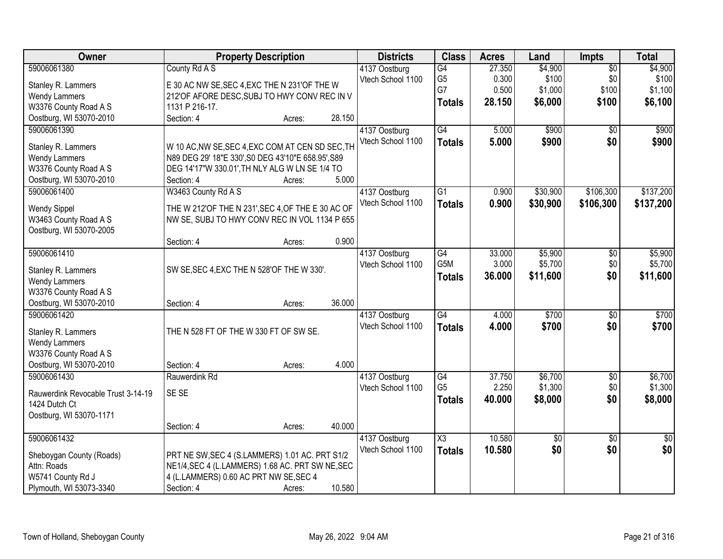| Owner                                   | <b>Property Description</b>                                                                        |        |        | <b>Districts</b>  | <b>Class</b>     | <b>Acres</b> | Land     | Impts           | <b>Total</b>    |
|-----------------------------------------|----------------------------------------------------------------------------------------------------|--------|--------|-------------------|------------------|--------------|----------|-----------------|-----------------|
| 59006061380                             | County Rd A S                                                                                      |        |        | 4137 Oostburg     | G4               | 27.350       | \$4,900  | $\overline{50}$ | \$4,900         |
| Stanley R. Lammers                      | E 30 AC NW SE, SEC 4, EXC THE N 231'OF THE W                                                       |        |        | Vtech School 1100 | G <sub>5</sub>   | 0.300        | \$100    | \$0             | \$100           |
| <b>Wendy Lammers</b>                    | 212'OF AFORE DESC, SUBJ TO HWY CONV REC IN V                                                       |        |        |                   | G7               | 0.500        | \$1,000  | \$100           | \$1,100         |
| W3376 County Road A S                   | 1131 P 216-17.                                                                                     |        |        |                   | <b>Totals</b>    | 28.150       | \$6,000  | \$100           | \$6,100         |
| Oostburg, WI 53070-2010                 | Section: 4                                                                                         | Acres: | 28.150 |                   |                  |              |          |                 |                 |
| 59006061390                             |                                                                                                    |        |        | 4137 Oostburg     | G4               | 5.000        | \$900    | $\overline{30}$ | \$900           |
| Stanley R. Lammers                      | W 10 AC, NW SE, SEC 4, EXC COM AT CEN SD SEC, TH                                                   |        |        | Vtech School 1100 | <b>Totals</b>    | 5.000        | \$900    | \$0             | \$900           |
| <b>Wendy Lammers</b>                    | N89 DEG 29' 18"E 330', S0 DEG 43'10"E 658.95', S89                                                 |        |        |                   |                  |              |          |                 |                 |
| W3376 County Road A S                   | DEG 14'17"W 330.01', TH NLY ALG W LN SE 1/4 TO                                                     |        |        |                   |                  |              |          |                 |                 |
| Oostburg, WI 53070-2010                 | Section: 4                                                                                         | Acres: | 5.000  |                   |                  |              |          |                 |                 |
| 59006061400                             | W3463 County Rd A S                                                                                |        |        | 4137 Oostburg     | $\overline{G1}$  | 0.900        | \$30,900 | \$106,300       | \$137,200       |
|                                         |                                                                                                    |        |        | Vtech School 1100 | <b>Totals</b>    | 0.900        | \$30,900 | \$106,300       | \$137,200       |
| <b>Wendy Sippel</b>                     | THE W 212'OF THE N 231', SEC 4, OF THE E 30 AC OF                                                  |        |        |                   |                  |              |          |                 |                 |
| W3463 County Road A S                   | NW SE, SUBJ TO HWY CONV REC IN VOL 1134 P 655                                                      |        |        |                   |                  |              |          |                 |                 |
| Oostburg, WI 53070-2005                 | Section: 4                                                                                         |        | 0.900  |                   |                  |              |          |                 |                 |
| 59006061410                             |                                                                                                    | Acres: |        | 4137 Oostburg     | G4               | 33.000       | \$5,900  | \$0             | \$5,900         |
|                                         |                                                                                                    |        |        | Vtech School 1100 | G <sub>5</sub> M | 3.000        | \$5,700  | \$0             | \$5,700         |
| Stanley R. Lammers                      | SW SE, SEC 4, EXC THE N 528'OF THE W 330'.                                                         |        |        |                   | <b>Totals</b>    | 36.000       | \$11,600 | \$0             | \$11,600        |
| <b>Wendy Lammers</b>                    |                                                                                                    |        |        |                   |                  |              |          |                 |                 |
| W3376 County Road A S                   |                                                                                                    |        |        |                   |                  |              |          |                 |                 |
| Oostburg, WI 53070-2010                 | Section: 4                                                                                         | Acres: | 36.000 |                   |                  |              |          |                 |                 |
| 59006061420                             |                                                                                                    |        |        | 4137 Oostburg     | $\overline{G4}$  | 4.000        | \$700    | $\overline{50}$ | \$700           |
| Stanley R. Lammers                      | THE N 528 FT OF THE W 330 FT OF SW SE.                                                             |        |        | Vtech School 1100 | <b>Totals</b>    | 4.000        | \$700    | \$0             | \$700           |
| <b>Wendy Lammers</b>                    |                                                                                                    |        |        |                   |                  |              |          |                 |                 |
| W3376 County Road A S                   |                                                                                                    |        |        |                   |                  |              |          |                 |                 |
| Oostburg, WI 53070-2010                 | Section: 4                                                                                         | Acres: | 4.000  |                   |                  |              |          |                 |                 |
| 59006061430                             | Rauwerdink Rd                                                                                      |        |        | 4137 Oostburg     | G4               | 37.750       | \$6,700  | $\sqrt{6}$      | \$6,700         |
| Rauwerdink Revocable Trust 3-14-19      | SE SE                                                                                              |        |        | Vtech School 1100 | G <sub>5</sub>   | 2.250        | \$1,300  | \$0             | \$1,300         |
| 1424 Dutch Ct                           |                                                                                                    |        |        |                   | <b>Totals</b>    | 40.000       | \$8,000  | \$0             | \$8,000         |
| Oostburg, WI 53070-1171                 |                                                                                                    |        |        |                   |                  |              |          |                 |                 |
|                                         | Section: 4                                                                                         | Acres: | 40.000 |                   |                  |              |          |                 |                 |
| 59006061432                             |                                                                                                    |        |        | 4137 Oostburg     | X3               | 10.580       | \$0      | $\overline{30}$ | $\overline{50}$ |
|                                         |                                                                                                    |        |        | Vtech School 1100 | <b>Totals</b>    | 10.580       | \$0      | \$0             | \$0             |
| Sheboygan County (Roads)<br>Attn: Roads | PRT NE SW, SEC 4 (S.LAMMERS) 1.01 AC. PRT S1/2<br>NE1/4, SEC 4 (L.LAMMERS) 1.68 AC. PRT SW NE, SEC |        |        |                   |                  |              |          |                 |                 |
| W5741 County Rd J                       | 4 (L.LAMMERS) 0.60 AC PRT NW SE, SEC 4                                                             |        |        |                   |                  |              |          |                 |                 |
| Plymouth, WI 53073-3340                 | Section: 4                                                                                         | Acres: | 10.580 |                   |                  |              |          |                 |                 |
|                                         |                                                                                                    |        |        |                   |                  |              |          |                 |                 |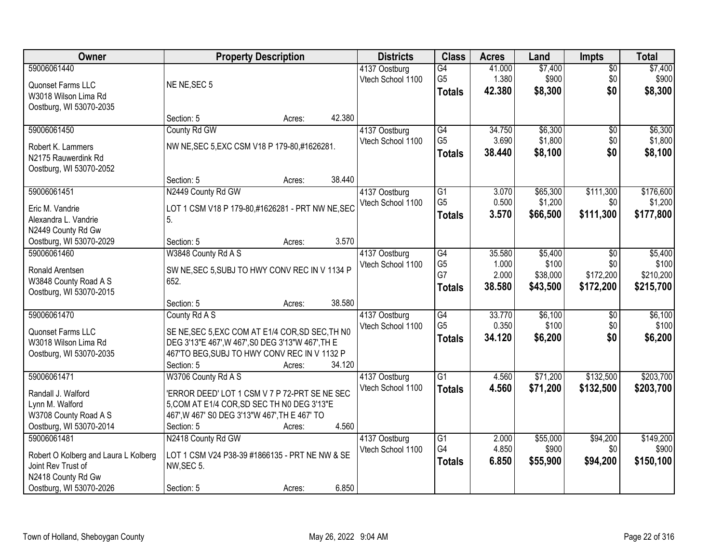| <b>Owner</b>                         | <b>Property Description</b>                       |                  | <b>Districts</b>  | <b>Class</b>    | <b>Acres</b> | Land     | <b>Impts</b>    | <b>Total</b> |
|--------------------------------------|---------------------------------------------------|------------------|-------------------|-----------------|--------------|----------|-----------------|--------------|
| 59006061440                          |                                                   |                  | 4137 Oostburg     | G4              | 41.000       | \$7,400  | $\overline{30}$ | \$7,400      |
| Quonset Farms LLC                    | NE NE, SEC 5                                      |                  | Vtech School 1100 | G <sub>5</sub>  | 1.380        | \$900    | \$0             | \$900        |
| W3018 Wilson Lima Rd                 |                                                   |                  |                   | <b>Totals</b>   | 42.380       | \$8,300  | \$0             | \$8,300      |
| Oostburg, WI 53070-2035              |                                                   |                  |                   |                 |              |          |                 |              |
|                                      | Section: 5                                        | 42.380<br>Acres: |                   |                 |              |          |                 |              |
| 59006061450                          | County Rd GW                                      |                  | 4137 Oostburg     | $\overline{G4}$ | 34.750       | \$6,300  | $\overline{50}$ | \$6,300      |
| Robert K. Lammers                    | NW NE, SEC 5, EXC CSM V18 P 179-80, #1626281.     |                  | Vtech School 1100 | G <sub>5</sub>  | 3.690        | \$1,800  | \$0             | \$1,800      |
| N2175 Rauwerdink Rd                  |                                                   |                  |                   | <b>Totals</b>   | 38.440       | \$8,100  | \$0             | \$8,100      |
| Oostburg, WI 53070-2052              |                                                   |                  |                   |                 |              |          |                 |              |
|                                      | Section: 5                                        | 38.440<br>Acres: |                   |                 |              |          |                 |              |
| 59006061451                          | N2449 County Rd GW                                |                  | 4137 Oostburg     | $\overline{G1}$ | 3.070        | \$65,300 | \$111,300       | \$176,600    |
| Eric M. Vandrie                      | LOT 1 CSM V18 P 179-80,#1626281 - PRT NW NE, SEC  |                  | Vtech School 1100 | G <sub>5</sub>  | 0.500        | \$1,200  | \$0             | \$1,200      |
| Alexandra L. Vandrie                 | 5.                                                |                  |                   | <b>Totals</b>   | 3.570        | \$66,500 | \$111,300       | \$177,800    |
| N2449 County Rd Gw                   |                                                   |                  |                   |                 |              |          |                 |              |
| Oostburg, WI 53070-2029              | Section: 5                                        | Acres:           | 3.570             |                 |              |          |                 |              |
| 59006061460                          | W3848 County Rd A S                               |                  | 4137 Oostburg     | $\overline{G4}$ | 35.580       | \$5,400  | $\sqrt{6}$      | \$5,400      |
| Ronald Arentsen                      | SW NE, SEC 5, SUBJ TO HWY CONV REC IN V 1134 P    |                  | Vtech School 1100 | G <sub>5</sub>  | 1.000        | \$100    | \$0             | \$100        |
| W3848 County Road A S                | 652.                                              |                  |                   | G7              | 2.000        | \$38,000 | \$172,200       | \$210,200    |
| Oostburg, WI 53070-2015              |                                                   |                  |                   | <b>Totals</b>   | 38.580       | \$43,500 | \$172,200       | \$215,700    |
|                                      | Section: 5                                        | 38.580<br>Acres: |                   |                 |              |          |                 |              |
| 59006061470                          | County Rd A S                                     |                  | 4137 Oostburg     | $\overline{G4}$ | 33.770       | \$6,100  | $\overline{50}$ | \$6,100      |
| Quonset Farms LLC                    | SE NE, SEC 5, EXC COM AT E1/4 COR, SD SEC, TH NO  |                  | Vtech School 1100 | G <sub>5</sub>  | 0.350        | \$100    | \$0             | \$100        |
| W3018 Wilson Lima Rd                 | DEG 3'13"E 467', W 467', S0 DEG 3'13"W 467', TH E |                  |                   | <b>Totals</b>   | 34.120       | \$6,200  | \$0             | \$6,200      |
| Oostburg, WI 53070-2035              | 467'TO BEG, SUBJ TO HWY CONV REC IN V 1132 P      |                  |                   |                 |              |          |                 |              |
|                                      | Section: 5                                        | 34.120<br>Acres: |                   |                 |              |          |                 |              |
| 59006061471                          | W3706 County Rd A S                               |                  | 4137 Oostburg     | $\overline{G1}$ | 4.560        | \$71,200 | \$132,500       | \$203,700    |
| Randall J. Walford                   | 'ERROR DEED' LOT 1 CSM V 7 P 72-PRT SE NE SEC     |                  | Vtech School 1100 | <b>Totals</b>   | 4.560        | \$71,200 | \$132,500       | \$203,700    |
| Lynn M. Walford                      | 5, COM AT E1/4 COR, SD SEC TH N0 DEG 3'13"E       |                  |                   |                 |              |          |                 |              |
| W3708 County Road A S                | 467', W 467' S0 DEG 3'13"W 467', TH E 467' TO     |                  |                   |                 |              |          |                 |              |
| Oostburg, WI 53070-2014              | Section: 5                                        | Acres:           | 4.560             |                 |              |          |                 |              |
| 59006061481                          | N2418 County Rd GW                                |                  | 4137 Oostburg     | G1              | 2.000        | \$55,000 | \$94,200        | \$149,200    |
| Robert O Kolberg and Laura L Kolberg | LOT 1 CSM V24 P38-39 #1866135 - PRT NE NW & SE    |                  | Vtech School 1100 | G4              | 4.850        | \$900    | \$0             | \$900        |
| Joint Rev Trust of                   | NW, SEC 5.                                        |                  |                   | <b>Totals</b>   | 6.850        | \$55,900 | \$94,200        | \$150,100    |
| N2418 County Rd Gw                   |                                                   |                  |                   |                 |              |          |                 |              |
| Oostburg, WI 53070-2026              | Section: 5                                        | Acres:           | 6.850             |                 |              |          |                 |              |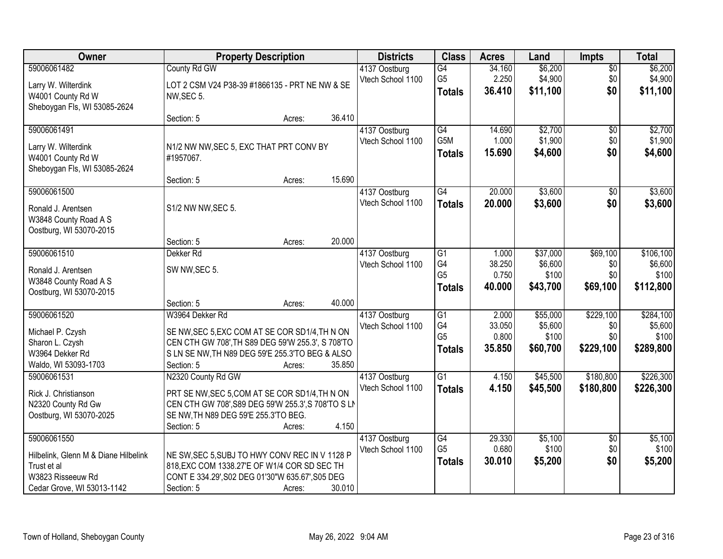| Owner                                                                                                                 | <b>Property Description</b>                                                                                                                                                             |                  | <b>Districts</b>                   | <b>Class</b>                                             | <b>Acres</b>                       | Land                                     | Impts                                | <b>Total</b>                               |
|-----------------------------------------------------------------------------------------------------------------------|-----------------------------------------------------------------------------------------------------------------------------------------------------------------------------------------|------------------|------------------------------------|----------------------------------------------------------|------------------------------------|------------------------------------------|--------------------------------------|--------------------------------------------|
| 59006061482<br>Larry W. Wilterdink<br>W4001 County Rd W<br>Sheboygan Fls, WI 53085-2624                               | County Rd GW<br>LOT 2 CSM V24 P38-39 #1866135 - PRT NE NW & SE<br>NW, SEC 5.                                                                                                            |                  | 4137 Oostburg<br>Vtech School 1100 | G4<br>G <sub>5</sub><br><b>Totals</b>                    | 34.160<br>2.250<br>36.410          | \$6,200<br>\$4,900<br>\$11,100           | $\overline{50}$<br>\$0<br>\$0        | \$6,200<br>\$4,900<br>\$11,100             |
|                                                                                                                       | Section: 5                                                                                                                                                                              | 36.410<br>Acres: |                                    |                                                          |                                    |                                          |                                      |                                            |
| 59006061491<br>Larry W. Wilterdink<br>W4001 County Rd W<br>Sheboygan Fls, WI 53085-2624                               | N1/2 NW NW, SEC 5, EXC THAT PRT CONV BY<br>#1957067.                                                                                                                                    |                  | 4137 Oostburg<br>Vtech School 1100 | $\overline{G4}$<br>G5M<br><b>Totals</b>                  | 14.690<br>1.000<br>15.690          | \$2,700<br>\$1,900<br>\$4,600            | $\overline{50}$<br>\$0<br>\$0        | \$2,700<br>\$1,900<br>\$4,600              |
| 59006061500                                                                                                           | Section: 5                                                                                                                                                                              | 15.690<br>Acres: | 4137 Oostburg                      | $\overline{G4}$                                          | 20.000                             | \$3,600                                  | $\overline{50}$                      | \$3,600                                    |
| Ronald J. Arentsen<br>W3848 County Road A S<br>Oostburg, WI 53070-2015                                                | S1/2 NW NW, SEC 5.                                                                                                                                                                      |                  | Vtech School 1100                  | <b>Totals</b>                                            | 20.000                             | \$3,600                                  | \$0                                  | \$3,600                                    |
|                                                                                                                       | Section: 5                                                                                                                                                                              | 20.000<br>Acres: |                                    |                                                          |                                    |                                          |                                      |                                            |
| 59006061510<br>Ronald J. Arentsen<br>W3848 County Road A S<br>Oostburg, WI 53070-2015                                 | Dekker <sub>Rd</sub><br>SW NW, SEC 5.                                                                                                                                                   |                  | 4137 Oostburg<br>Vtech School 1100 | G1<br>G4<br>G <sub>5</sub><br><b>Totals</b>              | 1.000<br>38.250<br>0.750<br>40.000 | \$37,000<br>\$6,600<br>\$100<br>\$43,700 | \$69,100<br>\$0<br>\$0<br>\$69,100   | \$106,100<br>\$6,600<br>\$100<br>\$112,800 |
|                                                                                                                       | Section: 5                                                                                                                                                                              | 40.000<br>Acres: |                                    |                                                          |                                    |                                          |                                      |                                            |
| 59006061520<br>Michael P. Czysh<br>Sharon L. Czysh<br>W3964 Dekker Rd<br>Waldo, WI 53093-1703                         | W3964 Dekker Rd<br>SE NW, SEC 5, EXC COM AT SE COR SD1/4, TH N ON<br>CEN CTH GW 708', TH S89 DEG 59'W 255.3', S 708'TO<br>S LN SE NW, TH N89 DEG 59'E 255.3'TO BEG & ALSO<br>Section: 5 | 35.850<br>Acres: | 4137 Oostburg<br>Vtech School 1100 | $\overline{G1}$<br>G4<br>G <sub>5</sub><br><b>Totals</b> | 2.000<br>33.050<br>0.800<br>35.850 | \$55,000<br>\$5,600<br>\$100<br>\$60,700 | \$229,100<br>\$0<br>\$0<br>\$229,100 | \$284,100<br>\$5,600<br>\$100<br>\$289,800 |
| 59006061531<br>Rick J. Christianson<br>N2320 County Rd Gw<br>Oostburg, WI 53070-2025                                  | N2320 County Rd GW<br>PRT SE NW, SEC 5, COM AT SE COR SD1/4, TH N ON<br>CEN CTH GW 708', S89 DEG 59'W 255.3', S 708'TO S LN<br>SE NW, TH N89 DEG 59'E 255.3'TO BEG.<br>Section: 5       | 4.150<br>Acres:  | 4137 Oostburg<br>Vtech School 1100 | $\overline{G1}$<br><b>Totals</b>                         | 4.150<br>4.150                     | \$45,500<br>\$45,500                     | \$180,800<br>\$180,800               | \$226,300<br>\$226,300                     |
| 59006061550<br>Hilbelink, Glenn M & Diane Hilbelink<br>Trust et al<br>W3823 Risseeuw Rd<br>Cedar Grove, WI 53013-1142 | NE SW, SEC 5, SUBJ TO HWY CONV REC IN V 1128 P<br>818, EXC COM 1338.27'E OF W1/4 COR SD SEC TH<br>CONT E 334.29', S02 DEG 01'30"W 635.67', S05 DEG<br>Section: 5                        | 30.010<br>Acres: | 4137 Oostburg<br>Vtech School 1100 | $\overline{G4}$<br>G <sub>5</sub><br><b>Totals</b>       | 29.330<br>0.680<br>30.010          | \$5,100<br>\$100<br>\$5,200              | $\overline{50}$<br>\$0<br>\$0        | \$5,100<br>\$100<br>\$5,200                |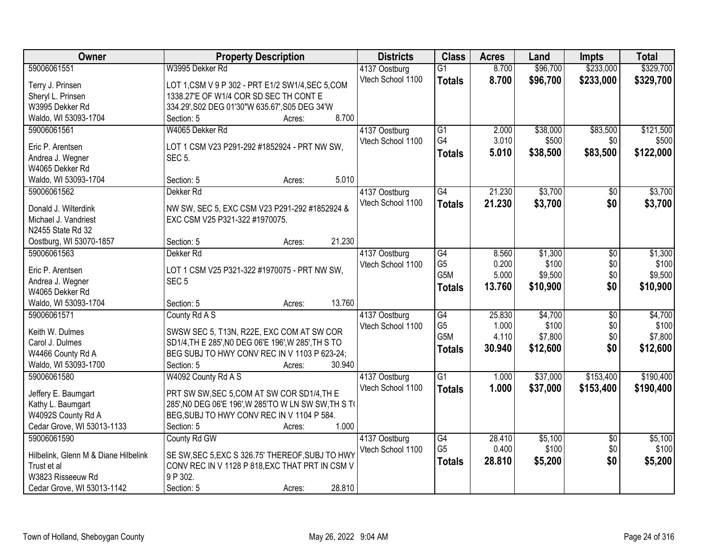| Owner                                | <b>Property Description</b>                          | <b>Districts</b>  | <b>Class</b>     | <b>Acres</b> | Land     | <b>Impts</b>    | <b>Total</b> |
|--------------------------------------|------------------------------------------------------|-------------------|------------------|--------------|----------|-----------------|--------------|
| 59006061551                          | W3995 Dekker Rd                                      | 4137 Oostburg     | $\overline{G1}$  | 8.700        | \$96,700 | \$233,000       | \$329,700    |
| Terry J. Prinsen                     | LOT 1, CSM V 9 P 302 - PRT E1/2 SW1/4, SEC 5, COM    | Vtech School 1100 | <b>Totals</b>    | 8.700        | \$96,700 | \$233,000       | \$329,700    |
| Sheryl L. Prinsen                    | 1338.27'E OF W1/4 COR SD SEC TH CONT E               |                   |                  |              |          |                 |              |
| W3995 Dekker Rd                      | 334.29', S02 DEG 01'30"W 635.67', S05 DEG 34'W       |                   |                  |              |          |                 |              |
| Waldo, WI 53093-1704                 | 8.700<br>Section: 5<br>Acres:                        |                   |                  |              |          |                 |              |
| 59006061561                          | W4065 Dekker Rd                                      | 4137 Oostburg     | $\overline{G1}$  | 2.000        | \$38,000 | \$83,500        | \$121,500    |
|                                      |                                                      | Vtech School 1100 | G4               | 3.010        | \$500    | \$0             | \$500        |
| Eric P. Arentsen                     | LOT 1 CSM V23 P291-292 #1852924 - PRT NW SW,         |                   | <b>Totals</b>    | 5.010        | \$38,500 | \$83,500        | \$122,000    |
| Andrea J. Wegner                     | <b>SEC 5.</b>                                        |                   |                  |              |          |                 |              |
| W4065 Dekker Rd                      | 5.010                                                |                   |                  |              |          |                 |              |
| Waldo, WI 53093-1704<br>59006061562  | Section: 5<br>Acres:                                 |                   | G4               | 21.230       | \$3,700  |                 | \$3,700      |
|                                      | Dekker <sub>Rd</sub>                                 | 4137 Oostburg     |                  |              |          | $\sqrt{6}$      |              |
| Donald J. Wilterdink                 | NW SW, SEC 5, EXC CSM V23 P291-292 #1852924 &        | Vtech School 1100 | <b>Totals</b>    | 21.230       | \$3,700  | \$0             | \$3,700      |
| Michael J. Vandriest                 | EXC CSM V25 P321-322 #1970075.                       |                   |                  |              |          |                 |              |
| N2455 State Rd 32                    |                                                      |                   |                  |              |          |                 |              |
| Oostburg, WI 53070-1857              | 21.230<br>Section: 5<br>Acres:                       |                   |                  |              |          |                 |              |
| 59006061563                          | Dekker <sub>Rd</sub>                                 | 4137 Oostburg     | G4               | 8.560        | \$1,300  | \$0             | \$1,300      |
| Eric P. Arentsen                     | LOT 1 CSM V25 P321-322 #1970075 - PRT NW SW,         | Vtech School 1100 | G <sub>5</sub>   | 0.200        | \$100    | \$0             | \$100        |
| Andrea J. Wegner                     | SEC <sub>5</sub>                                     |                   | G <sub>5</sub> M | 5.000        | \$9,500  | \$0             | \$9,500      |
| W4065 Dekker Rd                      |                                                      |                   | <b>Totals</b>    | 13.760       | \$10,900 | \$0             | \$10,900     |
| Waldo, WI 53093-1704                 | 13.760<br>Section: 5<br>Acres:                       |                   |                  |              |          |                 |              |
| 59006061571                          | County Rd A S                                        | 4137 Oostburg     | G4               | 25.830       | \$4,700  | $\overline{30}$ | \$4,700      |
|                                      |                                                      | Vtech School 1100 | G <sub>5</sub>   | 1.000        | \$100    | \$0             | \$100        |
| Keith W. Dulmes                      | SWSW SEC 5, T13N, R22E, EXC COM AT SW COR            |                   | G5M              | 4.110        | \$7,800  | \$0             | \$7,800      |
| Carol J. Dulmes                      | SD1/4, TH E 285', NO DEG 06'E 196', W 285', TH S TO  |                   | <b>Totals</b>    | 30.940       | \$12,600 | \$0             | \$12,600     |
| W4466 County Rd A                    | BEG SUBJ TO HWY CONV REC IN V 1103 P 623-24;         |                   |                  |              |          |                 |              |
| Waldo, WI 53093-1700                 | 30.940<br>Section: 5<br>Acres:                       |                   |                  |              |          |                 |              |
| 59006061580                          | W4092 County Rd A S                                  | 4137 Oostburg     | $\overline{G1}$  | 1.000        | \$37,000 | \$153,400       | \$190,400    |
| Jeffery E. Baumgart                  | PRT SW SW, SEC 5, COM AT SW COR SD1/4, TH E          | Vtech School 1100 | <b>Totals</b>    | 1.000        | \$37,000 | \$153,400       | \$190,400    |
| Kathy L. Baumgart                    | 285', NO DEG 06'E 196', W 285'TO W LN SW SW, TH S TO |                   |                  |              |          |                 |              |
| W4092S County Rd A                   | BEG, SUBJ TO HWY CONV REC IN V 1104 P 584.           |                   |                  |              |          |                 |              |
| Cedar Grove, WI 53013-1133           | 1.000<br>Section: 5<br>Acres:                        |                   |                  |              |          |                 |              |
| 59006061590                          | County Rd GW                                         | 4137 Oostburg     | G4               | 28.410       | \$5,100  | $\overline{50}$ | \$5,100      |
|                                      |                                                      | Vtech School 1100 | G <sub>5</sub>   | 0.400        | \$100    | \$0             | \$100        |
| Hilbelink, Glenn M & Diane Hilbelink | SE SW, SEC 5, EXC S 326.75' THEREOF, SUBJ TO HWY     |                   | <b>Totals</b>    | 28.810       | \$5,200  | \$0             | \$5,200      |
| Trust et al                          | CONV REC IN V 1128 P 818, EXC THAT PRT IN CSM V      |                   |                  |              |          |                 |              |
| W3823 Risseeuw Rd                    | 9 P 302.                                             |                   |                  |              |          |                 |              |
| Cedar Grove, WI 53013-1142           | 28.810<br>Section: 5<br>Acres:                       |                   |                  |              |          |                 |              |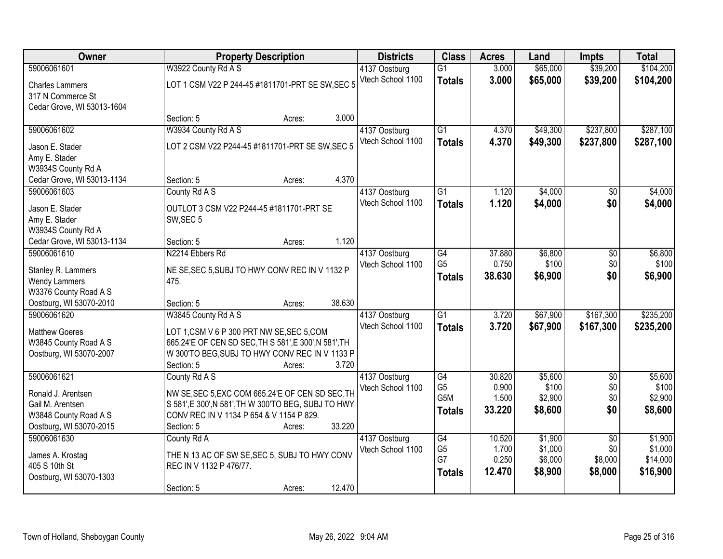| Owner                                          | <b>Property Description</b>                                                                        |        | <b>Districts</b>  | <b>Class</b>     | <b>Acres</b> | Land     | <b>Impts</b>    | <b>Total</b> |
|------------------------------------------------|----------------------------------------------------------------------------------------------------|--------|-------------------|------------------|--------------|----------|-----------------|--------------|
| 59006061601                                    | W3922 County Rd A S                                                                                |        | 4137 Oostburg     | $\overline{G1}$  | 3.000        | \$65,000 | \$39,200        | \$104,200    |
| <b>Charles Lammers</b>                         | LOT 1 CSM V22 P 244-45 #1811701-PRT SE SW, SEC 5                                                   |        | Vtech School 1100 | <b>Totals</b>    | 3.000        | \$65,000 | \$39,200        | \$104,200    |
| 317 N Commerce St                              |                                                                                                    |        |                   |                  |              |          |                 |              |
| Cedar Grove, WI 53013-1604                     |                                                                                                    |        |                   |                  |              |          |                 |              |
|                                                | Section: 5<br>Acres:                                                                               | 3.000  |                   |                  |              |          |                 |              |
| 59006061602                                    | W3934 County Rd A S                                                                                |        | 4137 Oostburg     | $\overline{G1}$  | 4.370        | \$49,300 | \$237,800       | \$287,100    |
| Jason E. Stader                                | LOT 2 CSM V22 P244-45 #1811701-PRT SE SW, SEC 5                                                    |        | Vtech School 1100 | <b>Totals</b>    | 4.370        | \$49,300 | \$237,800       | \$287,100    |
| Amy E. Stader                                  |                                                                                                    |        |                   |                  |              |          |                 |              |
| W3934S County Rd A                             |                                                                                                    |        |                   |                  |              |          |                 |              |
| Cedar Grove, WI 53013-1134                     | Section: 5<br>Acres:                                                                               | 4.370  |                   |                  |              |          |                 |              |
| 59006061603                                    | County Rd A S                                                                                      |        | 4137 Oostburg     | $\overline{G1}$  | 1.120        | \$4,000  | $\overline{50}$ | \$4,000      |
| Jason E. Stader                                | OUTLOT 3 CSM V22 P244-45 #1811701-PRT SE                                                           |        | Vtech School 1100 | <b>Totals</b>    | 1.120        | \$4,000  | \$0             | \$4,000      |
| Amy E. Stader                                  | SW, SEC 5                                                                                          |        |                   |                  |              |          |                 |              |
| W3934S County Rd A                             |                                                                                                    |        |                   |                  |              |          |                 |              |
| Cedar Grove, WI 53013-1134                     | Section: 5<br>Acres:                                                                               | 1.120  |                   |                  |              |          |                 |              |
| 59006061610                                    | N2214 Ebbers Rd                                                                                    |        | 4137 Oostburg     | $\overline{G4}$  | 37.880       | \$6,800  | \$0             | \$6,800      |
| Stanley R. Lammers                             | NE SE, SEC 5, SUBJ TO HWY CONV REC IN V 1132 P                                                     |        | Vtech School 1100 | G <sub>5</sub>   | 0.750        | \$100    | \$0             | \$100        |
| <b>Wendy Lammers</b>                           | 475.                                                                                               |        |                   | <b>Totals</b>    | 38.630       | \$6,900  | \$0             | \$6,900      |
| W3376 County Road A S                          |                                                                                                    |        |                   |                  |              |          |                 |              |
| Oostburg, WI 53070-2010                        | Section: 5<br>Acres:                                                                               | 38.630 |                   |                  |              |          |                 |              |
| 59006061620                                    | W3845 County Rd A S                                                                                |        | 4137 Oostburg     | $\overline{G1}$  | 3.720        | \$67,900 | \$167,300       | \$235,200    |
|                                                |                                                                                                    |        | Vtech School 1100 | <b>Totals</b>    | 3.720        | \$67,900 | \$167,300       | \$235,200    |
| <b>Matthew Goeres</b><br>W3845 County Road A S | LOT 1,CSM V 6 P 300 PRT NW SE, SEC 5, COM<br>665.24'E OF CEN SD SEC, TH S 581', E 300', N 581', TH |        |                   |                  |              |          |                 |              |
| Oostburg, WI 53070-2007                        | W 300'TO BEG, SUBJ TO HWY CONV REC IN V 1133 P                                                     |        |                   |                  |              |          |                 |              |
|                                                | Section: 5<br>Acres:                                                                               | 3.720  |                   |                  |              |          |                 |              |
| 59006061621                                    | County Rd A S                                                                                      |        | 4137 Oostburg     | $\overline{G4}$  | 30.820       | \$5,600  | $\overline{50}$ | \$5,600      |
|                                                |                                                                                                    |        | Vtech School 1100 | G <sub>5</sub>   | 0.900        | \$100    | \$0             | \$100        |
| Ronald J. Arentsen                             | NW SE, SEC 5, EXC COM 665.24'E OF CEN SD SEC, TH                                                   |        |                   | G <sub>5</sub> M | 1.500        | \$2,900  | \$0             | \$2,900      |
| Gail M. Arentsen<br>W3848 County Road A S      | S 581', E 300', N 581', TH W 300'TO BEG, SUBJ TO HWY<br>CONV REC IN V 1134 P 654 & V 1154 P 829.   |        |                   | <b>Totals</b>    | 33.220       | \$8,600  | \$0             | \$8,600      |
| Oostburg, WI 53070-2015                        | Section: 5<br>Acres:                                                                               | 33.220 |                   |                  |              |          |                 |              |
| 59006061630                                    | County Rd A                                                                                        |        | 4137 Oostburg     | $\overline{G4}$  | 10.520       | \$1,900  | $\overline{30}$ | \$1,900      |
|                                                |                                                                                                    |        | Vtech School 1100 | G <sub>5</sub>   | 1.700        | \$1,000  | \$0             | \$1,000      |
| James A. Krostag                               | THE N 13 AC OF SW SE, SEC 5, SUBJ TO HWY CONV                                                      |        |                   | G7               | 0.250        | \$6,000  | \$8,000         | \$14,000     |
| 405 S 10th St                                  | REC IN V 1132 P 476/77.                                                                            |        |                   | <b>Totals</b>    | 12.470       | \$8,900  | \$8,000         | \$16,900     |
| Oostburg, WI 53070-1303                        |                                                                                                    | 12.470 |                   |                  |              |          |                 |              |
|                                                | Section: 5<br>Acres:                                                                               |        |                   |                  |              |          |                 |              |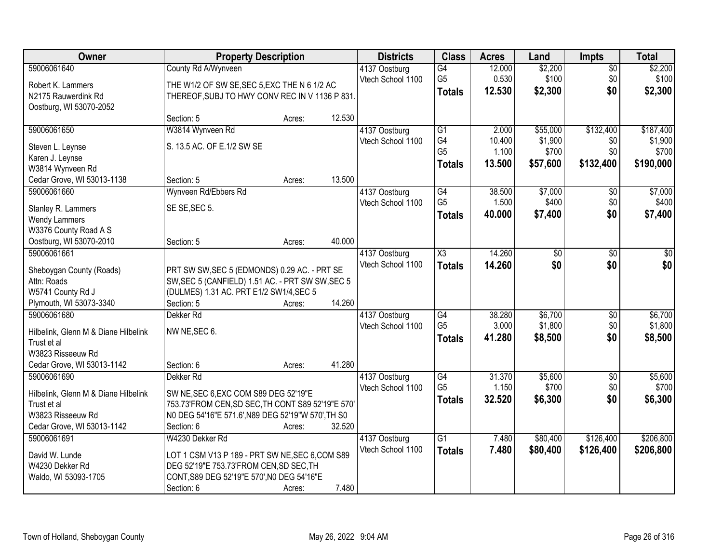| Owner                                     | <b>Property Description</b>                        |        |        | <b>Districts</b>                   | <b>Class</b>    | <b>Acres</b> | Land     | <b>Impts</b>    | <b>Total</b> |
|-------------------------------------------|----------------------------------------------------|--------|--------|------------------------------------|-----------------|--------------|----------|-----------------|--------------|
| 59006061640                               | County Rd A/Wynveen                                |        |        | 4137 Oostburg                      | G4              | 12.000       | \$2,200  | $\sqrt{$0}$     | \$2,200      |
| Robert K. Lammers                         | THE W1/2 OF SW SE, SEC 5, EXC THE N 6 1/2 AC       |        |        | Vtech School 1100                  | G <sub>5</sub>  | 0.530        | \$100    | \$0             | \$100        |
| N2175 Rauwerdink Rd                       | THEREOF, SUBJ TO HWY CONV REC IN V 1136 P 831.     |        |        |                                    | <b>Totals</b>   | 12.530       | \$2,300  | \$0             | \$2,300      |
| Oostburg, WI 53070-2052                   |                                                    |        |        |                                    |                 |              |          |                 |              |
|                                           | Section: 5                                         | Acres: | 12.530 |                                    |                 |              |          |                 |              |
| 59006061650                               | W3814 Wynveen Rd                                   |        |        | 4137 Oostburg                      | G1              | 2.000        | \$55,000 | \$132,400       | \$187,400    |
| Steven L. Leynse                          | S. 13.5 AC. OF E.1/2 SW SE                         |        |        | Vtech School 1100                  | G4              | 10.400       | \$1,900  | \$0             | \$1,900      |
| Karen J. Leynse                           |                                                    |        |        |                                    | G <sub>5</sub>  | 1.100        | \$700    | \$0             | \$700        |
| W3814 Wynveen Rd                          |                                                    |        |        |                                    | <b>Totals</b>   | 13.500       | \$57,600 | \$132,400       | \$190,000    |
| Cedar Grove, WI 53013-1138                | Section: 5                                         | Acres: | 13.500 |                                    |                 |              |          |                 |              |
| 59006061660                               | Wynveen Rd/Ebbers Rd                               |        |        | 4137 Oostburg                      | G4              | 38.500       | \$7,000  | \$0             | \$7,000      |
| Stanley R. Lammers                        | SE SE, SEC 5.                                      |        |        | Vtech School 1100                  | G <sub>5</sub>  | 1.500        | \$400    | \$0             | \$400        |
| <b>Wendy Lammers</b>                      |                                                    |        |        |                                    | <b>Totals</b>   | 40.000       | \$7,400  | \$0             | \$7,400      |
| W3376 County Road A S                     |                                                    |        |        |                                    |                 |              |          |                 |              |
| Oostburg, WI 53070-2010                   | Section: 5                                         | Acres: | 40.000 |                                    |                 |              |          |                 |              |
| 59006061661                               |                                                    |        |        | 4137 Oostburg                      | X3              | 14.260       | \$0      | $\sqrt[6]{3}$   | $\sqrt{50}$  |
|                                           | PRT SW SW, SEC 5 (EDMONDS) 0.29 AC. - PRT SE       |        |        | Vtech School 1100                  | <b>Totals</b>   | 14.260       | \$0      | \$0             | \$0          |
| Sheboygan County (Roads)<br>Attn: Roads   | SW, SEC 5 (CANFIELD) 1.51 AC. - PRT SW SW, SEC 5   |        |        |                                    |                 |              |          |                 |              |
| W5741 County Rd J                         | (DULMES) 1.31 AC. PRT E1/2 SW1/4, SEC 5            |        |        |                                    |                 |              |          |                 |              |
| Plymouth, WI 53073-3340                   | Section: 5                                         | Acres: | 14.260 |                                    |                 |              |          |                 |              |
| 59006061680                               | Dekker <sub>Rd</sub>                               |        |        | 4137 Oostburg                      | $\overline{G4}$ | 38.280       | \$6,700  | $\overline{50}$ | \$6,700      |
|                                           |                                                    |        |        | Vtech School 1100                  | G <sub>5</sub>  | 3.000        | \$1,800  | \$0             | \$1,800      |
| Hilbelink, Glenn M & Diane Hilbelink      | NW NE, SEC 6.                                      |        |        |                                    | <b>Totals</b>   | 41.280       | \$8,500  | \$0             | \$8,500      |
| Trust et al<br>W3823 Risseeuw Rd          |                                                    |        |        |                                    |                 |              |          |                 |              |
| Cedar Grove, WI 53013-1142                | Section: 6                                         | Acres: | 41.280 |                                    |                 |              |          |                 |              |
| 59006061690                               | Dekker Rd                                          |        |        | 4137 Oostburg                      | G4              | 31.370       | \$5,600  | $\sqrt{6}$      | \$5,600      |
|                                           |                                                    |        |        | Vtech School 1100                  | G <sub>5</sub>  | 1.150        | \$700    | \$0             | \$700        |
| Hilbelink, Glenn M & Diane Hilbelink      | SW NE, SEC 6, EXC COM S89 DEG 52'19"E              |        |        |                                    | <b>Totals</b>   | 32.520       | \$6,300  | \$0             | \$6,300      |
| Trust et al                               | 753.73'FROM CEN, SD SEC, TH CONT S89 52'19"E 570'  |        |        |                                    |                 |              |          |                 |              |
| W3823 Risseeuw Rd                         | N0 DEG 54'16"E 571.6', N89 DEG 52'19"W 570', TH S0 |        | 32.520 |                                    |                 |              |          |                 |              |
| Cedar Grove, WI 53013-1142<br>59006061691 | Section: 6<br>W4230 Dekker Rd                      | Acres: |        |                                    | G1              | 7.480        | \$80,400 | \$126,400       | \$206,800    |
|                                           |                                                    |        |        | 4137 Oostburg<br>Vtech School 1100 |                 | 7.480        | \$80,400 | \$126,400       | \$206,800    |
| David W. Lunde                            | LOT 1 CSM V13 P 189 - PRT SW NE, SEC 6, COM S89    |        |        |                                    | <b>Totals</b>   |              |          |                 |              |
| W4230 Dekker Rd                           | DEG 52'19"E 753.73'FROM CEN, SD SEC, TH            |        |        |                                    |                 |              |          |                 |              |
| Waldo, WI 53093-1705                      | CONT, S89 DEG 52'19"E 570', N0 DEG 54'16"E         |        |        |                                    |                 |              |          |                 |              |
|                                           | Section: 6                                         | Acres: | 7.480  |                                    |                 |              |          |                 |              |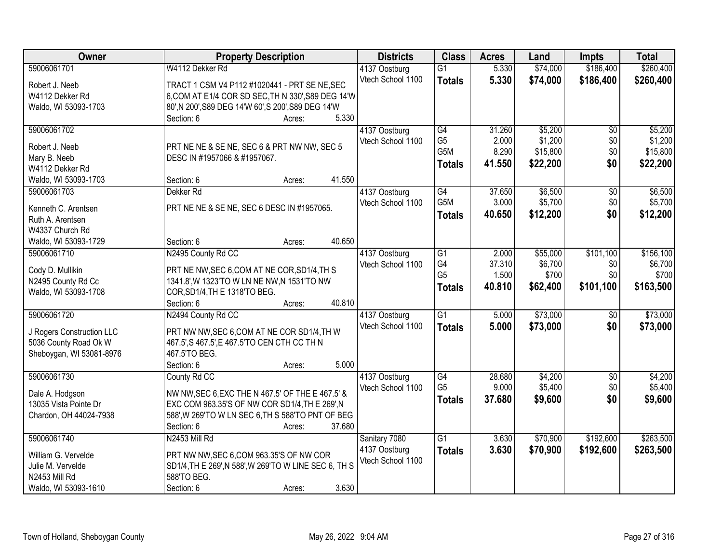| Owner                     | <b>Property Description</b>                                                                 | <b>Districts</b>  | <b>Class</b>     | <b>Acres</b> | Land               | <b>Impts</b>    | <b>Total</b> |
|---------------------------|---------------------------------------------------------------------------------------------|-------------------|------------------|--------------|--------------------|-----------------|--------------|
| 59006061701               | W4112 Dekker Rd                                                                             | 4137 Oostburg     | $\overline{G1}$  | 5.330        | \$74,000           | \$186,400       | \$260,400    |
| Robert J. Neeb            | TRACT 1 CSM V4 P112 #1020441 - PRT SE NE, SEC                                               | Vtech School 1100 | <b>Totals</b>    | 5.330        | \$74,000           | \$186,400       | \$260,400    |
| W4112 Dekker Rd           | 6, COM AT E1/4 COR SD SEC, TH N 330', S89 DEG 14'W                                          |                   |                  |              |                    |                 |              |
| Waldo, WI 53093-1703      | 80', N 200', S89 DEG 14'W 60', S 200', S89 DEG 14'W                                         |                   |                  |              |                    |                 |              |
|                           | 5.330<br>Section: 6<br>Acres:                                                               |                   |                  |              |                    |                 |              |
| 59006061702               |                                                                                             | 4137 Oostburg     | G4               | 31.260       | \$5,200            | $\overline{50}$ | \$5,200      |
|                           |                                                                                             | Vtech School 1100 | G <sub>5</sub>   | 2.000        | \$1,200            | \$0             | \$1,200      |
| Robert J. Neeb            | PRT NE NE & SE NE, SEC 6 & PRT NW NW, SEC 5                                                 |                   | G <sub>5</sub> M | 8.290        | \$15,800           | \$0             | \$15,800     |
| Mary B. Neeb              | DESC IN #1957066 & #1957067.                                                                |                   | <b>Totals</b>    | 41.550       | \$22,200           | \$0             | \$22,200     |
| W4112 Dekker Rd           | 41.550                                                                                      |                   |                  |              |                    |                 |              |
| Waldo, WI 53093-1703      | Section: 6<br>Acres:                                                                        |                   |                  |              |                    |                 |              |
| 59006061703               | Dekker <sub>Rd</sub>                                                                        | 4137 Oostburg     | G4<br>G5M        | 37.650       | \$6,500<br>\$5,700 | $\overline{50}$ | \$6,500      |
| Kenneth C. Arentsen       | PRT NE NE & SE NE, SEC 6 DESC IN #1957065.                                                  | Vtech School 1100 |                  | 3.000        |                    | \$0             | \$5,700      |
| Ruth A. Arentsen          |                                                                                             |                   | <b>Totals</b>    | 40.650       | \$12,200           | \$0             | \$12,200     |
| W4337 Church Rd           |                                                                                             |                   |                  |              |                    |                 |              |
| Waldo, WI 53093-1729      | 40.650<br>Section: 6<br>Acres:                                                              |                   |                  |              |                    |                 |              |
| 59006061710               | N2495 County Rd CC                                                                          | 4137 Oostburg     | $\overline{G1}$  | 2.000        | \$55,000           | \$101,100       | \$156,100    |
| Cody D. Mullikin          |                                                                                             | Vtech School 1100 | G4               | 37.310       | \$6,700            | \$0             | \$6,700      |
| N2495 County Rd Cc        | PRT NE NW, SEC 6, COM AT NE COR, SD1/4, TH S<br>1341.8', W 1323'TO W LN NE NW, N 1531'TO NW |                   | G <sub>5</sub>   | 1.500        | \$700              | \$0             | \$700        |
| Waldo, WI 53093-1708      | COR, SD1/4, TH E 1318'TO BEG.                                                               |                   | <b>Totals</b>    | 40.810       | \$62,400           | \$101,100       | \$163,500    |
|                           | 40.810<br>Section: 6<br>Acres:                                                              |                   |                  |              |                    |                 |              |
| 59006061720               | N2494 County Rd CC                                                                          | 4137 Oostburg     | $\overline{G1}$  | 5.000        | \$73,000           | $\overline{50}$ | \$73,000     |
|                           |                                                                                             | Vtech School 1100 |                  | 5.000        | \$73,000           | \$0             | \$73,000     |
| J Rogers Construction LLC | PRT NW NW, SEC 6, COM AT NE COR SD1/4, TH W                                                 |                   | <b>Totals</b>    |              |                    |                 |              |
| 5036 County Road Ok W     | 467.5', S 467.5', E 467.5'TO CEN CTH CC TH N                                                |                   |                  |              |                    |                 |              |
| Sheboygan, WI 53081-8976  | 467.5'TO BEG.                                                                               |                   |                  |              |                    |                 |              |
|                           | 5.000<br>Section: 6<br>Acres:                                                               |                   |                  |              |                    |                 |              |
| 59006061730               | County Rd CC                                                                                | 4137 Oostburg     | G4               | 28.680       | \$4,200            | $\sqrt{6}$      | \$4,200      |
| Dale A. Hodgson           | NW NW, SEC 6, EXC THE N 467.5' OF THE E 467.5' &                                            | Vtech School 1100 | G <sub>5</sub>   | 9.000        | \$5,400            | \$0             | \$5,400      |
| 13035 Vista Pointe Dr     | EXC COM 963.35'S OF NW COR SD1/4, TH E 269', N                                              |                   | <b>Totals</b>    | 37,680       | \$9,600            | \$0             | \$9,600      |
| Chardon, OH 44024-7938    | 588', W 269'TO W LN SEC 6, TH S 588'TO PNT OF BEG                                           |                   |                  |              |                    |                 |              |
|                           | 37.680<br>Section: 6<br>Acres:                                                              |                   |                  |              |                    |                 |              |
| 59006061740               | N2453 Mill Rd                                                                               | Sanitary 7080     | $\overline{G1}$  | 3.630        | \$70,900           | \$192,600       | \$263,500    |
|                           |                                                                                             | 4137 Oostburg     | <b>Totals</b>    | 3.630        | \$70,900           | \$192,600       | \$263,500    |
| William G. Vervelde       | PRT NW NW, SEC 6, COM 963.35'S OF NW COR                                                    | Vtech School 1100 |                  |              |                    |                 |              |
| Julie M. Vervelde         | SD1/4, TH E 269', N 588', W 269'TO W LINE SEC 6, TH S                                       |                   |                  |              |                    |                 |              |
| N2453 Mill Rd             | 588'TO BEG.                                                                                 |                   |                  |              |                    |                 |              |
| Waldo, WI 53093-1610      | 3.630<br>Section: 6<br>Acres:                                                               |                   |                  |              |                    |                 |              |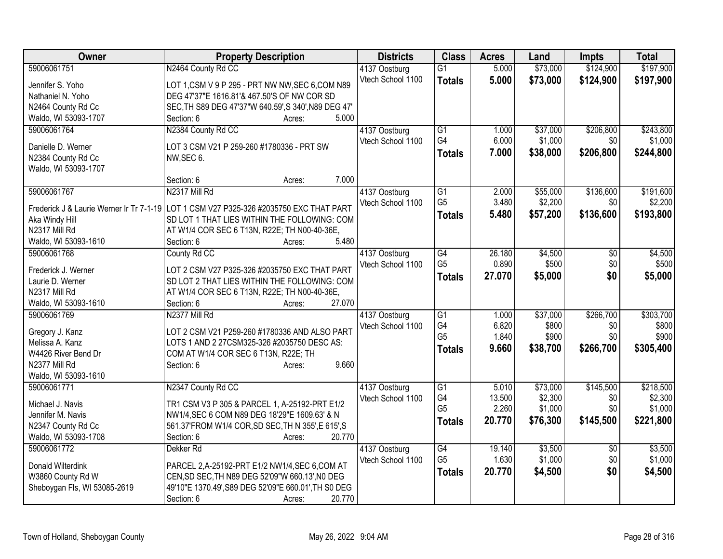| \$73,000<br>\$124,900<br>59006061751<br>N2464 County Rd CC<br>$\overline{G1}$<br>5.000<br>4137 Oostburg<br>Vtech School 1100<br>5.000<br>\$73,000<br>\$124,900<br>\$197,900<br><b>Totals</b><br>LOT 1,CSM V 9 P 295 - PRT NW NW, SEC 6, COM N89<br>Jennifer S. Yoho<br>DEG 47'37"E 1616.81'& 467.50'S OF NW COR SD<br>Nathaniel N. Yoho<br>SEC, TH S89 DEG 47'37"W 640.59', S 340', N89 DEG 47'<br>N2464 County Rd Cc<br>5.000<br>Waldo, WI 53093-1707<br>Section: 6<br>Acres:<br>59006061764<br>N2384 County Rd CC<br>\$206,800<br>\$243,800<br>4137 Oostburg<br>G1<br>1.000<br>\$37,000<br>G4<br>6.000<br>\$1,000<br>Vtech School 1100<br>\$0<br>Danielle D. Werner<br>LOT 3 CSM V21 P 259-260 #1780336 - PRT SW<br>7.000<br>\$206,800<br><b>Totals</b><br>\$38,000<br>\$244,800<br>N2384 County Rd Cc<br>NW, SEC 6.<br>Waldo, WI 53093-1707<br>7.000<br>Section: 6<br>Acres:<br>N2317 Mill Rd<br>\$136,600<br>59006061767<br>$\overline{G1}$<br>\$55,000<br>4137 Oostburg<br>2.000<br>G <sub>5</sub><br>3.480<br>\$2,200<br>Vtech School 1100<br>\$0<br>Frederick J & Laurie Werner Ir Tr 7-1-19<br>LOT 1 CSM V27 P325-326 #2035750 EXC THAT PART<br>5.480<br>\$57,200<br>\$136,600<br>\$193,800<br><b>Totals</b><br>SD LOT 1 THAT LIES WITHIN THE FOLLOWING: COM<br>Aka Windy Hill<br>N2317 Mill Rd<br>AT W1/4 COR SEC 6 T13N, R22E; TH N00-40-36E,<br>5.480<br>Waldo, WI 53093-1610<br>Section: 6<br>Acres:<br>59006061768<br>County Rd CC<br>$\overline{G4}$<br>26.180<br>\$4,500<br>4137 Oostburg<br>\$0<br>G <sub>5</sub><br>0.890<br>\$0<br>\$500<br>Vtech School 1100<br>Frederick J. Werner<br>LOT 2 CSM V27 P325-326 #2035750 EXC THAT PART<br>\$0<br>27.070<br>\$5,000<br>\$5,000<br><b>Totals</b><br>Laurie D. Werner<br>SD LOT 2 THAT LIES WITHIN THE FOLLOWING: COM<br>N2317 Mill Rd<br>AT W1/4 COR SEC 6 T13N, R22E; TH N00-40-36E,<br>Waldo, WI 53093-1610<br>27.070<br>Section: 6<br>Acres:<br>N2377 Mill Rd<br>$\overline{G1}$<br>\$37,000<br>\$266,700<br>59006061769<br>1.000<br>4137 Oostburg<br>G4<br>6.820<br>\$800<br>Vtech School 1100<br>\$800<br>\$0<br>LOT 2 CSM V21 P259-260 #1780336 AND ALSO PART<br>Gregory J. Kanz<br>G <sub>5</sub><br>\$900<br>1.840<br>\$900<br>\$0<br>Melissa A. Kanz<br>LOTS 1 AND 2 27CSM325-326 #2035750 DESC AS:<br>9.660<br>\$305,400<br>\$38,700<br>\$266,700<br><b>Totals</b><br>W4426 River Bend Dr<br>COM AT W1/4 COR SEC 6 T13N, R22E; TH<br>9.660<br>N2377 Mill Rd<br>Section: 6<br>Acres:<br>Waldo, WI 53093-1610<br>\$145,500<br>N2347 County Rd CC<br>\$218,500<br>59006061771<br>$\overline{G1}$<br>5.010<br>\$73,000<br>4137 Oostburg<br>G4<br>13.500<br>\$2,300<br>Vtech School 1100<br>\$0<br>Michael J. Navis<br>TR1 CSM V3 P 305 & PARCEL 1, A-25192-PRT E1/2<br>G <sub>5</sub><br>2.260<br>\$1,000<br>\$0<br>NW1/4, SEC 6 COM N89 DEG 18'29"E 1609.63' & N<br>Jennifer M. Navis<br>20.770<br>\$76,300<br>\$145,500<br>\$221,800<br><b>Totals</b><br>561.37'FROM W1/4 COR, SD SEC, TH N 355', E 615', S<br>N2347 County Rd Cc<br>Waldo, WI 53093-1708<br>Section: 6<br>20.770<br>Acres:<br>59006061772<br>$\overline{G4}$<br>\$3,500<br>Dekker <sub>Rd</sub><br>4137 Oostburg<br>19.140<br>$\overline{50}$<br>G <sub>5</sub><br>1.630<br>\$1,000<br>\$0<br>Vtech School 1100<br>PARCEL 2, A-25192-PRT E1/2 NW1/4, SEC 6, COM AT<br>Donald Wilterdink<br>\$0<br>20.770<br>\$4,500<br>\$4,500<br><b>Totals</b><br>W3860 County Rd W<br>CEN, SD SEC, TH N89 DEG 52'09"W 660.13', N0 DEG | Owner | <b>Property Description</b> | <b>Districts</b> | <b>Class</b> | <b>Acres</b> | Land | <b>Impts</b> | <b>Total</b> |
|-----------------------------------------------------------------------------------------------------------------------------------------------------------------------------------------------------------------------------------------------------------------------------------------------------------------------------------------------------------------------------------------------------------------------------------------------------------------------------------------------------------------------------------------------------------------------------------------------------------------------------------------------------------------------------------------------------------------------------------------------------------------------------------------------------------------------------------------------------------------------------------------------------------------------------------------------------------------------------------------------------------------------------------------------------------------------------------------------------------------------------------------------------------------------------------------------------------------------------------------------------------------------------------------------------------------------------------------------------------------------------------------------------------------------------------------------------------------------------------------------------------------------------------------------------------------------------------------------------------------------------------------------------------------------------------------------------------------------------------------------------------------------------------------------------------------------------------------------------------------------------------------------------------------------------------------------------------------------------------------------------------------------------------------------------------------------------------------------------------------------------------------------------------------------------------------------------------------------------------------------------------------------------------------------------------------------------------------------------------------------------------------------------------------------------------------------------------------------------------------------------------------------------------------------------------------------------------------------------------------------------------------------------------------------------------------------------------------------------------------------------------------------------------------------------------------------------------------------------------------------------------------------------------------------------------------------------------------------------------------------------------------------------------------------------------------------------------------------------------------------------------------------------------------------------------------------------------------------------------------------------------------------------------------------------------------------------------------------------------------------------------------------------------------------------------------------------------------|-------|-----------------------------|------------------|--------------|--------------|------|--------------|--------------|
|                                                                                                                                                                                                                                                                                                                                                                                                                                                                                                                                                                                                                                                                                                                                                                                                                                                                                                                                                                                                                                                                                                                                                                                                                                                                                                                                                                                                                                                                                                                                                                                                                                                                                                                                                                                                                                                                                                                                                                                                                                                                                                                                                                                                                                                                                                                                                                                                                                                                                                                                                                                                                                                                                                                                                                                                                                                                                                                                                                                                                                                                                                                                                                                                                                                                                                                                                                                                                                                                 |       |                             |                  |              |              |      |              | \$197,900    |
| \$1,000<br>\$191,600<br>\$2,200<br>\$4,500<br>\$500<br>\$303,700<br>\$2,300<br>\$1,000<br>\$3,500<br>\$1,000                                                                                                                                                                                                                                                                                                                                                                                                                                                                                                                                                                                                                                                                                                                                                                                                                                                                                                                                                                                                                                                                                                                                                                                                                                                                                                                                                                                                                                                                                                                                                                                                                                                                                                                                                                                                                                                                                                                                                                                                                                                                                                                                                                                                                                                                                                                                                                                                                                                                                                                                                                                                                                                                                                                                                                                                                                                                                                                                                                                                                                                                                                                                                                                                                                                                                                                                                    |       |                             |                  |              |              |      |              |              |
|                                                                                                                                                                                                                                                                                                                                                                                                                                                                                                                                                                                                                                                                                                                                                                                                                                                                                                                                                                                                                                                                                                                                                                                                                                                                                                                                                                                                                                                                                                                                                                                                                                                                                                                                                                                                                                                                                                                                                                                                                                                                                                                                                                                                                                                                                                                                                                                                                                                                                                                                                                                                                                                                                                                                                                                                                                                                                                                                                                                                                                                                                                                                                                                                                                                                                                                                                                                                                                                                 |       |                             |                  |              |              |      |              |              |
|                                                                                                                                                                                                                                                                                                                                                                                                                                                                                                                                                                                                                                                                                                                                                                                                                                                                                                                                                                                                                                                                                                                                                                                                                                                                                                                                                                                                                                                                                                                                                                                                                                                                                                                                                                                                                                                                                                                                                                                                                                                                                                                                                                                                                                                                                                                                                                                                                                                                                                                                                                                                                                                                                                                                                                                                                                                                                                                                                                                                                                                                                                                                                                                                                                                                                                                                                                                                                                                                 |       |                             |                  |              |              |      |              |              |
|                                                                                                                                                                                                                                                                                                                                                                                                                                                                                                                                                                                                                                                                                                                                                                                                                                                                                                                                                                                                                                                                                                                                                                                                                                                                                                                                                                                                                                                                                                                                                                                                                                                                                                                                                                                                                                                                                                                                                                                                                                                                                                                                                                                                                                                                                                                                                                                                                                                                                                                                                                                                                                                                                                                                                                                                                                                                                                                                                                                                                                                                                                                                                                                                                                                                                                                                                                                                                                                                 |       |                             |                  |              |              |      |              |              |
|                                                                                                                                                                                                                                                                                                                                                                                                                                                                                                                                                                                                                                                                                                                                                                                                                                                                                                                                                                                                                                                                                                                                                                                                                                                                                                                                                                                                                                                                                                                                                                                                                                                                                                                                                                                                                                                                                                                                                                                                                                                                                                                                                                                                                                                                                                                                                                                                                                                                                                                                                                                                                                                                                                                                                                                                                                                                                                                                                                                                                                                                                                                                                                                                                                                                                                                                                                                                                                                                 |       |                             |                  |              |              |      |              |              |
|                                                                                                                                                                                                                                                                                                                                                                                                                                                                                                                                                                                                                                                                                                                                                                                                                                                                                                                                                                                                                                                                                                                                                                                                                                                                                                                                                                                                                                                                                                                                                                                                                                                                                                                                                                                                                                                                                                                                                                                                                                                                                                                                                                                                                                                                                                                                                                                                                                                                                                                                                                                                                                                                                                                                                                                                                                                                                                                                                                                                                                                                                                                                                                                                                                                                                                                                                                                                                                                                 |       |                             |                  |              |              |      |              |              |
|                                                                                                                                                                                                                                                                                                                                                                                                                                                                                                                                                                                                                                                                                                                                                                                                                                                                                                                                                                                                                                                                                                                                                                                                                                                                                                                                                                                                                                                                                                                                                                                                                                                                                                                                                                                                                                                                                                                                                                                                                                                                                                                                                                                                                                                                                                                                                                                                                                                                                                                                                                                                                                                                                                                                                                                                                                                                                                                                                                                                                                                                                                                                                                                                                                                                                                                                                                                                                                                                 |       |                             |                  |              |              |      |              |              |
|                                                                                                                                                                                                                                                                                                                                                                                                                                                                                                                                                                                                                                                                                                                                                                                                                                                                                                                                                                                                                                                                                                                                                                                                                                                                                                                                                                                                                                                                                                                                                                                                                                                                                                                                                                                                                                                                                                                                                                                                                                                                                                                                                                                                                                                                                                                                                                                                                                                                                                                                                                                                                                                                                                                                                                                                                                                                                                                                                                                                                                                                                                                                                                                                                                                                                                                                                                                                                                                                 |       |                             |                  |              |              |      |              |              |
|                                                                                                                                                                                                                                                                                                                                                                                                                                                                                                                                                                                                                                                                                                                                                                                                                                                                                                                                                                                                                                                                                                                                                                                                                                                                                                                                                                                                                                                                                                                                                                                                                                                                                                                                                                                                                                                                                                                                                                                                                                                                                                                                                                                                                                                                                                                                                                                                                                                                                                                                                                                                                                                                                                                                                                                                                                                                                                                                                                                                                                                                                                                                                                                                                                                                                                                                                                                                                                                                 |       |                             |                  |              |              |      |              |              |
|                                                                                                                                                                                                                                                                                                                                                                                                                                                                                                                                                                                                                                                                                                                                                                                                                                                                                                                                                                                                                                                                                                                                                                                                                                                                                                                                                                                                                                                                                                                                                                                                                                                                                                                                                                                                                                                                                                                                                                                                                                                                                                                                                                                                                                                                                                                                                                                                                                                                                                                                                                                                                                                                                                                                                                                                                                                                                                                                                                                                                                                                                                                                                                                                                                                                                                                                                                                                                                                                 |       |                             |                  |              |              |      |              |              |
|                                                                                                                                                                                                                                                                                                                                                                                                                                                                                                                                                                                                                                                                                                                                                                                                                                                                                                                                                                                                                                                                                                                                                                                                                                                                                                                                                                                                                                                                                                                                                                                                                                                                                                                                                                                                                                                                                                                                                                                                                                                                                                                                                                                                                                                                                                                                                                                                                                                                                                                                                                                                                                                                                                                                                                                                                                                                                                                                                                                                                                                                                                                                                                                                                                                                                                                                                                                                                                                                 |       |                             |                  |              |              |      |              |              |
|                                                                                                                                                                                                                                                                                                                                                                                                                                                                                                                                                                                                                                                                                                                                                                                                                                                                                                                                                                                                                                                                                                                                                                                                                                                                                                                                                                                                                                                                                                                                                                                                                                                                                                                                                                                                                                                                                                                                                                                                                                                                                                                                                                                                                                                                                                                                                                                                                                                                                                                                                                                                                                                                                                                                                                                                                                                                                                                                                                                                                                                                                                                                                                                                                                                                                                                                                                                                                                                                 |       |                             |                  |              |              |      |              |              |
|                                                                                                                                                                                                                                                                                                                                                                                                                                                                                                                                                                                                                                                                                                                                                                                                                                                                                                                                                                                                                                                                                                                                                                                                                                                                                                                                                                                                                                                                                                                                                                                                                                                                                                                                                                                                                                                                                                                                                                                                                                                                                                                                                                                                                                                                                                                                                                                                                                                                                                                                                                                                                                                                                                                                                                                                                                                                                                                                                                                                                                                                                                                                                                                                                                                                                                                                                                                                                                                                 |       |                             |                  |              |              |      |              |              |
|                                                                                                                                                                                                                                                                                                                                                                                                                                                                                                                                                                                                                                                                                                                                                                                                                                                                                                                                                                                                                                                                                                                                                                                                                                                                                                                                                                                                                                                                                                                                                                                                                                                                                                                                                                                                                                                                                                                                                                                                                                                                                                                                                                                                                                                                                                                                                                                                                                                                                                                                                                                                                                                                                                                                                                                                                                                                                                                                                                                                                                                                                                                                                                                                                                                                                                                                                                                                                                                                 |       |                             |                  |              |              |      |              |              |
|                                                                                                                                                                                                                                                                                                                                                                                                                                                                                                                                                                                                                                                                                                                                                                                                                                                                                                                                                                                                                                                                                                                                                                                                                                                                                                                                                                                                                                                                                                                                                                                                                                                                                                                                                                                                                                                                                                                                                                                                                                                                                                                                                                                                                                                                                                                                                                                                                                                                                                                                                                                                                                                                                                                                                                                                                                                                                                                                                                                                                                                                                                                                                                                                                                                                                                                                                                                                                                                                 |       |                             |                  |              |              |      |              |              |
|                                                                                                                                                                                                                                                                                                                                                                                                                                                                                                                                                                                                                                                                                                                                                                                                                                                                                                                                                                                                                                                                                                                                                                                                                                                                                                                                                                                                                                                                                                                                                                                                                                                                                                                                                                                                                                                                                                                                                                                                                                                                                                                                                                                                                                                                                                                                                                                                                                                                                                                                                                                                                                                                                                                                                                                                                                                                                                                                                                                                                                                                                                                                                                                                                                                                                                                                                                                                                                                                 |       |                             |                  |              |              |      |              |              |
|                                                                                                                                                                                                                                                                                                                                                                                                                                                                                                                                                                                                                                                                                                                                                                                                                                                                                                                                                                                                                                                                                                                                                                                                                                                                                                                                                                                                                                                                                                                                                                                                                                                                                                                                                                                                                                                                                                                                                                                                                                                                                                                                                                                                                                                                                                                                                                                                                                                                                                                                                                                                                                                                                                                                                                                                                                                                                                                                                                                                                                                                                                                                                                                                                                                                                                                                                                                                                                                                 |       |                             |                  |              |              |      |              |              |
|                                                                                                                                                                                                                                                                                                                                                                                                                                                                                                                                                                                                                                                                                                                                                                                                                                                                                                                                                                                                                                                                                                                                                                                                                                                                                                                                                                                                                                                                                                                                                                                                                                                                                                                                                                                                                                                                                                                                                                                                                                                                                                                                                                                                                                                                                                                                                                                                                                                                                                                                                                                                                                                                                                                                                                                                                                                                                                                                                                                                                                                                                                                                                                                                                                                                                                                                                                                                                                                                 |       |                             |                  |              |              |      |              |              |
|                                                                                                                                                                                                                                                                                                                                                                                                                                                                                                                                                                                                                                                                                                                                                                                                                                                                                                                                                                                                                                                                                                                                                                                                                                                                                                                                                                                                                                                                                                                                                                                                                                                                                                                                                                                                                                                                                                                                                                                                                                                                                                                                                                                                                                                                                                                                                                                                                                                                                                                                                                                                                                                                                                                                                                                                                                                                                                                                                                                                                                                                                                                                                                                                                                                                                                                                                                                                                                                                 |       |                             |                  |              |              |      |              |              |
|                                                                                                                                                                                                                                                                                                                                                                                                                                                                                                                                                                                                                                                                                                                                                                                                                                                                                                                                                                                                                                                                                                                                                                                                                                                                                                                                                                                                                                                                                                                                                                                                                                                                                                                                                                                                                                                                                                                                                                                                                                                                                                                                                                                                                                                                                                                                                                                                                                                                                                                                                                                                                                                                                                                                                                                                                                                                                                                                                                                                                                                                                                                                                                                                                                                                                                                                                                                                                                                                 |       |                             |                  |              |              |      |              |              |
|                                                                                                                                                                                                                                                                                                                                                                                                                                                                                                                                                                                                                                                                                                                                                                                                                                                                                                                                                                                                                                                                                                                                                                                                                                                                                                                                                                                                                                                                                                                                                                                                                                                                                                                                                                                                                                                                                                                                                                                                                                                                                                                                                                                                                                                                                                                                                                                                                                                                                                                                                                                                                                                                                                                                                                                                                                                                                                                                                                                                                                                                                                                                                                                                                                                                                                                                                                                                                                                                 |       |                             |                  |              |              |      |              |              |
|                                                                                                                                                                                                                                                                                                                                                                                                                                                                                                                                                                                                                                                                                                                                                                                                                                                                                                                                                                                                                                                                                                                                                                                                                                                                                                                                                                                                                                                                                                                                                                                                                                                                                                                                                                                                                                                                                                                                                                                                                                                                                                                                                                                                                                                                                                                                                                                                                                                                                                                                                                                                                                                                                                                                                                                                                                                                                                                                                                                                                                                                                                                                                                                                                                                                                                                                                                                                                                                                 |       |                             |                  |              |              |      |              |              |
|                                                                                                                                                                                                                                                                                                                                                                                                                                                                                                                                                                                                                                                                                                                                                                                                                                                                                                                                                                                                                                                                                                                                                                                                                                                                                                                                                                                                                                                                                                                                                                                                                                                                                                                                                                                                                                                                                                                                                                                                                                                                                                                                                                                                                                                                                                                                                                                                                                                                                                                                                                                                                                                                                                                                                                                                                                                                                                                                                                                                                                                                                                                                                                                                                                                                                                                                                                                                                                                                 |       |                             |                  |              |              |      |              |              |
|                                                                                                                                                                                                                                                                                                                                                                                                                                                                                                                                                                                                                                                                                                                                                                                                                                                                                                                                                                                                                                                                                                                                                                                                                                                                                                                                                                                                                                                                                                                                                                                                                                                                                                                                                                                                                                                                                                                                                                                                                                                                                                                                                                                                                                                                                                                                                                                                                                                                                                                                                                                                                                                                                                                                                                                                                                                                                                                                                                                                                                                                                                                                                                                                                                                                                                                                                                                                                                                                 |       |                             |                  |              |              |      |              |              |
|                                                                                                                                                                                                                                                                                                                                                                                                                                                                                                                                                                                                                                                                                                                                                                                                                                                                                                                                                                                                                                                                                                                                                                                                                                                                                                                                                                                                                                                                                                                                                                                                                                                                                                                                                                                                                                                                                                                                                                                                                                                                                                                                                                                                                                                                                                                                                                                                                                                                                                                                                                                                                                                                                                                                                                                                                                                                                                                                                                                                                                                                                                                                                                                                                                                                                                                                                                                                                                                                 |       |                             |                  |              |              |      |              |              |
|                                                                                                                                                                                                                                                                                                                                                                                                                                                                                                                                                                                                                                                                                                                                                                                                                                                                                                                                                                                                                                                                                                                                                                                                                                                                                                                                                                                                                                                                                                                                                                                                                                                                                                                                                                                                                                                                                                                                                                                                                                                                                                                                                                                                                                                                                                                                                                                                                                                                                                                                                                                                                                                                                                                                                                                                                                                                                                                                                                                                                                                                                                                                                                                                                                                                                                                                                                                                                                                                 |       |                             |                  |              |              |      |              |              |
|                                                                                                                                                                                                                                                                                                                                                                                                                                                                                                                                                                                                                                                                                                                                                                                                                                                                                                                                                                                                                                                                                                                                                                                                                                                                                                                                                                                                                                                                                                                                                                                                                                                                                                                                                                                                                                                                                                                                                                                                                                                                                                                                                                                                                                                                                                                                                                                                                                                                                                                                                                                                                                                                                                                                                                                                                                                                                                                                                                                                                                                                                                                                                                                                                                                                                                                                                                                                                                                                 |       |                             |                  |              |              |      |              |              |
|                                                                                                                                                                                                                                                                                                                                                                                                                                                                                                                                                                                                                                                                                                                                                                                                                                                                                                                                                                                                                                                                                                                                                                                                                                                                                                                                                                                                                                                                                                                                                                                                                                                                                                                                                                                                                                                                                                                                                                                                                                                                                                                                                                                                                                                                                                                                                                                                                                                                                                                                                                                                                                                                                                                                                                                                                                                                                                                                                                                                                                                                                                                                                                                                                                                                                                                                                                                                                                                                 |       |                             |                  |              |              |      |              |              |
|                                                                                                                                                                                                                                                                                                                                                                                                                                                                                                                                                                                                                                                                                                                                                                                                                                                                                                                                                                                                                                                                                                                                                                                                                                                                                                                                                                                                                                                                                                                                                                                                                                                                                                                                                                                                                                                                                                                                                                                                                                                                                                                                                                                                                                                                                                                                                                                                                                                                                                                                                                                                                                                                                                                                                                                                                                                                                                                                                                                                                                                                                                                                                                                                                                                                                                                                                                                                                                                                 |       |                             |                  |              |              |      |              |              |
|                                                                                                                                                                                                                                                                                                                                                                                                                                                                                                                                                                                                                                                                                                                                                                                                                                                                                                                                                                                                                                                                                                                                                                                                                                                                                                                                                                                                                                                                                                                                                                                                                                                                                                                                                                                                                                                                                                                                                                                                                                                                                                                                                                                                                                                                                                                                                                                                                                                                                                                                                                                                                                                                                                                                                                                                                                                                                                                                                                                                                                                                                                                                                                                                                                                                                                                                                                                                                                                                 |       |                             |                  |              |              |      |              |              |
|                                                                                                                                                                                                                                                                                                                                                                                                                                                                                                                                                                                                                                                                                                                                                                                                                                                                                                                                                                                                                                                                                                                                                                                                                                                                                                                                                                                                                                                                                                                                                                                                                                                                                                                                                                                                                                                                                                                                                                                                                                                                                                                                                                                                                                                                                                                                                                                                                                                                                                                                                                                                                                                                                                                                                                                                                                                                                                                                                                                                                                                                                                                                                                                                                                                                                                                                                                                                                                                                 |       |                             |                  |              |              |      |              |              |
|                                                                                                                                                                                                                                                                                                                                                                                                                                                                                                                                                                                                                                                                                                                                                                                                                                                                                                                                                                                                                                                                                                                                                                                                                                                                                                                                                                                                                                                                                                                                                                                                                                                                                                                                                                                                                                                                                                                                                                                                                                                                                                                                                                                                                                                                                                                                                                                                                                                                                                                                                                                                                                                                                                                                                                                                                                                                                                                                                                                                                                                                                                                                                                                                                                                                                                                                                                                                                                                                 |       |                             |                  |              |              |      |              |              |
|                                                                                                                                                                                                                                                                                                                                                                                                                                                                                                                                                                                                                                                                                                                                                                                                                                                                                                                                                                                                                                                                                                                                                                                                                                                                                                                                                                                                                                                                                                                                                                                                                                                                                                                                                                                                                                                                                                                                                                                                                                                                                                                                                                                                                                                                                                                                                                                                                                                                                                                                                                                                                                                                                                                                                                                                                                                                                                                                                                                                                                                                                                                                                                                                                                                                                                                                                                                                                                                                 |       |                             |                  |              |              |      |              |              |
|                                                                                                                                                                                                                                                                                                                                                                                                                                                                                                                                                                                                                                                                                                                                                                                                                                                                                                                                                                                                                                                                                                                                                                                                                                                                                                                                                                                                                                                                                                                                                                                                                                                                                                                                                                                                                                                                                                                                                                                                                                                                                                                                                                                                                                                                                                                                                                                                                                                                                                                                                                                                                                                                                                                                                                                                                                                                                                                                                                                                                                                                                                                                                                                                                                                                                                                                                                                                                                                                 |       |                             |                  |              |              |      |              |              |
|                                                                                                                                                                                                                                                                                                                                                                                                                                                                                                                                                                                                                                                                                                                                                                                                                                                                                                                                                                                                                                                                                                                                                                                                                                                                                                                                                                                                                                                                                                                                                                                                                                                                                                                                                                                                                                                                                                                                                                                                                                                                                                                                                                                                                                                                                                                                                                                                                                                                                                                                                                                                                                                                                                                                                                                                                                                                                                                                                                                                                                                                                                                                                                                                                                                                                                                                                                                                                                                                 |       |                             |                  |              |              |      |              |              |
| Sheboygan Fls, WI 53085-2619<br>49'10"E 1370.49', S89 DEG 52'09"E 660.01', TH S0 DEG                                                                                                                                                                                                                                                                                                                                                                                                                                                                                                                                                                                                                                                                                                                                                                                                                                                                                                                                                                                                                                                                                                                                                                                                                                                                                                                                                                                                                                                                                                                                                                                                                                                                                                                                                                                                                                                                                                                                                                                                                                                                                                                                                                                                                                                                                                                                                                                                                                                                                                                                                                                                                                                                                                                                                                                                                                                                                                                                                                                                                                                                                                                                                                                                                                                                                                                                                                            |       |                             |                  |              |              |      |              |              |
| 20.770                                                                                                                                                                                                                                                                                                                                                                                                                                                                                                                                                                                                                                                                                                                                                                                                                                                                                                                                                                                                                                                                                                                                                                                                                                                                                                                                                                                                                                                                                                                                                                                                                                                                                                                                                                                                                                                                                                                                                                                                                                                                                                                                                                                                                                                                                                                                                                                                                                                                                                                                                                                                                                                                                                                                                                                                                                                                                                                                                                                                                                                                                                                                                                                                                                                                                                                                                                                                                                                          |       | Section: 6<br>Acres:        |                  |              |              |      |              |              |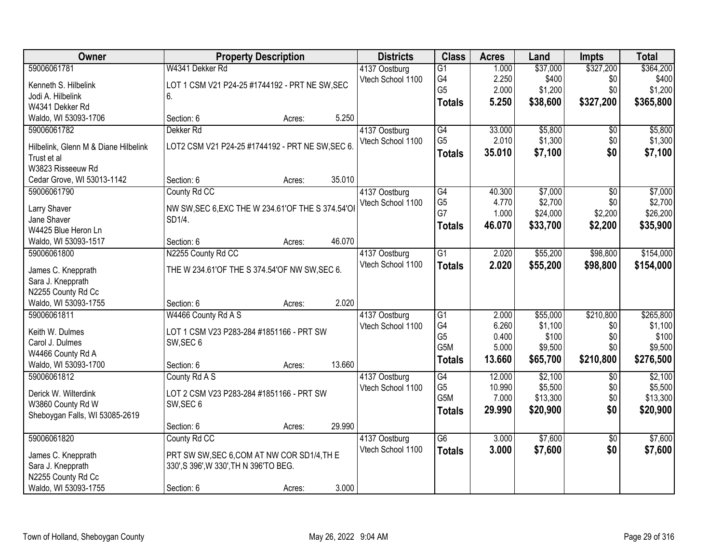| Owner                                               | <b>Property Description</b>                       |        |        | <b>Districts</b>  | <b>Class</b>    | <b>Acres</b> | Land     | <b>Impts</b>    | <b>Total</b> |
|-----------------------------------------------------|---------------------------------------------------|--------|--------|-------------------|-----------------|--------------|----------|-----------------|--------------|
| 59006061781                                         | W4341 Dekker Rd                                   |        |        | 4137 Oostburg     | $\overline{G1}$ | 1.000        | \$37,000 | \$327,200       | \$364,200    |
| Kenneth S. Hilbelink                                | LOT 1 CSM V21 P24-25 #1744192 - PRT NE SW, SEC    |        |        | Vtech School 1100 | G4              | 2.250        | \$400    | \$0             | \$400        |
| Jodi A. Hilbelink                                   | 6.                                                |        |        |                   | G <sub>5</sub>  | 2.000        | \$1,200  | \$0             | \$1,200      |
| W4341 Dekker Rd                                     |                                                   |        |        |                   | <b>Totals</b>   | 5.250        | \$38,600 | \$327,200       | \$365,800    |
| Waldo, WI 53093-1706                                | Section: 6                                        | Acres: | 5.250  |                   |                 |              |          |                 |              |
| 59006061782                                         | Dekker <sub>Rd</sub>                              |        |        | 4137 Oostburg     | $\overline{G4}$ | 33.000       | \$5,800  | $\overline{50}$ | \$5,800      |
|                                                     | LOT2 CSM V21 P24-25 #1744192 - PRT NE SW, SEC 6.  |        |        | Vtech School 1100 | G <sub>5</sub>  | 2.010        | \$1,300  | \$0             | \$1,300      |
| Hilbelink, Glenn M & Diane Hilbelink<br>Trust et al |                                                   |        |        |                   | <b>Totals</b>   | 35.010       | \$7,100  | \$0             | \$7,100      |
| W3823 Risseeuw Rd                                   |                                                   |        |        |                   |                 |              |          |                 |              |
| Cedar Grove, WI 53013-1142                          | Section: 6                                        | Acres: | 35.010 |                   |                 |              |          |                 |              |
| 59006061790                                         | County Rd CC                                      |        |        | 4137 Oostburg     | $\overline{G4}$ | 40.300       | \$7,000  | \$0             | \$7,000      |
|                                                     |                                                   |        |        | Vtech School 1100 | G <sub>5</sub>  | 4.770        | \$2,700  | \$0             | \$2,700      |
| Larry Shaver                                        | NW SW, SEC 6, EXC THE W 234.61'OF THE S 374.54'OI |        |        |                   | G7              | 1.000        | \$24,000 | \$2,200         | \$26,200     |
| Jane Shaver                                         | SD1/4.                                            |        |        |                   | <b>Totals</b>   | 46.070       | \$33,700 | \$2,200         | \$35,900     |
| W4425 Blue Heron Ln                                 |                                                   |        |        |                   |                 |              |          |                 |              |
| Waldo, WI 53093-1517                                | Section: 6                                        | Acres: | 46.070 |                   |                 |              |          |                 |              |
| 59006061800                                         | N2255 County Rd CC                                |        |        | 4137 Oostburg     | $\overline{G1}$ | 2.020        | \$55,200 | \$98,800        | \$154,000    |
| James C. Knepprath                                  | THE W 234.61'OF THE S 374.54'OF NW SW, SEC 6.     |        |        | Vtech School 1100 | <b>Totals</b>   | 2.020        | \$55,200 | \$98,800        | \$154,000    |
| Sara J. Knepprath                                   |                                                   |        |        |                   |                 |              |          |                 |              |
| N2255 County Rd Cc                                  |                                                   |        |        |                   |                 |              |          |                 |              |
| Waldo, WI 53093-1755                                | Section: 6                                        | Acres: | 2.020  |                   |                 |              |          |                 |              |
| 59006061811                                         | W4466 County Rd A S                               |        |        | 4137 Oostburg     | $\overline{G1}$ | 2.000        | \$55,000 | \$210,800       | \$265,800    |
| Keith W. Dulmes                                     | LOT 1 CSM V23 P283-284 #1851166 - PRT SW          |        |        | Vtech School 1100 | G4              | 6.260        | \$1,100  | \$0             | \$1,100      |
| Carol J. Dulmes                                     | SW, SEC 6                                         |        |        |                   | G <sub>5</sub>  | 0.400        | \$100    | \$0             | \$100        |
| W4466 County Rd A                                   |                                                   |        |        |                   | G5M             | 5.000        | \$9,500  | \$0             | \$9,500      |
| Waldo, WI 53093-1700                                | Section: 6                                        | Acres: | 13.660 |                   | <b>Totals</b>   | 13.660       | \$65,700 | \$210,800       | \$276,500    |
| 59006061812                                         | County Rd A S                                     |        |        | 4137 Oostburg     | G4              | 12.000       | \$2,100  | \$0             | \$2,100      |
|                                                     |                                                   |        |        | Vtech School 1100 | G <sub>5</sub>  | 10.990       | \$5,500  | \$0             | \$5,500      |
| Derick W. Wilterdink                                | LOT 2 CSM V23 P283-284 #1851166 - PRT SW          |        |        |                   | G5M             | 7.000        | \$13,300 | \$0             | \$13,300     |
| W3860 County Rd W                                   | SW, SEC 6                                         |        |        |                   | <b>Totals</b>   | 29,990       | \$20,900 | \$0             | \$20,900     |
| Sheboygan Falls, WI 53085-2619                      |                                                   |        |        |                   |                 |              |          |                 |              |
|                                                     | Section: 6                                        | Acres: | 29.990 |                   |                 |              |          |                 |              |
| 59006061820                                         | County Rd CC                                      |        |        | 4137 Oostburg     | $\overline{G6}$ | 3.000        | \$7,600  | $\overline{30}$ | \$7,600      |
| James C. Knepprath                                  | PRT SW SW, SEC 6, COM AT NW COR SD1/4, TH E       |        |        | Vtech School 1100 | <b>Totals</b>   | 3.000        | \$7,600  | \$0             | \$7,600      |
| Sara J. Knepprath                                   | 330', S 396', W 330', TH N 396'TO BEG.            |        |        |                   |                 |              |          |                 |              |
| N2255 County Rd Cc                                  |                                                   |        |        |                   |                 |              |          |                 |              |
| Waldo, WI 53093-1755                                | Section: 6                                        | Acres: | 3.000  |                   |                 |              |          |                 |              |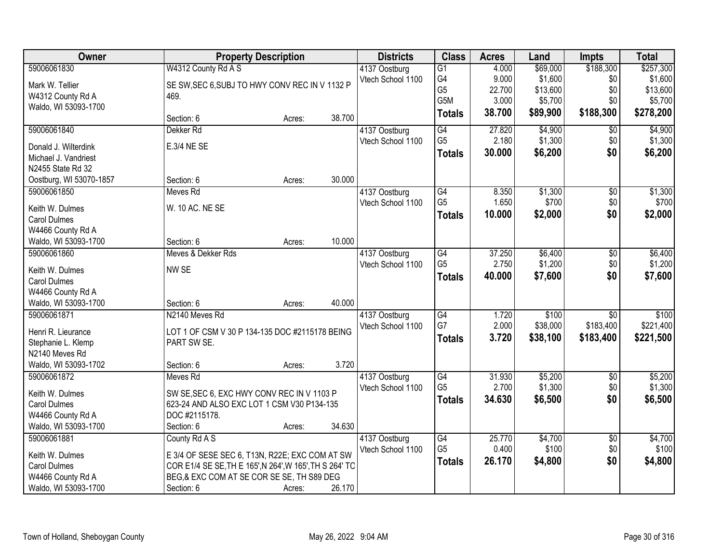| Owner                                  | <b>Property Description</b>                             |        |        | <b>Districts</b>  | <b>Class</b>     | <b>Acres</b> | Land     | <b>Impts</b>    | <b>Total</b> |
|----------------------------------------|---------------------------------------------------------|--------|--------|-------------------|------------------|--------------|----------|-----------------|--------------|
| 59006061830                            | W4312 County Rd A S                                     |        |        | 4137 Oostburg     | $\overline{G1}$  | 4.000        | \$69,000 | \$188,300       | \$257,300    |
| Mark W. Tellier                        | SE SW, SEC 6, SUBJ TO HWY CONV REC IN V 1132 P          |        |        | Vtech School 1100 | G4               | 9.000        | \$1,600  | \$0             | \$1,600      |
| W4312 County Rd A                      | 469.                                                    |        |        |                   | G <sub>5</sub>   | 22.700       | \$13,600 | \$0             | \$13,600     |
| Waldo, WI 53093-1700                   |                                                         |        |        |                   | G <sub>5</sub> M | 3.000        | \$5,700  | \$0             | \$5,700      |
|                                        | Section: 6                                              | Acres: | 38.700 |                   | <b>Totals</b>    | 38.700       | \$89,900 | \$188,300       | \$278,200    |
| 59006061840                            | Dekker <sub>Rd</sub>                                    |        |        | 4137 Oostburg     | $\overline{G4}$  | 27.820       | \$4,900  | $\overline{50}$ | \$4,900      |
| Donald J. Wilterdink                   | E.3/4 NE SE                                             |        |        | Vtech School 1100 | G <sub>5</sub>   | 2.180        | \$1,300  | \$0             | \$1,300      |
| Michael J. Vandriest                   |                                                         |        |        |                   | <b>Totals</b>    | 30.000       | \$6,200  | \$0             | \$6,200      |
| N2455 State Rd 32                      |                                                         |        |        |                   |                  |              |          |                 |              |
| Oostburg, WI 53070-1857                | Section: 6                                              | Acres: | 30.000 |                   |                  |              |          |                 |              |
| 59006061850                            | Meves Rd                                                |        |        | 4137 Oostburg     | $\overline{G4}$  | 8.350        | \$1,300  | $\overline{50}$ | \$1,300      |
|                                        | W. 10 AC. NE SE                                         |        |        | Vtech School 1100 | G <sub>5</sub>   | 1.650        | \$700    | \$0             | \$700        |
| Keith W. Dulmes<br><b>Carol Dulmes</b> |                                                         |        |        |                   | <b>Totals</b>    | 10.000       | \$2,000  | \$0             | \$2,000      |
| W4466 County Rd A                      |                                                         |        |        |                   |                  |              |          |                 |              |
| Waldo, WI 53093-1700                   | Section: 6                                              | Acres: | 10.000 |                   |                  |              |          |                 |              |
| 59006061860                            | Meves & Dekker Rds                                      |        |        | 4137 Oostburg     | $\overline{G4}$  | 37.250       | \$6,400  | \$0             | \$6,400      |
|                                        |                                                         |        |        | Vtech School 1100 | G <sub>5</sub>   | 2.750        | \$1,200  | \$0             | \$1,200      |
| Keith W. Dulmes                        | NW SE                                                   |        |        |                   | <b>Totals</b>    | 40.000       | \$7,600  | \$0             | \$7,600      |
| <b>Carol Dulmes</b>                    |                                                         |        |        |                   |                  |              |          |                 |              |
| W4466 County Rd A                      |                                                         |        |        |                   |                  |              |          |                 |              |
| Waldo, WI 53093-1700                   | Section: 6                                              | Acres: | 40.000 |                   |                  |              |          |                 |              |
| 59006061871                            | N2140 Meves Rd                                          |        |        | 4137 Oostburg     | $\overline{G4}$  | 1.720        | \$100    | $\overline{50}$ | \$100        |
| Henri R. Lieurance                     | LOT 1 OF CSM V 30 P 134-135 DOC #2115178 BEING          |        |        | Vtech School 1100 | G7               | 2.000        | \$38,000 | \$183,400       | \$221,400    |
| Stephanie L. Klemp                     | PART SW SE.                                             |        |        |                   | <b>Totals</b>    | 3.720        | \$38,100 | \$183,400       | \$221,500    |
| N2140 Meves Rd                         |                                                         |        |        |                   |                  |              |          |                 |              |
| Waldo, WI 53093-1702                   | Section: 6                                              | Acres: | 3.720  |                   |                  |              |          |                 |              |
| 59006061872                            | Meves Rd                                                |        |        | 4137 Oostburg     | $\overline{G4}$  | 31.930       | \$5,200  | $\overline{60}$ | \$5,200      |
| Keith W. Dulmes                        | SW SE, SEC 6, EXC HWY CONV REC IN V 1103 P              |        |        | Vtech School 1100 | G <sub>5</sub>   | 2.700        | \$1,300  | \$0             | \$1,300      |
| <b>Carol Dulmes</b>                    | 623-24 AND ALSO EXC LOT 1 CSM V30 P134-135              |        |        |                   | <b>Totals</b>    | 34.630       | \$6,500  | \$0             | \$6,500      |
| W4466 County Rd A                      | DOC #2115178.                                           |        |        |                   |                  |              |          |                 |              |
| Waldo, WI 53093-1700                   | Section: 6                                              | Acres: | 34.630 |                   |                  |              |          |                 |              |
| 59006061881                            | County Rd A S                                           |        |        | 4137 Oostburg     | G4               | 25.770       | \$4,700  | $\overline{50}$ | \$4,700      |
|                                        |                                                         |        |        | Vtech School 1100 | G <sub>5</sub>   | 0.400        | \$100    | \$0             | \$100        |
| Keith W. Dulmes                        | E 3/4 OF SESE SEC 6, T13N, R22E; EXC COM AT SW          |        |        |                   |                  | 26.170       | \$4,800  | \$0             | \$4,800      |
| <b>Carol Dulmes</b>                    | COR E1/4 SE SE, TH E 165', N 264', W 165', TH S 264' TO |        |        |                   | <b>Totals</b>    |              |          |                 |              |
| W4466 County Rd A                      | BEG,& EXC COM AT SE COR SE SE, TH S89 DEG               |        |        |                   |                  |              |          |                 |              |
| Waldo, WI 53093-1700                   | Section: 6                                              | Acres: | 26.170 |                   |                  |              |          |                 |              |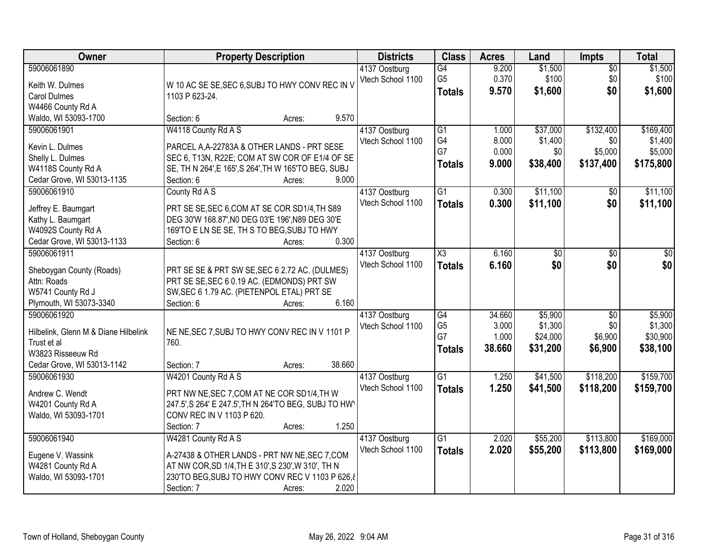| Owner                                                                                                                 | <b>Property Description</b>                                                                                                                                                                                     | <b>Districts</b>                   | <b>Class</b>                                             | <b>Acres</b>                       | Land                                       | <b>Impts</b>                                 | <b>Total</b>                                 |
|-----------------------------------------------------------------------------------------------------------------------|-----------------------------------------------------------------------------------------------------------------------------------------------------------------------------------------------------------------|------------------------------------|----------------------------------------------------------|------------------------------------|--------------------------------------------|----------------------------------------------|----------------------------------------------|
| 59006061890<br>Keith W. Dulmes<br><b>Carol Dulmes</b>                                                                 | W 10 AC SE SE, SEC 6, SUBJ TO HWY CONV REC IN V<br>1103 P 623-24.                                                                                                                                               | 4137 Oostburg<br>Vtech School 1100 | G4<br>G <sub>5</sub><br><b>Totals</b>                    | 9.200<br>0.370<br>9.570            | \$1,500<br>\$100<br>\$1,600                | $\overline{50}$<br>\$0<br>\$0                | \$1,500<br>\$100<br>\$1,600                  |
| W4466 County Rd A<br>Waldo, WI 53093-1700                                                                             | 9.570<br>Section: 6<br>Acres:                                                                                                                                                                                   |                                    |                                                          |                                    |                                            |                                              |                                              |
| 59006061901<br>Kevin L. Dulmes<br>Shelly L. Dulmes<br>W4118S County Rd A<br>Cedar Grove, WI 53013-1135                | W4118 County Rd A S<br>PARCEL A, A-22783A & OTHER LANDS - PRT SESE<br>SEC 6, T13N, R22E; COM AT SW COR OF E1/4 OF SE<br>SE, TH N 264', E 165', S 264', TH W 165'TO BEG, SUBJ<br>9.000<br>Section: 6<br>Acres:   | 4137 Oostburg<br>Vtech School 1100 | $\overline{G1}$<br>G4<br>G7<br><b>Totals</b>             | 1.000<br>8.000<br>0.000<br>9.000   | \$37,000<br>\$1,400<br>\$0<br>\$38,400     | \$132,400<br>\$0<br>\$5,000<br>\$137,400     | \$169,400<br>\$1,400<br>\$5,000<br>\$175,800 |
| 59006061910<br>Jeffrey E. Baumgart<br>Kathy L. Baumgart<br>W4092S County Rd A<br>Cedar Grove, WI 53013-1133           | County Rd A S<br>PRT SE SE, SEC 6, COM AT SE COR SD1/4, TH S89<br>DEG 30'W 168.87', NO DEG 03'E 196', N89 DEG 30'E<br>169'TO E LN SE SE, TH S TO BEG, SUBJ TO HWY<br>0.300<br>Section: 6<br>Acres:              | 4137 Oostburg<br>Vtech School 1100 | $\overline{G1}$<br><b>Totals</b>                         | 0.300<br>0.300                     | \$11,100<br>\$11,100                       | \$0<br>\$0                                   | \$11,100<br>\$11,100                         |
| 59006061911<br>Sheboygan County (Roads)<br>Attn: Roads<br>W5741 County Rd J<br>Plymouth, WI 53073-3340                | PRT SE SE & PRT SW SE, SEC 6 2.72 AC. (DULMES)<br>PRT SE SE, SEC 6 0.19 AC. (EDMONDS) PRT SW<br>SW, SEC 6 1.79 AC. (PIETENPOL ETAL) PRT SE<br>6.160<br>Section: 6<br>Acres:                                     | 4137 Oostburg<br>Vtech School 1100 | X3<br><b>Totals</b>                                      | 6.160<br>6.160                     | \$0<br>\$0                                 | \$0<br>\$0                                   | \$0<br>\$0                                   |
| 59006061920<br>Hilbelink, Glenn M & Diane Hilbelink<br>Trust et al<br>W3823 Risseeuw Rd<br>Cedar Grove, WI 53013-1142 | NE NE, SEC 7, SUBJ TO HWY CONV REC IN V 1101 P<br>760.<br>38.660<br>Section: 7<br>Acres:                                                                                                                        | 4137 Oostburg<br>Vtech School 1100 | $\overline{G4}$<br>G <sub>5</sub><br>G7<br><b>Totals</b> | 34.660<br>3.000<br>1.000<br>38.660 | \$5,900<br>\$1,300<br>\$24,000<br>\$31,200 | $\overline{50}$<br>\$0<br>\$6,900<br>\$6,900 | \$5,900<br>\$1,300<br>\$30,900<br>\$38,100   |
| 59006061930<br>Andrew C. Wendt<br>W4201 County Rd A<br>Waldo, WI 53093-1701                                           | W4201 County Rd A S<br>PRT NW NE, SEC 7, COM AT NE COR SD1/4, TH W<br>247.5', S 264' E 247.5', TH N 264'TO BEG, SUBJ TO HW<br>CONV REC IN V 1103 P 620.<br>1.250<br>Section: 7<br>Acres:                        | 4137 Oostburg<br>Vtech School 1100 | $\overline{G1}$<br><b>Totals</b>                         | 1.250<br>1.250                     | \$41,500<br>\$41,500                       | \$118,200<br>\$118,200                       | \$159,700<br>\$159,700                       |
| 59006061940<br>Eugene V. Wassink<br>W4281 County Rd A<br>Waldo, WI 53093-1701                                         | W4281 County Rd A S<br>A-27438 & OTHER LANDS - PRT NW NE, SEC 7, COM<br>AT NW COR, SD 1/4, TH E 310', S 230', W 310', TH N<br>230'TO BEG, SUBJ TO HWY CONV REC V 1103 P 626, 8<br>2.020<br>Section: 7<br>Acres: | 4137 Oostburg<br>Vtech School 1100 | $\overline{G1}$<br><b>Totals</b>                         | 2.020<br>2.020                     | \$55,200<br>\$55,200                       | \$113,800<br>\$113,800                       | \$169,000<br>\$169,000                       |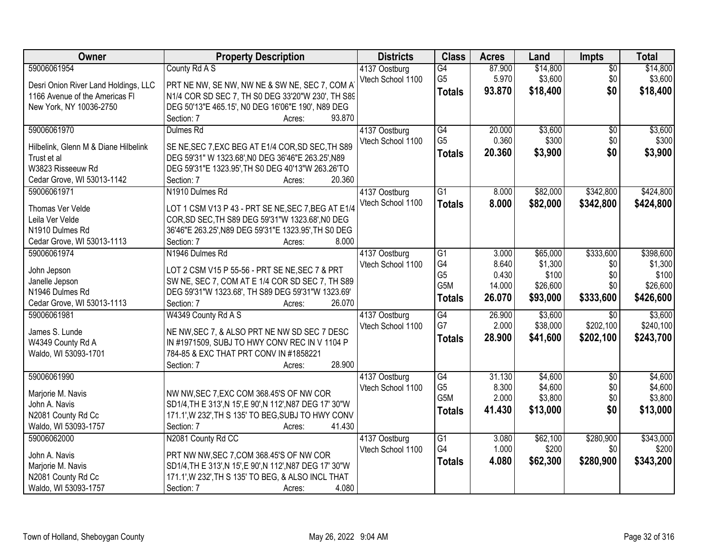| Owner                                     | <b>Property Description</b>                                 | <b>Districts</b>                   | <b>Class</b>     | <b>Acres</b> | Land     | Impts           | <b>Total</b> |
|-------------------------------------------|-------------------------------------------------------------|------------------------------------|------------------|--------------|----------|-----------------|--------------|
| 59006061954                               | County Rd A S                                               | 4137 Oostburg                      | $\overline{G4}$  | 87.900       | \$14,800 | $\overline{50}$ | \$14,800     |
| Desri Onion River Land Holdings, LLC      | PRT NE NW, SE NW, NW NE & SW NE, SEC 7, COM A               | Vtech School 1100                  | G <sub>5</sub>   | 5.970        | \$3,600  | \$0             | \$3,600      |
| 1166 Avenue of the Americas FI            | N1/4 COR SD SEC 7, TH S0 DEG 33'20"W 230', TH S89           |                                    | <b>Totals</b>    | 93.870       | \$18,400 | \$0             | \$18,400     |
| New York, NY 10036-2750                   | DEG 50'13"E 465.15', N0 DEG 16'06"E 190', N89 DEG           |                                    |                  |              |          |                 |              |
|                                           | 93.870<br>Section: 7<br>Acres:                              |                                    |                  |              |          |                 |              |
| 59006061970                               | Dulmes Rd                                                   | 4137 Oostburg                      | G4               | 20.000       | \$3,600  | $\overline{50}$ | \$3,600      |
|                                           |                                                             | Vtech School 1100                  | G <sub>5</sub>   | 0.360        | \$300    | \$0             | \$300        |
| Hilbelink, Glenn M & Diane Hilbelink      | SE NE, SEC 7, EXC BEG AT E1/4 COR, SD SEC, TH S89           |                                    | <b>Totals</b>    | 20.360       | \$3,900  | \$0             | \$3,900      |
| Trust et al<br>W3823 Risseeuw Rd          | DEG 59'31" W 1323.68', N0 DEG 36'46"E 263.25', N89          |                                    |                  |              |          |                 |              |
|                                           | DEG 59'31"E 1323.95', TH S0 DEG 40'13"W 263.26'TO<br>20.360 |                                    |                  |              |          |                 |              |
| Cedar Grove, WI 53013-1142<br>59006061971 | Section: 7<br>Acres:<br>N1910 Dulmes Rd                     |                                    | $\overline{G1}$  |              |          | \$342,800       | \$424,800    |
|                                           |                                                             | 4137 Oostburg<br>Vtech School 1100 |                  | 8.000        | \$82,000 |                 |              |
| Thomas Ver Velde                          | LOT 1 CSM V13 P 43 - PRT SE NE, SEC 7, BEG AT E1/4          |                                    | <b>Totals</b>    | 8.000        | \$82,000 | \$342,800       | \$424,800    |
| Leila Ver Velde                           | COR, SD SEC, TH S89 DEG 59'31"W 1323.68', NO DEG            |                                    |                  |              |          |                 |              |
| N1910 Dulmes Rd                           | 36'46"E 263.25', N89 DEG 59'31"E 1323.95', TH S0 DEG        |                                    |                  |              |          |                 |              |
| Cedar Grove, WI 53013-1113                | 8.000<br>Section: 7<br>Acres:                               |                                    |                  |              |          |                 |              |
| 59006061974                               | N1946 Dulmes Rd                                             | 4137 Oostburg                      | G1               | 3.000        | \$65,000 | \$333,600       | \$398,600    |
| John Jepson                               | LOT 2 CSM V15 P 55-56 - PRT SE NE, SEC 7 & PRT              | Vtech School 1100                  | G4               | 8.640        | \$1,300  | \$0             | \$1,300      |
| Janelle Jepson                            | SW NE, SEC 7, COM AT E 1/4 COR SD SEC 7, TH S89             |                                    | G <sub>5</sub>   | 0.430        | \$100    | \$0             | \$100        |
| N1946 Dulmes Rd                           | DEG 59'31"W 1323.68', TH S89 DEG 59'31"W 1323.69'           |                                    | G5M              | 14.000       | \$26,600 | \$0             | \$26,600     |
| Cedar Grove, WI 53013-1113                | 26.070<br>Section: 7<br>Acres:                              |                                    | <b>Totals</b>    | 26.070       | \$93,000 | \$333,600       | \$426,600    |
| 59006061981                               | W4349 County Rd A S                                         | 4137 Oostburg                      | $\overline{G4}$  | 26.900       | \$3,600  | $\overline{30}$ | \$3,600      |
|                                           |                                                             | Vtech School 1100                  | G7               | 2.000        | \$38,000 | \$202,100       | \$240,100    |
| James S. Lunde                            | NE NW, SEC 7, & ALSO PRT NE NW SD SEC 7 DESC                |                                    | <b>Totals</b>    | 28.900       | \$41,600 | \$202,100       | \$243,700    |
| W4349 County Rd A                         | IN #1971509, SUBJ TO HWY CONV REC IN V 1104 P               |                                    |                  |              |          |                 |              |
| Waldo, WI 53093-1701                      | 784-85 & EXC THAT PRT CONV IN #1858221                      |                                    |                  |              |          |                 |              |
|                                           | 28.900<br>Section: 7<br>Acres:                              |                                    |                  |              |          |                 |              |
| 59006061990                               |                                                             | 4137 Oostburg                      | $\overline{G4}$  | 31.130       | \$4,600  | $\overline{50}$ | \$4,600      |
| Marjorie M. Navis                         | NW NW, SEC 7, EXC COM 368.45'S OF NW COR                    | Vtech School 1100                  | G <sub>5</sub>   | 8.300        | \$4,600  | \$0             | \$4,600      |
| John A. Navis                             | SD1/4, TH E 313', N 15', E 90', N 112', N87 DEG 17' 30"W    |                                    | G <sub>5</sub> M | 2.000        | \$3,800  | \$0             | \$3,800      |
| N2081 County Rd Cc                        | 171.1', W 232', TH S 135' TO BEG, SUBJ TO HWY CONV          |                                    | <b>Totals</b>    | 41.430       | \$13,000 | \$0             | \$13,000     |
| Waldo, WI 53093-1757                      | Section: 7<br>41.430<br>Acres:                              |                                    |                  |              |          |                 |              |
| 59006062000                               | N2081 County Rd CC                                          | 4137 Oostburg                      | $\overline{G1}$  | 3.080        | \$62,100 | \$280,900       | \$343,000    |
|                                           |                                                             | Vtech School 1100                  | G4               | 1.000        | \$200    | \$0             | \$200        |
| John A. Navis                             | PRT NW NW, SEC 7, COM 368.45'S OF NW COR                    |                                    | <b>Totals</b>    | 4.080        | \$62,300 | \$280,900       | \$343,200    |
| Marjorie M. Navis                         | SD1/4, TH E 313', N 15', E 90', N 112', N87 DEG 17' 30"W    |                                    |                  |              |          |                 |              |
| N2081 County Rd Cc                        | 171.1', W 232', TH S 135' TO BEG, & ALSO INCL THAT          |                                    |                  |              |          |                 |              |
| Waldo, WI 53093-1757                      | Section: 7<br>4.080<br>Acres:                               |                                    |                  |              |          |                 |              |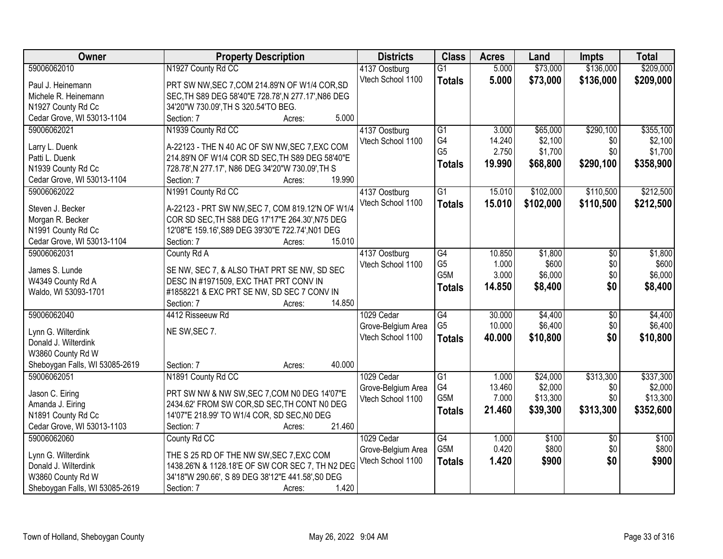| Owner                          | <b>Property Description</b>                         | <b>Districts</b>   | <b>Class</b>     | <b>Acres</b> | Land      | Impts           | <b>Total</b> |
|--------------------------------|-----------------------------------------------------|--------------------|------------------|--------------|-----------|-----------------|--------------|
| 59006062010                    | N1927 County Rd CC                                  | 4137 Oostburg      | $\overline{G1}$  | 5.000        | \$73,000  | \$136,000       | \$209,000    |
| Paul J. Heinemann              | PRT SW NW, SEC 7, COM 214.89'N OF W1/4 COR, SD      | Vtech School 1100  | <b>Totals</b>    | 5.000        | \$73,000  | \$136,000       | \$209,000    |
| Michele R. Heinemann           | SEC, TH S89 DEG 58'40"E 728.78', N 277.17', N86 DEG |                    |                  |              |           |                 |              |
| N1927 County Rd Cc             | 34'20"W 730.09', TH S 320.54'TO BEG.                |                    |                  |              |           |                 |              |
| Cedar Grove, WI 53013-1104     | 5.000<br>Section: 7<br>Acres:                       |                    |                  |              |           |                 |              |
| 59006062021                    | N1939 County Rd CC                                  | 4137 Oostburg      | $\overline{G1}$  | 3.000        | \$65,000  | \$290,100       | \$355,100    |
|                                |                                                     | Vtech School 1100  | G4               | 14.240       | \$2,100   | \$0             | \$2,100      |
| Larry L. Duenk                 | A-22123 - THE N 40 AC OF SW NW, SEC 7, EXC COM      |                    | G <sub>5</sub>   | 2.750        | \$1,700   | \$0             | \$1,700      |
| Patti L. Duenk                 | 214.89'N OF W1/4 COR SD SEC.TH S89 DEG 58'40"E      |                    | <b>Totals</b>    | 19.990       | \$68,800  | \$290,100       | \$358,900    |
| N1939 County Rd Cc             | 728.78', N 277.17', N86 DEG 34'20"W 730.09', TH S   |                    |                  |              |           |                 |              |
| Cedar Grove, WI 53013-1104     | 19.990<br>Section: 7<br>Acres:                      |                    |                  |              |           |                 |              |
| 59006062022                    | N1991 County Rd CC                                  | 4137 Oostburg      | $\overline{G1}$  | 15.010       | \$102,000 | \$110,500       | \$212,500    |
| Steven J. Becker               | A-22123 - PRT SW NW, SEC 7, COM 819.12'N OF W1/4    | Vtech School 1100  | <b>Totals</b>    | 15.010       | \$102,000 | \$110,500       | \$212,500    |
| Morgan R. Becker               | COR SD SEC, TH S88 DEG 17'17"E 264.30', N75 DEG     |                    |                  |              |           |                 |              |
| N1991 County Rd Cc             | 12'08"E 159.16', S89 DEG 39'30"E 722.74', N01 DEG   |                    |                  |              |           |                 |              |
| Cedar Grove, WI 53013-1104     | 15.010<br>Section: 7<br>Acres:                      |                    |                  |              |           |                 |              |
| 59006062031                    | County Rd A                                         | 4137 Oostburg      | G4               | 10.850       | \$1,800   | \$0             | \$1,800      |
|                                |                                                     | Vtech School 1100  | G <sub>5</sub>   | 1.000        | \$600     | \$0             | \$600        |
| James S. Lunde                 | SE NW, SEC 7, & ALSO THAT PRT SE NW, SD SEC         |                    | G <sub>5</sub> M | 3.000        | \$6,000   | \$0             | \$6,000      |
| W4349 County Rd A              | DESC IN #1971509, EXC THAT PRT CONV IN              |                    | <b>Totals</b>    | 14.850       | \$8,400   | \$0             | \$8,400      |
| Waldo, WI 53093-1701           | #1858221 & EXC PRT SE NW, SD SEC 7 CONV IN          |                    |                  |              |           |                 |              |
|                                | 14.850<br>Section: 7<br>Acres:                      |                    |                  |              |           |                 |              |
| 59006062040                    | 4412 Risseeuw Rd                                    | 1029 Cedar         | $\overline{G4}$  | 30.000       | \$4,400   | \$0             | \$4,400      |
| Lynn G. Wilterdink             | NE SW, SEC 7.                                       | Grove-Belgium Area | G <sub>5</sub>   | 10.000       | \$6,400   | \$0             | \$6,400      |
| Donald J. Wilterdink           |                                                     | Vtech School 1100  | <b>Totals</b>    | 40.000       | \$10,800  | \$0             | \$10,800     |
| W3860 County Rd W              |                                                     |                    |                  |              |           |                 |              |
| Sheboygan Falls, WI 53085-2619 | 40.000<br>Section: 7<br>Acres:                      |                    |                  |              |           |                 |              |
| 59006062051                    | N1891 County Rd CC                                  | 1029 Cedar         | $\overline{G1}$  | 1.000        | \$24,000  | \$313,300       | \$337,300    |
|                                |                                                     | Grove-Belgium Area | G4               | 13.460       | \$2,000   | \$0             | \$2,000      |
| Jason C. Eiring                | PRT SW NW & NW SW, SEC 7, COM N0 DEG 14'07"E        | Vtech School 1100  | G <sub>5</sub> M | 7.000        | \$13,300  | \$0             | \$13,300     |
| Amanda J. Eiring               | 2434.62' FROM SW COR, SD SEC, TH CONT NO DEG        |                    | <b>Totals</b>    | 21.460       | \$39,300  | \$313,300       | \$352,600    |
| N1891 County Rd Cc             | 14'07"E 218.99' TO W1/4 COR, SD SEC, N0 DEG         |                    |                  |              |           |                 |              |
| Cedar Grove, WI 53013-1103     | 21.460<br>Section: 7<br>Acres:                      |                    |                  |              |           |                 |              |
| 59006062060                    | County Rd CC                                        | 1029 Cedar         | G4               | 1.000        | \$100     | $\overline{30}$ | \$100        |
| Lynn G. Wilterdink             | THE S 25 RD OF THE NW SW, SEC 7, EXC COM            | Grove-Belgium Area | G5M              | 0.420        | \$800     | \$0             | \$800        |
| Donald J. Wilterdink           | 1438.26'N & 1128.18'E OF SW COR SEC 7, TH N2 DEG    | Vtech School 1100  | <b>Totals</b>    | 1.420        | \$900     | \$0             | \$900        |
| W3860 County Rd W              | 34'18"W 290.66', S 89 DEG 38'12"E 441.58', S0 DEG   |                    |                  |              |           |                 |              |
| Sheboygan Falls, WI 53085-2619 | 1.420<br>Section: 7<br>Acres:                       |                    |                  |              |           |                 |              |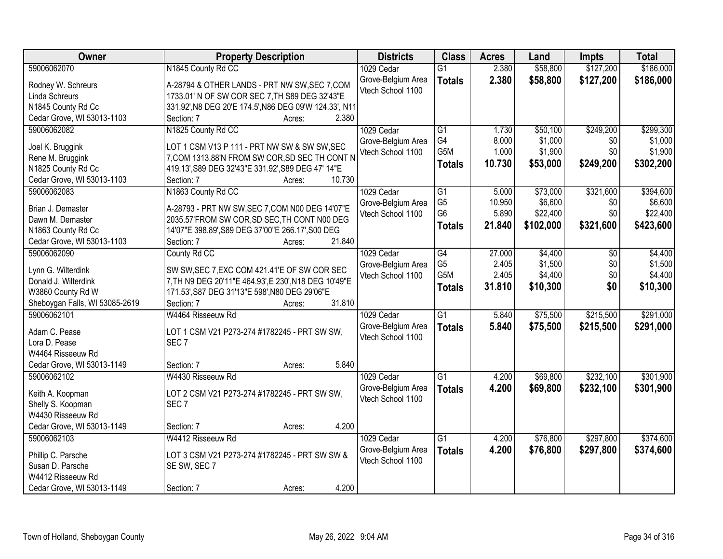| \$186,000<br>59006062070<br>N1845 County Rd CC<br>2.380<br>\$58,800<br>\$127,200<br>1029 Cedar<br>$\overline{G1}$<br>2.380<br>\$58,800<br>\$127,200<br>\$186,000<br>Grove-Belgium Area<br><b>Totals</b><br>A-28794 & OTHER LANDS - PRT NW SW, SEC 7, COM<br>Rodney W. Schreurs<br>Vtech School 1100<br>Linda Schreurs<br>1733.01' N OF SW COR SEC 7, TH S89 DEG 32'43"E<br>331.92', N8 DEG 20'E 174.5', N86 DEG 09'W 124.33', N11<br>N1845 County Rd Cc<br>Cedar Grove, WI 53013-1103<br>2.380<br>Section: 7<br>Acres:<br>\$299,300<br>59006062082<br>N1825 County Rd CC<br>1029 Cedar<br>$\overline{G1}$<br>\$50,100<br>\$249,200<br>1.730<br>G4<br>8.000<br>\$1,000<br>\$0<br>Grove-Belgium Area<br>LOT 1 CSM V13 P 111 - PRT NW SW & SW SW, SEC<br>Joel K. Bruggink<br>G5M<br>1.000<br>\$1,900<br>\$0<br>Vtech School 1100<br>Rene M. Bruggink<br>7, COM 1313.88'N FROM SW COR, SD SEC TH CONT N<br>\$53,000<br>\$249,200<br>10.730<br>\$302,200<br><b>Totals</b><br>N1825 County Rd Cc<br>419.13', S89 DEG 32'43"E 331.92', S89 DEG 47' 14"E<br>10.730<br>Cedar Grove, WI 53013-1103<br>Section: 7<br>Acres:<br>N1863 County Rd CC<br>59006062083<br>$\overline{G1}$<br>\$73,000<br>\$321,600<br>1029 Cedar<br>5.000<br>G <sub>5</sub><br>\$6,600<br>10.950<br>\$0<br>Grove-Belgium Area<br>A-28793 - PRT NW SW, SEC 7, COM N00 DEG 14'07"E<br>Brian J. Demaster<br>G <sub>6</sub><br>\$0<br>5.890<br>\$22,400<br>Vtech School 1100<br>2035.57'FROM SW COR, SD SEC, TH CONT N00 DEG<br>Dawn M. Demaster<br>21.840<br>\$102,000<br>\$321,600<br>\$423,600<br><b>Totals</b><br>N1863 County Rd Cc<br>14'07"E 398.89', S89 DEG 37'00"E 266.17', S00 DEG<br>Cedar Grove, WI 53013-1103<br>21.840<br>Section: 7<br>Acres:<br>59006062090<br>County Rd CC<br>1029 Cedar<br>G4<br>27.000<br>\$4,400<br>\$0<br>G <sub>5</sub><br>2.405<br>\$1,500<br>\$0<br>Grove-Belgium Area<br>SW SW, SEC 7, EXC COM 421.41'E OF SW COR SEC<br>Lynn G. Wilterdink<br>G5M<br>2.405<br>\$4,400<br>\$0<br>Vtech School 1100<br>7, TH N9 DEG 20'11"E 464.93', E 230', N18 DEG 10'49"E<br>Donald J. Wilterdink<br>\$0<br>31.810<br>\$10,300<br>\$10,300<br><b>Totals</b><br>171.53', S87 DEG 31'13"E 598', N80 DEG 29'06"E<br>W3860 County Rd W<br>31.810<br>Sheboygan Falls, WI 53085-2619<br>Section: 7<br>Acres:<br>$\overline{G1}$<br>\$75,500<br>\$215,500<br>59006062101<br>5.840<br>W4464 Risseeuw Rd<br>1029 Cedar<br>5.840<br>\$75,500<br>\$215,500<br>\$291,000<br>Grove-Belgium Area<br><b>Totals</b><br>Adam C. Pease<br>LOT 1 CSM V21 P273-274 #1782245 - PRT SW SW,<br>Vtech School 1100<br>SEC <sub>7</sub><br>Lora D. Pease<br>W4464 Risseeuw Rd<br>5.840<br>Cedar Grove, WI 53013-1149<br>Section: 7<br>Acres:<br>59006062102<br>$\overline{G1}$<br>\$232,100<br>W4430 Risseeuw Rd<br>1029 Cedar<br>4.200<br>\$69,800<br>Grove-Belgium Area<br>4.200<br>\$69,800<br>\$232,100<br><b>Totals</b><br>LOT 2 CSM V21 P273-274 #1782245 - PRT SW SW,<br>Keith A. Koopman<br>Vtech School 1100<br>SEC <sub>7</sub><br>Shelly S. Koopman<br>W4430 Risseeuw Rd<br>Cedar Grove, WI 53013-1149<br>4.200<br>Section: 7<br>Acres:<br>\$297,800<br>59006062103<br>W4412 Risseeuw Rd<br>1029 Cedar<br>$\overline{G1}$<br>\$76,800<br>4.200<br>4.200<br>\$76,800<br>Grove-Belgium Area<br>\$297,800<br>\$374,600<br><b>Totals</b><br>Phillip C. Parsche<br>LOT 3 CSM V21 P273-274 #1782245 - PRT SW SW &<br>Vtech School 1100<br>Susan D. Parsche<br>SE SW, SEC 7 | <b>Owner</b> | <b>Property Description</b> | <b>Districts</b> | <b>Class</b> | <b>Acres</b> | Land | <b>Impts</b> | <b>Total</b> |
|----------------------------------------------------------------------------------------------------------------------------------------------------------------------------------------------------------------------------------------------------------------------------------------------------------------------------------------------------------------------------------------------------------------------------------------------------------------------------------------------------------------------------------------------------------------------------------------------------------------------------------------------------------------------------------------------------------------------------------------------------------------------------------------------------------------------------------------------------------------------------------------------------------------------------------------------------------------------------------------------------------------------------------------------------------------------------------------------------------------------------------------------------------------------------------------------------------------------------------------------------------------------------------------------------------------------------------------------------------------------------------------------------------------------------------------------------------------------------------------------------------------------------------------------------------------------------------------------------------------------------------------------------------------------------------------------------------------------------------------------------------------------------------------------------------------------------------------------------------------------------------------------------------------------------------------------------------------------------------------------------------------------------------------------------------------------------------------------------------------------------------------------------------------------------------------------------------------------------------------------------------------------------------------------------------------------------------------------------------------------------------------------------------------------------------------------------------------------------------------------------------------------------------------------------------------------------------------------------------------------------------------------------------------------------------------------------------------------------------------------------------------------------------------------------------------------------------------------------------------------------------------------------------------------------------------------------------------------------------------------------------------------------------------------------------------------------------------------------------------------------------------------------------------------------------------------------------------------------------------------------------------------------------------------------------------------------------------------------------------------------------------------------------------------------------------------|--------------|-----------------------------|------------------|--------------|--------------|------|--------------|--------------|
|                                                                                                                                                                                                                                                                                                                                                                                                                                                                                                                                                                                                                                                                                                                                                                                                                                                                                                                                                                                                                                                                                                                                                                                                                                                                                                                                                                                                                                                                                                                                                                                                                                                                                                                                                                                                                                                                                                                                                                                                                                                                                                                                                                                                                                                                                                                                                                                                                                                                                                                                                                                                                                                                                                                                                                                                                                                                                                                                                                                                                                                                                                                                                                                                                                                                                                                                                                                                                                              |              |                             |                  |              |              |      |              |              |
|                                                                                                                                                                                                                                                                                                                                                                                                                                                                                                                                                                                                                                                                                                                                                                                                                                                                                                                                                                                                                                                                                                                                                                                                                                                                                                                                                                                                                                                                                                                                                                                                                                                                                                                                                                                                                                                                                                                                                                                                                                                                                                                                                                                                                                                                                                                                                                                                                                                                                                                                                                                                                                                                                                                                                                                                                                                                                                                                                                                                                                                                                                                                                                                                                                                                                                                                                                                                                                              |              |                             |                  |              |              |      |              |              |
|                                                                                                                                                                                                                                                                                                                                                                                                                                                                                                                                                                                                                                                                                                                                                                                                                                                                                                                                                                                                                                                                                                                                                                                                                                                                                                                                                                                                                                                                                                                                                                                                                                                                                                                                                                                                                                                                                                                                                                                                                                                                                                                                                                                                                                                                                                                                                                                                                                                                                                                                                                                                                                                                                                                                                                                                                                                                                                                                                                                                                                                                                                                                                                                                                                                                                                                                                                                                                                              |              |                             |                  |              |              |      |              |              |
|                                                                                                                                                                                                                                                                                                                                                                                                                                                                                                                                                                                                                                                                                                                                                                                                                                                                                                                                                                                                                                                                                                                                                                                                                                                                                                                                                                                                                                                                                                                                                                                                                                                                                                                                                                                                                                                                                                                                                                                                                                                                                                                                                                                                                                                                                                                                                                                                                                                                                                                                                                                                                                                                                                                                                                                                                                                                                                                                                                                                                                                                                                                                                                                                                                                                                                                                                                                                                                              |              |                             |                  |              |              |      |              |              |
|                                                                                                                                                                                                                                                                                                                                                                                                                                                                                                                                                                                                                                                                                                                                                                                                                                                                                                                                                                                                                                                                                                                                                                                                                                                                                                                                                                                                                                                                                                                                                                                                                                                                                                                                                                                                                                                                                                                                                                                                                                                                                                                                                                                                                                                                                                                                                                                                                                                                                                                                                                                                                                                                                                                                                                                                                                                                                                                                                                                                                                                                                                                                                                                                                                                                                                                                                                                                                                              |              |                             |                  |              |              |      |              |              |
| \$1,000<br>\$1,900<br>\$394,600<br>\$6,600<br>\$4,400<br>\$1,500<br>\$291,000<br>\$301,900<br>\$374,600                                                                                                                                                                                                                                                                                                                                                                                                                                                                                                                                                                                                                                                                                                                                                                                                                                                                                                                                                                                                                                                                                                                                                                                                                                                                                                                                                                                                                                                                                                                                                                                                                                                                                                                                                                                                                                                                                                                                                                                                                                                                                                                                                                                                                                                                                                                                                                                                                                                                                                                                                                                                                                                                                                                                                                                                                                                                                                                                                                                                                                                                                                                                                                                                                                                                                                                                      |              |                             |                  |              |              |      |              |              |
|                                                                                                                                                                                                                                                                                                                                                                                                                                                                                                                                                                                                                                                                                                                                                                                                                                                                                                                                                                                                                                                                                                                                                                                                                                                                                                                                                                                                                                                                                                                                                                                                                                                                                                                                                                                                                                                                                                                                                                                                                                                                                                                                                                                                                                                                                                                                                                                                                                                                                                                                                                                                                                                                                                                                                                                                                                                                                                                                                                                                                                                                                                                                                                                                                                                                                                                                                                                                                                              |              |                             |                  |              |              |      |              |              |
|                                                                                                                                                                                                                                                                                                                                                                                                                                                                                                                                                                                                                                                                                                                                                                                                                                                                                                                                                                                                                                                                                                                                                                                                                                                                                                                                                                                                                                                                                                                                                                                                                                                                                                                                                                                                                                                                                                                                                                                                                                                                                                                                                                                                                                                                                                                                                                                                                                                                                                                                                                                                                                                                                                                                                                                                                                                                                                                                                                                                                                                                                                                                                                                                                                                                                                                                                                                                                                              |              |                             |                  |              |              |      |              |              |
|                                                                                                                                                                                                                                                                                                                                                                                                                                                                                                                                                                                                                                                                                                                                                                                                                                                                                                                                                                                                                                                                                                                                                                                                                                                                                                                                                                                                                                                                                                                                                                                                                                                                                                                                                                                                                                                                                                                                                                                                                                                                                                                                                                                                                                                                                                                                                                                                                                                                                                                                                                                                                                                                                                                                                                                                                                                                                                                                                                                                                                                                                                                                                                                                                                                                                                                                                                                                                                              |              |                             |                  |              |              |      |              |              |
|                                                                                                                                                                                                                                                                                                                                                                                                                                                                                                                                                                                                                                                                                                                                                                                                                                                                                                                                                                                                                                                                                                                                                                                                                                                                                                                                                                                                                                                                                                                                                                                                                                                                                                                                                                                                                                                                                                                                                                                                                                                                                                                                                                                                                                                                                                                                                                                                                                                                                                                                                                                                                                                                                                                                                                                                                                                                                                                                                                                                                                                                                                                                                                                                                                                                                                                                                                                                                                              |              |                             |                  |              |              |      |              |              |
|                                                                                                                                                                                                                                                                                                                                                                                                                                                                                                                                                                                                                                                                                                                                                                                                                                                                                                                                                                                                                                                                                                                                                                                                                                                                                                                                                                                                                                                                                                                                                                                                                                                                                                                                                                                                                                                                                                                                                                                                                                                                                                                                                                                                                                                                                                                                                                                                                                                                                                                                                                                                                                                                                                                                                                                                                                                                                                                                                                                                                                                                                                                                                                                                                                                                                                                                                                                                                                              |              |                             |                  |              |              |      |              |              |
| \$22,400<br>\$4,400<br>\$301,900                                                                                                                                                                                                                                                                                                                                                                                                                                                                                                                                                                                                                                                                                                                                                                                                                                                                                                                                                                                                                                                                                                                                                                                                                                                                                                                                                                                                                                                                                                                                                                                                                                                                                                                                                                                                                                                                                                                                                                                                                                                                                                                                                                                                                                                                                                                                                                                                                                                                                                                                                                                                                                                                                                                                                                                                                                                                                                                                                                                                                                                                                                                                                                                                                                                                                                                                                                                                             |              |                             |                  |              |              |      |              |              |
|                                                                                                                                                                                                                                                                                                                                                                                                                                                                                                                                                                                                                                                                                                                                                                                                                                                                                                                                                                                                                                                                                                                                                                                                                                                                                                                                                                                                                                                                                                                                                                                                                                                                                                                                                                                                                                                                                                                                                                                                                                                                                                                                                                                                                                                                                                                                                                                                                                                                                                                                                                                                                                                                                                                                                                                                                                                                                                                                                                                                                                                                                                                                                                                                                                                                                                                                                                                                                                              |              |                             |                  |              |              |      |              |              |
|                                                                                                                                                                                                                                                                                                                                                                                                                                                                                                                                                                                                                                                                                                                                                                                                                                                                                                                                                                                                                                                                                                                                                                                                                                                                                                                                                                                                                                                                                                                                                                                                                                                                                                                                                                                                                                                                                                                                                                                                                                                                                                                                                                                                                                                                                                                                                                                                                                                                                                                                                                                                                                                                                                                                                                                                                                                                                                                                                                                                                                                                                                                                                                                                                                                                                                                                                                                                                                              |              |                             |                  |              |              |      |              |              |
|                                                                                                                                                                                                                                                                                                                                                                                                                                                                                                                                                                                                                                                                                                                                                                                                                                                                                                                                                                                                                                                                                                                                                                                                                                                                                                                                                                                                                                                                                                                                                                                                                                                                                                                                                                                                                                                                                                                                                                                                                                                                                                                                                                                                                                                                                                                                                                                                                                                                                                                                                                                                                                                                                                                                                                                                                                                                                                                                                                                                                                                                                                                                                                                                                                                                                                                                                                                                                                              |              |                             |                  |              |              |      |              |              |
|                                                                                                                                                                                                                                                                                                                                                                                                                                                                                                                                                                                                                                                                                                                                                                                                                                                                                                                                                                                                                                                                                                                                                                                                                                                                                                                                                                                                                                                                                                                                                                                                                                                                                                                                                                                                                                                                                                                                                                                                                                                                                                                                                                                                                                                                                                                                                                                                                                                                                                                                                                                                                                                                                                                                                                                                                                                                                                                                                                                                                                                                                                                                                                                                                                                                                                                                                                                                                                              |              |                             |                  |              |              |      |              |              |
|                                                                                                                                                                                                                                                                                                                                                                                                                                                                                                                                                                                                                                                                                                                                                                                                                                                                                                                                                                                                                                                                                                                                                                                                                                                                                                                                                                                                                                                                                                                                                                                                                                                                                                                                                                                                                                                                                                                                                                                                                                                                                                                                                                                                                                                                                                                                                                                                                                                                                                                                                                                                                                                                                                                                                                                                                                                                                                                                                                                                                                                                                                                                                                                                                                                                                                                                                                                                                                              |              |                             |                  |              |              |      |              |              |
|                                                                                                                                                                                                                                                                                                                                                                                                                                                                                                                                                                                                                                                                                                                                                                                                                                                                                                                                                                                                                                                                                                                                                                                                                                                                                                                                                                                                                                                                                                                                                                                                                                                                                                                                                                                                                                                                                                                                                                                                                                                                                                                                                                                                                                                                                                                                                                                                                                                                                                                                                                                                                                                                                                                                                                                                                                                                                                                                                                                                                                                                                                                                                                                                                                                                                                                                                                                                                                              |              |                             |                  |              |              |      |              |              |
|                                                                                                                                                                                                                                                                                                                                                                                                                                                                                                                                                                                                                                                                                                                                                                                                                                                                                                                                                                                                                                                                                                                                                                                                                                                                                                                                                                                                                                                                                                                                                                                                                                                                                                                                                                                                                                                                                                                                                                                                                                                                                                                                                                                                                                                                                                                                                                                                                                                                                                                                                                                                                                                                                                                                                                                                                                                                                                                                                                                                                                                                                                                                                                                                                                                                                                                                                                                                                                              |              |                             |                  |              |              |      |              |              |
|                                                                                                                                                                                                                                                                                                                                                                                                                                                                                                                                                                                                                                                                                                                                                                                                                                                                                                                                                                                                                                                                                                                                                                                                                                                                                                                                                                                                                                                                                                                                                                                                                                                                                                                                                                                                                                                                                                                                                                                                                                                                                                                                                                                                                                                                                                                                                                                                                                                                                                                                                                                                                                                                                                                                                                                                                                                                                                                                                                                                                                                                                                                                                                                                                                                                                                                                                                                                                                              |              |                             |                  |              |              |      |              |              |
|                                                                                                                                                                                                                                                                                                                                                                                                                                                                                                                                                                                                                                                                                                                                                                                                                                                                                                                                                                                                                                                                                                                                                                                                                                                                                                                                                                                                                                                                                                                                                                                                                                                                                                                                                                                                                                                                                                                                                                                                                                                                                                                                                                                                                                                                                                                                                                                                                                                                                                                                                                                                                                                                                                                                                                                                                                                                                                                                                                                                                                                                                                                                                                                                                                                                                                                                                                                                                                              |              |                             |                  |              |              |      |              |              |
|                                                                                                                                                                                                                                                                                                                                                                                                                                                                                                                                                                                                                                                                                                                                                                                                                                                                                                                                                                                                                                                                                                                                                                                                                                                                                                                                                                                                                                                                                                                                                                                                                                                                                                                                                                                                                                                                                                                                                                                                                                                                                                                                                                                                                                                                                                                                                                                                                                                                                                                                                                                                                                                                                                                                                                                                                                                                                                                                                                                                                                                                                                                                                                                                                                                                                                                                                                                                                                              |              |                             |                  |              |              |      |              |              |
|                                                                                                                                                                                                                                                                                                                                                                                                                                                                                                                                                                                                                                                                                                                                                                                                                                                                                                                                                                                                                                                                                                                                                                                                                                                                                                                                                                                                                                                                                                                                                                                                                                                                                                                                                                                                                                                                                                                                                                                                                                                                                                                                                                                                                                                                                                                                                                                                                                                                                                                                                                                                                                                                                                                                                                                                                                                                                                                                                                                                                                                                                                                                                                                                                                                                                                                                                                                                                                              |              |                             |                  |              |              |      |              |              |
|                                                                                                                                                                                                                                                                                                                                                                                                                                                                                                                                                                                                                                                                                                                                                                                                                                                                                                                                                                                                                                                                                                                                                                                                                                                                                                                                                                                                                                                                                                                                                                                                                                                                                                                                                                                                                                                                                                                                                                                                                                                                                                                                                                                                                                                                                                                                                                                                                                                                                                                                                                                                                                                                                                                                                                                                                                                                                                                                                                                                                                                                                                                                                                                                                                                                                                                                                                                                                                              |              |                             |                  |              |              |      |              |              |
|                                                                                                                                                                                                                                                                                                                                                                                                                                                                                                                                                                                                                                                                                                                                                                                                                                                                                                                                                                                                                                                                                                                                                                                                                                                                                                                                                                                                                                                                                                                                                                                                                                                                                                                                                                                                                                                                                                                                                                                                                                                                                                                                                                                                                                                                                                                                                                                                                                                                                                                                                                                                                                                                                                                                                                                                                                                                                                                                                                                                                                                                                                                                                                                                                                                                                                                                                                                                                                              |              |                             |                  |              |              |      |              |              |
|                                                                                                                                                                                                                                                                                                                                                                                                                                                                                                                                                                                                                                                                                                                                                                                                                                                                                                                                                                                                                                                                                                                                                                                                                                                                                                                                                                                                                                                                                                                                                                                                                                                                                                                                                                                                                                                                                                                                                                                                                                                                                                                                                                                                                                                                                                                                                                                                                                                                                                                                                                                                                                                                                                                                                                                                                                                                                                                                                                                                                                                                                                                                                                                                                                                                                                                                                                                                                                              |              |                             |                  |              |              |      |              |              |
|                                                                                                                                                                                                                                                                                                                                                                                                                                                                                                                                                                                                                                                                                                                                                                                                                                                                                                                                                                                                                                                                                                                                                                                                                                                                                                                                                                                                                                                                                                                                                                                                                                                                                                                                                                                                                                                                                                                                                                                                                                                                                                                                                                                                                                                                                                                                                                                                                                                                                                                                                                                                                                                                                                                                                                                                                                                                                                                                                                                                                                                                                                                                                                                                                                                                                                                                                                                                                                              |              |                             |                  |              |              |      |              |              |
|                                                                                                                                                                                                                                                                                                                                                                                                                                                                                                                                                                                                                                                                                                                                                                                                                                                                                                                                                                                                                                                                                                                                                                                                                                                                                                                                                                                                                                                                                                                                                                                                                                                                                                                                                                                                                                                                                                                                                                                                                                                                                                                                                                                                                                                                                                                                                                                                                                                                                                                                                                                                                                                                                                                                                                                                                                                                                                                                                                                                                                                                                                                                                                                                                                                                                                                                                                                                                                              |              |                             |                  |              |              |      |              |              |
|                                                                                                                                                                                                                                                                                                                                                                                                                                                                                                                                                                                                                                                                                                                                                                                                                                                                                                                                                                                                                                                                                                                                                                                                                                                                                                                                                                                                                                                                                                                                                                                                                                                                                                                                                                                                                                                                                                                                                                                                                                                                                                                                                                                                                                                                                                                                                                                                                                                                                                                                                                                                                                                                                                                                                                                                                                                                                                                                                                                                                                                                                                                                                                                                                                                                                                                                                                                                                                              |              |                             |                  |              |              |      |              |              |
|                                                                                                                                                                                                                                                                                                                                                                                                                                                                                                                                                                                                                                                                                                                                                                                                                                                                                                                                                                                                                                                                                                                                                                                                                                                                                                                                                                                                                                                                                                                                                                                                                                                                                                                                                                                                                                                                                                                                                                                                                                                                                                                                                                                                                                                                                                                                                                                                                                                                                                                                                                                                                                                                                                                                                                                                                                                                                                                                                                                                                                                                                                                                                                                                                                                                                                                                                                                                                                              |              |                             |                  |              |              |      |              |              |
|                                                                                                                                                                                                                                                                                                                                                                                                                                                                                                                                                                                                                                                                                                                                                                                                                                                                                                                                                                                                                                                                                                                                                                                                                                                                                                                                                                                                                                                                                                                                                                                                                                                                                                                                                                                                                                                                                                                                                                                                                                                                                                                                                                                                                                                                                                                                                                                                                                                                                                                                                                                                                                                                                                                                                                                                                                                                                                                                                                                                                                                                                                                                                                                                                                                                                                                                                                                                                                              |              |                             |                  |              |              |      |              |              |
|                                                                                                                                                                                                                                                                                                                                                                                                                                                                                                                                                                                                                                                                                                                                                                                                                                                                                                                                                                                                                                                                                                                                                                                                                                                                                                                                                                                                                                                                                                                                                                                                                                                                                                                                                                                                                                                                                                                                                                                                                                                                                                                                                                                                                                                                                                                                                                                                                                                                                                                                                                                                                                                                                                                                                                                                                                                                                                                                                                                                                                                                                                                                                                                                                                                                                                                                                                                                                                              |              |                             |                  |              |              |      |              |              |
|                                                                                                                                                                                                                                                                                                                                                                                                                                                                                                                                                                                                                                                                                                                                                                                                                                                                                                                                                                                                                                                                                                                                                                                                                                                                                                                                                                                                                                                                                                                                                                                                                                                                                                                                                                                                                                                                                                                                                                                                                                                                                                                                                                                                                                                                                                                                                                                                                                                                                                                                                                                                                                                                                                                                                                                                                                                                                                                                                                                                                                                                                                                                                                                                                                                                                                                                                                                                                                              |              |                             |                  |              |              |      |              |              |
|                                                                                                                                                                                                                                                                                                                                                                                                                                                                                                                                                                                                                                                                                                                                                                                                                                                                                                                                                                                                                                                                                                                                                                                                                                                                                                                                                                                                                                                                                                                                                                                                                                                                                                                                                                                                                                                                                                                                                                                                                                                                                                                                                                                                                                                                                                                                                                                                                                                                                                                                                                                                                                                                                                                                                                                                                                                                                                                                                                                                                                                                                                                                                                                                                                                                                                                                                                                                                                              |              |                             |                  |              |              |      |              |              |
|                                                                                                                                                                                                                                                                                                                                                                                                                                                                                                                                                                                                                                                                                                                                                                                                                                                                                                                                                                                                                                                                                                                                                                                                                                                                                                                                                                                                                                                                                                                                                                                                                                                                                                                                                                                                                                                                                                                                                                                                                                                                                                                                                                                                                                                                                                                                                                                                                                                                                                                                                                                                                                                                                                                                                                                                                                                                                                                                                                                                                                                                                                                                                                                                                                                                                                                                                                                                                                              |              |                             |                  |              |              |      |              |              |
|                                                                                                                                                                                                                                                                                                                                                                                                                                                                                                                                                                                                                                                                                                                                                                                                                                                                                                                                                                                                                                                                                                                                                                                                                                                                                                                                                                                                                                                                                                                                                                                                                                                                                                                                                                                                                                                                                                                                                                                                                                                                                                                                                                                                                                                                                                                                                                                                                                                                                                                                                                                                                                                                                                                                                                                                                                                                                                                                                                                                                                                                                                                                                                                                                                                                                                                                                                                                                                              |              |                             |                  |              |              |      |              |              |
| W4412 Risseeuw Rd                                                                                                                                                                                                                                                                                                                                                                                                                                                                                                                                                                                                                                                                                                                                                                                                                                                                                                                                                                                                                                                                                                                                                                                                                                                                                                                                                                                                                                                                                                                                                                                                                                                                                                                                                                                                                                                                                                                                                                                                                                                                                                                                                                                                                                                                                                                                                                                                                                                                                                                                                                                                                                                                                                                                                                                                                                                                                                                                                                                                                                                                                                                                                                                                                                                                                                                                                                                                                            |              |                             |                  |              |              |      |              |              |
| 4.200<br>Cedar Grove, WI 53013-1149<br>Section: 7<br>Acres:                                                                                                                                                                                                                                                                                                                                                                                                                                                                                                                                                                                                                                                                                                                                                                                                                                                                                                                                                                                                                                                                                                                                                                                                                                                                                                                                                                                                                                                                                                                                                                                                                                                                                                                                                                                                                                                                                                                                                                                                                                                                                                                                                                                                                                                                                                                                                                                                                                                                                                                                                                                                                                                                                                                                                                                                                                                                                                                                                                                                                                                                                                                                                                                                                                                                                                                                                                                  |              |                             |                  |              |              |      |              |              |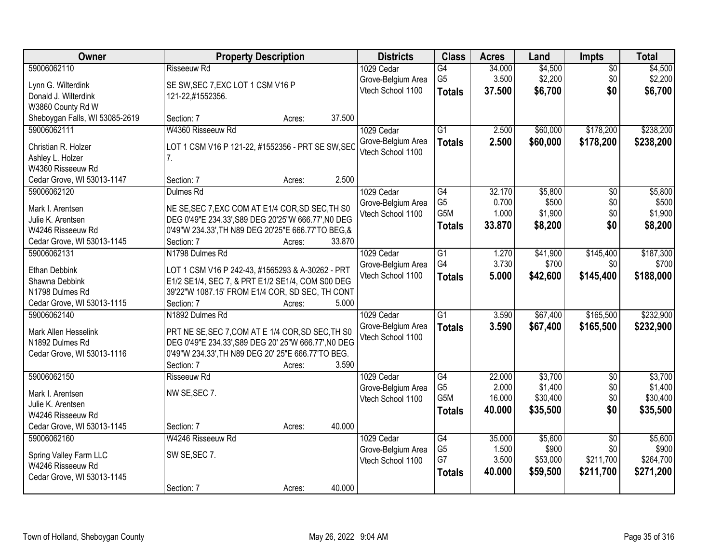| Owner                           | <b>Property Description</b>                                                                          |        |        | <b>Districts</b>   | <b>Class</b>    | <b>Acres</b> | Land     | <b>Impts</b>    | <b>Total</b> |
|---------------------------------|------------------------------------------------------------------------------------------------------|--------|--------|--------------------|-----------------|--------------|----------|-----------------|--------------|
| 59006062110                     | Risseeuw Rd                                                                                          |        |        | 1029 Cedar         | $\overline{G4}$ | 34.000       | \$4,500  | $\overline{50}$ | \$4,500      |
| Lynn G. Wilterdink              | SE SW, SEC 7, EXC LOT 1 CSM V16 P                                                                    |        |        | Grove-Belgium Area | G <sub>5</sub>  | 3.500        | \$2,200  | \$0             | \$2,200      |
| Donald J. Wilterdink            | 121-22,#1552356.                                                                                     |        |        | Vtech School 1100  | <b>Totals</b>   | 37.500       | \$6,700  | \$0             | \$6,700      |
| W3860 County Rd W               |                                                                                                      |        |        |                    |                 |              |          |                 |              |
| Sheboygan Falls, WI 53085-2619  | Section: 7                                                                                           | Acres: | 37.500 |                    |                 |              |          |                 |              |
| 59006062111                     | W4360 Risseeuw Rd                                                                                    |        |        | 1029 Cedar         | $\overline{G1}$ | 2.500        | \$60,000 | \$178,200       | \$238,200    |
|                                 |                                                                                                      |        |        | Grove-Belgium Area | <b>Totals</b>   | 2.500        | \$60,000 | \$178,200       | \$238,200    |
| Christian R. Holzer             | LOT 1 CSM V16 P 121-22, #1552356 - PRT SE SW, SEC                                                    |        |        | Vtech School 1100  |                 |              |          |                 |              |
| Ashley L. Holzer                | 7 <sup>1</sup>                                                                                       |        |        |                    |                 |              |          |                 |              |
| W4360 Risseeuw Rd               |                                                                                                      |        |        |                    |                 |              |          |                 |              |
| Cedar Grove, WI 53013-1147      | Section: 7                                                                                           | Acres: | 2.500  |                    |                 |              |          |                 |              |
| 59006062120                     | Dulmes Rd                                                                                            |        |        | 1029 Cedar         | $\overline{G4}$ | 32.170       | \$5,800  | \$0             | \$5,800      |
| Mark I. Arentsen                | NE SE, SEC 7, EXC COM AT E1/4 COR, SD SEC, TH S0                                                     |        |        | Grove-Belgium Area | G <sub>5</sub>  | 0.700        | \$500    | \$0             | \$500        |
| Julie K. Arentsen               | DEG 0'49"E 234.33', S89 DEG 20'25"W 666.77', NO DEG                                                  |        |        | Vtech School 1100  | G5M             | 1.000        | \$1,900  | \$0             | \$1,900      |
| W4246 Risseeuw Rd               | 0'49"W 234.33', TH N89 DEG 20'25"E 666.77'TO BEG, &                                                  |        |        |                    | <b>Totals</b>   | 33.870       | \$8,200  | \$0             | \$8,200      |
| Cedar Grove, WI 53013-1145      | Section: 7                                                                                           | Acres: | 33.870 |                    |                 |              |          |                 |              |
| 59006062131                     | N1798 Dulmes Rd                                                                                      |        |        | 1029 Cedar         | $\overline{G1}$ | 1.270        | \$41,900 | \$145,400       | \$187,300    |
|                                 |                                                                                                      |        |        | Grove-Belgium Area | G4              | 3.730        | \$700    | \$0             | \$700        |
| Ethan Debbink<br>Shawna Debbink | LOT 1 CSM V16 P 242-43, #1565293 & A-30262 - PRT<br>E1/2 SE1/4, SEC 7, & PRT E1/2 SE1/4, COM S00 DEG |        |        | Vtech School 1100  | <b>Totals</b>   | 5.000        | \$42,600 | \$145,400       | \$188,000    |
| N1798 Dulmes Rd                 | 39'22"W 1087.15' FROM E1/4 COR, SD SEC, TH CONT                                                      |        |        |                    |                 |              |          |                 |              |
| Cedar Grove, WI 53013-1115      | Section: 7                                                                                           | Acres: | 5.000  |                    |                 |              |          |                 |              |
| 59006062140                     | N1892 Dulmes Rd                                                                                      |        |        | 1029 Cedar         | $\overline{G1}$ | 3.590        | \$67,400 | \$165,500       | \$232,900    |
|                                 |                                                                                                      |        |        | Grove-Belgium Area | <b>Totals</b>   | 3.590        | \$67,400 | \$165,500       | \$232,900    |
| Mark Allen Hesselink            | PRT NE SE, SEC 7, COM AT E 1/4 COR, SD SEC, TH S0                                                    |        |        | Vtech School 1100  |                 |              |          |                 |              |
| N1892 Dulmes Rd                 | DEG 0'49"E 234.33', S89 DEG 20' 25"W 666.77', NO DEG                                                 |        |        |                    |                 |              |          |                 |              |
| Cedar Grove, WI 53013-1116      | 0'49"W 234.33', TH N89 DEG 20' 25"E 666.77'TO BEG.                                                   |        |        |                    |                 |              |          |                 |              |
|                                 | Section: 7                                                                                           | Acres: | 3.590  |                    |                 |              |          |                 |              |
| 59006062150                     | Risseeuw Rd                                                                                          |        |        | 1029 Cedar         | G4              | 22.000       | \$3,700  | $\sqrt{6}$      | \$3,700      |
| Mark I. Arentsen                | NW SE, SEC 7.                                                                                        |        |        | Grove-Belgium Area | G <sub>5</sub>  | 2.000        | \$1,400  | \$0             | \$1,400      |
| Julie K. Arentsen               |                                                                                                      |        |        | Vtech School 1100  | G5M             | 16.000       | \$30,400 | \$0             | \$30,400     |
| W4246 Risseeuw Rd               |                                                                                                      |        |        |                    | <b>Totals</b>   | 40.000       | \$35,500 | \$0             | \$35,500     |
| Cedar Grove, WI 53013-1145      | Section: 7                                                                                           | Acres: | 40.000 |                    |                 |              |          |                 |              |
| 59006062160                     | W4246 Risseeuw Rd                                                                                    |        |        | 1029 Cedar         | G4              | 35.000       | \$5,600  | $\overline{50}$ | \$5,600      |
|                                 |                                                                                                      |        |        | Grove-Belgium Area | G <sub>5</sub>  | 1.500        | \$900    | \$0             | \$900        |
| Spring Valley Farm LLC          | SW SE, SEC 7.                                                                                        |        |        | Vtech School 1100  | G7              | 3.500        | \$53,000 | \$211,700       | \$264,700    |
| W4246 Risseeuw Rd               |                                                                                                      |        |        |                    | <b>Totals</b>   | 40.000       | \$59,500 | \$211,700       | \$271,200    |
| Cedar Grove, WI 53013-1145      |                                                                                                      |        | 40.000 |                    |                 |              |          |                 |              |
|                                 | Section: 7                                                                                           | Acres: |        |                    |                 |              |          |                 |              |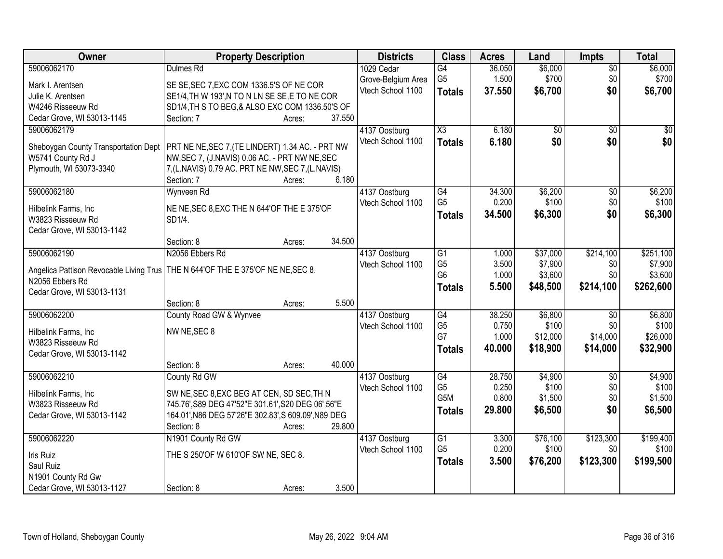| Owner                                     | <b>Property Description</b>                                                       | <b>Districts</b>                   | <b>Class</b>        | <b>Acres</b> | Land     | <b>Impts</b>    | <b>Total</b> |
|-------------------------------------------|-----------------------------------------------------------------------------------|------------------------------------|---------------------|--------------|----------|-----------------|--------------|
| 59006062170                               | Dulmes Rd                                                                         | 1029 Cedar                         | $\overline{G4}$     | 36.050       | \$6,000  | $\overline{30}$ | \$6,000      |
| Mark I. Arentsen                          | SE SE, SEC 7, EXC COM 1336.5'S OF NE COR                                          | Grove-Belgium Area                 | G <sub>5</sub>      | 1.500        | \$700    | \$0             | \$700        |
| Julie K. Arentsen                         | SE1/4, TH W 193', N TO N LN SE SE, E TO NE COR                                    | Vtech School 1100                  | <b>Totals</b>       | 37.550       | \$6,700  | \$0             | \$6,700      |
| W4246 Risseeuw Rd                         | SD1/4, TH S TO BEG, & ALSO EXC COM 1336.50'S OF                                   |                                    |                     |              |          |                 |              |
| Cedar Grove, WI 53013-1145                | Section: 7<br>37.550<br>Acres:                                                    |                                    |                     |              |          |                 |              |
| 59006062179                               |                                                                                   | 4137 Oostburg                      | $\overline{\chi_3}$ | 6.180        | \$0      | $\overline{50}$ | \$0          |
|                                           |                                                                                   | Vtech School 1100                  |                     | 6.180        | \$0      | \$0             | \$0          |
| Sheboygan County Transportation Dept      | PRT NE NE, SEC 7, (TE LINDERT) 1.34 AC. - PRT NW                                  |                                    | <b>Totals</b>       |              |          |                 |              |
| W5741 County Rd J                         | NW, SEC 7, (J. NAVIS) 0.06 AC. - PRT NW NE, SEC                                   |                                    |                     |              |          |                 |              |
| Plymouth, WI 53073-3340                   | 7, (L.NAVIS) 0.79 AC. PRT NE NW, SEC 7, (L.NAVIS)                                 |                                    |                     |              |          |                 |              |
|                                           | 6.180<br>Section: 7<br>Acres:                                                     |                                    |                     |              |          |                 |              |
| 59006062180                               | Wynveen Rd                                                                        | 4137 Oostburg                      | $\overline{G4}$     | 34.300       | \$6,200  | $\overline{50}$ | \$6,200      |
|                                           |                                                                                   | Vtech School 1100                  | G <sub>5</sub>      | 0.200        | \$100    | \$0             | \$100        |
| Hilbelink Farms, Inc                      | NE NE, SEC 8, EXC THE N 644'OF THE E 375'OF                                       |                                    | <b>Totals</b>       | 34.500       | \$6,300  | \$0             | \$6,300      |
| W3823 Risseeuw Rd                         | SD1/4.                                                                            |                                    |                     |              |          |                 |              |
| Cedar Grove, WI 53013-1142                | 34.500<br>Section: 8                                                              |                                    |                     |              |          |                 |              |
|                                           | Acres:                                                                            |                                    |                     |              |          |                 |              |
| 59006062190                               | N2056 Ebbers Rd                                                                   | 4137 Oostburg                      | G1                  | 1.000        | \$37,000 | \$214,100       | \$251,100    |
|                                           | Angelica Pattison Revocable Living Trus   THE N 644'OF THE E 375'OF NE NE, SEC 8. | Vtech School 1100                  | G <sub>5</sub>      | 3.500        | \$7,900  | \$0             | \$7,900      |
| N2056 Ebbers Rd                           |                                                                                   |                                    | G <sub>6</sub>      | 1.000        | \$3,600  | \$0             | \$3,600      |
| Cedar Grove, WI 53013-1131                |                                                                                   |                                    | <b>Totals</b>       | 5.500        | \$48,500 | \$214,100       | \$262,600    |
|                                           | 5.500<br>Section: 8<br>Acres:                                                     |                                    |                     |              |          |                 |              |
| 59006062200                               | County Road GW & Wynvee                                                           | 4137 Oostburg                      | G4                  | 38.250       | \$6,800  | $\overline{30}$ | \$6,800      |
|                                           | NW NE, SEC 8                                                                      | Vtech School 1100                  | G <sub>5</sub>      | 0.750        | \$100    | \$0             | \$100        |
| Hilbelink Farms, Inc<br>W3823 Risseeuw Rd |                                                                                   |                                    | G7                  | 1.000        | \$12,000 | \$14,000        | \$26,000     |
| Cedar Grove, WI 53013-1142                |                                                                                   |                                    | <b>Totals</b>       | 40.000       | \$18,900 | \$14,000        | \$32,900     |
|                                           | 40.000<br>Section: 8<br>Acres:                                                    |                                    |                     |              |          |                 |              |
| 59006062210                               | County Rd GW                                                                      |                                    | G4                  | 28.750       | \$4,900  | \$0             | \$4,900      |
|                                           |                                                                                   | 4137 Oostburg<br>Vtech School 1100 | G <sub>5</sub>      | 0.250        | \$100    | \$0             | \$100        |
| Hilbelink Farms, Inc                      | SW NE, SEC 8, EXC BEG AT CEN, SD SEC, TH N                                        |                                    | G5M                 | 0.800        | \$1,500  | \$0             | \$1,500      |
| W3823 Risseeuw Rd                         | 745.76', S89 DEG 47'52"E 301.61', S20 DEG 06' 56"E                                |                                    |                     | 29.800       |          | \$0             |              |
| Cedar Grove, WI 53013-1142                | 164.01', N86 DEG 57'26"E 302.83', S 609.09', N89 DEG                              |                                    | <b>Totals</b>       |              | \$6,500  |                 | \$6,500      |
|                                           | 29.800<br>Section: 8<br>Acres:                                                    |                                    |                     |              |          |                 |              |
| 59006062220                               | N1901 County Rd GW                                                                | 4137 Oostburg                      | $\overline{G1}$     | 3.300        | \$76,100 | \$123,300       | \$199,400    |
|                                           |                                                                                   | Vtech School 1100                  | G <sub>5</sub>      | 0.200        | \$100    | \$0             | \$100        |
| Iris Ruiz<br>Saul Ruiz                    | THE S 250'OF W 610'OF SW NE, SEC 8.                                               |                                    | <b>Totals</b>       | 3.500        | \$76,200 | \$123,300       | \$199,500    |
|                                           |                                                                                   |                                    |                     |              |          |                 |              |
| N1901 County Rd Gw                        |                                                                                   |                                    |                     |              |          |                 |              |
| Cedar Grove, WI 53013-1127                | 3.500<br>Section: 8<br>Acres:                                                     |                                    |                     |              |          |                 |              |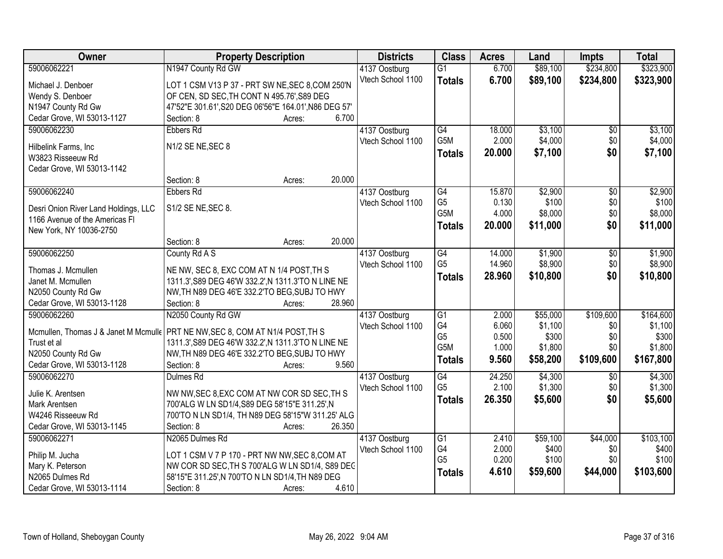| Owner                                | <b>Property Description</b>                                                     | <b>Districts</b>  | <b>Class</b>                       | <b>Acres</b>   | Land             | <b>Impts</b>    | <b>Total</b>         |
|--------------------------------------|---------------------------------------------------------------------------------|-------------------|------------------------------------|----------------|------------------|-----------------|----------------------|
| 59006062221                          | N1947 County Rd GW                                                              | 4137 Oostburg     | $\overline{G1}$                    | 6.700          | \$89,100         | \$234,800       | \$323,900            |
| Michael J. Denboer                   | LOT 1 CSM V13 P 37 - PRT SW NE, SEC 8, COM 250'N                                | Vtech School 1100 | <b>Totals</b>                      | 6.700          | \$89,100         | \$234,800       | \$323,900            |
| Wendy S. Denboer                     | OF CEN, SD SEC, TH CONT N 495.76', S89 DEG                                      |                   |                                    |                |                  |                 |                      |
| N1947 County Rd Gw                   | 47'52"E 301.61', S20 DEG 06'56"E 164.01', N86 DEG 57'                           |                   |                                    |                |                  |                 |                      |
| Cedar Grove, WI 53013-1127           | 6.700<br>Section: 8<br>Acres:                                                   |                   |                                    |                |                  |                 |                      |
| 59006062230                          | <b>Ebbers Rd</b>                                                                | 4137 Oostburg     | $\overline{G4}$                    | 18.000         | \$3,100          | $\overline{50}$ | \$3,100              |
|                                      |                                                                                 | Vtech School 1100 | G <sub>5</sub> M                   | 2.000          | \$4,000          | \$0             | \$4,000              |
| Hilbelink Farms, Inc                 | N1/2 SE NE, SEC 8                                                               |                   | <b>Totals</b>                      | 20.000         | \$7,100          | \$0             | \$7,100              |
| W3823 Risseeuw Rd                    |                                                                                 |                   |                                    |                |                  |                 |                      |
| Cedar Grove, WI 53013-1142           |                                                                                 |                   |                                    |                |                  |                 |                      |
|                                      | 20.000<br>Section: 8<br>Acres:                                                  |                   |                                    |                |                  |                 |                      |
| 59006062240                          | <b>Ebbers Rd</b>                                                                | 4137 Oostburg     | $\overline{G4}$                    | 15.870         | \$2,900          | $\overline{50}$ | \$2,900              |
| Desri Onion River Land Holdings, LLC | S1/2 SE NE, SEC 8.                                                              | Vtech School 1100 | G <sub>5</sub><br>G <sub>5</sub> M | 0.130<br>4.000 | \$100            | \$0             | \$100                |
| 1166 Avenue of the Americas FI       |                                                                                 |                   |                                    |                | \$8,000          | \$0             | \$8,000              |
| New York, NY 10036-2750              |                                                                                 |                   | <b>Totals</b>                      | 20.000         | \$11,000         | \$0             | \$11,000             |
|                                      | 20.000<br>Section: 8<br>Acres:                                                  |                   |                                    |                |                  |                 |                      |
| 59006062250                          | County Rd A S                                                                   | 4137 Oostburg     | $\overline{G4}$                    | 14.000         | \$1,900          | \$0             | \$1,900              |
|                                      |                                                                                 | Vtech School 1100 | G <sub>5</sub>                     | 14.960         | \$8,900          | \$0             | \$8,900              |
| Thomas J. Mcmullen                   | NE NW, SEC 8, EXC COM AT N 1/4 POST, TH S                                       |                   | <b>Totals</b>                      | 28.960         | \$10,800         | \$0             | \$10,800             |
| Janet M. Mcmullen                    | 1311.3', S89 DEG 46'W 332.2', N 1311.3'TO N LINE NE                             |                   |                                    |                |                  |                 |                      |
| N2050 County Rd Gw                   | NW, TH N89 DEG 46'E 332.2'TO BEG, SUBJ TO HWY                                   |                   |                                    |                |                  |                 |                      |
| Cedar Grove, WI 53013-1128           | 28.960<br>Section: 8<br>Acres:                                                  |                   |                                    |                |                  |                 |                      |
| 59006062260                          | N2050 County Rd GW                                                              | 4137 Oostburg     | $\overline{G1}$<br>G4              | 2.000<br>6.060 | \$55,000         | \$109,600       | \$164,600<br>\$1,100 |
|                                      | Mcmullen, Thomas J & Janet M Mcmulle   PRT NE NW, SEC 8, COM AT N1/4 POST, TH S | Vtech School 1100 | G <sub>5</sub>                     | 0.500          | \$1,100<br>\$300 | \$0<br>\$0      | \$300                |
| Trust et al                          | 1311.3', S89 DEG 46'W 332.2', N 1311.3'TO N LINE NE                             |                   | G <sub>5</sub> M                   | 1.000          | \$1,800          | \$0             | \$1,800              |
| N2050 County Rd Gw                   | NW, TH N89 DEG 46'E 332.2'TO BEG, SUBJ TO HWY                                   |                   |                                    | 9.560          |                  | \$109,600       |                      |
| Cedar Grove, WI 53013-1128           | 9.560<br>Section: 8<br>Acres:                                                   |                   | <b>Totals</b>                      |                | \$58,200         |                 | \$167,800            |
| 59006062270                          | Dulmes Rd                                                                       | 4137 Oostburg     | G4                                 | 24.250         | \$4,300          | $\overline{50}$ | \$4,300              |
| Julie K. Arentsen                    | NW NW, SEC 8, EXC COM AT NW COR SD SEC, TH S                                    | Vtech School 1100 | G <sub>5</sub>                     | 2.100          | \$1,300          | \$0             | \$1,300              |
| Mark Arentsen                        | 700'ALG W LN SD1/4, S89 DEG 58'15"E 311.25', N                                  |                   | <b>Totals</b>                      | 26.350         | \$5,600          | \$0             | \$5,600              |
| W4246 Risseeuw Rd                    | 700'TO N LN SD1/4, TH N89 DEG 58'15"W 311.25' ALG                               |                   |                                    |                |                  |                 |                      |
| Cedar Grove, WI 53013-1145           | Section: 8<br>26.350<br>Acres:                                                  |                   |                                    |                |                  |                 |                      |
| 59006062271                          | N2065 Dulmes Rd                                                                 | 4137 Oostburg     | $\overline{G1}$                    | 2.410          | \$59,100         | \$44,000        | \$103,100            |
|                                      |                                                                                 | Vtech School 1100 | G4                                 | 2.000          | \$400            | \$0             | \$400                |
| Philip M. Jucha                      | LOT 1 CSM V 7 P 170 - PRT NW NW, SEC 8, COM AT                                  |                   | G <sub>5</sub>                     | 0.200          | \$100            | \$0             | \$100                |
| Mary K. Peterson                     | NW COR SD SEC, TH S 700'ALG W LN SD1/4, S89 DEC                                 |                   |                                    | 4.610          | \$59,600         | \$44,000        | \$103,600            |
| N2065 Dulmes Rd                      | 58'15"E 311.25', N 700'TO N LN SD1/4, TH N89 DEG                                |                   | <b>Totals</b>                      |                |                  |                 |                      |
| Cedar Grove, WI 53013-1114           | 4.610<br>Section: 8<br>Acres:                                                   |                   |                                    |                |                  |                 |                      |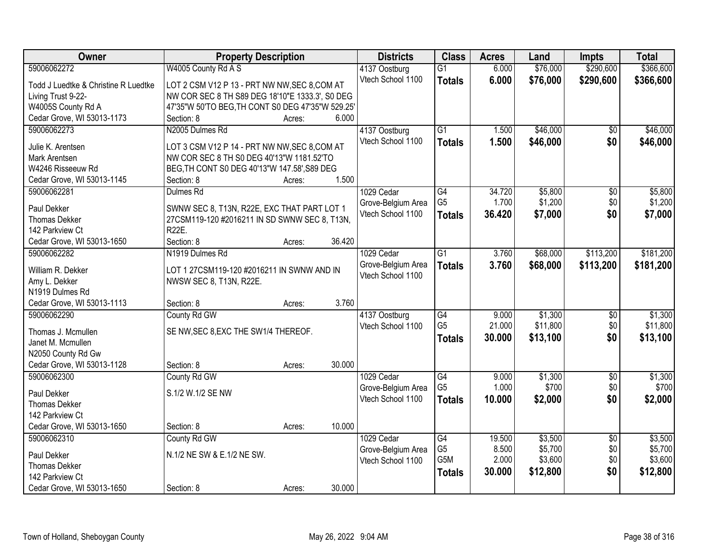| Owner                                | <b>Property Description</b>                       | <b>Districts</b>   | <b>Class</b>     | <b>Acres</b> | Land     | Impts           | <b>Total</b> |
|--------------------------------------|---------------------------------------------------|--------------------|------------------|--------------|----------|-----------------|--------------|
| 59006062272                          | W4005 County Rd A S                               | 4137 Oostburg      | $\overline{G1}$  | 6.000        | \$76,000 | \$290,600       | \$366,600    |
| Todd J Luedtke & Christine R Luedtke | LOT 2 CSM V12 P 13 - PRT NW NW, SEC 8, COM AT     | Vtech School 1100  | <b>Totals</b>    | 6.000        | \$76,000 | \$290,600       | \$366,600    |
| Living Trust 9-22-                   | NW COR SEC 8 TH S89 DEG 18'10"E 1333.3', S0 DEG   |                    |                  |              |          |                 |              |
| W4005S County Rd A                   | 47'35"W 50'TO BEG, TH CONT S0 DEG 47'35"W 529.25' |                    |                  |              |          |                 |              |
| Cedar Grove, WI 53013-1173           | 6.000<br>Section: 8<br>Acres:                     |                    |                  |              |          |                 |              |
| 59006062273                          | N2005 Dulmes Rd                                   | 4137 Oostburg      | $\overline{G1}$  | 1.500        | \$46,000 | \$0             | \$46,000     |
| Julie K. Arentsen                    | LOT 3 CSM V12 P 14 - PRT NW NW, SEC 8, COM AT     | Vtech School 1100  | <b>Totals</b>    | 1.500        | \$46,000 | \$0             | \$46,000     |
| <b>Mark Arentsen</b>                 | NW COR SEC 8 TH S0 DEG 40'13"W 1181.52'TO         |                    |                  |              |          |                 |              |
| W4246 Risseeuw Rd                    | BEG, TH CONT S0 DEG 40'13"W 147.58', S89 DEG      |                    |                  |              |          |                 |              |
| Cedar Grove, WI 53013-1145           | 1.500<br>Section: 8<br>Acres:                     |                    |                  |              |          |                 |              |
| 59006062281                          | Dulmes Rd                                         | 1029 Cedar         | G4               | 34.720       | \$5,800  | \$0             | \$5,800      |
|                                      |                                                   | Grove-Belgium Area | G <sub>5</sub>   | 1.700        | \$1,200  | \$0             | \$1,200      |
| Paul Dekker                          | SWNW SEC 8, T13N, R22E, EXC THAT PART LOT 1       | Vtech School 1100  | <b>Totals</b>    | 36.420       | \$7,000  | \$0             | \$7,000      |
| <b>Thomas Dekker</b>                 | 27CSM119-120 #2016211 IN SD SWNW SEC 8, T13N,     |                    |                  |              |          |                 |              |
| 142 Parkview Ct                      | <b>R22E.</b>                                      |                    |                  |              |          |                 |              |
| Cedar Grove, WI 53013-1650           | 36.420<br>Section: 8<br>Acres:                    |                    |                  |              |          |                 |              |
| 59006062282                          | N1919 Dulmes Rd                                   | 1029 Cedar         | $\overline{G1}$  | 3.760        | \$68,000 | \$113,200       | \$181,200    |
| William R. Dekker                    | LOT 1 27CSM119-120 #2016211 IN SWNW AND IN        | Grove-Belgium Area | <b>Totals</b>    | 3.760        | \$68,000 | \$113,200       | \$181,200    |
| Amy L. Dekker                        | NWSW SEC 8, T13N, R22E.                           | Vtech School 1100  |                  |              |          |                 |              |
| N1919 Dulmes Rd                      |                                                   |                    |                  |              |          |                 |              |
| Cedar Grove, WI 53013-1113           | 3.760<br>Section: 8<br>Acres:                     |                    |                  |              |          |                 |              |
| 59006062290                          | County Rd GW                                      | 4137 Oostburg      | $\overline{G4}$  | 9.000        | \$1,300  | \$0             | \$1,300      |
| Thomas J. Mcmullen                   | SE NW, SEC 8, EXC THE SW1/4 THEREOF.              | Vtech School 1100  | G <sub>5</sub>   | 21.000       | \$11,800 | \$0             | \$11,800     |
| Janet M. Mcmullen                    |                                                   |                    | <b>Totals</b>    | 30.000       | \$13,100 | \$0             | \$13,100     |
| N2050 County Rd Gw                   |                                                   |                    |                  |              |          |                 |              |
| Cedar Grove, WI 53013-1128           | 30.000<br>Section: 8<br>Acres:                    |                    |                  |              |          |                 |              |
| 59006062300                          | County Rd GW                                      | 1029 Cedar         | $\overline{G4}$  | 9.000        | \$1,300  | $\sqrt{6}$      | \$1,300      |
|                                      | S.1/2 W.1/2 SE NW                                 | Grove-Belgium Area | G <sub>5</sub>   | 1.000        | \$700    | \$0             | \$700        |
| Paul Dekker<br><b>Thomas Dekker</b>  |                                                   | Vtech School 1100  | <b>Totals</b>    | 10.000       | \$2,000  | \$0             | \$2,000      |
| 142 Parkview Ct                      |                                                   |                    |                  |              |          |                 |              |
| Cedar Grove, WI 53013-1650           | 10.000<br>Section: 8<br>Acres:                    |                    |                  |              |          |                 |              |
| 59006062310                          | County Rd GW                                      | 1029 Cedar         | G4               | 19.500       | \$3,500  | $\overline{50}$ | \$3,500      |
|                                      |                                                   | Grove-Belgium Area | G <sub>5</sub>   | 8.500        | \$5,700  | \$0             | \$5,700      |
| Paul Dekker                          | N.1/2 NE SW & E.1/2 NE SW.                        | Vtech School 1100  | G <sub>5</sub> M | 2.000        | \$3,600  | \$0             | \$3,600      |
| <b>Thomas Dekker</b>                 |                                                   |                    | <b>Totals</b>    | 30.000       | \$12,800 | \$0             | \$12,800     |
| 142 Parkview Ct                      |                                                   |                    |                  |              |          |                 |              |
| Cedar Grove, WI 53013-1650           | 30.000<br>Section: 8<br>Acres:                    |                    |                  |              |          |                 |              |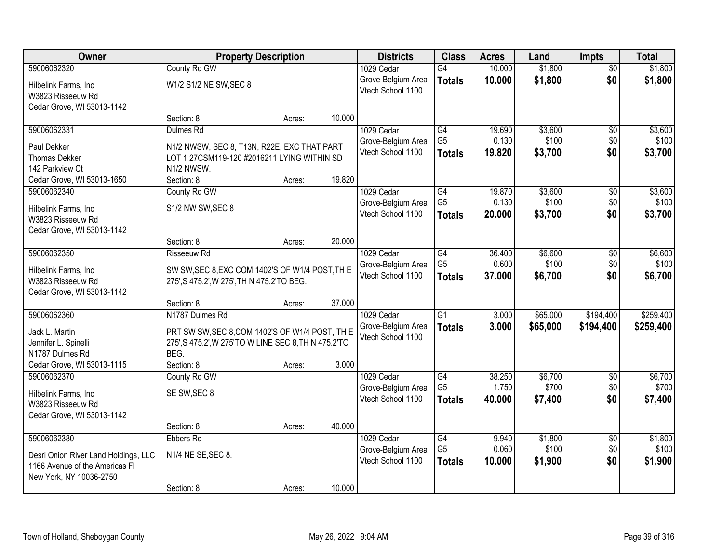| <b>Owner</b>                         | <b>Property Description</b>                          |        |        | <b>Districts</b>   | <b>Class</b>    | <b>Acres</b> | Land     | Impts           | <b>Total</b> |
|--------------------------------------|------------------------------------------------------|--------|--------|--------------------|-----------------|--------------|----------|-----------------|--------------|
| 59006062320                          | County Rd GW                                         |        |        | 1029 Cedar         | G4              | 10.000       | \$1,800  | $\overline{50}$ | \$1,800      |
| Hilbelink Farms, Inc                 | W1/2 S1/2 NE SW, SEC 8                               |        |        | Grove-Belgium Area | <b>Totals</b>   | 10.000       | \$1,800  | \$0             | \$1,800      |
| W3823 Risseeuw Rd                    |                                                      |        |        | Vtech School 1100  |                 |              |          |                 |              |
| Cedar Grove, WI 53013-1142           |                                                      |        |        |                    |                 |              |          |                 |              |
|                                      | Section: 8                                           | Acres: | 10.000 |                    |                 |              |          |                 |              |
| 59006062331                          | Dulmes Rd                                            |        |        | 1029 Cedar         | G4              | 19.690       | \$3,600  | $\overline{50}$ | \$3,600      |
| Paul Dekker                          | N1/2 NWSW, SEC 8, T13N, R22E, EXC THAT PART          |        |        | Grove-Belgium Area | G <sub>5</sub>  | 0.130        | \$100    | \$0             | \$100        |
| <b>Thomas Dekker</b>                 | LOT 1 27CSM119-120 #2016211 LYING WITHIN SD          |        |        | Vtech School 1100  | <b>Totals</b>   | 19.820       | \$3,700  | \$0             | \$3,700      |
| 142 Parkview Ct                      | N1/2 NWSW.                                           |        |        |                    |                 |              |          |                 |              |
| Cedar Grove, WI 53013-1650           | Section: 8                                           | Acres: | 19.820 |                    |                 |              |          |                 |              |
| 59006062340                          | County Rd GW                                         |        |        | 1029 Cedar         | G4              | 19.870       | \$3,600  | \$0             | \$3,600      |
| Hilbelink Farms, Inc                 | S1/2 NW SW, SEC 8                                    |        |        | Grove-Belgium Area | G <sub>5</sub>  | 0.130        | \$100    | \$0             | \$100        |
| W3823 Risseeuw Rd                    |                                                      |        |        | Vtech School 1100  | <b>Totals</b>   | 20.000       | \$3,700  | \$0             | \$3,700      |
| Cedar Grove, WI 53013-1142           |                                                      |        |        |                    |                 |              |          |                 |              |
|                                      | Section: 8                                           | Acres: | 20.000 |                    |                 |              |          |                 |              |
| 59006062350                          | Risseeuw Rd                                          |        |        | 1029 Cedar         | G4              | 36.400       | \$6,600  | \$0             | \$6,600      |
| Hilbelink Farms, Inc                 | SW SW, SEC 8, EXC COM 1402'S OF W1/4 POST, TH E      |        |        | Grove-Belgium Area | G <sub>5</sub>  | 0.600        | \$100    | \$0             | \$100        |
| W3823 Risseeuw Rd                    | 275', S 475.2', W 275', TH N 475.2'TO BEG.           |        |        | Vtech School 1100  | <b>Totals</b>   | 37.000       | \$6,700  | \$0             | \$6,700      |
| Cedar Grove, WI 53013-1142           |                                                      |        |        |                    |                 |              |          |                 |              |
|                                      | Section: 8                                           | Acres: | 37.000 |                    |                 |              |          |                 |              |
| 59006062360                          | N1787 Dulmes Rd                                      |        |        | 1029 Cedar         | $\overline{G1}$ | 3.000        | \$65,000 | \$194,400       | \$259,400    |
| Jack L. Martin                       | PRT SW SW, SEC 8, COM 1402'S OF W1/4 POST, TH E      |        |        | Grove-Belgium Area | <b>Totals</b>   | 3.000        | \$65,000 | \$194,400       | \$259,400    |
| Jennifer L. Spinelli                 | 275', S 475.2', W 275'TO W LINE SEC 8, TH N 475.2'TO |        |        | Vtech School 1100  |                 |              |          |                 |              |
| N1787 Dulmes Rd                      | BEG.                                                 |        |        |                    |                 |              |          |                 |              |
| Cedar Grove, WI 53013-1115           | Section: 8                                           | Acres: | 3.000  |                    |                 |              |          |                 |              |
| 59006062370                          | County Rd GW                                         |        |        | 1029 Cedar         | G4              | 38.250       | \$6,700  | $\overline{50}$ | \$6,700      |
| Hilbelink Farms, Inc                 | SE SW, SEC 8                                         |        |        | Grove-Belgium Area | G <sub>5</sub>  | 1.750        | \$700    | \$0             | \$700        |
| W3823 Risseeuw Rd                    |                                                      |        |        | Vtech School 1100  | <b>Totals</b>   | 40.000       | \$7,400  | \$0             | \$7,400      |
| Cedar Grove, WI 53013-1142           |                                                      |        |        |                    |                 |              |          |                 |              |
|                                      | Section: 8                                           | Acres: | 40.000 |                    |                 |              |          |                 |              |
| 59006062380                          | Ebbers Rd                                            |        |        | 1029 Cedar         | $\overline{G4}$ | 9.940        | \$1,800  | $\overline{50}$ | \$1,800      |
| Desri Onion River Land Holdings, LLC | N1/4 NE SE, SEC 8.                                   |        |        | Grove-Belgium Area | G <sub>5</sub>  | 0.060        | \$100    | \$0             | \$100        |
| 1166 Avenue of the Americas FI       |                                                      |        |        | Vtech School 1100  | <b>Totals</b>   | 10.000       | \$1,900  | \$0             | \$1,900      |
| New York, NY 10036-2750              |                                                      |        |        |                    |                 |              |          |                 |              |
|                                      | Section: 8                                           | Acres: | 10.000 |                    |                 |              |          |                 |              |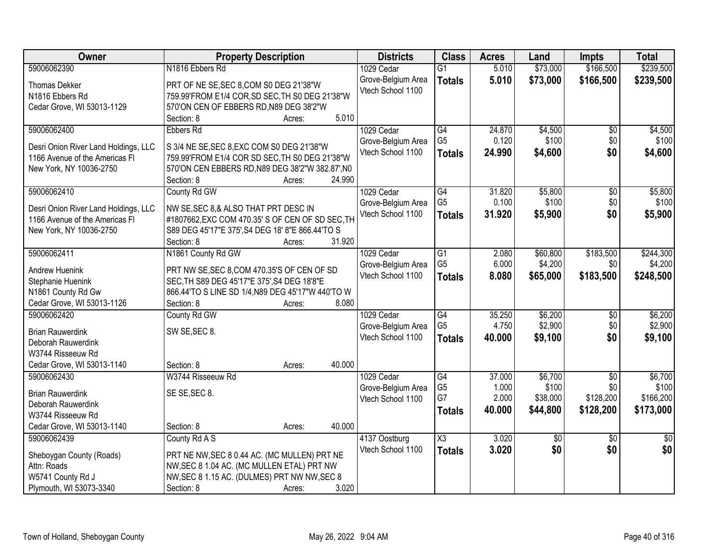| Owner                                | <b>Property Description</b>                       | <b>Districts</b>   | <b>Class</b>    | <b>Acres</b> | Land            | <b>Impts</b>    | <b>Total</b>    |
|--------------------------------------|---------------------------------------------------|--------------------|-----------------|--------------|-----------------|-----------------|-----------------|
| 59006062390                          | N1816 Ebbers Rd                                   | 1029 Cedar         | $\overline{G1}$ | 5.010        | \$73,000        | \$166,500       | \$239,500       |
| <b>Thomas Dekker</b>                 | PRT OF NE SE, SEC 8, COM S0 DEG 21'38"W           | Grove-Belgium Area | <b>Totals</b>   | 5.010        | \$73,000        | \$166,500       | \$239,500       |
| N1816 Ebbers Rd                      | 759.99'FROM E1/4 COR, SD SEC, TH S0 DEG 21'38"W   | Vtech School 1100  |                 |              |                 |                 |                 |
| Cedar Grove, WI 53013-1129           | 570'ON CEN OF EBBERS RD, N89 DEG 38'2"W           |                    |                 |              |                 |                 |                 |
|                                      | 5.010<br>Section: 8<br>Acres:                     |                    |                 |              |                 |                 |                 |
| 59006062400                          | Ebbers Rd                                         | 1029 Cedar         | $\overline{G4}$ | 24.870       | \$4,500         | $\overline{50}$ | \$4,500         |
|                                      |                                                   | Grove-Belgium Area | G <sub>5</sub>  | 0.120        | \$100           | \$0             | \$100           |
| Desri Onion River Land Holdings, LLC | S 3/4 NE SE, SEC 8, EXC COM S0 DEG 21'38"W        | Vtech School 1100  | <b>Totals</b>   | 24.990       | \$4,600         | \$0             | \$4,600         |
| 1166 Avenue of the Americas FI       | 759.99'FROM E1/4 COR SD SEC, TH S0 DEG 21'38"W    |                    |                 |              |                 |                 |                 |
| New York, NY 10036-2750              | 570'ON CEN EBBERS RD, N89 DEG 38'2"W 382.87', N0  |                    |                 |              |                 |                 |                 |
|                                      | 24.990<br>Section: 8<br>Acres:                    |                    |                 |              |                 |                 |                 |
| 59006062410                          | County Rd GW                                      | 1029 Cedar         | $\overline{G4}$ | 31.820       | \$5,800         | \$0             | \$5,800         |
| Desri Onion River Land Holdings, LLC | NW SE, SEC 8,& ALSO THAT PRT DESC IN              | Grove-Belgium Area | G <sub>5</sub>  | 0.100        | \$100           | \$0             | \$100           |
| 1166 Avenue of the Americas FI       | #1807662, EXC COM 470.35' S OF CEN OF SD SEC, TH  | Vtech School 1100  | <b>Totals</b>   | 31.920       | \$5,900         | \$0             | \$5,900         |
| New York, NY 10036-2750              | S89 DEG 45'17"E 375', S4 DEG 18' 8"E 866.44'TO S  |                    |                 |              |                 |                 |                 |
|                                      | Section: 8<br>31.920<br>Acres:                    |                    |                 |              |                 |                 |                 |
| 59006062411                          | N1861 County Rd GW                                | 1029 Cedar         | $\overline{G1}$ | 2.080        | \$60,800        | \$183,500       | \$244,300       |
|                                      |                                                   | Grove-Belgium Area | G <sub>5</sub>  | 6.000        | \$4,200         | \$0             | \$4,200         |
| <b>Andrew Huenink</b>                | PRT NW SE, SEC 8, COM 470.35'S OF CEN OF SD       | Vtech School 1100  | <b>Totals</b>   | 8.080        | \$65,000        | \$183,500       | \$248,500       |
| Stephanie Huenink                    | SEC, TH S89 DEG 45'17"E 375', S4 DEG 18'8"E       |                    |                 |              |                 |                 |                 |
| N1861 County Rd Gw                   | 866.44'TO S LINE SD 1/4, N89 DEG 45'17"W 440'TO W |                    |                 |              |                 |                 |                 |
| Cedar Grove, WI 53013-1126           | Section: 8<br>8.080<br>Acres:                     |                    |                 |              |                 |                 |                 |
| 59006062420                          | County Rd GW                                      | 1029 Cedar         | G4              | 35.250       | \$6,200         | $\overline{50}$ | \$6,200         |
| <b>Brian Rauwerdink</b>              | SW SE, SEC 8.                                     | Grove-Belgium Area | G <sub>5</sub>  | 4.750        | \$2,900         | \$0             | \$2,900         |
| Deborah Rauwerdink                   |                                                   | Vtech School 1100  | <b>Totals</b>   | 40.000       | \$9,100         | \$0             | \$9,100         |
| W3744 Risseeuw Rd                    |                                                   |                    |                 |              |                 |                 |                 |
| Cedar Grove, WI 53013-1140           | 40.000<br>Section: 8<br>Acres:                    |                    |                 |              |                 |                 |                 |
| 59006062430                          | W3744 Risseeuw Rd                                 | 1029 Cedar         | $\overline{G4}$ | 37.000       | \$6,700         | $\overline{50}$ | \$6,700         |
| <b>Brian Rauwerdink</b>              | SE SE, SEC 8.                                     | Grove-Belgium Area | G <sub>5</sub>  | 1.000        | \$100           | \$0             | \$100           |
| Deborah Rauwerdink                   |                                                   | Vtech School 1100  | G7              | 2.000        | \$38,000        | \$128,200       | \$166,200       |
| W3744 Risseeuw Rd                    |                                                   |                    | <b>Totals</b>   | 40.000       | \$44,800        | \$128,200       | \$173,000       |
| Cedar Grove, WI 53013-1140           | 40.000<br>Section: 8<br>Acres:                    |                    |                 |              |                 |                 |                 |
| 59006062439                          | County Rd A S                                     | 4137 Oostburg      | X3              | 3.020        | $\overline{50}$ | $\overline{30}$ | $\overline{50}$ |
|                                      |                                                   | Vtech School 1100  | <b>Totals</b>   | 3.020        | \$0             | \$0             | \$0             |
| Sheboygan County (Roads)             | PRT NE NW, SEC 8 0.44 AC. (MC MULLEN) PRT NE      |                    |                 |              |                 |                 |                 |
| Attn: Roads                          | NW, SEC 8 1.04 AC. (MC MULLEN ETAL) PRT NW        |                    |                 |              |                 |                 |                 |
| W5741 County Rd J                    | NW, SEC 8 1.15 AC. (DULMES) PRT NW NW, SEC 8      |                    |                 |              |                 |                 |                 |
| Plymouth, WI 53073-3340              | 3.020<br>Section: 8<br>Acres:                     |                    |                 |              |                 |                 |                 |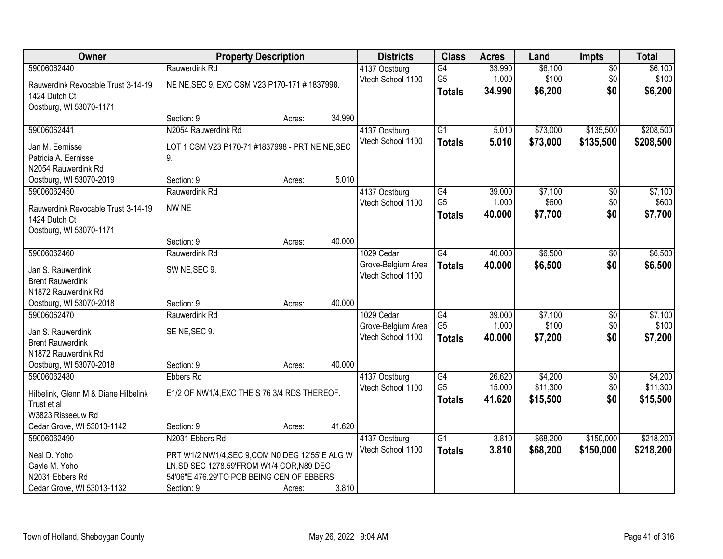| Owner                                | <b>Property Description</b>                     |        |        | <b>Districts</b>   | <b>Class</b>    | <b>Acres</b> | Land     | <b>Impts</b>    | <b>Total</b> |
|--------------------------------------|-------------------------------------------------|--------|--------|--------------------|-----------------|--------------|----------|-----------------|--------------|
| 59006062440                          | Rauwerdink Rd                                   |        |        | 4137 Oostburg      | $\overline{G4}$ | 33.990       | \$6,100  | $\overline{50}$ | \$6,100      |
| Rauwerdink Revocable Trust 3-14-19   | NE NE, SEC 9, EXC CSM V23 P170-171 #1837998.    |        |        | Vtech School 1100  | G <sub>5</sub>  | 1.000        | \$100    | \$0             | \$100        |
| 1424 Dutch Ct                        |                                                 |        |        |                    | <b>Totals</b>   | 34.990       | \$6,200  | \$0             | \$6,200      |
| Oostburg, WI 53070-1171              |                                                 |        |        |                    |                 |              |          |                 |              |
|                                      | Section: 9                                      | Acres: | 34.990 |                    |                 |              |          |                 |              |
| 59006062441                          | N2054 Rauwerdink Rd                             |        |        | 4137 Oostburg      | $\overline{G1}$ | 5.010        | \$73,000 | \$135,500       | \$208,500    |
| Jan M. Eernisse                      | LOT 1 CSM V23 P170-71 #1837998 - PRT NE NE, SEC |        |        | Vtech School 1100  | <b>Totals</b>   | 5.010        | \$73,000 | \$135,500       | \$208,500    |
| Patricia A. Eernisse                 | 9.                                              |        |        |                    |                 |              |          |                 |              |
| N2054 Rauwerdink Rd                  |                                                 |        |        |                    |                 |              |          |                 |              |
| Oostburg, WI 53070-2019              | Section: 9                                      | Acres: | 5.010  |                    |                 |              |          |                 |              |
| 59006062450                          | Rauwerdink Rd                                   |        |        | 4137 Oostburg      | G4              | 39.000       | \$7,100  | \$0             | \$7,100      |
| Rauwerdink Revocable Trust 3-14-19   | NW NE                                           |        |        | Vtech School 1100  | G <sub>5</sub>  | 1.000        | \$600    | \$0             | \$600        |
| 1424 Dutch Ct                        |                                                 |        |        |                    | <b>Totals</b>   | 40.000       | \$7,700  | \$0             | \$7,700      |
| Oostburg, WI 53070-1171              |                                                 |        |        |                    |                 |              |          |                 |              |
|                                      | Section: 9                                      | Acres: | 40.000 |                    |                 |              |          |                 |              |
| 59006062460                          | Rauwerdink Rd                                   |        |        | 1029 Cedar         | G4              | 40.000       | \$6,500  | \$0             | \$6,500      |
| Jan S. Rauwerdink                    | SW NE, SEC 9.                                   |        |        | Grove-Belgium Area | <b>Totals</b>   | 40.000       | \$6,500  | \$0             | \$6,500      |
| <b>Brent Rauwerdink</b>              |                                                 |        |        | Vtech School 1100  |                 |              |          |                 |              |
| N1872 Rauwerdink Rd                  |                                                 |        |        |                    |                 |              |          |                 |              |
| Oostburg, WI 53070-2018              | Section: 9                                      | Acres: | 40.000 |                    |                 |              |          |                 |              |
| 59006062470                          | Rauwerdink Rd                                   |        |        | 1029 Cedar         | $\overline{G4}$ | 39.000       | \$7,100  | $\overline{30}$ | \$7,100      |
| Jan S. Rauwerdink                    | SE NE, SEC 9.                                   |        |        | Grove-Belgium Area | G <sub>5</sub>  | 1.000        | \$100    | \$0             | \$100        |
| <b>Brent Rauwerdink</b>              |                                                 |        |        | Vtech School 1100  | <b>Totals</b>   | 40.000       | \$7,200  | \$0             | \$7,200      |
| N1872 Rauwerdink Rd                  |                                                 |        |        |                    |                 |              |          |                 |              |
| Oostburg, WI 53070-2018              | Section: 9                                      | Acres: | 40.000 |                    |                 |              |          |                 |              |
| 59006062480                          | <b>Ebbers Rd</b>                                |        |        | 4137 Oostburg      | G4              | 26.620       | \$4,200  | $\sqrt{6}$      | \$4,200      |
| Hilbelink, Glenn M & Diane Hilbelink | E1/2 OF NW1/4, EXC THE S 76 3/4 RDS THEREOF.    |        |        | Vtech School 1100  | G <sub>5</sub>  | 15.000       | \$11,300 | \$0             | \$11,300     |
| Trust et al                          |                                                 |        |        |                    | <b>Totals</b>   | 41.620       | \$15,500 | \$0             | \$15,500     |
| W3823 Risseeuw Rd                    |                                                 |        |        |                    |                 |              |          |                 |              |
| Cedar Grove, WI 53013-1142           | Section: 9                                      | Acres: | 41.620 |                    |                 |              |          |                 |              |
| 59006062490                          | N2031 Ebbers Rd                                 |        |        | 4137 Oostburg      | $\overline{G1}$ | 3.810        | \$68,200 | \$150,000       | \$218,200    |
| Neal D. Yoho                         | PRT W1/2 NW1/4, SEC 9, COM N0 DEG 12'55"E ALG W |        |        | Vtech School 1100  | <b>Totals</b>   | 3.810        | \$68,200 | \$150,000       | \$218,200    |
| Gayle M. Yoho                        | LN, SD SEC 1278.59'FROM W1/4 COR, N89 DEG       |        |        |                    |                 |              |          |                 |              |
| N2031 Ebbers Rd                      | 54'06"E 476.29'TO POB BEING CEN OF EBBERS       |        |        |                    |                 |              |          |                 |              |
| Cedar Grove, WI 53013-1132           | Section: 9                                      | Acres: | 3.810  |                    |                 |              |          |                 |              |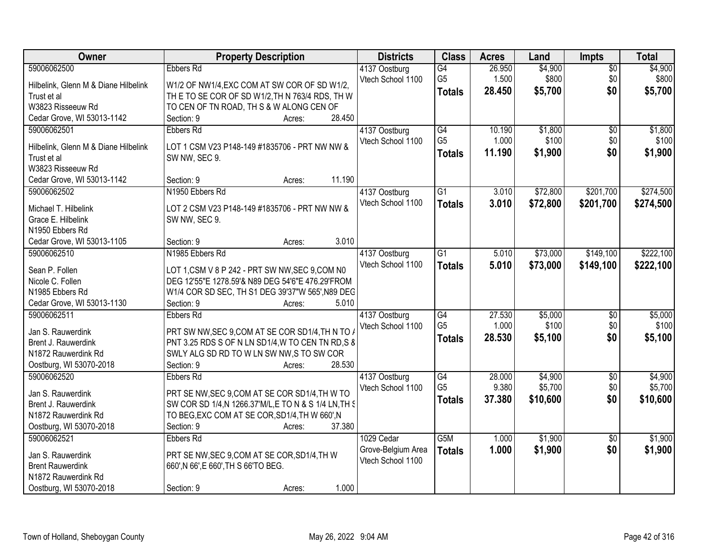| Owner                                | <b>Property Description</b>                            | <b>Districts</b>   | <b>Class</b>     | <b>Acres</b> | Land     | <b>Impts</b>    | <b>Total</b> |
|--------------------------------------|--------------------------------------------------------|--------------------|------------------|--------------|----------|-----------------|--------------|
| 59006062500                          | <b>Ebbers Rd</b>                                       | 4137 Oostburg      | G4               | 26.950       | \$4,900  | $\overline{50}$ | \$4,900      |
| Hilbelink, Glenn M & Diane Hilbelink | W1/2 OF NW1/4, EXC COM AT SW COR OF SD W1/2,           | Vtech School 1100  | G <sub>5</sub>   | 1.500        | \$800    | \$0             | \$800        |
| Trust et al                          | THE TO SE COR OF SD W1/2, THN 763/4 RDS, THW           |                    | <b>Totals</b>    | 28.450       | \$5,700  | \$0             | \$5,700      |
| W3823 Risseeuw Rd                    | TO CEN OF TN ROAD, TH S & W ALONG CEN OF               |                    |                  |              |          |                 |              |
| Cedar Grove, WI 53013-1142           | Section: 9<br>28.450<br>Acres:                         |                    |                  |              |          |                 |              |
| 59006062501                          | Ebbers Rd                                              | 4137 Oostburg      | G4               | 10.190       | \$1,800  | $\overline{50}$ | \$1,800      |
|                                      |                                                        | Vtech School 1100  | G <sub>5</sub>   | 1.000        | \$100    | \$0             | \$100        |
| Hilbelink, Glenn M & Diane Hilbelink | LOT 1 CSM V23 P148-149 #1835706 - PRT NW NW &          |                    | <b>Totals</b>    | 11.190       | \$1,900  | \$0             | \$1,900      |
| Trust et al                          | SW NW, SEC 9.                                          |                    |                  |              |          |                 |              |
| W3823 Risseeuw Rd                    |                                                        |                    |                  |              |          |                 |              |
| Cedar Grove, WI 53013-1142           | 11.190<br>Section: 9<br>Acres:                         |                    |                  |              |          |                 |              |
| 59006062502                          | N1950 Ebbers Rd                                        | 4137 Oostburg      | G1               | 3.010        | \$72,800 | \$201,700       | \$274,500    |
| Michael T. Hilbelink                 | LOT 2 CSM V23 P148-149 #1835706 - PRT NW NW &          | Vtech School 1100  | <b>Totals</b>    | 3.010        | \$72,800 | \$201,700       | \$274,500    |
| Grace E. Hilbelink                   | SW NW, SEC 9.                                          |                    |                  |              |          |                 |              |
| N1950 Ebbers Rd                      |                                                        |                    |                  |              |          |                 |              |
| Cedar Grove, WI 53013-1105           | 3.010<br>Section: 9<br>Acres:                          |                    |                  |              |          |                 |              |
| 59006062510                          | N1985 Ebbers Rd                                        | 4137 Oostburg      | $\overline{G1}$  | 5.010        | \$73,000 | \$149,100       | \$222,100    |
|                                      |                                                        | Vtech School 1100  | <b>Totals</b>    | 5.010        | \$73,000 | \$149,100       | \$222,100    |
| Sean P. Follen                       | LOT 1, CSM V 8 P 242 - PRT SW NW, SEC 9, COM N0        |                    |                  |              |          |                 |              |
| Nicole C. Follen                     | DEG 12'55"E 1278.59'& N89 DEG 54'6"E 476.29'FROM       |                    |                  |              |          |                 |              |
| N1985 Ebbers Rd                      | W1/4 COR SD SEC, TH S1 DEG 39'37"W 565', N89 DEG       |                    |                  |              |          |                 |              |
| Cedar Grove, WI 53013-1130           | 5.010<br>Section: 9<br>Acres:                          |                    |                  |              |          |                 |              |
| 59006062511                          | Ebbers Rd                                              | 4137 Oostburg      | G4               | 27.530       | \$5,000  | $\overline{50}$ | \$5,000      |
| Jan S. Rauwerdink                    | PRT SW NW, SEC 9, COM AT SE COR SD1/4, TH N TO A       | Vtech School 1100  | G <sub>5</sub>   | 1.000        | \$100    | \$0             | \$100        |
| Brent J. Rauwerdink                  | PNT 3.25 RDS S OF N LN SD1/4, W TO CEN TN RD, S &      |                    | <b>Totals</b>    | 28.530       | \$5,100  | \$0             | \$5,100      |
| N1872 Rauwerdink Rd                  | SWLY ALG SD RD TO W LN SW NW, S TO SW COR              |                    |                  |              |          |                 |              |
| Oostburg, WI 53070-2018              | 28.530<br>Section: 9<br>Acres:                         |                    |                  |              |          |                 |              |
| 59006062520                          | Ebbers Rd                                              | 4137 Oostburg      | G4               | 28.000       | \$4,900  | $\sqrt{6}$      | \$4,900      |
|                                      |                                                        | Vtech School 1100  | G <sub>5</sub>   | 9.380        | \$5,700  | \$0             | \$5,700      |
| Jan S. Rauwerdink                    | PRT SE NW, SEC 9, COM AT SE COR SD1/4, TH W TO         |                    | <b>Totals</b>    | 37.380       | \$10,600 | \$0             | \$10,600     |
| Brent J. Rauwerdink                  | SW COR SD 1/4, N 1266.37' M/L, E TO N & S 1/4 LN, TH S |                    |                  |              |          |                 |              |
| N1872 Rauwerdink Rd                  | TO BEG, EXC COM AT SE COR, SD1/4, TH W 660', N         |                    |                  |              |          |                 |              |
| Oostburg, WI 53070-2018              | 37.380<br>Section: 9<br>Acres:                         |                    |                  |              |          |                 |              |
| 59006062521                          | <b>Ebbers Rd</b>                                       | 1029 Cedar         | G <sub>5</sub> M | 1.000        | \$1,900  | $\overline{50}$ | \$1,900      |
| Jan S. Rauwerdink                    | PRT SE NW, SEC 9, COM AT SE COR, SD1/4, TH W           | Grove-Belgium Area | <b>Totals</b>    | 1.000        | \$1,900  | \$0             | \$1,900      |
| <b>Brent Rauwerdink</b>              | 660', N 66', E 660', TH S 66'TO BEG.                   | Vtech School 1100  |                  |              |          |                 |              |
| N1872 Rauwerdink Rd                  |                                                        |                    |                  |              |          |                 |              |
| Oostburg, WI 53070-2018              | 1.000<br>Section: 9<br>Acres:                          |                    |                  |              |          |                 |              |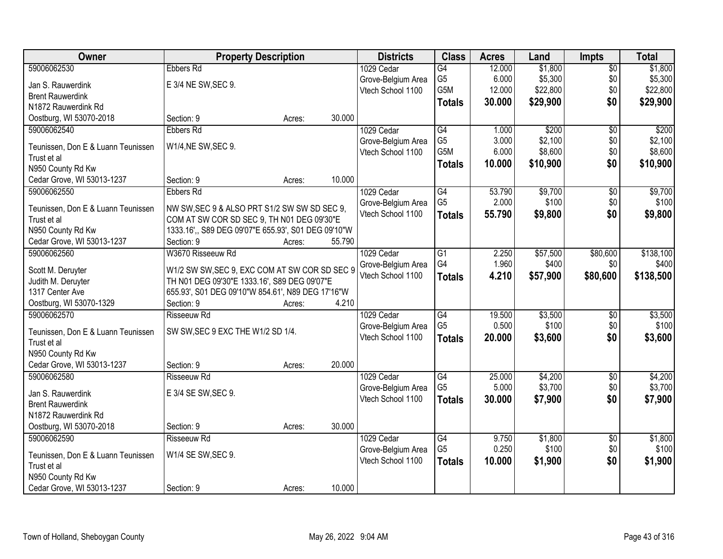| Owner                              | <b>Property Description</b>                         |        |        | <b>Districts</b>   | <b>Class</b>    | <b>Acres</b> | Land     | Impts           | <b>Total</b> |
|------------------------------------|-----------------------------------------------------|--------|--------|--------------------|-----------------|--------------|----------|-----------------|--------------|
| 59006062530                        | <b>Ebbers Rd</b>                                    |        |        | 1029 Cedar         | G4              | 12.000       | \$1,800  | $\overline{50}$ | \$1,800      |
| Jan S. Rauwerdink                  | E 3/4 NE SW, SEC 9.                                 |        |        | Grove-Belgium Area | G <sub>5</sub>  | 6.000        | \$5,300  | \$0             | \$5,300      |
| <b>Brent Rauwerdink</b>            |                                                     |        |        | Vtech School 1100  | G5M             | 12.000       | \$22,800 | \$0             | \$22,800     |
| N1872 Rauwerdink Rd                |                                                     |        |        |                    | <b>Totals</b>   | 30.000       | \$29,900 | \$0             | \$29,900     |
| Oostburg, WI 53070-2018            | Section: 9                                          | Acres: | 30.000 |                    |                 |              |          |                 |              |
| 59006062540                        | <b>Ebbers Rd</b>                                    |        |        |                    | $\overline{G4}$ |              | \$200    |                 |              |
|                                    |                                                     |        |        | 1029 Cedar         |                 | 1.000        |          | $\overline{50}$ | \$200        |
| Teunissen, Don E & Luann Teunissen | W1/4, NE SW, SEC 9.                                 |        |        | Grove-Belgium Area | G <sub>5</sub>  | 3.000        | \$2,100  | \$0             | \$2,100      |
| Trust et al                        |                                                     |        |        | Vtech School 1100  | G5M             | 6.000        | \$8,600  | \$0             | \$8,600      |
| N950 County Rd Kw                  |                                                     |        |        |                    | <b>Totals</b>   | 10.000       | \$10,900 | \$0             | \$10,900     |
| Cedar Grove, WI 53013-1237         | Section: 9                                          | Acres: | 10.000 |                    |                 |              |          |                 |              |
| 59006062550                        | <b>Ebbers Rd</b>                                    |        |        | 1029 Cedar         | $\overline{G4}$ | 53.790       | \$9,700  | $\overline{50}$ | \$9,700      |
|                                    |                                                     |        |        | Grove-Belgium Area | G <sub>5</sub>  | 2.000        | \$100    | \$0             | \$100        |
| Teunissen, Don E & Luann Teunissen | NW SW, SEC 9 & ALSO PRT S1/2 SW SW SD SEC 9,        |        |        | Vtech School 1100  | <b>Totals</b>   | 55.790       | \$9,800  | \$0             | \$9,800      |
| Trust et al                        | COM AT SW COR SD SEC 9, TH N01 DEG 09'30"E          |        |        |                    |                 |              |          |                 |              |
| N950 County Rd Kw                  | 1333.16',, S89 DEG 09'07"E 655.93', S01 DEG 09'10"W |        |        |                    |                 |              |          |                 |              |
| Cedar Grove, WI 53013-1237         | Section: 9                                          | Acres: | 55.790 |                    |                 |              |          |                 |              |
| 59006062560                        | W3670 Risseeuw Rd                                   |        |        | 1029 Cedar         | G1              | 2.250        | \$57,500 | \$80,600        | \$138,100    |
| Scott M. Deruyter                  | W1/2 SW SW, SEC 9, EXC COM AT SW COR SD SEC 9       |        |        | Grove-Belgium Area | G4              | 1.960        | \$400    | \$0             | \$400        |
| Judith M. Deruyter                 | TH N01 DEG 09'30"E 1333.16', S89 DEG 09'07"E        |        |        | Vtech School 1100  | <b>Totals</b>   | 4.210        | \$57,900 | \$80,600        | \$138,500    |
| 1317 Center Ave                    | 655.93', S01 DEG 09'10"W 854.61', N89 DEG 17'16"W   |        |        |                    |                 |              |          |                 |              |
| Oostburg, WI 53070-1329            | Section: 9                                          | Acres: | 4.210  |                    |                 |              |          |                 |              |
| 59006062570                        | Risseeuw Rd                                         |        |        | 1029 Cedar         | $\overline{G4}$ | 19.500       | \$3,500  | \$0             | \$3,500      |
|                                    |                                                     |        |        | Grove-Belgium Area | G <sub>5</sub>  | 0.500        | \$100    | \$0             | \$100        |
| Teunissen, Don E & Luann Teunissen | SW SW, SEC 9 EXC THE W1/2 SD 1/4.                   |        |        | Vtech School 1100  | <b>Totals</b>   | 20.000       | \$3,600  | \$0             | \$3,600      |
| Trust et al                        |                                                     |        |        |                    |                 |              |          |                 |              |
| N950 County Rd Kw                  |                                                     |        |        |                    |                 |              |          |                 |              |
| Cedar Grove, WI 53013-1237         | Section: 9                                          | Acres: | 20.000 |                    |                 |              |          |                 |              |
| 59006062580                        | <b>Risseeuw Rd</b>                                  |        |        | 1029 Cedar         | G4              | 25.000       | \$4,200  | $\sqrt{6}$      | \$4,200      |
| Jan S. Rauwerdink                  | E 3/4 SE SW, SEC 9.                                 |        |        | Grove-Belgium Area | G <sub>5</sub>  | 5.000        | \$3,700  | \$0             | \$3,700      |
| <b>Brent Rauwerdink</b>            |                                                     |        |        | Vtech School 1100  | <b>Totals</b>   | 30.000       | \$7,900  | \$0             | \$7,900      |
| N1872 Rauwerdink Rd                |                                                     |        |        |                    |                 |              |          |                 |              |
| Oostburg, WI 53070-2018            | Section: 9                                          | Acres: | 30.000 |                    |                 |              |          |                 |              |
| 59006062590                        | <b>Risseeuw Rd</b>                                  |        |        | 1029 Cedar         | G4              | 9.750        | \$1,800  | $\overline{50}$ | \$1,800      |
|                                    |                                                     |        |        |                    | G <sub>5</sub>  | 0.250        | \$100    | \$0             | \$100        |
| Teunissen, Don E & Luann Teunissen | W1/4 SE SW, SEC 9.                                  |        |        | Grove-Belgium Area |                 |              |          |                 |              |
| Trust et al                        |                                                     |        |        | Vtech School 1100  | <b>Totals</b>   | 10.000       | \$1,900  | \$0             | \$1,900      |
| N950 County Rd Kw                  |                                                     |        |        |                    |                 |              |          |                 |              |
| Cedar Grove, WI 53013-1237         | Section: 9                                          | Acres: | 10.000 |                    |                 |              |          |                 |              |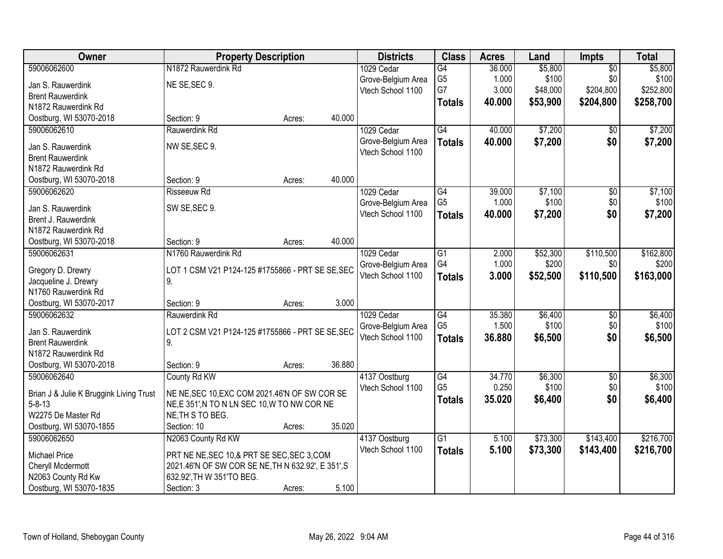| Owner                                          | <b>Property Description</b>                        |        |        | <b>Districts</b>                   | <b>Class</b>    | <b>Acres</b> | Land     | Impts           | <b>Total</b> |
|------------------------------------------------|----------------------------------------------------|--------|--------|------------------------------------|-----------------|--------------|----------|-----------------|--------------|
| 59006062600                                    | N1872 Rauwerdink Rd                                |        |        | 1029 Cedar                         | G4              | 36.000       | \$5,800  | $\overline{50}$ | \$5,800      |
| Jan S. Rauwerdink                              | NE SE, SEC 9.                                      |        |        | Grove-Belgium Area                 | G <sub>5</sub>  | 1.000        | \$100    | \$0             | \$100        |
| <b>Brent Rauwerdink</b>                        |                                                    |        |        | Vtech School 1100                  | G7              | 3.000        | \$48,000 | \$204,800       | \$252,800    |
| N1872 Rauwerdink Rd                            |                                                    |        |        |                                    | <b>Totals</b>   | 40.000       | \$53,900 | \$204,800       | \$258,700    |
| Oostburg, WI 53070-2018                        | Section: 9                                         | Acres: | 40.000 |                                    |                 |              |          |                 |              |
| 59006062610                                    | Rauwerdink Rd                                      |        |        | 1029 Cedar                         | G4              | 40.000       | \$7,200  | \$0             | \$7,200      |
| Jan S. Rauwerdink                              | NW SE, SEC 9.                                      |        |        | Grove-Belgium Area                 | <b>Totals</b>   | 40.000       | \$7,200  | \$0             | \$7,200      |
| <b>Brent Rauwerdink</b>                        |                                                    |        |        | Vtech School 1100                  |                 |              |          |                 |              |
| N1872 Rauwerdink Rd                            |                                                    |        |        |                                    |                 |              |          |                 |              |
| Oostburg, WI 53070-2018                        | Section: 9                                         | Acres: | 40.000 |                                    |                 |              |          |                 |              |
| 59006062620                                    | <b>Risseeuw Rd</b>                                 |        |        | 1029 Cedar                         | $\overline{G4}$ | 39.000       | \$7,100  | $\overline{50}$ | \$7,100      |
|                                                |                                                    |        |        | Grove-Belgium Area                 | G <sub>5</sub>  | 1.000        | \$100    | \$0             | \$100        |
| Jan S. Rauwerdink                              | SW SE, SEC 9.                                      |        |        | Vtech School 1100                  | <b>Totals</b>   | 40.000       | \$7,200  | \$0             | \$7,200      |
| Brent J. Rauwerdink                            |                                                    |        |        |                                    |                 |              |          |                 |              |
| N1872 Rauwerdink Rd                            |                                                    |        |        |                                    |                 |              |          |                 |              |
| Oostburg, WI 53070-2018                        | Section: 9                                         | Acres: | 40.000 |                                    |                 |              |          |                 |              |
| 59006062631                                    | N1760 Rauwerdink Rd                                |        |        | 1029 Cedar                         | G1              | 2.000        | \$52,300 | \$110,500       | \$162,800    |
| Gregory D. Drewry                              | LOT 1 CSM V21 P124-125 #1755866 - PRT SE SE, SEC   |        |        | Grove-Belgium Area                 | G4              | 1.000        | \$200    | \$0             | \$200        |
| Jacqueline J. Drewry                           | 9.                                                 |        |        | Vtech School 1100                  | <b>Totals</b>   | 3.000        | \$52,500 | \$110,500       | \$163,000    |
| N1760 Rauwerdink Rd                            |                                                    |        |        |                                    |                 |              |          |                 |              |
| Oostburg, WI 53070-2017                        | Section: 9                                         | Acres: | 3.000  |                                    |                 |              |          |                 |              |
| 59006062632                                    | Rauwerdink Rd                                      |        |        | 1029 Cedar                         | $\overline{G4}$ | 35.380       | \$6,400  | $\overline{50}$ | \$6,400      |
|                                                |                                                    |        |        | Grove-Belgium Area                 | G <sub>5</sub>  | 1.500        | \$100    | \$0             | \$100        |
| Jan S. Rauwerdink                              | LOT 2 CSM V21 P124-125 #1755866 - PRT SE SE, SEC   |        |        | Vtech School 1100                  | <b>Totals</b>   | 36.880       | \$6,500  | \$0             | \$6,500      |
| <b>Brent Rauwerdink</b><br>N1872 Rauwerdink Rd | 9.                                                 |        |        |                                    |                 |              |          |                 |              |
| Oostburg, WI 53070-2018                        | Section: 9                                         |        | 36.880 |                                    |                 |              |          |                 |              |
| 59006062640                                    | County Rd KW                                       | Acres: |        |                                    | G4              | 34.770       | \$6,300  | $\overline{60}$ | \$6,300      |
|                                                |                                                    |        |        | 4137 Oostburg<br>Vtech School 1100 | G <sub>5</sub>  | 0.250        | \$100    | \$0             | \$100        |
| Brian J & Julie K Bruggink Living Trust        | NE NE, SEC 10, EXC COM 2021.46'N OF SW COR SE      |        |        |                                    |                 | 35.020       | \$6,400  | \$0             | \$6,400      |
| $5 - 8 - 13$                                   | NE,E 351', N TO N LN SEC 10, W TO NW COR NE        |        |        |                                    | <b>Totals</b>   |              |          |                 |              |
| W2275 De Master Rd                             | NE, TH S TO BEG.                                   |        |        |                                    |                 |              |          |                 |              |
| Oostburg, WI 53070-1855                        | Section: 10                                        | Acres: | 35.020 |                                    |                 |              |          |                 |              |
| 59006062650                                    | N2063 County Rd KW                                 |        |        | 4137 Oostburg                      | $\overline{G1}$ | 5.100        | \$73,300 | \$143,400       | \$216,700    |
| Michael Price                                  | PRT NE NE, SEC 10, & PRT SE SEC, SEC 3, COM        |        |        | Vtech School 1100                  | <b>Totals</b>   | 5.100        | \$73,300 | \$143,400       | \$216,700    |
| Cheryll Mcdermott                              | 2021.46'N OF SW COR SE NE, TH N 632.92', E 351', S |        |        |                                    |                 |              |          |                 |              |
| N2063 County Rd Kw                             | 632.92', TH W 351'TO BEG.                          |        |        |                                    |                 |              |          |                 |              |
| Oostburg, WI 53070-1835                        | Section: 3                                         | Acres: | 5.100  |                                    |                 |              |          |                 |              |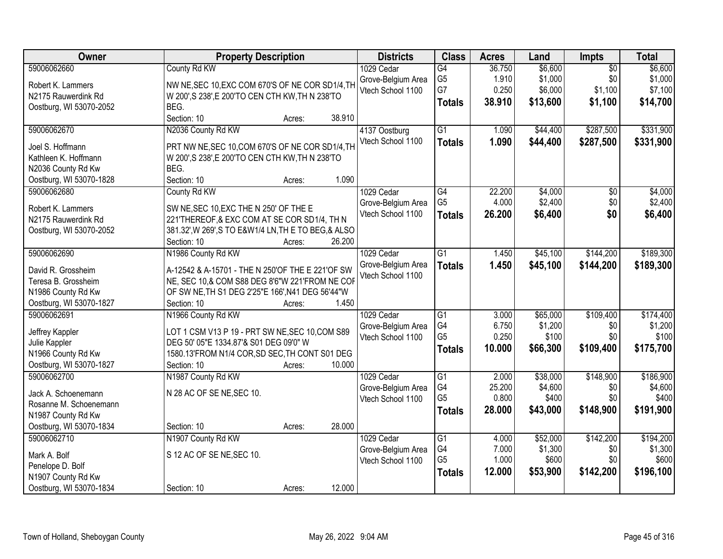| Owner                                                                                                         | <b>Property Description</b>                                                                                                                                                                                    | <b>Districts</b>                                      | <b>Class</b>                                             | <b>Acres</b>                       | Land                                      | Impts                                        | <b>Total</b>                               |
|---------------------------------------------------------------------------------------------------------------|----------------------------------------------------------------------------------------------------------------------------------------------------------------------------------------------------------------|-------------------------------------------------------|----------------------------------------------------------|------------------------------------|-------------------------------------------|----------------------------------------------|--------------------------------------------|
| 59006062660<br>Robert K. Lammers<br>N2175 Rauwerdink Rd<br>Oostburg, WI 53070-2052                            | County Rd KW<br>NW NE, SEC 10, EXC COM 670'S OF NE COR SD1/4, TH<br>W 200', S 238', E 200'TO CEN CTH KW, TH N 238'TO<br>BEG.                                                                                   | 1029 Cedar<br>Grove-Belgium Area<br>Vtech School 1100 | G4<br>G <sub>5</sub><br>G7<br><b>Totals</b>              | 36.750<br>1.910<br>0.250<br>38.910 | \$6,600<br>\$1,000<br>\$6,000<br>\$13,600 | $\overline{50}$<br>\$0<br>\$1,100<br>\$1,100 | \$6,600<br>\$1,000<br>\$7,100<br>\$14,700  |
| 59006062670<br>Joel S. Hoffmann<br>Kathleen K. Hoffmann<br>N2036 County Rd Kw<br>Oostburg, WI 53070-1828      | Section: 10<br>38.910<br>Acres:<br>N2036 County Rd KW<br>PRT NW NE, SEC 10, COM 670'S OF NE COR SD1/4, TH<br>W 200', S 238', E 200'TO CEN CTH KW, TH N 238'TO<br>BEG.<br>Section: 10<br>1.090<br>Acres:        | 4137 Oostburg<br>Vtech School 1100                    | $\overline{G1}$<br><b>Totals</b>                         | 1.090<br>1.090                     | \$44,400<br>\$44,400                      | \$287,500<br>\$287,500                       | \$331,900<br>\$331,900                     |
| 59006062680<br>Robert K. Lammers<br>N2175 Rauwerdink Rd<br>Oostburg, WI 53070-2052                            | County Rd KW<br>SW NE, SEC 10, EXC THE N 250' OF THE E<br>221'THEREOF, & EXC COM AT SE COR SD1/4, TH N<br>381.32', W 269', S TO E&W1/4 LN, TH E TO BEG, & ALSO<br>Section: 10<br>26.200<br>Acres:              | 1029 Cedar<br>Grove-Belgium Area<br>Vtech School 1100 | $\overline{G4}$<br>G <sub>5</sub><br><b>Totals</b>       | 22.200<br>4.000<br>26.200          | \$4,000<br>\$2,400<br>\$6,400             | $\overline{50}$<br>\$0<br>\$0                | \$4,000<br>\$2,400<br>\$6,400              |
| 59006062690<br>David R. Grossheim<br>Teresa B. Grossheim<br>N1986 County Rd Kw<br>Oostburg, WI 53070-1827     | N1986 County Rd KW<br>A-12542 & A-15701 - THE N 250'OF THE E 221'OF SW<br>NE, SEC 10,& COM S88 DEG 8'6"W 221'FROM NE COF<br>OF SW NE, TH S1 DEG 2'25"E 166', N41 DEG 56'44"W<br>1.450<br>Section: 10<br>Acres: | 1029 Cedar<br>Grove-Belgium Area<br>Vtech School 1100 | $\overline{G1}$<br><b>Totals</b>                         | 1.450<br>1.450                     | \$45,100<br>\$45,100                      | \$144,200<br>\$144,200                       | \$189,300<br>\$189,300                     |
| 59006062691<br>Jeffrey Kappler<br>Julie Kappler<br>N1966 County Rd Kw<br>Oostburg, WI 53070-1827              | N1966 County Rd KW<br>LOT 1 CSM V13 P 19 - PRT SW NE, SEC 10, COM S89<br>DEG 50' 05"E 1334.87'& S01 DEG 09'0" W<br>1580.13'FROM N1/4 COR, SD SEC, TH CONT S01 DEG<br>10.000<br>Section: 10<br>Acres:           | 1029 Cedar<br>Grove-Belgium Area<br>Vtech School 1100 | $\overline{G1}$<br>G4<br>G <sub>5</sub><br><b>Totals</b> | 3.000<br>6.750<br>0.250<br>10.000  | \$65,000<br>\$1,200<br>\$100<br>\$66,300  | \$109,400<br>\$0<br>\$0<br>\$109,400         | \$174,400<br>\$1,200<br>\$100<br>\$175,700 |
| 59006062700<br>Jack A. Schoenemann<br>Rosanne M. Schoenemann<br>N1987 County Rd Kw<br>Oostburg, WI 53070-1834 | N1987 County Rd KW<br>N 28 AC OF SE NE, SEC 10.<br>28.000<br>Section: 10<br>Acres:                                                                                                                             | 1029 Cedar<br>Grove-Belgium Area<br>Vtech School 1100 | $\overline{G1}$<br>G4<br>G <sub>5</sub><br><b>Totals</b> | 2.000<br>25.200<br>0.800<br>28,000 | \$38,000<br>\$4,600<br>\$400<br>\$43,000  | \$148,900<br>\$0<br>\$0<br>\$148,900         | \$186,900<br>\$4,600<br>\$400<br>\$191,900 |
| 59006062710<br>Mark A. Bolf<br>Penelope D. Bolf<br>N1907 County Rd Kw<br>Oostburg, WI 53070-1834              | N1907 County Rd KW<br>S 12 AC OF SE NE, SEC 10.<br>12.000<br>Section: 10<br>Acres:                                                                                                                             | 1029 Cedar<br>Grove-Belgium Area<br>Vtech School 1100 | $\overline{G1}$<br>G4<br>G <sub>5</sub><br><b>Totals</b> | 4.000<br>7.000<br>1.000<br>12.000  | \$52,000<br>\$1,300<br>\$600<br>\$53,900  | \$142,200<br>\$0<br>\$0<br>\$142,200         | \$194,200<br>\$1,300<br>\$600<br>\$196,100 |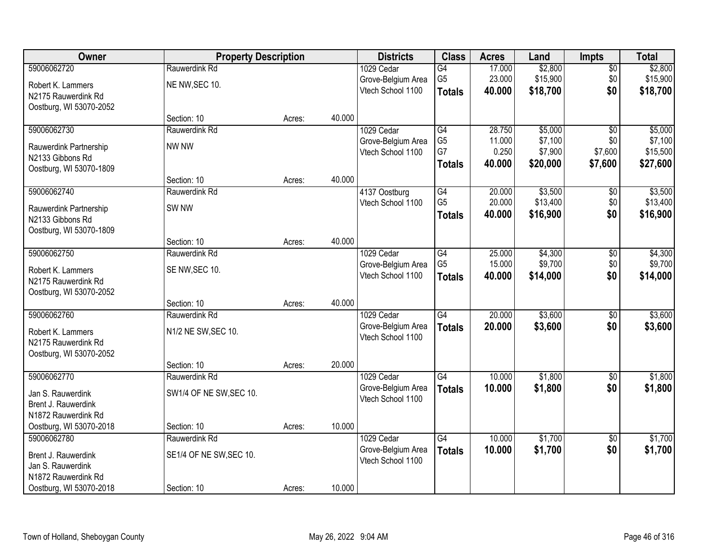| Owner                   | <b>Property Description</b> |        | <b>Districts</b> | <b>Class</b>       | <b>Acres</b>    | Land   | Impts    | <b>Total</b>    |          |
|-------------------------|-----------------------------|--------|------------------|--------------------|-----------------|--------|----------|-----------------|----------|
| 59006062720             | Rauwerdink Rd               |        |                  | 1029 Cedar         | G4              | 17.000 | \$2,800  | $\overline{50}$ | \$2,800  |
| Robert K. Lammers       | NE NW, SEC 10.              |        |                  | Grove-Belgium Area | G <sub>5</sub>  | 23.000 | \$15,900 | \$0             | \$15,900 |
| N2175 Rauwerdink Rd     |                             |        |                  | Vtech School 1100  | <b>Totals</b>   | 40.000 | \$18,700 | \$0             | \$18,700 |
| Oostburg, WI 53070-2052 |                             |        |                  |                    |                 |        |          |                 |          |
|                         | Section: 10                 | Acres: | 40.000           |                    |                 |        |          |                 |          |
| 59006062730             | Rauwerdink Rd               |        |                  | 1029 Cedar         | G4              | 28.750 | \$5,000  | $\overline{50}$ | \$5,000  |
| Rauwerdink Partnership  | NW NW                       |        |                  | Grove-Belgium Area | G <sub>5</sub>  | 11.000 | \$7,100  | \$0             | \$7,100  |
| N2133 Gibbons Rd        |                             |        |                  | Vtech School 1100  | G7              | 0.250  | \$7,900  | \$7,600         | \$15,500 |
| Oostburg, WI 53070-1809 |                             |        |                  |                    | <b>Totals</b>   | 40.000 | \$20,000 | \$7,600         | \$27,600 |
|                         | Section: 10                 | Acres: | 40.000           |                    |                 |        |          |                 |          |
| 59006062740             | Rauwerdink Rd               |        |                  | 4137 Oostburg      | G4              | 20.000 | \$3,500  | \$0             | \$3,500  |
| Rauwerdink Partnership  | SW <sub>NW</sub>            |        |                  | Vtech School 1100  | G <sub>5</sub>  | 20.000 | \$13,400 | \$0             | \$13,400 |
| N2133 Gibbons Rd        |                             |        |                  |                    | <b>Totals</b>   | 40.000 | \$16,900 | \$0             | \$16,900 |
| Oostburg, WI 53070-1809 |                             |        |                  |                    |                 |        |          |                 |          |
|                         | Section: 10                 | Acres: | 40.000           |                    |                 |        |          |                 |          |
| 59006062750             | Rauwerdink Rd               |        |                  | 1029 Cedar         | $\overline{G4}$ | 25.000 | \$4,300  | \$0             | \$4,300  |
| Robert K. Lammers       | SE NW, SEC 10.              |        |                  | Grove-Belgium Area | G <sub>5</sub>  | 15.000 | \$9,700  | \$0             | \$9,700  |
| N2175 Rauwerdink Rd     |                             |        |                  | Vtech School 1100  | <b>Totals</b>   | 40.000 | \$14,000 | \$0             | \$14,000 |
| Oostburg, WI 53070-2052 |                             |        |                  |                    |                 |        |          |                 |          |
|                         | Section: 10                 | Acres: | 40.000           |                    |                 |        |          |                 |          |
| 59006062760             | Rauwerdink Rd               |        |                  | 1029 Cedar         | $\overline{G4}$ | 20.000 | \$3,600  | $\overline{50}$ | \$3,600  |
| Robert K. Lammers       | N1/2 NE SW, SEC 10.         |        |                  | Grove-Belgium Area | <b>Totals</b>   | 20.000 | \$3,600  | \$0             | \$3,600  |
| N2175 Rauwerdink Rd     |                             |        |                  | Vtech School 1100  |                 |        |          |                 |          |
| Oostburg, WI 53070-2052 |                             |        |                  |                    |                 |        |          |                 |          |
|                         | Section: 10                 | Acres: | 20.000           |                    |                 |        |          |                 |          |
| 59006062770             | Rauwerdink Rd               |        |                  | 1029 Cedar         | G4              | 10.000 | \$1,800  | $\overline{50}$ | \$1,800  |
| Jan S. Rauwerdink       | SW1/4 OF NE SW, SEC 10.     |        |                  | Grove-Belgium Area | <b>Totals</b>   | 10.000 | \$1,800  | \$0             | \$1,800  |
| Brent J. Rauwerdink     |                             |        |                  | Vtech School 1100  |                 |        |          |                 |          |
| N1872 Rauwerdink Rd     |                             |        |                  |                    |                 |        |          |                 |          |
| Oostburg, WI 53070-2018 | Section: 10                 | Acres: | 10.000           |                    |                 |        |          |                 |          |
| 59006062780             | Rauwerdink Rd               |        |                  | 1029 Cedar         | $\overline{G4}$ | 10.000 | \$1,700  | $\overline{50}$ | \$1,700  |
| Brent J. Rauwerdink     | SE1/4 OF NE SW, SEC 10.     |        |                  | Grove-Belgium Area | <b>Totals</b>   | 10.000 | \$1,700  | \$0             | \$1,700  |
| Jan S. Rauwerdink       |                             |        |                  | Vtech School 1100  |                 |        |          |                 |          |
| N1872 Rauwerdink Rd     |                             |        |                  |                    |                 |        |          |                 |          |
| Oostburg, WI 53070-2018 | Section: 10                 | Acres: | 10.000           |                    |                 |        |          |                 |          |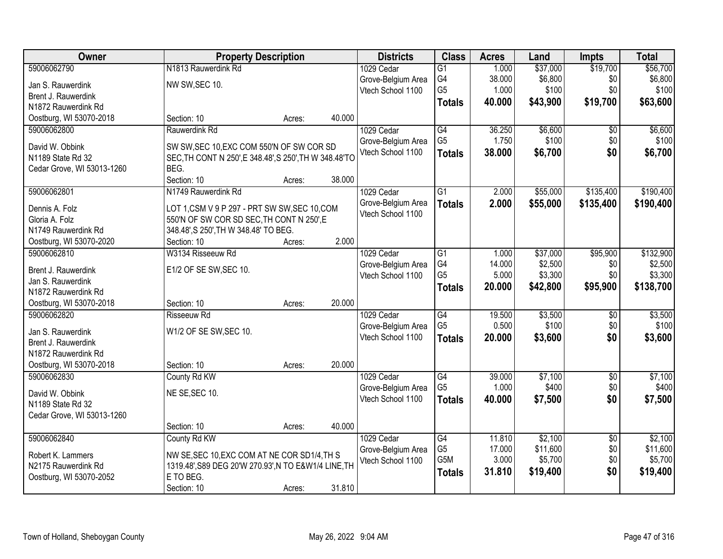| Owner                      | <b>Property Description</b>                                                                         |        |        | <b>Districts</b>                        | <b>Class</b>                      | <b>Acres</b>    | Land             | <b>Impts</b>           | <b>Total</b>     |
|----------------------------|-----------------------------------------------------------------------------------------------------|--------|--------|-----------------------------------------|-----------------------------------|-----------------|------------------|------------------------|------------------|
| 59006062790                | N1813 Rauwerdink Rd                                                                                 |        |        | 1029 Cedar                              | $\overline{G1}$                   | 1.000           | \$37,000         | \$19,700               | \$56,700         |
| Jan S. Rauwerdink          | NW SW, SEC 10.                                                                                      |        |        | Grove-Belgium Area                      | G4                                | 38.000          | \$6,800          | \$0                    | \$6,800          |
| Brent J. Rauwerdink        |                                                                                                     |        |        | Vtech School 1100                       | G <sub>5</sub>                    | 1.000           | \$100            | \$0                    | \$100            |
| N1872 Rauwerdink Rd        |                                                                                                     |        |        |                                         | <b>Totals</b>                     | 40.000          | \$43,900         | \$19,700               | \$63,600         |
| Oostburg, WI 53070-2018    | Section: 10                                                                                         | Acres: | 40.000 |                                         |                                   |                 |                  |                        |                  |
| 59006062800                | Rauwerdink Rd                                                                                       |        |        | 1029 Cedar                              | $\overline{G4}$                   | 36.250          | \$6,600          | \$0                    | \$6,600          |
| David W. Obbink            |                                                                                                     |        |        | Grove-Belgium Area                      | G <sub>5</sub>                    | 1.750           | \$100            | \$0                    | \$100            |
| N1189 State Rd 32          | SW SW, SEC 10, EXC COM 550'N OF SW COR SD<br>SEC, TH CONT N 250', E 348.48', S 250', TH W 348.48'TO |        |        | Vtech School 1100                       | <b>Totals</b>                     | 38.000          | \$6,700          | \$0                    | \$6,700          |
| Cedar Grove, WI 53013-1260 | BEG.                                                                                                |        |        |                                         |                                   |                 |                  |                        |                  |
|                            | Section: 10                                                                                         | Acres: | 38.000 |                                         |                                   |                 |                  |                        |                  |
| 59006062801                | N1749 Rauwerdink Rd                                                                                 |        |        | 1029 Cedar                              | $\overline{G1}$                   | 2.000           | \$55,000         | \$135,400              | \$190,400        |
| Dennis A. Folz             | LOT 1,CSM V 9 P 297 - PRT SW SW, SEC 10, COM                                                        |        |        | Grove-Belgium Area                      | <b>Totals</b>                     | 2.000           | \$55,000         | \$135,400              | \$190,400        |
| Gloria A. Folz             | 550'N OF SW COR SD SEC, TH CONT N 250', E                                                           |        |        | Vtech School 1100                       |                                   |                 |                  |                        |                  |
| N1749 Rauwerdink Rd        | 348.48', S 250', TH W 348.48' TO BEG.                                                               |        |        |                                         |                                   |                 |                  |                        |                  |
| Oostburg, WI 53070-2020    | Section: 10                                                                                         | Acres: | 2.000  |                                         |                                   |                 |                  |                        |                  |
| 59006062810                | W3134 Risseeuw Rd                                                                                   |        |        | 1029 Cedar                              | G1                                | 1.000           | \$37,000         | \$95,900               | \$132,900        |
|                            |                                                                                                     |        |        | Grove-Belgium Area                      | G4                                | 14.000          | \$2,500          | \$0                    | \$2,500          |
| Brent J. Rauwerdink        | E1/2 OF SE SW, SEC 10.                                                                              |        |        | Vtech School 1100                       | G <sub>5</sub>                    | 5.000           | \$3,300          | \$0                    | \$3,300          |
| Jan S. Rauwerdink          |                                                                                                     |        |        |                                         | <b>Totals</b>                     | 20.000          | \$42,800         | \$95,900               | \$138,700        |
| N1872 Rauwerdink Rd        |                                                                                                     |        |        |                                         |                                   |                 |                  |                        |                  |
| Oostburg, WI 53070-2018    | Section: 10                                                                                         | Acres: | 20.000 |                                         |                                   |                 |                  |                        |                  |
| 59006062820                | <b>Risseeuw Rd</b>                                                                                  |        |        | 1029 Cedar                              | $\overline{G4}$<br>G <sub>5</sub> | 19.500<br>0.500 | \$3,500<br>\$100 | $\overline{50}$<br>\$0 | \$3,500<br>\$100 |
| Jan S. Rauwerdink          | W1/2 OF SE SW, SEC 10.                                                                              |        |        | Grove-Belgium Area<br>Vtech School 1100 |                                   | 20.000          |                  | \$0                    |                  |
| Brent J. Rauwerdink        |                                                                                                     |        |        |                                         | <b>Totals</b>                     |                 | \$3,600          |                        | \$3,600          |
| N1872 Rauwerdink Rd        |                                                                                                     |        |        |                                         |                                   |                 |                  |                        |                  |
| Oostburg, WI 53070-2018    | Section: 10                                                                                         | Acres: | 20.000 |                                         |                                   |                 |                  |                        |                  |
| 59006062830                | County Rd KW                                                                                        |        |        | 1029 Cedar                              | $\overline{G4}$                   | 39.000          | \$7,100          | $\sqrt{6}$             | \$7,100          |
| David W. Obbink            | NE SE, SEC 10.                                                                                      |        |        | Grove-Belgium Area                      | G <sub>5</sub>                    | 1.000           | \$400            | \$0                    | \$400            |
| N1189 State Rd 32          |                                                                                                     |        |        | Vtech School 1100                       | <b>Totals</b>                     | 40.000          | \$7,500          | \$0                    | \$7,500          |
| Cedar Grove, WI 53013-1260 |                                                                                                     |        |        |                                         |                                   |                 |                  |                        |                  |
|                            | Section: 10                                                                                         | Acres: | 40.000 |                                         |                                   |                 |                  |                        |                  |
| 59006062840                | County Rd KW                                                                                        |        |        | 1029 Cedar                              | $\overline{G4}$                   | 11.810          | \$2,100          | $\overline{50}$        | \$2,100          |
| Robert K. Lammers          | NW SE, SEC 10, EXC COM AT NE COR SD1/4, TH S                                                        |        |        | Grove-Belgium Area                      | G5                                | 17.000          | \$11,600         | \$0                    | \$11,600         |
| N2175 Rauwerdink Rd        | 1319.48', S89 DEG 20'W 270.93', N TO E&W1/4 LINE, TH                                                |        |        | Vtech School 1100                       | G <sub>5</sub> M                  | 3.000           | \$5,700          | \$0                    | \$5,700          |
| Oostburg, WI 53070-2052    | E TO BEG.                                                                                           |        |        |                                         | <b>Totals</b>                     | 31.810          | \$19,400         | \$0                    | \$19,400         |
|                            | Section: 10                                                                                         | Acres: | 31.810 |                                         |                                   |                 |                  |                        |                  |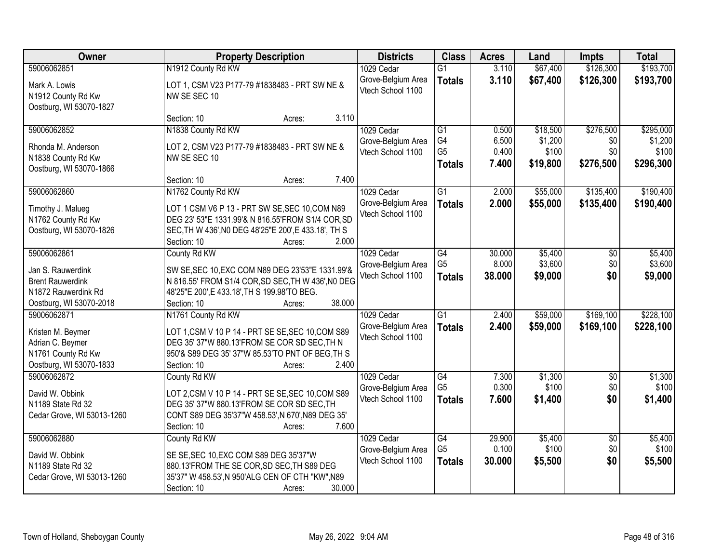| Owner                                                                                          | <b>Property Description</b>                                                                                                                                                                   | <b>Districts</b>                        | <b>Class</b>                          | <b>Acres</b>            | Land                         | <b>Impts</b>            | <b>Total</b>                  |
|------------------------------------------------------------------------------------------------|-----------------------------------------------------------------------------------------------------------------------------------------------------------------------------------------------|-----------------------------------------|---------------------------------------|-------------------------|------------------------------|-------------------------|-------------------------------|
| 59006062851                                                                                    | N1912 County Rd KW                                                                                                                                                                            | 1029 Cedar                              | $\overline{G1}$                       | 3.110                   | \$67,400                     | \$126,300               | \$193,700                     |
| Mark A. Lowis<br>N1912 County Rd Kw<br>Oostburg, WI 53070-1827                                 | LOT 1, CSM V23 P177-79 #1838483 - PRT SW NE &<br>NW SE SEC 10                                                                                                                                 | Grove-Belgium Area<br>Vtech School 1100 | <b>Totals</b>                         | 3.110                   | \$67,400                     | \$126,300               | \$193,700                     |
|                                                                                                | 3.110<br>Section: 10<br>Acres:                                                                                                                                                                |                                         |                                       |                         |                              |                         |                               |
| 59006062852                                                                                    | N1838 County Rd KW                                                                                                                                                                            | 1029 Cedar                              | $\overline{G1}$                       | 0.500                   | \$18,500                     | \$276,500               | \$295,000                     |
| Rhonda M. Anderson<br>N1838 County Rd Kw<br>Oostburg, WI 53070-1866                            | LOT 2, CSM V23 P177-79 #1838483 - PRT SW NE &<br>NW SE SEC 10                                                                                                                                 | Grove-Belgium Area<br>Vtech School 1100 | G4<br>G <sub>5</sub><br><b>Totals</b> | 6.500<br>0.400<br>7.400 | \$1,200<br>\$100<br>\$19,800 | \$0<br>\$0<br>\$276,500 | \$1,200<br>\$100<br>\$296,300 |
|                                                                                                | Section: 10<br>7.400<br>Acres:                                                                                                                                                                |                                         |                                       |                         |                              |                         |                               |
| 59006062860                                                                                    | N1762 County Rd KW                                                                                                                                                                            | 1029 Cedar                              | $\overline{G1}$                       | 2.000                   | \$55,000                     | \$135,400               | \$190,400                     |
| Timothy J. Malueg<br>N1762 County Rd Kw<br>Oostburg, WI 53070-1826                             | LOT 1 CSM V6 P 13 - PRT SW SE, SEC 10, COM N89<br>DEG 23' 53"E 1331.99'& N 816.55'FROM S1/4 COR, SD<br>SEC, TH W 436', NO DEG 48'25"E 200', E 433.18', TH S<br>2.000<br>Section: 10<br>Acres: | Grove-Belgium Area<br>Vtech School 1100 | <b>Totals</b>                         | 2.000                   | \$55,000                     | \$135,400               | \$190,400                     |
| 59006062861                                                                                    | County Rd KW                                                                                                                                                                                  | 1029 Cedar                              | $\overline{G4}$                       | 30.000                  | \$5,400                      | \$0                     | \$5,400                       |
| Jan S. Rauwerdink<br><b>Brent Rauwerdink</b><br>N1872 Rauwerdink Rd<br>Oostburg, WI 53070-2018 | SW SE, SEC 10, EXC COM N89 DEG 23'53"E 1331.99'&<br>N 816.55' FROM S1/4 COR, SD SEC, TH W 436', NO DEG<br>48'25"E 200', E 433.18', TH S 199.98'TO BEG.<br>38.000<br>Section: 10<br>Acres:     | Grove-Belgium Area<br>Vtech School 1100 | G <sub>5</sub><br><b>Totals</b>       | 8.000<br>38.000         | \$3,600<br>\$9,000           | \$0<br>\$0              | \$3,600<br>\$9,000            |
| 59006062871                                                                                    | N1761 County Rd KW                                                                                                                                                                            | 1029 Cedar                              | $\overline{G1}$                       | 2.400                   | \$59,000                     | \$169,100               | \$228,100                     |
| Kristen M. Beymer<br>Adrian C. Beymer<br>N1761 County Rd Kw<br>Oostburg, WI 53070-1833         | LOT 1, CSM V 10 P 14 - PRT SE SE, SEC 10, COM S89<br>DEG 35' 37"W 880.13'FROM SE COR SD SEC, TH N<br>950'& S89 DEG 35' 37"W 85.53'TO PNT OF BEG, TH S<br>2.400<br>Section: 10<br>Acres:       | Grove-Belgium Area<br>Vtech School 1100 | <b>Totals</b>                         | 2.400                   | \$59,000                     | \$169,100               | \$228,100                     |
| 59006062872                                                                                    | County Rd KW                                                                                                                                                                                  | 1029 Cedar                              | G4                                    | 7.300                   | \$1,300                      | $\sqrt{6}$              | \$1,300                       |
| David W. Obbink<br>N1189 State Rd 32<br>Cedar Grove, WI 53013-1260                             | LOT 2,CSM V 10 P 14 - PRT SE SE, SEC 10, COM S89<br>DEG 35' 37"W 880.13'FROM SE COR SD SEC, TH<br>CONT S89 DEG 35'37"W 458.53', N 670', N89 DEG 35'<br>7.600<br>Section: 10<br>Acres:         | Grove-Belgium Area<br>Vtech School 1100 | G <sub>5</sub><br><b>Totals</b>       | 0.300<br>7.600          | \$100<br>\$1,400             | \$0<br>\$0              | \$100<br>\$1,400              |
| 59006062880                                                                                    | County Rd KW                                                                                                                                                                                  | 1029 Cedar                              | $\overline{G4}$                       | 29.900                  | \$5,400                      | $\overline{30}$         | \$5,400                       |
| David W. Obbink<br>N1189 State Rd 32<br>Cedar Grove, WI 53013-1260                             | SE SE, SEC 10, EXC COM S89 DEG 35'37"W<br>880.13'FROM THE SE COR, SD SEC, TH S89 DEG<br>35'37" W 458.53', N 950'ALG CEN OF CTH "KW", N89<br>Section: 10<br>30.000<br>Acres:                   | Grove-Belgium Area<br>Vtech School 1100 | G <sub>5</sub><br><b>Totals</b>       | 0.100<br>30.000         | \$100<br>\$5,500             | \$0<br>\$0              | \$100<br>\$5,500              |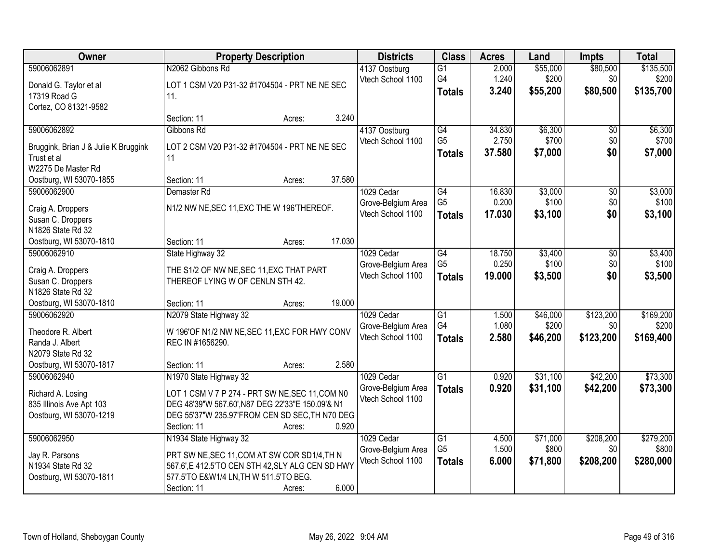| Owner                                        | <b>Property Description</b>                                                  | <b>Districts</b>   | <b>Class</b>    | <b>Acres</b> | Land     | <b>Impts</b> | <b>Total</b> |
|----------------------------------------------|------------------------------------------------------------------------------|--------------------|-----------------|--------------|----------|--------------|--------------|
| 59006062891                                  | N2062 Gibbons Rd                                                             | 4137 Oostburg      | $\overline{G1}$ | 2.000        | \$55,000 | \$80,500     | \$135,500    |
| Donald G. Taylor et al                       | LOT 1 CSM V20 P31-32 #1704504 - PRT NE NE SEC                                | Vtech School 1100  | G4              | 1.240        | \$200    | \$0          | \$200        |
| 17319 Road G                                 | 11.                                                                          |                    | <b>Totals</b>   | 3.240        | \$55,200 | \$80,500     | \$135,700    |
| Cortez, CO 81321-9582                        |                                                                              |                    |                 |              |          |              |              |
|                                              | 3.240<br>Section: 11<br>Acres:                                               |                    |                 |              |          |              |              |
| 59006062892                                  | Gibbons Rd                                                                   | 4137 Oostburg      | G4              | 34.830       | \$6,300  | \$0          | \$6,300      |
| Bruggink, Brian J & Julie K Bruggink         | LOT 2 CSM V20 P31-32 #1704504 - PRT NE NE SEC                                | Vtech School 1100  | G <sub>5</sub>  | 2.750        | \$700    | \$0          | \$700        |
| Trust et al                                  | 11                                                                           |                    | <b>Totals</b>   | 37.580       | \$7,000  | \$0          | \$7,000      |
| W2275 De Master Rd                           |                                                                              |                    |                 |              |          |              |              |
| Oostburg, WI 53070-1855                      | 37.580<br>Section: 11<br>Acres:                                              |                    |                 |              |          |              |              |
| 59006062900                                  | Demaster Rd                                                                  | 1029 Cedar         | G4              | 16.830       | \$3,000  | \$0          | \$3,000      |
| Craig A. Droppers                            | N1/2 NW NE, SEC 11, EXC THE W 196'THEREOF.                                   | Grove-Belgium Area | G <sub>5</sub>  | 0.200        | \$100    | \$0          | \$100        |
| Susan C. Droppers                            |                                                                              | Vtech School 1100  | <b>Totals</b>   | 17.030       | \$3,100  | \$0          | \$3,100      |
| N1826 State Rd 32                            |                                                                              |                    |                 |              |          |              |              |
| Oostburg, WI 53070-1810                      | 17.030<br>Section: 11<br>Acres:                                              |                    |                 |              |          |              |              |
| 59006062910                                  | State Highway 32                                                             | 1029 Cedar         | G4              | 18.750       | \$3,400  | \$0          | \$3,400      |
|                                              |                                                                              | Grove-Belgium Area | G <sub>5</sub>  | 0.250        | \$100    | \$0          | \$100        |
| Craig A. Droppers<br>Susan C. Droppers       | THE S1/2 OF NW NE, SEC 11, EXC THAT PART<br>THEREOF LYING W OF CENLN STH 42. | Vtech School 1100  | <b>Totals</b>   | 19.000       | \$3,500  | \$0          | \$3,500      |
| N1826 State Rd 32                            |                                                                              |                    |                 |              |          |              |              |
| Oostburg, WI 53070-1810                      | 19.000<br>Section: 11<br>Acres:                                              |                    |                 |              |          |              |              |
| 59006062920                                  | N2079 State Highway 32                                                       | 1029 Cedar         | $\overline{G1}$ | 1.500        | \$46,000 | \$123,200    | \$169,200    |
|                                              |                                                                              | Grove-Belgium Area | G4              | 1.080        | \$200    | \$0          | \$200        |
| Theodore R. Albert                           | W 196'OF N1/2 NW NE, SEC 11, EXC FOR HWY CONV                                | Vtech School 1100  | <b>Totals</b>   | 2.580        | \$46,200 | \$123,200    | \$169,400    |
| Randa J. Albert                              | REC IN #1656290.                                                             |                    |                 |              |          |              |              |
| N2079 State Rd 32<br>Oostburg, WI 53070-1817 | 2.580<br>Section: 11<br>Acres:                                               |                    |                 |              |          |              |              |
| 59006062940                                  | N1970 State Highway 32                                                       | 1029 Cedar         | $\overline{G1}$ | 0.920        | \$31,100 | \$42,200     | \$73,300     |
|                                              |                                                                              | Grove-Belgium Area | <b>Totals</b>   | 0.920        | \$31,100 | \$42,200     | \$73,300     |
| Richard A. Losing                            | LOT 1 CSM V 7 P 274 - PRT SW NE, SEC 11, COM N0                              | Vtech School 1100  |                 |              |          |              |              |
| 835 Illinois Ave Apt 103                     | DEG 48'39"W 567.60', N87 DEG 22'33"E 150.09'& N1                             |                    |                 |              |          |              |              |
| Oostburg, WI 53070-1219                      | DEG 55'37"W 235.97'FROM CEN SD SEC, TH N70 DEG<br>0.920                      |                    |                 |              |          |              |              |
| 59006062950                                  | Section: 11<br>Acres:<br>N1934 State Highway 32                              | 1029 Cedar         | $\overline{G1}$ | 4.500        | \$71,000 | \$208,200    | \$279,200    |
|                                              |                                                                              | Grove-Belgium Area | G <sub>5</sub>  | 1.500        | \$800    | \$0          | \$800        |
| Jay R. Parsons                               | PRT SW NE, SEC 11, COM AT SW COR SD1/4, TH N                                 | Vtech School 1100  | <b>Totals</b>   | 6.000        | \$71,800 | \$208,200    | \$280,000    |
| N1934 State Rd 32                            | 567.6',E 412.5'TO CEN STH 42, SLY ALG CEN SD HWY                             |                    |                 |              |          |              |              |
| Oostburg, WI 53070-1811                      | 577.5'TO E&W1/4 LN, TH W 511.5'TO BEG.                                       |                    |                 |              |          |              |              |
|                                              | 6.000<br>Section: 11<br>Acres:                                               |                    |                 |              |          |              |              |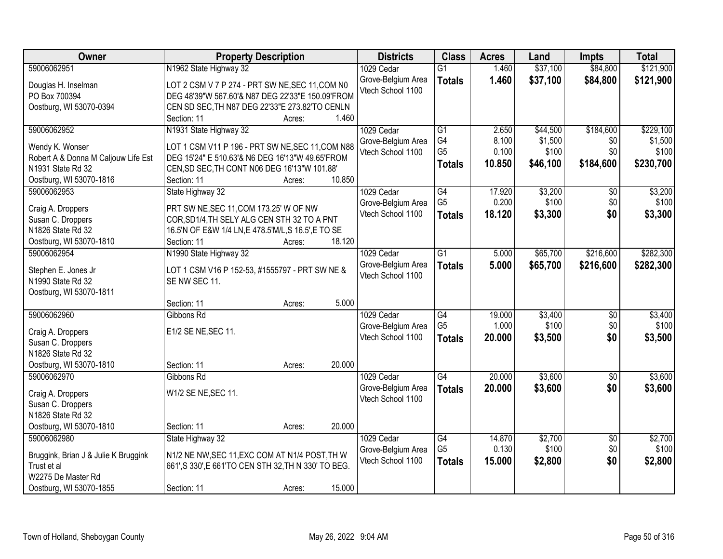| Owner                                  | <b>Property Description</b>                          | <b>Districts</b>   | <b>Class</b>                      | <b>Acres</b>    | Land             | <b>Impts</b>           | <b>Total</b>     |
|----------------------------------------|------------------------------------------------------|--------------------|-----------------------------------|-----------------|------------------|------------------------|------------------|
| 59006062951                            | N1962 State Highway 32                               | 1029 Cedar         | $\overline{G1}$                   | 1.460           | \$37,100         | \$84,800               | \$121,900        |
| Douglas H. Inselman                    | LOT 2 CSM V 7 P 274 - PRT SW NE, SEC 11, COM N0      | Grove-Belgium Area | <b>Totals</b>                     | 1.460           | \$37,100         | \$84,800               | \$121,900        |
| PO Box 700394                          | DEG 48'39"W 567.60'& N87 DEG 22'33"E 150.09'FROM     | Vtech School 1100  |                                   |                 |                  |                        |                  |
| Oostburg, WI 53070-0394                | CEN SD SEC, TH N87 DEG 22'33"E 273.82'TO CENLN       |                    |                                   |                 |                  |                        |                  |
|                                        | 1.460<br>Section: 11<br>Acres:                       |                    |                                   |                 |                  |                        |                  |
| 59006062952                            | N1931 State Highway 32                               | 1029 Cedar         | $\overline{G1}$                   | 2.650           | \$44,500         | \$184,600              | \$229,100        |
|                                        |                                                      | Grove-Belgium Area | G4                                | 8.100           | \$1,500          | \$0                    | \$1,500          |
| Wendy K. Wonser                        | LOT 1 CSM V11 P 196 - PRT SW NE, SEC 11, COM N88     | Vtech School 1100  | G <sub>5</sub>                    | 0.100           | \$100            | \$0                    | \$100            |
| Robert A & Donna M Caljouw Life Est    | DEG 15'24" E 510.63'& N6 DEG 16'13"W 49.65'FROM      |                    | <b>Totals</b>                     | 10.850          | \$46,100         | \$184,600              | \$230,700        |
| N1931 State Rd 32                      | CEN, SD SEC, TH CONT N06 DEG 16'13"W 101.88'         |                    |                                   |                 |                  |                        |                  |
| Oostburg, WI 53070-1816                | 10.850<br>Section: 11<br>Acres:                      |                    |                                   |                 |                  |                        |                  |
| 59006062953                            | State Highway 32                                     | 1029 Cedar         | $\overline{G4}$                   | 17.920          | \$3,200          | \$0                    | \$3,200          |
| Craig A. Droppers                      | PRT SW NE, SEC 11, COM 173.25' W OF NW               | Grove-Belgium Area | G <sub>5</sub>                    | 0.200           | \$100            | \$0                    | \$100            |
| Susan C. Droppers                      | COR, SD1/4, TH SELY ALG CEN STH 32 TO A PNT          | Vtech School 1100  | <b>Totals</b>                     | 18.120          | \$3,300          | \$0                    | \$3,300          |
| N1826 State Rd 32                      | 16.5'N OF E&W 1/4 LN, E 478.5'M/L, S 16.5', E TO SE  |                    |                                   |                 |                  |                        |                  |
| Oostburg, WI 53070-1810                | 18.120<br>Section: 11<br>Acres:                      |                    |                                   |                 |                  |                        |                  |
| 59006062954                            | N1990 State Highway 32                               | 1029 Cedar         | $\overline{G1}$                   | 5.000           | \$65,700         | \$216,600              | \$282,300        |
|                                        |                                                      | Grove-Belgium Area | <b>Totals</b>                     | 5.000           | \$65,700         | \$216,600              | \$282,300        |
| Stephen E. Jones Jr                    | LOT 1 CSM V16 P 152-53, #1555797 - PRT SW NE &       | Vtech School 1100  |                                   |                 |                  |                        |                  |
| N1990 State Rd 32                      | SE NW SEC 11.                                        |                    |                                   |                 |                  |                        |                  |
| Oostburg, WI 53070-1811                |                                                      |                    |                                   |                 |                  |                        |                  |
|                                        | 5.000<br>Section: 11<br>Acres:                       |                    |                                   |                 |                  |                        |                  |
| 59006062960                            | Gibbons Rd                                           | 1029 Cedar         | $\overline{G4}$                   | 19.000          | \$3,400          | \$0                    | \$3,400          |
| Craig A. Droppers                      | E1/2 SE NE, SEC 11.                                  | Grove-Belgium Area | G <sub>5</sub>                    | 1.000           | \$100            | \$0                    | \$100            |
| Susan C. Droppers                      |                                                      | Vtech School 1100  | <b>Totals</b>                     | 20.000          | \$3,500          | \$0                    | \$3,500          |
| N1826 State Rd 32                      |                                                      |                    |                                   |                 |                  |                        |                  |
| Oostburg, WI 53070-1810                | 20.000<br>Section: 11<br>Acres:                      |                    |                                   |                 |                  |                        |                  |
| 59006062970                            | Gibbons Rd                                           | 1029 Cedar         | $\overline{G4}$                   | 20.000          | \$3,600          | $\overline{60}$        | \$3,600          |
|                                        | W1/2 SE NE, SEC 11.                                  | Grove-Belgium Area | <b>Totals</b>                     | 20.000          | \$3,600          | \$0                    | \$3,600          |
| Craig A. Droppers                      |                                                      | Vtech School 1100  |                                   |                 |                  |                        |                  |
| Susan C. Droppers<br>N1826 State Rd 32 |                                                      |                    |                                   |                 |                  |                        |                  |
|                                        | Section: 11<br>20.000                                |                    |                                   |                 |                  |                        |                  |
| Oostburg, WI 53070-1810<br>59006062980 | Acres:                                               |                    |                                   |                 |                  |                        |                  |
|                                        | State Highway 32                                     | 1029 Cedar         | $\overline{G4}$<br>G <sub>5</sub> | 14.870<br>0.130 | \$2,700<br>\$100 | $\overline{30}$<br>\$0 | \$2,700<br>\$100 |
| Bruggink, Brian J & Julie K Bruggink   | N1/2 NE NW, SEC 11, EXC COM AT N1/4 POST, TH W       | Grove-Belgium Area |                                   |                 |                  |                        |                  |
| Trust et al                            | 661', S 330', E 661'TO CEN STH 32, TH N 330' TO BEG. | Vtech School 1100  | <b>Totals</b>                     | 15.000          | \$2,800          | \$0                    | \$2,800          |
| W2275 De Master Rd                     |                                                      |                    |                                   |                 |                  |                        |                  |
| Oostburg, WI 53070-1855                | 15.000<br>Section: 11<br>Acres:                      |                    |                                   |                 |                  |                        |                  |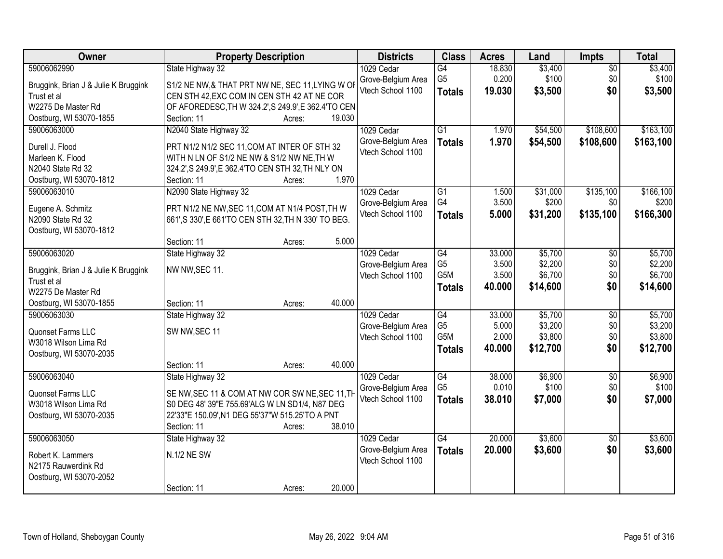| Owner                                           | <b>Property Description</b>                                                                       | <b>Districts</b>   | <b>Class</b>    | <b>Acres</b> | Land     | Impts           | <b>Total</b> |
|-------------------------------------------------|---------------------------------------------------------------------------------------------------|--------------------|-----------------|--------------|----------|-----------------|--------------|
| 59006062990                                     | State Highway 32                                                                                  | 1029 Cedar         | G4              | 18.830       | \$3,400  | $\overline{50}$ | \$3,400      |
| Bruggink, Brian J & Julie K Bruggink            | S1/2 NE NW,& THAT PRT NW NE, SEC 11, LYING W OI                                                   | Grove-Belgium Area | G <sub>5</sub>  | 0.200        | \$100    | \$0             | \$100        |
| Trust et al                                     | CEN STH 42, EXC COM IN CEN STH 42 AT NE COR                                                       | Vtech School 1100  | <b>Totals</b>   | 19.030       | \$3,500  | \$0             | \$3,500      |
| W2275 De Master Rd                              | OF AFOREDESC, TH W 324.2', S 249.9', E 362.4'TO CEN                                               |                    |                 |              |          |                 |              |
| Oostburg, WI 53070-1855                         | 19.030<br>Section: 11<br>Acres:                                                                   |                    |                 |              |          |                 |              |
| 59006063000                                     | N2040 State Highway 32                                                                            | 1029 Cedar         | $\overline{G1}$ | 1.970        | \$54,500 | \$108,600       | \$163,100    |
|                                                 |                                                                                                   | Grove-Belgium Area | <b>Totals</b>   | 1.970        | \$54,500 | \$108,600       | \$163,100    |
| Durell J. Flood                                 | PRT N1/2 N1/2 SEC 11, COM AT INTER OF STH 32                                                      | Vtech School 1100  |                 |              |          |                 |              |
| Marleen K. Flood<br>N2040 State Rd 32           | WITH N LN OF S1/2 NE NW & S1/2 NW NE, TH W<br>324.2', S 249.9', E 362.4' TO CEN STH 32, TH NLY ON |                    |                 |              |          |                 |              |
| Oostburg, WI 53070-1812                         | 1.970<br>Section: 11<br>Acres:                                                                    |                    |                 |              |          |                 |              |
| 59006063010                                     | N2090 State Highway 32                                                                            | 1029 Cedar         | G1              | 1.500        | \$31,000 | \$135,100       | \$166,100    |
|                                                 |                                                                                                   | Grove-Belgium Area | G4              | 3.500        | \$200    | \$0             | \$200        |
| Eugene A. Schmitz                               | PRT N1/2 NE NW, SEC 11, COM AT N1/4 POST, TH W                                                    | Vtech School 1100  | <b>Totals</b>   | 5.000        | \$31,200 | \$135,100       | \$166,300    |
| N2090 State Rd 32                               | 661', S 330', E 661'TO CEN STH 32, TH N 330' TO BEG.                                              |                    |                 |              |          |                 |              |
| Oostburg, WI 53070-1812                         |                                                                                                   |                    |                 |              |          |                 |              |
|                                                 | Section: 11<br>5.000<br>Acres:                                                                    |                    |                 |              |          |                 |              |
| 59006063020                                     | State Highway 32                                                                                  | 1029 Cedar         | G4              | 33.000       | \$5,700  | \$0             | \$5,700      |
| Bruggink, Brian J & Julie K Bruggink            | NW NW, SEC 11.                                                                                    | Grove-Belgium Area | G <sub>5</sub>  | 3.500        | \$2,200  | \$0             | \$2,200      |
| Trust et al                                     |                                                                                                   | Vtech School 1100  | G5M             | 3.500        | \$6,700  | \$0             | \$6,700      |
| W2275 De Master Rd                              |                                                                                                   |                    | <b>Totals</b>   | 40.000       | \$14,600 | \$0             | \$14,600     |
| Oostburg, WI 53070-1855                         | 40.000<br>Section: 11<br>Acres:                                                                   |                    |                 |              |          |                 |              |
| 59006063030                                     | State Highway 32                                                                                  | 1029 Cedar         | $\overline{G4}$ | 33.000       | \$5,700  | $\overline{50}$ | \$5,700      |
|                                                 |                                                                                                   | Grove-Belgium Area | G <sub>5</sub>  | 5.000        | \$3,200  | \$0             | \$3,200      |
| Quonset Farms LLC                               | SW NW, SEC 11                                                                                     | Vtech School 1100  | G5M             | 2.000        | \$3,800  | \$0             | \$3,800      |
| W3018 Wilson Lima Rd<br>Oostburg, WI 53070-2035 |                                                                                                   |                    | <b>Totals</b>   | 40.000       | \$12,700 | \$0             | \$12,700     |
|                                                 | 40.000<br>Section: 11<br>Acres:                                                                   |                    |                 |              |          |                 |              |
| 59006063040                                     | State Highway 32                                                                                  | 1029 Cedar         | $\overline{G4}$ | 38.000       | \$6,900  | $\overline{50}$ | \$6,900      |
|                                                 |                                                                                                   | Grove-Belgium Area | G <sub>5</sub>  | 0.010        | \$100    | \$0             | \$100        |
| Quonset Farms LLC                               | SE NW, SEC 11 & COM AT NW COR SW NE, SEC 11, TH                                                   | Vtech School 1100  | <b>Totals</b>   | 38.010       | \$7,000  | \$0             | \$7,000      |
| W3018 Wilson Lima Rd                            | S0 DEG 48' 39"E 755.69'ALG W LN SD1/4, N87 DEG                                                    |                    |                 |              |          |                 |              |
| Oostburg, WI 53070-2035                         | 22'33"E 150.09', N1 DEG 55'37"W 515.25'TO A PNT                                                   |                    |                 |              |          |                 |              |
|                                                 | 38.010<br>Section: 11<br>Acres:                                                                   |                    |                 |              |          |                 |              |
| 59006063050                                     | State Highway 32                                                                                  | 1029 Cedar         | $\overline{G4}$ | 20.000       | \$3,600  | $\overline{50}$ | \$3,600      |
| Robert K. Lammers                               | N.1/2 NE SW                                                                                       | Grove-Belgium Area | <b>Totals</b>   | 20.000       | \$3,600  | \$0             | \$3,600      |
| N2175 Rauwerdink Rd                             |                                                                                                   | Vtech School 1100  |                 |              |          |                 |              |
| Oostburg, WI 53070-2052                         |                                                                                                   |                    |                 |              |          |                 |              |
|                                                 | 20.000<br>Section: 11<br>Acres:                                                                   |                    |                 |              |          |                 |              |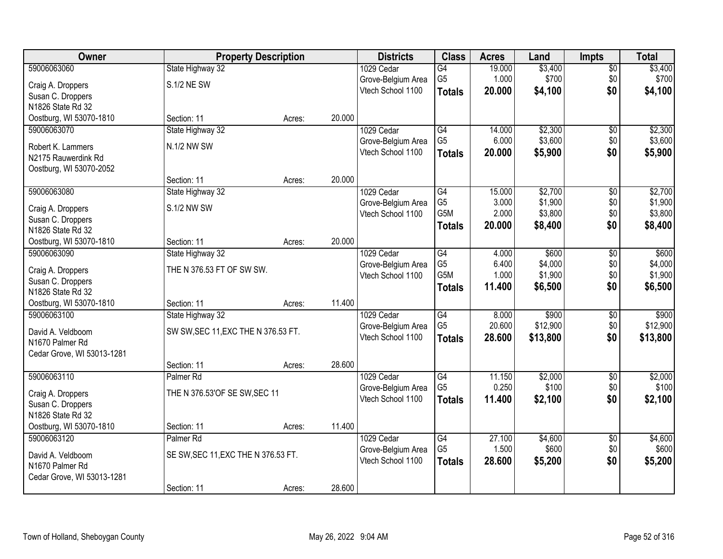| Owner                      |                                     | <b>Property Description</b> |        | <b>Districts</b>   | <b>Class</b>     | <b>Acres</b> | Land     | <b>Impts</b>    | <b>Total</b> |
|----------------------------|-------------------------------------|-----------------------------|--------|--------------------|------------------|--------------|----------|-----------------|--------------|
| 59006063060                | State Highway 32                    |                             |        | 1029 Cedar         | G4               | 19.000       | \$3,400  | \$0             | \$3,400      |
| Craig A. Droppers          | S.1/2 NE SW                         |                             |        | Grove-Belgium Area | G <sub>5</sub>   | 1.000        | \$700    | \$0             | \$700        |
| Susan C. Droppers          |                                     |                             |        | Vtech School 1100  | <b>Totals</b>    | 20.000       | \$4,100  | \$0             | \$4,100      |
| N1826 State Rd 32          |                                     |                             |        |                    |                  |              |          |                 |              |
| Oostburg, WI 53070-1810    | Section: 11                         | Acres:                      | 20.000 |                    |                  |              |          |                 |              |
| 59006063070                | State Highway 32                    |                             |        | 1029 Cedar         | $\overline{G4}$  | 14.000       | \$2,300  | $\overline{50}$ | \$2,300      |
| Robert K. Lammers          | <b>N.1/2 NW SW</b>                  |                             |        | Grove-Belgium Area | G <sub>5</sub>   | 6.000        | \$3,600  | \$0             | \$3,600      |
| N2175 Rauwerdink Rd        |                                     |                             |        | Vtech School 1100  | <b>Totals</b>    | 20.000       | \$5,900  | \$0             | \$5,900      |
| Oostburg, WI 53070-2052    |                                     |                             |        |                    |                  |              |          |                 |              |
|                            | Section: 11                         | Acres:                      | 20.000 |                    |                  |              |          |                 |              |
| 59006063080                | State Highway 32                    |                             |        | 1029 Cedar         | G4               | 15.000       | \$2,700  | \$0             | \$2,700      |
| Craig A. Droppers          | S.1/2 NW SW                         |                             |        | Grove-Belgium Area | G <sub>5</sub>   | 3.000        | \$1,900  | \$0             | \$1,900      |
| Susan C. Droppers          |                                     |                             |        | Vtech School 1100  | G <sub>5</sub> M | 2.000        | \$3,800  | \$0             | \$3,800      |
| N1826 State Rd 32          |                                     |                             |        |                    | <b>Totals</b>    | 20,000       | \$8,400  | \$0             | \$8,400      |
| Oostburg, WI 53070-1810    | Section: 11                         | Acres:                      | 20.000 |                    |                  |              |          |                 |              |
| 59006063090                | State Highway 32                    |                             |        | 1029 Cedar         | G4               | 4.000        | \$600    | \$0             | \$600        |
| Craig A. Droppers          | THE N 376.53 FT OF SW SW.           |                             |        | Grove-Belgium Area | G <sub>5</sub>   | 6.400        | \$4,000  | \$0             | \$4,000      |
| Susan C. Droppers          |                                     |                             |        | Vtech School 1100  | G5M              | 1.000        | \$1,900  | \$0             | \$1,900      |
| N1826 State Rd 32          |                                     |                             |        |                    | <b>Totals</b>    | 11.400       | \$6,500  | \$0             | \$6,500      |
| Oostburg, WI 53070-1810    | Section: 11                         | Acres:                      | 11.400 |                    |                  |              |          |                 |              |
| 59006063100                | State Highway 32                    |                             |        | 1029 Cedar         | $\overline{G4}$  | 8.000        | \$900    | $\overline{50}$ | \$900        |
| David A. Veldboom          | SW SW, SEC 11, EXC THE N 376.53 FT. |                             |        | Grove-Belgium Area | G <sub>5</sub>   | 20.600       | \$12,900 | \$0             | \$12,900     |
| N1670 Palmer Rd            |                                     |                             |        | Vtech School 1100  | <b>Totals</b>    | 28.600       | \$13,800 | \$0             | \$13,800     |
| Cedar Grove, WI 53013-1281 |                                     |                             |        |                    |                  |              |          |                 |              |
|                            | Section: 11                         | Acres:                      | 28.600 |                    |                  |              |          |                 |              |
| 59006063110                | Palmer <sub>Rd</sub>                |                             |        | 1029 Cedar         | $\overline{G4}$  | 11.150       | \$2,000  | $\overline{50}$ | \$2,000      |
| Craig A. Droppers          | THE N 376.53'OF SE SW, SEC 11       |                             |        | Grove-Belgium Area | G <sub>5</sub>   | 0.250        | \$100    | \$0             | \$100        |
| Susan C. Droppers          |                                     |                             |        | Vtech School 1100  | <b>Totals</b>    | 11.400       | \$2,100  | \$0             | \$2,100      |
| N1826 State Rd 32          |                                     |                             |        |                    |                  |              |          |                 |              |
| Oostburg, WI 53070-1810    | Section: 11                         | Acres:                      | 11.400 |                    |                  |              |          |                 |              |
| 59006063120                | Palmer <sub>Rd</sub>                |                             |        | 1029 Cedar         | $\overline{G4}$  | 27.100       | \$4,600  | $\overline{50}$ | \$4,600      |
| David A. Veldboom          | SE SW, SEC 11, EXC THE N 376.53 FT. |                             |        | Grove-Belgium Area | G <sub>5</sub>   | 1.500        | \$600    | \$0             | \$600        |
| N1670 Palmer Rd            |                                     |                             |        | Vtech School 1100  | <b>Totals</b>    | 28.600       | \$5,200  | \$0             | \$5,200      |
| Cedar Grove, WI 53013-1281 |                                     |                             |        |                    |                  |              |          |                 |              |
|                            | Section: 11                         | Acres:                      | 28.600 |                    |                  |              |          |                 |              |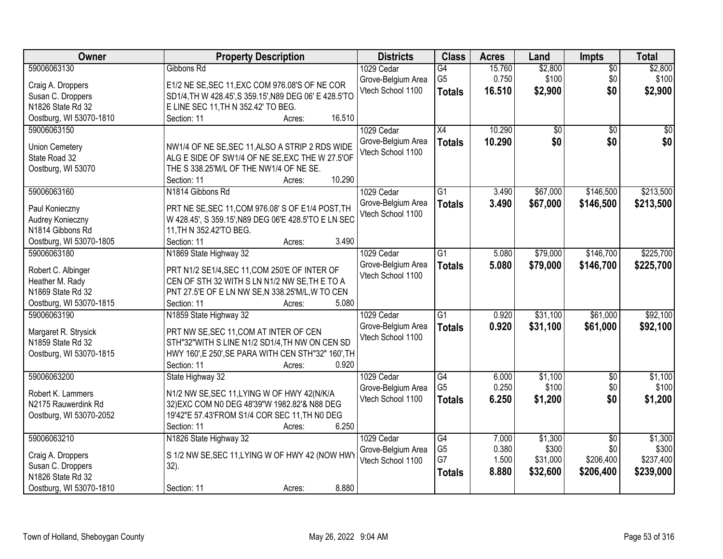| <b>Owner</b>            | <b>Property Description</b>                            | <b>Districts</b>                        | <b>Class</b>         | <b>Acres</b> | Land             | Impts           | <b>Total</b> |
|-------------------------|--------------------------------------------------------|-----------------------------------------|----------------------|--------------|------------------|-----------------|--------------|
| 59006063130             | Gibbons Rd                                             | 1029 Cedar                              | G4                   | 15.760       | \$2,800          | $\overline{50}$ | \$2,800      |
| Craig A. Droppers       | E1/2 NE SE, SEC 11, EXC COM 976.08'S OF NE COR         | Grove-Belgium Area                      | G <sub>5</sub>       | 0.750        | \$100            | \$0             | \$100        |
| Susan C. Droppers       | SD1/4, TH W 428.45', S 359.15', N89 DEG 06' E 428.5'TO | Vtech School 1100                       | <b>Totals</b>        | 16.510       | \$2,900          | \$0             | \$2,900      |
| N1826 State Rd 32       | E LINE SEC 11, TH N 352.42' TO BEG.                    |                                         |                      |              |                  |                 |              |
| Oostburg, WI 53070-1810 | 16.510<br>Section: 11<br>Acres:                        |                                         |                      |              |                  |                 |              |
| 59006063150             |                                                        | 1029 Cedar                              | $\overline{X4}$      | 10.290       | $\overline{50}$  | $\overline{30}$ | $\sqrt{50}$  |
|                         |                                                        | Grove-Belgium Area                      |                      | 10.290       | \$0              | \$0             | \$0          |
| <b>Union Cemetery</b>   | NW1/4 OF NE SE, SEC 11, ALSO A STRIP 2 RDS WIDE        | Vtech School 1100                       | <b>Totals</b>        |              |                  |                 |              |
| State Road 32           | ALG E SIDE OF SW1/4 OF NE SE, EXC THE W 27.5'OF        |                                         |                      |              |                  |                 |              |
| Oostburg, WI 53070      | THE S 338.25'M/L OF THE NW1/4 OF NE SE.                |                                         |                      |              |                  |                 |              |
|                         | 10.290<br>Section: 11<br>Acres:                        |                                         |                      |              |                  |                 |              |
| 59006063160             | N1814 Gibbons Rd                                       | 1029 Cedar                              | G1                   | 3.490        | \$67,000         | \$146,500       | \$213,500    |
| Paul Konieczny          | PRT NE SE, SEC 11, COM 976.08' S OF E1/4 POST, TH      | Grove-Belgium Area                      | <b>Totals</b>        | 3.490        | \$67,000         | \$146,500       | \$213,500    |
| Audrey Konieczny        | W 428.45', S 359.15', N89 DEG 06'E 428.5'TO E LN SEC   | Vtech School 1100                       |                      |              |                  |                 |              |
| N1814 Gibbons Rd        | 11, TH N 352.42'TO BEG.                                |                                         |                      |              |                  |                 |              |
| Oostburg, WI 53070-1805 | 3.490<br>Section: 11<br>Acres:                         |                                         |                      |              |                  |                 |              |
| 59006063180             | N1869 State Highway 32                                 | 1029 Cedar                              | G1                   | 5.080        | \$79,000         | \$146,700       | \$225,700    |
|                         |                                                        |                                         |                      |              |                  |                 |              |
| Robert C. Albinger      | PRT N1/2 SE1/4, SEC 11, COM 250'E OF INTER OF          | Grove-Belgium Area<br>Vtech School 1100 | <b>Totals</b>        | 5.080        | \$79,000         | \$146,700       | \$225,700    |
| Heather M. Rady         | CEN OF STH 32 WITH S LN N1/2 NW SE, TH E TO A          |                                         |                      |              |                  |                 |              |
| N1869 State Rd 32       | PNT 27.5'E OF E LN NW SE, N 338.25'M/L, W TO CEN       |                                         |                      |              |                  |                 |              |
| Oostburg, WI 53070-1815 | 5.080<br>Section: 11<br>Acres:                         |                                         |                      |              |                  |                 |              |
| 59006063190             | N1859 State Highway 32                                 | 1029 Cedar                              | $\overline{G1}$      | 0.920        | \$31,100         | \$61,000        | \$92,100     |
|                         |                                                        | Grove-Belgium Area                      | <b>Totals</b>        | 0.920        | \$31,100         | \$61,000        | \$92,100     |
| Margaret R. Strysick    | PRT NW SE, SEC 11, COM AT INTER OF CEN                 | Vtech School 1100                       |                      |              |                  |                 |              |
| N1859 State Rd 32       | STH"32"WITH S LINE N1/2 SD1/4, TH NW ON CEN SD         |                                         |                      |              |                  |                 |              |
| Oostburg, WI 53070-1815 | HWY 160', E 250', SE PARA WITH CEN STH"32" 160', TH    |                                         |                      |              |                  |                 |              |
|                         | Section: 11<br>0.920<br>Acres:                         |                                         |                      |              |                  |                 |              |
| 59006063200             | State Highway 32                                       | 1029 Cedar                              | G4<br>G <sub>5</sub> | 6.000        | \$1,100<br>\$100 | $\overline{50}$ | \$1,100      |
| Robert K. Lammers       | N1/2 NW SE, SEC 11, LYING W OF HWY 42(N/K/A            | Grove-Belgium Area                      |                      | 0.250        |                  | \$0             | \$100        |
| N2175 Rauwerdink Rd     | 32) EXC COM N0 DEG 48'39" W 1982.82' & N88 DEG         | Vtech School 1100                       | <b>Totals</b>        | 6.250        | \$1,200          | \$0             | \$1,200      |
| Oostburg, WI 53070-2052 | 19'42"E 57.43'FROM S1/4 COR SEC 11, TH N0 DEG          |                                         |                      |              |                  |                 |              |
|                         | 6.250<br>Section: 11<br>Acres:                         |                                         |                      |              |                  |                 |              |
| 59006063210             | N1826 State Highway 32                                 | 1029 Cedar                              | $\overline{G4}$      | 7.000        | \$1,300          | $\overline{50}$ | \$1,300      |
|                         |                                                        | Grove-Belgium Area                      | G <sub>5</sub>       | 0.380        | \$300            | \$0             | \$300        |
| Craig A. Droppers       | S 1/2 NW SE, SEC 11, LYING W OF HWY 42 (NOW HWY        | Vtech School 1100                       | G7                   | 1.500        | \$31,000         | \$206,400       | \$237,400    |
| Susan C. Droppers       | $32$ ).                                                |                                         | <b>Totals</b>        | 8.880        | \$32,600         | \$206,400       | \$239,000    |
| N1826 State Rd 32       |                                                        |                                         |                      |              |                  |                 |              |
| Oostburg, WI 53070-1810 | 8.880<br>Section: 11<br>Acres:                         |                                         |                      |              |                  |                 |              |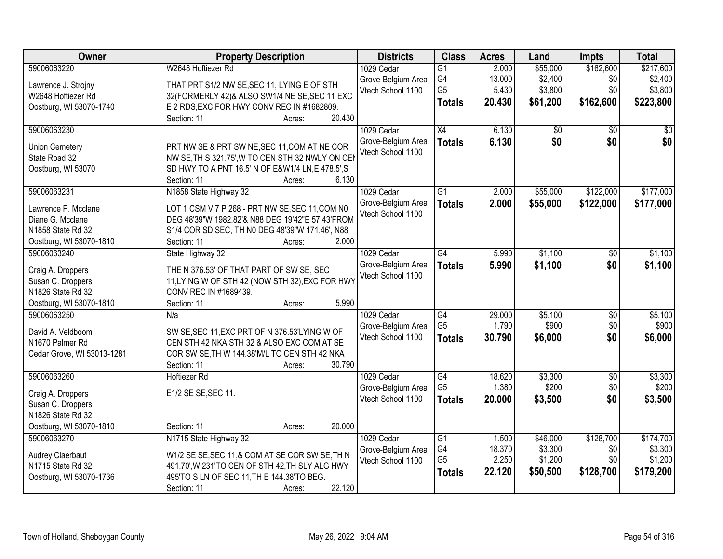| Owner                                  | <b>Property Description</b>                                                                      | <b>Districts</b>                        | <b>Class</b>    | <b>Acres</b> | Land     | <b>Impts</b>    | <b>Total</b> |
|----------------------------------------|--------------------------------------------------------------------------------------------------|-----------------------------------------|-----------------|--------------|----------|-----------------|--------------|
| 59006063220                            | W2648 Hoftiezer Rd                                                                               | 1029 Cedar                              | $\overline{G1}$ | 2.000        | \$55,000 | \$162,600       | \$217,600    |
| Lawrence J. Strojny                    | THAT PRT S1/2 NW SE, SEC 11, LYING E OF STH                                                      | Grove-Belgium Area                      | G4              | 13.000       | \$2,400  | \$0             | \$2,400      |
| W2648 Hoftiezer Rd                     | 32(FORMERLY 42)& ALSO SW1/4 NE SE, SEC 11 EXC                                                    | Vtech School 1100                       | G <sub>5</sub>  | 5.430        | \$3,800  | \$0             | \$3,800      |
| Oostburg, WI 53070-1740                | E 2 RDS, EXC FOR HWY CONV REC IN #1682809.                                                       |                                         | <b>Totals</b>   | 20.430       | \$61,200 | \$162,600       | \$223,800    |
|                                        | 20.430<br>Section: 11<br>Acres:                                                                  |                                         |                 |              |          |                 |              |
| 59006063230                            |                                                                                                  | 1029 Cedar                              | $\overline{X4}$ | 6.130        | \$0      | \$0             | \$0          |
|                                        |                                                                                                  | Grove-Belgium Area                      | <b>Totals</b>   | 6.130        | \$0      | \$0             | \$0          |
| <b>Union Cemetery</b><br>State Road 32 | PRT NW SE & PRT SW NE, SEC 11, COM AT NE COR<br>NW SE, TH S 321.75', W TO CEN STH 32 NWLY ON CEI | Vtech School 1100                       |                 |              |          |                 |              |
| Oostburg, WI 53070                     | SD HWY TO A PNT 16.5' N OF E&W1/4 LN,E 478.5',S                                                  |                                         |                 |              |          |                 |              |
|                                        | 6.130<br>Section: 11<br>Acres:                                                                   |                                         |                 |              |          |                 |              |
| 59006063231                            | N1858 State Highway 32                                                                           | 1029 Cedar                              | $\overline{G1}$ | 2.000        | \$55,000 | \$122,000       | \$177,000    |
|                                        |                                                                                                  | Grove-Belgium Area                      | <b>Totals</b>   | 2.000        | \$55,000 | \$122,000       | \$177,000    |
| Lawrence P. Mcclane                    | LOT 1 CSM V 7 P 268 - PRT NW SE, SEC 11, COM N0                                                  | Vtech School 1100                       |                 |              |          |                 |              |
| Diane G. Mcclane                       | DEG 48'39"W 1982.82'& N88 DEG 19'42"E 57.43'FROM                                                 |                                         |                 |              |          |                 |              |
| N1858 State Rd 32                      | S1/4 COR SD SEC, TH N0 DEG 48'39"W 171.46', N88                                                  |                                         |                 |              |          |                 |              |
| Oostburg, WI 53070-1810                | 2.000<br>Section: 11<br>Acres:                                                                   |                                         |                 |              |          |                 |              |
| 59006063240                            | State Highway 32                                                                                 | 1029 Cedar                              | G4              | 5.990        | \$1,100  | $\sqrt[6]{}$    | \$1,100      |
| Craig A. Droppers                      | THE N 376.53' OF THAT PART OF SW SE, SEC                                                         | Grove-Belgium Area                      | <b>Totals</b>   | 5.990        | \$1,100  | \$0             | \$1,100      |
| Susan C. Droppers                      | 11, LYING W OF STH 42 (NOW STH 32), EXC FOR HWY                                                  | Vtech School 1100                       |                 |              |          |                 |              |
| N1826 State Rd 32                      | CONV REC IN #1689439.                                                                            |                                         |                 |              |          |                 |              |
| Oostburg, WI 53070-1810                | 5.990<br>Section: 11<br>Acres:                                                                   |                                         |                 |              |          |                 |              |
| 59006063250                            | N/a                                                                                              | 1029 Cedar                              | $\overline{G4}$ | 29.000       | \$5,100  | $\overline{50}$ | \$5,100      |
|                                        |                                                                                                  | Grove-Belgium Area                      | G <sub>5</sub>  | 1.790        | \$900    | \$0             | \$900        |
| David A. Veldboom                      | SW SE, SEC 11, EXC PRT OF N 376.53'LYING W OF                                                    | Vtech School 1100                       | <b>Totals</b>   | 30.790       | \$6,000  | \$0             | \$6,000      |
| N1670 Palmer Rd                        | CEN STH 42 NKA STH 32 & ALSO EXC COM AT SE                                                       |                                         |                 |              |          |                 |              |
| Cedar Grove, WI 53013-1281             | COR SW SE, TH W 144.38'M/L TO CEN STH 42 NKA<br>30.790                                           |                                         |                 |              |          |                 |              |
| 59006063260                            | Section: 11<br>Acres:<br>Hoftiezer Rd                                                            | 1029 Cedar                              | G4              | 18.620       | \$3,300  | $\sqrt{6}$      | \$3,300      |
|                                        |                                                                                                  |                                         | G <sub>5</sub>  | 1.380        | \$200    | \$0             | \$200        |
| Craig A. Droppers                      | E1/2 SE SE, SEC 11.                                                                              | Grove-Belgium Area<br>Vtech School 1100 |                 | 20.000       | \$3,500  | \$0             | \$3,500      |
| Susan C. Droppers                      |                                                                                                  |                                         | <b>Totals</b>   |              |          |                 |              |
| N1826 State Rd 32                      |                                                                                                  |                                         |                 |              |          |                 |              |
| Oostburg, WI 53070-1810                | 20.000<br>Section: 11<br>Acres:                                                                  |                                         |                 |              |          |                 |              |
| 59006063270                            | N1715 State Highway 32                                                                           | 1029 Cedar                              | G1              | 1.500        | \$46,000 | \$128,700       | \$174,700    |
| Audrey Claerbaut                       | W1/2 SE SE, SEC 11, & COM AT SE COR SW SE, TH N                                                  | Grove-Belgium Area                      | G4              | 18.370       | \$3,300  | \$0             | \$3,300      |
| N1715 State Rd 32                      | 491.70', W 231'TO CEN OF STH 42, TH SLY ALG HWY                                                  | Vtech School 1100                       | G <sub>5</sub>  | 2.250        | \$1,200  | \$0             | \$1,200      |
| Oostburg, WI 53070-1736                | 495'TO S LN OF SEC 11, TH E 144.38'TO BEG.                                                       |                                         | <b>Totals</b>   | 22.120       | \$50,500 | \$128,700       | \$179,200    |
|                                        | 22.120<br>Section: 11<br>Acres:                                                                  |                                         |                 |              |          |                 |              |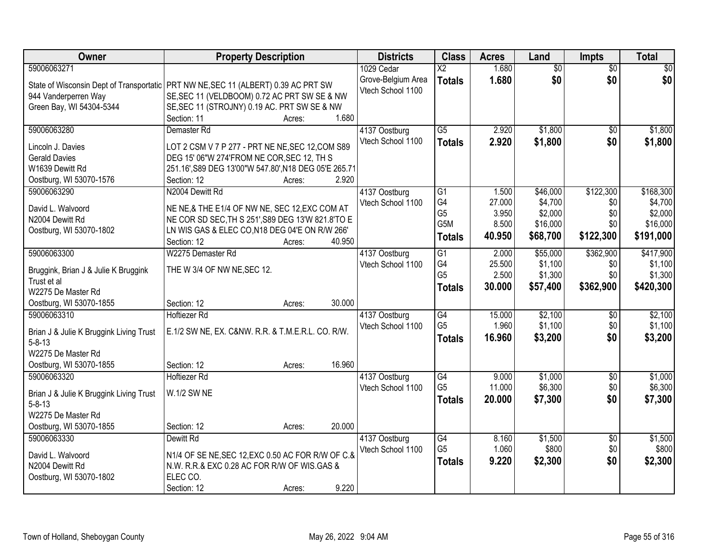| Owner                                   | <b>Property Description</b>                                                          | <b>Districts</b>                        | <b>Class</b>    | <b>Acres</b> | Land            | <b>Impts</b>    | <b>Total</b>    |
|-----------------------------------------|--------------------------------------------------------------------------------------|-----------------------------------------|-----------------|--------------|-----------------|-----------------|-----------------|
| 59006063271                             |                                                                                      | 1029 Cedar                              | $\overline{X2}$ | 1.680        | $\overline{50}$ | $\overline{50}$ | $\overline{30}$ |
|                                         | State of Wisconsin Dept of Transportatic   PRT NW NE, SEC 11 (ALBERT) 0.39 AC PRT SW | Grove-Belgium Area<br>Vtech School 1100 | <b>Totals</b>   | 1.680        | \$0             | \$0             | \$0             |
| 944 Vanderperren Way                    | SE, SEC 11 (VELDBOOM) 0.72 AC PRT SW SE & NW                                         |                                         |                 |              |                 |                 |                 |
| Green Bay, WI 54304-5344                | SE, SEC 11 (STROJNY) 0.19 AC. PRT SW SE & NW                                         |                                         |                 |              |                 |                 |                 |
|                                         | 1.680<br>Section: 11<br>Acres:                                                       |                                         |                 |              |                 |                 |                 |
| 59006063280                             | Demaster Rd                                                                          | 4137 Oostburg                           | $\overline{G5}$ | 2.920        | \$1,800         | $\overline{50}$ | \$1,800         |
| Lincoln J. Davies                       | LOT 2 CSM V 7 P 277 - PRT NE NE, SEC 12, COM S89                                     | Vtech School 1100                       | <b>Totals</b>   | 2.920        | \$1,800         | \$0             | \$1,800         |
| <b>Gerald Davies</b>                    | DEG 15' 06"W 274'FROM NE COR, SEC 12, TH S                                           |                                         |                 |              |                 |                 |                 |
| W1639 Dewitt Rd                         | 251.16', S89 DEG 13'00"W 547.80', N18 DEG 05'E 265.71                                |                                         |                 |              |                 |                 |                 |
| Oostburg, WI 53070-1576                 | 2.920<br>Section: 12<br>Acres:                                                       |                                         |                 |              |                 |                 |                 |
| 59006063290                             | N2004 Dewitt Rd                                                                      | 4137 Oostburg                           | G1              | 1.500        | \$46,000        | \$122,300       | \$168,300       |
|                                         |                                                                                      | Vtech School 1100                       | G4              | 27.000       | \$4,700         | \$0             | \$4,700         |
| David L. Walvoord                       | NE NE,& THE E1/4 OF NW NE, SEC 12, EXC COM AT                                        |                                         | G <sub>5</sub>  | 3.950        | \$2,000         | \$0             | \$2,000         |
| N2004 Dewitt Rd                         | NE COR SD SEC, TH S 251', S89 DEG 13'W 821.8'TO E                                    |                                         | G5M             | 8.500        | \$16,000        | \$0             | \$16,000        |
| Oostburg, WI 53070-1802                 | LN WIS GAS & ELEC CO, N18 DEG 04'E ON R/W 266'                                       |                                         | <b>Totals</b>   | 40.950       | \$68,700        | \$122,300       | \$191,000       |
|                                         | Section: 12<br>40.950<br>Acres:                                                      |                                         |                 |              |                 |                 |                 |
| 59006063300                             | W2275 Demaster Rd                                                                    | 4137 Oostburg                           | G1              | 2.000        | \$55,000        | \$362,900       | \$417,900       |
| Bruggink, Brian J & Julie K Bruggink    | THE W 3/4 OF NW NE, SEC 12.                                                          | Vtech School 1100                       | G4              | 25.500       | \$1,100         | \$0             | \$1,100         |
| Trust et al                             |                                                                                      |                                         | G <sub>5</sub>  | 2.500        | \$1,300         | \$0             | \$1,300         |
| W2275 De Master Rd                      |                                                                                      |                                         | <b>Totals</b>   | 30.000       | \$57,400        | \$362,900       | \$420,300       |
| Oostburg, WI 53070-1855                 | 30.000<br>Section: 12<br>Acres:                                                      |                                         |                 |              |                 |                 |                 |
| 59006063310                             | <b>Hoftiezer Rd</b>                                                                  | 4137 Oostburg                           | G4              | 15.000       | \$2,100         | \$0             | \$2,100         |
| Brian J & Julie K Bruggink Living Trust | E.1/2 SW NE, EX. C&NW. R.R. & T.M.E.R.L. CO. R/W.                                    | Vtech School 1100                       | G <sub>5</sub>  | 1.960        | \$1,100         | \$0             | \$1,100         |
| $5 - 8 - 13$                            |                                                                                      |                                         | <b>Totals</b>   | 16.960       | \$3,200         | \$0             | \$3,200         |
| W2275 De Master Rd                      |                                                                                      |                                         |                 |              |                 |                 |                 |
| Oostburg, WI 53070-1855                 | 16.960<br>Section: 12<br>Acres:                                                      |                                         |                 |              |                 |                 |                 |
| 59006063320                             | <b>Hoftiezer Rd</b>                                                                  | 4137 Oostburg                           | G4              | 9.000        | \$1,000         | $\overline{$0}$ | \$1,000         |
|                                         |                                                                                      | Vtech School 1100                       | G <sub>5</sub>  | 11.000       | \$6,300         | \$0             | \$6,300         |
| Brian J & Julie K Bruggink Living Trust | <b>W.1/2 SW NE</b>                                                                   |                                         | <b>Totals</b>   | 20,000       | \$7,300         | \$0             | \$7,300         |
| $5 - 8 - 13$                            |                                                                                      |                                         |                 |              |                 |                 |                 |
| W2275 De Master Rd                      |                                                                                      |                                         |                 |              |                 |                 |                 |
| Oostburg, WI 53070-1855                 | 20.000<br>Section: 12<br>Acres:                                                      |                                         |                 |              |                 |                 |                 |
| 59006063330                             | Dewitt Rd                                                                            | 4137 Oostburg                           | G4              | 8.160        | \$1,500         | $\overline{60}$ | \$1,500         |
| David L. Walvoord                       | N1/4 OF SE NE, SEC 12, EXC 0.50 AC FOR R/W OF C.&                                    | Vtech School 1100                       | G <sub>5</sub>  | 1.060        | \$800           | \$0             | \$800           |
| N2004 Dewitt Rd                         | N.W. R.R.& EXC 0.28 AC FOR R/W OF WIS.GAS &                                          |                                         | <b>Totals</b>   | 9.220        | \$2,300         | \$0             | \$2,300         |
| Oostburg, WI 53070-1802                 | ELEC CO.                                                                             |                                         |                 |              |                 |                 |                 |
|                                         | 9.220<br>Section: 12<br>Acres:                                                       |                                         |                 |              |                 |                 |                 |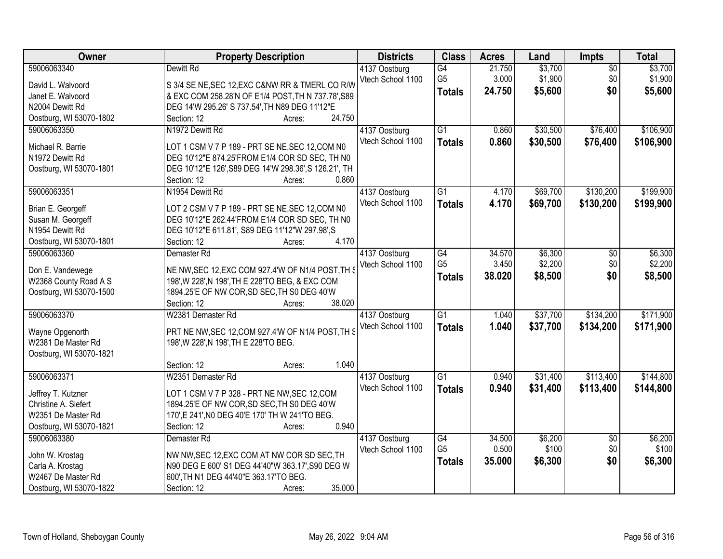| Owner                   | <b>Property Description</b>                                          | <b>Districts</b>  | <b>Class</b>    | <b>Acres</b> | Land     | Impts           | <b>Total</b> |
|-------------------------|----------------------------------------------------------------------|-------------------|-----------------|--------------|----------|-----------------|--------------|
| 59006063340             | Dewitt Rd                                                            | 4137 Oostburg     | G4              | 21.750       | \$3,700  | $\overline{50}$ | \$3,700      |
| David L. Walvoord       | S 3/4 SE NE, SEC 12, EXC C&NW RR & TMERL CO R/W                      | Vtech School 1100 | G <sub>5</sub>  | 3.000        | \$1,900  | \$0             | \$1,900      |
| Janet E. Walvoord       | & EXC COM 258.28'N OF E1/4 POST, TH N 737.78', S89                   |                   | <b>Totals</b>   | 24.750       | \$5,600  | \$0             | \$5,600      |
| N2004 Dewitt Rd         | DEG 14'W 295.26' S 737.54', TH N89 DEG 11'12"E                       |                   |                 |              |          |                 |              |
| Oostburg, WI 53070-1802 | 24.750<br>Section: 12<br>Acres:                                      |                   |                 |              |          |                 |              |
| 59006063350             | N1972 Dewitt Rd                                                      | 4137 Oostburg     | $\overline{G1}$ | 0.860        | \$30,500 | \$76,400        | \$106,900    |
|                         |                                                                      | Vtech School 1100 | <b>Totals</b>   | 0.860        | \$30,500 | \$76,400        | \$106,900    |
| Michael R. Barrie       | LOT 1 CSM V 7 P 189 - PRT SE NE, SEC 12, COM N0                      |                   |                 |              |          |                 |              |
| N1972 Dewitt Rd         | DEG 10'12"E 874.25'FROM E1/4 COR SD SEC, TH N0                       |                   |                 |              |          |                 |              |
| Oostburg, WI 53070-1801 | DEG 10'12"E 126', S89 DEG 14'W 298.36', S 126.21', TH                |                   |                 |              |          |                 |              |
|                         | 0.860<br>Section: 12<br>Acres:                                       |                   |                 |              |          |                 |              |
| 59006063351             | N1954 Dewitt Rd                                                      | 4137 Oostburg     | G1              | 4.170        | \$69,700 | \$130,200       | \$199,900    |
| Brian E. Georgeff       | LOT 2 CSM V 7 P 189 - PRT SE NE, SEC 12, COM N0                      | Vtech School 1100 | <b>Totals</b>   | 4.170        | \$69,700 | \$130,200       | \$199,900    |
| Susan M. Georgeff       | DEG 10'12"E 262.44'FROM E1/4 COR SD SEC, TH N0                       |                   |                 |              |          |                 |              |
| N1954 Dewitt Rd         | DEG 10'12"E 611.81', S89 DEG 11'12"W 297.98',S                       |                   |                 |              |          |                 |              |
| Oostburg, WI 53070-1801 | 4.170<br>Section: 12<br>Acres:                                       |                   |                 |              |          |                 |              |
| 59006063360             | Demaster Rd                                                          | 4137 Oostburg     | G4              | 34.570       | \$6,300  | $\sqrt[6]{3}$   | \$6,300      |
|                         |                                                                      | Vtech School 1100 | G <sub>5</sub>  | 3.450        | \$2,200  | \$0             | \$2,200      |
| Don E. Vandewege        | NE NW, SEC 12, EXC COM 927.4'W OF N1/4 POST, TH S                    |                   | <b>Totals</b>   | 38.020       | \$8,500  | \$0             | \$8,500      |
| W2368 County Road A S   | 198', W 228', N 198', TH E 228'TO BEG, & EXC COM                     |                   |                 |              |          |                 |              |
| Oostburg, WI 53070-1500 | 1894.25'E OF NW COR, SD SEC, TH S0 DEG 40'W<br>Section: 12<br>38.020 |                   |                 |              |          |                 |              |
| 59006063370             | Acres:<br>W2381 Demaster Rd                                          |                   | $\overline{G1}$ | 1.040        | \$37,700 | \$134,200       | \$171,900    |
|                         |                                                                      | 4137 Oostburg     |                 |              |          |                 |              |
| Wayne Opgenorth         | PRT NE NW, SEC 12, COM 927.4'W OF N1/4 POST, TH S                    | Vtech School 1100 | <b>Totals</b>   | 1.040        | \$37,700 | \$134,200       | \$171,900    |
| W2381 De Master Rd      | 198', W 228', N 198', TH E 228'TO BEG.                               |                   |                 |              |          |                 |              |
| Oostburg, WI 53070-1821 |                                                                      |                   |                 |              |          |                 |              |
|                         | 1.040<br>Section: 12<br>Acres:                                       |                   |                 |              |          |                 |              |
| 59006063371             | W2351 Demaster Rd                                                    | 4137 Oostburg     | $\overline{G1}$ | 0.940        | \$31,400 | \$113,400       | \$144,800    |
| Jeffrey T. Kutzner      | LOT 1 CSM V 7 P 328 - PRT NE NW, SEC 12, COM                         | Vtech School 1100 | <b>Totals</b>   | 0.940        | \$31,400 | \$113,400       | \$144,800    |
| Christine A. Siefert    | 1894.25'E OF NW COR, SD SEC, TH S0 DEG 40'W                          |                   |                 |              |          |                 |              |
| W2351 De Master Rd      | 170', E 241', NO DEG 40'E 170' TH W 241'TO BEG.                      |                   |                 |              |          |                 |              |
| Oostburg, WI 53070-1821 | 0.940<br>Section: 12<br>Acres:                                       |                   |                 |              |          |                 |              |
| 59006063380             | Demaster <sub>Rd</sub>                                               | 4137 Oostburg     | $\overline{G4}$ | 34.500       | \$6,200  | $\overline{50}$ | \$6,200      |
|                         |                                                                      | Vtech School 1100 | G <sub>5</sub>  | 0.500        | \$100    | \$0             | \$100        |
| John W. Krostag         | NW NW, SEC 12, EXC COM AT NW COR SD SEC, TH                          |                   | <b>Totals</b>   | 35.000       | \$6,300  | \$0             | \$6,300      |
| Carla A. Krostag        | N90 DEG E 600' S1 DEG 44'40"W 363.17', S90 DEG W                     |                   |                 |              |          |                 |              |
| W2467 De Master Rd      | 600', TH N1 DEG 44'40"E 363.17'TO BEG.                               |                   |                 |              |          |                 |              |
| Oostburg, WI 53070-1822 | 35.000<br>Section: 12<br>Acres:                                      |                   |                 |              |          |                 |              |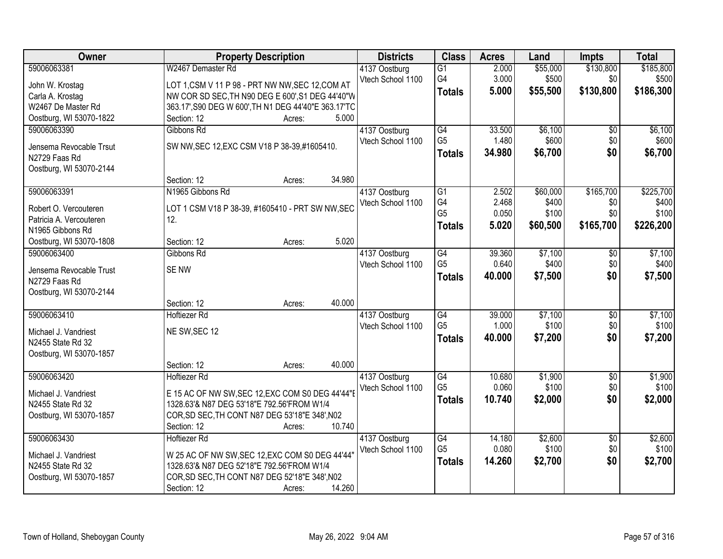| Owner                                            | <b>Property Description</b>                             | <b>Districts</b>  | <b>Class</b>         | <b>Acres</b>    | Land             | Impts           | <b>Total</b>     |
|--------------------------------------------------|---------------------------------------------------------|-------------------|----------------------|-----------------|------------------|-----------------|------------------|
| 59006063381                                      | W2467 Demaster Rd                                       | 4137 Oostburg     | G1                   | 2.000           | \$55,000         | \$130,800       | \$185,800        |
| John W. Krostag                                  | LOT 1,CSM V 11 P 98 - PRT NW NW, SEC 12, COM AT         | Vtech School 1100 | G4                   | 3.000           | \$500            | \$0             | \$500            |
| Carla A. Krostag                                 | NW COR SD SEC, TH N90 DEG E 600', S1 DEG 44'40"W        |                   | <b>Totals</b>        | 5.000           | \$55,500         | \$130,800       | \$186,300        |
| W2467 De Master Rd                               | 363.17', S90 DEG W 600', TH N1 DEG 44'40"E 363.17'TC    |                   |                      |                 |                  |                 |                  |
| Oostburg, WI 53070-1822                          | 5.000<br>Section: 12<br>Acres:                          |                   |                      |                 |                  |                 |                  |
| 59006063390                                      | Gibbons Rd                                              | 4137 Oostburg     | G4                   | 33.500          | \$6,100          | $\overline{50}$ | \$6,100          |
|                                                  |                                                         | Vtech School 1100 | G <sub>5</sub>       | 1.480           | \$600            | \$0             | \$600            |
| Jensema Revocable Trsut                          | SW NW, SEC 12, EXC CSM V18 P 38-39, #1605410.           |                   |                      | 34.980          | \$6,700          | \$0             | \$6,700          |
| N2729 Faas Rd                                    |                                                         |                   | <b>Totals</b>        |                 |                  |                 |                  |
| Oostburg, WI 53070-2144                          |                                                         |                   |                      |                 |                  |                 |                  |
|                                                  | 34.980<br>Section: 12<br>Acres:                         |                   |                      |                 |                  |                 |                  |
| 59006063391                                      | N1965 Gibbons Rd                                        | 4137 Oostburg     | $\overline{G1}$      | 2.502           | \$60,000         | \$165,700       | \$225,700        |
|                                                  |                                                         | Vtech School 1100 | G4                   | 2.468           | \$400            | \$0             | \$400            |
| Robert O. Vercouteren<br>Patricia A. Vercouteren | LOT 1 CSM V18 P 38-39, #1605410 - PRT SW NW, SEC<br>12. |                   | G <sub>5</sub>       | 0.050           | \$100            | \$0             | \$100            |
| N1965 Gibbons Rd                                 |                                                         |                   | <b>Totals</b>        | 5.020           | \$60,500         | \$165,700       | \$226,200        |
|                                                  | 5.020<br>Section: 12                                    |                   |                      |                 |                  |                 |                  |
| Oostburg, WI 53070-1808<br>59006063400           | Acres:<br>Gibbons Rd                                    |                   |                      | 39.360          |                  |                 |                  |
|                                                  |                                                         | 4137 Oostburg     | G4<br>G <sub>5</sub> |                 | \$7,100          | \$0             | \$7,100<br>\$400 |
| Jensema Revocable Trust                          | <b>SENW</b>                                             | Vtech School 1100 |                      | 0.640           | \$400            | \$0             |                  |
| N2729 Faas Rd                                    |                                                         |                   | <b>Totals</b>        | 40.000          | \$7,500          | \$0             | \$7,500          |
| Oostburg, WI 53070-2144                          |                                                         |                   |                      |                 |                  |                 |                  |
|                                                  | 40.000<br>Section: 12<br>Acres:                         |                   |                      |                 |                  |                 |                  |
| 59006063410                                      | <b>Hoftiezer Rd</b>                                     | 4137 Oostburg     | G4                   | 39.000          | \$7,100          | $\overline{50}$ | \$7,100          |
|                                                  |                                                         | Vtech School 1100 | G <sub>5</sub>       | 1.000           | \$100            | \$0             | \$100            |
| Michael J. Vandriest                             | NE SW, SEC 12                                           |                   | <b>Totals</b>        | 40.000          | \$7,200          | \$0             | \$7,200          |
| N2455 State Rd 32                                |                                                         |                   |                      |                 |                  |                 |                  |
| Oostburg, WI 53070-1857                          | 40.000<br>Section: 12                                   |                   |                      |                 |                  |                 |                  |
|                                                  | Acres:                                                  |                   |                      |                 |                  |                 |                  |
| 59006063420                                      | Hoftiezer Rd                                            | 4137 Oostburg     | G4<br>G <sub>5</sub> | 10.680<br>0.060 | \$1,900<br>\$100 | $\sqrt{6}$      | \$1,900<br>\$100 |
| Michael J. Vandriest                             | E 15 AC OF NW SW, SEC 12, EXC COM S0 DEG 44'44"         | Vtech School 1100 |                      |                 |                  | \$0             |                  |
| N2455 State Rd 32                                | 1328.63'& N87 DEG 53'18"E 792.56'FROM W1/4              |                   | <b>Totals</b>        | 10.740          | \$2,000          | \$0             | \$2,000          |
| Oostburg, WI 53070-1857                          | COR, SD SEC, TH CONT N87 DEG 53'18"E 348', N02          |                   |                      |                 |                  |                 |                  |
|                                                  | 10.740<br>Section: 12<br>Acres:                         |                   |                      |                 |                  |                 |                  |
| 59006063430                                      | <b>Hoftiezer Rd</b>                                     | 4137 Oostburg     | G4                   | 14.180          | \$2,600          | $\overline{50}$ | \$2,600          |
|                                                  |                                                         | Vtech School 1100 | G <sub>5</sub>       | 0.080           | \$100            | \$0             | \$100            |
| Michael J. Vandriest                             | W 25 AC OF NW SW, SEC 12, EXC COM S0 DEG 44'44'         |                   | <b>Totals</b>        | 14.260          | \$2,700          | \$0             | \$2,700          |
| N2455 State Rd 32                                | 1328.63'& N87 DEG 52'18"E 792.56'FROM W1/4              |                   |                      |                 |                  |                 |                  |
| Oostburg, WI 53070-1857                          | COR, SD SEC, TH CONT N87 DEG 52'18"E 348', N02          |                   |                      |                 |                  |                 |                  |
|                                                  | 14.260<br>Section: 12<br>Acres:                         |                   |                      |                 |                  |                 |                  |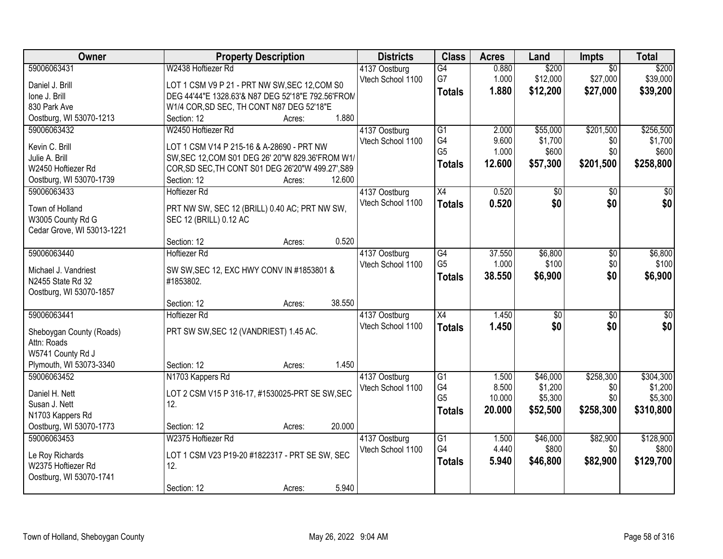| <b>Owner</b>                           | <b>Property Description</b>                                                | <b>Districts</b>                   | <b>Class</b>    | <b>Acres</b>   | Land                | Impts            | <b>Total</b>         |
|----------------------------------------|----------------------------------------------------------------------------|------------------------------------|-----------------|----------------|---------------------|------------------|----------------------|
| 59006063431                            | W2438 Hoftiezer Rd                                                         | 4137 Oostburg                      | G4              | 0.880          | \$200               | $\overline{50}$  | \$200                |
| Daniel J. Brill                        | LOT 1 CSM V9 P 21 - PRT NW SW, SEC 12, COM S0                              | Vtech School 1100                  | G7              | 1.000          | \$12,000            | \$27,000         | \$39,000             |
| Ione J. Brill                          | DEG 44'44"E 1328.63'& N87 DEG 52'18"E 792.56'FROM                          |                                    | <b>Totals</b>   | 1.880          | \$12,200            | \$27,000         | \$39,200             |
| 830 Park Ave                           | W1/4 COR, SD SEC, TH CONT N87 DEG 52'18"E                                  |                                    |                 |                |                     |                  |                      |
| Oostburg, WI 53070-1213                | 1.880<br>Section: 12<br>Acres:                                             |                                    |                 |                |                     |                  |                      |
| 59006063432                            | W2450 Hoftiezer Rd                                                         | 4137 Oostburg                      | $\overline{G1}$ | 2.000          | \$55,000            | \$201,500        | \$256,500            |
|                                        |                                                                            | Vtech School 1100                  | G4              | 9.600          | \$1,700             | \$0              | \$1,700              |
| Kevin C. Brill                         | LOT 1 CSM V14 P 215-16 & A-28690 - PRT NW                                  |                                    | G <sub>5</sub>  | 1.000          | \$600               | \$0              | \$600                |
| Julie A. Brill                         | SW, SEC 12, COM S01 DEG 26' 20"W 829.36'FROM W1/                           |                                    | <b>Totals</b>   | 12.600         | \$57,300            | \$201,500        | \$258,800            |
| W2450 Hoftiezer Rd                     | COR, SD SEC, TH CONT S01 DEG 26'20"W 499.27', S89<br>Section: 12<br>12.600 |                                    |                 |                |                     |                  |                      |
| Oostburg, WI 53070-1739<br>59006063433 | Acres:<br><b>Hoftiezer Rd</b>                                              |                                    | X4              | 0.520          |                     |                  | \$0                  |
|                                        |                                                                            | 4137 Oostburg<br>Vtech School 1100 |                 |                | \$0                 | \$0              |                      |
| Town of Holland                        | PRT NW SW, SEC 12 (BRILL) 0.40 AC; PRT NW SW,                              |                                    | <b>Totals</b>   | 0.520          | \$0                 | \$0              | \$0                  |
| W3005 County Rd G                      | SEC 12 (BRILL) 0.12 AC                                                     |                                    |                 |                |                     |                  |                      |
| Cedar Grove, WI 53013-1221             |                                                                            |                                    |                 |                |                     |                  |                      |
|                                        | 0.520<br>Section: 12<br>Acres:                                             |                                    |                 |                |                     |                  |                      |
| 59006063440                            | <b>Hoftiezer Rd</b>                                                        | 4137 Oostburg                      | G4              | 37.550         | \$6,800             | \$0              | \$6,800              |
| Michael J. Vandriest                   | SW SW, SEC 12, EXC HWY CONV IN #1853801 &                                  | Vtech School 1100                  | G <sub>5</sub>  | 1.000          | \$100               | \$0              | \$100                |
| N2455 State Rd 32                      | #1853802.                                                                  |                                    | <b>Totals</b>   | 38.550         | \$6,900             | \$0              | \$6,900              |
| Oostburg, WI 53070-1857                |                                                                            |                                    |                 |                |                     |                  |                      |
|                                        | 38.550<br>Section: 12<br>Acres:                                            |                                    |                 |                |                     |                  |                      |
| 59006063441                            | <b>Hoftiezer Rd</b>                                                        | 4137 Oostburg                      | $\overline{X4}$ | 1.450          | $\overline{50}$     | $\overline{50}$  | \$0                  |
|                                        |                                                                            | Vtech School 1100                  | <b>Totals</b>   | 1.450          | \$0                 | \$0              | \$0                  |
| Sheboygan County (Roads)               | PRT SW SW, SEC 12 (VANDRIEST) 1.45 AC.                                     |                                    |                 |                |                     |                  |                      |
| Attn: Roads                            |                                                                            |                                    |                 |                |                     |                  |                      |
| W5741 County Rd J                      |                                                                            |                                    |                 |                |                     |                  |                      |
| Plymouth, WI 53073-3340                | 1.450<br>Section: 12<br>Acres:                                             |                                    |                 |                |                     |                  |                      |
| 59006063452                            | N1703 Kappers Rd                                                           | 4137 Oostburg                      | G1<br>G4        | 1.500<br>8.500 | \$46,000<br>\$1,200 | \$258,300<br>\$0 | \$304,300<br>\$1,200 |
| Daniel H. Nett                         | LOT 2 CSM V15 P 316-17, #1530025-PRT SE SW, SEC                            | Vtech School 1100                  | G <sub>5</sub>  | 10.000         | \$5,300             | \$0              | \$5,300              |
| Susan J. Nett                          | 12.                                                                        |                                    |                 | 20.000         | \$52,500            | \$258,300        | \$310,800            |
| N1703 Kappers Rd                       |                                                                            |                                    | <b>Totals</b>   |                |                     |                  |                      |
| Oostburg, WI 53070-1773                | 20.000<br>Section: 12<br>Acres:                                            |                                    |                 |                |                     |                  |                      |
| 59006063453                            | W2375 Hoftiezer Rd                                                         | 4137 Oostburg                      | $\overline{G1}$ | 1.500          | \$46,000            | \$82,900         | \$128,900            |
| Le Roy Richards                        | LOT 1 CSM V23 P19-20 #1822317 - PRT SE SW, SEC                             | Vtech School 1100                  | G4              | 4.440          | \$800               | \$0              | \$800                |
| W2375 Hoftiezer Rd                     | 12.                                                                        |                                    | <b>Totals</b>   | 5.940          | \$46,800            | \$82,900         | \$129,700            |
| Oostburg, WI 53070-1741                |                                                                            |                                    |                 |                |                     |                  |                      |
|                                        | 5.940<br>Section: 12<br>Acres:                                             |                                    |                 |                |                     |                  |                      |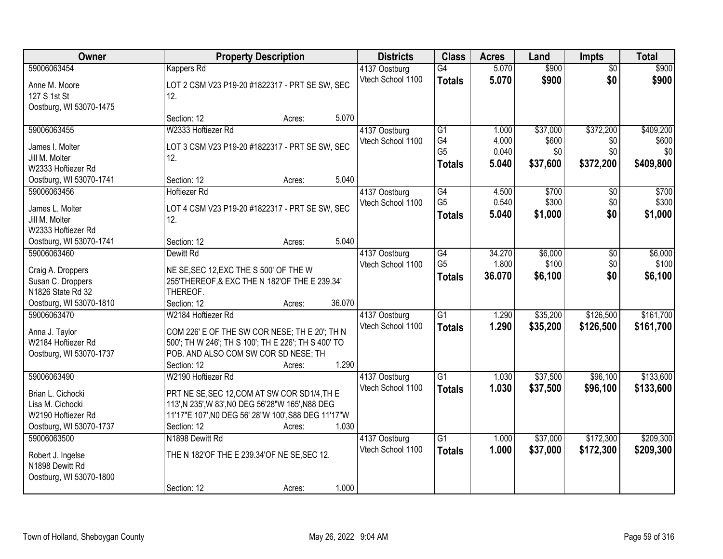| Owner                                  |                                                                                         | <b>Property Description</b> |        | <b>Districts</b>  | <b>Class</b>    | <b>Acres</b> | Land     | <b>Impts</b>    | <b>Total</b> |
|----------------------------------------|-----------------------------------------------------------------------------------------|-----------------------------|--------|-------------------|-----------------|--------------|----------|-----------------|--------------|
| 59006063454                            | Kappers Rd                                                                              |                             |        | 4137 Oostburg     | $\overline{G4}$ | 5.070        | \$900    | $\overline{50}$ | \$900        |
| Anne M. Moore                          | LOT 2 CSM V23 P19-20 #1822317 - PRT SE SW, SEC                                          |                             |        | Vtech School 1100 | <b>Totals</b>   | 5.070        | \$900    | \$0             | \$900        |
| 127 S 1st St                           | 12.                                                                                     |                             |        |                   |                 |              |          |                 |              |
| Oostburg, WI 53070-1475                |                                                                                         |                             |        |                   |                 |              |          |                 |              |
|                                        | Section: 12                                                                             | Acres:                      | 5.070  |                   |                 |              |          |                 |              |
| 59006063455                            | W2333 Hoftiezer Rd                                                                      |                             |        | 4137 Oostburg     | $\overline{G1}$ | 1.000        | \$37,000 | \$372,200       | \$409,200    |
| James I. Molter                        | LOT 3 CSM V23 P19-20 #1822317 - PRT SE SW, SEC                                          |                             |        | Vtech School 1100 | G4              | 4.000        | \$600    | \$0             | \$600        |
| Jill M. Molter                         | 12.                                                                                     |                             |        |                   | G <sub>5</sub>  | 0.040        | \$0      | \$0             | \$0          |
| W2333 Hoftiezer Rd                     |                                                                                         |                             |        |                   | <b>Totals</b>   | 5.040        | \$37,600 | \$372,200       | \$409,800    |
| Oostburg, WI 53070-1741                | Section: 12                                                                             | Acres:                      | 5.040  |                   |                 |              |          |                 |              |
| 59006063456                            | <b>Hoftiezer Rd</b>                                                                     |                             |        | 4137 Oostburg     | G4              | 4.500        | \$700    | \$0             | \$700        |
| James L. Molter                        | LOT 4 CSM V23 P19-20 #1822317 - PRT SE SW, SEC                                          |                             |        | Vtech School 1100 | G <sub>5</sub>  | 0.540        | \$300    | \$0             | \$300        |
| Jill M. Molter                         | 12.                                                                                     |                             |        |                   | <b>Totals</b>   | 5.040        | \$1,000  | \$0             | \$1,000      |
| W2333 Hoftiezer Rd                     |                                                                                         |                             |        |                   |                 |              |          |                 |              |
| Oostburg, WI 53070-1741                | Section: 12                                                                             | Acres:                      | 5.040  |                   |                 |              |          |                 |              |
| 59006063460                            | Dewitt Rd                                                                               |                             |        | 4137 Oostburg     | G4              | 34.270       | \$6,000  | \$0             | \$6,000      |
|                                        |                                                                                         |                             |        | Vtech School 1100 | G <sub>5</sub>  | 1.800        | \$100    | \$0             | \$100        |
| Craig A. Droppers<br>Susan C. Droppers | NE SE, SEC 12, EXC THE S 500' OF THE W<br>255'THEREOF, & EXC THE N 182'OF THE E 239.34' |                             |        |                   | <b>Totals</b>   | 36.070       | \$6,100  | \$0             | \$6,100      |
| N1826 State Rd 32                      | THEREOF.                                                                                |                             |        |                   |                 |              |          |                 |              |
| Oostburg, WI 53070-1810                | Section: 12                                                                             | Acres:                      | 36.070 |                   |                 |              |          |                 |              |
| 59006063470                            | W2184 Hoftiezer Rd                                                                      |                             |        | 4137 Oostburg     | $\overline{G1}$ | 1.290        | \$35,200 | \$126,500       | \$161,700    |
|                                        |                                                                                         |                             |        | Vtech School 1100 | <b>Totals</b>   | 1.290        | \$35,200 | \$126,500       | \$161,700    |
| Anna J. Taylor                         | COM 226' E OF THE SW COR NESE; TH E 20'; TH N                                           |                             |        |                   |                 |              |          |                 |              |
| W2184 Hoftiezer Rd                     | 500'; TH W 246'; TH S 100'; TH E 226'; TH S 400' TO                                     |                             |        |                   |                 |              |          |                 |              |
| Oostburg, WI 53070-1737                | POB. AND ALSO COM SW COR SD NESE; TH                                                    |                             |        |                   |                 |              |          |                 |              |
|                                        | Section: 12                                                                             | Acres:                      | 1.290  |                   |                 |              |          |                 |              |
| 59006063490                            | W2190 Hoftiezer Rd                                                                      |                             |        | 4137 Oostburg     | $\overline{G1}$ | 1.030        | \$37,500 | \$96,100        | \$133,600    |
| Brian L. Cichocki                      | PRT NE SE, SEC 12, COM AT SW COR SD1/4, TH E                                            |                             |        | Vtech School 1100 | <b>Totals</b>   | 1.030        | \$37,500 | \$96,100        | \$133,600    |
| Lisa M. Cichocki                       | 113', N 235', W 83', NO DEG 56'28"W 165', N88 DEG                                       |                             |        |                   |                 |              |          |                 |              |
| W2190 Hoftiezer Rd                     | 11'17"E 107', NO DEG 56' 28"W 100', S88 DEG 11'17"W                                     |                             |        |                   |                 |              |          |                 |              |
| Oostburg, WI 53070-1737                | Section: 12                                                                             | Acres:                      | 1.030  |                   |                 |              |          |                 |              |
| 59006063500                            | N1898 Dewitt Rd                                                                         |                             |        | 4137 Oostburg     | $\overline{G1}$ | 1.000        | \$37,000 | \$172,300       | \$209,300    |
| Robert J. Ingelse                      | THE N 182'OF THE E 239.34'OF NE SE, SEC 12.                                             |                             |        | Vtech School 1100 | <b>Totals</b>   | 1.000        | \$37,000 | \$172,300       | \$209,300    |
| N1898 Dewitt Rd                        |                                                                                         |                             |        |                   |                 |              |          |                 |              |
| Oostburg, WI 53070-1800                |                                                                                         |                             |        |                   |                 |              |          |                 |              |
|                                        | Section: 12                                                                             | Acres:                      | 1.000  |                   |                 |              |          |                 |              |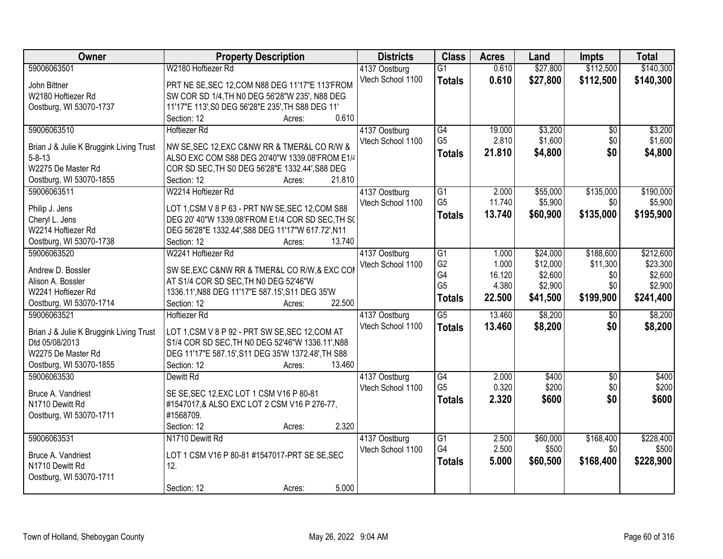| Owner                                   | <b>Property Description</b>                               | <b>Districts</b>                   | <b>Class</b>         | <b>Acres</b>    | Land     | Impts           | <b>Total</b> |
|-----------------------------------------|-----------------------------------------------------------|------------------------------------|----------------------|-----------------|----------|-----------------|--------------|
| 59006063501                             | W2180 Hoftiezer Rd                                        | 4137 Oostburg                      | $\overline{G1}$      | 0.610           | \$27,800 | \$112,500       | \$140,300    |
| John Bittner                            | PRT NE SE, SEC 12, COM N88 DEG 11'17"E 113'FROM           | Vtech School 1100                  | <b>Totals</b>        | 0.610           | \$27,800 | \$112,500       | \$140,300    |
| W2180 Hoftiezer Rd                      | SW COR SD 1/4, TH N0 DEG 56'28"W 235', N88 DEG            |                                    |                      |                 |          |                 |              |
| Oostburg, WI 53070-1737                 | 11'17"E 113', S0 DEG 56'28"E 235', TH S88 DEG 11'         |                                    |                      |                 |          |                 |              |
|                                         | 0.610<br>Section: 12<br>Acres:                            |                                    |                      |                 |          |                 |              |
| 59006063510                             | <b>Hoftiezer Rd</b>                                       | 4137 Oostburg                      | G4                   | 19.000          | \$3,200  | $\overline{30}$ | \$3,200      |
|                                         |                                                           | Vtech School 1100                  | G <sub>5</sub>       | 2.810           | \$1,600  | \$0             | \$1,600      |
| Brian J & Julie K Bruggink Living Trust | NW SE, SEC 12, EXC C&NW RR & TMER&L CO R/W &              |                                    | <b>Totals</b>        | 21.810          | \$4,800  | \$0             | \$4,800      |
| $5 - 8 - 13$                            | ALSO EXC COM S88 DEG 20'40"W 1339.08'FROM E1/4            |                                    |                      |                 |          |                 |              |
| W2275 De Master Rd                      | COR SD SEC, TH S0 DEG 56'28"E 1332.44', S88 DEG<br>21.810 |                                    |                      |                 |          |                 |              |
| Oostburg, WI 53070-1855                 | Section: 12<br>Acres:                                     |                                    |                      |                 |          |                 |              |
| 59006063511                             | W2214 Hoftiezer Rd                                        | 4137 Oostburg                      | G1<br>G <sub>5</sub> | 2.000<br>11.740 | \$55,000 | \$135,000       | \$190,000    |
| Philip J. Jens                          | LOT 1, CSM V 8 P 63 - PRT NW SE, SEC 12, COM S88          | Vtech School 1100                  |                      |                 | \$5,900  | \$0             | \$5,900      |
| Cheryl L. Jens                          | DEG 20' 40"W 1339.08'FROM E1/4 COR SD SEC, TH S(          |                                    | <b>Totals</b>        | 13.740          | \$60,900 | \$135,000       | \$195,900    |
| W2214 Hoftiezer Rd                      | DEG 56'28"E 1332.44', S88 DEG 11'17"W 617.72', N11        |                                    |                      |                 |          |                 |              |
| Oostburg, WI 53070-1738                 | Section: 12<br>13.740<br>Acres:                           |                                    |                      |                 |          |                 |              |
| 59006063520                             | W2241 Hoftiezer Rd                                        | 4137 Oostburg                      | G1                   | 1.000           | \$24,000 | \$188,600       | \$212,600    |
|                                         |                                                           | Vtech School 1100                  | G <sub>2</sub>       | 1.000           | \$12,000 | \$11,300        | \$23,300     |
| Andrew D. Bossler                       | SW SE, EXC C&NW RR & TMER&L CO R/W, & EXC COM             |                                    | G4                   | 16.120          | \$2,600  | \$0             | \$2,600      |
| Alison A. Bossler<br>W2241 Hoftiezer Rd | AT S1/4 COR SD SEC, TH N0 DEG 52'46"W                     |                                    | G <sub>5</sub>       | 4.380           | \$2,900  | \$0             | \$2,900      |
|                                         | 1336.11', N88 DEG 11'17"E 587.15', S11 DEG 35'W<br>22.500 |                                    | <b>Totals</b>        | 22.500          | \$41,500 | \$199,900       | \$241,400    |
| Oostburg, WI 53070-1714<br>59006063521  | Section: 12<br>Acres:                                     |                                    | $\overline{G5}$      | 13.460          | \$8,200  |                 | \$8,200      |
|                                         | <b>Hoftiezer Rd</b>                                       | 4137 Oostburg<br>Vtech School 1100 |                      |                 |          | \$0             |              |
| Brian J & Julie K Bruggink Living Trust | LOT 1, CSM V 8 P 92 - PRT SW SE, SEC 12, COM AT           |                                    | <b>Totals</b>        | 13.460          | \$8,200  | \$0             | \$8,200      |
| Dtd 05/08/2013                          | S1/4 COR SD SEC, TH N0 DEG 52'46"W 1336.11', N88          |                                    |                      |                 |          |                 |              |
| W2275 De Master Rd                      | DEG 11'17"E 587.15', S11 DEG 35'W 1372.48', TH S88        |                                    |                      |                 |          |                 |              |
| Oostburg, WI 53070-1855                 | 13.460<br>Section: 12<br>Acres:                           |                                    |                      |                 |          |                 |              |
| 59006063530                             | Dewitt Rd                                                 | 4137 Oostburg                      | G4                   | 2.000           | \$400    | $\sqrt{6}$      | \$400        |
| Bruce A. Vandriest                      | SE SE, SEC 12, EXC LOT 1 CSM V16 P 80-81                  | Vtech School 1100                  | G <sub>5</sub>       | 0.320           | \$200    | \$0             | \$200        |
| N1710 Dewitt Rd                         | #1547017,& ALSO EXC LOT 2 CSM V16 P 276-77,               |                                    | <b>Totals</b>        | 2.320           | \$600    | \$0             | \$600        |
| Oostburg, WI 53070-1711                 | #1568709.                                                 |                                    |                      |                 |          |                 |              |
|                                         | 2.320<br>Section: 12<br>Acres:                            |                                    |                      |                 |          |                 |              |
| 59006063531                             | N1710 Dewitt Rd                                           | 4137 Oostburg                      | G1                   | 2.500           | \$60,000 | \$168,400       | \$228,400    |
|                                         |                                                           | Vtech School 1100                  | G4                   | 2.500           | \$500    | \$0             | \$500        |
| Bruce A. Vandriest                      | LOT 1 CSM V16 P 80-81 #1547017-PRT SE SE, SEC             |                                    |                      | 5.000           |          | \$168,400       | \$228,900    |
| N1710 Dewitt Rd                         | 12.                                                       |                                    | <b>Totals</b>        |                 | \$60,500 |                 |              |
| Oostburg, WI 53070-1711                 |                                                           |                                    |                      |                 |          |                 |              |
|                                         | 5.000<br>Section: 12<br>Acres:                            |                                    |                      |                 |          |                 |              |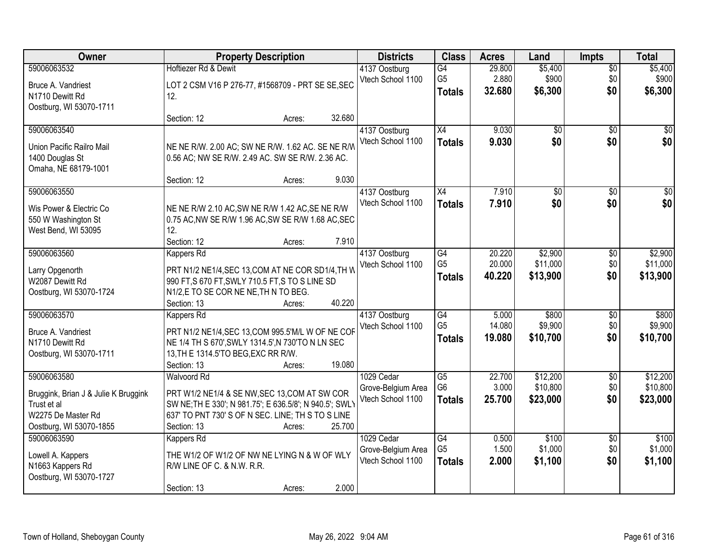| Owner                                                                                                               | <b>Property Description</b>                                                                                                                                                                                            | <b>Districts</b>                                      | <b>Class</b>                                       | <b>Acres</b>               | Land                             | <b>Impts</b>                  | <b>Total</b>                     |
|---------------------------------------------------------------------------------------------------------------------|------------------------------------------------------------------------------------------------------------------------------------------------------------------------------------------------------------------------|-------------------------------------------------------|----------------------------------------------------|----------------------------|----------------------------------|-------------------------------|----------------------------------|
| 59006063532<br>Bruce A. Vandriest<br>N1710 Dewitt Rd<br>Oostburg, WI 53070-1711                                     | Hoftiezer Rd & Dewit<br>LOT 2 CSM V16 P 276-77, #1568709 - PRT SE SE, SEC<br>12.                                                                                                                                       | 4137 Oostburg<br>Vtech School 1100                    | G4<br>G <sub>5</sub><br><b>Totals</b>              | 29.800<br>2.880<br>32.680  | \$5,400<br>\$900<br>\$6,300      | $\sqrt{$0}$<br>\$0<br>\$0     | \$5,400<br>\$900<br>\$6,300      |
| 59006063540<br>Union Pacific Railro Mail<br>1400 Douglas St<br>Omaha, NE 68179-1001                                 | 32.680<br>Section: 12<br>Acres:<br>NE NE R/W. 2.00 AC; SW NE R/W. 1.62 AC. SE NE R/W<br>0.56 AC; NW SE R/W. 2.49 AC. SW SE R/W. 2.36 AC.<br>9.030<br>Section: 12<br>Acres:                                             | 4137 Oostburg<br>Vtech School 1100                    | X4<br><b>Totals</b>                                | 9.030<br>9.030             | $\overline{50}$<br>\$0           | $\overline{50}$<br>\$0        | $\overline{30}$<br>\$0           |
| 59006063550<br>Wis Power & Electric Co<br>550 W Washington St<br>West Bend, WI 53095                                | NE NE R/W 2.10 AC, SW NE R/W 1.42 AC, SE NE R/W<br>0.75 AC, NW SE R/W 1.96 AC, SW SE R/W 1.68 AC, SEC<br>12.<br>Section: 12<br>7.910<br>Acres:                                                                         | 4137 Oostburg<br>Vtech School 1100                    | X4<br><b>Totals</b>                                | 7.910<br>7.910             | \$0<br>\$0                       | \$0<br>\$0                    | $\overline{50}$<br>\$0           |
| 59006063560<br>Larry Opgenorth<br>W2087 Dewitt Rd<br>Oostburg, WI 53070-1724                                        | Kappers Rd<br>PRT N1/2 NE1/4, SEC 13, COM AT NE COR SD1/4, TH W<br>990 FT, S 670 FT, SWLY 710.5 FT, S TO S LINE SD<br>N1/2,E TO SE COR NE NE, TH N TO BEG.<br>40.220<br>Section: 13<br>Acres:                          | 4137 Oostburg<br>Vtech School 1100                    | G4<br>G <sub>5</sub><br><b>Totals</b>              | 20.220<br>20.000<br>40.220 | \$2,900<br>\$11,000<br>\$13,900  | $\sqrt[6]{3}$<br>\$0<br>\$0   | \$2,900<br>\$11,000<br>\$13,900  |
| 59006063570<br>Bruce A. Vandriest<br>N1710 Dewitt Rd<br>Oostburg, WI 53070-1711                                     | <b>Kappers Rd</b><br>PRT N1/2 NE1/4, SEC 13, COM 995.5'M/L W OF NE COF<br>NE 1/4 TH S 670', SWLY 1314.5', N 730'TO N LN SEC<br>13, TH E 1314.5'TO BEG, EXC RR R/W.<br>19.080<br>Section: 13<br>Acres:                  | 4137 Oostburg<br>Vtech School 1100                    | $\overline{G4}$<br>G <sub>5</sub><br><b>Totals</b> | 5.000<br>14.080<br>19.080  | \$800<br>\$9,900<br>\$10,700     | $\overline{50}$<br>\$0<br>\$0 | \$800<br>\$9,900<br>\$10,700     |
| 59006063580<br>Bruggink, Brian J & Julie K Bruggink<br>Trust et al<br>W2275 De Master Rd<br>Oostburg, WI 53070-1855 | <b>Walvoord Rd</b><br>PRT W1/2 NE1/4 & SE NW, SEC 13, COM AT SW COR<br>SW NE; TH E 330'; N 981.75'; E 636.5/8'; N 940.5'; SWL)<br>637' TO PNT 730' S OF N SEC. LINE; TH S TO S LINE<br>25.700<br>Section: 13<br>Acres: | 1029 Cedar<br>Grove-Belgium Area<br>Vtech School 1100 | G5<br>G6<br><b>Totals</b>                          | 22.700<br>3.000<br>25.700  | \$12,200<br>\$10,800<br>\$23,000 | $\overline{50}$<br>\$0<br>\$0 | \$12,200<br>\$10,800<br>\$23,000 |
| 59006063590<br>Lowell A. Kappers<br>N1663 Kappers Rd<br>Oostburg, WI 53070-1727                                     | Kappers Rd<br>THE W1/2 OF W1/2 OF NW NE LYING N & W OF WLY<br>R/W LINE OF C. & N.W. R.R.<br>2.000<br>Section: 13<br>Acres:                                                                                             | 1029 Cedar<br>Grove-Belgium Area<br>Vtech School 1100 | $\overline{G4}$<br>G <sub>5</sub><br><b>Totals</b> | 0.500<br>1.500<br>2.000    | \$100<br>\$1,000<br>\$1,100      | $\overline{50}$<br>\$0<br>\$0 | \$100<br>\$1,000<br>\$1,100      |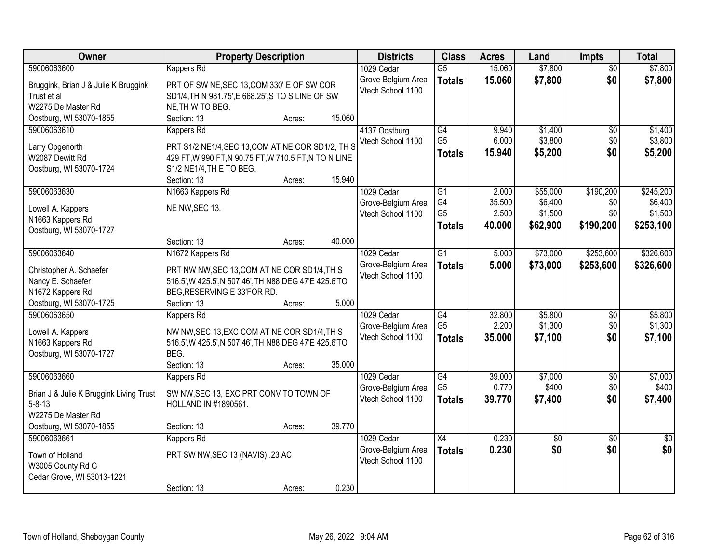| Owner                                   | <b>Property Description</b>                                                                           |        |        | <b>Districts</b>   | <b>Class</b>         | <b>Acres</b>    | Land            | <b>Impts</b>    | <b>Total</b>       |
|-----------------------------------------|-------------------------------------------------------------------------------------------------------|--------|--------|--------------------|----------------------|-----------------|-----------------|-----------------|--------------------|
| 59006063600                             | <b>Kappers Rd</b>                                                                                     |        |        | 1029 Cedar         | $\overline{G5}$      | 15.060          | \$7,800         | $\overline{50}$ | \$7,800            |
| Bruggink, Brian J & Julie K Bruggink    | PRT OF SW NE, SEC 13, COM 330' E OF SW COR                                                            |        |        | Grove-Belgium Area | <b>Totals</b>        | 15.060          | \$7,800         | \$0             | \$7,800            |
| Trust et al                             | SD1/4, TH N 981.75', E 668.25', S TO S LINE OF SW                                                     |        |        | Vtech School 1100  |                      |                 |                 |                 |                    |
| W2275 De Master Rd                      | NE, TH W TO BEG.                                                                                      |        |        |                    |                      |                 |                 |                 |                    |
| Oostburg, WI 53070-1855                 | Section: 13                                                                                           | Acres: | 15.060 |                    |                      |                 |                 |                 |                    |
| 59006063610                             | Kappers Rd                                                                                            |        |        | 4137 Oostburg      | $\overline{G4}$      | 9.940           | \$1,400         | $\overline{50}$ | \$1,400            |
|                                         |                                                                                                       |        |        | Vtech School 1100  | G <sub>5</sub>       | 6.000           | \$3,800         | \$0             | \$3,800            |
| Larry Opgenorth                         | PRT S1/2 NE1/4, SEC 13, COM AT NE COR SD1/2, TH S                                                     |        |        |                    | <b>Totals</b>        | 15.940          | \$5,200         | \$0             | \$5,200            |
| W2087 Dewitt Rd                         | 429 FT, W 990 FT, N 90.75 FT, W 710.5 FT, N TO N LINE                                                 |        |        |                    |                      |                 |                 |                 |                    |
| Oostburg, WI 53070-1724                 | S1/2 NE1/4, TH E TO BEG.                                                                              |        |        |                    |                      |                 |                 |                 |                    |
|                                         | Section: 13                                                                                           | Acres: | 15.940 |                    |                      |                 |                 |                 |                    |
| 59006063630                             | N1663 Kappers Rd                                                                                      |        |        | 1029 Cedar         | G1                   | 2.000           | \$55,000        | \$190,200       | \$245,200          |
| Lowell A. Kappers                       | NE NW, SEC 13.                                                                                        |        |        | Grove-Belgium Area | G4<br>G <sub>5</sub> | 35.500<br>2.500 | \$6,400         | \$0<br>\$0      | \$6,400<br>\$1,500 |
| N1663 Kappers Rd                        |                                                                                                       |        |        | Vtech School 1100  |                      |                 | \$1,500         |                 |                    |
| Oostburg, WI 53070-1727                 |                                                                                                       |        |        |                    | <b>Totals</b>        | 40.000          | \$62,900        | \$190,200       | \$253,100          |
|                                         | Section: 13                                                                                           | Acres: | 40.000 |                    |                      |                 |                 |                 |                    |
| 59006063640                             | N1672 Kappers Rd                                                                                      |        |        | 1029 Cedar         | G <sub>1</sub>       | 5.000           | \$73,000        | \$253,600       | \$326,600          |
| Christopher A. Schaefer                 |                                                                                                       |        |        | Grove-Belgium Area | <b>Totals</b>        | 5.000           | \$73,000        | \$253,600       | \$326,600          |
| Nancy E. Schaefer                       | PRT NW NW, SEC 13, COM AT NE COR SD1/4, TH S<br>516.5', W 425.5', N 507.46', TH N88 DEG 47'E 425.6'TO |        |        | Vtech School 1100  |                      |                 |                 |                 |                    |
| N1672 Kappers Rd                        | BEG, RESERVING E 33'FOR RD.                                                                           |        |        |                    |                      |                 |                 |                 |                    |
| Oostburg, WI 53070-1725                 | Section: 13                                                                                           | Acres: | 5.000  |                    |                      |                 |                 |                 |                    |
| 59006063650                             | <b>Kappers Rd</b>                                                                                     |        |        | 1029 Cedar         | $\overline{G4}$      | 32.800          | \$5,800         | $\overline{50}$ | \$5,800            |
|                                         |                                                                                                       |        |        | Grove-Belgium Area | G <sub>5</sub>       | 2.200           | \$1,300         | \$0             | \$1,300            |
| Lowell A. Kappers                       | NW NW, SEC 13, EXC COM AT NE COR SD1/4, TH S                                                          |        |        | Vtech School 1100  | <b>Totals</b>        | 35.000          | \$7,100         | \$0             | \$7,100            |
| N1663 Kappers Rd                        | 516.5', W 425.5', N 507.46', TH N88 DEG 47'E 425.6'TO                                                 |        |        |                    |                      |                 |                 |                 |                    |
| Oostburg, WI 53070-1727                 | BEG.                                                                                                  |        |        |                    |                      |                 |                 |                 |                    |
|                                         | Section: 13                                                                                           | Acres: | 35.000 |                    |                      |                 |                 |                 |                    |
| 59006063660                             | Kappers Rd                                                                                            |        |        | 1029 Cedar         | $\overline{G4}$      | 39.000          | \$7,000         | $\overline{50}$ | \$7,000            |
| Brian J & Julie K Bruggink Living Trust | SW NW, SEC 13, EXC PRT CONV TO TOWN OF                                                                |        |        | Grove-Belgium Area | G <sub>5</sub>       | 0.770           | \$400           | \$0             | \$400              |
| $5 - 8 - 13$                            | HOLLAND IN #1890561.                                                                                  |        |        | Vtech School 1100  | <b>Totals</b>        | 39.770          | \$7,400         | \$0             | \$7,400            |
| W2275 De Master Rd                      |                                                                                                       |        |        |                    |                      |                 |                 |                 |                    |
| Oostburg, WI 53070-1855                 | Section: 13                                                                                           | Acres: | 39.770 |                    |                      |                 |                 |                 |                    |
| 59006063661                             | Kappers Rd                                                                                            |        |        | 1029 Cedar         | $\overline{X4}$      | 0.230           | $\overline{50}$ | $\overline{50}$ | $\overline{50}$    |
|                                         |                                                                                                       |        |        | Grove-Belgium Area | <b>Totals</b>        | 0.230           | \$0             | \$0             | \$0                |
| Town of Holland                         | PRT SW NW, SEC 13 (NAVIS) .23 AC                                                                      |        |        | Vtech School 1100  |                      |                 |                 |                 |                    |
| W3005 County Rd G                       |                                                                                                       |        |        |                    |                      |                 |                 |                 |                    |
| Cedar Grove, WI 53013-1221              | Section: 13                                                                                           |        | 0.230  |                    |                      |                 |                 |                 |                    |
|                                         |                                                                                                       | Acres: |        |                    |                      |                 |                 |                 |                    |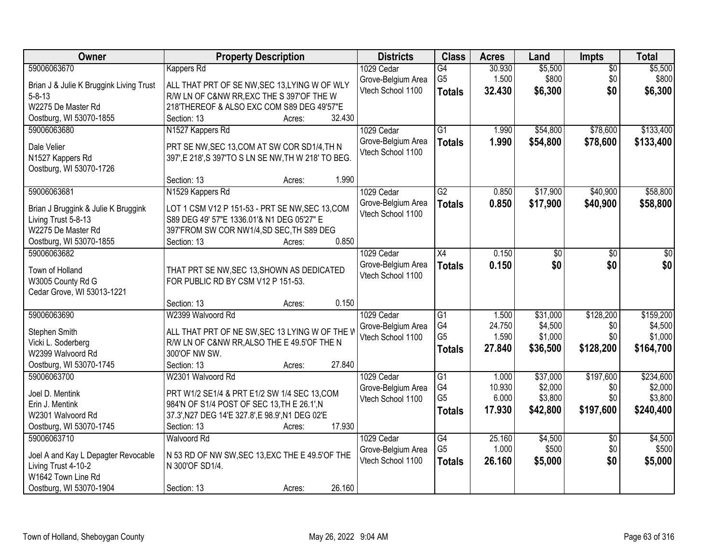| Owner                                     | <b>Property Description</b>                          | <b>Districts</b>   | <b>Class</b>    | <b>Acres</b> | Land     | <b>Impts</b>    | <b>Total</b> |
|-------------------------------------------|------------------------------------------------------|--------------------|-----------------|--------------|----------|-----------------|--------------|
| 59006063670                               | Kappers Rd                                           | 1029 Cedar         | $\overline{G4}$ | 30.930       | \$5,500  | $\overline{50}$ | \$5,500      |
| Brian J & Julie K Bruggink Living Trust   | ALL THAT PRT OF SE NW, SEC 13, LYING W OF WLY        | Grove-Belgium Area | G <sub>5</sub>  | 1.500        | \$800    | \$0             | \$800        |
| $5 - 8 - 13$                              | R/W LN OF C&NW RR, EXC THE S 397'OF THE W            | Vtech School 1100  | <b>Totals</b>   | 32.430       | \$6,300  | \$0             | \$6,300      |
| W2275 De Master Rd                        | 218'THEREOF & ALSO EXC COM S89 DEG 49'57"E           |                    |                 |              |          |                 |              |
| Oostburg, WI 53070-1855                   | 32.430<br>Section: 13<br>Acres:                      |                    |                 |              |          |                 |              |
| 59006063680                               | N1527 Kappers Rd                                     | 1029 Cedar         | $\overline{G1}$ | 1.990        | \$54,800 | \$78,600        | \$133,400    |
| Dale Velier                               | PRT SE NW, SEC 13, COM AT SW COR SD1/4, TH N         | Grove-Belgium Area | <b>Totals</b>   | 1.990        | \$54,800 | \$78,600        | \$133,400    |
| N1527 Kappers Rd                          | 397', E 218', S 397'TO S LN SE NW, TH W 218' TO BEG. | Vtech School 1100  |                 |              |          |                 |              |
| Oostburg, WI 53070-1726                   |                                                      |                    |                 |              |          |                 |              |
|                                           | 1.990<br>Section: 13<br>Acres:                       |                    |                 |              |          |                 |              |
| 59006063681                               | N1529 Kappers Rd                                     | 1029 Cedar         | G2              | 0.850        | \$17,900 | \$40,900        | \$58,800     |
| Brian J Bruggink & Julie K Bruggink       | LOT 1 CSM V12 P 151-53 - PRT SE NW, SEC 13, COM      | Grove-Belgium Area | <b>Totals</b>   | 0.850        | \$17,900 | \$40,900        | \$58,800     |
| Living Trust 5-8-13                       | S89 DEG 49' 57"E 1336.01'& N1 DEG 05'27" E           | Vtech School 1100  |                 |              |          |                 |              |
| W2275 De Master Rd                        | 397'FROM SW COR NW1/4,SD SEC, TH S89 DEG             |                    |                 |              |          |                 |              |
| Oostburg, WI 53070-1855                   | 0.850<br>Section: 13<br>Acres:                       |                    |                 |              |          |                 |              |
| 59006063682                               |                                                      | 1029 Cedar         | X4              | 0.150        | \$0      | \$0             | \$0          |
| Town of Holland                           | THAT PRT SE NW, SEC 13, SHOWN AS DEDICATED           | Grove-Belgium Area | <b>Totals</b>   | 0.150        | \$0      | \$0             | \$0          |
| W3005 County Rd G                         | FOR PUBLIC RD BY CSM V12 P 151-53.                   | Vtech School 1100  |                 |              |          |                 |              |
| Cedar Grove, WI 53013-1221                |                                                      |                    |                 |              |          |                 |              |
|                                           | 0.150<br>Section: 13<br>Acres:                       |                    |                 |              |          |                 |              |
| 59006063690                               | W2399 Walvoord Rd                                    | 1029 Cedar         | $\overline{G1}$ | 1.500        | \$31,000 | \$128,200       | \$159,200    |
|                                           | ALL THAT PRT OF NE SW, SEC 13 LYING W OF THE V       | Grove-Belgium Area | G4              | 24.750       | \$4,500  | \$0             | \$4,500      |
| Stephen Smith<br>Vicki L. Soderberg       | R/W LN OF C&NW RR, ALSO THE E 49.5'OF THE N          | Vtech School 1100  | G <sub>5</sub>  | 1.590        | \$1,000  | \$0             | \$1,000      |
| W2399 Walvoord Rd                         | 300'OF NW SW.                                        |                    | <b>Totals</b>   | 27.840       | \$36,500 | \$128,200       | \$164,700    |
| Oostburg, WI 53070-1745                   | 27.840<br>Section: 13<br>Acres:                      |                    |                 |              |          |                 |              |
| 59006063700                               | W2301 Walvoord Rd                                    | 1029 Cedar         | $\overline{G1}$ | 1.000        | \$37,000 | \$197,600       | \$234,600    |
| Joel D. Mentink                           | PRT W1/2 SE1/4 & PRT E1/2 SW 1/4 SEC 13, COM         | Grove-Belgium Area | G4              | 10.930       | \$2,000  | \$0             | \$2,000      |
| Erin J. Mentink                           | 984'N OF S1/4 POST OF SEC 13, TH E 26.1', N          | Vtech School 1100  | G <sub>5</sub>  | 6.000        | \$3,800  | \$0             | \$3,800      |
| W2301 Walvoord Rd                         | 37.3', N27 DEG 14'E 327.8', E 98.9', N1 DEG 02'E     |                    | <b>Totals</b>   | 17.930       | \$42,800 | \$197,600       | \$240,400    |
| Oostburg, WI 53070-1745                   | 17.930<br>Section: 13<br>Acres:                      |                    |                 |              |          |                 |              |
| 59006063710                               | <b>Walvoord Rd</b>                                   | 1029 Cedar         | G4              | 25.160       | \$4,500  | $\overline{50}$ | \$4,500      |
|                                           |                                                      | Grove-Belgium Area | G <sub>5</sub>  | 1.000        | \$500    | \$0             | \$500        |
| Joel A and Kay L Depagter Revocable       | N 53 RD OF NW SW, SEC 13, EXC THE E 49.5' OF THE     | Vtech School 1100  | <b>Totals</b>   | 26.160       | \$5,000  | \$0             | \$5,000      |
| Living Trust 4-10-2<br>W1642 Town Line Rd | N 300'OF SD1/4.                                      |                    |                 |              |          |                 |              |
| Oostburg, WI 53070-1904                   | 26.160<br>Section: 13<br>Acres:                      |                    |                 |              |          |                 |              |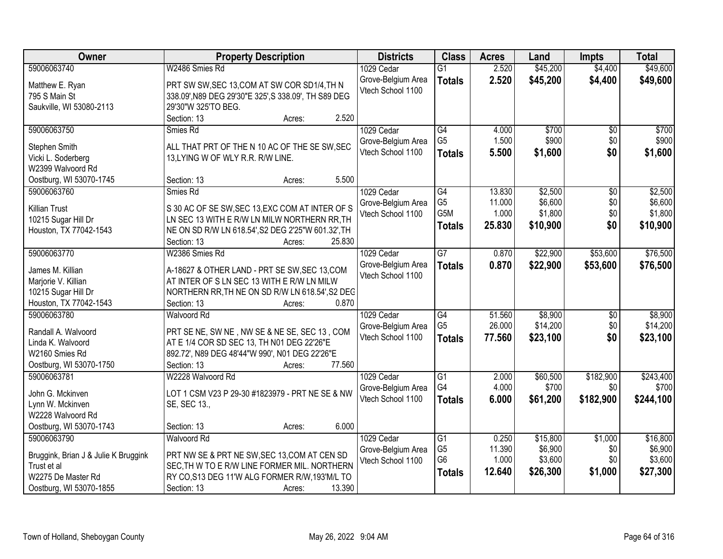| Owner                                                                                                               | <b>Property Description</b>                                                                                                                                                                             | <b>Districts</b>                                      | <b>Class</b>                                                         | <b>Acres</b>                        | Land                                       | <b>Impts</b>                         | <b>Total</b>                               |
|---------------------------------------------------------------------------------------------------------------------|---------------------------------------------------------------------------------------------------------------------------------------------------------------------------------------------------------|-------------------------------------------------------|----------------------------------------------------------------------|-------------------------------------|--------------------------------------------|--------------------------------------|--------------------------------------------|
| 59006063740                                                                                                         | W2486 Smies Rd                                                                                                                                                                                          | 1029 Cedar                                            | $\overline{G1}$                                                      | 2.520                               | \$45,200                                   | \$4,400                              | \$49,600                                   |
| Matthew E. Ryan<br>795 S Main St<br>Saukville, WI 53080-2113                                                        | PRT SW SW, SEC 13, COM AT SW COR SD1/4, TH N<br>338.09', N89 DEG 29'30"E 325', S 338.09', TH S89 DEG<br>29'30"W 325'TO BEG.                                                                             | Grove-Belgium Area<br>Vtech School 1100               | <b>Totals</b>                                                        | 2.520                               | \$45,200                                   | \$4,400                              | \$49,600                                   |
|                                                                                                                     | 2.520<br>Section: 13<br>Acres:                                                                                                                                                                          |                                                       |                                                                      |                                     |                                            |                                      |                                            |
| 59006063750<br>Stephen Smith<br>Vicki L. Soderberg<br>W2399 Walvoord Rd                                             | Smies Rd<br>ALL THAT PRT OF THE N 10 AC OF THE SE SW, SEC<br>13, LYING W OF WLY R.R. R/W LINE.                                                                                                          | 1029 Cedar<br>Grove-Belgium Area<br>Vtech School 1100 | G4<br>G <sub>5</sub><br><b>Totals</b>                                | 4.000<br>1.500<br>5.500             | \$700<br>\$900<br>\$1,600                  | \$0<br>\$0<br>\$0                    | \$700<br>\$900<br>\$1,600                  |
| Oostburg, WI 53070-1745                                                                                             | 5.500<br>Section: 13<br>Acres:                                                                                                                                                                          |                                                       |                                                                      |                                     |                                            |                                      |                                            |
| 59006063760<br><b>Killian Trust</b><br>10215 Sugar Hill Dr<br>Houston, TX 77042-1543                                | Smies Rd<br>S 30 AC OF SE SW, SEC 13, EXC COM AT INTER OF S<br>LN SEC 13 WITH E R/W LN MILW NORTHERN RR, TH<br>NE ON SD R/W LN 618.54', S2 DEG 2'25"W 601.32', TH<br>Section: 13<br>25.830<br>Acres:    | 1029 Cedar<br>Grove-Belgium Area<br>Vtech School 1100 | $\overline{G4}$<br>G <sub>5</sub><br>G5M<br><b>Totals</b>            | 13.830<br>11.000<br>1.000<br>25.830 | \$2,500<br>\$6,600<br>\$1,800<br>\$10,900  | $\overline{50}$<br>\$0<br>\$0<br>\$0 | \$2,500<br>\$6,600<br>\$1,800<br>\$10,900  |
| 59006063770                                                                                                         | W2386 Smies Rd                                                                                                                                                                                          | 1029 Cedar                                            | $\overline{G}$                                                       | 0.870                               | \$22,900                                   | \$53,600                             | \$76,500                                   |
| James M. Killian<br>Marjorie V. Killian<br>10215 Sugar Hill Dr<br>Houston, TX 77042-1543                            | A-18627 & OTHER LAND - PRT SE SW, SEC 13, COM<br>AT INTER OF S LN SEC 13 WITH E R/W LN MILW<br>NORTHERN RR, TH NE ON SD R/W LN 618.54', S2 DEC<br>0.870<br>Section: 13<br>Acres:                        | Grove-Belgium Area<br>Vtech School 1100               | <b>Totals</b>                                                        | 0.870                               | \$22,900                                   | \$53,600                             | \$76,500                                   |
| 59006063780<br>Randall A. Walvoord<br>Linda K. Walvoord<br>W2160 Smies Rd<br>Oostburg, WI 53070-1750                | <b>Walvoord Rd</b><br>PRT SE NE, SW NE, NW SE & NE SE, SEC 13, COM<br>AT E 1/4 COR SD SEC 13, TH N01 DEG 22'26"E<br>892.72', N89 DEG 48'44"W 990', N01 DEG 22'26"E<br>77.560<br>Section: 13<br>Acres:   | 1029 Cedar<br>Grove-Belgium Area<br>Vtech School 1100 | G4<br>G <sub>5</sub><br><b>Totals</b>                                | 51.560<br>26.000<br>77.560          | \$8,900<br>\$14,200<br>\$23,100            | \$0<br>\$0<br>\$0                    | \$8,900<br>\$14,200<br>\$23,100            |
| 59006063781<br>John G. Mckinven<br>Lynn W. Mckinven<br>W2228 Walvoord Rd<br>Oostburg, WI 53070-1743                 | W2228 Walvoord Rd<br>LOT 1 CSM V23 P 29-30 #1823979 - PRT NE SE & NW<br>SE, SEC 13.,<br>6.000<br>Section: 13<br>Acres:                                                                                  | 1029 Cedar<br>Grove-Belgium Area<br>Vtech School 1100 | $\overline{G1}$<br>G4<br><b>Totals</b>                               | 2.000<br>4.000<br>6.000             | \$60,500<br>\$700<br>\$61,200              | \$182,900<br>\$0<br>\$182,900        | \$243,400<br>\$700<br>\$244,100            |
| 59006063790<br>Bruggink, Brian J & Julie K Bruggink<br>Trust et al<br>W2275 De Master Rd<br>Oostburg, WI 53070-1855 | <b>Walvoord Rd</b><br>PRT NW SE & PRT NE SW, SEC 13, COM AT CEN SD<br>SEC. TH W TO E R/W LINE FORMER MIL. NORTHERN<br>RY CO, S13 DEG 11'W ALG FORMER R/W, 193'M/L TO<br>13.390<br>Section: 13<br>Acres: | 1029 Cedar<br>Grove-Belgium Area<br>Vtech School 1100 | $\overline{G1}$<br>G <sub>5</sub><br>G <sub>6</sub><br><b>Totals</b> | 0.250<br>11.390<br>1.000<br>12.640  | \$15,800<br>\$6,900<br>\$3,600<br>\$26,300 | \$1,000<br>\$0<br>\$0<br>\$1,000     | \$16,800<br>\$6,900<br>\$3,600<br>\$27,300 |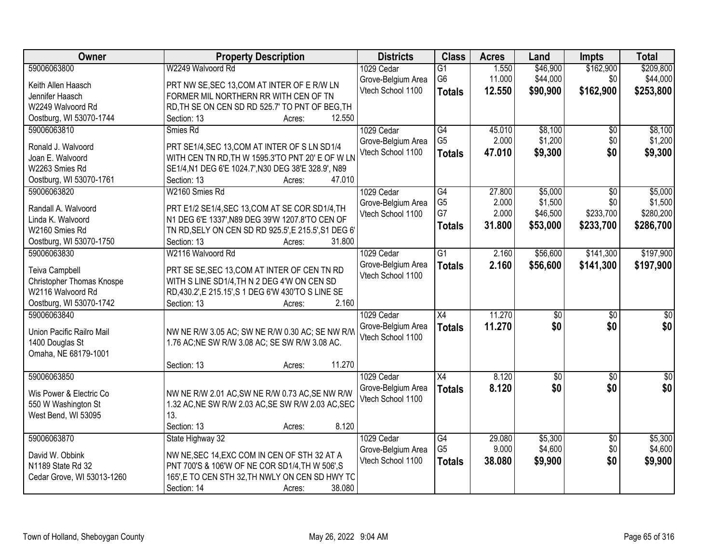| Owner                      | <b>Property Description</b>                          | <b>Districts</b>   | <b>Class</b>    | <b>Acres</b> | Land        | <b>Impts</b>    | <b>Total</b> |
|----------------------------|------------------------------------------------------|--------------------|-----------------|--------------|-------------|-----------------|--------------|
| 59006063800                | W2249 Walvoord Rd                                    | 1029 Cedar         | $\overline{G1}$ | 1.550        | \$46,900    | \$162,900       | \$209,800    |
| Keith Allen Haasch         | PRT NW SE, SEC 13, COM AT INTER OF E R/W LN          | Grove-Belgium Area | G6              | 11.000       | \$44,000    | \$0             | \$44,000     |
| Jennifer Haasch            | FORMER MIL NORTHERN RR WITH CEN OF TN                | Vtech School 1100  | <b>Totals</b>   | 12.550       | \$90,900    | \$162,900       | \$253,800    |
| W2249 Walvoord Rd          | RD, TH SE ON CEN SD RD 525.7' TO PNT OF BEG, TH      |                    |                 |              |             |                 |              |
| Oostburg, WI 53070-1744    | 12.550<br>Section: 13<br>Acres:                      |                    |                 |              |             |                 |              |
| 59006063810                | Smies Rd                                             | 1029 Cedar         | G4              | 45.010       | \$8,100     | $\overline{30}$ | \$8,100      |
|                            |                                                      | Grove-Belgium Area | G <sub>5</sub>  | 2.000        | \$1,200     | \$0             | \$1,200      |
| Ronald J. Walvoord         | PRT SE1/4, SEC 13, COM AT INTER OF S LN SD1/4        | Vtech School 1100  | <b>Totals</b>   | 47.010       | \$9,300     | \$0             | \$9,300      |
| Joan E. Walvoord           | WITH CEN TN RD, TH W 1595.3'TO PNT 20' E OF W LN     |                    |                 |              |             |                 |              |
| W2263 Smies Rd             | SE1/4, N1 DEG 6'E 1024.7', N30 DEG 38'E 328.9', N89  |                    |                 |              |             |                 |              |
| Oostburg, WI 53070-1761    | 47.010<br>Section: 13<br>Acres:                      |                    |                 |              |             |                 |              |
| 59006063820                | W2160 Smies Rd                                       | 1029 Cedar         | G4              | 27.800       | \$5,000     | \$0             | \$5,000      |
| Randall A. Walvoord        | PRT E1/2 SE1/4, SEC 13, COM AT SE COR SD1/4, TH      | Grove-Belgium Area | G <sub>5</sub>  | 2.000        | \$1,500     | \$0             | \$1,500      |
| Linda K. Walvoord          | N1 DEG 6'E 1337', N89 DEG 39'W 1207.8'TO CEN OF      | Vtech School 1100  | G7              | 2.000        | \$46,500    | \$233,700       | \$280,200    |
| W2160 Smies Rd             | TN RD, SELY ON CEN SD RD 925.5', E 215.5', S1 DEG 6' |                    | <b>Totals</b>   | 31.800       | \$53,000    | \$233,700       | \$286,700    |
| Oostburg, WI 53070-1750    | Section: 13<br>31.800<br>Acres:                      |                    |                 |              |             |                 |              |
| 59006063830                | W2116 Walvoord Rd                                    | 1029 Cedar         | $\overline{G1}$ | 2.160        | \$56,600    | \$141,300       | \$197,900    |
|                            |                                                      | Grove-Belgium Area | <b>Totals</b>   | 2.160        | \$56,600    | \$141,300       | \$197,900    |
| <b>Teiva Campbell</b>      | PRT SE SE, SEC 13, COM AT INTER OF CEN TN RD         | Vtech School 1100  |                 |              |             |                 |              |
| Christopher Thomas Knospe  | WITH S LINE SD1/4, TH N 2 DEG 4'W ON CEN SD          |                    |                 |              |             |                 |              |
| W2116 Walvoord Rd          | RD,430.2', E 215.15', S 1 DEG 6'W 430'TO S LINE SE   |                    |                 |              |             |                 |              |
| Oostburg, WI 53070-1742    | 2.160<br>Section: 13<br>Acres:                       |                    |                 |              |             |                 |              |
| 59006063840                |                                                      | 1029 Cedar         | $\overline{X4}$ | 11.270       | \$0         | $\overline{50}$ | \$0          |
| Union Pacific Railro Mail  | NW NE R/W 3.05 AC; SW NE R/W 0.30 AC; SE NW R/W      | Grove-Belgium Area | <b>Totals</b>   | 11.270       | \$0         | \$0             | \$0          |
| 1400 Douglas St            | 1.76 AC; NE SW R/W 3.08 AC; SE SW R/W 3.08 AC.       | Vtech School 1100  |                 |              |             |                 |              |
| Omaha, NE 68179-1001       |                                                      |                    |                 |              |             |                 |              |
|                            | 11.270<br>Section: 13<br>Acres:                      |                    |                 |              |             |                 |              |
| 59006063850                |                                                      | 1029 Cedar         | $\overline{X4}$ | 8.120        | $\sqrt{50}$ | $\overline{50}$ | $\sqrt{60}$  |
|                            |                                                      | Grove-Belgium Area | <b>Totals</b>   | 8.120        | \$0         | \$0             | \$0          |
| Wis Power & Electric Co    | NW NE R/W 2.01 AC, SW NE R/W 0.73 AC, SE NW R/W      | Vtech School 1100  |                 |              |             |                 |              |
| 550 W Washington St        | 1.32 AC, NE SW R/W 2.03 AC, SE SW R/W 2.03 AC, SEC   |                    |                 |              |             |                 |              |
| West Bend, WI 53095        | 13.                                                  |                    |                 |              |             |                 |              |
|                            | Section: 13<br>8.120<br>Acres:                       |                    |                 |              |             |                 |              |
| 59006063870                | State Highway 32                                     | 1029 Cedar         | G4              | 29.080       | \$5,300     | $\overline{30}$ | \$5,300      |
| David W. Obbink            | NW NE, SEC 14, EXC COM IN CEN OF STH 32 AT A         | Grove-Belgium Area | G <sub>5</sub>  | 9.000        | \$4,600     | \$0             | \$4,600      |
| N1189 State Rd 32          | PNT 700'S & 106'W OF NE COR SD1/4, TH W 506', S      | Vtech School 1100  | <b>Totals</b>   | 38.080       | \$9,900     | \$0             | \$9,900      |
| Cedar Grove, WI 53013-1260 | 165', E TO CEN STH 32, TH NWLY ON CEN SD HWY TC      |                    |                 |              |             |                 |              |
|                            | 38.080<br>Section: 14<br>Acres:                      |                    |                 |              |             |                 |              |
|                            |                                                      |                    |                 |              |             |                 |              |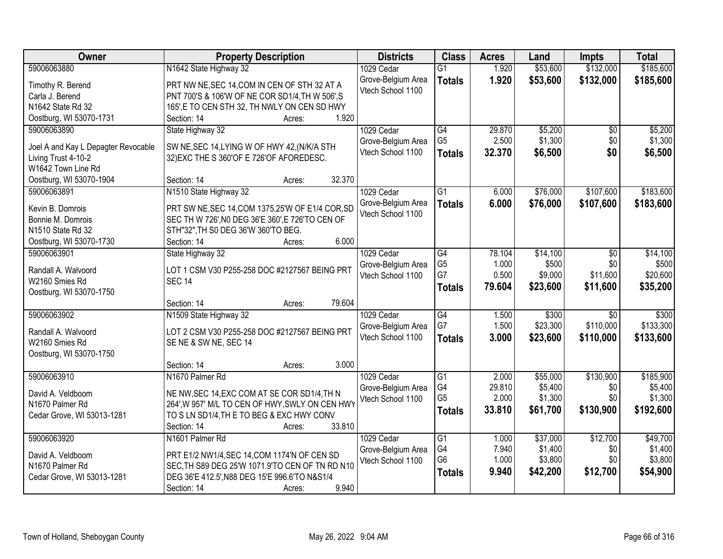| Owner                               | <b>Property Description</b>                      | <b>Districts</b>                        | <b>Class</b>    | <b>Acres</b> | Land     | Impts           | <b>Total</b> |
|-------------------------------------|--------------------------------------------------|-----------------------------------------|-----------------|--------------|----------|-----------------|--------------|
| 59006063880                         | N1642 State Highway 32                           | 1029 Cedar                              | $\overline{G1}$ | 1.920        | \$53,600 | \$132,000       | \$185,600    |
| Timothy R. Berend                   | PRT NW NE, SEC 14, COM IN CEN OF STH 32 AT A     | Grove-Belgium Area                      | <b>Totals</b>   | 1.920        | \$53,600 | \$132,000       | \$185,600    |
| Carla J. Berend                     | PNT 700'S & 106'W OF NE COR SD1/4, TH W 506', S  | Vtech School 1100                       |                 |              |          |                 |              |
| N1642 State Rd 32                   | 165', E TO CEN STH 32, TH NWLY ON CEN SD HWY     |                                         |                 |              |          |                 |              |
| Oostburg, WI 53070-1731             | 1.920<br>Section: 14<br>Acres:                   |                                         |                 |              |          |                 |              |
| 59006063890                         | State Highway 32                                 | 1029 Cedar                              | G4              | 29.870       | \$5,200  | \$0             | \$5,200      |
|                                     |                                                  | Grove-Belgium Area                      | G <sub>5</sub>  | 2.500        | \$1,300  | \$0             | \$1,300      |
| Joel A and Kay L Depagter Revocable | SW NE, SEC 14, LYING W OF HWY 42, (N/K/A STH     | Vtech School 1100                       | <b>Totals</b>   | 32.370       | \$6,500  | \$0             | \$6,500      |
| Living Trust 4-10-2                 | 32) EXC THE S 360' OF E 726' OF AFOREDESC.       |                                         |                 |              |          |                 |              |
| W1642 Town Line Rd                  | 32.370                                           |                                         |                 |              |          |                 |              |
| Oostburg, WI 53070-1904             | Section: 14<br>Acres:                            |                                         |                 |              |          |                 |              |
| 59006063891                         | N1510 State Highway 32                           | 1029 Cedar                              | $\overline{G1}$ | 6.000        | \$76,000 | \$107,600       | \$183,600    |
| Kevin B. Domrois                    | PRT SW NE, SEC 14, COM 1375.25'W OF E1/4 COR, SD | Grove-Belgium Area<br>Vtech School 1100 | <b>Totals</b>   | 6.000        | \$76,000 | \$107,600       | \$183,600    |
| Bonnie M. Domrois                   | SEC TH W 726', NO DEG 36'E 360', E 726'TO CEN OF |                                         |                 |              |          |                 |              |
| N1510 State Rd 32                   | STH"32", TH S0 DEG 36'W 360'TO BEG.              |                                         |                 |              |          |                 |              |
| Oostburg, WI 53070-1730             | Section: 14<br>6.000<br>Acres:                   |                                         |                 |              |          |                 |              |
| 59006063901                         | State Highway 32                                 | 1029 Cedar                              | G4              | 78.104       | \$14,100 | \$0             | \$14,100     |
| Randall A. Walvoord                 | LOT 1 CSM V30 P255-258 DOC #2127567 BEING PRT    | Grove-Belgium Area                      | G <sub>5</sub>  | 1.000        | \$500    | \$0             | \$500        |
| W2160 Smies Rd                      | <b>SEC 14</b>                                    | Vtech School 1100                       | G7              | 0.500        | \$9,000  | \$11,600        | \$20,600     |
| Oostburg, WI 53070-1750             |                                                  |                                         | <b>Totals</b>   | 79.604       | \$23,600 | \$11,600        | \$35,200     |
|                                     | 79.604<br>Section: 14<br>Acres:                  |                                         |                 |              |          |                 |              |
| 59006063902                         | N1509 State Highway 32                           | 1029 Cedar                              | G4              | 1.500        | \$300    | $\overline{30}$ | \$300        |
|                                     |                                                  | Grove-Belgium Area                      | G7              | 1.500        | \$23,300 | \$110,000       | \$133,300    |
| Randall A. Walvoord                 | LOT 2 CSM V30 P255-258 DOC #2127567 BEING PRT    | Vtech School 1100                       | <b>Totals</b>   | 3.000        | \$23,600 | \$110,000       | \$133,600    |
| W2160 Smies Rd                      | SE NE & SW NE, SEC 14                            |                                         |                 |              |          |                 |              |
| Oostburg, WI 53070-1750             |                                                  |                                         |                 |              |          |                 |              |
|                                     | 3.000<br>Section: 14<br>Acres:                   |                                         |                 |              |          |                 |              |
| 59006063910                         | N1670 Palmer Rd                                  | 1029 Cedar                              | $\overline{G1}$ | 2.000        | \$55,000 | \$130,900       | \$185,900    |
| David A. Veldboom                   | NE NW, SEC 14, EXC COM AT SE COR SD1/4, TH N     | Grove-Belgium Area                      | G4              | 29.810       | \$5,400  | \$0             | \$5,400      |
| N1670 Palmer Rd                     | 264', W 957' M/L TO CEN OF HWY, SWLY ON CEN HWY  | Vtech School 1100                       | G <sub>5</sub>  | 2.000        | \$1,300  | \$0             | \$1,300      |
| Cedar Grove, WI 53013-1281          | TO S LN SD1/4, TH E TO BEG & EXC HWY CONV        |                                         | <b>Totals</b>   | 33.810       | \$61,700 | \$130,900       | \$192,600    |
|                                     | 33.810<br>Section: 14<br>Acres:                  |                                         |                 |              |          |                 |              |
| 59006063920                         | N1601 Palmer Rd                                  | 1029 Cedar                              | G1              | 1.000        | \$37,000 | \$12,700        | \$49,700     |
|                                     |                                                  | Grove-Belgium Area                      | G4              | 7.940        | \$1,400  | \$0             | \$1,400      |
| David A. Veldboom                   | PRT E1/2 NW1/4, SEC 14, COM 1174'N OF CEN SD     | Vtech School 1100                       | G <sub>6</sub>  | 1.000        | \$3,800  | \$0             | \$3,800      |
| N1670 Palmer Rd                     | SEC, TH S89 DEG 25'W 1071.9'TO CEN OF TN RD N10  |                                         | <b>Totals</b>   | 9.940        | \$42,200 | \$12,700        | \$54,900     |
| Cedar Grove, WI 53013-1281          | DEG 36'E 412.5', N88 DEG 15'E 996.6'TO N&S1/4    |                                         |                 |              |          |                 |              |
|                                     | 9.940<br>Section: 14<br>Acres:                   |                                         |                 |              |          |                 |              |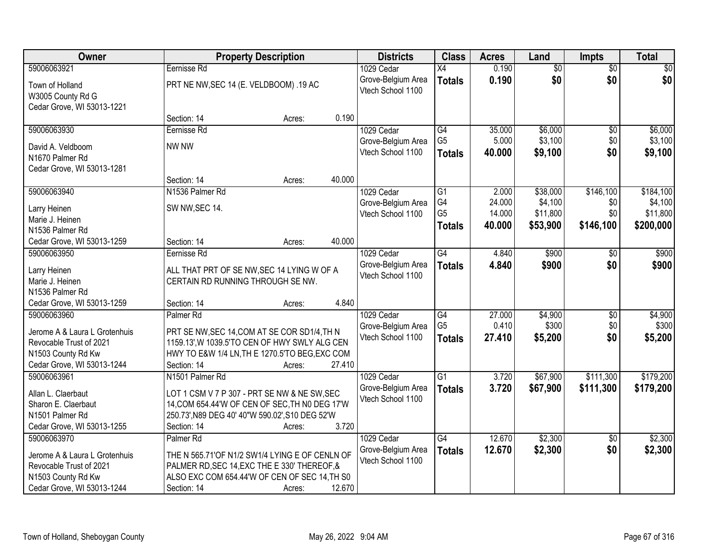| Owner                           | <b>Property Description</b>                     |        |        | <b>Districts</b>   | <b>Class</b>    | <b>Acres</b> | Land            | <b>Impts</b>    | <b>Total</b> |
|---------------------------------|-------------------------------------------------|--------|--------|--------------------|-----------------|--------------|-----------------|-----------------|--------------|
| 59006063921                     | Eernisse Rd                                     |        |        | 1029 Cedar         | $\overline{X4}$ | 0.190        | $\overline{50}$ | $\overline{50}$ | $\sqrt{50}$  |
| Town of Holland                 | PRT NE NW, SEC 14 (E. VELDBOOM). 19 AC          |        |        | Grove-Belgium Area | <b>Totals</b>   | 0.190        | \$0             | \$0             | \$0          |
| W3005 County Rd G               |                                                 |        |        | Vtech School 1100  |                 |              |                 |                 |              |
| Cedar Grove, WI 53013-1221      |                                                 |        |        |                    |                 |              |                 |                 |              |
|                                 | Section: 14                                     | Acres: | 0.190  |                    |                 |              |                 |                 |              |
| 59006063930                     | Eernisse Rd                                     |        |        | 1029 Cedar         | $\overline{G4}$ | 35.000       | \$6,000         | \$0             | \$6,000      |
| David A. Veldboom               | NW NW                                           |        |        | Grove-Belgium Area | G <sub>5</sub>  | 5.000        | \$3,100         | \$0             | \$3,100      |
| N1670 Palmer Rd                 |                                                 |        |        | Vtech School 1100  | <b>Totals</b>   | 40.000       | \$9,100         | \$0             | \$9,100      |
| Cedar Grove, WI 53013-1281      |                                                 |        |        |                    |                 |              |                 |                 |              |
|                                 | Section: 14                                     | Acres: | 40.000 |                    |                 |              |                 |                 |              |
| 59006063940                     | N1536 Palmer Rd                                 |        |        | 1029 Cedar         | $\overline{G1}$ | 2.000        | \$38,000        | \$146,100       | \$184,100    |
|                                 | SW NW, SEC 14.                                  |        |        | Grove-Belgium Area | G4              | 24.000       | \$4,100         | \$0             | \$4,100      |
| Larry Heinen<br>Marie J. Heinen |                                                 |        |        | Vtech School 1100  | G <sub>5</sub>  | 14.000       | \$11,800        | \$0             | \$11,800     |
| N1536 Palmer Rd                 |                                                 |        |        |                    | <b>Totals</b>   | 40.000       | \$53,900        | \$146,100       | \$200,000    |
| Cedar Grove, WI 53013-1259      | Section: 14                                     | Acres: | 40.000 |                    |                 |              |                 |                 |              |
| 59006063950                     | Eernisse Rd                                     |        |        | 1029 Cedar         | G4              | 4.840        | \$900           | \$0             | \$900        |
|                                 |                                                 |        |        | Grove-Belgium Area | <b>Totals</b>   | 4.840        | \$900           | \$0             | \$900        |
| Larry Heinen                    | ALL THAT PRT OF SE NW, SEC 14 LYING W OF A      |        |        | Vtech School 1100  |                 |              |                 |                 |              |
| Marie J. Heinen                 | CERTAIN RD RUNNING THROUGH SE NW.               |        |        |                    |                 |              |                 |                 |              |
| N1536 Palmer Rd                 |                                                 |        |        |                    |                 |              |                 |                 |              |
| Cedar Grove, WI 53013-1259      | Section: 14                                     | Acres: | 4.840  |                    |                 |              |                 |                 |              |
| 59006063960                     | Palmer <sub>Rd</sub>                            |        |        | 1029 Cedar         | $\overline{G4}$ | 27.000       | \$4,900         | $\overline{50}$ | \$4,900      |
| Jerome A & Laura L Grotenhuis   | PRT SE NW, SEC 14, COM AT SE COR SD1/4, TH N    |        |        | Grove-Belgium Area | G <sub>5</sub>  | 0.410        | \$300           | \$0             | \$300        |
| Revocable Trust of 2021         | 1159.13', W 1039.5'TO CEN OF HWY SWLY ALG CEN   |        |        | Vtech School 1100  | <b>Totals</b>   | 27.410       | \$5,200         | \$0             | \$5,200      |
| N1503 County Rd Kw              | HWY TO E&W 1/4 LN, TH E 1270.5'TO BEG, EXC COM  |        |        |                    |                 |              |                 |                 |              |
| Cedar Grove, WI 53013-1244      | Section: 14                                     | Acres: | 27.410 |                    |                 |              |                 |                 |              |
| 59006063961                     | N1501 Palmer Rd                                 |        |        | 1029 Cedar         | $\overline{G1}$ | 3.720        | \$67,900        | \$111,300       | \$179,200    |
| Allan L. Claerbaut              | LOT 1 CSM V 7 P 307 - PRT SE NW & NE SW, SEC    |        |        | Grove-Belgium Area | <b>Totals</b>   | 3.720        | \$67,900        | \$111,300       | \$179,200    |
| Sharon E. Claerbaut             | 14, COM 654.44'W OF CEN OF SEC, TH N0 DEG 17'W  |        |        | Vtech School 1100  |                 |              |                 |                 |              |
| N1501 Palmer Rd                 | 250.73', N89 DEG 40' 40"W 590.02', S10 DEG 52'W |        |        |                    |                 |              |                 |                 |              |
| Cedar Grove, WI 53013-1255      | Section: 14                                     | Acres: | 3.720  |                    |                 |              |                 |                 |              |
| 59006063970                     | Palmer <sub>Rd</sub>                            |        |        | 1029 Cedar         | G4              | 12.670       | \$2,300         | $\overline{30}$ | \$2,300      |
| Jerome A & Laura L Grotenhuis   | THE N 565.71'OF N1/2 SW1/4 LYING E OF CENLN OF  |        |        | Grove-Belgium Area | <b>Totals</b>   | 12.670       | \$2,300         | \$0             | \$2,300      |
| Revocable Trust of 2021         | PALMER RD, SEC 14, EXC THE E 330' THEREOF, &    |        |        | Vtech School 1100  |                 |              |                 |                 |              |
| N1503 County Rd Kw              | ALSO EXC COM 654.44'W OF CEN OF SEC 14, TH S0   |        |        |                    |                 |              |                 |                 |              |
| Cedar Grove, WI 53013-1244      |                                                 |        |        |                    |                 |              |                 |                 |              |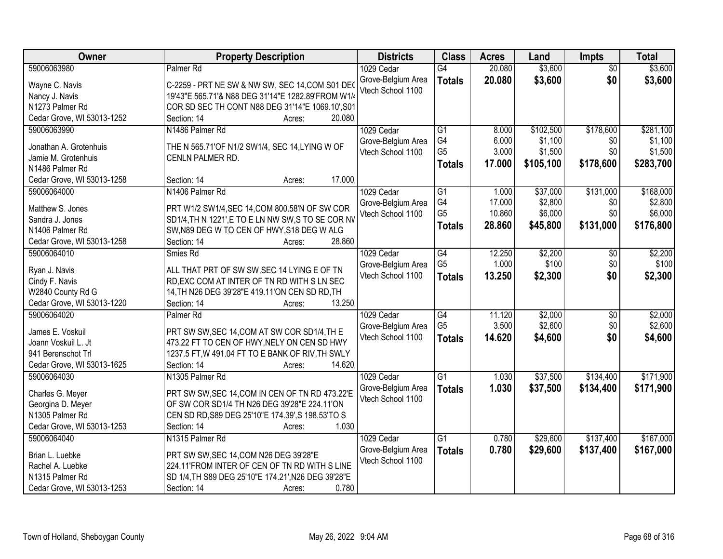| Owner                                     | <b>Property Description</b>                              | <b>Districts</b>                        | <b>Class</b>         | <b>Acres</b>     | Land               | <b>Impts</b>           | <b>Total</b>       |
|-------------------------------------------|----------------------------------------------------------|-----------------------------------------|----------------------|------------------|--------------------|------------------------|--------------------|
| 59006063980                               | Palmer <sub>Rd</sub>                                     | 1029 Cedar                              | G4                   | 20.080           | \$3,600            | $\overline{50}$        | \$3,600            |
| Wayne C. Navis                            | C-2259 - PRT NE SW & NW SW, SEC 14, COM S01 DE           | Grove-Belgium Area                      | <b>Totals</b>        | 20.080           | \$3,600            | \$0                    | \$3,600            |
| Nancy J. Navis                            | 19'43"E 565.71'& N88 DEG 31'14"E 1282.89'FROM W1/4       | Vtech School 1100                       |                      |                  |                    |                        |                    |
| N1273 Palmer Rd                           | COR SD SEC TH CONT N88 DEG 31'14"E 1069.10', S01         |                                         |                      |                  |                    |                        |                    |
| Cedar Grove, WI 53013-1252                | 20.080<br>Section: 14<br>Acres:                          |                                         |                      |                  |                    |                        |                    |
| 59006063990                               | N1486 Palmer Rd                                          | 1029 Cedar                              | $\overline{G1}$      | 8.000            | \$102,500          | \$178,600              | \$281,100          |
|                                           |                                                          | Grove-Belgium Area                      | G4                   | 6.000            | \$1,100            | \$0                    | \$1,100            |
| Jonathan A. Grotenhuis                    | THE N 565.71'OF N1/2 SW1/4, SEC 14, LYING W OF           | Vtech School 1100                       | G <sub>5</sub>       | 3.000            | \$1,500            | \$0                    | \$1,500            |
| Jamie M. Grotenhuis                       | CENLN PALMER RD.                                         |                                         | <b>Totals</b>        | 17.000           | \$105,100          | \$178,600              | \$283,700          |
| N1486 Palmer Rd                           | 17.000                                                   |                                         |                      |                  |                    |                        |                    |
| Cedar Grove, WI 53013-1258                | Section: 14<br>Acres:                                    |                                         |                      |                  |                    |                        |                    |
| 59006064000                               | N1406 Palmer Rd                                          | 1029 Cedar                              | $\overline{G1}$      | 1.000            | \$37,000           | \$131,000              | \$168,000          |
| Matthew S. Jones                          | PRT W1/2 SW1/4, SEC 14, COM 800.58'N OF SW COR           | Grove-Belgium Area                      | G4<br>G <sub>5</sub> | 17.000<br>10.860 | \$2,800<br>\$6,000 | \$0<br>\$0             | \$2,800<br>\$6,000 |
| Sandra J. Jones                           | SD1/4, TH N 1221', E TO E LN NW SW, S TO SE COR NV       | Vtech School 1100                       |                      |                  |                    |                        |                    |
| N1406 Palmer Rd                           | SW, N89 DEG W TO CEN OF HWY, S18 DEG W ALG               |                                         | <b>Totals</b>        | 28.860           | \$45,800           | \$131,000              | \$176,800          |
| Cedar Grove, WI 53013-1258                | 28.860<br>Section: 14<br>Acres:                          |                                         |                      |                  |                    |                        |                    |
| 59006064010                               | Smies Rd                                                 | 1029 Cedar                              | G4                   | 12.250           | \$2,200            | $\sqrt[6]{3}$          | \$2,200            |
|                                           |                                                          | Grove-Belgium Area                      | G <sub>5</sub>       | 1.000            | \$100              | \$0                    | \$100              |
| Ryan J. Navis                             | ALL THAT PRT OF SW SW, SEC 14 LYING E OF TN              | Vtech School 1100                       | <b>Totals</b>        | 13.250           | \$2,300            | \$0                    | \$2,300            |
| Cindy F. Navis                            | RD, EXC COM AT INTER OF TN RD WITH S LN SEC              |                                         |                      |                  |                    |                        |                    |
| W2840 County Rd G                         | 14, TH N26 DEG 39'28"E 419.11'ON CEN SD RD, TH<br>13.250 |                                         |                      |                  |                    |                        |                    |
| Cedar Grove, WI 53013-1220<br>59006064020 | Section: 14<br>Acres:                                    |                                         | $\overline{G4}$      |                  |                    |                        | \$2,000            |
|                                           | Palmer <sub>Rd</sub>                                     | 1029 Cedar                              | G <sub>5</sub>       | 11.120<br>3.500  | \$2,000<br>\$2,600 | $\overline{50}$<br>\$0 | \$2,600            |
| James E. Voskuil                          | PRT SW SW, SEC 14, COM AT SW COR SD1/4, TH E             | Grove-Belgium Area<br>Vtech School 1100 |                      | 14.620           |                    | \$0                    |                    |
| Joann Voskuil L. Jt                       | 473.22 FT TO CEN OF HWY, NELY ON CEN SD HWY              |                                         | <b>Totals</b>        |                  | \$4,600            |                        | \$4,600            |
| 941 Berenschot Trl                        | 1237.5 FT, W 491.04 FT TO E BANK OF RIV, TH SWLY         |                                         |                      |                  |                    |                        |                    |
| Cedar Grove, WI 53013-1625                | Section: 14<br>14.620<br>Acres:                          |                                         |                      |                  |                    |                        |                    |
| 59006064030                               | N1305 Palmer Rd                                          | 1029 Cedar                              | $\overline{G1}$      | 1.030            | \$37,500           | \$134,400              | \$171,900          |
| Charles G. Meyer                          | PRT SW SW, SEC 14, COM IN CEN OF TN RD 473.22'E          | Grove-Belgium Area                      | <b>Totals</b>        | 1.030            | \$37,500           | \$134,400              | \$171,900          |
| Georgina D. Meyer                         | OF SW COR SD1/4 TH N26 DEG 39'28"E 224.11'ON             | Vtech School 1100                       |                      |                  |                    |                        |                    |
| N1305 Palmer Rd                           | CEN SD RD, S89 DEG 25'10"E 174.39', S 198.53'TO S        |                                         |                      |                  |                    |                        |                    |
| Cedar Grove, WI 53013-1253                | 1.030<br>Section: 14<br>Acres:                           |                                         |                      |                  |                    |                        |                    |
| 59006064040                               | N1315 Palmer Rd                                          | 1029 Cedar                              | $\overline{G1}$      | 0.780            | \$29,600           | \$137,400              | \$167,000          |
|                                           |                                                          | Grove-Belgium Area                      | <b>Totals</b>        | 0.780            | \$29,600           | \$137,400              | \$167,000          |
| Brian L. Luebke                           | PRT SW SW, SEC 14, COM N26 DEG 39'28"E                   | Vtech School 1100                       |                      |                  |                    |                        |                    |
| Rachel A. Luebke                          | 224.11'FROM INTER OF CEN OF TN RD WITH S LINE            |                                         |                      |                  |                    |                        |                    |
| N1315 Palmer Rd                           | SD 1/4, TH S89 DEG 25'10"E 174.21', N26 DEG 39'28"E      |                                         |                      |                  |                    |                        |                    |
| Cedar Grove, WI 53013-1253                | 0.780<br>Section: 14<br>Acres:                           |                                         |                      |                  |                    |                        |                    |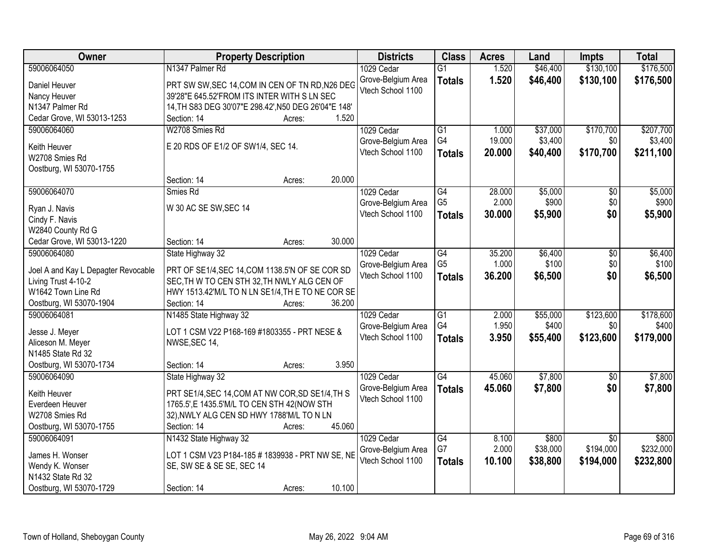| Owner                               | <b>Property Description</b>                          | <b>Districts</b>   | <b>Class</b>    | <b>Acres</b> | Land     | Impts           | <b>Total</b> |
|-------------------------------------|------------------------------------------------------|--------------------|-----------------|--------------|----------|-----------------|--------------|
| 59006064050                         | N1347 Palmer Rd                                      | 1029 Cedar         | $\overline{G1}$ | 1.520        | \$46,400 | \$130,100       | \$176,500    |
| Daniel Heuver                       | PRT SW SW, SEC 14, COM IN CEN OF TN RD, N26 DEG      | Grove-Belgium Area | <b>Totals</b>   | 1.520        | \$46,400 | \$130,100       | \$176,500    |
| Nancy Heuver                        | 39'28"E 645.52'FROM ITS INTER WITH S LN SEC          | Vtech School 1100  |                 |              |          |                 |              |
| N1347 Palmer Rd                     | 14, TH S83 DEG 30'07"E 298.42', N50 DEG 26'04"E 148' |                    |                 |              |          |                 |              |
| Cedar Grove, WI 53013-1253          | 1.520<br>Section: 14<br>Acres:                       |                    |                 |              |          |                 |              |
| 59006064060                         | W2708 Smies Rd                                       | 1029 Cedar         | $\overline{G1}$ | 1.000        | \$37,000 | \$170,700       | \$207,700    |
|                                     |                                                      | Grove-Belgium Area | G4              | 19.000       | \$3,400  | \$0             | \$3,400      |
| Keith Heuver                        | E 20 RDS OF E1/2 OF SW1/4, SEC 14.                   | Vtech School 1100  | <b>Totals</b>   | 20.000       | \$40,400 | \$170,700       | \$211,100    |
| W2708 Smies Rd                      |                                                      |                    |                 |              |          |                 |              |
| Oostburg, WI 53070-1755             |                                                      |                    |                 |              |          |                 |              |
|                                     | 20.000<br>Section: 14<br>Acres:                      |                    |                 |              |          |                 |              |
| 59006064070                         | Smies Rd                                             | 1029 Cedar         | $\overline{G4}$ | 28.000       | \$5,000  | $\overline{50}$ | \$5,000      |
| Ryan J. Navis                       | W 30 AC SE SW, SEC 14                                | Grove-Belgium Area | G <sub>5</sub>  | 2.000        | \$900    | \$0             | \$900        |
| Cindy F. Navis                      |                                                      | Vtech School 1100  | <b>Totals</b>   | 30,000       | \$5,900  | \$0             | \$5,900      |
| W2840 County Rd G                   |                                                      |                    |                 |              |          |                 |              |
| Cedar Grove, WI 53013-1220          | 30.000<br>Section: 14<br>Acres:                      |                    |                 |              |          |                 |              |
| 59006064080                         | State Highway 32                                     | 1029 Cedar         | G4              | 35.200       | \$6,400  | \$0             | \$6,400      |
|                                     |                                                      | Grove-Belgium Area | G <sub>5</sub>  | 1.000        | \$100    | \$0             | \$100        |
| Joel A and Kay L Depagter Revocable | PRT OF SE1/4, SEC 14, COM 1138.5'N OF SE COR SD      | Vtech School 1100  | <b>Totals</b>   | 36.200       | \$6,500  | \$0             | \$6,500      |
| Living Trust 4-10-2                 | SEC, TH W TO CEN STH 32, TH NWLY ALG CEN OF          |                    |                 |              |          |                 |              |
| W1642 Town Line Rd                  | HWY 1513.42'M/L TO N LN SE1/4, TH E TO NE COR SE     |                    |                 |              |          |                 |              |
| Oostburg, WI 53070-1904             | 36.200<br>Section: 14<br>Acres:                      |                    |                 |              |          |                 |              |
| 59006064081                         | N1485 State Highway 32                               | 1029 Cedar         | $\overline{G1}$ | 2.000        | \$55,000 | \$123,600       | \$178,600    |
| Jesse J. Meyer                      | LOT 1 CSM V22 P168-169 #1803355 - PRT NESE &         | Grove-Belgium Area | G4              | 1.950        | \$400    | \$0             | \$400        |
| Aliceson M. Meyer                   | NWSE, SEC 14,                                        | Vtech School 1100  | <b>Totals</b>   | 3.950        | \$55,400 | \$123,600       | \$179,000    |
| N1485 State Rd 32                   |                                                      |                    |                 |              |          |                 |              |
| Oostburg, WI 53070-1734             | 3.950<br>Section: 14<br>Acres:                       |                    |                 |              |          |                 |              |
| 59006064090                         | State Highway 32                                     | 1029 Cedar         | $\overline{G4}$ | 45.060       | \$7,800  | $\overline{50}$ | \$7,800      |
|                                     |                                                      | Grove-Belgium Area | <b>Totals</b>   | 45.060       | \$7,800  | \$0             | \$7,800      |
| Keith Heuver                        | PRT SE1/4, SEC 14, COM AT NW COR, SD SE1/4, TH S     | Vtech School 1100  |                 |              |          |                 |              |
| Everdeen Heuver                     | 1765.5', E 1435.5'M/L TO CEN STH 42(NOW STH          |                    |                 |              |          |                 |              |
| W2708 Smies Rd                      | 32), NWLY ALG CEN SD HWY 1788'M/L TO N LN            |                    |                 |              |          |                 |              |
| Oostburg, WI 53070-1755             | 45.060<br>Section: 14<br>Acres:                      |                    |                 |              |          |                 |              |
| 59006064091                         | N1432 State Highway 32                               | 1029 Cedar         | $\overline{G4}$ | 8.100        | \$800    | $\overline{50}$ | \$800        |
| James H. Wonser                     | LOT 1 CSM V23 P184-185 # 1839938 - PRT NW SE, NE     | Grove-Belgium Area | G7              | 2.000        | \$38,000 | \$194,000       | \$232,000    |
| Wendy K. Wonser                     | SE, SW SE & SE SE, SEC 14                            | Vtech School 1100  | <b>Totals</b>   | 10.100       | \$38,800 | \$194,000       | \$232,800    |
| N1432 State Rd 32                   |                                                      |                    |                 |              |          |                 |              |
| Oostburg, WI 53070-1729             | 10.100<br>Section: 14<br>Acres:                      |                    |                 |              |          |                 |              |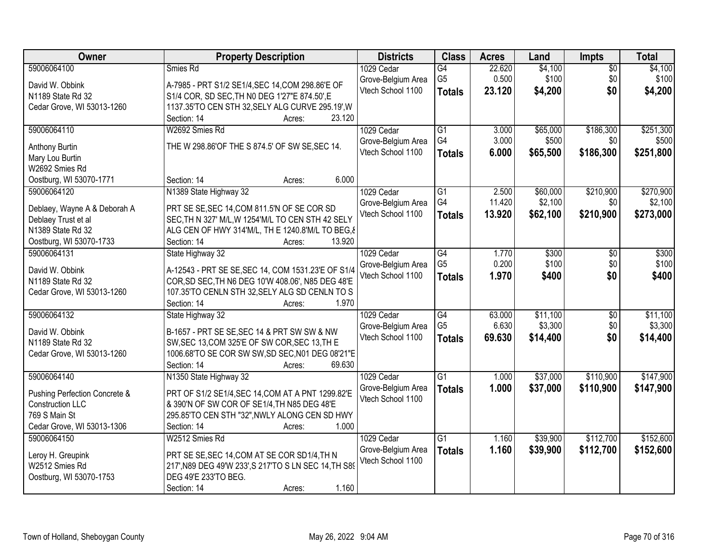| Owner                             | <b>Property Description</b>                                                                      | <b>Districts</b>   | <b>Class</b>    | <b>Acres</b> | Land     | <b>Impts</b>    | <b>Total</b> |
|-----------------------------------|--------------------------------------------------------------------------------------------------|--------------------|-----------------|--------------|----------|-----------------|--------------|
| 59006064100                       | Smies Rd                                                                                         | 1029 Cedar         | G4              | 22.620       | \$4,100  | $\overline{50}$ | \$4,100      |
| David W. Obbink                   | A-7985 - PRT S1/2 SE1/4, SEC 14, COM 298.86'E OF                                                 | Grove-Belgium Area | G <sub>5</sub>  | 0.500        | \$100    | \$0             | \$100        |
| N1189 State Rd 32                 | S1/4 COR, SD SEC, TH N0 DEG 1'27"E 874.50", E                                                    | Vtech School 1100  | <b>Totals</b>   | 23.120       | \$4,200  | \$0             | \$4,200      |
| Cedar Grove, WI 53013-1260        | 1137.35'TO CEN STH 32, SELY ALG CURVE 295.19', W                                                 |                    |                 |              |          |                 |              |
|                                   | 23.120<br>Section: 14<br>Acres:                                                                  |                    |                 |              |          |                 |              |
| 59006064110                       | W2692 Smies Rd                                                                                   | 1029 Cedar         | $\overline{G1}$ | 3.000        | \$65,000 | \$186,300       | \$251,300    |
|                                   |                                                                                                  | Grove-Belgium Area | G4              | 3.000        | \$500    | \$0             | \$500        |
| Anthony Burtin                    | THE W 298.86'OF THE S 874.5' OF SW SE, SEC 14.                                                   | Vtech School 1100  | <b>Totals</b>   | 6.000        | \$65,500 | \$186,300       | \$251,800    |
| Mary Lou Burtin                   |                                                                                                  |                    |                 |              |          |                 |              |
| W2692 Smies Rd                    | 6.000                                                                                            |                    |                 |              |          |                 |              |
| Oostburg, WI 53070-1771           | Section: 14<br>Acres:                                                                            |                    |                 |              |          |                 |              |
| 59006064120                       | N1389 State Highway 32                                                                           | 1029 Cedar         | $\overline{G1}$ | 2.500        | \$60,000 | \$210,900       | \$270,900    |
| Deblaey, Wayne A & Deborah A      | PRT SE SE, SEC 14, COM 811.5'N OF SE COR SD                                                      | Grove-Belgium Area | G4              | 11.420       | \$2,100  | \$0             | \$2,100      |
| Deblaey Trust et al               | SEC, TH N 327' M/L, W 1254'M/L TO CEN STH 42 SELY                                                | Vtech School 1100  | <b>Totals</b>   | 13.920       | \$62,100 | \$210,900       | \$273,000    |
| N1389 State Rd 32                 | ALG CEN OF HWY 314'M/L, TH E 1240.8'M/L TO BEG, &                                                |                    |                 |              |          |                 |              |
| Oostburg, WI 53070-1733           | Section: 14<br>13.920<br>Acres:                                                                  |                    |                 |              |          |                 |              |
| 59006064131                       | State Highway 32                                                                                 | 1029 Cedar         | G4              | 1.770        | \$300    | \$0             | \$300        |
|                                   |                                                                                                  | Grove-Belgium Area | G <sub>5</sub>  | 0.200        | \$100    | \$0             | \$100        |
| David W. Obbink                   | A-12543 - PRT SE SE, SEC 14, COM 1531.23'E OF S1/4                                               | Vtech School 1100  | <b>Totals</b>   | 1.970        | \$400    | \$0             | \$400        |
| N1189 State Rd 32                 | COR, SD SEC, TH N6 DEG 10'W 408.06', N85 DEG 48'E                                                |                    |                 |              |          |                 |              |
| Cedar Grove, WI 53013-1260        | 107.35'TO CENLN STH 32, SELY ALG SD CENLN TO S<br>1.970                                          |                    |                 |              |          |                 |              |
|                                   | Section: 14<br>Acres:                                                                            |                    |                 |              |          |                 |              |
| 59006064132                       | State Highway 32                                                                                 | 1029 Cedar         | $\overline{G4}$ | 63.000       | \$11,100 | $\overline{50}$ | \$11,100     |
| David W. Obbink                   | B-1657 - PRT SE SE, SEC 14 & PRT SW SW & NW                                                      | Grove-Belgium Area | G <sub>5</sub>  | 6.630        | \$3,300  | \$0             | \$3,300      |
| N1189 State Rd 32                 | SW, SEC 13, COM 325'E OF SW COR, SEC 13, TH E                                                    | Vtech School 1100  | <b>Totals</b>   | 69.630       | \$14,400 | \$0             | \$14,400     |
| Cedar Grove, WI 53013-1260        | 1006.68'TO SE COR SW SW, SD SEC, N01 DEG 08'21"E                                                 |                    |                 |              |          |                 |              |
|                                   | Section: 14<br>69.630<br>Acres:                                                                  |                    |                 |              |          |                 |              |
| 59006064140                       | N1350 State Highway 32                                                                           | 1029 Cedar         | $\overline{G1}$ | 1.000        | \$37,000 | \$110,900       | \$147,900    |
|                                   |                                                                                                  | Grove-Belgium Area | <b>Totals</b>   | 1.000        | \$37,000 | \$110,900       | \$147,900    |
| Pushing Perfection Concrete &     | PRT OF S1/2 SE1/4, SEC 14, COM AT A PNT 1299.82'E<br>& 390'N OF SW COR OF SE1/4, TH N85 DEG 48'E | Vtech School 1100  |                 |              |          |                 |              |
| Construction LLC<br>769 S Main St |                                                                                                  |                    |                 |              |          |                 |              |
| Cedar Grove, WI 53013-1306        | 295.85'TO CEN STH "32", NWLY ALONG CEN SD HWY<br>1.000<br>Section: 14                            |                    |                 |              |          |                 |              |
|                                   | Acres:                                                                                           |                    |                 |              |          |                 |              |
| 59006064150                       | W2512 Smies Rd                                                                                   | 1029 Cedar         | G1              | 1.160        | \$39,900 | \$112,700       | \$152,600    |
| Leroy H. Greupink                 | PRT SE SE, SEC 14, COM AT SE COR SD1/4, TH N                                                     | Grove-Belgium Area | <b>Totals</b>   | 1.160        | \$39,900 | \$112,700       | \$152,600    |
| W2512 Smies Rd                    | 217', N89 DEG 49'W 233', S 217'TO S LN SEC 14, TH S89                                            | Vtech School 1100  |                 |              |          |                 |              |
| Oostburg, WI 53070-1753           | DEG 49'E 233'TO BEG.                                                                             |                    |                 |              |          |                 |              |
|                                   | 1.160<br>Section: 14<br>Acres:                                                                   |                    |                 |              |          |                 |              |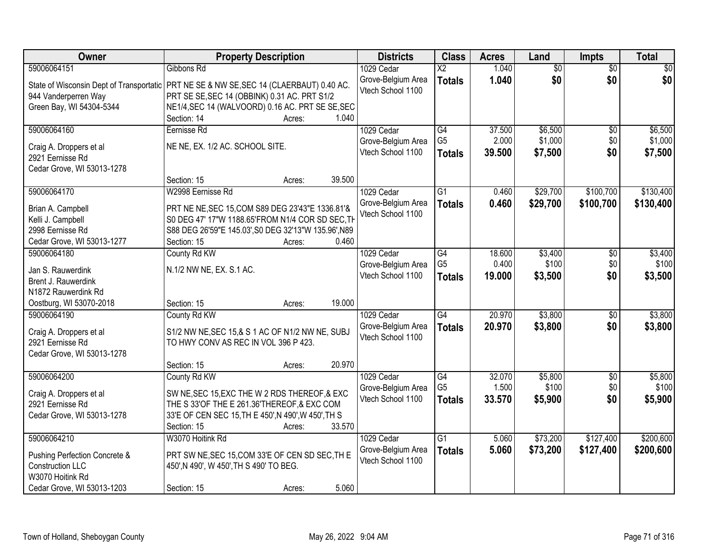| 59006064151<br>1.040<br>$\overline{50}$<br>$\overline{30}$<br>Gibbons Rd<br>1029 Cedar<br>$\overline{\mathsf{x2}}$<br>$\overline{50}$<br>\$0<br>\$0<br>\$0<br>Grove-Belgium Area<br>1.040<br><b>Totals</b><br>State of Wisconsin Dept of Transportatic   PRT NE SE & NW SE, SEC 14 (CLAERBAUT) 0.40 AC.<br>Vtech School 1100<br>PRT SE SE, SEC 14 (OBBINK) 0.31 AC. PRT S1/2<br>944 Vanderperren Way<br>Green Bay, WI 54304-5344<br>NE1/4, SEC 14 (WALVOORD) 0.16 AC. PRT SE SE, SEC<br>Section: 14<br>1.040<br>Acres:<br>59006064160<br>1029 Cedar<br>$\overline{G4}$<br>37.500<br>\$6,500<br>Eernisse Rd<br>\$0<br>G <sub>5</sub><br>2.000<br>\$1,000<br>\$0<br>Grove-Belgium Area<br>NE NE, EX. 1/2 AC. SCHOOL SITE.<br>Craig A. Droppers et al<br>\$0<br>Vtech School 1100<br>\$7,500<br>39.500<br>\$7,500<br><b>Totals</b><br>2921 Eernisse Rd<br>Cedar Grove, WI 53013-1278<br>39.500<br>Section: 15<br>Acres:<br>59006064170<br>W2998 Eernisse Rd<br>$\overline{G1}$<br>\$29,700<br>\$100,700<br>1029 Cedar<br>0.460<br>Grove-Belgium Area<br>0.460<br>\$29,700<br>\$100,700<br><b>Totals</b><br>PRT NE NE, SEC 15, COM S89 DEG 23'43"E 1336.81'&<br>Brian A. Campbell<br>Vtech School 1100<br>Kelli J. Campbell<br>S0 DEG 47' 17"W 1188.65'FROM N1/4 COR SD SEC, TH<br>2998 Eernisse Rd<br>S88 DEG 26'59"E 145.03', S0 DEG 32'13"W 135.96', N89<br>0.460<br>Cedar Grove, WI 53013-1277<br>Section: 15<br>Acres:<br>59006064180<br>County Rd KW<br>1029 Cedar<br>G4<br>18.600<br>\$3,400<br>\$0<br>G <sub>5</sub><br>0.400<br>\$100<br>\$0<br>Grove-Belgium Area<br>N.1/2 NW NE, EX. S.1 AC.<br>Jan S. Rauwerdink<br>\$0<br>Vtech School 1100<br>19.000<br>\$3,500<br>\$3,500<br><b>Totals</b><br>Brent J. Rauwerdink<br>N1872 Rauwerdink Rd<br>19.000<br>Oostburg, WI 53070-2018<br>Section: 15<br>Acres:<br>$\overline{G4}$<br>20.970<br>\$3,800<br>59006064190<br>County Rd KW<br>1029 Cedar<br>$\overline{50}$<br>20.970<br>\$3,800<br>\$0<br>\$3,800<br>Grove-Belgium Area<br><b>Totals</b><br>Craig A. Droppers et al<br>S1/2 NW NE, SEC 15, & S 1 AC OF N1/2 NW NE, SUBJ<br>Vtech School 1100<br>2921 Eernisse Rd<br>TO HWY CONV AS REC IN VOL 396 P 423.<br>Cedar Grove, WI 53013-1278<br>20.970<br>Section: 15<br>Acres:<br>$\overline{G4}$<br>59006064200<br>1029 Cedar<br>32.070<br>\$5,800 | Owner | <b>Property Description</b> | <b>Districts</b> | <b>Class</b> | <b>Acres</b> | Land | <b>Impts</b> | <b>Total</b> |
|---------------------------------------------------------------------------------------------------------------------------------------------------------------------------------------------------------------------------------------------------------------------------------------------------------------------------------------------------------------------------------------------------------------------------------------------------------------------------------------------------------------------------------------------------------------------------------------------------------------------------------------------------------------------------------------------------------------------------------------------------------------------------------------------------------------------------------------------------------------------------------------------------------------------------------------------------------------------------------------------------------------------------------------------------------------------------------------------------------------------------------------------------------------------------------------------------------------------------------------------------------------------------------------------------------------------------------------------------------------------------------------------------------------------------------------------------------------------------------------------------------------------------------------------------------------------------------------------------------------------------------------------------------------------------------------------------------------------------------------------------------------------------------------------------------------------------------------------------------------------------------------------------------------------------------------------------------------------------------------------------------------------------------------------------------------------------------------------------------------------------------------------------------------------------------------------------------------------------------------------------------------------------------------------------------------|-------|-----------------------------|------------------|--------------|--------------|------|--------------|--------------|
|                                                                                                                                                                                                                                                                                                                                                                                                                                                                                                                                                                                                                                                                                                                                                                                                                                                                                                                                                                                                                                                                                                                                                                                                                                                                                                                                                                                                                                                                                                                                                                                                                                                                                                                                                                                                                                                                                                                                                                                                                                                                                                                                                                                                                                                                                                               |       |                             |                  |              |              |      |              |              |
|                                                                                                                                                                                                                                                                                                                                                                                                                                                                                                                                                                                                                                                                                                                                                                                                                                                                                                                                                                                                                                                                                                                                                                                                                                                                                                                                                                                                                                                                                                                                                                                                                                                                                                                                                                                                                                                                                                                                                                                                                                                                                                                                                                                                                                                                                                               |       |                             |                  |              |              |      |              |              |
|                                                                                                                                                                                                                                                                                                                                                                                                                                                                                                                                                                                                                                                                                                                                                                                                                                                                                                                                                                                                                                                                                                                                                                                                                                                                                                                                                                                                                                                                                                                                                                                                                                                                                                                                                                                                                                                                                                                                                                                                                                                                                                                                                                                                                                                                                                               |       |                             |                  |              |              |      |              |              |
|                                                                                                                                                                                                                                                                                                                                                                                                                                                                                                                                                                                                                                                                                                                                                                                                                                                                                                                                                                                                                                                                                                                                                                                                                                                                                                                                                                                                                                                                                                                                                                                                                                                                                                                                                                                                                                                                                                                                                                                                                                                                                                                                                                                                                                                                                                               |       |                             |                  |              |              |      |              |              |
| \$6,500<br>\$1,000<br>\$130,400<br>\$130,400<br>\$3,400<br>\$100                                                                                                                                                                                                                                                                                                                                                                                                                                                                                                                                                                                                                                                                                                                                                                                                                                                                                                                                                                                                                                                                                                                                                                                                                                                                                                                                                                                                                                                                                                                                                                                                                                                                                                                                                                                                                                                                                                                                                                                                                                                                                                                                                                                                                                              |       |                             |                  |              |              |      |              |              |
|                                                                                                                                                                                                                                                                                                                                                                                                                                                                                                                                                                                                                                                                                                                                                                                                                                                                                                                                                                                                                                                                                                                                                                                                                                                                                                                                                                                                                                                                                                                                                                                                                                                                                                                                                                                                                                                                                                                                                                                                                                                                                                                                                                                                                                                                                                               |       |                             |                  |              |              |      |              |              |
|                                                                                                                                                                                                                                                                                                                                                                                                                                                                                                                                                                                                                                                                                                                                                                                                                                                                                                                                                                                                                                                                                                                                                                                                                                                                                                                                                                                                                                                                                                                                                                                                                                                                                                                                                                                                                                                                                                                                                                                                                                                                                                                                                                                                                                                                                                               |       |                             |                  |              |              |      |              |              |
|                                                                                                                                                                                                                                                                                                                                                                                                                                                                                                                                                                                                                                                                                                                                                                                                                                                                                                                                                                                                                                                                                                                                                                                                                                                                                                                                                                                                                                                                                                                                                                                                                                                                                                                                                                                                                                                                                                                                                                                                                                                                                                                                                                                                                                                                                                               |       |                             |                  |              |              |      |              |              |
|                                                                                                                                                                                                                                                                                                                                                                                                                                                                                                                                                                                                                                                                                                                                                                                                                                                                                                                                                                                                                                                                                                                                                                                                                                                                                                                                                                                                                                                                                                                                                                                                                                                                                                                                                                                                                                                                                                                                                                                                                                                                                                                                                                                                                                                                                                               |       |                             |                  |              |              |      |              |              |
|                                                                                                                                                                                                                                                                                                                                                                                                                                                                                                                                                                                                                                                                                                                                                                                                                                                                                                                                                                                                                                                                                                                                                                                                                                                                                                                                                                                                                                                                                                                                                                                                                                                                                                                                                                                                                                                                                                                                                                                                                                                                                                                                                                                                                                                                                                               |       |                             |                  |              |              |      |              |              |
|                                                                                                                                                                                                                                                                                                                                                                                                                                                                                                                                                                                                                                                                                                                                                                                                                                                                                                                                                                                                                                                                                                                                                                                                                                                                                                                                                                                                                                                                                                                                                                                                                                                                                                                                                                                                                                                                                                                                                                                                                                                                                                                                                                                                                                                                                                               |       |                             |                  |              |              |      |              |              |
|                                                                                                                                                                                                                                                                                                                                                                                                                                                                                                                                                                                                                                                                                                                                                                                                                                                                                                                                                                                                                                                                                                                                                                                                                                                                                                                                                                                                                                                                                                                                                                                                                                                                                                                                                                                                                                                                                                                                                                                                                                                                                                                                                                                                                                                                                                               |       |                             |                  |              |              |      |              |              |
|                                                                                                                                                                                                                                                                                                                                                                                                                                                                                                                                                                                                                                                                                                                                                                                                                                                                                                                                                                                                                                                                                                                                                                                                                                                                                                                                                                                                                                                                                                                                                                                                                                                                                                                                                                                                                                                                                                                                                                                                                                                                                                                                                                                                                                                                                                               |       |                             |                  |              |              |      |              |              |
|                                                                                                                                                                                                                                                                                                                                                                                                                                                                                                                                                                                                                                                                                                                                                                                                                                                                                                                                                                                                                                                                                                                                                                                                                                                                                                                                                                                                                                                                                                                                                                                                                                                                                                                                                                                                                                                                                                                                                                                                                                                                                                                                                                                                                                                                                                               |       |                             |                  |              |              |      |              |              |
|                                                                                                                                                                                                                                                                                                                                                                                                                                                                                                                                                                                                                                                                                                                                                                                                                                                                                                                                                                                                                                                                                                                                                                                                                                                                                                                                                                                                                                                                                                                                                                                                                                                                                                                                                                                                                                                                                                                                                                                                                                                                                                                                                                                                                                                                                                               |       |                             |                  |              |              |      |              |              |
|                                                                                                                                                                                                                                                                                                                                                                                                                                                                                                                                                                                                                                                                                                                                                                                                                                                                                                                                                                                                                                                                                                                                                                                                                                                                                                                                                                                                                                                                                                                                                                                                                                                                                                                                                                                                                                                                                                                                                                                                                                                                                                                                                                                                                                                                                                               |       |                             |                  |              |              |      |              |              |
|                                                                                                                                                                                                                                                                                                                                                                                                                                                                                                                                                                                                                                                                                                                                                                                                                                                                                                                                                                                                                                                                                                                                                                                                                                                                                                                                                                                                                                                                                                                                                                                                                                                                                                                                                                                                                                                                                                                                                                                                                                                                                                                                                                                                                                                                                                               |       |                             |                  |              |              |      |              |              |
|                                                                                                                                                                                                                                                                                                                                                                                                                                                                                                                                                                                                                                                                                                                                                                                                                                                                                                                                                                                                                                                                                                                                                                                                                                                                                                                                                                                                                                                                                                                                                                                                                                                                                                                                                                                                                                                                                                                                                                                                                                                                                                                                                                                                                                                                                                               |       |                             |                  |              |              |      |              |              |
| \$3,800<br>\$5,800                                                                                                                                                                                                                                                                                                                                                                                                                                                                                                                                                                                                                                                                                                                                                                                                                                                                                                                                                                                                                                                                                                                                                                                                                                                                                                                                                                                                                                                                                                                                                                                                                                                                                                                                                                                                                                                                                                                                                                                                                                                                                                                                                                                                                                                                                            |       |                             |                  |              |              |      |              |              |
|                                                                                                                                                                                                                                                                                                                                                                                                                                                                                                                                                                                                                                                                                                                                                                                                                                                                                                                                                                                                                                                                                                                                                                                                                                                                                                                                                                                                                                                                                                                                                                                                                                                                                                                                                                                                                                                                                                                                                                                                                                                                                                                                                                                                                                                                                                               |       |                             |                  |              |              |      |              |              |
|                                                                                                                                                                                                                                                                                                                                                                                                                                                                                                                                                                                                                                                                                                                                                                                                                                                                                                                                                                                                                                                                                                                                                                                                                                                                                                                                                                                                                                                                                                                                                                                                                                                                                                                                                                                                                                                                                                                                                                                                                                                                                                                                                                                                                                                                                                               |       |                             |                  |              |              |      |              |              |
|                                                                                                                                                                                                                                                                                                                                                                                                                                                                                                                                                                                                                                                                                                                                                                                                                                                                                                                                                                                                                                                                                                                                                                                                                                                                                                                                                                                                                                                                                                                                                                                                                                                                                                                                                                                                                                                                                                                                                                                                                                                                                                                                                                                                                                                                                                               |       |                             |                  |              |              |      |              |              |
|                                                                                                                                                                                                                                                                                                                                                                                                                                                                                                                                                                                                                                                                                                                                                                                                                                                                                                                                                                                                                                                                                                                                                                                                                                                                                                                                                                                                                                                                                                                                                                                                                                                                                                                                                                                                                                                                                                                                                                                                                                                                                                                                                                                                                                                                                                               |       |                             |                  |              |              |      |              |              |
|                                                                                                                                                                                                                                                                                                                                                                                                                                                                                                                                                                                                                                                                                                                                                                                                                                                                                                                                                                                                                                                                                                                                                                                                                                                                                                                                                                                                                                                                                                                                                                                                                                                                                                                                                                                                                                                                                                                                                                                                                                                                                                                                                                                                                                                                                                               |       |                             |                  |              |              |      |              |              |
|                                                                                                                                                                                                                                                                                                                                                                                                                                                                                                                                                                                                                                                                                                                                                                                                                                                                                                                                                                                                                                                                                                                                                                                                                                                                                                                                                                                                                                                                                                                                                                                                                                                                                                                                                                                                                                                                                                                                                                                                                                                                                                                                                                                                                                                                                                               |       |                             |                  |              |              |      |              |              |
|                                                                                                                                                                                                                                                                                                                                                                                                                                                                                                                                                                                                                                                                                                                                                                                                                                                                                                                                                                                                                                                                                                                                                                                                                                                                                                                                                                                                                                                                                                                                                                                                                                                                                                                                                                                                                                                                                                                                                                                                                                                                                                                                                                                                                                                                                                               |       |                             |                  |              |              |      |              |              |
|                                                                                                                                                                                                                                                                                                                                                                                                                                                                                                                                                                                                                                                                                                                                                                                                                                                                                                                                                                                                                                                                                                                                                                                                                                                                                                                                                                                                                                                                                                                                                                                                                                                                                                                                                                                                                                                                                                                                                                                                                                                                                                                                                                                                                                                                                                               |       |                             |                  |              |              |      |              |              |
|                                                                                                                                                                                                                                                                                                                                                                                                                                                                                                                                                                                                                                                                                                                                                                                                                                                                                                                                                                                                                                                                                                                                                                                                                                                                                                                                                                                                                                                                                                                                                                                                                                                                                                                                                                                                                                                                                                                                                                                                                                                                                                                                                                                                                                                                                                               |       | County Rd KW                |                  |              |              |      | $\sqrt{6}$   |              |
| G <sub>5</sub><br>1.500<br>\$100<br>\$0<br>\$100<br>Grove-Belgium Area<br>SW NE, SEC 15, EXC THE W 2 RDS THEREOF, & EXC<br>Craig A. Droppers et al                                                                                                                                                                                                                                                                                                                                                                                                                                                                                                                                                                                                                                                                                                                                                                                                                                                                                                                                                                                                                                                                                                                                                                                                                                                                                                                                                                                                                                                                                                                                                                                                                                                                                                                                                                                                                                                                                                                                                                                                                                                                                                                                                            |       |                             |                  |              |              |      |              |              |
| 33.570<br>\$5,900<br>Vtech School 1100<br>\$0<br>\$5,900<br><b>Totals</b><br>THE S 33'OF THE E 261.36'THEREOF, & EXC COM<br>2921 Eernisse Rd                                                                                                                                                                                                                                                                                                                                                                                                                                                                                                                                                                                                                                                                                                                                                                                                                                                                                                                                                                                                                                                                                                                                                                                                                                                                                                                                                                                                                                                                                                                                                                                                                                                                                                                                                                                                                                                                                                                                                                                                                                                                                                                                                                  |       |                             |                  |              |              |      |              |              |
| 33'E OF CEN SEC 15, TH E 450', N 490', W 450', TH S<br>Cedar Grove, WI 53013-1278                                                                                                                                                                                                                                                                                                                                                                                                                                                                                                                                                                                                                                                                                                                                                                                                                                                                                                                                                                                                                                                                                                                                                                                                                                                                                                                                                                                                                                                                                                                                                                                                                                                                                                                                                                                                                                                                                                                                                                                                                                                                                                                                                                                                                             |       |                             |                  |              |              |      |              |              |
| 33.570<br>Section: 15<br>Acres:                                                                                                                                                                                                                                                                                                                                                                                                                                                                                                                                                                                                                                                                                                                                                                                                                                                                                                                                                                                                                                                                                                                                                                                                                                                                                                                                                                                                                                                                                                                                                                                                                                                                                                                                                                                                                                                                                                                                                                                                                                                                                                                                                                                                                                                                               |       |                             |                  |              |              |      |              |              |
| \$200,600<br>59006064210<br>W3070 Hoitink Rd<br>$\overline{G1}$<br>\$73,200<br>\$127,400<br>1029 Cedar<br>5.060                                                                                                                                                                                                                                                                                                                                                                                                                                                                                                                                                                                                                                                                                                                                                                                                                                                                                                                                                                                                                                                                                                                                                                                                                                                                                                                                                                                                                                                                                                                                                                                                                                                                                                                                                                                                                                                                                                                                                                                                                                                                                                                                                                                               |       |                             |                  |              |              |      |              |              |
| 5.060<br>\$73,200<br>Grove-Belgium Area<br>\$127,400<br>\$200,600<br><b>Totals</b><br>PRT SW NE, SEC 15, COM 33'E OF CEN SD SEC, TH E                                                                                                                                                                                                                                                                                                                                                                                                                                                                                                                                                                                                                                                                                                                                                                                                                                                                                                                                                                                                                                                                                                                                                                                                                                                                                                                                                                                                                                                                                                                                                                                                                                                                                                                                                                                                                                                                                                                                                                                                                                                                                                                                                                         |       |                             |                  |              |              |      |              |              |
| Pushing Perfection Concrete &<br>Vtech School 1100<br><b>Construction LLC</b><br>450', N 490', W 450', TH S 490' TO BEG.                                                                                                                                                                                                                                                                                                                                                                                                                                                                                                                                                                                                                                                                                                                                                                                                                                                                                                                                                                                                                                                                                                                                                                                                                                                                                                                                                                                                                                                                                                                                                                                                                                                                                                                                                                                                                                                                                                                                                                                                                                                                                                                                                                                      |       |                             |                  |              |              |      |              |              |
| W3070 Hoitink Rd                                                                                                                                                                                                                                                                                                                                                                                                                                                                                                                                                                                                                                                                                                                                                                                                                                                                                                                                                                                                                                                                                                                                                                                                                                                                                                                                                                                                                                                                                                                                                                                                                                                                                                                                                                                                                                                                                                                                                                                                                                                                                                                                                                                                                                                                                              |       |                             |                  |              |              |      |              |              |
| 5.060<br>Cedar Grove, WI 53013-1203<br>Section: 15<br>Acres:                                                                                                                                                                                                                                                                                                                                                                                                                                                                                                                                                                                                                                                                                                                                                                                                                                                                                                                                                                                                                                                                                                                                                                                                                                                                                                                                                                                                                                                                                                                                                                                                                                                                                                                                                                                                                                                                                                                                                                                                                                                                                                                                                                                                                                                  |       |                             |                  |              |              |      |              |              |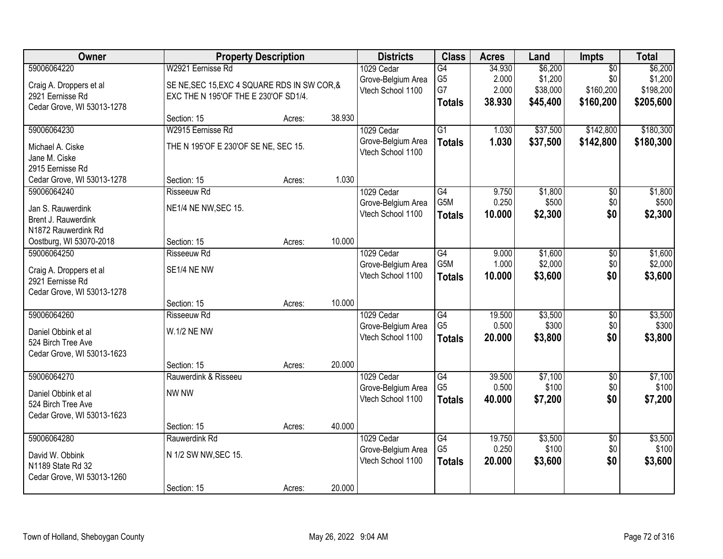| Owner                      |                                              | <b>Property Description</b> |        | <b>Districts</b>   | <b>Class</b>    | <b>Acres</b> | Land     | <b>Impts</b>    | <b>Total</b> |
|----------------------------|----------------------------------------------|-----------------------------|--------|--------------------|-----------------|--------------|----------|-----------------|--------------|
| 59006064220                | W2921 Eernisse Rd                            |                             |        | 1029 Cedar         | G4              | 34.930       | \$6,200  | $\overline{50}$ | \$6,200      |
| Craig A. Droppers et al    | SE NE, SEC 15, EXC 4 SQUARE RDS IN SW COR, & |                             |        | Grove-Belgium Area | G <sub>5</sub>  | 2.000        | \$1,200  | \$0             | \$1,200      |
| 2921 Eernisse Rd           | EXC THE N 195'OF THE E 230'OF SD1/4.         |                             |        | Vtech School 1100  | G7              | 2.000        | \$38,000 | \$160,200       | \$198,200    |
| Cedar Grove, WI 53013-1278 |                                              |                             |        |                    | <b>Totals</b>   | 38.930       | \$45,400 | \$160,200       | \$205,600    |
|                            | Section: 15                                  | Acres:                      | 38.930 |                    |                 |              |          |                 |              |
| 59006064230                | W2915 Eernisse Rd                            |                             |        | 1029 Cedar         | $\overline{G1}$ | 1.030        | \$37,500 | \$142,800       | \$180,300    |
| Michael A. Ciske           | THE N 195'OF E 230'OF SE NE, SEC 15.         |                             |        | Grove-Belgium Area | <b>Totals</b>   | 1.030        | \$37,500 | \$142,800       | \$180,300    |
| Jane M. Ciske              |                                              |                             |        | Vtech School 1100  |                 |              |          |                 |              |
| 2915 Eernisse Rd           |                                              |                             |        |                    |                 |              |          |                 |              |
| Cedar Grove, WI 53013-1278 | Section: 15                                  | Acres:                      | 1.030  |                    |                 |              |          |                 |              |
| 59006064240                | <b>Risseeuw Rd</b>                           |                             |        | 1029 Cedar         | $\overline{G4}$ | 9.750        | \$1,800  | $\overline{50}$ | \$1,800      |
| Jan S. Rauwerdink          | NE1/4 NE NW, SEC 15.                         |                             |        | Grove-Belgium Area | G5M             | 0.250        | \$500    | \$0             | \$500        |
| Brent J. Rauwerdink        |                                              |                             |        | Vtech School 1100  | <b>Totals</b>   | 10.000       | \$2,300  | \$0             | \$2,300      |
| N1872 Rauwerdink Rd        |                                              |                             |        |                    |                 |              |          |                 |              |
| Oostburg, WI 53070-2018    | Section: 15                                  | Acres:                      | 10.000 |                    |                 |              |          |                 |              |
| 59006064250                | <b>Risseeuw Rd</b>                           |                             |        | 1029 Cedar         | $\overline{G4}$ | 9.000        | \$1,600  | \$0             | \$1,600      |
| Craig A. Droppers et al    | SE1/4 NE NW                                  |                             |        | Grove-Belgium Area | G5M             | 1.000        | \$2,000  | \$0             | \$2,000      |
| 2921 Eernisse Rd           |                                              |                             |        | Vtech School 1100  | <b>Totals</b>   | 10.000       | \$3,600  | \$0             | \$3,600      |
| Cedar Grove, WI 53013-1278 |                                              |                             |        |                    |                 |              |          |                 |              |
|                            | Section: 15                                  | Acres:                      | 10.000 |                    |                 |              |          |                 |              |
| 59006064260                | <b>Risseeuw Rd</b>                           |                             |        | 1029 Cedar         | G4              | 19.500       | \$3,500  | $\overline{50}$ | \$3,500      |
| Daniel Obbink et al        | <b>W.1/2 NE NW</b>                           |                             |        | Grove-Belgium Area | G <sub>5</sub>  | 0.500        | \$300    | \$0             | \$300        |
| 524 Birch Tree Ave         |                                              |                             |        | Vtech School 1100  | <b>Totals</b>   | 20.000       | \$3,800  | \$0             | \$3,800      |
| Cedar Grove, WI 53013-1623 |                                              |                             |        |                    |                 |              |          |                 |              |
|                            | Section: 15                                  | Acres:                      | 20.000 |                    |                 |              |          |                 |              |
| 59006064270                | Rauwerdink & Risseeu                         |                             |        | 1029 Cedar         | G4              | 39.500       | \$7,100  | $\overline{60}$ | \$7,100      |
| Daniel Obbink et al        | NW NW                                        |                             |        | Grove-Belgium Area | G <sub>5</sub>  | 0.500        | \$100    | \$0             | \$100        |
| 524 Birch Tree Ave         |                                              |                             |        | Vtech School 1100  | <b>Totals</b>   | 40.000       | \$7,200  | \$0             | \$7,200      |
| Cedar Grove, WI 53013-1623 |                                              |                             |        |                    |                 |              |          |                 |              |
|                            | Section: 15                                  | Acres:                      | 40.000 |                    |                 |              |          |                 |              |
| 59006064280                | Rauwerdink Rd                                |                             |        | 1029 Cedar         | G4              | 19.750       | \$3,500  | $\overline{50}$ | \$3,500      |
| David W. Obbink            | N 1/2 SW NW, SEC 15.                         |                             |        | Grove-Belgium Area | G <sub>5</sub>  | 0.250        | \$100    | \$0             | \$100        |
| N1189 State Rd 32          |                                              |                             |        | Vtech School 1100  | <b>Totals</b>   | 20.000       | \$3,600  | \$0             | \$3,600      |
| Cedar Grove, WI 53013-1260 |                                              |                             |        |                    |                 |              |          |                 |              |
|                            | Section: 15                                  | Acres:                      | 20.000 |                    |                 |              |          |                 |              |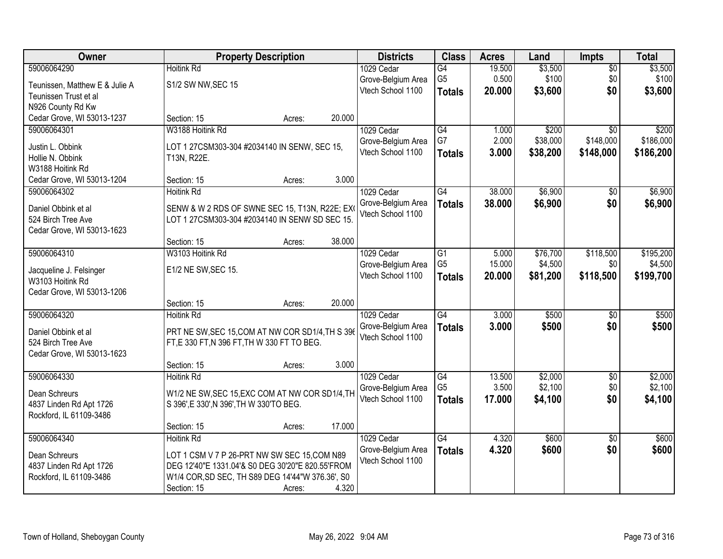| Owner                                            |                                                  | <b>Property Description</b> |        | <b>Districts</b>   | <b>Class</b>    | <b>Acres</b> | Land     | <b>Impts</b>    | <b>Total</b> |
|--------------------------------------------------|--------------------------------------------------|-----------------------------|--------|--------------------|-----------------|--------------|----------|-----------------|--------------|
| 59006064290                                      | <b>Hoitink Rd</b>                                |                             |        | 1029 Cedar         | $\overline{G4}$ | 19.500       | \$3,500  | $\overline{50}$ | \$3,500      |
| Teunissen, Matthew E & Julie A                   | S1/2 SW NW, SEC 15                               |                             |        | Grove-Belgium Area | G <sub>5</sub>  | 0.500        | \$100    | \$0             | \$100        |
| Teunissen Trust et al                            |                                                  |                             |        | Vtech School 1100  | <b>Totals</b>   | 20.000       | \$3,600  | \$0             | \$3,600      |
| N926 County Rd Kw                                |                                                  |                             |        |                    |                 |              |          |                 |              |
| Cedar Grove, WI 53013-1237                       | Section: 15                                      | Acres:                      | 20.000 |                    |                 |              |          |                 |              |
| 59006064301                                      | W3188 Hoitink Rd                                 |                             |        | 1029 Cedar         | G4              | 1.000        | \$200    | $\overline{30}$ | \$200        |
| Justin L. Obbink                                 | LOT 1 27CSM303-304 #2034140 IN SENW, SEC 15,     |                             |        | Grove-Belgium Area | G7              | 2.000        | \$38,000 | \$148,000       | \$186,000    |
| Hollie N. Obbink                                 | T13N, R22E.                                      |                             |        | Vtech School 1100  | <b>Totals</b>   | 3.000        | \$38,200 | \$148,000       | \$186,200    |
| W3188 Hoitink Rd                                 |                                                  |                             |        |                    |                 |              |          |                 |              |
| Cedar Grove, WI 53013-1204                       | Section: 15                                      | Acres:                      | 3.000  |                    |                 |              |          |                 |              |
| 59006064302                                      | <b>Hoitink Rd</b>                                |                             |        | 1029 Cedar         | $\overline{G4}$ | 38.000       | \$6,900  | \$0             | \$6,900      |
| Daniel Obbink et al                              | SENW & W 2 RDS OF SWNE SEC 15, T13N, R22E; EX    |                             |        | Grove-Belgium Area | <b>Totals</b>   | 38.000       | \$6,900  | \$0             | \$6,900      |
| 524 Birch Tree Ave                               | LOT 1 27CSM303-304 #2034140 IN SENW SD SEC 15.   |                             |        | Vtech School 1100  |                 |              |          |                 |              |
| Cedar Grove, WI 53013-1623                       |                                                  |                             |        |                    |                 |              |          |                 |              |
|                                                  | Section: 15                                      | Acres:                      | 38.000 |                    |                 |              |          |                 |              |
| 59006064310                                      | W3103 Hoitink Rd                                 |                             |        | 1029 Cedar         | G1              | 5.000        | \$76,700 | \$118,500       | \$195,200    |
|                                                  |                                                  |                             |        | Grove-Belgium Area | G <sub>5</sub>  | 15.000       | \$4,500  | \$0             | \$4,500      |
| Jacqueline J. Felsinger<br>W3103 Hoitink Rd      | E1/2 NE SW, SEC 15.                              |                             |        | Vtech School 1100  | <b>Totals</b>   | 20.000       | \$81,200 | \$118,500       | \$199,700    |
| Cedar Grove, WI 53013-1206                       |                                                  |                             |        |                    |                 |              |          |                 |              |
|                                                  | Section: 15                                      | Acres:                      | 20.000 |                    |                 |              |          |                 |              |
| 59006064320                                      | <b>Hoitink Rd</b>                                |                             |        | 1029 Cedar         | G4              | 3.000        | \$500    | $\overline{50}$ | \$500        |
|                                                  |                                                  |                             |        | Grove-Belgium Area | <b>Totals</b>   | 3.000        | \$500    | \$0             | \$500        |
| Daniel Obbink et al                              | PRT NE SW, SEC 15, COM AT NW COR SD1/4, TH S 396 |                             |        | Vtech School 1100  |                 |              |          |                 |              |
| 524 Birch Tree Ave<br>Cedar Grove, WI 53013-1623 | FT, E 330 FT, N 396 FT, TH W 330 FT TO BEG.      |                             |        |                    |                 |              |          |                 |              |
|                                                  | Section: 15                                      | Acres:                      | 3.000  |                    |                 |              |          |                 |              |
| 59006064330                                      | <b>Hoitink Rd</b>                                |                             |        | 1029 Cedar         | G4              | 13.500       | \$2,000  | $\sqrt{6}$      | \$2,000      |
|                                                  |                                                  |                             |        | Grove-Belgium Area | G <sub>5</sub>  | 3.500        | \$2,100  | \$0             | \$2,100      |
| Dean Schreurs                                    | W1/2 NE SW, SEC 15, EXC COM AT NW COR SD1/4, TH  |                             |        | Vtech School 1100  | <b>Totals</b>   | 17.000       | \$4,100  | \$0             | \$4,100      |
| 4837 Linden Rd Apt 1726                          | S 396', E 330', N 396', TH W 330'TO BEG.         |                             |        |                    |                 |              |          |                 |              |
| Rockford, IL 61109-3486                          | Section: 15                                      |                             | 17.000 |                    |                 |              |          |                 |              |
| 59006064340                                      | <b>Hoitink Rd</b>                                | Acres:                      |        | 1029 Cedar         | G4              | 4.320        | \$600    | $\overline{50}$ | \$600        |
|                                                  |                                                  |                             |        | Grove-Belgium Area | <b>Totals</b>   | 4.320        | \$600    | \$0             | \$600        |
| Dean Schreurs                                    | LOT 1 CSM V 7 P 26-PRT NW SW SEC 15, COM N89     |                             |        | Vtech School 1100  |                 |              |          |                 |              |
| 4837 Linden Rd Apt 1726                          | DEG 12'40"E 1331.04'& S0 DEG 30'20"E 820.55'FROM |                             |        |                    |                 |              |          |                 |              |
| Rockford, IL 61109-3486                          | W1/4 COR, SD SEC, TH S89 DEG 14'44"W 376.36', S0 |                             |        |                    |                 |              |          |                 |              |
|                                                  | Section: 15                                      | Acres:                      | 4.320  |                    |                 |              |          |                 |              |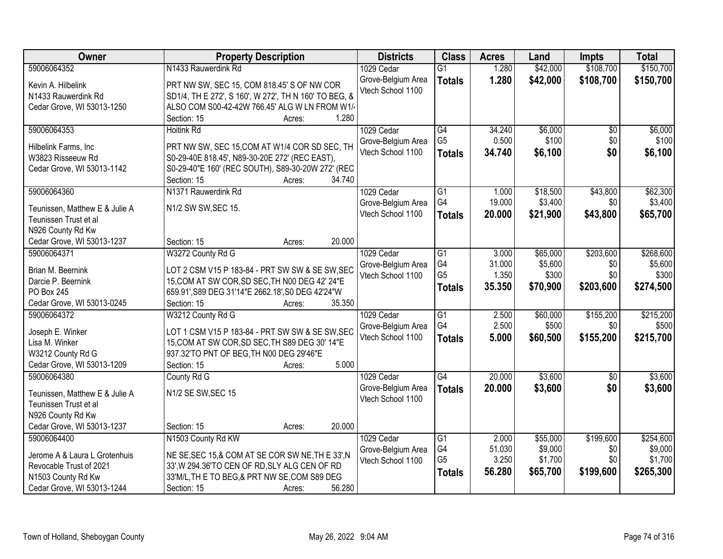| Owner                                     | <b>Property Description</b>                                                |        | <b>Districts</b>                        | <b>Class</b>    | <b>Acres</b> | Land     | <b>Impts</b>    | <b>Total</b> |
|-------------------------------------------|----------------------------------------------------------------------------|--------|-----------------------------------------|-----------------|--------------|----------|-----------------|--------------|
| 59006064352                               | N1433 Rauwerdink Rd                                                        |        | 1029 Cedar                              | $\overline{G1}$ | 1.280        | \$42,000 | \$108,700       | \$150,700    |
| Kevin A. Hilbelink                        | PRT NW SW, SEC 15, COM 818.45' S OF NW COR                                 |        | Grove-Belgium Area                      | <b>Totals</b>   | 1.280        | \$42,000 | \$108,700       | \$150,700    |
| N1433 Rauwerdink Rd                       | SD1/4, TH E 272', S 160', W 272', TH N 160' TO BEG, &                      |        | Vtech School 1100                       |                 |              |          |                 |              |
| Cedar Grove, WI 53013-1250                | ALSO COM S00-42-42W 766.45' ALG W LN FROM W1/                              |        |                                         |                 |              |          |                 |              |
|                                           | Section: 15<br>Acres:                                                      | 1.280  |                                         |                 |              |          |                 |              |
| 59006064353                               | <b>Hoitink Rd</b>                                                          |        | 1029 Cedar                              | $\overline{G4}$ | 34.240       | \$6,000  | $\overline{50}$ | \$6,000      |
|                                           |                                                                            |        | Grove-Belgium Area                      | G <sub>5</sub>  | 0.500        | \$100    | \$0             | \$100        |
| Hilbelink Farms, Inc                      | PRT NW SW, SEC 15, COM AT W1/4 COR SD SEC, TH                              |        | Vtech School 1100                       | <b>Totals</b>   | 34.740       | \$6,100  | \$0             | \$6,100      |
| W3823 Risseeuw Rd                         | S0-29-40E 818.45', N89-30-20E 272' (REC EAST),                             |        |                                         |                 |              |          |                 |              |
| Cedar Grove, WI 53013-1142                | S0-29-40"E 160' (REC SOUTH), S89-30-20W 272' (REC<br>Section: 15<br>Acres: | 34.740 |                                         |                 |              |          |                 |              |
| 59006064360                               | N1371 Rauwerdink Rd                                                        |        | 1029 Cedar                              | $\overline{G1}$ | 1.000        | \$18,500 | \$43,800        | \$62,300     |
|                                           |                                                                            |        | Grove-Belgium Area                      | G4              | 19.000       | \$3,400  | \$0             | \$3,400      |
| Teunissen, Matthew E & Julie A            | N1/2 SW SW, SEC 15.                                                        |        | Vtech School 1100                       | <b>Totals</b>   | 20,000       | \$21,900 | \$43,800        | \$65,700     |
| Teunissen Trust et al                     |                                                                            |        |                                         |                 |              |          |                 |              |
| N926 County Rd Kw                         |                                                                            |        |                                         |                 |              |          |                 |              |
| Cedar Grove, WI 53013-1237                | Section: 15<br>Acres:                                                      | 20.000 |                                         |                 |              |          |                 |              |
| 59006064371                               | W3272 County Rd G                                                          |        | 1029 Cedar                              | $\overline{G1}$ | 3.000        | \$65,000 | \$203,600       | \$268,600    |
| Brian M. Beernink                         | LOT 2 CSM V15 P 183-84 - PRT SW SW & SE SW, SEC                            |        | Grove-Belgium Area                      | G4              | 31.000       | \$5,600  | \$0             | \$5,600      |
| Darcie P. Beernink                        | 15, COM AT SW COR, SD SEC, TH N00 DEG 42' 24"E                             |        | Vtech School 1100                       | G <sub>5</sub>  | 1.350        | \$300    | \$0             | \$300        |
| PO Box 245                                | 659.91', S89 DEG 31'14"E 2662.18', S0 DEG 42'24"W                          |        |                                         | <b>Totals</b>   | 35.350       | \$70,900 | \$203,600       | \$274,500    |
| Cedar Grove, WI 53013-0245                | Section: 15<br>Acres:                                                      | 35.350 |                                         |                 |              |          |                 |              |
| 59006064372                               | W3212 County Rd G                                                          |        | 1029 Cedar                              | $\overline{G1}$ | 2.500        | \$60,000 | \$155,200       | \$215,200    |
|                                           |                                                                            |        | Grove-Belgium Area                      | G4              | 2.500        | \$500    | \$0             | \$500        |
| Joseph E. Winker                          | LOT 1 CSM V15 P 183-84 - PRT SW SW & SE SW, SEC                            |        | Vtech School 1100                       | <b>Totals</b>   | 5.000        | \$60,500 | \$155,200       | \$215,700    |
| Lisa M. Winker                            | 15, COM AT SW COR, SD SEC, TH S89 DEG 30' 14"E                             |        |                                         |                 |              |          |                 |              |
| W3212 County Rd G                         | 937.32'TO PNT OF BEG, TH N00 DEG 29'46"E                                   | 5.000  |                                         |                 |              |          |                 |              |
| Cedar Grove, WI 53013-1209<br>59006064380 | Section: 15<br>Acres:                                                      |        |                                         | $\overline{G4}$ | 20.000       | \$3,600  |                 | \$3,600      |
|                                           | County Rd G                                                                |        | 1029 Cedar                              |                 |              |          | $\overline{50}$ |              |
| Teunissen, Matthew E & Julie A            | N1/2 SE SW, SEC 15                                                         |        | Grove-Belgium Area<br>Vtech School 1100 | <b>Totals</b>   | 20.000       | \$3,600  | \$0             | \$3,600      |
| Teunissen Trust et al                     |                                                                            |        |                                         |                 |              |          |                 |              |
| N926 County Rd Kw                         |                                                                            |        |                                         |                 |              |          |                 |              |
| Cedar Grove, WI 53013-1237                | Section: 15<br>Acres:                                                      | 20.000 |                                         |                 |              |          |                 |              |
| 59006064400                               | N1503 County Rd KW                                                         |        | 1029 Cedar                              | $\overline{G1}$ | 2.000        | \$55,000 | \$199,600       | \$254,600    |
| Jerome A & Laura L Grotenhuis             | NE SE, SEC 15, & COM AT SE COR SW NE, THE 33', N                           |        | Grove-Belgium Area                      | G4              | 51.030       | \$9,000  | \$0             | \$9,000      |
| Revocable Trust of 2021                   | 33', W 294.36'TO CEN OF RD, SLY ALG CEN OF RD                              |        | Vtech School 1100                       | G <sub>5</sub>  | 3.250        | \$1,700  | \$0             | \$1,700      |
| N1503 County Rd Kw                        | 33'M/L, TH E TO BEG, & PRT NW SE, COM S89 DEG                              |        |                                         | <b>Totals</b>   | 56.280       | \$65,700 | \$199,600       | \$265,300    |
| Cedar Grove, WI 53013-1244                | Section: 15<br>Acres:                                                      | 56.280 |                                         |                 |              |          |                 |              |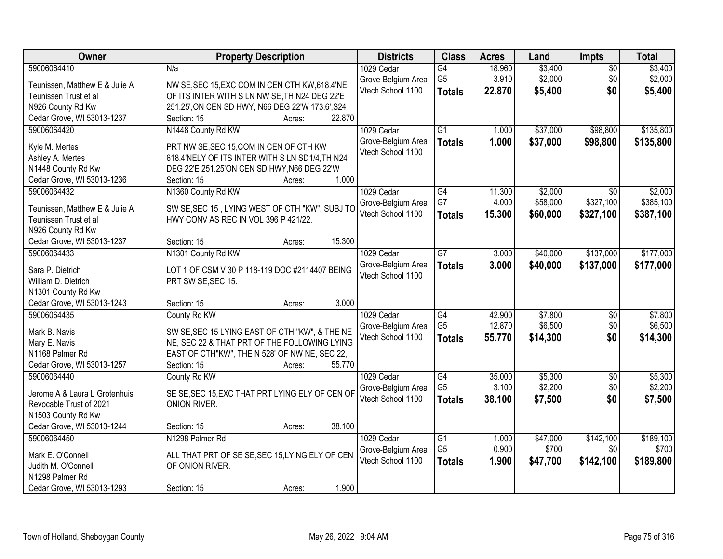| Owner                                  | <b>Property Description</b>                                                                    | <b>Districts</b>   | <b>Class</b>    | <b>Acres</b> | Land     | <b>Impts</b>    | <b>Total</b> |
|----------------------------------------|------------------------------------------------------------------------------------------------|--------------------|-----------------|--------------|----------|-----------------|--------------|
| 59006064410                            | N/a                                                                                            | 1029 Cedar         | $\overline{G4}$ | 18.960       | \$3,400  | $\overline{50}$ | \$3,400      |
| Teunissen, Matthew E & Julie A         | NW SE, SEC 15, EXC COM IN CEN CTH KW, 618.4'NE                                                 | Grove-Belgium Area | G <sub>5</sub>  | 3.910        | \$2,000  | \$0             | \$2,000      |
| Teunissen Trust et al                  | OF ITS INTER WITH S LN NW SE, TH N24 DEG 22'E                                                  | Vtech School 1100  | <b>Totals</b>   | 22,870       | \$5,400  | \$0             | \$5,400      |
| N926 County Rd Kw                      | 251.25', ON CEN SD HWY, N66 DEG 22'W 173.6', S24                                               |                    |                 |              |          |                 |              |
| Cedar Grove, WI 53013-1237             | 22.870<br>Section: 15<br>Acres:                                                                |                    |                 |              |          |                 |              |
| 59006064420                            | N1448 County Rd KW                                                                             | 1029 Cedar         | $\overline{G1}$ | 1.000        | \$37,000 | \$98,800        | \$135,800    |
|                                        |                                                                                                | Grove-Belgium Area | <b>Totals</b>   | 1.000        | \$37,000 | \$98,800        | \$135,800    |
| Kyle M. Mertes                         | PRT NW SE, SEC 15, COM IN CEN OF CTH KW                                                        | Vtech School 1100  |                 |              |          |                 |              |
| Ashley A. Mertes<br>N1448 County Rd Kw | 618.4'NELY OF ITS INTER WITH S LN SD1/4, TH N24<br>DEG 22'E 251.25'ON CEN SD HWY, N66 DEG 22'W |                    |                 |              |          |                 |              |
| Cedar Grove, WI 53013-1236             | 1.000<br>Section: 15<br>Acres:                                                                 |                    |                 |              |          |                 |              |
| 59006064432                            | N1360 County Rd KW                                                                             | 1029 Cedar         | G4              | 11.300       | \$2,000  | \$0             | \$2,000      |
|                                        |                                                                                                | Grove-Belgium Area | G7              | 4.000        | \$58,000 | \$327,100       | \$385,100    |
| Teunissen, Matthew E & Julie A         | SW SE, SEC 15, LYING WEST OF CTH "KW", SUBJ TO                                                 | Vtech School 1100  | <b>Totals</b>   | 15.300       | \$60,000 | \$327,100       | \$387,100    |
| Teunissen Trust et al                  | HWY CONV AS REC IN VOL 396 P 421/22.                                                           |                    |                 |              |          |                 |              |
| N926 County Rd Kw                      |                                                                                                |                    |                 |              |          |                 |              |
| Cedar Grove, WI 53013-1237             | 15.300<br>Section: 15<br>Acres:                                                                |                    |                 |              |          |                 |              |
| 59006064433                            | N1301 County Rd KW                                                                             | 1029 Cedar         | $\overline{G}$  | 3.000        | \$40,000 | \$137,000       | \$177,000    |
| Sara P. Dietrich                       | LOT 1 OF CSM V 30 P 118-119 DOC #2114407 BEING                                                 | Grove-Belgium Area | <b>Totals</b>   | 3.000        | \$40,000 | \$137,000       | \$177,000    |
| William D. Dietrich                    | PRT SW SE, SEC 15.                                                                             | Vtech School 1100  |                 |              |          |                 |              |
| N1301 County Rd Kw                     |                                                                                                |                    |                 |              |          |                 |              |
| Cedar Grove, WI 53013-1243             | 3.000<br>Section: 15<br>Acres:                                                                 |                    |                 |              |          |                 |              |
| 59006064435                            | County Rd KW                                                                                   | 1029 Cedar         | $\overline{G4}$ | 42.900       | \$7,800  | $\overline{50}$ | \$7,800      |
| Mark B. Navis                          | SW SE, SEC 15 LYING EAST OF CTH "KW", & THE NE                                                 | Grove-Belgium Area | G <sub>5</sub>  | 12.870       | \$6,500  | \$0             | \$6,500      |
| Mary E. Navis                          | NE, SEC 22 & THAT PRT OF THE FOLLOWING LYING                                                   | Vtech School 1100  | <b>Totals</b>   | 55.770       | \$14,300 | \$0             | \$14,300     |
| N1168 Palmer Rd                        | EAST OF CTH"KW", THE N 528' OF NW NE, SEC 22,                                                  |                    |                 |              |          |                 |              |
| Cedar Grove, WI 53013-1257             | 55.770<br>Section: 15<br>Acres:                                                                |                    |                 |              |          |                 |              |
| 59006064440                            | County Rd KW                                                                                   | 1029 Cedar         | $\overline{G4}$ | 35.000       | \$5,300  | $\sqrt{6}$      | \$5,300      |
|                                        |                                                                                                | Grove-Belgium Area | G <sub>5</sub>  | 3.100        | \$2,200  | \$0             | \$2,200      |
| Jerome A & Laura L Grotenhuis          | SE SE, SEC 15, EXC THAT PRT LYING ELY OF CEN OF                                                | Vtech School 1100  | <b>Totals</b>   | 38.100       | \$7,500  | \$0             | \$7,500      |
| Revocable Trust of 2021                | ONION RIVER.                                                                                   |                    |                 |              |          |                 |              |
| N1503 County Rd Kw                     |                                                                                                |                    |                 |              |          |                 |              |
| Cedar Grove, WI 53013-1244             | 38.100<br>Section: 15<br>Acres:                                                                |                    |                 |              |          |                 |              |
| 59006064450                            | N1298 Palmer Rd                                                                                | 1029 Cedar         | G1              | 1.000        | \$47,000 | \$142,100       | \$189,100    |
| Mark E. O'Connell                      | ALL THAT PRT OF SE SE, SEC 15, LYING ELY OF CEN                                                | Grove-Belgium Area | G <sub>5</sub>  | 0.900        | \$700    | \$0             | \$700        |
| Judith M. O'Connell                    | OF ONION RIVER.                                                                                | Vtech School 1100  | <b>Totals</b>   | 1.900        | \$47,700 | \$142,100       | \$189,800    |
| N1298 Palmer Rd                        |                                                                                                |                    |                 |              |          |                 |              |
| Cedar Grove, WI 53013-1293             | 1.900<br>Section: 15<br>Acres:                                                                 |                    |                 |              |          |                 |              |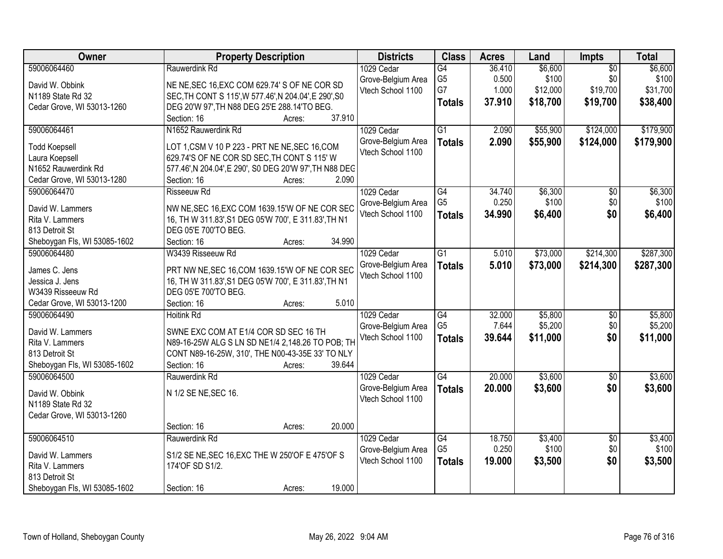| Owner                        | <b>Property Description</b>                             | <b>Districts</b>   | <b>Class</b>                      | <b>Acres</b>    | Land             | Impts                  | <b>Total</b>     |
|------------------------------|---------------------------------------------------------|--------------------|-----------------------------------|-----------------|------------------|------------------------|------------------|
| 59006064460                  | Rauwerdink Rd                                           | 1029 Cedar         | G4                                | 36.410          | \$6,600          | $\overline{50}$        | \$6,600          |
| David W. Obbink              | NE NE, SEC 16, EXC COM 629.74' S OF NE COR SD           | Grove-Belgium Area | G <sub>5</sub>                    | 0.500           | \$100            | \$0                    | \$100            |
| N1189 State Rd 32            | SEC, TH CONT S 115', W 577.46', N 204.04', E 290', S0   | Vtech School 1100  | G7                                | 1.000           | \$12,000         | \$19,700               | \$31,700         |
| Cedar Grove, WI 53013-1260   | DEG 20'W 97', TH N88 DEG 25'E 288.14'TO BEG.            |                    | <b>Totals</b>                     | 37.910          | \$18,700         | \$19,700               | \$38,400         |
|                              | 37.910<br>Section: 16<br>Acres:                         |                    |                                   |                 |                  |                        |                  |
| 59006064461                  | N1652 Rauwerdink Rd                                     | 1029 Cedar         | $\overline{G1}$                   | 2.090           | \$55,900         | \$124,000              | \$179,900        |
| <b>Todd Koepsell</b>         | LOT 1,CSM V 10 P 223 - PRT NE NE, SEC 16, COM           | Grove-Belgium Area | <b>Totals</b>                     | 2.090           | \$55,900         | \$124,000              | \$179,900        |
| Laura Koepsell               | 629.74'S OF NE COR SD SEC, TH CONT S 115' W             | Vtech School 1100  |                                   |                 |                  |                        |                  |
| N1652 Rauwerdink Rd          | 577.46', N 204.04', E 290', S0 DEG 20'W 97', TH N88 DEC |                    |                                   |                 |                  |                        |                  |
| Cedar Grove, WI 53013-1280   | 2.090<br>Section: 16<br>Acres:                          |                    |                                   |                 |                  |                        |                  |
| 59006064470                  | <b>Risseeuw Rd</b>                                      | 1029 Cedar         | $\overline{G4}$                   | 34.740          | \$6,300          | $\overline{50}$        | \$6,300          |
|                              |                                                         | Grove-Belgium Area | G <sub>5</sub>                    | 0.250           | \$100            | \$0                    | \$100            |
| David W. Lammers             | NW NE, SEC 16, EXC COM 1639.15'W OF NE COR SEC          | Vtech School 1100  | <b>Totals</b>                     | 34.990          | \$6,400          | \$0                    | \$6,400          |
| Rita V. Lammers              | 16, TH W 311.83', S1 DEG 05'W 700', E 311.83', TH N1    |                    |                                   |                 |                  |                        |                  |
| 813 Detroit St               | DEG 05'E 700'TO BEG.                                    |                    |                                   |                 |                  |                        |                  |
| Sheboygan Fls, WI 53085-1602 | 34.990<br>Section: 16<br>Acres:                         |                    |                                   |                 |                  |                        |                  |
| 59006064480                  | W3439 Risseeuw Rd                                       | 1029 Cedar         | $\overline{G1}$                   | 5.010           | \$73,000         | \$214,300              | \$287,300        |
| James C. Jens                | PRT NW NE, SEC 16, COM 1639.15'W OF NE COR SEC          | Grove-Belgium Area | <b>Totals</b>                     | 5.010           | \$73,000         | \$214,300              | \$287,300        |
| Jessica J. Jens              | 16, TH W 311.83', S1 DEG 05'W 700', E 311.83', TH N1    | Vtech School 1100  |                                   |                 |                  |                        |                  |
| W3439 Risseeuw Rd            | DEG 05'E 700'TO BEG.                                    |                    |                                   |                 |                  |                        |                  |
| Cedar Grove, WI 53013-1200   | 5.010<br>Section: 16<br>Acres:                          |                    |                                   |                 |                  |                        |                  |
| 59006064490                  | <b>Hoitink Rd</b>                                       | 1029 Cedar         | $\overline{G4}$                   | 32.000          | \$5,800          | \$0                    | \$5,800          |
| David W. Lammers             | SWNE EXC COM AT E1/4 COR SD SEC 16 TH                   | Grove-Belgium Area | G <sub>5</sub>                    | 7.644           | \$5,200          | \$0                    | \$5,200          |
| Rita V. Lammers              | N89-16-25W ALG S LN SD NE1/4 2,148.26 TO POB; TH        | Vtech School 1100  | <b>Totals</b>                     | 39.644          | \$11,000         | \$0                    | \$11,000         |
| 813 Detroit St               | CONT N89-16-25W, 310', THE N00-43-35E 33' TO NLY        |                    |                                   |                 |                  |                        |                  |
| Sheboygan Fls, WI 53085-1602 | Section: 16<br>39.644<br>Acres:                         |                    |                                   |                 |                  |                        |                  |
| 59006064500                  | Rauwerdink Rd                                           | 1029 Cedar         | $\overline{G4}$                   | 20.000          | \$3,600          | $\overline{60}$        | \$3,600          |
|                              |                                                         | Grove-Belgium Area | <b>Totals</b>                     | 20.000          | \$3,600          | \$0                    | \$3,600          |
| David W. Obbink              | N 1/2 SE NE, SEC 16.                                    | Vtech School 1100  |                                   |                 |                  |                        |                  |
| N1189 State Rd 32            |                                                         |                    |                                   |                 |                  |                        |                  |
| Cedar Grove, WI 53013-1260   |                                                         |                    |                                   |                 |                  |                        |                  |
|                              | 20.000<br>Section: 16<br>Acres:                         |                    |                                   |                 |                  |                        |                  |
| 59006064510                  | Rauwerdink Rd                                           | 1029 Cedar         | $\overline{G4}$<br>G <sub>5</sub> | 18.750<br>0.250 | \$3,400<br>\$100 | $\overline{50}$<br>\$0 | \$3,400<br>\$100 |
| David W. Lammers             | S1/2 SE NE, SEC 16, EXC THE W 250'OF E 475'OF S         | Grove-Belgium Area |                                   |                 |                  |                        |                  |
| Rita V. Lammers              | 174'OF SD S1/2.                                         | Vtech School 1100  | <b>Totals</b>                     | 19.000          | \$3,500          | \$0                    | \$3,500          |
| 813 Detroit St               |                                                         |                    |                                   |                 |                  |                        |                  |
| Sheboygan Fls, WI 53085-1602 | 19.000<br>Section: 16<br>Acres:                         |                    |                                   |                 |                  |                        |                  |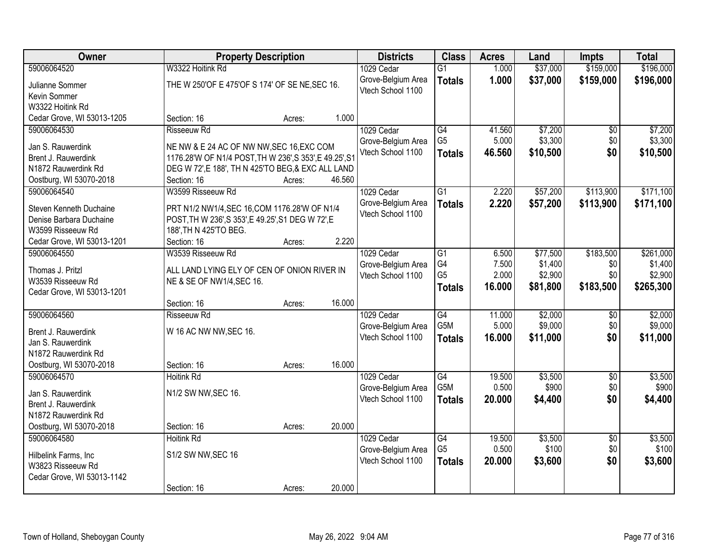| Owner                                    | <b>Property Description</b>                                              |        |        | <b>Districts</b>   | <b>Class</b>    | <b>Acres</b> | Land     | <b>Impts</b>    | <b>Total</b> |
|------------------------------------------|--------------------------------------------------------------------------|--------|--------|--------------------|-----------------|--------------|----------|-----------------|--------------|
| 59006064520                              | W3322 Hoitink Rd                                                         |        |        | 1029 Cedar         | $\overline{G1}$ | 1.000        | \$37,000 | \$159,000       | \$196,000    |
| Julianne Sommer                          | THE W 250'OF E 475'OF S 174' OF SE NE, SEC 16.                           |        |        | Grove-Belgium Area | <b>Totals</b>   | 1.000        | \$37,000 | \$159,000       | \$196,000    |
| Kevin Sommer                             |                                                                          |        |        | Vtech School 1100  |                 |              |          |                 |              |
| W3322 Hoitink Rd                         |                                                                          |        |        |                    |                 |              |          |                 |              |
| Cedar Grove, WI 53013-1205               | Section: 16                                                              | Acres: | 1.000  |                    |                 |              |          |                 |              |
| 59006064530                              | <b>Risseeuw Rd</b>                                                       |        |        | 1029 Cedar         | $\overline{G4}$ | 41.560       | \$7,200  | \$0             | \$7,200      |
| Jan S. Rauwerdink                        | NE NW & E 24 AC OF NW NW, SEC 16, EXC COM                                |        |        | Grove-Belgium Area | G <sub>5</sub>  | 5.000        | \$3,300  | \$0             | \$3,300      |
| Brent J. Rauwerdink                      | 1176.28'W OF N1/4 POST, TH W 236', S 353', E 49.25', S1                  |        |        | Vtech School 1100  | <b>Totals</b>   | 46.560       | \$10,500 | \$0             | \$10,500     |
| N1872 Rauwerdink Rd                      | DEG W 72', E 188', TH N 425'TO BEG, & EXC ALL LAND                       |        |        |                    |                 |              |          |                 |              |
| Oostburg, WI 53070-2018                  | Section: 16                                                              | Acres: | 46.560 |                    |                 |              |          |                 |              |
| 59006064540                              | W3599 Risseeuw Rd                                                        |        |        | 1029 Cedar         | $\overline{G1}$ | 2.220        | \$57,200 | \$113,900       | \$171,100    |
| Steven Kenneth Duchaine                  | PRT N1/2 NW1/4, SEC 16, COM 1176.28'W OF N1/4                            |        |        | Grove-Belgium Area | <b>Totals</b>   | 2.220        | \$57,200 | \$113,900       | \$171,100    |
| Denise Barbara Duchaine                  | POST, TH W 236', S 353', E 49.25', S1 DEG W 72', E                       |        |        | Vtech School 1100  |                 |              |          |                 |              |
| W3599 Risseeuw Rd                        | 188', TH N 425'TO BEG.                                                   |        |        |                    |                 |              |          |                 |              |
| Cedar Grove, WI 53013-1201               | Section: 16                                                              | Acres: | 2.220  |                    |                 |              |          |                 |              |
| 59006064550                              | W3539 Risseeuw Rd                                                        |        |        | 1029 Cedar         | G1              | 6.500        | \$77,500 | \$183,500       | \$261,000    |
|                                          |                                                                          |        |        | Grove-Belgium Area | G4              | 7.500        | \$1,400  | \$0             | \$1,400      |
| Thomas J. Pritzl<br>W3539 Risseeuw Rd    | ALL LAND LYING ELY OF CEN OF ONION RIVER IN<br>NE & SE OF NW1/4, SEC 16. |        |        | Vtech School 1100  | G <sub>5</sub>  | 2.000        | \$2,900  | \$0             | \$2,900      |
| Cedar Grove, WI 53013-1201               |                                                                          |        |        |                    | <b>Totals</b>   | 16.000       | \$81,800 | \$183,500       | \$265,300    |
|                                          | Section: 16                                                              | Acres: | 16.000 |                    |                 |              |          |                 |              |
| 59006064560                              | Risseeuw Rd                                                              |        |        | 1029 Cedar         | G4              | 11.000       | \$2,000  | $\overline{50}$ | \$2,000      |
|                                          |                                                                          |        |        | Grove-Belgium Area | G5M             | 5.000        | \$9,000  | \$0             | \$9,000      |
| Brent J. Rauwerdink                      | W 16 AC NW NW, SEC 16.                                                   |        |        | Vtech School 1100  | <b>Totals</b>   | 16.000       | \$11,000 | \$0             | \$11,000     |
| Jan S. Rauwerdink<br>N1872 Rauwerdink Rd |                                                                          |        |        |                    |                 |              |          |                 |              |
| Oostburg, WI 53070-2018                  | Section: 16                                                              | Acres: | 16.000 |                    |                 |              |          |                 |              |
| 59006064570                              | <b>Hoitink Rd</b>                                                        |        |        | 1029 Cedar         | G4              | 19.500       | \$3,500  | $\overline{50}$ | \$3,500      |
|                                          |                                                                          |        |        | Grove-Belgium Area | G5M             | 0.500        | \$900    | \$0             | \$900        |
| Jan S. Rauwerdink                        | N1/2 SW NW, SEC 16.                                                      |        |        | Vtech School 1100  | <b>Totals</b>   | 20.000       | \$4,400  | \$0             | \$4,400      |
| Brent J. Rauwerdink                      |                                                                          |        |        |                    |                 |              |          |                 |              |
| N1872 Rauwerdink Rd                      | Section: 16                                                              |        | 20.000 |                    |                 |              |          |                 |              |
| Oostburg, WI 53070-2018<br>59006064580   | <b>Hoitink Rd</b>                                                        | Acres: |        | 1029 Cedar         | $\overline{G4}$ | 19.500       | \$3,500  | $\overline{50}$ | \$3,500      |
|                                          |                                                                          |        |        | Grove-Belgium Area | G <sub>5</sub>  | 0.500        | \$100    | \$0             | \$100        |
| Hilbelink Farms, Inc                     | S1/2 SW NW, SEC 16                                                       |        |        | Vtech School 1100  | <b>Totals</b>   | 20.000       | \$3,600  | \$0             | \$3,600      |
| W3823 Risseeuw Rd                        |                                                                          |        |        |                    |                 |              |          |                 |              |
| Cedar Grove, WI 53013-1142               |                                                                          |        |        |                    |                 |              |          |                 |              |
|                                          | Section: 16                                                              | Acres: | 20.000 |                    |                 |              |          |                 |              |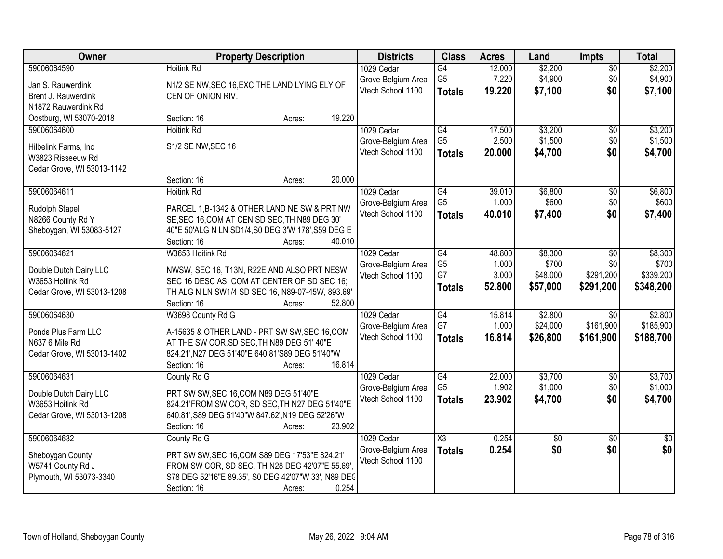| Owner                                                                                   | <b>Property Description</b>                                                                                                                                                                                 | <b>Districts</b>                                      | <b>Class</b>                                       | <b>Acres</b>                       | Land                                     | <b>Impts</b>                                   | <b>Total</b>                               |
|-----------------------------------------------------------------------------------------|-------------------------------------------------------------------------------------------------------------------------------------------------------------------------------------------------------------|-------------------------------------------------------|----------------------------------------------------|------------------------------------|------------------------------------------|------------------------------------------------|--------------------------------------------|
| 59006064590<br>Jan S. Rauwerdink<br>Brent J. Rauwerdink<br>N1872 Rauwerdink Rd          | <b>Hoitink Rd</b><br>N1/2 SE NW, SEC 16, EXC THE LAND LYING ELY OF<br>CEN OF ONION RIV.                                                                                                                     | 1029 Cedar<br>Grove-Belgium Area<br>Vtech School 1100 | G4<br>G <sub>5</sub><br><b>Totals</b>              | 12.000<br>7.220<br>19.220          | \$2,200<br>\$4,900<br>\$7,100            | $\overline{50}$<br>\$0<br>\$0                  | \$2,200<br>\$4,900<br>\$7,100              |
| Oostburg, WI 53070-2018                                                                 | 19.220<br>Section: 16<br>Acres:                                                                                                                                                                             |                                                       |                                                    |                                    |                                          |                                                |                                            |
| 59006064600<br>Hilbelink Farms, Inc<br>W3823 Risseeuw Rd<br>Cedar Grove, WI 53013-1142  | <b>Hoitink Rd</b><br>S1/2 SE NW, SEC 16                                                                                                                                                                     | 1029 Cedar<br>Grove-Belgium Area<br>Vtech School 1100 | G4<br>G <sub>5</sub><br><b>Totals</b>              | 17.500<br>2.500<br>20.000          | \$3,200<br>\$1,500<br>\$4,700            | $\overline{60}$<br>\$0<br>\$0                  | \$3,200<br>\$1,500<br>\$4,700              |
|                                                                                         | 20.000<br>Section: 16<br>Acres:                                                                                                                                                                             |                                                       |                                                    |                                    |                                          |                                                |                                            |
| 59006064611<br>Rudolph Stapel<br>N8266 County Rd Y<br>Sheboygan, WI 53083-5127          | <b>Hoitink Rd</b><br>PARCEL 1, B-1342 & OTHER LAND NE SW & PRT NW<br>SE, SEC 16, COM AT CEN SD SEC, TH N89 DEG 30'<br>40"E 50'ALG N LN SD1/4, S0 DEG 3'W 178', S59 DEG E<br>40.010<br>Section: 16<br>Acres: | 1029 Cedar<br>Grove-Belgium Area<br>Vtech School 1100 | $\overline{G4}$<br>G <sub>5</sub><br><b>Totals</b> | 39.010<br>1.000<br>40.010          | \$6,800<br>\$600<br>\$7,400              | $\overline{50}$<br>\$0<br>\$0                  | \$6,800<br>\$600<br>\$7,400                |
| 59006064621<br>Double Dutch Dairy LLC<br>W3653 Hoitink Rd<br>Cedar Grove, WI 53013-1208 | W3653 Hoitink Rd<br>NWSW, SEC 16, T13N, R22E AND ALSO PRT NESW<br>SEC 16 DESC AS: COM AT CENTER OF SD SEC 16;<br>TH ALG N LN SW1/4 SD SEC 16, N89-07-45W, 893.69'<br>Section: 16<br>52.800<br>Acres:        | 1029 Cedar<br>Grove-Belgium Area<br>Vtech School 1100 | G4<br>G <sub>5</sub><br>G7<br><b>Totals</b>        | 48.800<br>1.000<br>3.000<br>52.800 | \$8,300<br>\$700<br>\$48,000<br>\$57,000 | $\sqrt[6]{3}$<br>\$0<br>\$291,200<br>\$291,200 | \$8,300<br>\$700<br>\$339,200<br>\$348,200 |
| 59006064630<br>Ponds Plus Farm LLC<br>N637 6 Mile Rd<br>Cedar Grove, WI 53013-1402      | W3698 County Rd G<br>A-15635 & OTHER LAND - PRT SW SW, SEC 16, COM<br>AT THE SW COR, SD SEC, TH N89 DEG 51' 40"E<br>824.21', N27 DEG 51'40"E 640.81'S89 DEG 51'40"W<br>16.814<br>Section: 16<br>Acres:      | 1029 Cedar<br>Grove-Belgium Area<br>Vtech School 1100 | G4<br>G7<br><b>Totals</b>                          | 15.814<br>1.000<br>16.814          | \$2,800<br>\$24,000<br>\$26,800          | $\overline{30}$<br>\$161,900<br>\$161,900      | \$2,800<br>\$185,900<br>\$188,700          |
| 59006064631<br>Double Dutch Dairy LLC<br>W3653 Hoitink Rd<br>Cedar Grove, WI 53013-1208 | County Rd G<br>PRT SW SW, SEC 16, COM N89 DEG 51'40"E<br>824.21'FROM SW COR, SD SEC, TH N27 DEG 51'40"E<br>640.81', S89 DEG 51'40"W 847.62', N19 DEG 52'26"W<br>23.902<br>Section: 16<br>Acres:             | 1029 Cedar<br>Grove-Belgium Area<br>Vtech School 1100 | G4<br>G <sub>5</sub><br><b>Totals</b>              | 22.000<br>1.902<br>23.902          | \$3,700<br>\$1,000<br>\$4,700            | $\sqrt{6}$<br>\$0<br>\$0                       | \$3,700<br>\$1,000<br>\$4,700              |
| 59006064632<br>Sheboygan County<br>W5741 County Rd J<br>Plymouth, WI 53073-3340         | County Rd G<br>PRT SW SW, SEC 16, COM S89 DEG 17'53"E 824.21'<br>FROM SW COR, SD SEC, TH N28 DEG 42'07"E 55.69',<br>S78 DEG 52'16"E 89.35', S0 DEG 42'07"W 33', N89 DEC<br>0.254<br>Section: 16<br>Acres:   | 1029 Cedar<br>Grove-Belgium Area<br>Vtech School 1100 | $\overline{\text{X3}}$<br><b>Totals</b>            | 0.254<br>0.254                     | $\sqrt{50}$<br>\$0                       | $\overline{50}$<br>\$0                         | $\overline{50}$<br>\$0                     |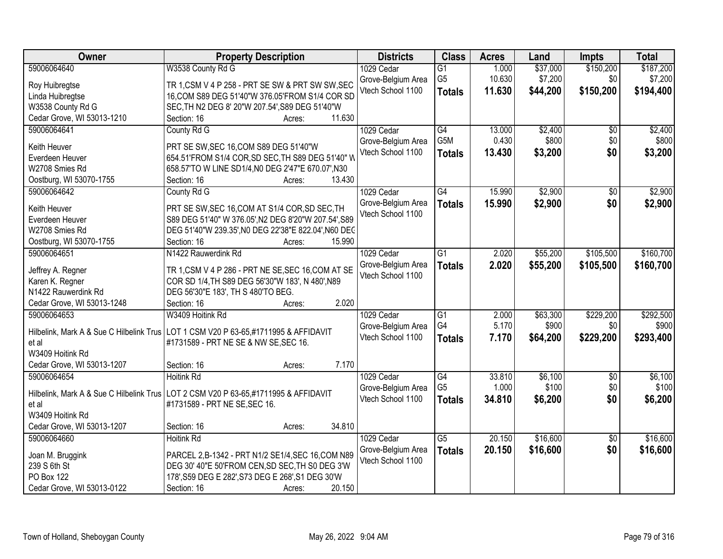| Owner                           | <b>Property Description</b>                                                                 | <b>Districts</b>   | <b>Class</b>     | <b>Acres</b> | Land     | <b>Impts</b>    | <b>Total</b> |
|---------------------------------|---------------------------------------------------------------------------------------------|--------------------|------------------|--------------|----------|-----------------|--------------|
| 59006064640                     | W3538 County Rd G                                                                           | 1029 Cedar         | $\overline{G1}$  | 1.000        | \$37,000 | \$150,200       | \$187,200    |
| Roy Huibregtse                  | TR 1, CSM V 4 P 258 - PRT SE SW & PRT SW SW, SEC                                            | Grove-Belgium Area | G <sub>5</sub>   | 10.630       | \$7,200  | \$0             | \$7,200      |
| Linda Huibregtse                | 16, COM S89 DEG 51'40"W 376.05'FROM S1/4 COR SD                                             | Vtech School 1100  | <b>Totals</b>    | 11.630       | \$44,200 | \$150,200       | \$194,400    |
| W3538 County Rd G               | SEC, TH N2 DEG 8' 20"W 207.54', S89 DEG 51'40"W                                             |                    |                  |              |          |                 |              |
| Cedar Grove, WI 53013-1210      | 11.630<br>Section: 16<br>Acres:                                                             |                    |                  |              |          |                 |              |
| 59006064641                     | County Rd G                                                                                 | 1029 Cedar         | G4               | 13.000       | \$2,400  | \$0             | \$2,400      |
|                                 |                                                                                             | Grove-Belgium Area | G <sub>5</sub> M | 0.430        | \$800    | \$0             | \$800        |
| Keith Heuver<br>Everdeen Heuver | PRT SE SW, SEC 16, COM S89 DEG 51'40"W<br>654.51'FROM S1/4 COR, SD SEC, TH S89 DEG 51'40" W | Vtech School 1100  | <b>Totals</b>    | 13.430       | \$3,200  | \$0             | \$3,200      |
| W2708 Smies Rd                  | 658.57'TO W LINE SD1/4, N0 DEG 2'47"E 670.07', N30                                          |                    |                  |              |          |                 |              |
| Oostburg, WI 53070-1755         | 13.430<br>Section: 16<br>Acres:                                                             |                    |                  |              |          |                 |              |
| 59006064642                     | County Rd G                                                                                 | 1029 Cedar         | $\overline{G4}$  | 15.990       | \$2,900  | $\overline{50}$ | \$2,900      |
|                                 |                                                                                             | Grove-Belgium Area | <b>Totals</b>    | 15.990       | \$2,900  | \$0             | \$2,900      |
| Keith Heuver                    | PRT SE SW, SEC 16, COM AT S1/4 COR, SD SEC, TH                                              | Vtech School 1100  |                  |              |          |                 |              |
| Everdeen Heuver                 | S89 DEG 51'40" W 376.05', N2 DEG 8'20"W 207.54', S89                                        |                    |                  |              |          |                 |              |
| W2708 Smies Rd                  | DEG 51'40"W 239.35', N0 DEG 22'38"E 822.04', N60 DEC                                        |                    |                  |              |          |                 |              |
| Oostburg, WI 53070-1755         | Section: 16<br>15.990<br>Acres:                                                             |                    |                  |              |          |                 |              |
| 59006064651                     | N1422 Rauwerdink Rd                                                                         | 1029 Cedar         | $\overline{G1}$  | 2.020        | \$55,200 | \$105,500       | \$160,700    |
| Jeffrey A. Regner               | TR 1, CSM V 4 P 286 - PRT NE SE, SEC 16, COM AT SE                                          | Grove-Belgium Area | <b>Totals</b>    | 2.020        | \$55,200 | \$105,500       | \$160,700    |
| Karen K. Regner                 | COR SD 1/4, TH S89 DEG 56'30"W 183', N 480', N89                                            | Vtech School 1100  |                  |              |          |                 |              |
| N1422 Rauwerdink Rd             | DEG 56'30"E 183', TH S 480'TO BEG.                                                          |                    |                  |              |          |                 |              |
| Cedar Grove, WI 53013-1248      | 2.020<br>Section: 16<br>Acres:                                                              |                    |                  |              |          |                 |              |
| 59006064653                     | W3409 Hoitink Rd                                                                            | 1029 Cedar         | $\overline{G1}$  | 2.000        | \$63,300 | \$229,200       | \$292,500    |
|                                 |                                                                                             | Grove-Belgium Area | G4               | 5.170        | \$900    | \$0             | \$900        |
|                                 | Hilbelink, Mark A & Sue C Hilbelink Trus   LOT 1 CSM V20 P 63-65,#1711995 & AFFIDAVIT       | Vtech School 1100  | <b>Totals</b>    | 7.170        | \$64,200 | \$229,200       | \$293,400    |
| et al<br>W3409 Hoitink Rd       | #1731589 - PRT NE SE & NW SE, SEC 16.                                                       |                    |                  |              |          |                 |              |
| Cedar Grove, WI 53013-1207      | 7.170<br>Section: 16                                                                        |                    |                  |              |          |                 |              |
| 59006064654                     | Acres:<br><b>Hoitink Rd</b>                                                                 | 1029 Cedar         | $\overline{G4}$  | 33.810       | \$6,100  | $\overline{50}$ | \$6,100      |
|                                 |                                                                                             | Grove-Belgium Area | G <sub>5</sub>   | 1.000        | \$100    | \$0             | \$100        |
|                                 | Hilbelink, Mark A & Sue C Hilbelink Trus LOT 2 CSM V20 P 63-65,#1711995 & AFFIDAVIT         | Vtech School 1100  |                  | 34.810       | \$6,200  | \$0             | \$6,200      |
| et al                           | #1731589 - PRT NE SE, SEC 16.                                                               |                    | <b>Totals</b>    |              |          |                 |              |
| W3409 Hoitink Rd                |                                                                                             |                    |                  |              |          |                 |              |
| Cedar Grove, WI 53013-1207      | 34.810<br>Section: 16<br>Acres:                                                             |                    |                  |              |          |                 |              |
| 59006064660                     | <b>Hoitink Rd</b>                                                                           | 1029 Cedar         | $\overline{G5}$  | 20.150       | \$16,600 | $\overline{30}$ | \$16,600     |
| Joan M. Bruggink                | PARCEL 2, B-1342 - PRT N1/2 SE1/4, SEC 16, COM N89                                          | Grove-Belgium Area | <b>Totals</b>    | 20.150       | \$16,600 | \$0             | \$16,600     |
| 239 S 6th St                    | DEG 30' 40"E 50'FROM CEN, SD SEC, TH S0 DEG 3'W                                             | Vtech School 1100  |                  |              |          |                 |              |
| PO Box 122                      | 178', S59 DEG E 282', S73 DEG E 268', S1 DEG 30'W                                           |                    |                  |              |          |                 |              |
| Cedar Grove, WI 53013-0122      | 20.150<br>Section: 16<br>Acres:                                                             |                    |                  |              |          |                 |              |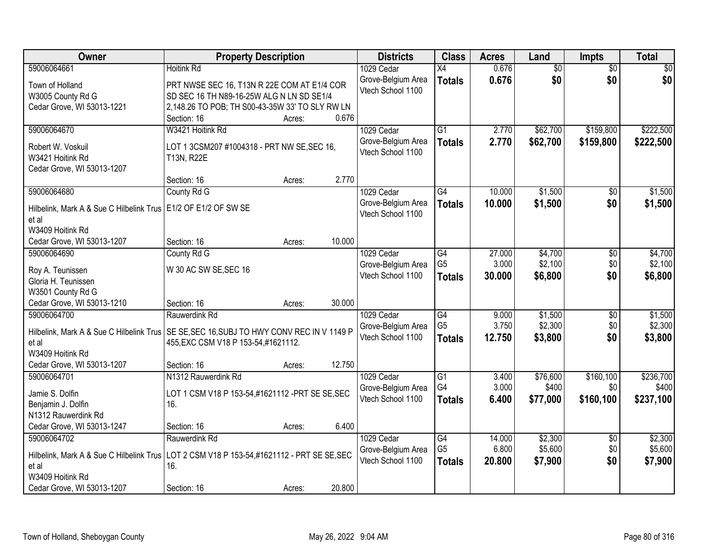| Owner                                                                                                              | <b>Property Description</b>                                                                                                                                                   | <b>Districts</b>                                      | <b>Class</b>                                       | <b>Acres</b>              | Land                          | <b>Impts</b>                   | <b>Total</b>                    |
|--------------------------------------------------------------------------------------------------------------------|-------------------------------------------------------------------------------------------------------------------------------------------------------------------------------|-------------------------------------------------------|----------------------------------------------------|---------------------------|-------------------------------|--------------------------------|---------------------------------|
| 59006064661                                                                                                        | <b>Hoitink Rd</b>                                                                                                                                                             | 1029 Cedar                                            | $\overline{X4}$                                    | 0.676                     | $\overline{50}$               | $\overline{50}$                | $\overline{30}$                 |
| Town of Holland<br>W3005 County Rd G<br>Cedar Grove, WI 53013-1221                                                 | PRT NWSE SEC 16, T13N R 22E COM AT E1/4 COR<br>SD SEC 16 TH N89-16-25W ALG N LN SD SE1/4<br>2,148.26 TO POB; TH S00-43-35W 33' TO SLY RW LN<br>0.676<br>Section: 16<br>Acres: | Grove-Belgium Area<br>Vtech School 1100               | <b>Totals</b>                                      | 0.676                     | \$0                           | \$0                            | \$0                             |
| 59006064670                                                                                                        | W3421 Hoitink Rd                                                                                                                                                              | 1029 Cedar                                            | $\overline{G1}$                                    | 2.770                     | \$62,700                      | \$159,800                      | \$222,500                       |
| Robert W. Voskuil<br>W3421 Hoitink Rd<br>Cedar Grove, WI 53013-1207                                                | LOT 1 3CSM207 #1004318 - PRT NW SE, SEC 16,<br>T13N, R22E                                                                                                                     | Grove-Belgium Area<br>Vtech School 1100               | <b>Totals</b>                                      | 2.770                     | \$62,700                      | \$159,800                      | \$222,500                       |
|                                                                                                                    | 2.770<br>Section: 16<br>Acres:                                                                                                                                                |                                                       |                                                    |                           |                               |                                |                                 |
| 59006064680                                                                                                        | County Rd G                                                                                                                                                                   | 1029 Cedar                                            | G4                                                 | 10.000                    | \$1,500                       | $\sqrt{6}$                     | \$1,500                         |
| Hilbelink, Mark A & Sue C Hilbelink Trus   E1/2 OF E1/2 OF SW SE<br>et al<br>W3409 Hoitink Rd                      |                                                                                                                                                                               | Grove-Belgium Area<br>Vtech School 1100               | <b>Totals</b>                                      | 10.000                    | \$1,500                       | \$0                            | \$1,500                         |
| Cedar Grove, WI 53013-1207                                                                                         | 10.000<br>Section: 16<br>Acres:                                                                                                                                               |                                                       |                                                    |                           |                               |                                |                                 |
| 59006064690                                                                                                        | County Rd G                                                                                                                                                                   | 1029 Cedar                                            | G4                                                 | 27.000                    | \$4,700                       | \$0                            | \$4,700                         |
| Roy A. Teunissen<br>Gloria H. Teunissen<br>W3501 County Rd G                                                       | W 30 AC SW SE, SEC 16                                                                                                                                                         | Grove-Belgium Area<br>Vtech School 1100               | G <sub>5</sub><br><b>Totals</b>                    | 3.000<br>30.000           | \$2,100<br>\$6,800            | \$0<br>\$0                     | \$2,100<br>\$6,800              |
| Cedar Grove, WI 53013-1210                                                                                         | 30.000<br>Section: 16<br>Acres:                                                                                                                                               |                                                       |                                                    |                           |                               |                                |                                 |
| 59006064700<br>et al<br>W3409 Hoitink Rd                                                                           | Rauwerdink Rd<br>Hilbelink, Mark A & Sue C Hilbelink Trus   SE SE, SEC 16, SUBJ TO HWY CONV REC IN V 1149 P<br>455, EXC CSM V18 P 153-54, #1621112.                           | 1029 Cedar<br>Grove-Belgium Area<br>Vtech School 1100 | $\overline{G4}$<br>G <sub>5</sub><br><b>Totals</b> | 9.000<br>3.750<br>12.750  | \$1,500<br>\$2,300<br>\$3,800 | $\overline{50}$<br>\$0<br>\$0  | \$1,500<br>\$2,300<br>\$3,800   |
| Cedar Grove, WI 53013-1207                                                                                         | 12.750<br>Section: 16<br>Acres:                                                                                                                                               |                                                       |                                                    |                           |                               |                                |                                 |
| 59006064701<br>Jamie S. Dolfin<br>Benjamin J. Dolfin<br>N1312 Rauwerdink Rd                                        | N1312 Rauwerdink Rd<br>LOT 1 CSM V18 P 153-54,#1621112 - PRT SE SE, SEC<br>16.                                                                                                | 1029 Cedar<br>Grove-Belgium Area<br>Vtech School 1100 | $\overline{G1}$<br>G4<br><b>Totals</b>             | 3.400<br>3.000<br>6.400   | \$76,600<br>\$400<br>\$77,000 | \$160, 100<br>\$0<br>\$160,100 | \$236,700<br>\$400<br>\$237,100 |
| Cedar Grove, WI 53013-1247                                                                                         | 6.400<br>Section: 16<br>Acres:                                                                                                                                                |                                                       |                                                    |                           |                               |                                |                                 |
| 59006064702<br>Hilbelink, Mark A & Sue C Hilbelink Trus<br>et al<br>W3409 Hoitink Rd<br>Cedar Grove, WI 53013-1207 | Rauwerdink Rd<br>LOT 2 CSM V18 P 153-54,#1621112 - PRT SE SE,SEC<br>16.<br>20.800<br>Section: 16<br>Acres:                                                                    | 1029 Cedar<br>Grove-Belgium Area<br>Vtech School 1100 | G4<br>G <sub>5</sub><br><b>Totals</b>              | 14.000<br>6.800<br>20,800 | \$2,300<br>\$5,600<br>\$7,900 | $\overline{30}$<br>\$0<br>\$0  | \$2,300<br>\$5,600<br>\$7,900   |
|                                                                                                                    |                                                                                                                                                                               |                                                       |                                                    |                           |                               |                                |                                 |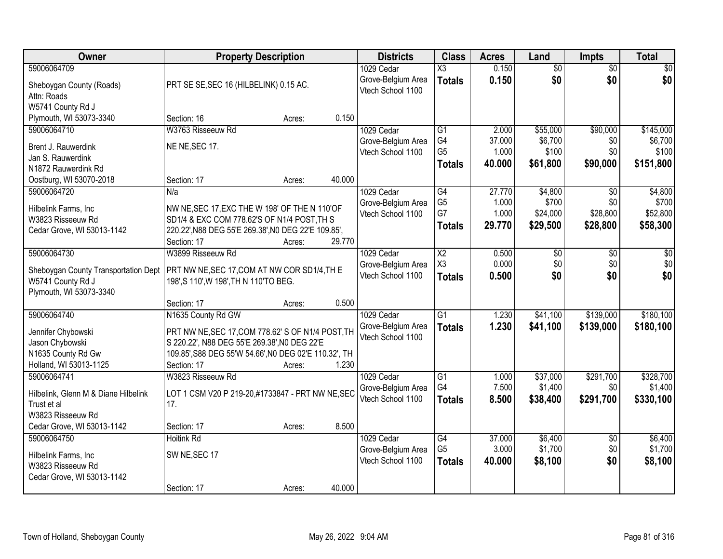| Owner                                |                                                       | <b>Property Description</b> |        | <b>Districts</b>   | <b>Class</b>           | <b>Acres</b> | Land            | <b>Impts</b>    | <b>Total</b>    |
|--------------------------------------|-------------------------------------------------------|-----------------------------|--------|--------------------|------------------------|--------------|-----------------|-----------------|-----------------|
| 59006064709                          |                                                       |                             |        | 1029 Cedar         | $\overline{\text{X3}}$ | 0.150        | $\overline{50}$ | $\overline{50}$ | $\overline{30}$ |
| Sheboygan County (Roads)             | PRT SE SE, SEC 16 (HILBELINK) 0.15 AC.                |                             |        | Grove-Belgium Area | <b>Totals</b>          | 0.150        | \$0             | \$0             | \$0             |
| Attn: Roads                          |                                                       |                             |        | Vtech School 1100  |                        |              |                 |                 |                 |
| W5741 County Rd J                    |                                                       |                             |        |                    |                        |              |                 |                 |                 |
| Plymouth, WI 53073-3340              | Section: 16                                           | Acres:                      | 0.150  |                    |                        |              |                 |                 |                 |
| 59006064710                          | W3763 Risseeuw Rd                                     |                             |        | 1029 Cedar         | $\overline{G1}$        | 2.000        | \$55,000        | \$90,000        | \$145,000       |
| Brent J. Rauwerdink                  | NE NE, SEC 17.                                        |                             |        | Grove-Belgium Area | G4                     | 37.000       | \$6,700         | \$0             | \$6,700         |
| Jan S. Rauwerdink                    |                                                       |                             |        | Vtech School 1100  | G <sub>5</sub>         | 1.000        | \$100           | \$0             | \$100           |
| N1872 Rauwerdink Rd                  |                                                       |                             |        |                    | <b>Totals</b>          | 40.000       | \$61,800        | \$90,000        | \$151,800       |
| Oostburg, WI 53070-2018              | Section: 17                                           | Acres:                      | 40.000 |                    |                        |              |                 |                 |                 |
| 59006064720                          | N/a                                                   |                             |        | 1029 Cedar         | $\overline{G4}$        | 27.770       | \$4,800         | \$0             | \$4,800         |
| Hilbelink Farms, Inc                 | NW NE, SEC 17, EXC THE W 198' OF THE N 110'OF         |                             |        | Grove-Belgium Area | G <sub>5</sub>         | 1.000        | \$700           | \$0             | \$700           |
| W3823 Risseeuw Rd                    | SD1/4 & EXC COM 778.62'S OF N1/4 POST, TH S           |                             |        | Vtech School 1100  | G7                     | 1.000        | \$24,000        | \$28,800        | \$52,800        |
| Cedar Grove, WI 53013-1142           | 220.22', N88 DEG 55'E 269.38', N0 DEG 22'E 109.85',   |                             |        |                    | <b>Totals</b>          | 29.770       | \$29,500        | \$28,800        | \$58,300        |
|                                      | Section: 17                                           | Acres:                      | 29.770 |                    |                        |              |                 |                 |                 |
| 59006064730                          | W3899 Risseeuw Rd                                     |                             |        | 1029 Cedar         | $\overline{X2}$        | 0.500        | \$0             | \$0             | \$0             |
| Sheboygan County Transportation Dept | PRT NW NE, SEC 17, COM AT NW COR SD1/4, TH E          |                             |        | Grove-Belgium Area | X <sub>3</sub>         | 0.000        | \$0             | \$0             | \$0             |
| W5741 County Rd J                    | 198', S 110', W 198', TH N 110'TO BEG.                |                             |        | Vtech School 1100  | <b>Totals</b>          | 0.500        | \$0             | \$0             | \$0             |
| Plymouth, WI 53073-3340              |                                                       |                             |        |                    |                        |              |                 |                 |                 |
|                                      | Section: 17                                           | Acres:                      | 0.500  |                    |                        |              |                 |                 |                 |
| 59006064740                          | N1635 County Rd GW                                    |                             |        | 1029 Cedar         | $\overline{G1}$        | 1.230        | \$41,100        | \$139,000       | \$180,100       |
| Jennifer Chybowski                   | PRT NW NE, SEC 17, COM 778.62' S OF N1/4 POST, TH     |                             |        | Grove-Belgium Area | <b>Totals</b>          | 1.230        | \$41,100        | \$139,000       | \$180,100       |
| Jason Chybowski                      | S 220.22', N88 DEG 55'E 269.38', N0 DEG 22'E          |                             |        | Vtech School 1100  |                        |              |                 |                 |                 |
| N1635 County Rd Gw                   | 109.85', S88 DEG 55'W 54.66', N0 DEG 02'E 110.32', TH |                             |        |                    |                        |              |                 |                 |                 |
| Holland, WI 53013-1125               | Section: 17                                           | Acres:                      | 1.230  |                    |                        |              |                 |                 |                 |
| 59006064741                          | W3823 Risseeuw Rd                                     |                             |        | 1029 Cedar         | $\overline{G1}$        | 1.000        | \$37,000        | \$291,700       | \$328,700       |
| Hilbelink, Glenn M & Diane Hilbelink | LOT 1 CSM V20 P 219-20,#1733847 - PRT NW NE, SEC      |                             |        | Grove-Belgium Area | G4                     | 7.500        | \$1,400         | \$0             | \$1,400         |
| Trust et al                          | 17.                                                   |                             |        | Vtech School 1100  | <b>Totals</b>          | 8.500        | \$38,400        | \$291,700       | \$330,100       |
| W3823 Risseeuw Rd                    |                                                       |                             |        |                    |                        |              |                 |                 |                 |
| Cedar Grove, WI 53013-1142           | Section: 17                                           | Acres:                      | 8.500  |                    |                        |              |                 |                 |                 |
| 59006064750                          | <b>Hoitink Rd</b>                                     |                             |        | 1029 Cedar         | $\overline{G4}$        | 37.000       | \$6,400         | $\overline{30}$ | \$6,400         |
| Hilbelink Farms, Inc                 | SW NE, SEC 17                                         |                             |        | Grove-Belgium Area | G <sub>5</sub>         | 3.000        | \$1,700         | \$0             | \$1,700         |
| W3823 Risseeuw Rd                    |                                                       |                             |        | Vtech School 1100  | <b>Totals</b>          | 40.000       | \$8,100         | \$0             | \$8,100         |
| Cedar Grove, WI 53013-1142           |                                                       |                             |        |                    |                        |              |                 |                 |                 |
|                                      | Section: 17                                           | Acres:                      | 40.000 |                    |                        |              |                 |                 |                 |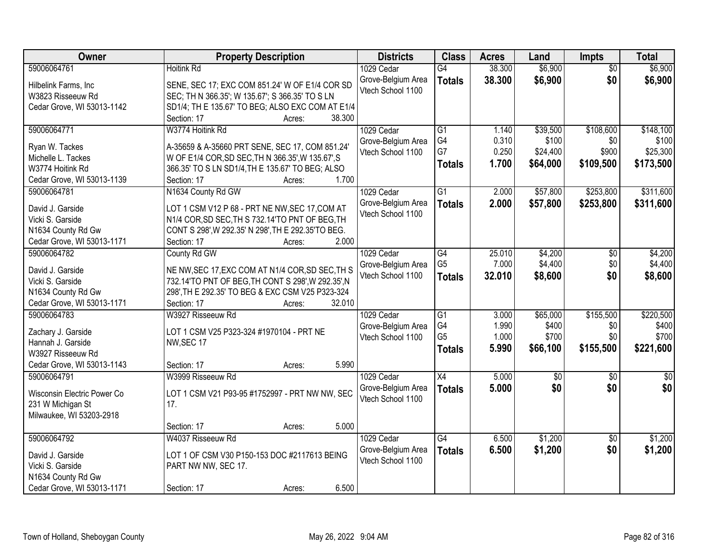| Owner                       | <b>Property Description</b>                        | <b>Districts</b>   | <b>Class</b>    | <b>Acres</b> | Land        | Impts           | <b>Total</b>    |
|-----------------------------|----------------------------------------------------|--------------------|-----------------|--------------|-------------|-----------------|-----------------|
| 59006064761                 | <b>Hoitink Rd</b>                                  | 1029 Cedar         | G4              | 38.300       | \$6,900     | $\overline{50}$ | \$6,900         |
| Hilbelink Farms, Inc        | SENE, SEC 17; EXC COM 851.24' W OF E1/4 COR SD     | Grove-Belgium Area | <b>Totals</b>   | 38.300       | \$6,900     | \$0             | \$6,900         |
| W3823 Risseeuw Rd           | SEC; TH N 366.35'; W 135.67'; S 366.35' TO S LN    | Vtech School 1100  |                 |              |             |                 |                 |
| Cedar Grove, WI 53013-1142  | SD1/4; TH E 135.67' TO BEG; ALSO EXC COM AT E1/4   |                    |                 |              |             |                 |                 |
|                             | 38.300<br>Section: 17<br>Acres:                    |                    |                 |              |             |                 |                 |
| 59006064771                 | W3774 Hoitink Rd                                   | 1029 Cedar         | $\overline{G1}$ | 1.140        | \$39,500    | \$108,600       | \$148,100       |
|                             |                                                    | Grove-Belgium Area | G4              | 0.310        | \$100       | \$0             | \$100           |
| Ryan W. Tackes              | A-35659 & A-35660 PRT SENE, SEC 17, COM 851.24'    | Vtech School 1100  | G7              | 0.250        | \$24,400    | \$900           | \$25,300        |
| Michelle L. Tackes          | W OF E1/4 COR, SD SEC, TH N 366.35', W 135.67', S  |                    | <b>Totals</b>   | 1.700        | \$64,000    | \$109,500       | \$173,500       |
| W3774 Hoitink Rd            | 366.35' TO S LN SD1/4, TH E 135.67' TO BEG; ALSO   |                    |                 |              |             |                 |                 |
| Cedar Grove, WI 53013-1139  | 1.700<br>Section: 17<br>Acres:                     |                    |                 |              |             |                 |                 |
| 59006064781                 | N1634 County Rd GW                                 | 1029 Cedar         | $\overline{G1}$ | 2.000        | \$57,800    | \$253,800       | \$311,600       |
| David J. Garside            | LOT 1 CSM V12 P 68 - PRT NE NW, SEC 17, COM AT     | Grove-Belgium Area | <b>Totals</b>   | 2.000        | \$57,800    | \$253,800       | \$311,600       |
| Vicki S. Garside            | N1/4 COR, SD SEC, TH S 732.14'TO PNT OF BEG, TH    | Vtech School 1100  |                 |              |             |                 |                 |
| N1634 County Rd Gw          | CONT S 298', W 292.35' N 298', TH E 292.35'TO BEG. |                    |                 |              |             |                 |                 |
| Cedar Grove, WI 53013-1171  | 2.000<br>Section: 17<br>Acres:                     |                    |                 |              |             |                 |                 |
| 59006064782                 | County Rd GW                                       | 1029 Cedar         | $\overline{G4}$ | 25.010       | \$4,200     | \$0             | \$4,200         |
|                             |                                                    | Grove-Belgium Area | G <sub>5</sub>  | 7.000        | \$4,400     | \$0             | \$4,400         |
| David J. Garside            | NE NW, SEC 17, EXC COM AT N1/4 COR, SD SEC, TH S   | Vtech School 1100  | <b>Totals</b>   | 32.010       | \$8,600     | \$0             | \$8,600         |
| Vicki S. Garside            | 732.14'TO PNT OF BEG, TH CONT S 298', W 292.35', N |                    |                 |              |             |                 |                 |
| N1634 County Rd Gw          | 298', TH E 292.35' TO BEG & EXC CSM V25 P323-324   |                    |                 |              |             |                 |                 |
| Cedar Grove, WI 53013-1171  | 32.010<br>Section: 17<br>Acres:                    |                    |                 |              |             |                 |                 |
| 59006064783                 | W3927 Risseeuw Rd                                  | 1029 Cedar         | $\overline{G1}$ | 3.000        | \$65,000    | \$155,500       | \$220,500       |
| Zachary J. Garside          | LOT 1 CSM V25 P323-324 #1970104 - PRT NE           | Grove-Belgium Area | G4              | 1.990        | \$400       | \$0             | \$400           |
| Hannah J. Garside           | NW, SEC 17                                         | Vtech School 1100  | G <sub>5</sub>  | 1.000        | \$700       | \$0             | \$700           |
| W3927 Risseeuw Rd           |                                                    |                    | <b>Totals</b>   | 5.990        | \$66,100    | \$155,500       | \$221,600       |
| Cedar Grove, WI 53013-1143  | 5.990<br>Section: 17<br>Acres:                     |                    |                 |              |             |                 |                 |
| 59006064791                 | W3999 Risseeuw Rd                                  | 1029 Cedar         | X4              | 5.000        | $\sqrt{50}$ | $\sqrt{6}$      | $\overline{50}$ |
|                             |                                                    | Grove-Belgium Area | <b>Totals</b>   | 5.000        | \$0         | \$0             | \$0             |
| Wisconsin Electric Power Co | LOT 1 CSM V21 P93-95 #1752997 - PRT NW NW, SEC     | Vtech School 1100  |                 |              |             |                 |                 |
| 231 W Michigan St           | 17.                                                |                    |                 |              |             |                 |                 |
| Milwaukee, WI 53203-2918    |                                                    |                    |                 |              |             |                 |                 |
|                             | 5.000<br>Section: 17<br>Acres:                     |                    |                 |              |             |                 |                 |
| 59006064792                 | W4037 Risseeuw Rd                                  | 1029 Cedar         | $\overline{G4}$ | 6.500        | \$1,200     | $\overline{50}$ | \$1,200         |
| David J. Garside            | LOT 1 OF CSM V30 P150-153 DOC #2117613 BEING       | Grove-Belgium Area | <b>Totals</b>   | 6.500        | \$1,200     | \$0             | \$1,200         |
| Vicki S. Garside            | PART NW NW, SEC 17.                                | Vtech School 1100  |                 |              |             |                 |                 |
| N1634 County Rd Gw          |                                                    |                    |                 |              |             |                 |                 |
| Cedar Grove, WI 53013-1171  | 6.500<br>Section: 17<br>Acres:                     |                    |                 |              |             |                 |                 |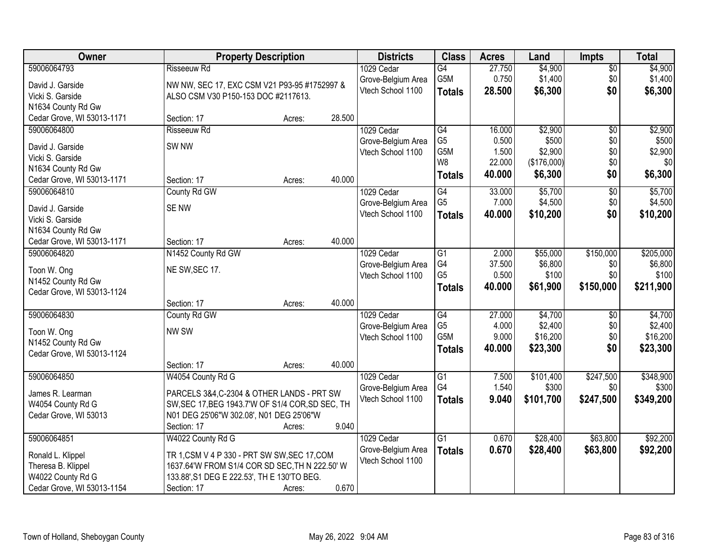| Owner                      | <b>Property Description</b>                      |        |        | <b>Districts</b>   | <b>Class</b>     | <b>Acres</b> | Land        | <b>Impts</b>    | <b>Total</b> |
|----------------------------|--------------------------------------------------|--------|--------|--------------------|------------------|--------------|-------------|-----------------|--------------|
| 59006064793                | <b>Risseeuw Rd</b>                               |        |        | 1029 Cedar         | G4               | 27.750       | \$4,900     | $\sqrt{$0}$     | \$4,900      |
| David J. Garside           | NW NW, SEC 17, EXC CSM V21 P93-95 #1752997 &     |        |        | Grove-Belgium Area | G5M              | 0.750        | \$1,400     | \$0             | \$1,400      |
| Vicki S. Garside           | ALSO CSM V30 P150-153 DOC #2117613.              |        |        | Vtech School 1100  | <b>Totals</b>    | 28.500       | \$6,300     | \$0             | \$6,300      |
| N1634 County Rd Gw         |                                                  |        |        |                    |                  |              |             |                 |              |
| Cedar Grove, WI 53013-1171 | Section: 17                                      | Acres: | 28.500 |                    |                  |              |             |                 |              |
| 59006064800                | <b>Risseeuw Rd</b>                               |        |        | 1029 Cedar         | $\overline{G4}$  | 16.000       | \$2,900     | $\overline{50}$ | \$2,900      |
|                            |                                                  |        |        | Grove-Belgium Area | G <sub>5</sub>   | 0.500        | \$500       | \$0             | \$500        |
| David J. Garside           | SW <sub>NW</sub>                                 |        |        | Vtech School 1100  | G5M              | 1.500        | \$2,900     | \$0             | \$2,900      |
| Vicki S. Garside           |                                                  |        |        |                    | W8               | 22.000       | (\$176,000) | \$0             | \$0          |
| N1634 County Rd Gw         |                                                  |        |        |                    | <b>Totals</b>    | 40.000       | \$6,300     | \$0             | \$6,300      |
| Cedar Grove, WI 53013-1171 | Section: 17                                      | Acres: | 40.000 |                    |                  |              |             |                 |              |
| 59006064810                | County Rd GW                                     |        |        | 1029 Cedar         | $\overline{G4}$  | 33.000       | \$5,700     | $\overline{50}$ | \$5,700      |
| David J. Garside           | <b>SENW</b>                                      |        |        | Grove-Belgium Area | G <sub>5</sub>   | 7.000        | \$4,500     | \$0             | \$4,500      |
| Vicki S. Garside           |                                                  |        |        | Vtech School 1100  | <b>Totals</b>    | 40.000       | \$10,200    | \$0             | \$10,200     |
| N1634 County Rd Gw         |                                                  |        |        |                    |                  |              |             |                 |              |
| Cedar Grove, WI 53013-1171 | Section: 17                                      | Acres: | 40.000 |                    |                  |              |             |                 |              |
| 59006064820                | N1452 County Rd GW                               |        |        | 1029 Cedar         | G1               | 2.000        | \$55,000    | \$150,000       | \$205,000    |
|                            |                                                  |        |        | Grove-Belgium Area | G4               | 37.500       | \$6,800     | \$0             | \$6,800      |
| Toon W. Ong                | NE SW, SEC 17.                                   |        |        | Vtech School 1100  | G <sub>5</sub>   | 0.500        | \$100       | \$0             | \$100        |
| N1452 County Rd Gw         |                                                  |        |        |                    | <b>Totals</b>    | 40.000       | \$61,900    | \$150,000       | \$211,900    |
| Cedar Grove, WI 53013-1124 |                                                  |        |        |                    |                  |              |             |                 |              |
|                            | Section: 17                                      | Acres: | 40.000 |                    |                  |              |             |                 |              |
| 59006064830                | County Rd GW                                     |        |        | 1029 Cedar         | $\overline{G4}$  | 27.000       | \$4,700     | \$0             | \$4,700      |
| Toon W. Ong                | NW SW                                            |        |        | Grove-Belgium Area | G <sub>5</sub>   | 4.000        | \$2,400     | \$0             | \$2,400      |
| N1452 County Rd Gw         |                                                  |        |        | Vtech School 1100  | G <sub>5</sub> M | 9.000        | \$16,200    | \$0             | \$16,200     |
| Cedar Grove, WI 53013-1124 |                                                  |        |        |                    | <b>Totals</b>    | 40.000       | \$23,300    | \$0             | \$23,300     |
|                            | Section: 17                                      | Acres: | 40.000 |                    |                  |              |             |                 |              |
| 59006064850                | W4054 County Rd G                                |        |        | 1029 Cedar         | $\overline{G1}$  | 7.500        | \$101,400   | \$247,500       | \$348,900    |
| James R. Learman           | PARCELS 3&4, C-2304 & OTHER LANDS - PRT SW       |        |        | Grove-Belgium Area | G4               | 1.540        | \$300       | \$0             | \$300        |
| W4054 County Rd G          | SW, SEC 17, BEG 1943.7'W OF S1/4 COR, SD SEC, TH |        |        | Vtech School 1100  | <b>Totals</b>    | 9.040        | \$101,700   | \$247,500       | \$349,200    |
| Cedar Grove, WI 53013      | N01 DEG 25'06"W 302.08', N01 DEG 25'06"W         |        |        |                    |                  |              |             |                 |              |
|                            | Section: 17                                      | Acres: | 9.040  |                    |                  |              |             |                 |              |
| 59006064851                | W4022 County Rd G                                |        |        | 1029 Cedar         | G1               | 0.670        | \$28,400    | \$63,800        | \$92,200     |
|                            |                                                  |        |        | Grove-Belgium Area | <b>Totals</b>    | 0.670        | \$28,400    | \$63,800        | \$92,200     |
| Ronald L. Klippel          | TR 1, CSM V 4 P 330 - PRT SW SW, SEC 17, COM     |        |        | Vtech School 1100  |                  |              |             |                 |              |
| Theresa B. Klippel         | 1637.64'W FROM S1/4 COR SD SEC, TH N 222.50' W   |        |        |                    |                  |              |             |                 |              |
| W4022 County Rd G          | 133.88', S1 DEG E 222.53', TH E 130'TO BEG.      |        |        |                    |                  |              |             |                 |              |
| Cedar Grove, WI 53013-1154 | Section: 17                                      | Acres: | 0.670  |                    |                  |              |             |                 |              |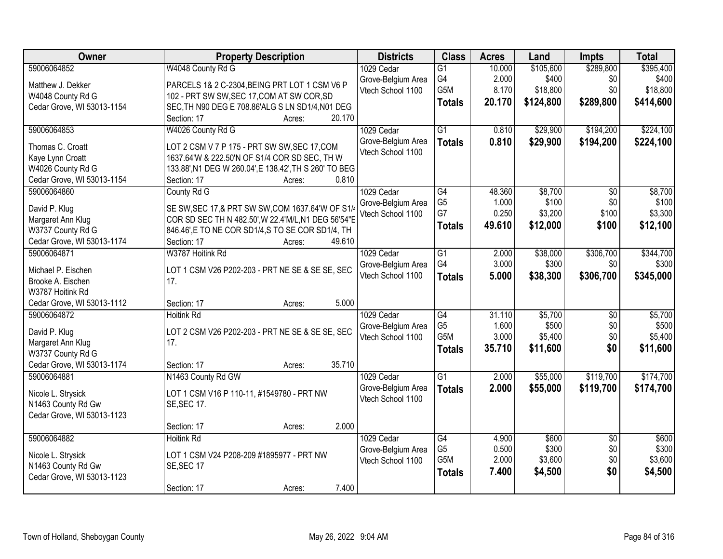| Owner                      | <b>Property Description</b>                            | <b>Districts</b>                        | <b>Class</b>          | <b>Acres</b>   | Land      | <b>Impts</b>    | <b>Total</b> |
|----------------------------|--------------------------------------------------------|-----------------------------------------|-----------------------|----------------|-----------|-----------------|--------------|
| 59006064852                | W4048 County Rd G                                      | 1029 Cedar                              | $\overline{G1}$       | 10.000         | \$105,600 | \$289,800       | \$395,400    |
| Matthew J. Dekker          | PARCELS 1& 2 C-2304, BEING PRT LOT 1 CSM V6 P          | Grove-Belgium Area                      | G4                    | 2.000          | \$400     | \$0             | \$400        |
| W4048 County Rd G          | 102 - PRT SW SW, SEC 17, COM AT SW COR, SD             | Vtech School 1100                       | G5M                   | 8.170          | \$18,800  | \$0             | \$18,800     |
| Cedar Grove, WI 53013-1154 | SEC, TH N90 DEG E 708.86'ALG S LN SD1/4, N01 DEG       |                                         | <b>Totals</b>         | 20.170         | \$124,800 | \$289,800       | \$414,600    |
|                            | 20.170<br>Section: 17<br>Acres:                        |                                         |                       |                |           |                 |              |
| 59006064853                | W4026 County Rd G                                      | 1029 Cedar                              | $\overline{G1}$       | 0.810          | \$29,900  | \$194,200       | \$224,100    |
| Thomas C. Croatt           | LOT 2 CSM V 7 P 175 - PRT SW SW, SEC 17, COM           | Grove-Belgium Area                      | <b>Totals</b>         | 0.810          | \$29,900  | \$194,200       | \$224,100    |
| Kaye Lynn Croatt           | 1637.64'W & 222.50'N OF S1/4 COR SD SEC, TH W          | Vtech School 1100                       |                       |                |           |                 |              |
| W4026 County Rd G          | 133.88', N1 DEG W 260.04', E 138.42', TH S 260' TO BEG |                                         |                       |                |           |                 |              |
| Cedar Grove, WI 53013-1154 | 0.810<br>Section: 17<br>Acres:                         |                                         |                       |                |           |                 |              |
| 59006064860                | County Rd G                                            | 1029 Cedar                              | $\overline{G4}$       | 48.360         | \$8,700   | $\overline{50}$ | \$8,700      |
|                            |                                                        | Grove-Belgium Area                      | G <sub>5</sub>        | 1.000          | \$100     | \$0             | \$100        |
| David P. Klug              | SE SW, SEC 17, & PRT SW SW, COM 1637.64'W OF S1/       | Vtech School 1100                       | G7                    | 0.250          | \$3,200   | \$100           | \$3,300      |
| Margaret Ann Klug          | COR SD SEC TH N 482.50', W 22.4' M/L, N1 DEG 56'54"E   |                                         | <b>Totals</b>         | 49.610         | \$12,000  | \$100           | \$12,100     |
| W3737 County Rd G          | 846.46', E TO NE COR SD1/4, S TO SE COR SD1/4, TH      |                                         |                       |                |           |                 |              |
| Cedar Grove, WI 53013-1174 | Section: 17<br>49.610<br>Acres:                        |                                         |                       |                |           |                 |              |
| 59006064871                | W3787 Hoitink Rd                                       | 1029 Cedar                              | $\overline{G1}$<br>G4 | 2.000<br>3.000 | \$38,000  | \$306,700       | \$344,700    |
| Michael P. Eischen         | LOT 1 CSM V26 P202-203 - PRT NE SE & SE SE, SEC        | Grove-Belgium Area<br>Vtech School 1100 |                       |                | \$300     | \$0             | \$300        |
| Brooke A. Eischen          | 17.                                                    |                                         | <b>Totals</b>         | 5.000          | \$38,300  | \$306,700       | \$345,000    |
| W3787 Hoitink Rd           |                                                        |                                         |                       |                |           |                 |              |
| Cedar Grove, WI 53013-1112 | 5.000<br>Section: 17<br>Acres:                         |                                         |                       |                |           |                 |              |
| 59006064872                | <b>Hoitink Rd</b>                                      | 1029 Cedar                              | $\overline{G4}$       | 31.110         | \$5,700   | $\overline{50}$ | \$5,700      |
| David P. Klug              | LOT 2 CSM V26 P202-203 - PRT NE SE & SE SE, SEC        | Grove-Belgium Area                      | G <sub>5</sub>        | 1.600          | \$500     | \$0             | \$500        |
| Margaret Ann Klug          | 17.                                                    | Vtech School 1100                       | G <sub>5</sub> M      | 3.000          | \$5,400   | \$0             | \$5,400      |
| W3737 County Rd G          |                                                        |                                         | <b>Totals</b>         | 35.710         | \$11,600  | \$0             | \$11,600     |
| Cedar Grove, WI 53013-1174 | 35.710<br>Section: 17<br>Acres:                        |                                         |                       |                |           |                 |              |
| 59006064881                | N1463 County Rd GW                                     | 1029 Cedar                              | $\overline{G1}$       | 2.000          | \$55,000  | \$119,700       | \$174,700    |
| Nicole L. Strysick         | LOT 1 CSM V16 P 110-11, #1549780 - PRT NW              | Grove-Belgium Area                      | <b>Totals</b>         | 2.000          | \$55,000  | \$119,700       | \$174,700    |
| N1463 County Rd Gw         | <b>SE, SEC 17.</b>                                     | Vtech School 1100                       |                       |                |           |                 |              |
| Cedar Grove, WI 53013-1123 |                                                        |                                         |                       |                |           |                 |              |
|                            | 2.000<br>Section: 17<br>Acres:                         |                                         |                       |                |           |                 |              |
| 59006064882                | <b>Hoitink Rd</b>                                      | 1029 Cedar                              | $\overline{G4}$       | 4.900          | \$600     | $\overline{50}$ | \$600        |
|                            |                                                        | Grove-Belgium Area                      | G <sub>5</sub>        | 0.500          | \$300     | \$0             | \$300        |
| Nicole L. Strysick         | LOT 1 CSM V24 P208-209 #1895977 - PRT NW               | Vtech School 1100                       | G <sub>5</sub> M      | 2.000          | \$3,600   | \$0             | \$3,600      |
| N1463 County Rd Gw         | SE, SEC 17                                             |                                         | <b>Totals</b>         | 7.400          | \$4,500   | \$0             | \$4,500      |
| Cedar Grove, WI 53013-1123 |                                                        |                                         |                       |                |           |                 |              |
|                            | 7.400<br>Section: 17<br>Acres:                         |                                         |                       |                |           |                 |              |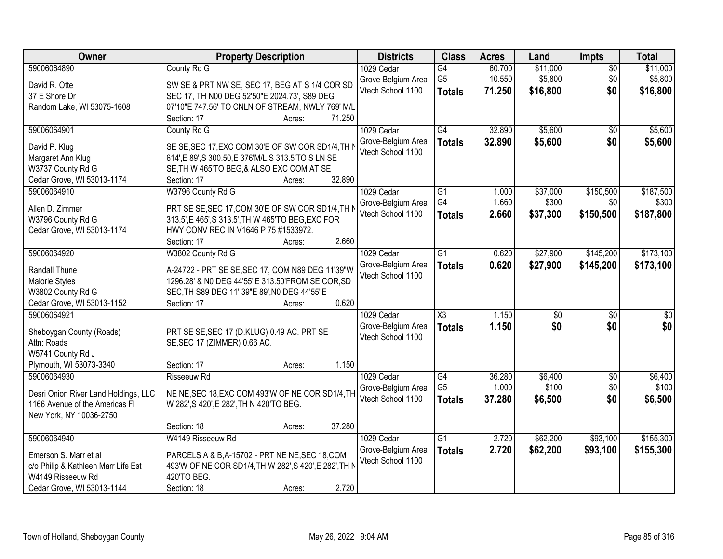| 59006064890<br>County Rd G<br>\$11,000<br>\$11,000<br>1029 Cedar<br>$\overline{G4}$<br>60.700<br>$\overline{30}$<br>G <sub>5</sub><br>\$5,800<br>10.550<br>\$0<br>\$5,800<br>Grove-Belgium Area<br>David R. Otte<br>SW SE & PRT NW SE, SEC 17, BEG AT S 1/4 COR SD<br>Vtech School 1100<br>\$16,800<br>\$0<br>71.250<br>\$16,800<br><b>Totals</b><br>37 E Shore Dr<br>SEC 17, TH N00 DEG 52'50"E 2024.73', S89 DEG<br>07'10"E 747.56' TO CNLN OF STREAM, NWLY 769' M/L<br>Random Lake, WI 53075-1608<br>71.250<br>Section: 17<br>Acres:<br>G4<br>32.890<br>\$5,600<br>\$5,600<br>59006064901<br>1029 Cedar<br>County Rd G<br>$\overline{50}$<br>\$5,600<br>\$0<br>32.890<br>\$5,600<br>Grove-Belgium Area<br><b>Totals</b><br>SE SE, SEC 17, EXC COM 30'E OF SW COR SD1/4, TH N<br>David P. Klug<br>Vtech School 1100<br>Margaret Ann Klug<br>614', E 89', S 300.50, E 376'M/L, S 313.5'TO S LN SE<br>W3737 County Rd G<br>SE, TH W 465'TO BEG, & ALSO EXC COM AT SE<br>32.890<br>Cedar Grove, WI 53013-1174<br>Section: 17<br>Acres:<br>59006064910<br>W3796 County Rd G<br>$\overline{G1}$<br>\$37,000<br>\$150,500<br>1029 Cedar<br>1.000<br>G4<br>1.660<br>\$300<br>\$0<br>Grove-Belgium Area<br>Allen D. Zimmer<br>PRT SE SE, SEC 17, COM 30'E OF SW COR SD1/4, TH N<br>Vtech School 1100<br>2.660<br>\$37,300<br>\$150,500<br>\$187,800<br><b>Totals</b><br>W3796 County Rd G<br>313.5', E 465', S 313.5', TH W 465'TO BEG, EXC FOR<br>HWY CONV REC IN V1646 P 75 #1533972.<br>Cedar Grove, WI 53013-1174<br>2.660<br>Section: 17<br>Acres:<br>$\overline{G1}$<br>\$27,900<br>\$145,200<br>59006064920<br>W3802 County Rd G<br>1029 Cedar<br>0.620<br>Grove-Belgium Area<br>0.620<br>\$27,900<br>\$145,200<br><b>Totals</b><br>A-24722 - PRT SE SE, SEC 17, COM N89 DEG 11'39"W<br>Randall Thune<br>Vtech School 1100<br>1296.28' & N0 DEG 44'55"E 313.50'FROM SE COR, SD<br>Malorie Styles<br>W3802 County Rd G<br>SEC, TH S89 DEG 11' 39"E 89', N0 DEG 44'55"E<br>0.620<br>Cedar Grove, WI 53013-1152<br>Section: 17<br>Acres:<br>$\overline{\text{X3}}$<br>59006064921<br>1.150<br>$\overline{30}$<br>1029 Cedar<br>$\overline{50}$<br>\$0<br>\$0<br>Grove-Belgium Area<br>1.150<br>\$0<br><b>Totals</b><br>Sheboygan County (Roads)<br>PRT SE SE, SEC 17 (D.KLUG) 0.49 AC. PRT SE<br>Vtech School 1100<br>SE, SEC 17 (ZIMMER) 0.66 AC.<br>Attn: Roads<br>W5741 County Rd J<br>1.150<br>Plymouth, WI 53073-3340<br>Section: 17<br>Acres:<br>59006064930<br>G4<br>\$6,400<br><b>Risseeuw Rd</b><br>1029 Cedar<br>36.280<br>$\sqrt{6}$<br>G <sub>5</sub><br>1.000<br>\$100<br>\$0<br>Grove-Belgium Area<br>Desri Onion River Land Holdings, LLC<br>NE NE, SEC 18, EXC COM 493'W OF NE COR SD1/4, TH<br>37.280<br>Vtech School 1100<br>\$6,500<br>\$0<br>\$6,500<br><b>Totals</b><br>1166 Avenue of the Americas FI<br>W 282', S 420', E 282', TH N 420'TO BEG.<br>New York, NY 10036-2750<br>37.280<br>Section: 18<br>Acres:<br>59006064940<br>W4149 Risseeuw Rd<br>$\overline{G1}$<br>2.720<br>\$62,200<br>\$93,100<br>1029 Cedar<br>2.720<br>\$62,200<br>\$93,100<br>Grove-Belgium Area<br>\$155,300<br><b>Totals</b><br>Emerson S. Marr et al<br>PARCELS A & B, A-15702 - PRT NE NE, SEC 18, COM | Owner                      | <b>Property Description</b> |       | <b>Districts</b>  | <b>Class</b> | <b>Acres</b> | Land | <b>Impts</b> | <b>Total</b> |
|------------------------------------------------------------------------------------------------------------------------------------------------------------------------------------------------------------------------------------------------------------------------------------------------------------------------------------------------------------------------------------------------------------------------------------------------------------------------------------------------------------------------------------------------------------------------------------------------------------------------------------------------------------------------------------------------------------------------------------------------------------------------------------------------------------------------------------------------------------------------------------------------------------------------------------------------------------------------------------------------------------------------------------------------------------------------------------------------------------------------------------------------------------------------------------------------------------------------------------------------------------------------------------------------------------------------------------------------------------------------------------------------------------------------------------------------------------------------------------------------------------------------------------------------------------------------------------------------------------------------------------------------------------------------------------------------------------------------------------------------------------------------------------------------------------------------------------------------------------------------------------------------------------------------------------------------------------------------------------------------------------------------------------------------------------------------------------------------------------------------------------------------------------------------------------------------------------------------------------------------------------------------------------------------------------------------------------------------------------------------------------------------------------------------------------------------------------------------------------------------------------------------------------------------------------------------------------------------------------------------------------------------------------------------------------------------------------------------------------------------------------------------------------------------------------------------------------------------------------------------------------------------------------------------------------------------------------------------------------------------------------------------------------------------------------------------------------------------------------------------------------------------------------------------------------------------------------|----------------------------|-----------------------------|-------|-------------------|--------------|--------------|------|--------------|--------------|
|                                                                                                                                                                                                                                                                                                                                                                                                                                                                                                                                                                                                                                                                                                                                                                                                                                                                                                                                                                                                                                                                                                                                                                                                                                                                                                                                                                                                                                                                                                                                                                                                                                                                                                                                                                                                                                                                                                                                                                                                                                                                                                                                                                                                                                                                                                                                                                                                                                                                                                                                                                                                                                                                                                                                                                                                                                                                                                                                                                                                                                                                                                                                                                                                            |                            |                             |       |                   |              |              |      |              |              |
|                                                                                                                                                                                                                                                                                                                                                                                                                                                                                                                                                                                                                                                                                                                                                                                                                                                                                                                                                                                                                                                                                                                                                                                                                                                                                                                                                                                                                                                                                                                                                                                                                                                                                                                                                                                                                                                                                                                                                                                                                                                                                                                                                                                                                                                                                                                                                                                                                                                                                                                                                                                                                                                                                                                                                                                                                                                                                                                                                                                                                                                                                                                                                                                                            |                            |                             |       |                   |              |              |      |              |              |
|                                                                                                                                                                                                                                                                                                                                                                                                                                                                                                                                                                                                                                                                                                                                                                                                                                                                                                                                                                                                                                                                                                                                                                                                                                                                                                                                                                                                                                                                                                                                                                                                                                                                                                                                                                                                                                                                                                                                                                                                                                                                                                                                                                                                                                                                                                                                                                                                                                                                                                                                                                                                                                                                                                                                                                                                                                                                                                                                                                                                                                                                                                                                                                                                            |                            |                             |       |                   |              |              |      |              |              |
|                                                                                                                                                                                                                                                                                                                                                                                                                                                                                                                                                                                                                                                                                                                                                                                                                                                                                                                                                                                                                                                                                                                                                                                                                                                                                                                                                                                                                                                                                                                                                                                                                                                                                                                                                                                                                                                                                                                                                                                                                                                                                                                                                                                                                                                                                                                                                                                                                                                                                                                                                                                                                                                                                                                                                                                                                                                                                                                                                                                                                                                                                                                                                                                                            |                            |                             |       |                   |              |              |      |              |              |
|                                                                                                                                                                                                                                                                                                                                                                                                                                                                                                                                                                                                                                                                                                                                                                                                                                                                                                                                                                                                                                                                                                                                                                                                                                                                                                                                                                                                                                                                                                                                                                                                                                                                                                                                                                                                                                                                                                                                                                                                                                                                                                                                                                                                                                                                                                                                                                                                                                                                                                                                                                                                                                                                                                                                                                                                                                                                                                                                                                                                                                                                                                                                                                                                            |                            |                             |       |                   |              |              |      |              |              |
| \$187,500<br>\$300<br>\$173,100<br>\$173,100<br>$\overline{\$0}$<br>\$6,400<br>\$100<br>\$155,300                                                                                                                                                                                                                                                                                                                                                                                                                                                                                                                                                                                                                                                                                                                                                                                                                                                                                                                                                                                                                                                                                                                                                                                                                                                                                                                                                                                                                                                                                                                                                                                                                                                                                                                                                                                                                                                                                                                                                                                                                                                                                                                                                                                                                                                                                                                                                                                                                                                                                                                                                                                                                                                                                                                                                                                                                                                                                                                                                                                                                                                                                                          |                            |                             |       |                   |              |              |      |              |              |
|                                                                                                                                                                                                                                                                                                                                                                                                                                                                                                                                                                                                                                                                                                                                                                                                                                                                                                                                                                                                                                                                                                                                                                                                                                                                                                                                                                                                                                                                                                                                                                                                                                                                                                                                                                                                                                                                                                                                                                                                                                                                                                                                                                                                                                                                                                                                                                                                                                                                                                                                                                                                                                                                                                                                                                                                                                                                                                                                                                                                                                                                                                                                                                                                            |                            |                             |       |                   |              |              |      |              |              |
|                                                                                                                                                                                                                                                                                                                                                                                                                                                                                                                                                                                                                                                                                                                                                                                                                                                                                                                                                                                                                                                                                                                                                                                                                                                                                                                                                                                                                                                                                                                                                                                                                                                                                                                                                                                                                                                                                                                                                                                                                                                                                                                                                                                                                                                                                                                                                                                                                                                                                                                                                                                                                                                                                                                                                                                                                                                                                                                                                                                                                                                                                                                                                                                                            |                            |                             |       |                   |              |              |      |              |              |
|                                                                                                                                                                                                                                                                                                                                                                                                                                                                                                                                                                                                                                                                                                                                                                                                                                                                                                                                                                                                                                                                                                                                                                                                                                                                                                                                                                                                                                                                                                                                                                                                                                                                                                                                                                                                                                                                                                                                                                                                                                                                                                                                                                                                                                                                                                                                                                                                                                                                                                                                                                                                                                                                                                                                                                                                                                                                                                                                                                                                                                                                                                                                                                                                            |                            |                             |       |                   |              |              |      |              |              |
|                                                                                                                                                                                                                                                                                                                                                                                                                                                                                                                                                                                                                                                                                                                                                                                                                                                                                                                                                                                                                                                                                                                                                                                                                                                                                                                                                                                                                                                                                                                                                                                                                                                                                                                                                                                                                                                                                                                                                                                                                                                                                                                                                                                                                                                                                                                                                                                                                                                                                                                                                                                                                                                                                                                                                                                                                                                                                                                                                                                                                                                                                                                                                                                                            |                            |                             |       |                   |              |              |      |              |              |
|                                                                                                                                                                                                                                                                                                                                                                                                                                                                                                                                                                                                                                                                                                                                                                                                                                                                                                                                                                                                                                                                                                                                                                                                                                                                                                                                                                                                                                                                                                                                                                                                                                                                                                                                                                                                                                                                                                                                                                                                                                                                                                                                                                                                                                                                                                                                                                                                                                                                                                                                                                                                                                                                                                                                                                                                                                                                                                                                                                                                                                                                                                                                                                                                            |                            |                             |       |                   |              |              |      |              |              |
|                                                                                                                                                                                                                                                                                                                                                                                                                                                                                                                                                                                                                                                                                                                                                                                                                                                                                                                                                                                                                                                                                                                                                                                                                                                                                                                                                                                                                                                                                                                                                                                                                                                                                                                                                                                                                                                                                                                                                                                                                                                                                                                                                                                                                                                                                                                                                                                                                                                                                                                                                                                                                                                                                                                                                                                                                                                                                                                                                                                                                                                                                                                                                                                                            |                            |                             |       |                   |              |              |      |              |              |
|                                                                                                                                                                                                                                                                                                                                                                                                                                                                                                                                                                                                                                                                                                                                                                                                                                                                                                                                                                                                                                                                                                                                                                                                                                                                                                                                                                                                                                                                                                                                                                                                                                                                                                                                                                                                                                                                                                                                                                                                                                                                                                                                                                                                                                                                                                                                                                                                                                                                                                                                                                                                                                                                                                                                                                                                                                                                                                                                                                                                                                                                                                                                                                                                            |                            |                             |       |                   |              |              |      |              |              |
|                                                                                                                                                                                                                                                                                                                                                                                                                                                                                                                                                                                                                                                                                                                                                                                                                                                                                                                                                                                                                                                                                                                                                                                                                                                                                                                                                                                                                                                                                                                                                                                                                                                                                                                                                                                                                                                                                                                                                                                                                                                                                                                                                                                                                                                                                                                                                                                                                                                                                                                                                                                                                                                                                                                                                                                                                                                                                                                                                                                                                                                                                                                                                                                                            |                            |                             |       |                   |              |              |      |              |              |
|                                                                                                                                                                                                                                                                                                                                                                                                                                                                                                                                                                                                                                                                                                                                                                                                                                                                                                                                                                                                                                                                                                                                                                                                                                                                                                                                                                                                                                                                                                                                                                                                                                                                                                                                                                                                                                                                                                                                                                                                                                                                                                                                                                                                                                                                                                                                                                                                                                                                                                                                                                                                                                                                                                                                                                                                                                                                                                                                                                                                                                                                                                                                                                                                            |                            |                             |       |                   |              |              |      |              |              |
|                                                                                                                                                                                                                                                                                                                                                                                                                                                                                                                                                                                                                                                                                                                                                                                                                                                                                                                                                                                                                                                                                                                                                                                                                                                                                                                                                                                                                                                                                                                                                                                                                                                                                                                                                                                                                                                                                                                                                                                                                                                                                                                                                                                                                                                                                                                                                                                                                                                                                                                                                                                                                                                                                                                                                                                                                                                                                                                                                                                                                                                                                                                                                                                                            |                            |                             |       |                   |              |              |      |              |              |
|                                                                                                                                                                                                                                                                                                                                                                                                                                                                                                                                                                                                                                                                                                                                                                                                                                                                                                                                                                                                                                                                                                                                                                                                                                                                                                                                                                                                                                                                                                                                                                                                                                                                                                                                                                                                                                                                                                                                                                                                                                                                                                                                                                                                                                                                                                                                                                                                                                                                                                                                                                                                                                                                                                                                                                                                                                                                                                                                                                                                                                                                                                                                                                                                            |                            |                             |       |                   |              |              |      |              |              |
|                                                                                                                                                                                                                                                                                                                                                                                                                                                                                                                                                                                                                                                                                                                                                                                                                                                                                                                                                                                                                                                                                                                                                                                                                                                                                                                                                                                                                                                                                                                                                                                                                                                                                                                                                                                                                                                                                                                                                                                                                                                                                                                                                                                                                                                                                                                                                                                                                                                                                                                                                                                                                                                                                                                                                                                                                                                                                                                                                                                                                                                                                                                                                                                                            |                            |                             |       |                   |              |              |      |              |              |
|                                                                                                                                                                                                                                                                                                                                                                                                                                                                                                                                                                                                                                                                                                                                                                                                                                                                                                                                                                                                                                                                                                                                                                                                                                                                                                                                                                                                                                                                                                                                                                                                                                                                                                                                                                                                                                                                                                                                                                                                                                                                                                                                                                                                                                                                                                                                                                                                                                                                                                                                                                                                                                                                                                                                                                                                                                                                                                                                                                                                                                                                                                                                                                                                            |                            |                             |       |                   |              |              |      |              |              |
|                                                                                                                                                                                                                                                                                                                                                                                                                                                                                                                                                                                                                                                                                                                                                                                                                                                                                                                                                                                                                                                                                                                                                                                                                                                                                                                                                                                                                                                                                                                                                                                                                                                                                                                                                                                                                                                                                                                                                                                                                                                                                                                                                                                                                                                                                                                                                                                                                                                                                                                                                                                                                                                                                                                                                                                                                                                                                                                                                                                                                                                                                                                                                                                                            |                            |                             |       |                   |              |              |      |              |              |
|                                                                                                                                                                                                                                                                                                                                                                                                                                                                                                                                                                                                                                                                                                                                                                                                                                                                                                                                                                                                                                                                                                                                                                                                                                                                                                                                                                                                                                                                                                                                                                                                                                                                                                                                                                                                                                                                                                                                                                                                                                                                                                                                                                                                                                                                                                                                                                                                                                                                                                                                                                                                                                                                                                                                                                                                                                                                                                                                                                                                                                                                                                                                                                                                            |                            |                             |       |                   |              |              |      |              |              |
|                                                                                                                                                                                                                                                                                                                                                                                                                                                                                                                                                                                                                                                                                                                                                                                                                                                                                                                                                                                                                                                                                                                                                                                                                                                                                                                                                                                                                                                                                                                                                                                                                                                                                                                                                                                                                                                                                                                                                                                                                                                                                                                                                                                                                                                                                                                                                                                                                                                                                                                                                                                                                                                                                                                                                                                                                                                                                                                                                                                                                                                                                                                                                                                                            |                            |                             |       |                   |              |              |      |              |              |
|                                                                                                                                                                                                                                                                                                                                                                                                                                                                                                                                                                                                                                                                                                                                                                                                                                                                                                                                                                                                                                                                                                                                                                                                                                                                                                                                                                                                                                                                                                                                                                                                                                                                                                                                                                                                                                                                                                                                                                                                                                                                                                                                                                                                                                                                                                                                                                                                                                                                                                                                                                                                                                                                                                                                                                                                                                                                                                                                                                                                                                                                                                                                                                                                            |                            |                             |       |                   |              |              |      |              |              |
|                                                                                                                                                                                                                                                                                                                                                                                                                                                                                                                                                                                                                                                                                                                                                                                                                                                                                                                                                                                                                                                                                                                                                                                                                                                                                                                                                                                                                                                                                                                                                                                                                                                                                                                                                                                                                                                                                                                                                                                                                                                                                                                                                                                                                                                                                                                                                                                                                                                                                                                                                                                                                                                                                                                                                                                                                                                                                                                                                                                                                                                                                                                                                                                                            |                            |                             |       |                   |              |              |      |              |              |
|                                                                                                                                                                                                                                                                                                                                                                                                                                                                                                                                                                                                                                                                                                                                                                                                                                                                                                                                                                                                                                                                                                                                                                                                                                                                                                                                                                                                                                                                                                                                                                                                                                                                                                                                                                                                                                                                                                                                                                                                                                                                                                                                                                                                                                                                                                                                                                                                                                                                                                                                                                                                                                                                                                                                                                                                                                                                                                                                                                                                                                                                                                                                                                                                            |                            |                             |       |                   |              |              |      |              |              |
|                                                                                                                                                                                                                                                                                                                                                                                                                                                                                                                                                                                                                                                                                                                                                                                                                                                                                                                                                                                                                                                                                                                                                                                                                                                                                                                                                                                                                                                                                                                                                                                                                                                                                                                                                                                                                                                                                                                                                                                                                                                                                                                                                                                                                                                                                                                                                                                                                                                                                                                                                                                                                                                                                                                                                                                                                                                                                                                                                                                                                                                                                                                                                                                                            |                            |                             |       |                   |              |              |      |              |              |
|                                                                                                                                                                                                                                                                                                                                                                                                                                                                                                                                                                                                                                                                                                                                                                                                                                                                                                                                                                                                                                                                                                                                                                                                                                                                                                                                                                                                                                                                                                                                                                                                                                                                                                                                                                                                                                                                                                                                                                                                                                                                                                                                                                                                                                                                                                                                                                                                                                                                                                                                                                                                                                                                                                                                                                                                                                                                                                                                                                                                                                                                                                                                                                                                            |                            |                             |       |                   |              |              |      |              |              |
|                                                                                                                                                                                                                                                                                                                                                                                                                                                                                                                                                                                                                                                                                                                                                                                                                                                                                                                                                                                                                                                                                                                                                                                                                                                                                                                                                                                                                                                                                                                                                                                                                                                                                                                                                                                                                                                                                                                                                                                                                                                                                                                                                                                                                                                                                                                                                                                                                                                                                                                                                                                                                                                                                                                                                                                                                                                                                                                                                                                                                                                                                                                                                                                                            |                            |                             |       |                   |              |              |      |              |              |
|                                                                                                                                                                                                                                                                                                                                                                                                                                                                                                                                                                                                                                                                                                                                                                                                                                                                                                                                                                                                                                                                                                                                                                                                                                                                                                                                                                                                                                                                                                                                                                                                                                                                                                                                                                                                                                                                                                                                                                                                                                                                                                                                                                                                                                                                                                                                                                                                                                                                                                                                                                                                                                                                                                                                                                                                                                                                                                                                                                                                                                                                                                                                                                                                            |                            |                             |       |                   |              |              |      |              |              |
|                                                                                                                                                                                                                                                                                                                                                                                                                                                                                                                                                                                                                                                                                                                                                                                                                                                                                                                                                                                                                                                                                                                                                                                                                                                                                                                                                                                                                                                                                                                                                                                                                                                                                                                                                                                                                                                                                                                                                                                                                                                                                                                                                                                                                                                                                                                                                                                                                                                                                                                                                                                                                                                                                                                                                                                                                                                                                                                                                                                                                                                                                                                                                                                                            |                            |                             |       |                   |              |              |      |              |              |
|                                                                                                                                                                                                                                                                                                                                                                                                                                                                                                                                                                                                                                                                                                                                                                                                                                                                                                                                                                                                                                                                                                                                                                                                                                                                                                                                                                                                                                                                                                                                                                                                                                                                                                                                                                                                                                                                                                                                                                                                                                                                                                                                                                                                                                                                                                                                                                                                                                                                                                                                                                                                                                                                                                                                                                                                                                                                                                                                                                                                                                                                                                                                                                                                            |                            |                             |       |                   |              |              |      |              |              |
|                                                                                                                                                                                                                                                                                                                                                                                                                                                                                                                                                                                                                                                                                                                                                                                                                                                                                                                                                                                                                                                                                                                                                                                                                                                                                                                                                                                                                                                                                                                                                                                                                                                                                                                                                                                                                                                                                                                                                                                                                                                                                                                                                                                                                                                                                                                                                                                                                                                                                                                                                                                                                                                                                                                                                                                                                                                                                                                                                                                                                                                                                                                                                                                                            |                            |                             |       |                   |              |              |      |              |              |
|                                                                                                                                                                                                                                                                                                                                                                                                                                                                                                                                                                                                                                                                                                                                                                                                                                                                                                                                                                                                                                                                                                                                                                                                                                                                                                                                                                                                                                                                                                                                                                                                                                                                                                                                                                                                                                                                                                                                                                                                                                                                                                                                                                                                                                                                                                                                                                                                                                                                                                                                                                                                                                                                                                                                                                                                                                                                                                                                                                                                                                                                                                                                                                                                            |                            |                             |       |                   |              |              |      |              |              |
|                                                                                                                                                                                                                                                                                                                                                                                                                                                                                                                                                                                                                                                                                                                                                                                                                                                                                                                                                                                                                                                                                                                                                                                                                                                                                                                                                                                                                                                                                                                                                                                                                                                                                                                                                                                                                                                                                                                                                                                                                                                                                                                                                                                                                                                                                                                                                                                                                                                                                                                                                                                                                                                                                                                                                                                                                                                                                                                                                                                                                                                                                                                                                                                                            |                            |                             |       |                   |              |              |      |              |              |
|                                                                                                                                                                                                                                                                                                                                                                                                                                                                                                                                                                                                                                                                                                                                                                                                                                                                                                                                                                                                                                                                                                                                                                                                                                                                                                                                                                                                                                                                                                                                                                                                                                                                                                                                                                                                                                                                                                                                                                                                                                                                                                                                                                                                                                                                                                                                                                                                                                                                                                                                                                                                                                                                                                                                                                                                                                                                                                                                                                                                                                                                                                                                                                                                            |                            |                             |       |                   |              |              |      |              |              |
| c/o Philip & Kathleen Marr Life Est<br>493'W OF NE COR SD1/4, TH W 282', S 420', E 282', TH N                                                                                                                                                                                                                                                                                                                                                                                                                                                                                                                                                                                                                                                                                                                                                                                                                                                                                                                                                                                                                                                                                                                                                                                                                                                                                                                                                                                                                                                                                                                                                                                                                                                                                                                                                                                                                                                                                                                                                                                                                                                                                                                                                                                                                                                                                                                                                                                                                                                                                                                                                                                                                                                                                                                                                                                                                                                                                                                                                                                                                                                                                                              |                            |                             |       | Vtech School 1100 |              |              |      |              |              |
| W4149 Risseeuw Rd<br>420'TO BEG.                                                                                                                                                                                                                                                                                                                                                                                                                                                                                                                                                                                                                                                                                                                                                                                                                                                                                                                                                                                                                                                                                                                                                                                                                                                                                                                                                                                                                                                                                                                                                                                                                                                                                                                                                                                                                                                                                                                                                                                                                                                                                                                                                                                                                                                                                                                                                                                                                                                                                                                                                                                                                                                                                                                                                                                                                                                                                                                                                                                                                                                                                                                                                                           |                            |                             |       |                   |              |              |      |              |              |
| Acres:                                                                                                                                                                                                                                                                                                                                                                                                                                                                                                                                                                                                                                                                                                                                                                                                                                                                                                                                                                                                                                                                                                                                                                                                                                                                                                                                                                                                                                                                                                                                                                                                                                                                                                                                                                                                                                                                                                                                                                                                                                                                                                                                                                                                                                                                                                                                                                                                                                                                                                                                                                                                                                                                                                                                                                                                                                                                                                                                                                                                                                                                                                                                                                                                     | Cedar Grove, WI 53013-1144 | Section: 18                 | 2.720 |                   |              |              |      |              |              |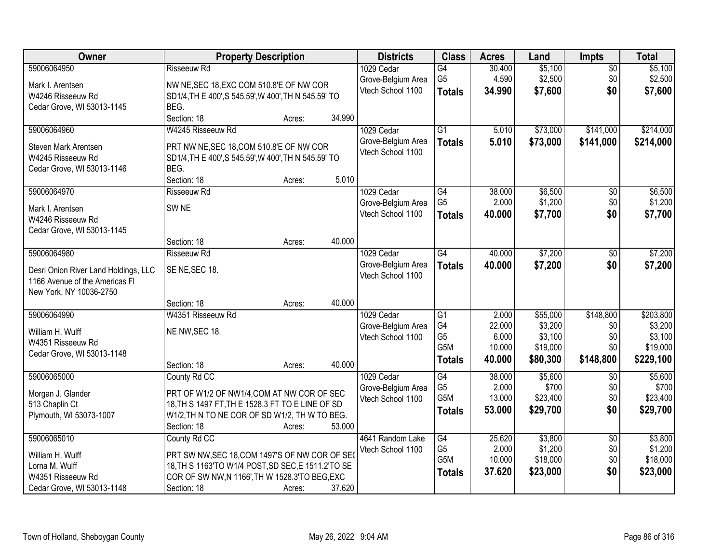| Owner                                | <b>Property Description</b>                                   |        | <b>Districts</b>   | <b>Class</b>    | <b>Acres</b> | Land     | <b>Impts</b>    | <b>Total</b> |
|--------------------------------------|---------------------------------------------------------------|--------|--------------------|-----------------|--------------|----------|-----------------|--------------|
| 59006064950                          | <b>Risseeuw Rd</b>                                            |        | 1029 Cedar         | $\overline{G4}$ | 30.400       | \$5,100  | $\overline{50}$ | \$5,100      |
| Mark I. Arentsen                     | NW NE, SEC 18, EXC COM 510.8'E OF NW COR                      |        | Grove-Belgium Area | G <sub>5</sub>  | 4.590        | \$2,500  | \$0             | \$2,500      |
| W4246 Risseeuw Rd                    | SD1/4, TH E 400', S 545.59', W 400', TH N 545.59' TO          |        | Vtech School 1100  | <b>Totals</b>   | 34.990       | \$7,600  | \$0             | \$7,600      |
| Cedar Grove, WI 53013-1145           | BEG.                                                          |        |                    |                 |              |          |                 |              |
|                                      | Section: 18<br>Acres:                                         | 34.990 |                    |                 |              |          |                 |              |
| 59006064960                          | W4245 Risseeuw Rd                                             |        | 1029 Cedar         | $\overline{G1}$ | 5.010        | \$73,000 | \$141,000       | \$214,000    |
|                                      |                                                               |        | Grove-Belgium Area | <b>Totals</b>   | 5.010        | \$73,000 | \$141,000       | \$214,000    |
| Steven Mark Arentsen                 | PRT NW NE, SEC 18, COM 510.8'E OF NW COR                      |        | Vtech School 1100  |                 |              |          |                 |              |
| W4245 Risseeuw Rd                    | SD1/4, TH E 400', S 545.59', W 400', TH N 545.59' TO          |        |                    |                 |              |          |                 |              |
| Cedar Grove, WI 53013-1146           | BEG.                                                          |        |                    |                 |              |          |                 |              |
|                                      | Section: 18<br>Acres:                                         | 5.010  |                    |                 |              |          |                 |              |
| 59006064970                          | <b>Risseeuw Rd</b>                                            |        | 1029 Cedar         | $\overline{G4}$ | 38.000       | \$6,500  | \$0             | \$6,500      |
| Mark I. Arentsen                     | SW <sub>NE</sub>                                              |        | Grove-Belgium Area | G <sub>5</sub>  | 2.000        | \$1,200  | \$0             | \$1,200      |
| W4246 Risseeuw Rd                    |                                                               |        | Vtech School 1100  | <b>Totals</b>   | 40.000       | \$7,700  | \$0             | \$7,700      |
| Cedar Grove, WI 53013-1145           |                                                               |        |                    |                 |              |          |                 |              |
|                                      | Section: 18<br>Acres:                                         | 40.000 |                    |                 |              |          |                 |              |
| 59006064980                          | Risseeuw Rd                                                   |        | 1029 Cedar         | G4              | 40.000       | \$7,200  | \$0             | \$7,200      |
| Desri Onion River Land Holdings, LLC | SE NE, SEC 18.                                                |        | Grove-Belgium Area | <b>Totals</b>   | 40.000       | \$7,200  | \$0             | \$7,200      |
| 1166 Avenue of the Americas FI       |                                                               |        | Vtech School 1100  |                 |              |          |                 |              |
| New York, NY 10036-2750              |                                                               |        |                    |                 |              |          |                 |              |
|                                      | Section: 18<br>Acres:                                         | 40.000 |                    |                 |              |          |                 |              |
| 59006064990                          | W4351 Risseeuw Rd                                             |        | 1029 Cedar         | $\overline{G1}$ | 2.000        | \$55,000 | \$148,800       | \$203,800    |
|                                      |                                                               |        | Grove-Belgium Area | G4              | 22.000       | \$3,200  | \$0             | \$3,200      |
| William H. Wulff                     | NE NW, SEC 18.                                                |        | Vtech School 1100  | G <sub>5</sub>  | 6.000        | \$3,100  | \$0             | \$3,100      |
| W4351 Risseeuw Rd                    |                                                               |        |                    | G5M             | 10.000       | \$19,000 | \$0             | \$19,000     |
| Cedar Grove, WI 53013-1148           |                                                               |        |                    | <b>Totals</b>   | 40.000       | \$80,300 | \$148,800       | \$229,100    |
|                                      | Section: 18<br>Acres:                                         | 40.000 |                    |                 |              |          |                 |              |
| 59006065000                          | County Rd CC                                                  |        | 1029 Cedar         | G4              | 38.000       | \$5,600  | $\overline{50}$ | \$5,600      |
| Morgan J. Glander                    | PRT OF W1/2 OF NW1/4, COM AT NW COR OF SEC                    |        | Grove-Belgium Area | G5              | 2.000        | \$700    | \$0             | \$700        |
| 513 Chaplin Ct                       | 18, TH S 1497 FT, TH E 1528.3 FT TO E LINE OF SD              |        | Vtech School 1100  | G5M             | 13.000       | \$23,400 | \$0             | \$23,400     |
| Plymouth, WI 53073-1007              | W1/2, TH N TO NE COR OF SD W1/2, TH W TO BEG.                 |        |                    | <b>Totals</b>   | 53.000       | \$29,700 | \$0             | \$29,700     |
|                                      | Section: 18<br>Acres:                                         | 53.000 |                    |                 |              |          |                 |              |
| 59006065010                          | County Rd CC                                                  |        | 4641 Random Lake   | G4              | 25.620       | \$3,800  | $\overline{50}$ | \$3,800      |
|                                      |                                                               |        | Vtech School 1100  | G <sub>5</sub>  | 2.000        | \$1,200  | \$0             | \$1,200      |
| William H. Wulff<br>Lorna M. Wulff   | PRT SW NW, SEC 18, COM 1497'S OF NW COR OF SEO                |        |                    | G5M             | 10.000       | \$18,000 | \$0             | \$18,000     |
| W4351 Risseeuw Rd                    | 18, TH S 1163'TO W1/4 POST, SD SEC, E 1511.2'TO SE            |        |                    | <b>Totals</b>   | 37.620       | \$23,000 | \$0             | \$23,000     |
| Cedar Grove, WI 53013-1148           | COR OF SW NW, N 1166', TH W 1528.3'TO BEG, EXC<br>Section: 18 | 37.620 |                    |                 |              |          |                 |              |
|                                      | Acres:                                                        |        |                    |                 |              |          |                 |              |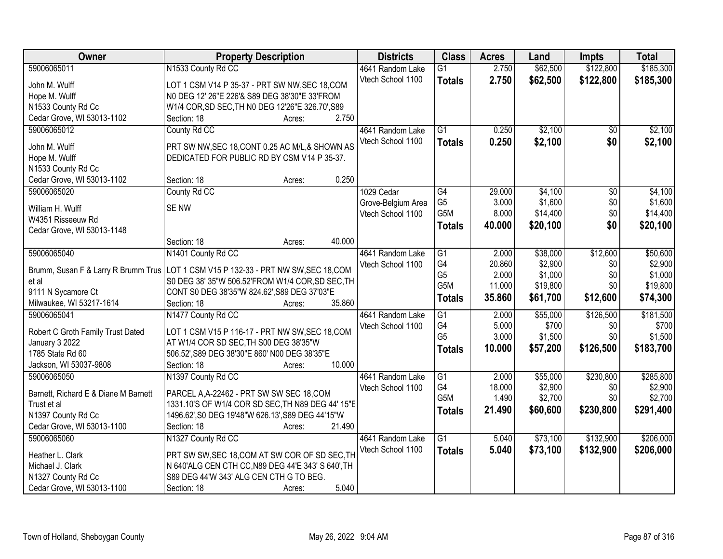| Owner                                                                                 | <b>Property Description</b>                        |        |        | <b>Districts</b>   | <b>Class</b>     | <b>Acres</b> | Land     | <b>Impts</b>    | <b>Total</b> |
|---------------------------------------------------------------------------------------|----------------------------------------------------|--------|--------|--------------------|------------------|--------------|----------|-----------------|--------------|
| 59006065011                                                                           | N1533 County Rd CC                                 |        |        | 4641 Random Lake   | $\overline{G1}$  | 2.750        | \$62,500 | \$122,800       | \$185,300    |
| John M. Wulff                                                                         | LOT 1 CSM V14 P 35-37 - PRT SW NW, SEC 18, COM     |        |        | Vtech School 1100  | <b>Totals</b>    | 2.750        | \$62,500 | \$122,800       | \$185,300    |
| Hope M. Wulff                                                                         | N0 DEG 12' 26"E 226'& S89 DEG 38'30"E 33'FROM      |        |        |                    |                  |              |          |                 |              |
| N1533 County Rd Cc                                                                    | W1/4 COR, SD SEC, TH N0 DEG 12'26"E 326.70', S89   |        |        |                    |                  |              |          |                 |              |
| Cedar Grove, WI 53013-1102                                                            | Section: 18                                        | Acres: | 2.750  |                    |                  |              |          |                 |              |
| 59006065012                                                                           | County Rd CC                                       |        |        | 4641 Random Lake   | $\overline{G1}$  | 0.250        | \$2,100  | $\overline{50}$ | \$2,100      |
|                                                                                       |                                                    |        |        | Vtech School 1100  | <b>Totals</b>    | 0.250        | \$2,100  | \$0             | \$2,100      |
| John M. Wulff                                                                         | PRT SW NW, SEC 18, CONT 0.25 AC M/L, & SHOWN AS    |        |        |                    |                  |              |          |                 |              |
| Hope M. Wulff                                                                         | DEDICATED FOR PUBLIC RD BY CSM V14 P 35-37.        |        |        |                    |                  |              |          |                 |              |
| N1533 County Rd Cc                                                                    |                                                    |        |        |                    |                  |              |          |                 |              |
| Cedar Grove, WI 53013-1102                                                            | Section: 18                                        | Acres: | 0.250  |                    |                  |              |          |                 |              |
| 59006065020                                                                           | County Rd CC                                       |        |        | 1029 Cedar         | $\overline{G4}$  | 29.000       | \$4,100  | $\overline{50}$ | \$4,100      |
| William H. Wulff                                                                      | <b>SENW</b>                                        |        |        | Grove-Belgium Area | G <sub>5</sub>   | 3.000        | \$1,600  | \$0             | \$1,600      |
| W4351 Risseeuw Rd                                                                     |                                                    |        |        | Vtech School 1100  | G5M              | 8.000        | \$14,400 | \$0             | \$14,400     |
| Cedar Grove, WI 53013-1148                                                            |                                                    |        |        |                    | <b>Totals</b>    | 40.000       | \$20,100 | \$0             | \$20,100     |
|                                                                                       | Section: 18                                        | Acres: | 40.000 |                    |                  |              |          |                 |              |
| 59006065040                                                                           | N1401 County Rd CC                                 |        |        | 4641 Random Lake   | G1               | 2.000        | \$38,000 | \$12,600        | \$50,600     |
|                                                                                       |                                                    |        |        | Vtech School 1100  | G4               | 20.860       | \$2,900  | \$0             | \$2,900      |
| Brumm, Susan F & Larry R Brumm Trus   LOT 1 CSM V15 P 132-33 - PRT NW SW, SEC 18, COM |                                                    |        |        |                    | G <sub>5</sub>   | 2.000        | \$1,000  | \$0             | \$1,000      |
| et al                                                                                 | S0 DEG 38' 35"W 506.52'FROM W1/4 COR, SD SEC, TH   |        |        |                    | G5M              | 11.000       | \$19,800 | \$0             | \$19,800     |
| 9111 N Sycamore Ct                                                                    | CONT S0 DEG 38'35"W 824.62', S89 DEG 37'03"E       |        |        |                    | <b>Totals</b>    | 35.860       | \$61,700 | \$12,600        | \$74,300     |
| Milwaukee, WI 53217-1614                                                              | Section: 18                                        | Acres: | 35.860 |                    |                  |              |          |                 |              |
| 59006065041                                                                           | N1477 County Rd CC                                 |        |        | 4641 Random Lake   | $\overline{G1}$  | 2.000        | \$55,000 | \$126,500       | \$181,500    |
| Robert C Groth Family Trust Dated                                                     | LOT 1 CSM V15 P 116-17 - PRT NW SW, SEC 18, COM    |        |        | Vtech School 1100  | G4               | 5.000        | \$700    | \$0             | \$700        |
| January 3 2022                                                                        | AT W1/4 COR SD SEC, TH S00 DEG 38'35"W             |        |        |                    | G <sub>5</sub>   | 3.000        | \$1,500  | \$0             | \$1,500      |
| 1785 State Rd 60                                                                      | 506.52', S89 DEG 38'30"E 860' N00 DEG 38'35"E      |        |        |                    | <b>Totals</b>    | 10.000       | \$57,200 | \$126,500       | \$183,700    |
| Jackson, WI 53037-9808                                                                | Section: 18                                        | Acres: | 10.000 |                    |                  |              |          |                 |              |
| 59006065050                                                                           | N1397 County Rd CC                                 |        |        | 4641 Random Lake   | $\overline{G1}$  | 2.000        | \$55,000 | \$230,800       | \$285,800    |
|                                                                                       |                                                    |        |        | Vtech School 1100  | G4               | 18.000       | \$2,900  | \$0             | \$2,900      |
| Barnett, Richard E & Diane M Barnett                                                  | PARCEL A, A-22462 - PRT SW SW SEC 18, COM          |        |        |                    | G <sub>5</sub> M | 1.490        | \$2,700  | \$0             | \$2,700      |
| Trust et al                                                                           | 1331.10'S OF W1/4 COR SD SEC, TH N89 DEG 44' 15"E  |        |        |                    | <b>Totals</b>    | 21.490       | \$60,600 | \$230,800       | \$291,400    |
| N1397 County Rd Cc                                                                    | 1496.62', S0 DEG 19'48"W 626.13', S89 DEG 44'15"W  |        |        |                    |                  |              |          |                 |              |
| Cedar Grove, WI 53013-1100                                                            | Section: 18                                        | Acres: | 21.490 |                    |                  |              |          |                 |              |
| 59006065060                                                                           | N1327 County Rd CC                                 |        |        | 4641 Random Lake   | $\overline{G1}$  | 5.040        | \$73,100 | \$132,900       | \$206,000    |
| Heather L. Clark                                                                      | PRT SW SW, SEC 18, COM AT SW COR OF SD SEC, TH     |        |        | Vtech School 1100  | <b>Totals</b>    | 5.040        | \$73,100 | \$132,900       | \$206,000    |
| Michael J. Clark                                                                      | N 640'ALG CEN CTH CC, N89 DEG 44'E 343' S 640', TH |        |        |                    |                  |              |          |                 |              |
| N1327 County Rd Cc                                                                    | S89 DEG 44'W 343' ALG CEN CTH G TO BEG.            |        |        |                    |                  |              |          |                 |              |
| Cedar Grove, WI 53013-1100                                                            | Section: 18                                        | Acres: | 5.040  |                    |                  |              |          |                 |              |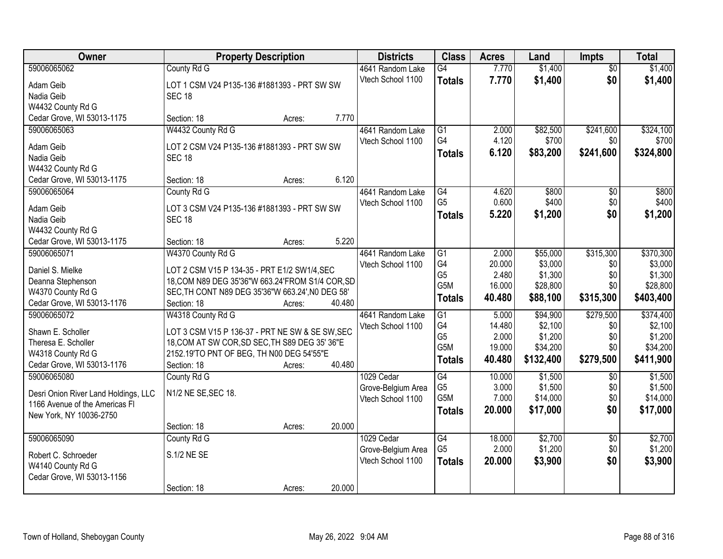| Owner                                | <b>Property Description</b>                                  |        |        | <b>Districts</b>                        | <b>Class</b>         | <b>Acres</b>    | Land               | <b>Impts</b>           | <b>Total</b>       |
|--------------------------------------|--------------------------------------------------------------|--------|--------|-----------------------------------------|----------------------|-----------------|--------------------|------------------------|--------------------|
| 59006065062                          | County Rd G                                                  |        |        | 4641 Random Lake                        | $\overline{G4}$      | 7.770           | \$1,400            | $\overline{50}$        | \$1,400            |
| Adam Geib                            | LOT 1 CSM V24 P135-136 #1881393 - PRT SW SW                  |        |        | Vtech School 1100                       | <b>Totals</b>        | 7.770           | \$1,400            | \$0                    | \$1,400            |
| Nadia Geib                           | <b>SEC 18</b>                                                |        |        |                                         |                      |                 |                    |                        |                    |
| W4432 County Rd G                    |                                                              |        |        |                                         |                      |                 |                    |                        |                    |
| Cedar Grove, WI 53013-1175           | Section: 18                                                  | Acres: | 7.770  |                                         |                      |                 |                    |                        |                    |
| 59006065063                          | W4432 County Rd G                                            |        |        | 4641 Random Lake                        | $\overline{G1}$      | 2.000           | \$82,500           | \$241,600              | \$324,100          |
|                                      |                                                              |        |        | Vtech School 1100                       | G4                   | 4.120           | \$700              | \$0                    | \$700              |
| Adam Geib<br>Nadia Geib              | LOT 2 CSM V24 P135-136 #1881393 - PRT SW SW<br><b>SEC 18</b> |        |        |                                         | Totals               | 6.120           | \$83,200           | \$241,600              | \$324,800          |
| W4432 County Rd G                    |                                                              |        |        |                                         |                      |                 |                    |                        |                    |
| Cedar Grove, WI 53013-1175           | Section: 18                                                  | Acres: | 6.120  |                                         |                      |                 |                    |                        |                    |
| 59006065064                          | County Rd G                                                  |        |        | 4641 Random Lake                        | $\overline{G4}$      | 4.620           | \$800              | \$0                    | \$800              |
|                                      |                                                              |        |        | Vtech School 1100                       | G <sub>5</sub>       | 0.600           | \$400              | \$0                    | \$400              |
| Adam Geib                            | LOT 3 CSM V24 P135-136 #1881393 - PRT SW SW                  |        |        |                                         | Totals               | 5.220           | \$1,200            | \$0                    | \$1,200            |
| Nadia Geib                           | <b>SEC 18</b>                                                |        |        |                                         |                      |                 |                    |                        |                    |
| W4432 County Rd G                    |                                                              |        |        |                                         |                      |                 |                    |                        |                    |
| Cedar Grove, WI 53013-1175           | Section: 18                                                  | Acres: | 5.220  |                                         |                      |                 |                    |                        |                    |
| 59006065071                          | W4370 County Rd G                                            |        |        | 4641 Random Lake                        | G1                   | 2.000           | \$55,000           | \$315,300              | \$370,300          |
| Daniel S. Mielke                     | LOT 2 CSM V15 P 134-35 - PRT E1/2 SW1/4, SEC                 |        |        | Vtech School 1100                       | G4                   | 20.000          | \$3,000            | \$0                    | \$3,000            |
| Deanna Stephenson                    | 18, COM N89 DEG 35'36"W 663.24'FROM S1/4 COR, SD             |        |        |                                         | G <sub>5</sub>       | 2.480           | \$1,300            | \$0                    | \$1,300            |
| W4370 County Rd G                    | SEC, TH CONT N89 DEG 35'36"W 663.24', N0 DEG 58'             |        |        |                                         | G5M                  | 16.000          | \$28,800           | \$0                    | \$28,800           |
| Cedar Grove, WI 53013-1176           | Section: 18                                                  | Acres: | 40.480 |                                         | <b>Totals</b>        | 40.480          | \$88,100           | \$315,300              | \$403,400          |
| 59006065072                          | W4318 County Rd G                                            |        |        | 4641 Random Lake                        | $\overline{G1}$      | 5.000           | \$94,900           | \$279,500              | \$374,400          |
| Shawn E. Scholler                    | LOT 3 CSM V15 P 136-37 - PRT NE SW & SE SW, SEC              |        |        | Vtech School 1100                       | G <sub>4</sub>       | 14.480          | \$2,100            | \$0                    | \$2,100            |
| Theresa E. Scholler                  | 18, COM AT SW COR, SD SEC, TH S89 DEG 35' 36"E               |        |        |                                         | G <sub>5</sub>       | 2.000           | \$1,200            | \$0                    | \$1,200            |
| W4318 County Rd G                    | 2152.19'TO PNT OF BEG, TH N00 DEG 54'55"E                    |        |        |                                         | G5M                  | 19.000          | \$34,200           | \$0                    | \$34,200           |
| Cedar Grove, WI 53013-1176           | Section: 18                                                  | Acres: | 40.480 |                                         | <b>Totals</b>        | 40.480          | \$132,400          | \$279,500              | \$411,900          |
| 59006065080                          | County Rd G                                                  |        |        | 1029 Cedar                              | G4                   | 10.000          | \$1,500            | $\sqrt{6}$             | \$1,500            |
|                                      |                                                              |        |        | Grove-Belgium Area                      | G <sub>5</sub>       | 3.000           | \$1,500            | \$0                    | \$1,500            |
| Desri Onion River Land Holdings, LLC | N1/2 NE SE, SEC 18.                                          |        |        | Vtech School 1100                       | G5M                  | 7.000           | \$14,000           | \$0                    | \$14,000           |
| 1166 Avenue of the Americas FI       |                                                              |        |        |                                         | Totals               | 20,000          | \$17,000           | \$0                    | \$17,000           |
| New York, NY 10036-2750              |                                                              |        |        |                                         |                      |                 |                    |                        |                    |
|                                      | Section: 18                                                  | Acres: | 20.000 |                                         |                      |                 |                    |                        |                    |
| 59006065090                          | County Rd G                                                  |        |        | 1029 Cedar                              | G4<br>G <sub>5</sub> | 18.000<br>2.000 | \$2,700<br>\$1,200 | $\overline{30}$<br>\$0 | \$2,700<br>\$1,200 |
| Robert C. Schroeder                  | S.1/2 NE SE                                                  |        |        | Grove-Belgium Area<br>Vtech School 1100 |                      |                 |                    | \$0                    |                    |
| W4140 County Rd G                    |                                                              |        |        |                                         | <b>Totals</b>        | 20,000          | \$3,900            |                        | \$3,900            |
| Cedar Grove, WI 53013-1156           |                                                              |        |        |                                         |                      |                 |                    |                        |                    |
|                                      | Section: 18                                                  | Acres: | 20.000 |                                         |                      |                 |                    |                        |                    |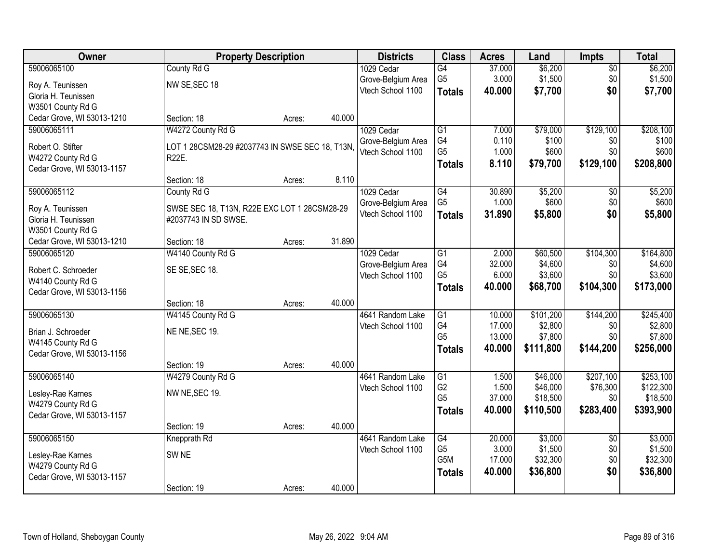| Owner                      |                                                 | <b>Property Description</b> |        | <b>Districts</b>   | <b>Class</b>     | <b>Acres</b> | Land      | <b>Impts</b>    | <b>Total</b> |
|----------------------------|-------------------------------------------------|-----------------------------|--------|--------------------|------------------|--------------|-----------|-----------------|--------------|
| 59006065100                | County Rd G                                     |                             |        | 1029 Cedar         | G4               | 37.000       | \$6,200   | $\sqrt{$0}$     | \$6,200      |
| Roy A. Teunissen           | NW SE, SEC 18                                   |                             |        | Grove-Belgium Area | G <sub>5</sub>   | 3.000        | \$1,500   | \$0             | \$1,500      |
| Gloria H. Teunissen        |                                                 |                             |        | Vtech School 1100  | <b>Totals</b>    | 40.000       | \$7,700   | \$0             | \$7,700      |
| W3501 County Rd G          |                                                 |                             |        |                    |                  |              |           |                 |              |
| Cedar Grove, WI 53013-1210 | Section: 18                                     | Acres:                      | 40.000 |                    |                  |              |           |                 |              |
| 59006065111                | W4272 County Rd G                               |                             |        | 1029 Cedar         | $\overline{G1}$  | 7.000        | \$79,000  | \$129,100       | \$208,100    |
| Robert O. Stifter          | LOT 1 28CSM28-29 #2037743 IN SWSE SEC 18, T13N, |                             |        | Grove-Belgium Area | G4               | 0.110        | \$100     | \$0             | \$100        |
| W4272 County Rd G          | R22E.                                           |                             |        | Vtech School 1100  | G <sub>5</sub>   | 1.000        | \$600     | \$0             | \$600        |
| Cedar Grove, WI 53013-1157 |                                                 |                             |        |                    | <b>Totals</b>    | 8.110        | \$79,700  | \$129,100       | \$208,800    |
|                            | Section: 18                                     | Acres:                      | 8.110  |                    |                  |              |           |                 |              |
| 59006065112                | County Rd G                                     |                             |        | 1029 Cedar         | $\overline{G4}$  | 30.890       | \$5,200   | \$0             | \$5,200      |
| Roy A. Teunissen           | SWSE SEC 18, T13N, R22E EXC LOT 1 28CSM28-29    |                             |        | Grove-Belgium Area | G <sub>5</sub>   | 1.000        | \$600     | \$0             | \$600        |
| Gloria H. Teunissen        | #2037743 IN SD SWSE.                            |                             |        | Vtech School 1100  | <b>Totals</b>    | 31,890       | \$5,800   | \$0             | \$5,800      |
| W3501 County Rd G          |                                                 |                             |        |                    |                  |              |           |                 |              |
| Cedar Grove, WI 53013-1210 | Section: 18                                     | Acres:                      | 31.890 |                    |                  |              |           |                 |              |
| 59006065120                | W4140 County Rd G                               |                             |        | 1029 Cedar         | G1               | 2.000        | \$60,500  | \$104,300       | \$164,800    |
| Robert C. Schroeder        | SE SE, SEC 18.                                  |                             |        | Grove-Belgium Area | G4               | 32.000       | \$4,600   | \$0             | \$4,600      |
| W4140 County Rd G          |                                                 |                             |        | Vtech School 1100  | G <sub>5</sub>   | 6.000        | \$3,600   | \$0             | \$3,600      |
| Cedar Grove, WI 53013-1156 |                                                 |                             |        |                    | <b>Totals</b>    | 40.000       | \$68,700  | \$104,300       | \$173,000    |
|                            | Section: 18                                     | Acres:                      | 40.000 |                    |                  |              |           |                 |              |
| 59006065130                | W4145 County Rd G                               |                             |        | 4641 Random Lake   | $\overline{G1}$  | 10.000       | \$101,200 | \$144,200       | \$245,400    |
| Brian J. Schroeder         | NE NE, SEC 19.                                  |                             |        | Vtech School 1100  | G4               | 17.000       | \$2,800   | \$0             | \$2,800      |
| W4145 County Rd G          |                                                 |                             |        |                    | G <sub>5</sub>   | 13.000       | \$7,800   | \$0             | \$7,800      |
| Cedar Grove, WI 53013-1156 |                                                 |                             |        |                    | <b>Totals</b>    | 40.000       | \$111,800 | \$144,200       | \$256,000    |
|                            | Section: 19                                     | Acres:                      | 40.000 |                    |                  |              |           |                 |              |
| 59006065140                | W4279 County Rd G                               |                             |        | 4641 Random Lake   | $\overline{G1}$  | 1.500        | \$46,000  | \$207,100       | \$253,100    |
| Lesley-Rae Karnes          | NW NE, SEC 19.                                  |                             |        | Vtech School 1100  | G <sub>2</sub>   | 1.500        | \$46,000  | \$76,300        | \$122,300    |
| W4279 County Rd G          |                                                 |                             |        |                    | G <sub>5</sub>   | 37.000       | \$18,500  | \$0             | \$18,500     |
| Cedar Grove, WI 53013-1157 |                                                 |                             |        |                    | <b>Totals</b>    | 40.000       | \$110,500 | \$283,400       | \$393,900    |
|                            | Section: 19                                     | Acres:                      | 40.000 |                    |                  |              |           |                 |              |
| 59006065150                | Knepprath Rd                                    |                             |        | 4641 Random Lake   | G4               | 20.000       | \$3,000   | $\overline{30}$ | \$3,000      |
| Lesley-Rae Karnes          | SW <sub>NE</sub>                                |                             |        | Vtech School 1100  | G <sub>5</sub>   | 3.000        | \$1,500   | \$0             | \$1,500      |
| W4279 County Rd G          |                                                 |                             |        |                    | G <sub>5</sub> M | 17.000       | \$32,300  | \$0             | \$32,300     |
| Cedar Grove, WI 53013-1157 |                                                 |                             |        |                    | <b>Totals</b>    | 40.000       | \$36,800  | \$0             | \$36,800     |
|                            | Section: 19                                     | Acres:                      | 40.000 |                    |                  |              |           |                 |              |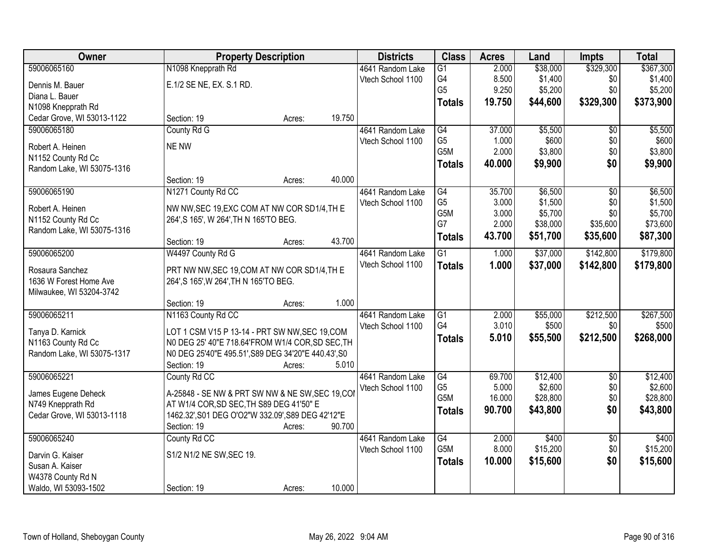| Owner                      | <b>Property Description</b>                                                            |        | <b>Districts</b>  | <b>Class</b>                      | <b>Acres</b>    | Land                | <b>Impts</b>    | <b>Total</b>        |
|----------------------------|----------------------------------------------------------------------------------------|--------|-------------------|-----------------------------------|-----------------|---------------------|-----------------|---------------------|
| 59006065160                | N1098 Knepprath Rd                                                                     |        | 4641 Random Lake  | $\overline{G1}$                   | 2.000           | \$38,000            | \$329,300       | \$367,300           |
| Dennis M. Bauer            | E.1/2 SE NE, EX. S.1 RD.                                                               |        | Vtech School 1100 | G4                                | 8.500           | \$1,400             | \$0             | \$1,400             |
| Diana L. Bauer             |                                                                                        |        |                   | G <sub>5</sub>                    | 9.250           | \$5,200             | \$0             | \$5,200             |
| N1098 Knepprath Rd         |                                                                                        |        |                   | <b>Totals</b>                     | 19.750          | \$44,600            | \$329,300       | \$373,900           |
| Cedar Grove, WI 53013-1122 | Section: 19                                                                            | Acres: | 19.750            |                                   |                 |                     |                 |                     |
| 59006065180                | County Rd G                                                                            |        | 4641 Random Lake  | G4                                | 37.000          | \$5,500             | $\overline{50}$ | \$5,500             |
| Robert A. Heinen           | NE NW                                                                                  |        | Vtech School 1100 | G <sub>5</sub>                    | 1.000           | \$600               | \$0             | \$600               |
| N1152 County Rd Cc         |                                                                                        |        |                   | G <sub>5</sub> M                  | 2.000           | \$3,800             | \$0             | \$3,800             |
| Random Lake, WI 53075-1316 |                                                                                        |        |                   | <b>Totals</b>                     | 40.000          | \$9,900             | \$0             | \$9,900             |
|                            | Section: 19                                                                            | Acres: | 40.000            |                                   |                 |                     |                 |                     |
| 59006065190                | N1271 County Rd CC                                                                     |        | 4641 Random Lake  | G4                                | 35.700          | \$6,500             | \$0             | \$6,500             |
| Robert A. Heinen           | NW NW, SEC 19, EXC COM AT NW COR SD1/4, TH E                                           |        | Vtech School 1100 | G <sub>5</sub>                    | 3.000           | \$1,500             | \$0             | \$1,500             |
| N1152 County Rd Cc         | 264', S 165', W 264', TH N 165'TO BEG.                                                 |        |                   | G <sub>5</sub> M                  | 3.000           | \$5,700             | \$0             | \$5,700             |
| Random Lake, WI 53075-1316 |                                                                                        |        |                   | G7                                | 2.000           | \$38,000            | \$35,600        | \$73,600            |
|                            | Section: 19                                                                            | Acres: | 43.700            | <b>Totals</b>                     | 43.700          | \$51,700            | \$35,600        | \$87,300            |
| 59006065200                | W4497 County Rd G                                                                      |        | 4641 Random Lake  | G1                                | 1.000           | \$37,000            | \$142,800       | \$179,800           |
| Rosaura Sanchez            |                                                                                        |        | Vtech School 1100 | <b>Totals</b>                     | 1.000           | \$37,000            | \$142,800       | \$179,800           |
| 1636 W Forest Home Ave     | PRT NW NW, SEC 19, COM AT NW COR SD1/4, TH E<br>264', S 165', W 264', TH N 165'TO BEG. |        |                   |                                   |                 |                     |                 |                     |
| Milwaukee, WI 53204-3742   |                                                                                        |        |                   |                                   |                 |                     |                 |                     |
|                            | Section: 19                                                                            | Acres: | 1.000             |                                   |                 |                     |                 |                     |
| 59006065211                | N1163 County Rd CC                                                                     |        | 4641 Random Lake  | $\overline{G1}$                   | 2.000           | \$55,000            | \$212,500       | \$267,500           |
|                            |                                                                                        |        | Vtech School 1100 | G4                                | 3.010           | \$500               | \$0             | \$500               |
| Tanya D. Karnick           | LOT 1 CSM V15 P 13-14 - PRT SW NW, SEC 19, COM                                         |        |                   | <b>Totals</b>                     | 5.010           | \$55,500            | \$212,500       | \$268,000           |
| N1163 County Rd Cc         | N0 DEG 25' 40"E 718.64'FROM W1/4 COR, SD SEC, TH                                       |        |                   |                                   |                 |                     |                 |                     |
| Random Lake, WI 53075-1317 | N0 DEG 25'40"E 495.51', S89 DEG 34'20"E 440.43', S0                                    |        |                   |                                   |                 |                     |                 |                     |
|                            | Section: 19                                                                            | Acres: | 5.010             |                                   |                 |                     |                 |                     |
| 59006065221                | County Rd CC                                                                           |        | 4641 Random Lake  | $\overline{G4}$<br>G <sub>5</sub> | 69.700<br>5.000 | \$12,400            | $\overline{50}$ | \$12,400            |
| James Eugene Deheck        | A-25848 - SE NW & PRT SW NW & NE SW, SEC 19, COI                                       |        | Vtech School 1100 | G <sub>5</sub> M                  | 16.000          | \$2,600<br>\$28,800 | \$0<br>\$0      | \$2,600<br>\$28,800 |
| N749 Knepprath Rd          | AT W1/4 COR, SD SEC, TH S89 DEG 41'50" E                                               |        |                   |                                   | 90.700          | \$43,800            | \$0             | \$43,800            |
| Cedar Grove, WI 53013-1118 | 1462.32', S01 DEG O'O2"W 332.09', S89 DEG 42'12"E                                      |        |                   | <b>Totals</b>                     |                 |                     |                 |                     |
|                            | Section: 19                                                                            | Acres: | 90.700            |                                   |                 |                     |                 |                     |
| 59006065240                | County Rd CC                                                                           |        | 4641 Random Lake  | $\overline{G4}$                   | 2.000           | \$400               | $\overline{50}$ | \$400               |
| Darvin G. Kaiser           | S1/2 N1/2 NE SW, SEC 19.                                                               |        | Vtech School 1100 | G <sub>5</sub> M                  | 8.000           | \$15,200            | \$0             | \$15,200            |
| Susan A. Kaiser            |                                                                                        |        |                   | <b>Totals</b>                     | 10.000          | \$15,600            | \$0             | \$15,600            |
| W4378 County Rd N          |                                                                                        |        |                   |                                   |                 |                     |                 |                     |
| Waldo, WI 53093-1502       | Section: 19                                                                            | Acres: | 10.000            |                                   |                 |                     |                 |                     |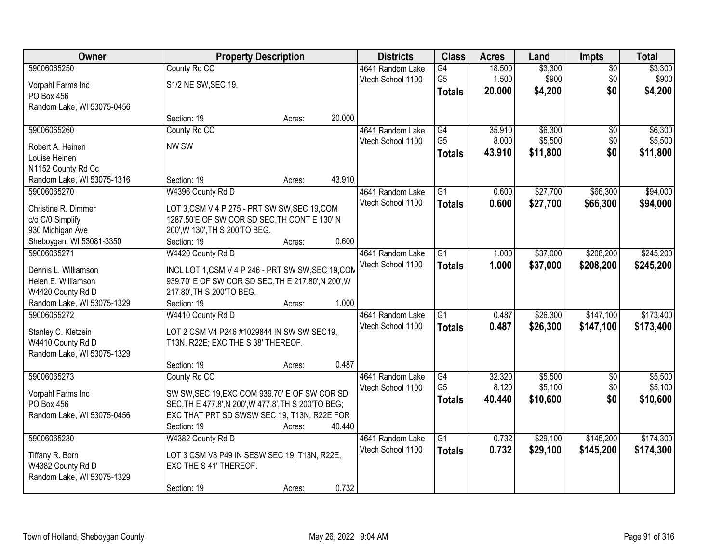| Owner                                       | <b>Property Description</b>                                                                  |        |        | <b>Districts</b>  | <b>Class</b>    | <b>Acres</b> | Land     | <b>Impts</b>    | <b>Total</b> |
|---------------------------------------------|----------------------------------------------------------------------------------------------|--------|--------|-------------------|-----------------|--------------|----------|-----------------|--------------|
| 59006065250                                 | County Rd CC                                                                                 |        |        | 4641 Random Lake  | G4              | 18.500       | \$3,300  | $\overline{50}$ | \$3,300      |
| Vorpahl Farms Inc                           | S1/2 NE SW, SEC 19.                                                                          |        |        | Vtech School 1100 | G <sub>5</sub>  | 1.500        | \$900    | \$0             | \$900        |
| PO Box 456                                  |                                                                                              |        |        |                   | <b>Totals</b>   | 20.000       | \$4,200  | \$0             | \$4,200      |
| Random Lake, WI 53075-0456                  |                                                                                              |        |        |                   |                 |              |          |                 |              |
|                                             | Section: 19                                                                                  | Acres: | 20.000 |                   |                 |              |          |                 |              |
| 59006065260                                 | County Rd CC                                                                                 |        |        | 4641 Random Lake  | G4              | 35.910       | \$6,300  | $\overline{50}$ | \$6,300      |
| Robert A. Heinen                            | NW SW                                                                                        |        |        | Vtech School 1100 | G <sub>5</sub>  | 8.000        | \$5,500  | \$0             | \$5,500      |
| Louise Heinen                               |                                                                                              |        |        |                   | <b>Totals</b>   | 43.910       | \$11,800 | \$0             | \$11,800     |
| N1152 County Rd Cc                          |                                                                                              |        |        |                   |                 |              |          |                 |              |
| Random Lake, WI 53075-1316                  | Section: 19                                                                                  | Acres: | 43.910 |                   |                 |              |          |                 |              |
| 59006065270                                 | W4396 County Rd D                                                                            |        |        | 4641 Random Lake  | G1              | 0.600        | \$27,700 | \$66,300        | \$94,000     |
| Christine R. Dimmer                         |                                                                                              |        |        | Vtech School 1100 | <b>Totals</b>   | 0.600        | \$27,700 | \$66,300        | \$94,000     |
| c/o C/0 Simplify                            | LOT 3,CSM V 4 P 275 - PRT SW SW, SEC 19, COM<br>1287.50'E OF SW COR SD SEC, TH CONT E 130' N |        |        |                   |                 |              |          |                 |              |
| 930 Michigan Ave                            | 200', W 130', TH S 200'TO BEG.                                                               |        |        |                   |                 |              |          |                 |              |
| Sheboygan, WI 53081-3350                    | Section: 19                                                                                  | Acres: | 0.600  |                   |                 |              |          |                 |              |
| 59006065271                                 | W4420 County Rd D                                                                            |        |        | 4641 Random Lake  | G1              | 1.000        | \$37,000 | \$208,200       | \$245,200    |
|                                             |                                                                                              |        |        | Vtech School 1100 | <b>Totals</b>   | 1.000        | \$37,000 | \$208,200       | \$245,200    |
| Dennis L. Williamson<br>Helen E. Williamson | INCL LOT 1, CSM V 4 P 246 - PRT SW SW, SEC 19, COM                                           |        |        |                   |                 |              |          |                 |              |
| W4420 County Rd D                           | 939.70' E OF SW COR SD SEC, TH E 217.80', N 200', W<br>217.80', TH S 200'TO BEG.             |        |        |                   |                 |              |          |                 |              |
| Random Lake, WI 53075-1329                  | Section: 19                                                                                  | Acres: | 1.000  |                   |                 |              |          |                 |              |
| 59006065272                                 | W4410 County Rd D                                                                            |        |        | 4641 Random Lake  | $\overline{G1}$ | 0.487        | \$26,300 | \$147,100       | \$173,400    |
|                                             |                                                                                              |        |        | Vtech School 1100 | <b>Totals</b>   | 0.487        | \$26,300 | \$147,100       | \$173,400    |
| Stanley C. Kletzein                         | LOT 2 CSM V4 P246 #1029844 IN SW SW SEC19,                                                   |        |        |                   |                 |              |          |                 |              |
| W4410 County Rd D                           | T13N, R22E; EXC THE S 38' THEREOF.                                                           |        |        |                   |                 |              |          |                 |              |
| Random Lake, WI 53075-1329                  | Section: 19                                                                                  | Acres: | 0.487  |                   |                 |              |          |                 |              |
| 59006065273                                 | County Rd CC                                                                                 |        |        | 4641 Random Lake  | G4              | 32.320       | \$5,500  | $\overline{50}$ | \$5,500      |
|                                             |                                                                                              |        |        | Vtech School 1100 | G <sub>5</sub>  | 8.120        | \$5,100  | \$0             | \$5,100      |
| Vorpahl Farms Inc                           | SW SW, SEC 19, EXC COM 939.70' E OF SW COR SD                                                |        |        |                   | <b>Totals</b>   | 40.440       | \$10,600 | \$0             | \$10,600     |
| PO Box 456                                  | SEC, TH E 477.8', N 200', W 477.8', TH S 200'TO BEG;                                         |        |        |                   |                 |              |          |                 |              |
| Random Lake, WI 53075-0456                  | EXC THAT PRT SD SWSW SEC 19, T13N, R22E FOR                                                  |        |        |                   |                 |              |          |                 |              |
| 59006065280                                 | Section: 19                                                                                  | Acres: | 40.440 | 4641 Random Lake  | $\overline{G1}$ | 0.732        | \$29,100 | \$145,200       | \$174,300    |
|                                             | W4382 County Rd D                                                                            |        |        | Vtech School 1100 |                 | 0.732        | \$29,100 | \$145,200       | \$174,300    |
| Tiffany R. Born                             | LOT 3 CSM V8 P49 IN SESW SEC 19, T13N, R22E,                                                 |        |        |                   | <b>Totals</b>   |              |          |                 |              |
| W4382 County Rd D                           | EXC THE S 41' THEREOF.                                                                       |        |        |                   |                 |              |          |                 |              |
| Random Lake, WI 53075-1329                  |                                                                                              |        |        |                   |                 |              |          |                 |              |
|                                             | Section: 19                                                                                  | Acres: | 0.732  |                   |                 |              |          |                 |              |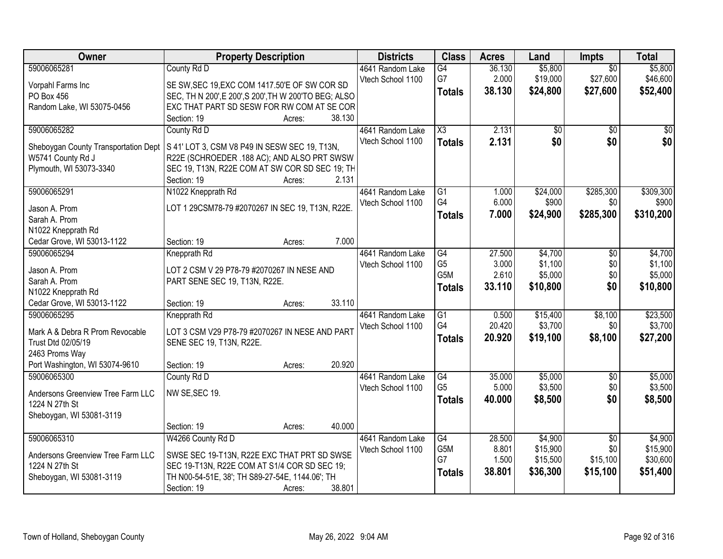| Owner                                | <b>Property Description</b>                           |                  | <b>Districts</b>                      | <b>Class</b>           | <b>Acres</b>    | Land               | Impts             | <b>Total</b>       |
|--------------------------------------|-------------------------------------------------------|------------------|---------------------------------------|------------------------|-----------------|--------------------|-------------------|--------------------|
| 59006065281                          | County Rd D                                           |                  | 4641 Random Lake                      | G4                     | 36.130          | \$5,800            | $\overline{50}$   | \$5,800            |
| Vorpahl Farms Inc                    | SE SW, SEC 19, EXC COM 1417.50'E OF SW COR SD         |                  | Vtech School 1100                     | G7                     | 2.000           | \$19,000           | \$27,600          | \$46,600           |
| PO Box 456                           | SEC, TH N 200', E 200', S 200', TH W 200'TO BEG; ALSO |                  |                                       | <b>Totals</b>          | 38.130          | \$24,800           | \$27,600          | \$52,400           |
| Random Lake, WI 53075-0456           | EXC THAT PART SD SESW FOR RW COM AT SE COR            |                  |                                       |                        |                 |                    |                   |                    |
|                                      | Section: 19                                           | 38.130<br>Acres: |                                       |                        |                 |                    |                   |                    |
| 59006065282                          | County Rd D                                           |                  | 4641 Random Lake                      | $\overline{\text{X3}}$ | 2.131           | \$0                | \$0               | \$0                |
|                                      |                                                       |                  | Vtech School 1100                     | <b>Totals</b>          | 2.131           | \$0                | \$0               | \$0                |
| Sheboygan County Transportation Dept | S 41' LOT 3, CSM V8 P49 IN SESW SEC 19, T13N,         |                  |                                       |                        |                 |                    |                   |                    |
| W5741 County Rd J                    | R22E (SCHROEDER .188 AC); AND ALSO PRT SWSW           |                  |                                       |                        |                 |                    |                   |                    |
| Plymouth, WI 53073-3340              | SEC 19, T13N, R22E COM AT SW COR SD SEC 19; TH        |                  |                                       |                        |                 |                    |                   |                    |
|                                      | Section: 19                                           | Acres:           | 2.131                                 |                        |                 |                    |                   |                    |
| 59006065291                          | N1022 Knepprath Rd                                    |                  | 4641 Random Lake<br>Vtech School 1100 | G1<br>G4               | 1.000<br>6.000  | \$24,000<br>\$900  | \$285,300<br>\$0  | \$309,300<br>\$900 |
| Jason A. Prom                        | LOT 1 29CSM78-79 #2070267 IN SEC 19, T13N, R22E.      |                  |                                       |                        |                 |                    |                   |                    |
| Sarah A. Prom                        |                                                       |                  |                                       | <b>Totals</b>          | 7.000           | \$24,900           | \$285,300         | \$310,200          |
| N1022 Knepprath Rd                   |                                                       |                  |                                       |                        |                 |                    |                   |                    |
| Cedar Grove, WI 53013-1122           | Section: 19                                           | Acres:           | 7.000                                 |                        |                 |                    |                   |                    |
| 59006065294                          | Knepprath Rd                                          |                  | 4641 Random Lake                      | $\overline{G4}$        | 27.500          | \$4,700            | \$0               | \$4,700            |
| Jason A. Prom                        | LOT 2 CSM V 29 P78-79 #2070267 IN NESE AND            |                  | Vtech School 1100                     | G <sub>5</sub>         | 3.000           | \$1,100            | \$0               | \$1,100            |
| Sarah A. Prom                        | PART SENE SEC 19, T13N, R22E.                         |                  |                                       | G5M                    | 2.610           | \$5,000            | \$0               | \$5,000            |
| N1022 Knepprath Rd                   |                                                       |                  |                                       | <b>Totals</b>          | 33.110          | \$10,800           | \$0               | \$10,800           |
| Cedar Grove, WI 53013-1122           | Section: 19                                           | 33.110<br>Acres: |                                       |                        |                 |                    |                   |                    |
| 59006065295                          | Knepprath Rd                                          |                  | 4641 Random Lake                      | $\overline{G1}$        | 0.500           | \$15,400           | \$8,100           | \$23,500           |
|                                      |                                                       |                  | Vtech School 1100                     | G4                     | 20.420          | \$3,700            | \$0               | \$3,700            |
| Mark A & Debra R Prom Revocable      | LOT 3 CSM V29 P78-79 #2070267 IN NESE AND PART        |                  |                                       | <b>Totals</b>          | 20.920          | \$19,100           | \$8,100           | \$27,200           |
| Trust Dtd 02/05/19                   | SENE SEC 19, T13N, R22E.                              |                  |                                       |                        |                 |                    |                   |                    |
| 2463 Proms Way                       |                                                       |                  |                                       |                        |                 |                    |                   |                    |
| Port Washington, WI 53074-9610       | Section: 19                                           | 20.920<br>Acres: |                                       |                        |                 |                    |                   |                    |
| 59006065300                          | County Rd D                                           |                  | 4641 Random Lake                      | G4<br>G <sub>5</sub>   | 35.000<br>5.000 | \$5,000<br>\$3,500 | $\sqrt{6}$<br>\$0 | \$5,000<br>\$3,500 |
| Andersons Greenview Tree Farm LLC    | NW SE, SEC 19.                                        |                  | Vtech School 1100                     |                        | 40.000          |                    |                   |                    |
| 1224 N 27th St                       |                                                       |                  |                                       | <b>Totals</b>          |                 | \$8,500            | \$0               | \$8,500            |
| Sheboygan, WI 53081-3119             |                                                       |                  |                                       |                        |                 |                    |                   |                    |
|                                      | Section: 19                                           | 40.000<br>Acres: |                                       |                        |                 |                    |                   |                    |
| 59006065310                          | W4266 County Rd D                                     |                  | 4641 Random Lake                      | $\overline{G4}$        | 28.500          | \$4,900            | $\overline{50}$   | \$4,900            |
| Andersons Greenview Tree Farm LLC    | SWSE SEC 19-T13N, R22E EXC THAT PRT SD SWSE           |                  | Vtech School 1100                     | G <sub>5</sub> M       | 8.801           | \$15,900           | \$0               | \$15,900           |
| 1224 N 27th St                       | SEC 19-T13N, R22E COM AT S1/4 COR SD SEC 19;          |                  |                                       | G7                     | 1.500           | \$15,500           | \$15,100          | \$30,600           |
| Sheboygan, WI 53081-3119             | TH N00-54-51E, 38'; TH S89-27-54E, 1144.06'; TH       |                  |                                       | <b>Totals</b>          | 38.801          | \$36,300           | \$15,100          | \$51,400           |
|                                      | Section: 19                                           | 38.801<br>Acres: |                                       |                        |                 |                    |                   |                    |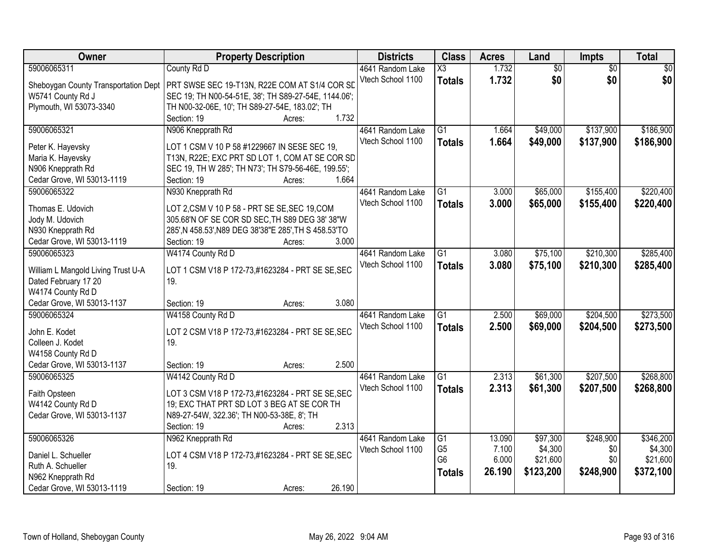| Owner                                | <b>Property Description</b>                           | <b>Districts</b>  | <b>Class</b>           | <b>Acres</b> | Land            | <b>Impts</b>    | <b>Total</b>    |
|--------------------------------------|-------------------------------------------------------|-------------------|------------------------|--------------|-----------------|-----------------|-----------------|
| 59006065311                          | County Rd D                                           | 4641 Random Lake  | $\overline{\text{X3}}$ | 1.732        | $\overline{60}$ | $\overline{50}$ | $\overline{50}$ |
| Sheboygan County Transportation Dept | PRT SWSE SEC 19-T13N, R22E COM AT S1/4 COR SD         | Vtech School 1100 | <b>Totals</b>          | 1.732        | \$0             | \$0             | \$0             |
| W5741 County Rd J                    | SEC 19; TH N00-54-51E, 38'; TH S89-27-54E, 1144.06';  |                   |                        |              |                 |                 |                 |
| Plymouth, WI 53073-3340              | TH N00-32-06E, 10'; TH S89-27-54E, 183.02'; TH        |                   |                        |              |                 |                 |                 |
|                                      | 1.732<br>Section: 19<br>Acres:                        |                   |                        |              |                 |                 |                 |
| 59006065321                          | N906 Knepprath Rd                                     | 4641 Random Lake  | $\overline{G1}$        | 1.664        | \$49,000        | \$137,900       | \$186,900       |
|                                      |                                                       | Vtech School 1100 | <b>Totals</b>          | 1.664        | \$49,000        | \$137,900       | \$186,900       |
| Peter K. Hayevsky                    | LOT 1 CSM V 10 P 58 #1229667 IN SESE SEC 19,          |                   |                        |              |                 |                 |                 |
| Maria K. Hayevsky                    | T13N, R22E; EXC PRT SD LOT 1, COM AT SE COR SD        |                   |                        |              |                 |                 |                 |
| N906 Knepprath Rd                    | SEC 19, TH W 285'; TH N73'; TH S79-56-46E, 199.55';   |                   |                        |              |                 |                 |                 |
| Cedar Grove, WI 53013-1119           | 1.664<br>Section: 19<br>Acres:                        |                   |                        |              |                 |                 |                 |
| 59006065322                          | N930 Knepprath Rd                                     | 4641 Random Lake  | $\overline{G1}$        | 3.000        | \$65,000        | \$155,400       | \$220,400       |
| Thomas E. Udovich                    | LOT 2,CSM V 10 P 58 - PRT SE SE, SEC 19, COM          | Vtech School 1100 | <b>Totals</b>          | 3.000        | \$65,000        | \$155,400       | \$220,400       |
| Jody M. Udovich                      | 305.68'N OF SE COR SD SEC, TH S89 DEG 38' 38"W        |                   |                        |              |                 |                 |                 |
| N930 Knepprath Rd                    | 285', N 458.53', N89 DEG 38'38"E 285', TH S 458.53'TO |                   |                        |              |                 |                 |                 |
| Cedar Grove, WI 53013-1119           | 3.000<br>Section: 19<br>Acres:                        |                   |                        |              |                 |                 |                 |
| 59006065323                          | W4174 County Rd D                                     | 4641 Random Lake  | $\overline{G1}$        | 3.080        | \$75,100        | \$210,300       | \$285,400       |
|                                      |                                                       | Vtech School 1100 | <b>Totals</b>          | 3.080        | \$75,100        | \$210,300       | \$285,400       |
| William L Mangold Living Trust U-A   | LOT 1 CSM V18 P 172-73,#1623284 - PRT SE SE, SEC      |                   |                        |              |                 |                 |                 |
| Dated February 17 20                 | 19.                                                   |                   |                        |              |                 |                 |                 |
| W4174 County Rd D                    |                                                       |                   |                        |              |                 |                 |                 |
| Cedar Grove, WI 53013-1137           | 3.080<br>Section: 19<br>Acres:                        |                   |                        |              |                 |                 |                 |
| 59006065324                          | W4158 County Rd D                                     | 4641 Random Lake  | $\overline{G1}$        | 2.500        | \$69,000        | \$204,500       | \$273,500       |
| John E. Kodet                        | LOT 2 CSM V18 P 172-73,#1623284 - PRT SE SE, SEC      | Vtech School 1100 | <b>Totals</b>          | 2.500        | \$69,000        | \$204,500       | \$273,500       |
| Colleen J. Kodet                     | 19.                                                   |                   |                        |              |                 |                 |                 |
| W4158 County Rd D                    |                                                       |                   |                        |              |                 |                 |                 |
| Cedar Grove, WI 53013-1137           | 2.500<br>Section: 19<br>Acres:                        |                   |                        |              |                 |                 |                 |
| 59006065325                          | W4142 County Rd D                                     | 4641 Random Lake  | $\overline{G1}$        | 2.313        | \$61,300        | \$207,500       | \$268,800       |
|                                      |                                                       | Vtech School 1100 | <b>Totals</b>          | 2.313        | \$61,300        | \$207,500       | \$268,800       |
| Faith Opsteen                        | LOT 3 CSM V18 P 172-73,#1623284 - PRT SE SE, SEC      |                   |                        |              |                 |                 |                 |
| W4142 County Rd D                    | 19; EXC THAT PRT SD LOT 3 BEG AT SE COR TH            |                   |                        |              |                 |                 |                 |
| Cedar Grove, WI 53013-1137           | N89-27-54W, 322.36'; TH N00-53-38E, 8'; TH            |                   |                        |              |                 |                 |                 |
|                                      | 2.313<br>Section: 19<br>Acres:                        |                   |                        |              |                 |                 |                 |
| 59006065326                          | N962 Knepprath Rd                                     | 4641 Random Lake  | $\overline{G1}$        | 13.090       | \$97,300        | \$248,900       | \$346,200       |
| Daniel L. Schueller                  | LOT 4 CSM V18 P 172-73,#1623284 - PRT SE SE, SEC      | Vtech School 1100 | G <sub>5</sub>         | 7.100        | \$4,300         | \$0             | \$4,300         |
| Ruth A. Schueller                    | 19.                                                   |                   | G <sub>6</sub>         | 6.000        | \$21,600        | \$0             | \$21,600        |
| N962 Knepprath Rd                    |                                                       |                   | <b>Totals</b>          | 26.190       | \$123,200       | \$248,900       | \$372,100       |
| Cedar Grove, WI 53013-1119           | 26.190<br>Section: 19<br>Acres:                       |                   |                        |              |                 |                 |                 |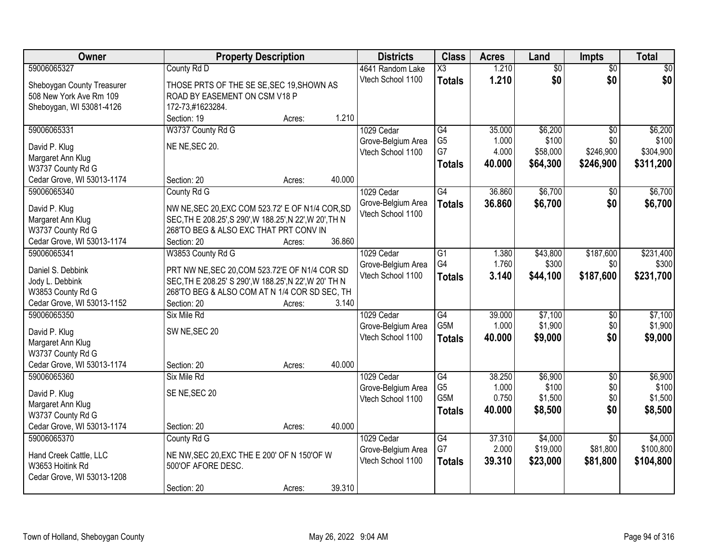| Owner                                           | <b>Property Description</b>                                                                              |        |        | <b>Districts</b>   | <b>Class</b>           | <b>Acres</b> | Land                | <b>Impts</b>    | <b>Total</b>         |
|-------------------------------------------------|----------------------------------------------------------------------------------------------------------|--------|--------|--------------------|------------------------|--------------|---------------------|-----------------|----------------------|
| 59006065327                                     | County Rd D                                                                                              |        |        | 4641 Random Lake   | $\overline{\text{X3}}$ | 1.210        | $\overline{50}$     | $\overline{50}$ | $\overline{30}$      |
| Sheboygan County Treasurer                      | THOSE PRTS OF THE SE SE, SEC 19, SHOWN AS                                                                |        |        | Vtech School 1100  | <b>Totals</b>          | 1.210        | \$0                 | \$0             | \$0                  |
| 508 New York Ave Rm 109                         | ROAD BY EASEMENT ON CSM V18 P                                                                            |        |        |                    |                        |              |                     |                 |                      |
| Sheboygan, WI 53081-4126                        | 172-73,#1623284.                                                                                         |        |        |                    |                        |              |                     |                 |                      |
|                                                 | Section: 19                                                                                              | Acres: | 1.210  |                    |                        |              |                     |                 |                      |
| 59006065331                                     | W3737 County Rd G                                                                                        |        |        | 1029 Cedar         | $\overline{G4}$        | 35.000       | \$6,200             | $\overline{50}$ | \$6,200              |
| David P. Klug                                   | NE NE, SEC 20.                                                                                           |        |        | Grove-Belgium Area | G <sub>5</sub>         | 1.000        | \$100               | \$0             | \$100                |
| Margaret Ann Klug                               |                                                                                                          |        |        | Vtech School 1100  | G7                     | 4.000        | \$58,000            | \$246,900       | \$304,900            |
| W3737 County Rd G                               |                                                                                                          |        |        |                    | <b>Totals</b>          | 40.000       | \$64,300            | \$246,900       | \$311,200            |
| Cedar Grove, WI 53013-1174                      | Section: 20                                                                                              | Acres: | 40.000 |                    |                        |              |                     |                 |                      |
| 59006065340                                     | County Rd G                                                                                              |        |        | 1029 Cedar         | G4                     | 36.860       | \$6,700             | $\sqrt{6}$      | \$6,700              |
| David P. Klug                                   | NW NE, SEC 20, EXC COM 523.72' E OF N1/4 COR, SD                                                         |        |        | Grove-Belgium Area | <b>Totals</b>          | 36.860       | \$6,700             | \$0             | \$6,700              |
| Margaret Ann Klug                               | SEC, TH E 208.25', S 290', W 188.25', N 22', W 20', TH N                                                 |        |        | Vtech School 1100  |                        |              |                     |                 |                      |
| W3737 County Rd G                               | 268'TO BEG & ALSO EXC THAT PRT CONV IN                                                                   |        |        |                    |                        |              |                     |                 |                      |
| Cedar Grove, WI 53013-1174                      | Section: 20                                                                                              | Acres: | 36.860 |                    |                        |              |                     |                 |                      |
| 59006065341                                     | W3853 County Rd G                                                                                        |        |        | 1029 Cedar         | $\overline{G1}$        | 1.380        | \$43,800            | \$187,600       | \$231,400            |
|                                                 |                                                                                                          |        |        | Grove-Belgium Area | G4                     | 1.760        | \$300               | \$0             | \$300                |
| Daniel S. Debbink<br>Jody L. Debbink            | PRT NW NE, SEC 20, COM 523.72'E OF N1/4 COR SD<br>SEC, TH E 208.25' S 290', W 188.25', N 22', W 20' TH N |        |        | Vtech School 1100  | <b>Totals</b>          | 3.140        | \$44,100            | \$187,600       | \$231,700            |
| W3853 County Rd G                               | 268'TO BEG & ALSO COM AT N 1/4 COR SD SEC, TH                                                            |        |        |                    |                        |              |                     |                 |                      |
| Cedar Grove, WI 53013-1152                      | Section: 20                                                                                              | Acres: | 3.140  |                    |                        |              |                     |                 |                      |
| 59006065350                                     | Six Mile Rd                                                                                              |        |        | 1029 Cedar         | $\overline{G4}$        | 39.000       | \$7,100             | \$0             | \$7,100              |
|                                                 |                                                                                                          |        |        | Grove-Belgium Area | G <sub>5</sub> M       | 1.000        | \$1,900             | \$0             | \$1,900              |
| David P. Klug                                   | SW NE, SEC 20                                                                                            |        |        | Vtech School 1100  | <b>Totals</b>          | 40.000       | \$9,000             | \$0             | \$9,000              |
| Margaret Ann Klug                               |                                                                                                          |        |        |                    |                        |              |                     |                 |                      |
| W3737 County Rd G<br>Cedar Grove, WI 53013-1174 | Section: 20                                                                                              | Acres: | 40.000 |                    |                        |              |                     |                 |                      |
| 59006065360                                     | Six Mile Rd                                                                                              |        |        | 1029 Cedar         | $\overline{G4}$        | 38.250       | \$6,900             | $\overline{60}$ | \$6,900              |
|                                                 |                                                                                                          |        |        | Grove-Belgium Area | G <sub>5</sub>         | 1.000        | \$100               | \$0             | \$100                |
| David P. Klug                                   | SE NE, SEC 20                                                                                            |        |        | Vtech School 1100  | G <sub>5</sub> M       | 0.750        | \$1,500             | \$0             | \$1,500              |
| Margaret Ann Klug                               |                                                                                                          |        |        |                    | <b>Totals</b>          | 40.000       | \$8,500             | \$0             | \$8,500              |
| W3737 County Rd G                               |                                                                                                          |        |        |                    |                        |              |                     |                 |                      |
| Cedar Grove, WI 53013-1174                      | Section: 20                                                                                              | Acres: | 40.000 |                    |                        |              |                     |                 |                      |
| 59006065370                                     | County Rd G                                                                                              |        |        | 1029 Cedar         | G4<br>G7               | 37.310       | \$4,000<br>\$19,000 | $\overline{30}$ | \$4,000<br>\$100,800 |
| Hand Creek Cattle, LLC                          | NE NW, SEC 20, EXC THE E 200' OF N 150'OF W                                                              |        |        | Grove-Belgium Area |                        | 2.000        |                     | \$81,800        |                      |
| W3653 Hoitink Rd                                | 500'OF AFORE DESC.                                                                                       |        |        | Vtech School 1100  | <b>Totals</b>          | 39.310       | \$23,000            | \$81,800        | \$104,800            |
| Cedar Grove, WI 53013-1208                      |                                                                                                          |        |        |                    |                        |              |                     |                 |                      |
|                                                 | Section: 20                                                                                              | Acres: | 39.310 |                    |                        |              |                     |                 |                      |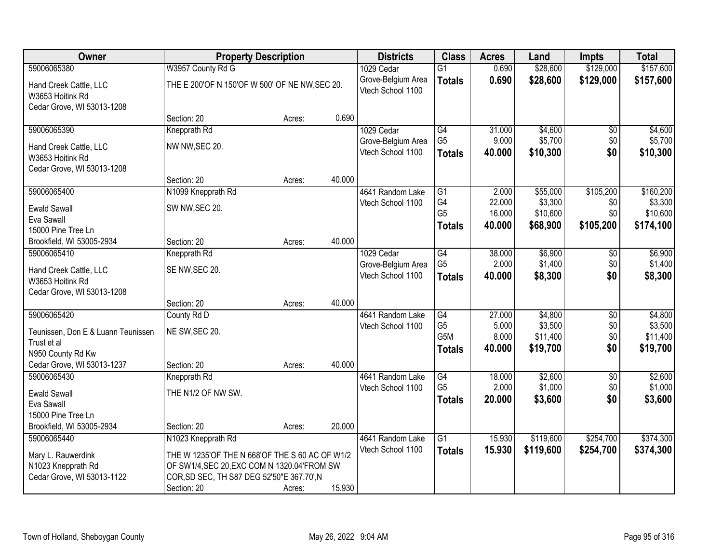| Owner                                      | <b>Property Description</b>                    |        |        | <b>Districts</b>                        | <b>Class</b>                       | <b>Acres</b>     | Land                 | <b>Impts</b>    | <b>Total</b>         |
|--------------------------------------------|------------------------------------------------|--------|--------|-----------------------------------------|------------------------------------|------------------|----------------------|-----------------|----------------------|
| 59006065380                                | W3957 County Rd G                              |        |        | 1029 Cedar                              | G1                                 | 0.690            | \$28,600             | \$129,000       | \$157,600            |
| Hand Creek Cattle, LLC<br>W3653 Hoitink Rd | THE E 200'OF N 150'OF W 500' OF NE NW, SEC 20. |        |        | Grove-Belgium Area<br>Vtech School 1100 | <b>Totals</b>                      | 0.690            | \$28,600             | \$129,000       | \$157,600            |
| Cedar Grove, WI 53013-1208                 |                                                |        |        |                                         |                                    |                  |                      |                 |                      |
|                                            | Section: 20                                    | Acres: | 0.690  |                                         |                                    |                  |                      |                 |                      |
| 59006065390                                | Knepprath Rd                                   |        |        | 1029 Cedar                              | $\overline{G4}$                    | 31.000           | \$4,600              | \$0             | \$4,600              |
| Hand Creek Cattle, LLC                     | NW NW, SEC 20.                                 |        |        | Grove-Belgium Area                      | G <sub>5</sub>                     | 9.000            | \$5,700              | \$0             | \$5,700              |
| W3653 Hoitink Rd                           |                                                |        |        | Vtech School 1100                       | <b>Totals</b>                      | 40.000           | \$10,300             | \$0             | \$10,300             |
| Cedar Grove, WI 53013-1208                 |                                                |        |        |                                         |                                    |                  |                      |                 |                      |
|                                            | Section: 20                                    | Acres: | 40.000 |                                         |                                    |                  |                      |                 |                      |
| 59006065400                                | N1099 Knepprath Rd                             |        |        | 4641 Random Lake                        | $\overline{G1}$                    | 2.000            | \$55,000             | \$105,200       | \$160,200            |
| <b>Ewald Sawall</b>                        | SW NW, SEC 20.                                 |        |        | Vtech School 1100                       | G <sub>4</sub><br>G <sub>5</sub>   | 22.000           | \$3,300              | \$0             | \$3,300<br>\$10,600  |
| Eva Sawall                                 |                                                |        |        |                                         |                                    | 16.000<br>40.000 | \$10,600<br>\$68,900 | \$0             |                      |
| 15000 Pine Tree Ln                         |                                                |        |        |                                         | <b>Totals</b>                      |                  |                      | \$105,200       | \$174,100            |
| Brookfield, WI 53005-2934                  | Section: 20                                    | Acres: | 40.000 |                                         |                                    |                  |                      |                 |                      |
| 59006065410                                | Knepprath Rd                                   |        |        | 1029 Cedar                              | G4                                 | 38.000           | \$6,900              | \$0             | \$6,900              |
| Hand Creek Cattle, LLC                     | SE NW, SEC 20.                                 |        |        | Grove-Belgium Area                      | G <sub>5</sub>                     | 2.000            | \$1,400              | \$0             | \$1,400              |
| W3653 Hoitink Rd                           |                                                |        |        | Vtech School 1100                       | <b>Totals</b>                      | 40.000           | \$8,300              | \$0             | \$8,300              |
| Cedar Grove, WI 53013-1208                 |                                                |        |        |                                         |                                    |                  |                      |                 |                      |
|                                            | Section: 20                                    | Acres: | 40.000 |                                         |                                    |                  |                      |                 |                      |
| 59006065420                                | County Rd D                                    |        |        | 4641 Random Lake                        | $\overline{G4}$                    | 27.000           | \$4,800              | $\overline{50}$ | \$4,800              |
| Teunissen, Don E & Luann Teunissen         | NE SW, SEC 20.                                 |        |        | Vtech School 1100                       | G <sub>5</sub><br>G <sub>5</sub> M | 5.000<br>8.000   | \$3,500              | \$0             | \$3,500              |
| Trust et al                                |                                                |        |        |                                         |                                    | 40.000           | \$11,400<br>\$19,700 | \$0<br>\$0      | \$11,400<br>\$19,700 |
| N950 County Rd Kw                          |                                                |        |        |                                         | <b>Totals</b>                      |                  |                      |                 |                      |
| Cedar Grove, WI 53013-1237                 | Section: 20                                    | Acres: | 40.000 |                                         |                                    |                  |                      |                 |                      |
| 59006065430                                | Knepprath Rd                                   |        |        | 4641 Random Lake                        | $\overline{G4}$                    | 18.000           | \$2,600              | $\overline{50}$ | \$2,600              |
| <b>Ewald Sawall</b>                        | THE N1/2 OF NW SW.                             |        |        | Vtech School 1100                       | G <sub>5</sub>                     | 2.000            | \$1,000              | \$0             | \$1,000              |
| Eva Sawall                                 |                                                |        |        |                                         | <b>Totals</b>                      | 20.000           | \$3,600              | \$0             | \$3,600              |
| 15000 Pine Tree Ln                         |                                                |        |        |                                         |                                    |                  |                      |                 |                      |
| Brookfield, WI 53005-2934                  | Section: 20                                    | Acres: | 20.000 |                                         |                                    |                  |                      |                 |                      |
| 59006065440                                | N1023 Knepprath Rd                             |        |        | 4641 Random Lake                        | $\overline{G1}$                    | 15.930           | \$119,600            | \$254,700       | \$374,300            |
| Mary L. Rauwerdink                         | THE W 1235'OF THE N 668'OF THE S 60 AC OF W1/2 |        |        | Vtech School 1100                       | <b>Totals</b>                      | 15.930           | \$119,600            | \$254,700       | \$374,300            |
| N1023 Knepprath Rd                         | OF SW1/4, SEC 20, EXC COM N 1320.04 FROM SW    |        |        |                                         |                                    |                  |                      |                 |                      |
| Cedar Grove, WI 53013-1122                 | COR, SD SEC, TH S87 DEG 52'50"E 367.70', N     |        |        |                                         |                                    |                  |                      |                 |                      |
|                                            | Section: 20                                    | Acres: | 15.930 |                                         |                                    |                  |                      |                 |                      |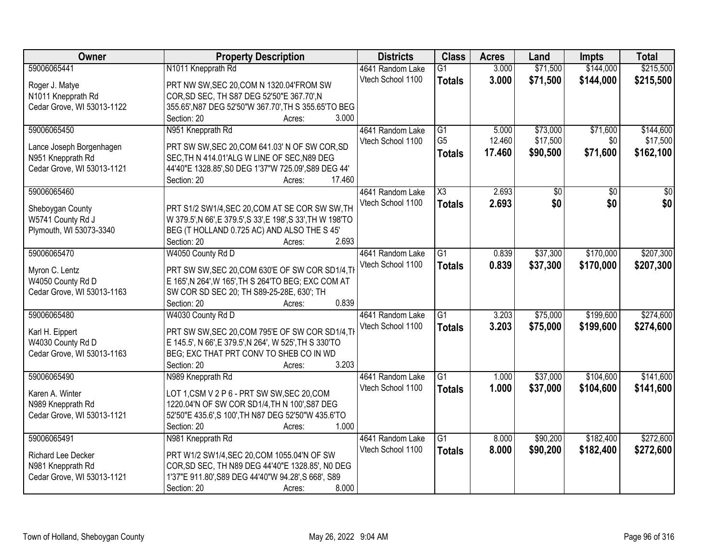| Owner                      | <b>Property Description</b>                                  | <b>Districts</b>  | <b>Class</b>           | <b>Acres</b> | Land     | <b>Impts</b>    | <b>Total</b>    |
|----------------------------|--------------------------------------------------------------|-------------------|------------------------|--------------|----------|-----------------|-----------------|
| 59006065441                | N1011 Knepprath Rd                                           | 4641 Random Lake  | $\overline{G1}$        | 3.000        | \$71,500 | \$144,000       | \$215,500       |
| Roger J. Matye             | PRT NW SW, SEC 20, COM N 1320.04 FROM SW                     | Vtech School 1100 | <b>Totals</b>          | 3.000        | \$71,500 | \$144,000       | \$215,500       |
| N1011 Knepprath Rd         | COR, SD SEC, TH S87 DEG 52'50"E 367.70', N                   |                   |                        |              |          |                 |                 |
| Cedar Grove, WI 53013-1122 | 355.65', N87 DEG 52'50"W 367.70', TH S 355.65'TO BEG         |                   |                        |              |          |                 |                 |
|                            | 3.000<br>Section: 20<br>Acres:                               |                   |                        |              |          |                 |                 |
| 59006065450                | N951 Knepprath Rd                                            | 4641 Random Lake  | G1                     | 5.000        | \$73,000 | \$71,600        | \$144,600       |
|                            |                                                              | Vtech School 1100 | G <sub>5</sub>         | 12.460       | \$17,500 | \$0             | \$17,500        |
| Lance Joseph Borgenhagen   | PRT SW SW, SEC 20, COM 641.03' N OF SW COR, SD               |                   | <b>Totals</b>          | 17.460       | \$90,500 | \$71,600        | \$162,100       |
| N951 Knepprath Rd          | SEC, TH N 414.01'ALG W LINE OF SEC, N89 DEG                  |                   |                        |              |          |                 |                 |
| Cedar Grove, WI 53013-1121 | 44'40"E 1328.85', S0 DEG 1'37"W 725.09', S89 DEG 44'         |                   |                        |              |          |                 |                 |
|                            | 17.460<br>Section: 20<br>Acres:                              |                   |                        |              |          |                 |                 |
| 59006065460                |                                                              | 4641 Random Lake  | $\overline{\text{X3}}$ | 2.693        | \$0      | $\overline{50}$ | $\overline{50}$ |
| Sheboygan County           | PRT S1/2 SW1/4, SEC 20, COM AT SE COR SW SW, TH              | Vtech School 1100 | <b>Totals</b>          | 2.693        | \$0      | \$0             | \$0             |
| W5741 County Rd J          | W 379.5', N 66', E 379.5', S 33', E 198', S 33', TH W 198'TO |                   |                        |              |          |                 |                 |
| Plymouth, WI 53073-3340    | BEG (T HOLLAND 0.725 AC) AND ALSO THE S 45'                  |                   |                        |              |          |                 |                 |
|                            | Section: 20<br>2.693<br>Acres:                               |                   |                        |              |          |                 |                 |
| 59006065470                | W4050 County Rd D                                            | 4641 Random Lake  | G1                     | 0.839        | \$37,300 | \$170,000       | \$207,300       |
|                            |                                                              | Vtech School 1100 | <b>Totals</b>          | 0.839        | \$37,300 | \$170,000       | \$207,300       |
| Myron C. Lentz             | PRT SW SW, SEC 20, COM 630'E OF SW COR SD1/4, TH             |                   |                        |              |          |                 |                 |
| W4050 County Rd D          | E 165', N 264', W 165', TH S 264'TO BEG; EXC COM AT          |                   |                        |              |          |                 |                 |
| Cedar Grove, WI 53013-1163 | SW COR SD SEC 20; TH S89-25-28E, 630'; TH                    |                   |                        |              |          |                 |                 |
|                            | 0.839<br>Section: 20<br>Acres:                               |                   |                        |              |          |                 |                 |
| 59006065480                | W4030 County Rd D                                            | 4641 Random Lake  | $\overline{G1}$        | 3.203        | \$75,000 | \$199,600       | \$274,600       |
| Karl H. Eippert            | PRT SW SW, SEC 20, COM 795'E OF SW COR SD1/4, TH             | Vtech School 1100 | <b>Totals</b>          | 3.203        | \$75,000 | \$199,600       | \$274,600       |
| W4030 County Rd D          | E 145.5', N 66', E 379.5', N 264', W 525', TH S 330'TO       |                   |                        |              |          |                 |                 |
| Cedar Grove, WI 53013-1163 | BEG; EXC THAT PRT CONV TO SHEB CO IN WD                      |                   |                        |              |          |                 |                 |
|                            | 3.203<br>Section: 20<br>Acres:                               |                   |                        |              |          |                 |                 |
| 59006065490                | N989 Knepprath Rd                                            | 4641 Random Lake  | $\overline{G1}$        | 1.000        | \$37,000 | \$104,600       | \$141,600       |
|                            |                                                              | Vtech School 1100 | <b>Totals</b>          | 1.000        | \$37,000 | \$104,600       | \$141,600       |
| Karen A. Winter            | LOT 1,CSM V 2 P 6 - PRT SW SW, SEC 20, COM                   |                   |                        |              |          |                 |                 |
| N989 Knepprath Rd          | 1220.04'N OF SW COR SD1/4, TH N 100', S87 DEG                |                   |                        |              |          |                 |                 |
| Cedar Grove, WI 53013-1121 | 52'50"E 435.6', S 100', TH N87 DEG 52'50"W 435.6'TO          |                   |                        |              |          |                 |                 |
|                            | 1.000<br>Section: 20<br>Acres:                               |                   |                        |              |          |                 |                 |
| 59006065491                | N981 Knepprath Rd                                            | 4641 Random Lake  | $\overline{G1}$        | 8.000        | \$90,200 | \$182,400       | \$272,600       |
| Richard Lee Decker         | PRT W1/2 SW1/4, SEC 20, COM 1055.04'N OF SW                  | Vtech School 1100 | <b>Totals</b>          | 8.000        | \$90,200 | \$182,400       | \$272,600       |
| N981 Knepprath Rd          | COR, SD SEC, TH N89 DEG 44'40"E 1328.85', N0 DEG             |                   |                        |              |          |                 |                 |
| Cedar Grove, WI 53013-1121 | 1'37"E 911.80', S89 DEG 44'40"W 94.28', S 668', S89          |                   |                        |              |          |                 |                 |
|                            | 8.000<br>Section: 20<br>Acres:                               |                   |                        |              |          |                 |                 |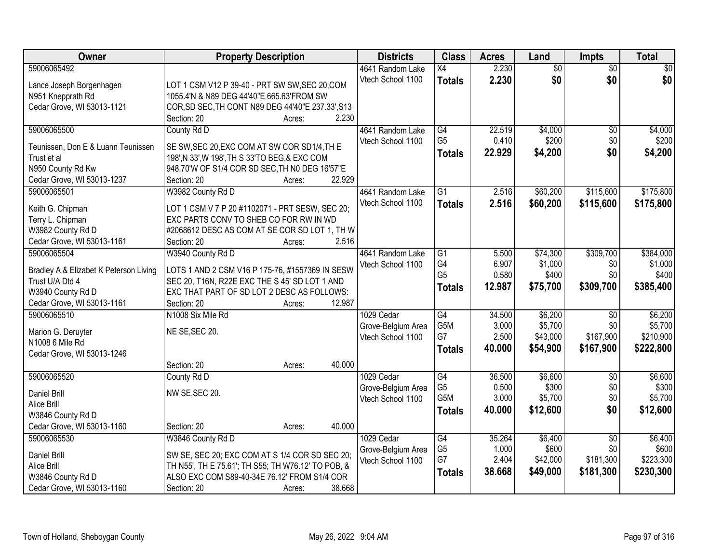| Owner                                                     | <b>Property Description</b>                                             | <b>Districts</b>                      | <b>Class</b>    | <b>Acres</b> | Land            | <b>Impts</b>    | <b>Total</b> |
|-----------------------------------------------------------|-------------------------------------------------------------------------|---------------------------------------|-----------------|--------------|-----------------|-----------------|--------------|
| 59006065492                                               |                                                                         | 4641 Random Lake                      | X4              | 2.230        | $\overline{50}$ | $\overline{50}$ | $\sqrt{30}$  |
| Lance Joseph Borgenhagen                                  | LOT 1 CSM V12 P 39-40 - PRT SW SW, SEC 20, COM                          | Vtech School 1100                     | <b>Totals</b>   | 2.230        | \$0             | \$0             | \$0          |
| N951 Knepprath Rd                                         | 1055.4'N & N89 DEG 44'40"E 665.63'FROM SW                               |                                       |                 |              |                 |                 |              |
| Cedar Grove, WI 53013-1121                                | COR, SD SEC, TH CONT N89 DEG 44'40"E 237.33', S13                       |                                       |                 |              |                 |                 |              |
|                                                           | 2.230<br>Section: 20<br>Acres:                                          |                                       |                 |              |                 |                 |              |
| 59006065500                                               | County Rd D                                                             | 4641 Random Lake                      | G4              | 22.519       | \$4,000         | $\overline{50}$ | \$4,000      |
|                                                           |                                                                         | Vtech School 1100                     | G <sub>5</sub>  | 0.410        | \$200           | \$0             | \$200        |
| Teunissen, Don E & Luann Teunissen                        | SE SW, SEC 20, EXC COM AT SW COR SD1/4, TH E                            |                                       | <b>Totals</b>   | 22.929       | \$4,200         | \$0             | \$4,200      |
| Trust et al                                               | 198', N 33', W 198', TH S 33'TO BEG, & EXC COM                          |                                       |                 |              |                 |                 |              |
| N950 County Rd Kw                                         | 948.70'W OF S1/4 COR SD SEC, TH N0 DEG 16'57"E<br>22.929<br>Section: 20 |                                       |                 |              |                 |                 |              |
| Cedar Grove, WI 53013-1237<br>59006065501                 | Acres:                                                                  |                                       | $\overline{G1}$ | 2.516        |                 | \$115,600       | \$175,800    |
|                                                           | W3982 County Rd D                                                       | 4641 Random Lake<br>Vtech School 1100 |                 |              | \$60,200        |                 |              |
| Keith G. Chipman                                          | LOT 1 CSM V 7 P 20 #1102071 - PRT SESW, SEC 20;                         |                                       | <b>Totals</b>   | 2.516        | \$60,200        | \$115,600       | \$175,800    |
| Terry L. Chipman                                          | EXC PARTS CONV TO SHEB CO FOR RW IN WD                                  |                                       |                 |              |                 |                 |              |
| W3982 County Rd D                                         | #2068612 DESC AS COM AT SE COR SD LOT 1, TH W                           |                                       |                 |              |                 |                 |              |
| Cedar Grove, WI 53013-1161                                | 2.516<br>Section: 20<br>Acres:                                          |                                       |                 |              |                 |                 |              |
| 59006065504                                               | W3940 County Rd D                                                       | 4641 Random Lake                      | G1              | 5.500        | \$74,300        | \$309,700       | \$384,000    |
|                                                           | LOTS 1 AND 2 CSM V16 P 175-76, #1557369 IN SESW                         | Vtech School 1100                     | G4              | 6.907        | \$1,000         | \$0             | \$1,000      |
| Bradley A & Elizabet K Peterson Living<br>Trust U/A Dtd 4 | SEC 20, T16N, R22E EXC THE S 45' SD LOT 1 AND                           |                                       | G <sub>5</sub>  | 0.580        | \$400           | \$0             | \$400        |
| W3940 County Rd D                                         | EXC THAT PART OF SD LOT 2 DESC AS FOLLOWS:                              |                                       | <b>Totals</b>   | 12.987       | \$75,700        | \$309,700       | \$385,400    |
| Cedar Grove, WI 53013-1161                                | Section: 20<br>12.987<br>Acres:                                         |                                       |                 |              |                 |                 |              |
| 59006065510                                               | N1008 Six Mile Rd                                                       | 1029 Cedar                            | $\overline{G4}$ | 34.500       | \$6,200         | $\overline{30}$ | \$6,200      |
|                                                           |                                                                         | Grove-Belgium Area                    | G5M             | 3.000        | \$5,700         | \$0             | \$5,700      |
| Marion G. Deruyter                                        | NE SE, SEC 20.                                                          | Vtech School 1100                     | G7              | 2.500        | \$43,000        | \$167,900       | \$210,900    |
| N1008 6 Mile Rd                                           |                                                                         |                                       | <b>Totals</b>   | 40.000       | \$54,900        | \$167,900       | \$222,800    |
| Cedar Grove, WI 53013-1246                                |                                                                         |                                       |                 |              |                 |                 |              |
|                                                           | 40.000<br>Section: 20<br>Acres:                                         |                                       |                 |              |                 |                 |              |
| 59006065520                                               | County Rd D                                                             | 1029 Cedar                            | $\overline{G4}$ | 36.500       | \$6,600         | $\overline{50}$ | \$6,600      |
| <b>Daniel Brill</b>                                       | NW SE, SEC 20.                                                          | Grove-Belgium Area                    | G <sub>5</sub>  | 0.500        | \$300           | \$0             | \$300        |
| Alice Brill                                               |                                                                         | Vtech School 1100                     | G5M             | 3.000        | \$5,700         | \$0             | \$5,700      |
| W3846 County Rd D                                         |                                                                         |                                       | <b>Totals</b>   | 40.000       | \$12,600        | \$0             | \$12,600     |
| Cedar Grove, WI 53013-1160                                | 40.000<br>Section: 20<br>Acres:                                         |                                       |                 |              |                 |                 |              |
| 59006065530                                               | W3846 County Rd D                                                       | 1029 Cedar                            | G4              | 35.264       | \$6,400         | $\overline{50}$ | \$6,400      |
|                                                           |                                                                         | Grove-Belgium Area                    | G <sub>5</sub>  | 1.000        | \$600           | \$0             | \$600        |
| Daniel Brill                                              | SW SE, SEC 20; EXC COM AT S 1/4 COR SD SEC 20;                          | Vtech School 1100                     | G7              | 2.404        | \$42,000        | \$181,300       | \$223,300    |
| Alice Brill                                               | TH N55', TH E 75.61'; TH S55; TH W76.12' TO POB, &                      |                                       | <b>Totals</b>   | 38.668       | \$49,000        | \$181,300       | \$230,300    |
| W3846 County Rd D                                         | ALSO EXC COM S89-40-34E 76.12' FROM S1/4 COR                            |                                       |                 |              |                 |                 |              |
| Cedar Grove, WI 53013-1160                                | 38.668<br>Section: 20<br>Acres:                                         |                                       |                 |              |                 |                 |              |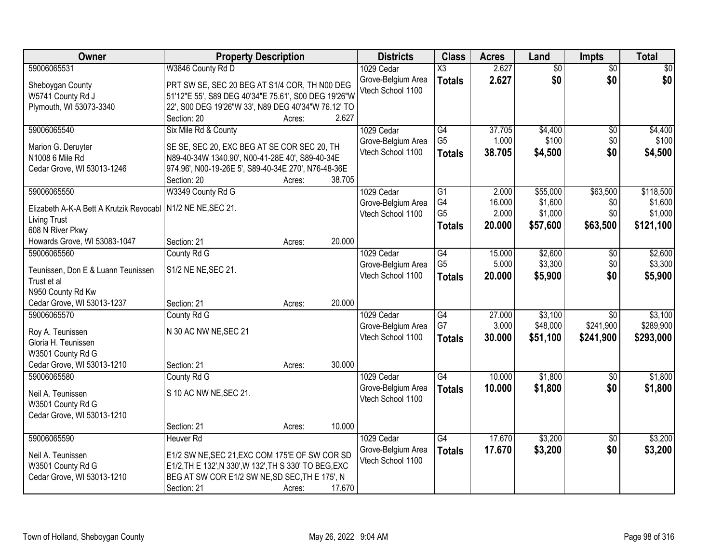| Owner                                                         | <b>Property Description</b>                                        |        |        | <b>Districts</b>   | <b>Class</b>           | <b>Acres</b> | Land            | Impts           | <b>Total</b> |
|---------------------------------------------------------------|--------------------------------------------------------------------|--------|--------|--------------------|------------------------|--------------|-----------------|-----------------|--------------|
| 59006065531                                                   | W3846 County Rd D                                                  |        |        | 1029 Cedar         | $\overline{\text{X3}}$ | 2.627        | $\overline{60}$ | $\overline{50}$ | \$0          |
| Sheboygan County                                              | PRT SW SE, SEC 20 BEG AT S1/4 COR, TH N00 DEG                      |        |        | Grove-Belgium Area | <b>Totals</b>          | 2.627        | \$0             | \$0             | \$0          |
| W5741 County Rd J                                             | 51'12"E 55', S89 DEG 40'34"E 75.61', S00 DEG 19'26"W               |        |        | Vtech School 1100  |                        |              |                 |                 |              |
| Plymouth, WI 53073-3340                                       | 22', S00 DEG 19'26"W 33', N89 DEG 40'34"W 76.12' TO                |        |        |                    |                        |              |                 |                 |              |
|                                                               | Section: 20                                                        | Acres: | 2.627  |                    |                        |              |                 |                 |              |
| 59006065540                                                   | Six Mile Rd & County                                               |        |        | 1029 Cedar         | G4                     | 37.705       | \$4,400         | $\overline{60}$ | \$4,400      |
|                                                               |                                                                    |        |        | Grove-Belgium Area | G <sub>5</sub>         | 1.000        | \$100           | \$0             | \$100        |
| Marion G. Deruyter                                            | SE SE, SEC 20, EXC BEG AT SE COR SEC 20, TH                        |        |        | Vtech School 1100  | <b>Totals</b>          | 38.705       | \$4,500         | \$0             | \$4,500      |
| N1008 6 Mile Rd                                               | N89-40-34W 1340.90', N00-41-28E 40', S89-40-34E                    |        |        |                    |                        |              |                 |                 |              |
| Cedar Grove, WI 53013-1246                                    | 974.96', N00-19-26E 5', S89-40-34E 270', N76-48-36E<br>Section: 20 |        | 38.705 |                    |                        |              |                 |                 |              |
| 59006065550                                                   | W3349 County Rd G                                                  | Acres: |        | 1029 Cedar         | $\overline{G1}$        | 2.000        | \$55,000        | \$63,500        | \$118,500    |
|                                                               |                                                                    |        |        | Grove-Belgium Area | G4                     | 16.000       | \$1,600         | \$0             | \$1,600      |
| Elizabeth A-K-A Bett A Krutzik Revocabl   N1/2 NE NE, SEC 21. |                                                                    |        |        | Vtech School 1100  | G <sub>5</sub>         | 2.000        | \$1,000         | \$0             | \$1,000      |
| <b>Living Trust</b>                                           |                                                                    |        |        |                    | <b>Totals</b>          | 20.000       | \$57,600        | \$63,500        | \$121,100    |
| 608 N River Pkwy                                              |                                                                    |        |        |                    |                        |              |                 |                 |              |
| Howards Grove, WI 53083-1047                                  | Section: 21                                                        | Acres: | 20.000 |                    |                        |              |                 |                 |              |
| 59006065560                                                   | County Rd G                                                        |        |        | 1029 Cedar         | $\overline{G4}$        | 15.000       | \$2,600         | \$0             | \$2,600      |
| Teunissen, Don E & Luann Teunissen                            | S1/2 NE NE, SEC 21.                                                |        |        | Grove-Belgium Area | G <sub>5</sub>         | 5.000        | \$3,300         | \$0             | \$3,300      |
| Trust et al                                                   |                                                                    |        |        | Vtech School 1100  | <b>Totals</b>          | 20.000       | \$5,900         | \$0             | \$5,900      |
| N950 County Rd Kw                                             |                                                                    |        |        |                    |                        |              |                 |                 |              |
| Cedar Grove, WI 53013-1237                                    | Section: 21                                                        | Acres: | 20.000 |                    |                        |              |                 |                 |              |
| 59006065570                                                   | County Rd G                                                        |        |        | 1029 Cedar         | $\overline{G4}$        | 27.000       | \$3,100         | $\overline{50}$ | \$3,100      |
|                                                               |                                                                    |        |        | Grove-Belgium Area | G7                     | 3.000        | \$48,000        | \$241,900       | \$289,900    |
| Roy A. Teunissen<br>Gloria H. Teunissen                       | N 30 AC NW NE, SEC 21                                              |        |        | Vtech School 1100  | <b>Totals</b>          | 30.000       | \$51,100        | \$241,900       | \$293,000    |
| W3501 County Rd G                                             |                                                                    |        |        |                    |                        |              |                 |                 |              |
| Cedar Grove, WI 53013-1210                                    | Section: 21                                                        | Acres: | 30.000 |                    |                        |              |                 |                 |              |
| 59006065580                                                   | County Rd G                                                        |        |        | 1029 Cedar         | $\overline{G4}$        | 10.000       | \$1,800         | $\overline{60}$ | \$1,800      |
|                                                               |                                                                    |        |        | Grove-Belgium Area | <b>Totals</b>          | 10.000       | \$1,800         | \$0             | \$1,800      |
| Neil A. Teunissen                                             | S 10 AC NW NE, SEC 21.                                             |        |        | Vtech School 1100  |                        |              |                 |                 |              |
| W3501 County Rd G                                             |                                                                    |        |        |                    |                        |              |                 |                 |              |
| Cedar Grove, WI 53013-1210                                    |                                                                    |        |        |                    |                        |              |                 |                 |              |
|                                                               | Section: 21                                                        | Acres: | 10.000 |                    |                        |              |                 |                 |              |
| 59006065590                                                   | <b>Heuver Rd</b>                                                   |        |        | 1029 Cedar         | $\overline{G4}$        | 17.670       | \$3,200         | $\overline{50}$ | \$3,200      |
| Neil A. Teunissen                                             | E1/2 SW NE, SEC 21, EXC COM 175'E OF SW COR SD                     |        |        | Grove-Belgium Area | <b>Totals</b>          | 17.670       | \$3,200         | \$0             | \$3,200      |
| W3501 County Rd G                                             | E1/2, TH E 132', N 330', W 132', TH S 330' TO BEG, EXC             |        |        | Vtech School 1100  |                        |              |                 |                 |              |
| Cedar Grove, WI 53013-1210                                    | BEG AT SW COR E1/2 SW NE, SD SEC, TH E 175', N                     |        |        |                    |                        |              |                 |                 |              |
|                                                               | Section: 21                                                        | Acres: | 17.670 |                    |                        |              |                 |                 |              |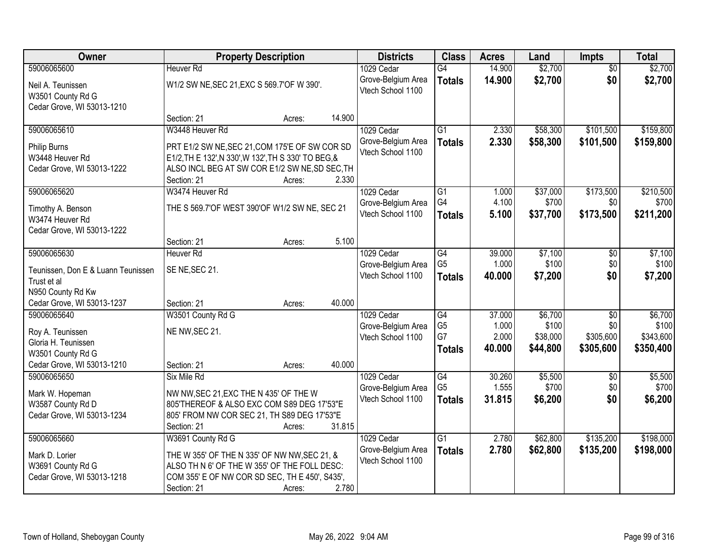| Owner                                           |                                                                                                | <b>Property Description</b> |        | <b>Districts</b>   | <b>Class</b>    | <b>Acres</b> | Land     | <b>Impts</b>    | <b>Total</b> |
|-------------------------------------------------|------------------------------------------------------------------------------------------------|-----------------------------|--------|--------------------|-----------------|--------------|----------|-----------------|--------------|
| 59006065600                                     | <b>Heuver Rd</b>                                                                               |                             |        | 1029 Cedar         | G4              | 14.900       | \$2,700  | $\overline{50}$ | \$2,700      |
| Neil A. Teunissen                               | W1/2 SW NE, SEC 21, EXC S 569.7' OF W 390'.                                                    |                             |        | Grove-Belgium Area | <b>Totals</b>   | 14.900       | \$2,700  | \$0             | \$2,700      |
| W3501 County Rd G                               |                                                                                                |                             |        | Vtech School 1100  |                 |              |          |                 |              |
| Cedar Grove, WI 53013-1210                      |                                                                                                |                             |        |                    |                 |              |          |                 |              |
|                                                 | Section: 21                                                                                    | Acres:                      | 14.900 |                    |                 |              |          |                 |              |
| 59006065610                                     | W3448 Heuver Rd                                                                                |                             |        | 1029 Cedar         | $\overline{G1}$ | 2.330        | \$58,300 | \$101,500       | \$159,800    |
| Philip Burns                                    | PRT E1/2 SW NE, SEC 21, COM 175'E OF SW COR SD                                                 |                             |        | Grove-Belgium Area | <b>Totals</b>   | 2.330        | \$58,300 | \$101,500       | \$159,800    |
| W3448 Heuver Rd                                 | E1/2, TH E 132', N 330', W 132', TH S 330' TO BEG, &                                           |                             |        | Vtech School 1100  |                 |              |          |                 |              |
| Cedar Grove, WI 53013-1222                      | ALSO INCL BEG AT SW COR E1/2 SW NE, SD SEC, TH                                                 |                             |        |                    |                 |              |          |                 |              |
|                                                 | Section: 21                                                                                    | Acres:                      | 2.330  |                    |                 |              |          |                 |              |
| 59006065620                                     | W3474 Heuver Rd                                                                                |                             |        | 1029 Cedar         | G1              | 1.000        | \$37,000 | \$173,500       | \$210,500    |
| Timothy A. Benson                               | THE S 569.7'OF WEST 390'OF W1/2 SW NE, SEC 21                                                  |                             |        | Grove-Belgium Area | G4              | 4.100        | \$700    | \$0             | \$700        |
| W3474 Heuver Rd                                 |                                                                                                |                             |        | Vtech School 1100  | <b>Totals</b>   | 5.100        | \$37,700 | \$173,500       | \$211,200    |
| Cedar Grove, WI 53013-1222                      |                                                                                                |                             |        |                    |                 |              |          |                 |              |
|                                                 | Section: 21                                                                                    | Acres:                      | 5.100  |                    |                 |              |          |                 |              |
| 59006065630                                     | <b>Heuver Rd</b>                                                                               |                             |        | 1029 Cedar         | G4              | 39.000       | \$7,100  | $\sqrt[6]{3}$   | \$7,100      |
| Teunissen, Don E & Luann Teunissen              | SE NE, SEC 21.                                                                                 |                             |        | Grove-Belgium Area | G <sub>5</sub>  | 1.000        | \$100    | \$0             | \$100        |
| Trust et al                                     |                                                                                                |                             |        | Vtech School 1100  | <b>Totals</b>   | 40.000       | \$7,200  | \$0             | \$7,200      |
| N950 County Rd Kw                               |                                                                                                |                             |        |                    |                 |              |          |                 |              |
| Cedar Grove, WI 53013-1237                      | Section: 21                                                                                    | Acres:                      | 40.000 |                    |                 |              |          |                 |              |
| 59006065640                                     | W3501 County Rd G                                                                              |                             |        | 1029 Cedar         | $\overline{G4}$ | 37.000       | \$6,700  | $\overline{50}$ | \$6,700      |
|                                                 |                                                                                                |                             |        | Grove-Belgium Area | G <sub>5</sub>  | 1.000        | \$100    | \$0             | \$100        |
| Roy A. Teunissen<br>Gloria H. Teunissen         | NE NW, SEC 21.                                                                                 |                             |        | Vtech School 1100  | G7              | 2.000        | \$38,000 | \$305,600       | \$343,600    |
| W3501 County Rd G                               |                                                                                                |                             |        |                    | <b>Totals</b>   | 40.000       | \$44,800 | \$305,600       | \$350,400    |
| Cedar Grove, WI 53013-1210                      | Section: 21                                                                                    | Acres:                      | 40.000 |                    |                 |              |          |                 |              |
| 59006065650                                     | Six Mile Rd                                                                                    |                             |        | 1029 Cedar         | $\overline{G4}$ | 30.260       | \$5,500  | $\overline{50}$ | \$5,500      |
|                                                 |                                                                                                |                             |        | Grove-Belgium Area | G <sub>5</sub>  | 1.555        | \$700    | \$0             | \$700        |
| Mark W. Hopeman                                 | NW NW, SEC 21, EXC THE N 435' OF THE W<br>805'THEREOF & ALSO EXC COM S89 DEG 17'53"E           |                             |        | Vtech School 1100  | <b>Totals</b>   | 31.815       | \$6,200  | \$0             | \$6,200      |
| W3587 County Rd D<br>Cedar Grove, WI 53013-1234 | 805' FROM NW COR SEC 21, TH S89 DEG 17'53"E                                                    |                             |        |                    |                 |              |          |                 |              |
|                                                 | Section: 21                                                                                    | Acres:                      | 31.815 |                    |                 |              |          |                 |              |
| 59006065660                                     | W3691 County Rd G                                                                              |                             |        | 1029 Cedar         | $\overline{G1}$ | 2.780        | \$62,800 | \$135,200       | \$198,000    |
|                                                 |                                                                                                |                             |        | Grove-Belgium Area | <b>Totals</b>   | 2.780        | \$62,800 | \$135,200       | \$198,000    |
| Mark D. Lorier                                  | THE W 355' OF THE N 335' OF NW NW, SEC 21, &                                                   |                             |        | Vtech School 1100  |                 |              |          |                 |              |
| W3691 County Rd G<br>Cedar Grove, WI 53013-1218 | ALSO TH N 6' OF THE W 355' OF THE FOLL DESC:<br>COM 355' E OF NW COR SD SEC, TH E 450', S435', |                             |        |                    |                 |              |          |                 |              |
|                                                 | Section: 21                                                                                    | Acres:                      | 2.780  |                    |                 |              |          |                 |              |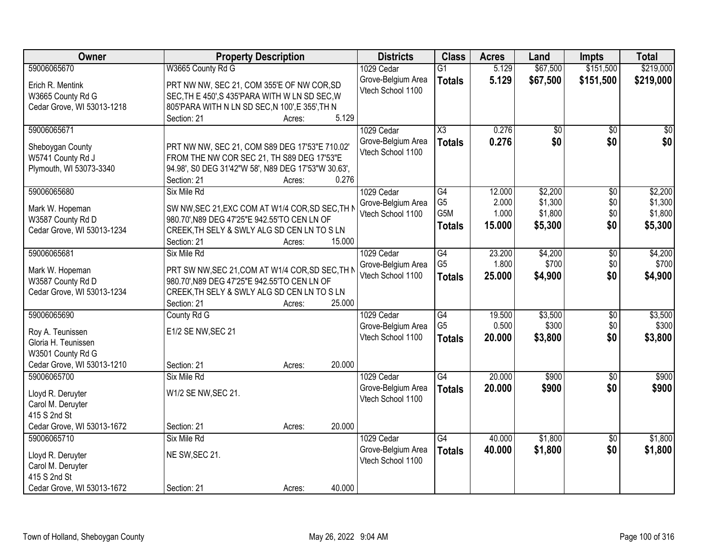| <b>Owner</b>               | <b>Property Description</b>                                                           | <b>Districts</b>   | <b>Class</b>    | <b>Acres</b> | Land     | <b>Impts</b>    | <b>Total</b> |
|----------------------------|---------------------------------------------------------------------------------------|--------------------|-----------------|--------------|----------|-----------------|--------------|
| 59006065670                | W3665 County Rd G                                                                     | 1029 Cedar         | $\overline{G1}$ | 5.129        | \$67,500 | \$151,500       | \$219,000    |
| Erich R. Mentink           | PRT NW NW, SEC 21, COM 355'E OF NW COR, SD                                            | Grove-Belgium Area | <b>Totals</b>   | 5.129        | \$67,500 | \$151,500       | \$219,000    |
| W3665 County Rd G          | SEC, TH E 450', S 435'PARA WITH W LN SD SEC, W                                        | Vtech School 1100  |                 |              |          |                 |              |
| Cedar Grove, WI 53013-1218 | 805'PARA WITH N LN SD SEC, N 100', E 355', TH N                                       |                    |                 |              |          |                 |              |
|                            | 5.129<br>Section: 21<br>Acres:                                                        |                    |                 |              |          |                 |              |
| 59006065671                |                                                                                       | 1029 Cedar         | X3              | 0.276        | \$0      | \$0             | \$0          |
|                            |                                                                                       | Grove-Belgium Area | <b>Totals</b>   | 0.276        | \$0      | \$0             | \$0          |
| Sheboygan County           | PRT NW NW, SEC 21, COM S89 DEG 17'53"E 710.02"                                        | Vtech School 1100  |                 |              |          |                 |              |
| W5741 County Rd J          | FROM THE NW COR SEC 21, TH S89 DEG 17'53"E                                            |                    |                 |              |          |                 |              |
| Plymouth, WI 53073-3340    | 94.98', S0 DEG 31'42"W 58', N89 DEG 17'53"W 30.63',<br>0.276<br>Section: 21<br>Acres: |                    |                 |              |          |                 |              |
| 59006065680                | Six Mile Rd                                                                           | 1029 Cedar         | $\overline{G4}$ | 12.000       | \$2,200  | \$0             | \$2,200      |
|                            |                                                                                       | Grove-Belgium Area | G <sub>5</sub>  | 2.000        | \$1,300  | \$0             | \$1,300      |
| Mark W. Hopeman            | SW NW, SEC 21, EXC COM AT W1/4 COR, SD SEC, TH N                                      | Vtech School 1100  | G5M             | 1.000        | \$1,800  | \$0             | \$1,800      |
| W3587 County Rd D          | 980.70', N89 DEG 47'25"E 942.55'TO CEN LN OF                                          |                    | <b>Totals</b>   | 15.000       | \$5,300  | \$0             | \$5,300      |
| Cedar Grove, WI 53013-1234 | CREEK, TH SELY & SWLY ALG SD CEN LN TO S LN                                           |                    |                 |              |          |                 |              |
|                            | 15.000<br>Section: 21<br>Acres:                                                       |                    |                 |              |          |                 |              |
| 59006065681                | Six Mile Rd                                                                           | 1029 Cedar         | $\overline{G4}$ | 23.200       | \$4,200  | \$0             | \$4,200      |
| Mark W. Hopeman            | PRT SW NW, SEC 21, COM AT W1/4 COR, SD SEC, TH N                                      | Grove-Belgium Area | G <sub>5</sub>  | 1.800        | \$700    | \$0             | \$700        |
| W3587 County Rd D          | 980.70', N89 DEG 47'25"E 942.55'TO CEN LN OF                                          | Vtech School 1100  | <b>Totals</b>   | 25.000       | \$4,900  | \$0             | \$4,900      |
| Cedar Grove, WI 53013-1234 | CREEK, TH SELY & SWLY ALG SD CEN LN TO S LN                                           |                    |                 |              |          |                 |              |
|                            | 25.000<br>Section: 21<br>Acres:                                                       |                    |                 |              |          |                 |              |
| 59006065690                | County Rd G                                                                           | 1029 Cedar         | $\overline{G4}$ | 19.500       | \$3,500  | \$0             | \$3,500      |
| Roy A. Teunissen           | E1/2 SE NW, SEC 21                                                                    | Grove-Belgium Area | G <sub>5</sub>  | 0.500        | \$300    | \$0             | \$300        |
| Gloria H. Teunissen        |                                                                                       | Vtech School 1100  | <b>Totals</b>   | 20.000       | \$3,800  | \$0             | \$3,800      |
| W3501 County Rd G          |                                                                                       |                    |                 |              |          |                 |              |
| Cedar Grove, WI 53013-1210 | 20.000<br>Section: 21<br>Acres:                                                       |                    |                 |              |          |                 |              |
| 59006065700                | Six Mile Rd                                                                           | 1029 Cedar         | G4              | 20.000       | \$900    | $\sqrt{6}$      | \$900        |
|                            |                                                                                       | Grove-Belgium Area | <b>Totals</b>   | 20.000       | \$900    | \$0             | \$900        |
| Lloyd R. Deruyter          | W1/2 SE NW, SEC 21.                                                                   | Vtech School 1100  |                 |              |          |                 |              |
| Carol M. Deruyter          |                                                                                       |                    |                 |              |          |                 |              |
| 415 S 2nd St               |                                                                                       |                    |                 |              |          |                 |              |
| Cedar Grove, WI 53013-1672 | 20.000<br>Section: 21<br>Acres:                                                       |                    |                 |              |          |                 |              |
| 59006065710                | Six Mile Rd                                                                           | 1029 Cedar         | G4              | 40.000       | \$1,800  | $\overline{50}$ | \$1,800      |
| Lloyd R. Deruyter          | NE SW, SEC 21.                                                                        | Grove-Belgium Area | <b>Totals</b>   | 40.000       | \$1,800  | \$0             | \$1,800      |
| Carol M. Deruyter          |                                                                                       | Vtech School 1100  |                 |              |          |                 |              |
| 415 S 2nd St               |                                                                                       |                    |                 |              |          |                 |              |
| Cedar Grove, WI 53013-1672 | 40.000<br>Section: 21<br>Acres:                                                       |                    |                 |              |          |                 |              |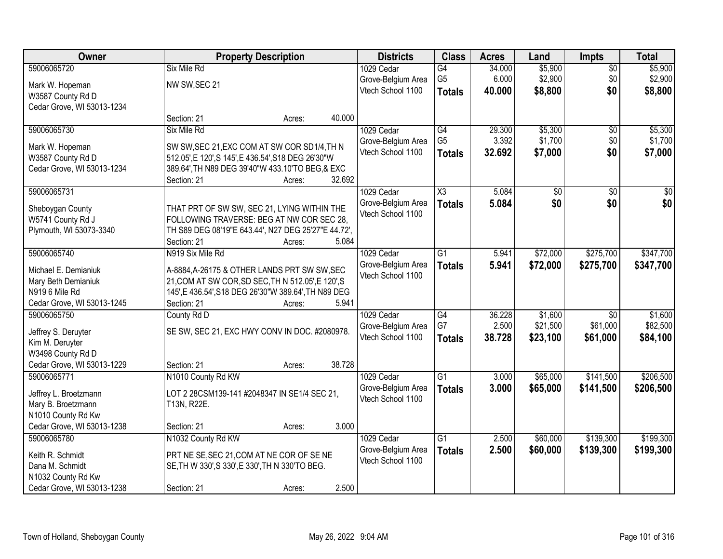| Owner                      |                                                      | <b>Property Description</b> |        | <b>Districts</b>   | <b>Class</b>        | <b>Acres</b> | Land            | <b>Impts</b>    | <b>Total</b> |
|----------------------------|------------------------------------------------------|-----------------------------|--------|--------------------|---------------------|--------------|-----------------|-----------------|--------------|
| 59006065720                | Six Mile Rd                                          |                             |        | 1029 Cedar         | $\overline{G4}$     | 34.000       | \$5,900         | $\sqrt{$0}$     | \$5,900      |
| Mark W. Hopeman            | NW SW, SEC 21                                        |                             |        | Grove-Belgium Area | G <sub>5</sub>      | 6.000        | \$2,900         | \$0             | \$2,900      |
| W3587 County Rd D          |                                                      |                             |        | Vtech School 1100  | <b>Totals</b>       | 40.000       | \$8,800         | \$0             | \$8,800      |
| Cedar Grove, WI 53013-1234 |                                                      |                             |        |                    |                     |              |                 |                 |              |
|                            | Section: 21                                          | Acres:                      | 40.000 |                    |                     |              |                 |                 |              |
| 59006065730                | Six Mile Rd                                          |                             |        | 1029 Cedar         | $\overline{G4}$     | 29.300       | \$5,300         | \$0             | \$5,300      |
| Mark W. Hopeman            | SW SW, SEC 21, EXC COM AT SW COR SD1/4, TH N         |                             |        | Grove-Belgium Area | G <sub>5</sub>      | 3.392        | \$1,700         | \$0             | \$1,700      |
| W3587 County Rd D          | 512.05', E 120', S 145', E 436.54', S18 DEG 26'30"W  |                             |        | Vtech School 1100  | <b>Totals</b>       | 32.692       | \$7,000         | \$0             | \$7,000      |
| Cedar Grove, WI 53013-1234 | 389.64', TH N89 DEG 39'40"W 433.10'TO BEG, & EXC     |                             |        |                    |                     |              |                 |                 |              |
|                            | Section: 21                                          | Acres:                      | 32.692 |                    |                     |              |                 |                 |              |
| 59006065731                |                                                      |                             |        | 1029 Cedar         | $\overline{\chi_3}$ | 5.084        | $\overline{50}$ | \$0             | $\sqrt{50}$  |
| Sheboygan County           | THAT PRT OF SW SW, SEC 21, LYING WITHIN THE          |                             |        | Grove-Belgium Area | <b>Totals</b>       | 5.084        | \$0             | \$0             | \$0          |
| W5741 County Rd J          | FOLLOWING TRAVERSE: BEG AT NW COR SEC 28,            |                             |        | Vtech School 1100  |                     |              |                 |                 |              |
| Plymouth, WI 53073-3340    | TH S89 DEG 08'19"E 643.44', N27 DEG 25'27"E 44.72',  |                             |        |                    |                     |              |                 |                 |              |
|                            | Section: 21                                          | Acres:                      | 5.084  |                    |                     |              |                 |                 |              |
| 59006065740                | N919 Six Mile Rd                                     |                             |        | 1029 Cedar         | $\overline{G1}$     | 5.941        | \$72,000        | \$275,700       | \$347,700    |
| Michael E. Demianiuk       | A-8884, A-26175 & OTHER LANDS PRT SW SW, SEC         |                             |        | Grove-Belgium Area | <b>Totals</b>       | 5.941        | \$72,000        | \$275,700       | \$347,700    |
| Mary Beth Demianiuk        | 21, COM AT SW COR, SD SEC, TH N 512.05', E 120', S   |                             |        | Vtech School 1100  |                     |              |                 |                 |              |
| N919 6 Mile Rd             | 145', E 436.54', S18 DEG 26'30"W 389.64', TH N89 DEG |                             |        |                    |                     |              |                 |                 |              |
| Cedar Grove, WI 53013-1245 | Section: 21                                          | Acres:                      | 5.941  |                    |                     |              |                 |                 |              |
| 59006065750                | County Rd D                                          |                             |        | 1029 Cedar         | $\overline{G4}$     | 36.228       | \$1,600         | $\overline{50}$ | \$1,600      |
| Jeffrey S. Deruyter        | SE SW, SEC 21, EXC HWY CONV IN DOC. #2080978.        |                             |        | Grove-Belgium Area | G7                  | 2.500        | \$21,500        | \$61,000        | \$82,500     |
| Kim M. Deruyter            |                                                      |                             |        | Vtech School 1100  | <b>Totals</b>       | 38.728       | \$23,100        | \$61,000        | \$84,100     |
| W3498 County Rd D          |                                                      |                             |        |                    |                     |              |                 |                 |              |
| Cedar Grove, WI 53013-1229 | Section: 21                                          | Acres:                      | 38.728 |                    |                     |              |                 |                 |              |
| 59006065771                | N1010 County Rd KW                                   |                             |        | 1029 Cedar         | $\overline{G1}$     | 3.000        | \$65,000        | \$141,500       | \$206,500    |
| Jeffrey L. Broetzmann      | LOT 2 28CSM139-141 #2048347 IN SE1/4 SEC 21,         |                             |        | Grove-Belgium Area | <b>Totals</b>       | 3.000        | \$65,000        | \$141,500       | \$206,500    |
| Mary B. Broetzmann         | T13N, R22E.                                          |                             |        | Vtech School 1100  |                     |              |                 |                 |              |
| N1010 County Rd Kw         |                                                      |                             |        |                    |                     |              |                 |                 |              |
| Cedar Grove, WI 53013-1238 | Section: 21                                          | Acres:                      | 3.000  |                    |                     |              |                 |                 |              |
| 59006065780                | N1032 County Rd KW                                   |                             |        | 1029 Cedar         | $\overline{G1}$     | 2.500        | \$60,000        | \$139,300       | \$199,300    |
| Keith R. Schmidt           | PRT NE SE, SEC 21, COM AT NE COR OF SE NE            |                             |        | Grove-Belgium Area | <b>Totals</b>       | 2.500        | \$60,000        | \$139,300       | \$199,300    |
| Dana M. Schmidt            | SE, TH W 330', S 330', E 330', TH N 330'TO BEG.      |                             |        | Vtech School 1100  |                     |              |                 |                 |              |
| N1032 County Rd Kw         |                                                      |                             |        |                    |                     |              |                 |                 |              |
| Cedar Grove, WI 53013-1238 | Section: 21                                          | Acres:                      | 2.500  |                    |                     |              |                 |                 |              |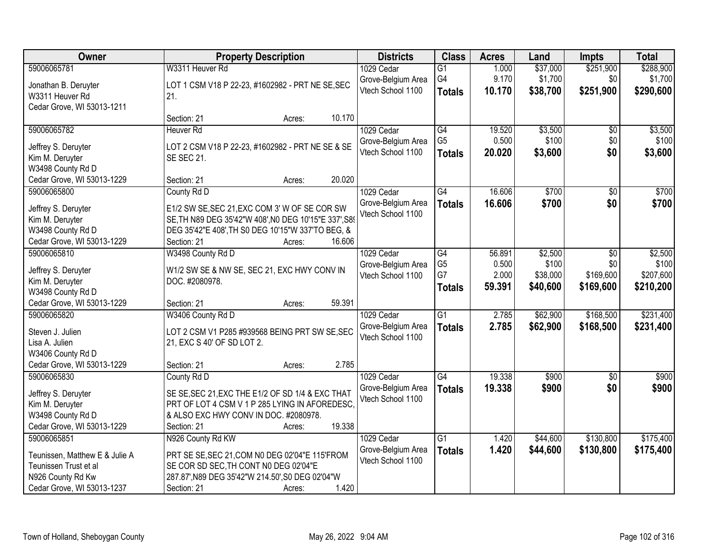| Owner                          | <b>Property Description</b>                           | <b>Districts</b>   | <b>Class</b>    | <b>Acres</b> | Land     | Impts           | <b>Total</b> |
|--------------------------------|-------------------------------------------------------|--------------------|-----------------|--------------|----------|-----------------|--------------|
| 59006065781                    | W3311 Heuver Rd                                       | 1029 Cedar         | $\overline{G1}$ | 1.000        | \$37,000 | \$251,900       | \$288,900    |
| Jonathan B. Deruyter           | LOT 1 CSM V18 P 22-23, #1602982 - PRT NE SE, SEC      | Grove-Belgium Area | G4              | 9.170        | \$1,700  | \$0             | \$1,700      |
| W3311 Heuver Rd                | 21.                                                   | Vtech School 1100  | <b>Totals</b>   | 10.170       | \$38,700 | \$251,900       | \$290,600    |
| Cedar Grove, WI 53013-1211     |                                                       |                    |                 |              |          |                 |              |
|                                | 10.170<br>Section: 21<br>Acres:                       |                    |                 |              |          |                 |              |
| 59006065782                    | <b>Heuver Rd</b>                                      | 1029 Cedar         | G4              | 19.520       | \$3,500  | \$0             | \$3,500      |
| Jeffrey S. Deruyter            | LOT 2 CSM V18 P 22-23, #1602982 - PRT NE SE & SE      | Grove-Belgium Area | G <sub>5</sub>  | 0.500        | \$100    | \$0             | \$100        |
| Kim M. Deruyter                | <b>SE SEC 21.</b>                                     | Vtech School 1100  | <b>Totals</b>   | 20.020       | \$3,600  | \$0             | \$3,600      |
| W3498 County Rd D              |                                                       |                    |                 |              |          |                 |              |
| Cedar Grove, WI 53013-1229     | 20.020<br>Section: 21<br>Acres:                       |                    |                 |              |          |                 |              |
| 59006065800                    | County Rd D                                           | 1029 Cedar         | $\overline{G4}$ | 16.606       | \$700    | $\overline{50}$ | \$700        |
|                                |                                                       | Grove-Belgium Area | <b>Totals</b>   | 16.606       | \$700    | \$0             | \$700        |
| Jeffrey S. Deruyter            | E1/2 SW SE, SEC 21, EXC COM 3' W OF SE COR SW         | Vtech School 1100  |                 |              |          |                 |              |
| Kim M. Deruyter                | SE, TH N89 DEG 35'42"W 408', N0 DEG 10'15"E 337', S89 |                    |                 |              |          |                 |              |
| W3498 County Rd D              | DEG 35'42"E 408', TH S0 DEG 10'15"W 337'TO BEG, &     |                    |                 |              |          |                 |              |
| Cedar Grove, WI 53013-1229     | Section: 21<br>16.606<br>Acres:                       |                    |                 |              |          |                 |              |
| 59006065810                    | W3498 County Rd D                                     | 1029 Cedar         | G4              | 56.891       | \$2,500  | \$0             | \$2,500      |
| Jeffrey S. Deruyter            | W1/2 SW SE & NW SE, SEC 21, EXC HWY CONV IN           | Grove-Belgium Area | G <sub>5</sub>  | 0.500        | \$100    | \$0             | \$100        |
| Kim M. Deruyter                | DOC. #2080978.                                        | Vtech School 1100  | G7              | 2.000        | \$38,000 | \$169,600       | \$207,600    |
| W3498 County Rd D              |                                                       |                    | <b>Totals</b>   | 59.391       | \$40,600 | \$169,600       | \$210,200    |
| Cedar Grove, WI 53013-1229     | 59.391<br>Section: 21<br>Acres:                       |                    |                 |              |          |                 |              |
| 59006065820                    | W3406 County Rd D                                     | 1029 Cedar         | $\overline{G1}$ | 2.785        | \$62,900 | \$168,500       | \$231,400    |
| Steven J. Julien               | LOT 2 CSM V1 P285 #939568 BEING PRT SW SE, SEC        | Grove-Belgium Area | <b>Totals</b>   | 2.785        | \$62,900 | \$168,500       | \$231,400    |
| Lisa A. Julien                 | 21, EXC S 40' OF SD LOT 2.                            | Vtech School 1100  |                 |              |          |                 |              |
| W3406 County Rd D              |                                                       |                    |                 |              |          |                 |              |
| Cedar Grove, WI 53013-1229     | Section: 21<br>Acres:                                 | 2.785              |                 |              |          |                 |              |
| 59006065830                    | County Rd D                                           | 1029 Cedar         | $\overline{G4}$ | 19.338       | \$900    | $\overline{50}$ | \$900        |
| Jeffrey S. Deruyter            | SE SE, SEC 21, EXC THE E1/2 OF SD 1/4 & EXC THAT      | Grove-Belgium Area | <b>Totals</b>   | 19.338       | \$900    | \$0             | \$900        |
| Kim M. Deruyter                | PRT OF LOT 4 CSM V 1 P 285 LYING IN AFOREDESC.        | Vtech School 1100  |                 |              |          |                 |              |
| W3498 County Rd D              | & ALSO EXC HWY CONV IN DOC. #2080978.                 |                    |                 |              |          |                 |              |
| Cedar Grove, WI 53013-1229     | 19.338<br>Section: 21<br>Acres:                       |                    |                 |              |          |                 |              |
| 59006065851                    | N926 County Rd KW                                     | 1029 Cedar         | $\overline{G1}$ | 1.420        | \$44,600 | \$130,800       | \$175,400    |
|                                |                                                       | Grove-Belgium Area | <b>Totals</b>   | 1.420        | \$44,600 | \$130,800       | \$175,400    |
| Teunissen, Matthew E & Julie A | PRT SE SE, SEC 21, COM N0 DEG 02'04"E 115'FROM        | Vtech School 1100  |                 |              |          |                 |              |
| Teunissen Trust et al          | SE COR SD SEC, TH CONT NO DEG 02'04"E                 |                    |                 |              |          |                 |              |
| N926 County Rd Kw              | 287.87', N89 DEG 35'42"W 214.50', S0 DEG 02'04"W      |                    |                 |              |          |                 |              |
| Cedar Grove, WI 53013-1237     | Section: 21<br>Acres:                                 | 1.420              |                 |              |          |                 |              |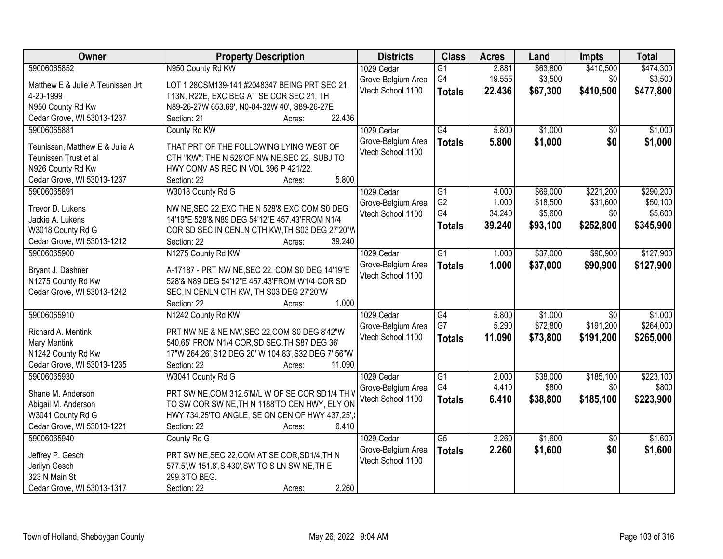| Owner                             | <b>Property Description</b>                          | <b>Districts</b>                        | <b>Class</b>    | <b>Acres</b> | Land     | <b>Impts</b>    | <b>Total</b> |
|-----------------------------------|------------------------------------------------------|-----------------------------------------|-----------------|--------------|----------|-----------------|--------------|
| 59006065852                       | N950 County Rd KW                                    | 1029 Cedar                              | $\overline{G1}$ | 2.881        | \$63,800 | \$410,500       | \$474,300    |
| Matthew E & Julie A Teunissen Jrt | LOT 1 28CSM139-141 #2048347 BEING PRT SEC 21,        | Grove-Belgium Area                      | G4              | 19.555       | \$3,500  | \$0             | \$3,500      |
| 4-20-1999                         | T13N, R22E, EXC BEG AT SE COR SEC 21, TH             | Vtech School 1100                       | <b>Totals</b>   | 22.436       | \$67,300 | \$410,500       | \$477,800    |
| N950 County Rd Kw                 | N89-26-27W 653.69', N0-04-32W 40', S89-26-27E        |                                         |                 |              |          |                 |              |
| Cedar Grove, WI 53013-1237        | 22.436<br>Section: 21<br>Acres:                      |                                         |                 |              |          |                 |              |
| 59006065881                       | County Rd KW                                         | 1029 Cedar                              | G4              | 5.800        | \$1,000  | $\overline{50}$ | \$1,000      |
|                                   |                                                      | Grove-Belgium Area                      | <b>Totals</b>   | 5.800        | \$1,000  | \$0             | \$1,000      |
| Teunissen, Matthew E & Julie A    | THAT PRT OF THE FOLLOWING LYING WEST OF              | Vtech School 1100                       |                 |              |          |                 |              |
| Teunissen Trust et al             | CTH "KW": THE N 528'OF NW NE, SEC 22, SUBJ TO        |                                         |                 |              |          |                 |              |
| N926 County Rd Kw                 | HWY CONV AS REC IN VOL 396 P 421/22.                 |                                         |                 |              |          |                 |              |
| Cedar Grove, WI 53013-1237        | 5.800<br>Section: 22<br>Acres:                       |                                         |                 |              |          |                 |              |
| 59006065891                       | W3018 County Rd G                                    | 1029 Cedar                              | $\overline{G1}$ | 4.000        | \$69,000 | \$221,200       | \$290,200    |
| Trevor D. Lukens                  | NW NE, SEC 22, EXC THE N 528'& EXC COM S0 DEG        | Grove-Belgium Area                      | G <sub>2</sub>  | 1.000        | \$18,500 | \$31,600        | \$50,100     |
| Jackie A. Lukens                  | 14'19"E 528'& N89 DEG 54'12"E 457.43'FROM N1/4       | Vtech School 1100                       | G4              | 34.240       | \$5,600  | \$0             | \$5,600      |
| W3018 County Rd G                 | COR SD SEC, IN CENLN CTH KW, TH S03 DEG 27'20"W      |                                         | Totals          | 39.240       | \$93,100 | \$252,800       | \$345,900    |
| Cedar Grove, WI 53013-1212        | 39.240<br>Section: 22<br>Acres:                      |                                         |                 |              |          |                 |              |
| 59006065900                       | N1275 County Rd KW                                   | 1029 Cedar                              | $\overline{G1}$ | 1.000        | \$37,000 | \$90,900        | \$127,900    |
|                                   |                                                      |                                         |                 |              |          |                 |              |
| Bryant J. Dashner                 | A-17187 - PRT NW NE, SEC 22, COM S0 DEG 14'19"E      | Grove-Belgium Area<br>Vtech School 1100 | <b>Totals</b>   | 1.000        | \$37,000 | \$90,900        | \$127,900    |
| N1275 County Rd Kw                | 528'& N89 DEG 54'12"E 457.43'FROM W1/4 COR SD        |                                         |                 |              |          |                 |              |
| Cedar Grove, WI 53013-1242        | SEC, IN CENLN CTH KW, TH S03 DEG 27'20"W             |                                         |                 |              |          |                 |              |
|                                   | 1.000<br>Section: 22<br>Acres:                       |                                         |                 |              |          |                 |              |
| 59006065910                       | N1242 County Rd KW                                   | 1029 Cedar                              | G4              | 5.800        | \$1,000  | $\overline{50}$ | \$1,000      |
|                                   |                                                      | Grove-Belgium Area                      | G7              | 5.290        | \$72,800 | \$191,200       | \$264,000    |
| Richard A. Mentink                | PRT NW NE & NE NW, SEC 22, COM S0 DEG 8'42"W         | Vtech School 1100                       | <b>Totals</b>   | 11.090       | \$73,800 | \$191,200       | \$265,000    |
| Mary Mentink                      | 540.65' FROM N1/4 COR, SD SEC, TH S87 DEG 36'        |                                         |                 |              |          |                 |              |
| N1242 County Rd Kw                | 17"W 264.26', S12 DEG 20' W 104.83', S32 DEG 7' 56"W |                                         |                 |              |          |                 |              |
| Cedar Grove, WI 53013-1235        | 11.090<br>Section: 22<br>Acres:                      |                                         |                 |              |          |                 |              |
| 59006065930                       | W3041 County Rd G                                    | 1029 Cedar                              | $\overline{G1}$ | 2.000        | \$38,000 | \$185,100       | \$223,100    |
| Shane M. Anderson                 | PRT SW NE, COM 312.5'M/L W OF SE COR SD1/4 TH V      | Grove-Belgium Area                      | G4              | 4.410        | \$800    | \$0             | \$800        |
| Abigail M. Anderson               | TO SW COR SW NE, TH N 1188'TO CEN HWY, ELY ON        | Vtech School 1100                       | <b>Totals</b>   | 6.410        | \$38,800 | \$185,100       | \$223,900    |
| W3041 County Rd G                 | HWY 734.25'TO ANGLE, SE ON CEN OF HWY 437.25',       |                                         |                 |              |          |                 |              |
| Cedar Grove, WI 53013-1221        | 6.410<br>Section: 22<br>Acres:                       |                                         |                 |              |          |                 |              |
| 59006065940                       | County Rd G                                          | 1029 Cedar                              | $\overline{G5}$ | 2.260        | \$1,600  | $\overline{50}$ | \$1,600      |
|                                   |                                                      | Grove-Belgium Area                      | <b>Totals</b>   | 2.260        | \$1,600  | \$0             | \$1,600      |
| Jeffrey P. Gesch                  | PRT SW NE, SEC 22, COM AT SE COR, SD1/4, TH N        | Vtech School 1100                       |                 |              |          |                 |              |
| Jerilyn Gesch                     | 577.5', W 151.8', S 430', SW TO S LN SW NE, TH E     |                                         |                 |              |          |                 |              |
| 323 N Main St                     | 299.3'TO BEG.                                        |                                         |                 |              |          |                 |              |
| Cedar Grove, WI 53013-1317        | 2.260<br>Section: 22<br>Acres:                       |                                         |                 |              |          |                 |              |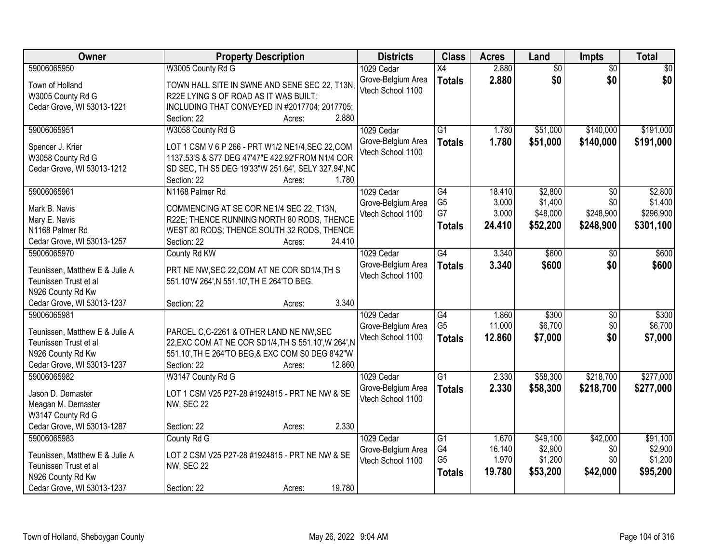| Owner                                      | <b>Property Description</b>                                                              | <b>Districts</b>   | <b>Class</b>    | <b>Acres</b> | Land            | Impts           | <b>Total</b>    |
|--------------------------------------------|------------------------------------------------------------------------------------------|--------------------|-----------------|--------------|-----------------|-----------------|-----------------|
| 59006065950                                | W3005 County Rd G                                                                        | 1029 Cedar         | $\overline{X4}$ | 2.880        | $\overline{60}$ | $\overline{30}$ | $\overline{50}$ |
| Town of Holland                            | TOWN HALL SITE IN SWNE AND SENE SEC 22, T13N,                                            | Grove-Belgium Area | <b>Totals</b>   | 2.880        | \$0             | \$0             | \$0             |
| W3005 County Rd G                          | R22E LYING S OF ROAD AS IT WAS BUILT;                                                    | Vtech School 1100  |                 |              |                 |                 |                 |
| Cedar Grove, WI 53013-1221                 | INCLUDING THAT CONVEYED IN #2017704; 2017705;                                            |                    |                 |              |                 |                 |                 |
|                                            | 2.880<br>Section: 22<br>Acres:                                                           |                    |                 |              |                 |                 |                 |
| 59006065951                                | W3058 County Rd G                                                                        | 1029 Cedar         | $\overline{G1}$ | 1.780        | \$51,000        | \$140,000       | \$191,000       |
|                                            | LOT 1 CSM V 6 P 266 - PRT W1/2 NE1/4, SEC 22, COM                                        | Grove-Belgium Area | <b>Totals</b>   | 1.780        | \$51,000        | \$140,000       | \$191,000       |
| Spencer J. Krier<br>W3058 County Rd G      | 1137.53'S & S77 DEG 47'47"E 422.92'FROM N1/4 COR                                         | Vtech School 1100  |                 |              |                 |                 |                 |
| Cedar Grove, WI 53013-1212                 | SD SEC, TH S5 DEG 19'33"W 251.64', SELY 327.94', NC                                      |                    |                 |              |                 |                 |                 |
|                                            | 1.780<br>Section: 22<br>Acres:                                                           |                    |                 |              |                 |                 |                 |
| 59006065961                                | N1168 Palmer Rd                                                                          | 1029 Cedar         | $\overline{G4}$ | 18.410       | \$2,800         | \$0             | \$2,800         |
|                                            |                                                                                          | Grove-Belgium Area | G <sub>5</sub>  | 3.000        | \$1,400         | \$0             | \$1,400         |
| Mark B. Navis                              | COMMENCING AT SE COR NE1/4 SEC 22, T13N,                                                 | Vtech School 1100  | G7              | 3.000        | \$48,000        | \$248,900       | \$296,900       |
| Mary E. Navis<br>N1168 Palmer Rd           | R22E; THENCE RUNNING NORTH 80 RODS, THENCE<br>WEST 80 RODS; THENCE SOUTH 32 RODS, THENCE |                    | <b>Totals</b>   | 24.410       | \$52,200        | \$248,900       | \$301,100       |
| Cedar Grove, WI 53013-1257                 | 24.410<br>Section: 22<br>Acres:                                                          |                    |                 |              |                 |                 |                 |
| 59006065970                                | County Rd KW                                                                             | 1029 Cedar         | G4              | 3.340        | \$600           | $\overline{50}$ | \$600           |
|                                            |                                                                                          | Grove-Belgium Area | <b>Totals</b>   | 3.340        | \$600           | \$0             | \$600           |
| Teunissen, Matthew E & Julie A             | PRT NE NW, SEC 22, COM AT NE COR SD1/4, TH S                                             | Vtech School 1100  |                 |              |                 |                 |                 |
| Teunissen Trust et al                      | 551.10'W 264', N 551.10', TH E 264'TO BEG.                                               |                    |                 |              |                 |                 |                 |
| N926 County Rd Kw                          |                                                                                          |                    |                 |              |                 |                 |                 |
| Cedar Grove, WI 53013-1237                 | 3.340<br>Section: 22<br>Acres:                                                           |                    |                 |              |                 |                 |                 |
| 59006065981                                |                                                                                          | 1029 Cedar         | $\overline{G4}$ | 1.860        | \$300           | $\overline{30}$ | \$300           |
| Teunissen, Matthew E & Julie A             | PARCEL C,C-2261 & OTHER LAND NE NW, SEC                                                  | Grove-Belgium Area | G <sub>5</sub>  | 11.000       | \$6,700         | \$0             | \$6,700         |
| Teunissen Trust et al                      | 22, EXC COM AT NE COR SD1/4, TH S 551.10', W 264', N                                     | Vtech School 1100  | <b>Totals</b>   | 12.860       | \$7,000         | \$0             | \$7,000         |
| N926 County Rd Kw                          | 551.10', TH E 264'TO BEG, & EXC COM S0 DEG 8'42"W                                        |                    |                 |              |                 |                 |                 |
| Cedar Grove, WI 53013-1237                 | Section: 22<br>12.860<br>Acres:                                                          |                    |                 |              |                 |                 |                 |
| 59006065982                                | W3147 County Rd G                                                                        | 1029 Cedar         | $\overline{G1}$ | 2.330        | \$58,300        | \$218,700       | \$277,000       |
| Jason D. Demaster                          | LOT 1 CSM V25 P27-28 #1924815 - PRT NE NW & SE                                           | Grove-Belgium Area | <b>Totals</b>   | 2.330        | \$58,300        | \$218,700       | \$277,000       |
| Meagan M. Demaster                         | NW, SEC 22                                                                               | Vtech School 1100  |                 |              |                 |                 |                 |
| W3147 County Rd G                          |                                                                                          |                    |                 |              |                 |                 |                 |
| Cedar Grove, WI 53013-1287                 | 2.330<br>Section: 22<br>Acres:                                                           |                    |                 |              |                 |                 |                 |
| 59006065983                                | County Rd G                                                                              | 1029 Cedar         | $\overline{G1}$ | 1.670        | \$49,100        | \$42,000        | \$91,100        |
|                                            |                                                                                          | Grove-Belgium Area | G4              | 16.140       | \$2,900         | \$0             | \$2,900         |
| Teunissen, Matthew E & Julie A             | LOT 2 CSM V25 P27-28 #1924815 - PRT NE NW & SE                                           | Vtech School 1100  | G <sub>5</sub>  | 1.970        | \$1,200         | \$0             | \$1,200         |
| Teunissen Trust et al<br>N926 County Rd Kw | <b>NW, SEC 22</b>                                                                        |                    | <b>Totals</b>   | 19.780       | \$53,200        | \$42,000        | \$95,200        |
| Cedar Grove, WI 53013-1237                 | 19.780<br>Section: 22<br>Acres:                                                          |                    |                 |              |                 |                 |                 |
|                                            |                                                                                          |                    |                 |              |                 |                 |                 |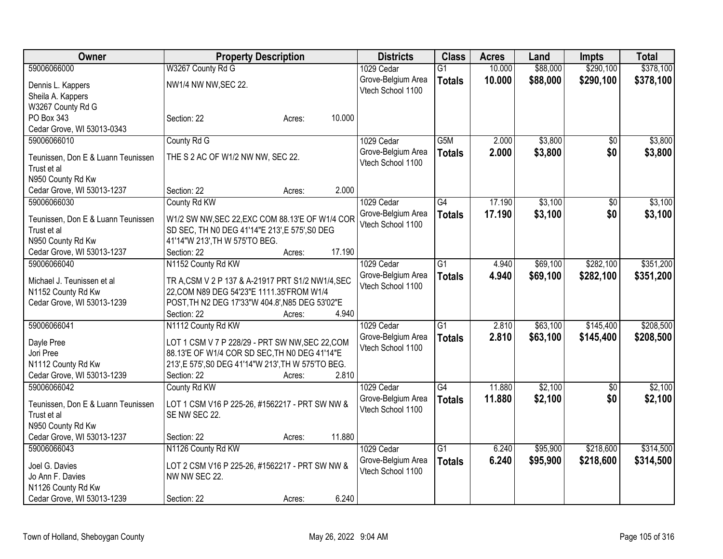| <b>Owner</b>                                     | <b>Property Description</b>                                                                    |        |        | <b>Districts</b>   | <b>Class</b>     | <b>Acres</b> | Land     | <b>Impts</b>    | <b>Total</b> |
|--------------------------------------------------|------------------------------------------------------------------------------------------------|--------|--------|--------------------|------------------|--------------|----------|-----------------|--------------|
| 59006066000                                      | W3267 County Rd G                                                                              |        |        | 1029 Cedar         | $\overline{G1}$  | 10.000       | \$88,000 | \$290,100       | \$378,100    |
| Dennis L. Kappers                                | NW1/4 NW NW, SEC 22.                                                                           |        |        | Grove-Belgium Area | <b>Totals</b>    | 10.000       | \$88,000 | \$290,100       | \$378,100    |
| Sheila A. Kappers                                |                                                                                                |        |        | Vtech School 1100  |                  |              |          |                 |              |
| W3267 County Rd G                                |                                                                                                |        |        |                    |                  |              |          |                 |              |
| PO Box 343                                       | Section: 22                                                                                    | Acres: | 10.000 |                    |                  |              |          |                 |              |
| Cedar Grove, WI 53013-0343                       |                                                                                                |        |        |                    |                  |              |          |                 |              |
| 59006066010                                      | County Rd G                                                                                    |        |        | 1029 Cedar         | G <sub>5</sub> M | 2.000        | \$3,800  | \$0             | \$3,800      |
|                                                  |                                                                                                |        |        | Grove-Belgium Area | <b>Totals</b>    | 2.000        | \$3,800  | \$0             | \$3,800      |
| Teunissen, Don E & Luann Teunissen               | THE S 2 AC OF W1/2 NW NW, SEC 22.                                                              |        |        | Vtech School 1100  |                  |              |          |                 |              |
| Trust et al                                      |                                                                                                |        |        |                    |                  |              |          |                 |              |
| N950 County Rd Kw                                |                                                                                                |        |        |                    |                  |              |          |                 |              |
| Cedar Grove, WI 53013-1237                       | Section: 22                                                                                    | Acres: | 2.000  |                    |                  |              |          |                 |              |
| 59006066030                                      | County Rd KW                                                                                   |        |        | 1029 Cedar         | $\overline{G4}$  | 17.190       | \$3,100  | \$0             | \$3,100      |
| Teunissen, Don E & Luann Teunissen               | W1/2 SW NW, SEC 22, EXC COM 88.13'E OF W1/4 COR                                                |        |        | Grove-Belgium Area | <b>Totals</b>    | 17.190       | \$3,100  | \$0             | \$3,100      |
| Trust et al                                      | SD SEC, TH N0 DEG 41'14"E 213', E 575', S0 DEG                                                 |        |        | Vtech School 1100  |                  |              |          |                 |              |
| N950 County Rd Kw                                | 41'14"W 213', TH W 575'TO BEG.                                                                 |        |        |                    |                  |              |          |                 |              |
| Cedar Grove, WI 53013-1237                       | Section: 22                                                                                    | Acres: | 17.190 |                    |                  |              |          |                 |              |
| 59006066040                                      | N1152 County Rd KW                                                                             |        |        | 1029 Cedar         | G1               | 4.940        | \$69,100 | \$282,100       | \$351,200    |
|                                                  |                                                                                                |        |        | Grove-Belgium Area | <b>Totals</b>    | 4.940        | \$69,100 | \$282,100       | \$351,200    |
| Michael J. Teunissen et al.                      | TR A, CSM V 2 P 137 & A-21917 PRT S1/2 NW1/4, SEC<br>22, COM N89 DEG 54'23"E 1111.35'FROM W1/4 |        |        | Vtech School 1100  |                  |              |          |                 |              |
| N1152 County Rd Kw<br>Cedar Grove, WI 53013-1239 | POST, TH N2 DEG 17'33"W 404.8', N85 DEG 53'02"E                                                |        |        |                    |                  |              |          |                 |              |
|                                                  | Section: 22                                                                                    | Acres: | 4.940  |                    |                  |              |          |                 |              |
| 59006066041                                      | N1112 County Rd KW                                                                             |        |        | 1029 Cedar         | G1               | 2.810        | \$63,100 | \$145,400       | \$208,500    |
|                                                  |                                                                                                |        |        | Grove-Belgium Area |                  |              |          |                 |              |
| Dayle Pree                                       | LOT 1 CSM V 7 P 228/29 - PRT SW NW, SEC 22, COM                                                |        |        | Vtech School 1100  | <b>Totals</b>    | 2.810        | \$63,100 | \$145,400       | \$208,500    |
| Jori Pree                                        | 88.13'E OF W1/4 COR SD SEC, TH N0 DEG 41'14"E                                                  |        |        |                    |                  |              |          |                 |              |
| N1112 County Rd Kw                               | 213', E 575', S0 DEG 41'14"W 213', TH W 575'TO BEG.                                            |        |        |                    |                  |              |          |                 |              |
| Cedar Grove, WI 53013-1239                       | Section: 22                                                                                    | Acres: | 2.810  |                    |                  |              |          |                 |              |
| 59006066042                                      | County Rd KW                                                                                   |        |        | 1029 Cedar         | $\overline{G4}$  | 11.880       | \$2,100  | $\overline{30}$ | \$2,100      |
| Teunissen, Don E & Luann Teunissen               | LOT 1 CSM V16 P 225-26, #1562217 - PRT SW NW &                                                 |        |        | Grove-Belgium Area | <b>Totals</b>    | 11.880       | \$2,100  | \$0             | \$2,100      |
| Trust et al                                      | SE NW SEC 22.                                                                                  |        |        | Vtech School 1100  |                  |              |          |                 |              |
| N950 County Rd Kw                                |                                                                                                |        |        |                    |                  |              |          |                 |              |
| Cedar Grove, WI 53013-1237                       | Section: 22                                                                                    | Acres: | 11.880 |                    |                  |              |          |                 |              |
| 59006066043                                      | N1126 County Rd KW                                                                             |        |        | 1029 Cedar         | $\overline{G1}$  | 6.240        | \$95,900 | \$218,600       | \$314,500    |
|                                                  |                                                                                                |        |        | Grove-Belgium Area | <b>Totals</b>    | 6.240        | \$95,900 | \$218,600       | \$314,500    |
| Joel G. Davies                                   | LOT 2 CSM V16 P 225-26, #1562217 - PRT SW NW &                                                 |        |        | Vtech School 1100  |                  |              |          |                 |              |
| Jo Ann F. Davies                                 | NW NW SEC 22.                                                                                  |        |        |                    |                  |              |          |                 |              |
| N1126 County Rd Kw                               |                                                                                                |        |        |                    |                  |              |          |                 |              |
| Cedar Grove, WI 53013-1239                       | Section: 22                                                                                    | Acres: | 6.240  |                    |                  |              |          |                 |              |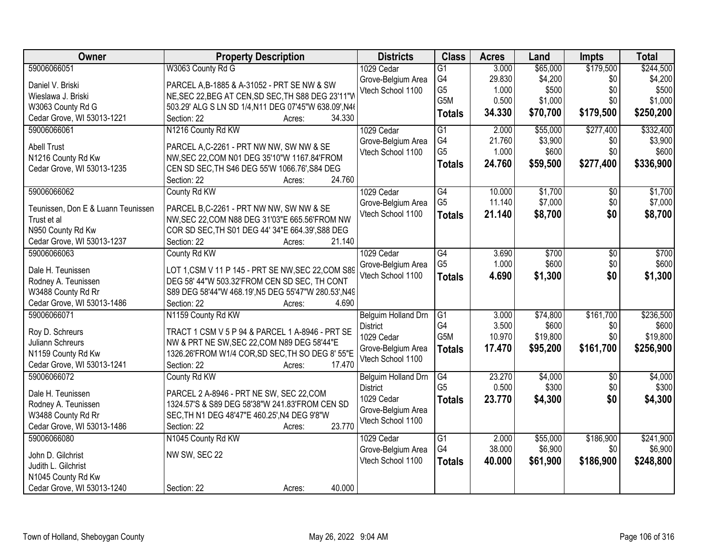| Owner                              | <b>Property Description</b>                           | <b>Districts</b>    | <b>Class</b>         | <b>Acres</b> | Land     | <b>Impts</b>    | <b>Total</b> |
|------------------------------------|-------------------------------------------------------|---------------------|----------------------|--------------|----------|-----------------|--------------|
| 59006066051                        | W3063 County Rd G                                     | 1029 Cedar          | $\overline{G1}$      | 3.000        | \$65,000 | \$179,500       | \$244,500    |
| Daniel V. Briski                   | PARCEL A, B-1885 & A-31052 - PRT SE NW & SW           | Grove-Belgium Area  | G4                   | 29.830       | \$4,200  | \$0             | \$4,200      |
| Wieslawa J. Briski                 | NE, SEC 22, BEG AT CEN, SD SEC, TH S88 DEG 23'11"W    | Vtech School 1100   | G <sub>5</sub>       | 1.000        | \$500    | \$0             | \$500        |
| W3063 County Rd G                  | 503.29' ALG S LN SD 1/4, N11 DEG 07'45"W 638.09', N4( |                     | G <sub>5</sub> M     | 0.500        | \$1,000  | \$0             | \$1,000      |
| Cedar Grove, WI 53013-1221         | 34.330<br>Section: 22<br>Acres:                       |                     | <b>Totals</b>        | 34.330       | \$70,700 | \$179,500       | \$250,200    |
| 59006066061                        | N1216 County Rd KW                                    | 1029 Cedar          | $\overline{G1}$      | 2.000        | \$55,000 | \$277,400       | \$332,400    |
|                                    |                                                       | Grove-Belgium Area  | G4                   | 21.760       | \$3,900  | \$0             | \$3,900      |
| <b>Abell Trust</b>                 | PARCEL A,C-2261 - PRT NW NW, SW NW & SE               | Vtech School 1100   | G <sub>5</sub>       | 1.000        | \$600    | \$0             | \$600        |
| N1216 County Rd Kw                 | NW, SEC 22, COM N01 DEG 35'10"W 1167.84'FROM          |                     |                      |              |          |                 |              |
| Cedar Grove, WI 53013-1235         | CEN SD SEC, TH S46 DEG 55'W 1066.76', S84 DEG         |                     | <b>Totals</b>        | 24.760       | \$59,500 | \$277,400       | \$336,900    |
|                                    | 24.760<br>Section: 22<br>Acres:                       |                     |                      |              |          |                 |              |
| 59006066062                        | County Rd KW                                          | 1029 Cedar          | G4                   | 10.000       | \$1,700  | \$0             | \$1,700      |
| Teunissen, Don E & Luann Teunissen | PARCEL B,C-2261 - PRT NW NW, SW NW & SE               | Grove-Belgium Area  | G <sub>5</sub>       | 11.140       | \$7,000  | \$0             | \$7,000      |
| Trust et al                        | NW, SEC 22, COM N88 DEG 31'03"E 665.56'FROM NW        | Vtech School 1100   | <b>Totals</b>        | 21.140       | \$8,700  | \$0             | \$8,700      |
| N950 County Rd Kw                  | COR SD SEC, TH S01 DEG 44' 34"E 664.39', S88 DEG      |                     |                      |              |          |                 |              |
| Cedar Grove, WI 53013-1237         | 21.140<br>Section: 22                                 |                     |                      |              |          |                 |              |
|                                    | Acres:                                                |                     |                      |              |          |                 |              |
| 59006066063                        | County Rd KW                                          | 1029 Cedar          | G4<br>G <sub>5</sub> | 3.690        | \$700    | \$0             | \$700        |
| Dale H. Teunissen                  | LOT 1, CSM V 11 P 145 - PRT SE NW, SEC 22, COM S89    | Grove-Belgium Area  |                      | 1.000        | \$600    | \$0             | \$600        |
| Rodney A. Teunissen                | DEG 58' 44"W 503.32'FROM CEN SD SEC, TH CONT          | Vtech School 1100   | <b>Totals</b>        | 4.690        | \$1,300  | \$0             | \$1,300      |
| W3488 County Rd Rr                 | S89 DEG 58'44"W 468.19', N5 DEG 55'47"W 280.53', N49  |                     |                      |              |          |                 |              |
| Cedar Grove, WI 53013-1486         | Section: 22<br>4.690<br>Acres:                        |                     |                      |              |          |                 |              |
| 59006066071                        | N1159 County Rd KW                                    | Belguim Holland Drn | $\overline{G1}$      | 3.000        | \$74,800 | \$161,700       | \$236,500    |
|                                    |                                                       | <b>District</b>     | G4                   | 3.500        | \$600    | \$0             | \$600        |
| Roy D. Schreurs                    | TRACT 1 CSM V 5 P 94 & PARCEL 1 A-8946 - PRT SE       | 1029 Cedar          | G5M                  | 10.970       | \$19,800 | \$0             | \$19,800     |
| Juliann Schreurs                   | NW & PRT NE SW, SEC 22, COM N89 DEG 58'44"E           | Grove-Belgium Area  | <b>Totals</b>        | 17.470       | \$95,200 | \$161,700       | \$256,900    |
| N1159 County Rd Kw                 | 1326.26'FROM W1/4 COR, SD SEC, TH SO DEG 8' 55"E      | Vtech School 1100   |                      |              |          |                 |              |
| Cedar Grove, WI 53013-1241         | Section: 22<br>17.470<br>Acres:                       |                     |                      |              |          |                 |              |
| 59006066072                        | County Rd KW                                          | Belguim Holland Drn | G4                   | 23.270       | \$4,000  | $\overline{50}$ | \$4,000      |
| Dale H. Teunissen                  | PARCEL 2 A-8946 - PRT NE SW, SEC 22, COM              | <b>District</b>     | G <sub>5</sub>       | 0.500        | \$300    | \$0             | \$300        |
| Rodney A. Teunissen                | 1324.57'S & S89 DEG 58'38"W 241.83'FROM CEN SD        | 1029 Cedar          | <b>Totals</b>        | 23.770       | \$4,300  | \$0             | \$4,300      |
| W3488 County Rd Rr                 | SEC, TH N1 DEG 48'47"E 460.25', N4 DEG 9'8"W          | Grove-Belgium Area  |                      |              |          |                 |              |
| Cedar Grove, WI 53013-1486         | 23.770<br>Section: 22<br>Acres:                       | Vtech School 1100   |                      |              |          |                 |              |
| 59006066080                        | N1045 County Rd KW                                    | 1029 Cedar          | $\overline{G1}$      | 2.000        | \$55,000 | \$186,900       | \$241,900    |
|                                    |                                                       | Grove-Belgium Area  | G4                   | 38.000       | \$6,900  | \$0             | \$6,900      |
| John D. Gilchrist                  | NW SW, SEC 22                                         | Vtech School 1100   | <b>Totals</b>        | 40.000       | \$61,900 | \$186,900       | \$248,800    |
| Judith L. Gilchrist                |                                                       |                     |                      |              |          |                 |              |
| N1045 County Rd Kw                 |                                                       |                     |                      |              |          |                 |              |
| Cedar Grove, WI 53013-1240         | 40.000<br>Section: 22<br>Acres:                       |                     |                      |              |          |                 |              |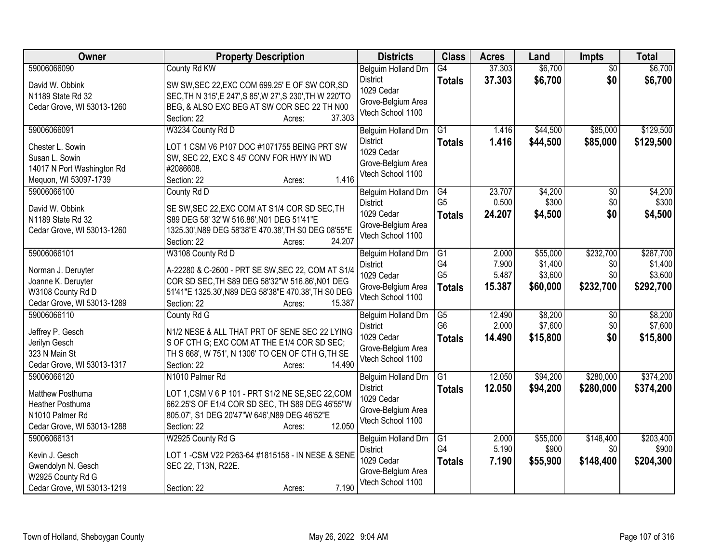| Owner                                     | <b>Property Description</b>                                    | <b>Districts</b>                        | <b>Class</b>    | <b>Acres</b> | Land     | Impts           | <b>Total</b> |
|-------------------------------------------|----------------------------------------------------------------|-----------------------------------------|-----------------|--------------|----------|-----------------|--------------|
| 59006066090                               | County Rd KW                                                   | Belguim Holland Drn                     | G4              | 37.303       | \$6,700  | $\overline{50}$ | \$6,700      |
| David W. Obbink                           | SW SW, SEC 22, EXC COM 699.25' E OF SW COR, SD                 | <b>District</b>                         | <b>Totals</b>   | 37.303       | \$6,700  | \$0             | \$6,700      |
| N1189 State Rd 32                         | SEC, TH N 315', E 247', S 85', W 27', S 230', TH W 220'TO      | 1029 Cedar                              |                 |              |          |                 |              |
| Cedar Grove, WI 53013-1260                | BEG, & ALSO EXC BEG AT SW COR SEC 22 TH N00                    | Grove-Belgium Area<br>Vtech School 1100 |                 |              |          |                 |              |
|                                           | 37.303<br>Section: 22<br>Acres:                                |                                         |                 |              |          |                 |              |
| 59006066091                               | W3234 County Rd D                                              | <b>Belguim Holland Drn</b>              | G1              | 1.416        | \$44,500 | \$85,000        | \$129,500    |
| Chester L. Sowin                          | LOT 1 CSM V6 P107 DOC #1071755 BEING PRT SW                    | <b>District</b>                         | <b>Totals</b>   | 1.416        | \$44,500 | \$85,000        | \$129,500    |
| Susan L. Sowin                            | SW, SEC 22, EXC S 45' CONV FOR HWY IN WD                       | 1029 Cedar                              |                 |              |          |                 |              |
| 14017 N Port Washington Rd                | #2086608.                                                      | Grove-Belgium Area                      |                 |              |          |                 |              |
| Mequon, WI 53097-1739                     | 1.416<br>Section: 22<br>Acres:                                 | Vtech School 1100                       |                 |              |          |                 |              |
| 59006066100                               | County Rd D                                                    | Belguim Holland Drn                     | $\overline{G4}$ | 23.707       | \$4,200  | $\overline{50}$ | \$4,200      |
| David W. Obbink                           | SE SW, SEC 22, EXC COM AT S1/4 COR SD SEC, TH                  | <b>District</b>                         | G <sub>5</sub>  | 0.500        | \$300    | \$0             | \$300        |
| N1189 State Rd 32                         | S89 DEG 58' 32"W 516.86', N01 DEG 51'41"E                      | 1029 Cedar                              | <b>Totals</b>   | 24.207       | \$4,500  | \$0             | \$4,500      |
| Cedar Grove, WI 53013-1260                | 1325.30', N89 DEG 58'38"E 470.38', TH S0 DEG 08'55"E           | Grove-Belgium Area                      |                 |              |          |                 |              |
|                                           | 24.207<br>Section: 22<br>Acres:                                | Vtech School 1100                       |                 |              |          |                 |              |
| 59006066101                               | W3108 County Rd D                                              | Belguim Holland Drn                     | G1              | 2.000        | \$55,000 | \$232,700       | \$287,700    |
|                                           |                                                                | <b>District</b>                         | G4              | 7.900        | \$1,400  | \$0             | \$1,400      |
| Norman J. Deruyter                        | A-22280 & C-2600 - PRT SE SW, SEC 22, COM AT S1/4              | 1029 Cedar                              | G <sub>5</sub>  | 5.487        | \$3,600  | \$0             | \$3,600      |
| Joanne K. Deruyter                        | COR SD SEC, TH S89 DEG 58'32"W 516.86', N01 DEG                | Grove-Belgium Area                      | <b>Totals</b>   | 15.387       | \$60,000 | \$232,700       | \$292,700    |
| W3108 County Rd D                         | 51'41"E 1325.30', N89 DEG 58'38"E 470.38', TH S0 DEG<br>15.387 | Vtech School 1100                       |                 |              |          |                 |              |
| Cedar Grove, WI 53013-1289<br>59006066110 | Section: 22<br>Acres:                                          |                                         | G5              | 12.490       | \$8,200  | \$0             | \$8,200      |
|                                           | County Rd G                                                    | Belguim Holland Drn<br><b>District</b>  | G <sub>6</sub>  | 2.000        | \$7,600  | \$0             | \$7,600      |
| Jeffrey P. Gesch                          | N1/2 NESE & ALL THAT PRT OF SENE SEC 22 LYING                  | 1029 Cedar                              | <b>Totals</b>   | 14.490       | \$15,800 | \$0             | \$15,800     |
| Jerilyn Gesch                             | S OF CTH G; EXC COM AT THE E1/4 COR SD SEC;                    | Grove-Belgium Area                      |                 |              |          |                 |              |
| 323 N Main St                             | TH S 668', W 751', N 1306' TO CEN OF CTH G, TH SE              | Vtech School 1100                       |                 |              |          |                 |              |
| Cedar Grove, WI 53013-1317                | 14.490<br>Section: 22<br>Acres:                                |                                         |                 |              |          |                 |              |
| 59006066120                               | N1010 Palmer Rd                                                | Belguim Holland Drn                     | $\overline{G1}$ | 12.050       | \$94,200 | \$280,000       | \$374,200    |
| Matthew Posthuma                          | LOT 1, CSM V 6 P 101 - PRT S1/2 NE SE, SEC 22, COM             | <b>District</b><br>1029 Cedar           | <b>Totals</b>   | 12.050       | \$94,200 | \$280,000       | \$374,200    |
| Heather Posthuma                          | 662.25'S OF E1/4 COR SD SEC, TH S89 DEG 46'55"W                | Grove-Belgium Area                      |                 |              |          |                 |              |
| N1010 Palmer Rd                           | 805.07', S1 DEG 20'47"W 646', N89 DEG 46'52"E                  | Vtech School 1100                       |                 |              |          |                 |              |
| Cedar Grove, WI 53013-1288                | 12.050<br>Section: 22<br>Acres:                                |                                         |                 |              |          |                 |              |
| 59006066131                               | W2925 County Rd G                                              | Belguim Holland Drn                     | $\overline{G1}$ | 2.000        | \$55,000 | \$148,400       | \$203,400    |
| Kevin J. Gesch                            | LOT 1-CSM V22 P263-64 #1815158 - IN NESE & SENE                | <b>District</b>                         | G4              | 5.190        | \$900    | \$0             | \$900        |
| Gwendolyn N. Gesch                        | SEC 22, T13N, R22E.                                            | 1029 Cedar                              | <b>Totals</b>   | 7.190        | \$55,900 | \$148,400       | \$204,300    |
| W2925 County Rd G                         |                                                                | Grove-Belgium Area                      |                 |              |          |                 |              |
| Cedar Grove, WI 53013-1219                | 7.190<br>Section: 22<br>Acres:                                 | Vtech School 1100                       |                 |              |          |                 |              |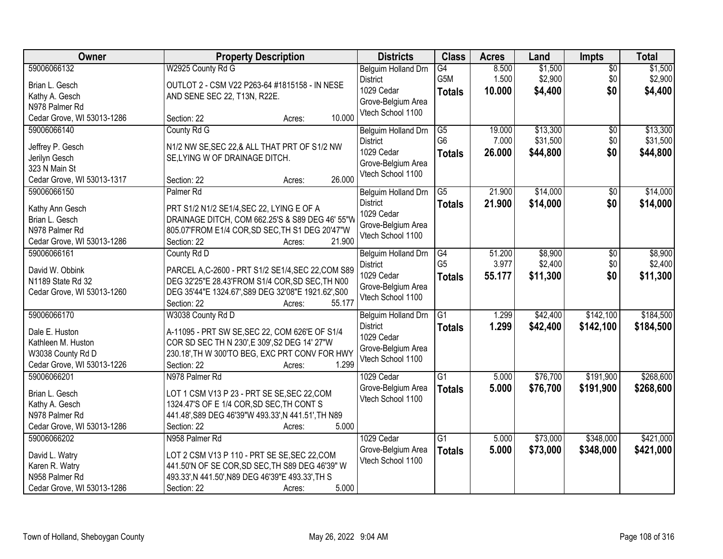| \$1,500<br>59006066132<br>W2925 County Rd G<br>8.500<br>\$1,500<br>G4<br>$\overline{50}$<br>Belguim Holland Drn<br>G5M<br>\$2,900<br>\$2,900<br>1.500<br>\$0<br><b>District</b><br>OUTLOT 2 - CSM V22 P263-64 #1815158 - IN NESE<br>Brian L. Gesch<br>1029 Cedar<br>\$0<br>10.000<br>\$4,400<br><b>Totals</b><br>Kathy A. Gesch<br>AND SENE SEC 22, T13N, R22E.<br>Grove-Belgium Area<br>N978 Palmer Rd<br>Vtech School 1100<br>10.000<br>Cedar Grove, WI 53013-1286<br>Section: 22<br>Acres:<br>County Rd G<br>\$13,300<br>59006066140<br>$\overline{G5}$<br>19.000<br>$\overline{30}$<br>Belguim Holland Drn<br>G <sub>6</sub><br>\$31,500<br>7.000<br>\$0<br><b>District</b><br>Jeffrey P. Gesch<br>N1/2 NW SE, SEC 22, & ALL THAT PRT OF S1/2 NW<br>\$0<br>1029 Cedar<br>26.000<br>\$44,800<br><b>Totals</b><br>Jerilyn Gesch<br>SE, LYING W OF DRAINAGE DITCH.<br>Grove-Belgium Area<br>323 N Main St<br>Vtech School 1100<br>26.000<br>Cedar Grove, WI 53013-1317<br>Section: 22<br>Acres:<br>\$14,000<br>$\overline{G5}$<br>21.900<br>59006066150<br>Palmer <sub>Rd</sub><br>\$0<br>Belguim Holland Drn<br><b>District</b><br>\$14,000<br>\$0<br>21.900<br><b>Totals</b><br>PRT S1/2 N1/2 SE1/4, SEC 22, LYING E OF A<br>Kathy Ann Gesch<br>1029 Cedar<br>DRAINAGE DITCH, COM 662.25'S & S89 DEG 46' 55"W<br>Brian L. Gesch<br>Grove-Belgium Area<br>N978 Palmer Rd<br>805.07'FROM E1/4 COR, SD SEC, TH S1 DEG 20'47"W<br>Vtech School 1100<br>21.900<br>Cedar Grove, WI 53013-1286<br>Section: 22<br>Acres:<br>59006066161<br>County Rd D<br>\$8,900<br>G4<br>51.200<br>\$0<br>Belguim Holland Drn<br>G <sub>5</sub><br>3.977<br>\$2,400<br>\$0<br><b>District</b><br>David W. Obbink<br>PARCEL A,C-2600 - PRT S1/2 SE1/4, SEC 22, COM S89<br>1029 Cedar<br>\$0<br>55.177<br>\$11,300<br><b>Totals</b><br>DEG 32'25"E 28.43'FROM S1/4 COR, SD SEC, TH N00<br>N1189 State Rd 32<br>Grove-Belgium Area<br>DEG 35'44"E 1324.67', S89 DEG 32'08"E 1921.62', S00<br>Cedar Grove, WI 53013-1260<br>Vtech School 1100<br>Section: 22<br>55.177<br>Acres:<br>59006066170<br>$\overline{G1}$<br>\$42,400<br>\$142,100<br>W3038 County Rd D<br>1.299<br>Belguim Holland Drn<br><b>District</b><br>1.299<br>\$42,400<br>\$142,100<br><b>Totals</b><br>A-11095 - PRT SW SE, SEC 22, COM 626'E OF S1/4<br>Dale E. Huston<br>1029 Cedar<br>COR SD SEC TH N 230', E 309', S2 DEG 14' 27"W<br>Kathleen M. Huston<br>Grove-Belgium Area<br>230.18', TH W 300'TO BEG, EXC PRT CONV FOR HWY<br>W3038 County Rd D<br>Vtech School 1100<br>1.299<br>Cedar Grove, WI 53013-1226<br>Section: 22<br>Acres:<br>$\overline{G1}$<br>\$76,700<br>\$191,900<br>59006066201<br>N978 Palmer Rd<br>1029 Cedar<br>5.000<br>5.000<br>\$76,700<br>\$191,900<br>Grove-Belgium Area<br><b>Totals</b><br>Brian L. Gesch<br>LOT 1 CSM V13 P 23 - PRT SE SE, SEC 22, COM<br>Vtech School 1100<br>1324.47'S OF E 1/4 COR, SD SEC, TH CONT S<br>Kathy A. Gesch<br>441.48', S89 DEG 46'39"W 493.33', N 441.51', TH N89<br>N978 Palmer Rd<br>Cedar Grove, WI 53013-1286<br>5.000<br>Section: 22<br>Acres:<br>\$348,000<br>59006066202<br>$\overline{G1}$<br>\$73,000<br>N958 Palmer Rd<br>1029 Cedar<br>5.000<br>5.000<br>\$73,000<br>\$348,000<br>Grove-Belgium Area<br><b>Totals</b><br>David L. Watry<br>LOT 2 CSM V13 P 110 - PRT SE SE, SEC 22, COM<br>Vtech School 1100<br>Karen R. Watry<br>441.50'N OF SE COR, SD SEC, TH S89 DEG 46'39" W | Owner          | <b>Property Description</b>                       | <b>Districts</b> | <b>Class</b> | <b>Acres</b> | Land | Impts | <b>Total</b> |
|----------------------------------------------------------------------------------------------------------------------------------------------------------------------------------------------------------------------------------------------------------------------------------------------------------------------------------------------------------------------------------------------------------------------------------------------------------------------------------------------------------------------------------------------------------------------------------------------------------------------------------------------------------------------------------------------------------------------------------------------------------------------------------------------------------------------------------------------------------------------------------------------------------------------------------------------------------------------------------------------------------------------------------------------------------------------------------------------------------------------------------------------------------------------------------------------------------------------------------------------------------------------------------------------------------------------------------------------------------------------------------------------------------------------------------------------------------------------------------------------------------------------------------------------------------------------------------------------------------------------------------------------------------------------------------------------------------------------------------------------------------------------------------------------------------------------------------------------------------------------------------------------------------------------------------------------------------------------------------------------------------------------------------------------------------------------------------------------------------------------------------------------------------------------------------------------------------------------------------------------------------------------------------------------------------------------------------------------------------------------------------------------------------------------------------------------------------------------------------------------------------------------------------------------------------------------------------------------------------------------------------------------------------------------------------------------------------------------------------------------------------------------------------------------------------------------------------------------------------------------------------------------------------------------------------------------------------------------------------------------------------------------------------------------------------------------------------------------------------------------------------------------------------------------------------------------------------------------------------------------------------------------------------------------------------------------------------------------------------------------------------------------------------------|----------------|---------------------------------------------------|------------------|--------------|--------------|------|-------|--------------|
| \$4,400                                                                                                                                                                                                                                                                                                                                                                                                                                                                                                                                                                                                                                                                                                                                                                                                                                                                                                                                                                                                                                                                                                                                                                                                                                                                                                                                                                                                                                                                                                                                                                                                                                                                                                                                                                                                                                                                                                                                                                                                                                                                                                                                                                                                                                                                                                                                                                                                                                                                                                                                                                                                                                                                                                                                                                                                                                                                                                                                                                                                                                                                                                                                                                                                                                                                                                                                                                                                        |                |                                                   |                  |              |              |      |       |              |
|                                                                                                                                                                                                                                                                                                                                                                                                                                                                                                                                                                                                                                                                                                                                                                                                                                                                                                                                                                                                                                                                                                                                                                                                                                                                                                                                                                                                                                                                                                                                                                                                                                                                                                                                                                                                                                                                                                                                                                                                                                                                                                                                                                                                                                                                                                                                                                                                                                                                                                                                                                                                                                                                                                                                                                                                                                                                                                                                                                                                                                                                                                                                                                                                                                                                                                                                                                                                                |                |                                                   |                  |              |              |      |       |              |
| \$13,300<br>\$31,500<br>\$44,800<br>\$8,900<br>\$184,500<br>\$421,000<br>\$421,000                                                                                                                                                                                                                                                                                                                                                                                                                                                                                                                                                                                                                                                                                                                                                                                                                                                                                                                                                                                                                                                                                                                                                                                                                                                                                                                                                                                                                                                                                                                                                                                                                                                                                                                                                                                                                                                                                                                                                                                                                                                                                                                                                                                                                                                                                                                                                                                                                                                                                                                                                                                                                                                                                                                                                                                                                                                                                                                                                                                                                                                                                                                                                                                                                                                                                                                             |                |                                                   |                  |              |              |      |       |              |
|                                                                                                                                                                                                                                                                                                                                                                                                                                                                                                                                                                                                                                                                                                                                                                                                                                                                                                                                                                                                                                                                                                                                                                                                                                                                                                                                                                                                                                                                                                                                                                                                                                                                                                                                                                                                                                                                                                                                                                                                                                                                                                                                                                                                                                                                                                                                                                                                                                                                                                                                                                                                                                                                                                                                                                                                                                                                                                                                                                                                                                                                                                                                                                                                                                                                                                                                                                                                                |                |                                                   |                  |              |              |      |       |              |
|                                                                                                                                                                                                                                                                                                                                                                                                                                                                                                                                                                                                                                                                                                                                                                                                                                                                                                                                                                                                                                                                                                                                                                                                                                                                                                                                                                                                                                                                                                                                                                                                                                                                                                                                                                                                                                                                                                                                                                                                                                                                                                                                                                                                                                                                                                                                                                                                                                                                                                                                                                                                                                                                                                                                                                                                                                                                                                                                                                                                                                                                                                                                                                                                                                                                                                                                                                                                                |                |                                                   |                  |              |              |      |       |              |
|                                                                                                                                                                                                                                                                                                                                                                                                                                                                                                                                                                                                                                                                                                                                                                                                                                                                                                                                                                                                                                                                                                                                                                                                                                                                                                                                                                                                                                                                                                                                                                                                                                                                                                                                                                                                                                                                                                                                                                                                                                                                                                                                                                                                                                                                                                                                                                                                                                                                                                                                                                                                                                                                                                                                                                                                                                                                                                                                                                                                                                                                                                                                                                                                                                                                                                                                                                                                                |                |                                                   |                  |              |              |      |       |              |
|                                                                                                                                                                                                                                                                                                                                                                                                                                                                                                                                                                                                                                                                                                                                                                                                                                                                                                                                                                                                                                                                                                                                                                                                                                                                                                                                                                                                                                                                                                                                                                                                                                                                                                                                                                                                                                                                                                                                                                                                                                                                                                                                                                                                                                                                                                                                                                                                                                                                                                                                                                                                                                                                                                                                                                                                                                                                                                                                                                                                                                                                                                                                                                                                                                                                                                                                                                                                                |                |                                                   |                  |              |              |      |       |              |
|                                                                                                                                                                                                                                                                                                                                                                                                                                                                                                                                                                                                                                                                                                                                                                                                                                                                                                                                                                                                                                                                                                                                                                                                                                                                                                                                                                                                                                                                                                                                                                                                                                                                                                                                                                                                                                                                                                                                                                                                                                                                                                                                                                                                                                                                                                                                                                                                                                                                                                                                                                                                                                                                                                                                                                                                                                                                                                                                                                                                                                                                                                                                                                                                                                                                                                                                                                                                                |                |                                                   |                  |              |              |      |       |              |
| \$14,000<br>\$14,000<br>\$2,400<br>\$11,300<br>\$184,500<br>\$268,600<br>\$268,600                                                                                                                                                                                                                                                                                                                                                                                                                                                                                                                                                                                                                                                                                                                                                                                                                                                                                                                                                                                                                                                                                                                                                                                                                                                                                                                                                                                                                                                                                                                                                                                                                                                                                                                                                                                                                                                                                                                                                                                                                                                                                                                                                                                                                                                                                                                                                                                                                                                                                                                                                                                                                                                                                                                                                                                                                                                                                                                                                                                                                                                                                                                                                                                                                                                                                                                             |                |                                                   |                  |              |              |      |       |              |
|                                                                                                                                                                                                                                                                                                                                                                                                                                                                                                                                                                                                                                                                                                                                                                                                                                                                                                                                                                                                                                                                                                                                                                                                                                                                                                                                                                                                                                                                                                                                                                                                                                                                                                                                                                                                                                                                                                                                                                                                                                                                                                                                                                                                                                                                                                                                                                                                                                                                                                                                                                                                                                                                                                                                                                                                                                                                                                                                                                                                                                                                                                                                                                                                                                                                                                                                                                                                                |                |                                                   |                  |              |              |      |       |              |
|                                                                                                                                                                                                                                                                                                                                                                                                                                                                                                                                                                                                                                                                                                                                                                                                                                                                                                                                                                                                                                                                                                                                                                                                                                                                                                                                                                                                                                                                                                                                                                                                                                                                                                                                                                                                                                                                                                                                                                                                                                                                                                                                                                                                                                                                                                                                                                                                                                                                                                                                                                                                                                                                                                                                                                                                                                                                                                                                                                                                                                                                                                                                                                                                                                                                                                                                                                                                                |                |                                                   |                  |              |              |      |       |              |
|                                                                                                                                                                                                                                                                                                                                                                                                                                                                                                                                                                                                                                                                                                                                                                                                                                                                                                                                                                                                                                                                                                                                                                                                                                                                                                                                                                                                                                                                                                                                                                                                                                                                                                                                                                                                                                                                                                                                                                                                                                                                                                                                                                                                                                                                                                                                                                                                                                                                                                                                                                                                                                                                                                                                                                                                                                                                                                                                                                                                                                                                                                                                                                                                                                                                                                                                                                                                                |                |                                                   |                  |              |              |      |       |              |
|                                                                                                                                                                                                                                                                                                                                                                                                                                                                                                                                                                                                                                                                                                                                                                                                                                                                                                                                                                                                                                                                                                                                                                                                                                                                                                                                                                                                                                                                                                                                                                                                                                                                                                                                                                                                                                                                                                                                                                                                                                                                                                                                                                                                                                                                                                                                                                                                                                                                                                                                                                                                                                                                                                                                                                                                                                                                                                                                                                                                                                                                                                                                                                                                                                                                                                                                                                                                                |                |                                                   |                  |              |              |      |       |              |
|                                                                                                                                                                                                                                                                                                                                                                                                                                                                                                                                                                                                                                                                                                                                                                                                                                                                                                                                                                                                                                                                                                                                                                                                                                                                                                                                                                                                                                                                                                                                                                                                                                                                                                                                                                                                                                                                                                                                                                                                                                                                                                                                                                                                                                                                                                                                                                                                                                                                                                                                                                                                                                                                                                                                                                                                                                                                                                                                                                                                                                                                                                                                                                                                                                                                                                                                                                                                                |                |                                                   |                  |              |              |      |       |              |
|                                                                                                                                                                                                                                                                                                                                                                                                                                                                                                                                                                                                                                                                                                                                                                                                                                                                                                                                                                                                                                                                                                                                                                                                                                                                                                                                                                                                                                                                                                                                                                                                                                                                                                                                                                                                                                                                                                                                                                                                                                                                                                                                                                                                                                                                                                                                                                                                                                                                                                                                                                                                                                                                                                                                                                                                                                                                                                                                                                                                                                                                                                                                                                                                                                                                                                                                                                                                                |                |                                                   |                  |              |              |      |       |              |
|                                                                                                                                                                                                                                                                                                                                                                                                                                                                                                                                                                                                                                                                                                                                                                                                                                                                                                                                                                                                                                                                                                                                                                                                                                                                                                                                                                                                                                                                                                                                                                                                                                                                                                                                                                                                                                                                                                                                                                                                                                                                                                                                                                                                                                                                                                                                                                                                                                                                                                                                                                                                                                                                                                                                                                                                                                                                                                                                                                                                                                                                                                                                                                                                                                                                                                                                                                                                                |                |                                                   |                  |              |              |      |       |              |
|                                                                                                                                                                                                                                                                                                                                                                                                                                                                                                                                                                                                                                                                                                                                                                                                                                                                                                                                                                                                                                                                                                                                                                                                                                                                                                                                                                                                                                                                                                                                                                                                                                                                                                                                                                                                                                                                                                                                                                                                                                                                                                                                                                                                                                                                                                                                                                                                                                                                                                                                                                                                                                                                                                                                                                                                                                                                                                                                                                                                                                                                                                                                                                                                                                                                                                                                                                                                                |                |                                                   |                  |              |              |      |       |              |
|                                                                                                                                                                                                                                                                                                                                                                                                                                                                                                                                                                                                                                                                                                                                                                                                                                                                                                                                                                                                                                                                                                                                                                                                                                                                                                                                                                                                                                                                                                                                                                                                                                                                                                                                                                                                                                                                                                                                                                                                                                                                                                                                                                                                                                                                                                                                                                                                                                                                                                                                                                                                                                                                                                                                                                                                                                                                                                                                                                                                                                                                                                                                                                                                                                                                                                                                                                                                                |                |                                                   |                  |              |              |      |       |              |
|                                                                                                                                                                                                                                                                                                                                                                                                                                                                                                                                                                                                                                                                                                                                                                                                                                                                                                                                                                                                                                                                                                                                                                                                                                                                                                                                                                                                                                                                                                                                                                                                                                                                                                                                                                                                                                                                                                                                                                                                                                                                                                                                                                                                                                                                                                                                                                                                                                                                                                                                                                                                                                                                                                                                                                                                                                                                                                                                                                                                                                                                                                                                                                                                                                                                                                                                                                                                                |                |                                                   |                  |              |              |      |       |              |
|                                                                                                                                                                                                                                                                                                                                                                                                                                                                                                                                                                                                                                                                                                                                                                                                                                                                                                                                                                                                                                                                                                                                                                                                                                                                                                                                                                                                                                                                                                                                                                                                                                                                                                                                                                                                                                                                                                                                                                                                                                                                                                                                                                                                                                                                                                                                                                                                                                                                                                                                                                                                                                                                                                                                                                                                                                                                                                                                                                                                                                                                                                                                                                                                                                                                                                                                                                                                                |                |                                                   |                  |              |              |      |       |              |
|                                                                                                                                                                                                                                                                                                                                                                                                                                                                                                                                                                                                                                                                                                                                                                                                                                                                                                                                                                                                                                                                                                                                                                                                                                                                                                                                                                                                                                                                                                                                                                                                                                                                                                                                                                                                                                                                                                                                                                                                                                                                                                                                                                                                                                                                                                                                                                                                                                                                                                                                                                                                                                                                                                                                                                                                                                                                                                                                                                                                                                                                                                                                                                                                                                                                                                                                                                                                                |                |                                                   |                  |              |              |      |       |              |
|                                                                                                                                                                                                                                                                                                                                                                                                                                                                                                                                                                                                                                                                                                                                                                                                                                                                                                                                                                                                                                                                                                                                                                                                                                                                                                                                                                                                                                                                                                                                                                                                                                                                                                                                                                                                                                                                                                                                                                                                                                                                                                                                                                                                                                                                                                                                                                                                                                                                                                                                                                                                                                                                                                                                                                                                                                                                                                                                                                                                                                                                                                                                                                                                                                                                                                                                                                                                                |                |                                                   |                  |              |              |      |       |              |
|                                                                                                                                                                                                                                                                                                                                                                                                                                                                                                                                                                                                                                                                                                                                                                                                                                                                                                                                                                                                                                                                                                                                                                                                                                                                                                                                                                                                                                                                                                                                                                                                                                                                                                                                                                                                                                                                                                                                                                                                                                                                                                                                                                                                                                                                                                                                                                                                                                                                                                                                                                                                                                                                                                                                                                                                                                                                                                                                                                                                                                                                                                                                                                                                                                                                                                                                                                                                                |                |                                                   |                  |              |              |      |       |              |
|                                                                                                                                                                                                                                                                                                                                                                                                                                                                                                                                                                                                                                                                                                                                                                                                                                                                                                                                                                                                                                                                                                                                                                                                                                                                                                                                                                                                                                                                                                                                                                                                                                                                                                                                                                                                                                                                                                                                                                                                                                                                                                                                                                                                                                                                                                                                                                                                                                                                                                                                                                                                                                                                                                                                                                                                                                                                                                                                                                                                                                                                                                                                                                                                                                                                                                                                                                                                                |                |                                                   |                  |              |              |      |       |              |
|                                                                                                                                                                                                                                                                                                                                                                                                                                                                                                                                                                                                                                                                                                                                                                                                                                                                                                                                                                                                                                                                                                                                                                                                                                                                                                                                                                                                                                                                                                                                                                                                                                                                                                                                                                                                                                                                                                                                                                                                                                                                                                                                                                                                                                                                                                                                                                                                                                                                                                                                                                                                                                                                                                                                                                                                                                                                                                                                                                                                                                                                                                                                                                                                                                                                                                                                                                                                                |                |                                                   |                  |              |              |      |       |              |
|                                                                                                                                                                                                                                                                                                                                                                                                                                                                                                                                                                                                                                                                                                                                                                                                                                                                                                                                                                                                                                                                                                                                                                                                                                                                                                                                                                                                                                                                                                                                                                                                                                                                                                                                                                                                                                                                                                                                                                                                                                                                                                                                                                                                                                                                                                                                                                                                                                                                                                                                                                                                                                                                                                                                                                                                                                                                                                                                                                                                                                                                                                                                                                                                                                                                                                                                                                                                                |                |                                                   |                  |              |              |      |       |              |
|                                                                                                                                                                                                                                                                                                                                                                                                                                                                                                                                                                                                                                                                                                                                                                                                                                                                                                                                                                                                                                                                                                                                                                                                                                                                                                                                                                                                                                                                                                                                                                                                                                                                                                                                                                                                                                                                                                                                                                                                                                                                                                                                                                                                                                                                                                                                                                                                                                                                                                                                                                                                                                                                                                                                                                                                                                                                                                                                                                                                                                                                                                                                                                                                                                                                                                                                                                                                                |                |                                                   |                  |              |              |      |       |              |
|                                                                                                                                                                                                                                                                                                                                                                                                                                                                                                                                                                                                                                                                                                                                                                                                                                                                                                                                                                                                                                                                                                                                                                                                                                                                                                                                                                                                                                                                                                                                                                                                                                                                                                                                                                                                                                                                                                                                                                                                                                                                                                                                                                                                                                                                                                                                                                                                                                                                                                                                                                                                                                                                                                                                                                                                                                                                                                                                                                                                                                                                                                                                                                                                                                                                                                                                                                                                                |                |                                                   |                  |              |              |      |       |              |
|                                                                                                                                                                                                                                                                                                                                                                                                                                                                                                                                                                                                                                                                                                                                                                                                                                                                                                                                                                                                                                                                                                                                                                                                                                                                                                                                                                                                                                                                                                                                                                                                                                                                                                                                                                                                                                                                                                                                                                                                                                                                                                                                                                                                                                                                                                                                                                                                                                                                                                                                                                                                                                                                                                                                                                                                                                                                                                                                                                                                                                                                                                                                                                                                                                                                                                                                                                                                                |                |                                                   |                  |              |              |      |       |              |
|                                                                                                                                                                                                                                                                                                                                                                                                                                                                                                                                                                                                                                                                                                                                                                                                                                                                                                                                                                                                                                                                                                                                                                                                                                                                                                                                                                                                                                                                                                                                                                                                                                                                                                                                                                                                                                                                                                                                                                                                                                                                                                                                                                                                                                                                                                                                                                                                                                                                                                                                                                                                                                                                                                                                                                                                                                                                                                                                                                                                                                                                                                                                                                                                                                                                                                                                                                                                                |                |                                                   |                  |              |              |      |       |              |
|                                                                                                                                                                                                                                                                                                                                                                                                                                                                                                                                                                                                                                                                                                                                                                                                                                                                                                                                                                                                                                                                                                                                                                                                                                                                                                                                                                                                                                                                                                                                                                                                                                                                                                                                                                                                                                                                                                                                                                                                                                                                                                                                                                                                                                                                                                                                                                                                                                                                                                                                                                                                                                                                                                                                                                                                                                                                                                                                                                                                                                                                                                                                                                                                                                                                                                                                                                                                                |                |                                                   |                  |              |              |      |       |              |
|                                                                                                                                                                                                                                                                                                                                                                                                                                                                                                                                                                                                                                                                                                                                                                                                                                                                                                                                                                                                                                                                                                                                                                                                                                                                                                                                                                                                                                                                                                                                                                                                                                                                                                                                                                                                                                                                                                                                                                                                                                                                                                                                                                                                                                                                                                                                                                                                                                                                                                                                                                                                                                                                                                                                                                                                                                                                                                                                                                                                                                                                                                                                                                                                                                                                                                                                                                                                                |                |                                                   |                  |              |              |      |       |              |
|                                                                                                                                                                                                                                                                                                                                                                                                                                                                                                                                                                                                                                                                                                                                                                                                                                                                                                                                                                                                                                                                                                                                                                                                                                                                                                                                                                                                                                                                                                                                                                                                                                                                                                                                                                                                                                                                                                                                                                                                                                                                                                                                                                                                                                                                                                                                                                                                                                                                                                                                                                                                                                                                                                                                                                                                                                                                                                                                                                                                                                                                                                                                                                                                                                                                                                                                                                                                                |                |                                                   |                  |              |              |      |       |              |
|                                                                                                                                                                                                                                                                                                                                                                                                                                                                                                                                                                                                                                                                                                                                                                                                                                                                                                                                                                                                                                                                                                                                                                                                                                                                                                                                                                                                                                                                                                                                                                                                                                                                                                                                                                                                                                                                                                                                                                                                                                                                                                                                                                                                                                                                                                                                                                                                                                                                                                                                                                                                                                                                                                                                                                                                                                                                                                                                                                                                                                                                                                                                                                                                                                                                                                                                                                                                                |                |                                                   |                  |              |              |      |       |              |
|                                                                                                                                                                                                                                                                                                                                                                                                                                                                                                                                                                                                                                                                                                                                                                                                                                                                                                                                                                                                                                                                                                                                                                                                                                                                                                                                                                                                                                                                                                                                                                                                                                                                                                                                                                                                                                                                                                                                                                                                                                                                                                                                                                                                                                                                                                                                                                                                                                                                                                                                                                                                                                                                                                                                                                                                                                                                                                                                                                                                                                                                                                                                                                                                                                                                                                                                                                                                                |                |                                                   |                  |              |              |      |       |              |
|                                                                                                                                                                                                                                                                                                                                                                                                                                                                                                                                                                                                                                                                                                                                                                                                                                                                                                                                                                                                                                                                                                                                                                                                                                                                                                                                                                                                                                                                                                                                                                                                                                                                                                                                                                                                                                                                                                                                                                                                                                                                                                                                                                                                                                                                                                                                                                                                                                                                                                                                                                                                                                                                                                                                                                                                                                                                                                                                                                                                                                                                                                                                                                                                                                                                                                                                                                                                                | N958 Palmer Rd | 493.33', N 441.50', N89 DEG 46'39"E 493.33', TH S |                  |              |              |      |       |              |
| 5.000<br>Cedar Grove, WI 53013-1286<br>Section: 22<br>Acres:                                                                                                                                                                                                                                                                                                                                                                                                                                                                                                                                                                                                                                                                                                                                                                                                                                                                                                                                                                                                                                                                                                                                                                                                                                                                                                                                                                                                                                                                                                                                                                                                                                                                                                                                                                                                                                                                                                                                                                                                                                                                                                                                                                                                                                                                                                                                                                                                                                                                                                                                                                                                                                                                                                                                                                                                                                                                                                                                                                                                                                                                                                                                                                                                                                                                                                                                                   |                |                                                   |                  |              |              |      |       |              |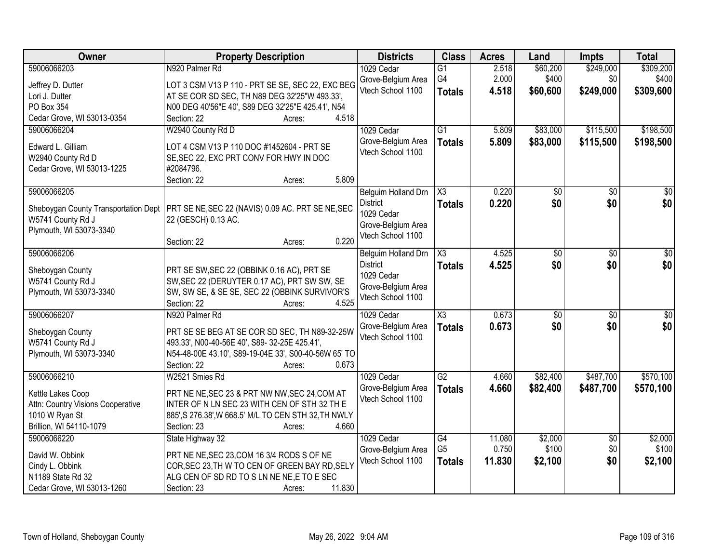| Owner                                                                                                              | <b>Property Description</b>                                                                                                                                                                                     | <b>Districts</b>                                                                                | <b>Class</b>                            | <b>Acres</b>              | Land                          | <b>Impts</b>                  | <b>Total</b>                    |
|--------------------------------------------------------------------------------------------------------------------|-----------------------------------------------------------------------------------------------------------------------------------------------------------------------------------------------------------------|-------------------------------------------------------------------------------------------------|-----------------------------------------|---------------------------|-------------------------------|-------------------------------|---------------------------------|
| 59006066203<br>Jeffrey D. Dutter<br>Lori J. Dutter                                                                 | N920 Palmer Rd<br>LOT 3 CSM V13 P 110 - PRT SE SE, SEC 22, EXC BEG<br>AT SE COR SD SEC, TH N89 DEG 32'25"W 493.33',                                                                                             | 1029 Cedar<br>Grove-Belgium Area<br>Vtech School 1100                                           | $\overline{G1}$<br>G4<br><b>Totals</b>  | 2.518<br>2.000<br>4.518   | \$60,200<br>\$400<br>\$60,600 | \$249,000<br>\$0<br>\$249,000 | \$309,200<br>\$400<br>\$309,600 |
| PO Box 354<br>Cedar Grove, WI 53013-0354                                                                           | N00 DEG 40'56"E 40', S89 DEG 32'25"E 425.41', N54<br>4.518<br>Section: 22<br>Acres:                                                                                                                             |                                                                                                 |                                         |                           |                               |                               |                                 |
| 59006066204<br>Edward L. Gilliam<br>W2940 County Rd D<br>Cedar Grove, WI 53013-1225                                | W2940 County Rd D<br>LOT 4 CSM V13 P 110 DOC #1452604 - PRT SE<br>SE, SEC 22, EXC PRT CONV FOR HWY IN DOC<br>#2084796.<br>5.809<br>Section: 22<br>Acres:                                                        | 1029 Cedar<br>Grove-Belgium Area<br>Vtech School 1100                                           | $\overline{G1}$<br><b>Totals</b>        | 5.809<br>5.809            | \$83,000<br>\$83,000          | \$115,500<br>\$115,500        | \$198,500<br>\$198,500          |
| 59006066205<br>Sheboygan County Transportation Dept<br>W5741 County Rd J<br>Plymouth, WI 53073-3340                | PRT SE NE, SEC 22 (NAVIS) 0.09 AC. PRT SE NE, SEC<br>22 (GESCH) 0.13 AC.                                                                                                                                        | Belguim Holland Drn<br><b>District</b><br>1029 Cedar<br>Grove-Belgium Area<br>Vtech School 1100 | $\overline{\chi_3}$<br><b>Totals</b>    | 0.220<br>0.220            | \$0<br>\$0                    | $\overline{50}$<br>\$0        | $\overline{50}$<br>\$0          |
| 59006066206<br>Sheboygan County<br>W5741 County Rd J<br>Plymouth, WI 53073-3340                                    | 0.220<br>Section: 22<br>Acres:<br>PRT SE SW, SEC 22 (OBBINK 0.16 AC), PRT SE<br>SW, SEC 22 (DERUYTER 0.17 AC), PRT SW SW, SE<br>SW, SW SE, & SE SE, SEC 22 (OBBINK SURVIVOR'S<br>4.525<br>Section: 22<br>Acres: | Belguim Holland Drn<br><b>District</b><br>1029 Cedar<br>Grove-Belgium Area<br>Vtech School 1100 | X3<br><b>Totals</b>                     | 4.525<br>4.525            | \$0<br>\$0                    | \$0<br>\$0                    | \$0<br>\$0                      |
| 59006066207<br>Sheboygan County<br>W5741 County Rd J<br>Plymouth, WI 53073-3340                                    | N920 Palmer Rd<br>PRT SE SE BEG AT SE COR SD SEC, TH N89-32-25W<br>493.33', N00-40-56E 40', S89- 32-25E 425.41',<br>N54-48-00E 43.10', S89-19-04E 33', S00-40-56W 65' TO<br>Section: 22<br>0.673<br>Acres:      | 1029 Cedar<br>Grove-Belgium Area<br>Vtech School 1100                                           | $\overline{\text{X3}}$<br><b>Totals</b> | 0.673<br>0.673            | $\overline{50}$<br>\$0        | $\overline{50}$<br>\$0        | $\overline{\$0}$<br>\$0         |
| 59006066210<br>Kettle Lakes Coop<br>Attn: Country Visions Cooperative<br>1010 W Ryan St<br>Brillion, WI 54110-1079 | W2521 Smies Rd<br>PRT NE NE, SEC 23 & PRT NW NW, SEC 24, COM AT<br>INTER OF N LN SEC 23 WITH CEN OF STH 32 TH E<br>885', S 276.38', W 668.5' M/L TO CEN STH 32, TH NWLY<br>4.660<br>Section: 23<br>Acres:       | 1029 Cedar<br>Grove-Belgium Area<br>Vtech School 1100                                           | G2<br><b>Totals</b>                     | 4.660<br>4.660            | \$82,400<br>\$82,400          | \$487,700<br>\$487,700        | \$570,100<br>\$570,100          |
| 59006066220<br>David W. Obbink<br>Cindy L. Obbink<br>N1189 State Rd 32<br>Cedar Grove, WI 53013-1260               | State Highway 32<br>PRT NE NE, SEC 23, COM 16 3/4 RODS S OF NE<br>COR, SEC 23, TH W TO CEN OF GREEN BAY RD, SELY<br>ALG CEN OF SD RD TO S LN NE NE, E TO E SEC<br>11.830<br>Section: 23<br>Acres:               | 1029 Cedar<br>Grove-Belgium Area<br>Vtech School 1100                                           | G4<br>G <sub>5</sub><br><b>Totals</b>   | 11.080<br>0.750<br>11.830 | \$2,000<br>\$100<br>\$2,100   | $\overline{30}$<br>\$0<br>\$0 | \$2,000<br>\$100<br>\$2,100     |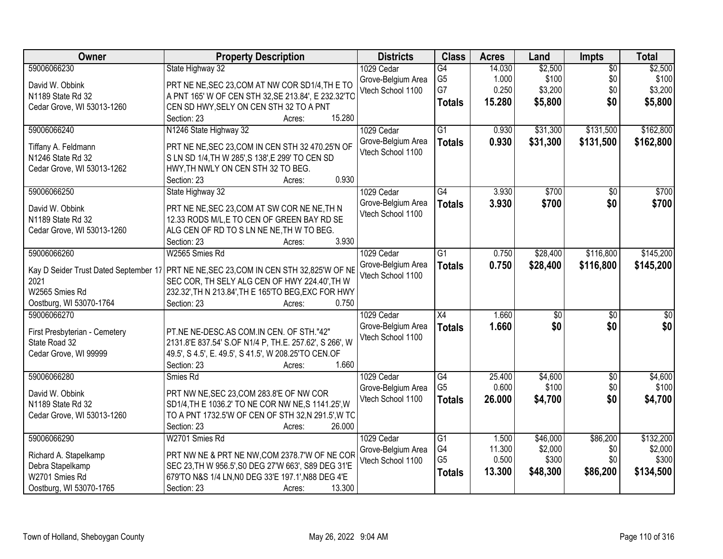| Owner                                          | <b>Property Description</b>                                                                        | <b>Districts</b>   | <b>Class</b>    | <b>Acres</b> | Land            | <b>Impts</b>    | <b>Total</b>     |
|------------------------------------------------|----------------------------------------------------------------------------------------------------|--------------------|-----------------|--------------|-----------------|-----------------|------------------|
| 59006066230                                    | State Highway 32                                                                                   | 1029 Cedar         | $\overline{G4}$ | 14.030       | \$2,500         | $\overline{50}$ | \$2,500          |
| David W. Obbink                                | PRT NE NE, SEC 23, COM AT NW COR SD1/4, THE TO                                                     | Grove-Belgium Area | G <sub>5</sub>  | 1.000        | \$100           | \$0             | \$100            |
| N1189 State Rd 32                              | A PNT 165' W OF CEN STH 32, SE 213.84', E 232.32'TO                                                | Vtech School 1100  | G7              | 0.250        | \$3,200         | \$0             | \$3,200          |
| Cedar Grove, WI 53013-1260                     | CEN SD HWY, SELY ON CEN STH 32 TO A PNT                                                            |                    | <b>Totals</b>   | 15.280       | \$5,800         | \$0             | \$5,800          |
|                                                | 15.280<br>Section: 23<br>Acres:                                                                    |                    |                 |              |                 |                 |                  |
| 59006066240                                    | N1246 State Highway 32                                                                             | 1029 Cedar         | $\overline{G1}$ | 0.930        | \$31,300        | \$131,500       | \$162,800        |
|                                                |                                                                                                    | Grove-Belgium Area | <b>Totals</b>   | 0.930        | \$31,300        | \$131,500       | \$162,800        |
| Tiffany A. Feldmann                            | PRT NE NE, SEC 23, COM IN CEN STH 32 470.25'N OF                                                   | Vtech School 1100  |                 |              |                 |                 |                  |
| N1246 State Rd 32                              | S LN SD 1/4, TH W 285', S 138', E 299' TO CEN SD                                                   |                    |                 |              |                 |                 |                  |
| Cedar Grove, WI 53013-1262                     | HWY, TH NWLY ON CEN STH 32 TO BEG.<br>0.930<br>Section: 23                                         |                    |                 |              |                 |                 |                  |
| 59006066250                                    | Acres:<br>State Highway 32                                                                         | 1029 Cedar         | G4              | 3.930        | \$700           | $\overline{50}$ | \$700            |
|                                                |                                                                                                    | Grove-Belgium Area |                 | 3.930        | \$700           | \$0             | \$700            |
| David W. Obbink                                | PRT NE NE, SEC 23, COM AT SW COR NE NE, TH N                                                       | Vtech School 1100  | <b>Totals</b>   |              |                 |                 |                  |
| N1189 State Rd 32                              | 12.33 RODS M/L, E TO CEN OF GREEN BAY RD SE                                                        |                    |                 |              |                 |                 |                  |
| Cedar Grove, WI 53013-1260                     | ALG CEN OF RD TO S LN NE NE, TH W TO BEG.                                                          |                    |                 |              |                 |                 |                  |
|                                                | 3.930<br>Section: 23<br>Acres:                                                                     |                    |                 |              |                 |                 |                  |
| 59006066260                                    | W2565 Smies Rd                                                                                     | 1029 Cedar         | $\overline{G1}$ | 0.750        | \$28,400        | \$116,800       | \$145,200        |
|                                                | Kay D Seider Trust Dated September 17 PRT NE NE, SEC 23, COM IN CEN STH 32, 825'W OF NE            | Grove-Belgium Area | <b>Totals</b>   | 0.750        | \$28,400        | \$116,800       | \$145,200        |
| 2021                                           | SEC COR, TH SELY ALG CEN OF HWY 224.40', TH W                                                      | Vtech School 1100  |                 |              |                 |                 |                  |
| W2565 Smies Rd                                 | 232.32', TH N 213.84', TH E 165'TO BEG, EXC FOR HWY                                                |                    |                 |              |                 |                 |                  |
| Oostburg, WI 53070-1764                        | 0.750<br>Section: 23<br>Acres:                                                                     |                    |                 |              |                 |                 |                  |
| 59006066270                                    |                                                                                                    | 1029 Cedar         | $\overline{X4}$ | 1.660        | $\overline{30}$ | $\overline{50}$ | $\overline{\$0}$ |
|                                                |                                                                                                    | Grove-Belgium Area | <b>Totals</b>   | 1.660        | \$0             | \$0             | \$0              |
| First Presbyterian - Cemetery<br>State Road 32 | PT.NE NE-DESC.AS COM.IN CEN. OF STH."42"<br>2131.8'E 837.54' S.OF N1/4 P, TH.E. 257.62', S 266', W | Vtech School 1100  |                 |              |                 |                 |                  |
| Cedar Grove, WI 99999                          | 49.5', S 4.5', E. 49.5', S 41.5', W 208.25'TO CEN.OF                                               |                    |                 |              |                 |                 |                  |
|                                                | 1.660<br>Section: 23<br>Acres:                                                                     |                    |                 |              |                 |                 |                  |
| 59006066280                                    | Smies Rd                                                                                           | 1029 Cedar         | G4              | 25.400       | \$4,600         | $\overline{60}$ | \$4,600          |
|                                                |                                                                                                    | Grove-Belgium Area | G <sub>5</sub>  | 0.600        | \$100           | \$0             | \$100            |
| David W. Obbink                                | PRT NW NE, SEC 23, COM 283.8'E OF NW COR                                                           | Vtech School 1100  | <b>Totals</b>   | 26.000       | \$4,700         | \$0             | \$4,700          |
| N1189 State Rd 32                              | SD1/4, TH E 1036.2' TO NE COR NW NE, S 1141.25', W                                                 |                    |                 |              |                 |                 |                  |
| Cedar Grove, WI 53013-1260                     | TO A PNT 1732.5'W OF CEN OF STH 32,N 291.5', W TC                                                  |                    |                 |              |                 |                 |                  |
|                                                | 26.000<br>Section: 23<br>Acres:                                                                    |                    |                 |              |                 |                 |                  |
| 59006066290                                    | W2701 Smies Rd                                                                                     | 1029 Cedar         | $\overline{G1}$ | 1.500        | \$46,000        | \$86,200        | \$132,200        |
| Richard A. Stapelkamp                          | PRT NW NE & PRT NE NW, COM 2378.7'W OF NE COR                                                      | Grove-Belgium Area | G4              | 11.300       | \$2,000         | \$0             | \$2,000          |
| Debra Stapelkamp                               | SEC 23, TH W 956.5', S0 DEG 27'W 663', S89 DEG 31'E                                                | Vtech School 1100  | G <sub>5</sub>  | 0.500        | \$300           | \$0             | \$300            |
| W2701 Smies Rd                                 | 679'TO N&S 1/4 LN, N0 DEG 33'E 197.1', N88 DEG 4'E                                                 |                    | <b>Totals</b>   | 13.300       | \$48,300        | \$86,200        | \$134,500        |
| Oostburg, WI 53070-1765                        | 13.300<br>Section: 23<br>Acres:                                                                    |                    |                 |              |                 |                 |                  |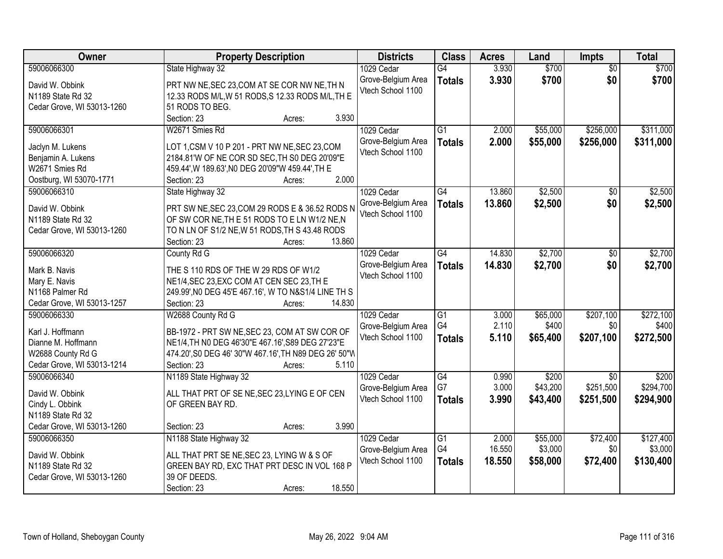| Owner                                     | <b>Property Description</b>                                                                    | <b>Districts</b>                        | <b>Class</b>    | <b>Acres</b> | Land     | <b>Impts</b>    | <b>Total</b> |
|-------------------------------------------|------------------------------------------------------------------------------------------------|-----------------------------------------|-----------------|--------------|----------|-----------------|--------------|
| 59006066300                               | State Highway 32                                                                               | 1029 Cedar                              | G4              | 3.930        | \$700    | $\overline{50}$ | \$700        |
| David W. Obbink                           | PRT NW NE, SEC 23, COM AT SE COR NW NE, TH N                                                   | Grove-Belgium Area                      | <b>Totals</b>   | 3.930        | \$700    | \$0             | \$700        |
| N1189 State Rd 32                         | 12.33 RODS M/L, W 51 RODS, S 12.33 RODS M/L, TH E                                              | Vtech School 1100                       |                 |              |          |                 |              |
| Cedar Grove, WI 53013-1260                | 51 RODS TO BEG.                                                                                |                                         |                 |              |          |                 |              |
|                                           | 3.930<br>Section: 23<br>Acres:                                                                 |                                         |                 |              |          |                 |              |
| 59006066301                               | W2671 Smies Rd                                                                                 | 1029 Cedar                              | $\overline{G1}$ | 2.000        | \$55,000 | \$256,000       | \$311,000    |
|                                           |                                                                                                | Grove-Belgium Area                      | <b>Totals</b>   | 2.000        | \$55,000 | \$256,000       | \$311,000    |
| Jaclyn M. Lukens                          | LOT 1,CSM V 10 P 201 - PRT NW NE, SEC 23, COM<br>2184.81'W OF NE COR SD SEC, TH S0 DEG 20'09"E | Vtech School 1100                       |                 |              |          |                 |              |
| Benjamin A. Lukens<br>W2671 Smies Rd      | 459.44', W 189.63', NO DEG 20'09"W 459.44', TH E                                               |                                         |                 |              |          |                 |              |
| Oostburg, WI 53070-1771                   | 2.000<br>Section: 23<br>Acres:                                                                 |                                         |                 |              |          |                 |              |
| 59006066310                               | State Highway 32                                                                               | 1029 Cedar                              | G4              | 13.860       | \$2,500  | \$0             | \$2,500      |
|                                           |                                                                                                | Grove-Belgium Area                      | <b>Totals</b>   | 13.860       | \$2,500  | \$0             | \$2,500      |
| David W. Obbink                           | PRT SW NE, SEC 23, COM 29 RODS E & 36.52 RODS N                                                | Vtech School 1100                       |                 |              |          |                 |              |
| N1189 State Rd 32                         | OF SW COR NE, THE 51 RODS TO ELN W1/2 NE, N                                                    |                                         |                 |              |          |                 |              |
| Cedar Grove, WI 53013-1260                | TO N LN OF S1/2 NE, W 51 RODS, TH S 43.48 RODS                                                 |                                         |                 |              |          |                 |              |
|                                           | 13.860<br>Section: 23<br>Acres:                                                                |                                         |                 |              |          |                 |              |
| 59006066320                               | County Rd G                                                                                    | 1029 Cedar                              | G4              | 14.830       | \$2,700  | $\sqrt[6]{3}$   | \$2,700      |
| Mark B. Navis                             | THE S 110 RDS OF THE W 29 RDS OF W1/2                                                          | Grove-Belgium Area                      | <b>Totals</b>   | 14.830       | \$2,700  | \$0             | \$2,700      |
| Mary E. Navis                             | NE1/4, SEC 23, EXC COM AT CEN SEC 23, TH E                                                     | Vtech School 1100                       |                 |              |          |                 |              |
| N1168 Palmer Rd                           | 249.99', NO DEG 45'E 467.16', W TO N&S1/4 LINE TH S                                            |                                         |                 |              |          |                 |              |
| Cedar Grove, WI 53013-1257                | Section: 23<br>14.830<br>Acres:                                                                |                                         |                 |              |          |                 |              |
| 59006066330                               | W2688 County Rd G                                                                              | 1029 Cedar                              | $\overline{G1}$ | 3.000        | \$65,000 | \$207,100       | \$272,100    |
| Karl J. Hoffmann                          | BB-1972 - PRT SW NE, SEC 23, COM AT SW COR OF                                                  | Grove-Belgium Area                      | G4              | 2.110        | \$400    | \$0             | \$400        |
| Dianne M. Hoffmann                        | NE1/4, TH NO DEG 46'30"E 467.16', S89 DEG 27'23"E                                              | Vtech School 1100                       | <b>Totals</b>   | 5.110        | \$65,400 | \$207,100       | \$272,500    |
| W2688 County Rd G                         | 474.20', S0 DEG 46' 30"W 467.16', TH N89 DEG 26' 50"W                                          |                                         |                 |              |          |                 |              |
| Cedar Grove, WI 53013-1214                | 5.110<br>Section: 23<br>Acres:                                                                 |                                         |                 |              |          |                 |              |
| 59006066340                               | N1189 State Highway 32                                                                         | 1029 Cedar                              | $\overline{G4}$ | 0.990        | \$200    | \$0             | \$200        |
|                                           |                                                                                                | Grove-Belgium Area                      | G7              | 3.000        | \$43,200 | \$251,500       | \$294,700    |
| David W. Obbink                           | ALL THAT PRT OF SE NE, SEC 23, LYING E OF CEN                                                  | Vtech School 1100                       | <b>Totals</b>   | 3.990        | \$43,400 | \$251,500       | \$294,900    |
| Cindy L. Obbink                           | OF GREEN BAY RD.                                                                               |                                         |                 |              |          |                 |              |
| N1189 State Rd 32                         | 3.990                                                                                          |                                         |                 |              |          |                 |              |
| Cedar Grove, WI 53013-1260<br>59006066350 | Section: 23<br>Acres:<br>N1188 State Highway 32                                                | 1029 Cedar                              | $\overline{G1}$ | 2.000        | \$55,000 | \$72,400        | \$127,400    |
|                                           |                                                                                                |                                         | G4              | 16.550       | \$3,000  | \$0             | \$3,000      |
| David W. Obbink                           | ALL THAT PRT SE NE, SEC 23, LYING W & S OF                                                     | Grove-Belgium Area<br>Vtech School 1100 |                 |              |          |                 |              |
| N1189 State Rd 32                         | GREEN BAY RD, EXC THAT PRT DESC IN VOL 168 P                                                   |                                         | <b>Totals</b>   | 18.550       | \$58,000 | \$72,400        | \$130,400    |
| Cedar Grove, WI 53013-1260                | 39 OF DEEDS.                                                                                   |                                         |                 |              |          |                 |              |
|                                           | 18.550<br>Section: 23<br>Acres:                                                                |                                         |                 |              |          |                 |              |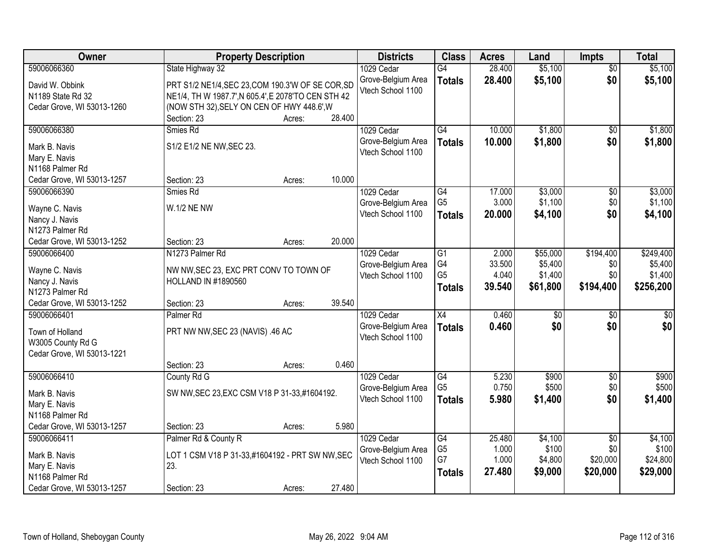| Owner                                           | <b>Property Description</b>                                          |        |        | <b>Districts</b>   | <b>Class</b>    | <b>Acres</b> | Land            | <b>Impts</b>    | <b>Total</b> |
|-------------------------------------------------|----------------------------------------------------------------------|--------|--------|--------------------|-----------------|--------------|-----------------|-----------------|--------------|
| 59006066360                                     | State Highway 32                                                     |        |        | 1029 Cedar         | $\overline{G4}$ | 28.400       | \$5,100         | $\overline{50}$ | \$5,100      |
| David W. Obbink                                 | PRT S1/2 NE1/4, SEC 23, COM 190.3'W OF SE COR, SD                    |        |        | Grove-Belgium Area | <b>Totals</b>   | 28.400       | \$5,100         | \$0             | \$5,100      |
| N1189 State Rd 32                               | NE1/4, TH W 1987.7', N 605.4', E 2078'TO CEN STH 42                  |        |        | Vtech School 1100  |                 |              |                 |                 |              |
| Cedar Grove, WI 53013-1260                      | (NOW STH 32), SELY ON CEN OF HWY 448.6', W                           |        |        |                    |                 |              |                 |                 |              |
|                                                 | Section: 23                                                          | Acres: | 28.400 |                    |                 |              |                 |                 |              |
| 59006066380                                     | Smies Rd                                                             |        |        | 1029 Cedar         | G4              | 10.000       | \$1,800         | $\overline{50}$ | \$1,800      |
| Mark B. Navis                                   | S1/2 E1/2 NE NW, SEC 23.                                             |        |        | Grove-Belgium Area | <b>Totals</b>   | 10.000       | \$1,800         | \$0             | \$1,800      |
| Mary E. Navis                                   |                                                                      |        |        | Vtech School 1100  |                 |              |                 |                 |              |
| N1168 Palmer Rd                                 |                                                                      |        |        |                    |                 |              |                 |                 |              |
| Cedar Grove, WI 53013-1257                      | Section: 23                                                          | Acres: | 10.000 |                    |                 |              |                 |                 |              |
| 59006066390                                     | Smies Rd                                                             |        |        | 1029 Cedar         | $\overline{G4}$ | 17.000       | \$3,000         | $\overline{50}$ | \$3,000      |
| Wayne C. Navis                                  | <b>W.1/2 NE NW</b>                                                   |        |        | Grove-Belgium Area | G <sub>5</sub>  | 3.000        | \$1,100         | \$0             | \$1,100      |
| Nancy J. Navis                                  |                                                                      |        |        | Vtech School 1100  | <b>Totals</b>   | 20,000       | \$4,100         | \$0             | \$4,100      |
| N1273 Palmer Rd                                 |                                                                      |        |        |                    |                 |              |                 |                 |              |
| Cedar Grove, WI 53013-1252                      | Section: 23                                                          | Acres: | 20.000 |                    |                 |              |                 |                 |              |
| 59006066400                                     | N1273 Palmer Rd                                                      |        |        | 1029 Cedar         | G1              | 2.000        | \$55,000        | \$194,400       | \$249,400    |
|                                                 |                                                                      |        |        | Grove-Belgium Area | G4              | 33.500       | \$5,400         | \$0             | \$5,400      |
| Wayne C. Navis<br>Nancy J. Navis                | NW NW, SEC 23, EXC PRT CONV TO TOWN OF<br><b>HOLLAND IN #1890560</b> |        |        | Vtech School 1100  | G <sub>5</sub>  | 4.040        | \$1,400         | \$0             | \$1,400      |
| N1273 Palmer Rd                                 |                                                                      |        |        |                    | <b>Totals</b>   | 39.540       | \$61,800        | \$194,400       | \$256,200    |
| Cedar Grove, WI 53013-1252                      | Section: 23                                                          | Acres: | 39.540 |                    |                 |              |                 |                 |              |
| 59006066401                                     | Palmer <sub>Rd</sub>                                                 |        |        | 1029 Cedar         | $\overline{X4}$ | 0.460        | $\overline{30}$ | $\overline{50}$ | $\sqrt{50}$  |
|                                                 |                                                                      |        |        | Grove-Belgium Area | <b>Totals</b>   | 0.460        | \$0             | \$0             | \$0          |
| Town of Holland                                 | PRT NW NW, SEC 23 (NAVIS) .46 AC                                     |        |        | Vtech School 1100  |                 |              |                 |                 |              |
| W3005 County Rd G<br>Cedar Grove, WI 53013-1221 |                                                                      |        |        |                    |                 |              |                 |                 |              |
|                                                 | Section: 23                                                          | Acres: | 0.460  |                    |                 |              |                 |                 |              |
| 59006066410                                     | County Rd G                                                          |        |        | 1029 Cedar         | G4              | 5.230        | \$900           | $\sqrt{6}$      | \$900        |
|                                                 |                                                                      |        |        | Grove-Belgium Area | G <sub>5</sub>  | 0.750        | \$500           | \$0             | \$500        |
| Mark B. Navis                                   | SW NW, SEC 23, EXC CSM V18 P 31-33, #1604192.                        |        |        | Vtech School 1100  | <b>Totals</b>   | 5.980        | \$1,400         | \$0             | \$1,400      |
| Mary E. Navis                                   |                                                                      |        |        |                    |                 |              |                 |                 |              |
| N1168 Palmer Rd<br>Cedar Grove, WI 53013-1257   | Section: 23                                                          |        | 5.980  |                    |                 |              |                 |                 |              |
| 59006066411                                     | Palmer Rd & County R                                                 | Acres: |        | 1029 Cedar         | G4              | 25.480       | \$4,100         | $\overline{50}$ | \$4,100      |
|                                                 |                                                                      |        |        | Grove-Belgium Area | G <sub>5</sub>  | 1.000        | \$100           | \$0             | \$100        |
| Mark B. Navis                                   | LOT 1 CSM V18 P 31-33,#1604192 - PRT SW NW, SEC                      |        |        | Vtech School 1100  | G7              | 1.000        | \$4,800         | \$20,000        | \$24,800     |
| Mary E. Navis                                   | 23.                                                                  |        |        |                    | <b>Totals</b>   | 27.480       | \$9,000         | \$20,000        | \$29,000     |
| N1168 Palmer Rd                                 |                                                                      |        |        |                    |                 |              |                 |                 |              |
| Cedar Grove, WI 53013-1257                      | Section: 23                                                          | Acres: | 27.480 |                    |                 |              |                 |                 |              |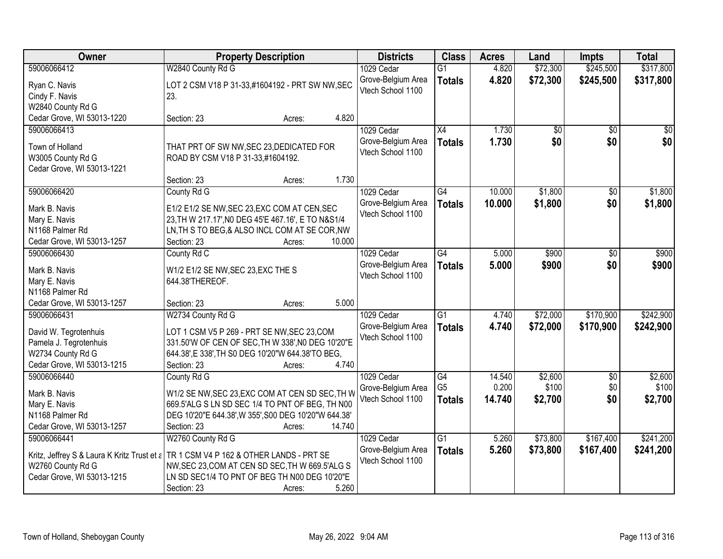| <b>Owner</b>                                                                                                      | <b>Property Description</b>                                                                                                                                                                                                                       | <b>Districts</b>                                      | <b>Class</b>                          | <b>Acres</b>              | Land                        | <b>Impts</b>                  | <b>Total</b>                |
|-------------------------------------------------------------------------------------------------------------------|---------------------------------------------------------------------------------------------------------------------------------------------------------------------------------------------------------------------------------------------------|-------------------------------------------------------|---------------------------------------|---------------------------|-----------------------------|-------------------------------|-----------------------------|
| 59006066412                                                                                                       | W2840 County Rd G                                                                                                                                                                                                                                 | 1029 Cedar                                            | $\overline{G1}$                       | 4.820                     | \$72,300                    | \$245,500                     | \$317,800                   |
| Ryan C. Navis<br>Cindy F. Navis<br>W2840 County Rd G                                                              | LOT 2 CSM V18 P 31-33,#1604192 - PRT SW NW, SEC<br>23.                                                                                                                                                                                            | Grove-Belgium Area<br>Vtech School 1100               | <b>Totals</b>                         | 4.820                     | \$72,300                    | \$245,500                     | \$317,800                   |
| Cedar Grove, WI 53013-1220                                                                                        | 4.820<br>Section: 23<br>Acres:                                                                                                                                                                                                                    |                                                       |                                       |                           |                             |                               |                             |
| 59006066413<br>Town of Holland<br>W3005 County Rd G<br>Cedar Grove, WI 53013-1221                                 | THAT PRT OF SW NW, SEC 23, DEDICATED FOR<br>ROAD BY CSM V18 P 31-33,#1604192.                                                                                                                                                                     | 1029 Cedar<br>Grove-Belgium Area<br>Vtech School 1100 | $\overline{X4}$<br><b>Totals</b>      | 1.730<br>1.730            | \$0<br>\$0                  | $\overline{50}$<br>\$0        | \$0<br>\$0                  |
|                                                                                                                   | 1.730<br>Section: 23<br>Acres:                                                                                                                                                                                                                    |                                                       |                                       |                           |                             |                               |                             |
| 59006066420<br>Mark B. Navis                                                                                      | County Rd G<br>E1/2 E1/2 SE NW, SEC 23, EXC COM AT CEN, SEC                                                                                                                                                                                       | 1029 Cedar<br>Grove-Belgium Area<br>Vtech School 1100 | G4<br><b>Totals</b>                   | 10.000<br>10.000          | \$1,800<br>\$1,800          | $\sqrt[6]{}$<br>\$0           | \$1,800<br>\$1,800          |
| Mary E. Navis<br>N1168 Palmer Rd<br>Cedar Grove, WI 53013-1257                                                    | 23, TH W 217.17', NO DEG 45'E 467.16', E TO N&S1/4<br>LN, TH S TO BEG, & ALSO INCL COM AT SE COR, NW<br>10.000<br>Section: 23<br>Acres:                                                                                                           |                                                       |                                       |                           |                             |                               |                             |
| 59006066430                                                                                                       | County Rd C                                                                                                                                                                                                                                       | 1029 Cedar                                            | G4                                    | 5.000                     | \$900                       | \$0                           | \$900                       |
| Mark B. Navis<br>Mary E. Navis<br>N1168 Palmer Rd                                                                 | W1/2 E1/2 SE NW, SEC 23, EXC THE S<br>644.38'THEREOF.                                                                                                                                                                                             | Grove-Belgium Area<br>Vtech School 1100               | <b>Totals</b>                         | 5.000                     | \$900                       | \$0                           | \$900                       |
| Cedar Grove, WI 53013-1257                                                                                        | 5.000<br>Section: 23<br>Acres:                                                                                                                                                                                                                    |                                                       |                                       |                           |                             |                               |                             |
| 59006066431<br>David W. Tegrotenhuis<br>Pamela J. Tegrotenhuis<br>W2734 County Rd G<br>Cedar Grove, WI 53013-1215 | W2734 County Rd G<br>LOT 1 CSM V5 P 269 - PRT SE NW, SEC 23, COM<br>331.50'W OF CEN OF SEC, TH W 338', NO DEG 10'20"E<br>644.38', E 338', TH S0 DEG 10'20"W 644.38'TO BEG,<br>4.740<br>Section: 23<br>Acres:                                      | 1029 Cedar<br>Grove-Belgium Area<br>Vtech School 1100 | $\overline{G1}$<br><b>Totals</b>      | 4.740<br>4.740            | \$72,000<br>\$72,000        | \$170,900<br>\$170,900        | \$242,900<br>\$242,900      |
| 59006066440<br>Mark B. Navis<br>Mary E. Navis<br>N1168 Palmer Rd<br>Cedar Grove, WI 53013-1257                    | County Rd G<br>W1/2 SE NW, SEC 23, EXC COM AT CEN SD SEC, TH W<br>669.5'ALG S LN SD SEC 1/4 TO PNT OF BEG, TH N00<br>DEG 10'20"E 644.38', W 355', S00 DEG 10'20"W 644.38'<br>14.740<br>Section: 23<br>Acres:                                      | 1029 Cedar<br>Grove-Belgium Area<br>Vtech School 1100 | G4<br>G <sub>5</sub><br><b>Totals</b> | 14.540<br>0.200<br>14.740 | \$2,600<br>\$100<br>\$2,700 | $\overline{50}$<br>\$0<br>\$0 | \$2,600<br>\$100<br>\$2,700 |
| 59006066441<br>W2760 County Rd G<br>Cedar Grove, WI 53013-1215                                                    | W2760 County Rd G<br>Kritz, Jeffrey S & Laura K Kritz Trust et a   TR 1 CSM V4 P 162 & OTHER LANDS - PRT SE<br>NW, SEC 23, COM AT CEN SD SEC, TH W 669.5'ALG S<br>LN SD SEC1/4 TO PNT OF BEG TH N00 DEG 10'20"E<br>5.260<br>Section: 23<br>Acres: | 1029 Cedar<br>Grove-Belgium Area<br>Vtech School 1100 | $\overline{G1}$<br><b>Totals</b>      | 5.260<br>5.260            | \$73,800<br>\$73,800        | \$167,400<br>\$167,400        | \$241,200<br>\$241,200      |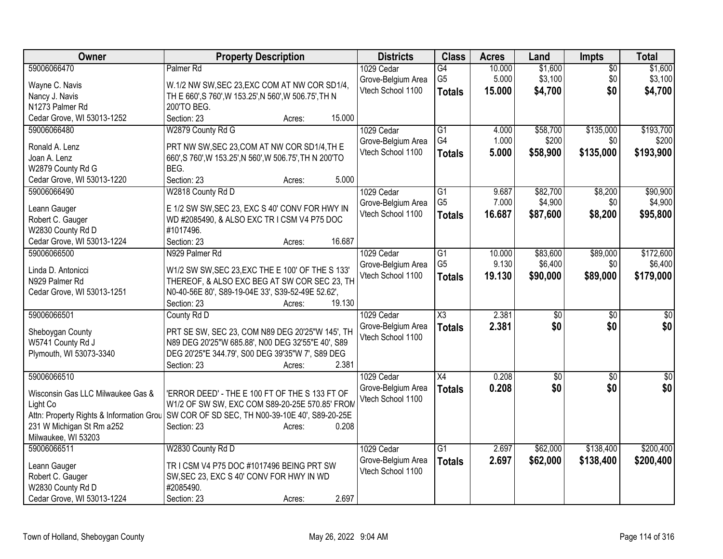| Owner                                    | <b>Property Description</b>                                                                             | <b>Districts</b>   | <b>Class</b>           | <b>Acres</b> | Land            | <b>Impts</b>    | <b>Total</b>     |
|------------------------------------------|---------------------------------------------------------------------------------------------------------|--------------------|------------------------|--------------|-----------------|-----------------|------------------|
| 59006066470                              | Palmer <sub>Rd</sub>                                                                                    | 1029 Cedar         | $\overline{G4}$        | 10.000       | \$1,600         | $\overline{50}$ | \$1,600          |
| Wayne C. Navis                           | W.1/2 NW SW, SEC 23, EXC COM AT NW COR SD1/4,                                                           | Grove-Belgium Area | G <sub>5</sub>         | 5.000        | \$3,100         | \$0             | \$3,100          |
| Nancy J. Navis                           | TH E 660', S 760', W 153.25', N 560', W 506.75', TH N                                                   | Vtech School 1100  | <b>Totals</b>          | 15,000       | \$4,700         | \$0             | \$4,700          |
| N1273 Palmer Rd                          | 200'TO BEG.                                                                                             |                    |                        |              |                 |                 |                  |
| Cedar Grove, WI 53013-1252               | Section: 23<br>Acres:                                                                                   | 15.000             |                        |              |                 |                 |                  |
| 59006066480                              | W2879 County Rd G                                                                                       | 1029 Cedar         | G1                     | 4.000        | \$58,700        | \$135,000       | \$193,700        |
|                                          |                                                                                                         | Grove-Belgium Area | G4                     | 1.000        | \$200           | \$0             | \$200            |
| Ronald A. Lenz<br>Joan A. Lenz           | PRT NW SW, SEC 23, COM AT NW COR SD1/4, TH E<br>660', S 760', W 153.25', N 560', W 506.75', TH N 200'TO | Vtech School 1100  | <b>Totals</b>          | 5.000        | \$58,900        | \$135,000       | \$193,900        |
| W2879 County Rd G                        | BEG.                                                                                                    |                    |                        |              |                 |                 |                  |
| Cedar Grove, WI 53013-1220               | Section: 23<br>Acres:                                                                                   | 5.000              |                        |              |                 |                 |                  |
| 59006066490                              | W2818 County Rd D                                                                                       | 1029 Cedar         | G1                     | 9.687        | \$82,700        | \$8,200         | \$90,900         |
|                                          |                                                                                                         | Grove-Belgium Area | G <sub>5</sub>         | 7.000        | \$4,900         | \$0             | \$4,900          |
| Leann Gauger                             | E 1/2 SW SW, SEC 23, EXC S 40' CONV FOR HWY IN                                                          | Vtech School 1100  | <b>Totals</b>          | 16.687       | \$87,600        | \$8,200         | \$95,800         |
| Robert C. Gauger                         | WD #2085490, & ALSO EXC TR I CSM V4 P75 DOC                                                             |                    |                        |              |                 |                 |                  |
| W2830 County Rd D                        | #1017496.                                                                                               |                    |                        |              |                 |                 |                  |
| Cedar Grove, WI 53013-1224               | Section: 23<br>Acres:                                                                                   | 16.687             |                        |              |                 |                 |                  |
| 59006066500                              | N929 Palmer Rd                                                                                          | 1029 Cedar         | $\overline{G1}$        | 10.000       | \$83,600        | \$89,000        | \$172,600        |
| Linda D. Antonicci                       | W1/2 SW SW, SEC 23, EXC THE E 100' OF THE S 133'                                                        | Grove-Belgium Area | G <sub>5</sub>         | 9.130        | \$6,400         | \$0             | \$6,400          |
| N929 Palmer Rd                           | THEREOF, & ALSO EXC BEG AT SW COR SEC 23, TH                                                            | Vtech School 1100  | <b>Totals</b>          | 19.130       | \$90,000        | \$89,000        | \$179,000        |
| Cedar Grove, WI 53013-1251               | N0-40-56E 80', S89-19-04E 33', S39-52-49E 52.62',                                                       |                    |                        |              |                 |                 |                  |
|                                          | Section: 23<br>Acres:                                                                                   | 19.130             |                        |              |                 |                 |                  |
| 59006066501                              | County Rd D                                                                                             | 1029 Cedar         | $\overline{\text{X3}}$ | 2.381        | $\overline{30}$ | $\overline{30}$ | $\overline{\$0}$ |
|                                          | PRT SE SW, SEC 23, COM N89 DEG 20'25"W 145', TH                                                         | Grove-Belgium Area | <b>Totals</b>          | 2.381        | \$0             | \$0             | \$0              |
| Sheboygan County<br>W5741 County Rd J    | N89 DEG 20'25"W 685.88', N00 DEG 32'55"E 40', S89                                                       | Vtech School 1100  |                        |              |                 |                 |                  |
| Plymouth, WI 53073-3340                  | DEG 20'25"E 344.79', S00 DEG 39'35"W 7', S89 DEG                                                        |                    |                        |              |                 |                 |                  |
|                                          | Section: 23<br>Acres:                                                                                   | 2.381              |                        |              |                 |                 |                  |
| 59006066510                              |                                                                                                         | 1029 Cedar         | $\overline{X4}$        | 0.208        | $\overline{50}$ | $\overline{50}$ | $\overline{\$0}$ |
|                                          |                                                                                                         | Grove-Belgium Area | <b>Totals</b>          | 0.208        | \$0             | \$0             | \$0              |
| Wisconsin Gas LLC Milwaukee Gas &        | 'ERROR DEED' - THE E 100 FT OF THE S 133 FT OF                                                          | Vtech School 1100  |                        |              |                 |                 |                  |
| Light Co                                 | W1/2 OF SW SW, EXC COM S89-20-25E 570.85' FROM                                                          |                    |                        |              |                 |                 |                  |
| Attn: Property Rights & Information Grou | SW COR OF SD SEC, TH N00-39-10E 40', S89-20-25E                                                         |                    |                        |              |                 |                 |                  |
| 231 W Michigan St Rm a252                | Section: 23<br>Acres:                                                                                   | 0.208              |                        |              |                 |                 |                  |
| Milwaukee, WI 53203                      |                                                                                                         |                    |                        |              |                 |                 |                  |
| 59006066511                              | W2830 County Rd D                                                                                       | 1029 Cedar         | $\overline{G1}$        | 2.697        | \$62,000        | \$138,400       | \$200,400        |
| Leann Gauger                             | TR I CSM V4 P75 DOC #1017496 BEING PRT SW                                                               | Grove-Belgium Area | <b>Totals</b>          | 2.697        | \$62,000        | \$138,400       | \$200,400        |
| Robert C. Gauger                         | SW, SEC 23, EXC S 40' CONV FOR HWY IN WD                                                                | Vtech School 1100  |                        |              |                 |                 |                  |
| W2830 County Rd D                        | #2085490.                                                                                               |                    |                        |              |                 |                 |                  |
| Cedar Grove, WI 53013-1224               | Section: 23<br>Acres:                                                                                   | 2.697              |                        |              |                 |                 |                  |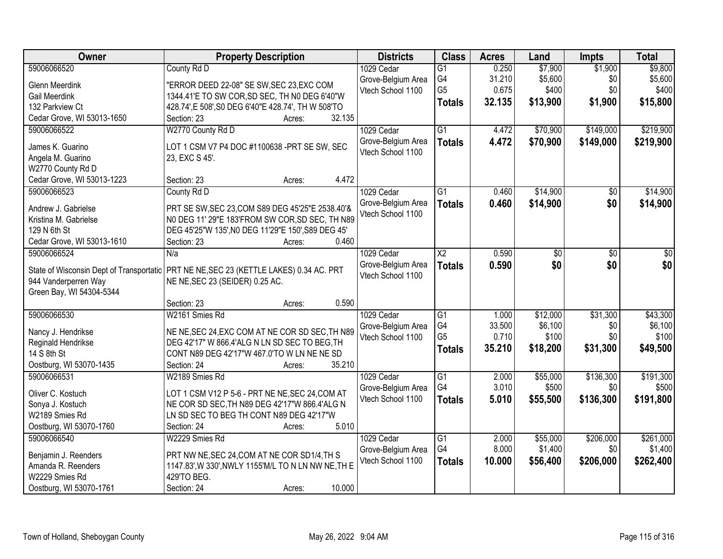| <b>Owner</b>                               | <b>Property Description</b>                                                                          | <b>Districts</b>   | <b>Class</b>    | <b>Acres</b> | Land       | <b>Impts</b>    | <b>Total</b> |
|--------------------------------------------|------------------------------------------------------------------------------------------------------|--------------------|-----------------|--------------|------------|-----------------|--------------|
| 59006066520                                | County Rd D                                                                                          | 1029 Cedar         | $\overline{G1}$ | 0.250        | \$7,900    | \$1,900         | \$9,800      |
| <b>Glenn Meerdink</b>                      | "ERROR DEED 22-08" SE SW, SEC 23, EXC COM                                                            | Grove-Belgium Area | G4              | 31.210       | \$5,600    | \$0             | \$5,600      |
| Gail Meerdink                              | 1344.41'E TO SW COR, SD SEC, TH N0 DEG 6'40"W                                                        | Vtech School 1100  | G <sub>5</sub>  | 0.675        | \$400      | \$0             | \$400        |
| 132 Parkview Ct                            | 428.74', E 508', S0 DEG 6'40"E 428.74', TH W 508'TO                                                  |                    | <b>Totals</b>   | 32.135       | \$13,900   | \$1,900         | \$15,800     |
| Cedar Grove, WI 53013-1650                 | 32.135<br>Section: 23<br>Acres:                                                                      |                    |                 |              |            |                 |              |
| 59006066522                                | W2770 County Rd D                                                                                    | 1029 Cedar         | $\overline{G1}$ | 4.472        | \$70,900   | \$149,000       | \$219,900    |
| James K. Guarino                           | LOT 1 CSM V7 P4 DOC #1100638 -PRT SE SW, SEC                                                         | Grove-Belgium Area | <b>Totals</b>   | 4.472        | \$70,900   | \$149,000       | \$219,900    |
| Angela M. Guarino                          | 23, EXC S 45'.                                                                                       | Vtech School 1100  |                 |              |            |                 |              |
| W2770 County Rd D                          |                                                                                                      |                    |                 |              |            |                 |              |
| Cedar Grove, WI 53013-1223                 | 4.472<br>Section: 23<br>Acres:                                                                       |                    |                 |              |            |                 |              |
| 59006066523                                | County Rd D                                                                                          | 1029 Cedar         | $\overline{G1}$ | 0.460        | \$14,900   | $\overline{50}$ | \$14,900     |
|                                            |                                                                                                      | Grove-Belgium Area | <b>Totals</b>   | 0.460        | \$14,900   | \$0             | \$14,900     |
| Andrew J. Gabrielse                        | PRT SE SW, SEC 23, COM S89 DEG 45'25"E 2538.40'&                                                     | Vtech School 1100  |                 |              |            |                 |              |
| Kristina M. Gabrielse                      | NO DEG 11' 29"E 183'FROM SW COR, SD SEC, TH N89                                                      |                    |                 |              |            |                 |              |
| 129 N 6th St                               | DEG 45'25"W 135', NO DEG 11'29"E 150', S89 DEG 45'<br>0.460                                          |                    |                 |              |            |                 |              |
| Cedar Grove, WI 53013-1610<br>59006066524  | Section: 23<br>Acres:<br>N/a                                                                         | 1029 Cedar         | $\overline{X2}$ | 0.590        |            | \$0             | \$0          |
|                                            |                                                                                                      | Grove-Belgium Area |                 | 0.590        | \$0<br>\$0 | \$0             | \$0          |
| State of Wisconsin Dept of Transportatic   | PRT NE NE, SEC 23 (KETTLE LAKES) 0.34 AC. PRT                                                        | Vtech School 1100  | <b>Totals</b>   |              |            |                 |              |
| 944 Vanderperren Way                       | NE NE, SEC 23 (SEIDER) 0.25 AC.                                                                      |                    |                 |              |            |                 |              |
| Green Bay, WI 54304-5344                   |                                                                                                      |                    |                 |              |            |                 |              |
|                                            | 0.590<br>Section: 23<br>Acres:                                                                       |                    |                 |              |            |                 |              |
| 59006066530                                | W2161 Smies Rd                                                                                       | 1029 Cedar         | $\overline{G1}$ | 1.000        | \$12,000   | \$31,300        | \$43,300     |
| Nancy J. Hendrikse                         | NE NE, SEC 24, EXC COM AT NE COR SD SEC, TH N89                                                      | Grove-Belgium Area | G4              | 33.500       | \$6,100    | \$0             | \$6,100      |
| Reginald Hendrikse                         | DEG 42'17" W 866.4'ALG N LN SD SEC TO BEG, TH                                                        | Vtech School 1100  | G <sub>5</sub>  | 0.710        | \$100      | \$0             | \$100        |
| 14 S 8th St                                | CONT N89 DEG 42'17"W 467.0'TO W LN NE NE SD                                                          |                    | <b>Totals</b>   | 35.210       | \$18,200   | \$31,300        | \$49,500     |
| Oostburg, WI 53070-1435                    | 35.210<br>Section: 24<br>Acres:                                                                      |                    |                 |              |            |                 |              |
| 59006066531                                | W2189 Smies Rd                                                                                       | 1029 Cedar         | G1              | 2.000        | \$55,000   | \$136,300       | \$191,300    |
| Oliver C. Kostuch                          | LOT 1 CSM V12 P 5-6 - PRT NE NE, SEC 24, COM AT                                                      | Grove-Belgium Area | G4              | 3.010        | \$500      | \$0             | \$500        |
| Sonya J. Kostuch                           | NE COR SD SEC, TH N89 DEG 42'17"W 866.4'ALG N                                                        | Vtech School 1100  | <b>Totals</b>   | 5.010        | \$55,500   | \$136,300       | \$191,800    |
| W2189 Smies Rd                             | LN SD SEC TO BEG TH CONT N89 DEG 42'17"W                                                             |                    |                 |              |            |                 |              |
| Oostburg, WI 53070-1760                    | 5.010<br>Section: 24<br>Acres:                                                                       |                    |                 |              |            |                 |              |
| 59006066540                                | W2229 Smies Rd                                                                                       | 1029 Cedar         | $\overline{G1}$ | 2.000        | \$55,000   | \$206,000       | \$261,000    |
|                                            |                                                                                                      | Grove-Belgium Area | G4              | 8.000        | \$1,400    | \$0             | \$1,400      |
| Benjamin J. Reenders<br>Amanda R. Reenders | PRT NW NE, SEC 24, COM AT NE COR SD1/4, TH S<br>1147.83', W 330', NWLY 1155' M/L TO N LN NW NE, TH E | Vtech School 1100  | <b>Totals</b>   | 10.000       | \$56,400   | \$206,000       | \$262,400    |
| W2229 Smies Rd                             | 429'TO BEG.                                                                                          |                    |                 |              |            |                 |              |
| Oostburg, WI 53070-1761                    | 10.000<br>Section: 24<br>Acres:                                                                      |                    |                 |              |            |                 |              |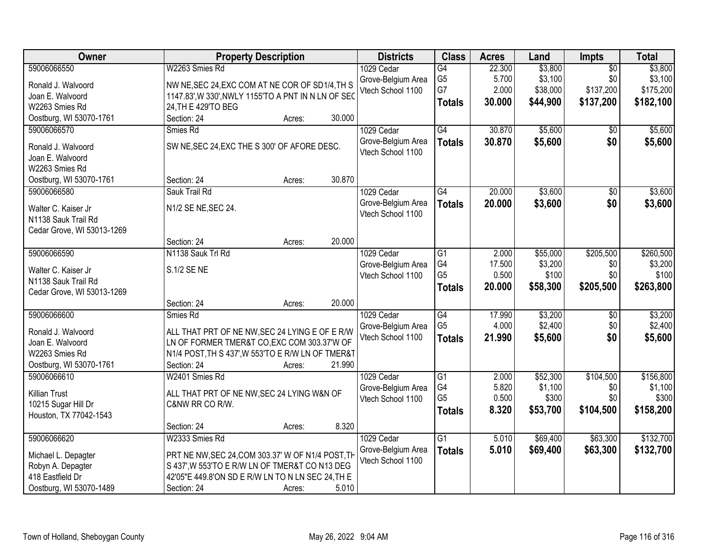| Owner                                    | <b>Property Description</b>                                                                         |        |        | <b>Districts</b>   | <b>Class</b>    | <b>Acres</b> | Land     | Impts           | <b>Total</b> |
|------------------------------------------|-----------------------------------------------------------------------------------------------------|--------|--------|--------------------|-----------------|--------------|----------|-----------------|--------------|
| 59006066550                              | W2263 Smies Rd                                                                                      |        |        | 1029 Cedar         | G4              | 22.300       | \$3,800  | $\overline{50}$ | \$3,800      |
| Ronald J. Walvoord                       | NW NE, SEC 24, EXC COM AT NE COR OF SD1/4, TH S                                                     |        |        | Grove-Belgium Area | G <sub>5</sub>  | 5.700        | \$3,100  | \$0             | \$3,100      |
| Joan E. Walvoord                         | 1147.83', W 330', NWLY 1155'TO A PNT IN N LN OF SEC                                                 |        |        | Vtech School 1100  | G7              | 2.000        | \$38,000 | \$137,200       | \$175,200    |
| W2263 Smies Rd                           | 24, TH E 429'TO BEG                                                                                 |        |        |                    | <b>Totals</b>   | 30.000       | \$44,900 | \$137,200       | \$182,100    |
| Oostburg, WI 53070-1761                  | Section: 24                                                                                         | Acres: | 30.000 |                    |                 |              |          |                 |              |
| 59006066570                              | Smies Rd                                                                                            |        |        | 1029 Cedar         | G4              | 30.870       | \$5,600  | \$0             | \$5,600      |
|                                          |                                                                                                     |        |        | Grove-Belgium Area | <b>Totals</b>   | 30.870       | \$5,600  | \$0             | \$5,600      |
| Ronald J. Walvoord                       | SW NE, SEC 24, EXC THE S 300' OF AFORE DESC.                                                        |        |        | Vtech School 1100  |                 |              |          |                 |              |
| Joan E. Walvoord                         |                                                                                                     |        |        |                    |                 |              |          |                 |              |
| W2263 Smies Rd                           |                                                                                                     |        | 30.870 |                    |                 |              |          |                 |              |
| Oostburg, WI 53070-1761<br>59006066580   | Section: 24<br>Sauk Trail Rd                                                                        | Acres: |        | 1029 Cedar         | $\overline{G4}$ | 20.000       | \$3,600  | $\overline{50}$ | \$3,600      |
|                                          |                                                                                                     |        |        | Grove-Belgium Area |                 |              |          |                 |              |
| Walter C. Kaiser Jr                      | N1/2 SE NE, SEC 24.                                                                                 |        |        | Vtech School 1100  | <b>Totals</b>   | 20.000       | \$3,600  | \$0             | \$3,600      |
| N1138 Sauk Trail Rd                      |                                                                                                     |        |        |                    |                 |              |          |                 |              |
| Cedar Grove, WI 53013-1269               |                                                                                                     |        |        |                    |                 |              |          |                 |              |
|                                          | Section: 24                                                                                         | Acres: | 20.000 |                    |                 |              |          |                 |              |
| 59006066590                              | N1138 Sauk Trl Rd                                                                                   |        |        | 1029 Cedar         | G1              | 2.000        | \$55,000 | \$205,500       | \$260,500    |
| Walter C. Kaiser Jr                      | S.1/2 SE NE                                                                                         |        |        | Grove-Belgium Area | G4              | 17.500       | \$3,200  | \$0             | \$3,200      |
| N1138 Sauk Trail Rd                      |                                                                                                     |        |        | Vtech School 1100  | G <sub>5</sub>  | 0.500        | \$100    | \$0             | \$100        |
| Cedar Grove, WI 53013-1269               |                                                                                                     |        |        |                    | <b>Totals</b>   | 20.000       | \$58,300 | \$205,500       | \$263,800    |
|                                          | Section: 24                                                                                         | Acres: | 20.000 |                    |                 |              |          |                 |              |
| 59006066600                              | Smies Rd                                                                                            |        |        | 1029 Cedar         | $\overline{G4}$ | 17.990       | \$3,200  | \$0             | \$3,200      |
|                                          |                                                                                                     |        |        | Grove-Belgium Area | G <sub>5</sub>  | 4.000        | \$2,400  | \$0             | \$2,400      |
| Ronald J. Walvoord                       | ALL THAT PRT OF NE NW, SEC 24 LYING E OF E R/W                                                      |        |        | Vtech School 1100  | <b>Totals</b>   | 21.990       | \$5,600  | \$0             | \$5,600      |
| Joan E. Walvoord                         | LN OF FORMER TMER&T CO, EXC COM 303.37'W OF                                                         |        |        |                    |                 |              |          |                 |              |
| W2263 Smies Rd                           | N1/4 POST, TH S 437', W 553'TO E R/W LN OF TMER&T                                                   |        |        |                    |                 |              |          |                 |              |
| Oostburg, WI 53070-1761                  | Section: 24                                                                                         | Acres: | 21.990 |                    |                 |              |          |                 |              |
| 59006066610                              | W2401 Smies Rd                                                                                      |        |        | 1029 Cedar         | $\overline{G1}$ | 2.000        | \$52,300 | \$104,500       | \$156,800    |
| <b>Killian Trust</b>                     | ALL THAT PRT OF NE NW, SEC 24 LYING W&N OF                                                          |        |        | Grove-Belgium Area | G4              | 5.820        | \$1,100  | \$0             | \$1,100      |
| 10215 Sugar Hill Dr                      | C&NW RR CO R/W.                                                                                     |        |        | Vtech School 1100  | G <sub>5</sub>  | 0.500        | \$300    | \$0             | \$300        |
| Houston, TX 77042-1543                   |                                                                                                     |        |        |                    | <b>Totals</b>   | 8.320        | \$53,700 | \$104,500       | \$158,200    |
|                                          | Section: 24                                                                                         | Acres: | 8.320  |                    |                 |              |          |                 |              |
| 59006066620                              | W2333 Smies Rd                                                                                      |        |        | 1029 Cedar         | $\overline{G1}$ | 5.010        | \$69,400 | \$63,300        | \$132,700    |
|                                          |                                                                                                     |        |        | Grove-Belgium Area | <b>Totals</b>   | 5.010        | \$69,400 | \$63,300        | \$132,700    |
| Michael L. Depagter<br>Robyn A. Depagter | PRT NE NW, SEC 24, COM 303.37' W OF N1/4 POST, TH<br>S 437', W 553'TO E R/W LN OF TMER&T CO N13 DEG |        |        | Vtech School 1100  |                 |              |          |                 |              |
| 418 Eastfield Dr                         | 42'05"E 449.8'ON SD E R/W LN TO N LN SEC 24, TH E                                                   |        |        |                    |                 |              |          |                 |              |
|                                          |                                                                                                     |        |        |                    |                 |              |          |                 |              |
| Oostburg, WI 53070-1489                  | Section: 24                                                                                         | Acres: | 5.010  |                    |                 |              |          |                 |              |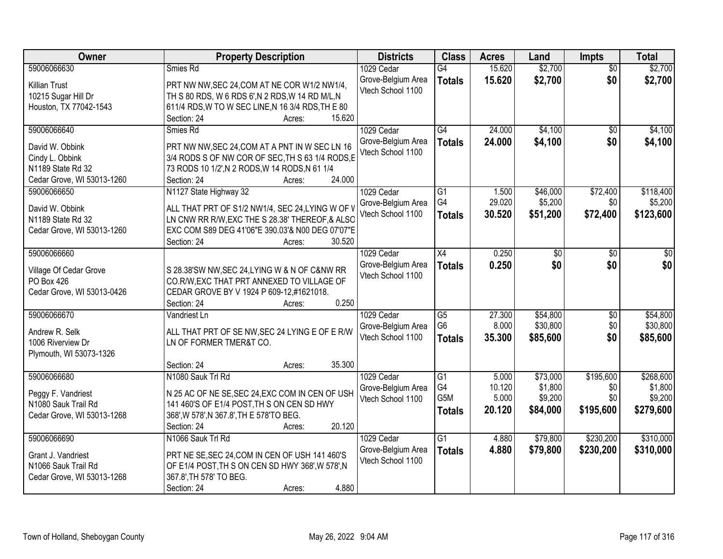| Owner                                | <b>Property Description</b>                                                                 | <b>Districts</b>                        | <b>Class</b>     | <b>Acres</b>    | Land     | <b>Impts</b>    | <b>Total</b> |
|--------------------------------------|---------------------------------------------------------------------------------------------|-----------------------------------------|------------------|-----------------|----------|-----------------|--------------|
| 59006066630                          | Smies Rd                                                                                    | 1029 Cedar                              | $\overline{G4}$  | 15.620          | \$2,700  | $\overline{50}$ | \$2,700      |
| <b>Killian Trust</b>                 | PRT NW NW, SEC 24, COM AT NE COR W1/2 NW1/4,                                                | Grove-Belgium Area                      | <b>Totals</b>    | 15.620          | \$2,700  | \$0             | \$2,700      |
| 10215 Sugar Hill Dr                  | TH S 80 RDS, W 6 RDS 6', N 2 RDS, W 14 RD M/L, N                                            | Vtech School 1100                       |                  |                 |          |                 |              |
| Houston, TX 77042-1543               | 611/4 RDS, W TO W SEC LINE, N 16 3/4 RDS, TH E 80                                           |                                         |                  |                 |          |                 |              |
|                                      | 15.620<br>Section: 24<br>Acres:                                                             |                                         |                  |                 |          |                 |              |
| 59006066640                          | Smies Rd                                                                                    | 1029 Cedar                              | G4               | 24.000          | \$4,100  | $\overline{50}$ | \$4,100      |
|                                      |                                                                                             | Grove-Belgium Area                      | <b>Totals</b>    | 24.000          | \$4,100  | \$0             | \$4,100      |
| David W. Obbink                      | PRT NW NW, SEC 24, COM AT A PNT IN W SEC LN 16                                              | Vtech School 1100                       |                  |                 |          |                 |              |
| Cindy L. Obbink                      | 3/4 RODS S OF NW COR OF SEC, TH S 63 1/4 RODS, E                                            |                                         |                  |                 |          |                 |              |
| N1189 State Rd 32                    | 73 RODS 10 1/2', N 2 RODS, W 14 RODS, N 61 1/4<br>24.000<br>Section: 24                     |                                         |                  |                 |          |                 |              |
| Cedar Grove, WI 53013-1260           | Acres:                                                                                      |                                         | G1               |                 |          | \$72,400        | \$118,400    |
| 59006066650                          | N1127 State Highway 32                                                                      | 1029 Cedar                              | G4               | 1.500<br>29.020 | \$46,000 |                 |              |
| David W. Obbink                      | ALL THAT PRT OF S1/2 NW1/4, SEC 24, LYING W OF V                                            | Grove-Belgium Area<br>Vtech School 1100 |                  |                 | \$5,200  | \$0             | \$5,200      |
| N1189 State Rd 32                    | LN CNW RR R/W, EXC THE S 28.38' THEREOF, & ALSC                                             |                                         | <b>Totals</b>    | 30.520          | \$51,200 | \$72,400        | \$123,600    |
| Cedar Grove, WI 53013-1260           | EXC COM S89 DEG 41'06"E 390.03'& N00 DEG 07'07"E                                            |                                         |                  |                 |          |                 |              |
|                                      | 30.520<br>Section: 24<br>Acres:                                                             |                                         |                  |                 |          |                 |              |
| 59006066660                          |                                                                                             | 1029 Cedar                              | X4               | 0.250           | \$0      | \$0             | \$0          |
|                                      |                                                                                             | Grove-Belgium Area                      | <b>Totals</b>    | 0.250           | \$0      | \$0             | \$0          |
| Village Of Cedar Grove<br>PO Box 426 | S 28.38'SW NW, SEC 24, LYING W & N OF C&NW RR<br>CO.R/W, EXC THAT PRT ANNEXED TO VILLAGE OF | Vtech School 1100                       |                  |                 |          |                 |              |
| Cedar Grove, WI 53013-0426           | CEDAR GROVE BY V 1924 P 609-12,#1621018.                                                    |                                         |                  |                 |          |                 |              |
|                                      | 0.250<br>Section: 24<br>Acres:                                                              |                                         |                  |                 |          |                 |              |
| 59006066670                          | Vandriest Ln                                                                                | 1029 Cedar                              | $\overline{G5}$  | 27.300          | \$54,800 | \$0             | \$54,800     |
|                                      |                                                                                             | Grove-Belgium Area                      | G <sub>6</sub>   | 8.000           | \$30,800 | \$0             | \$30,800     |
| Andrew R. Selk                       | ALL THAT PRT OF SE NW, SEC 24 LYING E OF E R/W                                              | Vtech School 1100                       |                  | 35.300          | \$85,600 | \$0             | \$85,600     |
| 1006 Riverview Dr                    | LN OF FORMER TMER&T CO.                                                                     |                                         | <b>Totals</b>    |                 |          |                 |              |
| Plymouth, WI 53073-1326              |                                                                                             |                                         |                  |                 |          |                 |              |
|                                      | 35.300<br>Section: 24<br>Acres:                                                             |                                         |                  |                 |          |                 |              |
| 59006066680                          | N1080 Sauk Trl Rd                                                                           | 1029 Cedar                              | $\overline{G1}$  | 5.000           | \$73,000 | \$195,600       | \$268,600    |
| Peggy F. Vandriest                   | N 25 AC OF NE SE, SEC 24, EXC COM IN CEN OF USH                                             | Grove-Belgium Area                      | G4               | 10.120          | \$1,800  | \$0             | \$1,800      |
| N1080 Sauk Trail Rd                  | 141 460'S OF E1/4 POST, TH S ON CEN SD HWY                                                  | Vtech School 1100                       | G <sub>5</sub> M | 5.000           | \$9,200  | \$0             | \$9,200      |
| Cedar Grove, WI 53013-1268           | 368', W 578', N 367.8', TH E 578'TO BEG.                                                    |                                         | <b>Totals</b>    | 20.120          | \$84,000 | \$195,600       | \$279,600    |
|                                      | 20.120<br>Section: 24<br>Acres:                                                             |                                         |                  |                 |          |                 |              |
| 59006066690                          | N1066 Sauk Trl Rd                                                                           | 1029 Cedar                              | $\overline{G1}$  | 4.880           | \$79,800 | \$230,200       | \$310,000    |
|                                      |                                                                                             | Grove-Belgium Area                      | <b>Totals</b>    | 4.880           | \$79,800 | \$230,200       | \$310,000    |
| Grant J. Vandriest                   | PRT NE SE, SEC 24, COM IN CEN OF USH 141 460'S                                              | Vtech School 1100                       |                  |                 |          |                 |              |
| N1066 Sauk Trail Rd                  | OF E1/4 POST, TH S ON CEN SD HWY 368', W 578', N                                            |                                         |                  |                 |          |                 |              |
| Cedar Grove, WI 53013-1268           | 367.8', TH 578' TO BEG.                                                                     |                                         |                  |                 |          |                 |              |
|                                      | 4.880<br>Section: 24<br>Acres:                                                              |                                         |                  |                 |          |                 |              |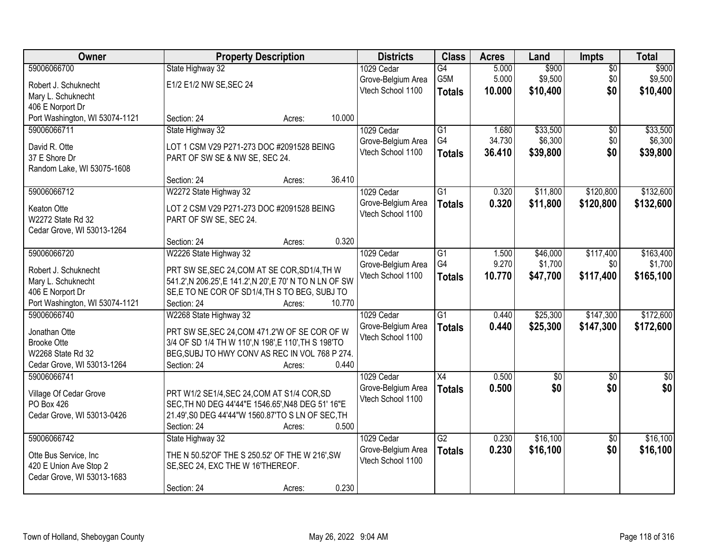| Owner                                         | <b>Property Description</b>                               |        |        | <b>Districts</b>                 | <b>Class</b>    | <b>Acres</b> | Land     | Impts           | <b>Total</b>  |
|-----------------------------------------------|-----------------------------------------------------------|--------|--------|----------------------------------|-----------------|--------------|----------|-----------------|---------------|
| 59006066700                                   | State Highway 32                                          |        |        | 1029 Cedar                       | G4              | 5.000        | \$900    | $\overline{50}$ | \$900         |
| Robert J. Schuknecht                          | E1/2 E1/2 NW SE, SEC 24                                   |        |        | Grove-Belgium Area               | G5M             | 5.000        | \$9,500  | \$0             | \$9,500       |
| Mary L. Schuknecht                            |                                                           |        |        | Vtech School 1100                | <b>Totals</b>   | 10.000       | \$10,400 | \$0             | \$10,400      |
| 406 E Norport Dr                              |                                                           |        |        |                                  |                 |              |          |                 |               |
| Port Washington, WI 53074-1121                | Section: 24                                               | Acres: | 10.000 |                                  |                 |              |          |                 |               |
| 59006066711                                   | State Highway 32                                          |        |        | 1029 Cedar                       | $\overline{G1}$ | 1.680        | \$33,500 | \$0             | \$33,500      |
| David R. Otte                                 | LOT 1 CSM V29 P271-273 DOC #2091528 BEING                 |        |        | Grove-Belgium Area               | G4              | 34.730       | \$6,300  | \$0             | \$6,300       |
| 37 E Shore Dr                                 | PART OF SW SE & NW SE, SEC 24.                            |        |        | Vtech School 1100                | <b>Totals</b>   | 36.410       | \$39,800 | \$0             | \$39,800      |
| Random Lake, WI 53075-1608                    |                                                           |        |        |                                  |                 |              |          |                 |               |
|                                               | Section: 24                                               | Acres: | 36.410 |                                  |                 |              |          |                 |               |
| 59006066712                                   | W2272 State Highway 32                                    |        |        | 1029 Cedar                       | $\overline{G1}$ | 0.320        | \$11,800 | \$120,800       | \$132,600     |
| Keaton Otte                                   | LOT 2 CSM V29 P271-273 DOC #2091528 BEING                 |        |        | Grove-Belgium Area               | <b>Totals</b>   | 0.320        | \$11,800 | \$120,800       | \$132,600     |
| W2272 State Rd 32                             | PART OF SW SE, SEC 24.                                    |        |        | Vtech School 1100                |                 |              |          |                 |               |
| Cedar Grove, WI 53013-1264                    |                                                           |        |        |                                  |                 |              |          |                 |               |
|                                               | Section: 24                                               | Acres: | 0.320  |                                  |                 |              |          |                 |               |
| 59006066720                                   | W2226 State Highway 32                                    |        |        | 1029 Cedar                       | $\overline{G1}$ | 1.500        | \$46,000 | \$117,400       | \$163,400     |
|                                               |                                                           |        |        | Grove-Belgium Area               | G4              | 9.270        | \$1,700  | \$0             | \$1,700       |
| Robert J. Schuknecht                          | PRT SW SE, SEC 24, COM AT SE COR, SD1/4, TH W             |        |        | Vtech School 1100                | <b>Totals</b>   | 10.770       | \$47,700 | \$117,400       | \$165,100     |
| Mary L. Schuknecht                            | 541.2', N 206.25', E 141.2', N 20', E 70' N TO N LN OF SW |        |        |                                  |                 |              |          |                 |               |
| 406 E Norport Dr                              | SE, E TO NE COR OF SD1/4, TH S TO BEG, SUBJ TO            |        | 10.770 |                                  |                 |              |          |                 |               |
| Port Washington, WI 53074-1121<br>59006066740 | Section: 24<br>W2268 State Highway 32                     | Acres: |        |                                  | $\overline{G1}$ | 0.440        | \$25,300 | \$147,300       | \$172,600     |
|                                               |                                                           |        |        | 1029 Cedar<br>Grove-Belgium Area |                 |              |          |                 |               |
| Jonathan Otte                                 | PRT SW SE, SEC 24, COM 471.2'W OF SE COR OF W             |        |        | Vtech School 1100                | <b>Totals</b>   | 0.440        | \$25,300 | \$147,300       | \$172,600     |
| <b>Brooke Otte</b>                            | 3/4 OF SD 1/4 TH W 110', N 198', E 110', TH S 198'TO      |        |        |                                  |                 |              |          |                 |               |
| W2268 State Rd 32                             | BEG, SUBJ TO HWY CONV AS REC IN VOL 768 P 274.            |        |        |                                  |                 |              |          |                 |               |
| Cedar Grove, WI 53013-1264                    | Section: 24                                               | Acres: | 0.440  |                                  |                 |              |          |                 |               |
| 59006066741                                   |                                                           |        |        | 1029 Cedar                       | $\overline{X4}$ | 0.500        | \$0      | $\sqrt{6}$      | $\frac{1}{6}$ |
| Village Of Cedar Grove                        | PRT W1/2 SE1/4, SEC 24, COM AT S1/4 COR, SD               |        |        | Grove-Belgium Area               | <b>Totals</b>   | 0.500        | \$0      | \$0             | \$0           |
| PO Box 426                                    | SEC, TH NO DEG 44'44"E 1546.65', N48 DEG 51' 16"E         |        |        | Vtech School 1100                |                 |              |          |                 |               |
| Cedar Grove, WI 53013-0426                    | 21.49', S0 DEG 44'44"W 1560.87'TO S LN OF SEC, TH         |        |        |                                  |                 |              |          |                 |               |
|                                               | Section: 24                                               | Acres: | 0.500  |                                  |                 |              |          |                 |               |
| 59006066742                                   | State Highway 32                                          |        |        | 1029 Cedar                       | $\overline{G2}$ | 0.230        | \$16,100 | $\overline{50}$ | \$16,100      |
| Otte Bus Service, Inc                         | THE N 50.52'OF THE S 250.52' OF THE W 216', SW            |        |        | Grove-Belgium Area               | <b>Totals</b>   | 0.230        | \$16,100 | \$0             | \$16,100      |
| 420 E Union Ave Stop 2                        | SE, SEC 24, EXC THE W 16'THEREOF.                         |        |        | Vtech School 1100                |                 |              |          |                 |               |
| Cedar Grove, WI 53013-1683                    |                                                           |        |        |                                  |                 |              |          |                 |               |
|                                               | Section: 24                                               | Acres: | 0.230  |                                  |                 |              |          |                 |               |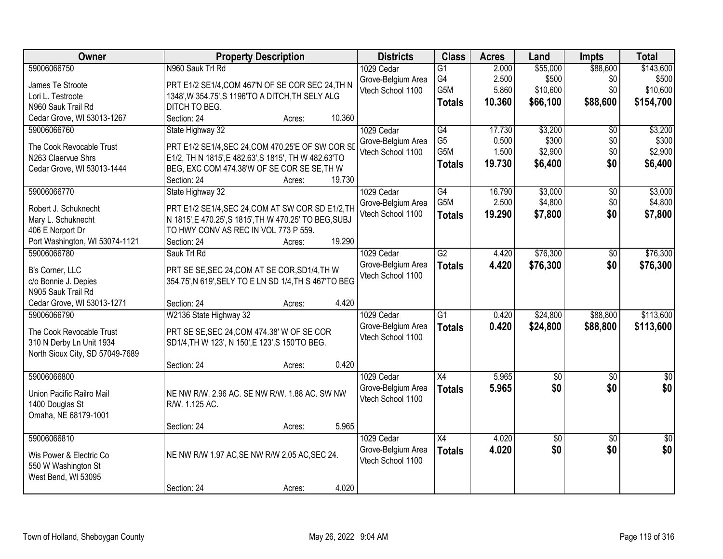| Owner                           | <b>Property Description</b>                            | <b>Districts</b>   | <b>Class</b>     | <b>Acres</b> | Land            | <b>Impts</b>    | <b>Total</b>    |
|---------------------------------|--------------------------------------------------------|--------------------|------------------|--------------|-----------------|-----------------|-----------------|
| 59006066750                     | N960 Sauk Trl Rd                                       | 1029 Cedar         | $\overline{G1}$  | 2.000        | \$55,000        | \$88,600        | \$143,600       |
| James Te Stroote                | PRT E1/2 SE1/4, COM 467'N OF SE COR SEC 24, TH N       | Grove-Belgium Area | G4               | 2.500        | \$500           | \$0             | \$500           |
| Lori L. Testroote               | 1348', W 354.75', S 1196'TO A DITCH, TH SELY ALG       | Vtech School 1100  | G5M              | 5.860        | \$10,600        | \$0             | \$10,600        |
| N960 Sauk Trail Rd              | DITCH TO BEG.                                          |                    | <b>Totals</b>    | 10.360       | \$66,100        | \$88,600        | \$154,700       |
| Cedar Grove, WI 53013-1267      | 10.360<br>Section: 24<br>Acres:                        |                    |                  |              |                 |                 |                 |
| 59006066760                     | State Highway 32                                       | 1029 Cedar         | G4               | 17.730       | \$3,200         | $\overline{50}$ | \$3,200         |
|                                 |                                                        | Grove-Belgium Area | G <sub>5</sub>   | 0.500        | \$300           | \$0             | \$300           |
| The Cook Revocable Trust        | PRT E1/2 SE1/4, SEC 24, COM 470.25'E OF SW COR SD      | Vtech School 1100  | G <sub>5</sub> M | 1.500        | \$2,900         | \$0             | \$2,900         |
| N263 Claervue Shrs              | E1/2, TH N 1815', E 482.63', S 1815', TH W 482.63'TO   |                    | <b>Totals</b>    | 19.730       | \$6,400         | \$0             | \$6,400         |
| Cedar Grove, WI 53013-1444      | BEG, EXC COM 474.38'W OF SE COR SE SE, TH W            |                    |                  |              |                 |                 |                 |
|                                 | 19.730<br>Section: 24<br>Acres:                        |                    |                  |              |                 |                 |                 |
| 59006066770                     | State Highway 32                                       | 1029 Cedar         | G4               | 16.790       | \$3,000         | \$0             | \$3,000         |
| Robert J. Schuknecht            | PRT E1/2 SE1/4, SEC 24, COM AT SW COR SD E1/2, TH      | Grove-Belgium Area | G5M              | 2.500        | \$4,800         | \$0             | \$4,800         |
| Mary L. Schuknecht              | N 1815', E 470.25', S 1815', TH W 470.25' TO BEG, SUBJ | Vtech School 1100  | <b>Totals</b>    | 19.290       | \$7,800         | \$0             | \$7,800         |
| 406 E Norport Dr                | TO HWY CONV AS REC IN VOL 773 P 559.                   |                    |                  |              |                 |                 |                 |
| Port Washington, WI 53074-1121  | 19.290<br>Section: 24<br>Acres:                        |                    |                  |              |                 |                 |                 |
| 59006066780                     | Sauk Trl Rd                                            | 1029 Cedar         | $\overline{G2}$  | 4.420        | \$76,300        | \$0             | \$76,300        |
|                                 |                                                        | Grove-Belgium Area | <b>Totals</b>    | 4.420        | \$76,300        | \$0             | \$76,300        |
| B's Corner, LLC                 | PRT SE SE, SEC 24, COM AT SE COR, SD1/4, TH W          | Vtech School 1100  |                  |              |                 |                 |                 |
| c/o Bonnie J. Depies            | 354.75', N 619', SELY TO E LN SD 1/4, TH S 467'TO BEG  |                    |                  |              |                 |                 |                 |
| N905 Sauk Trail Rd              |                                                        |                    |                  |              |                 |                 |                 |
| Cedar Grove, WI 53013-1271      | 4.420<br>Section: 24<br>Acres:                         |                    |                  |              |                 |                 |                 |
| 59006066790                     | W2136 State Highway 32                                 | 1029 Cedar         | $\overline{G1}$  | 0.420        | \$24,800        | \$88,800        | \$113,600       |
| The Cook Revocable Trust        | PRT SE SE, SEC 24, COM 474.38' W OF SE COR             | Grove-Belgium Area | <b>Totals</b>    | 0.420        | \$24,800        | \$88,800        | \$113,600       |
| 310 N Derby Ln Unit 1934        | SD1/4, TH W 123', N 150', E 123', S 150'TO BEG.        | Vtech School 1100  |                  |              |                 |                 |                 |
| North Sioux City, SD 57049-7689 |                                                        |                    |                  |              |                 |                 |                 |
|                                 | 0.420<br>Section: 24<br>Acres:                         |                    |                  |              |                 |                 |                 |
| 59006066800                     |                                                        | 1029 Cedar         | $\overline{X4}$  | 5.965        | $\sqrt{50}$     | $\overline{50}$ | $\sqrt{50}$     |
|                                 |                                                        | Grove-Belgium Area | <b>Totals</b>    | 5.965        | \$0             | \$0             | \$0             |
| Union Pacific Railro Mail       | NE NW R/W. 2.96 AC. SE NW R/W. 1.88 AC. SW NW          | Vtech School 1100  |                  |              |                 |                 |                 |
| 1400 Douglas St                 | R/W. 1.125 AC.                                         |                    |                  |              |                 |                 |                 |
| Omaha, NE 68179-1001            |                                                        |                    |                  |              |                 |                 |                 |
|                                 | 5.965<br>Section: 24<br>Acres:                         |                    |                  |              |                 |                 |                 |
| 59006066810                     |                                                        | 1029 Cedar         | $\overline{X4}$  | 4.020        | $\overline{50}$ | $\overline{50}$ | $\overline{50}$ |
| Wis Power & Electric Co         | NE NW R/W 1.97 AC, SE NW R/W 2.05 AC, SEC 24.          | Grove-Belgium Area | <b>Totals</b>    | 4.020        | \$0             | \$0             | \$0             |
| 550 W Washington St             |                                                        | Vtech School 1100  |                  |              |                 |                 |                 |
| West Bend, WI 53095             |                                                        |                    |                  |              |                 |                 |                 |
|                                 | 4.020<br>Section: 24<br>Acres:                         |                    |                  |              |                 |                 |                 |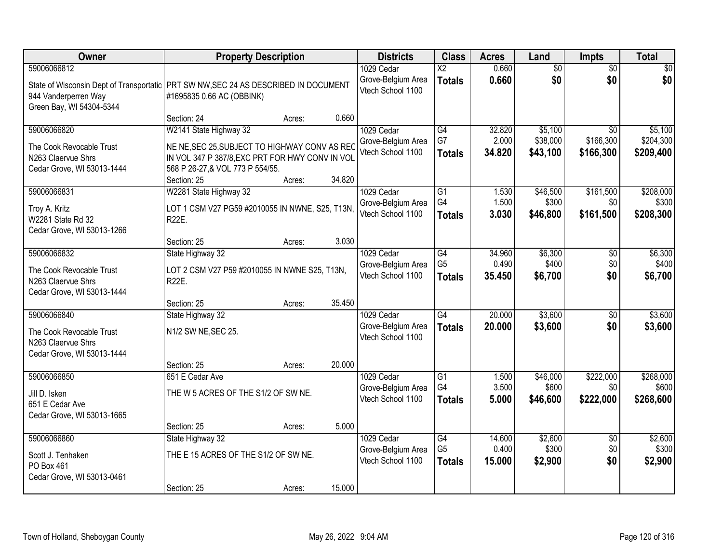| Owner                                                                                                                                                    |                                                                                                                                                                               | <b>Property Description</b> |        | <b>Districts</b>                                      | <b>Class</b>                                       | <b>Acres</b>              | Land                            | Impts                                     | <b>Total</b>                      |
|----------------------------------------------------------------------------------------------------------------------------------------------------------|-------------------------------------------------------------------------------------------------------------------------------------------------------------------------------|-----------------------------|--------|-------------------------------------------------------|----------------------------------------------------|---------------------------|---------------------------------|-------------------------------------------|-----------------------------------|
| 59006066812<br>State of Wisconsin Dept of Transportatic   PRT SW NW, SEC 24 AS DESCRIBED IN DOCUMENT<br>944 Vanderperren Way<br>Green Bay, WI 54304-5344 | #1695835 0.66 AC (OBBINK)                                                                                                                                                     |                             |        | 1029 Cedar<br>Grove-Belgium Area<br>Vtech School 1100 | $\overline{\text{X2}}$<br><b>Totals</b>            | 0.660<br>0.660            | $\overline{50}$<br>\$0          | $\overline{50}$<br>\$0                    | \$0<br>\$0                        |
|                                                                                                                                                          | Section: 24                                                                                                                                                                   | Acres:                      | 0.660  |                                                       |                                                    |                           |                                 |                                           |                                   |
| 59006066820<br>The Cook Revocable Trust<br>N263 Claervue Shrs<br>Cedar Grove, WI 53013-1444                                                              | W2141 State Highway 32<br>NE NE, SEC 25, SUBJECT TO HIGHWAY CONV AS REC<br>IN VOL 347 P 387/8, EXC PRT FOR HWY CONV IN VOL<br>568 P 26-27, & VOL 773 P 554/55.<br>Section: 25 | Acres:                      | 34.820 | 1029 Cedar<br>Grove-Belgium Area<br>Vtech School 1100 | G4<br>G7<br><b>Totals</b>                          | 32.820<br>2.000<br>34.820 | \$5,100<br>\$38,000<br>\$43,100 | $\overline{50}$<br>\$166,300<br>\$166,300 | \$5,100<br>\$204,300<br>\$209,400 |
| 59006066831                                                                                                                                              | W2281 State Highway 32                                                                                                                                                        |                             |        | 1029 Cedar                                            | G1                                                 | 1.530                     | \$46,500                        | \$161,500                                 | \$208,000                         |
| Troy A. Kritz<br>W2281 State Rd 32<br>Cedar Grove, WI 53013-1266                                                                                         | LOT 1 CSM V27 PG59 #2010055 IN NWNE, S25, T13N,<br>R22E.                                                                                                                      |                             |        | Grove-Belgium Area<br>Vtech School 1100               | G4<br><b>Totals</b>                                | 1.500<br>3.030            | \$300<br>\$46,800               | \$0<br>\$161,500                          | \$300<br>\$208,300                |
|                                                                                                                                                          | Section: 25                                                                                                                                                                   | Acres:                      | 3.030  |                                                       |                                                    |                           |                                 |                                           |                                   |
| 59006066832<br>The Cook Revocable Trust<br>N263 Claervue Shrs<br>Cedar Grove, WI 53013-1444                                                              | State Highway 32<br>LOT 2 CSM V27 P59 #2010055 IN NWNE S25, T13N,<br><b>R22E.</b>                                                                                             |                             |        | 1029 Cedar<br>Grove-Belgium Area<br>Vtech School 1100 | $\overline{G4}$<br>G <sub>5</sub><br><b>Totals</b> | 34.960<br>0.490<br>35.450 | \$6,300<br>\$400<br>\$6,700     | \$0<br>\$0<br>\$0                         | \$6,300<br>\$400<br>\$6,700       |
|                                                                                                                                                          | Section: 25                                                                                                                                                                   | Acres:                      | 35.450 |                                                       |                                                    |                           |                                 |                                           |                                   |
| 59006066840<br>The Cook Revocable Trust<br>N263 Claervue Shrs<br>Cedar Grove, WI 53013-1444                                                              | State Highway 32<br>N1/2 SW NE, SEC 25.<br>Section: 25                                                                                                                        | Acres:                      | 20.000 | 1029 Cedar<br>Grove-Belgium Area<br>Vtech School 1100 | $\overline{G4}$<br><b>Totals</b>                   | 20.000<br>20.000          | \$3,600<br>\$3,600              | $\overline{50}$<br>\$0                    | \$3,600<br>\$3,600                |
| 59006066850                                                                                                                                              | 651 E Cedar Ave                                                                                                                                                               |                             |        | 1029 Cedar                                            | G1                                                 | 1.500                     | \$46,000                        | \$222,000                                 | \$268,000                         |
| Jill D. Isken<br>651 E Cedar Ave<br>Cedar Grove, WI 53013-1665                                                                                           | THE W 5 ACRES OF THE S1/2 OF SW NE.                                                                                                                                           |                             |        | Grove-Belgium Area<br>Vtech School 1100               | G4<br><b>Totals</b>                                | 3.500<br>5.000            | \$600<br>\$46,600               | \$0<br>\$222,000                          | \$600<br>\$268,600                |
|                                                                                                                                                          | Section: 25                                                                                                                                                                   | Acres:                      | 5.000  |                                                       |                                                    |                           |                                 |                                           |                                   |
| 59006066860<br>Scott J. Tenhaken<br>PO Box 461<br>Cedar Grove, WI 53013-0461                                                                             | State Highway 32<br>THE E 15 ACRES OF THE S1/2 OF SW NE.<br>Section: 25                                                                                                       | Acres:                      | 15.000 | 1029 Cedar<br>Grove-Belgium Area<br>Vtech School 1100 | $\overline{G4}$<br>G <sub>5</sub><br><b>Totals</b> | 14.600<br>0.400<br>15.000 | \$2,600<br>\$300<br>\$2,900     | $\overline{50}$<br>\$0<br>\$0             | \$2,600<br>\$300<br>\$2,900       |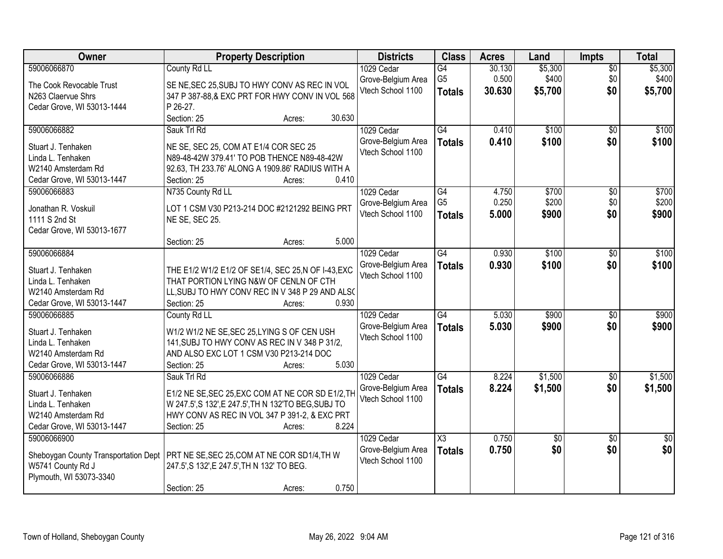| Owner                                            | <b>Property Description</b>                                                                  | <b>Districts</b>                        | <b>Class</b>        | <b>Acres</b> | Land            | <b>Impts</b>    | <b>Total</b>    |
|--------------------------------------------------|----------------------------------------------------------------------------------------------|-----------------------------------------|---------------------|--------------|-----------------|-----------------|-----------------|
| 59006066870                                      | County Rd LL                                                                                 | 1029 Cedar                              | $\overline{G4}$     | 30.130       | \$5,300         | $\overline{50}$ | \$5,300         |
| The Cook Revocable Trust                         | SE NE, SEC 25, SUBJ TO HWY CONV AS REC IN VOL                                                | Grove-Belgium Area                      | G <sub>5</sub>      | 0.500        | \$400           | \$0             | \$400           |
| N263 Claervue Shrs                               | 347 P 387-88, & EXC PRT FOR HWY CONV IN VOL 568                                              | Vtech School 1100                       | <b>Totals</b>       | 30.630       | \$5,700         | \$0             | \$5,700         |
| Cedar Grove, WI 53013-1444                       | P 26-27.                                                                                     |                                         |                     |              |                 |                 |                 |
|                                                  | 30.630<br>Section: 25<br>Acres:                                                              |                                         |                     |              |                 |                 |                 |
| 59006066882                                      | Sauk Trl Rd                                                                                  | 1029 Cedar                              | G4                  | 0.410        | \$100           | $\overline{50}$ | \$100           |
| Stuart J. Tenhaken                               | NE SE, SEC 25, COM AT E1/4 COR SEC 25                                                        | Grove-Belgium Area                      | <b>Totals</b>       | 0.410        | \$100           | \$0             | \$100           |
| Linda L. Tenhaken                                | N89-48-42W 379.41' TO POB THENCE N89-48-42W                                                  | Vtech School 1100                       |                     |              |                 |                 |                 |
| W2140 Amsterdam Rd                               | 92.63, TH 233.76' ALONG A 1909.86' RADIUS WITH A                                             |                                         |                     |              |                 |                 |                 |
| Cedar Grove, WI 53013-1447                       | 0.410<br>Section: 25<br>Acres:                                                               |                                         |                     |              |                 |                 |                 |
| 59006066883                                      | N735 County Rd LL                                                                            | 1029 Cedar                              | G4                  | 4.750        | \$700           | \$0             | \$700           |
| Jonathan R. Voskuil                              | LOT 1 CSM V30 P213-214 DOC #2121292 BEING PRT                                                | Grove-Belgium Area                      | G <sub>5</sub>      | 0.250        | \$200           | \$0             | \$200           |
| 1111 S 2nd St                                    | NE SE, SEC 25.                                                                               | Vtech School 1100                       | <b>Totals</b>       | 5.000        | \$900           | \$0             | \$900           |
| Cedar Grove, WI 53013-1677                       |                                                                                              |                                         |                     |              |                 |                 |                 |
|                                                  | Section: 25<br>5.000<br>Acres:                                                               |                                         |                     |              |                 |                 |                 |
| 59006066884                                      |                                                                                              | 1029 Cedar                              | $\overline{G4}$     | 0.930        | \$100           | \$0             | \$100           |
|                                                  |                                                                                              | Grove-Belgium Area                      | <b>Totals</b>       | 0.930        | \$100           | \$0             | \$100           |
| Stuart J. Tenhaken<br>Linda L. Tenhaken          | THE E1/2 W1/2 E1/2 OF SE1/4, SEC 25,N OF I-43, EXC<br>THAT PORTION LYING N&W OF CENLN OF CTH | Vtech School 1100                       |                     |              |                 |                 |                 |
| W2140 Amsterdam Rd                               | LL, SUBJ TO HWY CONV REC IN V 348 P 29 AND ALSO                                              |                                         |                     |              |                 |                 |                 |
| Cedar Grove, WI 53013-1447                       | 0.930<br>Section: 25<br>Acres:                                                               |                                         |                     |              |                 |                 |                 |
| 59006066885                                      | County Rd LL                                                                                 | 1029 Cedar                              | $\overline{G4}$     | 5.030        | \$900           | $\overline{30}$ | \$900           |
|                                                  |                                                                                              | Grove-Belgium Area                      | <b>Totals</b>       | 5.030        | \$900           | \$0             | \$900           |
| Stuart J. Tenhaken                               | W1/2 W1/2 NE SE, SEC 25, LYING S OF CEN USH                                                  | Vtech School 1100                       |                     |              |                 |                 |                 |
| Linda L. Tenhaken                                | 141, SUBJ TO HWY CONV AS REC IN V 348 P 31/2,<br>AND ALSO EXC LOT 1 CSM V30 P213-214 DOC     |                                         |                     |              |                 |                 |                 |
| W2140 Amsterdam Rd<br>Cedar Grove, WI 53013-1447 | Section: 25<br>5.030<br>Acres:                                                               |                                         |                     |              |                 |                 |                 |
| 59006066886                                      | Sauk Trl Rd                                                                                  | 1029 Cedar                              | G4                  | 8.224        | \$1,500         | $\sqrt{6}$      | \$1,500         |
|                                                  |                                                                                              | Grove-Belgium Area                      | <b>Totals</b>       | 8.224        | \$1,500         | \$0             | \$1,500         |
| Stuart J. Tenhaken                               | E1/2 NE SE, SEC 25, EXC COM AT NE COR SD E1/2, TH                                            | Vtech School 1100                       |                     |              |                 |                 |                 |
| Linda L. Tenhaken                                | W 247.5', S 132', E 247.5', TH N 132'TO BEG, SUBJ TO                                         |                                         |                     |              |                 |                 |                 |
| W2140 Amsterdam Rd                               | HWY CONV AS REC IN VOL 347 P 391-2, & EXC PRT                                                |                                         |                     |              |                 |                 |                 |
| Cedar Grove, WI 53013-1447                       | 8.224<br>Section: 25<br>Acres:                                                               |                                         |                     |              |                 |                 |                 |
| 59006066900                                      |                                                                                              | 1029 Cedar                              | $\overline{\chi_3}$ | 0.750        | $\overline{50}$ | $\overline{50}$ | $\overline{50}$ |
| Sheboygan County Transportation Dept             | PRT NE SE, SEC 25, COM AT NE COR SD1/4, TH W                                                 | Grove-Belgium Area<br>Vtech School 1100 | <b>Totals</b>       | 0.750        | \$0             | \$0             | \$0             |
| W5741 County Rd J                                | 247.5', S 132', E 247.5', TH N 132' TO BEG.                                                  |                                         |                     |              |                 |                 |                 |
| Plymouth, WI 53073-3340                          |                                                                                              |                                         |                     |              |                 |                 |                 |
|                                                  | 0.750<br>Section: 25<br>Acres:                                                               |                                         |                     |              |                 |                 |                 |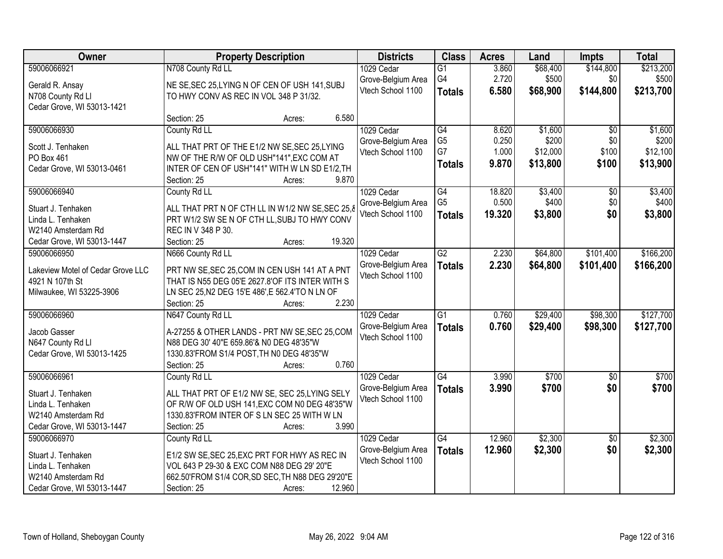| Owner                             |                                                   | <b>Property Description</b> |        | <b>Districts</b>                        | <b>Class</b>    | <b>Acres</b> | Land     | <b>Impts</b>    | <b>Total</b> |
|-----------------------------------|---------------------------------------------------|-----------------------------|--------|-----------------------------------------|-----------------|--------------|----------|-----------------|--------------|
| 59006066921                       | N708 County Rd LL                                 |                             |        | 1029 Cedar                              | $\overline{G1}$ | 3.860        | \$68,400 | \$144,800       | \$213,200    |
| Gerald R. Ansay                   | NE SE, SEC 25, LYING N OF CEN OF USH 141, SUBJ    |                             |        | Grove-Belgium Area                      | G4              | 2.720        | \$500    | \$0             | \$500        |
| N708 County Rd Ll                 | TO HWY CONV AS REC IN VOL 348 P 31/32.            |                             |        | Vtech School 1100                       | <b>Totals</b>   | 6.580        | \$68,900 | \$144,800       | \$213,700    |
| Cedar Grove, WI 53013-1421        |                                                   |                             |        |                                         |                 |              |          |                 |              |
|                                   | Section: 25                                       | Acres:                      | 6.580  |                                         |                 |              |          |                 |              |
| 59006066930                       | County Rd LL                                      |                             |        | 1029 Cedar                              | G4              | 8.620        | \$1,600  | $\overline{50}$ | \$1,600      |
| Scott J. Tenhaken                 | ALL THAT PRT OF THE E1/2 NW SE, SEC 25, LYING     |                             |        | Grove-Belgium Area                      | G <sub>5</sub>  | 0.250        | \$200    | \$0             | \$200        |
| PO Box 461                        | NW OF THE R/W OF OLD USH"141", EXC COM AT         |                             |        | Vtech School 1100                       | G7              | 1.000        | \$12,000 | \$100           | \$12,100     |
| Cedar Grove, WI 53013-0461        | INTER OF CEN OF USH"141" WITH W LN SD E1/2, TH    |                             |        |                                         | <b>Totals</b>   | 9.870        | \$13,800 | \$100           | \$13,900     |
|                                   | Section: 25                                       | Acres:                      | 9.870  |                                         |                 |              |          |                 |              |
| 59006066940                       | County Rd LL                                      |                             |        | 1029 Cedar                              | $\overline{G4}$ | 18.820       | \$3,400  | $\overline{50}$ | \$3,400      |
| Stuart J. Tenhaken                | ALL THAT PRT N OF CTH LL IN W1/2 NW SE, SEC 25, 8 |                             |        | Grove-Belgium Area                      | G <sub>5</sub>  | 0.500        | \$400    | \$0             | \$400        |
| Linda L. Tenhaken                 | PRT W1/2 SW SE N OF CTH LL, SUBJ TO HWY CONV      |                             |        | Vtech School 1100                       | <b>Totals</b>   | 19.320       | \$3,800  | \$0             | \$3,800      |
| W2140 Amsterdam Rd                | REC IN V 348 P 30.                                |                             |        |                                         |                 |              |          |                 |              |
| Cedar Grove, WI 53013-1447        | Section: 25                                       | Acres:                      | 19.320 |                                         |                 |              |          |                 |              |
| 59006066950                       | N666 County Rd LL                                 |                             |        | 1029 Cedar                              | $\overline{G2}$ | 2.230        | \$64,800 | \$101,400       | \$166,200    |
|                                   |                                                   |                             |        | Grove-Belgium Area                      | <b>Totals</b>   | 2.230        | \$64,800 | \$101,400       | \$166,200    |
| Lakeview Motel of Cedar Grove LLC | PRT NW SE, SEC 25, COM IN CEN USH 141 AT A PNT    |                             |        | Vtech School 1100                       |                 |              |          |                 |              |
| 4921 N 107th St                   | THAT IS N55 DEG 05'E 2627.8'OF ITS INTER WITH S   |                             |        |                                         |                 |              |          |                 |              |
| Milwaukee, WI 53225-3906          | LN SEC 25, N2 DEG 15'E 486', E 562.4'TO N LN OF   |                             | 2.230  |                                         |                 |              |          |                 |              |
| 59006066960                       | Section: 25<br>N647 County Rd LL                  | Acres:                      |        |                                         | $\overline{G1}$ | 0.760        | \$29,400 | \$98,300        | \$127,700    |
|                                   |                                                   |                             |        | 1029 Cedar                              |                 |              |          |                 |              |
| Jacob Gasser                      | A-27255 & OTHER LANDS - PRT NW SE, SEC 25, COM    |                             |        | Grove-Belgium Area<br>Vtech School 1100 | <b>Totals</b>   | 0.760        | \$29,400 | \$98,300        | \$127,700    |
| N647 County Rd Ll                 | N88 DEG 30' 40"E 659.86'& N0 DEG 48'35"W          |                             |        |                                         |                 |              |          |                 |              |
| Cedar Grove, WI 53013-1425        | 1330.83'FROM S1/4 POST, TH N0 DEG 48'35"W         |                             |        |                                         |                 |              |          |                 |              |
|                                   | Section: 25                                       | Acres:                      | 0.760  |                                         |                 |              |          |                 |              |
| 59006066961                       | County Rd LL                                      |                             |        | 1029 Cedar                              | G4              | 3.990        | \$700    | $\overline{50}$ | \$700        |
| Stuart J. Tenhaken                | ALL THAT PRT OF E1/2 NW SE, SEC 25, LYING SELY    |                             |        | Grove-Belgium Area                      | <b>Totals</b>   | 3.990        | \$700    | \$0             | \$700        |
| Linda L. Tenhaken                 | OF R/W OF OLD USH 141, EXC COM N0 DEG 48'35"W     |                             |        | Vtech School 1100                       |                 |              |          |                 |              |
| W2140 Amsterdam Rd                | 1330.83'FROM INTER OF S LN SEC 25 WITH W LN       |                             |        |                                         |                 |              |          |                 |              |
| Cedar Grove, WI 53013-1447        | Section: 25                                       | Acres:                      | 3.990  |                                         |                 |              |          |                 |              |
| 59006066970                       | County Rd LL                                      |                             |        | 1029 Cedar                              | $\overline{G4}$ | 12.960       | \$2,300  | $\overline{30}$ | \$2,300      |
| Stuart J. Tenhaken                | E1/2 SW SE, SEC 25, EXC PRT FOR HWY AS REC IN     |                             |        | Grove-Belgium Area                      | <b>Totals</b>   | 12.960       | \$2,300  | \$0             | \$2,300      |
| Linda L. Tenhaken                 | VOL 643 P 29-30 & EXC COM N88 DEG 29' 20"E        |                             |        | Vtech School 1100                       |                 |              |          |                 |              |
| W2140 Amsterdam Rd                | 662.50'FROM S1/4 COR, SD SEC, TH N88 DEG 29'20"E  |                             |        |                                         |                 |              |          |                 |              |
| Cedar Grove, WI 53013-1447        | Section: 25                                       | Acres:                      | 12.960 |                                         |                 |              |          |                 |              |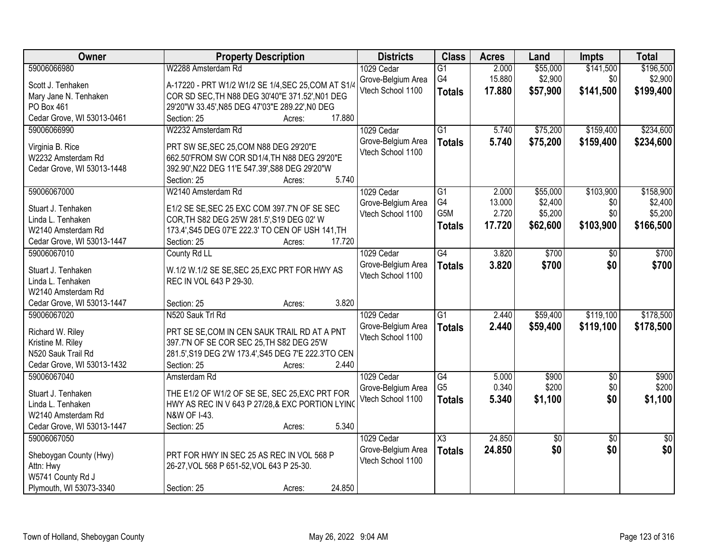| \$196,500<br>59006066980<br>W2288 Amsterdam Rd<br>2.000<br>\$55,000<br>\$141,500<br>1029 Cedar<br>$\overline{G1}$<br>G4<br>15.880<br>\$2,900<br>\$0<br>\$2,900<br>Grove-Belgium Area<br>A-17220 - PRT W1/2 W1/2 SE 1/4, SEC 25, COM AT S1/4<br>Scott J. Tenhaken<br>Vtech School 1100<br>\$199,400<br>17.880<br>\$57,900<br>\$141,500<br><b>Totals</b><br>COR SD SEC, TH N88 DEG 30'40"E 371.52', N01 DEG<br>Mary Jane N. Tenhaken<br>PO Box 461<br>29'20"W 33.45', N85 DEG 47'03"E 289.22', N0 DEG<br>Cedar Grove, WI 53013-0461<br>17.880<br>Section: 25<br>Acres:<br>W2232 Amsterdam Rd<br>$\overline{G1}$<br>\$75,200<br>\$159,400<br>59006066990<br>1029 Cedar<br>5.740<br>Grove-Belgium Area<br>5.740<br>\$75,200<br>\$159,400<br><b>Totals</b><br>Virginia B. Rice<br>PRT SW SE, SEC 25, COM N88 DEG 29'20"E<br>Vtech School 1100<br>W2232 Amsterdam Rd<br>662.50'FROM SW COR SD1/4, TH N88 DEG 29'20"E<br>Cedar Grove, WI 53013-1448<br>392.90', N22 DEG 11'E 547.39', S88 DEG 29'20"W<br>5.740<br>Section: 25<br>Acres:<br>\$55,000<br>\$103,900<br>59006067000<br>W2140 Amsterdam Rd<br>1029 Cedar<br>G1<br>2.000<br>G4<br>13.000<br>\$2,400<br>\$0<br>Grove-Belgium Area<br>E1/2 SE SE, SEC 25 EXC COM 397.7'N OF SE SEC<br>Stuart J. Tenhaken<br>G5M<br>2.720<br>\$5,200<br>\$0<br>Vtech School 1100<br>COR, TH S82 DEG 25'W 281.5', S19 DEG 02' W<br>Linda L. Tenhaken<br>17.720<br>\$103,900<br>\$62,600<br><b>Totals</b><br>173.4', S45 DEG 07'E 222.3' TO CEN OF USH 141, TH<br>W2140 Amsterdam Rd<br>17.720<br>Cedar Grove, WI 53013-1447<br>Section: 25<br>Acres:<br>59006067010<br>County Rd LL<br>1029 Cedar<br>$\overline{G4}$<br>3.820<br>\$700<br>\$0<br>Grove-Belgium Area<br>3.820<br>\$700<br>\$0<br><b>Totals</b><br>W.1/2 W.1/2 SE SE, SEC 25, EXC PRT FOR HWY AS<br>Stuart J. Tenhaken<br>Vtech School 1100<br>REC IN VOL 643 P 29-30.<br>Linda L. Tenhaken<br>W2140 Amsterdam Rd<br>3.820<br>Cedar Grove, WI 53013-1447<br>Section: 25<br>Acres:<br>\$119,100<br>$\overline{G1}$<br>2.440<br>\$59,400<br>59006067020<br>N520 Sauk Trl Rd<br>1029 Cedar<br>2.440<br>Grove-Belgium Area<br><b>Totals</b><br>\$59,400<br>\$119,100<br>Richard W. Riley<br>PRT SE SE, COM IN CEN SAUK TRAIL RD AT A PNT<br>Vtech School 1100<br>397.7'N OF SE COR SEC 25, TH S82 DEG 25'W<br>Kristine M. Riley<br>N520 Sauk Trail Rd<br>281.5', S19 DEG 2'W 173.4', S45 DEG 7'E 222.3'TO CEN<br>Cedar Grove, WI 53013-1432<br>2.440<br>Section: 25<br>Acres:<br>$\overline{G4}$<br>\$900<br>59006067040<br>1029 Cedar<br>5.000<br>$\sqrt{6}$<br>Amsterdam Rd<br>G <sub>5</sub><br>\$0<br>0.340<br>\$200<br>Grove-Belgium Area<br>Stuart J. Tenhaken<br>THE E1/2 OF W1/2 OF SE SE, SEC 25, EXC PRT FOR<br>\$0<br>Vtech School 1100<br>5.340<br>\$1,100<br><b>Totals</b><br>HWY AS REC IN V 643 P 27/28,& EXC PORTION LYING<br>Linda L. Tenhaken<br>W2140 Amsterdam Rd<br>N&W OF I-43.<br>5.340<br>Cedar Grove, WI 53013-1447<br>Section: 25<br>Acres:<br>24.850<br>59006067050<br>1029 Cedar<br>$\overline{\text{X3}}$<br>\$0<br>$\overline{50}$<br>\$0<br>24.850<br>\$0<br>\$0<br>Grove-Belgium Area<br><b>Totals</b><br>Sheboygan County (Hwy)<br>PRT FOR HWY IN SEC 25 AS REC IN VOL 568 P<br>Vtech School 1100<br>Attn: Hwy<br>26-27, VOL 568 P 651-52, VOL 643 P 25-30.<br>W5741 County Rd J | Owner                   | <b>Property Description</b> | <b>Districts</b> | <b>Class</b> | <b>Acres</b> | Land | <b>Impts</b> | <b>Total</b> |
|------------------------------------------------------------------------------------------------------------------------------------------------------------------------------------------------------------------------------------------------------------------------------------------------------------------------------------------------------------------------------------------------------------------------------------------------------------------------------------------------------------------------------------------------------------------------------------------------------------------------------------------------------------------------------------------------------------------------------------------------------------------------------------------------------------------------------------------------------------------------------------------------------------------------------------------------------------------------------------------------------------------------------------------------------------------------------------------------------------------------------------------------------------------------------------------------------------------------------------------------------------------------------------------------------------------------------------------------------------------------------------------------------------------------------------------------------------------------------------------------------------------------------------------------------------------------------------------------------------------------------------------------------------------------------------------------------------------------------------------------------------------------------------------------------------------------------------------------------------------------------------------------------------------------------------------------------------------------------------------------------------------------------------------------------------------------------------------------------------------------------------------------------------------------------------------------------------------------------------------------------------------------------------------------------------------------------------------------------------------------------------------------------------------------------------------------------------------------------------------------------------------------------------------------------------------------------------------------------------------------------------------------------------------------------------------------------------------------------------------------------------------------------------------------------------------------------------------------------------------------------------------------------------------------------------------------------------------------------------------------------------------------------------------------------------------------------------------------------------------------------------------------------------------------------------------------------------------------------------------------------------------------------------------------------------|-------------------------|-----------------------------|------------------|--------------|--------------|------|--------------|--------------|
|                                                                                                                                                                                                                                                                                                                                                                                                                                                                                                                                                                                                                                                                                                                                                                                                                                                                                                                                                                                                                                                                                                                                                                                                                                                                                                                                                                                                                                                                                                                                                                                                                                                                                                                                                                                                                                                                                                                                                                                                                                                                                                                                                                                                                                                                                                                                                                                                                                                                                                                                                                                                                                                                                                                                                                                                                                                                                                                                                                                                                                                                                                                                                                                                                                                                                                            |                         |                             |                  |              |              |      |              |              |
|                                                                                                                                                                                                                                                                                                                                                                                                                                                                                                                                                                                                                                                                                                                                                                                                                                                                                                                                                                                                                                                                                                                                                                                                                                                                                                                                                                                                                                                                                                                                                                                                                                                                                                                                                                                                                                                                                                                                                                                                                                                                                                                                                                                                                                                                                                                                                                                                                                                                                                                                                                                                                                                                                                                                                                                                                                                                                                                                                                                                                                                                                                                                                                                                                                                                                                            |                         |                             |                  |              |              |      |              |              |
|                                                                                                                                                                                                                                                                                                                                                                                                                                                                                                                                                                                                                                                                                                                                                                                                                                                                                                                                                                                                                                                                                                                                                                                                                                                                                                                                                                                                                                                                                                                                                                                                                                                                                                                                                                                                                                                                                                                                                                                                                                                                                                                                                                                                                                                                                                                                                                                                                                                                                                                                                                                                                                                                                                                                                                                                                                                                                                                                                                                                                                                                                                                                                                                                                                                                                                            |                         |                             |                  |              |              |      |              |              |
|                                                                                                                                                                                                                                                                                                                                                                                                                                                                                                                                                                                                                                                                                                                                                                                                                                                                                                                                                                                                                                                                                                                                                                                                                                                                                                                                                                                                                                                                                                                                                                                                                                                                                                                                                                                                                                                                                                                                                                                                                                                                                                                                                                                                                                                                                                                                                                                                                                                                                                                                                                                                                                                                                                                                                                                                                                                                                                                                                                                                                                                                                                                                                                                                                                                                                                            |                         |                             |                  |              |              |      |              |              |
| \$234,600<br>\$234,600<br>\$158,900<br>\$2,400<br>\$5,200<br>\$166,500<br>\$700<br>\$700<br>\$1,100<br>$\overline{50}$                                                                                                                                                                                                                                                                                                                                                                                                                                                                                                                                                                                                                                                                                                                                                                                                                                                                                                                                                                                                                                                                                                                                                                                                                                                                                                                                                                                                                                                                                                                                                                                                                                                                                                                                                                                                                                                                                                                                                                                                                                                                                                                                                                                                                                                                                                                                                                                                                                                                                                                                                                                                                                                                                                                                                                                                                                                                                                                                                                                                                                                                                                                                                                                     |                         |                             |                  |              |              |      |              |              |
|                                                                                                                                                                                                                                                                                                                                                                                                                                                                                                                                                                                                                                                                                                                                                                                                                                                                                                                                                                                                                                                                                                                                                                                                                                                                                                                                                                                                                                                                                                                                                                                                                                                                                                                                                                                                                                                                                                                                                                                                                                                                                                                                                                                                                                                                                                                                                                                                                                                                                                                                                                                                                                                                                                                                                                                                                                                                                                                                                                                                                                                                                                                                                                                                                                                                                                            |                         |                             |                  |              |              |      |              |              |
|                                                                                                                                                                                                                                                                                                                                                                                                                                                                                                                                                                                                                                                                                                                                                                                                                                                                                                                                                                                                                                                                                                                                                                                                                                                                                                                                                                                                                                                                                                                                                                                                                                                                                                                                                                                                                                                                                                                                                                                                                                                                                                                                                                                                                                                                                                                                                                                                                                                                                                                                                                                                                                                                                                                                                                                                                                                                                                                                                                                                                                                                                                                                                                                                                                                                                                            |                         |                             |                  |              |              |      |              |              |
|                                                                                                                                                                                                                                                                                                                                                                                                                                                                                                                                                                                                                                                                                                                                                                                                                                                                                                                                                                                                                                                                                                                                                                                                                                                                                                                                                                                                                                                                                                                                                                                                                                                                                                                                                                                                                                                                                                                                                                                                                                                                                                                                                                                                                                                                                                                                                                                                                                                                                                                                                                                                                                                                                                                                                                                                                                                                                                                                                                                                                                                                                                                                                                                                                                                                                                            |                         |                             |                  |              |              |      |              |              |
|                                                                                                                                                                                                                                                                                                                                                                                                                                                                                                                                                                                                                                                                                                                                                                                                                                                                                                                                                                                                                                                                                                                                                                                                                                                                                                                                                                                                                                                                                                                                                                                                                                                                                                                                                                                                                                                                                                                                                                                                                                                                                                                                                                                                                                                                                                                                                                                                                                                                                                                                                                                                                                                                                                                                                                                                                                                                                                                                                                                                                                                                                                                                                                                                                                                                                                            |                         |                             |                  |              |              |      |              |              |
|                                                                                                                                                                                                                                                                                                                                                                                                                                                                                                                                                                                                                                                                                                                                                                                                                                                                                                                                                                                                                                                                                                                                                                                                                                                                                                                                                                                                                                                                                                                                                                                                                                                                                                                                                                                                                                                                                                                                                                                                                                                                                                                                                                                                                                                                                                                                                                                                                                                                                                                                                                                                                                                                                                                                                                                                                                                                                                                                                                                                                                                                                                                                                                                                                                                                                                            |                         |                             |                  |              |              |      |              |              |
|                                                                                                                                                                                                                                                                                                                                                                                                                                                                                                                                                                                                                                                                                                                                                                                                                                                                                                                                                                                                                                                                                                                                                                                                                                                                                                                                                                                                                                                                                                                                                                                                                                                                                                                                                                                                                                                                                                                                                                                                                                                                                                                                                                                                                                                                                                                                                                                                                                                                                                                                                                                                                                                                                                                                                                                                                                                                                                                                                                                                                                                                                                                                                                                                                                                                                                            |                         |                             |                  |              |              |      |              |              |
|                                                                                                                                                                                                                                                                                                                                                                                                                                                                                                                                                                                                                                                                                                                                                                                                                                                                                                                                                                                                                                                                                                                                                                                                                                                                                                                                                                                                                                                                                                                                                                                                                                                                                                                                                                                                                                                                                                                                                                                                                                                                                                                                                                                                                                                                                                                                                                                                                                                                                                                                                                                                                                                                                                                                                                                                                                                                                                                                                                                                                                                                                                                                                                                                                                                                                                            |                         |                             |                  |              |              |      |              |              |
|                                                                                                                                                                                                                                                                                                                                                                                                                                                                                                                                                                                                                                                                                                                                                                                                                                                                                                                                                                                                                                                                                                                                                                                                                                                                                                                                                                                                                                                                                                                                                                                                                                                                                                                                                                                                                                                                                                                                                                                                                                                                                                                                                                                                                                                                                                                                                                                                                                                                                                                                                                                                                                                                                                                                                                                                                                                                                                                                                                                                                                                                                                                                                                                                                                                                                                            |                         |                             |                  |              |              |      |              |              |
|                                                                                                                                                                                                                                                                                                                                                                                                                                                                                                                                                                                                                                                                                                                                                                                                                                                                                                                                                                                                                                                                                                                                                                                                                                                                                                                                                                                                                                                                                                                                                                                                                                                                                                                                                                                                                                                                                                                                                                                                                                                                                                                                                                                                                                                                                                                                                                                                                                                                                                                                                                                                                                                                                                                                                                                                                                                                                                                                                                                                                                                                                                                                                                                                                                                                                                            |                         |                             |                  |              |              |      |              |              |
|                                                                                                                                                                                                                                                                                                                                                                                                                                                                                                                                                                                                                                                                                                                                                                                                                                                                                                                                                                                                                                                                                                                                                                                                                                                                                                                                                                                                                                                                                                                                                                                                                                                                                                                                                                                                                                                                                                                                                                                                                                                                                                                                                                                                                                                                                                                                                                                                                                                                                                                                                                                                                                                                                                                                                                                                                                                                                                                                                                                                                                                                                                                                                                                                                                                                                                            |                         |                             |                  |              |              |      |              |              |
|                                                                                                                                                                                                                                                                                                                                                                                                                                                                                                                                                                                                                                                                                                                                                                                                                                                                                                                                                                                                                                                                                                                                                                                                                                                                                                                                                                                                                                                                                                                                                                                                                                                                                                                                                                                                                                                                                                                                                                                                                                                                                                                                                                                                                                                                                                                                                                                                                                                                                                                                                                                                                                                                                                                                                                                                                                                                                                                                                                                                                                                                                                                                                                                                                                                                                                            |                         |                             |                  |              |              |      |              |              |
|                                                                                                                                                                                                                                                                                                                                                                                                                                                                                                                                                                                                                                                                                                                                                                                                                                                                                                                                                                                                                                                                                                                                                                                                                                                                                                                                                                                                                                                                                                                                                                                                                                                                                                                                                                                                                                                                                                                                                                                                                                                                                                                                                                                                                                                                                                                                                                                                                                                                                                                                                                                                                                                                                                                                                                                                                                                                                                                                                                                                                                                                                                                                                                                                                                                                                                            |                         |                             |                  |              |              |      |              |              |
|                                                                                                                                                                                                                                                                                                                                                                                                                                                                                                                                                                                                                                                                                                                                                                                                                                                                                                                                                                                                                                                                                                                                                                                                                                                                                                                                                                                                                                                                                                                                                                                                                                                                                                                                                                                                                                                                                                                                                                                                                                                                                                                                                                                                                                                                                                                                                                                                                                                                                                                                                                                                                                                                                                                                                                                                                                                                                                                                                                                                                                                                                                                                                                                                                                                                                                            |                         |                             |                  |              |              |      |              |              |
|                                                                                                                                                                                                                                                                                                                                                                                                                                                                                                                                                                                                                                                                                                                                                                                                                                                                                                                                                                                                                                                                                                                                                                                                                                                                                                                                                                                                                                                                                                                                                                                                                                                                                                                                                                                                                                                                                                                                                                                                                                                                                                                                                                                                                                                                                                                                                                                                                                                                                                                                                                                                                                                                                                                                                                                                                                                                                                                                                                                                                                                                                                                                                                                                                                                                                                            |                         |                             |                  |              |              |      |              |              |
|                                                                                                                                                                                                                                                                                                                                                                                                                                                                                                                                                                                                                                                                                                                                                                                                                                                                                                                                                                                                                                                                                                                                                                                                                                                                                                                                                                                                                                                                                                                                                                                                                                                                                                                                                                                                                                                                                                                                                                                                                                                                                                                                                                                                                                                                                                                                                                                                                                                                                                                                                                                                                                                                                                                                                                                                                                                                                                                                                                                                                                                                                                                                                                                                                                                                                                            |                         |                             |                  |              |              |      |              |              |
| \$178,500<br>\$178,500<br>\$900<br>\$200                                                                                                                                                                                                                                                                                                                                                                                                                                                                                                                                                                                                                                                                                                                                                                                                                                                                                                                                                                                                                                                                                                                                                                                                                                                                                                                                                                                                                                                                                                                                                                                                                                                                                                                                                                                                                                                                                                                                                                                                                                                                                                                                                                                                                                                                                                                                                                                                                                                                                                                                                                                                                                                                                                                                                                                                                                                                                                                                                                                                                                                                                                                                                                                                                                                                   |                         |                             |                  |              |              |      |              |              |
|                                                                                                                                                                                                                                                                                                                                                                                                                                                                                                                                                                                                                                                                                                                                                                                                                                                                                                                                                                                                                                                                                                                                                                                                                                                                                                                                                                                                                                                                                                                                                                                                                                                                                                                                                                                                                                                                                                                                                                                                                                                                                                                                                                                                                                                                                                                                                                                                                                                                                                                                                                                                                                                                                                                                                                                                                                                                                                                                                                                                                                                                                                                                                                                                                                                                                                            |                         |                             |                  |              |              |      |              |              |
|                                                                                                                                                                                                                                                                                                                                                                                                                                                                                                                                                                                                                                                                                                                                                                                                                                                                                                                                                                                                                                                                                                                                                                                                                                                                                                                                                                                                                                                                                                                                                                                                                                                                                                                                                                                                                                                                                                                                                                                                                                                                                                                                                                                                                                                                                                                                                                                                                                                                                                                                                                                                                                                                                                                                                                                                                                                                                                                                                                                                                                                                                                                                                                                                                                                                                                            |                         |                             |                  |              |              |      |              |              |
|                                                                                                                                                                                                                                                                                                                                                                                                                                                                                                                                                                                                                                                                                                                                                                                                                                                                                                                                                                                                                                                                                                                                                                                                                                                                                                                                                                                                                                                                                                                                                                                                                                                                                                                                                                                                                                                                                                                                                                                                                                                                                                                                                                                                                                                                                                                                                                                                                                                                                                                                                                                                                                                                                                                                                                                                                                                                                                                                                                                                                                                                                                                                                                                                                                                                                                            |                         |                             |                  |              |              |      |              |              |
|                                                                                                                                                                                                                                                                                                                                                                                                                                                                                                                                                                                                                                                                                                                                                                                                                                                                                                                                                                                                                                                                                                                                                                                                                                                                                                                                                                                                                                                                                                                                                                                                                                                                                                                                                                                                                                                                                                                                                                                                                                                                                                                                                                                                                                                                                                                                                                                                                                                                                                                                                                                                                                                                                                                                                                                                                                                                                                                                                                                                                                                                                                                                                                                                                                                                                                            |                         |                             |                  |              |              |      |              |              |
|                                                                                                                                                                                                                                                                                                                                                                                                                                                                                                                                                                                                                                                                                                                                                                                                                                                                                                                                                                                                                                                                                                                                                                                                                                                                                                                                                                                                                                                                                                                                                                                                                                                                                                                                                                                                                                                                                                                                                                                                                                                                                                                                                                                                                                                                                                                                                                                                                                                                                                                                                                                                                                                                                                                                                                                                                                                                                                                                                                                                                                                                                                                                                                                                                                                                                                            |                         |                             |                  |              |              |      |              |              |
|                                                                                                                                                                                                                                                                                                                                                                                                                                                                                                                                                                                                                                                                                                                                                                                                                                                                                                                                                                                                                                                                                                                                                                                                                                                                                                                                                                                                                                                                                                                                                                                                                                                                                                                                                                                                                                                                                                                                                                                                                                                                                                                                                                                                                                                                                                                                                                                                                                                                                                                                                                                                                                                                                                                                                                                                                                                                                                                                                                                                                                                                                                                                                                                                                                                                                                            |                         |                             |                  |              |              |      |              |              |
|                                                                                                                                                                                                                                                                                                                                                                                                                                                                                                                                                                                                                                                                                                                                                                                                                                                                                                                                                                                                                                                                                                                                                                                                                                                                                                                                                                                                                                                                                                                                                                                                                                                                                                                                                                                                                                                                                                                                                                                                                                                                                                                                                                                                                                                                                                                                                                                                                                                                                                                                                                                                                                                                                                                                                                                                                                                                                                                                                                                                                                                                                                                                                                                                                                                                                                            |                         |                             |                  |              |              |      |              |              |
|                                                                                                                                                                                                                                                                                                                                                                                                                                                                                                                                                                                                                                                                                                                                                                                                                                                                                                                                                                                                                                                                                                                                                                                                                                                                                                                                                                                                                                                                                                                                                                                                                                                                                                                                                                                                                                                                                                                                                                                                                                                                                                                                                                                                                                                                                                                                                                                                                                                                                                                                                                                                                                                                                                                                                                                                                                                                                                                                                                                                                                                                                                                                                                                                                                                                                                            |                         |                             |                  |              |              |      |              |              |
|                                                                                                                                                                                                                                                                                                                                                                                                                                                                                                                                                                                                                                                                                                                                                                                                                                                                                                                                                                                                                                                                                                                                                                                                                                                                                                                                                                                                                                                                                                                                                                                                                                                                                                                                                                                                                                                                                                                                                                                                                                                                                                                                                                                                                                                                                                                                                                                                                                                                                                                                                                                                                                                                                                                                                                                                                                                                                                                                                                                                                                                                                                                                                                                                                                                                                                            |                         |                             |                  |              |              |      |              |              |
|                                                                                                                                                                                                                                                                                                                                                                                                                                                                                                                                                                                                                                                                                                                                                                                                                                                                                                                                                                                                                                                                                                                                                                                                                                                                                                                                                                                                                                                                                                                                                                                                                                                                                                                                                                                                                                                                                                                                                                                                                                                                                                                                                                                                                                                                                                                                                                                                                                                                                                                                                                                                                                                                                                                                                                                                                                                                                                                                                                                                                                                                                                                                                                                                                                                                                                            |                         |                             |                  |              |              |      |              |              |
|                                                                                                                                                                                                                                                                                                                                                                                                                                                                                                                                                                                                                                                                                                                                                                                                                                                                                                                                                                                                                                                                                                                                                                                                                                                                                                                                                                                                                                                                                                                                                                                                                                                                                                                                                                                                                                                                                                                                                                                                                                                                                                                                                                                                                                                                                                                                                                                                                                                                                                                                                                                                                                                                                                                                                                                                                                                                                                                                                                                                                                                                                                                                                                                                                                                                                                            |                         |                             |                  |              |              |      |              |              |
|                                                                                                                                                                                                                                                                                                                                                                                                                                                                                                                                                                                                                                                                                                                                                                                                                                                                                                                                                                                                                                                                                                                                                                                                                                                                                                                                                                                                                                                                                                                                                                                                                                                                                                                                                                                                                                                                                                                                                                                                                                                                                                                                                                                                                                                                                                                                                                                                                                                                                                                                                                                                                                                                                                                                                                                                                                                                                                                                                                                                                                                                                                                                                                                                                                                                                                            |                         |                             |                  |              |              |      |              |              |
|                                                                                                                                                                                                                                                                                                                                                                                                                                                                                                                                                                                                                                                                                                                                                                                                                                                                                                                                                                                                                                                                                                                                                                                                                                                                                                                                                                                                                                                                                                                                                                                                                                                                                                                                                                                                                                                                                                                                                                                                                                                                                                                                                                                                                                                                                                                                                                                                                                                                                                                                                                                                                                                                                                                                                                                                                                                                                                                                                                                                                                                                                                                                                                                                                                                                                                            |                         |                             |                  |              |              |      |              |              |
|                                                                                                                                                                                                                                                                                                                                                                                                                                                                                                                                                                                                                                                                                                                                                                                                                                                                                                                                                                                                                                                                                                                                                                                                                                                                                                                                                                                                                                                                                                                                                                                                                                                                                                                                                                                                                                                                                                                                                                                                                                                                                                                                                                                                                                                                                                                                                                                                                                                                                                                                                                                                                                                                                                                                                                                                                                                                                                                                                                                                                                                                                                                                                                                                                                                                                                            |                         |                             |                  |              |              |      |              |              |
|                                                                                                                                                                                                                                                                                                                                                                                                                                                                                                                                                                                                                                                                                                                                                                                                                                                                                                                                                                                                                                                                                                                                                                                                                                                                                                                                                                                                                                                                                                                                                                                                                                                                                                                                                                                                                                                                                                                                                                                                                                                                                                                                                                                                                                                                                                                                                                                                                                                                                                                                                                                                                                                                                                                                                                                                                                                                                                                                                                                                                                                                                                                                                                                                                                                                                                            |                         |                             |                  |              |              |      |              |              |
|                                                                                                                                                                                                                                                                                                                                                                                                                                                                                                                                                                                                                                                                                                                                                                                                                                                                                                                                                                                                                                                                                                                                                                                                                                                                                                                                                                                                                                                                                                                                                                                                                                                                                                                                                                                                                                                                                                                                                                                                                                                                                                                                                                                                                                                                                                                                                                                                                                                                                                                                                                                                                                                                                                                                                                                                                                                                                                                                                                                                                                                                                                                                                                                                                                                                                                            |                         |                             |                  |              |              |      |              |              |
| Acres:                                                                                                                                                                                                                                                                                                                                                                                                                                                                                                                                                                                                                                                                                                                                                                                                                                                                                                                                                                                                                                                                                                                                                                                                                                                                                                                                                                                                                                                                                                                                                                                                                                                                                                                                                                                                                                                                                                                                                                                                                                                                                                                                                                                                                                                                                                                                                                                                                                                                                                                                                                                                                                                                                                                                                                                                                                                                                                                                                                                                                                                                                                                                                                                                                                                                                                     | Plymouth, WI 53073-3340 | 24.850<br>Section: 25       |                  |              |              |      |              |              |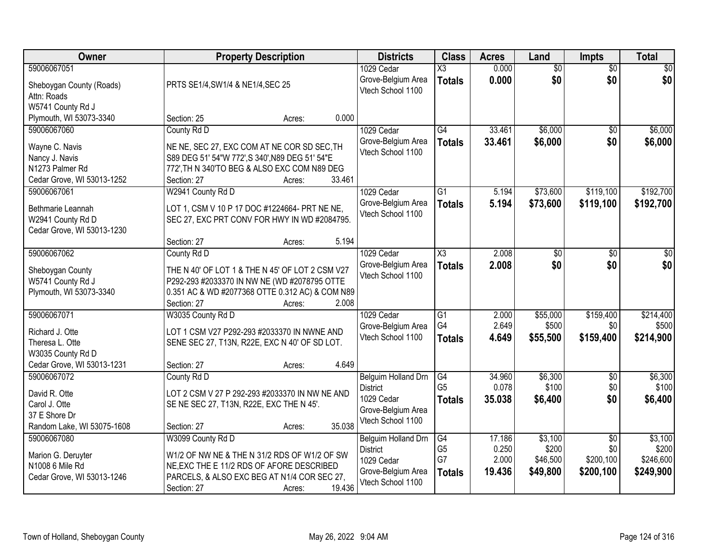| Owner                                                                                                | <b>Property Description</b>                                                                                                                                                                         | <b>Districts</b>                                                                                | <b>Class</b>                                | <b>Acres</b>                       | Land                                     | <b>Impts</b>                                     | <b>Total</b>                               |
|------------------------------------------------------------------------------------------------------|-----------------------------------------------------------------------------------------------------------------------------------------------------------------------------------------------------|-------------------------------------------------------------------------------------------------|---------------------------------------------|------------------------------------|------------------------------------------|--------------------------------------------------|--------------------------------------------|
| 59006067051<br>Sheboygan County (Roads)<br>Attn: Roads                                               | PRTS SE1/4, SW1/4 & NE1/4, SEC 25                                                                                                                                                                   | 1029 Cedar<br>Grove-Belgium Area<br>Vtech School 1100                                           | $\overline{\text{X3}}$<br><b>Totals</b>     | 0.000<br>0.000                     | $\overline{50}$<br>\$0                   | $\overline{50}$<br>\$0                           | $\sqrt{30}$<br>\$0                         |
| W5741 County Rd J<br>Plymouth, WI 53073-3340                                                         | Section: 25<br>0.000<br>Acres:                                                                                                                                                                      |                                                                                                 |                                             |                                    |                                          |                                                  |                                            |
| 59006067060<br>Wayne C. Navis<br>Nancy J. Navis<br>N1273 Palmer Rd<br>Cedar Grove, WI 53013-1252     | County Rd D<br>NE NE, SEC 27, EXC COM AT NE COR SD SEC, TH<br>S89 DEG 51' 54"W 772', S 340', N89 DEG 51' 54"E<br>772', TH N 340'TO BEG & ALSO EXC COM N89 DEG<br>33.461<br>Section: 27<br>Acres:    | 1029 Cedar<br>Grove-Belgium Area<br>Vtech School 1100                                           | $\overline{G4}$<br><b>Totals</b>            | 33.461<br>33.461                   | \$6,000<br>\$6,000                       | $\overline{50}$<br>\$0                           | \$6,000<br>\$6,000                         |
| 59006067061<br>Bethmarie Leannah<br>W2941 County Rd D<br>Cedar Grove, WI 53013-1230                  | W2941 County Rd D<br>LOT 1, CSM V 10 P 17 DOC #1224664- PRT NE NE,<br>SEC 27, EXC PRT CONV FOR HWY IN WD #2084795.<br>5.194<br>Section: 27<br>Acres:                                                | 1029 Cedar<br>Grove-Belgium Area<br>Vtech School 1100                                           | $\overline{G1}$<br><b>Totals</b>            | 5.194<br>5.194                     | \$73,600<br>\$73,600                     | \$119,100<br>\$119,100                           | \$192,700<br>\$192,700                     |
| 59006067062<br>Sheboygan County<br>W5741 County Rd J<br>Plymouth, WI 53073-3340                      | County Rd D<br>THE N 40' OF LOT 1 & THE N 45' OF LOT 2 CSM V27<br>P292-293 #2033370 IN NW NE (WD #2078795 OTTE<br>0.351 AC & WD #2077368 OTTE 0.312 AC) & COM N89<br>2.008<br>Section: 27<br>Acres: | 1029 Cedar<br>Grove-Belgium Area<br>Vtech School 1100                                           | $\overline{\text{X3}}$<br><b>Totals</b>     | 2.008<br>2.008                     | \$0<br>\$0                               | \$0<br>\$0                                       | \$0<br>\$0                                 |
| 59006067071<br>Richard J. Otte<br>Theresa L. Otte<br>W3035 County Rd D<br>Cedar Grove, WI 53013-1231 | W3035 County Rd D<br>LOT 1 CSM V27 P292-293 #2033370 IN NWNE AND<br>SENE SEC 27, T13N, R22E, EXC N 40' OF SD LOT.<br>4.649<br>Section: 27<br>Acres:                                                 | 1029 Cedar<br>Grove-Belgium Area<br>Vtech School 1100                                           | $\overline{G1}$<br>G4<br><b>Totals</b>      | 2.000<br>2.649<br>4.649            | \$55,000<br>\$500<br>\$55,500            | \$159,400<br>\$0<br>\$159,400                    | \$214,400<br>\$500<br>\$214,900            |
| 59006067072<br>David R. Otte<br>Carol J. Otte<br>37 E Shore Dr<br>Random Lake, WI 53075-1608         | County Rd D<br>LOT 2 CSM V 27 P 292-293 #2033370 IN NW NE AND<br>SE NE SEC 27, T13N, R22E, EXC THE N 45'.<br>35.038<br>Section: 27<br>Acres:                                                        | Belguim Holland Drn<br><b>District</b><br>1029 Cedar<br>Grove-Belgium Area<br>Vtech School 1100 | G4<br>G <sub>5</sub><br><b>Totals</b>       | 34.960<br>0.078<br>35.038          | \$6,300<br>\$100<br>\$6,400              | $\sqrt{6}$<br>\$0<br>\$0                         | \$6,300<br>\$100<br>\$6,400                |
| 59006067080<br>Marion G. Deruyter<br>N1008 6 Mile Rd<br>Cedar Grove, WI 53013-1246                   | W3099 County Rd D<br>W1/2 OF NW NE & THE N 31/2 RDS OF W1/2 OF SW<br>NE, EXC THE E 11/2 RDS OF AFORE DESCRIBED<br>PARCELS, & ALSO EXC BEG AT N1/4 COR SEC 27,<br>19.436<br>Section: 27<br>Acres:    | Belguim Holland Drn<br><b>District</b><br>1029 Cedar<br>Grove-Belgium Area<br>Vtech School 1100 | G4<br>G <sub>5</sub><br>G7<br><b>Totals</b> | 17.186<br>0.250<br>2.000<br>19.436 | \$3,100<br>\$200<br>\$46,500<br>\$49,800 | $\overline{30}$<br>\$0<br>\$200,100<br>\$200,100 | \$3,100<br>\$200<br>\$246,600<br>\$249,900 |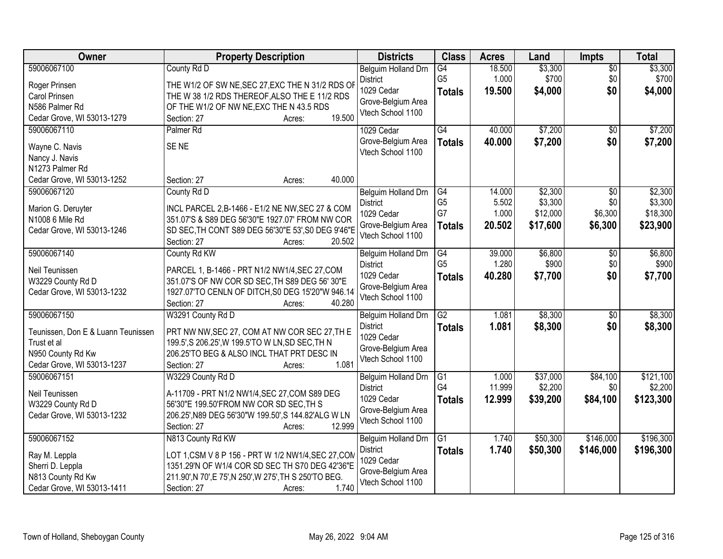| Owner                                                                                                               | <b>Property Description</b>                                                                                                                                                                                              | <b>Districts</b>                                                                                       | <b>Class</b>                                             | <b>Acres</b>                       | Land                                       | Impts                                        | <b>Total</b>                               |
|---------------------------------------------------------------------------------------------------------------------|--------------------------------------------------------------------------------------------------------------------------------------------------------------------------------------------------------------------------|--------------------------------------------------------------------------------------------------------|----------------------------------------------------------|------------------------------------|--------------------------------------------|----------------------------------------------|--------------------------------------------|
| 59006067100<br>Roger Prinsen<br>Carol Prinsen<br>N586 Palmer Rd<br>Cedar Grove, WI 53013-1279                       | County Rd D<br>THE W1/2 OF SW NE, SEC 27, EXC THE N 31/2 RDS OF<br>THE W 38 1/2 RDS THEREOF, ALSO THE E 11/2 RDS<br>OF THE W1/2 OF NW NE, EXC THE N 43.5 RDS<br>19.500<br>Section: 27<br>Acres:                          | Belguim Holland Drn<br><b>District</b><br>1029 Cedar<br>Grove-Belgium Area<br>Vtech School 1100        | G4<br>G <sub>5</sub><br><b>Totals</b>                    | 18.500<br>1.000<br>19.500          | \$3,300<br>\$700<br>\$4,000                | $\overline{50}$<br>\$0<br>\$0                | \$3,300<br>\$700<br>\$4,000                |
| 59006067110<br>Wayne C. Navis<br>Nancy J. Navis<br>N1273 Palmer Rd<br>Cedar Grove, WI 53013-1252                    | Palmer <sub>Rd</sub><br>SE <sub>NE</sub><br>40.000<br>Section: 27<br>Acres:                                                                                                                                              | 1029 Cedar<br>Grove-Belgium Area<br>Vtech School 1100                                                  | G4<br><b>Totals</b>                                      | 40.000<br>40.000                   | \$7,200<br>\$7,200                         | \$0<br>\$0                                   | \$7,200<br>\$7,200                         |
| 59006067120<br>Marion G. Deruyter<br>N1008 6 Mile Rd<br>Cedar Grove, WI 53013-1246                                  | County Rd D<br>INCL PARCEL 2, B-1466 - E1/2 NE NW, SEC 27 & COM<br>351.07'S & S89 DEG 56'30"E 1927.07' FROM NW COR<br>SD SEC, TH CONT S89 DEG 56'30"E 53', S0 DEG 9'46"E<br>20.502<br>Section: 27<br>Acres:              | Belguim Holland Drn<br><b>District</b><br>1029 Cedar<br>Grove-Belgium Area<br>Vtech School 1100        | $\overline{G4}$<br>G <sub>5</sub><br>G7<br><b>Totals</b> | 14.000<br>5.502<br>1.000<br>20.502 | \$2,300<br>\$3,300<br>\$12,000<br>\$17,600 | $\overline{50}$<br>\$0<br>\$6,300<br>\$6,300 | \$2,300<br>\$3,300<br>\$18,300<br>\$23,900 |
| 59006067140<br>Neil Teunissen<br>W3229 County Rd D<br>Cedar Grove, WI 53013-1232                                    | County Rd KW<br>PARCEL 1, B-1466 - PRT N1/2 NW1/4, SEC 27, COM<br>351.07'S OF NW COR SD SEC, TH S89 DEG 56' 30"E<br>1927.07'TO CENLN OF DITCH, S0 DEG 15'20"W 946.14<br>40.280<br>Section: 27<br>Acres:                  | <b>Belguim Holland Drn</b><br><b>District</b><br>1029 Cedar<br>Grove-Belgium Area<br>Vtech School 1100 | G4<br>G <sub>5</sub><br><b>Totals</b>                    | 39.000<br>1.280<br>40.280          | \$6,800<br>\$900<br>\$7,700                | \$0<br>\$0<br>\$0                            | \$6,800<br>\$900<br>\$7,700                |
| 59006067150<br>Teunissen, Don E & Luann Teunissen<br>Trust et al<br>N950 County Rd Kw<br>Cedar Grove, WI 53013-1237 | W3291 County Rd D<br>PRT NW NW, SEC 27, COM AT NW COR SEC 27, TH E<br>199.5', S 206.25', W 199.5'TO W LN, SD SEC, TH N<br>206.25'TO BEG & ALSO INCL THAT PRT DESC IN<br>1.081<br>Section: 27<br>Acres:                   | Belguim Holland Drn<br><b>District</b><br>1029 Cedar<br>Grove-Belgium Area<br>Vtech School 1100        | $\overline{G2}$<br><b>Totals</b>                         | 1.081<br>1.081                     | \$8,300<br>\$8,300                         | \$0<br>\$0                                   | \$8,300<br>\$8,300                         |
| 59006067151<br>Neil Teunissen<br>W3229 County Rd D<br>Cedar Grove, WI 53013-1232                                    | W3229 County Rd D<br>A-11709 - PRT N1/2 NW1/4, SEC 27, COM S89 DEG<br>56'30"E 199.50'FROM NW COR SD SEC, TH S<br>206.25', N89 DEG 56'30"W 199.50', S 144.82'ALG W LN<br>12.999<br>Section: 27<br>Acres:                  | Belguim Holland Drn<br><b>District</b><br>1029 Cedar<br>Grove-Belgium Area<br>Vtech School 1100        | G1<br>G4<br><b>Totals</b>                                | 1.000<br>11.999<br>12.999          | \$37,000<br>\$2,200<br>\$39,200            | \$84,100<br>\$0<br>\$84,100                  | \$121,100<br>\$2,200<br>\$123,300          |
| 59006067152<br>Ray M. Leppla<br>Sherri D. Leppla<br>N813 County Rd Kw<br>Cedar Grove, WI 53013-1411                 | N813 County Rd KW<br>LOT 1, CSM V 8 P 156 - PRT W 1/2 NW1/4, SEC 27, COM<br>1351.29'N OF W1/4 COR SD SEC TH S70 DEG 42'36"E<br>211.90', N 70', E 75', N 250', W 275', TH S 250'TO BEG.<br>1.740<br>Section: 27<br>Acres: | Belguim Holland Drn<br><b>District</b><br>1029 Cedar<br>Grove-Belgium Area<br>Vtech School 1100        | $\overline{G1}$<br><b>Totals</b>                         | 1.740<br>1.740                     | \$50,300<br>\$50,300                       | \$146,000<br>\$146,000                       | \$196,300<br>\$196,300                     |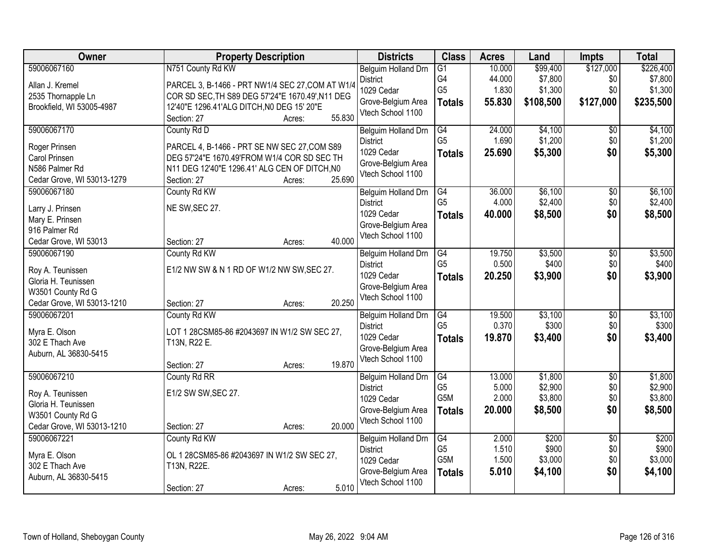| Owner                                                                                                     | <b>Property Description</b>                                                                                                                                                                                | <b>Districts</b>                                                                                | <b>Class</b>                                              | <b>Acres</b>                        | Land                                        | <b>Impts</b>                         | <b>Total</b>                                 |
|-----------------------------------------------------------------------------------------------------------|------------------------------------------------------------------------------------------------------------------------------------------------------------------------------------------------------------|-------------------------------------------------------------------------------------------------|-----------------------------------------------------------|-------------------------------------|---------------------------------------------|--------------------------------------|----------------------------------------------|
| 59006067160<br>Allan J. Kremel<br>2535 Thornapple Ln<br>Brookfield, WI 53005-4987                         | N751 County Rd KW<br>PARCEL 3, B-1466 - PRT NW1/4 SEC 27, COM AT W1/4<br>COR SD SEC, TH S89 DEG 57'24"E 1670.49', N11 DEG<br>12'40"E 1296.41'ALG DITCH, NO DEG 15' 20"E<br>55.830<br>Section: 27<br>Acres: | Belguim Holland Drn<br><b>District</b><br>1029 Cedar<br>Grove-Belgium Area<br>Vtech School 1100 | $\overline{G1}$<br>G4<br>G <sub>5</sub><br><b>Totals</b>  | 10.000<br>44.000<br>1.830<br>55.830 | \$99,400<br>\$7,800<br>\$1,300<br>\$108,500 | \$127,000<br>\$0<br>\$0<br>\$127,000 | \$226,400<br>\$7,800<br>\$1,300<br>\$235,500 |
| 59006067170<br>Roger Prinsen<br>Carol Prinsen<br>N586 Palmer Rd<br>Cedar Grove, WI 53013-1279             | County Rd D<br>PARCEL 4, B-1466 - PRT SE NW SEC 27, COM S89<br>DEG 57'24"E 1670.49'FROM W1/4 COR SD SEC TH<br>N11 DEG 12'40"E 1296.41' ALG CEN OF DITCH, NO<br>25.690<br>Section: 27<br>Acres:             | Belguim Holland Drn<br><b>District</b><br>1029 Cedar<br>Grove-Belgium Area<br>Vtech School 1100 | G4<br>G <sub>5</sub><br><b>Totals</b>                     | 24.000<br>1.690<br>25.690           | \$4,100<br>\$1,200<br>\$5,300               | \$0<br>\$0<br>\$0                    | \$4,100<br>\$1,200<br>\$5,300                |
| 59006067180<br>Larry J. Prinsen<br>Mary E. Prinsen<br>916 Palmer Rd<br>Cedar Grove, WI 53013              | County Rd KW<br>NE SW, SEC 27.<br>40.000<br>Section: 27<br>Acres:                                                                                                                                          | Belguim Holland Drn<br><b>District</b><br>1029 Cedar<br>Grove-Belgium Area<br>Vtech School 1100 | G4<br>G <sub>5</sub><br><b>Totals</b>                     | 36.000<br>4.000<br>40.000           | \$6,100<br>\$2,400<br>\$8,500               | \$0<br>\$0<br>\$0                    | \$6,100<br>\$2,400<br>\$8,500                |
| 59006067190<br>Roy A. Teunissen<br>Gloria H. Teunissen<br>W3501 County Rd G<br>Cedar Grove, WI 53013-1210 | County Rd KW<br>E1/2 NW SW & N 1 RD OF W1/2 NW SW, SEC 27.<br>20.250<br>Section: 27<br>Acres:                                                                                                              | Belguim Holland Drn<br><b>District</b><br>1029 Cedar<br>Grove-Belgium Area<br>Vtech School 1100 | G4<br>G <sub>5</sub><br><b>Totals</b>                     | 19.750<br>0.500<br>20.250           | \$3,500<br>\$400<br>\$3,900                 | $\sqrt{6}$<br>\$0<br>\$0             | \$3,500<br>\$400<br>\$3,900                  |
| 59006067201<br>Myra E. Olson<br>302 E Thach Ave<br>Auburn, AL 36830-5415                                  | County Rd KW<br>LOT 1 28CSM85-86 #2043697 IN W1/2 SW SEC 27,<br>T13N, R22 E.<br>19.870<br>Section: 27<br>Acres:                                                                                            | Belguim Holland Drn<br><b>District</b><br>1029 Cedar<br>Grove-Belgium Area<br>Vtech School 1100 | $\overline{G4}$<br>G <sub>5</sub><br><b>Totals</b>        | 19.500<br>0.370<br>19.870           | \$3,100<br>\$300<br>\$3,400                 | $\overline{30}$<br>\$0<br>\$0        | \$3,100<br>\$300<br>\$3,400                  |
| 59006067210<br>Roy A. Teunissen<br>Gloria H. Teunissen<br>W3501 County Rd G<br>Cedar Grove, WI 53013-1210 | County Rd RR<br>E1/2 SW SW, SEC 27.<br>20.000<br>Section: 27<br>Acres:                                                                                                                                     | Belguim Holland Drn<br><b>District</b><br>1029 Cedar<br>Grove-Belgium Area<br>Vtech School 1100 | G4<br>G <sub>5</sub><br>G <sub>5</sub> M<br><b>Totals</b> | 13.000<br>5.000<br>2.000<br>20.000  | \$1,800<br>\$2,900<br>\$3,800<br>\$8,500    | $\overline{50}$<br>\$0<br>\$0<br>\$0 | \$1,800<br>\$2,900<br>\$3,800<br>\$8,500     |
| 59006067221<br>Myra E. Olson<br>302 E Thach Ave<br>Auburn, AL 36830-5415                                  | County Rd KW<br>OL 1 28CSM85-86 #2043697 IN W1/2 SW SEC 27,<br>T13N, R22E.<br>5.010<br>Section: 27<br>Acres:                                                                                               | Belguim Holland Drn<br><b>District</b><br>1029 Cedar<br>Grove-Belgium Area<br>Vtech School 1100 | G4<br>G <sub>5</sub><br>G5M<br><b>Totals</b>              | 2.000<br>1.510<br>1.500<br>5.010    | \$200<br>\$900<br>\$3,000<br>\$4,100        | $\overline{30}$<br>\$0<br>\$0<br>\$0 | \$200<br>\$900<br>\$3,000<br>\$4,100         |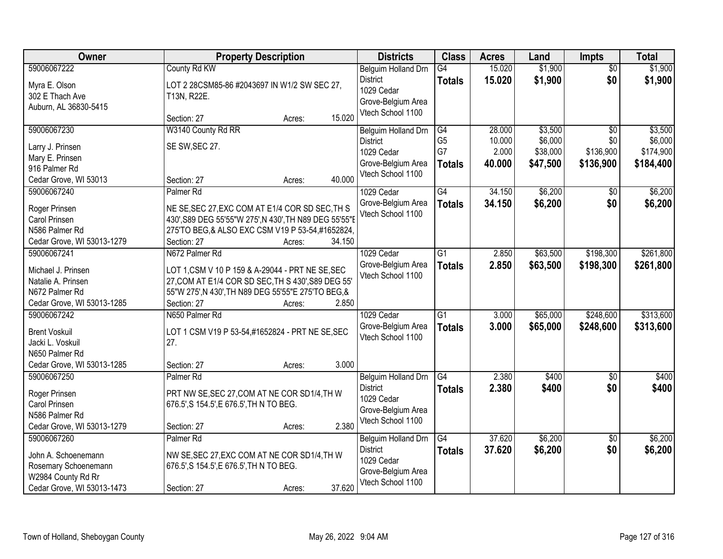| Owner                      |                                                        | <b>Property Description</b> |        | <b>Districts</b>    | <b>Class</b>    | <b>Acres</b> | Land     | <b>Impts</b>    | <b>Total</b> |
|----------------------------|--------------------------------------------------------|-----------------------------|--------|---------------------|-----------------|--------------|----------|-----------------|--------------|
| 59006067222                | County Rd KW                                           |                             |        | Belguim Holland Drn | $\overline{G4}$ | 15.020       | \$1,900  | $\overline{50}$ | \$1,900      |
| Myra E. Olson              | LOT 2 28CSM85-86 #2043697 IN W1/2 SW SEC 27,           |                             |        | <b>District</b>     | <b>Totals</b>   | 15.020       | \$1,900  | \$0             | \$1,900      |
| 302 E Thach Ave            | T13N, R22E.                                            |                             |        | 1029 Cedar          |                 |              |          |                 |              |
| Auburn, AL 36830-5415      |                                                        |                             |        | Grove-Belgium Area  |                 |              |          |                 |              |
|                            | Section: 27                                            | Acres:                      | 15.020 | Vtech School 1100   |                 |              |          |                 |              |
| 59006067230                | W3140 County Rd RR                                     |                             |        | Belguim Holland Drn | G4              | 28,000       | \$3,500  | $\overline{30}$ | \$3,500      |
| Larry J. Prinsen           | SE SW, SEC 27.                                         |                             |        | <b>District</b>     | G <sub>5</sub>  | 10.000       | \$6,000  | \$0             | \$6,000      |
| Mary E. Prinsen            |                                                        |                             |        | 1029 Cedar          | G7              | 2.000        | \$38,000 | \$136,900       | \$174,900    |
| 916 Palmer Rd              |                                                        |                             |        | Grove-Belgium Area  | <b>Totals</b>   | 40.000       | \$47,500 | \$136,900       | \$184,400    |
| Cedar Grove, WI 53013      | Section: 27                                            | Acres:                      | 40.000 | Vtech School 1100   |                 |              |          |                 |              |
| 59006067240                | Palmer <sub>Rd</sub>                                   |                             |        | 1029 Cedar          | G4              | 34.150       | \$6,200  | \$0             | \$6,200      |
|                            |                                                        |                             |        | Grove-Belgium Area  | <b>Totals</b>   | 34.150       | \$6,200  | \$0             | \$6,200      |
| Roger Prinsen              | NE SE, SEC 27, EXC COM AT E1/4 COR SD SEC, TH S        |                             |        | Vtech School 1100   |                 |              |          |                 |              |
| Carol Prinsen              | 430', S89 DEG 55'55"W 275', N 430', TH N89 DEG 55'55"  |                             |        |                     |                 |              |          |                 |              |
| N586 Palmer Rd             | 275'TO BEG, & ALSO EXC CSM V19 P 53-54, #1652824,      |                             |        |                     |                 |              |          |                 |              |
| Cedar Grove, WI 53013-1279 | Section: 27                                            | Acres:                      | 34.150 |                     |                 |              |          |                 |              |
| 59006067241                | N672 Palmer Rd                                         |                             |        | 1029 Cedar          | $\overline{G1}$ | 2.850        | \$63,500 | \$198,300       | \$261,800    |
| Michael J. Prinsen         | LOT 1, CSM V 10 P 159 & A-29044 - PRT NE SE, SEC       |                             |        | Grove-Belgium Area  | <b>Totals</b>   | 2.850        | \$63,500 | \$198,300       | \$261,800    |
| Natalie A. Prinsen         | 27, COM AT E1/4 COR SD SEC, TH S 430', S89 DEG 55'     |                             |        | Vtech School 1100   |                 |              |          |                 |              |
| N672 Palmer Rd             | 55"W 275', N 430', TH N89 DEG 55'55"E 275'TO BEG, &    |                             |        |                     |                 |              |          |                 |              |
| Cedar Grove, WI 53013-1285 | Section: 27                                            | Acres:                      | 2.850  |                     |                 |              |          |                 |              |
| 59006067242                | N650 Palmer Rd                                         |                             |        | 1029 Cedar          | $\overline{G1}$ | 3.000        | \$65,000 | \$248,600       | \$313,600    |
| <b>Brent Voskuil</b>       |                                                        |                             |        | Grove-Belgium Area  | <b>Totals</b>   | 3.000        | \$65,000 | \$248,600       | \$313,600    |
| Jacki L. Voskuil           | LOT 1 CSM V19 P 53-54,#1652824 - PRT NE SE, SEC<br>27. |                             |        | Vtech School 1100   |                 |              |          |                 |              |
| N650 Palmer Rd             |                                                        |                             |        |                     |                 |              |          |                 |              |
| Cedar Grove, WI 53013-1285 | Section: 27                                            | Acres:                      | 3.000  |                     |                 |              |          |                 |              |
| 59006067250                | Palmer <sub>Rd</sub>                                   |                             |        | Belguim Holland Drn | G4              | 2.380        | \$400    | $\sqrt{6}$      | \$400        |
|                            |                                                        |                             |        | <b>District</b>     | <b>Totals</b>   | 2.380        | \$400    | \$0             | \$400        |
| Roger Prinsen              | PRT NW SE, SEC 27, COM AT NE COR SD1/4, TH W           |                             |        | 1029 Cedar          |                 |              |          |                 |              |
| Carol Prinsen              | 676.5', S 154.5', E 676.5', TH N TO BEG.               |                             |        | Grove-Belgium Area  |                 |              |          |                 |              |
| N586 Palmer Rd             |                                                        |                             |        | Vtech School 1100   |                 |              |          |                 |              |
| Cedar Grove, WI 53013-1279 | Section: 27                                            | Acres:                      | 2.380  |                     |                 |              |          |                 |              |
| 59006067260                | Palmer <sub>Rd</sub>                                   |                             |        | Belguim Holland Drn | $\overline{G4}$ | 37.620       | \$6,200  | $\overline{50}$ | \$6,200      |
| John A. Schoenemann        | NW SE, SEC 27, EXC COM AT NE COR SD1/4, TH W           |                             |        | <b>District</b>     | <b>Totals</b>   | 37.620       | \$6,200  | \$0             | \$6,200      |
| Rosemary Schoenemann       | 676.5', S 154.5', E 676.5', TH N TO BEG.               |                             |        | 1029 Cedar          |                 |              |          |                 |              |
| W2984 County Rd Rr         |                                                        |                             |        | Grove-Belgium Area  |                 |              |          |                 |              |
| Cedar Grove, WI 53013-1473 | Section: 27                                            | Acres:                      | 37.620 | Vtech School 1100   |                 |              |          |                 |              |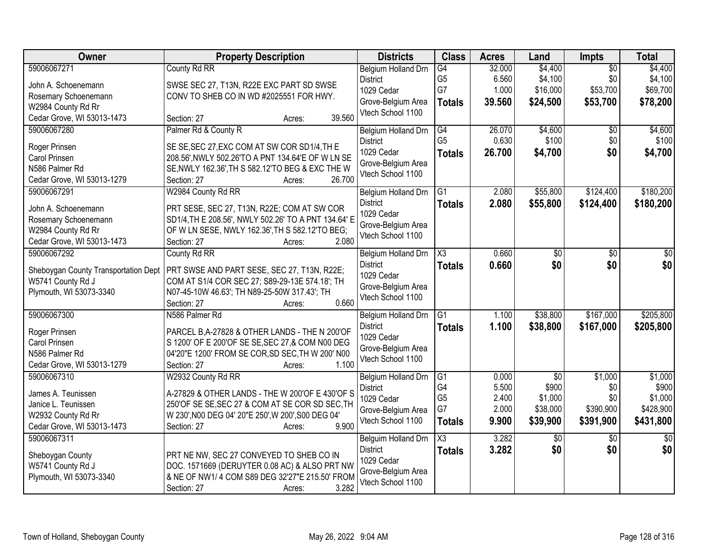| Owner                                | <b>Property Description</b>                          | <b>Districts</b>              | <b>Class</b>    | <b>Acres</b> | Land            | <b>Impts</b>    | <b>Total</b> |
|--------------------------------------|------------------------------------------------------|-------------------------------|-----------------|--------------|-----------------|-----------------|--------------|
| 59006067271                          | County Rd RR                                         | <b>Belgium Holland Drn</b>    | G4              | 32.000       | \$4,400         | $\overline{50}$ | \$4,400      |
| John A. Schoenemann                  | SWSE SEC 27, T13N, R22E EXC PART SD SWSE             | <b>District</b>               | G <sub>5</sub>  | 6.560        | \$4,100         | \$0             | \$4,100      |
| Rosemary Schoenemann                 | CONV TO SHEB CO IN WD #2025551 FOR HWY.              | 1029 Cedar                    | G7              | 1.000        | \$16,000        | \$53,700        | \$69,700     |
| W2984 County Rd Rr                   |                                                      | Grove-Belgium Area            | <b>Totals</b>   | 39.560       | \$24,500        | \$53,700        | \$78,200     |
| Cedar Grove, WI 53013-1473           | 39.560<br>Section: 27<br>Acres:                      | Vtech School 1100             |                 |              |                 |                 |              |
| 59006067280                          | Palmer Rd & County R                                 | Belgium Holland Drn           | G4              | 26.070       | \$4,600         | $\sqrt{6}$      | \$4,600      |
| Roger Prinsen                        | SE SE, SEC 27, EXC COM AT SW COR SD1/4, TH E         | <b>District</b>               | G <sub>5</sub>  | 0.630        | \$100           | \$0             | \$100        |
| Carol Prinsen                        | 208.56', NWLY 502.26'TO A PNT 134.64'E OF W LN SE    | 1029 Cedar                    | <b>Totals</b>   | 26.700       | \$4,700         | \$0             | \$4,700      |
| N586 Palmer Rd                       | SE, NWLY 162.36', TH S 582.12'TO BEG & EXC THE W     | Grove-Belgium Area            |                 |              |                 |                 |              |
| Cedar Grove, WI 53013-1279           | 26.700<br>Section: 27<br>Acres:                      | Vtech School 1100             |                 |              |                 |                 |              |
| 59006067291                          | W2984 County Rd RR                                   | Belgium Holland Drn           | G1              | 2.080        | \$55,800        | \$124,400       | \$180,200    |
| John A. Schoenemann                  | PRT SESE, SEC 27, T13N, R22E; COM AT SW COR          | <b>District</b>               | <b>Totals</b>   | 2.080        | \$55,800        | \$124,400       | \$180,200    |
| Rosemary Schoenemann                 | SD1/4, TH E 208.56', NWLY 502.26' TO A PNT 134.64' E | 1029 Cedar                    |                 |              |                 |                 |              |
| W2984 County Rd Rr                   | OF W LN SESE, NWLY 162.36', TH S 582.12'TO BEG;      | Grove-Belgium Area            |                 |              |                 |                 |              |
| Cedar Grove, WI 53013-1473           | 2.080<br>Section: 27<br>Acres:                       | Vtech School 1100             |                 |              |                 |                 |              |
| 59006067292                          | County Rd RR                                         | Belgium Holland Drn           | X3              | 0.660        | \$0             | $\sqrt[6]{}$    | \$0          |
|                                      |                                                      | <b>District</b>               | <b>Totals</b>   | 0.660        | \$0             | \$0             | \$0          |
| Sheboygan County Transportation Dept | PRT SWSE AND PART SESE, SEC 27, T13N, R22E;          | 1029 Cedar                    |                 |              |                 |                 |              |
| W5741 County Rd J                    | COM AT S1/4 COR SEC 27; S89-29-13E 574.18'; TH       | Grove-Belgium Area            |                 |              |                 |                 |              |
| Plymouth, WI 53073-3340              | N07-45-10W 46.63'; TH N89-25-50W 317.43'; TH         | Vtech School 1100             |                 |              |                 |                 |              |
|                                      | 0.660<br>Section: 27<br>Acres:                       |                               |                 |              |                 |                 |              |
| 59006067300                          | N586 Palmer Rd                                       | <b>Belgium Holland Drn</b>    | $\overline{G1}$ | 1.100        | \$38,800        | \$167,000       | \$205,800    |
| Roger Prinsen                        | PARCEL B, A-27828 & OTHER LANDS - THE N 200'OF       | <b>District</b><br>1029 Cedar | <b>Totals</b>   | 1.100        | \$38,800        | \$167,000       | \$205,800    |
| Carol Prinsen                        | S 1200' OF E 200'OF SE SE, SEC 27, & COM N00 DEG     | Grove-Belgium Area            |                 |              |                 |                 |              |
| N586 Palmer Rd                       | 04'20"E 1200' FROM SE COR, SD SEC, TH W 200' N00     | Vtech School 1100             |                 |              |                 |                 |              |
| Cedar Grove, WI 53013-1279           | 1.100<br>Section: 27<br>Acres:                       |                               |                 |              |                 |                 |              |
| 59006067310                          | W2932 County Rd RR                                   | Belgium Holland Drn           | G1              | 0.000        | $\overline{30}$ | \$1,000         | \$1,000      |
| James A. Teunissen                   | A-27829 & OTHER LANDS - THE W 200'OF E 430'OF S      | <b>District</b>               | G4              | 5.500        | \$900           | \$0             | \$900        |
| Janice L. Teunissen                  | 250'OF SE SE, SEC 27 & COM AT SE COR SD SEC, TH      | 1029 Cedar                    | G <sub>5</sub>  | 2.400        | \$1,000         | \$0             | \$1,000      |
| W2932 County Rd Rr                   | W 230', N00 DEG 04' 20"E 250', W 200', S00 DEG 04'   | Grove-Belgium Area            | G7              | 2.000        | \$38,000        | \$390,900       | \$428,900    |
| Cedar Grove, WI 53013-1473           | 9.900<br>Section: 27<br>Acres:                       | Vtech School 1100             | <b>Totals</b>   | 9.900        | \$39,900        | \$391,900       | \$431,800    |
| 59006067311                          |                                                      | Belguim Holland Drn           | X3              | 3.282        | $\overline{50}$ | $\overline{30}$ | $\sqrt{50}$  |
| Sheboygan County                     | PRT NE NW, SEC 27 CONVEYED TO SHEB CO IN             | <b>District</b>               | <b>Totals</b>   | 3.282        | \$0             | \$0             | \$0          |
| W5741 County Rd J                    | DOC. 1571669 (DERUYTER 0.08 AC) & ALSO PRT NW        | 1029 Cedar                    |                 |              |                 |                 |              |
| Plymouth, WI 53073-3340              | & NE OF NW1/4 COM S89 DEG 32'27"E 215.50' FROM       | Grove-Belgium Area            |                 |              |                 |                 |              |
|                                      | 3.282<br>Section: 27<br>Acres:                       | Vtech School 1100             |                 |              |                 |                 |              |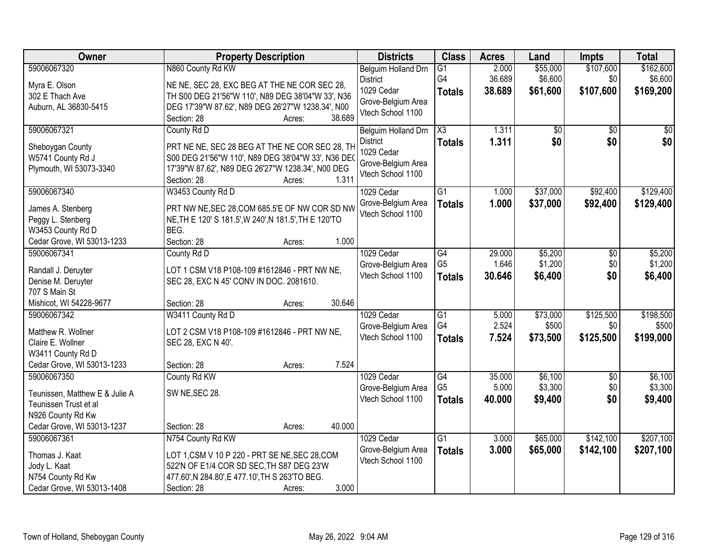| Owner                               | <b>Property Description</b>                           |                  | <b>Districts</b>    | <b>Class</b>           | <b>Acres</b> | Land     | <b>Impts</b>    | <b>Total</b>    |
|-------------------------------------|-------------------------------------------------------|------------------|---------------------|------------------------|--------------|----------|-----------------|-----------------|
| 59006067320                         | N860 County Rd KW                                     |                  | Belguim Holland Drn | $\overline{G1}$        | 2.000        | \$55,000 | \$107,600       | \$162,600       |
| Myra E. Olson                       | NE NE, SEC 28, EXC BEG AT THE NE COR SEC 28,          |                  | <b>District</b>     | G4                     | 36.689       | \$6,600  | \$0             | \$6,600         |
| 302 E Thach Ave                     | TH S00 DEG 21'56"W 110', N89 DEG 38'04"W 33', N36     |                  | 1029 Cedar          | <b>Totals</b>          | 38.689       | \$61,600 | \$107,600       | \$169,200       |
| Auburn, AL 36830-5415               | DEG 17'39"W 87.62', N89 DEG 26'27"W 1238.34', N00     |                  | Grove-Belgium Area  |                        |              |          |                 |                 |
|                                     | Section: 28                                           | 38.689<br>Acres: | Vtech School 1100   |                        |              |          |                 |                 |
| 59006067321                         | County Rd D                                           |                  | Belguim Holland Drn | $\overline{\text{X3}}$ | 1.311        | \$0      | $\overline{50}$ | $\overline{50}$ |
| Sheboygan County                    | PRT NE NE, SEC 28 BEG AT THE NE COR SEC 28, TH        |                  | <b>District</b>     | <b>Totals</b>          | 1.311        | \$0      | \$0             | \$0             |
| W5741 County Rd J                   | S00 DEG 21'56"W 110', N89 DEG 38'04"W 33', N36 DE     |                  | 1029 Cedar          |                        |              |          |                 |                 |
| Plymouth, WI 53073-3340             | 17'39"W 87.62', N89 DEG 26'27"W 1238.34', N00 DEG     |                  | Grove-Belgium Area  |                        |              |          |                 |                 |
|                                     | Section: 28                                           | 1.311<br>Acres:  | Vtech School 1100   |                        |              |          |                 |                 |
| 59006067340                         | W3453 County Rd D                                     |                  | 1029 Cedar          | $\overline{G1}$        | 1.000        | \$37,000 | \$92,400        | \$129,400       |
| James A. Stenberg                   | PRT NW NE, SEC 28, COM 685.5'E OF NW COR SD NW        |                  | Grove-Belgium Area  | <b>Totals</b>          | 1.000        | \$37,000 | \$92,400        | \$129,400       |
| Peggy L. Stenberg                   | NE, TH E 120' S 181.5', W 240', N 181.5', TH E 120'TO |                  | Vtech School 1100   |                        |              |          |                 |                 |
| W3453 County Rd D                   | BEG.                                                  |                  |                     |                        |              |          |                 |                 |
| Cedar Grove, WI 53013-1233          | Section: 28                                           | 1.000<br>Acres:  |                     |                        |              |          |                 |                 |
| 59006067341                         | County Rd D                                           |                  | 1029 Cedar          | G4                     | 29.000       | \$5,200  | \$0             | \$5,200         |
|                                     |                                                       |                  | Grove-Belgium Area  | G <sub>5</sub>         | 1.646        | \$1,200  | \$0             | \$1,200         |
| Randall J. Deruyter                 | LOT 1 CSM V18 P108-109 #1612846 - PRT NW NE,          |                  | Vtech School 1100   | <b>Totals</b>          | 30.646       | \$6,400  | \$0             | \$6,400         |
| Denise M. Deruyter<br>707 S Main St | SEC 28, EXC N 45' CONV IN DOC. 2081610.               |                  |                     |                        |              |          |                 |                 |
| Mishicot, WI 54228-9677             | Section: 28                                           | 30.646<br>Acres: |                     |                        |              |          |                 |                 |
| 59006067342                         | W3411 County Rd D                                     |                  | 1029 Cedar          | $\overline{G1}$        | 5.000        | \$73,000 | \$125,500       | \$198,500       |
|                                     |                                                       |                  | Grove-Belgium Area  | G4                     | 2.524        | \$500    | \$0             | \$500           |
| Matthew R. Wollner                  | LOT 2 CSM V18 P108-109 #1612846 - PRT NW NE,          |                  | Vtech School 1100   | <b>Totals</b>          | 7.524        | \$73,500 | \$125,500       | \$199,000       |
| Claire E. Wollner                   | SEC 28, EXC N 40'.                                    |                  |                     |                        |              |          |                 |                 |
| W3411 County Rd D                   |                                                       |                  |                     |                        |              |          |                 |                 |
| Cedar Grove, WI 53013-1233          | Section: 28                                           | 7.524<br>Acres:  |                     |                        |              |          |                 |                 |
| 59006067350                         | County Rd KW                                          |                  | 1029 Cedar          | $\overline{G4}$        | 35.000       | \$6,100  | $\overline{50}$ | \$6,100         |
| Teunissen, Matthew E & Julie A      | SW NE, SEC 28.                                        |                  | Grove-Belgium Area  | G <sub>5</sub>         | 5.000        | \$3,300  | \$0             | \$3,300         |
| Teunissen Trust et al               |                                                       |                  | Vtech School 1100   | <b>Totals</b>          | 40.000       | \$9,400  | \$0             | \$9,400         |
| N926 County Rd Kw                   |                                                       |                  |                     |                        |              |          |                 |                 |
| Cedar Grove, WI 53013-1237          | Section: 28                                           | 40.000<br>Acres: |                     |                        |              |          |                 |                 |
| 59006067361                         | N754 County Rd KW                                     |                  | 1029 Cedar          | $\overline{G1}$        | 3.000        | \$65,000 | \$142,100       | \$207,100       |
| Thomas J. Kaat                      | LOT 1,CSM V 10 P 220 - PRT SE NE, SEC 28, COM         |                  | Grove-Belgium Area  | <b>Totals</b>          | 3.000        | \$65,000 | \$142,100       | \$207,100       |
| Jody L. Kaat                        | 522'N OF E1/4 COR SD SEC, TH S87 DEG 23'W             |                  | Vtech School 1100   |                        |              |          |                 |                 |
| N754 County Rd Kw                   | 477.60', N 284.80', E 477.10', TH S 263'TO BEG.       |                  |                     |                        |              |          |                 |                 |
| Cedar Grove, WI 53013-1408          | Section: 28                                           | 3.000<br>Acres:  |                     |                        |              |          |                 |                 |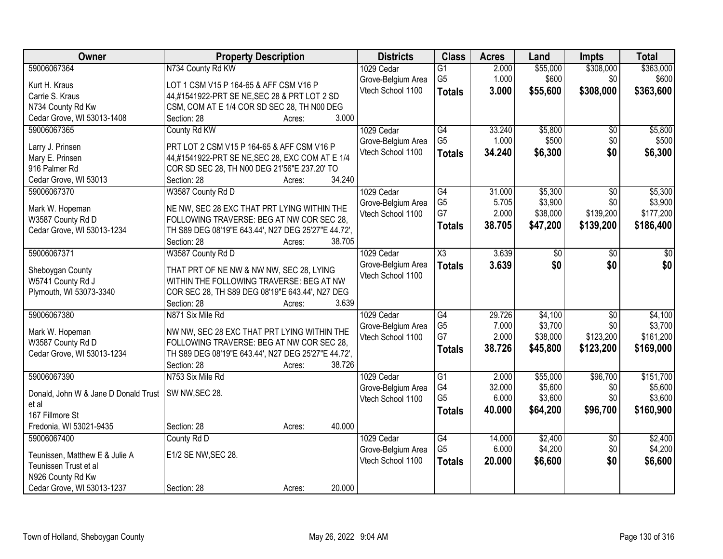| <b>Owner</b>                         | <b>Property Description</b>                            | <b>Districts</b>   | <b>Class</b>                      | <b>Acres</b>    | Land                | <b>Impts</b>           | <b>Total</b>         |
|--------------------------------------|--------------------------------------------------------|--------------------|-----------------------------------|-----------------|---------------------|------------------------|----------------------|
| 59006067364                          | N734 County Rd KW                                      | 1029 Cedar         | $\overline{G1}$                   | 2.000           | \$55,000            | \$308,000              | \$363,000            |
| Kurt H. Kraus                        | LOT 1 CSM V15 P 164-65 & AFF CSM V16 P                 | Grove-Belgium Area | G <sub>5</sub>                    | 1.000           | \$600               | \$0                    | \$600                |
| Carrie S. Kraus                      | 44,#1541922-PRT SE NE, SEC 28 & PRT LOT 2 SD           | Vtech School 1100  | <b>Totals</b>                     | 3.000           | \$55,600            | \$308,000              | \$363,600            |
| N734 County Rd Kw                    | CSM, COM AT E 1/4 COR SD SEC 28, TH N00 DEG            |                    |                                   |                 |                     |                        |                      |
| Cedar Grove, WI 53013-1408           | 3.000<br>Section: 28<br>Acres:                         |                    |                                   |                 |                     |                        |                      |
| 59006067365                          | County Rd KW                                           | 1029 Cedar         | G4                                | 33.240          | \$5,800             | \$0                    | \$5,800              |
|                                      |                                                        | Grove-Belgium Area | G <sub>5</sub>                    | 1.000           | \$500               | \$0                    | \$500                |
| Larry J. Prinsen                     | PRT LOT 2 CSM V15 P 164-65 & AFF CSM V16 P             | Vtech School 1100  | <b>Totals</b>                     | 34.240          | \$6,300             | \$0                    | \$6,300              |
| Mary E. Prinsen                      | 44,#1541922-PRT SE NE, SEC 28, EXC COM AT E 1/4        |                    |                                   |                 |                     |                        |                      |
| 916 Palmer Rd                        | COR SD SEC 28, TH N00 DEG 21'56"E 237.20' TO<br>34.240 |                    |                                   |                 |                     |                        |                      |
| Cedar Grove, WI 53013                | Section: 28<br>Acres:                                  |                    |                                   |                 |                     |                        |                      |
| 59006067370                          | W3587 County Rd D                                      | 1029 Cedar         | $\overline{G4}$                   | 31.000          | \$5,300             | \$0                    | \$5,300              |
| Mark W. Hopeman                      | NE NW, SEC 28 EXC THAT PRT LYING WITHIN THE            | Grove-Belgium Area | G <sub>5</sub><br>G7              | 5.705<br>2.000  | \$3,900<br>\$38,000 | \$0<br>\$139,200       | \$3,900<br>\$177,200 |
| W3587 County Rd D                    | FOLLOWING TRAVERSE: BEG AT NW COR SEC 28,              | Vtech School 1100  |                                   |                 |                     |                        |                      |
| Cedar Grove, WI 53013-1234           | TH S89 DEG 08'19"E 643.44', N27 DEG 25'27"E 44.72',    |                    | <b>Totals</b>                     | 38.705          | \$47,200            | \$139,200              | \$186,400            |
|                                      | 38.705<br>Section: 28<br>Acres:                        |                    |                                   |                 |                     |                        |                      |
| 59006067371                          | W3587 County Rd D                                      | 1029 Cedar         | X3                                | 3.639           | \$0                 | $\sqrt[6]{}$           | \$0                  |
|                                      |                                                        | Grove-Belgium Area | <b>Totals</b>                     | 3.639           | \$0                 | \$0                    | \$0                  |
| Sheboygan County                     | THAT PRT OF NE NW & NW NW, SEC 28, LYING               | Vtech School 1100  |                                   |                 |                     |                        |                      |
| W5741 County Rd J                    | WITHIN THE FOLLOWING TRAVERSE: BEG AT NW               |                    |                                   |                 |                     |                        |                      |
| Plymouth, WI 53073-3340              | COR SEC 28, TH S89 DEG 08'19"E 643.44', N27 DEG        |                    |                                   |                 |                     |                        |                      |
|                                      | 3.639<br>Section: 28<br>Acres:                         |                    |                                   |                 |                     |                        |                      |
| 59006067380                          | N871 Six Mile Rd                                       | 1029 Cedar         | $\overline{G4}$                   | 29.726          | \$4,100             | $\overline{50}$        | \$4,100              |
| Mark W. Hopeman                      | NW NW, SEC 28 EXC THAT PRT LYING WITHIN THE            | Grove-Belgium Area | G <sub>5</sub>                    | 7.000           | \$3,700             | \$0                    | \$3,700              |
| W3587 County Rd D                    | FOLLOWING TRAVERSE: BEG AT NW COR SEC 28.              | Vtech School 1100  | G7                                | 2.000           | \$38,000            | \$123,200              | \$161,200            |
| Cedar Grove, WI 53013-1234           | TH S89 DEG 08'19"E 643.44', N27 DEG 25'27"E 44.72',    |                    | <b>Totals</b>                     | 38.726          | \$45,800            | \$123,200              | \$169,000            |
|                                      | Section: 28<br>38.726<br>Acres:                        |                    |                                   |                 |                     |                        |                      |
| 59006067390                          | N753 Six Mile Rd                                       | 1029 Cedar         | $\overline{G1}$                   | 2.000           | \$55,000            | \$96,700               | \$151,700            |
|                                      |                                                        | Grove-Belgium Area | G4                                | 32.000          | \$5,600             | \$0                    | \$5,600              |
| Donald, John W & Jane D Donald Trust | SW NW, SEC 28.                                         | Vtech School 1100  | G <sub>5</sub>                    | 6.000           | \$3,600             | \$0                    | \$3,600              |
| et al<br>167 Fillmore St             |                                                        |                    | <b>Totals</b>                     | 40.000          | \$64,200            | \$96,700               | \$160,900            |
| Fredonia, WI 53021-9435              | 40.000<br>Section: 28                                  |                    |                                   |                 |                     |                        |                      |
|                                      | Acres:                                                 |                    |                                   |                 |                     |                        |                      |
| 59006067400                          | County Rd D                                            | 1029 Cedar         | $\overline{G4}$<br>G <sub>5</sub> | 14.000<br>6.000 | \$2,400<br>\$4,200  | $\overline{30}$<br>\$0 | \$2,400<br>\$4,200   |
| Teunissen, Matthew E & Julie A       | E1/2 SE NW, SEC 28.                                    | Grove-Belgium Area |                                   |                 |                     |                        |                      |
| Teunissen Trust et al                |                                                        | Vtech School 1100  | <b>Totals</b>                     | 20.000          | \$6,600             | \$0                    | \$6,600              |
| N926 County Rd Kw                    |                                                        |                    |                                   |                 |                     |                        |                      |
| Cedar Grove, WI 53013-1237           | 20.000<br>Section: 28<br>Acres:                        |                    |                                   |                 |                     |                        |                      |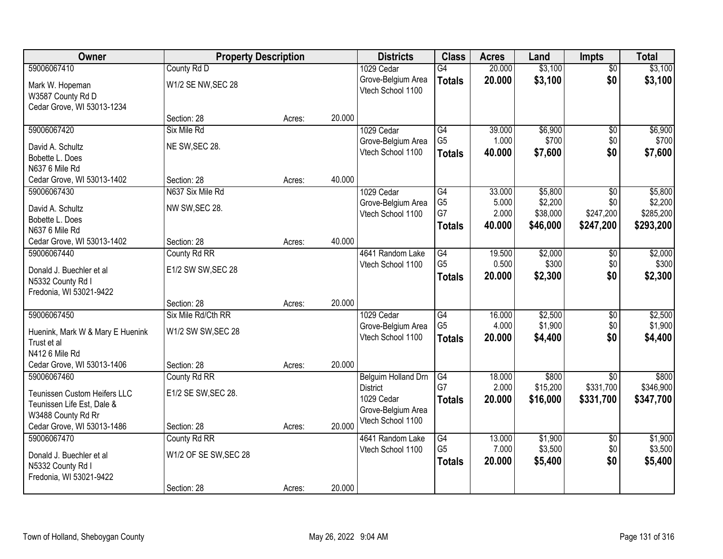| Owner                                           | <b>Property Description</b> |        |        | <b>Districts</b>    | <b>Class</b>    | <b>Acres</b> | Land     | <b>Impts</b>    | <b>Total</b> |
|-------------------------------------------------|-----------------------------|--------|--------|---------------------|-----------------|--------------|----------|-----------------|--------------|
| 59006067410                                     | County Rd D                 |        |        | 1029 Cedar          | G4              | 20.000       | \$3,100  | $\overline{50}$ | \$3,100      |
| Mark W. Hopeman                                 | W1/2 SE NW, SEC 28          |        |        | Grove-Belgium Area  | <b>Totals</b>   | 20.000       | \$3,100  | \$0             | \$3,100      |
| W3587 County Rd D                               |                             |        |        | Vtech School 1100   |                 |              |          |                 |              |
| Cedar Grove, WI 53013-1234                      |                             |        |        |                     |                 |              |          |                 |              |
|                                                 | Section: 28                 | Acres: | 20.000 |                     |                 |              |          |                 |              |
| 59006067420                                     | Six Mile Rd                 |        |        | 1029 Cedar          | $\overline{G4}$ | 39.000       | \$6,900  | \$0             | \$6,900      |
| David A. Schultz                                | NE SW, SEC 28.              |        |        | Grove-Belgium Area  | G <sub>5</sub>  | 1.000        | \$700    | \$0             | \$700        |
| Bobette L. Does                                 |                             |        |        | Vtech School 1100   | <b>Totals</b>   | 40.000       | \$7,600  | \$0             | \$7,600      |
| N637 6 Mile Rd                                  |                             |        |        |                     |                 |              |          |                 |              |
| Cedar Grove, WI 53013-1402                      | Section: 28                 | Acres: | 40.000 |                     |                 |              |          |                 |              |
| 59006067430                                     | N637 Six Mile Rd            |        |        | 1029 Cedar          | $\overline{G4}$ | 33.000       | \$5,800  | \$0             | \$5,800      |
| David A. Schultz                                | NW SW, SEC 28.              |        |        | Grove-Belgium Area  | G <sub>5</sub>  | 5.000        | \$2,200  | \$0             | \$2,200      |
| Bobette L. Does                                 |                             |        |        | Vtech School 1100   | G7              | 2.000        | \$38,000 | \$247,200       | \$285,200    |
| N637 6 Mile Rd                                  |                             |        |        |                     | <b>Totals</b>   | 40.000       | \$46,000 | \$247,200       | \$293,200    |
| Cedar Grove, WI 53013-1402                      | Section: 28                 | Acres: | 40.000 |                     |                 |              |          |                 |              |
| 59006067440                                     | County Rd RR                |        |        | 4641 Random Lake    | G4              | 19.500       | \$2,000  | $\sqrt[6]{3}$   | \$2,000      |
| Donald J. Buechler et al                        | E1/2 SW SW, SEC 28          |        |        | Vtech School 1100   | G <sub>5</sub>  | 0.500        | \$300    | \$0             | \$300        |
| N5332 County Rd I                               |                             |        |        |                     | <b>Totals</b>   | 20.000       | \$2,300  | \$0             | \$2,300      |
| Fredonia, WI 53021-9422                         |                             |        |        |                     |                 |              |          |                 |              |
|                                                 | Section: 28                 | Acres: | 20.000 |                     |                 |              |          |                 |              |
| 59006067450                                     | Six Mile Rd/Cth RR          |        |        | 1029 Cedar          | $\overline{G4}$ | 16.000       | \$2,500  | $\overline{50}$ | \$2,500      |
|                                                 | W1/2 SW SW, SEC 28          |        |        | Grove-Belgium Area  | G <sub>5</sub>  | 4.000        | \$1,900  | \$0             | \$1,900      |
| Huenink, Mark W & Mary E Huenink<br>Trust et al |                             |        |        | Vtech School 1100   | <b>Totals</b>   | 20,000       | \$4,400  | \$0             | \$4,400      |
| N412 6 Mile Rd                                  |                             |        |        |                     |                 |              |          |                 |              |
| Cedar Grove, WI 53013-1406                      | Section: 28                 | Acres: | 20.000 |                     |                 |              |          |                 |              |
| 59006067460                                     | County Rd RR                |        |        | Belguim Holland Drn | G4              | 18.000       | \$800    | $\sqrt{$0}$     | \$800        |
| <b>Teunissen Custom Heifers LLC</b>             | E1/2 SE SW, SEC 28.         |        |        | <b>District</b>     | G7              | 2.000        | \$15,200 | \$331,700       | \$346,900    |
| Teunissen Life Est, Dale &                      |                             |        |        | 1029 Cedar          | <b>Totals</b>   | 20.000       | \$16,000 | \$331,700       | \$347,700    |
| W3488 County Rd Rr                              |                             |        |        | Grove-Belgium Area  |                 |              |          |                 |              |
| Cedar Grove, WI 53013-1486                      | Section: 28                 | Acres: | 20.000 | Vtech School 1100   |                 |              |          |                 |              |
| 59006067470                                     | County Rd RR                |        |        | 4641 Random Lake    | G4              | 13.000       | \$1,900  | $\overline{60}$ | \$1,900      |
|                                                 |                             |        |        | Vtech School 1100   | G <sub>5</sub>  | 7.000        | \$3,500  | \$0             | \$3,500      |
| Donald J. Buechler et al<br>N5332 County Rd I   | W1/2 OF SE SW, SEC 28       |        |        |                     | <b>Totals</b>   | 20.000       | \$5,400  | \$0             | \$5,400      |
| Fredonia, WI 53021-9422                         |                             |        |        |                     |                 |              |          |                 |              |
|                                                 | Section: 28                 | Acres: | 20.000 |                     |                 |              |          |                 |              |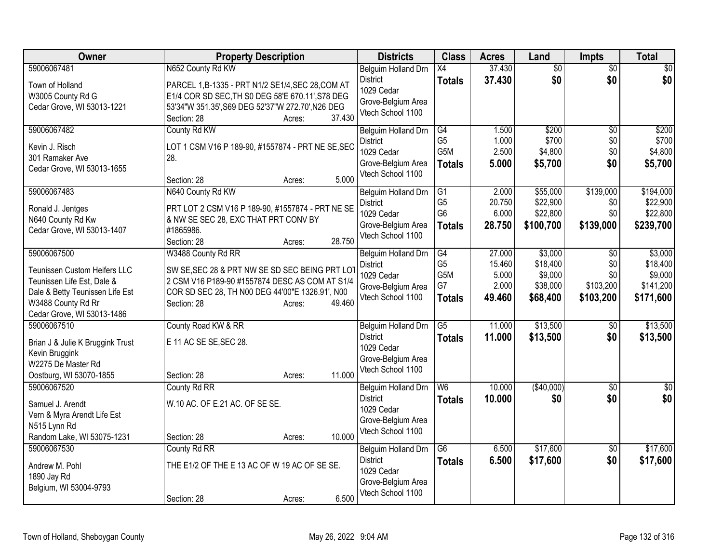| Owner                                              | <b>Property Description</b>                       | <b>Districts</b>    | <b>Class</b>     | <b>Acres</b> | Land            | <b>Impts</b>    | <b>Total</b> |
|----------------------------------------------------|---------------------------------------------------|---------------------|------------------|--------------|-----------------|-----------------|--------------|
| 59006067481                                        | N652 County Rd KW                                 | Belguim Holland Drn | $\overline{X4}$  | 37.430       | $\overline{50}$ | $\overline{50}$ | $\sqrt{50}$  |
| Town of Holland                                    | PARCEL 1,B-1335 - PRT N1/2 SE1/4, SEC 28, COM AT  | <b>District</b>     | <b>Totals</b>    | 37.430       | \$0             | \$0             | \$0          |
| W3005 County Rd G                                  | E1/4 COR SD SEC, TH S0 DEG 58'E 670.11', S78 DEG  | 1029 Cedar          |                  |              |                 |                 |              |
| Cedar Grove, WI 53013-1221                         | 53'34"W 351.35', S69 DEG 52'37"W 272.70', N26 DEG | Grove-Belgium Area  |                  |              |                 |                 |              |
|                                                    | 37.430<br>Section: 28<br>Acres:                   | Vtech School 1100   |                  |              |                 |                 |              |
| 59006067482                                        | County Rd KW                                      | Belguim Holland Drn | G4               | 1.500        | \$200           | \$0             | \$200        |
| Kevin J. Risch                                     | LOT 1 CSM V16 P 189-90, #1557874 - PRT NE SE, SEC | <b>District</b>     | G <sub>5</sub>   | 1.000        | \$700           | \$0             | \$700        |
| 301 Ramaker Ave                                    | 28.                                               | 1029 Cedar          | G <sub>5</sub> M | 2.500        | \$4,800         | \$0             | \$4,800      |
| Cedar Grove, WI 53013-1655                         |                                                   | Grove-Belgium Area  | <b>Totals</b>    | 5.000        | \$5,700         | \$0             | \$5,700      |
|                                                    | 5.000<br>Section: 28<br>Acres:                    | Vtech School 1100   |                  |              |                 |                 |              |
| 59006067483                                        | N640 County Rd KW                                 | Belguim Holland Drn | G1               | 2.000        | \$55,000        | \$139,000       | \$194,000    |
| Ronald J. Jentges                                  | PRT LOT 2 CSM V16 P 189-90, #1557874 - PRT NE SE  | <b>District</b>     | G <sub>5</sub>   | 20.750       | \$22,900        | \$0             | \$22,900     |
| N640 County Rd Kw                                  | & NW SE SEC 28, EXC THAT PRT CONV BY              | 1029 Cedar          | G <sub>6</sub>   | 6.000        | \$22,800        | \$0             | \$22,800     |
| Cedar Grove, WI 53013-1407                         | #1865986.                                         | Grove-Belgium Area  | <b>Totals</b>    | 28.750       | \$100,700       | \$139,000       | \$239,700    |
|                                                    | 28.750<br>Section: 28<br>Acres:                   | Vtech School 1100   |                  |              |                 |                 |              |
| 59006067500                                        | W3488 County Rd RR                                | Belguim Holland Drn | G4               | 27.000       | \$3,000         | $\sqrt{6}$      | \$3,000      |
| Teunissen Custom Heifers LLC                       | SW SE, SEC 28 & PRT NW SE SD SEC BEING PRT LOT    | <b>District</b>     | G <sub>5</sub>   | 15.460       | \$18,400        | \$0             | \$18,400     |
| Teunissen Life Est, Dale &                         | 2 CSM V16 P189-90 #1557874 DESC AS COM AT S1/4    | 1029 Cedar          | G5M              | 5.000        | \$9,000         | \$0             | \$9,000      |
| Dale & Betty Teunissen Life Est                    | COR SD SEC 28, TH N00 DEG 44'00"E 1326.91', N00   | Grove-Belgium Area  | G7               | 2.000        | \$38,000        | \$103,200       | \$141,200    |
| W3488 County Rd Rr                                 | 49.460<br>Section: 28<br>Acres:                   | Vtech School 1100   | <b>Totals</b>    | 49.460       | \$68,400        | \$103,200       | \$171,600    |
| Cedar Grove, WI 53013-1486                         |                                                   |                     |                  |              |                 |                 |              |
| 59006067510                                        | County Road KW & RR                               | Belguim Holland Drn | G5               | 11.000       | \$13,500        | \$0             | \$13,500     |
|                                                    | E 11 AC SE SE, SEC 28.                            | <b>District</b>     | <b>Totals</b>    | 11.000       | \$13,500        | \$0             | \$13,500     |
| Brian J & Julie K Bruggink Trust<br>Kevin Bruggink |                                                   | 1029 Cedar          |                  |              |                 |                 |              |
| W2275 De Master Rd                                 |                                                   | Grove-Belgium Area  |                  |              |                 |                 |              |
| Oostburg, WI 53070-1855                            | 11.000<br>Section: 28<br>Acres:                   | Vtech School 1100   |                  |              |                 |                 |              |
| 59006067520                                        | County Rd RR                                      | Belguim Holland Drn | W <sub>6</sub>   | 10.000       | (\$40,000)      | \$0             | \$0          |
|                                                    |                                                   | <b>District</b>     | <b>Totals</b>    | 10.000       | \$0             | \$0             | \$0          |
| Samuel J. Arendt                                   | W.10 AC. OF E.21 AC. OF SE SE.                    | 1029 Cedar          |                  |              |                 |                 |              |
| Vern & Myra Arendt Life Est                        |                                                   | Grove-Belgium Area  |                  |              |                 |                 |              |
| N515 Lynn Rd<br>Random Lake, WI 53075-1231         | 10.000<br>Section: 28<br>Acres:                   | Vtech School 1100   |                  |              |                 |                 |              |
| 59006067530                                        | County Rd RR                                      | Belguim Holland Drn | $\overline{G6}$  | 6.500        | \$17,600        | $\overline{50}$ | \$17,600     |
|                                                    |                                                   | <b>District</b>     | <b>Totals</b>    | 6.500        | \$17,600        | \$0             | \$17,600     |
| Andrew M. Pohl                                     | THE E1/2 OF THE E 13 AC OF W 19 AC OF SE SE.      | 1029 Cedar          |                  |              |                 |                 |              |
| 1890 Jay Rd                                        |                                                   | Grove-Belgium Area  |                  |              |                 |                 |              |
| Belgium, WI 53004-9793                             |                                                   | Vtech School 1100   |                  |              |                 |                 |              |
|                                                    | 6.500<br>Section: 28<br>Acres:                    |                     |                  |              |                 |                 |              |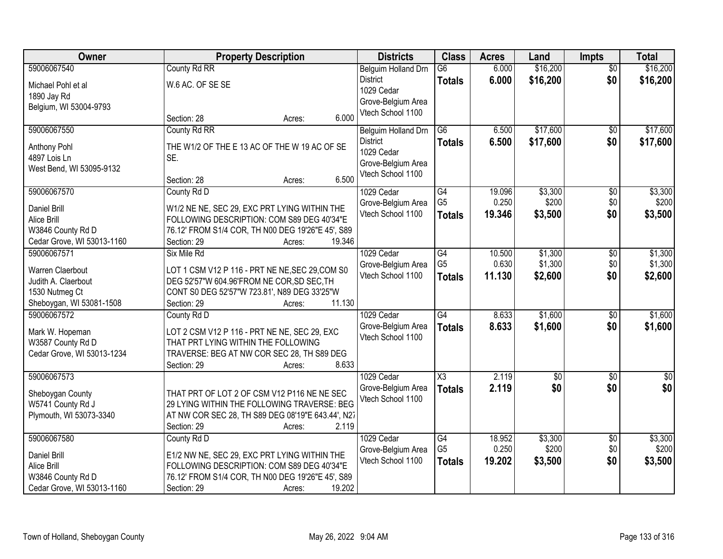| Owner                                           |                                                                                            | <b>Property Description</b> |                     |                     | <b>Acres</b> | Land            | <b>Impts</b>    | <b>Total</b>     |
|-------------------------------------------------|--------------------------------------------------------------------------------------------|-----------------------------|---------------------|---------------------|--------------|-----------------|-----------------|------------------|
| 59006067540                                     | County Rd RR                                                                               |                             | Belguim Holland Drn | $\overline{G6}$     | 6.000        | \$16,200        | $\overline{50}$ | \$16,200         |
| Michael Pohl et al                              | W.6 AC. OF SE SE                                                                           |                             | <b>District</b>     | <b>Totals</b>       | 6.000        | \$16,200        | \$0             | \$16,200         |
| 1890 Jay Rd                                     |                                                                                            |                             | 1029 Cedar          |                     |              |                 |                 |                  |
| Belgium, WI 53004-9793                          |                                                                                            |                             | Grove-Belgium Area  |                     |              |                 |                 |                  |
|                                                 | Section: 28                                                                                | 6.000<br>Acres:             | Vtech School 1100   |                     |              |                 |                 |                  |
| 59006067550                                     | County Rd RR                                                                               |                             | Belguim Holland Drn | $\overline{G6}$     | 6.500        | \$17,600        | $\overline{50}$ | \$17,600         |
| Anthony Pohl                                    | THE W1/2 OF THE E 13 AC OF THE W 19 AC OF SE                                               |                             | <b>District</b>     | <b>Totals</b>       | 6.500        | \$17,600        | \$0             | \$17,600         |
| 4897 Lois Ln                                    | SE.                                                                                        |                             | 1029 Cedar          |                     |              |                 |                 |                  |
| West Bend, WI 53095-9132                        |                                                                                            |                             | Grove-Belgium Area  |                     |              |                 |                 |                  |
|                                                 | Section: 28                                                                                | 6.500<br>Acres:             | Vtech School 1100   |                     |              |                 |                 |                  |
| 59006067570                                     | County Rd D                                                                                |                             | 1029 Cedar          | G4                  | 19.096       | \$3,300         | $\overline{50}$ | \$3,300          |
| <b>Daniel Brill</b>                             | W1/2 NE NE, SEC 29, EXC PRT LYING WITHIN THE                                               |                             | Grove-Belgium Area  | G <sub>5</sub>      | 0.250        | \$200           | \$0             | \$200            |
| Alice Brill                                     | FOLLOWING DESCRIPTION: COM S89 DEG 40'34"E                                                 |                             | Vtech School 1100   | <b>Totals</b>       | 19.346       | \$3,500         | \$0             | \$3,500          |
| W3846 County Rd D                               | 76.12' FROM S1/4 COR, TH N00 DEG 19'26"E 45', S89                                          |                             |                     |                     |              |                 |                 |                  |
| Cedar Grove, WI 53013-1160                      | Section: 29                                                                                | 19.346<br>Acres:            |                     |                     |              |                 |                 |                  |
| 59006067571                                     | Six Mile Rd                                                                                |                             | 1029 Cedar          | $\overline{G4}$     | 10.500       | \$1,300         | \$0             | \$1,300          |
| Warren Claerbout                                | LOT 1 CSM V12 P 116 - PRT NE NE, SEC 29, COM S0                                            |                             | Grove-Belgium Area  | G <sub>5</sub>      | 0.630        | \$1,300         | \$0             | \$1,300          |
| Judith A. Claerbout                             | DEG 52'57"W 604.96'FROM NE COR, SD SEC, TH                                                 |                             | Vtech School 1100   | <b>Totals</b>       | 11.130       | \$2,600         | \$0             | \$2,600          |
| 1530 Nutmeg Ct                                  | CONT S0 DEG 52'57"W 723.81', N89 DEG 33'25"W                                               |                             |                     |                     |              |                 |                 |                  |
| Sheboygan, WI 53081-1508                        | Section: 29                                                                                | 11.130<br>Acres:            |                     |                     |              |                 |                 |                  |
| 59006067572                                     | County Rd D                                                                                |                             | 1029 Cedar          | $\overline{G4}$     | 8.633        | \$1,600         | \$0             | \$1,600          |
|                                                 |                                                                                            |                             | Grove-Belgium Area  | <b>Totals</b>       | 8.633        | \$1,600         | \$0             | \$1,600          |
| Mark W. Hopeman<br>W3587 County Rd D            | LOT 2 CSM V12 P 116 - PRT NE NE, SEC 29, EXC<br>THAT PRT LYING WITHIN THE FOLLOWING        |                             | Vtech School 1100   |                     |              |                 |                 |                  |
| Cedar Grove, WI 53013-1234                      | TRAVERSE: BEG AT NW COR SEC 28, TH S89 DEG                                                 |                             |                     |                     |              |                 |                 |                  |
|                                                 | Section: 29                                                                                | 8.633<br>Acres:             |                     |                     |              |                 |                 |                  |
| 59006067573                                     |                                                                                            |                             | 1029 Cedar          | $\overline{\chi_3}$ | 2.119        | $\overline{50}$ | $\overline{50}$ | $\overline{\$0}$ |
|                                                 |                                                                                            |                             | Grove-Belgium Area  | <b>Totals</b>       | 2.119        | \$0             | \$0             | \$0              |
| Sheboygan County                                | THAT PRT OF LOT 2 OF CSM V12 P116 NE NE SEC<br>29 LYING WITHIN THE FOLLOWING TRAVERSE: BEG |                             | Vtech School 1100   |                     |              |                 |                 |                  |
| W5741 County Rd J<br>Plymouth, WI 53073-3340    | AT NW COR SEC 28, TH S89 DEG 08'19"E 643.44', N27                                          |                             |                     |                     |              |                 |                 |                  |
|                                                 | Section: 29                                                                                | 2.119<br>Acres:             |                     |                     |              |                 |                 |                  |
| 59006067580                                     | County Rd D                                                                                |                             | 1029 Cedar          | G4                  | 18.952       | \$3,300         | $\overline{50}$ | \$3,300          |
|                                                 |                                                                                            |                             | Grove-Belgium Area  | G <sub>5</sub>      | 0.250        | \$200           | \$0             | \$200            |
| <b>Daniel Brill</b>                             | E1/2 NW NE, SEC 29, EXC PRT LYING WITHIN THE                                               |                             | Vtech School 1100   | <b>Totals</b>       | 19.202       | \$3,500         | \$0             | \$3,500          |
| <b>Alice Brill</b>                              | FOLLOWING DESCRIPTION: COM S89 DEG 40'34"E                                                 |                             |                     |                     |              |                 |                 |                  |
| W3846 County Rd D<br>Cedar Grove, WI 53013-1160 | 76.12' FROM S1/4 COR, TH N00 DEG 19'26"E 45', S89<br>Section: 29                           | 19.202                      |                     |                     |              |                 |                 |                  |
|                                                 |                                                                                            | Acres:                      |                     |                     |              |                 |                 |                  |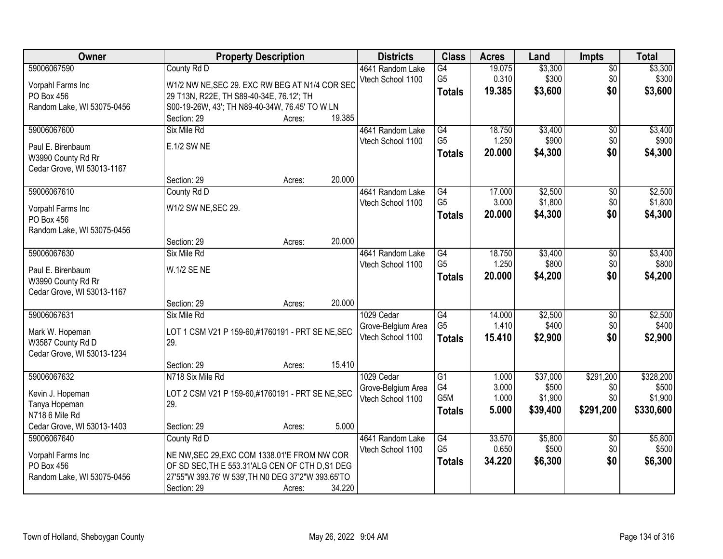| Owner                      |                                                    | <b>Property Description</b> |        | <b>Districts</b>   | <b>Class</b>     | <b>Acres</b> | Land     | <b>Impts</b>    | <b>Total</b> |
|----------------------------|----------------------------------------------------|-----------------------------|--------|--------------------|------------------|--------------|----------|-----------------|--------------|
| 59006067590                | County Rd D                                        |                             |        | 4641 Random Lake   | $\overline{G4}$  | 19.075       | \$3,300  | $\sqrt{$0}$     | \$3,300      |
| Vorpahl Farms Inc          | W1/2 NW NE, SEC 29. EXC RW BEG AT N1/4 COR SEC     |                             |        | Vtech School 1100  | G <sub>5</sub>   | 0.310        | \$300    | \$0             | \$300        |
| PO Box 456                 | 29 T13N, R22E, TH S89-40-34E, 76.12'; TH           |                             |        |                    | <b>Totals</b>    | 19.385       | \$3,600  | \$0             | \$3,600      |
| Random Lake, WI 53075-0456 | S00-19-26W, 43'; TH N89-40-34W, 76.45' TO W LN     |                             |        |                    |                  |              |          |                 |              |
|                            | Section: 29                                        | Acres:                      | 19.385 |                    |                  |              |          |                 |              |
| 59006067600                | Six Mile Rd                                        |                             |        | 4641 Random Lake   | G4               | 18.750       | \$3,400  | \$0             | \$3,400      |
| Paul E. Birenbaum          | E.1/2 SW NE                                        |                             |        | Vtech School 1100  | G <sub>5</sub>   | 1.250        | \$900    | \$0             | \$900        |
| W3990 County Rd Rr         |                                                    |                             |        |                    | <b>Totals</b>    | 20.000       | \$4,300  | \$0             | \$4,300      |
| Cedar Grove, WI 53013-1167 |                                                    |                             |        |                    |                  |              |          |                 |              |
|                            | Section: 29                                        | Acres:                      | 20.000 |                    |                  |              |          |                 |              |
| 59006067610                | County Rd D                                        |                             |        | 4641 Random Lake   | G4               | 17.000       | \$2,500  | $\sqrt[6]{}$    | \$2,500      |
| Vorpahl Farms Inc          | W1/2 SW NE, SEC 29.                                |                             |        | Vtech School 1100  | G <sub>5</sub>   | 3.000        | \$1,800  | \$0             | \$1,800      |
| PO Box 456                 |                                                    |                             |        |                    | <b>Totals</b>    | 20.000       | \$4,300  | \$0             | \$4,300      |
| Random Lake, WI 53075-0456 |                                                    |                             |        |                    |                  |              |          |                 |              |
|                            | Section: 29                                        | Acres:                      | 20.000 |                    |                  |              |          |                 |              |
| 59006067630                | Six Mile Rd                                        |                             |        | 4641 Random Lake   | G4               | 18.750       | \$3,400  | \$0             | \$3,400      |
| Paul E. Birenbaum          | W.1/2 SE NE                                        |                             |        | Vtech School 1100  | G <sub>5</sub>   | 1.250        | \$800    | \$0             | \$800        |
| W3990 County Rd Rr         |                                                    |                             |        |                    | <b>Totals</b>    | 20.000       | \$4,200  | \$0             | \$4,200      |
| Cedar Grove, WI 53013-1167 |                                                    |                             |        |                    |                  |              |          |                 |              |
|                            | Section: 29                                        | Acres:                      | 20.000 |                    |                  |              |          |                 |              |
| 59006067631                | Six Mile Rd                                        |                             |        | 1029 Cedar         | $\overline{G4}$  | 14.000       | \$2,500  | \$0             | \$2,500      |
| Mark W. Hopeman            | LOT 1 CSM V21 P 159-60,#1760191 - PRT SE NE, SEC   |                             |        | Grove-Belgium Area | G <sub>5</sub>   | 1.410        | \$400    | \$0             | \$400        |
| W3587 County Rd D          | 29.                                                |                             |        | Vtech School 1100  | <b>Totals</b>    | 15.410       | \$2,900  | \$0             | \$2,900      |
| Cedar Grove, WI 53013-1234 |                                                    |                             |        |                    |                  |              |          |                 |              |
|                            | Section: 29                                        | Acres:                      | 15.410 |                    |                  |              |          |                 |              |
| 59006067632                | N718 Six Mile Rd                                   |                             |        | 1029 Cedar         | $\overline{G1}$  | 1.000        | \$37,000 | \$291,200       | \$328,200    |
| Kevin J. Hopeman           | LOT 2 CSM V21 P 159-60,#1760191 - PRT SE NE, SEC   |                             |        | Grove-Belgium Area | G4               | 3.000        | \$500    | \$0             | \$500        |
| Tanya Hopeman              | 29.                                                |                             |        | Vtech School 1100  | G <sub>5</sub> M | 1.000        | \$1,900  | \$0             | \$1,900      |
| N718 6 Mile Rd             |                                                    |                             |        |                    | <b>Totals</b>    | 5.000        | \$39,400 | \$291,200       | \$330,600    |
| Cedar Grove, WI 53013-1403 | Section: 29                                        | Acres:                      | 5.000  |                    |                  |              |          |                 |              |
| 59006067640                | County Rd D                                        |                             |        | 4641 Random Lake   | G4               | 33.570       | \$5,800  | $\overline{60}$ | \$5,800      |
| Vorpahl Farms Inc          | NE NW, SEC 29, EXC COM 1338.01'E FROM NW COR       |                             |        | Vtech School 1100  | G <sub>5</sub>   | 0.650        | \$500    | \$0             | \$500        |
| PO Box 456                 | OF SD SEC, TH E 553.31'ALG CEN OF CTH D, S1 DEG    |                             |        |                    | <b>Totals</b>    | 34.220       | \$6,300  | \$0             | \$6,300      |
| Random Lake, WI 53075-0456 | 27'55"W 393.76' W 539', TH N0 DEG 37'2"W 393.65'TO |                             |        |                    |                  |              |          |                 |              |
|                            | Section: 29                                        | Acres:                      | 34.220 |                    |                  |              |          |                 |              |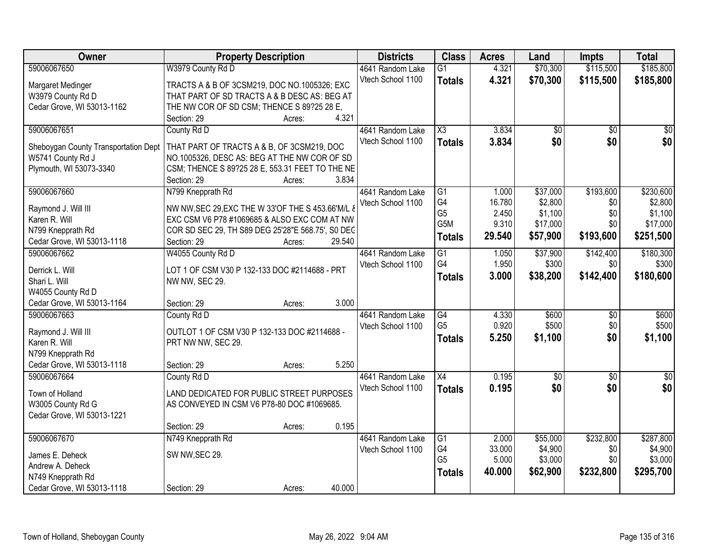| Owner                                | <b>Property Description</b>                       |        |        | <b>Districts</b>  | <b>Class</b>           | <b>Acres</b> | Land            | <b>Impts</b>    | <b>Total</b>    |
|--------------------------------------|---------------------------------------------------|--------|--------|-------------------|------------------------|--------------|-----------------|-----------------|-----------------|
| 59006067650                          | W3979 County Rd D                                 |        |        | 4641 Random Lake  | $\overline{G1}$        | 4.321        | \$70,300        | \$115,500       | \$185,800       |
| Margaret Medinger                    | TRACTS A & B OF 3CSM219, DOC NO.1005326; EXC      |        |        | Vtech School 1100 | <b>Totals</b>          | 4.321        | \$70,300        | \$115,500       | \$185,800       |
| W3979 County Rd D                    | THAT PART OF SD TRACTS A & B DESC AS: BEG AT      |        |        |                   |                        |              |                 |                 |                 |
| Cedar Grove, WI 53013-1162           | THE NW COR OF SD CSM; THENCE S 89?25 28 E,        |        |        |                   |                        |              |                 |                 |                 |
|                                      | Section: 29                                       | Acres: | 4.321  |                   |                        |              |                 |                 |                 |
| 59006067651                          | County Rd D                                       |        |        | 4641 Random Lake  | $\overline{\text{X3}}$ | 3.834        | $\overline{50}$ | $\overline{50}$ | $\overline{50}$ |
|                                      |                                                   |        |        | Vtech School 1100 | <b>Totals</b>          | 3.834        | \$0             | \$0             | \$0             |
| Sheboygan County Transportation Dept | THAT PART OF TRACTS A & B, OF 3CSM219, DOC        |        |        |                   |                        |              |                 |                 |                 |
| W5741 County Rd J                    | NO.1005326, DESC AS: BEG AT THE NW COR OF SD      |        |        |                   |                        |              |                 |                 |                 |
| Plymouth, WI 53073-3340              | CSM; THENCE S 89?25 28 E, 553.31 FEET TO THE NE   |        |        |                   |                        |              |                 |                 |                 |
|                                      | Section: 29                                       | Acres: | 3.834  |                   |                        |              |                 |                 |                 |
| 59006067660                          | N799 Knepprath Rd                                 |        |        | 4641 Random Lake  | $\overline{G1}$        | 1.000        | \$37,000        | \$193,600       | \$230,600       |
| Raymond J. Will III                  | NW NW, SEC 29, EXC THE W 33'OF THE S 453.66'M/L & |        |        | Vtech School 1100 | G <sub>4</sub>         | 16.780       | \$2,800         | \$0             | \$2,800         |
| Karen R. Will                        | EXC CSM V6 P78 #1069685 & ALSO EXC COM AT NW      |        |        |                   | G <sub>5</sub>         | 2.450        | \$1,100         | \$0             | \$1,100         |
| N799 Knepprath Rd                    | COR SD SEC 29, TH S89 DEG 25'28"E 568.75', S0 DEC |        |        |                   | G5M                    | 9.310        | \$17,000        | \$0             | \$17,000        |
| Cedar Grove, WI 53013-1118           | Section: 29                                       | Acres: | 29.540 |                   | <b>Totals</b>          | 29.540       | \$57,900        | \$193,600       | \$251,500       |
| 59006067662                          | W4055 County Rd D                                 |        |        | 4641 Random Lake  | $\overline{G1}$        | 1.050        | \$37,900        | \$142,400       | \$180,300       |
|                                      |                                                   |        |        | Vtech School 1100 | G4                     | 1.950        | \$300           | \$0             | \$300           |
| Derrick L. Will                      | LOT 1 OF CSM V30 P 132-133 DOC #2114688 - PRT     |        |        |                   | <b>Totals</b>          | 3.000        | \$38,200        | \$142,400       | \$180,600       |
| Shari L. Will                        | NW NW, SEC 29.                                    |        |        |                   |                        |              |                 |                 |                 |
| W4055 County Rd D                    |                                                   |        |        |                   |                        |              |                 |                 |                 |
| Cedar Grove, WI 53013-1164           | Section: 29                                       | Acres: | 3.000  |                   |                        |              |                 |                 |                 |
| 59006067663                          | County Rd D                                       |        |        | 4641 Random Lake  | $\overline{G4}$        | 4.330        | \$600           | $\overline{30}$ | \$600           |
| Raymond J. Will III                  | OUTLOT 1 OF CSM V30 P 132-133 DOC #2114688 -      |        |        | Vtech School 1100 | G <sub>5</sub>         | 0.920        | \$500           | \$0             | \$500           |
| Karen R. Will                        | PRT NW NW, SEC 29.                                |        |        |                   | <b>Totals</b>          | 5.250        | \$1,100         | \$0             | \$1,100         |
| N799 Knepprath Rd                    |                                                   |        |        |                   |                        |              |                 |                 |                 |
| Cedar Grove, WI 53013-1118           | Section: 29                                       | Acres: | 5.250  |                   |                        |              |                 |                 |                 |
| 59006067664                          | County Rd D                                       |        |        | 4641 Random Lake  | X4                     | 0.195        | $\overline{50}$ | $\overline{50}$ | $\sqrt{50}$     |
|                                      |                                                   |        |        | Vtech School 1100 | <b>Totals</b>          | 0.195        | \$0             | \$0             | \$0             |
| Town of Holland                      | LAND DEDICATED FOR PUBLIC STREET PURPOSES         |        |        |                   |                        |              |                 |                 |                 |
| W3005 County Rd G                    | AS CONVEYED IN CSM V6 P78-80 DOC #1069685.        |        |        |                   |                        |              |                 |                 |                 |
| Cedar Grove, WI 53013-1221           |                                                   |        |        |                   |                        |              |                 |                 |                 |
|                                      | Section: 29                                       | Acres: | 0.195  |                   |                        |              |                 |                 |                 |
| 59006067670                          | N749 Knepprath Rd                                 |        |        | 4641 Random Lake  | $\overline{G1}$        | 2.000        | \$55,000        | \$232,800       | \$287,800       |
| James E. Deheck                      | SW NW, SEC 29.                                    |        |        | Vtech School 1100 | G4                     | 33.000       | \$4,900         | \$0             | \$4,900         |
| Andrew A. Deheck                     |                                                   |        |        |                   | G <sub>5</sub>         | 5.000        | \$3,000         | \$0             | \$3,000         |
| N749 Knepprath Rd                    |                                                   |        |        |                   | <b>Totals</b>          | 40.000       | \$62,900        | \$232,800       | \$295,700       |
| Cedar Grove, WI 53013-1118           | Section: 29                                       | Acres: | 40.000 |                   |                        |              |                 |                 |                 |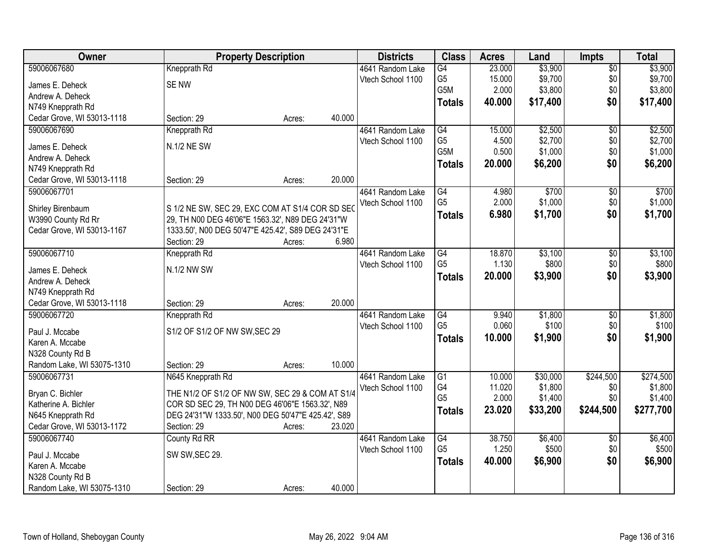| Owner                                           | <b>Property Description</b>                        |        | <b>Districts</b>  | <b>Class</b>    | <b>Acres</b> | Land     | <b>Impts</b>    | <b>Total</b> |
|-------------------------------------------------|----------------------------------------------------|--------|-------------------|-----------------|--------------|----------|-----------------|--------------|
| 59006067680                                     | Knepprath Rd                                       |        | 4641 Random Lake  | $\overline{G4}$ | 23.000       | \$3,900  | $\sqrt{$0}$     | \$3,900      |
| James E. Deheck                                 | <b>SENW</b>                                        |        | Vtech School 1100 | G <sub>5</sub>  | 15.000       | \$9,700  | \$0             | \$9,700      |
| Andrew A. Deheck                                |                                                    |        |                   | G5M             | 2.000        | \$3,800  | \$0             | \$3,800      |
| N749 Knepprath Rd                               |                                                    |        |                   | <b>Totals</b>   | 40.000       | \$17,400 | \$0             | \$17,400     |
| Cedar Grove, WI 53013-1118                      | Section: 29<br>Acres:                              | 40.000 |                   |                 |              |          |                 |              |
| 59006067690                                     | Knepprath Rd                                       |        | 4641 Random Lake  | G4              | 15.000       | \$2,500  | $\overline{50}$ | \$2,500      |
|                                                 |                                                    |        | Vtech School 1100 | G <sub>5</sub>  | 4.500        | \$2,700  | \$0             | \$2,700      |
| James E. Deheck                                 | N.1/2 NE SW                                        |        |                   | G5M             | 0.500        | \$1,000  | \$0             | \$1,000      |
| Andrew A. Deheck                                |                                                    |        |                   | <b>Totals</b>   | 20.000       | \$6,200  | \$0             | \$6,200      |
| N749 Knepprath Rd                               |                                                    |        |                   |                 |              |          |                 |              |
| Cedar Grove, WI 53013-1118                      | Section: 29<br>Acres:                              | 20.000 |                   |                 |              |          |                 |              |
| 59006067701                                     |                                                    |        | 4641 Random Lake  | G4              | 4.980        | \$700    | \$0             | \$700        |
| Shirley Birenbaum                               | S 1/2 NE SW, SEC 29, EXC COM AT S1/4 COR SD SEC    |        | Vtech School 1100 | G <sub>5</sub>  | 2.000        | \$1,000  | \$0             | \$1,000      |
| W3990 County Rd Rr                              | 29, TH N00 DEG 46'06"E 1563.32', N89 DEG 24'31"W   |        |                   | <b>Totals</b>   | 6.980        | \$1,700  | \$0             | \$1,700      |
| Cedar Grove, WI 53013-1167                      | 1333.50', N00 DEG 50'47"E 425.42', S89 DEG 24'31"E |        |                   |                 |              |          |                 |              |
|                                                 | Section: 29<br>Acres:                              | 6.980  |                   |                 |              |          |                 |              |
| 59006067710                                     | Knepprath Rd                                       |        | 4641 Random Lake  | G4              | 18.870       | \$3,100  | \$0             | \$3,100      |
|                                                 |                                                    |        | Vtech School 1100 | G <sub>5</sub>  | 1.130        | \$800    | \$0             | \$800        |
| James E. Deheck                                 | N.1/2 NW SW                                        |        |                   | <b>Totals</b>   | 20.000       | \$3,900  | \$0             | \$3,900      |
| Andrew A. Deheck                                |                                                    |        |                   |                 |              |          |                 |              |
| N749 Knepprath Rd<br>Cedar Grove, WI 53013-1118 | Section: 29                                        | 20.000 |                   |                 |              |          |                 |              |
| 59006067720                                     | Acres:                                             |        |                   | $\overline{G4}$ | 9.940        | \$1,800  | $\overline{50}$ | \$1,800      |
|                                                 | Knepprath Rd                                       |        | 4641 Random Lake  | G <sub>5</sub>  | 0.060        | \$100    | \$0             | \$100        |
| Paul J. Mccabe                                  | S1/2 OF S1/2 OF NW SW, SEC 29                      |        | Vtech School 1100 |                 |              |          |                 |              |
| Karen A. Mccabe                                 |                                                    |        |                   | <b>Totals</b>   | 10.000       | \$1,900  | \$0             | \$1,900      |
| N328 County Rd B                                |                                                    |        |                   |                 |              |          |                 |              |
| Random Lake, WI 53075-1310                      | Section: 29<br>Acres:                              | 10.000 |                   |                 |              |          |                 |              |
| 59006067731                                     | N645 Knepprath Rd                                  |        | 4641 Random Lake  | $\overline{G1}$ | 10.000       | \$30,000 | \$244,500       | \$274,500    |
| Bryan C. Bichler                                | THE N1/2 OF S1/2 OF NW SW, SEC 29 & COM AT S1/4    |        | Vtech School 1100 | G4              | 11.020       | \$1,800  | \$0             | \$1,800      |
| Katherine A. Bichler                            | COR SD SEC 29, TH N00 DEG 46'06"E 1563.32', N89    |        |                   | G <sub>5</sub>  | 2.000        | \$1,400  | \$0             | \$1,400      |
| N645 Knepprath Rd                               | DEG 24'31"W 1333.50', N00 DEG 50'47"E 425.42', S89 |        |                   | <b>Totals</b>   | 23.020       | \$33,200 | \$244,500       | \$277,700    |
| Cedar Grove, WI 53013-1172                      | Section: 29<br>Acres:                              | 23.020 |                   |                 |              |          |                 |              |
| 59006067740                                     | County Rd RR                                       |        | 4641 Random Lake  | G4              | 38.750       | \$6,400  | $\overline{50}$ | \$6,400      |
|                                                 |                                                    |        | Vtech School 1100 | G <sub>5</sub>  | 1.250        | \$500    | \$0             | \$500        |
| Paul J. Mccabe                                  | SW SW, SEC 29.                                     |        |                   | <b>Totals</b>   | 40.000       | \$6,900  | \$0             | \$6,900      |
| Karen A. Mccabe                                 |                                                    |        |                   |                 |              |          |                 |              |
| N328 County Rd B                                |                                                    |        |                   |                 |              |          |                 |              |
| Random Lake, WI 53075-1310                      | Section: 29<br>Acres:                              | 40.000 |                   |                 |              |          |                 |              |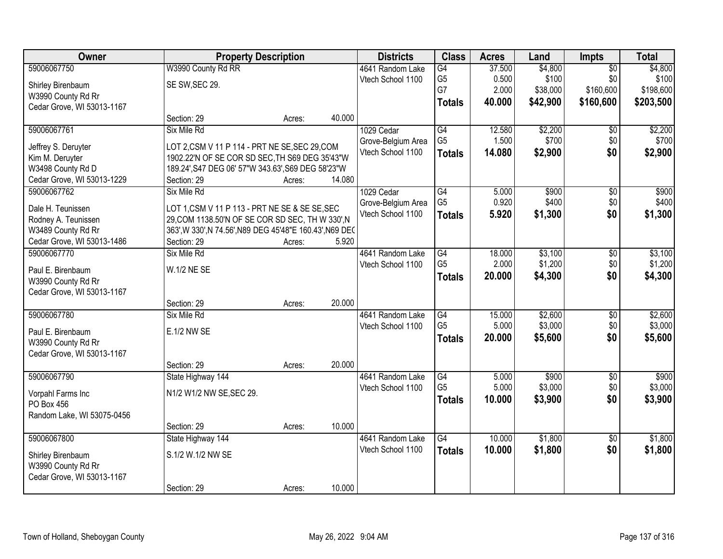| Owner                      | <b>Property Description</b>                              |        |        | <b>Districts</b>   | <b>Class</b>    | <b>Acres</b> | Land     | Impts           | <b>Total</b> |
|----------------------------|----------------------------------------------------------|--------|--------|--------------------|-----------------|--------------|----------|-----------------|--------------|
| 59006067750                | W3990 County Rd RR                                       |        |        | 4641 Random Lake   | G4              | 37.500       | \$4,800  | $\overline{50}$ | \$4,800      |
| Shirley Birenbaum          | SE SW, SEC 29.                                           |        |        | Vtech School 1100  | G <sub>5</sub>  | 0.500        | \$100    | \$0             | \$100        |
| W3990 County Rd Rr         |                                                          |        |        |                    | G7              | 2.000        | \$38,000 | \$160,600       | \$198,600    |
| Cedar Grove, WI 53013-1167 |                                                          |        |        |                    | <b>Totals</b>   | 40.000       | \$42,900 | \$160,600       | \$203,500    |
|                            | Section: 29                                              | Acres: | 40.000 |                    |                 |              |          |                 |              |
| 59006067761                | Six Mile Rd                                              |        |        | 1029 Cedar         | G4              | 12.580       | \$2,200  | \$0             | \$2,200      |
| Jeffrey S. Deruyter        | LOT 2,CSM V 11 P 114 - PRT NE SE, SEC 29, COM            |        |        | Grove-Belgium Area | G <sub>5</sub>  | 1.500        | \$700    | \$0             | \$700        |
| Kim M. Deruyter            | 1902.22'N OF SE COR SD SEC, TH S69 DEG 35'43"W           |        |        | Vtech School 1100  | <b>Totals</b>   | 14.080       | \$2,900  | \$0             | \$2,900      |
| W3498 County Rd D          | 189.24', S47 DEG 06' 57"W 343.63', S69 DEG 58'23"W       |        |        |                    |                 |              |          |                 |              |
| Cedar Grove, WI 53013-1229 | Section: 29                                              | Acres: | 14.080 |                    |                 |              |          |                 |              |
| 59006067762                | Six Mile Rd                                              |        |        | 1029 Cedar         | G4              | 5.000        | \$900    | \$0             | \$900        |
| Dale H. Teunissen          | LOT 1, CSM V 11 P 113 - PRT NE SE & SE SE, SEC           |        |        | Grove-Belgium Area | G <sub>5</sub>  | 0.920        | \$400    | \$0             | \$400        |
| Rodney A. Teunissen        | 29, COM 1138.50'N OF SE COR SD SEC, TH W 330', N         |        |        | Vtech School 1100  | <b>Totals</b>   | 5.920        | \$1,300  | \$0             | \$1,300      |
| W3489 County Rd Rr         | 363', W 330', N 74.56', N89 DEG 45'48"E 160.43', N69 DEC |        |        |                    |                 |              |          |                 |              |
| Cedar Grove, WI 53013-1486 | Section: 29                                              | Acres: | 5.920  |                    |                 |              |          |                 |              |
| 59006067770                | Six Mile Rd                                              |        |        | 4641 Random Lake   | G4              | 18.000       | \$3,100  | \$0             | \$3,100      |
| Paul E. Birenbaum          | W.1/2 NE SE                                              |        |        | Vtech School 1100  | G <sub>5</sub>  | 2.000        | \$1,200  | \$0             | \$1,200      |
| W3990 County Rd Rr         |                                                          |        |        |                    | <b>Totals</b>   | 20.000       | \$4,300  | \$0             | \$4,300      |
| Cedar Grove, WI 53013-1167 |                                                          |        |        |                    |                 |              |          |                 |              |
|                            | Section: 29                                              | Acres: | 20.000 |                    |                 |              |          |                 |              |
| 59006067780                | Six Mile Rd                                              |        |        | 4641 Random Lake   | $\overline{G4}$ | 15.000       | \$2,600  | $\overline{50}$ | \$2,600      |
| Paul E. Birenbaum          | E.1/2 NW SE                                              |        |        | Vtech School 1100  | G <sub>5</sub>  | 5.000        | \$3,000  | \$0             | \$3,000      |
| W3990 County Rd Rr         |                                                          |        |        |                    | <b>Totals</b>   | 20.000       | \$5,600  | \$0             | \$5,600      |
| Cedar Grove, WI 53013-1167 |                                                          |        |        |                    |                 |              |          |                 |              |
|                            | Section: 29                                              | Acres: | 20.000 |                    |                 |              |          |                 |              |
| 59006067790                | State Highway 144                                        |        |        | 4641 Random Lake   | G4              | 5.000        | \$900    | $\overline{50}$ | \$900        |
| Vorpahl Farms Inc          | N1/2 W1/2 NW SE, SEC 29.                                 |        |        | Vtech School 1100  | G <sub>5</sub>  | 5.000        | \$3,000  | \$0             | \$3,000      |
| PO Box 456                 |                                                          |        |        |                    | <b>Totals</b>   | 10.000       | \$3,900  | \$0             | \$3,900      |
| Random Lake, WI 53075-0456 |                                                          |        |        |                    |                 |              |          |                 |              |
|                            | Section: 29                                              | Acres: | 10.000 |                    |                 |              |          |                 |              |
| 59006067800                | State Highway 144                                        |        |        | 4641 Random Lake   | $\overline{G4}$ | 10.000       | \$1,800  | $\overline{50}$ | \$1,800      |
| Shirley Birenbaum          | S.1/2 W.1/2 NW SE                                        |        |        | Vtech School 1100  | <b>Totals</b>   | 10.000       | \$1,800  | \$0             | \$1,800      |
| W3990 County Rd Rr         |                                                          |        |        |                    |                 |              |          |                 |              |
| Cedar Grove, WI 53013-1167 |                                                          |        |        |                    |                 |              |          |                 |              |
|                            | Section: 29                                              | Acres: | 10.000 |                    |                 |              |          |                 |              |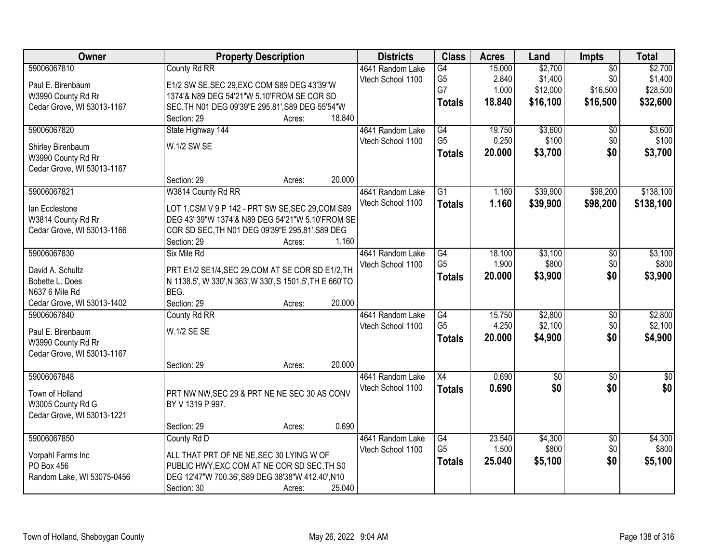| Owner                             | <b>Property Description</b>                                       | <b>Districts</b>  | <b>Class</b>    | <b>Acres</b> | Land        | Impts           | <b>Total</b>    |
|-----------------------------------|-------------------------------------------------------------------|-------------------|-----------------|--------------|-------------|-----------------|-----------------|
| 59006067810                       | County Rd RR                                                      | 4641 Random Lake  | G4              | 15.000       | \$2,700     | $\overline{50}$ | \$2,700         |
| Paul E. Birenbaum                 | E1/2 SW SE, SEC 29, EXC COM S89 DEG 43'39"W                       | Vtech School 1100 | G <sub>5</sub>  | 2.840        | \$1,400     | \$0             | \$1,400         |
| W3990 County Rd Rr                | 1374'& N89 DEG 54'21"W 5.10'FROM SE COR SD                        |                   | G7              | 1.000        | \$12,000    | \$16,500        | \$28,500        |
| Cedar Grove, WI 53013-1167        | SEC, TH N01 DEG 09'39"E 295.81', S89 DEG 55'54"W                  |                   | <b>Totals</b>   | 18.840       | \$16,100    | \$16,500        | \$32,600        |
|                                   | Section: 29<br>18.840<br>Acres:                                   |                   |                 |              |             |                 |                 |
| 59006067820                       | State Highway 144                                                 | 4641 Random Lake  | G4              | 19.750       | \$3,600     | $\overline{50}$ | \$3,600         |
| Shirley Birenbaum                 | W.1/2 SW SE                                                       | Vtech School 1100 | G <sub>5</sub>  | 0.250        | \$100       | \$0             | \$100           |
| W3990 County Rd Rr                |                                                                   |                   | <b>Totals</b>   | 20.000       | \$3,700     | \$0             | \$3,700         |
| Cedar Grove, WI 53013-1167        |                                                                   |                   |                 |              |             |                 |                 |
|                                   | 20.000<br>Section: 29<br>Acres:                                   |                   |                 |              |             |                 |                 |
| 59006067821                       | W3814 County Rd RR                                                | 4641 Random Lake  | $\overline{G1}$ | 1.160        | \$39,900    | \$98,200        | \$138,100       |
| lan Ecclestone                    | LOT 1,CSM V 9 P 142 - PRT SW SE, SEC 29, COM S89                  | Vtech School 1100 | <b>Totals</b>   | 1.160        | \$39,900    | \$98,200        | \$138,100       |
| W3814 County Rd Rr                | DEG 43' 39"W 1374'& N89 DEG 54'21"W 5.10'FROM SE                  |                   |                 |              |             |                 |                 |
| Cedar Grove, WI 53013-1166        | COR SD SEC, TH N01 DEG 09'39"E 295.81', S89 DEG                   |                   |                 |              |             |                 |                 |
|                                   | Section: 29<br>1.160<br>Acres:                                    |                   |                 |              |             |                 |                 |
| 59006067830                       | Six Mile Rd                                                       | 4641 Random Lake  | G4              | 18.100       | \$3,100     | \$0             | \$3,100         |
|                                   |                                                                   | Vtech School 1100 | G <sub>5</sub>  | 1.900        | \$800       | \$0             | \$800           |
| David A. Schultz                  | PRT E1/2 SE1/4, SEC 29, COM AT SE COR SD E1/2, TH                 |                   | <b>Totals</b>   | 20.000       | \$3,900     | \$0             | \$3,900         |
| Bobette L. Does<br>N637 6 Mile Rd | N 1138.5', W 330', N 363', W 330', S 1501.5', TH E 660'TO<br>BEG. |                   |                 |              |             |                 |                 |
| Cedar Grove, WI 53013-1402        | Section: 29<br>20.000<br>Acres:                                   |                   |                 |              |             |                 |                 |
| 59006067840                       | County Rd RR                                                      | 4641 Random Lake  | $\overline{G4}$ | 15.750       | \$2,800     | $\overline{50}$ | \$2,800         |
|                                   |                                                                   | Vtech School 1100 | G <sub>5</sub>  | 4.250        | \$2,100     | \$0             | \$2,100         |
| Paul E. Birenbaum                 | W.1/2 SE SE                                                       |                   | <b>Totals</b>   | 20.000       | \$4,900     | \$0             | \$4,900         |
| W3990 County Rd Rr                |                                                                   |                   |                 |              |             |                 |                 |
| Cedar Grove, WI 53013-1167        |                                                                   |                   |                 |              |             |                 |                 |
|                                   | 20.000<br>Section: 29<br>Acres:                                   |                   |                 |              |             |                 |                 |
| 59006067848                       |                                                                   | 4641 Random Lake  | $\overline{X4}$ | 0.690        | $\sqrt{50}$ | $\overline{50}$ | $\overline{30}$ |
| Town of Holland                   | PRT NW NW, SEC 29 & PRT NE NE SEC 30 AS CONV                      | Vtech School 1100 | <b>Totals</b>   | 0.690        | \$0         | \$0             | \$0             |
| W3005 County Rd G                 | BY V 1319 P 997.                                                  |                   |                 |              |             |                 |                 |
| Cedar Grove, WI 53013-1221        |                                                                   |                   |                 |              |             |                 |                 |
|                                   | 0.690<br>Section: 29<br>Acres:                                    |                   |                 |              |             |                 |                 |
| 59006067850                       | County Rd D                                                       | 4641 Random Lake  | G4              | 23.540       | \$4,300     | $\overline{50}$ | \$4,300         |
| Vorpahl Farms Inc                 | ALL THAT PRT OF NE NE, SEC 30 LYING W OF                          | Vtech School 1100 | G <sub>5</sub>  | 1.500        | \$800       | \$0             | \$800           |
| PO Box 456                        | PUBLIC HWY, EXC COM AT NE COR SD SEC, TH S0                       |                   | <b>Totals</b>   | 25.040       | \$5,100     | \$0             | \$5,100         |
| Random Lake, WI 53075-0456        | DEG 12'47"W 700.36', S89 DEG 38'38"W 412.40', N10                 |                   |                 |              |             |                 |                 |
|                                   | Section: 30<br>25.040<br>Acres:                                   |                   |                 |              |             |                 |                 |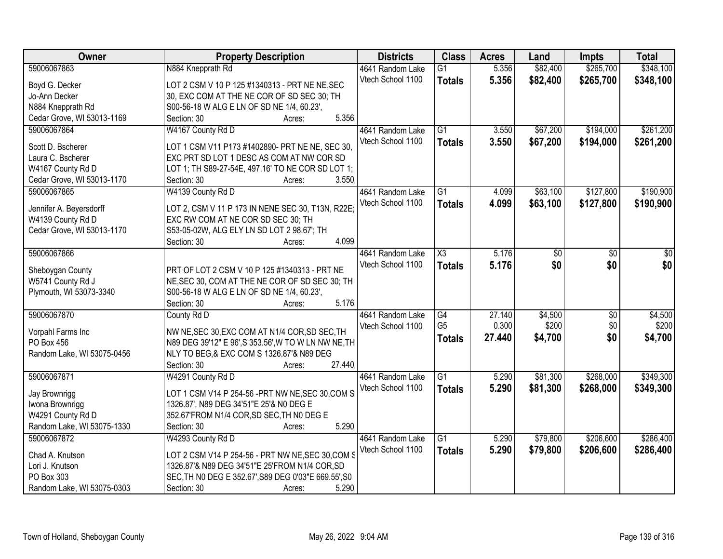| Owner                      | <b>Property Description</b>                          | <b>Districts</b>  | <b>Class</b>    | <b>Acres</b> | Land     | <b>Impts</b>    | <b>Total</b> |
|----------------------------|------------------------------------------------------|-------------------|-----------------|--------------|----------|-----------------|--------------|
| 59006067863                | N884 Knepprath Rd                                    | 4641 Random Lake  | $\overline{G1}$ | 5.356        | \$82,400 | \$265,700       | \$348,100    |
| Boyd G. Decker             | LOT 2 CSM V 10 P 125 #1340313 - PRT NE NE, SEC       | Vtech School 1100 | <b>Totals</b>   | 5.356        | \$82,400 | \$265,700       | \$348,100    |
| Jo-Ann Decker              | 30, EXC COM AT THE NE COR OF SD SEC 30; TH           |                   |                 |              |          |                 |              |
| N884 Knepprath Rd          | S00-56-18 W ALG E LN OF SD NE 1/4, 60.23',           |                   |                 |              |          |                 |              |
| Cedar Grove, WI 53013-1169 | 5.356<br>Section: 30<br>Acres:                       |                   |                 |              |          |                 |              |
| 59006067864                | W4167 County Rd D                                    | 4641 Random Lake  | $\overline{G1}$ | 3.550        | \$67,200 | \$194,000       | \$261,200    |
|                            |                                                      | Vtech School 1100 | <b>Totals</b>   | 3.550        | \$67,200 | \$194,000       | \$261,200    |
| Scott D. Bscherer          | LOT 1 CSM V11 P173 #1402890- PRT NE NE, SEC 30,      |                   |                 |              |          |                 |              |
| Laura C. Bscherer          | EXC PRT SD LOT 1 DESC AS COM AT NW COR SD            |                   |                 |              |          |                 |              |
| W4167 County Rd D          | LOT 1; TH S89-27-54E, 497.16' TO NE COR SD LOT 1;    |                   |                 |              |          |                 |              |
| Cedar Grove, WI 53013-1170 | 3.550<br>Section: 30<br>Acres:                       |                   |                 |              |          |                 |              |
| 59006067865                | W4139 County Rd D                                    | 4641 Random Lake  | $\overline{G1}$ | 4.099        | \$63,100 | \$127,800       | \$190,900    |
| Jennifer A. Beyersdorff    | LOT 2, CSM V 11 P 173 IN NENE SEC 30, T13N, R22E;    | Vtech School 1100 | <b>Totals</b>   | 4.099        | \$63,100 | \$127,800       | \$190,900    |
| W4139 County Rd D          | EXC RW COM AT NE COR SD SEC 30; TH                   |                   |                 |              |          |                 |              |
| Cedar Grove, WI 53013-1170 | S53-05-02W, ALG ELY LN SD LOT 2 98.67'; TH           |                   |                 |              |          |                 |              |
|                            | 4.099<br>Section: 30<br>Acres:                       |                   |                 |              |          |                 |              |
| 59006067866                |                                                      | 4641 Random Lake  | X3              | 5.176        | \$0      | $\sqrt[6]{}$    | \$0          |
|                            |                                                      | Vtech School 1100 | <b>Totals</b>   | 5.176        | \$0      | \$0             | \$0          |
| Sheboygan County           | PRT OF LOT 2 CSM V 10 P 125 #1340313 - PRT NE        |                   |                 |              |          |                 |              |
| W5741 County Rd J          | NE, SEC 30, COM AT THE NE COR OF SD SEC 30; TH       |                   |                 |              |          |                 |              |
| Plymouth, WI 53073-3340    | S00-56-18 W ALG E LN OF SD NE 1/4, 60.23',           |                   |                 |              |          |                 |              |
|                            | 5.176<br>Section: 30<br>Acres:                       |                   |                 |              |          |                 |              |
| 59006067870                | County Rd D                                          | 4641 Random Lake  | $\overline{G4}$ | 27.140       | \$4,500  | $\overline{30}$ | \$4,500      |
| Vorpahl Farms Inc          | NW NE, SEC 30, EXC COM AT N1/4 COR, SD SEC, TH       | Vtech School 1100 | G <sub>5</sub>  | 0.300        | \$200    | \$0             | \$200        |
| PO Box 456                 | N89 DEG 39'12" E 96', S 353.56', W TO W LN NW NE, TH |                   | <b>Totals</b>   | 27.440       | \$4,700  | \$0             | \$4,700      |
| Random Lake, WI 53075-0456 | NLY TO BEG, & EXC COM S 1326.87'& N89 DEG            |                   |                 |              |          |                 |              |
|                            | 27.440<br>Section: 30<br>Acres:                      |                   |                 |              |          |                 |              |
| 59006067871                | W4291 County Rd D                                    | 4641 Random Lake  | G1              | 5.290        | \$81,300 | \$268,000       | \$349,300    |
|                            |                                                      | Vtech School 1100 | <b>Totals</b>   | 5.290        | \$81,300 | \$268,000       | \$349,300    |
| Jay Brownrigg              | LOT 1 CSM V14 P 254-56 -PRT NW NE, SEC 30, COM S     |                   |                 |              |          |                 |              |
| Iwona Brownrigg            | 1326.87', N89 DEG 34'51"E 25'& N0 DEG E              |                   |                 |              |          |                 |              |
| W4291 County Rd D          | 352.67'FROM N1/4 COR, SD SEC, TH N0 DEG E            |                   |                 |              |          |                 |              |
| Random Lake, WI 53075-1330 | 5.290<br>Section: 30<br>Acres:                       |                   |                 |              |          |                 |              |
| 59006067872                | W4293 County Rd D                                    | 4641 Random Lake  | $\overline{G1}$ | 5.290        | \$79,800 | \$206,600       | \$286,400    |
| Chad A. Knutson            | LOT 2 CSM V14 P 254-56 - PRT NW NE, SEC 30, COM S    | Vtech School 1100 | <b>Totals</b>   | 5.290        | \$79,800 | \$206,600       | \$286,400    |
| Lori J. Knutson            | 1326.87'& N89 DEG 34'51"E 25'FROM N1/4 COR, SD       |                   |                 |              |          |                 |              |
| PO Box 303                 | SEC, TH NO DEG E 352.67', S89 DEG 0'03"E 669.55', S0 |                   |                 |              |          |                 |              |
| Random Lake, WI 53075-0303 | 5.290<br>Section: 30<br>Acres:                       |                   |                 |              |          |                 |              |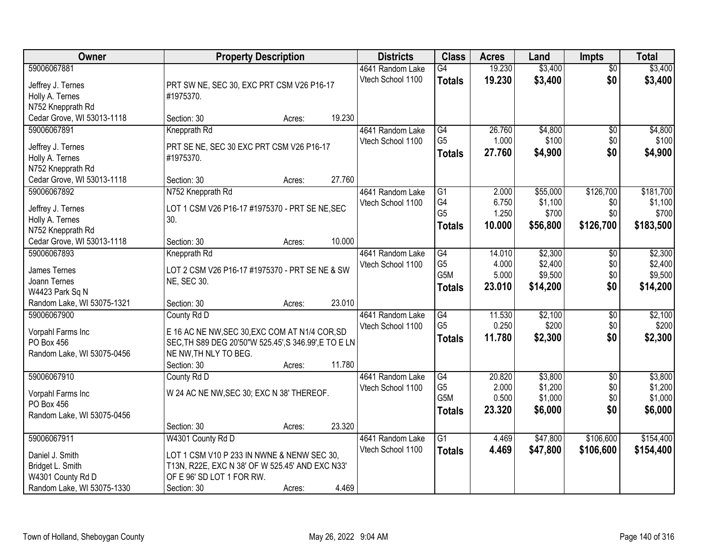| <b>Owner</b>                     | <b>Property Description</b>                           |        |        | <b>Districts</b>                      | <b>Class</b>                     | <b>Acres</b>     | Land               | <b>Impts</b>           | <b>Total</b>       |
|----------------------------------|-------------------------------------------------------|--------|--------|---------------------------------------|----------------------------------|------------------|--------------------|------------------------|--------------------|
| 59006067881<br>Jeffrey J. Ternes | PRT SW NE, SEC 30, EXC PRT CSM V26 P16-17             |        |        | 4641 Random Lake<br>Vtech School 1100 | $\overline{G4}$<br><b>Totals</b> | 19.230<br>19.230 | \$3,400<br>\$3,400 | $\overline{50}$<br>\$0 | \$3,400<br>\$3,400 |
| Holly A. Ternes                  | #1975370.                                             |        |        |                                       |                                  |                  |                    |                        |                    |
| N752 Knepprath Rd                |                                                       |        |        |                                       |                                  |                  |                    |                        |                    |
| Cedar Grove, WI 53013-1118       | Section: 30                                           | Acres: | 19.230 |                                       |                                  |                  |                    |                        |                    |
| 59006067891                      | Knepprath Rd                                          |        |        | 4641 Random Lake                      | G4                               | 26.760           | \$4,800            | \$0                    | \$4,800            |
| Jeffrey J. Ternes                | PRT SE NE, SEC 30 EXC PRT CSM V26 P16-17              |        |        | Vtech School 1100                     | G <sub>5</sub>                   | 1.000            | \$100              | \$0                    | \$100              |
| Holly A. Ternes                  | #1975370.                                             |        |        |                                       | <b>Totals</b>                    | 27.760           | \$4,900            | \$0                    | \$4,900            |
| N752 Knepprath Rd                |                                                       |        |        |                                       |                                  |                  |                    |                        |                    |
| Cedar Grove, WI 53013-1118       | Section: 30                                           | Acres: | 27.760 |                                       |                                  |                  |                    |                        |                    |
| 59006067892                      | N752 Knepprath Rd                                     |        |        | 4641 Random Lake                      | $\overline{G1}$                  | 2.000            | \$55,000           | \$126,700              | \$181,700          |
| Jeffrey J. Ternes                | LOT 1 CSM V26 P16-17 #1975370 - PRT SE NE, SEC        |        |        | Vtech School 1100                     | G4                               | 6.750            | \$1,100            | \$0                    | \$1,100            |
| Holly A. Ternes                  | 30.                                                   |        |        |                                       | G <sub>5</sub>                   | 1.250            | \$700              | \$0                    | \$700              |
| N752 Knepprath Rd                |                                                       |        |        |                                       | <b>Totals</b>                    | 10.000           | \$56,800           | \$126,700              | \$183,500          |
| Cedar Grove, WI 53013-1118       | Section: 30                                           | Acres: | 10.000 |                                       |                                  |                  |                    |                        |                    |
| 59006067893                      | Knepprath Rd                                          |        |        | 4641 Random Lake                      | G4                               | 14.010           | \$2,300            | $\sqrt[6]{3}$          | \$2,300            |
| James Ternes                     | LOT 2 CSM V26 P16-17 #1975370 - PRT SE NE & SW        |        |        | Vtech School 1100                     | G <sub>5</sub>                   | 4.000            | \$2,400            | \$0                    | \$2,400            |
| Joann Ternes                     | <b>NE, SEC 30.</b>                                    |        |        |                                       | G5M                              | 5.000            | \$9,500            | \$0                    | \$9,500            |
| W4423 Park Sq N                  |                                                       |        |        |                                       | <b>Totals</b>                    | 23.010           | \$14,200           | \$0                    | \$14,200           |
| Random Lake, WI 53075-1321       | Section: 30                                           | Acres: | 23.010 |                                       |                                  |                  |                    |                        |                    |
| 59006067900                      | County Rd D                                           |        |        | 4641 Random Lake                      | G4                               | 11.530           | \$2,100            | $\overline{50}$        | \$2,100            |
| Vorpahl Farms Inc                | E 16 AC NE NW, SEC 30, EXC COM AT N1/4 COR, SD        |        |        | Vtech School 1100                     | G <sub>5</sub>                   | 0.250            | \$200              | \$0                    | \$200              |
| PO Box 456                       | SEC, TH S89 DEG 20'50"W 525.45', S 346.99', E TO E LN |        |        |                                       | <b>Totals</b>                    | 11.780           | \$2,300            | \$0                    | \$2,300            |
| Random Lake, WI 53075-0456       | NE NW, TH NLY TO BEG.                                 |        |        |                                       |                                  |                  |                    |                        |                    |
|                                  | Section: 30                                           | Acres: | 11.780 |                                       |                                  |                  |                    |                        |                    |
| 59006067910                      | County Rd D                                           |        |        | 4641 Random Lake                      | G4                               | 20.820           | \$3,800            | $\sqrt{6}$             | \$3,800            |
| Vorpahl Farms Inc                | W 24 AC NE NW, SEC 30; EXC N 38' THEREOF.             |        |        | Vtech School 1100                     | G <sub>5</sub>                   | 2.000            | \$1,200            | \$0                    | \$1,200            |
| PO Box 456                       |                                                       |        |        |                                       | G5M                              | 0.500            | \$1,000            | \$0                    | \$1,000            |
| Random Lake, WI 53075-0456       |                                                       |        |        |                                       | <b>Totals</b>                    | 23.320           | \$6,000            | \$0                    | \$6,000            |
|                                  | Section: 30                                           | Acres: | 23.320 |                                       |                                  |                  |                    |                        |                    |
| 59006067911                      | W4301 County Rd D                                     |        |        | 4641 Random Lake                      | $\overline{G1}$                  | 4.469            | \$47,800           | \$106,600              | \$154,400          |
| Daniel J. Smith                  | LOT 1 CSM V10 P 233 IN NWNE & NENW SEC 30,            |        |        | Vtech School 1100                     | <b>Totals</b>                    | 4.469            | \$47,800           | \$106,600              | \$154,400          |
| Bridget L. Smith                 | T13N, R22E, EXC N 38' OF W 525.45' AND EXC N33'       |        |        |                                       |                                  |                  |                    |                        |                    |
| W4301 County Rd D                | OF E 96' SD LOT 1 FOR RW.                             |        |        |                                       |                                  |                  |                    |                        |                    |
| Random Lake, WI 53075-1330       | Section: 30                                           | Acres: | 4.469  |                                       |                                  |                  |                    |                        |                    |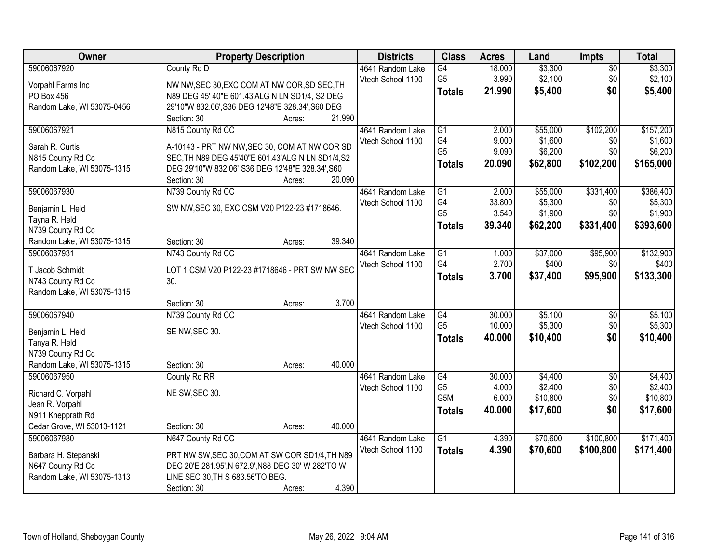| Owner                                           | <b>Property Description</b>                                                            |                  | <b>Districts</b>  | <b>Class</b>     | <b>Acres</b>    | Land                | Impts           | <b>Total</b> |
|-------------------------------------------------|----------------------------------------------------------------------------------------|------------------|-------------------|------------------|-----------------|---------------------|-----------------|--------------|
| 59006067920                                     | County Rd D                                                                            |                  | 4641 Random Lake  | $\overline{G4}$  | 18.000          | \$3,300             | $\overline{50}$ | \$3,300      |
| Vorpahl Farms Inc                               | NW NW, SEC 30, EXC COM AT NW COR, SD SEC, TH                                           |                  | Vtech School 1100 | G <sub>5</sub>   | 3.990           | \$2,100             | \$0             | \$2,100      |
| PO Box 456                                      | N89 DEG 45' 40"E 601.43'ALG N LN SD1/4, S2 DEG                                         |                  |                   | <b>Totals</b>    | 21.990          | \$5,400             | \$0             | \$5,400      |
| Random Lake, WI 53075-0456                      | 29'10"W 832.06', S36 DEG 12'48"E 328.34', S60 DEG                                      |                  |                   |                  |                 |                     |                 |              |
|                                                 | Section: 30                                                                            | 21.990<br>Acres: |                   |                  |                 |                     |                 |              |
| 59006067921                                     | N815 County Rd CC                                                                      |                  | 4641 Random Lake  | $\overline{G1}$  | 2.000           | \$55,000            | \$102,200       | \$157,200    |
|                                                 |                                                                                        |                  | Vtech School 1100 | G4               | 9.000           | \$1,600             | \$0             | \$1,600      |
| Sarah R. Curtis                                 | A-10143 - PRT NW NW, SEC 30, COM AT NW COR SD                                          |                  |                   | G <sub>5</sub>   | 9.090           | \$6,200             | \$0             | \$6,200      |
| N815 County Rd Cc                               | SEC, TH N89 DEG 45'40"E 601.43'ALG N LN SD1/4, S2                                      |                  |                   | <b>Totals</b>    | 20.090          | \$62,800            | \$102,200       | \$165,000    |
| Random Lake, WI 53075-1315                      | DEG 29'10"W 832.06' S36 DEG 12'48"E 328.34', S60                                       | 20.090           |                   |                  |                 |                     |                 |              |
| 59006067930                                     | Section: 30                                                                            | Acres:           |                   | G1               |                 |                     | \$331,400       | \$386,400    |
|                                                 | N739 County Rd CC                                                                      |                  | 4641 Random Lake  | G4               | 2.000<br>33.800 | \$55,000<br>\$5,300 |                 | \$5,300      |
| Benjamin L. Held                                | SW NW, SEC 30, EXC CSM V20 P122-23 #1718646.                                           |                  | Vtech School 1100 | G <sub>5</sub>   | 3.540           | \$1,900             | \$0<br>\$0      | \$1,900      |
| Tayna R. Held                                   |                                                                                        |                  |                   |                  | 39.340          | \$62,200            | \$331,400       |              |
| N739 County Rd Cc                               |                                                                                        |                  |                   | <b>Totals</b>    |                 |                     |                 | \$393,600    |
| Random Lake, WI 53075-1315                      | Section: 30                                                                            | 39.340<br>Acres: |                   |                  |                 |                     |                 |              |
| 59006067931                                     | N743 County Rd CC                                                                      |                  | 4641 Random Lake  | G1               | 1.000           | \$37,000            | \$95,900        | \$132,900    |
| T Jacob Schmidt                                 | LOT 1 CSM V20 P122-23 #1718646 - PRT SW NW SEC                                         |                  | Vtech School 1100 | G4               | 2.700           | \$400               | \$0             | \$400        |
| N743 County Rd Cc                               | 30.                                                                                    |                  |                   | <b>Totals</b>    | 3.700           | \$37,400            | \$95,900        | \$133,300    |
| Random Lake, WI 53075-1315                      |                                                                                        |                  |                   |                  |                 |                     |                 |              |
|                                                 | Section: 30                                                                            | 3.700<br>Acres:  |                   |                  |                 |                     |                 |              |
| 59006067940                                     | N739 County Rd CC                                                                      |                  | 4641 Random Lake  | $\overline{G4}$  | 30.000          | \$5,100             | \$0             | \$5,100      |
|                                                 |                                                                                        |                  | Vtech School 1100 | G <sub>5</sub>   | 10.000          | \$5,300             | \$0             | \$5,300      |
| Benjamin L. Held                                | SE NW, SEC 30.                                                                         |                  |                   | <b>Totals</b>    | 40.000          | \$10,400            | \$0             | \$10,400     |
| Tanya R. Held                                   |                                                                                        |                  |                   |                  |                 |                     |                 |              |
| N739 County Rd Cc                               |                                                                                        |                  |                   |                  |                 |                     |                 |              |
| Random Lake, WI 53075-1315                      | Section: 30                                                                            | 40.000<br>Acres: |                   |                  |                 |                     |                 |              |
| 59006067950                                     | County Rd RR                                                                           |                  | 4641 Random Lake  | $\overline{G4}$  | 30.000          | \$4,400             | $\overline{50}$ | \$4,400      |
| Richard C. Vorpahl                              | NE SW, SEC 30.                                                                         |                  | Vtech School 1100 | G <sub>5</sub>   | 4.000           | \$2,400             | \$0             | \$2,400      |
| Jean R. Vorpahl                                 |                                                                                        |                  |                   | G <sub>5</sub> M | 6.000           | \$10,800            | \$0             | \$10,800     |
| N911 Knepprath Rd                               |                                                                                        |                  |                   | <b>Totals</b>    | 40.000          | \$17,600            | \$0             | \$17,600     |
| Cedar Grove, WI 53013-1121                      | Section: 30                                                                            | 40.000<br>Acres: |                   |                  |                 |                     |                 |              |
| 59006067980                                     | N647 County Rd CC                                                                      |                  | 4641 Random Lake  | $\overline{G1}$  | 4.390           | \$70,600            | \$100,800       | \$171,400    |
|                                                 |                                                                                        |                  | Vtech School 1100 | <b>Totals</b>    | 4.390           | \$70,600            | \$100,800       | \$171,400    |
| Barbara H. Stepanski                            | PRT NW SW, SEC 30, COM AT SW COR SD1/4, TH N89                                         |                  |                   |                  |                 |                     |                 |              |
| N647 County Rd Cc<br>Random Lake, WI 53075-1313 | DEG 20'E 281.95', N 672.9', N88 DEG 30' W 282'TO W<br>LINE SEC 30, TH S 683.56'TO BEG. |                  |                   |                  |                 |                     |                 |              |
|                                                 |                                                                                        | 4.390            |                   |                  |                 |                     |                 |              |
|                                                 | Section: 30                                                                            | Acres:           |                   |                  |                 |                     |                 |              |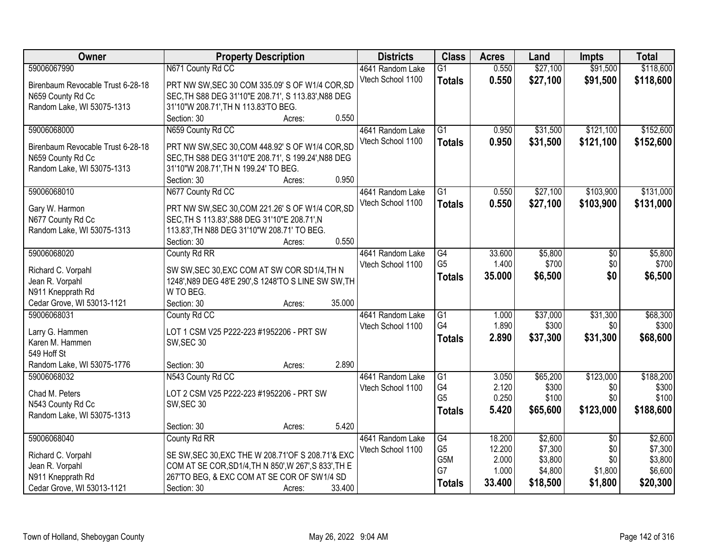| Owner                             | <b>Property Description</b>                                             | <b>Districts</b>  | <b>Class</b>    | <b>Acres</b> | Land     | <b>Impts</b>    | <b>Total</b> |
|-----------------------------------|-------------------------------------------------------------------------|-------------------|-----------------|--------------|----------|-----------------|--------------|
| 59006067990                       | N671 County Rd CC                                                       | 4641 Random Lake  | $\overline{G1}$ | 0.550        | \$27,100 | \$91,500        | \$118,600    |
| Birenbaum Revocable Trust 6-28-18 | PRT NW SW, SEC 30 COM 335.09' S OF W1/4 COR, SD                         | Vtech School 1100 | <b>Totals</b>   | 0.550        | \$27,100 | \$91,500        | \$118,600    |
| N659 County Rd Cc                 | SEC, TH S88 DEG 31'10"E 208.71', S 113.83', N88 DEG                     |                   |                 |              |          |                 |              |
| Random Lake, WI 53075-1313        | 31'10"W 208.71', TH N 113.83'TO BEG.                                    |                   |                 |              |          |                 |              |
|                                   | 0.550<br>Section: 30<br>Acres:                                          |                   |                 |              |          |                 |              |
| 59006068000                       | N659 County Rd CC                                                       | 4641 Random Lake  | $\overline{G1}$ | 0.950        | \$31,500 | \$121,100       | \$152,600    |
|                                   |                                                                         | Vtech School 1100 | <b>Totals</b>   | 0.950        | \$31,500 | \$121,100       | \$152,600    |
| Birenbaum Revocable Trust 6-28-18 | PRT NW SW, SEC 30, COM 448.92' S OF W1/4 COR, SD                        |                   |                 |              |          |                 |              |
| N659 County Rd Cc                 | SEC, TH S88 DEG 31'10"E 208.71', S 199.24', N88 DEG                     |                   |                 |              |          |                 |              |
| Random Lake, WI 53075-1313        | 31'10"W 208.71', TH N 199.24' TO BEG.<br>0.950<br>Section: 30<br>Acres: |                   |                 |              |          |                 |              |
| 59006068010                       | N677 County Rd CC                                                       | 4641 Random Lake  | $\overline{G1}$ | 0.550        | \$27,100 | \$103,900       | \$131,000    |
|                                   |                                                                         | Vtech School 1100 |                 |              |          |                 |              |
| Gary W. Harmon                    | PRT NW SW, SEC 30, COM 221.26' S OF W1/4 COR, SD                        |                   | <b>Totals</b>   | 0.550        | \$27,100 | \$103,900       | \$131,000    |
| N677 County Rd Cc                 | SEC, TH S 113.83', S88 DEG 31'10"E 208.71', N                           |                   |                 |              |          |                 |              |
| Random Lake, WI 53075-1313        | 113.83', TH N88 DEG 31'10"W 208.71' TO BEG.                             |                   |                 |              |          |                 |              |
|                                   | 0.550<br>Section: 30<br>Acres:                                          |                   |                 |              |          |                 |              |
| 59006068020                       | County Rd RR                                                            | 4641 Random Lake  | G4              | 33.600       | \$5,800  | \$0             | \$5,800      |
| Richard C. Vorpahl                | SW SW, SEC 30, EXC COM AT SW COR SD1/4, TH N                            | Vtech School 1100 | G <sub>5</sub>  | 1.400        | \$700    | \$0             | \$700        |
| Jean R. Vorpahl                   | 1248', N89 DEG 48'E 290', S 1248'TO S LINE SW SW, TH                    |                   | <b>Totals</b>   | 35.000       | \$6,500  | \$0             | \$6,500      |
| N911 Knepprath Rd                 | W TO BEG.                                                               |                   |                 |              |          |                 |              |
| Cedar Grove, WI 53013-1121        | Section: 30<br>35.000<br>Acres:                                         |                   |                 |              |          |                 |              |
| 59006068031                       | County Rd CC                                                            | 4641 Random Lake  | $\overline{G1}$ | 1.000        | \$37,000 | \$31,300        | \$68,300     |
|                                   |                                                                         | Vtech School 1100 | G4              | 1.890        | \$300    | \$0             | \$300        |
| Larry G. Hammen                   | LOT 1 CSM V25 P222-223 #1952206 - PRT SW                                |                   | <b>Totals</b>   | 2.890        | \$37,300 | \$31,300        | \$68,600     |
| Karen M. Hammen                   | SW, SEC 30                                                              |                   |                 |              |          |                 |              |
| 549 Hoff St                       |                                                                         |                   |                 |              |          |                 |              |
| Random Lake, WI 53075-1776        | 2.890<br>Section: 30<br>Acres:                                          |                   |                 |              |          |                 |              |
| 59006068032                       | N543 County Rd CC                                                       | 4641 Random Lake  | G1              | 3.050        | \$65,200 | \$123,000       | \$188,200    |
| Chad M. Peters                    | LOT 2 CSM V25 P222-223 #1952206 - PRT SW                                | Vtech School 1100 | G <sub>4</sub>  | 2.120        | \$300    | \$0             | \$300        |
| N543 County Rd Cc                 | SW, SEC 30                                                              |                   | G <sub>5</sub>  | 0.250        | \$100    | \$0             | \$100        |
| Random Lake, WI 53075-1313        |                                                                         |                   | <b>Totals</b>   | 5.420        | \$65,600 | \$123,000       | \$188,600    |
|                                   | 5.420<br>Section: 30<br>Acres:                                          |                   |                 |              |          |                 |              |
| 59006068040                       | County Rd RR                                                            | 4641 Random Lake  | G4              | 18.200       | \$2,600  | $\overline{50}$ | \$2,600      |
|                                   |                                                                         | Vtech School 1100 | G <sub>5</sub>  | 12.200       | \$7,300  | \$0             | \$7,300      |
| Richard C. Vorpahl                | SE SW, SEC 30, EXC THE W 208.71' OF S 208.71' & EXC                     |                   | G5M             | 2.000        | \$3,800  | \$0             | \$3,800      |
| Jean R. Vorpahl                   | COM AT SE COR, SD1/4, TH N 850', W 267', S 833', TH E                   |                   | G7              | 1.000        | \$4,800  | \$1,800         | \$6,600      |
| N911 Knepprath Rd                 | 267'TO BEG, & EXC COM AT SE COR OF SW1/4 SD                             |                   | <b>Totals</b>   | 33.400       | \$18,500 | \$1,800         | \$20,300     |
| Cedar Grove, WI 53013-1121        | Section: 30<br>33.400<br>Acres:                                         |                   |                 |              |          |                 |              |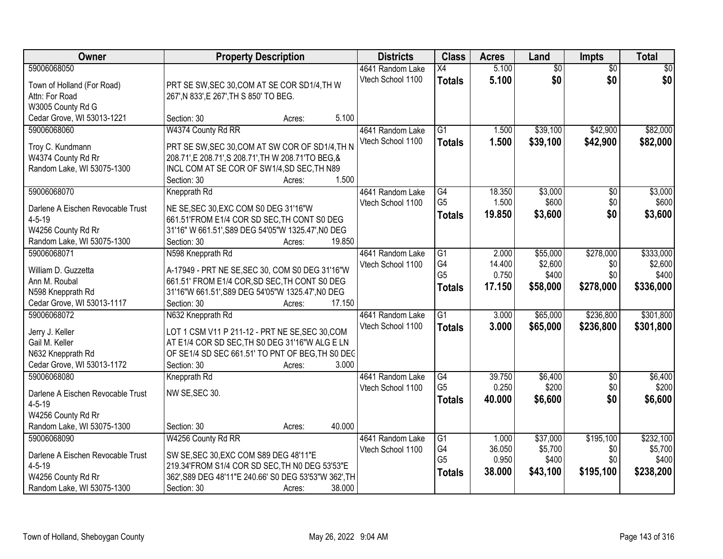| Owner                                            | <b>Property Description</b>                                                                          | <b>Districts</b>  | <b>Class</b>          | <b>Acres</b>    | Land            | <b>Impts</b>    | <b>Total</b>     |
|--------------------------------------------------|------------------------------------------------------------------------------------------------------|-------------------|-----------------------|-----------------|-----------------|-----------------|------------------|
| 59006068050                                      |                                                                                                      | 4641 Random Lake  | X4                    | 5.100           | $\overline{50}$ | $\overline{50}$ | $\overline{30}$  |
| Town of Holland (For Road)                       | PRT SE SW, SEC 30, COM AT SE COR SD1/4, TH W                                                         | Vtech School 1100 | <b>Totals</b>         | 5.100           | \$0             | \$0             | \$0              |
| Attn: For Road                                   | 267', N 833', E 267', TH S 850' TO BEG.                                                              |                   |                       |                 |                 |                 |                  |
| W3005 County Rd G                                |                                                                                                      |                   |                       |                 |                 |                 |                  |
| Cedar Grove, WI 53013-1221                       | 5.100<br>Section: 30<br>Acres:                                                                       |                   |                       |                 |                 |                 |                  |
| 59006068060                                      | W4374 County Rd RR                                                                                   | 4641 Random Lake  | $\overline{G1}$       | 1.500           | \$39,100        | \$42,900        | \$82,000         |
|                                                  |                                                                                                      | Vtech School 1100 | <b>Totals</b>         | 1.500           | \$39,100        | \$42,900        | \$82,000         |
| Troy C. Kundmann                                 | PRT SE SW, SEC 30, COM AT SW COR OF SD1/4, TH N                                                      |                   |                       |                 |                 |                 |                  |
| W4374 County Rd Rr<br>Random Lake, WI 53075-1300 | 208.71', E 208.71', S 208.71', TH W 208.71' TO BEG, &<br>INCL COM AT SE COR OF SW1/4, SD SEC, TH N89 |                   |                       |                 |                 |                 |                  |
|                                                  | 1.500<br>Section: 30<br>Acres:                                                                       |                   |                       |                 |                 |                 |                  |
| 59006068070                                      | Knepprath Rd                                                                                         | 4641 Random Lake  | G4                    | 18.350          | \$3,000         | \$0             | \$3,000          |
|                                                  |                                                                                                      | Vtech School 1100 | G <sub>5</sub>        | 1.500           | \$600           | \$0             | \$600            |
| Darlene A Eischen Revocable Trust                | NE SE, SEC 30, EXC COM S0 DEG 31'16"W                                                                |                   | <b>Totals</b>         | 19.850          | \$3,600         | \$0             | \$3,600          |
| $4 - 5 - 19$                                     | 661.51'FROM E1/4 COR SD SEC, TH CONT S0 DEG                                                          |                   |                       |                 |                 |                 |                  |
| W4256 County Rd Rr                               | 31'16" W 661.51', S89 DEG 54'05"W 1325.47', NO DEG                                                   |                   |                       |                 |                 |                 |                  |
| Random Lake, WI 53075-1300                       | 19.850<br>Section: 30<br>Acres:                                                                      |                   |                       |                 |                 |                 |                  |
| 59006068071                                      | N598 Knepprath Rd                                                                                    | 4641 Random Lake  | G1                    | 2.000           | \$55,000        | \$278,000       | \$333,000        |
| William D. Guzzetta                              | A-17949 - PRT NE SE, SEC 30, COM S0 DEG 31'16"W                                                      | Vtech School 1100 | G4                    | 14.400          | \$2,600         | \$0             | \$2,600          |
| Ann M. Roubal                                    | 661.51' FROM E1/4 COR, SD SEC, TH CONT S0 DEG                                                        |                   | G <sub>5</sub>        | 0.750           | \$400           | \$0             | \$400            |
| N598 Knepprath Rd                                | 31'16"W 661.51', S89 DEG 54'05"W 1325.47', NO DEG                                                    |                   | <b>Totals</b>         | 17.150          | \$58,000        | \$278,000       | \$336,000        |
| Cedar Grove, WI 53013-1117                       | Section: 30<br>17.150<br>Acres:                                                                      |                   |                       |                 |                 |                 |                  |
| 59006068072                                      | N632 Knepprath Rd                                                                                    | 4641 Random Lake  | $\overline{G1}$       | 3.000           | \$65,000        | \$236,800       | \$301,800        |
| Jerry J. Keller                                  | LOT 1 CSM V11 P 211-12 - PRT NE SE, SEC 30, COM                                                      | Vtech School 1100 | <b>Totals</b>         | 3.000           | \$65,000        | \$236,800       | \$301,800        |
| Gail M. Keller                                   | AT E1/4 COR SD SEC, TH S0 DEG 31'16"W ALG E LN                                                       |                   |                       |                 |                 |                 |                  |
| N632 Knepprath Rd                                | OF SE1/4 SD SEC 661.51' TO PNT OF BEG, TH S0 DEC                                                     |                   |                       |                 |                 |                 |                  |
| Cedar Grove, WI 53013-1172                       | 3.000<br>Section: 30<br>Acres:                                                                       |                   |                       |                 |                 |                 |                  |
| 59006068080                                      | Knepprath Rd                                                                                         | 4641 Random Lake  | G4                    | 39.750          | \$6,400         | $\sqrt{6}$      | \$6,400          |
|                                                  |                                                                                                      | Vtech School 1100 | G <sub>5</sub>        | 0.250           | \$200           | \$0             | \$200            |
| Darlene A Eischen Revocable Trust                | NW SE, SEC 30.                                                                                       |                   | <b>Totals</b>         | 40.000          | \$6,600         | \$0             | \$6,600          |
| $4 - 5 - 19$                                     |                                                                                                      |                   |                       |                 |                 |                 |                  |
| W4256 County Rd Rr                               |                                                                                                      |                   |                       |                 |                 |                 |                  |
| Random Lake, WI 53075-1300                       | 40.000<br>Section: 30<br>Acres:                                                                      |                   |                       |                 |                 |                 |                  |
| 59006068090                                      | W4256 County Rd RR                                                                                   | 4641 Random Lake  | $\overline{G1}$<br>G4 | 1.000           | \$37,000        | \$195,100       | \$232,100        |
| Darlene A Eischen Revocable Trust                | SW SE, SEC 30, EXC COM S89 DEG 48'11"E                                                               | Vtech School 1100 | G <sub>5</sub>        | 36.050<br>0.950 | \$5,700         | \$0             | \$5,700<br>\$400 |
| $4 - 5 - 19$                                     | 219.34'FROM S1/4 COR SD SEC, TH N0 DEG 53'53"E                                                       |                   |                       |                 | \$400           | \$0             |                  |
| W4256 County Rd Rr                               | 362', S89 DEG 48'11"E 240.66' S0 DEG 53'53"W 362', TH                                                |                   | <b>Totals</b>         | 38.000          | \$43,100        | \$195,100       | \$238,200        |
| Random Lake, WI 53075-1300                       | 38.000<br>Section: 30<br>Acres:                                                                      |                   |                       |                 |                 |                 |                  |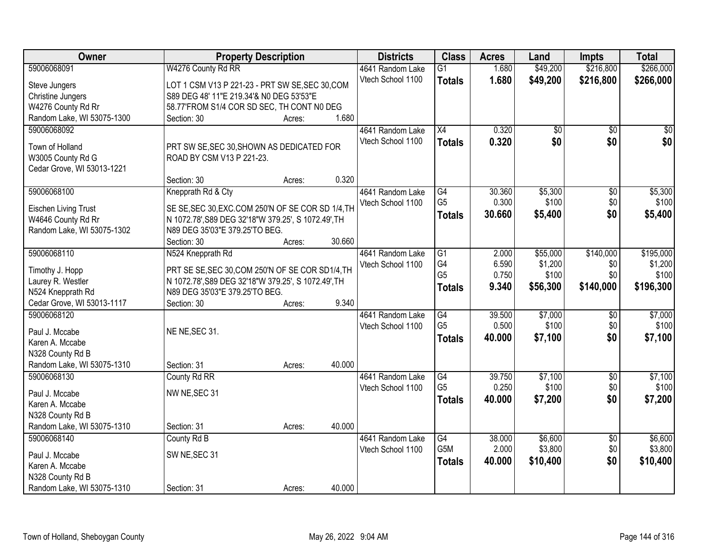| Owner                               | <b>Property Description</b>                         |        |        | <b>Districts</b>  | <b>Class</b>    | <b>Acres</b> | Land            | <b>Impts</b>    | <b>Total</b> |
|-------------------------------------|-----------------------------------------------------|--------|--------|-------------------|-----------------|--------------|-----------------|-----------------|--------------|
| 59006068091                         | W4276 County Rd RR                                  |        |        | 4641 Random Lake  | $\overline{G1}$ | 1.680        | \$49,200        | \$216,800       | \$266,000    |
| Steve Jungers                       | LOT 1 CSM V13 P 221-23 - PRT SW SE, SEC 30, COM     |        |        | Vtech School 1100 | <b>Totals</b>   | 1.680        | \$49,200        | \$216,800       | \$266,000    |
| <b>Christine Jungers</b>            | S89 DEG 48' 11"E 219.34'& N0 DEG 53'53"E            |        |        |                   |                 |              |                 |                 |              |
| W4276 County Rd Rr                  | 58.77'FROM S1/4 COR SD SEC, TH CONT N0 DEG          |        |        |                   |                 |              |                 |                 |              |
| Random Lake, WI 53075-1300          | Section: 30                                         | Acres: | 1.680  |                   |                 |              |                 |                 |              |
| 59006068092                         |                                                     |        |        | 4641 Random Lake  | $\overline{X4}$ | 0.320        | $\overline{50}$ | $\overline{50}$ | $\sqrt{50}$  |
|                                     |                                                     |        |        | Vtech School 1100 | <b>Totals</b>   | 0.320        | \$0             | \$0             | \$0          |
| Town of Holland                     | PRT SW SE, SEC 30, SHOWN AS DEDICATED FOR           |        |        |                   |                 |              |                 |                 |              |
| W3005 County Rd G                   | ROAD BY CSM V13 P 221-23.                           |        |        |                   |                 |              |                 |                 |              |
| Cedar Grove, WI 53013-1221          |                                                     |        |        |                   |                 |              |                 |                 |              |
|                                     | Section: 30                                         | Acres: | 0.320  |                   |                 |              |                 |                 |              |
| 59006068100                         | Knepprath Rd & Cty                                  |        |        | 4641 Random Lake  | $\overline{G4}$ | 30.360       | \$5,300         | $\overline{50}$ | \$5,300      |
| <b>Eischen Living Trust</b>         | SE SE, SEC 30, EXC.COM 250'N OF SE COR SD 1/4, TH   |        |        | Vtech School 1100 | G <sub>5</sub>  | 0.300        | \$100           | \$0             | \$100        |
| W4646 County Rd Rr                  | N 1072.78', S89 DEG 32'18"W 379.25', S 1072.49', TH |        |        |                   | <b>Totals</b>   | 30.660       | \$5,400         | \$0             | \$5,400      |
| Random Lake, WI 53075-1302          | N89 DEG 35'03"E 379.25'TO BEG.                      |        |        |                   |                 |              |                 |                 |              |
|                                     | Section: 30                                         | Acres: | 30.660 |                   |                 |              |                 |                 |              |
| 59006068110                         | N524 Knepprath Rd                                   |        |        | 4641 Random Lake  | G1              | 2.000        | \$55,000        | \$140,000       | \$195,000    |
| Timothy J. Hopp                     | PRT SE SE, SEC 30, COM 250'N OF SE COR SD1/4, TH    |        |        | Vtech School 1100 | G4              | 6.590        | \$1,200         | \$0             | \$1,200      |
| Laurey R. Westler                   | N 1072.78', S89 DEG 32'18"W 379.25', S 1072.49', TH |        |        |                   | G <sub>5</sub>  | 0.750        | \$100           | \$0             | \$100        |
| N524 Knepprath Rd                   | N89 DEG 35'03"E 379.25'TO BEG.                      |        |        |                   | <b>Totals</b>   | 9.340        | \$56,300        | \$140,000       | \$196,300    |
| Cedar Grove, WI 53013-1117          | Section: 30                                         | Acres: | 9.340  |                   |                 |              |                 |                 |              |
| 59006068120                         |                                                     |        |        | 4641 Random Lake  | $\overline{G4}$ | 39.500       | \$7,000         | $\overline{50}$ | \$7,000      |
|                                     |                                                     |        |        | Vtech School 1100 | G <sub>5</sub>  | 0.500        | \$100           | \$0             | \$100        |
| Paul J. Mccabe                      | NE NE, SEC 31.                                      |        |        |                   | Totals          | 40.000       | \$7,100         | \$0             | \$7,100      |
| Karen A. Mccabe                     |                                                     |        |        |                   |                 |              |                 |                 |              |
| N328 County Rd B                    |                                                     |        |        |                   |                 |              |                 |                 |              |
| Random Lake, WI 53075-1310          | Section: 31                                         | Acres: | 40.000 |                   |                 |              |                 |                 |              |
| 59006068130                         | County Rd RR                                        |        |        | 4641 Random Lake  | G4              | 39.750       | \$7,100         | $\sqrt{$0}$     | \$7,100      |
| Paul J. Mccabe                      | NW NE, SEC 31                                       |        |        | Vtech School 1100 | G <sub>5</sub>  | 0.250        | \$100           | \$0             | \$100        |
| Karen A. Mccabe                     |                                                     |        |        |                   | <b>Totals</b>   | 40.000       | \$7,200         | \$0             | \$7,200      |
| N328 County Rd B                    |                                                     |        |        |                   |                 |              |                 |                 |              |
| Random Lake, WI 53075-1310          | Section: 31                                         | Acres: | 40.000 |                   |                 |              |                 |                 |              |
| 59006068140                         | County Rd B                                         |        |        | 4641 Random Lake  | G4              | 38.000       | \$6,600         | $\overline{30}$ | \$6,600      |
|                                     |                                                     |        |        | Vtech School 1100 | G5M             | 2.000        | \$3,800         | \$0             | \$3,800      |
| Paul J. Mccabe                      | SW NE, SEC 31                                       |        |        |                   | <b>Totals</b>   | 40.000       | \$10,400        | \$0             | \$10,400     |
| Karen A. Mccabe<br>N328 County Rd B |                                                     |        |        |                   |                 |              |                 |                 |              |
| Random Lake, WI 53075-1310          | Section: 31                                         | Acres: | 40.000 |                   |                 |              |                 |                 |              |
|                                     |                                                     |        |        |                   |                 |              |                 |                 |              |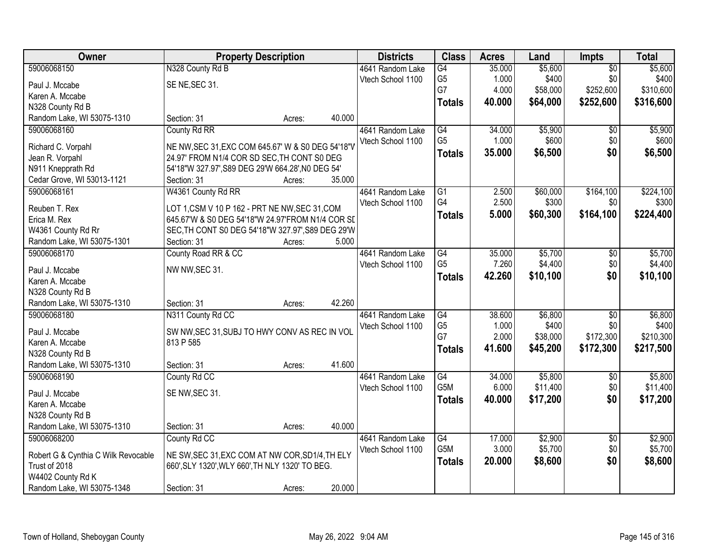| Owner                               |                                                   | <b>Property Description</b> |        | <b>Districts</b>  | <b>Class</b>     | <b>Acres</b> | Land     | Impts                  | <b>Total</b> |
|-------------------------------------|---------------------------------------------------|-----------------------------|--------|-------------------|------------------|--------------|----------|------------------------|--------------|
| 59006068150                         | N328 County Rd B                                  |                             |        | 4641 Random Lake  | G4               | 35.000       | \$5,600  | $\overline{50}$        | \$5,600      |
| Paul J. Mccabe                      | SE NE, SEC 31.                                    |                             |        | Vtech School 1100 | G <sub>5</sub>   | 1.000        | \$400    | \$0                    | \$400        |
| Karen A. Mccabe                     |                                                   |                             |        |                   | G7               | 4.000        | \$58,000 | \$252,600              | \$310,600    |
| N328 County Rd B                    |                                                   |                             |        |                   | <b>Totals</b>    | 40.000       | \$64,000 | \$252,600              | \$316,600    |
| Random Lake, WI 53075-1310          | Section: 31                                       | Acres:                      | 40.000 |                   |                  |              |          |                        |              |
| 59006068160                         | County Rd RR                                      |                             |        | 4641 Random Lake  | G4               | 34.000       | \$5,900  | $\overline{50}$        | \$5,900      |
|                                     |                                                   |                             |        | Vtech School 1100 | G <sub>5</sub>   | 1.000        | \$600    | \$0                    | \$600        |
| Richard C. Vorpahl                  | NE NW, SEC 31, EXC COM 645.67' W & S0 DEG 54'18"V |                             |        |                   | <b>Totals</b>    | 35.000       | \$6,500  | \$0                    | \$6,500      |
| Jean R. Vorpahl                     | 24.97' FROM N1/4 COR SD SEC, TH CONT S0 DEG       |                             |        |                   |                  |              |          |                        |              |
| N911 Knepprath Rd                   | 54'18"W 327.97', S89 DEG 29'W 664.28', N0 DEG 54' |                             |        |                   |                  |              |          |                        |              |
| Cedar Grove, WI 53013-1121          | Section: 31                                       | Acres:                      | 35.000 |                   |                  |              |          |                        |              |
| 59006068161                         | W4361 County Rd RR                                |                             |        | 4641 Random Lake  | $\overline{G1}$  | 2.500        | \$60,000 | \$164,100              | \$224,100    |
| Reuben T. Rex                       | LOT 1,CSM V 10 P 162 - PRT NE NW, SEC 31, COM     |                             |        | Vtech School 1100 | G4               | 2.500        | \$300    | \$0                    | \$300        |
| Erica M. Rex                        | 645.67'W & S0 DEG 54'18"W 24.97'FROM N1/4 COR SI  |                             |        |                   | <b>Totals</b>    | 5.000        | \$60,300 | \$164,100              | \$224,400    |
| W4361 County Rd Rr                  | SEC, TH CONT S0 DEG 54'18"W 327.97', S89 DEG 29'W |                             |        |                   |                  |              |          |                        |              |
| Random Lake, WI 53075-1301          | Section: 31                                       | Acres:                      | 5.000  |                   |                  |              |          |                        |              |
| 59006068170                         | County Road RR & CC                               |                             |        | 4641 Random Lake  | $\overline{G4}$  | 35.000       | \$5,700  | \$0                    | \$5,700      |
|                                     |                                                   |                             |        | Vtech School 1100 | G <sub>5</sub>   | 7.260        | \$4,400  | \$0                    | \$4,400      |
| Paul J. Mccabe                      | NW NW, SEC 31.                                    |                             |        |                   | <b>Totals</b>    | 42.260       | \$10,100 | \$0                    | \$10,100     |
| Karen A. Mccabe                     |                                                   |                             |        |                   |                  |              |          |                        |              |
| N328 County Rd B                    |                                                   |                             |        |                   |                  |              |          |                        |              |
| Random Lake, WI 53075-1310          | Section: 31                                       | Acres:                      | 42.260 |                   |                  |              |          |                        |              |
| 59006068180                         | N311 County Rd CC                                 |                             |        | 4641 Random Lake  | $\overline{G4}$  | 38.600       | \$6,800  | $\overline{50}$        | \$6,800      |
| Paul J. Mccabe                      | SW NW, SEC 31, SUBJ TO HWY CONV AS REC IN VOL     |                             |        | Vtech School 1100 | G <sub>5</sub>   | 1.000        | \$400    | \$0                    | \$400        |
| Karen A. Mccabe                     | 813 P 585                                         |                             |        |                   | G7               | 2.000        | \$38,000 | \$172,300              | \$210,300    |
| N328 County Rd B                    |                                                   |                             |        |                   | <b>Totals</b>    | 41.600       | \$45,200 | \$172,300              | \$217,500    |
| Random Lake, WI 53075-1310          | Section: 31                                       | Acres:                      | 41.600 |                   |                  |              |          |                        |              |
| 59006068190                         | County Rd CC                                      |                             |        | 4641 Random Lake  | $\overline{G4}$  | 34.000       | \$5,800  | $\overline{50}$        | \$5,800      |
| Paul J. Mccabe                      | SE NW, SEC 31.                                    |                             |        | Vtech School 1100 | G <sub>5</sub> M | 6.000        | \$11,400 | \$0                    | \$11,400     |
| Karen A. Mccabe                     |                                                   |                             |        |                   | <b>Totals</b>    | 40.000       | \$17,200 | \$0                    | \$17,200     |
| N328 County Rd B                    |                                                   |                             |        |                   |                  |              |          |                        |              |
| Random Lake, WI 53075-1310          | Section: 31                                       |                             | 40.000 |                   |                  |              |          |                        |              |
| 59006068200                         | County Rd CC                                      | Acres:                      |        | 4641 Random Lake  | G4               | 17.000       | \$2,900  |                        | \$2,900      |
|                                     |                                                   |                             |        |                   | G <sub>5</sub> M | 3.000        | \$5,700  | $\overline{30}$<br>\$0 | \$5,700      |
| Robert G & Cynthia C Wilk Revocable | NE SW, SEC 31, EXC COM AT NW COR, SD1/4, TH ELY   |                             |        | Vtech School 1100 |                  |              |          | \$0                    |              |
| Trust of 2018                       | 660', SLY 1320', WLY 660', TH NLY 1320' TO BEG.   |                             |        |                   | <b>Totals</b>    | 20.000       | \$8,600  |                        | \$8,600      |
| W4402 County Rd K                   |                                                   |                             |        |                   |                  |              |          |                        |              |
| Random Lake, WI 53075-1348          | Section: 31                                       | Acres:                      | 20.000 |                   |                  |              |          |                        |              |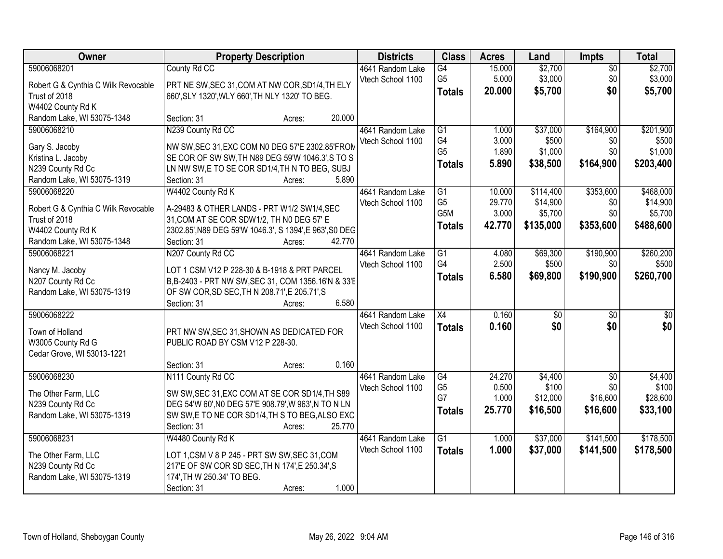| Owner                                | <b>Property Description</b>                                                                         | <b>Districts</b>  | <b>Class</b>    | <b>Acres</b> | Land            | <b>Impts</b>    | <b>Total</b>    |
|--------------------------------------|-----------------------------------------------------------------------------------------------------|-------------------|-----------------|--------------|-----------------|-----------------|-----------------|
| 59006068201                          | County Rd CC                                                                                        | 4641 Random Lake  | G4              | 15.000       | \$2,700         | $\overline{50}$ | \$2,700         |
| Robert G & Cynthia C Wilk Revocable  | PRT NE SW, SEC 31, COM AT NW COR, SD1/4, TH ELY                                                     | Vtech School 1100 | G <sub>5</sub>  | 5.000        | \$3,000         | \$0             | \$3,000         |
| Trust of 2018                        | 660', SLY 1320', WLY 660', TH NLY 1320' TO BEG.                                                     |                   | <b>Totals</b>   | 20.000       | \$5,700         | \$0             | \$5,700         |
| W4402 County Rd K                    |                                                                                                     |                   |                 |              |                 |                 |                 |
| Random Lake, WI 53075-1348           | 20.000<br>Section: 31<br>Acres:                                                                     |                   |                 |              |                 |                 |                 |
| 59006068210                          | N239 County Rd CC                                                                                   | 4641 Random Lake  | G <sub>1</sub>  | 1.000        | \$37,000        | \$164,900       | \$201,900       |
|                                      |                                                                                                     | Vtech School 1100 | G4              | 3.000        | \$500           | \$0             | \$500           |
| Gary S. Jacoby<br>Kristina L. Jacoby | NW SW, SEC 31, EXC COM N0 DEG 57'E 2302.85'FROM<br>SE COR OF SW SW, TH N89 DEG 59'W 1046.3', S TO S |                   | G <sub>5</sub>  | 1.890        | \$1,000         | \$0             | \$1,000         |
| N239 County Rd Cc                    | LN NW SW, E TO SE COR SD1/4, TH N TO BEG, SUBJ                                                      |                   | <b>Totals</b>   | 5.890        | \$38,500        | \$164,900       | \$203,400       |
| Random Lake, WI 53075-1319           | 5.890<br>Section: 31<br>Acres:                                                                      |                   |                 |              |                 |                 |                 |
| 59006068220                          | W4402 County Rd K                                                                                   | 4641 Random Lake  | G1              | 10.000       | \$114,400       | \$353,600       | \$468,000       |
|                                      |                                                                                                     | Vtech School 1100 | G <sub>5</sub>  | 29.770       | \$14,900        | \$0             | \$14,900        |
| Robert G & Cynthia C Wilk Revocable  | A-29483 & OTHER LANDS - PRT W1/2 SW1/4, SEC                                                         |                   | G5M             | 3.000        | \$5,700         | \$0             | \$5,700         |
| Trust of 2018                        | 31, COM AT SE COR SDW1/2, TH N0 DEG 57' E                                                           |                   | <b>Totals</b>   | 42.770       | \$135,000       | \$353,600       | \$488,600       |
| W4402 County Rd K                    | 2302.85', N89 DEG 59'W 1046.3', S 1394', E 963', S0 DEG                                             |                   |                 |              |                 |                 |                 |
| Random Lake, WI 53075-1348           | Section: 31<br>42.770<br>Acres:                                                                     |                   |                 |              |                 |                 |                 |
| 59006068221                          | N207 County Rd CC                                                                                   | 4641 Random Lake  | G1              | 4.080        | \$69,300        | \$190,900       | \$260,200       |
| Nancy M. Jacoby                      | LOT 1 CSM V12 P 228-30 & B-1918 & PRT PARCEL                                                        | Vtech School 1100 | G4              | 2.500        | \$500           | \$0             | \$500           |
| N207 County Rd Cc                    | B,B-2403 - PRT NW SW, SEC 31, COM 1356.16'N & 33'E                                                  |                   | <b>Totals</b>   | 6.580        | \$69,800        | \$190,900       | \$260,700       |
| Random Lake, WI 53075-1319           | OF SW COR, SD SEC, TH N 208.71', E 205.71', S                                                       |                   |                 |              |                 |                 |                 |
|                                      | 6.580<br>Section: 31<br>Acres:                                                                      |                   |                 |              |                 |                 |                 |
| 59006068222                          |                                                                                                     | 4641 Random Lake  | $\overline{X4}$ | 0.160        | $\overline{50}$ | $\overline{50}$ | $\overline{30}$ |
| Town of Holland                      | PRT NW SW, SEC 31, SHOWN AS DEDICATED FOR                                                           | Vtech School 1100 | <b>Totals</b>   | 0.160        | \$0             | \$0             | \$0             |
| W3005 County Rd G                    | PUBLIC ROAD BY CSM V12 P 228-30.                                                                    |                   |                 |              |                 |                 |                 |
| Cedar Grove, WI 53013-1221           |                                                                                                     |                   |                 |              |                 |                 |                 |
|                                      | 0.160<br>Section: 31<br>Acres:                                                                      |                   |                 |              |                 |                 |                 |
| 59006068230                          | N111 County Rd CC                                                                                   | 4641 Random Lake  | G4              | 24.270       | \$4,400         | $\overline{50}$ | \$4,400         |
| The Other Farm, LLC                  | SW SW, SEC 31, EXC COM AT SE COR SD1/4, TH S89                                                      | Vtech School 1100 | G <sub>5</sub>  | 0.500        | \$100           | \$0             | \$100           |
| N239 County Rd Cc                    | DEG 54'W 60', N0 DEG 57'E 908.79', W 963', N TO N LN                                                |                   | G7              | 1.000        | \$12,000        | \$16,600        | \$28,600        |
| Random Lake, WI 53075-1319           | SW SW, E TO NE COR SD1/4, TH S TO BEG, ALSO EXC                                                     |                   | <b>Totals</b>   | 25.770       | \$16,500        | \$16,600        | \$33,100        |
|                                      | Section: 31<br>25.770<br>Acres:                                                                     |                   |                 |              |                 |                 |                 |
| 59006068231                          | W4480 County Rd K                                                                                   | 4641 Random Lake  | $\overline{G1}$ | 1.000        | \$37,000        | \$141,500       | \$178,500       |
|                                      |                                                                                                     | Vtech School 1100 | <b>Totals</b>   | 1.000        | \$37,000        | \$141,500       | \$178,500       |
| The Other Farm, LLC                  | LOT 1, CSM V 8 P 245 - PRT SW SW, SEC 31, COM                                                       |                   |                 |              |                 |                 |                 |
| N239 County Rd Cc                    | 217'E OF SW COR SD SEC, TH N 174', E 250.34', S<br>174', TH W 250.34' TO BEG.                       |                   |                 |              |                 |                 |                 |
| Random Lake, WI 53075-1319           | 1.000<br>Section: 31<br>Acres:                                                                      |                   |                 |              |                 |                 |                 |
|                                      |                                                                                                     |                   |                 |              |                 |                 |                 |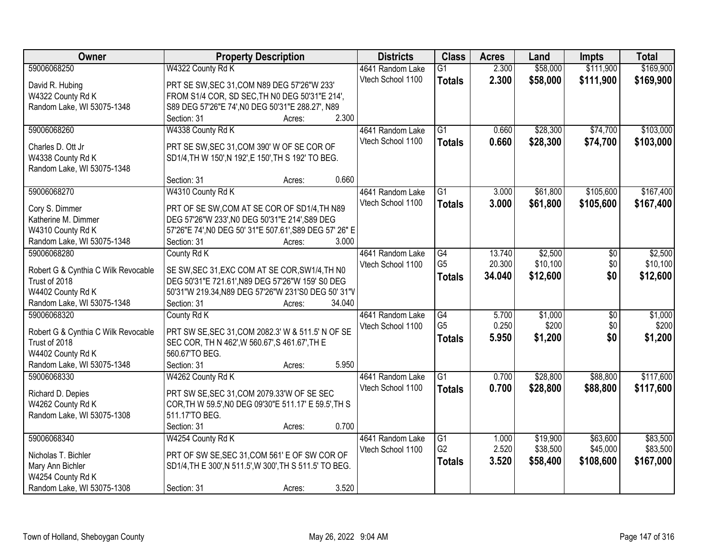| Owner                               | <b>Property Description</b>                             |        | <b>Districts</b>  | <b>Class</b>    | <b>Acres</b> | Land     | <b>Impts</b>    | <b>Total</b> |
|-------------------------------------|---------------------------------------------------------|--------|-------------------|-----------------|--------------|----------|-----------------|--------------|
| 59006068250                         | W4322 County Rd K                                       |        | 4641 Random Lake  | $\overline{G1}$ | 2.300        | \$58,000 | \$111,900       | \$169,900    |
| David R. Hubing                     | PRT SE SW, SEC 31, COM N89 DEG 57'26"W 233'             |        | Vtech School 1100 | <b>Totals</b>   | 2.300        | \$58,000 | \$111,900       | \$169,900    |
| W4322 County Rd K                   | FROM S1/4 COR, SD SEC, TH NO DEG 50'31"E 214',          |        |                   |                 |              |          |                 |              |
| Random Lake, WI 53075-1348          | S89 DEG 57'26"E 74', N0 DEG 50'31"E 288.27', N89        |        |                   |                 |              |          |                 |              |
|                                     | Section: 31<br>Acres:                                   | 2.300  |                   |                 |              |          |                 |              |
| 59006068260                         | W4338 County Rd K                                       |        | 4641 Random Lake  | $\overline{G1}$ | 0.660        | \$28,300 | \$74,700        | \$103,000    |
|                                     |                                                         |        | Vtech School 1100 | <b>Totals</b>   | 0.660        | \$28,300 | \$74,700        | \$103,000    |
| Charles D. Ott Jr                   | PRT SE SW, SEC 31, COM 390' W OF SE COR OF              |        |                   |                 |              |          |                 |              |
| W4338 County Rd K                   | SD1/4, TH W 150', N 192', E 150', TH S 192' TO BEG.     |        |                   |                 |              |          |                 |              |
| Random Lake, WI 53075-1348          |                                                         | 0.660  |                   |                 |              |          |                 |              |
|                                     | Section: 31<br>Acres:                                   |        |                   |                 |              |          |                 |              |
| 59006068270                         | W4310 County Rd K                                       |        | 4641 Random Lake  | G1              | 3.000        | \$61,800 | \$105,600       | \$167,400    |
| Cory S. Dimmer                      | PRT OF SE SW, COM AT SE COR OF SD1/4, TH N89            |        | Vtech School 1100 | <b>Totals</b>   | 3.000        | \$61,800 | \$105,600       | \$167,400    |
| Katherine M. Dimmer                 | DEG 57'26"W 233', NO DEG 50'31"E 214', S89 DEG          |        |                   |                 |              |          |                 |              |
| W4310 County Rd K                   | 57'26"E 74', N0 DEG 50' 31"E 507.61', S89 DEG 57' 26" E |        |                   |                 |              |          |                 |              |
| Random Lake, WI 53075-1348          | Section: 31<br>Acres:                                   | 3.000  |                   |                 |              |          |                 |              |
| 59006068280                         | County Rd K                                             |        | 4641 Random Lake  | G4              | 13.740       | \$2,500  | \$0             | \$2,500      |
| Robert G & Cynthia C Wilk Revocable | SE SW, SEC 31, EXC COM AT SE COR, SW1/4, TH NO          |        | Vtech School 1100 | G <sub>5</sub>  | 20.300       | \$10,100 | \$0             | \$10,100     |
| Trust of 2018                       | DEG 50'31"E 721.61', N89 DEG 57'26"W 159' S0 DEG        |        |                   | <b>Totals</b>   | 34.040       | \$12,600 | \$0             | \$12,600     |
| W4402 County Rd K                   | 50'31"W 219.34, N89 DEG 57'26"W 231'S0 DEG 50' 31"V     |        |                   |                 |              |          |                 |              |
| Random Lake, WI 53075-1348          | Section: 31<br>Acres:                                   | 34.040 |                   |                 |              |          |                 |              |
| 59006068320                         | County Rd K                                             |        | 4641 Random Lake  | G4              | 5.700        | \$1,000  | $\overline{60}$ | \$1,000      |
|                                     |                                                         |        | Vtech School 1100 | G <sub>5</sub>  | 0.250        | \$200    | \$0             | \$200        |
| Robert G & Cynthia C Wilk Revocable | PRT SW SE, SEC 31, COM 2082.3' W & 511.5' N OF SE       |        |                   | <b>Totals</b>   | 5.950        | \$1,200  | \$0             | \$1,200      |
| Trust of 2018                       | SEC COR, TH N 462', W 560.67', S 461.67', TH E          |        |                   |                 |              |          |                 |              |
| W4402 County Rd K                   | 560.67'TO BEG.                                          |        |                   |                 |              |          |                 |              |
| Random Lake, WI 53075-1348          | Section: 31<br>Acres:                                   | 5.950  |                   |                 |              |          |                 |              |
| 59006068330                         | W4262 County Rd K                                       |        | 4641 Random Lake  | $\overline{G1}$ | 0.700        | \$28,800 | \$88,800        | \$117,600    |
| Richard D. Depies                   | PRT SW SE, SEC 31, COM 2079.33'W OF SE SEC              |        | Vtech School 1100 | <b>Totals</b>   | 0.700        | \$28,800 | \$88,800        | \$117,600    |
| W4262 County Rd K                   | COR, TH W 59.5', NO DEG 09'30"E 511.17' E 59.5', TH S   |        |                   |                 |              |          |                 |              |
| Random Lake, WI 53075-1308          | 511.17'TO BEG.                                          |        |                   |                 |              |          |                 |              |
|                                     | Section: 31<br>Acres:                                   | 0.700  |                   |                 |              |          |                 |              |
| 59006068340                         | W4254 County Rd K                                       |        | 4641 Random Lake  | $\overline{G1}$ | 1.000        | \$19,900 | \$63,600        | \$83,500     |
|                                     |                                                         |        | Vtech School 1100 | G <sub>2</sub>  | 2.520        | \$38,500 | \$45,000        | \$83,500     |
| Nicholas T. Bichler                 | PRT OF SW SE, SEC 31, COM 561' E OF SW COR OF           |        |                   | <b>Totals</b>   | 3.520        | \$58,400 | \$108,600       | \$167,000    |
| Mary Ann Bichler                    | SD1/4, TH E 300', N 511.5', W 300', TH S 511.5' TO BEG. |        |                   |                 |              |          |                 |              |
| W4254 County Rd K                   |                                                         |        |                   |                 |              |          |                 |              |
| Random Lake, WI 53075-1308          | Section: 31<br>Acres:                                   | 3.520  |                   |                 |              |          |                 |              |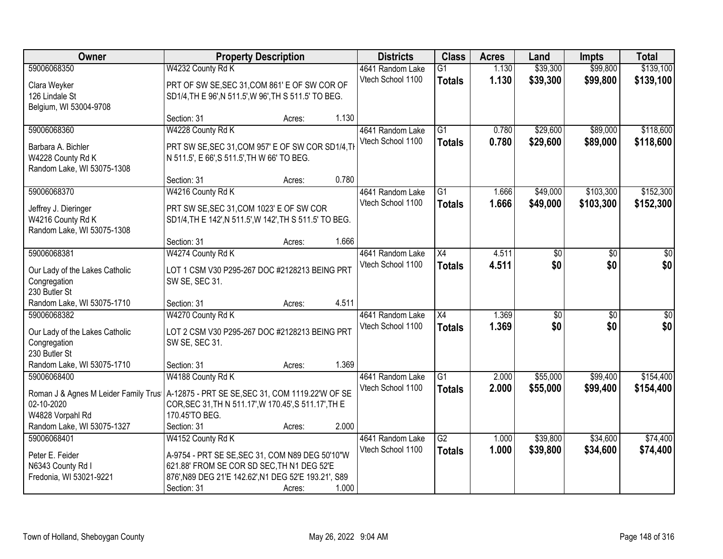| Owner                                |                                                         | <b>Property Description</b> |       | <b>Districts</b>  | <b>Class</b>    | <b>Acres</b> | Land            | <b>Impts</b>    | <b>Total</b>     |
|--------------------------------------|---------------------------------------------------------|-----------------------------|-------|-------------------|-----------------|--------------|-----------------|-----------------|------------------|
| 59006068350                          | W4232 County Rd K                                       |                             |       | 4641 Random Lake  | $\overline{G1}$ | 1.130        | \$39,300        | \$99,800        | \$139,100        |
| Clara Weyker                         | PRT OF SW SE, SEC 31, COM 861' E OF SW COR OF           |                             |       | Vtech School 1100 | <b>Totals</b>   | 1.130        | \$39,300        | \$99,800        | \$139,100        |
| 126 Lindale St                       | SD1/4, TH E 96', N 511.5', W 96', TH S 511.5' TO BEG.   |                             |       |                   |                 |              |                 |                 |                  |
| Belgium, WI 53004-9708               |                                                         |                             |       |                   |                 |              |                 |                 |                  |
|                                      | Section: 31                                             | Acres:                      | 1.130 |                   |                 |              |                 |                 |                  |
| 59006068360                          | W4228 County Rd K                                       |                             |       | 4641 Random Lake  | $\overline{G1}$ | 0.780        | \$29,600        | \$89,000        | \$118,600        |
| Barbara A. Bichler                   | PRT SW SE, SEC 31, COM 957' E OF SW COR SD1/4, TH       |                             |       | Vtech School 1100 | <b>Totals</b>   | 0.780        | \$29,600        | \$89,000        | \$118,600        |
| W4228 County Rd K                    | N 511.5', E 66', S 511.5', TH W 66' TO BEG.             |                             |       |                   |                 |              |                 |                 |                  |
| Random Lake, WI 53075-1308           |                                                         |                             |       |                   |                 |              |                 |                 |                  |
|                                      | Section: 31                                             | Acres:                      | 0.780 |                   |                 |              |                 |                 |                  |
| 59006068370                          | W4216 County Rd K                                       |                             |       | 4641 Random Lake  | $\overline{G1}$ | 1.666        | \$49,000        | \$103,300       | \$152,300        |
| Jeffrey J. Dieringer                 | PRT SW SE, SEC 31, COM 1023' E OF SW COR                |                             |       | Vtech School 1100 | <b>Totals</b>   | 1.666        | \$49,000        | \$103,300       | \$152,300        |
| W4216 County Rd K                    | SD1/4, TH E 142', N 511.5', W 142', TH S 511.5' TO BEG. |                             |       |                   |                 |              |                 |                 |                  |
| Random Lake, WI 53075-1308           |                                                         |                             |       |                   |                 |              |                 |                 |                  |
|                                      | Section: 31                                             | Acres:                      | 1.666 |                   |                 |              |                 |                 |                  |
| 59006068381                          | W4274 County Rd K                                       |                             |       | 4641 Random Lake  | X4              | 4.511        | \$0             | \$0             | \$0              |
| Our Lady of the Lakes Catholic       | LOT 1 CSM V30 P295-267 DOC #2128213 BEING PRT           |                             |       | Vtech School 1100 | <b>Totals</b>   | 4.511        | \$0             | \$0             | \$0              |
| Congregation                         | SW SE, SEC 31.                                          |                             |       |                   |                 |              |                 |                 |                  |
| 230 Butler St                        |                                                         |                             |       |                   |                 |              |                 |                 |                  |
| Random Lake, WI 53075-1710           | Section: 31                                             | Acres:                      | 4.511 |                   |                 |              |                 |                 |                  |
| 59006068382                          | W4270 County Rd K                                       |                             |       | 4641 Random Lake  | $\overline{X4}$ | 1.369        | $\overline{50}$ | $\overline{50}$ | $\overline{\$0}$ |
| Our Lady of the Lakes Catholic       | LOT 2 CSM V30 P295-267 DOC #2128213 BEING PRT           |                             |       | Vtech School 1100 | <b>Totals</b>   | 1.369        | \$0             | \$0             | \$0              |
| Congregation                         | SW SE, SEC 31.                                          |                             |       |                   |                 |              |                 |                 |                  |
| 230 Butler St                        |                                                         |                             |       |                   |                 |              |                 |                 |                  |
| Random Lake, WI 53075-1710           | Section: 31                                             | Acres:                      | 1.369 |                   |                 |              |                 |                 |                  |
| 59006068400                          | W4188 County Rd K                                       |                             |       | 4641 Random Lake  | $\overline{G1}$ | 2.000        | \$55,000        | \$99,400        | \$154,400        |
| Roman J & Agnes M Leider Family Trus | A-12875 - PRT SE SE, SEC 31, COM 1119.22'W OF SE        |                             |       | Vtech School 1100 | <b>Totals</b>   | 2.000        | \$55,000        | \$99,400        | \$154,400        |
| 02-10-2020                           | COR, SEC 31, TH N 511.17', W 170.45', S 511.17', TH E   |                             |       |                   |                 |              |                 |                 |                  |
| W4828 Vorpahl Rd                     | 170.45'TO BEG.                                          |                             |       |                   |                 |              |                 |                 |                  |
| Random Lake, WI 53075-1327           | Section: 31                                             | Acres:                      | 2.000 |                   |                 |              |                 |                 |                  |
| 59006068401                          | W4152 County Rd K                                       |                             |       | 4641 Random Lake  | $\overline{G2}$ | 1.000        | \$39,800        | \$34,600        | \$74,400         |
| Peter E. Feider                      | A-9754 - PRT SE SE, SEC 31, COM N89 DEG 50'10"W         |                             |       | Vtech School 1100 | <b>Totals</b>   | 1.000        | \$39,800        | \$34,600        | \$74,400         |
| N6343 County Rd I                    | 621.88' FROM SE COR SD SEC, TH N1 DEG 52'E              |                             |       |                   |                 |              |                 |                 |                  |
| Fredonia, WI 53021-9221              | 876', N89 DEG 21'E 142.62', N1 DEG 52'E 193.21', S89    |                             |       |                   |                 |              |                 |                 |                  |
|                                      | Section: 31                                             | Acres:                      | 1.000 |                   |                 |              |                 |                 |                  |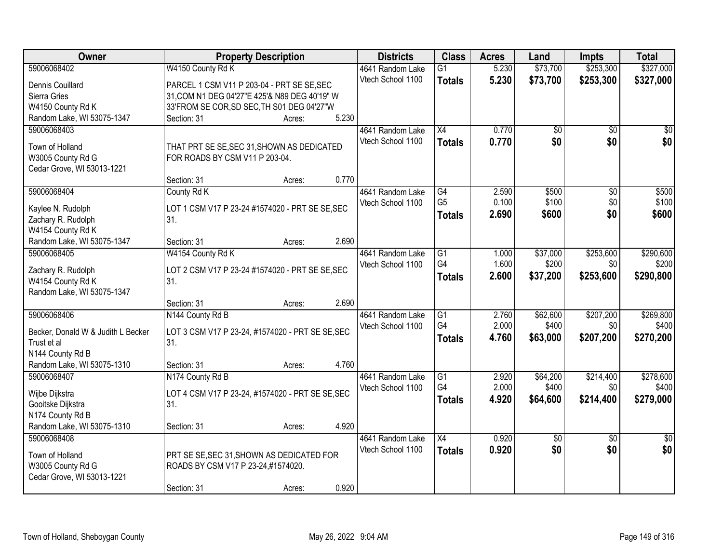| Owner                              | <b>Property Description</b>                      |        |       | <b>Districts</b>  | <b>Class</b>                      | <b>Acres</b> | Land     | <b>Impts</b>    | <b>Total</b>    |
|------------------------------------|--------------------------------------------------|--------|-------|-------------------|-----------------------------------|--------------|----------|-----------------|-----------------|
| 59006068402                        | W4150 County Rd K                                |        |       | 4641 Random Lake  | $\overline{G1}$                   | 5.230        | \$73,700 | \$253,300       | \$327,000       |
| Dennis Couillard                   | PARCEL 1 CSM V11 P 203-04 - PRT SE SE, SEC       |        |       | Vtech School 1100 | <b>Totals</b>                     | 5.230        | \$73,700 | \$253,300       | \$327,000       |
| Sierra Gries                       | 31, COM N1 DEG 04'27"E 425'& N89 DEG 40'19" W    |        |       |                   |                                   |              |          |                 |                 |
| W4150 County Rd K                  | 33'FROM SE COR, SD SEC, TH S01 DEG 04'27"W       |        |       |                   |                                   |              |          |                 |                 |
| Random Lake, WI 53075-1347         | Section: 31                                      | Acres: | 5.230 |                   |                                   |              |          |                 |                 |
| 59006068403                        |                                                  |        |       | 4641 Random Lake  | $\overline{X4}$                   | 0.770        | \$0      | $\overline{50}$ | \$0             |
|                                    |                                                  |        |       | Vtech School 1100 | <b>Totals</b>                     | 0.770        | \$0      | \$0             | \$0             |
| Town of Holland                    | THAT PRT SE SE, SEC 31, SHOWN AS DEDICATED       |        |       |                   |                                   |              |          |                 |                 |
| W3005 County Rd G                  | FOR ROADS BY CSM V11 P 203-04.                   |        |       |                   |                                   |              |          |                 |                 |
| Cedar Grove, WI 53013-1221         |                                                  |        |       |                   |                                   |              |          |                 |                 |
|                                    | Section: 31                                      | Acres: | 0.770 |                   |                                   |              |          |                 |                 |
| 59006068404                        | County Rd K                                      |        |       | 4641 Random Lake  | $\overline{G4}$<br>G <sub>5</sub> | 2.590        | \$500    | $\overline{50}$ | \$500           |
| Kaylee N. Rudolph                  | LOT 1 CSM V17 P 23-24 #1574020 - PRT SE SE, SEC  |        |       | Vtech School 1100 |                                   | 0.100        | \$100    | \$0             | \$100           |
| Zachary R. Rudolph                 | 31.                                              |        |       |                   | <b>Totals</b>                     | 2.690        | \$600    | \$0             | \$600           |
| W4154 County Rd K                  |                                                  |        |       |                   |                                   |              |          |                 |                 |
| Random Lake, WI 53075-1347         | Section: 31                                      | Acres: | 2.690 |                   |                                   |              |          |                 |                 |
| 59006068405                        | W4154 County Rd K                                |        |       | 4641 Random Lake  | G1                                | 1.000        | \$37,000 | \$253,600       | \$290,600       |
| Zachary R. Rudolph                 | LOT 2 CSM V17 P 23-24 #1574020 - PRT SE SE, SEC  |        |       | Vtech School 1100 | G4                                | 1.600        | \$200    | \$0             | \$200           |
| W4154 County Rd K                  | 31.                                              |        |       |                   | <b>Totals</b>                     | 2.600        | \$37,200 | \$253,600       | \$290,800       |
| Random Lake, WI 53075-1347         |                                                  |        |       |                   |                                   |              |          |                 |                 |
|                                    | Section: 31                                      | Acres: | 2.690 |                   |                                   |              |          |                 |                 |
| 59006068406                        | N144 County Rd B                                 |        |       | 4641 Random Lake  | $\overline{G1}$                   | 2.760        | \$62,600 | \$207,200       | \$269,800       |
|                                    |                                                  |        |       | Vtech School 1100 | G4                                | 2.000        | \$400    | \$0             | \$400           |
| Becker, Donald W & Judith L Becker | LOT 3 CSM V17 P 23-24, #1574020 - PRT SE SE, SEC |        |       |                   | <b>Totals</b>                     | 4.760        | \$63,000 | \$207,200       | \$270,200       |
| Trust et al                        | 31.                                              |        |       |                   |                                   |              |          |                 |                 |
| N144 County Rd B                   |                                                  |        |       |                   |                                   |              |          |                 |                 |
| Random Lake, WI 53075-1310         | Section: 31                                      | Acres: | 4.760 |                   |                                   |              |          |                 |                 |
| 59006068407                        | N174 County Rd B                                 |        |       | 4641 Random Lake  | $\overline{G1}$<br>G4             | 2.920        | \$64,200 | \$214,400       | \$278,600       |
| Wijbe Dijkstra                     | LOT 4 CSM V17 P 23-24, #1574020 - PRT SE SE, SEC |        |       | Vtech School 1100 |                                   | 2.000        | \$400    | \$0             | \$400           |
| Gooitske Dijkstra                  | 31.                                              |        |       |                   | <b>Totals</b>                     | 4.920        | \$64,600 | \$214,400       | \$279,000       |
| N174 County Rd B                   |                                                  |        |       |                   |                                   |              |          |                 |                 |
| Random Lake, WI 53075-1310         | Section: 31                                      | Acres: | 4.920 |                   |                                   |              |          |                 |                 |
| 59006068408                        |                                                  |        |       | 4641 Random Lake  | $\overline{X4}$                   | 0.920        | \$0      | $\overline{50}$ | $\overline{50}$ |
| Town of Holland                    | PRT SE SE, SEC 31, SHOWN AS DEDICATED FOR        |        |       | Vtech School 1100 | <b>Totals</b>                     | 0.920        | \$0      | \$0             | \$0             |
| W3005 County Rd G                  | ROADS BY CSM V17 P 23-24,#1574020.               |        |       |                   |                                   |              |          |                 |                 |
| Cedar Grove, WI 53013-1221         |                                                  |        |       |                   |                                   |              |          |                 |                 |
|                                    |                                                  |        |       |                   |                                   |              |          |                 |                 |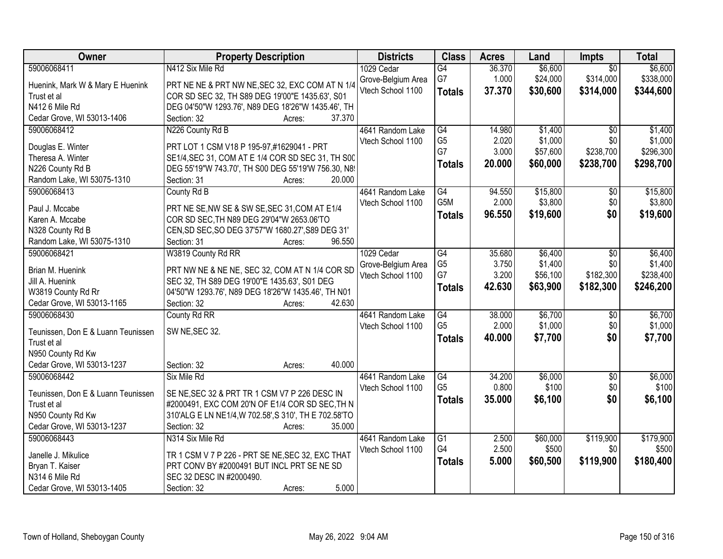| Owner                              | <b>Property Description</b>                                                                    | <b>Districts</b>   | <b>Class</b>           | <b>Acres</b> | Land     | <b>Impts</b>    | <b>Total</b> |
|------------------------------------|------------------------------------------------------------------------------------------------|--------------------|------------------------|--------------|----------|-----------------|--------------|
| 59006068411                        | N412 Six Mile Rd                                                                               | 1029 Cedar         | $\overline{G4}$        | 36.370       | \$6,600  | $\overline{50}$ | \$6,600      |
| Huenink, Mark W & Mary E Huenink   | PRT NE NE & PRT NW NE, SEC 32, EXC COM AT N 1/4                                                | Grove-Belgium Area | G7                     | 1.000        | \$24,000 | \$314,000       | \$338,000    |
| Trust et al                        | COR SD SEC 32, TH S89 DEG 19'00"E 1435.63', S01                                                | Vtech School 1100  | <b>Totals</b>          | 37.370       | \$30,600 | \$314,000       | \$344,600    |
| N412 6 Mile Rd                     | DEG 04'50"W 1293.76', N89 DEG 18'26"W 1435.46', TH                                             |                    |                        |              |          |                 |              |
| Cedar Grove, WI 53013-1406         | 37.370<br>Section: 32<br>Acres:                                                                |                    |                        |              |          |                 |              |
| 59006068412                        | N226 County Rd B                                                                               | 4641 Random Lake   | G4                     | 14.980       | \$1,400  | $\overline{50}$ | \$1,400      |
|                                    |                                                                                                | Vtech School 1100  | G <sub>5</sub>         | 2.020        | \$1,000  | \$0             | \$1,000      |
| Douglas E. Winter                  | PRT LOT 1 CSM V18 P 195-97,#1629041 - PRT                                                      |                    | G7                     | 3.000        | \$57,600 | \$238,700       | \$296,300    |
| Theresa A. Winter                  | SE1/4, SEC 31, COM AT E 1/4 COR SD SEC 31, TH S00                                              |                    | <b>Totals</b>          | 20.000       | \$60,000 | \$238,700       | \$298,700    |
| N226 County Rd B                   | DEG 55'19"W 743.70', TH S00 DEG 55'19'W 756.30, N8!                                            |                    |                        |              |          |                 |              |
| Random Lake, WI 53075-1310         | 20.000<br>Section: 31<br>Acres:                                                                |                    |                        |              |          |                 |              |
| 59006068413                        | County Rd B                                                                                    | 4641 Random Lake   | G4<br>G <sub>5</sub> M | 94.550       | \$15,800 | $\overline{50}$ | \$15,800     |
| Paul J. Mccabe                     | PRT NE SE, NW SE & SW SE, SEC 31, COM AT E1/4                                                  | Vtech School 1100  |                        | 2.000        | \$3,800  | \$0             | \$3,800      |
| Karen A. Mccabe                    | COR SD SEC, TH N89 DEG 29'04"W 2653.06'TO                                                      |                    | <b>Totals</b>          | 96.550       | \$19,600 | \$0             | \$19,600     |
| N328 County Rd B                   | CEN, SD SEC, SO DEG 37'57"W 1680.27', S89 DEG 31'                                              |                    |                        |              |          |                 |              |
| Random Lake, WI 53075-1310         | 96.550<br>Section: 31<br>Acres:                                                                |                    |                        |              |          |                 |              |
| 59006068421                        | W3819 County Rd RR                                                                             | 1029 Cedar         | $\overline{G4}$        | 35.680       | \$6,400  | \$0             | \$6,400      |
| Brian M. Huenink                   | PRT NW NE & NE NE, SEC 32, COM AT N 1/4 COR SD                                                 | Grove-Belgium Area | G <sub>5</sub>         | 3.750        | \$1,400  | \$0             | \$1,400      |
| Jill A. Huenink                    | SEC 32, TH S89 DEG 19'00"E 1435.63', S01 DEG                                                   | Vtech School 1100  | G7                     | 3.200        | \$56,100 | \$182,300       | \$238,400    |
| W3819 County Rd Rr                 | 04'50"W 1293.76', N89 DEG 18'26"W 1435.46', TH N01                                             |                    | <b>Totals</b>          | 42.630       | \$63,900 | \$182,300       | \$246,200    |
| Cedar Grove, WI 53013-1165         | 42.630<br>Section: 32<br>Acres:                                                                |                    |                        |              |          |                 |              |
| 59006068430                        | County Rd RR                                                                                   | 4641 Random Lake   | $\overline{G4}$        | 38.000       | \$6,700  | \$0             | \$6,700      |
|                                    |                                                                                                | Vtech School 1100  | G <sub>5</sub>         | 2.000        | \$1,000  | \$0             | \$1,000      |
| Teunissen, Don E & Luann Teunissen | SW NE, SEC 32.                                                                                 |                    | <b>Totals</b>          | 40.000       | \$7,700  | \$0             | \$7,700      |
| Trust et al                        |                                                                                                |                    |                        |              |          |                 |              |
| N950 County Rd Kw                  |                                                                                                |                    |                        |              |          |                 |              |
| Cedar Grove, WI 53013-1237         | 40.000<br>Section: 32<br>Acres:                                                                |                    |                        |              |          |                 |              |
| 59006068442                        | Six Mile Rd                                                                                    | 4641 Random Lake   | G4                     | 34.200       | \$6,000  | $\overline{50}$ | \$6,000      |
| Teunissen, Don E & Luann Teunissen | SE NE, SEC 32 & PRT TR 1 CSM V7 P 226 DESC IN                                                  | Vtech School 1100  | G <sub>5</sub>         | 0.800        | \$100    | \$0             | \$100        |
| Trust et al                        | #2000491, EXC COM 20'N OF E1/4 COR SD SEC, TH N                                                |                    | <b>Totals</b>          | 35.000       | \$6,100  | \$0             | \$6,100      |
| N950 County Rd Kw                  | 310'ALG E LN NE1/4, W 702.58', S 310', TH E 702.58'TO                                          |                    |                        |              |          |                 |              |
| Cedar Grove, WI 53013-1237         | Section: 32<br>35.000<br>Acres:                                                                |                    |                        |              |          |                 |              |
| 59006068443                        | N314 Six Mile Rd                                                                               | 4641 Random Lake   | $\overline{G1}$        | 2.500        | \$60,000 | \$119,900       | \$179,900    |
|                                    |                                                                                                | Vtech School 1100  | G4                     | 2.500        | \$500    | \$0             | \$500        |
| Janelle J. Mikulice                | TR 1 CSM V 7 P 226 - PRT SE NE, SEC 32, EXC THAT<br>PRT CONV BY #2000491 BUT INCL PRT SE NE SD |                    | <b>Totals</b>          | 5.000        | \$60,500 | \$119,900       | \$180,400    |
| Bryan T. Kaiser<br>N314 6 Mile Rd  | SEC 32 DESC IN #2000490.                                                                       |                    |                        |              |          |                 |              |
| Cedar Grove, WI 53013-1405         | 5.000                                                                                          |                    |                        |              |          |                 |              |
|                                    | Section: 32<br>Acres:                                                                          |                    |                        |              |          |                 |              |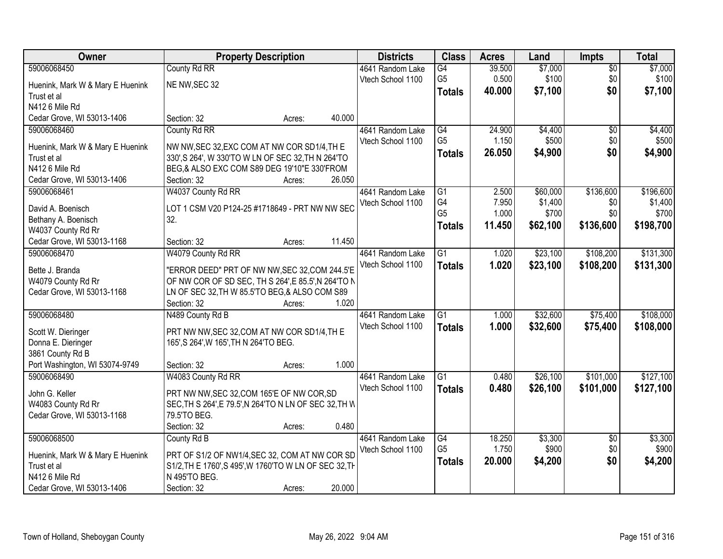| Owner                                           | <b>Property Description</b>                                             |        |        | <b>Districts</b>  | <b>Class</b>    | <b>Acres</b> | Land     | <b>Impts</b>    | <b>Total</b> |
|-------------------------------------------------|-------------------------------------------------------------------------|--------|--------|-------------------|-----------------|--------------|----------|-----------------|--------------|
| 59006068450                                     | County Rd RR                                                            |        |        | 4641 Random Lake  | G4              | 39.500       | \$7,000  | $\overline{50}$ | \$7,000      |
| Huenink, Mark W & Mary E Huenink                | NE NW, SEC 32                                                           |        |        | Vtech School 1100 | G <sub>5</sub>  | 0.500        | \$100    | \$0             | \$100        |
| Trust et al                                     |                                                                         |        |        |                   | <b>Totals</b>   | 40.000       | \$7,100  | \$0             | \$7,100      |
| N412 6 Mile Rd                                  |                                                                         |        |        |                   |                 |              |          |                 |              |
| Cedar Grove, WI 53013-1406                      | Section: 32                                                             | Acres: | 40.000 |                   |                 |              |          |                 |              |
| 59006068460                                     | County Rd RR                                                            |        |        | 4641 Random Lake  | $\overline{G4}$ | 24.900       | \$4,400  | \$0             | \$4,400      |
|                                                 | NW NW, SEC 32, EXC COM AT NW COR SD1/4, TH E                            |        |        | Vtech School 1100 | G <sub>5</sub>  | 1.150        | \$500    | \$0             | \$500        |
| Huenink, Mark W & Mary E Huenink<br>Trust et al | 330', S 264', W 330'TO W LN OF SEC 32, TH N 264'TO                      |        |        |                   | <b>Totals</b>   | 26.050       | \$4,900  | \$0             | \$4,900      |
| N412 6 Mile Rd                                  | BEG,& ALSO EXC COM S89 DEG 19'10"E 330'FROM                             |        |        |                   |                 |              |          |                 |              |
| Cedar Grove, WI 53013-1406                      | Section: 32                                                             | Acres: | 26.050 |                   |                 |              |          |                 |              |
| 59006068461                                     | W4037 County Rd RR                                                      |        |        | 4641 Random Lake  | $\overline{G1}$ | 2.500        | \$60,000 | \$136,600       | \$196,600    |
|                                                 |                                                                         |        |        | Vtech School 1100 | G4              | 7.950        | \$1,400  | \$0             | \$1,400      |
| David A. Boenisch                               | LOT 1 CSM V20 P124-25 #1718649 - PRT NW NW SEC                          |        |        |                   | G <sub>5</sub>  | 1.000        | \$700    | \$0             | \$700        |
| Bethany A. Boenisch                             | 32.                                                                     |        |        |                   | <b>Totals</b>   | 11.450       | \$62,100 | \$136,600       | \$198,700    |
| W4037 County Rd Rr                              |                                                                         |        |        |                   |                 |              |          |                 |              |
| Cedar Grove, WI 53013-1168                      | Section: 32                                                             | Acres: | 11.450 |                   |                 |              |          |                 |              |
| 59006068470                                     | W4079 County Rd RR                                                      |        |        | 4641 Random Lake  | $\overline{G1}$ | 1.020        | \$23,100 | \$108,200       | \$131,300    |
| Bette J. Branda                                 | "ERROR DEED" PRT OF NW NW, SEC 32, COM 244.5'E                          |        |        | Vtech School 1100 | <b>Totals</b>   | 1.020        | \$23,100 | \$108,200       | \$131,300    |
| W4079 County Rd Rr                              | OF NW COR OF SD SEC, TH S 264', E 85.5', N 264'TO N                     |        |        |                   |                 |              |          |                 |              |
| Cedar Grove, WI 53013-1168                      | LN OF SEC 32, TH W 85.5'TO BEG, & ALSO COM S89                          |        |        |                   |                 |              |          |                 |              |
|                                                 | Section: 32                                                             | Acres: | 1.020  |                   |                 |              |          |                 |              |
| 59006068480                                     | N489 County Rd B                                                        |        |        | 4641 Random Lake  | $\overline{G1}$ | 1.000        | \$32,600 | \$75,400        | \$108,000    |
| Scott W. Dieringer                              | PRT NW NW, SEC 32, COM AT NW COR SD1/4, TH E                            |        |        | Vtech School 1100 | <b>Totals</b>   | 1.000        | \$32,600 | \$75,400        | \$108,000    |
| Donna E. Dieringer                              | 165', S 264', W 165', TH N 264'TO BEG.                                  |        |        |                   |                 |              |          |                 |              |
| 3861 County Rd B                                |                                                                         |        |        |                   |                 |              |          |                 |              |
| Port Washington, WI 53074-9749                  | Section: 32                                                             | Acres: | 1.000  |                   |                 |              |          |                 |              |
| 59006068490                                     | W4083 County Rd RR                                                      |        |        | 4641 Random Lake  | $\overline{G1}$ | 0.480        | \$26,100 | \$101,000       | \$127,100    |
| John G. Keller                                  | PRT NW NW, SEC 32, COM 165'E OF NW COR, SD                              |        |        | Vtech School 1100 | <b>Totals</b>   | 0.480        | \$26,100 | \$101,000       | \$127,100    |
| W4083 County Rd Rr                              | SEC, TH S 264', E 79.5', N 264'TO N LN OF SEC 32, TH W                  |        |        |                   |                 |              |          |                 |              |
| Cedar Grove, WI 53013-1168                      | 79.5'TO BEG.                                                            |        |        |                   |                 |              |          |                 |              |
|                                                 | Section: 32                                                             | Acres: | 0.480  |                   |                 |              |          |                 |              |
| 59006068500                                     | County Rd B                                                             |        |        | 4641 Random Lake  | G4              | 18.250       | \$3,300  | $\overline{50}$ | \$3,300      |
|                                                 |                                                                         |        |        | Vtech School 1100 | G <sub>5</sub>  | 1.750        | \$900    | \$0             | \$900        |
| Huenink, Mark W & Mary E Huenink                | PRT OF S1/2 OF NW1/4, SEC 32, COM AT NW COR SD                          |        |        |                   | <b>Totals</b>   | 20.000       | \$4,200  | \$0             | \$4,200      |
| Trust et al<br>N412 6 Mile Rd                   | S1/2, TH E 1760', S 495', W 1760'TO W LN OF SEC 32, TH<br>N 495'TO BEG. |        |        |                   |                 |              |          |                 |              |
| Cedar Grove, WI 53013-1406                      | Section: 32                                                             |        | 20.000 |                   |                 |              |          |                 |              |
|                                                 |                                                                         | Acres: |        |                   |                 |              |          |                 |              |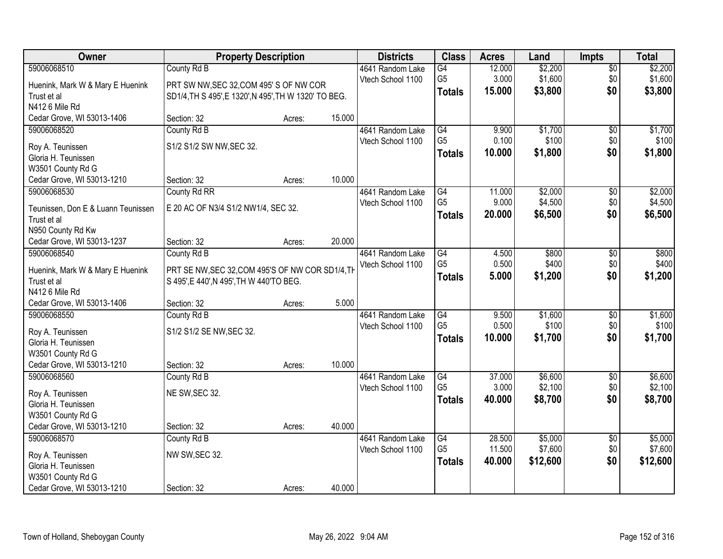| 59006068510<br>\$2,200<br>County Rd B<br>4641 Random Lake<br>$\overline{G4}$<br>12.000<br>$\overline{50}$<br>G <sub>5</sub><br>\$1,600<br>\$1,600<br>3.000<br>\$0<br>Vtech School 1100<br>Huenink, Mark W & Mary E Huenink<br>PRT SW NW, SEC 32, COM 495' S OF NW COR<br>\$0<br>15.000<br>\$3,800<br><b>Totals</b><br>Trust et al<br>SD1/4, TH S 495', E 1320', N 495', TH W 1320' TO BEG.<br>N412 6 Mile Rd<br>15.000<br>Cedar Grove, WI 53013-1406<br>Section: 32<br>Acres:<br>County Rd B<br>$\overline{G4}$<br>9.900<br>\$1,700<br>59006068520<br>4641 Random Lake<br>\$0<br>G <sub>5</sub><br>\$100<br>\$0<br>0.100<br>Vtech School 1100<br>S1/2 S1/2 SW NW, SEC 32.<br>Roy A. Teunissen<br>\$0<br>\$1,800<br>\$1,800<br>10.000<br><b>Totals</b><br>Gloria H. Teunissen<br>W3501 County Rd G<br>10.000<br>Cedar Grove, WI 53013-1210<br>Section: 32<br>Acres:<br>\$2,000<br>59006068530<br>County Rd RR<br>G4<br>4641 Random Lake<br>11.000<br>\$0<br>G <sub>5</sub><br>9.000<br>\$4,500<br>\$0<br>Vtech School 1100<br>E 20 AC OF N3/4 S1/2 NW1/4, SEC 32.<br>Teunissen, Don E & Luann Teunissen<br>20.000<br>\$6,500<br>\$0<br>\$6,500<br><b>Totals</b><br>Trust et al<br>N950 County Rd Kw<br>20.000<br>Cedar Grove, WI 53013-1237<br>Section: 32<br>Acres:<br>59006068540<br>County Rd B<br>4641 Random Lake<br>G4<br>4.500<br>\$800<br>\$800<br>\$0<br>G <sub>5</sub><br>0.500<br>\$400<br>\$0<br>Vtech School 1100<br>PRT SE NW, SEC 32, COM 495'S OF NW COR SD1/4, TH<br>Huenink, Mark W & Mary E Huenink<br>\$0<br>5.000<br>\$1,200<br>\$1,200<br><b>Totals</b><br>Trust et al<br>S 495', E 440', N 495', TH W 440'TO BEG.<br>N412 6 Mile Rd<br>5.000<br>Cedar Grove, WI 53013-1406<br>Section: 32<br>Acres:<br>\$1,600<br>59006068550<br>$\overline{G4}$<br>9.500<br>County Rd B<br>4641 Random Lake<br>\$0<br>G <sub>5</sub><br>0.500<br>\$100<br>\$0<br>Vtech School 1100<br>S1/2 S1/2 SE NW, SEC 32.<br>Roy A. Teunissen<br>\$0<br>10.000<br>\$1,700<br>\$1,700<br><b>Totals</b><br>Gloria H. Teunissen<br>W3501 County Rd G | Owner                      | <b>Property Description</b> |        |        | <b>Districts</b> | <b>Class</b> | <b>Acres</b> | Land | <b>Impts</b> | <b>Total</b> |
|-----------------------------------------------------------------------------------------------------------------------------------------------------------------------------------------------------------------------------------------------------------------------------------------------------------------------------------------------------------------------------------------------------------------------------------------------------------------------------------------------------------------------------------------------------------------------------------------------------------------------------------------------------------------------------------------------------------------------------------------------------------------------------------------------------------------------------------------------------------------------------------------------------------------------------------------------------------------------------------------------------------------------------------------------------------------------------------------------------------------------------------------------------------------------------------------------------------------------------------------------------------------------------------------------------------------------------------------------------------------------------------------------------------------------------------------------------------------------------------------------------------------------------------------------------------------------------------------------------------------------------------------------------------------------------------------------------------------------------------------------------------------------------------------------------------------------------------------------------------------------------------------------------------------------------------------------------------------------------------------------------------------------------------------------|----------------------------|-----------------------------|--------|--------|------------------|--------------|--------------|------|--------------|--------------|
| \$3,800                                                                                                                                                                                                                                                                                                                                                                                                                                                                                                                                                                                                                                                                                                                                                                                                                                                                                                                                                                                                                                                                                                                                                                                                                                                                                                                                                                                                                                                                                                                                                                                                                                                                                                                                                                                                                                                                                                                                                                                                                                       |                            |                             |        |        |                  |              |              |      |              | \$2,200      |
|                                                                                                                                                                                                                                                                                                                                                                                                                                                                                                                                                                                                                                                                                                                                                                                                                                                                                                                                                                                                                                                                                                                                                                                                                                                                                                                                                                                                                                                                                                                                                                                                                                                                                                                                                                                                                                                                                                                                                                                                                                               |                            |                             |        |        |                  |              |              |      |              |              |
| \$1,700<br>\$100<br>\$2,000<br>\$400<br>\$1,600                                                                                                                                                                                                                                                                                                                                                                                                                                                                                                                                                                                                                                                                                                                                                                                                                                                                                                                                                                                                                                                                                                                                                                                                                                                                                                                                                                                                                                                                                                                                                                                                                                                                                                                                                                                                                                                                                                                                                                                               |                            |                             |        |        |                  |              |              |      |              |              |
|                                                                                                                                                                                                                                                                                                                                                                                                                                                                                                                                                                                                                                                                                                                                                                                                                                                                                                                                                                                                                                                                                                                                                                                                                                                                                                                                                                                                                                                                                                                                                                                                                                                                                                                                                                                                                                                                                                                                                                                                                                               |                            |                             |        |        |                  |              |              |      |              |              |
|                                                                                                                                                                                                                                                                                                                                                                                                                                                                                                                                                                                                                                                                                                                                                                                                                                                                                                                                                                                                                                                                                                                                                                                                                                                                                                                                                                                                                                                                                                                                                                                                                                                                                                                                                                                                                                                                                                                                                                                                                                               |                            |                             |        |        |                  |              |              |      |              |              |
| \$4,500<br>\$100                                                                                                                                                                                                                                                                                                                                                                                                                                                                                                                                                                                                                                                                                                                                                                                                                                                                                                                                                                                                                                                                                                                                                                                                                                                                                                                                                                                                                                                                                                                                                                                                                                                                                                                                                                                                                                                                                                                                                                                                                              |                            |                             |        |        |                  |              |              |      |              |              |
|                                                                                                                                                                                                                                                                                                                                                                                                                                                                                                                                                                                                                                                                                                                                                                                                                                                                                                                                                                                                                                                                                                                                                                                                                                                                                                                                                                                                                                                                                                                                                                                                                                                                                                                                                                                                                                                                                                                                                                                                                                               |                            |                             |        |        |                  |              |              |      |              |              |
|                                                                                                                                                                                                                                                                                                                                                                                                                                                                                                                                                                                                                                                                                                                                                                                                                                                                                                                                                                                                                                                                                                                                                                                                                                                                                                                                                                                                                                                                                                                                                                                                                                                                                                                                                                                                                                                                                                                                                                                                                                               |                            |                             |        |        |                  |              |              |      |              |              |
|                                                                                                                                                                                                                                                                                                                                                                                                                                                                                                                                                                                                                                                                                                                                                                                                                                                                                                                                                                                                                                                                                                                                                                                                                                                                                                                                                                                                                                                                                                                                                                                                                                                                                                                                                                                                                                                                                                                                                                                                                                               |                            |                             |        |        |                  |              |              |      |              |              |
|                                                                                                                                                                                                                                                                                                                                                                                                                                                                                                                                                                                                                                                                                                                                                                                                                                                                                                                                                                                                                                                                                                                                                                                                                                                                                                                                                                                                                                                                                                                                                                                                                                                                                                                                                                                                                                                                                                                                                                                                                                               |                            |                             |        |        |                  |              |              |      |              |              |
|                                                                                                                                                                                                                                                                                                                                                                                                                                                                                                                                                                                                                                                                                                                                                                                                                                                                                                                                                                                                                                                                                                                                                                                                                                                                                                                                                                                                                                                                                                                                                                                                                                                                                                                                                                                                                                                                                                                                                                                                                                               |                            |                             |        |        |                  |              |              |      |              |              |
|                                                                                                                                                                                                                                                                                                                                                                                                                                                                                                                                                                                                                                                                                                                                                                                                                                                                                                                                                                                                                                                                                                                                                                                                                                                                                                                                                                                                                                                                                                                                                                                                                                                                                                                                                                                                                                                                                                                                                                                                                                               |                            |                             |        |        |                  |              |              |      |              |              |
|                                                                                                                                                                                                                                                                                                                                                                                                                                                                                                                                                                                                                                                                                                                                                                                                                                                                                                                                                                                                                                                                                                                                                                                                                                                                                                                                                                                                                                                                                                                                                                                                                                                                                                                                                                                                                                                                                                                                                                                                                                               |                            |                             |        |        |                  |              |              |      |              |              |
|                                                                                                                                                                                                                                                                                                                                                                                                                                                                                                                                                                                                                                                                                                                                                                                                                                                                                                                                                                                                                                                                                                                                                                                                                                                                                                                                                                                                                                                                                                                                                                                                                                                                                                                                                                                                                                                                                                                                                                                                                                               |                            |                             |        |        |                  |              |              |      |              |              |
|                                                                                                                                                                                                                                                                                                                                                                                                                                                                                                                                                                                                                                                                                                                                                                                                                                                                                                                                                                                                                                                                                                                                                                                                                                                                                                                                                                                                                                                                                                                                                                                                                                                                                                                                                                                                                                                                                                                                                                                                                                               |                            |                             |        |        |                  |              |              |      |              |              |
|                                                                                                                                                                                                                                                                                                                                                                                                                                                                                                                                                                                                                                                                                                                                                                                                                                                                                                                                                                                                                                                                                                                                                                                                                                                                                                                                                                                                                                                                                                                                                                                                                                                                                                                                                                                                                                                                                                                                                                                                                                               |                            |                             |        |        |                  |              |              |      |              |              |
|                                                                                                                                                                                                                                                                                                                                                                                                                                                                                                                                                                                                                                                                                                                                                                                                                                                                                                                                                                                                                                                                                                                                                                                                                                                                                                                                                                                                                                                                                                                                                                                                                                                                                                                                                                                                                                                                                                                                                                                                                                               |                            |                             |        |        |                  |              |              |      |              |              |
|                                                                                                                                                                                                                                                                                                                                                                                                                                                                                                                                                                                                                                                                                                                                                                                                                                                                                                                                                                                                                                                                                                                                                                                                                                                                                                                                                                                                                                                                                                                                                                                                                                                                                                                                                                                                                                                                                                                                                                                                                                               |                            |                             |        |        |                  |              |              |      |              |              |
|                                                                                                                                                                                                                                                                                                                                                                                                                                                                                                                                                                                                                                                                                                                                                                                                                                                                                                                                                                                                                                                                                                                                                                                                                                                                                                                                                                                                                                                                                                                                                                                                                                                                                                                                                                                                                                                                                                                                                                                                                                               |                            |                             |        |        |                  |              |              |      |              |              |
|                                                                                                                                                                                                                                                                                                                                                                                                                                                                                                                                                                                                                                                                                                                                                                                                                                                                                                                                                                                                                                                                                                                                                                                                                                                                                                                                                                                                                                                                                                                                                                                                                                                                                                                                                                                                                                                                                                                                                                                                                                               |                            |                             |        |        |                  |              |              |      |              |              |
|                                                                                                                                                                                                                                                                                                                                                                                                                                                                                                                                                                                                                                                                                                                                                                                                                                                                                                                                                                                                                                                                                                                                                                                                                                                                                                                                                                                                                                                                                                                                                                                                                                                                                                                                                                                                                                                                                                                                                                                                                                               |                            |                             |        |        |                  |              |              |      |              |              |
|                                                                                                                                                                                                                                                                                                                                                                                                                                                                                                                                                                                                                                                                                                                                                                                                                                                                                                                                                                                                                                                                                                                                                                                                                                                                                                                                                                                                                                                                                                                                                                                                                                                                                                                                                                                                                                                                                                                                                                                                                                               |                            |                             |        |        |                  |              |              |      |              |              |
|                                                                                                                                                                                                                                                                                                                                                                                                                                                                                                                                                                                                                                                                                                                                                                                                                                                                                                                                                                                                                                                                                                                                                                                                                                                                                                                                                                                                                                                                                                                                                                                                                                                                                                                                                                                                                                                                                                                                                                                                                                               |                            |                             |        |        |                  |              |              |      |              |              |
|                                                                                                                                                                                                                                                                                                                                                                                                                                                                                                                                                                                                                                                                                                                                                                                                                                                                                                                                                                                                                                                                                                                                                                                                                                                                                                                                                                                                                                                                                                                                                                                                                                                                                                                                                                                                                                                                                                                                                                                                                                               |                            |                             |        |        |                  |              |              |      |              |              |
|                                                                                                                                                                                                                                                                                                                                                                                                                                                                                                                                                                                                                                                                                                                                                                                                                                                                                                                                                                                                                                                                                                                                                                                                                                                                                                                                                                                                                                                                                                                                                                                                                                                                                                                                                                                                                                                                                                                                                                                                                                               | Cedar Grove, WI 53013-1210 | Section: 32                 | Acres: | 10.000 |                  |              |              |      |              |              |
| G4<br>\$6,600<br>\$6,600<br>59006068560<br>37.000<br>$\sqrt{6}$<br>County Rd B<br>4641 Random Lake                                                                                                                                                                                                                                                                                                                                                                                                                                                                                                                                                                                                                                                                                                                                                                                                                                                                                                                                                                                                                                                                                                                                                                                                                                                                                                                                                                                                                                                                                                                                                                                                                                                                                                                                                                                                                                                                                                                                            |                            |                             |        |        |                  |              |              |      |              |              |
| G <sub>5</sub><br>3.000<br>\$2,100<br>\$0<br>\$2,100<br>Vtech School 1100<br>NE SW, SEC 32.                                                                                                                                                                                                                                                                                                                                                                                                                                                                                                                                                                                                                                                                                                                                                                                                                                                                                                                                                                                                                                                                                                                                                                                                                                                                                                                                                                                                                                                                                                                                                                                                                                                                                                                                                                                                                                                                                                                                                   |                            |                             |        |        |                  |              |              |      |              |              |
| Roy A. Teunissen<br>40.000<br>\$8,700<br>\$0<br>\$8,700<br><b>Totals</b><br>Gloria H. Teunissen                                                                                                                                                                                                                                                                                                                                                                                                                                                                                                                                                                                                                                                                                                                                                                                                                                                                                                                                                                                                                                                                                                                                                                                                                                                                                                                                                                                                                                                                                                                                                                                                                                                                                                                                                                                                                                                                                                                                               |                            |                             |        |        |                  |              |              |      |              |              |
| W3501 County Rd G                                                                                                                                                                                                                                                                                                                                                                                                                                                                                                                                                                                                                                                                                                                                                                                                                                                                                                                                                                                                                                                                                                                                                                                                                                                                                                                                                                                                                                                                                                                                                                                                                                                                                                                                                                                                                                                                                                                                                                                                                             |                            |                             |        |        |                  |              |              |      |              |              |
| Cedar Grove, WI 53013-1210<br>40.000<br>Section: 32<br>Acres:                                                                                                                                                                                                                                                                                                                                                                                                                                                                                                                                                                                                                                                                                                                                                                                                                                                                                                                                                                                                                                                                                                                                                                                                                                                                                                                                                                                                                                                                                                                                                                                                                                                                                                                                                                                                                                                                                                                                                                                 |                            |                             |        |        |                  |              |              |      |              |              |
| 28.500<br>\$5,000<br>\$5,000<br>59006068570<br>County Rd B<br>4641 Random Lake<br>G4<br>$\overline{30}$                                                                                                                                                                                                                                                                                                                                                                                                                                                                                                                                                                                                                                                                                                                                                                                                                                                                                                                                                                                                                                                                                                                                                                                                                                                                                                                                                                                                                                                                                                                                                                                                                                                                                                                                                                                                                                                                                                                                       |                            |                             |        |        |                  |              |              |      |              |              |
| G <sub>5</sub><br>\$7,600<br>\$7,600<br>11.500<br>\$0<br>Vtech School 1100                                                                                                                                                                                                                                                                                                                                                                                                                                                                                                                                                                                                                                                                                                                                                                                                                                                                                                                                                                                                                                                                                                                                                                                                                                                                                                                                                                                                                                                                                                                                                                                                                                                                                                                                                                                                                                                                                                                                                                    |                            |                             |        |        |                  |              |              |      |              |              |
| NW SW, SEC 32.<br>Roy A. Teunissen<br>\$0<br>\$12,600<br>40.000<br>\$12,600<br><b>Totals</b>                                                                                                                                                                                                                                                                                                                                                                                                                                                                                                                                                                                                                                                                                                                                                                                                                                                                                                                                                                                                                                                                                                                                                                                                                                                                                                                                                                                                                                                                                                                                                                                                                                                                                                                                                                                                                                                                                                                                                  |                            |                             |        |        |                  |              |              |      |              |              |
| Gloria H. Teunissen<br>W3501 County Rd G                                                                                                                                                                                                                                                                                                                                                                                                                                                                                                                                                                                                                                                                                                                                                                                                                                                                                                                                                                                                                                                                                                                                                                                                                                                                                                                                                                                                                                                                                                                                                                                                                                                                                                                                                                                                                                                                                                                                                                                                      |                            |                             |        |        |                  |              |              |      |              |              |
| 40.000<br>Cedar Grove, WI 53013-1210<br>Section: 32<br>Acres:                                                                                                                                                                                                                                                                                                                                                                                                                                                                                                                                                                                                                                                                                                                                                                                                                                                                                                                                                                                                                                                                                                                                                                                                                                                                                                                                                                                                                                                                                                                                                                                                                                                                                                                                                                                                                                                                                                                                                                                 |                            |                             |        |        |                  |              |              |      |              |              |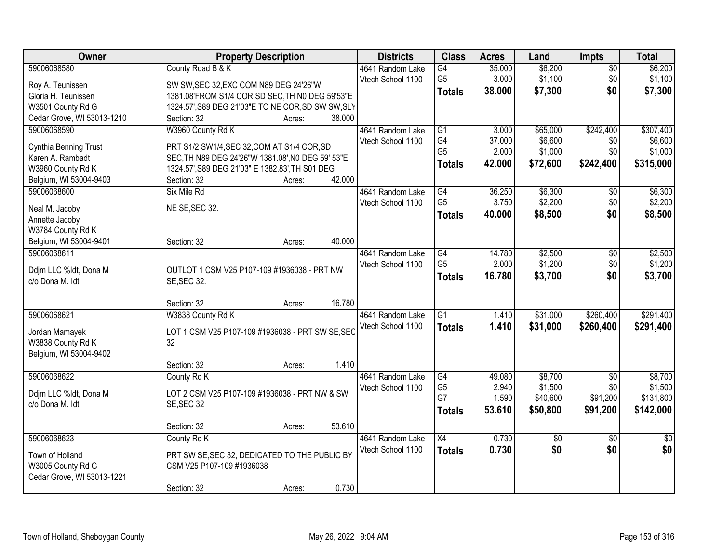| Owner                      | <b>Property Description</b>                        | <b>Districts</b>  | <b>Class</b>    | <b>Acres</b> | Land            | <b>Impts</b>    | <b>Total</b>    |
|----------------------------|----------------------------------------------------|-------------------|-----------------|--------------|-----------------|-----------------|-----------------|
| 59006068580                | County Road B & K                                  | 4641 Random Lake  | $\overline{G4}$ | 35.000       | \$6,200         | $\overline{50}$ | \$6,200         |
| Roy A. Teunissen           | SW SW, SEC 32, EXC COM N89 DEG 24'26"W             | Vtech School 1100 | G <sub>5</sub>  | 3.000        | \$1,100         | \$0             | \$1,100         |
| Gloria H. Teunissen        | 1381.08'FROM S1/4 COR, SD SEC, TH N0 DEG 59'53"E   |                   | <b>Totals</b>   | 38.000       | \$7,300         | \$0             | \$7,300         |
| W3501 County Rd G          | 1324.57', S89 DEG 21'03"E TO NE COR, SD SW SW, SLY |                   |                 |              |                 |                 |                 |
| Cedar Grove, WI 53013-1210 | 38.000<br>Section: 32<br>Acres:                    |                   |                 |              |                 |                 |                 |
| 59006068590                | W3960 County Rd K                                  | 4641 Random Lake  | G1              | 3.000        | \$65,000        | \$242,400       | \$307,400       |
|                            |                                                    | Vtech School 1100 | G4              | 37.000       | \$6,600         | \$0             | \$6,600         |
| Cynthia Benning Trust      | PRT S1/2 SW1/4, SEC 32, COM AT S1/4 COR, SD        |                   | G <sub>5</sub>  | 2.000        | \$1,000         | \$0             | \$1,000         |
| Karen A. Rambadt           | SEC, TH N89 DEG 24'26"W 1381.08', N0 DEG 59' 53"E  |                   | <b>Totals</b>   | 42.000       | \$72,600        | \$242,400       | \$315,000       |
| W3960 County Rd K          | 1324.57', S89 DEG 21'03" E 1382.83', TH S01 DEG    |                   |                 |              |                 |                 |                 |
| Belgium, WI 53004-9403     | 42.000<br>Section: 32<br>Acres:                    |                   |                 |              |                 |                 |                 |
| 59006068600                | Six Mile Rd                                        | 4641 Random Lake  | $\overline{G4}$ | 36.250       | \$6,300         | \$0             | \$6,300         |
| Neal M. Jacoby             | NE SE, SEC 32.                                     | Vtech School 1100 | G <sub>5</sub>  | 3.750        | \$2,200         | \$0             | \$2,200         |
| Annette Jacoby             |                                                    |                   | <b>Totals</b>   | 40.000       | \$8,500         | \$0             | \$8,500         |
| W3784 County Rd K          |                                                    |                   |                 |              |                 |                 |                 |
| Belgium, WI 53004-9401     | 40.000<br>Section: 32<br>Acres:                    |                   |                 |              |                 |                 |                 |
| 59006068611                |                                                    | 4641 Random Lake  | G4              | 14.780       | \$2,500         | \$0             | \$2,500         |
|                            |                                                    | Vtech School 1100 | G <sub>5</sub>  | 2.000        | \$1,200         | \$0             | \$1,200         |
| Ddjm LLC %ldt, Dona M      | OUTLOT 1 CSM V25 P107-109 #1936038 - PRT NW        |                   | <b>Totals</b>   | 16.780       | \$3,700         | \$0             | \$3,700         |
| c/o Dona M. Idt            | <b>SE, SEC 32.</b>                                 |                   |                 |              |                 |                 |                 |
|                            |                                                    |                   |                 |              |                 |                 |                 |
|                            | 16.780<br>Section: 32<br>Acres:                    |                   |                 |              |                 |                 |                 |
| 59006068621                | W3838 County Rd K                                  | 4641 Random Lake  | $\overline{G1}$ | 1.410        | \$31,000        | \$260,400       | \$291,400       |
| Jordan Mamayek             | LOT 1 CSM V25 P107-109 #1936038 - PRT SW SE, SEC   | Vtech School 1100 | Totals          | 1.410        | \$31,000        | \$260,400       | \$291,400       |
| W3838 County Rd K          | 32                                                 |                   |                 |              |                 |                 |                 |
| Belgium, WI 53004-9402     |                                                    |                   |                 |              |                 |                 |                 |
|                            | 1.410<br>Section: 32<br>Acres:                     |                   |                 |              |                 |                 |                 |
| 59006068622                | County Rd K                                        | 4641 Random Lake  | G4              | 49.080       | \$8,700         | $\overline{60}$ | \$8,700         |
|                            |                                                    | Vtech School 1100 | G <sub>5</sub>  | 2.940        | \$1,500         | \$0             | \$1,500         |
| Ddjm LLC %ldt, Dona M      | LOT 2 CSM V25 P107-109 #1936038 - PRT NW & SW      |                   | G7              | 1.590        | \$40,600        | \$91,200        | \$131,800       |
| c/o Dona M. Idt            | SE, SEC 32                                         |                   | <b>Totals</b>   | 53.610       | \$50,800        | \$91,200        | \$142,000       |
|                            | 53.610<br>Section: 32                              |                   |                 |              |                 |                 |                 |
| 59006068623                | Acres:<br>County Rd K                              |                   | $\overline{X4}$ | 0.730        | $\overline{30}$ |                 |                 |
|                            |                                                    | 4641 Random Lake  |                 |              |                 | $\overline{30}$ | $\overline{50}$ |
| Town of Holland            | PRT SW SE, SEC 32, DEDICATED TO THE PUBLIC BY      | Vtech School 1100 | <b>Totals</b>   | 0.730        | \$0             | \$0             | \$0             |
| W3005 County Rd G          | CSM V25 P107-109 #1936038                          |                   |                 |              |                 |                 |                 |
| Cedar Grove, WI 53013-1221 |                                                    |                   |                 |              |                 |                 |                 |
|                            | 0.730<br>Section: 32<br>Acres:                     |                   |                 |              |                 |                 |                 |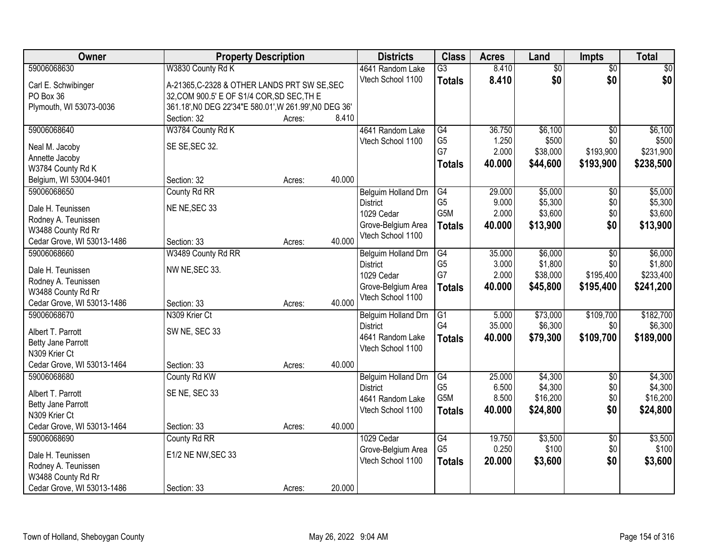| Owner                                       |                                                        | <b>Property Description</b> |        | <b>Districts</b>    | <b>Class</b>     | <b>Acres</b> | Land            | Impts           | <b>Total</b> |
|---------------------------------------------|--------------------------------------------------------|-----------------------------|--------|---------------------|------------------|--------------|-----------------|-----------------|--------------|
| 59006068630                                 | W3830 County Rd K                                      |                             |        | 4641 Random Lake    | $\overline{G3}$  | 8.410        | $\overline{60}$ | $\overline{50}$ | \$0          |
| Carl E. Schwibinger                         | A-21365, C-2328 & OTHER LANDS PRT SW SE, SEC           |                             |        | Vtech School 1100   | <b>Totals</b>    | 8.410        | \$0             | \$0             | \$0          |
| PO Box 36                                   | 32, COM 900.5' E OF S1/4 COR, SD SEC, TH E             |                             |        |                     |                  |              |                 |                 |              |
| Plymouth, WI 53073-0036                     | 361.18', N0 DEG 22'34"E 580.01', W 261.99', N0 DEG 36' |                             |        |                     |                  |              |                 |                 |              |
|                                             | Section: 32                                            | Acres:                      | 8.410  |                     |                  |              |                 |                 |              |
| 59006068640                                 | W3784 County Rd K                                      |                             |        | 4641 Random Lake    | $\overline{G4}$  | 36.750       | \$6,100         | $\overline{50}$ | \$6,100      |
| Neal M. Jacoby                              | SE SE, SEC 32.                                         |                             |        | Vtech School 1100   | G <sub>5</sub>   | 1.250        | \$500           | \$0             | \$500        |
| Annette Jacoby                              |                                                        |                             |        |                     | G7               | 2.000        | \$38,000        | \$193,900       | \$231,900    |
| W3784 County Rd K                           |                                                        |                             |        |                     | <b>Totals</b>    | 40.000       | \$44,600        | \$193,900       | \$238,500    |
| Belgium, WI 53004-9401                      | Section: 32                                            | Acres:                      | 40.000 |                     |                  |              |                 |                 |              |
| 59006068650                                 | County Rd RR                                           |                             |        | Belguim Holland Drn | $\overline{G4}$  | 29.000       | \$5,000         | $\overline{50}$ | \$5,000      |
| Dale H. Teunissen                           | NE NE, SEC 33                                          |                             |        | <b>District</b>     | G <sub>5</sub>   | 9.000        | \$5,300         | \$0             | \$5,300      |
| Rodney A. Teunissen                         |                                                        |                             |        | 1029 Cedar          | G <sub>5</sub> M | 2.000        | \$3,600         | \$0             | \$3,600      |
| W3488 County Rd Rr                          |                                                        |                             |        | Grove-Belgium Area  | <b>Totals</b>    | 40.000       | \$13,900        | \$0             | \$13,900     |
| Cedar Grove, WI 53013-1486                  | Section: 33                                            | Acres:                      | 40.000 | Vtech School 1100   |                  |              |                 |                 |              |
| 59006068660                                 | W3489 County Rd RR                                     |                             |        | Belguim Holland Drn | G4               | 35.000       | \$6,000         | \$0             | \$6,000      |
|                                             |                                                        |                             |        | <b>District</b>     | G <sub>5</sub>   | 3.000        | \$1,800         | \$0             | \$1,800      |
| Dale H. Teunissen<br>Rodney A. Teunissen    | NW NE, SEC 33.                                         |                             |        | 1029 Cedar          | G7               | 2.000        | \$38,000        | \$195,400       | \$233,400    |
| W3488 County Rd Rr                          |                                                        |                             |        | Grove-Belgium Area  | <b>Totals</b>    | 40.000       | \$45,800        | \$195,400       | \$241,200    |
| Cedar Grove, WI 53013-1486                  | Section: 33                                            | Acres:                      | 40.000 | Vtech School 1100   |                  |              |                 |                 |              |
| 59006068670                                 | N309 Krier Ct                                          |                             |        | Belguim Holland Drn | $\overline{G1}$  | 5.000        | \$73,000        | \$109,700       | \$182,700    |
|                                             |                                                        |                             |        | <b>District</b>     | G4               | 35.000       | \$6,300         | \$0             | \$6,300      |
| Albert T. Parrott                           | SW NE, SEC 33                                          |                             |        | 4641 Random Lake    | <b>Totals</b>    | 40.000       | \$79,300        | \$109,700       | \$189,000    |
| Betty Jane Parrott<br>N309 Krier Ct         |                                                        |                             |        | Vtech School 1100   |                  |              |                 |                 |              |
| Cedar Grove, WI 53013-1464                  | Section: 33                                            | Acres:                      | 40.000 |                     |                  |              |                 |                 |              |
| 59006068680                                 | County Rd KW                                           |                             |        | Belguim Holland Drn | $\overline{G4}$  | 25.000       | \$4,300         | $\overline{50}$ | \$4,300      |
|                                             |                                                        |                             |        | <b>District</b>     | G <sub>5</sub>   | 6.500        | \$4,300         | \$0             | \$4,300      |
| Albert T. Parrott                           | SE NE, SEC 33                                          |                             |        | 4641 Random Lake    | G <sub>5</sub> M | 8.500        | \$16,200        | \$0             | \$16,200     |
| Betty Jane Parrott                          |                                                        |                             |        | Vtech School 1100   | <b>Totals</b>    | 40.000       | \$24,800        | \$0             | \$24,800     |
| N309 Krier Ct<br>Cedar Grove, WI 53013-1464 | Section: 33                                            | Acres:                      | 40.000 |                     |                  |              |                 |                 |              |
| 59006068690                                 | County Rd RR                                           |                             |        | 1029 Cedar          | $\overline{G4}$  | 19.750       | \$3,500         | $\overline{30}$ | \$3,500      |
|                                             |                                                        |                             |        | Grove-Belgium Area  | G <sub>5</sub>   | 0.250        | \$100           | \$0             | \$100        |
| Dale H. Teunissen                           | E1/2 NE NW, SEC 33                                     |                             |        | Vtech School 1100   | <b>Totals</b>    | 20.000       | \$3,600         | \$0             | \$3,600      |
| Rodney A. Teunissen                         |                                                        |                             |        |                     |                  |              |                 |                 |              |
| W3488 County Rd Rr                          |                                                        |                             |        |                     |                  |              |                 |                 |              |
| Cedar Grove, WI 53013-1486                  | Section: 33                                            | Acres:                      | 20.000 |                     |                  |              |                 |                 |              |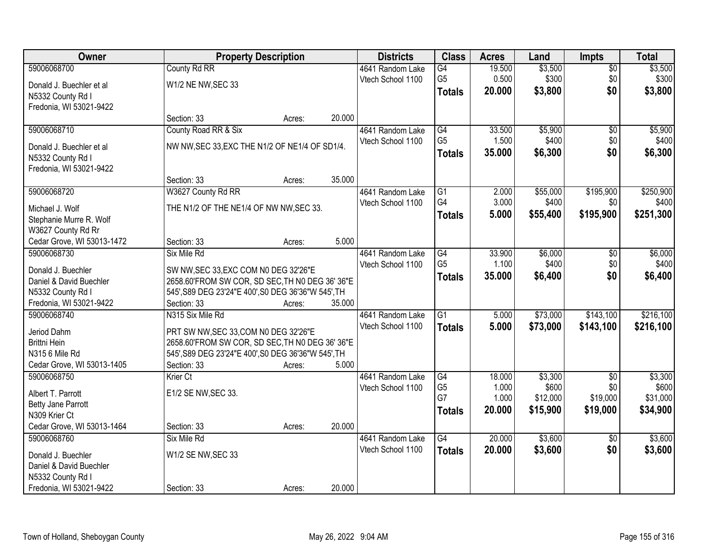| Owner                      |                                                     | <b>Property Description</b> |        | <b>Districts</b>  | <b>Class</b>    | <b>Acres</b> | Land     | Impts           | <b>Total</b> |
|----------------------------|-----------------------------------------------------|-----------------------------|--------|-------------------|-----------------|--------------|----------|-----------------|--------------|
| 59006068700                | County Rd RR                                        |                             |        | 4641 Random Lake  | $\overline{G4}$ | 19.500       | \$3,500  | $\overline{50}$ | \$3,500      |
| Donald J. Buechler et al   | W1/2 NE NW, SEC 33                                  |                             |        | Vtech School 1100 | G <sub>5</sub>  | 0.500        | \$300    | \$0             | \$300        |
| N5332 County Rd I          |                                                     |                             |        |                   | <b>Totals</b>   | 20.000       | \$3,800  | \$0             | \$3,800      |
| Fredonia, WI 53021-9422    |                                                     |                             |        |                   |                 |              |          |                 |              |
|                            | Section: 33                                         | Acres:                      | 20.000 |                   |                 |              |          |                 |              |
| 59006068710                | County Road RR & Six                                |                             |        | 4641 Random Lake  | $\overline{G4}$ | 33.500       | \$5,900  | $\overline{50}$ | \$5,900      |
|                            |                                                     |                             |        | Vtech School 1100 | G <sub>5</sub>  | 1.500        | \$400    | \$0             | \$400        |
| Donald J. Buechler et al   | NW NW, SEC 33, EXC THE N1/2 OF NE1/4 OF SD1/4.      |                             |        |                   | <b>Totals</b>   | 35.000       | \$6,300  | \$0             | \$6,300      |
| N5332 County Rd I          |                                                     |                             |        |                   |                 |              |          |                 |              |
| Fredonia, WI 53021-9422    |                                                     |                             |        |                   |                 |              |          |                 |              |
|                            | Section: 33                                         | Acres:                      | 35.000 |                   |                 |              |          |                 |              |
| 59006068720                | W3627 County Rd RR                                  |                             |        | 4641 Random Lake  | G1              | 2.000        | \$55,000 | \$195,900       | \$250,900    |
| Michael J. Wolf            | THE N1/2 OF THE NE1/4 OF NW NW, SEC 33.             |                             |        | Vtech School 1100 | G4              | 3.000        | \$400    | \$0             | \$400        |
| Stephanie Murre R. Wolf    |                                                     |                             |        |                   | <b>Totals</b>   | 5.000        | \$55,400 | \$195,900       | \$251,300    |
| W3627 County Rd Rr         |                                                     |                             |        |                   |                 |              |          |                 |              |
| Cedar Grove, WI 53013-1472 | Section: 33                                         | Acres:                      | 5.000  |                   |                 |              |          |                 |              |
| 59006068730                | Six Mile Rd                                         |                             |        | 4641 Random Lake  | G4              | 33.900       | \$6,000  | $\sqrt[6]{3}$   | \$6,000      |
| Donald J. Buechler         | SW NW, SEC 33, EXC COM N0 DEG 32'26"E               |                             |        | Vtech School 1100 | G <sub>5</sub>  | 1.100        | \$400    | \$0             | \$400        |
| Daniel & David Buechler    | 2658.60'FROM SW COR, SD SEC, TH N0 DEG 36' 36"E     |                             |        |                   | <b>Totals</b>   | 35.000       | \$6,400  | \$0             | \$6,400      |
| N5332 County Rd I          | 545', S89 DEG 23'24"E 400', S0 DEG 36'36"W 545', TH |                             |        |                   |                 |              |          |                 |              |
| Fredonia, WI 53021-9422    | Section: 33                                         | Acres:                      | 35.000 |                   |                 |              |          |                 |              |
| 59006068740                | N315 Six Mile Rd                                    |                             |        | 4641 Random Lake  | $\overline{G1}$ | 5.000        | \$73,000 | \$143,100       | \$216,100    |
|                            |                                                     |                             |        | Vtech School 1100 | <b>Totals</b>   | 5.000        | \$73,000 | \$143,100       | \$216,100    |
| Jeriod Dahm                | PRT SW NW, SEC 33, COM N0 DEG 32'26"E               |                             |        |                   |                 |              |          |                 |              |
| Brittni Hein               | 2658.60'FROM SW COR, SD SEC, TH N0 DEG 36' 36"E     |                             |        |                   |                 |              |          |                 |              |
| N315 6 Mile Rd             | 545', S89 DEG 23'24"E 400', S0 DEG 36'36"W 545', TH |                             |        |                   |                 |              |          |                 |              |
| Cedar Grove, WI 53013-1405 | Section: 33                                         | Acres:                      | 5.000  |                   |                 |              |          |                 |              |
| 59006068750                | Krier Ct                                            |                             |        | 4641 Random Lake  | $\overline{G4}$ | 18.000       | \$3,300  | $\overline{50}$ | \$3,300      |
| Albert T. Parrott          | E1/2 SE NW, SEC 33.                                 |                             |        | Vtech School 1100 | G <sub>5</sub>  | 1.000        | \$600    | \$0             | \$600        |
| Betty Jane Parrott         |                                                     |                             |        |                   | G7              | 1.000        | \$12,000 | \$19,000        | \$31,000     |
| N309 Krier Ct              |                                                     |                             |        |                   | <b>Totals</b>   | 20.000       | \$15,900 | \$19,000        | \$34,900     |
| Cedar Grove, WI 53013-1464 | Section: 33                                         | Acres:                      | 20.000 |                   |                 |              |          |                 |              |
| 59006068760                | Six Mile Rd                                         |                             |        | 4641 Random Lake  | $\overline{G4}$ | 20.000       | \$3,600  | $\overline{50}$ | \$3,600      |
| Donald J. Buechler         | W1/2 SE NW, SEC 33                                  |                             |        | Vtech School 1100 | <b>Totals</b>   | 20.000       | \$3,600  | \$0             | \$3,600      |
| Daniel & David Buechler    |                                                     |                             |        |                   |                 |              |          |                 |              |
| N5332 County Rd I          |                                                     |                             |        |                   |                 |              |          |                 |              |
| Fredonia, WI 53021-9422    | Section: 33                                         | Acres:                      | 20.000 |                   |                 |              |          |                 |              |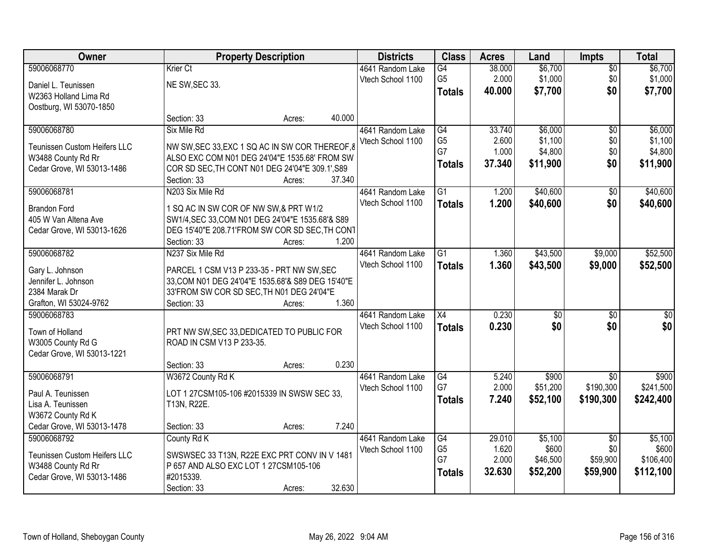| Owner                                |                                                                                                | <b>Property Description</b> |        | <b>Districts</b>  | <b>Class</b>    | <b>Acres</b>   | Land              | <b>Impts</b>     | <b>Total</b>       |
|--------------------------------------|------------------------------------------------------------------------------------------------|-----------------------------|--------|-------------------|-----------------|----------------|-------------------|------------------|--------------------|
| 59006068770                          | Krier Ct                                                                                       |                             |        | 4641 Random Lake  | G4              | 38.000         | \$6,700           | $\overline{50}$  | \$6,700            |
| Daniel L. Teunissen                  | NE SW, SEC 33.                                                                                 |                             |        | Vtech School 1100 | G <sub>5</sub>  | 2.000          | \$1,000           | \$0              | \$1,000            |
| W2363 Holland Lima Rd                |                                                                                                |                             |        |                   | <b>Totals</b>   | 40.000         | \$7,700           | \$0              | \$7,700            |
| Oostburg, WI 53070-1850              |                                                                                                |                             |        |                   |                 |                |                   |                  |                    |
|                                      | Section: 33                                                                                    | Acres:                      | 40.000 |                   |                 |                |                   |                  |                    |
| 59006068780                          | Six Mile Rd                                                                                    |                             |        | 4641 Random Lake  | G4              | 33.740         | \$6,000           | $\overline{50}$  | \$6,000            |
| <b>Teunissen Custom Heifers LLC</b>  | NW SW, SEC 33, EXC 1 SQ AC IN SW COR THEREOF, 8                                                |                             |        | Vtech School 1100 | G <sub>5</sub>  | 2.600          | \$1,100           | \$0              | \$1,100            |
| W3488 County Rd Rr                   | ALSO EXC COM N01 DEG 24'04"E 1535.68' FROM SW                                                  |                             |        |                   | G7              | 1.000          | \$4,800           | \$0              | \$4,800            |
| Cedar Grove, WI 53013-1486           | COR SD SEC, TH CONT N01 DEG 24'04"E 309.1', S89                                                |                             |        |                   | <b>Totals</b>   | 37.340         | \$11,900          | \$0              | \$11,900           |
|                                      | Section: 33                                                                                    | Acres:                      | 37.340 |                   |                 |                |                   |                  |                    |
| 59006068781                          | N203 Six Mile Rd                                                                               |                             |        | 4641 Random Lake  | $\overline{G1}$ | 1.200          | \$40,600          | \$0              | \$40,600           |
| <b>Brandon Ford</b>                  | 1 SQ AC IN SW COR OF NW SW,& PRT W1/2                                                          |                             |        | Vtech School 1100 | <b>Totals</b>   | 1.200          | \$40,600          | \$0              | \$40,600           |
| 405 W Van Altena Ave                 | SW1/4, SEC 33, COM N01 DEG 24'04"E 1535.68'& S89                                               |                             |        |                   |                 |                |                   |                  |                    |
| Cedar Grove, WI 53013-1626           | DEG 15'40"E 208.71'FROM SW COR SD SEC, TH CONT                                                 |                             |        |                   |                 |                |                   |                  |                    |
|                                      | Section: 33                                                                                    | Acres:                      | 1.200  |                   |                 |                |                   |                  |                    |
| 59006068782                          | N237 Six Mile Rd                                                                               |                             |        | 4641 Random Lake  | $\overline{G1}$ | 1.360          | \$43,500          | \$9,000          | \$52,500           |
|                                      |                                                                                                |                             |        | Vtech School 1100 | <b>Totals</b>   | 1.360          | \$43,500          | \$9,000          | \$52,500           |
| Gary L. Johnson                      | PARCEL 1 CSM V13 P 233-35 - PRT NW SW, SEC                                                     |                             |        |                   |                 |                |                   |                  |                    |
| Jennifer L. Johnson<br>2384 Marak Dr | 33, COM N01 DEG 24'04"E 1535.68'& S89 DEG 15'40"E<br>33'FROM SW COR SD SEC, TH N01 DEG 24'04"E |                             |        |                   |                 |                |                   |                  |                    |
| Grafton, WI 53024-9762               | Section: 33                                                                                    | Acres:                      | 1.360  |                   |                 |                |                   |                  |                    |
| 59006068783                          |                                                                                                |                             |        | 4641 Random Lake  | $\overline{X4}$ | 0.230          | $\overline{50}$   | $\overline{50}$  | $\overline{50}$    |
|                                      |                                                                                                |                             |        | Vtech School 1100 | <b>Totals</b>   | 0.230          | \$0               | \$0              | \$0                |
| Town of Holland                      | PRT NW SW, SEC 33, DEDICATED TO PUBLIC FOR                                                     |                             |        |                   |                 |                |                   |                  |                    |
| W3005 County Rd G                    | ROAD IN CSM V13 P 233-35.                                                                      |                             |        |                   |                 |                |                   |                  |                    |
| Cedar Grove, WI 53013-1221           |                                                                                                |                             |        |                   |                 |                |                   |                  |                    |
|                                      | Section: 33                                                                                    | Acres:                      | 0.230  |                   |                 |                |                   |                  |                    |
| 59006068791                          | W3672 County Rd K                                                                              |                             |        | 4641 Random Lake  | G4<br>G7        | 5.240<br>2.000 | \$900<br>\$51,200 | \$0<br>\$190,300 | \$900<br>\$241,500 |
| Paul A. Teunissen                    | LOT 1 27CSM105-106 #2015339 IN SWSW SEC 33,                                                    |                             |        | Vtech School 1100 |                 | 7.240          | \$52,100          | \$190,300        | \$242,400          |
| Lisa A. Teunissen                    | T13N, R22E.                                                                                    |                             |        |                   | <b>Totals</b>   |                |                   |                  |                    |
| W3672 County Rd K                    |                                                                                                |                             |        |                   |                 |                |                   |                  |                    |
| Cedar Grove, WI 53013-1478           | Section: 33                                                                                    | Acres:                      | 7.240  |                   |                 |                |                   |                  |                    |
| 59006068792                          | County Rd K                                                                                    |                             |        | 4641 Random Lake  | $\overline{G4}$ | 29.010         | \$5,100           | $\overline{30}$  | \$5,100            |
| Teunissen Custom Heifers LLC         | SWSWSEC 33 T13N, R22E EXC PRT CONV IN V 1481                                                   |                             |        | Vtech School 1100 | G <sub>5</sub>  | 1.620          | \$600             | \$0              | \$600              |
| W3488 County Rd Rr                   | P 657 AND ALSO EXC LOT 1 27CSM105-106                                                          |                             |        |                   | G7              | 2.000          | \$46,500          | \$59,900         | \$106,400          |
| Cedar Grove, WI 53013-1486           | #2015339.                                                                                      |                             |        |                   | <b>Totals</b>   | 32.630         | \$52,200          | \$59,900         | \$112,100          |
|                                      | Section: 33                                                                                    | Acres:                      | 32.630 |                   |                 |                |                   |                  |                    |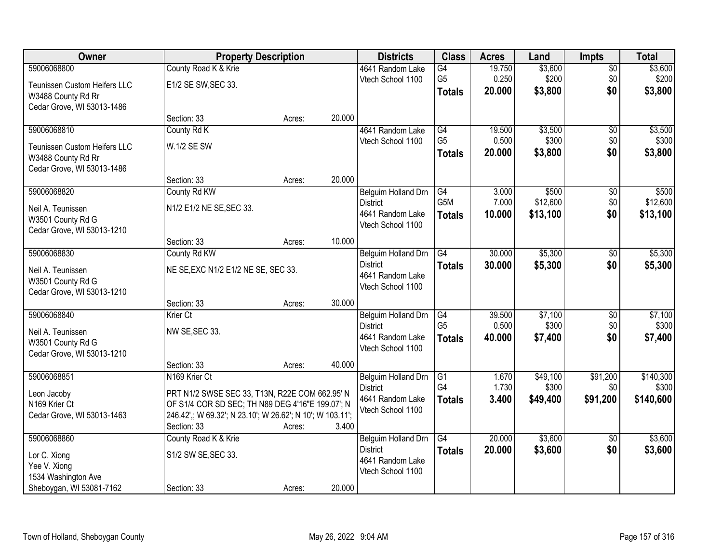| Owner                               |                                                           | <b>Property Description</b> |        | <b>Districts</b>                      | <b>Class</b>    | <b>Acres</b> | Land     | <b>Impts</b>    | <b>Total</b> |
|-------------------------------------|-----------------------------------------------------------|-----------------------------|--------|---------------------------------------|-----------------|--------------|----------|-----------------|--------------|
| 59006068800                         | County Road K & Krie                                      |                             |        | 4641 Random Lake                      | $\overline{G4}$ | 19.750       | \$3,600  | $\overline{50}$ | \$3,600      |
| Teunissen Custom Heifers LLC        | E1/2 SE SW, SEC 33.                                       |                             |        | Vtech School 1100                     | G <sub>5</sub>  | 0.250        | \$200    | \$0             | \$200        |
| W3488 County Rd Rr                  |                                                           |                             |        |                                       | <b>Totals</b>   | 20.000       | \$3,800  | \$0             | \$3,800      |
| Cedar Grove, WI 53013-1486          |                                                           |                             |        |                                       |                 |              |          |                 |              |
|                                     | Section: 33                                               | Acres:                      | 20.000 |                                       |                 |              |          |                 |              |
| 59006068810                         | County Rd K                                               |                             |        | 4641 Random Lake                      | G4              | 19.500       | \$3,500  | $\overline{50}$ | \$3,500      |
| <b>Teunissen Custom Heifers LLC</b> | W.1/2 SE SW                                               |                             |        | Vtech School 1100                     | G <sub>5</sub>  | 0.500        | \$300    | \$0             | \$300        |
| W3488 County Rd Rr                  |                                                           |                             |        |                                       | Totals          | 20.000       | \$3,800  | \$0             | \$3,800      |
| Cedar Grove, WI 53013-1486          |                                                           |                             |        |                                       |                 |              |          |                 |              |
|                                     | Section: 33                                               | Acres:                      | 20.000 |                                       |                 |              |          |                 |              |
| 59006068820                         | County Rd KW                                              |                             |        | Belguim Holland Drn                   | G4              | 3.000        | \$500    | $\sqrt[6]{30}$  | \$500        |
| Neil A. Teunissen                   | N1/2 E1/2 NE SE, SEC 33.                                  |                             |        | <b>District</b>                       | G5M             | 7.000        | \$12,600 | \$0             | \$12,600     |
| W3501 County Rd G                   |                                                           |                             |        | 4641 Random Lake                      | <b>Totals</b>   | 10.000       | \$13,100 | \$0             | \$13,100     |
| Cedar Grove, WI 53013-1210          |                                                           |                             |        | Vtech School 1100                     |                 |              |          |                 |              |
|                                     | Section: 33                                               | Acres:                      | 10.000 |                                       |                 |              |          |                 |              |
| 59006068830                         | County Rd KW                                              |                             |        | Belguim Holland Drn                   | G4              | 30.000       | \$5,300  | \$0             | \$5,300      |
| Neil A. Teunissen                   | NE SE, EXC N1/2 E1/2 NE SE, SEC 33.                       |                             |        | <b>District</b>                       | <b>Totals</b>   | 30.000       | \$5,300  | \$0             | \$5,300      |
| W3501 County Rd G                   |                                                           |                             |        | 4641 Random Lake<br>Vtech School 1100 |                 |              |          |                 |              |
| Cedar Grove, WI 53013-1210          |                                                           |                             |        |                                       |                 |              |          |                 |              |
|                                     | Section: 33                                               | Acres:                      | 30.000 |                                       |                 |              |          |                 |              |
| 59006068840                         | Krier Ct                                                  |                             |        | Belguim Holland Drn                   | G4              | 39.500       | \$7,100  | $\overline{30}$ | \$7,100      |
| Neil A. Teunissen                   | NW SE, SEC 33.                                            |                             |        | <b>District</b>                       | G <sub>5</sub>  | 0.500        | \$300    | \$0             | \$300        |
| W3501 County Rd G                   |                                                           |                             |        | 4641 Random Lake<br>Vtech School 1100 | <b>Totals</b>   | 40.000       | \$7,400  | \$0             | \$7,400      |
| Cedar Grove, WI 53013-1210          |                                                           |                             |        |                                       |                 |              |          |                 |              |
|                                     | Section: 33                                               | Acres:                      | 40.000 |                                       |                 |              |          |                 |              |
| 59006068851                         | N <sub>169</sub> Krier Ct                                 |                             |        | Belguim Holland Drn                   | G1              | 1.670        | \$49,100 | \$91,200        | \$140,300    |
| Leon Jacoby                         | PRT N1/2 SWSE SEC 33, T13N, R22E COM 662.95' N            |                             |        | <b>District</b>                       | G4              | 1.730        | \$300    | \$0             | \$300        |
| N169 Krier Ct                       | OF S1/4 COR SD SEC; TH N89 DEG 4'16"E 199.07'; N          |                             |        | 4641 Random Lake<br>Vtech School 1100 | <b>Totals</b>   | 3.400        | \$49,400 | \$91,200        | \$140,600    |
| Cedar Grove, WI 53013-1463          | 246.42',; W 69.32'; N 23.10'; W 26.62'; N 10'; W 103.11'; |                             |        |                                       |                 |              |          |                 |              |
|                                     | Section: 33                                               | Acres:                      | 3.400  |                                       |                 |              |          |                 |              |
| 59006068860                         | County Road K & Krie                                      |                             |        | Belguim Holland Drn                   | $\overline{G4}$ | 20.000       | \$3,600  | $\overline{30}$ | \$3,600      |
| Lor C. Xiong                        | S1/2 SW SE, SEC 33.                                       |                             |        | <b>District</b>                       | <b>Totals</b>   | 20.000       | \$3,600  | \$0             | \$3,600      |
| Yee V. Xiong                        |                                                           |                             |        | 4641 Random Lake<br>Vtech School 1100 |                 |              |          |                 |              |
| 1534 Washington Ave                 |                                                           |                             |        |                                       |                 |              |          |                 |              |
| Sheboygan, WI 53081-7162            | Section: 33                                               | Acres:                      | 20.000 |                                       |                 |              |          |                 |              |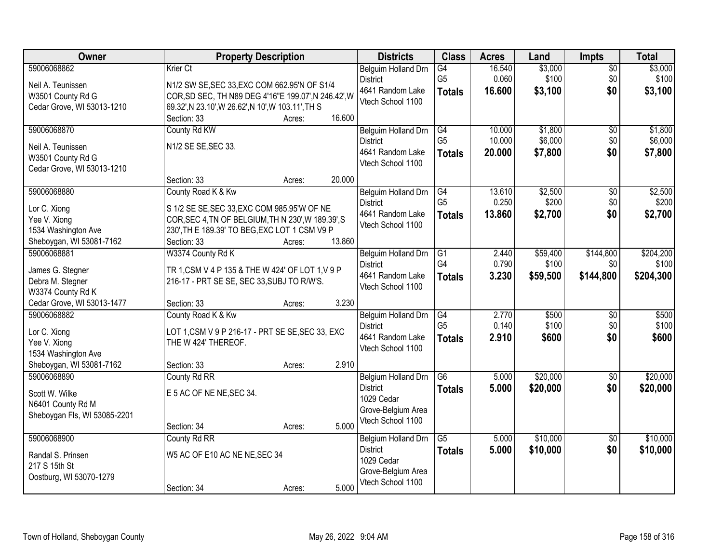| Owner                        | <b>Property Description</b>                          | <b>Districts</b>    | <b>Class</b>    | <b>Acres</b> | Land     | <b>Impts</b>    | <b>Total</b> |
|------------------------------|------------------------------------------------------|---------------------|-----------------|--------------|----------|-----------------|--------------|
| 59006068862                  | Krier Ct                                             | Belguim Holland Drn | G4              | 16.540       | \$3,000  | $\overline{50}$ | \$3,000      |
| Neil A. Teunissen            | N1/2 SW SE, SEC 33, EXC COM 662.95'N OF S1/4         | <b>District</b>     | G <sub>5</sub>  | 0.060        | \$100    | \$0             | \$100        |
| W3501 County Rd G            | COR, SD SEC, TH N89 DEG 4'16"E 199.07', N 246.42', W | 4641 Random Lake    | <b>Totals</b>   | 16.600       | \$3,100  | \$0             | \$3,100      |
| Cedar Grove, WI 53013-1210   | 69.32', N 23.10', W 26.62', N 10', W 103.11', TH S   | Vtech School 1100   |                 |              |          |                 |              |
|                              | 16.600<br>Section: 33<br>Acres:                      |                     |                 |              |          |                 |              |
| 59006068870                  | County Rd KW                                         | Belguim Holland Drn | G4              | 10.000       | \$1,800  | \$0             | \$1,800      |
| Neil A. Teunissen            | N1/2 SE SE, SEC 33.                                  | <b>District</b>     | G <sub>5</sub>  | 10.000       | \$6,000  | \$0             | \$6,000      |
| W3501 County Rd G            |                                                      | 4641 Random Lake    | <b>Totals</b>   | 20.000       | \$7,800  | \$0             | \$7,800      |
| Cedar Grove, WI 53013-1210   |                                                      | Vtech School 1100   |                 |              |          |                 |              |
|                              | 20.000<br>Section: 33<br>Acres:                      |                     |                 |              |          |                 |              |
| 59006068880                  | County Road K & Kw                                   | Belguim Holland Drn | G4              | 13.610       | \$2,500  | $\overline{50}$ | \$2,500      |
| Lor C. Xiong                 | S 1/2 SE SE, SEC 33, EXC COM 985.95'W OF NE          | <b>District</b>     | G <sub>5</sub>  | 0.250        | \$200    | \$0             | \$200        |
| Yee V. Xiong                 | COR, SEC 4, TN OF BELGIUM, TH N 230', W 189.39', S   | 4641 Random Lake    | <b>Totals</b>   | 13.860       | \$2,700  | \$0             | \$2,700      |
| 1534 Washington Ave          | 230', TH E 189.39' TO BEG, EXC LOT 1 CSM V9 P        | Vtech School 1100   |                 |              |          |                 |              |
| Sheboygan, WI 53081-7162     | 13.860<br>Section: 33<br>Acres:                      |                     |                 |              |          |                 |              |
| 59006068881                  | W3374 County Rd K                                    | Belguim Holland Drn | G1              | 2.440        | \$59,400 | \$144,800       | \$204,200    |
| James G. Stegner             | TR 1, CSM V 4 P 135 & THE W 424' OF LOT 1, V 9 P     | <b>District</b>     | G4              | 0.790        | \$100    | \$0             | \$100        |
| Debra M. Stegner             | 216-17 - PRT SE SE, SEC 33, SUBJ TO R/W'S.           | 4641 Random Lake    | <b>Totals</b>   | 3.230        | \$59,500 | \$144,800       | \$204,300    |
| W3374 County Rd K            |                                                      | Vtech School 1100   |                 |              |          |                 |              |
| Cedar Grove, WI 53013-1477   | 3.230<br>Section: 33<br>Acres:                       |                     |                 |              |          |                 |              |
| 59006068882                  | County Road K & Kw                                   | Belguim Holland Drn | $\overline{G4}$ | 2.770        | \$500    | $\overline{50}$ | \$500        |
| Lor C. Xiong                 | LOT 1, CSM V 9 P 216-17 - PRT SE SE, SEC 33, EXC     | <b>District</b>     | G <sub>5</sub>  | 0.140        | \$100    | \$0             | \$100        |
| Yee V. Xiong                 | THE W 424' THEREOF.                                  | 4641 Random Lake    | <b>Totals</b>   | 2.910        | \$600    | \$0             | \$600        |
| 1534 Washington Ave          |                                                      | Vtech School 1100   |                 |              |          |                 |              |
| Sheboygan, WI 53081-7162     | 2.910<br>Section: 33<br>Acres:                       |                     |                 |              |          |                 |              |
| 59006068890                  | County Rd RR                                         | Belgium Holland Drn | G6              | 5.000        | \$20,000 | $\sqrt{6}$      | \$20,000     |
| Scott W. Wilke               | E 5 AC OF NE NE, SEC 34.                             | <b>District</b>     | <b>Totals</b>   | 5.000        | \$20,000 | \$0             | \$20,000     |
| N6401 County Rd M            |                                                      | 1029 Cedar          |                 |              |          |                 |              |
| Sheboygan Fls, WI 53085-2201 |                                                      | Grove-Belgium Area  |                 |              |          |                 |              |
|                              | 5.000<br>Section: 34<br>Acres:                       | Vtech School 1100   |                 |              |          |                 |              |
| 59006068900                  | County Rd RR                                         | Belgium Holland Drn | $\overline{G5}$ | 5.000        | \$10,000 | $\overline{50}$ | \$10,000     |
| Randal S. Prinsen            | W5 AC OF E10 AC NE NE, SEC 34                        | <b>District</b>     | <b>Totals</b>   | 5.000        | \$10,000 | \$0             | \$10,000     |
| 217 S 15th St                |                                                      | 1029 Cedar          |                 |              |          |                 |              |
| Oostburg, WI 53070-1279      |                                                      | Grove-Belgium Area  |                 |              |          |                 |              |
|                              | 5.000<br>Section: 34<br>Acres:                       | Vtech School 1100   |                 |              |          |                 |              |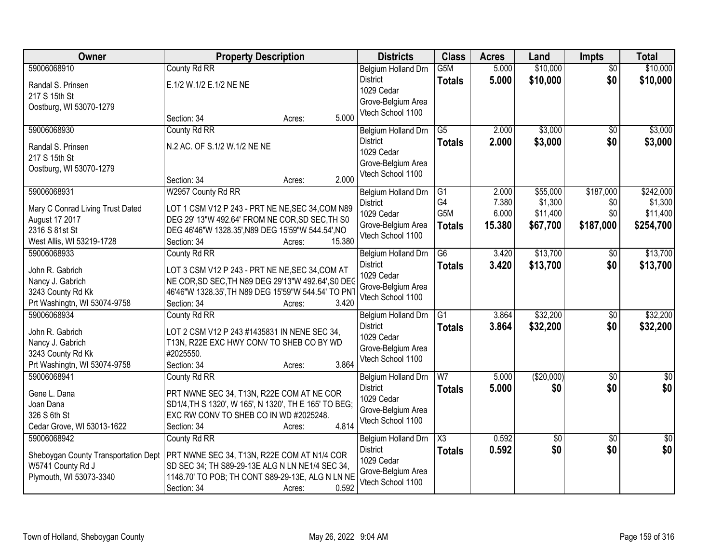| Owner                                | <b>Property Description</b>                           | <b>Districts</b> | <b>Class</b>                            | <b>Acres</b>     | Land   | <b>Impts</b>    | <b>Total</b>    |                 |
|--------------------------------------|-------------------------------------------------------|------------------|-----------------------------------------|------------------|--------|-----------------|-----------------|-----------------|
| 59006068910                          | County Rd RR                                          |                  | Belgium Holland Drn                     | G <sub>5</sub> M | 5.000  | \$10,000        | $\overline{50}$ | \$10,000        |
| Randal S. Prinsen                    | E.1/2 W.1/2 E.1/2 NE NE                               |                  | <b>District</b>                         | <b>Totals</b>    | 5.000  | \$10,000        | \$0             | \$10,000        |
| 217 S 15th St                        |                                                       |                  | 1029 Cedar                              |                  |        |                 |                 |                 |
| Oostburg, WI 53070-1279              |                                                       |                  | Grove-Belgium Area<br>Vtech School 1100 |                  |        |                 |                 |                 |
|                                      | Section: 34<br>Acres:                                 | 5.000            |                                         |                  |        |                 |                 |                 |
| 59006068930                          | County Rd RR                                          |                  | Belgium Holland Drn                     | $\overline{G5}$  | 2.000  | \$3,000         | \$0             | \$3,000         |
| Randal S. Prinsen                    | N.2 AC. OF S.1/2 W.1/2 NE NE                          |                  | <b>District</b>                         | <b>Totals</b>    | 2.000  | \$3,000         | \$0             | \$3,000         |
| 217 S 15th St                        |                                                       |                  | 1029 Cedar                              |                  |        |                 |                 |                 |
| Oostburg, WI 53070-1279              |                                                       |                  | Grove-Belgium Area<br>Vtech School 1100 |                  |        |                 |                 |                 |
|                                      | Section: 34<br>Acres:                                 | 2.000            |                                         |                  |        |                 |                 |                 |
| 59006068931                          | W2957 County Rd RR                                    |                  | Belgium Holland Drn                     | $\overline{G1}$  | 2.000  | \$55,000        | \$187,000       | \$242,000       |
| Mary C Conrad Living Trust Dated     | LOT 1 CSM V12 P 243 - PRT NE NE, SEC 34, COM N89      |                  | <b>District</b>                         | G4               | 7.380  | \$1,300         | \$0             | \$1,300         |
| August 17 2017                       | DEG 29' 13"W 492.64' FROM NE COR, SD SEC, TH S0       |                  | 1029 Cedar                              | G <sub>5</sub> M | 6.000  | \$11,400        | \$0             | \$11,400        |
| 2316 S 81st St                       | DEG 46'46"W 1328.35', N89 DEG 15'59"W 544.54', NO     |                  | Grove-Belgium Area<br>Vtech School 1100 | <b>Totals</b>    | 15.380 | \$67,700        | \$187,000       | \$254,700       |
| West Allis, WI 53219-1728            | Section: 34<br>Acres:                                 | 15.380           |                                         |                  |        |                 |                 |                 |
| 59006068933                          | County Rd RR                                          |                  | Belgium Holland Drn                     | G6               | 3.420  | \$13,700        | $\sqrt[6]{}$    | \$13,700        |
| John R. Gabrich                      | LOT 3 CSM V12 P 243 - PRT NE NE, SEC 34, COM AT       |                  | <b>District</b>                         | <b>Totals</b>    | 3.420  | \$13,700        | \$0             | \$13,700        |
| Nancy J. Gabrich                     | NE COR, SD SEC, TH N89 DEG 29'13"W 492.64', S0 DEC    |                  | 1029 Cedar                              |                  |        |                 |                 |                 |
| 3243 County Rd Kk                    | 46'46"W 1328.35', TH N89 DEG 15'59"W 544.54' TO PNT   |                  | Grove-Belgium Area<br>Vtech School 1100 |                  |        |                 |                 |                 |
| Prt Washingtn, WI 53074-9758         | Section: 34<br>Acres:                                 | 3.420            |                                         |                  |        |                 |                 |                 |
| 59006068934                          | County Rd RR                                          |                  | Belgium Holland Drn                     | $\overline{G1}$  | 3.864  | \$32,200        | \$0             | \$32,200        |
| John R. Gabrich                      | LOT 2 CSM V12 P 243 #1435831 IN NENE SEC 34,          |                  | <b>District</b>                         | <b>Totals</b>    | 3.864  | \$32,200        | \$0             | \$32,200        |
| Nancy J. Gabrich                     | T13N, R22E EXC HWY CONV TO SHEB CO BY WD              |                  | 1029 Cedar                              |                  |        |                 |                 |                 |
| 3243 County Rd Kk                    | #2025550.                                             |                  | Grove-Belgium Area<br>Vtech School 1100 |                  |        |                 |                 |                 |
| Prt Washingtn, WI 53074-9758         | Section: 34<br>Acres:                                 | 3.864            |                                         |                  |        |                 |                 |                 |
| 59006068941                          | County Rd RR                                          |                  | Belgium Holland Drn                     | $\overline{W}$   | 5.000  | (\$20,000)      | $\overline{50}$ | $\overline{50}$ |
| Gene L. Dana                         | PRT NWNE SEC 34, T13N, R22E COM AT NE COR             |                  | <b>District</b>                         | <b>Totals</b>    | 5.000  | \$0             | \$0             | \$0             |
| Joan Dana                            | SD1/4, TH S 1320', W 165', N 1320', TH E 165' TO BEG; |                  | 1029 Cedar                              |                  |        |                 |                 |                 |
| 326 S 6th St                         | EXC RW CONV TO SHEB CO IN WD #2025248.                |                  | Grove-Belgium Area<br>Vtech School 1100 |                  |        |                 |                 |                 |
| Cedar Grove, WI 53013-1622           | Section: 34<br>Acres:                                 | 4.814            |                                         |                  |        |                 |                 |                 |
| 59006068942                          | County Rd RR                                          |                  | Belgium Holland Drn                     | X3               | 0.592  | $\overline{50}$ | $\overline{50}$ | $\overline{50}$ |
| Sheboygan County Transportation Dept | PRT NWNE SEC 34, T13N, R22E COM AT N1/4 COR           |                  | <b>District</b>                         | <b>Totals</b>    | 0.592  | \$0             | \$0             | \$0             |
| W5741 County Rd J                    | SD SEC 34; TH S89-29-13E ALG N LN NE1/4 SEC 34,       |                  | 1029 Cedar                              |                  |        |                 |                 |                 |
| Plymouth, WI 53073-3340              | 1148.70' TO POB; TH CONT S89-29-13E, ALG N LN NE      |                  | Grove-Belgium Area<br>Vtech School 1100 |                  |        |                 |                 |                 |
|                                      | Section: 34<br>Acres:                                 | 0.592            |                                         |                  |        |                 |                 |                 |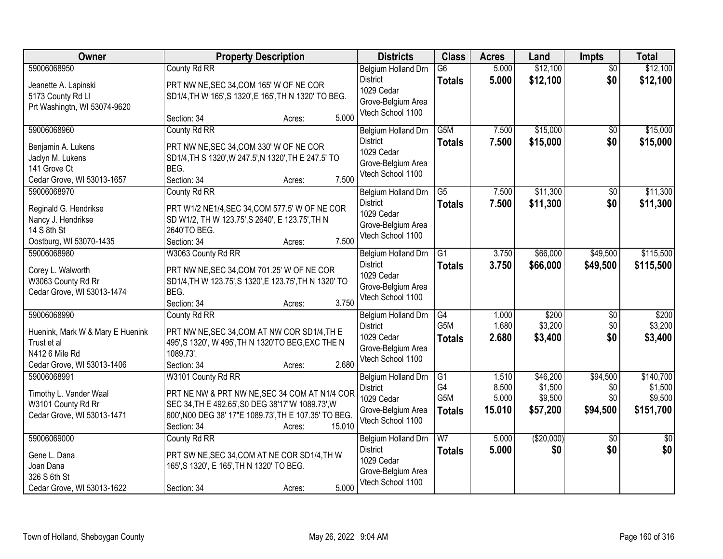| Owner                            | <b>Property Description</b>                            | <b>Districts</b>    | <b>Class</b>           | <b>Acres</b> | Land       | Impts           | <b>Total</b>    |
|----------------------------------|--------------------------------------------------------|---------------------|------------------------|--------------|------------|-----------------|-----------------|
| 59006068950                      | County Rd RR                                           | Belgium Holland Drn | $\overline{G6}$        | 5.000        | \$12,100   | $\overline{50}$ | \$12,100        |
| Jeanette A. Lapinski             | PRT NW NE, SEC 34, COM 165' W OF NE COR                | <b>District</b>     | <b>Totals</b>          | 5.000        | \$12,100   | \$0             | \$12,100        |
| 5173 County Rd Ll                | SD1/4, TH W 165', S 1320', E 165', TH N 1320' TO BEG.  | 1029 Cedar          |                        |              |            |                 |                 |
| Prt Washingtn, WI 53074-9620     |                                                        | Grove-Belgium Area  |                        |              |            |                 |                 |
|                                  | 5.000<br>Section: 34<br>Acres:                         | Vtech School 1100   |                        |              |            |                 |                 |
| 59006068960                      | County Rd RR                                           | Belgium Holland Drn | G5M                    | 7.500        | \$15,000   | $\overline{50}$ | \$15,000        |
| Benjamin A. Lukens               | PRT NW NE, SEC 34, COM 330' W OF NE COR                | <b>District</b>     | <b>Totals</b>          | 7.500        | \$15,000   | \$0             | \$15,000        |
| Jaclyn M. Lukens                 | SD1/4, TH S 1320', W 247.5', N 1320', TH E 247.5' TO   | 1029 Cedar          |                        |              |            |                 |                 |
| 141 Grove Ct                     | BEG.                                                   | Grove-Belgium Area  |                        |              |            |                 |                 |
| Cedar Grove, WI 53013-1657       | 7.500<br>Section: 34<br>Acres:                         | Vtech School 1100   |                        |              |            |                 |                 |
| 59006068970                      | County Rd RR                                           | Belgium Holland Drn | G5                     | 7.500        | \$11,300   | \$0             | \$11,300        |
|                                  |                                                        | <b>District</b>     |                        |              |            |                 |                 |
| Reginald G. Hendrikse            | PRT W1/2 NE1/4, SEC 34, COM 577.5' W OF NE COR         | 1029 Cedar          | <b>Totals</b>          | 7.500        | \$11,300   | \$0             | \$11,300        |
| Nancy J. Hendrikse               | SD W1/2, TH W 123.75', S 2640', E 123.75', TH N        | Grove-Belgium Area  |                        |              |            |                 |                 |
| 14 S 8th St                      | 2640'TO BEG.                                           | Vtech School 1100   |                        |              |            |                 |                 |
| Oostburg, WI 53070-1435          | 7.500<br>Section: 34<br>Acres:                         |                     |                        |              |            |                 |                 |
| 59006068980                      | W3063 County Rd RR                                     | Belgium Holland Drn | G1                     | 3.750        | \$66,000   | \$49,500        | \$115,500       |
|                                  |                                                        | <b>District</b>     | <b>Totals</b>          | 3.750        | \$66,000   | \$49,500        | \$115,500       |
| Corey L. Walworth                | PRT NW NE, SEC 34, COM 701.25' W OF NE COR             | 1029 Cedar          |                        |              |            |                 |                 |
| W3063 County Rd Rr               | SD1/4, TH W 123.75', S 1320', E 123.75', TH N 1320' TO | Grove-Belgium Area  |                        |              |            |                 |                 |
| Cedar Grove, WI 53013-1474       | BEG.                                                   | Vtech School 1100   |                        |              |            |                 |                 |
|                                  | 3.750<br>Section: 34<br>Acres:                         |                     |                        |              |            |                 |                 |
| 59006068990                      | County Rd RR                                           | Belgium Holland Drn | G4                     | 1.000        | \$200      | $\overline{50}$ | \$200           |
| Huenink, Mark W & Mary E Huenink | PRT NW NE, SEC 34, COM AT NW COR SD1/4, TH E           | <b>District</b>     | G <sub>5</sub> M       | 1.680        | \$3,200    | \$0             | \$3,200         |
| Trust et al                      | 495', S 1320', W 495', TH N 1320'TO BEG, EXC THE N     | 1029 Cedar          | <b>Totals</b>          | 2.680        | \$3,400    | \$0             | \$3,400         |
| N412 6 Mile Rd                   | 1089.73'.                                              | Grove-Belgium Area  |                        |              |            |                 |                 |
| Cedar Grove, WI 53013-1406       | 2.680<br>Section: 34<br>Acres:                         | Vtech School 1100   |                        |              |            |                 |                 |
| 59006068991                      | W3101 County Rd RR                                     | Belgium Holland Drn | G1                     | 1.510        | \$46,200   | \$94,500        | \$140,700       |
|                                  |                                                        | <b>District</b>     | G4                     | 8.500        | \$1,500    | \$0             | \$1,500         |
| Timothy L. Vander Waal           | PRT NE NW & PRT NW NE, SEC 34 COM AT N1/4 COR          | 1029 Cedar          | G5M                    | 5.000        | \$9,500    | \$0             | \$9,500         |
| W3101 County Rd Rr               | SEC 34, TH E 492.65', S0 DEG 38'17"W 1089.73', W       | Grove-Belgium Area  | <b>Totals</b>          | 15.010       | \$57,200   | \$94,500        | \$151,700       |
| Cedar Grove, WI 53013-1471       | 600', N00 DEG 38' 17"E 1089.73', TH E 107.35' TO BEG.  | Vtech School 1100   |                        |              |            |                 |                 |
|                                  | 15.010<br>Section: 34<br>Acres:                        |                     |                        |              |            |                 |                 |
| 59006069000                      | County Rd RR                                           | Belgium Holland Drn | $\overline{\text{W7}}$ | 5.000        | (\$20,000) | $\overline{50}$ | $\overline{50}$ |
| Gene L. Dana                     | PRT SW NE, SEC 34, COM AT NE COR SD1/4, TH W           | <b>District</b>     | <b>Totals</b>          | 5.000        | \$0        | \$0             | \$0             |
| Joan Dana                        | 165', S 1320', E 165', TH N 1320' TO BEG.              | 1029 Cedar          |                        |              |            |                 |                 |
| 326 S 6th St                     |                                                        | Grove-Belgium Area  |                        |              |            |                 |                 |
| Cedar Grove, WI 53013-1622       | 5.000<br>Section: 34<br>Acres:                         | Vtech School 1100   |                        |              |            |                 |                 |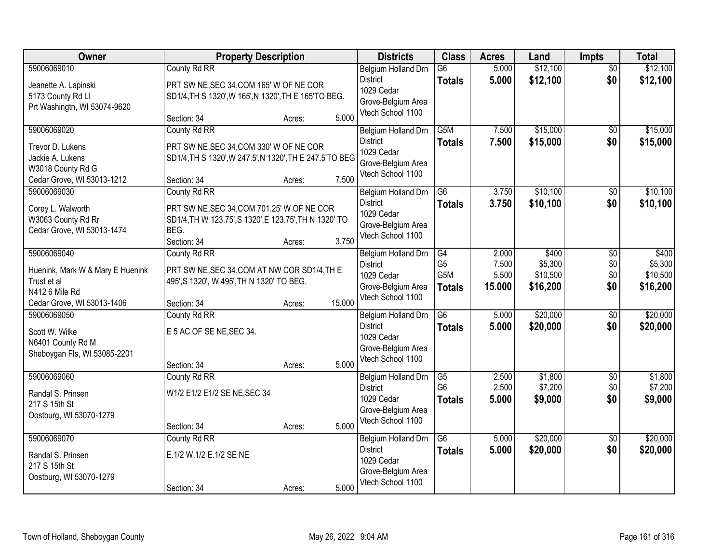| Owner                                                                                                          | <b>Property Description</b>                                                                                                                           | <b>Districts</b> | <b>Class</b>                                                                                           | <b>Acres</b>                                              | Land                              | Impts                                    | <b>Total</b>                  |                                          |
|----------------------------------------------------------------------------------------------------------------|-------------------------------------------------------------------------------------------------------------------------------------------------------|------------------|--------------------------------------------------------------------------------------------------------|-----------------------------------------------------------|-----------------------------------|------------------------------------------|-------------------------------|------------------------------------------|
| 59006069010<br>Jeanette A. Lapinski<br>5173 County Rd Ll<br>Prt Washingtn, WI 53074-9620                       | County Rd RR<br>PRT SW NE, SEC 34, COM 165' W OF NE COR<br>SD1/4, TH S 1320', W 165', N 1320', TH E 165'TO BEG.                                       |                  | Belgium Holland Drn<br><b>District</b><br>1029 Cedar<br>Grove-Belgium Area                             | $\overline{G6}$<br><b>Totals</b>                          | 5.000<br>5.000                    | \$12,100<br>\$12,100                     | $\overline{50}$<br>\$0        | \$12,100<br>\$12,100                     |
|                                                                                                                | Section: 34<br>Acres:                                                                                                                                 | 5.000            | Vtech School 1100                                                                                      |                                                           |                                   |                                          |                               |                                          |
| 59006069020<br>Trevor D. Lukens<br>Jackie A. Lukens<br>W3018 County Rd G<br>Cedar Grove, WI 53013-1212         | County Rd RR<br>PRT SW NE, SEC 34, COM 330' W OF NE COR<br>SD1/4, TH S 1320', W 247.5', N 1320', TH E 247.5'TO BEG<br>Section: 34<br>Acres:           | 7.500            | Belgium Holland Drn<br><b>District</b><br>1029 Cedar<br>Grove-Belgium Area<br>Vtech School 1100        | G5M<br><b>Totals</b>                                      | 7.500<br>7.500                    | \$15,000<br>\$15,000                     | \$0<br>\$0                    | \$15,000<br>\$15,000                     |
| 59006069030<br>Corey L. Walworth<br>W3063 County Rd Rr<br>Cedar Grove, WI 53013-1474                           | County Rd RR<br>PRT SW NE, SEC 34, COM 701.25' W OF NE COR<br>SD1/4, TH W 123.75', S 1320', E 123.75', TH N 1320' TO<br>BEG.<br>Section: 34<br>Acres: | 3.750            | <b>Belgium Holland Drn</b><br><b>District</b><br>1029 Cedar<br>Grove-Belgium Area<br>Vtech School 1100 | G6<br><b>Totals</b>                                       | 3.750<br>3.750                    | \$10,100<br>\$10,100                     | $\overline{50}$<br>\$0        | \$10,100<br>\$10,100                     |
| 59006069040<br>Huenink, Mark W & Mary E Huenink<br>Trust et al<br>N412 6 Mile Rd<br>Cedar Grove, WI 53013-1406 | County Rd RR<br>PRT SW NE, SEC 34, COM AT NW COR SD1/4, TH E<br>495', S 1320', W 495', TH N 1320' TO BEG.<br>Section: 34<br>Acres:                    | 15.000           | Belgium Holland Drn<br><b>District</b><br>1029 Cedar<br>Grove-Belgium Area<br>Vtech School 1100        | G4<br>G <sub>5</sub><br>G <sub>5</sub> M<br><b>Totals</b> | 2.000<br>7.500<br>5.500<br>15.000 | \$400<br>\$5,300<br>\$10,500<br>\$16,200 | \$0<br>\$0<br>\$0<br>\$0      | \$400<br>\$5,300<br>\$10,500<br>\$16,200 |
| 59006069050<br>Scott W. Wilke<br>N6401 County Rd M<br>Sheboygan Fls, WI 53085-2201                             | County Rd RR<br>E 5 AC OF SE NE, SEC 34.<br>Section: 34<br>Acres:                                                                                     | 5.000            | Belgium Holland Drn<br><b>District</b><br>1029 Cedar<br>Grove-Belgium Area<br>Vtech School 1100        | $\overline{G6}$<br><b>Totals</b>                          | 5.000<br>5.000                    | \$20,000<br>\$20,000                     | $\overline{50}$<br>\$0        | \$20,000<br>\$20,000                     |
| 59006069060<br>Randal S. Prinsen<br>217 S 15th St<br>Oostburg, WI 53070-1279                                   | County Rd RR<br>W1/2 E1/2 E1/2 SE NE, SEC 34<br>Section: 34<br>Acres:                                                                                 | 5.000            | Belgium Holland Drn<br><b>District</b><br>1029 Cedar<br>Grove-Belgium Area<br>Vtech School 1100        | G5<br>G <sub>6</sub><br><b>Totals</b>                     | 2.500<br>2.500<br>5.000           | \$1,800<br>\$7,200<br>\$9,000            | $\overline{50}$<br>\$0<br>\$0 | \$1,800<br>\$7,200<br>\$9,000            |
| 59006069070<br>Randal S. Prinsen<br>217 S 15th St<br>Oostburg, WI 53070-1279                                   | County Rd RR<br>E.1/2 W.1/2 E.1/2 SE NE<br>Section: 34<br>Acres:                                                                                      | 5.000            | Belgium Holland Drn<br><b>District</b><br>1029 Cedar<br>Grove-Belgium Area<br>Vtech School 1100        | G6<br><b>Totals</b>                                       | 5.000<br>5.000                    | \$20,000<br>\$20,000                     | $\overline{50}$<br>\$0        | \$20,000<br>\$20,000                     |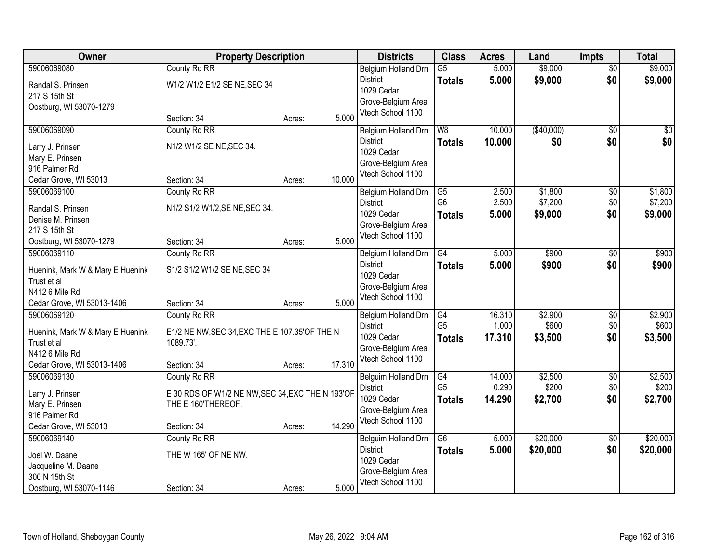| Owner                            | <b>Property Description</b>                      |        |        | <b>Districts</b>              | <b>Class</b>                      | <b>Acres</b>    | Land             | <b>Impts</b>           | <b>Total</b>     |
|----------------------------------|--------------------------------------------------|--------|--------|-------------------------------|-----------------------------------|-----------------|------------------|------------------------|------------------|
| 59006069080                      | County Rd RR                                     |        |        | Belgium Holland Drn           | $\overline{G5}$                   | 5.000           | \$9,000          | $\overline{50}$        | \$9,000          |
| Randal S. Prinsen                | W1/2 W1/2 E1/2 SE NE, SEC 34                     |        |        | <b>District</b><br>1029 Cedar | <b>Totals</b>                     | 5.000           | \$9,000          | \$0                    | \$9,000          |
| 217 S 15th St                    |                                                  |        |        | Grove-Belgium Area            |                                   |                 |                  |                        |                  |
| Oostburg, WI 53070-1279          |                                                  |        |        | Vtech School 1100             |                                   |                 |                  |                        |                  |
|                                  | Section: 34                                      | Acres: | 5.000  |                               |                                   |                 |                  |                        |                  |
| 59006069090                      | County Rd RR                                     |        |        | Belgium Holland Drn           | W8                                | 10.000          | (\$40,000)       | $\overline{50}$        | \$0              |
| Larry J. Prinsen                 | N1/2 W1/2 SE NE, SEC 34.                         |        |        | <b>District</b>               | <b>Totals</b>                     | 10.000          | \$0              | \$0                    | \$0              |
| Mary E. Prinsen                  |                                                  |        |        | 1029 Cedar                    |                                   |                 |                  |                        |                  |
| 916 Palmer Rd                    |                                                  |        |        | Grove-Belgium Area            |                                   |                 |                  |                        |                  |
| Cedar Grove, WI 53013            | Section: 34                                      | Acres: | 10.000 | Vtech School 1100             |                                   |                 |                  |                        |                  |
| 59006069100                      | County Rd RR                                     |        |        | Belgium Holland Drn           | G5                                | 2.500           | \$1,800          | \$0                    | \$1,800          |
| Randal S. Prinsen                | N1/2 S1/2 W1/2, SE NE, SEC 34.                   |        |        | <b>District</b>               | G <sub>6</sub>                    | 2.500           | \$7,200          | \$0                    | \$7,200          |
| Denise M. Prinsen                |                                                  |        |        | 1029 Cedar                    | <b>Totals</b>                     | 5.000           | \$9,000          | \$0                    | \$9,000          |
| 217 S 15th St                    |                                                  |        |        | Grove-Belgium Area            |                                   |                 |                  |                        |                  |
| Oostburg, WI 53070-1279          | Section: 34                                      | Acres: | 5.000  | Vtech School 1100             |                                   |                 |                  |                        |                  |
| 59006069110                      | County Rd RR                                     |        |        | Belgium Holland Drn           | G4                                | 5.000           | \$900            | \$0                    | \$900            |
|                                  |                                                  |        |        | <b>District</b>               | <b>Totals</b>                     | 5.000           | \$900            | \$0                    | \$900            |
| Huenink, Mark W & Mary E Huenink | S1/2 S1/2 W1/2 SE NE, SEC 34                     |        |        | 1029 Cedar                    |                                   |                 |                  |                        |                  |
| Trust et al                      |                                                  |        |        | Grove-Belgium Area            |                                   |                 |                  |                        |                  |
| N412 6 Mile Rd                   |                                                  |        |        | Vtech School 1100             |                                   |                 |                  |                        |                  |
| Cedar Grove, WI 53013-1406       | Section: 34                                      | Acres: | 5.000  |                               |                                   |                 |                  |                        |                  |
| 59006069120                      | County Rd RR                                     |        |        | Belgium Holland Drn           | $\overline{G4}$<br>G <sub>5</sub> | 16.310<br>1.000 | \$2,900<br>\$600 | $\overline{50}$<br>\$0 | \$2,900<br>\$600 |
| Huenink, Mark W & Mary E Huenink | E1/2 NE NW, SEC 34, EXC THE E 107.35' OF THE N   |        |        | <b>District</b><br>1029 Cedar |                                   | 17.310          | \$3,500          | \$0                    | \$3,500          |
| Trust et al                      | 1089.73'.                                        |        |        | Grove-Belgium Area            | <b>Totals</b>                     |                 |                  |                        |                  |
| N412 6 Mile Rd                   |                                                  |        |        | Vtech School 1100             |                                   |                 |                  |                        |                  |
| Cedar Grove, WI 53013-1406       | Section: 34                                      | Acres: | 17.310 |                               |                                   |                 |                  |                        |                  |
| 59006069130                      | County Rd RR                                     |        |        | Belguim Holland Drn           | G4                                | 14.000          | \$2,500          | $\sqrt{6}$             | \$2,500          |
| Larry J. Prinsen                 | E 30 RDS OF W1/2 NE NW, SEC 34, EXC THE N 193'OF |        |        | <b>District</b>               | G <sub>5</sub>                    | 0.290           | \$200            | \$0                    | \$200            |
| Mary E. Prinsen                  | THE E 160'THEREOF.                               |        |        | 1029 Cedar                    | <b>Totals</b>                     | 14.290          | \$2,700          | \$0                    | \$2,700          |
| 916 Palmer Rd                    |                                                  |        |        | Grove-Belgium Area            |                                   |                 |                  |                        |                  |
| Cedar Grove, WI 53013            | Section: 34                                      | Acres: | 14.290 | Vtech School 1100             |                                   |                 |                  |                        |                  |
| 59006069140                      | County Rd RR                                     |        |        | Belguim Holland Drn           | G6                                | 5.000           | \$20,000         | $\overline{50}$        | \$20,000         |
| Joel W. Daane                    | THE W 165' OF NE NW.                             |        |        | <b>District</b>               | <b>Totals</b>                     | 5.000           | \$20,000         | \$0                    | \$20,000         |
| Jacqueline M. Daane              |                                                  |        |        | 1029 Cedar                    |                                   |                 |                  |                        |                  |
| 300 N 15th St                    |                                                  |        |        | Grove-Belgium Area            |                                   |                 |                  |                        |                  |
| Oostburg, WI 53070-1146          | Section: 34                                      | Acres: | 5.000  | Vtech School 1100             |                                   |                 |                  |                        |                  |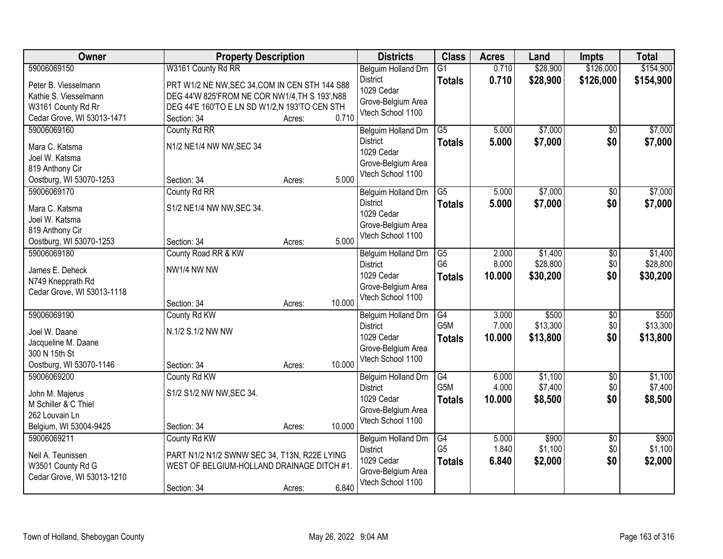| Owner                                  | <b>Property Description</b>                    |        |        | <b>Districts</b>                        | <b>Class</b>     | <b>Acres</b> | Land     | <b>Impts</b>    | <b>Total</b> |
|----------------------------------------|------------------------------------------------|--------|--------|-----------------------------------------|------------------|--------------|----------|-----------------|--------------|
| 59006069150                            | W3161 County Rd RR                             |        |        | Belguim Holland Drn                     | $\overline{G1}$  | 0.710        | \$28,900 | \$126,000       | \$154,900    |
| Peter B. Viesselmann                   | PRT W1/2 NE NW, SEC 34, COM IN CEN STH 144 S88 |        |        | <b>District</b>                         | <b>Totals</b>    | 0.710        | \$28,900 | \$126,000       | \$154,900    |
| Kathie S. Viesselmann                  | DEG 44'W 825'FROM NE COR NW1/4, TH S 193', N88 |        |        | 1029 Cedar                              |                  |              |          |                 |              |
| W3161 County Rd Rr                     | DEG 44'E 160'TO E LN SD W1/2,N 193'TO CEN STH  |        |        | Grove-Belgium Area                      |                  |              |          |                 |              |
| Cedar Grove, WI 53013-1471             | Section: 34                                    | Acres: | 0.710  | Vtech School 1100                       |                  |              |          |                 |              |
| 59006069160                            | County Rd RR                                   |        |        | Belguim Holland Drn                     | $\overline{G5}$  | 5.000        | \$7,000  | $\overline{50}$ | \$7,000      |
| Mara C. Katsma                         | N1/2 NE1/4 NW NW, SEC 34                       |        |        | <b>District</b>                         | <b>Totals</b>    | 5.000        | \$7,000  | \$0             | \$7,000      |
| Joel W. Katsma                         |                                                |        |        | 1029 Cedar                              |                  |              |          |                 |              |
| 819 Anthony Cir                        |                                                |        |        | Grove-Belgium Area                      |                  |              |          |                 |              |
| Oostburg, WI 53070-1253                | Section: 34                                    | Acres: | 5.000  | Vtech School 1100                       |                  |              |          |                 |              |
| 59006069170                            | County Rd RR                                   |        |        | Belguim Holland Drn                     | $\overline{G5}$  | 5.000        | \$7,000  | \$0             | \$7,000      |
|                                        |                                                |        |        | <b>District</b>                         | <b>Totals</b>    | 5.000        | \$7,000  | \$0             | \$7,000      |
| Mara C. Katsma                         | S1/2 NE1/4 NW NW, SEC 34.                      |        |        | 1029 Cedar                              |                  |              |          |                 |              |
| Joel W. Katsma                         |                                                |        |        | Grove-Belgium Area                      |                  |              |          |                 |              |
| 819 Anthony Cir                        |                                                |        |        | Vtech School 1100                       |                  |              |          |                 |              |
| Oostburg, WI 53070-1253                | Section: 34                                    | Acres: | 5.000  |                                         |                  |              |          |                 |              |
| 59006069180                            | County Road RR & KW                            |        |        | Belguim Holland Drn                     | $\overline{G5}$  | 2.000        | \$1,400  | \$0             | \$1,400      |
| James E. Deheck                        | NW1/4 NW NW                                    |        |        | <b>District</b>                         | G <sub>6</sub>   | 8.000        | \$28,800 | \$0             | \$28,800     |
| N749 Knepprath Rd                      |                                                |        |        | 1029 Cedar                              | <b>Totals</b>    | 10.000       | \$30,200 | \$0             | \$30,200     |
| Cedar Grove, WI 53013-1118             |                                                |        |        | Grove-Belgium Area<br>Vtech School 1100 |                  |              |          |                 |              |
|                                        | Section: 34                                    | Acres: | 10.000 |                                         |                  |              |          |                 |              |
| 59006069190                            | County Rd KW                                   |        |        | Belguim Holland Drn                     | $\overline{G4}$  | 3.000        | \$500    | $\overline{30}$ | \$500        |
| Joel W. Daane                          | N.1/2 S.1/2 NW NW                              |        |        | <b>District</b>                         | G <sub>5</sub> M | 7.000        | \$13,300 | \$0             | \$13,300     |
| Jacqueline M. Daane                    |                                                |        |        | 1029 Cedar                              | <b>Totals</b>    | 10.000       | \$13,800 | \$0             | \$13,800     |
| 300 N 15th St                          |                                                |        |        | Grove-Belgium Area                      |                  |              |          |                 |              |
| Oostburg, WI 53070-1146                | Section: 34                                    | Acres: | 10.000 | Vtech School 1100                       |                  |              |          |                 |              |
| 59006069200                            | County Rd KW                                   |        |        | Belguim Holland Drn                     | G4               | 6.000        | \$1,100  | $\overline{60}$ | \$1,100      |
|                                        |                                                |        |        | <b>District</b>                         | G <sub>5</sub> M | 4.000        | \$7,400  | \$0             | \$7,400      |
| John M. Majerus                        | S1/2 S1/2 NW NW, SEC 34.                       |        |        | 1029 Cedar                              | <b>Totals</b>    | 10.000       | \$8,500  | \$0             | \$8,500      |
| M Schiller & C Thiel<br>262 Louvain Ln |                                                |        |        | Grove-Belgium Area                      |                  |              |          |                 |              |
| Belgium, WI 53004-9425                 | Section: 34                                    | Acres: | 10.000 | Vtech School 1100                       |                  |              |          |                 |              |
| 59006069211                            | County Rd KW                                   |        |        | Belguim Holland Drn                     | G4               | 5.000        | \$900    | $\overline{30}$ | \$900        |
|                                        |                                                |        |        | <b>District</b>                         | G <sub>5</sub>   | 1.840        | \$1,100  | \$0             | \$1,100      |
| Neil A. Teunissen                      | PART N1/2 N1/2 SWNW SEC 34, T13N, R22E LYING   |        |        | 1029 Cedar                              | <b>Totals</b>    | 6.840        | \$2,000  | \$0             | \$2,000      |
| W3501 County Rd G                      | WEST OF BELGIUM-HOLLAND DRAINAGE DITCH #1.     |        |        | Grove-Belgium Area                      |                  |              |          |                 |              |
| Cedar Grove, WI 53013-1210             |                                                |        |        | Vtech School 1100                       |                  |              |          |                 |              |
|                                        | Section: 34                                    | Acres: | 6.840  |                                         |                  |              |          |                 |              |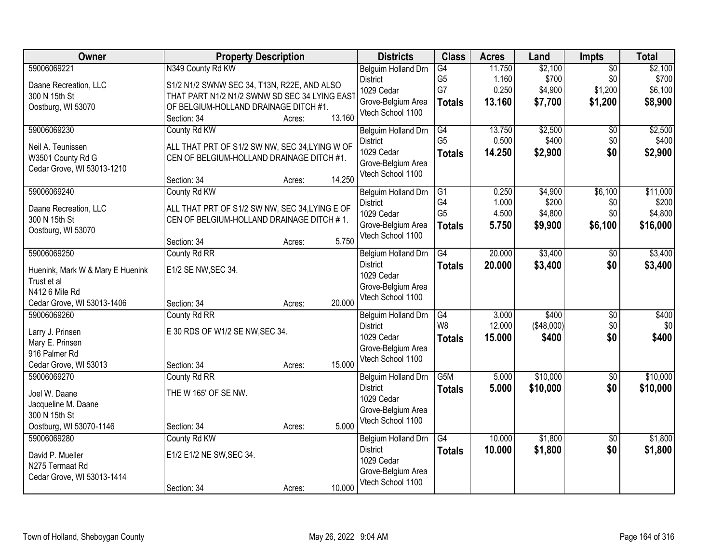| Owner                                                                                                          | <b>Property Description</b>                                                                                                                                | <b>Districts</b>                                                                                       | <b>Class</b>                                             | <b>Acres</b>                       | Land                                   | Impts                                        | <b>Total</b>                             |
|----------------------------------------------------------------------------------------------------------------|------------------------------------------------------------------------------------------------------------------------------------------------------------|--------------------------------------------------------------------------------------------------------|----------------------------------------------------------|------------------------------------|----------------------------------------|----------------------------------------------|------------------------------------------|
| 59006069221<br>Daane Recreation, LLC<br>300 N 15th St<br>Oostburg, WI 53070                                    | N349 County Rd KW<br>S1/2 N1/2 SWNW SEC 34, T13N, R22E, AND ALSO<br>THAT PART N1/2 N1/2 SWNW SD SEC 34 LYING EAST<br>OF BELGIUM-HOLLAND DRAINAGE DITCH #1. | Belguim Holland Drn<br><b>District</b><br>1029 Cedar<br>Grove-Belgium Area                             | G4<br>G <sub>5</sub><br>G7<br><b>Totals</b>              | 11.750<br>1.160<br>0.250<br>13.160 | \$2,100<br>\$700<br>\$4,900<br>\$7,700 | $\overline{50}$<br>\$0<br>\$1,200<br>\$1,200 | \$2,100<br>\$700<br>\$6,100<br>\$8,900   |
|                                                                                                                | 13.160<br>Section: 34<br>Acres:                                                                                                                            | Vtech School 1100                                                                                      |                                                          |                                    |                                        |                                              |                                          |
| 59006069230<br>Neil A. Teunissen<br>W3501 County Rd G<br>Cedar Grove, WI 53013-1210                            | County Rd KW<br>ALL THAT PRT OF S1/2 SW NW, SEC 34,LYING W OF<br>CEN OF BELGIUM-HOLLAND DRAINAGE DITCH #1.<br>14.250<br>Section: 34<br>Acres:              | <b>Belguim Holland Drn</b><br><b>District</b><br>1029 Cedar<br>Grove-Belgium Area<br>Vtech School 1100 | G4<br>G <sub>5</sub><br><b>Totals</b>                    | 13.750<br>0.500<br>14.250          | \$2,500<br>\$400<br>\$2,900            | $\overline{50}$<br>\$0<br>\$0                | \$2,500<br>\$400<br>\$2,900              |
| 59006069240<br>Daane Recreation, LLC<br>300 N 15th St<br>Oostburg, WI 53070                                    | County Rd KW<br>ALL THAT PRT OF S1/2 SW NW, SEC 34, LYING E OF<br>CEN OF BELGIUM-HOLLAND DRAINAGE DITCH #1.<br>5.750<br>Section: 34<br>Acres:              | Belguim Holland Drn<br><b>District</b><br>1029 Cedar<br>Grove-Belgium Area<br>Vtech School 1100        | $\overline{G1}$<br>G4<br>G <sub>5</sub><br><b>Totals</b> | 0.250<br>1.000<br>4.500<br>5.750   | \$4,900<br>\$200<br>\$4,800<br>\$9,900 | \$6,100<br>\$0<br>\$0<br>\$6,100             | \$11,000<br>\$200<br>\$4,800<br>\$16,000 |
| 59006069250<br>Huenink, Mark W & Mary E Huenink<br>Trust et al<br>N412 6 Mile Rd<br>Cedar Grove, WI 53013-1406 | County Rd RR<br>E1/2 SE NW, SEC 34.<br>20.000<br>Section: 34<br>Acres:                                                                                     | Belgium Holland Drn<br><b>District</b><br>1029 Cedar<br>Grove-Belgium Area<br>Vtech School 1100        | G4<br><b>Totals</b>                                      | 20.000<br>20.000                   | \$3,400<br>\$3,400                     | \$0<br>\$0                                   | \$3,400<br>\$3,400                       |
| 59006069260<br>Larry J. Prinsen<br>Mary E. Prinsen<br>916 Palmer Rd<br>Cedar Grove, WI 53013                   | County Rd RR<br>E 30 RDS OF W1/2 SE NW, SEC 34.<br>15.000<br>Section: 34<br>Acres:                                                                         | Belguim Holland Drn<br><b>District</b><br>1029 Cedar<br>Grove-Belgium Area<br>Vtech School 1100        | G4<br>W <sub>8</sub><br><b>Totals</b>                    | 3.000<br>12.000<br>15.000          | \$400<br>(\$48,000)<br>\$400           | $\overline{50}$<br>\$0<br>\$0                | \$400<br>\$0<br>\$400                    |
| 59006069270<br>Joel W. Daane<br>Jacqueline M. Daane<br>300 N 15th St<br>Oostburg, WI 53070-1146                | County Rd RR<br>THE W 165' OF SE NW.<br>5.000<br>Section: 34<br>Acres:                                                                                     | Belguim Holland Drn<br><b>District</b><br>1029 Cedar<br>Grove-Belgium Area<br>Vtech School 1100        | G5M<br><b>Totals</b>                                     | 5.000<br>5.000                     | \$10,000<br>\$10,000                   | $\overline{60}$<br>\$0                       | \$10,000<br>\$10,000                     |
| 59006069280<br>David P. Mueller<br>N275 Termaat Rd<br>Cedar Grove, WI 53013-1414                               | County Rd KW<br>E1/2 E1/2 NE SW, SEC 34.<br>10.000<br>Section: 34<br>Acres:                                                                                | Belgium Holland Drn<br><b>District</b><br>1029 Cedar<br>Grove-Belgium Area<br>Vtech School 1100        | G4<br><b>Totals</b>                                      | 10.000<br>10.000                   | \$1,800<br>\$1,800                     | $\overline{50}$<br>\$0                       | \$1,800<br>\$1,800                       |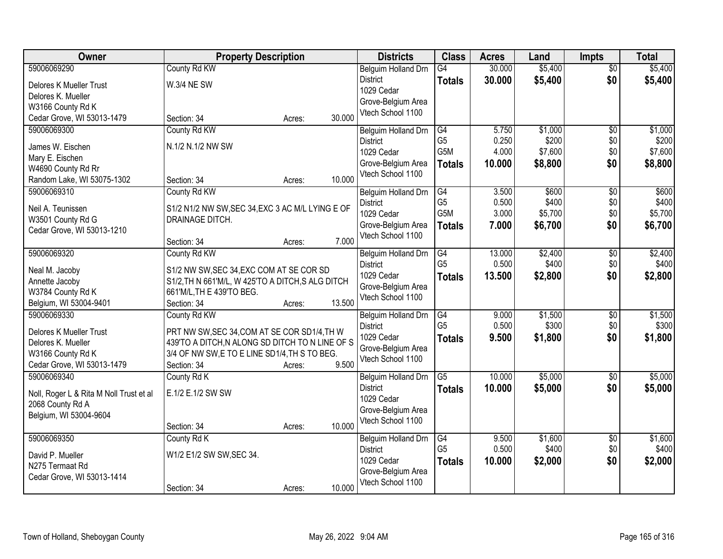| Owner                                   | <b>Property Description</b>                                                    |        |        | <b>Districts</b>                       | <b>Class</b>     | <b>Acres</b> | Land    | <b>Impts</b>    | <b>Total</b> |
|-----------------------------------------|--------------------------------------------------------------------------------|--------|--------|----------------------------------------|------------------|--------------|---------|-----------------|--------------|
| 59006069290                             | County Rd KW                                                                   |        |        | Belguim Holland Drn                    | G4               | 30.000       | \$5,400 | $\overline{50}$ | \$5,400      |
| Delores K Mueller Trust                 | <b>W.3/4 NE SW</b>                                                             |        |        | <b>District</b>                        | <b>Totals</b>    | 30.000       | \$5,400 | \$0             | \$5,400      |
| Delores K. Mueller                      |                                                                                |        |        | 1029 Cedar                             |                  |              |         |                 |              |
| W3166 County Rd K                       |                                                                                |        |        | Grove-Belgium Area                     |                  |              |         |                 |              |
| Cedar Grove, WI 53013-1479              | Section: 34                                                                    | Acres: | 30.000 | Vtech School 1100                      |                  |              |         |                 |              |
| 59006069300                             | County Rd KW                                                                   |        |        | Belguim Holland Drn                    | G4               | 5.750        | \$1,000 | $\overline{50}$ | \$1,000      |
| James W. Eischen                        | N.1/2 N.1/2 NW SW                                                              |        |        | <b>District</b>                        | G <sub>5</sub>   | 0.250        | \$200   | \$0             | \$200        |
| Mary E. Eischen                         |                                                                                |        |        | 1029 Cedar                             | G5M              | 4.000        | \$7,600 | \$0             | \$7,600      |
| W4690 County Rd Rr                      |                                                                                |        |        | Grove-Belgium Area                     | <b>Totals</b>    | 10.000       | \$8,800 | \$0             | \$8,800      |
| Random Lake, WI 53075-1302              | Section: 34                                                                    | Acres: | 10.000 | Vtech School 1100                      |                  |              |         |                 |              |
| 59006069310                             | County Rd KW                                                                   |        |        | Belguim Holland Drn                    | $\overline{G4}$  | 3.500        | \$600   | $\overline{50}$ | \$600        |
| Neil A. Teunissen                       | S1/2 N1/2 NW SW, SEC 34, EXC 3 AC M/L LYING E OF                               |        |        | <b>District</b>                        | G <sub>5</sub>   | 0.500        | \$400   | \$0             | \$400        |
| W3501 County Rd G                       | DRAINAGE DITCH.                                                                |        |        | 1029 Cedar                             | G <sub>5</sub> M | 3.000        | \$5,700 | \$0             | \$5,700      |
| Cedar Grove, WI 53013-1210              |                                                                                |        |        | Grove-Belgium Area                     | <b>Totals</b>    | 7.000        | \$6,700 | \$0             | \$6,700      |
|                                         | Section: 34                                                                    | Acres: | 7.000  | Vtech School 1100                      |                  |              |         |                 |              |
| 59006069320                             | County Rd KW                                                                   |        |        | Belguim Holland Drn                    | G4               | 13.000       | \$2,400 | $\sqrt[6]{3}$   | \$2,400      |
|                                         |                                                                                |        |        | <b>District</b>                        | G <sub>5</sub>   | 0.500        | \$400   | \$0             | \$400        |
| Neal M. Jacoby                          | S1/2 NW SW, SEC 34, EXC COM AT SE COR SD                                       |        |        | 1029 Cedar                             | <b>Totals</b>    | 13.500       | \$2,800 | \$0             | \$2,800      |
| Annette Jacoby<br>W3784 County Rd K     | S1/2, TH N 661'M/L, W 425'TO A DITCH, S ALG DITCH<br>661'M/L, TH E 439'TO BEG. |        |        | Grove-Belgium Area                     |                  |              |         |                 |              |
| Belgium, WI 53004-9401                  | Section: 34                                                                    | Acres: | 13.500 | Vtech School 1100                      |                  |              |         |                 |              |
| 59006069330                             | County Rd KW                                                                   |        |        | Belguim Holland Drn                    | $\overline{G4}$  | 9.000        | \$1,500 | $\overline{50}$ | \$1,500      |
|                                         |                                                                                |        |        | <b>District</b>                        | G <sub>5</sub>   | 0.500        | \$300   | \$0             | \$300        |
| Delores K Mueller Trust                 | PRT NW SW, SEC 34, COM AT SE COR SD1/4, TH W                                   |        |        | 1029 Cedar                             | <b>Totals</b>    | 9.500        | \$1,800 | \$0             | \$1,800      |
| Delores K. Mueller                      | 439'TO A DITCH, N ALONG SD DITCH TO N LINE OF S                                |        |        | Grove-Belgium Area                     |                  |              |         |                 |              |
| W3166 County Rd K                       | 3/4 OF NW SW, E TO E LINE SD1/4, TH S TO BEG.                                  |        |        | Vtech School 1100                      |                  |              |         |                 |              |
| Cedar Grove, WI 53013-1479              | Section: 34                                                                    | Acres: | 9.500  |                                        |                  |              |         |                 |              |
| 59006069340                             | County Rd K                                                                    |        |        | Belguim Holland Drn<br><b>District</b> | $\overline{G5}$  | 10.000       | \$5,000 | $\sqrt{$0}$     | \$5,000      |
| Noll, Roger L & Rita M Noll Trust et al | E.1/2 E.1/2 SW SW                                                              |        |        | 1029 Cedar                             | <b>Totals</b>    | 10.000       | \$5,000 | \$0             | \$5,000      |
| 2068 County Rd A                        |                                                                                |        |        | Grove-Belgium Area                     |                  |              |         |                 |              |
| Belgium, WI 53004-9604                  |                                                                                |        |        | Vtech School 1100                      |                  |              |         |                 |              |
|                                         | Section: 34                                                                    | Acres: | 10.000 |                                        |                  |              |         |                 |              |
| 59006069350                             | County Rd K                                                                    |        |        | Belguim Holland Drn                    | G4               | 9.500        | \$1,600 | $\overline{30}$ | \$1,600      |
| David P. Mueller                        | W1/2 E1/2 SW SW, SEC 34.                                                       |        |        | <b>District</b>                        | G <sub>5</sub>   | 0.500        | \$400   | \$0             | \$400        |
| N275 Termaat Rd                         |                                                                                |        |        | 1029 Cedar<br>Grove-Belgium Area       | <b>Totals</b>    | 10.000       | \$2,000 | \$0             | \$2,000      |
| Cedar Grove, WI 53013-1414              |                                                                                |        |        | Vtech School 1100                      |                  |              |         |                 |              |
|                                         | Section: 34                                                                    | Acres: | 10.000 |                                        |                  |              |         |                 |              |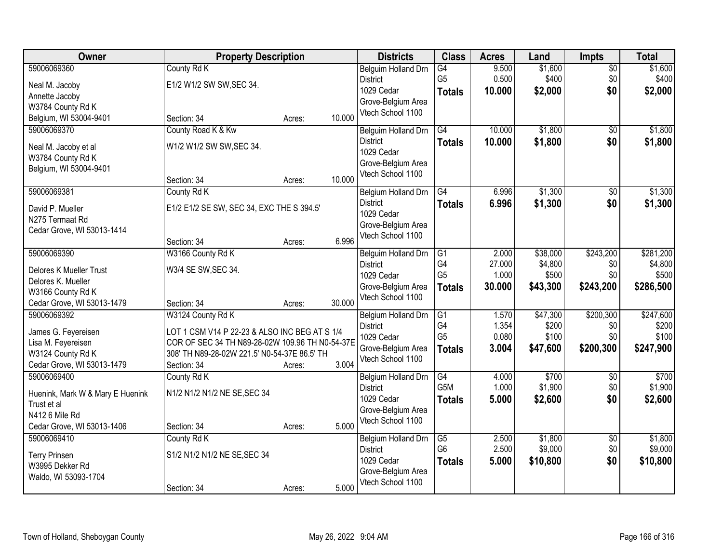| Owner                            |                                                 | <b>Property Description</b> |        | <b>Districts</b>                        | <b>Class</b>     | <b>Acres</b> | Land     | Impts           | <b>Total</b> |
|----------------------------------|-------------------------------------------------|-----------------------------|--------|-----------------------------------------|------------------|--------------|----------|-----------------|--------------|
| 59006069360                      | County Rd K                                     |                             |        | Belguim Holland Drn                     | G4               | 9.500        | \$1,600  | $\overline{50}$ | \$1,600      |
| Neal M. Jacoby                   | E1/2 W1/2 SW SW, SEC 34.                        |                             |        | <b>District</b>                         | G <sub>5</sub>   | 0.500        | \$400    | \$0             | \$400        |
| Annette Jacoby                   |                                                 |                             |        | 1029 Cedar                              | <b>Totals</b>    | 10.000       | \$2,000  | \$0             | \$2,000      |
| W3784 County Rd K                |                                                 |                             |        | Grove-Belgium Area                      |                  |              |          |                 |              |
| Belgium, WI 53004-9401           | Section: 34                                     | Acres:                      | 10.000 | Vtech School 1100                       |                  |              |          |                 |              |
| 59006069370                      | County Road K & Kw                              |                             |        | Belguim Holland Drn                     | G4               | 10.000       | \$1,800  | \$0             | \$1,800      |
| Neal M. Jacoby et al             | W1/2 W1/2 SW SW, SEC 34.                        |                             |        | <b>District</b>                         | <b>Totals</b>    | 10.000       | \$1,800  | \$0             | \$1,800      |
| W3784 County Rd K                |                                                 |                             |        | 1029 Cedar                              |                  |              |          |                 |              |
| Belgium, WI 53004-9401           |                                                 |                             |        | Grove-Belgium Area<br>Vtech School 1100 |                  |              |          |                 |              |
|                                  | Section: 34                                     | Acres:                      | 10.000 |                                         |                  |              |          |                 |              |
| 59006069381                      | County Rd K                                     |                             |        | Belgium Holland Drn                     | $\overline{G4}$  | 6.996        | \$1,300  | $\overline{50}$ | \$1,300      |
| David P. Mueller                 | E1/2 E1/2 SE SW, SEC 34, EXC THE S 394.5'       |                             |        | <b>District</b>                         | <b>Totals</b>    | 6.996        | \$1,300  | \$0             | \$1,300      |
| N275 Termaat Rd                  |                                                 |                             |        | 1029 Cedar                              |                  |              |          |                 |              |
| Cedar Grove, WI 53013-1414       |                                                 |                             |        | Grove-Belgium Area                      |                  |              |          |                 |              |
|                                  | Section: 34                                     | Acres:                      | 6.996  | Vtech School 1100                       |                  |              |          |                 |              |
| 59006069390                      | W3166 County Rd K                               |                             |        | Belguim Holland Drn                     | G1               | 2.000        | \$38,000 | \$243,200       | \$281,200    |
| Delores K Mueller Trust          | W3/4 SE SW, SEC 34.                             |                             |        | <b>District</b>                         | G4               | 27.000       | \$4,800  | \$0             | \$4,800      |
| Delores K. Mueller               |                                                 |                             |        | 1029 Cedar                              | G <sub>5</sub>   | 1.000        | \$500    | \$0             | \$500        |
| W3166 County Rd K                |                                                 |                             |        | Grove-Belgium Area                      | <b>Totals</b>    | 30.000       | \$43,300 | \$243,200       | \$286,500    |
| Cedar Grove, WI 53013-1479       | Section: 34                                     | Acres:                      | 30.000 | Vtech School 1100                       |                  |              |          |                 |              |
| 59006069392                      | W3124 County Rd K                               |                             |        | Belgium Holland Drn                     | $\overline{G1}$  | 1.570        | \$47,300 | \$200,300       | \$247,600    |
| James G. Feyereisen              | LOT 1 CSM V14 P 22-23 & ALSO INC BEG AT S 1/4   |                             |        | <b>District</b>                         | G4               | 1.354        | \$200    | \$0             | \$200        |
| Lisa M. Feyereisen               | COR OF SEC 34 TH N89-28-02W 109.96 TH N0-54-37E |                             |        | 1029 Cedar                              | G <sub>5</sub>   | 0.080        | \$100    | \$0             | \$100        |
| W3124 County Rd K                | 308' TH N89-28-02W 221.5' N0-54-37E 86.5' TH    |                             |        | Grove-Belgium Area                      | <b>Totals</b>    | 3.004        | \$47,600 | \$200,300       | \$247,900    |
| Cedar Grove, WI 53013-1479       | Section: 34                                     | Acres:                      | 3.004  | Vtech School 1100                       |                  |              |          |                 |              |
| 59006069400                      | County Rd K                                     |                             |        | Belgium Holland Drn                     | $\overline{G4}$  | 4.000        | \$700    | $\overline{50}$ | \$700        |
| Huenink, Mark W & Mary E Huenink | N1/2 N1/2 N1/2 NE SE, SEC 34                    |                             |        | <b>District</b>                         | G <sub>5</sub> M | 1.000        | \$1,900  | \$0             | \$1,900      |
| Trust et al                      |                                                 |                             |        | 1029 Cedar                              | <b>Totals</b>    | 5.000        | \$2,600  | \$0             | \$2,600      |
| N412 6 Mile Rd                   |                                                 |                             |        | Grove-Belgium Area                      |                  |              |          |                 |              |
| Cedar Grove, WI 53013-1406       | Section: 34                                     | Acres:                      | 5.000  | Vtech School 1100                       |                  |              |          |                 |              |
| 59006069410                      | County Rd K                                     |                             |        | Belgium Holland Drn                     | $\overline{G5}$  | 2.500        | \$1,800  | $\overline{50}$ | \$1,800      |
| <b>Terry Prinsen</b>             | S1/2 N1/2 N1/2 NE SE, SEC 34                    |                             |        | <b>District</b>                         | G <sub>6</sub>   | 2.500        | \$9,000  | \$0             | \$9,000      |
| W3995 Dekker Rd                  |                                                 |                             |        | 1029 Cedar                              | <b>Totals</b>    | 5.000        | \$10,800 | \$0             | \$10,800     |
| Waldo, WI 53093-1704             |                                                 |                             |        | Grove-Belgium Area                      |                  |              |          |                 |              |
|                                  | Section: 34                                     | Acres:                      | 5.000  | Vtech School 1100                       |                  |              |          |                 |              |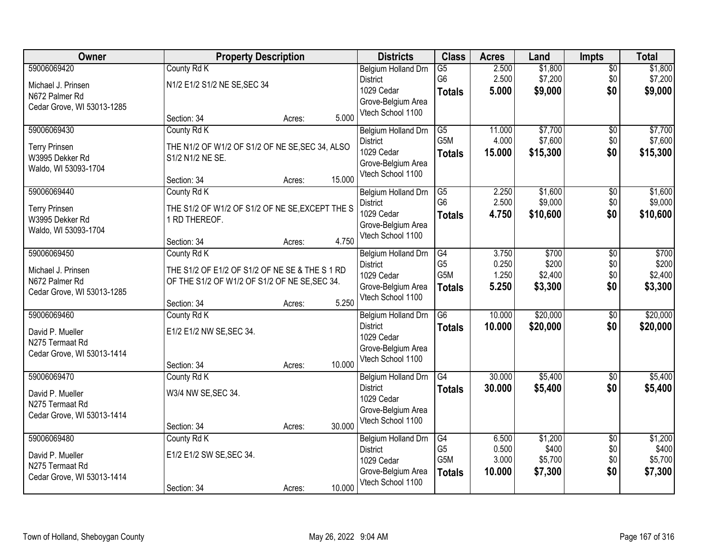| <b>Owner</b>                                                                      | <b>Property Description</b>                                                                                                   |        |        | <b>Districts</b>                                                                                | <b>Class</b>                                              | <b>Acres</b>                      | Land                                   | Impts                                | <b>Total</b>                           |
|-----------------------------------------------------------------------------------|-------------------------------------------------------------------------------------------------------------------------------|--------|--------|-------------------------------------------------------------------------------------------------|-----------------------------------------------------------|-----------------------------------|----------------------------------------|--------------------------------------|----------------------------------------|
| 59006069420<br>Michael J. Prinsen<br>N672 Palmer Rd<br>Cedar Grove, WI 53013-1285 | County Rd K<br>N1/2 E1/2 S1/2 NE SE, SEC 34                                                                                   |        |        | Belgium Holland Drn<br><b>District</b><br>1029 Cedar<br>Grove-Belgium Area<br>Vtech School 1100 | $\overline{G5}$<br>G <sub>6</sub><br><b>Totals</b>        | 2.500<br>2.500<br>5.000           | \$1,800<br>\$7,200<br>\$9,000          | $\overline{50}$<br>\$0<br>\$0        | \$1,800<br>\$7,200<br>\$9,000          |
|                                                                                   | Section: 34                                                                                                                   | Acres: | 5.000  |                                                                                                 |                                                           |                                   |                                        |                                      |                                        |
| 59006069430<br><b>Terry Prinsen</b><br>W3995 Dekker Rd<br>Waldo, WI 53093-1704    | County Rd K<br>THE N1/2 OF W1/2 OF S1/2 OF NE SE, SEC 34, ALSO<br>S1/2 N1/2 NE SE.<br>Section: 34                             | Acres: | 15.000 | Belgium Holland Drn<br><b>District</b><br>1029 Cedar<br>Grove-Belgium Area<br>Vtech School 1100 | G5<br>G <sub>5</sub> M<br><b>Totals</b>                   | 11.000<br>4.000<br>15.000         | \$7,700<br>\$7,600<br>\$15,300         | $\overline{60}$<br>\$0<br>\$0        | \$7,700<br>\$7,600<br>\$15,300         |
| 59006069440<br><b>Terry Prinsen</b><br>W3995 Dekker Rd<br>Waldo, WI 53093-1704    | County Rd K<br>THE S1/2 OF W1/2 OF S1/2 OF NE SE, EXCEPT THE S<br>1 RD THEREOF.<br>Section: 34                                | Acres: | 4.750  | Belgium Holland Drn<br><b>District</b><br>1029 Cedar<br>Grove-Belgium Area<br>Vtech School 1100 | $\overline{G5}$<br>G <sub>6</sub><br><b>Totals</b>        | 2.250<br>2.500<br>4.750           | \$1,600<br>\$9,000<br>\$10,600         | $\overline{50}$<br>\$0<br>\$0        | \$1,600<br>\$9,000<br>\$10,600         |
| 59006069450<br>Michael J. Prinsen<br>N672 Palmer Rd<br>Cedar Grove, WI 53013-1285 | County Rd K<br>THE S1/2 OF E1/2 OF S1/2 OF NE SE & THE S 1 RD<br>OF THE S1/2 OF W1/2 OF S1/2 OF NE SE, SEC 34.<br>Section: 34 | Acres: | 5.250  | Belgium Holland Drn<br><b>District</b><br>1029 Cedar<br>Grove-Belgium Area<br>Vtech School 1100 | G4<br>G <sub>5</sub><br>G <sub>5</sub> M<br><b>Totals</b> | 3.750<br>0.250<br>1.250<br>5.250  | \$700<br>\$200<br>\$2,400<br>\$3,300   | \$0<br>\$0<br>\$0<br>\$0             | \$700<br>\$200<br>\$2,400<br>\$3,300   |
| 59006069460<br>David P. Mueller<br>N275 Termaat Rd<br>Cedar Grove, WI 53013-1414  | County Rd K<br>E1/2 E1/2 NW SE, SEC 34.<br>Section: 34                                                                        | Acres: | 10.000 | Belgium Holland Drn<br><b>District</b><br>1029 Cedar<br>Grove-Belgium Area<br>Vtech School 1100 | $\overline{G6}$<br><b>Totals</b>                          | 10.000<br>10.000                  | \$20,000<br>\$20,000                   | $\overline{50}$<br>\$0               | \$20,000<br>\$20,000                   |
| 59006069470<br>David P. Mueller<br>N275 Termaat Rd<br>Cedar Grove, WI 53013-1414  | County Rd K<br>W3/4 NW SE, SEC 34.<br>Section: 34                                                                             | Acres: | 30.000 | Belgium Holland Drn<br><b>District</b><br>1029 Cedar<br>Grove-Belgium Area<br>Vtech School 1100 | $\overline{G4}$<br><b>Totals</b>                          | 30.000<br>30.000                  | \$5,400<br>\$5,400                     | $\overline{60}$<br>\$0               | \$5,400<br>\$5,400                     |
| 59006069480<br>David P. Mueller<br>N275 Termaat Rd<br>Cedar Grove, WI 53013-1414  | County Rd K<br>E1/2 E1/2 SW SE, SEC 34.<br>Section: 34                                                                        | Acres: | 10.000 | Belgium Holland Drn<br><b>District</b><br>1029 Cedar<br>Grove-Belgium Area<br>Vtech School 1100 | G4<br>G <sub>5</sub><br>G <sub>5</sub> M<br><b>Totals</b> | 6.500<br>0.500<br>3.000<br>10.000 | \$1,200<br>\$400<br>\$5,700<br>\$7,300 | $\overline{50}$<br>\$0<br>\$0<br>\$0 | \$1,200<br>\$400<br>\$5,700<br>\$7,300 |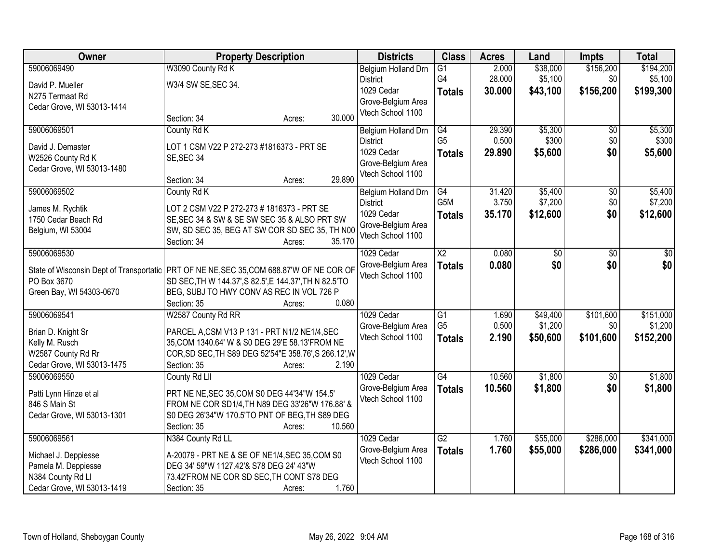| Owner                                                                                                   | <b>Property Description</b>                                                                         |        |        | <b>Districts</b>                        | <b>Class</b>     | <b>Acres</b> | Land     | <b>Impts</b>    | <b>Total</b> |
|---------------------------------------------------------------------------------------------------------|-----------------------------------------------------------------------------------------------------|--------|--------|-----------------------------------------|------------------|--------------|----------|-----------------|--------------|
| 59006069490                                                                                             | W3090 County Rd K                                                                                   |        |        | Belgium Holland Drn                     | $\overline{G1}$  | 2.000        | \$38,000 | \$156,200       | \$194,200    |
| David P. Mueller                                                                                        | W3/4 SW SE, SEC 34.                                                                                 |        |        | <b>District</b>                         | G4               | 28.000       | \$5,100  | \$0             | \$5,100      |
| N275 Termaat Rd                                                                                         |                                                                                                     |        |        | 1029 Cedar                              | <b>Totals</b>    | 30.000       | \$43,100 | \$156,200       | \$199,300    |
| Cedar Grove, WI 53013-1414                                                                              |                                                                                                     |        |        | Grove-Belgium Area                      |                  |              |          |                 |              |
|                                                                                                         | Section: 34                                                                                         | Acres: | 30.000 | Vtech School 1100                       |                  |              |          |                 |              |
| 59006069501                                                                                             | County Rd K                                                                                         |        |        | Belgium Holland Drn                     | G4               | 29.390       | \$5,300  | \$0             | \$5,300      |
| David J. Demaster                                                                                       | LOT 1 CSM V22 P 272-273 #1816373 - PRT SE                                                           |        |        | <b>District</b>                         | G <sub>5</sub>   | 0.500        | \$300    | \$0             | \$300        |
| W2526 County Rd K                                                                                       | SE, SEC 34                                                                                          |        |        | 1029 Cedar                              | <b>Totals</b>    | 29.890       | \$5,600  | \$0             | \$5,600      |
| Cedar Grove, WI 53013-1480                                                                              |                                                                                                     |        |        | Grove-Belgium Area                      |                  |              |          |                 |              |
|                                                                                                         | Section: 34                                                                                         | Acres: | 29.890 | Vtech School 1100                       |                  |              |          |                 |              |
| 59006069502                                                                                             | County Rd K                                                                                         |        |        | Belgium Holland Drn                     | $\overline{G4}$  | 31.420       | \$5,400  | $\overline{50}$ | \$5,400      |
| James M. Rychtik                                                                                        | LOT 2 CSM V22 P 272-273 # 1816373 - PRT SE                                                          |        |        | <b>District</b>                         | G <sub>5</sub> M | 3.750        | \$7,200  | \$0             | \$7,200      |
| 1750 Cedar Beach Rd                                                                                     | SE, SEC 34 & SW & SE SW SEC 35 & ALSO PRT SW                                                        |        |        | 1029 Cedar                              | <b>Totals</b>    | 35.170       | \$12,600 | \$0             | \$12,600     |
| Belgium, WI 53004                                                                                       | SW, SD SEC 35, BEG AT SW COR SD SEC 35, TH N00                                                      |        |        | Grove-Belgium Area                      |                  |              |          |                 |              |
|                                                                                                         | Section: 34                                                                                         | Acres: | 35.170 | Vtech School 1100                       |                  |              |          |                 |              |
| 59006069530                                                                                             |                                                                                                     |        |        | 1029 Cedar                              | $\overline{X2}$  | 0.080        | \$0      | $\overline{50}$ | \$0          |
|                                                                                                         |                                                                                                     |        |        | Grove-Belgium Area                      | <b>Totals</b>    | 0.080        | \$0      | \$0             | \$0          |
| State of Wisconsin Dept of Transportatic PRT OF NE NE, SEC 35, COM 688.87'W OF NE COR OF<br>PO Box 3670 |                                                                                                     |        |        | Vtech School 1100                       |                  |              |          |                 |              |
| Green Bay, WI 54303-0670                                                                                | SD SEC, TH W 144.37', S 82.5', E 144.37', TH N 82.5'TO<br>BEG, SUBJ TO HWY CONV AS REC IN VOL 726 P |        |        |                                         |                  |              |          |                 |              |
|                                                                                                         | Section: 35                                                                                         | Acres: | 0.080  |                                         |                  |              |          |                 |              |
| 59006069541                                                                                             | W2587 County Rd RR                                                                                  |        |        | 1029 Cedar                              | $\overline{G1}$  | 1.690        | \$49,400 | \$101,600       | \$151,000    |
|                                                                                                         |                                                                                                     |        |        | Grove-Belgium Area                      | G <sub>5</sub>   | 0.500        | \$1,200  | \$0             | \$1,200      |
| Brian D. Knight Sr                                                                                      | PARCEL A,CSM V13 P 131 - PRT N1/2 NE1/4,SEC                                                         |        |        | Vtech School 1100                       | <b>Totals</b>    | 2.190        | \$50,600 | \$101,600       | \$152,200    |
| Kelly M. Rusch                                                                                          | 35, COM 1340.64' W & S0 DEG 29'E 58.13'FROM NE                                                      |        |        |                                         |                  |              |          |                 |              |
| W2587 County Rd Rr                                                                                      | COR, SD SEC, TH S89 DEG 52'54"E 358.76', S 266.12', W                                               |        |        |                                         |                  |              |          |                 |              |
| Cedar Grove, WI 53013-1475                                                                              | Section: 35                                                                                         | Acres: | 2.190  |                                         |                  |              |          |                 |              |
| 59006069550                                                                                             | County Rd Lll                                                                                       |        |        | 1029 Cedar                              | $\overline{G4}$  | 10.560       | \$1,800  | $\sqrt{6}$      | \$1,800      |
| Patti Lynn Hinze et al                                                                                  | PRT NE NE, SEC 35, COM S0 DEG 44'34"W 154.5"                                                        |        |        | Grove-Belgium Area<br>Vtech School 1100 | <b>Totals</b>    | 10.560       | \$1,800  | \$0             | \$1,800      |
| 846 S Main St                                                                                           | FROM NE COR SD1/4, TH N89 DEG 33'26"W 176.88' &                                                     |        |        |                                         |                  |              |          |                 |              |
| Cedar Grove, WI 53013-1301                                                                              | S0 DEG 26'34"W 170.5'TO PNT OF BEG, TH S89 DEG                                                      |        |        |                                         |                  |              |          |                 |              |
|                                                                                                         | Section: 35                                                                                         | Acres: | 10.560 |                                         |                  |              |          |                 |              |
| 59006069561                                                                                             | N384 County Rd LL                                                                                   |        |        | 1029 Cedar                              | $\overline{G2}$  | 1.760        | \$55,000 | \$286,000       | \$341,000    |
| Michael J. Deppiesse                                                                                    | A-20079 - PRT NE & SE OF NE1/4, SEC 35, COM S0                                                      |        |        | Grove-Belgium Area                      | <b>Totals</b>    | 1.760        | \$55,000 | \$286,000       | \$341,000    |
| Pamela M. Deppiesse                                                                                     | DEG 34' 59"W 1127.42'& S78 DEG 24' 43"W                                                             |        |        | Vtech School 1100                       |                  |              |          |                 |              |
| N384 County Rd Ll                                                                                       | 73.42'FROM NE COR SD SEC, TH CONT S78 DEG                                                           |        |        |                                         |                  |              |          |                 |              |
| Cedar Grove, WI 53013-1419                                                                              | Section: 35                                                                                         | Acres: | 1.760  |                                         |                  |              |          |                 |              |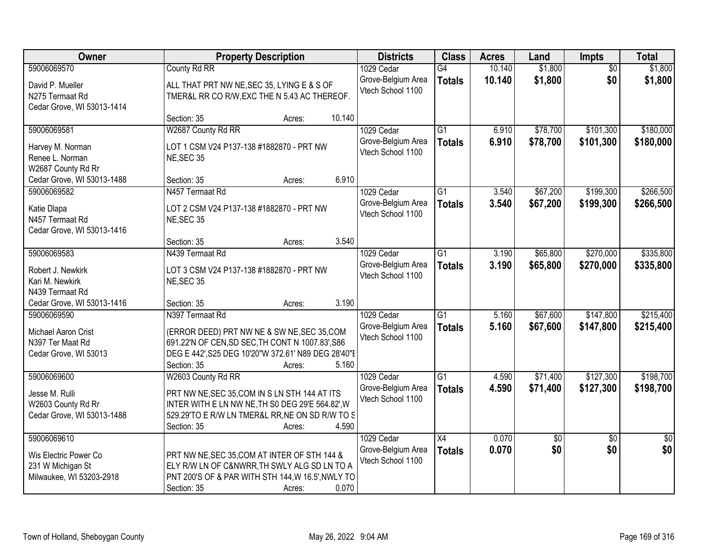| Owner                                                                                 | <b>Property Description</b>                                                                                                                                                                                 | <b>Districts</b>                                      | <b>Class</b>                     | <b>Acres</b>   | Land                 | Impts                  | <b>Total</b>           |
|---------------------------------------------------------------------------------------|-------------------------------------------------------------------------------------------------------------------------------------------------------------------------------------------------------------|-------------------------------------------------------|----------------------------------|----------------|----------------------|------------------------|------------------------|
| 59006069570                                                                           | County Rd RR                                                                                                                                                                                                | 1029 Cedar                                            | G4                               | 10.140         | \$1,800              | $\overline{50}$        | \$1,800                |
| David P. Mueller<br>N275 Termaat Rd<br>Cedar Grove, WI 53013-1414                     | ALL THAT PRT NW NE, SEC 35, LYING E & S OF<br>TMER&L RR CO R/W, EXC THE N 5.43 AC THEREOF.                                                                                                                  | Grove-Belgium Area<br>Vtech School 1100               | <b>Totals</b>                    | 10.140         | \$1,800              | \$0                    | \$1,800                |
|                                                                                       | 10.140<br>Section: 35<br>Acres:                                                                                                                                                                             |                                                       |                                  |                |                      |                        |                        |
| 59006069581                                                                           | W2687 County Rd RR                                                                                                                                                                                          | 1029 Cedar                                            | $\overline{G1}$                  | 6.910          | \$78,700             | \$101,300              | \$180,000              |
| Harvey M. Norman<br>Renee L. Norman<br>W2687 County Rd Rr                             | LOT 1 CSM V24 P137-138 #1882870 - PRT NW<br>NE, SEC 35                                                                                                                                                      | Grove-Belgium Area<br>Vtech School 1100               | <b>Totals</b>                    | 6.910          | \$78,700             | \$101,300              | \$180,000              |
| Cedar Grove, WI 53013-1488                                                            | 6.910<br>Section: 35<br>Acres:                                                                                                                                                                              |                                                       |                                  |                |                      |                        |                        |
| 59006069582                                                                           | N457 Termaat Rd                                                                                                                                                                                             | 1029 Cedar                                            | $\overline{G1}$                  | 3.540          | \$67,200             | \$199,300              | \$266,500              |
| Katie Dlapa<br>N457 Termaat Rd<br>Cedar Grove, WI 53013-1416                          | LOT 2 CSM V24 P137-138 #1882870 - PRT NW<br>NE, SEC 35                                                                                                                                                      | Grove-Belgium Area<br>Vtech School 1100               | <b>Totals</b>                    | 3.540          | \$67,200             | \$199,300              | \$266,500              |
|                                                                                       | 3.540<br>Section: 35<br>Acres:                                                                                                                                                                              |                                                       |                                  |                |                      |                        |                        |
| 59006069583                                                                           | N439 Termaat Rd                                                                                                                                                                                             | 1029 Cedar                                            | $\overline{G1}$                  | 3.190          | \$65,800             | \$270,000              | \$335,800              |
| Robert J. Newkirk<br>Kari M. Newkirk<br>N439 Termaat Rd                               | LOT 3 CSM V24 P137-138 #1882870 - PRT NW<br>NE, SEC 35                                                                                                                                                      | Grove-Belgium Area<br>Vtech School 1100               | <b>Totals</b>                    | 3.190          | \$65,800             | \$270,000              | \$335,800              |
| Cedar Grove, WI 53013-1416                                                            | 3.190<br>Section: 35<br>Acres:                                                                                                                                                                              |                                                       |                                  |                |                      |                        |                        |
| 59006069590<br>Michael Aaron Crist<br>N397 Ter Maat Rd<br>Cedar Grove, WI 53013       | N397 Termaat Rd<br>(ERROR DEED) PRT NW NE & SW NE, SEC 35, COM<br>691.22'N OF CEN, SD SEC, TH CONT N 1007.83', S86<br>DEG E 442', S25 DEG 10'20"W 372.61' N89 DEG 28'40"E<br>Section: 35<br>5.160<br>Acres: | 1029 Cedar<br>Grove-Belgium Area<br>Vtech School 1100 | $\overline{G1}$<br><b>Totals</b> | 5.160<br>5.160 | \$67,600<br>\$67,600 | \$147,800<br>\$147,800 | \$215,400<br>\$215,400 |
| 59006069600                                                                           | W2603 County Rd RR                                                                                                                                                                                          | 1029 Cedar                                            | $\overline{G1}$                  | 4.590          | \$71,400             | \$127,300              | \$198,700              |
| Jesse M. Rulli<br>W2603 County Rd Rr<br>Cedar Grove, WI 53013-1488                    | PRT NW NE, SEC 35, COM IN S LN STH 144 AT ITS<br>INTER WITH E LN NW NE, TH S0 DEG 29'E 564.82', W<br>529.29'TO E R/W LN TMER&L RR, NE ON SD R/W TO S<br>4.590<br>Section: 35<br>Acres:                      | Grove-Belgium Area<br>Vtech School 1100               | <b>Totals</b>                    | 4.590          | \$71,400             | \$127,300              | \$198,700              |
| 59006069610<br>Wis Electric Power Co<br>231 W Michigan St<br>Milwaukee, WI 53203-2918 | PRT NW NE, SEC 35, COM AT INTER OF STH 144 &<br>ELY R/W LN OF C&NWRR, TH SWLY ALG SD LN TO A<br>PNT 200'S OF & PAR WITH STH 144, W 16.5', NWLY TO<br>0.070<br>Section: 35<br>Acres:                         | 1029 Cedar<br>Grove-Belgium Area<br>Vtech School 1100 | $\overline{X4}$<br><b>Totals</b> | 0.070<br>0.070 | $\sqrt{50}$<br>\$0   | $\overline{50}$<br>\$0 | $\overline{50}$<br>\$0 |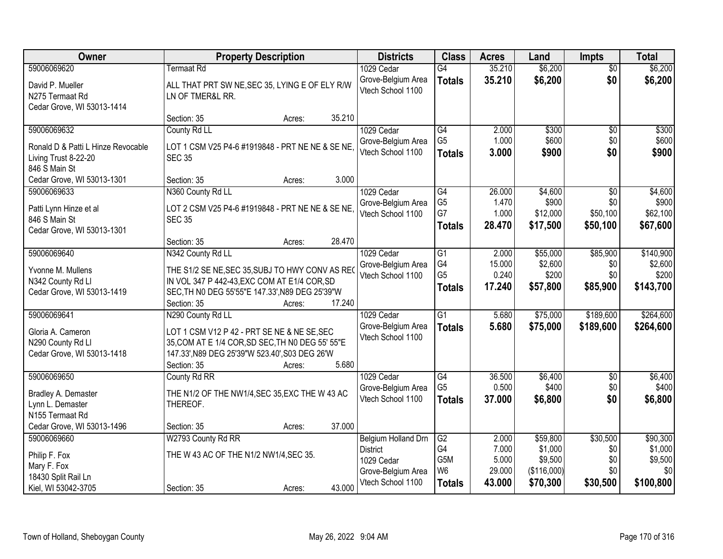| <b>Owner</b>                       | <b>Property Description</b>                      |        | <b>Districts</b>           | <b>Class</b>    | <b>Acres</b> | Land        | <b>Impts</b>    | <b>Total</b> |
|------------------------------------|--------------------------------------------------|--------|----------------------------|-----------------|--------------|-------------|-----------------|--------------|
| 59006069620                        | Termaat Rd                                       |        | 1029 Cedar                 | $\overline{G4}$ | 35.210       | \$6,200     | $\overline{50}$ | \$6,200      |
| David P. Mueller                   | ALL THAT PRT SW NE, SEC 35, LYING E OF ELY R/W   |        | Grove-Belgium Area         | <b>Totals</b>   | 35.210       | \$6,200     | \$0             | \$6,200      |
| N275 Termaat Rd                    | LN OF TMER&L RR.                                 |        | Vtech School 1100          |                 |              |             |                 |              |
| Cedar Grove, WI 53013-1414         |                                                  |        |                            |                 |              |             |                 |              |
|                                    | Section: 35<br>Acres:                            | 35.210 |                            |                 |              |             |                 |              |
| 59006069632                        | County Rd LL                                     |        | 1029 Cedar                 | G4              | 2.000        | \$300       | \$0             | \$300        |
| Ronald D & Patti L Hinze Revocable | LOT 1 CSM V25 P4-6 #1919848 - PRT NE NE & SE NE  |        | Grove-Belgium Area         | G <sub>5</sub>  | 1.000        | \$600       | \$0             | \$600        |
| Living Trust 8-22-20               | <b>SEC 35</b>                                    |        | Vtech School 1100          | <b>Totals</b>   | 3.000        | \$900       | \$0             | \$900        |
| 846 S Main St                      |                                                  |        |                            |                 |              |             |                 |              |
| Cedar Grove, WI 53013-1301         | Section: 35<br>Acres:                            | 3.000  |                            |                 |              |             |                 |              |
| 59006069633                        | N360 County Rd LL                                |        | 1029 Cedar                 | $\overline{G4}$ | 26.000       | \$4,600     | \$0             | \$4,600      |
| Patti Lynn Hinze et al             | LOT 2 CSM V25 P4-6 #1919848 - PRT NE NE & SE NE  |        | Grove-Belgium Area         | G <sub>5</sub>  | 1.470        | \$900       | \$0             | \$900        |
| 846 S Main St                      | <b>SEC 35</b>                                    |        | Vtech School 1100          | G7              | 1.000        | \$12,000    | \$50,100        | \$62,100     |
| Cedar Grove, WI 53013-1301         |                                                  |        |                            | <b>Totals</b>   | 28.470       | \$17,500    | \$50,100        | \$67,600     |
|                                    | Section: 35<br>Acres:                            | 28.470 |                            |                 |              |             |                 |              |
| 59006069640                        | N342 County Rd LL                                |        | 1029 Cedar                 | G1              | 2.000        | \$55,000    | \$85,900        | \$140,900    |
| Yvonne M. Mullens                  | THE S1/2 SE NE, SEC 35, SUBJ TO HWY CONV AS REC  |        | Grove-Belgium Area         | G4              | 15.000       | \$2,600     | \$0             | \$2,600      |
| N342 County Rd Ll                  | IN VOL 347 P 442-43, EXC COM AT E1/4 COR, SD     |        | Vtech School 1100          | G <sub>5</sub>  | 0.240        | \$200       | \$0             | \$200        |
| Cedar Grove, WI 53013-1419         | SEC, TH NO DEG 55'55"E 147.33', N89 DEG 25'39"W  |        |                            | <b>Totals</b>   | 17.240       | \$57,800    | \$85,900        | \$143,700    |
|                                    | Section: 35<br>Acres:                            | 17.240 |                            |                 |              |             |                 |              |
| 59006069641                        | N290 County Rd LL                                |        | 1029 Cedar                 | $\overline{G1}$ | 5.680        | \$75,000    | \$189,600       | \$264,600    |
| Gloria A. Cameron                  | LOT 1 CSM V12 P 42 - PRT SE NE & NE SE, SEC      |        | Grove-Belgium Area         | <b>Totals</b>   | 5.680        | \$75,000    | \$189,600       | \$264,600    |
| N290 County Rd Ll                  | 35, COM AT E 1/4 COR, SD SEC, TH N0 DEG 55' 55"E |        | Vtech School 1100          |                 |              |             |                 |              |
| Cedar Grove, WI 53013-1418         | 147.33', N89 DEG 25'39"W 523.40', S03 DEG 26'W   |        |                            |                 |              |             |                 |              |
|                                    | Section: 35<br>Acres:                            | 5.680  |                            |                 |              |             |                 |              |
| 59006069650                        | County Rd RR                                     |        | 1029 Cedar                 | G4              | 36.500       | \$6,400     | $\sqrt{6}$      | \$6,400      |
| Bradley A. Demaster                | THE N1/2 OF THE NW1/4, SEC 35, EXC THE W 43 AC   |        | Grove-Belgium Area         | G <sub>5</sub>  | 0.500        | \$400       | \$0             | \$400        |
| Lynn L. Demaster                   | THEREOF.                                         |        | Vtech School 1100          | <b>Totals</b>   | 37.000       | \$6,800     | \$0             | \$6,800      |
| N155 Termaat Rd                    |                                                  |        |                            |                 |              |             |                 |              |
| Cedar Grove, WI 53013-1496         | Section: 35<br>Acres:                            | 37.000 |                            |                 |              |             |                 |              |
| 59006069660                        | W2793 County Rd RR                               |        | <b>Belgium Holland Drn</b> | $\overline{G2}$ | 2.000        | \$59,800    | \$30,500        | \$90,300     |
| Philip F. Fox                      | THE W 43 AC OF THE N1/2 NW1/4, SEC 35.           |        | <b>District</b>            | G4              | 7.000        | \$1,000     | \$0             | \$1,000      |
| Mary F. Fox                        |                                                  |        | 1029 Cedar                 | G5M             | 5.000        | \$9,500     | \$0             | \$9,500      |
| 18430 Split Rail Ln                |                                                  |        | Grove-Belgium Area         | W <sub>6</sub>  | 29.000       | (\$116,000) | \$0             | \$0          |
| Kiel, WI 53042-3705                | Section: 35<br>Acres:                            | 43.000 | Vtech School 1100          | <b>Totals</b>   | 43.000       | \$70,300    | \$30,500        | \$100,800    |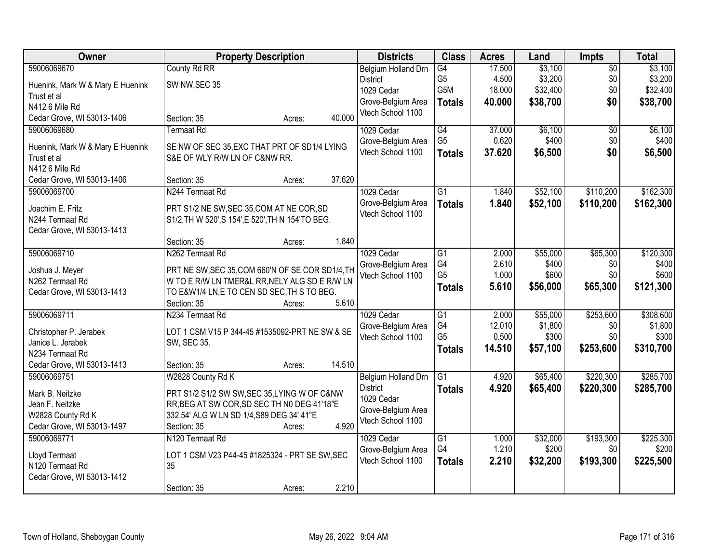| Owner                            | <b>Property Description</b>                       |        |        | <b>Districts</b>                        | <b>Class</b>    | <b>Acres</b> | Land     | <b>Impts</b>    | <b>Total</b> |
|----------------------------------|---------------------------------------------------|--------|--------|-----------------------------------------|-----------------|--------------|----------|-----------------|--------------|
| 59006069670                      | County Rd RR                                      |        |        | Belgium Holland Drn                     | G4              | 17.500       | \$3,100  | $\overline{50}$ | \$3,100      |
| Huenink, Mark W & Mary E Huenink | SW NW, SEC 35                                     |        |        | <b>District</b>                         | G5              | 4.500        | \$3,200  | \$0             | \$3,200      |
| Trust et al                      |                                                   |        |        | 1029 Cedar                              | G5M             | 18.000       | \$32,400 | \$0             | \$32,400     |
| N412 6 Mile Rd                   |                                                   |        |        | Grove-Belgium Area                      | <b>Totals</b>   | 40.000       | \$38,700 | \$0             | \$38,700     |
| Cedar Grove, WI 53013-1406       | Section: 35                                       | Acres: | 40.000 | Vtech School 1100                       |                 |              |          |                 |              |
| 59006069680                      | <b>Termaat Rd</b>                                 |        |        | 1029 Cedar                              | G4              | 37,000       | \$6,100  | $\overline{50}$ | \$6,100      |
| Huenink, Mark W & Mary E Huenink | SE NW OF SEC 35, EXC THAT PRT OF SD1/4 LYING      |        |        | Grove-Belgium Area                      | G <sub>5</sub>  | 0.620        | \$400    | \$0             | \$400        |
| Trust et al                      | S&E OF WLY R/W LN OF C&NW RR.                     |        |        | Vtech School 1100                       | <b>Totals</b>   | 37.620       | \$6,500  | \$0             | \$6,500      |
| N412 6 Mile Rd                   |                                                   |        |        |                                         |                 |              |          |                 |              |
| Cedar Grove, WI 53013-1406       | Section: 35                                       | Acres: | 37.620 |                                         |                 |              |          |                 |              |
| 59006069700                      | N244 Termaat Rd                                   |        |        | 1029 Cedar                              | $\overline{G1}$ | 1.840        | \$52,100 | \$110,200       | \$162,300    |
|                                  |                                                   |        |        | Grove-Belgium Area                      | <b>Totals</b>   | 1.840        | \$52,100 | \$110,200       | \$162,300    |
| Joachim E. Fritz                 | PRT S1/2 NE SW, SEC 35, COM AT NE COR, SD         |        |        | Vtech School 1100                       |                 |              |          |                 |              |
| N244 Termaat Rd                  | S1/2, TH W 520', S 154', E 520', TH N 154'TO BEG. |        |        |                                         |                 |              |          |                 |              |
| Cedar Grove, WI 53013-1413       |                                                   |        |        |                                         |                 |              |          |                 |              |
|                                  | Section: 35                                       | Acres: | 1.840  |                                         |                 |              |          |                 |              |
| 59006069710                      | N262 Termaat Rd                                   |        |        | 1029 Cedar                              | G1              | 2.000        | \$55,000 | \$65,300        | \$120,300    |
| Joshua J. Meyer                  | PRT NE SW, SEC 35, COM 660'N OF SE COR SD1/4, TH  |        |        | Grove-Belgium Area                      | G4              | 2.610        | \$400    | \$0             | \$400        |
| N262 Termaat Rd                  | W TO E R/W LN TMER&L RR, NELY ALG SD E R/W LN     |        |        | Vtech School 1100                       | G <sub>5</sub>  | 1.000        | \$600    | \$0             | \$600        |
| Cedar Grove, WI 53013-1413       | TO E&W1/4 LN, E TO CEN SD SEC, TH S TO BEG.       |        |        |                                         | <b>Totals</b>   | 5.610        | \$56,000 | \$65,300        | \$121,300    |
|                                  | Section: 35                                       | Acres: | 5.610  |                                         |                 |              |          |                 |              |
| 59006069711                      | N234 Termaat Rd                                   |        |        | 1029 Cedar                              | $\overline{G1}$ | 2.000        | \$55,000 | \$253,600       | \$308,600    |
| Christopher P. Jerabek           | LOT 1 CSM V15 P 344-45 #1535092-PRT NE SW & SE    |        |        | Grove-Belgium Area                      | G4              | 12.010       | \$1,800  | \$0             | \$1,800      |
| Janice L. Jerabek                | SW, SEC 35.                                       |        |        | Vtech School 1100                       | G <sub>5</sub>  | 0.500        | \$300    | \$0             | \$300        |
| N234 Termaat Rd                  |                                                   |        |        |                                         | <b>Totals</b>   | 14.510       | \$57,100 | \$253,600       | \$310,700    |
| Cedar Grove, WI 53013-1413       | Section: 35                                       | Acres: | 14.510 |                                         |                 |              |          |                 |              |
| 59006069751                      | W2828 County Rd K                                 |        |        | Belgium Holland Drn                     | G1              | 4.920        | \$65,400 | \$220,300       | \$285,700    |
|                                  |                                                   |        |        | <b>District</b>                         | <b>Totals</b>   | 4.920        | \$65,400 | \$220,300       | \$285,700    |
| Mark B. Neitzke                  | PRT S1/2 S1/2 SW SW, SEC 35, LYING W OF C&NW      |        |        | 1029 Cedar                              |                 |              |          |                 |              |
| Jean F. Neitzke                  | RR, BEG AT SW COR, SD SEC TH NO DEG 41'18"E       |        |        | Grove-Belgium Area                      |                 |              |          |                 |              |
| W2828 County Rd K                | 332.54' ALG W LN SD 1/4, S89 DEG 34' 41"E         |        |        | Vtech School 1100                       |                 |              |          |                 |              |
| Cedar Grove, WI 53013-1497       | Section: 35                                       | Acres: | 4.920  |                                         |                 |              |          |                 |              |
| 59006069771                      | N120 Termaat Rd                                   |        |        | 1029 Cedar                              | $\overline{G1}$ | 1.000        | \$32,000 | \$193,300       | \$225,300    |
| Lloyd Termaat                    | LOT 1 CSM V23 P44-45 #1825324 - PRT SE SW, SEC    |        |        | Grove-Belgium Area<br>Vtech School 1100 | G4              | 1.210        | \$200    | \$0             | \$200        |
| N120 Termaat Rd                  | 35                                                |        |        |                                         | <b>Totals</b>   | 2.210        | \$32,200 | \$193,300       | \$225,500    |
| Cedar Grove, WI 53013-1412       |                                                   |        |        |                                         |                 |              |          |                 |              |
|                                  | Section: 35                                       | Acres: | 2.210  |                                         |                 |              |          |                 |              |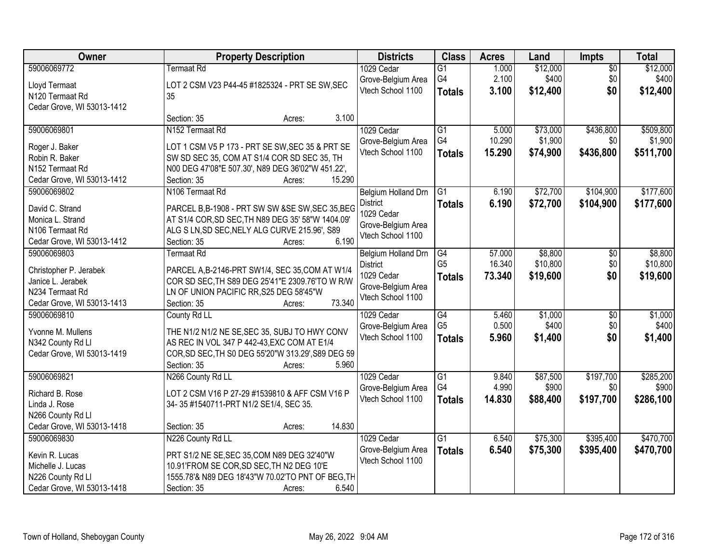| Owner                                           | <b>Property Description</b>                                                                       | <b>Districts</b>    | <b>Class</b>    | <b>Acres</b> | Land     | <b>Impts</b>    | <b>Total</b> |
|-------------------------------------------------|---------------------------------------------------------------------------------------------------|---------------------|-----------------|--------------|----------|-----------------|--------------|
| 59006069772                                     | Termaat Rd                                                                                        | 1029 Cedar          | $\overline{G1}$ | 1.000        | \$12,000 | $\overline{50}$ | \$12,000     |
| Lloyd Termaat                                   | LOT 2 CSM V23 P44-45 #1825324 - PRT SE SW, SEC                                                    | Grove-Belgium Area  | G4              | 2.100        | \$400    | \$0             | \$400        |
| N120 Termaat Rd                                 | 35                                                                                                | Vtech School 1100   | <b>Totals</b>   | 3.100        | \$12,400 | \$0             | \$12,400     |
| Cedar Grove, WI 53013-1412                      |                                                                                                   |                     |                 |              |          |                 |              |
|                                                 | 3.100<br>Section: 35<br>Acres:                                                                    |                     |                 |              |          |                 |              |
| 59006069801                                     | N <sub>152</sub> Termaat Rd                                                                       | 1029 Cedar          | $\overline{G1}$ | 5.000        | \$73,000 | \$436,800       | \$509,800    |
| Roger J. Baker                                  | LOT 1 CSM V5 P 173 - PRT SE SW, SEC 35 & PRT SE                                                   | Grove-Belgium Area  | G4              | 10.290       | \$1,900  | \$0             | \$1,900      |
| Robin R. Baker                                  | SW SD SEC 35, COM AT S1/4 COR SD SEC 35, TH                                                       | Vtech School 1100   | <b>Totals</b>   | 15.290       | \$74,900 | \$436,800       | \$511,700    |
| N152 Termaat Rd                                 | N00 DEG 47'08"E 507.30', N89 DEG 36'02"W 451.22',                                                 |                     |                 |              |          |                 |              |
| Cedar Grove, WI 53013-1412                      | 15.290<br>Section: 35<br>Acres:                                                                   |                     |                 |              |          |                 |              |
| 59006069802                                     | N106 Termaat Rd                                                                                   | Belgium Holland Drn | G1              | 6.190        | \$72,700 | \$104,900       | \$177,600    |
| David C. Strand                                 | PARCEL B,B-1908 - PRT SW SW &SE SW, SEC 35, BEG                                                   | <b>District</b>     | <b>Totals</b>   | 6.190        | \$72,700 | \$104,900       | \$177,600    |
| Monica L. Strand                                | AT S1/4 COR, SD SEC, TH N89 DEG 35' 58"W 1404.09'                                                 | 1029 Cedar          |                 |              |          |                 |              |
| N106 Termaat Rd                                 | ALG S LN, SD SEC, NELY ALG CURVE 215.96', S89                                                     | Grove-Belgium Area  |                 |              |          |                 |              |
| Cedar Grove, WI 53013-1412                      | 6.190<br>Section: 35<br>Acres:                                                                    | Vtech School 1100   |                 |              |          |                 |              |
| 59006069803                                     | Termaat Rd                                                                                        | Belgium Holland Drn | G4              | 57.000       | \$8,800  | \$0             | \$8,800      |
|                                                 |                                                                                                   | <b>District</b>     | G <sub>5</sub>  | 16.340       | \$10,800 | \$0             | \$10,800     |
| Christopher P. Jerabek<br>Janice L. Jerabek     | PARCEL A,B-2146-PRT SW1/4, SEC 35,COM AT W1/4<br>COR SD SEC, TH S89 DEG 25'41"E 2309.76'TO W R/W  | 1029 Cedar          | <b>Totals</b>   | 73.340       | \$19,600 | \$0             | \$19,600     |
| N234 Termaat Rd                                 | LN OF UNION PACIFIC RR, S25 DEG 58'45"W                                                           | Grove-Belgium Area  |                 |              |          |                 |              |
| Cedar Grove, WI 53013-1413                      | 73.340<br>Section: 35<br>Acres:                                                                   | Vtech School 1100   |                 |              |          |                 |              |
| 59006069810                                     | County Rd LL                                                                                      | 1029 Cedar          | $\overline{G4}$ | 5.460        | \$1,000  | $\overline{50}$ | \$1,000      |
|                                                 |                                                                                                   | Grove-Belgium Area  | G <sub>5</sub>  | 0.500        | \$400    | \$0             | \$400        |
| Yvonne M. Mullens                               | THE N1/2 N1/2 NE SE, SEC 35, SUBJ TO HWY CONV                                                     | Vtech School 1100   | <b>Totals</b>   | 5.960        | \$1,400  | \$0             | \$1,400      |
| N342 County Rd Ll<br>Cedar Grove, WI 53013-1419 | AS REC IN VOL 347 P 442-43, EXC COM AT E1/4<br>COR, SD SEC, TH S0 DEG 55'20"W 313.29', S89 DEG 59 |                     |                 |              |          |                 |              |
|                                                 | Section: 35<br>5.960<br>Acres:                                                                    |                     |                 |              |          |                 |              |
| 59006069821                                     | N266 County Rd LL                                                                                 | 1029 Cedar          | $\overline{G1}$ | 9.840        | \$87,500 | \$197,700       | \$285,200    |
|                                                 |                                                                                                   | Grove-Belgium Area  | G4              | 4.990        | \$900    | \$0             | \$900        |
| Richard B. Rose                                 | LOT 2 CSM V16 P 27-29 #1539810 & AFF CSM V16 P                                                    | Vtech School 1100   | <b>Totals</b>   | 14.830       | \$88,400 | \$197,700       | \$286,100    |
| Linda J. Rose                                   | 34-35 #1540711-PRT N1/2 SE1/4, SEC 35.                                                            |                     |                 |              |          |                 |              |
| N266 County Rd Ll<br>Cedar Grove, WI 53013-1418 | 14.830<br>Section: 35<br>Acres:                                                                   |                     |                 |              |          |                 |              |
| 59006069830                                     | N226 County Rd LL                                                                                 | 1029 Cedar          | $\overline{G1}$ | 6.540        | \$75,300 | \$395,400       | \$470,700    |
|                                                 |                                                                                                   | Grove-Belgium Area  | <b>Totals</b>   | 6.540        | \$75,300 | \$395,400       | \$470,700    |
| Kevin R. Lucas                                  | PRT S1/2 NE SE, SEC 35, COM N89 DEG 32'40"W                                                       | Vtech School 1100   |                 |              |          |                 |              |
| Michelle J. Lucas                               | 10.91'FROM SE COR, SD SEC, TH N2 DEG 10'E                                                         |                     |                 |              |          |                 |              |
| N226 County Rd Ll                               | 1555.78'& N89 DEG 18'43"W 70.02'TO PNT OF BEG, TH                                                 |                     |                 |              |          |                 |              |
| Cedar Grove, WI 53013-1418                      | 6.540<br>Section: 35<br>Acres:                                                                    |                     |                 |              |          |                 |              |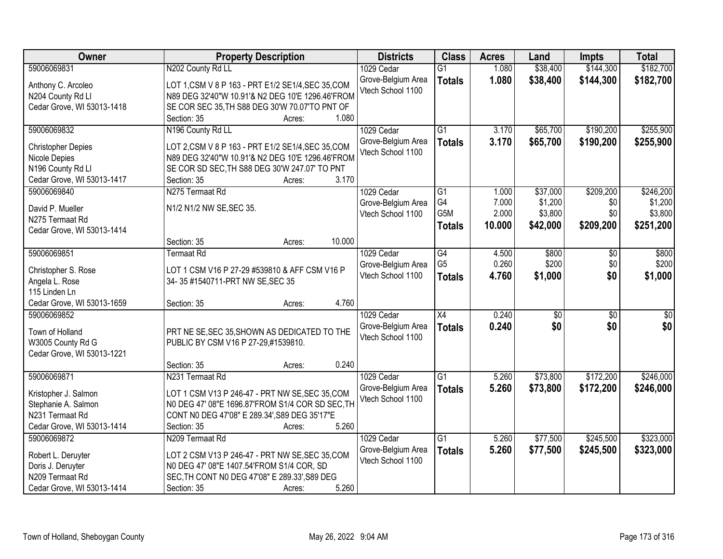| Owner                      | <b>Property Description</b>                        | <b>Districts</b>   | <b>Class</b>     | <b>Acres</b> | Land            | <b>Impts</b>    | <b>Total</b>     |
|----------------------------|----------------------------------------------------|--------------------|------------------|--------------|-----------------|-----------------|------------------|
| 59006069831                | N202 County Rd LL                                  | 1029 Cedar         | $\overline{G1}$  | 1.080        | \$38,400        | \$144,300       | \$182,700        |
| Anthony C. Arcoleo         | LOT 1, CSM V 8 P 163 - PRT E1/2 SE1/4, SEC 35, COM | Grove-Belgium Area | <b>Totals</b>    | 1.080        | \$38,400        | \$144,300       | \$182,700        |
| N204 County Rd Ll          | N89 DEG 32'40"W 10.91'& N2 DEG 10'E 1296.46'FROM   | Vtech School 1100  |                  |              |                 |                 |                  |
| Cedar Grove, WI 53013-1418 | SE COR SEC 35, TH S88 DEG 30'W 70.07'TO PNT OF     |                    |                  |              |                 |                 |                  |
|                            | 1.080<br>Section: 35<br>Acres:                     |                    |                  |              |                 |                 |                  |
| 59006069832                | N196 County Rd LL                                  | 1029 Cedar         | $\overline{G1}$  | 3.170        | \$65,700        | \$190,200       | \$255,900        |
|                            |                                                    | Grove-Belgium Area | <b>Totals</b>    | 3.170        | \$65,700        | \$190,200       | \$255,900        |
| <b>Christopher Depies</b>  | LOT 2, CSM V 8 P 163 - PRT E1/2 SE1/4, SEC 35, COM | Vtech School 1100  |                  |              |                 |                 |                  |
| Nicole Depies              | N89 DEG 32'40"W 10.91'& N2 DEG 10'E 1296.46'FROM   |                    |                  |              |                 |                 |                  |
| N196 County Rd Ll          | SE COR SD SEC, TH S88 DEG 30'W 247.07' TO PNT      |                    |                  |              |                 |                 |                  |
| Cedar Grove, WI 53013-1417 | 3.170<br>Section: 35<br>Acres:                     |                    |                  |              |                 |                 |                  |
| 59006069840                | N275 Termaat Rd                                    | 1029 Cedar         | $\overline{G1}$  | 1.000        | \$37,000        | \$209,200       | \$246,200        |
| David P. Mueller           | N1/2 N1/2 NW SE, SEC 35.                           | Grove-Belgium Area | G4               | 7.000        | \$1,200         | \$0             | \$1,200          |
| N275 Termaat Rd            |                                                    | Vtech School 1100  | G <sub>5</sub> M | 2.000        | \$3,800         | \$0             | \$3,800          |
| Cedar Grove, WI 53013-1414 |                                                    |                    | <b>Totals</b>    | 10.000       | \$42,000        | \$209,200       | \$251,200        |
|                            | 10.000<br>Section: 35<br>Acres:                    |                    |                  |              |                 |                 |                  |
| 59006069851                | <b>Termaat Rd</b>                                  | 1029 Cedar         | G4               | 4.500        | \$800           | \$0             | \$800            |
|                            |                                                    | Grove-Belgium Area | G <sub>5</sub>   | 0.260        | \$200           | \$0             | \$200            |
| Christopher S. Rose        | LOT 1 CSM V16 P 27-29 #539810 & AFF CSM V16 P      | Vtech School 1100  | <b>Totals</b>    | 4.760        | \$1,000         | \$0             | \$1,000          |
| Angela L. Rose             | 34-35 #1540711-PRT NW SE, SEC 35                   |                    |                  |              |                 |                 |                  |
| 115 Linden Ln              |                                                    |                    |                  |              |                 |                 |                  |
| Cedar Grove, WI 53013-1659 | 4.760<br>Section: 35<br>Acres:                     |                    |                  |              |                 |                 |                  |
| 59006069852                |                                                    | 1029 Cedar         | $\overline{X4}$  | 0.240        | $\overline{30}$ | $\overline{30}$ | $\overline{\$0}$ |
| Town of Holland            | PRT NE SE, SEC 35, SHOWN AS DEDICATED TO THE       | Grove-Belgium Area | <b>Totals</b>    | 0.240        | \$0             | \$0             | \$0              |
| W3005 County Rd G          | PUBLIC BY CSM V16 P 27-29,#1539810.                | Vtech School 1100  |                  |              |                 |                 |                  |
| Cedar Grove, WI 53013-1221 |                                                    |                    |                  |              |                 |                 |                  |
|                            | 0.240<br>Section: 35<br>Acres:                     |                    |                  |              |                 |                 |                  |
| 59006069871                | N231 Termaat Rd                                    | 1029 Cedar         | $\overline{G1}$  | 5.260        | \$73,800        | \$172,200       | \$246,000        |
|                            |                                                    | Grove-Belgium Area | <b>Totals</b>    | 5.260        | \$73,800        | \$172,200       | \$246,000        |
| Kristopher J. Salmon       | LOT 1 CSM V13 P 246-47 - PRT NW SE, SEC 35, COM    | Vtech School 1100  |                  |              |                 |                 |                  |
| Stephanie A. Salmon        | N0 DEG 47' 08"E 1696.87'FROM S1/4 COR SD SEC, TH   |                    |                  |              |                 |                 |                  |
| N231 Termaat Rd            | CONT N0 DEG 47'08" E 289.34', S89 DEG 35'17"E      |                    |                  |              |                 |                 |                  |
| Cedar Grove, WI 53013-1414 | 5.260<br>Section: 35<br>Acres:                     |                    |                  |              |                 |                 |                  |
| 59006069872                | N209 Termaat Rd                                    | 1029 Cedar         | $\overline{G1}$  | 5.260        | \$77,500        | \$245,500       | \$323,000        |
| Robert L. Deruyter         | LOT 2 CSM V13 P 246-47 - PRT NW SE, SEC 35, COM    | Grove-Belgium Area | <b>Totals</b>    | 5.260        | \$77,500        | \$245,500       | \$323,000        |
| Doris J. Deruyter          | NO DEG 47' 08"E 1407.54'FROM S1/4 COR, SD          | Vtech School 1100  |                  |              |                 |                 |                  |
| N209 Termaat Rd            | SEC, TH CONT N0 DEG 47'08" E 289.33', S89 DEG      |                    |                  |              |                 |                 |                  |
|                            | 5.260                                              |                    |                  |              |                 |                 |                  |
| Cedar Grove, WI 53013-1414 | Section: 35<br>Acres:                              |                    |                  |              |                 |                 |                  |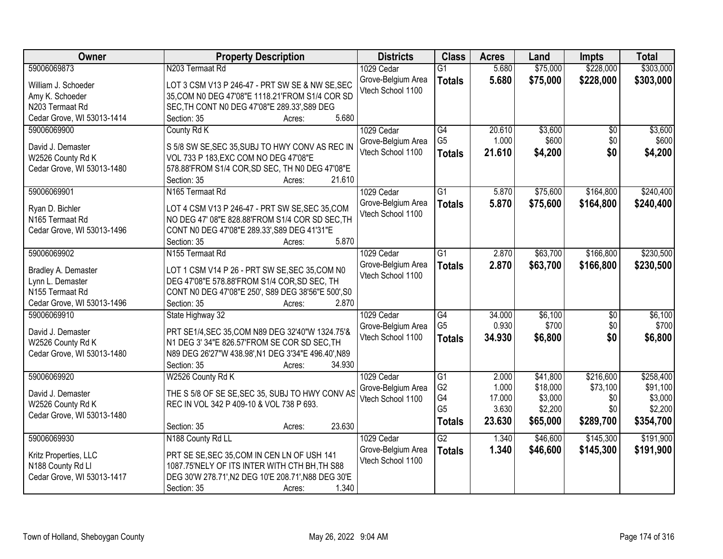| <b>Owner</b>               | <b>Property Description</b>                               | <b>Districts</b>                        | <b>Class</b>         | <b>Acres</b>   | Land                | Impts           | <b>Total</b>        |
|----------------------------|-----------------------------------------------------------|-----------------------------------------|----------------------|----------------|---------------------|-----------------|---------------------|
| 59006069873                | N203 Termaat Rd                                           | 1029 Cedar                              | $\overline{G1}$      | 5.680          | \$75,000            | \$228,000       | \$303,000           |
| William J. Schoeder        | LOT 3 CSM V13 P 246-47 - PRT SW SE & NW SE, SEC           | Grove-Belgium Area                      | <b>Totals</b>        | 5.680          | \$75,000            | \$228,000       | \$303,000           |
| Amy K. Schoeder            | 35, COM N0 DEG 47'08"E 1118.21'FROM S1/4 COR SD           | Vtech School 1100                       |                      |                |                     |                 |                     |
| N203 Termaat Rd            | SEC, TH CONT N0 DEG 47'08"E 289.33', S89 DEG              |                                         |                      |                |                     |                 |                     |
| Cedar Grove, WI 53013-1414 | 5.680<br>Section: 35<br>Acres:                            |                                         |                      |                |                     |                 |                     |
| 59006069900                | County Rd K                                               | 1029 Cedar                              | G4                   | 20.610         | \$3,600             | \$0             | \$3,600             |
|                            |                                                           | Grove-Belgium Area                      | G <sub>5</sub>       | 1.000          | \$600               | \$0             | \$600               |
| David J. Demaster          | S 5/8 SW SE, SEC 35, SUBJ TO HWY CONV AS REC IN           | Vtech School 1100                       | <b>Totals</b>        | 21.610         | \$4,200             | \$0             | \$4,200             |
| W2526 County Rd K          | VOL 733 P 183, EXC COM NO DEG 47'08"E                     |                                         |                      |                |                     |                 |                     |
| Cedar Grove, WI 53013-1480 | 578.88'FROM S1/4 COR, SD SEC, TH N0 DEG 47'08"E<br>21.610 |                                         |                      |                |                     |                 |                     |
| 59006069901                | Section: 35<br>Acres:<br>N165 Termaat Rd                  |                                         | $\overline{G1}$      | 5.870          |                     |                 | \$240,400           |
|                            |                                                           | 1029 Cedar                              |                      |                | \$75,600            | \$164,800       |                     |
| Ryan D. Bichler            | LOT 4 CSM V13 P 246-47 - PRT SW SE, SEC 35, COM           | Grove-Belgium Area<br>Vtech School 1100 | <b>Totals</b>        | 5.870          | \$75,600            | \$164,800       | \$240,400           |
| N165 Termaat Rd            | NO DEG 47' 08"E 828.88'FROM S1/4 COR SD SEC, TH           |                                         |                      |                |                     |                 |                     |
| Cedar Grove, WI 53013-1496 | CONT N0 DEG 47'08"E 289.33', S89 DEG 41'31"E              |                                         |                      |                |                     |                 |                     |
|                            | 5.870<br>Section: 35<br>Acres:                            |                                         |                      |                |                     |                 |                     |
| 59006069902                | N <sub>155</sub> Termaat Rd                               | 1029 Cedar                              | G1                   | 2.870          | \$63,700            | \$166,800       | \$230,500           |
| Bradley A. Demaster        | LOT 1 CSM V14 P 26 - PRT SW SE, SEC 35, COM N0            | Grove-Belgium Area                      | <b>Totals</b>        | 2.870          | \$63,700            | \$166,800       | \$230,500           |
| Lynn L. Demaster           | DEG 47'08"E 578.88'FROM S1/4 COR, SD SEC, TH              | Vtech School 1100                       |                      |                |                     |                 |                     |
| N155 Termaat Rd            | CONT N0 DEG 47'08"E 250', S89 DEG 38'56"E 500', S0        |                                         |                      |                |                     |                 |                     |
| Cedar Grove, WI 53013-1496 | Section: 35<br>2.870<br>Acres:                            |                                         |                      |                |                     |                 |                     |
| 59006069910                | State Highway 32                                          | 1029 Cedar                              | $\overline{G4}$      | 34.000         | \$6,100             | $\overline{50}$ | \$6,100             |
|                            |                                                           | Grove-Belgium Area                      | G <sub>5</sub>       | 0.930          | \$700               | \$0             | \$700               |
| David J. Demaster          | PRT SE1/4, SEC 35, COM N89 DEG 32'40"W 1324.75'&          | Vtech School 1100                       | <b>Totals</b>        | 34.930         | \$6,800             | \$0             | \$6,800             |
| W2526 County Rd K          | N1 DEG 3' 34"E 826.57'FROM SE COR SD SEC, TH              |                                         |                      |                |                     |                 |                     |
| Cedar Grove, WI 53013-1480 | N89 DEG 26'27"W 438.98', N1 DEG 3'34"E 496.40', N89       |                                         |                      |                |                     |                 |                     |
|                            | Section: 35<br>34.930<br>Acres:                           |                                         |                      |                |                     |                 |                     |
| 59006069920                | W2526 County Rd K                                         | 1029 Cedar                              | G1<br>G <sub>2</sub> | 2.000<br>1.000 | \$41,800            | \$216,600       | \$258,400           |
| David J. Demaster          | THE S 5/8 OF SE SE, SEC 35, SUBJ TO HWY CONV AS           | Grove-Belgium Area                      | G4                   | 17.000         | \$18,000<br>\$3,000 | \$73,100<br>\$0 | \$91,100<br>\$3,000 |
| W2526 County Rd K          | REC IN VOL 342 P 409-10 & VOL 738 P 693.                  | Vtech School 1100                       | G <sub>5</sub>       | 3.630          | \$2,200             | \$0             | \$2,200             |
| Cedar Grove, WI 53013-1480 |                                                           |                                         | <b>Totals</b>        | 23.630         | \$65,000            | \$289,700       | \$354,700           |
|                            | 23.630<br>Section: 35<br>Acres:                           |                                         |                      |                |                     |                 |                     |
| 59006069930                | N188 County Rd LL                                         | 1029 Cedar                              | G2                   | 1.340          | \$46,600            | \$145,300       | \$191,900           |
| Kritz Properties, LLC      | PRT SE SE, SEC 35, COM IN CEN LN OF USH 141               | Grove-Belgium Area                      | <b>Totals</b>        | 1.340          | \$46,600            | \$145,300       | \$191,900           |
| N188 County Rd Ll          | 1087.75'NELY OF ITS INTER WITH CTH BH, TH S88             | Vtech School 1100                       |                      |                |                     |                 |                     |
| Cedar Grove, WI 53013-1417 | DEG 30'W 278.71', N2 DEG 10'E 208.71', N88 DEG 30'E       |                                         |                      |                |                     |                 |                     |
|                            | 1.340<br>Section: 35<br>Acres:                            |                                         |                      |                |                     |                 |                     |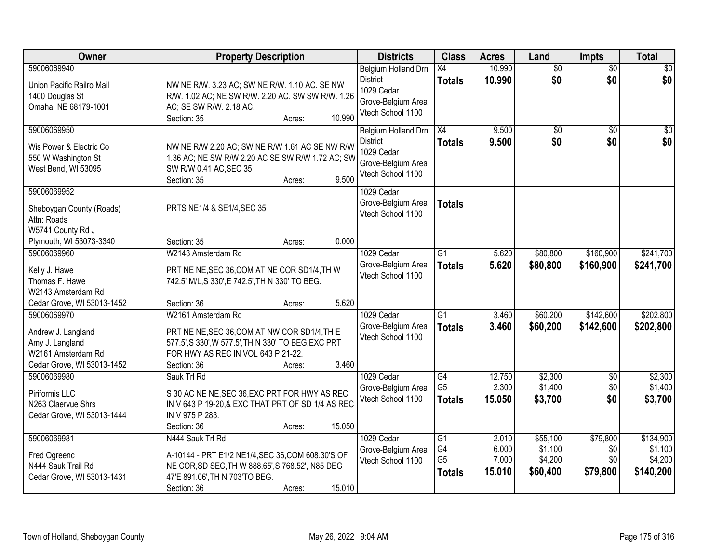| Owner                                                                                                                                  | <b>Property Description</b>                                                                                                                                                                                                         | <b>Districts</b>                                                                                | <b>Class</b>                                | <b>Acres</b>                      | Land                                       | <b>Impts</b>                       | <b>Total</b>                                 |
|----------------------------------------------------------------------------------------------------------------------------------------|-------------------------------------------------------------------------------------------------------------------------------------------------------------------------------------------------------------------------------------|-------------------------------------------------------------------------------------------------|---------------------------------------------|-----------------------------------|--------------------------------------------|------------------------------------|----------------------------------------------|
| 59006069940<br>Union Pacific Railro Mail<br>1400 Douglas St<br>Omaha, NE 68179-1001                                                    | NW NE R/W. 3.23 AC; SW NE R/W. 1.10 AC. SE NW<br>R/W. 1.02 AC; NE SW R/W. 2.20 AC. SW SW R/W. 1.26<br>AC; SE SW R/W. 2.18 AC.<br>10.990<br>Section: 35<br>Acres:                                                                    | Belgium Holland Drn<br><b>District</b><br>1029 Cedar<br>Grove-Belgium Area<br>Vtech School 1100 | $\overline{X4}$<br><b>Totals</b>            | 10.990<br>10.990                  | $\overline{50}$<br>\$0                     | $\overline{50}$<br>\$0             | $\sqrt{30}$<br>\$0                           |
| 59006069950<br>Wis Power & Electric Co<br>550 W Washington St<br>West Bend, WI 53095                                                   | NW NE R/W 2.20 AC; SW NE R/W 1.61 AC SE NW R/W<br>1.36 AC; NE SW R/W 2.20 AC SE SW R/W 1.72 AC; SW<br>SW R/W 0.41 AC, SEC 35<br>9.500<br>Section: 35<br>Acres:                                                                      | Belgium Holland Drn<br><b>District</b><br>1029 Cedar<br>Grove-Belgium Area<br>Vtech School 1100 | $\overline{X4}$<br><b>Totals</b>            | 9.500<br>9.500                    | $\overline{50}$<br>\$0                     | $\overline{50}$<br>\$0             | $\sqrt{50}$<br>\$0                           |
| 59006069952<br>Sheboygan County (Roads)<br>Attn: Roads<br>W5741 County Rd J<br>Plymouth, WI 53073-3340                                 | PRTS NE1/4 & SE1/4, SEC 35<br>0.000<br>Section: 35<br>Acres:                                                                                                                                                                        | 1029 Cedar<br>Grove-Belgium Area<br>Vtech School 1100                                           | <b>Totals</b>                               |                                   |                                            |                                    |                                              |
| 59006069960<br>Kelly J. Hawe<br>Thomas F. Hawe<br>W2143 Amsterdam Rd                                                                   | W2143 Amsterdam Rd<br>PRT NE NE, SEC 36, COM AT NE COR SD1/4, TH W<br>742.5' M/L,S 330',E 742.5', TH N 330' TO BEG.                                                                                                                 | 1029 Cedar<br>Grove-Belgium Area<br>Vtech School 1100                                           | $\overline{G1}$<br><b>Totals</b>            | 5.620<br>5.620                    | \$80,800<br>\$80,800                       | \$160,900<br>\$160,900             | \$241,700<br>\$241,700                       |
| Cedar Grove, WI 53013-1452<br>59006069970<br>Andrew J. Langland<br>Amy J. Langland<br>W2161 Amsterdam Rd<br>Cedar Grove, WI 53013-1452 | 5.620<br>Section: 36<br>Acres:<br>W2161 Amsterdam Rd<br>PRT NE NE, SEC 36, COM AT NW COR SD1/4, TH E<br>577.5', S 330', W 577.5', TH N 330' TO BEG, EXC PRT<br>FOR HWY AS REC IN VOL 643 P 21-22.<br>3.460<br>Section: 36<br>Acres: | 1029 Cedar<br>Grove-Belgium Area<br>Vtech School 1100                                           | $\overline{G1}$<br><b>Totals</b>            | 3.460<br>3.460                    | \$60,200<br>\$60,200                       | \$142,600<br>\$142,600             | \$202,800<br>\$202,800                       |
| 59006069980<br>Piriformis LLC<br>N263 Claervue Shrs<br>Cedar Grove, WI 53013-1444                                                      | Sauk Trl Rd<br>S 30 AC NE NE, SEC 36, EXC PRT FOR HWY AS REC<br>IN V 643 P 19-20,& EXC THAT PRT OF SD 1/4 AS REC<br>IN V 975 P 283.<br>15.050<br>Section: 36<br>Acres:                                                              | 1029 Cedar<br>Grove-Belgium Area<br>Vtech School 1100                                           | G4<br>G <sub>5</sub><br><b>Totals</b>       | 12.750<br>2.300<br>15.050         | \$2,300<br>\$1,400<br>\$3,700              | $\sqrt{6}$<br>\$0<br>\$0           | \$2,300<br>\$1,400<br>\$3,700                |
| 59006069981<br>Fred Ogreenc<br>N444 Sauk Trail Rd<br>Cedar Grove, WI 53013-1431                                                        | N444 Sauk Trl Rd<br>A-10144 - PRT E1/2 NE1/4, SEC 36, COM 608.30'S OF<br>NE COR, SD SEC, TH W 888.65', S 768.52', N85 DEG<br>47'E 891.06', TH N 703'TO BEG.<br>15.010<br>Section: 36<br>Acres:                                      | 1029 Cedar<br>Grove-Belgium Area<br>Vtech School 1100                                           | G1<br>G4<br>G <sub>5</sub><br><b>Totals</b> | 2.010<br>6.000<br>7.000<br>15.010 | \$55,100<br>\$1,100<br>\$4,200<br>\$60,400 | \$79,800<br>\$0<br>\$0<br>\$79,800 | \$134,900<br>\$1,100<br>\$4,200<br>\$140,200 |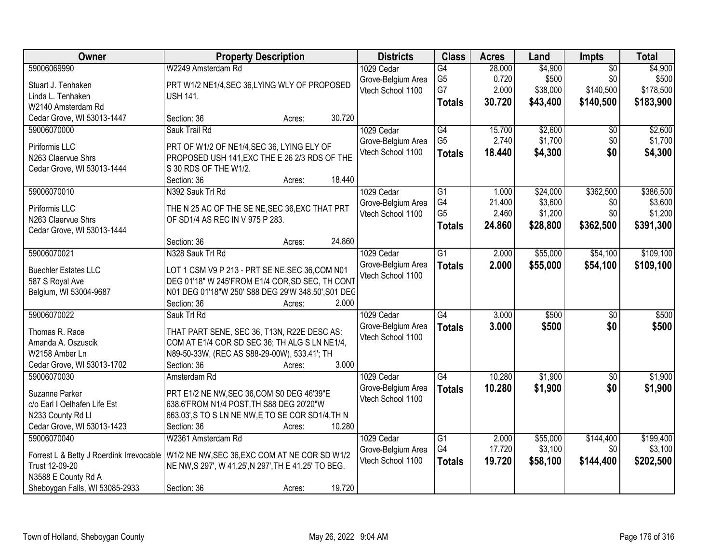| Owner                                            | <b>Property Description</b>                                            | <b>Districts</b>   | <b>Class</b>    | <b>Acres</b> | Land     | <b>Impts</b>    | <b>Total</b> |
|--------------------------------------------------|------------------------------------------------------------------------|--------------------|-----------------|--------------|----------|-----------------|--------------|
| 59006069990                                      | W2249 Amsterdam Rd                                                     | 1029 Cedar         | G4              | 28.000       | \$4,900  | $\overline{50}$ | \$4,900      |
| Stuart J. Tenhaken                               | PRT W1/2 NE1/4, SEC 36, LYING WLY OF PROPOSED                          | Grove-Belgium Area | G <sub>5</sub>  | 0.720        | \$500    | \$0             | \$500        |
| Linda L. Tenhaken                                | <b>USH 141.</b>                                                        | Vtech School 1100  | G7              | 2.000        | \$38,000 | \$140,500       | \$178,500    |
| W2140 Amsterdam Rd                               |                                                                        |                    | <b>Totals</b>   | 30.720       | \$43,400 | \$140,500       | \$183,900    |
| Cedar Grove, WI 53013-1447                       | Section: 36<br>Acres:                                                  | 30.720             |                 |              |          |                 |              |
| 59006070000                                      | Sauk Trail Rd                                                          | 1029 Cedar         | G4              | 15.700       | \$2,600  | \$0             | \$2,600      |
|                                                  |                                                                        | Grove-Belgium Area | G <sub>5</sub>  | 2.740        | \$1,700  | \$0             | \$1,700      |
| Piriformis LLC                                   | PRT OF W1/2 OF NE1/4, SEC 36, LYING ELY OF                             | Vtech School 1100  | <b>Totals</b>   | 18.440       | \$4,300  | \$0             | \$4,300      |
| N263 Claervue Shrs<br>Cedar Grove, WI 53013-1444 | PROPOSED USH 141, EXC THE E 26 2/3 RDS OF THE<br>S 30 RDS OF THE W1/2. |                    |                 |              |          |                 |              |
|                                                  | Section: 36<br>Acres:                                                  | 18.440             |                 |              |          |                 |              |
| 59006070010                                      | N392 Sauk Trl Rd                                                       | 1029 Cedar         | $\overline{G1}$ | 1.000        | \$24,000 | \$362,500       | \$386,500    |
|                                                  |                                                                        | Grove-Belgium Area | G4              | 21.400       | \$3,600  | \$0             | \$3,600      |
| Piriformis LLC                                   | THE N 25 AC OF THE SE NE, SEC 36, EXC THAT PRT                         | Vtech School 1100  | G <sub>5</sub>  | 2.460        | \$1,200  | \$0             | \$1,200      |
| N263 Claervue Shrs                               | OF SD1/4 AS REC IN V 975 P 283.                                        |                    | <b>Totals</b>   | 24.860       | \$28,800 | \$362,500       | \$391,300    |
| Cedar Grove, WI 53013-1444                       |                                                                        |                    |                 |              |          |                 |              |
|                                                  | Section: 36<br>Acres:                                                  | 24.860             |                 |              |          |                 |              |
| 59006070021                                      | N328 Sauk Trl Rd                                                       | 1029 Cedar         | $\overline{G1}$ | 2.000        | \$55,000 | \$54,100        | \$109,100    |
| <b>Buechler Estates LLC</b>                      | LOT 1 CSM V9 P 213 - PRT SE NE, SEC 36, COM N01                        | Grove-Belgium Area | <b>Totals</b>   | 2.000        | \$55,000 | \$54,100        | \$109,100    |
| 587 S Royal Ave                                  | DEG 01'18" W 245'FROM E1/4 COR, SD SEC, TH CONT                        | Vtech School 1100  |                 |              |          |                 |              |
| Belgium, WI 53004-9687                           | N01 DEG 01'18"W 250' S88 DEG 29'W 348.50', S01 DEC                     |                    |                 |              |          |                 |              |
|                                                  | Section: 36<br>Acres:                                                  | 2.000              |                 |              |          |                 |              |
| 59006070022                                      | Sauk Trl Rd                                                            | 1029 Cedar         | $\overline{G4}$ | 3.000        | \$500    | $\overline{50}$ | \$500        |
|                                                  |                                                                        | Grove-Belgium Area | <b>Totals</b>   | 3.000        | \$500    | \$0             | \$500        |
| Thomas R. Race                                   | THAT PART SENE, SEC 36, T13N, R22E DESC AS:                            | Vtech School 1100  |                 |              |          |                 |              |
| Amanda A. Oszuscik                               | COM AT E1/4 COR SD SEC 36; TH ALG S LN NE1/4,                          |                    |                 |              |          |                 |              |
| W2158 Amber Ln                                   | N89-50-33W, (REC AS S88-29-00W), 533.41'; TH                           |                    |                 |              |          |                 |              |
| Cedar Grove, WI 53013-1702                       | Section: 36<br>Acres:                                                  | 3.000              |                 |              |          |                 |              |
| 59006070030                                      | Amsterdam Rd                                                           | 1029 Cedar         | G4              | 10.280       | \$1,900  | $\sqrt{6}$      | \$1,900      |
| Suzanne Parker                                   | PRT E1/2 NE NW, SEC 36, COM S0 DEG 46'39"E                             | Grove-Belgium Area | <b>Totals</b>   | 10.280       | \$1,900  | \$0             | \$1,900      |
| c/o Earl I Oelhafen Life Est                     | 638.6'FROM N1/4 POST, TH S88 DEG 20'20"W                               | Vtech School 1100  |                 |              |          |                 |              |
| N233 County Rd Ll                                | 663.03', S TO S LN NE NW, E TO SE COR SD1/4, TH N                      |                    |                 |              |          |                 |              |
| Cedar Grove, WI 53013-1423                       | Section: 36<br>Acres:                                                  | 10.280             |                 |              |          |                 |              |
| 59006070040                                      | W2361 Amsterdam Rd                                                     | 1029 Cedar         | $\overline{G1}$ | 2.000        | \$55,000 | \$144,400       | \$199,400    |
|                                                  |                                                                        | Grove-Belgium Area | G4              | 17.720       | \$3,100  | \$0             | \$3,100      |
| Forrest L & Betty J Roerdink Irrevocable         | W1/2 NE NW, SEC 36, EXC COM AT NE COR SD W1/2                          | Vtech School 1100  | <b>Totals</b>   | 19.720       | \$58,100 | \$144,400       | \$202,500    |
| Trust 12-09-20                                   | NE NW, S 297', W 41.25', N 297', TH E 41.25' TO BEG.                   |                    |                 |              |          |                 |              |
| N3588 E County Rd A                              |                                                                        |                    |                 |              |          |                 |              |
| Sheboygan Falls, WI 53085-2933                   | Section: 36<br>Acres:                                                  | 19.720             |                 |              |          |                 |              |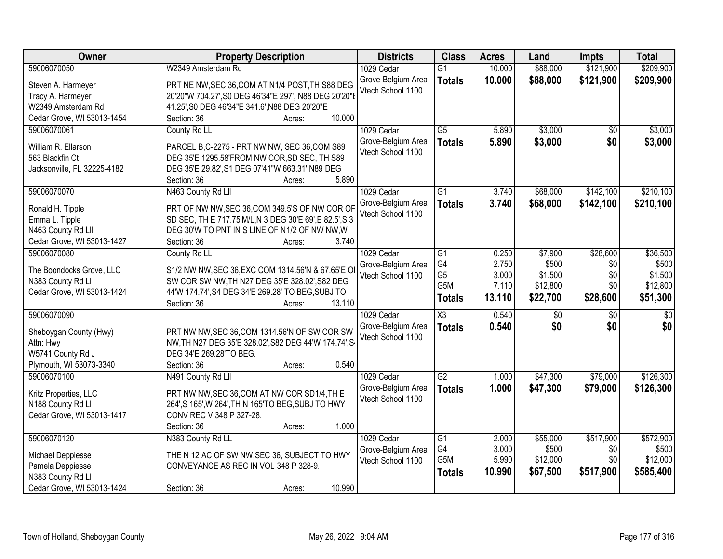| Owner                       | <b>Property Description</b>                                                | <b>Districts</b>                        | <b>Class</b>           | <b>Acres</b> | Land     | Impts           | <b>Total</b>    |
|-----------------------------|----------------------------------------------------------------------------|-----------------------------------------|------------------------|--------------|----------|-----------------|-----------------|
| 59006070050                 | W2349 Amsterdam Rd                                                         | 1029 Cedar                              | $\overline{G1}$        | 10.000       | \$88,000 | \$121,900       | \$209,900       |
| Steven A. Harmeyer          | PRT NE NW, SEC 36, COM AT N1/4 POST, TH S88 DEG                            | Grove-Belgium Area                      | <b>Totals</b>          | 10.000       | \$88,000 | \$121,900       | \$209,900       |
| Tracy A. Harmeyer           | 20'20"W 704.27', S0 DEG 46'34"E 297', N88 DEG 20'20"E                      | Vtech School 1100                       |                        |              |          |                 |                 |
| W2349 Amsterdam Rd          | 41.25', S0 DEG 46'34"E 341.6', N88 DEG 20'20"E                             |                                         |                        |              |          |                 |                 |
| Cedar Grove, WI 53013-1454  | 10.000<br>Section: 36<br>Acres:                                            |                                         |                        |              |          |                 |                 |
| 59006070061                 | County Rd LL                                                               | 1029 Cedar                              | $\overline{G5}$        | 5.890        | \$3,000  | \$0             | \$3,000         |
|                             |                                                                            | Grove-Belgium Area                      | <b>Totals</b>          | 5.890        | \$3,000  | \$0             | \$3,000         |
| William R. Ellarson         | PARCEL B,C-2275 - PRT NW NW, SEC 36,COM S89                                | Vtech School 1100                       |                        |              |          |                 |                 |
| 563 Blackfin Ct             | DEG 35'E 1295.58'FROM NW COR, SD SEC, TH S89                               |                                         |                        |              |          |                 |                 |
| Jacksonville, FL 32225-4182 | DEG 35'E 29.82', S1 DEG 07'41"W 663.31', N89 DEG                           |                                         |                        |              |          |                 |                 |
|                             | 5.890<br>Section: 36<br>Acres:                                             |                                         |                        |              |          |                 |                 |
| 59006070070                 | N463 County Rd Lll                                                         | 1029 Cedar                              | $\overline{G1}$        | 3.740        | \$68,000 | \$142,100       | \$210,100       |
| Ronald H. Tipple            | PRT OF NW NW, SEC 36, COM 349.5'S OF NW COR OF                             | Grove-Belgium Area                      | <b>Totals</b>          | 3.740        | \$68,000 | \$142,100       | \$210,100       |
| Emma L. Tipple              | SD SEC, TH E 717.75'M/L, N 3 DEG 30'E 69', E 82.5', S 3                    | Vtech School 1100                       |                        |              |          |                 |                 |
| N463 County Rd Lll          | DEG 30'W TO PNT IN S LINE OF N1/2 OF NW NW, W                              |                                         |                        |              |          |                 |                 |
| Cedar Grove, WI 53013-1427  | 3.740<br>Section: 36<br>Acres:                                             |                                         |                        |              |          |                 |                 |
| 59006070080                 | County Rd LL                                                               | 1029 Cedar                              | G1                     | 0.250        | \$7,900  | \$28,600        | \$36,500        |
|                             |                                                                            | Grove-Belgium Area                      | G4                     | 2.750        | \$500    | \$0             | \$500           |
| The Boondocks Grove, LLC    | S1/2 NW NW, SEC 36, EXC COM 1314.56'N & 67.65'E O                          | Vtech School 1100                       | G <sub>5</sub>         | 3.000        | \$1,500  | \$0             | \$1,500         |
| N383 County Rd Ll           | SW COR SW NW, TH N27 DEG 35'E 328.02', S82 DEG                             |                                         | G5M                    | 7.110        | \$12,800 | \$0             | \$12,800        |
| Cedar Grove, WI 53013-1424  | 44'W 174.74', S4 DEG 34'E 269.28' TO BEG, SUBJ TO<br>Section: 36<br>13.110 |                                         | <b>Totals</b>          | 13.110       | \$22,700 | \$28,600        | \$51,300        |
| 59006070090                 | Acres:                                                                     | 1029 Cedar                              | $\overline{\text{X3}}$ | 0.540        | \$0      | $\overline{50}$ | $\overline{50}$ |
|                             |                                                                            |                                         |                        |              |          |                 |                 |
| Sheboygan County (Hwy)      | PRT NW NW, SEC 36, COM 1314.56'N OF SW COR SW                              | Grove-Belgium Area<br>Vtech School 1100 | <b>Totals</b>          | 0.540        | \$0      | \$0             | \$0             |
| Attn: Hwy                   | NW, TH N27 DEG 35'E 328.02', S82 DEG 44'W 174.74', S                       |                                         |                        |              |          |                 |                 |
| W5741 County Rd J           | DEG 34'E 269.28'TO BEG.                                                    |                                         |                        |              |          |                 |                 |
| Plymouth, WI 53073-3340     | 0.540<br>Section: 36<br>Acres:                                             |                                         |                        |              |          |                 |                 |
| 59006070100                 | N491 County Rd Lll                                                         | 1029 Cedar                              | G2                     | 1.000        | \$47,300 | \$79,000        | \$126,300       |
| Kritz Properties, LLC       | PRT NW NW, SEC 36, COM AT NW COR SD1/4, TH E                               | Grove-Belgium Area                      | <b>Totals</b>          | 1.000        | \$47,300 | \$79,000        | \$126,300       |
| N188 County Rd Ll           | 264', S 165', W 264', TH N 165'TO BEG, SUBJ TO HWY                         | Vtech School 1100                       |                        |              |          |                 |                 |
| Cedar Grove, WI 53013-1417  | CONV REC V 348 P 327-28.                                                   |                                         |                        |              |          |                 |                 |
|                             | 1.000<br>Section: 36<br>Acres:                                             |                                         |                        |              |          |                 |                 |
| 59006070120                 | N383 County Rd LL                                                          | 1029 Cedar                              | $\overline{G1}$        | 2.000        | \$55,000 | \$517,900       | \$572,900       |
|                             |                                                                            | Grove-Belgium Area                      | G4                     | 3.000        | \$500    | \$0             | \$500           |
| Michael Deppiesse           | THE N 12 AC OF SW NW, SEC 36, SUBJECT TO HWY                               | Vtech School 1100                       | G <sub>5</sub> M       | 5.990        | \$12,000 | \$0             | \$12,000        |
| Pamela Deppiesse            | CONVEYANCE AS REC IN VOL 348 P 328-9.                                      |                                         | <b>Totals</b>          | 10.990       | \$67,500 | \$517,900       | \$585,400       |
| N383 County Rd Ll           |                                                                            |                                         |                        |              |          |                 |                 |
| Cedar Grove, WI 53013-1424  | 10.990<br>Section: 36<br>Acres:                                            |                                         |                        |              |          |                 |                 |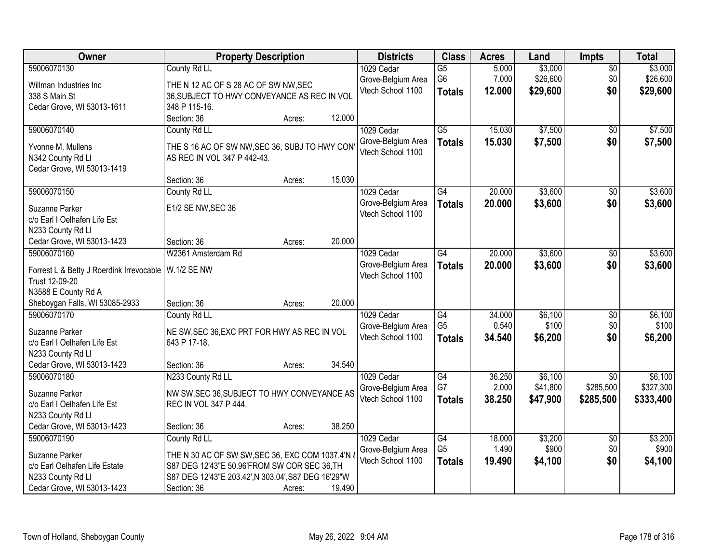| Owner                                                                                                                                              | <b>Property Description</b>                                                                                                                                                                                | <b>Districts</b>                                      | <b>Class</b>                                       | <b>Acres</b>              | Land                            | <b>Impts</b>                              | <b>Total</b>                      |
|----------------------------------------------------------------------------------------------------------------------------------------------------|------------------------------------------------------------------------------------------------------------------------------------------------------------------------------------------------------------|-------------------------------------------------------|----------------------------------------------------|---------------------------|---------------------------------|-------------------------------------------|-----------------------------------|
| 59006070130<br>Willman Industries Inc<br>338 S Main St<br>Cedar Grove, WI 53013-1611                                                               | County Rd LL<br>THE N 12 AC OF S 28 AC OF SW NW, SEC<br>36, SUBJECT TO HWY CONVEYANCE AS REC IN VOL<br>348 P 115-16.                                                                                       | 1029 Cedar<br>Grove-Belgium Area<br>Vtech School 1100 | $\overline{G5}$<br>G <sub>6</sub><br><b>Totals</b> | 5.000<br>7.000<br>12.000  | \$3,000<br>\$26,600<br>\$29,600 | $\overline{30}$<br>\$0<br>\$0             | \$3,000<br>\$26,600<br>\$29,600   |
| 59006070140<br>Yvonne M. Mullens<br>N342 County Rd Ll<br>Cedar Grove, WI 53013-1419                                                                | 12.000<br>Section: 36<br>Acres:<br>County Rd LL<br>THE S 16 AC OF SW NW, SEC 36, SUBJ TO HWY CON<br>AS REC IN VOL 347 P 442-43.                                                                            | 1029 Cedar<br>Grove-Belgium Area<br>Vtech School 1100 | $\overline{G5}$<br><b>Totals</b>                   | 15.030<br>15.030          | \$7,500<br>\$7,500              | $\overline{50}$<br>\$0                    | \$7,500<br>\$7,500                |
| 59006070150<br>Suzanne Parker<br>c/o Earl I Oelhafen Life Est<br>N233 County Rd Ll                                                                 | 15.030<br>Section: 36<br>Acres:<br>County Rd LL<br>E1/2 SE NW, SEC 36                                                                                                                                      | 1029 Cedar<br>Grove-Belgium Area<br>Vtech School 1100 | G4<br><b>Totals</b>                                | 20.000<br>20.000          | \$3,600<br>\$3,600              | \$0<br>\$0                                | \$3,600<br>\$3,600                |
| Cedar Grove, WI 53013-1423<br>59006070160<br>Forrest L & Betty J Roerdink Irrevocable<br>Trust 12-09-20<br>N3588 E County Rd A                     | 20.000<br>Section: 36<br>Acres:<br>W2361 Amsterdam Rd<br><b>W.1/2 SE NW</b>                                                                                                                                | 1029 Cedar<br>Grove-Belgium Area<br>Vtech School 1100 | G4<br><b>Totals</b>                                | 20.000<br>20.000          | \$3,600<br>\$3,600              | \$0<br>\$0                                | \$3,600<br>\$3,600                |
| Sheboygan Falls, WI 53085-2933<br>59006070170<br>Suzanne Parker<br>c/o Earl I Oelhafen Life Est<br>N233 County Rd Ll<br>Cedar Grove, WI 53013-1423 | 20.000<br>Section: 36<br>Acres:<br>County Rd LL<br>NE SW, SEC 36, EXC PRT FOR HWY AS REC IN VOL<br>643 P 17-18.<br>34.540<br>Section: 36<br>Acres:                                                         | 1029 Cedar<br>Grove-Belgium Area<br>Vtech School 1100 | $\overline{G4}$<br>G <sub>5</sub><br><b>Totals</b> | 34.000<br>0.540<br>34.540 | \$6,100<br>\$100<br>\$6,200     | $\overline{50}$<br>\$0<br>\$0             | \$6,100<br>\$100<br>\$6,200       |
| 59006070180<br>Suzanne Parker<br>c/o Earl I Oelhafen Life Est<br>N233 County Rd Ll<br>Cedar Grove, WI 53013-1423                                   | N233 County Rd LL<br>NW SW, SEC 36, SUBJECT TO HWY CONVEYANCE AS<br>REC IN VOL 347 P 444.<br>38.250<br>Section: 36<br>Acres:                                                                               | 1029 Cedar<br>Grove-Belgium Area<br>Vtech School 1100 | $\overline{G4}$<br>G7<br><b>Totals</b>             | 36.250<br>2.000<br>38.250 | \$6,100<br>\$41,800<br>\$47,900 | $\overline{50}$<br>\$285,500<br>\$285,500 | \$6,100<br>\$327,300<br>\$333,400 |
| 59006070190<br>Suzanne Parker<br>c/o Earl Oelhafen Life Estate<br>N233 County Rd Ll<br>Cedar Grove, WI 53013-1423                                  | County Rd LL<br>THE N 30 AC OF SW SW, SEC 36, EXC COM 1037.4'N &<br>S87 DEG 12'43"E 50.96'FROM SW COR SEC 36, TH<br>S87 DEG 12'43"E 203.42', N 303.04', S87 DEG 16'29"W<br>Section: 36<br>19.490<br>Acres: | 1029 Cedar<br>Grove-Belgium Area<br>Vtech School 1100 | G4<br>G <sub>5</sub><br><b>Totals</b>              | 18.000<br>1.490<br>19.490 | \$3,200<br>\$900<br>\$4,100     | $\overline{30}$<br>\$0<br>\$0             | \$3,200<br>\$900<br>\$4,100       |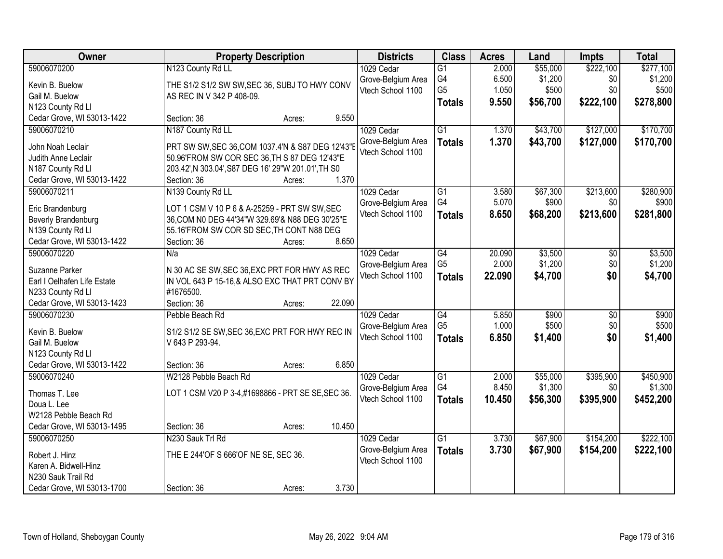| Owner                       | <b>Property Description</b>                                                                     | <b>Districts</b>                        | <b>Class</b>    | <b>Acres</b> | Land     | <b>Impts</b>    | <b>Total</b> |
|-----------------------------|-------------------------------------------------------------------------------------------------|-----------------------------------------|-----------------|--------------|----------|-----------------|--------------|
| 59006070200                 | N123 County Rd LL                                                                               | 1029 Cedar                              | $\overline{G1}$ | 2.000        | \$55,000 | \$222,100       | \$277,100    |
| Kevin B. Buelow             | THE S1/2 S1/2 SW SW, SEC 36, SUBJ TO HWY CONV                                                   | Grove-Belgium Area                      | G4              | 6.500        | \$1,200  | \$0             | \$1,200      |
| Gail M. Buelow              | AS REC IN V 342 P 408-09.                                                                       | Vtech School 1100                       | G <sub>5</sub>  | 1.050        | \$500    | \$0             | \$500        |
| N123 County Rd Ll           |                                                                                                 |                                         | <b>Totals</b>   | 9.550        | \$56,700 | \$222,100       | \$278,800    |
| Cedar Grove, WI 53013-1422  | 9.550<br>Section: 36<br>Acres:                                                                  |                                         |                 |              |          |                 |              |
| 59006070210                 | N187 County Rd LL                                                                               | 1029 Cedar                              | $\overline{G1}$ | 1.370        | \$43,700 | \$127,000       | \$170,700    |
|                             |                                                                                                 | Grove-Belgium Area                      | <b>Totals</b>   | 1.370        | \$43,700 | \$127,000       | \$170,700    |
| John Noah Leclair           | PRT SW SW, SEC 36, COM 1037.4'N & S87 DEG 12'43"E                                               | Vtech School 1100                       |                 |              |          |                 |              |
| Judith Anne Leclair         | 50.96'FROM SW COR SEC 36, TH S 87 DEG 12'43"E                                                   |                                         |                 |              |          |                 |              |
| N187 County Rd Ll           | 203.42', N 303.04', S87 DEG 16' 29"W 201.01', TH S0<br>1.370                                    |                                         |                 |              |          |                 |              |
| Cedar Grove, WI 53013-1422  | Section: 36<br>Acres:                                                                           |                                         |                 |              |          |                 |              |
| 59006070211                 | N139 County Rd LL                                                                               | 1029 Cedar                              | G1<br>G4        | 3.580        | \$67,300 | \$213,600       | \$280,900    |
| Eric Brandenburg            | LOT 1 CSM V 10 P 6 & A-25259 - PRT SW SW, SEC                                                   | Grove-Belgium Area<br>Vtech School 1100 |                 | 5.070        | \$900    | \$0             | \$900        |
| Beverly Brandenburg         | 36, COM N0 DEG 44'34"W 329.69'& N88 DEG 30'25"E                                                 |                                         | <b>Totals</b>   | 8.650        | \$68,200 | \$213,600       | \$281,800    |
| N139 County Rd Ll           | 55.16'FROM SW COR SD SEC, TH CONT N88 DEG                                                       |                                         |                 |              |          |                 |              |
| Cedar Grove, WI 53013-1422  | 8.650<br>Section: 36<br>Acres:                                                                  |                                         |                 |              |          |                 |              |
| 59006070220                 | N/a                                                                                             | 1029 Cedar                              | G4              | 20.090       | \$3,500  | \$0             | \$3,500      |
| Suzanne Parker              |                                                                                                 | Grove-Belgium Area                      | G <sub>5</sub>  | 2.000        | \$1,200  | \$0             | \$1,200      |
| Earl I Oelhafen Life Estate | N 30 AC SE SW, SEC 36, EXC PRT FOR HWY AS REC<br>IN VOL 643 P 15-16,& ALSO EXC THAT PRT CONV BY | Vtech School 1100                       | <b>Totals</b>   | 22.090       | \$4,700  | \$0             | \$4,700      |
| N233 County Rd Ll           | #1676500.                                                                                       |                                         |                 |              |          |                 |              |
| Cedar Grove, WI 53013-1423  | 22.090<br>Section: 36                                                                           |                                         |                 |              |          |                 |              |
| 59006070230                 | Acres:<br>Pebble Beach Rd                                                                       | 1029 Cedar                              | $\overline{G4}$ | 5.850        | \$900    | $\overline{50}$ | \$900        |
|                             |                                                                                                 |                                         | G <sub>5</sub>  | 1.000        | \$500    | \$0             | \$500        |
| Kevin B. Buelow             | S1/2 S1/2 SE SW, SEC 36, EXC PRT FOR HWY REC IN                                                 | Grove-Belgium Area<br>Vtech School 1100 |                 | 6.850        | \$1,400  | \$0             | \$1,400      |
| Gail M. Buelow              | V 643 P 293-94.                                                                                 |                                         | <b>Totals</b>   |              |          |                 |              |
| N123 County Rd Ll           |                                                                                                 |                                         |                 |              |          |                 |              |
| Cedar Grove, WI 53013-1422  | 6.850<br>Section: 36<br>Acres:                                                                  |                                         |                 |              |          |                 |              |
| 59006070240                 | W2128 Pebble Beach Rd                                                                           | 1029 Cedar                              | $\overline{G1}$ | 2.000        | \$55,000 | \$395,900       | \$450,900    |
| Thomas T. Lee               | LOT 1 CSM V20 P 3-4,#1698866 - PRT SE SE, SEC 36.                                               | Grove-Belgium Area                      | G4              | 8.450        | \$1,300  | \$0             | \$1,300      |
| Doua L. Lee                 |                                                                                                 | Vtech School 1100                       | <b>Totals</b>   | 10.450       | \$56,300 | \$395,900       | \$452,200    |
| W2128 Pebble Beach Rd       |                                                                                                 |                                         |                 |              |          |                 |              |
| Cedar Grove, WI 53013-1495  | 10.450<br>Section: 36<br>Acres:                                                                 |                                         |                 |              |          |                 |              |
| 59006070250                 | N230 Sauk Trl Rd                                                                                | 1029 Cedar                              | $\overline{G1}$ | 3.730        | \$67,900 | \$154,200       | \$222,100    |
|                             |                                                                                                 | Grove-Belgium Area                      | <b>Totals</b>   | 3.730        | \$67,900 | \$154,200       | \$222,100    |
| Robert J. Hinz              | THE E 244'OF S 666'OF NE SE, SEC 36.                                                            | Vtech School 1100                       |                 |              |          |                 |              |
| Karen A. Bidwell-Hinz       |                                                                                                 |                                         |                 |              |          |                 |              |
| N230 Sauk Trail Rd          |                                                                                                 |                                         |                 |              |          |                 |              |
| Cedar Grove, WI 53013-1700  | 3.730<br>Section: 36<br>Acres:                                                                  |                                         |                 |              |          |                 |              |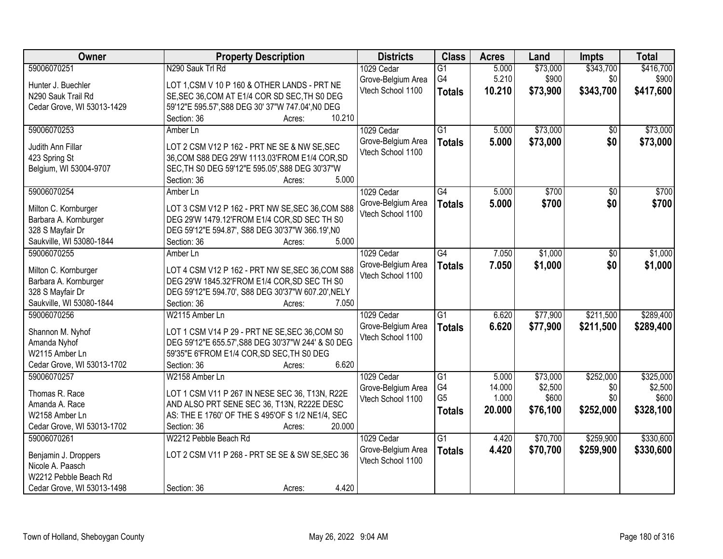| Owner                      | <b>Property Description</b>                        | <b>Districts</b>   | <b>Class</b>    | <b>Acres</b> | Land     | <b>Impts</b>    | <b>Total</b> |
|----------------------------|----------------------------------------------------|--------------------|-----------------|--------------|----------|-----------------|--------------|
| 59006070251                | N290 Sauk Trl Rd                                   | 1029 Cedar         | $\overline{G1}$ | 5.000        | \$73,000 | \$343,700       | \$416,700    |
| Hunter J. Buechler         | LOT 1, CSM V 10 P 160 & OTHER LANDS - PRT NE       | Grove-Belgium Area | G4              | 5.210        | \$900    | \$0             | \$900        |
| N290 Sauk Trail Rd         | SE, SEC 36, COM AT E1/4 COR SD SEC, TH S0 DEG      | Vtech School 1100  | <b>Totals</b>   | 10.210       | \$73,900 | \$343,700       | \$417,600    |
| Cedar Grove, WI 53013-1429 | 59'12"E 595.57', S88 DEG 30' 37"W 747.04', N0 DEG  |                    |                 |              |          |                 |              |
|                            | 10.210<br>Section: 36<br>Acres:                    |                    |                 |              |          |                 |              |
| 59006070253                | Amber Ln                                           | 1029 Cedar         | $\overline{G1}$ | 5.000        | \$73,000 | \$0             | \$73,000     |
|                            |                                                    | Grove-Belgium Area | <b>Totals</b>   | 5.000        | \$73,000 | \$0             | \$73,000     |
| Judith Ann Fillar          | LOT 2 CSM V12 P 162 - PRT NE SE & NW SE, SEC       | Vtech School 1100  |                 |              |          |                 |              |
| 423 Spring St              | 36, COM S88 DEG 29'W 1113.03'FROM E1/4 COR, SD     |                    |                 |              |          |                 |              |
| Belgium, WI 53004-9707     | SEC, TH S0 DEG 59'12"E 595.05', S88 DEG 30'37"W    |                    |                 |              |          |                 |              |
|                            | 5.000<br>Section: 36<br>Acres:                     |                    |                 |              |          |                 |              |
| 59006070254                | Amber Ln                                           | 1029 Cedar         | $\overline{G4}$ | 5.000        | \$700    | $\overline{50}$ | \$700        |
| Milton C. Kornburger       | LOT 3 CSM V12 P 162 - PRT NW SE, SEC 36, COM S88   | Grove-Belgium Area | <b>Totals</b>   | 5.000        | \$700    | \$0             | \$700        |
| Barbara A. Kornburger      | DEG 29'W 1479.12'FROM E1/4 COR, SD SEC TH S0       | Vtech School 1100  |                 |              |          |                 |              |
| 328 S Mayfair Dr           | DEG 59'12"E 594.87', S88 DEG 30'37"W 366.19', N0   |                    |                 |              |          |                 |              |
| Saukville, WI 53080-1844   | 5.000<br>Section: 36                               |                    |                 |              |          |                 |              |
| 59006070255                | Acres:                                             |                    | $\overline{G4}$ | 7.050        | \$1,000  |                 |              |
|                            | Amber Ln                                           | 1029 Cedar         |                 |              |          | \$0             | \$1,000      |
| Milton C. Kornburger       | LOT 4 CSM V12 P 162 - PRT NW SE, SEC 36, COM S88   | Grove-Belgium Area | <b>Totals</b>   | 7.050        | \$1,000  | \$0             | \$1,000      |
| Barbara A. Kornburger      | DEG 29'W 1845.32'FROM E1/4 COR, SD SEC TH S0       | Vtech School 1100  |                 |              |          |                 |              |
| 328 S Mayfair Dr           | DEG 59'12"E 594.70', S88 DEG 30'37"W 607.20', NELY |                    |                 |              |          |                 |              |
| Saukville, WI 53080-1844   | 7.050<br>Section: 36<br>Acres:                     |                    |                 |              |          |                 |              |
| 59006070256                | W2115 Amber Ln                                     | 1029 Cedar         | $\overline{G1}$ | 6.620        | \$77,900 | \$211,500       | \$289,400    |
|                            |                                                    | Grove-Belgium Area | <b>Totals</b>   | 6.620        | \$77,900 | \$211,500       | \$289,400    |
| Shannon M. Nyhof           | LOT 1 CSM V14 P 29 - PRT NE SE, SEC 36, COM S0     | Vtech School 1100  |                 |              |          |                 |              |
| Amanda Nyhof               | DEG 59'12"E 655.57', S88 DEG 30'37"W 244' & S0 DEG |                    |                 |              |          |                 |              |
| W2115 Amber Ln             | 59'35"E 6'FROM E1/4 COR, SD SEC, TH S0 DEG         |                    |                 |              |          |                 |              |
| Cedar Grove, WI 53013-1702 | Section: 36<br>6.620<br>Acres:                     |                    |                 |              |          |                 |              |
| 59006070257                | W2158 Amber Ln                                     | 1029 Cedar         | $\overline{G1}$ | 5.000        | \$73,000 | \$252,000       | \$325,000    |
| Thomas R. Race             | LOT 1 CSM V11 P 267 IN NESE SEC 36, T13N, R22E     | Grove-Belgium Area | G4              | 14.000       | \$2,500  | \$0             | \$2,500      |
| Amanda A. Race             | AND ALSO PRT SENE SEC 36, T13N, R222E DESC         | Vtech School 1100  | G <sub>5</sub>  | 1.000        | \$600    | \$0             | \$600        |
| W2158 Amber Ln             | AS: THE E 1760' OF THE S 495'OF S 1/2 NE1/4, SEC   |                    | <b>Totals</b>   | 20.000       | \$76,100 | \$252,000       | \$328,100    |
| Cedar Grove, WI 53013-1702 | 20.000<br>Section: 36<br>Acres:                    |                    |                 |              |          |                 |              |
| 59006070261                | W2212 Pebble Beach Rd                              | 1029 Cedar         | $\overline{G1}$ | 4.420        | \$70,700 | \$259,900       | \$330,600    |
|                            |                                                    | Grove-Belgium Area |                 | 4.420        | \$70,700 | \$259,900       | \$330,600    |
| Benjamin J. Droppers       | LOT 2 CSM V11 P 268 - PRT SE SE & SW SE, SEC 36    | Vtech School 1100  | <b>Totals</b>   |              |          |                 |              |
| Nicole A. Paasch           |                                                    |                    |                 |              |          |                 |              |
| W2212 Pebble Beach Rd      |                                                    |                    |                 |              |          |                 |              |
| Cedar Grove, WI 53013-1498 | 4.420<br>Section: 36<br>Acres:                     |                    |                 |              |          |                 |              |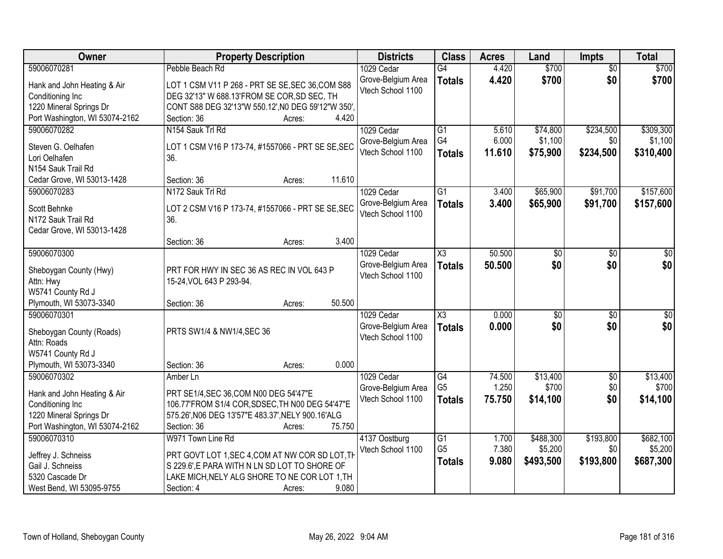| <b>Owner</b>                           | <b>Property Description</b>                        | <b>Districts</b>                        | <b>Class</b>           | <b>Acres</b> | Land            | <b>Impts</b>    | <b>Total</b> |
|----------------------------------------|----------------------------------------------------|-----------------------------------------|------------------------|--------------|-----------------|-----------------|--------------|
| 59006070281                            | Pebble Beach Rd                                    | 1029 Cedar                              | $\overline{G4}$        | 4.420        | \$700           | $\overline{50}$ | \$700        |
| Hank and John Heating & Air            | LOT 1 CSM V11 P 268 - PRT SE SE, SEC 36, COM S88   | Grove-Belgium Area                      | <b>Totals</b>          | 4.420        | \$700           | \$0             | \$700        |
| Conditioning Inc                       | DEG 32'13" W 688.13'FROM SE COR, SD SEC, TH        | Vtech School 1100                       |                        |              |                 |                 |              |
| 1220 Mineral Springs Dr                | CONT S88 DEG 32'13"W 550.12', N0 DEG 59'12"W 350', |                                         |                        |              |                 |                 |              |
| Port Washington, WI 53074-2162         | 4.420<br>Section: 36<br>Acres:                     |                                         |                        |              |                 |                 |              |
| 59006070282                            | N154 Sauk Trl Rd                                   | 1029 Cedar                              | $\overline{G1}$        | 5.610        | \$74,800        | \$234,500       | \$309,300    |
|                                        |                                                    | Grove-Belgium Area                      | G4                     | 6.000        | \$1,100         | \$0             | \$1,100      |
| Steven G. Oelhafen                     | LOT 1 CSM V16 P 173-74, #1557066 - PRT SE SE, SEC  | Vtech School 1100                       | <b>Totals</b>          | 11.610       | \$75,900        | \$234,500       | \$310,400    |
| Lori Oelhafen                          | 36.                                                |                                         |                        |              |                 |                 |              |
| N154 Sauk Trail Rd                     |                                                    |                                         |                        |              |                 |                 |              |
| Cedar Grove, WI 53013-1428             | 11.610<br>Section: 36<br>Acres:                    |                                         |                        |              |                 |                 |              |
| 59006070283                            | N172 Sauk Trl Rd                                   | 1029 Cedar                              | G1                     | 3.400        | \$65,900        | \$91,700        | \$157,600    |
| Scott Behnke                           | LOT 2 CSM V16 P 173-74, #1557066 - PRT SE SE, SEC  | Grove-Belgium Area                      | <b>Totals</b>          | 3.400        | \$65,900        | \$91,700        | \$157,600    |
| N172 Sauk Trail Rd                     | 36.                                                | Vtech School 1100                       |                        |              |                 |                 |              |
| Cedar Grove, WI 53013-1428             |                                                    |                                         |                        |              |                 |                 |              |
|                                        | 3.400<br>Section: 36<br>Acres:                     |                                         |                        |              |                 |                 |              |
| 59006070300                            |                                                    | 1029 Cedar                              | $\overline{\text{X3}}$ | 50.500       | $\overline{50}$ | \$0             | $\sqrt{50}$  |
|                                        |                                                    | Grove-Belgium Area                      | <b>Totals</b>          | 50.500       | \$0             | \$0             | \$0          |
| Sheboygan County (Hwy)                 | PRT FOR HWY IN SEC 36 AS REC IN VOL 643 P          | Vtech School 1100                       |                        |              |                 |                 |              |
| Attn: Hwy                              | 15-24, VOL 643 P 293-94.                           |                                         |                        |              |                 |                 |              |
| W5741 County Rd J                      | 50.500                                             |                                         |                        |              |                 |                 |              |
| Plymouth, WI 53073-3340<br>59006070301 | Section: 36<br>Acres:                              |                                         | $\overline{\text{X3}}$ |              |                 |                 |              |
|                                        |                                                    | 1029 Cedar                              |                        | 0.000        | $\overline{50}$ | \$0             | $\sqrt{50}$  |
| Sheboygan County (Roads)               | PRTS SW1/4 & NW1/4, SEC 36                         | Grove-Belgium Area<br>Vtech School 1100 | <b>Totals</b>          | 0.000        | \$0             | \$0             | \$0          |
| Attn: Roads                            |                                                    |                                         |                        |              |                 |                 |              |
| W5741 County Rd J                      |                                                    |                                         |                        |              |                 |                 |              |
| Plymouth, WI 53073-3340                | 0.000<br>Section: 36<br>Acres:                     |                                         |                        |              |                 |                 |              |
| 59006070302                            | Amber Ln                                           | 1029 Cedar                              | $\overline{G4}$        | 74.500       | \$13,400        | $\overline{$0}$ | \$13,400     |
| Hank and John Heating & Air            | PRT SE1/4, SEC 36, COM N00 DEG 54'47"E             | Grove-Belgium Area                      | G <sub>5</sub>         | 1.250        | \$700           | \$0             | \$700        |
| Conditioning Inc                       | 106.77'FROM S1/4 COR, SDSEC, TH N00 DEG 54'47"E    | Vtech School 1100                       | <b>Totals</b>          | 75.750       | \$14,100        | \$0             | \$14,100     |
| 1220 Mineral Springs Dr                | 575.26', N06 DEG 13'57"E 483.37', NELY 900.16'ALG  |                                         |                        |              |                 |                 |              |
| Port Washington, WI 53074-2162         | Section: 36<br>75.750<br>Acres:                    |                                         |                        |              |                 |                 |              |
| 59006070310                            | W971 Town Line Rd                                  | 4137 Oostburg                           | G1                     | 1.700        | \$488,300       | \$193,800       | \$682,100    |
|                                        |                                                    | Vtech School 1100                       | G <sub>5</sub>         | 7.380        | \$5,200         | \$0             | \$5,200      |
| Jeffrey J. Schneiss                    | PRT GOVT LOT 1, SEC 4, COM AT NW COR SD LOT, TH    |                                         |                        | 9.080        | \$493,500       | \$193,800       | \$687,300    |
| Gail J. Schneiss                       | S 229.6'.E PARA WITH N LN SD LOT TO SHORE OF       |                                         | <b>Totals</b>          |              |                 |                 |              |
| 5320 Cascade Dr                        | LAKE MICH, NELY ALG SHORE TO NE COR LOT 1, TH      |                                         |                        |              |                 |                 |              |
| West Bend, WI 53095-9755               | 9.080<br>Section: 4<br>Acres:                      |                                         |                        |              |                 |                 |              |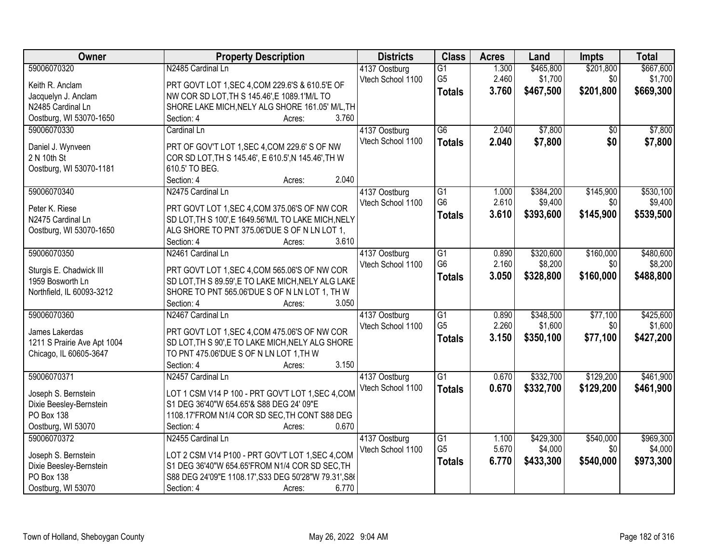| Owner                       | <b>Property Description</b>                           | <b>Districts</b>                   | <b>Class</b>    | <b>Acres</b> | Land                 | Impts           | <b>Total</b> |
|-----------------------------|-------------------------------------------------------|------------------------------------|-----------------|--------------|----------------------|-----------------|--------------|
| 59006070320                 | N2485 Cardinal Ln                                     | 4137 Oostburg                      | $\overline{G1}$ | 1.300        | \$465,800            | \$201,800       | \$667,600    |
| Keith R. Anclam             | PRT GOVT LOT 1, SEC 4, COM 229.6'S & 610.5'E OF       | Vtech School 1100                  | G <sub>5</sub>  | 2.460        | \$1,700              | \$0             | \$1,700      |
| Jacquelyn J. Anclam         | NW COR SD LOT, TH S 145.46', E 1089.1'M/L TO          |                                    | <b>Totals</b>   | 3.760        | \$467,500            | \$201,800       | \$669,300    |
| N2485 Cardinal Ln           | SHORE LAKE MICH, NELY ALG SHORE 161.05' M/L, TH       |                                    |                 |              |                      |                 |              |
| Oostburg, WI 53070-1650     | 3.760<br>Section: 4<br>Acres:                         |                                    |                 |              |                      |                 |              |
| 59006070330                 | Cardinal Ln                                           | 4137 Oostburg                      | $\overline{G6}$ | 2.040        | \$7,800              | $\overline{50}$ | \$7,800      |
|                             |                                                       | Vtech School 1100                  |                 | 2.040        | \$7,800              | \$0             | \$7,800      |
| Daniel J. Wynveen           | PRT OF GOV'T LOT 1, SEC 4, COM 229.6' S OF NW         |                                    | <b>Totals</b>   |              |                      |                 |              |
| 2 N 10th St                 | COR SD LOT, TH S 145.46', E 610.5', N 145.46', TH W   |                                    |                 |              |                      |                 |              |
| Oostburg, WI 53070-1181     | 610.5' TO BEG.                                        |                                    |                 |              |                      |                 |              |
|                             | Section: 4<br>2.040<br>Acres:                         |                                    |                 |              |                      |                 |              |
| 59006070340                 | N2475 Cardinal Ln                                     | 4137 Oostburg                      | G1              | 1.000        | \$384,200            | \$145,900       | \$530,100    |
| Peter K. Riese              | PRT GOVT LOT 1, SEC 4, COM 375.06'S OF NW COR         | Vtech School 1100                  | G <sub>6</sub>  | 2.610        | \$9,400              | \$0             | \$9,400      |
| N2475 Cardinal Ln           | SD LOT, TH S 100', E 1649.56'M/L TO LAKE MICH, NELY   |                                    | <b>Totals</b>   | 3.610        | \$393,600            | \$145,900       | \$539,500    |
| Oostburg, WI 53070-1650     | ALG SHORE TO PNT 375.06'DUE S OF N LN LOT 1,          |                                    |                 |              |                      |                 |              |
|                             | 3.610<br>Section: 4<br>Acres:                         |                                    |                 |              |                      |                 |              |
| 59006070350                 | N2461 Cardinal Ln                                     |                                    | G1              | 0.890        |                      | \$160,000       | \$480,600    |
|                             |                                                       | 4137 Oostburg<br>Vtech School 1100 | G <sub>6</sub>  | 2.160        | \$320,600<br>\$8,200 | \$0             | \$8,200      |
| Sturgis E. Chadwick III     | PRT GOVT LOT 1, SEC 4, COM 565.06'S OF NW COR         |                                    |                 |              |                      |                 |              |
| 1959 Bosworth Ln            | SD LOT, TH S 89.59', E TO LAKE MICH, NELY ALG LAKE    |                                    | <b>Totals</b>   | 3.050        | \$328,800            | \$160,000       | \$488,800    |
| Northfield, IL 60093-3212   | SHORE TO PNT 565.06'DUE S OF N LN LOT 1, TH W         |                                    |                 |              |                      |                 |              |
|                             | Section: 4<br>3.050<br>Acres:                         |                                    |                 |              |                      |                 |              |
| 59006070360                 | N2467 Cardinal Ln                                     | 4137 Oostburg                      | $\overline{G1}$ | 0.890        | \$348,500            | \$77,100        | \$425,600    |
|                             |                                                       | Vtech School 1100                  | G <sub>5</sub>  | 2.260        | \$1,600              | \$0             | \$1,600      |
| James Lakerdas              | PRT GOVT LOT 1, SEC 4, COM 475.06'S OF NW COR         |                                    | <b>Totals</b>   | 3.150        | \$350,100            | \$77,100        | \$427,200    |
| 1211 S Prairie Ave Apt 1004 | SD LOT, TH S 90', E TO LAKE MICH, NELY ALG SHORE      |                                    |                 |              |                      |                 |              |
| Chicago, IL 60605-3647      | TO PNT 475.06'DUE S OF N LN LOT 1, TH W               |                                    |                 |              |                      |                 |              |
|                             | 3.150<br>Section: 4<br>Acres:                         |                                    |                 |              |                      |                 |              |
| 59006070371                 | N2457 Cardinal Ln                                     | 4137 Oostburg                      | G1              | 0.670        | \$332,700            | \$129,200       | \$461,900    |
| Joseph S. Bernstein         | LOT 1 CSM V14 P 100 - PRT GOV'T LOT 1, SEC 4, COM     | Vtech School 1100                  | <b>Totals</b>   | 0.670        | \$332,700            | \$129,200       | \$461,900    |
| Dixie Beesley-Bernstein     | S1 DEG 36'40"W 654.65'& S88 DEG 24' 09"E              |                                    |                 |              |                      |                 |              |
| PO Box 138                  | 1108.17'FROM N1/4 COR SD SEC, TH CONT S88 DEG         |                                    |                 |              |                      |                 |              |
| Oostburg, WI 53070          | Section: 4<br>0.670<br>Acres:                         |                                    |                 |              |                      |                 |              |
| 59006070372                 | N2455 Cardinal Ln                                     | 4137 Oostburg                      | $\overline{G1}$ | 1.100        | \$429,300            | \$540,000       | \$969,300    |
|                             |                                                       | Vtech School 1100                  | G <sub>5</sub>  | 5.670        | \$4,000              | \$0             | \$4,000      |
| Joseph S. Bernstein         | LOT 2 CSM V14 P100 - PRT GOV'T LOT 1, SEC 4, COM      |                                    | <b>Totals</b>   | 6.770        | \$433,300            | \$540,000       | \$973,300    |
| Dixie Beesley-Bernstein     | S1 DEG 36'40"W 654.65'FROM N1/4 COR SD SEC, TH        |                                    |                 |              |                      |                 |              |
| PO Box 138                  | S88 DEG 24'09"E 1108.17', S33 DEG 50'28"W 79.31', S86 |                                    |                 |              |                      |                 |              |
| Oostburg, WI 53070          | 6.770<br>Section: 4<br>Acres:                         |                                    |                 |              |                      |                 |              |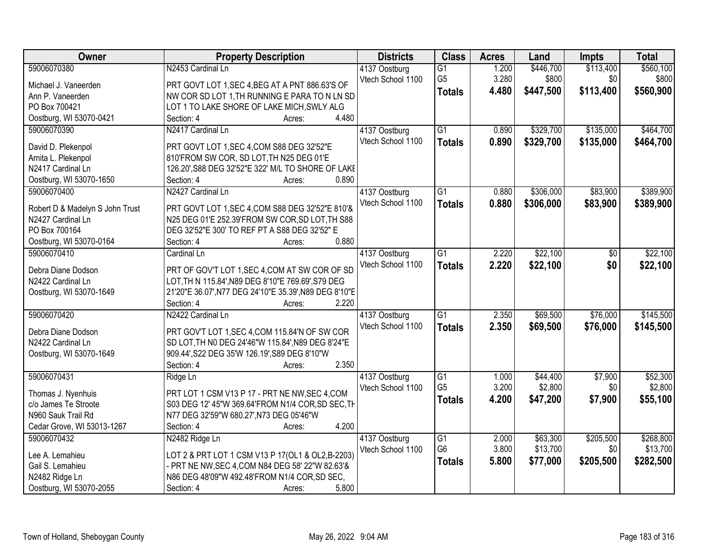| Owner                                   | <b>Property Description</b>                                                                          | <b>Districts</b>  | <b>Class</b>    | <b>Acres</b> | Land      | <b>Impts</b> | <b>Total</b> |
|-----------------------------------------|------------------------------------------------------------------------------------------------------|-------------------|-----------------|--------------|-----------|--------------|--------------|
| 59006070380                             | N2453 Cardinal Ln                                                                                    | 4137 Oostburg     | G1              | 1.200        | \$446,700 | \$113,400    | \$560,100    |
| Michael J. Vaneerden                    | PRT GOVT LOT 1, SEC 4, BEG AT A PNT 886.63'S OF                                                      | Vtech School 1100 | G <sub>5</sub>  | 3.280        | \$800     | \$0          | \$800        |
| Ann P. Vaneerden                        | NW COR SD LOT 1, TH RUNNING E PARA TO N LN SD                                                        |                   | <b>Totals</b>   | 4.480        | \$447,500 | \$113,400    | \$560,900    |
| PO Box 700421                           | LOT 1 TO LAKE SHORE OF LAKE MICH, SWLY ALG                                                           |                   |                 |              |           |              |              |
| Oostburg, WI 53070-0421                 | 4.480<br>Section: 4<br>Acres:                                                                        |                   |                 |              |           |              |              |
| 59006070390                             | N2417 Cardinal Ln                                                                                    | 4137 Oostburg     | $\overline{G1}$ | 0.890        | \$329,700 | \$135,000    | \$464,700    |
|                                         |                                                                                                      | Vtech School 1100 | <b>Totals</b>   | 0.890        | \$329,700 | \$135,000    | \$464,700    |
| David D. Plekenpol                      | PRT GOVT LOT 1, SEC 4, COM S88 DEG 32'52"E                                                           |                   |                 |              |           |              |              |
| Arnita L. Plekenpol                     | 810'FROM SW COR, SD LOT, TH N25 DEG 01'E                                                             |                   |                 |              |           |              |              |
| N2417 Cardinal Ln                       | 126.20', S88 DEG 32'52"E 322' M/L TO SHORE OF LAKE                                                   |                   |                 |              |           |              |              |
| Oostburg, WI 53070-1650                 | 0.890<br>Section: 4<br>Acres:                                                                        |                   |                 |              |           |              |              |
| 59006070400                             | N2427 Cardinal Ln                                                                                    | 4137 Oostburg     | $\overline{G1}$ | 0.880        | \$306,000 | \$83,900     | \$389,900    |
| Robert D & Madelyn S John Trust         | PRT GOVT LOT 1, SEC 4, COM S88 DEG 32'52"E 810'&                                                     | Vtech School 1100 | <b>Totals</b>   | 0.880        | \$306,000 | \$83,900     | \$389,900    |
| N2427 Cardinal Ln                       | N25 DEG 01'E 252.39'FROM SW COR, SD LOT, TH S88                                                      |                   |                 |              |           |              |              |
| PO Box 700164                           | DEG 32'52"E 300' TO REF PT A S88 DEG 32'52" E                                                        |                   |                 |              |           |              |              |
| Oostburg, WI 53070-0164                 | 0.880<br>Section: 4<br>Acres:                                                                        |                   |                 |              |           |              |              |
| 59006070410                             | Cardinal Ln                                                                                          | 4137 Oostburg     | $\overline{G1}$ | 2.220        | \$22,100  | \$0          | \$22,100     |
|                                         |                                                                                                      | Vtech School 1100 | <b>Totals</b>   | 2.220        | \$22,100  | \$0          | \$22,100     |
| Debra Diane Dodson<br>N2422 Cardinal Ln | PRT OF GOV'T LOT 1, SEC 4, COM AT SW COR OF SD<br>LOT, TH N 115.84', N89 DEG 8'10"E 769.69', S79 DEG |                   |                 |              |           |              |              |
|                                         | 21'20"E 36.07', N77 DEG 24'10"E 35.39', N89 DEG 8'10"E                                               |                   |                 |              |           |              |              |
| Oostburg, WI 53070-1649                 | 2.220<br>Section: 4<br>Acres:                                                                        |                   |                 |              |           |              |              |
| 59006070420                             | N2422 Cardinal Ln                                                                                    | 4137 Oostburg     | $\overline{G1}$ | 2.350        | \$69,500  | \$76,000     | \$145,500    |
|                                         |                                                                                                      | Vtech School 1100 |                 | 2.350        |           |              |              |
| Debra Diane Dodson                      | PRT GOV'T LOT 1, SEC 4, COM 115.84'N OF SW COR                                                       |                   | <b>Totals</b>   |              | \$69,500  | \$76,000     | \$145,500    |
| N2422 Cardinal Ln                       | SD LOT, TH NO DEG 24'46"W 115.84', N89 DEG 8'24"E                                                    |                   |                 |              |           |              |              |
| Oostburg, WI 53070-1649                 | 909.44', S22 DEG 35'W 126.19', S89 DEG 8'10"W                                                        |                   |                 |              |           |              |              |
|                                         | 2.350<br>Section: 4<br>Acres:                                                                        |                   |                 |              |           |              |              |
| 59006070431                             | Ridge Ln                                                                                             | 4137 Oostburg     | G1              | 1.000        | \$44,400  | \$7,900      | \$52,300     |
| Thomas J. Nyenhuis                      | PRT LOT 1 CSM V13 P 17 - PRT NE NW, SEC 4, COM                                                       | Vtech School 1100 | G <sub>5</sub>  | 3.200        | \$2,800   | \$0          | \$2,800      |
| c/o James Te Stroote                    | S03 DEG 12' 45"W 369.64'FROM N1/4 COR, SD SEC, TH                                                    |                   | <b>Totals</b>   | 4.200        | \$47,200  | \$7,900      | \$55,100     |
| N960 Sauk Trail Rd                      | N77 DEG 32'59"W 680.27', N73 DEG 05'46"W                                                             |                   |                 |              |           |              |              |
| Cedar Grove, WI 53013-1267              | 4.200<br>Section: 4<br>Acres:                                                                        |                   |                 |              |           |              |              |
| 59006070432                             | N2482 Ridge Ln                                                                                       | 4137 Oostburg     | G1              | 2.000        | \$63,300  | \$205,500    | \$268,800    |
|                                         |                                                                                                      | Vtech School 1100 | G <sub>6</sub>  | 3.800        | \$13,700  | \$0          | \$13,700     |
| Lee A. Lemahieu                         | LOT 2 & PRT LOT 1 CSM V13 P 17(OL1 & OL2,B-2203)                                                     |                   | <b>Totals</b>   | 5.800        | \$77,000  | \$205,500    | \$282,500    |
| Gail S. Lemahieu                        | - PRT NE NW, SEC 4, COM N84 DEG 58' 22"W 82.63'&                                                     |                   |                 |              |           |              |              |
| N2482 Ridge Ln                          | N86 DEG 48'09"W 492.48'FROM N1/4 COR, SD SEC,                                                        |                   |                 |              |           |              |              |
| Oostburg, WI 53070-2055                 | 5.800<br>Section: 4<br>Acres:                                                                        |                   |                 |              |           |              |              |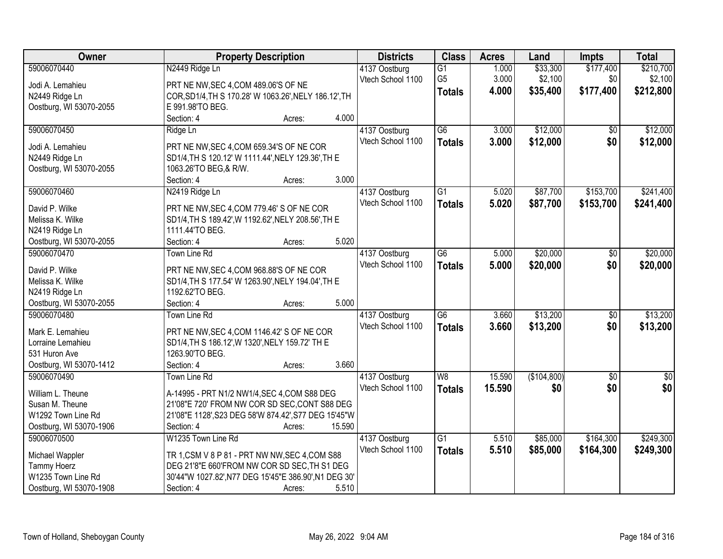| Owner                   | <b>Property Description</b>                           |        | <b>Districts</b>  | <b>Class</b>    | <b>Acres</b> | Land        | <b>Impts</b>    | <b>Total</b> |
|-------------------------|-------------------------------------------------------|--------|-------------------|-----------------|--------------|-------------|-----------------|--------------|
| 59006070440             | N2449 Ridge Ln                                        |        | 4137 Oostburg     | $\overline{G1}$ | 1.000        | \$33,300    | \$177,400       | \$210,700    |
| Jodi A. Lemahieu        | PRT NE NW, SEC 4, COM 489.06'S OF NE                  |        | Vtech School 1100 | G <sub>5</sub>  | 3.000        | \$2,100     | \$0             | \$2,100      |
| N2449 Ridge Ln          | COR, SD1/4, TH S 170.28' W 1063.26', NELY 186.12', TH |        |                   | <b>Totals</b>   | 4.000        | \$35,400    | \$177,400       | \$212,800    |
| Oostburg, WI 53070-2055 | E 991.98'TO BEG.                                      |        |                   |                 |              |             |                 |              |
|                         | Section: 4                                            | Acres: | 4.000             |                 |              |             |                 |              |
| 59006070450             | Ridge Ln                                              |        | 4137 Oostburg     | $\overline{G6}$ | 3.000        | \$12,000    | $\overline{50}$ | \$12,000     |
|                         |                                                       |        | Vtech School 1100 | <b>Totals</b>   | 3.000        | \$12,000    | \$0             | \$12,000     |
| Jodi A. Lemahieu        | PRT NE NW, SEC 4, COM 659.34'S OF NE COR              |        |                   |                 |              |             |                 |              |
| N2449 Ridge Ln          | SD1/4, TH S 120.12' W 1111.44', NELY 129.36', TH E    |        |                   |                 |              |             |                 |              |
| Oostburg, WI 53070-2055 | 1063.26'TO BEG, & R/W.                                |        |                   |                 |              |             |                 |              |
|                         | Section: 4                                            | Acres: | 3.000             |                 |              |             |                 |              |
| 59006070460             | N2419 Ridge Ln                                        |        | 4137 Oostburg     | G1              | 5.020        | \$87,700    | \$153,700       | \$241,400    |
| David P. Wilke          | PRT NE NW, SEC 4, COM 779.46' S OF NE COR             |        | Vtech School 1100 | <b>Totals</b>   | 5.020        | \$87,700    | \$153,700       | \$241,400    |
| Melissa K. Wilke        | SD1/4, TH S 189.42', W 1192.62', NELY 208.56', TH E   |        |                   |                 |              |             |                 |              |
| N2419 Ridge Ln          | 1111.44'TO BEG.                                       |        |                   |                 |              |             |                 |              |
| Oostburg, WI 53070-2055 | Section: 4                                            | Acres: | 5.020             |                 |              |             |                 |              |
| 59006070470             | <b>Town Line Rd</b>                                   |        | 4137 Oostburg     | $\overline{G6}$ | 5.000        | \$20,000    | \$0             | \$20,000     |
|                         |                                                       |        | Vtech School 1100 | <b>Totals</b>   | 5.000        | \$20,000    | \$0             | \$20,000     |
| David P. Wilke          | PRT NE NW, SEC 4, COM 968.88'S OF NE COR              |        |                   |                 |              |             |                 |              |
| Melissa K. Wilke        | SD1/4, TH S 177.54' W 1263.90', NELY 194.04', TH E    |        |                   |                 |              |             |                 |              |
| N2419 Ridge Ln          | 1192.62'TO BEG.                                       |        |                   |                 |              |             |                 |              |
| Oostburg, WI 53070-2055 | Section: 4                                            | Acres: | 5.000             |                 |              |             |                 |              |
| 59006070480             | <b>Town Line Rd</b>                                   |        | 4137 Oostburg     | $\overline{G6}$ | 3.660        | \$13,200    | $\overline{50}$ | \$13,200     |
| Mark E. Lemahieu        | PRT NE NW, SEC 4, COM 1146.42' S OF NE COR            |        | Vtech School 1100 | <b>Totals</b>   | 3.660        | \$13,200    | \$0             | \$13,200     |
| Lorraine Lemahieu       | SD1/4, TH S 186.12', W 1320', NELY 159.72' TH E       |        |                   |                 |              |             |                 |              |
| 531 Huron Ave           | 1263.90'TO BEG.                                       |        |                   |                 |              |             |                 |              |
| Oostburg, WI 53070-1412 | Section: 4                                            | Acres: | 3.660             |                 |              |             |                 |              |
| 59006070490             | <b>Town Line Rd</b>                                   |        | 4137 Oostburg     | W8              | 15.590       | (\$104,800) | $\overline{50}$ | $\sqrt{60}$  |
|                         |                                                       |        | Vtech School 1100 | <b>Totals</b>   | 15.590       | \$0         | \$0             | \$0          |
| William L. Theune       | A-14995 - PRT N1/2 NW1/4, SEC 4, COM S88 DEG          |        |                   |                 |              |             |                 |              |
| Susan M. Theune         | 21'08"E 720' FROM NW COR SD SEC, CONT S88 DEG         |        |                   |                 |              |             |                 |              |
| W1292 Town Line Rd      | 21'08"E 1128', S23 DEG 58'W 874.42', S77 DEG 15'45"W  |        |                   |                 |              |             |                 |              |
| Oostburg, WI 53070-1906 | Section: 4                                            | Acres: | 15.590            |                 |              |             |                 |              |
| 59006070500             | W1235 Town Line Rd                                    |        | 4137 Oostburg     | $\overline{G1}$ | 5.510        | \$85,000    | \$164,300       | \$249,300    |
| Michael Wappler         | TR 1, CSM V 8 P 81 - PRT NW NW, SEC 4, COM S88        |        | Vtech School 1100 | <b>Totals</b>   | 5.510        | \$85,000    | \$164,300       | \$249,300    |
| Tammy Hoerz             | DEG 21'8"E 660'FROM NW COR SD SEC, TH S1 DEG          |        |                   |                 |              |             |                 |              |
| W1235 Town Line Rd      | 30'44"W 1027.82', N77 DEG 15'45"E 386.90', N1 DEG 30' |        |                   |                 |              |             |                 |              |
| Oostburg, WI 53070-1908 | Section: 4                                            | Acres: | 5.510             |                 |              |             |                 |              |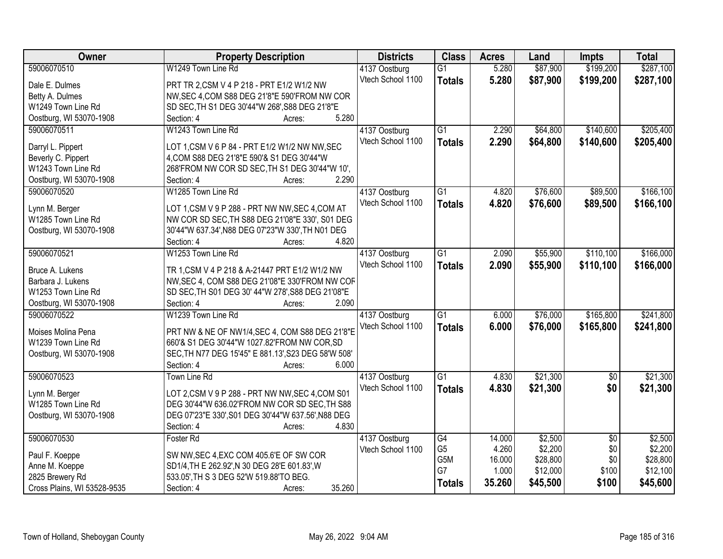| Owner                       | <b>Property Description</b>                         | <b>Districts</b>  | <b>Class</b>    | <b>Acres</b> | Land     | <b>Impts</b>    | <b>Total</b> |
|-----------------------------|-----------------------------------------------------|-------------------|-----------------|--------------|----------|-----------------|--------------|
| 59006070510                 | W1249 Town Line Rd                                  | 4137 Oostburg     | $\overline{G1}$ | 5.280        | \$87,900 | \$199,200       | \$287,100    |
| Dale E. Dulmes              | PRT TR 2,CSM V 4 P 218 - PRT E1/2 W1/2 NW           | Vtech School 1100 | <b>Totals</b>   | 5.280        | \$87,900 | \$199,200       | \$287,100    |
| Betty A. Dulmes             | NW, SEC 4, COM S88 DEG 21'8"E 590'FROM NW COR       |                   |                 |              |          |                 |              |
| W1249 Town Line Rd          | SD SEC, TH S1 DEG 30'44"W 268', S88 DEG 21'8"E      |                   |                 |              |          |                 |              |
| Oostburg, WI 53070-1908     | 5.280<br>Section: 4<br>Acres:                       |                   |                 |              |          |                 |              |
| 59006070511                 | W1243 Town Line Rd                                  | 4137 Oostburg     | $\overline{G1}$ | 2.290        | \$64,800 | \$140,600       | \$205,400    |
|                             |                                                     | Vtech School 1100 | <b>Totals</b>   | 2.290        | \$64,800 | \$140,600       | \$205,400    |
| Darryl L. Pippert           | LOT 1, CSM V 6 P 84 - PRT E1/2 W1/2 NW NW, SEC      |                   |                 |              |          |                 |              |
| Beverly C. Pippert          | 4, COM S88 DEG 21'8"E 590'& S1 DEG 30'44"W          |                   |                 |              |          |                 |              |
| W1243 Town Line Rd          | 268'FROM NW COR SD SEC, TH S1 DEG 30'44"W 10',      |                   |                 |              |          |                 |              |
| Oostburg, WI 53070-1908     | 2.290<br>Section: 4<br>Acres:                       |                   |                 |              |          |                 |              |
| 59006070520                 | W1285 Town Line Rd                                  | 4137 Oostburg     | G1              | 4.820        | \$76,600 | \$89,500        | \$166, 100   |
| Lynn M. Berger              | LOT 1,CSM V 9 P 288 - PRT NW NW, SEC 4, COM AT      | Vtech School 1100 | <b>Totals</b>   | 4.820        | \$76,600 | \$89,500        | \$166,100    |
| W1285 Town Line Rd          | NW COR SD SEC, TH S88 DEG 21'08"E 330', S01 DEG     |                   |                 |              |          |                 |              |
| Oostburg, WI 53070-1908     | 30'44"W 637.34', N88 DEG 07'23"W 330', TH N01 DEG   |                   |                 |              |          |                 |              |
|                             | 4.820<br>Section: 4<br>Acres:                       |                   |                 |              |          |                 |              |
| 59006070521                 | W1253 Town Line Rd                                  | 4137 Oostburg     | G1              | 2.090        | \$55,900 | \$110,100       | \$166,000    |
|                             |                                                     | Vtech School 1100 | <b>Totals</b>   | 2.090        | \$55,900 | \$110,100       | \$166,000    |
| Bruce A. Lukens             | TR 1, CSM V 4 P 218 & A-21447 PRT E1/2 W1/2 NW      |                   |                 |              |          |                 |              |
| Barbara J. Lukens           | NW, SEC 4, COM S88 DEG 21'08"E 330'FROM NW COF      |                   |                 |              |          |                 |              |
| W1253 Town Line Rd          | SD SEC, TH S01 DEG 30' 44"W 278', S88 DEG 21'08"E   |                   |                 |              |          |                 |              |
| Oostburg, WI 53070-1908     | Section: 4<br>2.090<br>Acres:                       |                   |                 |              |          |                 |              |
| 59006070522                 | W1239 Town Line Rd                                  | 4137 Oostburg     | $\overline{G1}$ | 6.000        | \$76,000 | \$165,800       | \$241,800    |
| Moises Molina Pena          | PRT NW & NE OF NW1/4, SEC 4, COM S88 DEG 21'8"E     | Vtech School 1100 | <b>Totals</b>   | 6.000        | \$76,000 | \$165,800       | \$241,800    |
| W1239 Town Line Rd          | 660'& S1 DEG 30'44"W 1027.82'FROM NW COR, SD        |                   |                 |              |          |                 |              |
| Oostburg, WI 53070-1908     | SEC, TH N77 DEG 15'45" E 881.13', S23 DEG 58'W 508' |                   |                 |              |          |                 |              |
|                             | Section: 4<br>6.000                                 |                   |                 |              |          |                 |              |
| 59006070523                 | Acres:                                              |                   | $\overline{G1}$ |              | \$21,300 |                 | \$21,300     |
|                             | Town Line Rd                                        | 4137 Oostburg     |                 | 4.830        |          | $\overline{50}$ |              |
| Lynn M. Berger              | LOT 2,CSM V 9 P 288 - PRT NW NW, SEC 4, COM S01     | Vtech School 1100 | <b>Totals</b>   | 4.830        | \$21,300 | \$0             | \$21,300     |
| W1285 Town Line Rd          | DEG 30'44"W 636.02'FROM NW COR SD SEC, TH S88       |                   |                 |              |          |                 |              |
| Oostburg, WI 53070-1908     | DEG 07'23"E 330', S01 DEG 30'44"W 637.56', N88 DEG  |                   |                 |              |          |                 |              |
|                             | Section: 4<br>4.830<br>Acres:                       |                   |                 |              |          |                 |              |
| 59006070530                 | Foster Rd                                           | 4137 Oostburg     | $\overline{G4}$ | 14.000       | \$2,500  | $\overline{30}$ | \$2,500      |
|                             |                                                     | Vtech School 1100 | G <sub>5</sub>  | 4.260        | \$2,200  | \$0             | \$2,200      |
| Paul F. Koeppe              | SW NW, SEC 4, EXC COM 405.6'E OF SW COR             |                   | G5M             | 16.000       | \$28,800 | \$0             | \$28,800     |
| Anne M. Koeppe              | SD1/4, TH E 262.92', N 30 DEG 28'E 601.83', W       |                   | G7              | 1.000        | \$12,000 | \$100           | \$12,100     |
| 2825 Brewery Rd             | 533.05', TH S 3 DEG 52'W 519.88'TO BEG.             |                   | <b>Totals</b>   | 35.260       | \$45,500 | \$100           | \$45,600     |
| Cross Plains, WI 53528-9535 | 35.260<br>Section: 4<br>Acres:                      |                   |                 |              |          |                 |              |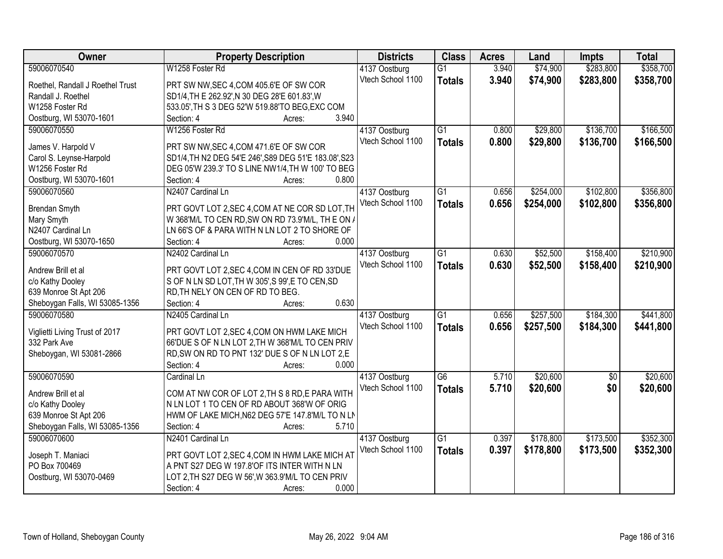| Owner                                          | <b>Property Description</b>                           | <b>Districts</b>  | <b>Class</b>    | <b>Acres</b> | Land      | <b>Impts</b>    | <b>Total</b> |
|------------------------------------------------|-------------------------------------------------------|-------------------|-----------------|--------------|-----------|-----------------|--------------|
| 59006070540                                    | W1258 Foster Rd                                       | 4137 Oostburg     | $\overline{G1}$ | 3.940        | \$74,900  | \$283,800       | \$358,700    |
| Roethel, Randall J Roethel Trust               | PRT SW NW, SEC 4, COM 405.6'E OF SW COR               | Vtech School 1100 | <b>Totals</b>   | 3.940        | \$74,900  | \$283,800       | \$358,700    |
| Randall J. Roethel                             | SD1/4, TH E 262.92', N 30 DEG 28'E 601.83', W         |                   |                 |              |           |                 |              |
| W1258 Foster Rd                                | 533.05', TH S 3 DEG 52'W 519.88'TO BEG, EXC COM       |                   |                 |              |           |                 |              |
| Oostburg, WI 53070-1601                        | 3.940<br>Section: 4<br>Acres:                         |                   |                 |              |           |                 |              |
| 59006070550                                    | W1256 Foster Rd                                       | 4137 Oostburg     | $\overline{G1}$ | 0.800        | \$29,800  | \$136,700       | \$166,500    |
|                                                |                                                       | Vtech School 1100 | <b>Totals</b>   | 0.800        | \$29,800  | \$136,700       | \$166,500    |
| James V. Harpold V                             | PRT SW NW, SEC 4, COM 471.6'E OF SW COR               |                   |                 |              |           |                 |              |
| Carol S. Leynse-Harpold                        | SD1/4, TH N2 DEG 54'E 246', S89 DEG 51'E 183.08', S23 |                   |                 |              |           |                 |              |
| W1256 Foster Rd                                | DEG 05'W 239.3' TO S LINE NW1/4, TH W 100' TO BEG     |                   |                 |              |           |                 |              |
| Oostburg, WI 53070-1601                        | 0.800<br>Section: 4<br>Acres:                         |                   |                 |              |           |                 |              |
| 59006070560                                    | N2407 Cardinal Ln                                     | 4137 Oostburg     | $\overline{G1}$ | 0.656        | \$254,000 | \$102,800       | \$356,800    |
| Brendan Smyth                                  | PRT GOVT LOT 2, SEC 4, COM AT NE COR SD LOT, TH       | Vtech School 1100 | <b>Totals</b>   | 0.656        | \$254,000 | \$102,800       | \$356,800    |
| Mary Smyth                                     | W 368'M/L TO CEN RD, SW ON RD 73.9'M/L, TH E ON /     |                   |                 |              |           |                 |              |
| N2407 Cardinal Ln                              | LN 66'S OF & PARA WITH N LN LOT 2 TO SHORE OF         |                   |                 |              |           |                 |              |
| Oostburg, WI 53070-1650                        | Section: 4<br>0.000<br>Acres:                         |                   |                 |              |           |                 |              |
| 59006070570                                    | N2402 Cardinal Ln                                     | 4137 Oostburg     | $\overline{G1}$ | 0.630        | \$52,500  | \$158,400       | \$210,900    |
|                                                |                                                       | Vtech School 1100 |                 | 0.630        | \$52,500  | \$158,400       | \$210,900    |
| Andrew Brill et al                             | PRT GOVT LOT 2, SEC 4, COM IN CEN OF RD 33'DUE        |                   | <b>Totals</b>   |              |           |                 |              |
| c/o Kathy Dooley                               | S OF N LN SD LOT, TH W 305', S 99', E TO CEN, SD      |                   |                 |              |           |                 |              |
| 639 Monroe St Apt 206                          | RD, TH NELY ON CEN OF RD TO BEG.                      |                   |                 |              |           |                 |              |
| Sheboygan Falls, WI 53085-1356                 | 0.630<br>Section: 4<br>Acres:                         |                   |                 |              |           |                 |              |
| 59006070580                                    | N2405 Cardinal Ln                                     | 4137 Oostburg     | $\overline{G1}$ | 0.656        | \$257,500 | \$184,300       | \$441,800    |
|                                                |                                                       | Vtech School 1100 | <b>Totals</b>   | 0.656        | \$257,500 | \$184,300       | \$441,800    |
| Viglietti Living Trust of 2017<br>332 Park Ave | PRT GOVT LOT 2, SEC 4, COM ON HWM LAKE MICH           |                   |                 |              |           |                 |              |
|                                                | 66'DUE S OF N LN LOT 2, TH W 368'M/L TO CEN PRIV      |                   |                 |              |           |                 |              |
| Sheboygan, WI 53081-2866                       | RD, SW ON RD TO PNT 132' DUE S OF N LN LOT 2, E       |                   |                 |              |           |                 |              |
|                                                | Section: 4<br>0.000<br>Acres:                         |                   |                 |              |           |                 |              |
| 59006070590                                    | Cardinal Ln                                           | 4137 Oostburg     | G6              | 5.710        | \$20,600  | $\overline{50}$ | \$20,600     |
| Andrew Brill et al                             | COM AT NW COR OF LOT 2, TH S 8 RD, E PARA WITH        | Vtech School 1100 | <b>Totals</b>   | 5.710        | \$20,600  | \$0             | \$20,600     |
| c/o Kathy Dooley                               | N LN LOT 1 TO CEN OF RD ABOUT 368'W OF ORIG           |                   |                 |              |           |                 |              |
| 639 Monroe St Apt 206                          | HWM OF LAKE MICH, N62 DEG 57'E 147.8'M/L TO N LN      |                   |                 |              |           |                 |              |
| Sheboygan Falls, WI 53085-1356                 | 5.710<br>Section: 4<br>Acres:                         |                   |                 |              |           |                 |              |
| 59006070600                                    | N2401 Cardinal Ln                                     | 4137 Oostburg     | $\overline{G1}$ | 0.397        | \$178,800 | \$173,500       | \$352,300    |
|                                                |                                                       | Vtech School 1100 | <b>Totals</b>   | 0.397        | \$178,800 | \$173,500       | \$352,300    |
| Joseph T. Maniaci                              | PRT GOVT LOT 2, SEC 4, COM IN HWM LAKE MICH AT        |                   |                 |              |           |                 |              |
| PO Box 700469                                  | A PNT S27 DEG W 197.8'OF ITS INTER WITH N LN          |                   |                 |              |           |                 |              |
| Oostburg, WI 53070-0469                        | LOT 2, TH S27 DEG W 56', W 363.9'M/L TO CEN PRIV      |                   |                 |              |           |                 |              |
|                                                | 0.000<br>Section: 4<br>Acres:                         |                   |                 |              |           |                 |              |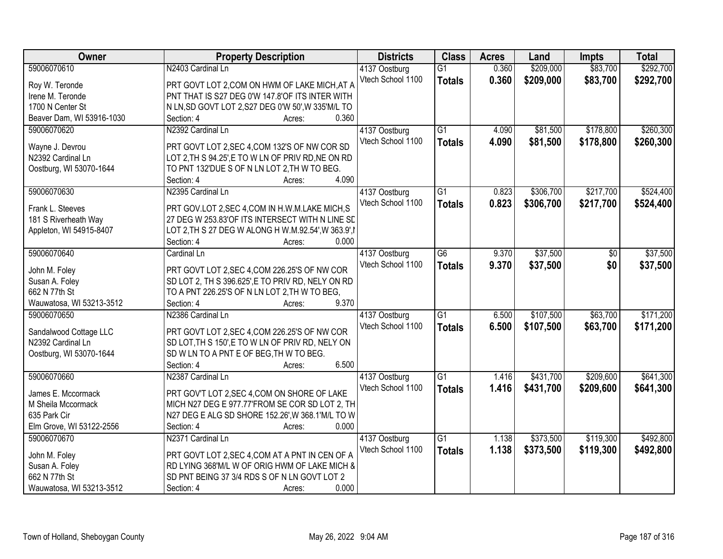| <b>Owner</b>              | <b>Property Description</b>                          | <b>Districts</b>  | <b>Class</b>    | <b>Acres</b> | Land      | <b>Impts</b> | <b>Total</b> |
|---------------------------|------------------------------------------------------|-------------------|-----------------|--------------|-----------|--------------|--------------|
| 59006070610               | N2403 Cardinal Ln                                    | 4137 Oostburg     | $\overline{G1}$ | 0.360        | \$209,000 | \$83,700     | \$292,700    |
| Roy W. Teronde            | PRT GOVT LOT 2, COM ON HWM OF LAKE MICH, AT A        | Vtech School 1100 | <b>Totals</b>   | 0.360        | \$209,000 | \$83,700     | \$292,700    |
| Irene M. Teronde          | PNT THAT IS S27 DEG 0'W 147.8'OF ITS INTER WITH      |                   |                 |              |           |              |              |
| 1700 N Center St          | N LN, SD GOVT LOT 2, S27 DEG 0'W 50', W 335'M/L TO   |                   |                 |              |           |              |              |
| Beaver Dam, WI 53916-1030 | 0.360<br>Section: 4<br>Acres:                        |                   |                 |              |           |              |              |
| 59006070620               | N2392 Cardinal Ln                                    | 4137 Oostburg     | $\overline{G1}$ | 4.090        | \$81,500  | \$178,800    | \$260,300    |
|                           |                                                      | Vtech School 1100 | <b>Totals</b>   | 4.090        | \$81,500  | \$178,800    | \$260,300    |
| Wayne J. Devrou           | PRT GOVT LOT 2, SEC 4, COM 132'S OF NW COR SD        |                   |                 |              |           |              |              |
| N2392 Cardinal Ln         | LOT 2, TH S 94.25', E TO W LN OF PRIV RD, NE ON RD   |                   |                 |              |           |              |              |
| Oostburg, WI 53070-1644   | TO PNT 132'DUE S OF N LN LOT 2, TH W TO BEG.         |                   |                 |              |           |              |              |
|                           | 4.090<br>Section: 4<br>Acres:                        |                   |                 |              |           |              |              |
| 59006070630               | N2395 Cardinal Ln                                    | 4137 Oostburg     | G1              | 0.823        | \$306,700 | \$217,700    | \$524,400    |
| Frank L. Steeves          | PRT GOV.LOT 2, SEC 4, COM IN H.W.M.LAKE MICH, S      | Vtech School 1100 | <b>Totals</b>   | 0.823        | \$306,700 | \$217,700    | \$524,400    |
| 181 S Riverheath Way      | 27 DEG W 253.83'OF ITS INTERSECT WITH N LINE SD      |                   |                 |              |           |              |              |
| Appleton, WI 54915-8407   | LOT 2, TH S 27 DEG W ALONG H W.M.92.54', W 363.9', I |                   |                 |              |           |              |              |
|                           | Section: 4<br>0.000<br>Acres:                        |                   |                 |              |           |              |              |
| 59006070640               | Cardinal Ln                                          | 4137 Oostburg     | $\overline{G6}$ | 9.370        | \$37,500  | \$0          | \$37,500     |
|                           |                                                      | Vtech School 1100 | <b>Totals</b>   | 9.370        | \$37,500  | \$0          | \$37,500     |
| John M. Foley             | PRT GOVT LOT 2, SEC 4, COM 226.25'S OF NW COR        |                   |                 |              |           |              |              |
| Susan A. Foley            | SD LOT 2, TH S 396.625', E TO PRIV RD, NELY ON RD    |                   |                 |              |           |              |              |
| 662 N 77th St             | TO A PNT 226.25'S OF N LN LOT 2, TH W TO BEG,        |                   |                 |              |           |              |              |
| Wauwatosa, WI 53213-3512  | 9.370<br>Section: 4<br>Acres:                        |                   |                 |              |           |              |              |
| 59006070650               | N2386 Cardinal Ln                                    | 4137 Oostburg     | $\overline{G1}$ | 6.500        | \$107,500 | \$63,700     | \$171,200    |
| Sandalwood Cottage LLC    | PRT GOVT LOT 2,SEC 4,COM 226.25'S OF NW COR          | Vtech School 1100 | <b>Totals</b>   | 6.500        | \$107,500 | \$63,700     | \$171,200    |
| N2392 Cardinal Ln         | SD LOT, TH S 150', E TO W LN OF PRIV RD, NELY ON     |                   |                 |              |           |              |              |
| Oostburg, WI 53070-1644   | SD W LN TO A PNT E OF BEG, TH W TO BEG.              |                   |                 |              |           |              |              |
|                           | 6.500<br>Section: 4<br>Acres:                        |                   |                 |              |           |              |              |
| 59006070660               | N2387 Cardinal Ln                                    | 4137 Oostburg     | $\overline{G1}$ | 1.416        | \$431,700 | \$209,600    | \$641,300    |
|                           |                                                      | Vtech School 1100 | <b>Totals</b>   | 1.416        | \$431,700 | \$209,600    | \$641,300    |
| James E. Mccormack        | PRT GOV'T LOT 2, SEC 4, COM ON SHORE OF LAKE         |                   |                 |              |           |              |              |
| M Sheila Mccormack        | MICH N27 DEG E 977.77'FROM SE COR SD LOT 2, TH       |                   |                 |              |           |              |              |
| 635 Park Cir              | N27 DEG E ALG SD SHORE 152.26', W 368.1'M/L TO W     |                   |                 |              |           |              |              |
| Elm Grove, WI 53122-2556  | 0.000<br>Section: 4<br>Acres:                        |                   |                 |              |           |              |              |
| 59006070670               | N2371 Cardinal Ln                                    | 4137 Oostburg     | $\overline{G1}$ | 1.138        | \$373,500 | \$119,300    | \$492,800    |
| John M. Foley             | PRT GOVT LOT 2, SEC 4, COM AT A PNT IN CEN OF A      | Vtech School 1100 | <b>Totals</b>   | 1.138        | \$373,500 | \$119,300    | \$492,800    |
| Susan A. Foley            | RD LYING 368'M/L W OF ORIG HWM OF LAKE MICH &        |                   |                 |              |           |              |              |
| 662 N 77th St             | SD PNT BEING 37 3/4 RDS S OF N LN GOVT LOT 2         |                   |                 |              |           |              |              |
| Wauwatosa, WI 53213-3512  | 0.000<br>Section: 4<br>Acres:                        |                   |                 |              |           |              |              |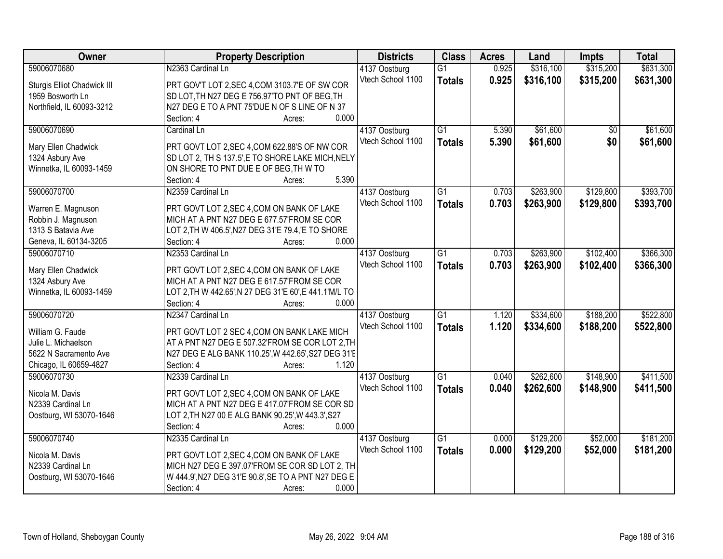| Owner                       | <b>Property Description</b>                                  | <b>Districts</b>                   | <b>Class</b>    | <b>Acres</b> | Land      | <b>Impts</b> | <b>Total</b> |
|-----------------------------|--------------------------------------------------------------|------------------------------------|-----------------|--------------|-----------|--------------|--------------|
| 59006070680                 | N2363 Cardinal Ln                                            | 4137 Oostburg                      | $\overline{G1}$ | 0.925        | \$316,100 | \$315,200    | \$631,300    |
| Sturgis Elliot Chadwick III | PRT GOV'T LOT 2, SEC 4, COM 3103.7'E OF SW COR               | Vtech School 1100                  | <b>Totals</b>   | 0.925        | \$316,100 | \$315,200    | \$631,300    |
| 1959 Bosworth Ln            | SD LOT, TH N27 DEG E 756.97'TO PNT OF BEG, TH                |                                    |                 |              |           |              |              |
| Northfield, IL 60093-3212   | N27 DEG E TO A PNT 75'DUE N OF S LINE OF N 37                |                                    |                 |              |           |              |              |
|                             | 0.000<br>Section: 4<br>Acres:                                |                                    |                 |              |           |              |              |
| 59006070690                 | Cardinal Ln                                                  | 4137 Oostburg                      | $\overline{G1}$ | 5.390        | \$61,600  | \$0          | \$61,600     |
|                             |                                                              | Vtech School 1100                  | <b>Totals</b>   | 5.390        | \$61,600  | \$0          | \$61,600     |
| Mary Ellen Chadwick         | PRT GOVT LOT 2, SEC 4, COM 622.88'S OF NW COR                |                                    |                 |              |           |              |              |
| 1324 Asbury Ave             | SD LOT 2, TH S 137.5', E TO SHORE LAKE MICH, NELY            |                                    |                 |              |           |              |              |
| Winnetka, IL 60093-1459     | ON SHORE TO PNT DUE E OF BEG, TH W TO<br>5.390<br>Section: 4 |                                    |                 |              |           |              |              |
| 59006070700                 | Acres:<br>N2359 Cardinal Ln                                  |                                    | $\overline{G1}$ | 0.703        | \$263,900 | \$129,800    | \$393,700    |
|                             |                                                              | 4137 Oostburg<br>Vtech School 1100 |                 |              |           |              |              |
| Warren E. Magnuson          | PRT GOVT LOT 2, SEC 4, COM ON BANK OF LAKE                   |                                    | <b>Totals</b>   | 0.703        | \$263,900 | \$129,800    | \$393,700    |
| Robbin J. Magnuson          | MICH AT A PNT N27 DEG E 677.57'FROM SE COR                   |                                    |                 |              |           |              |              |
| 1313 S Batavia Ave          | LOT 2, TH W 406.5', N27 DEG 31'E 79.4, 'E TO SHORE           |                                    |                 |              |           |              |              |
| Geneva, IL 60134-3205       | 0.000<br>Section: 4<br>Acres:                                |                                    |                 |              |           |              |              |
| 59006070710                 | N2353 Cardinal Ln                                            | 4137 Oostburg                      | G1              | 0.703        | \$263,900 | \$102,400    | \$366,300    |
| Mary Ellen Chadwick         | PRT GOVT LOT 2, SEC 4, COM ON BANK OF LAKE                   | Vtech School 1100                  | <b>Totals</b>   | 0.703        | \$263,900 | \$102,400    | \$366,300    |
| 1324 Asbury Ave             | MICH AT A PNT N27 DEG E 617.57'FROM SE COR                   |                                    |                 |              |           |              |              |
| Winnetka, IL 60093-1459     | LOT 2, TH W 442.65', N 27 DEG 31'E 60', E 441.1'M/L TO       |                                    |                 |              |           |              |              |
|                             | 0.000<br>Section: 4<br>Acres:                                |                                    |                 |              |           |              |              |
| 59006070720                 | N2347 Cardinal Ln                                            | 4137 Oostburg                      | $\overline{G1}$ | 1.120        | \$334,600 | \$188,200    | \$522,800    |
|                             |                                                              | Vtech School 1100                  |                 | 1.120        | \$334,600 | \$188,200    | \$522,800    |
| William G. Faude            | PRT GOVT LOT 2 SEC 4, COM ON BANK LAKE MICH                  |                                    | <b>Totals</b>   |              |           |              |              |
| Julie L. Michaelson         | AT A PNT N27 DEG E 507.32 FROM SE COR LOT 2, TH              |                                    |                 |              |           |              |              |
| 5622 N Sacramento Ave       | N27 DEG E ALG BANK 110.25', W 442.65', S27 DEG 31'E          |                                    |                 |              |           |              |              |
| Chicago, IL 60659-4827      | 1.120<br>Section: 4<br>Acres:                                |                                    |                 |              |           |              |              |
| 59006070730                 | N2339 Cardinal Ln                                            | 4137 Oostburg                      | $\overline{G1}$ | 0.040        | \$262,600 | \$148,900    | \$411,500    |
| Nicola M. Davis             | PRT GOVT LOT 2, SEC 4, COM ON BANK OF LAKE                   | Vtech School 1100                  | <b>Totals</b>   | 0.040        | \$262,600 | \$148,900    | \$411,500    |
| N2339 Cardinal Ln           | MICH AT A PNT N27 DEG E 417.07'FROM SE COR SD                |                                    |                 |              |           |              |              |
| Oostburg, WI 53070-1646     | LOT 2, TH N27 00 E ALG BANK 90.25', W 443.3', S27            |                                    |                 |              |           |              |              |
|                             | 0.000<br>Section: 4<br>Acres:                                |                                    |                 |              |           |              |              |
| 59006070740                 | N2335 Cardinal Ln                                            | 4137 Oostburg                      | $\overline{G1}$ | 0.000        | \$129,200 | \$52,000     | \$181,200    |
|                             |                                                              | Vtech School 1100                  | <b>Totals</b>   | 0.000        | \$129,200 | \$52,000     | \$181,200    |
| Nicola M. Davis             | PRT GOVT LOT 2, SEC 4, COM ON BANK OF LAKE                   |                                    |                 |              |           |              |              |
| N2339 Cardinal Ln           | MICH N27 DEG E 397.07'FROM SE COR SD LOT 2, TH               |                                    |                 |              |           |              |              |
| Oostburg, WI 53070-1646     | W 444.9', N27 DEG 31'E 90.8', SE TO A PNT N27 DEG E          |                                    |                 |              |           |              |              |
|                             | 0.000<br>Section: 4<br>Acres:                                |                                    |                 |              |           |              |              |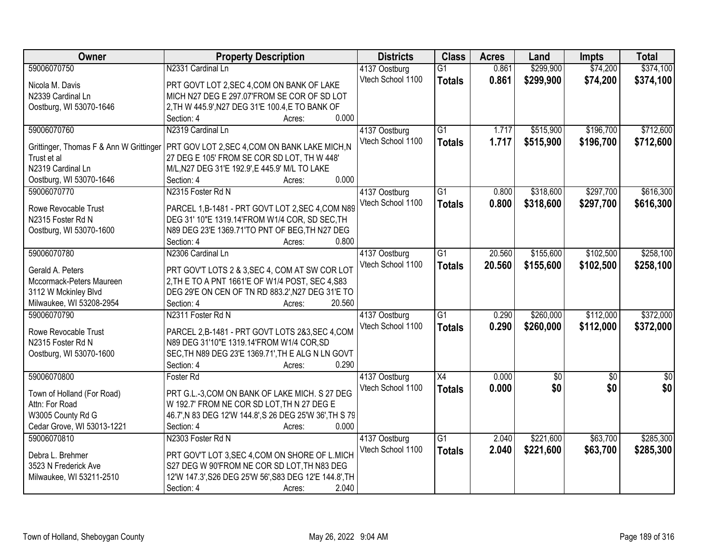| <b>Owner</b>                            | <b>Property Description</b>                             | <b>Districts</b>  | <b>Class</b>    | <b>Acres</b> | Land        | <b>Impts</b>    | <b>Total</b> |
|-----------------------------------------|---------------------------------------------------------|-------------------|-----------------|--------------|-------------|-----------------|--------------|
| 59006070750                             | N2331 Cardinal Ln                                       | 4137 Oostburg     | $\overline{G1}$ | 0.861        | \$299,900   | \$74,200        | \$374,100    |
| Nicola M. Davis                         | PRT GOVT LOT 2, SEC 4, COM ON BANK OF LAKE              | Vtech School 1100 | <b>Totals</b>   | 0.861        | \$299,900   | \$74,200        | \$374,100    |
| N2339 Cardinal Ln                       | MICH N27 DEG E 297.07'FROM SE COR OF SD LOT             |                   |                 |              |             |                 |              |
| Oostburg, WI 53070-1646                 | 2, TH W 445.9', N27 DEG 31'E 100.4, E TO BANK OF        |                   |                 |              |             |                 |              |
|                                         | 0.000<br>Section: 4<br>Acres:                           |                   |                 |              |             |                 |              |
| 59006070760                             | N2319 Cardinal Ln                                       | 4137 Oostburg     | $\overline{G1}$ | 1.717        | \$515,900   | \$196,700       | \$712,600    |
|                                         |                                                         | Vtech School 1100 | <b>Totals</b>   | 1.717        | \$515,900   | \$196,700       | \$712,600    |
| Grittinger, Thomas F & Ann W Grittinger | PRT GOV LOT 2, SEC 4, COM ON BANK LAKE MICH, N          |                   |                 |              |             |                 |              |
| Trust et al                             | 27 DEG E 105' FROM SE COR SD LOT, TH W 448'             |                   |                 |              |             |                 |              |
| N2319 Cardinal Ln                       | M/L, N27 DEG 31'E 192.9', E 445.9' M/L TO LAKE          |                   |                 |              |             |                 |              |
| Oostburg, WI 53070-1646                 | 0.000<br>Section: 4<br>Acres:                           |                   |                 |              |             |                 |              |
| 59006070770                             | N2315 Foster Rd N                                       | 4137 Oostburg     | G1              | 0.800        | \$318,600   | \$297,700       | \$616,300    |
| Rowe Revocable Trust                    | PARCEL 1,B-1481 - PRT GOVT LOT 2,SEC 4,COM N89          | Vtech School 1100 | <b>Totals</b>   | 0.800        | \$318,600   | \$297,700       | \$616,300    |
| N2315 Foster Rd N                       | DEG 31' 10"E 1319.14'FROM W1/4 COR, SD SEC, TH          |                   |                 |              |             |                 |              |
| Oostburg, WI 53070-1600                 | N89 DEG 23'E 1369.71'TO PNT OF BEG, TH N27 DEG          |                   |                 |              |             |                 |              |
|                                         | 0.800<br>Section: 4<br>Acres:                           |                   |                 |              |             |                 |              |
| 59006070780                             | N2306 Cardinal Ln                                       | 4137 Oostburg     | G1              | 20.560       | \$155,600   | \$102,500       | \$258,100    |
|                                         |                                                         | Vtech School 1100 | <b>Totals</b>   | 20.560       | \$155,600   | \$102,500       | \$258,100    |
| Gerald A. Peters                        | PRT GOV'T LOTS 2 & 3, SEC 4, COM AT SW COR LOT          |                   |                 |              |             |                 |              |
| Mccormack-Peters Maureen                | 2, TH E TO A PNT 1661'E OF W1/4 POST, SEC 4, S83        |                   |                 |              |             |                 |              |
| 3112 W Mckinley Blvd                    | DEG 29'E ON CEN OF TN RD 883.2', N27 DEG 31'E TO        |                   |                 |              |             |                 |              |
| Milwaukee, WI 53208-2954                | 20.560<br>Section: 4<br>Acres:                          |                   |                 |              |             |                 |              |
| 59006070790                             | N2311 Foster Rd N                                       | 4137 Oostburg     | $\overline{G1}$ | 0.290        | \$260,000   | \$112,000       | \$372,000    |
| Rowe Revocable Trust                    | PARCEL 2,B-1481 - PRT GOVT LOTS 2&3, SEC 4, COM         | Vtech School 1100 | <b>Totals</b>   | 0.290        | \$260,000   | \$112,000       | \$372,000    |
| N2315 Foster Rd N                       | N89 DEG 31'10"E 1319.14'FROM W1/4 COR, SD               |                   |                 |              |             |                 |              |
| Oostburg, WI 53070-1600                 | SEC, TH N89 DEG 23'E 1369.71', TH E ALG N LN GOVT       |                   |                 |              |             |                 |              |
|                                         | 0.290<br>Section: 4<br>Acres:                           |                   |                 |              |             |                 |              |
| 59006070800                             | Foster Rd                                               | 4137 Oostburg     | $\overline{X4}$ | 0.000        | $\sqrt{50}$ | $\overline{50}$ | $\sqrt{60}$  |
|                                         |                                                         | Vtech School 1100 | <b>Totals</b>   | 0.000        | \$0         | \$0             | \$0          |
| Town of Holland (For Road)              | PRT G.L.-3, COM ON BANK OF LAKE MICH. S 27 DEG          |                   |                 |              |             |                 |              |
| Attn: For Road                          | W 192.7' FROM NE COR SD LOT, TH N 27 DEG E              |                   |                 |              |             |                 |              |
| W3005 County Rd G                       | 46.7', N 83 DEG 12'W 144.8', S 26 DEG 25'W 36', TH S 79 |                   |                 |              |             |                 |              |
| Cedar Grove, WI 53013-1221              | 0.000<br>Section: 4<br>Acres:                           |                   |                 |              |             |                 |              |
| 59006070810                             | N2303 Foster Rd N                                       | 4137 Oostburg     | $\overline{G1}$ | 2.040        | \$221,600   | \$63,700        | \$285,300    |
| Debra L. Brehmer                        | PRT GOV'T LOT 3, SEC 4, COM ON SHORE OF L.MICH          | Vtech School 1100 | <b>Totals</b>   | 2.040        | \$221,600   | \$63,700        | \$285,300    |
| 3523 N Frederick Ave                    | S27 DEG W 90'FROM NE COR SD LOT, TH N83 DEG             |                   |                 |              |             |                 |              |
| Milwaukee, WI 53211-2510                | 12'W 147.3', S26 DEG 25'W 56', S83 DEG 12'E 144.8', TH  |                   |                 |              |             |                 |              |
|                                         | 2.040<br>Section: 4<br>Acres:                           |                   |                 |              |             |                 |              |
|                                         |                                                         |                   |                 |              |             |                 |              |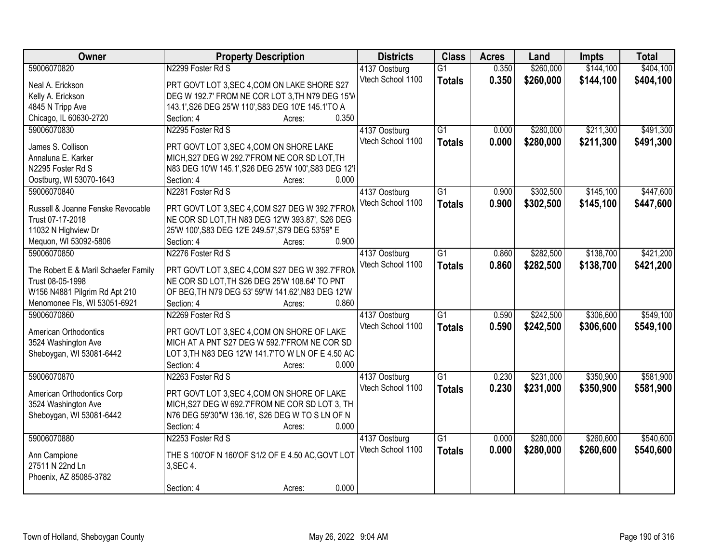| Owner                                | <b>Property Description</b>                          | <b>Districts</b>  | <b>Class</b>    | <b>Acres</b> | Land      | <b>Impts</b> | <b>Total</b> |
|--------------------------------------|------------------------------------------------------|-------------------|-----------------|--------------|-----------|--------------|--------------|
| 59006070820                          | N2299 Foster Rd S                                    | 4137 Oostburg     | $\overline{G1}$ | 0.350        | \$260,000 | \$144,100    | \$404,100    |
| Neal A. Erickson                     | PRT GOVT LOT 3, SEC 4, COM ON LAKE SHORE S27         | Vtech School 1100 | <b>Totals</b>   | 0.350        | \$260,000 | \$144,100    | \$404,100    |
| Kelly A. Erickson                    | DEG W 192.7' FROM NE COR LOT 3, TH N79 DEG 15'W      |                   |                 |              |           |              |              |
| 4845 N Tripp Ave                     | 143.1', S26 DEG 25'W 110', S83 DEG 10'E 145.1'TO A   |                   |                 |              |           |              |              |
| Chicago, IL 60630-2720               | 0.350<br>Section: 4<br>Acres:                        |                   |                 |              |           |              |              |
| 59006070830                          | N2295 Foster Rd S                                    | 4137 Oostburg     | $\overline{G1}$ | 0.000        | \$280,000 | \$211,300    | \$491,300    |
| James S. Collison                    | PRT GOVT LOT 3, SEC 4, COM ON SHORE LAKE             | Vtech School 1100 | <b>Totals</b>   | 0.000        | \$280,000 | \$211,300    | \$491,300    |
| Annaluna E. Karker                   | MICH, S27 DEG W 292.7'FROM NE COR SD LOT, TH         |                   |                 |              |           |              |              |
| N2295 Foster Rd S                    | N83 DEG 10'W 145.1', S26 DEG 25'W 100', S83 DEG 12'I |                   |                 |              |           |              |              |
|                                      | 0.000<br>Section: 4<br>Acres:                        |                   |                 |              |           |              |              |
| Oostburg, WI 53070-1643              | N2281 Foster Rd S                                    |                   | $\overline{G1}$ | 0.900        |           | \$145,100    | \$447,600    |
| 59006070840                          |                                                      | 4137 Oostburg     |                 |              | \$302,500 |              |              |
| Russell & Joanne Fenske Revocable    | PRT GOVT LOT 3, SEC 4, COM S27 DEG W 392.7'FROM      | Vtech School 1100 | <b>Totals</b>   | 0.900        | \$302,500 | \$145,100    | \$447,600    |
| Trust 07-17-2018                     | NE COR SD LOT, TH N83 DEG 12'W 393.87', S26 DEG      |                   |                 |              |           |              |              |
| 11032 N Highview Dr                  | 25'W 100', S83 DEG 12'E 249.57', S79 DEG 53'59" E    |                   |                 |              |           |              |              |
| Mequon, WI 53092-5806                | 0.900<br>Section: 4<br>Acres:                        |                   |                 |              |           |              |              |
| 59006070850                          | N2276 Foster Rd S                                    | 4137 Oostburg     | $\overline{G1}$ | 0.860        | \$282,500 | \$138,700    | \$421,200    |
|                                      |                                                      | Vtech School 1100 | <b>Totals</b>   | 0.860        | \$282,500 | \$138,700    | \$421,200    |
| The Robert E & Maril Schaefer Family | PRT GOVT LOT 3, SEC 4, COM S27 DEG W 392.7'FROM      |                   |                 |              |           |              |              |
| Trust 08-05-1998                     | NE COR SD LOT, TH S26 DEG 25'W 108.64' TO PNT        |                   |                 |              |           |              |              |
| W156 N4881 Pilgrim Rd Apt 210        | OF BEG, TH N79 DEG 53' 59"W 141.62', N83 DEG 12'W    |                   |                 |              |           |              |              |
| Menomonee Fls, WI 53051-6921         | 0.860<br>Section: 4<br>Acres:                        |                   |                 |              |           |              |              |
| 59006070860                          | N2269 Foster Rd S                                    | 4137 Oostburg     | $\overline{G1}$ | 0.590        | \$242,500 | \$306,600    | \$549,100    |
| American Orthodontics                | PRT GOVT LOT 3, SEC 4, COM ON SHORE OF LAKE          | Vtech School 1100 | <b>Totals</b>   | 0.590        | \$242,500 | \$306,600    | \$549,100    |
| 3524 Washington Ave                  | MICH AT A PNT S27 DEG W 592.7'FROM NE COR SD         |                   |                 |              |           |              |              |
| Sheboygan, WI 53081-6442             | LOT 3, TH N83 DEG 12'W 141.7'TO W LN OF E 4.50 AC    |                   |                 |              |           |              |              |
|                                      | Section: 4<br>0.000<br>Acres:                        |                   |                 |              |           |              |              |
| 59006070870                          | N2263 Foster Rd S                                    | 4137 Oostburg     | $\overline{G1}$ | 0.230        | \$231,000 | \$350,900    | \$581,900    |
|                                      |                                                      | Vtech School 1100 | <b>Totals</b>   | 0.230        | \$231,000 | \$350,900    | \$581,900    |
| American Orthodontics Corp           | PRT GOVT LOT 3, SEC 4, COM ON SHORE OF LAKE          |                   |                 |              |           |              |              |
| 3524 Washington Ave                  | MICH, S27 DEG W 692.7'FROM NE COR SD LOT 3, TH       |                   |                 |              |           |              |              |
| Sheboygan, WI 53081-6442             | N76 DEG 59'30"W 136.16', S26 DEG W TO S LN OF N      |                   |                 |              |           |              |              |
|                                      | Section: 4<br>0.000<br>Acres:                        |                   |                 |              |           |              |              |
| 59006070880                          | N2253 Foster Rd S                                    | 4137 Oostburg     | $\overline{G1}$ | 0.000        | \$280,000 | \$260,600    | \$540,600    |
| Ann Campione                         | THE S 100'OF N 160'OF S1/2 OF E 4.50 AC, GOVT LOT    | Vtech School 1100 | <b>Totals</b>   | 0.000        | \$280,000 | \$260,600    | \$540,600    |
| 27511 N 22nd Ln                      | 3, SEC 4.                                            |                   |                 |              |           |              |              |
| Phoenix, AZ 85085-3782               |                                                      |                   |                 |              |           |              |              |
|                                      | 0.000<br>Section: 4<br>Acres:                        |                   |                 |              |           |              |              |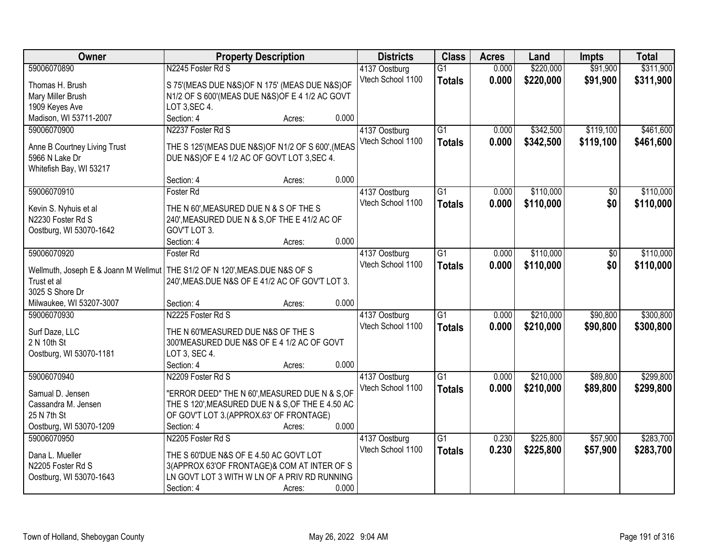| <b>Owner</b>                                                                                 | <b>Property Description</b>                        |                 | <b>Districts</b>  | <b>Class</b>    | <b>Acres</b> | Land      | <b>Impts</b> | <b>Total</b> |
|----------------------------------------------------------------------------------------------|----------------------------------------------------|-----------------|-------------------|-----------------|--------------|-----------|--------------|--------------|
| 59006070890                                                                                  | N2245 Foster Rd S                                  |                 | 4137 Oostburg     | $\overline{G1}$ | 0.000        | \$220,000 | \$91,900     | \$311,900    |
| Thomas H. Brush                                                                              | S 75'(MEAS DUE N&S)OF N 175' (MEAS DUE N&S)OF      |                 | Vtech School 1100 | <b>Totals</b>   | 0.000        | \$220,000 | \$91,900     | \$311,900    |
| Mary Miller Brush                                                                            | N1/2 OF S 600'(MEAS DUE N&S) OF E 4 1/2 AC GOVT    |                 |                   |                 |              |           |              |              |
| 1909 Keyes Ave                                                                               | LOT 3, SEC 4.                                      |                 |                   |                 |              |           |              |              |
| Madison, WI 53711-2007                                                                       | Section: 4                                         | 0.000<br>Acres: |                   |                 |              |           |              |              |
| 59006070900                                                                                  | N2237 Foster Rd S                                  |                 | 4137 Oostburg     | $\overline{G1}$ | 0.000        | \$342,500 | \$119,100    | \$461,600    |
|                                                                                              |                                                    |                 | Vtech School 1100 | <b>Totals</b>   | 0.000        | \$342,500 | \$119,100    | \$461,600    |
| Anne B Courtney Living Trust                                                                 | THE S 125' (MEAS DUE N&S) OF N1/2 OF S 600', (MEAS |                 |                   |                 |              |           |              |              |
| 5966 N Lake Dr                                                                               | DUE N&S) OF E 4 1/2 AC OF GOVT LOT 3, SEC 4.       |                 |                   |                 |              |           |              |              |
| Whitefish Bay, WI 53217                                                                      |                                                    |                 |                   |                 |              |           |              |              |
|                                                                                              | Section: 4                                         | 0.000<br>Acres: |                   |                 |              |           |              |              |
| 59006070910                                                                                  | Foster Rd                                          |                 | 4137 Oostburg     | G1              | 0.000        | \$110,000 | \$0          | \$110,000    |
| Kevin S. Nyhuis et al                                                                        | THE N 60', MEASURED DUE N & S OF THE S             |                 | Vtech School 1100 | <b>Totals</b>   | 0.000        | \$110,000 | \$0          | \$110,000    |
| N2230 Foster Rd S                                                                            | 240', MEASURED DUE N & S, OF THE E 41/2 AC OF      |                 |                   |                 |              |           |              |              |
| Oostburg, WI 53070-1642                                                                      | GOV'T LOT 3.                                       |                 |                   |                 |              |           |              |              |
|                                                                                              | Section: 4                                         | 0.000<br>Acres: |                   |                 |              |           |              |              |
| 59006070920                                                                                  | Foster Rd                                          |                 | 4137 Oostburg     | G1              | 0.000        | \$110,000 | \$0          | \$110,000    |
|                                                                                              |                                                    |                 | Vtech School 1100 | <b>Totals</b>   | 0.000        | \$110,000 | \$0          | \$110,000    |
| Wellmuth, Joseph E & Joann M Wellmut   THE S1/2 OF N 120', MEAS. DUE N&S OF S<br>Trust et al | 240', MEAS.DUE N&S OF E 41/2 AC OF GOV'T LOT 3.    |                 |                   |                 |              |           |              |              |
| 3025 S Shore Dr                                                                              |                                                    |                 |                   |                 |              |           |              |              |
| Milwaukee, WI 53207-3007                                                                     | Section: 4                                         | 0.000<br>Acres: |                   |                 |              |           |              |              |
| 59006070930                                                                                  | N2225 Foster Rd S                                  |                 | 4137 Oostburg     | $\overline{G1}$ | 0.000        | \$210,000 | \$90,800     | \$300,800    |
|                                                                                              |                                                    |                 | Vtech School 1100 |                 | 0.000        | \$210,000 | \$90,800     |              |
| Surf Daze, LLC                                                                               | THE N 60'MEASURED DUE N&S OF THE S                 |                 |                   | <b>Totals</b>   |              |           |              | \$300,800    |
| 2 N 10th St                                                                                  | 300'MEASURED DUE N&S OF E 4 1/2 AC OF GOVT         |                 |                   |                 |              |           |              |              |
| Oostburg, WI 53070-1181                                                                      | LOT 3, SEC 4.                                      |                 |                   |                 |              |           |              |              |
|                                                                                              | Section: 4                                         | 0.000<br>Acres: |                   |                 |              |           |              |              |
| 59006070940                                                                                  | N2209 Foster Rd S                                  |                 | 4137 Oostburg     | $\overline{G1}$ | 0.000        | \$210,000 | \$89,800     | \$299,800    |
| Samual D. Jensen                                                                             | "ERROR DEED" THE N 60', MEASURED DUE N & S, OF     |                 | Vtech School 1100 | <b>Totals</b>   | 0.000        | \$210,000 | \$89,800     | \$299,800    |
| Cassandra M. Jensen                                                                          | THE S 120', MEASURED DUE N & S, OF THE E 4.50 AC   |                 |                   |                 |              |           |              |              |
| 25 N 7th St                                                                                  | OF GOV'T LOT 3.(APPROX.63' OF FRONTAGE)            |                 |                   |                 |              |           |              |              |
| Oostburg, WI 53070-1209                                                                      | Section: 4                                         | 0.000<br>Acres: |                   |                 |              |           |              |              |
| 59006070950                                                                                  | N2205 Foster Rd S                                  |                 | 4137 Oostburg     | $\overline{G1}$ | 0.230        | \$225,800 | \$57,900     | \$283,700    |
|                                                                                              |                                                    |                 | Vtech School 1100 | <b>Totals</b>   | 0.230        | \$225,800 | \$57,900     | \$283,700    |
| Dana L. Mueller                                                                              | THE S 60'DUE N&S OF E 4.50 AC GOVT LOT             |                 |                   |                 |              |           |              |              |
| N2205 Foster Rd S                                                                            | 3(APPROX 63'OF FRONTAGE)& COM AT INTER OF S        |                 |                   |                 |              |           |              |              |
| Oostburg, WI 53070-1643                                                                      | LN GOVT LOT 3 WITH W LN OF A PRIV RD RUNNING       |                 |                   |                 |              |           |              |              |
|                                                                                              | Section: 4                                         | 0.000<br>Acres: |                   |                 |              |           |              |              |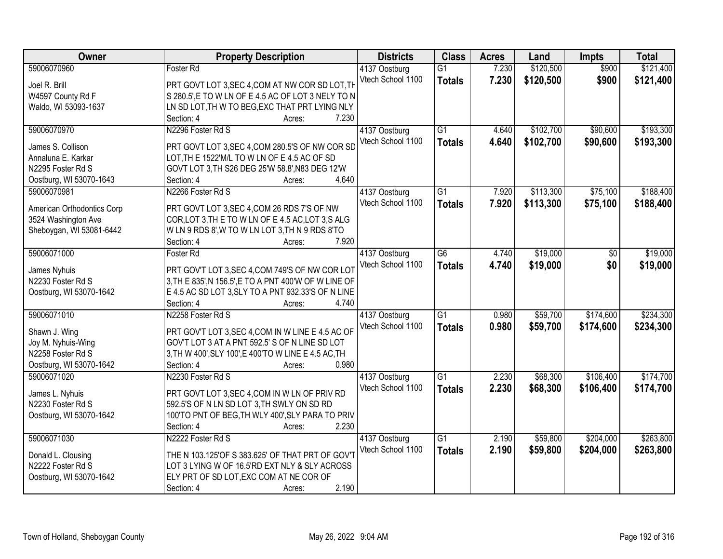| Owner                      | <b>Property Description</b>                           | <b>Districts</b>  | <b>Class</b>    | <b>Acres</b> | Land      | <b>Impts</b> | <b>Total</b> |
|----------------------------|-------------------------------------------------------|-------------------|-----------------|--------------|-----------|--------------|--------------|
| 59006070960                | Foster Rd                                             | 4137 Oostburg     | $\overline{G1}$ | 7.230        | \$120,500 | \$900        | \$121,400    |
| Joel R. Brill              | PRT GOVT LOT 3, SEC 4, COM AT NW COR SD LOT, TH       | Vtech School 1100 | <b>Totals</b>   | 7.230        | \$120,500 | \$900        | \$121,400    |
| W4597 County Rd F          | S 280.5',E TO W LN OF E 4.5 AC OF LOT 3 NELY TO N     |                   |                 |              |           |              |              |
| Waldo, WI 53093-1637       | LN SD LOT, TH W TO BEG, EXC THAT PRT LYING NLY        |                   |                 |              |           |              |              |
|                            | 7.230<br>Section: 4<br>Acres:                         |                   |                 |              |           |              |              |
| 59006070970                | N2296 Foster Rd S                                     | 4137 Oostburg     | $\overline{G1}$ | 4.640        | \$102,700 | \$90,600     | \$193,300    |
|                            |                                                       | Vtech School 1100 | <b>Totals</b>   | 4.640        | \$102,700 | \$90,600     | \$193,300    |
| James S. Collison          | PRT GOVT LOT 3, SEC 4, COM 280.5'S OF NW COR SD       |                   |                 |              |           |              |              |
| Annaluna E. Karkar         | LOT, TH E 1522'M/L TO W LN OF E 4.5 AC OF SD          |                   |                 |              |           |              |              |
| N2295 Foster Rd S          | GOVT LOT 3, TH S26 DEG 25'W 58.8', N83 DEG 12'W       |                   |                 |              |           |              |              |
| Oostburg, WI 53070-1643    | 4.640<br>Section: 4<br>Acres:                         |                   |                 |              |           |              |              |
| 59006070981                | N2266 Foster Rd S                                     | 4137 Oostburg     | G1              | 7.920        | \$113,300 | \$75,100     | \$188,400    |
| American Orthodontics Corp | PRT GOVT LOT 3, SEC 4, COM 26 RDS 7'S OF NW           | Vtech School 1100 | <b>Totals</b>   | 7.920        | \$113,300 | \$75,100     | \$188,400    |
| 3524 Washington Ave        | COR, LOT 3, THE TO WLN OF E 4.5 AC, LOT 3, SALG       |                   |                 |              |           |              |              |
| Sheboygan, WI 53081-6442   | WLN 9 RDS 8', W TO WLN LOT 3, TH N 9 RDS 8'TO         |                   |                 |              |           |              |              |
|                            | 7.920<br>Section: 4<br>Acres:                         |                   |                 |              |           |              |              |
| 59006071000                | <b>Foster Rd</b>                                      | 4137 Oostburg     | G6              | 4.740        | \$19,000  | \$0          | \$19,000     |
|                            |                                                       | Vtech School 1100 |                 | 4.740        | \$19,000  | \$0          |              |
| James Nyhuis               | PRT GOV'T LOT 3, SEC 4, COM 749'S OF NW COR LOT       |                   | <b>Totals</b>   |              |           |              | \$19,000     |
| N2230 Foster Rd S          | 3, TH E 835', N 156.5', E TO A PNT 400'W OF W LINE OF |                   |                 |              |           |              |              |
| Oostburg, WI 53070-1642    | E 4.5 AC SD LOT 3, SLY TO A PNT 932.33'S OF N LINE    |                   |                 |              |           |              |              |
|                            | 4.740<br>Section: 4<br>Acres:                         |                   |                 |              |           |              |              |
| 59006071010                | N2258 Foster Rd S                                     | 4137 Oostburg     | $\overline{G1}$ | 0.980        | \$59,700  | \$174,600    | \$234,300    |
|                            |                                                       | Vtech School 1100 | <b>Totals</b>   | 0.980        | \$59,700  | \$174,600    | \$234,300    |
| Shawn J. Wing              | PRT GOV'T LOT 3, SEC 4, COM IN W LINE E 4.5 AC OF     |                   |                 |              |           |              |              |
| Joy M. Nyhuis-Wing         | GOV'T LOT 3 AT A PNT 592.5' S OF N LINE SD LOT        |                   |                 |              |           |              |              |
| N2258 Foster Rd S          | 3, TH W 400', SLY 100', E 400'TO W LINE E 4.5 AC, TH  |                   |                 |              |           |              |              |
| Oostburg, WI 53070-1642    | Section: 4<br>0.980<br>Acres:                         |                   |                 |              |           |              |              |
| 59006071020                | N2230 Foster Rd S                                     | 4137 Oostburg     | G1              | 2.230        | \$68,300  | \$106,400    | \$174,700    |
| James L. Nyhuis            | PRT GOVT LOT 3, SEC 4, COM IN W LN OF PRIV RD         | Vtech School 1100 | <b>Totals</b>   | 2.230        | \$68,300  | \$106,400    | \$174,700    |
| N2230 Foster Rd S          | 592.5'S OF N LN SD LOT 3,TH SWLY ON SD RD             |                   |                 |              |           |              |              |
| Oostburg, WI 53070-1642    | 100'TO PNT OF BEG, TH WLY 400', SLY PARA TO PRIV      |                   |                 |              |           |              |              |
|                            | 2.230<br>Section: 4<br>Acres:                         |                   |                 |              |           |              |              |
| 59006071030                | N2222 Foster Rd S                                     | 4137 Oostburg     | $\overline{G1}$ | 2.190        | \$59,800  | \$204,000    | \$263,800    |
|                            |                                                       | Vtech School 1100 | <b>Totals</b>   | 2.190        | \$59,800  | \$204,000    | \$263,800    |
| Donald L. Clousing         | THE N 103.125'OF S 383.625' OF THAT PRT OF GOV'T      |                   |                 |              |           |              |              |
| N2222 Foster Rd S          | LOT 3 LYING W OF 16.5'RD EXT NLY & SLY ACROSS         |                   |                 |              |           |              |              |
| Oostburg, WI 53070-1642    | ELY PRT OF SD LOT, EXC COM AT NE COR OF               |                   |                 |              |           |              |              |
|                            | 2.190<br>Section: 4<br>Acres:                         |                   |                 |              |           |              |              |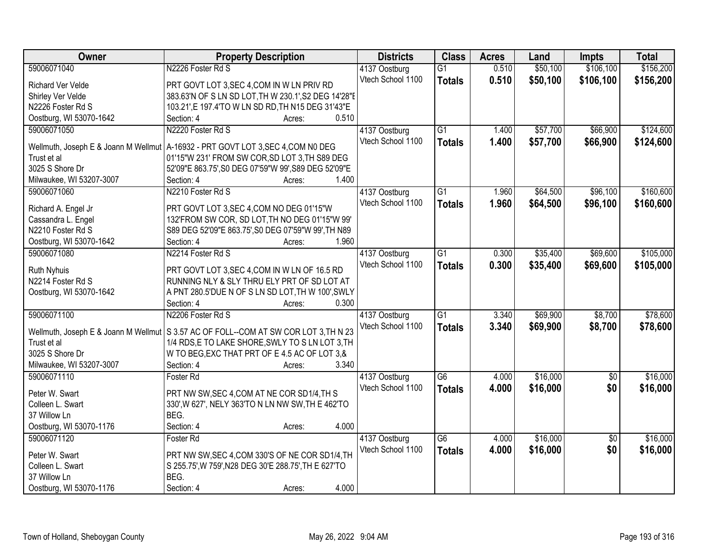| <b>Owner</b><br><b>Class</b><br><b>Property Description</b><br><b>Districts</b><br><b>Acres</b><br>Land<br><b>Impts</b>                           | <b>Total</b>                |
|---------------------------------------------------------------------------------------------------------------------------------------------------|-----------------------------|
| \$50,100<br>59006071040<br>N2226 Foster Rd S<br>0.510<br>4137 Oostburg<br>$\overline{G1}$                                                         | \$106,100<br>\$156,200      |
| Vtech School 1100<br>0.510<br>\$50,100<br>\$106,100<br><b>Totals</b><br>PRT GOVT LOT 3, SEC 4, COM IN W LN PRIV RD<br>Richard Ver Velde           | \$156,200                   |
| 383.63'N OF S LN SD LOT, TH W 230.1', S2 DEG 14'28"E<br>Shirley Ver Velde                                                                         |                             |
| N2226 Foster Rd S<br>103.21',E 197.4'TO W LN SD RD, TH N15 DEG 31'43"E                                                                            |                             |
| Oostburg, WI 53070-1642<br>Section: 4<br>0.510<br>Acres:                                                                                          |                             |
| 59006071050<br>N2220 Foster Rd S<br>$\overline{G1}$<br>\$57,700<br>4137 Oostburg<br>1.400                                                         | \$66,900<br>\$124,600       |
| Vtech School 1100<br>1.400<br>\$57,700<br><b>Totals</b><br>Wellmuth, Joseph E & Joann M Wellmut   A-16932 - PRT GOVT LOT 3, SEC 4, COM N0 DEG     | \$66,900<br>\$124,600       |
| 01'15"W 231' FROM SW COR, SD LOT 3, TH S89 DEG<br>Trust et al                                                                                     |                             |
| 3025 S Shore Dr<br>52'09"E 863.75', S0 DEG 07'59"W 99', S89 DEG 52'09"E                                                                           |                             |
| 1.400<br>Milwaukee, WI 53207-3007<br>Section: 4<br>Acres:                                                                                         |                             |
| N2210 Foster Rd S<br>\$64,500<br>59006071060<br>G1<br>1.960                                                                                       | \$160,600<br>\$96,100       |
| 4137 Oostburg<br>Vtech School 1100                                                                                                                |                             |
| \$64,500<br>1.960<br><b>Totals</b><br>PRT GOVT LOT 3, SEC 4, COM NO DEG 01'15"W<br>Richard A. Engel Jr                                            | \$160,600<br>\$96,100       |
| 132'FROM SW COR, SD LOT, TH NO DEG 01'15"W 99'<br>Cassandra L. Engel                                                                              |                             |
| N2210 Foster Rd S<br>S89 DEG 52'09"E 863.75', S0 DEG 07'59"W 99', TH N89                                                                          |                             |
| Oostburg, WI 53070-1642<br>Section: 4<br>1.960<br>Acres:                                                                                          |                             |
| N2214 Foster Rd S<br>59006071080<br>$\overline{G1}$<br>\$35,400<br>4137 Oostburg<br>0.300                                                         | \$105,000<br>\$69,600       |
| Vtech School 1100<br>0.300<br>\$35,400<br><b>Totals</b>                                                                                           | \$69,600<br>\$105,000       |
| PRT GOVT LOT 3, SEC 4, COM IN W LN OF 16.5 RD<br><b>Ruth Nyhuis</b>                                                                               |                             |
| RUNNING NLY & SLY THRU ELY PRT OF SD LOT AT<br>N2214 Foster Rd S                                                                                  |                             |
| A PNT 280.5'DUE N OF S LN SD LOT, TH W 100', SWLY<br>Oostburg, WI 53070-1642                                                                      |                             |
| 0.300<br>Section: 4<br>Acres:                                                                                                                     |                             |
| 59006071100<br>N2206 Foster Rd S<br>$\overline{G1}$<br>\$69,900<br>3.340<br>4137 Oostburg                                                         | \$8,700<br>\$78,600         |
| 3.340<br>\$69,900<br>Vtech School 1100<br><b>Totals</b><br>Wellmuth, Joseph E & Joann M Wellmut   S 3.57 AC OF FOLL--COM AT SW COR LOT 3, TH N 23 | \$8,700<br>\$78,600         |
| 1/4 RDS, E TO LAKE SHORE, SWLY TO SLN LOT 3, TH<br>Trust et al                                                                                    |                             |
| 3025 S Shore Dr<br>W TO BEG, EXC THAT PRT OF E 4.5 AC OF LOT 3, &                                                                                 |                             |
| 3.340<br>Milwaukee, WI 53207-3007<br>Section: 4<br>Acres:                                                                                         |                             |
| \$16,000<br>$\overline{G6}$<br>59006071110<br>4.000<br>Foster Rd<br>4137 Oostburg                                                                 | \$16,000<br>$\overline{50}$ |
| Vtech School 1100<br>\$16,000<br>4.000<br><b>Totals</b>                                                                                           | \$0<br>\$16,000             |
| Peter W. Swart<br>PRT NW SW, SEC 4, COM AT NE COR SD1/4, TH S                                                                                     |                             |
| 330', W 627', NELY 363'TO N LN NW SW, TH E 462'TO<br>Colleen L. Swart                                                                             |                             |
| BEG.<br>37 Willow Ln                                                                                                                              |                             |
| Oostburg, WI 53070-1176<br>Section: 4<br>4.000<br>Acres:                                                                                          |                             |
| \$16,000<br>59006071120<br>$\overline{G6}$<br>Foster Rd<br>4137 Oostburg<br>4.000                                                                 | \$16,000<br>$\overline{50}$ |
| 4.000<br>Vtech School 1100<br>\$16,000<br><b>Totals</b><br>PRT NW SW, SEC 4, COM 330'S OF NE COR SD1/4, TH<br>Peter W. Swart                      | \$0<br>\$16,000             |
| Colleen L. Swart<br>S 255.75', W 759', N28 DEG 30'E 288.75', TH E 627'TO                                                                          |                             |
| 37 Willow Ln<br>BEG.                                                                                                                              |                             |
| 4.000<br>Oostburg, WI 53070-1176<br>Section: 4<br>Acres:                                                                                          |                             |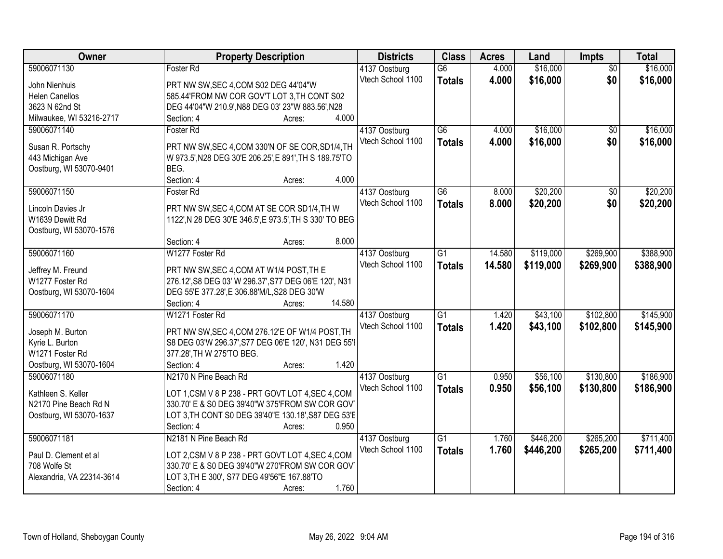| <b>Owner</b>              | <b>Property Description</b>                             | <b>Districts</b>  | <b>Class</b>    | <b>Acres</b> | Land      | Impts           | <b>Total</b> |
|---------------------------|---------------------------------------------------------|-------------------|-----------------|--------------|-----------|-----------------|--------------|
| 59006071130               | Foster Rd                                               | 4137 Oostburg     | $\overline{G6}$ | 4.000        | \$16,000  | $\overline{50}$ | \$16,000     |
| John Nienhuis             | PRT NW SW, SEC 4, COM S02 DEG 44'04"W                   | Vtech School 1100 | <b>Totals</b>   | 4.000        | \$16,000  | \$0             | \$16,000     |
| <b>Helen Canellos</b>     | 585.44'FROM NW COR GOV'T LOT 3, TH CONT S02             |                   |                 |              |           |                 |              |
| 3623 N 62nd St            | DEG 44'04"W 210.9', N88 DEG 03' 23"W 883.56', N28       |                   |                 |              |           |                 |              |
| Milwaukee, WI 53216-2717  | 4.000<br>Section: 4<br>Acres:                           |                   |                 |              |           |                 |              |
| 59006071140               | Foster Rd                                               | 4137 Oostburg     | $\overline{G6}$ | 4.000        | \$16,000  | $\overline{50}$ | \$16,000     |
|                           |                                                         | Vtech School 1100 | <b>Totals</b>   | 4.000        | \$16,000  | \$0             | \$16,000     |
| Susan R. Portschy         | PRT NW SW, SEC 4, COM 330'N OF SE COR, SD1/4, TH        |                   |                 |              |           |                 |              |
| 443 Michigan Ave          | W 973.5', N28 DEG 30'E 206.25', E 891', TH S 189.75'TO  |                   |                 |              |           |                 |              |
| Oostburg, WI 53070-9401   | BEG.                                                    |                   |                 |              |           |                 |              |
|                           | 4.000<br>Section: 4<br>Acres:                           |                   |                 |              |           |                 |              |
| 59006071150               | Foster Rd                                               | 4137 Oostburg     | $\overline{G6}$ | 8.000        | \$20,200  | $\overline{50}$ | \$20,200     |
| Lincoln Davies Jr         | PRT NW SW, SEC 4, COM AT SE COR SD1/4, TH W             | Vtech School 1100 | <b>Totals</b>   | 8.000        | \$20,200  | \$0             | \$20,200     |
| W1639 Dewitt Rd           | 1122', N 28 DEG 30'E 346.5', E 973.5', TH S 330' TO BEG |                   |                 |              |           |                 |              |
| Oostburg, WI 53070-1576   |                                                         |                   |                 |              |           |                 |              |
|                           | 8.000<br>Section: 4<br>Acres:                           |                   |                 |              |           |                 |              |
| 59006071160               | W1277 Foster Rd                                         | 4137 Oostburg     | $\overline{G1}$ | 14.580       | \$119,000 | \$269,900       | \$388,900    |
|                           |                                                         | Vtech School 1100 |                 |              |           |                 |              |
| Jeffrey M. Freund         | PRT NW SW, SEC 4, COM AT W1/4 POST, TH E                |                   | <b>Totals</b>   | 14.580       | \$119,000 | \$269,900       | \$388,900    |
| W1277 Foster Rd           | 276.12', S8 DEG 03' W 296.37', S77 DEG 06'E 120', N31   |                   |                 |              |           |                 |              |
| Oostburg, WI 53070-1604   | DEG 55'E 377.28', E 306.88'M/L, S28 DEG 30'W            |                   |                 |              |           |                 |              |
|                           | 14.580<br>Section: 4<br>Acres:                          |                   |                 |              |           |                 |              |
| 59006071170               | W1271 Foster Rd                                         | 4137 Oostburg     | $\overline{G1}$ | 1.420        | \$43,100  | \$102,800       | \$145,900    |
|                           |                                                         | Vtech School 1100 | <b>Totals</b>   | 1.420        | \$43,100  | \$102,800       | \$145,900    |
| Joseph M. Burton          | PRT NW SW, SEC 4, COM 276.12'E OF W1/4 POST, TH         |                   |                 |              |           |                 |              |
| Kyrie L. Burton           | S8 DEG 03'W 296.37', S77 DEG 06'E 120', N31 DEG 55'I    |                   |                 |              |           |                 |              |
| W1271 Foster Rd           | 377.28', TH W 275'TO BEG.                               |                   |                 |              |           |                 |              |
| Oostburg, WI 53070-1604   | 1.420<br>Section: 4<br>Acres:                           |                   |                 |              |           |                 |              |
| 59006071180               | N2170 N Pine Beach Rd                                   | 4137 Oostburg     | $\overline{G1}$ | 0.950        | \$56,100  | \$130,800       | \$186,900    |
| Kathleen S. Keller        | LOT 1,CSM V 8 P 238 - PRT GOVT LOT 4,SEC 4,COM          | Vtech School 1100 | <b>Totals</b>   | 0.950        | \$56,100  | \$130,800       | \$186,900    |
| N2170 Pine Beach Rd N     | 330.70' E & S0 DEG 39'40"W 375'FROM SW COR GOV          |                   |                 |              |           |                 |              |
| Oostburg, WI 53070-1637   | LOT 3, TH CONT S0 DEG 39'40"E 130.18', S87 DEG 53'E     |                   |                 |              |           |                 |              |
|                           | 0.950<br>Section: 4<br>Acres:                           |                   |                 |              |           |                 |              |
| 59006071181               | N2181 N Pine Beach Rd                                   | 4137 Oostburg     | $\overline{G1}$ | 1.760        | \$446,200 | \$265,200       | \$711,400    |
|                           |                                                         | Vtech School 1100 | <b>Totals</b>   | 1.760        | \$446,200 | \$265,200       | \$711,400    |
| Paul D. Clement et al     | LOT 2,CSM V 8 P 238 - PRT GOVT LOT 4,SEC 4,COM          |                   |                 |              |           |                 |              |
| 708 Wolfe St              | 330.70' E & S0 DEG 39'40"W 270'FROM SW COR GOV          |                   |                 |              |           |                 |              |
| Alexandria, VA 22314-3614 | LOT 3, TH E 300', S77 DEG 49'56"E 167.88'TO             |                   |                 |              |           |                 |              |
|                           | 1.760<br>Section: 4<br>Acres:                           |                   |                 |              |           |                 |              |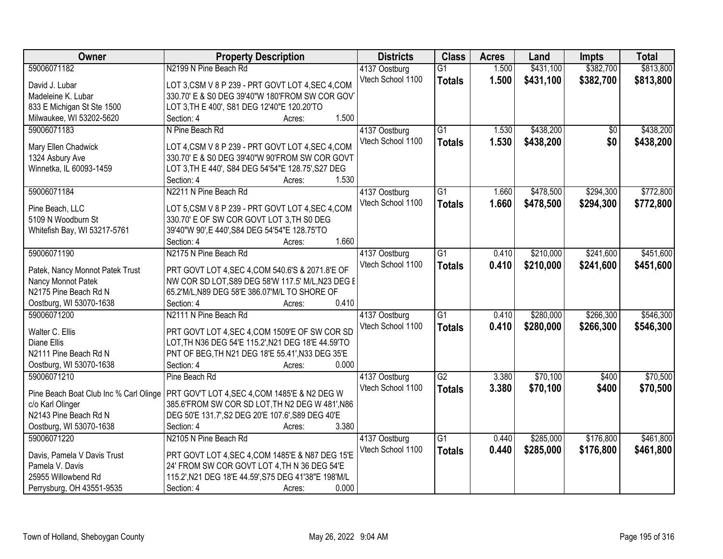| <b>Owner</b>                                          | <b>Property Description</b>                                                                        | <b>Districts</b>  | <b>Class</b>    | <b>Acres</b> | Land      | <b>Impts</b>    | <b>Total</b> |
|-------------------------------------------------------|----------------------------------------------------------------------------------------------------|-------------------|-----------------|--------------|-----------|-----------------|--------------|
| 59006071182                                           | N2199 N Pine Beach Rd                                                                              | 4137 Oostburg     | $\overline{G1}$ | 1.500        | \$431,100 | \$382,700       | \$813,800    |
| David J. Lubar                                        | LOT 3,CSM V 8 P 239 - PRT GOVT LOT 4,SEC 4,COM                                                     | Vtech School 1100 | <b>Totals</b>   | 1.500        | \$431,100 | \$382,700       | \$813,800    |
| Madeleine K. Lubar                                    | 330.70' E & S0 DEG 39'40"W 180'FROM SW COR GOV                                                     |                   |                 |              |           |                 |              |
| 833 E Michigan St Ste 1500                            | LOT 3, TH E 400', S81 DEG 12'40"E 120.20'TO                                                        |                   |                 |              |           |                 |              |
| Milwaukee, WI 53202-5620                              | 1.500<br>Section: 4<br>Acres:                                                                      |                   |                 |              |           |                 |              |
| 59006071183                                           | N Pine Beach Rd                                                                                    | 4137 Oostburg     | $\overline{G1}$ | 1.530        | \$438,200 | $\overline{50}$ | \$438,200    |
|                                                       |                                                                                                    | Vtech School 1100 | <b>Totals</b>   | 1.530        | \$438,200 | \$0             | \$438,200    |
| Mary Ellen Chadwick                                   | LOT 4, CSM V 8 P 239 - PRT GOVT LOT 4, SEC 4, COM                                                  |                   |                 |              |           |                 |              |
| 1324 Asbury Ave                                       | 330.70' E & S0 DEG 39'40"W 90'FROM SW COR GOVT                                                     |                   |                 |              |           |                 |              |
| Winnetka, IL 60093-1459                               | LOT 3, TH E 440', S84 DEG 54'54"E 128.75', S27 DEG<br>1.530                                        |                   |                 |              |           |                 |              |
| 59006071184                                           | Section: 4<br>Acres:<br>N2211 N Pine Beach Rd                                                      |                   | $\overline{G1}$ | 1.660        | \$478,500 | \$294,300       | \$772,800    |
|                                                       |                                                                                                    | 4137 Oostburg     |                 |              |           |                 |              |
| Pine Beach, LLC                                       | LOT 5, CSM V 8 P 239 - PRT GOVT LOT 4, SEC 4, COM                                                  | Vtech School 1100 | <b>Totals</b>   | 1.660        | \$478,500 | \$294,300       | \$772,800    |
| 5109 N Woodburn St                                    | 330.70' E OF SW COR GOVT LOT 3, TH S0 DEG                                                          |                   |                 |              |           |                 |              |
| Whitefish Bay, WI 53217-5761                          | 39'40"W 90', E 440', S84 DEG 54'54"E 128.75'TO                                                     |                   |                 |              |           |                 |              |
|                                                       | 1.660<br>Section: 4<br>Acres:                                                                      |                   |                 |              |           |                 |              |
| 59006071190                                           | N2175 N Pine Beach Rd                                                                              | 4137 Oostburg     | $\overline{G1}$ | 0.410        | \$210,000 | \$241,600       | \$451,600    |
|                                                       |                                                                                                    | Vtech School 1100 | <b>Totals</b>   | 0.410        | \$210,000 | \$241,600       | \$451,600    |
| Patek, Nancy Monnot Patek Trust<br>Nancy Monnot Patek | PRT GOVT LOT 4, SEC 4, COM 540.6'S & 2071.8'E OF                                                   |                   |                 |              |           |                 |              |
| N2175 Pine Beach Rd N                                 | NW COR SD LOT, S89 DEG 58'W 117.5' M/L, N23 DEG E<br>65.2'M/L, N89 DEG 58'E 386.07'M/L TO SHORE OF |                   |                 |              |           |                 |              |
| Oostburg, WI 53070-1638                               | Section: 4<br>0.410<br>Acres:                                                                      |                   |                 |              |           |                 |              |
| 59006071200                                           | N2111 N Pine Beach Rd                                                                              | 4137 Oostburg     | $\overline{G1}$ | 0.410        | \$280,000 | \$266,300       | \$546,300    |
|                                                       |                                                                                                    | Vtech School 1100 |                 | 0.410        |           |                 |              |
| Walter C. Ellis                                       | PRT GOVT LOT 4, SEC 4, COM 1509'E OF SW COR SD                                                     |                   | <b>Totals</b>   |              | \$280,000 | \$266,300       | \$546,300    |
| <b>Diane Ellis</b>                                    | LOT, TH N36 DEG 54'E 115.2', N21 DEG 18'E 44.59'TO                                                 |                   |                 |              |           |                 |              |
| N2111 Pine Beach Rd N                                 | PNT OF BEG, TH N21 DEG 18'E 55.41', N33 DEG 35'E                                                   |                   |                 |              |           |                 |              |
| Oostburg, WI 53070-1638                               | 0.000<br>Section: 4<br>Acres:                                                                      |                   |                 |              |           |                 |              |
| 59006071210                                           | Pine Beach Rd                                                                                      | 4137 Oostburg     | $\overline{G2}$ | 3.380        | \$70,100  | \$400           | \$70,500     |
| Pine Beach Boat Club Inc % Carl Olinge                | PRT GOV'T LOT 4, SEC 4, COM 1485'E & N2 DEG W                                                      | Vtech School 1100 | <b>Totals</b>   | 3.380        | \$70,100  | \$400           | \$70,500     |
| c/o Karl Olinger                                      | 385.6'FROM SW COR SD LOT, TH N2 DEG W 481', N86                                                    |                   |                 |              |           |                 |              |
| N2143 Pine Beach Rd N                                 | DEG 50'E 131.7', S2 DEG 20'E 107.6', S89 DEG 40'E                                                  |                   |                 |              |           |                 |              |
| Oostburg, WI 53070-1638                               | Section: 4<br>3.380<br>Acres:                                                                      |                   |                 |              |           |                 |              |
| 59006071220                                           | N2105 N Pine Beach Rd                                                                              | 4137 Oostburg     | $\overline{G1}$ | 0.440        | \$285,000 | \$176,800       | \$461,800    |
|                                                       |                                                                                                    | Vtech School 1100 | <b>Totals</b>   | 0.440        | \$285,000 | \$176,800       | \$461,800    |
| Davis, Pamela V Davis Trust                           | PRT GOVT LOT 4, SEC 4, COM 1485'E & N87 DEG 15'E                                                   |                   |                 |              |           |                 |              |
| Pamela V. Davis                                       | 24' FROM SW COR GOVT LOT 4.TH N 36 DEG 54'E                                                        |                   |                 |              |           |                 |              |
| 25955 Willowbend Rd                                   | 115.2', N21 DEG 18'E 44.59', S75 DEG 41'38"E 198'M/L                                               |                   |                 |              |           |                 |              |
| Perrysburg, OH 43551-9535                             | 0.000<br>Section: 4<br>Acres:                                                                      |                   |                 |              |           |                 |              |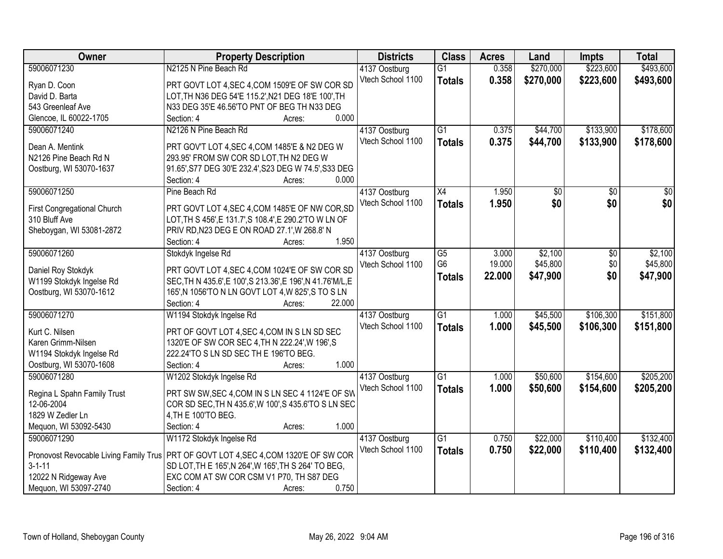| Owner                                  | <b>Property Description</b>                                 |                  | <b>Districts</b>  | <b>Class</b>    | <b>Acres</b> | Land            | <b>Impts</b>    | <b>Total</b>     |
|----------------------------------------|-------------------------------------------------------------|------------------|-------------------|-----------------|--------------|-----------------|-----------------|------------------|
| 59006071230                            | N2125 N Pine Beach Rd                                       |                  | 4137 Oostburg     | $\overline{G1}$ | 0.358        | \$270,000       | \$223,600       | \$493,600        |
| Ryan D. Coon                           | PRT GOVT LOT 4, SEC 4, COM 1509'E OF SW COR SD              |                  | Vtech School 1100 | <b>Totals</b>   | 0.358        | \$270,000       | \$223,600       | \$493,600        |
| David D. Barta                         | LOT, TH N36 DEG 54'E 115.2', N21 DEG 18'E 100', TH          |                  |                   |                 |              |                 |                 |                  |
| 543 Greenleaf Ave                      | N33 DEG 35'E 46.56'TO PNT OF BEG TH N33 DEG                 |                  |                   |                 |              |                 |                 |                  |
| Glencoe, IL 60022-1705                 | Section: 4                                                  | 0.000<br>Acres:  |                   |                 |              |                 |                 |                  |
| 59006071240                            | N2126 N Pine Beach Rd                                       |                  | 4137 Oostburg     | $\overline{G1}$ | 0.375        | \$44,700        | \$133,900       | \$178,600        |
|                                        |                                                             |                  | Vtech School 1100 | <b>Totals</b>   | 0.375        | \$44,700        | \$133,900       | \$178,600        |
| Dean A. Mentink                        | PRT GOV'T LOT 4, SEC 4, COM 1485'E & N2 DEG W               |                  |                   |                 |              |                 |                 |                  |
| N2126 Pine Beach Rd N                  | 293.95' FROM SW COR SD LOT, TH N2 DEG W                     |                  |                   |                 |              |                 |                 |                  |
| Oostburg, WI 53070-1637                | 91.65', S77 DEG 30'E 232.4', S23 DEG W 74.5', S33 DEG       |                  |                   |                 |              |                 |                 |                  |
|                                        | Section: 4                                                  | 0.000<br>Acres:  |                   |                 |              |                 |                 |                  |
| 59006071250                            | Pine Beach Rd                                               |                  | 4137 Oostburg     | X4              | 1.950        | $\overline{50}$ | $\overline{50}$ | $\overline{\$0}$ |
| First Congregational Church            | PRT GOVT LOT 4, SEC 4, COM 1485'E OF NW COR, SD             |                  | Vtech School 1100 | <b>Totals</b>   | 1.950        | \$0             | \$0             | \$0              |
| 310 Bluff Ave                          | LOT, TH S 456', E 131.7', S 108.4', E 290.2'TO W LN OF      |                  |                   |                 |              |                 |                 |                  |
| Sheboygan, WI 53081-2872               | PRIV RD, N23 DEG E ON ROAD 27.1', W 268.8' N                |                  |                   |                 |              |                 |                 |                  |
|                                        | Section: 4                                                  | 1.950<br>Acres:  |                   |                 |              |                 |                 |                  |
| 59006071260                            | Stokdyk Ingelse Rd                                          |                  | 4137 Oostburg     | $\overline{G5}$ | 3.000        | \$2,100         | \$0             | \$2,100          |
|                                        |                                                             |                  | Vtech School 1100 | G <sub>6</sub>  | 19.000       | \$45,800        | \$0             | \$45,800         |
| Daniel Roy Stokdyk                     | PRT GOVT LOT 4, SEC 4, COM 1024'E OF SW COR SD              |                  |                   | <b>Totals</b>   | 22.000       | \$47,900        | \$0             | \$47,900         |
| W1199 Stokdyk Ingelse Rd               | SEC, TH N 435.6', E 100', S 213.36', E 196', N 41.76'M/L, E |                  |                   |                 |              |                 |                 |                  |
| Oostburg, WI 53070-1612                | 165', N 1056'TO N LN GOVT LOT 4, W 825', S TO S LN          |                  |                   |                 |              |                 |                 |                  |
|                                        | Section: 4                                                  | 22.000<br>Acres: |                   |                 |              |                 |                 |                  |
| 59006071270                            | W1194 Stokdyk Ingelse Rd                                    |                  | 4137 Oostburg     | $\overline{G1}$ | 1.000        | \$45,500        | \$106,300       | \$151,800        |
| Kurt C. Nilsen                         | PRT OF GOVT LOT 4, SEC 4, COM IN S LN SD SEC                |                  | Vtech School 1100 | <b>Totals</b>   | 1.000        | \$45,500        | \$106,300       | \$151,800        |
| Karen Grimm-Nilsen                     | 1320'E OF SW COR SEC 4, TH N 222.24', W 196', S             |                  |                   |                 |              |                 |                 |                  |
| W1194 Stokdyk Ingelse Rd               | 222.24'TO S LN SD SEC TH E 196'TO BEG.                      |                  |                   |                 |              |                 |                 |                  |
| Oostburg, WI 53070-1608                | Section: 4                                                  | 1.000<br>Acres:  |                   |                 |              |                 |                 |                  |
| 59006071280                            | W1202 Stokdyk Ingelse Rd                                    |                  | 4137 Oostburg     | $\overline{G1}$ | 1.000        | \$50,600        | \$154,600       | \$205,200        |
|                                        |                                                             |                  | Vtech School 1100 | <b>Totals</b>   | 1.000        | \$50,600        | \$154,600       | \$205,200        |
| Regina L Spahn Family Trust            | PRT SW SW, SEC 4, COM IN S LN SEC 4 1124'E OF SW            |                  |                   |                 |              |                 |                 |                  |
| 12-06-2004                             | COR SD SEC, TH N 435.6', W 100', S 435.6'TO S LN SEC        |                  |                   |                 |              |                 |                 |                  |
| 1829 W Zedler Ln                       | 4, TH E 100'TO BEG.                                         |                  |                   |                 |              |                 |                 |                  |
| Mequon, WI 53092-5430                  | Section: 4                                                  | 1.000<br>Acres:  |                   |                 |              |                 |                 |                  |
| 59006071290                            | W1172 Stokdyk Ingelse Rd                                    |                  | 4137 Oostburg     | $\overline{G1}$ | 0.750        | \$22,000        | \$110,400       | \$132,400        |
| Pronovost Revocable Living Family Trus | PRT OF GOVT LOT 4, SEC 4, COM 1320'E OF SW COR              |                  | Vtech School 1100 | <b>Totals</b>   | 0.750        | \$22,000        | \$110,400       | \$132,400        |
| $3 - 1 - 11$                           | SD LOT, TH E 165', N 264', W 165', TH S 264' TO BEG,        |                  |                   |                 |              |                 |                 |                  |
| 12022 N Ridgeway Ave                   | EXC COM AT SW COR CSM V1 P70, TH S87 DEG                    |                  |                   |                 |              |                 |                 |                  |
| Mequon, WI 53097-2740                  | Section: 4                                                  | 0.750<br>Acres:  |                   |                 |              |                 |                 |                  |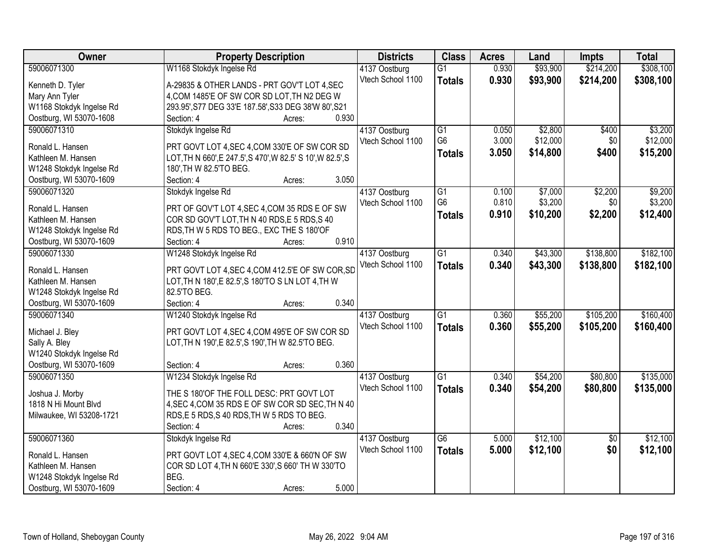| Owner                    | <b>Property Description</b>                                 | <b>Districts</b>                   | <b>Class</b>    | <b>Acres</b> | Land     | <b>Impts</b>    | <b>Total</b> |
|--------------------------|-------------------------------------------------------------|------------------------------------|-----------------|--------------|----------|-----------------|--------------|
| 59006071300              | W1168 Stokdyk Ingelse Rd                                    | 4137 Oostburg                      | $\overline{G1}$ | 0.930        | \$93,900 | \$214,200       | \$308,100    |
| Kenneth D. Tyler         | A-29835 & OTHER LANDS - PRT GOV'T LOT 4, SEC                | Vtech School 1100                  | <b>Totals</b>   | 0.930        | \$93,900 | \$214,200       | \$308,100    |
| Mary Ann Tyler           | 4, COM 1485'E OF SW COR SD LOT, TH N2 DEG W                 |                                    |                 |              |          |                 |              |
| W1168 Stokdyk Ingelse Rd | 293.95', S77 DEG 33'E 187.58', S33 DEG 38'W 80', S21        |                                    |                 |              |          |                 |              |
| Oostburg, WI 53070-1608  | 0.930<br>Section: 4<br>Acres:                               |                                    |                 |              |          |                 |              |
| 59006071310              | Stokdyk Ingelse Rd                                          | 4137 Oostburg                      | $\overline{G1}$ | 0.050        | \$2,800  | \$400           | \$3,200      |
|                          |                                                             | Vtech School 1100                  | G <sub>6</sub>  | 3.000        | \$12,000 | \$0             | \$12,000     |
| Ronald L. Hansen         | PRT GOVT LOT 4, SEC 4, COM 330'E OF SW COR SD               |                                    | <b>Totals</b>   | 3.050        | \$14,800 | \$400           | \$15,200     |
| Kathleen M. Hansen       | LOT, TH N 660', E 247.5', S 470', W 82.5' S 10', W 82.5', S |                                    |                 |              |          |                 |              |
| W1248 Stokdyk Ingelse Rd | 180', TH W 82.5'TO BEG.                                     |                                    |                 |              |          |                 |              |
| Oostburg, WI 53070-1609  | 3.050<br>Section: 4<br>Acres:                               |                                    |                 |              |          |                 |              |
| 59006071320              | Stokdyk Ingelse Rd                                          | 4137 Oostburg                      | $\overline{G1}$ | 0.100        | \$7,000  | \$2,200         | \$9,200      |
| Ronald L. Hansen         | PRT OF GOV'T LOT 4, SEC 4, COM 35 RDS E OF SW               | Vtech School 1100                  | G <sub>6</sub>  | 0.810        | \$3,200  | \$0             | \$3,200      |
| Kathleen M. Hansen       | COR SD GOV'T LOT, TH N 40 RDS, E 5 RDS, S 40                |                                    | <b>Totals</b>   | 0.910        | \$10,200 | \$2,200         | \$12,400     |
| W1248 Stokdyk Ingelse Rd | RDS, TH W 5 RDS TO BEG., EXC THE S 180'OF                   |                                    |                 |              |          |                 |              |
| Oostburg, WI 53070-1609  | 0.910<br>Section: 4<br>Acres:                               |                                    |                 |              |          |                 |              |
| 59006071330              | W1248 Stokdyk Ingelse Rd                                    | 4137 Oostburg                      | $\overline{G1}$ | 0.340        | \$43,300 | \$138,800       | \$182,100    |
|                          |                                                             | Vtech School 1100                  | <b>Totals</b>   | 0.340        | \$43,300 | \$138,800       | \$182,100    |
| Ronald L. Hansen         | PRT GOVT LOT 4, SEC 4, COM 412.5'E OF SW COR, SD            |                                    |                 |              |          |                 |              |
| Kathleen M. Hansen       | LOT, TH N 180', E 82.5', S 180'TO S LN LOT 4, TH W          |                                    |                 |              |          |                 |              |
| W1248 Stokdyk Ingelse Rd | 82.5'TO BEG.                                                |                                    |                 |              |          |                 |              |
| Oostburg, WI 53070-1609  | 0.340<br>Section: 4<br>Acres:                               |                                    |                 |              |          |                 |              |
| 59006071340              | W1240 Stokdyk Ingelse Rd                                    | 4137 Oostburg                      | $\overline{G1}$ | 0.360        | \$55,200 | \$105,200       | \$160,400    |
| Michael J. Bley          | PRT GOVT LOT 4, SEC 4, COM 495'E OF SW COR SD               | Vtech School 1100                  | <b>Totals</b>   | 0.360        | \$55,200 | \$105,200       | \$160,400    |
| Sally A. Bley            | LOT, TH N 190', E 82.5', S 190', TH W 82.5' TO BEG.         |                                    |                 |              |          |                 |              |
| W1240 Stokdyk Ingelse Rd |                                                             |                                    |                 |              |          |                 |              |
| Oostburg, WI 53070-1609  | 0.360<br>Section: 4<br>Acres:                               |                                    |                 |              |          |                 |              |
| 59006071350              | W1234 Stokdyk Ingelse Rd                                    |                                    | G1              | 0.340        | \$54,200 | \$80,800        | \$135,000    |
|                          |                                                             | 4137 Oostburg<br>Vtech School 1100 |                 |              |          |                 |              |
| Joshua J. Morby          | THE S 180'OF THE FOLL DESC: PRT GOVT LOT                    |                                    | <b>Totals</b>   | 0.340        | \$54,200 | \$80,800        | \$135,000    |
| 1818 N Hi Mount Blvd     | 4, SEC 4, COM 35 RDS E OF SW COR SD SEC, TH N 40            |                                    |                 |              |          |                 |              |
| Milwaukee, WI 53208-1721 | RDS, E 5 RDS, S 40 RDS, TH W 5 RDS TO BEG.                  |                                    |                 |              |          |                 |              |
|                          | 0.340<br>Section: 4<br>Acres:                               |                                    |                 |              |          |                 |              |
| 59006071360              | Stokdyk Ingelse Rd                                          | 4137 Oostburg                      | G6              | 5.000        | \$12,100 | $\overline{50}$ | \$12,100     |
|                          |                                                             | Vtech School 1100                  | <b>Totals</b>   | 5.000        | \$12,100 | \$0             | \$12,100     |
| Ronald L. Hansen         | PRT GOVT LOT 4, SEC 4, COM 330'E & 660'N OF SW              |                                    |                 |              |          |                 |              |
| Kathleen M. Hansen       | COR SD LOT 4, TH N 660'E 330', S 660' TH W 330'TO           |                                    |                 |              |          |                 |              |
| W1248 Stokdyk Ingelse Rd | BEG.                                                        |                                    |                 |              |          |                 |              |
| Oostburg, WI 53070-1609  | 5.000<br>Section: 4<br>Acres:                               |                                    |                 |              |          |                 |              |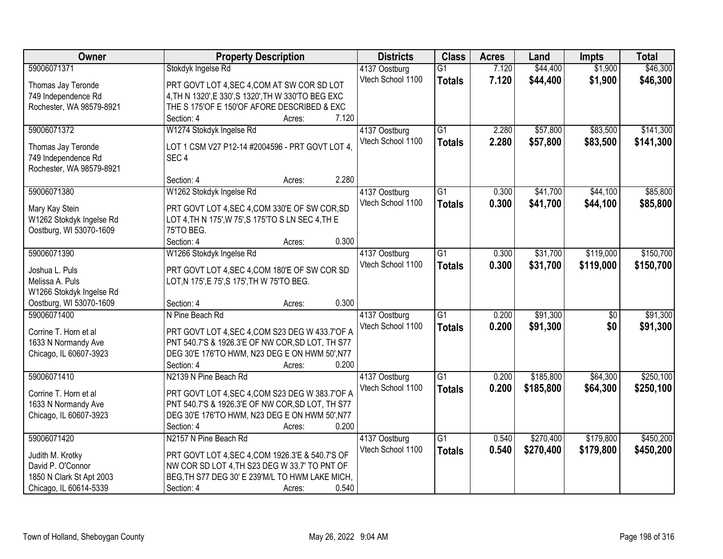| <b>Owner</b>                                        | <b>Property Description</b>                                                                          | <b>Districts</b>  | <b>Class</b>    | <b>Acres</b> | Land      | <b>Impts</b> | <b>Total</b> |
|-----------------------------------------------------|------------------------------------------------------------------------------------------------------|-------------------|-----------------|--------------|-----------|--------------|--------------|
| 59006071371                                         | Stokdyk Ingelse Rd                                                                                   | 4137 Oostburg     | $\overline{G1}$ | 7.120        | \$44,400  | \$1,900      | \$46,300     |
| Thomas Jay Teronde                                  | PRT GOVT LOT 4, SEC 4, COM AT SW COR SD LOT                                                          | Vtech School 1100 | <b>Totals</b>   | 7.120        | \$44,400  | \$1,900      | \$46,300     |
| 749 Independence Rd                                 | 4, TH N 1320', E 330', S 1320', TH W 330'TO BEG EXC                                                  |                   |                 |              |           |              |              |
| Rochester, WA 98579-8921                            | THE S 175'OF E 150'OF AFORE DESCRIBED & EXC                                                          |                   |                 |              |           |              |              |
|                                                     | Section: 4<br>7.120<br>Acres:                                                                        |                   |                 |              |           |              |              |
| 59006071372                                         | W1274 Stokdyk Ingelse Rd                                                                             | 4137 Oostburg     | $\overline{G1}$ | 2.280        | \$57,800  | \$83,500     | \$141,300    |
| Thomas Jay Teronde                                  | LOT 1 CSM V27 P12-14 #2004596 - PRT GOVT LOT 4,                                                      | Vtech School 1100 | <b>Totals</b>   | 2.280        | \$57,800  | \$83,500     | \$141,300    |
| 749 Independence Rd                                 | SEC <sub>4</sub>                                                                                     |                   |                 |              |           |              |              |
| Rochester, WA 98579-8921                            |                                                                                                      |                   |                 |              |           |              |              |
|                                                     | 2.280<br>Section: 4<br>Acres:                                                                        |                   |                 |              |           |              |              |
| 59006071380                                         | W1262 Stokdyk Ingelse Rd                                                                             | 4137 Oostburg     | $\overline{G1}$ | 0.300        | \$41,700  | \$44,100     | \$85,800     |
|                                                     |                                                                                                      | Vtech School 1100 | <b>Totals</b>   | 0.300        | \$41,700  | \$44,100     | \$85,800     |
| Mary Kay Stein<br>W1262 Stokdyk Ingelse Rd          | PRT GOVT LOT 4, SEC 4, COM 330'E OF SW COR, SD<br>LOT 4, TH N 175', W 75', S 175'TO S LN SEC 4, TH E |                   |                 |              |           |              |              |
| Oostburg, WI 53070-1609                             | 75'TO BEG.                                                                                           |                   |                 |              |           |              |              |
|                                                     | 0.300<br>Section: 4<br>Acres:                                                                        |                   |                 |              |           |              |              |
| 59006071390                                         | W1266 Stokdyk Ingelse Rd                                                                             | 4137 Oostburg     | $\overline{G1}$ | 0.300        | \$31,700  | \$119,000    | \$150,700    |
|                                                     |                                                                                                      | Vtech School 1100 | <b>Totals</b>   | 0.300        | \$31,700  | \$119,000    | \$150,700    |
| Joshua L. Puls                                      | PRT GOVT LOT 4, SEC 4, COM 180'E OF SW COR SD                                                        |                   |                 |              |           |              |              |
| Melissa A. Puls                                     | LOT, N 175', E 75', S 175', TH W 75'TO BEG.                                                          |                   |                 |              |           |              |              |
| W1266 Stokdyk Ingelse Rd<br>Oostburg, WI 53070-1609 | 0.300<br>Section: 4                                                                                  |                   |                 |              |           |              |              |
| 59006071400                                         | Acres:<br>N Pine Beach Rd                                                                            | 4137 Oostburg     | $\overline{G1}$ | 0.200        | \$91,300  | \$0          | \$91,300     |
|                                                     |                                                                                                      | Vtech School 1100 |                 | 0.200        | \$91,300  | \$0          | \$91,300     |
| Corrine T. Horn et al                               | PRT GOVT LOT 4, SEC 4, COM S23 DEG W 433.7' OF A                                                     |                   | <b>Totals</b>   |              |           |              |              |
| 1633 N Normandy Ave                                 | PNT 540.7'S & 1926.3'E OF NW COR, SD LOT, TH S77                                                     |                   |                 |              |           |              |              |
| Chicago, IL 60607-3923                              | DEG 30'E 176'TO HWM, N23 DEG E ON HWM 50', N77                                                       |                   |                 |              |           |              |              |
|                                                     | 0.200<br>Section: 4<br>Acres:                                                                        |                   |                 |              |           |              |              |
| 59006071410                                         | N2139 N Pine Beach Rd                                                                                | 4137 Oostburg     | $\overline{G1}$ | 0.200        | \$185,800 | \$64,300     | \$250,100    |
| Corrine T. Horn et al                               | PRT GOVT LOT 4, SEC 4, COM S23 DEG W 383.7' OF A                                                     | Vtech School 1100 | <b>Totals</b>   | 0.200        | \$185,800 | \$64,300     | \$250,100    |
| 1633 N Normandy Ave                                 | PNT 540.7'S & 1926.3'E OF NW COR, SD LOT, TH S77                                                     |                   |                 |              |           |              |              |
| Chicago, IL 60607-3923                              | DEG 30'E 176'TO HWM, N23 DEG E ON HWM 50', N77                                                       |                   |                 |              |           |              |              |
|                                                     | Section: 4<br>0.200<br>Acres:                                                                        |                   |                 |              |           |              |              |
| 59006071420                                         | N2157 N Pine Beach Rd                                                                                | 4137 Oostburg     | $\overline{G1}$ | 0.540        | \$270,400 | \$179,800    | \$450,200    |
| Judith M. Krotky                                    | PRT GOVT LOT 4, SEC 4, COM 1926.3'E & 540.7'S OF                                                     | Vtech School 1100 | <b>Totals</b>   | 0.540        | \$270,400 | \$179,800    | \$450,200    |
| David P. O'Connor                                   | NW COR SD LOT 4, TH S23 DEG W 33.7' TO PNT OF                                                        |                   |                 |              |           |              |              |
| 1850 N Clark St Apt 2003                            | BEG, TH S77 DEG 30' E 239'M/L TO HWM LAKE MICH,                                                      |                   |                 |              |           |              |              |
| Chicago, IL 60614-5339                              | 0.540<br>Section: 4<br>Acres:                                                                        |                   |                 |              |           |              |              |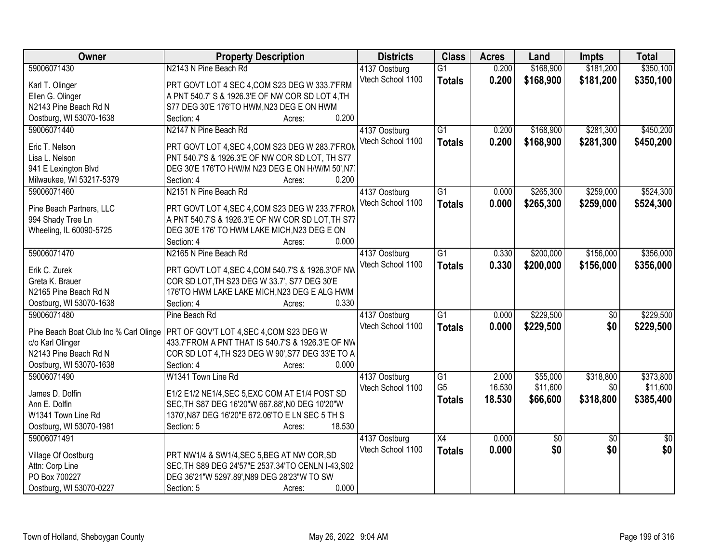| N2143 N Pine Beach Rd<br>\$168,900<br>\$350,100<br>59006071430<br>0.200<br>\$181,200<br>4137 Oostburg<br>$\overline{G1}$<br>Vtech School 1100<br>0.200<br>\$168,900<br>\$181,200<br>\$350,100<br><b>Totals</b><br>PRT GOVT LOT 4 SEC 4, COM S23 DEG W 333.7'FRM<br>Karl T. Olinger<br>A PNT 540.7' S & 1926.3'E OF NW COR SD LOT 4, TH<br>Ellen G. Olinger<br>N2143 Pine Beach Rd N<br>S77 DEG 30'E 176'TO HWM, N23 DEG E ON HWM<br>0.200<br>Oostburg, WI 53070-1638<br>Section: 4<br>Acres:<br>59006071440<br>N2147 N Pine Beach Rd<br>$\overline{G1}$<br>\$168,900<br>\$281,300<br>\$450,200<br>4137 Oostburg<br>0.200<br>Vtech School 1100<br>0.200<br>\$168,900<br>\$281,300<br>\$450,200<br><b>Totals</b><br>Eric T. Nelson<br>PRT GOVT LOT 4, SEC 4, COM S23 DEG W 283.7'FROM<br>Lisa L. Nelson<br>PNT 540.7'S & 1926.3'E OF NW COR SD LOT, TH S77<br>DEG 30'E 176'TO H/W/M N23 DEG E ON H/W/M 50',N7<br>941 E Lexington Blvd<br>0.200<br>Milwaukee, WI 53217-5379<br>Section: 4<br>Acres:<br>\$265,300<br>\$259,000<br>\$524,300<br>N2151 N Pine Beach Rd<br>59006071460<br>4137 Oostburg<br>G1<br>0.000<br>Vtech School 1100<br>0.000<br>\$259,000<br>\$524,300<br>\$265,300<br><b>Totals</b><br>PRT GOVT LOT 4, SEC 4, COM S23 DEG W 233.7'FROM<br>Pine Beach Partners, LLC<br>A PNT 540.7'S & 1926.3'E OF NW COR SD LOT, TH S77<br>994 Shady Tree Ln<br>Wheeling, IL 60090-5725<br>DEG 30'E 176' TO HWM LAKE MICH, N23 DEG E ON<br>0.000<br>Section: 4<br>Acres:<br>N2165 N Pine Beach Rd<br>\$200,000<br>\$156,000<br>\$356,000<br>59006071470<br>G1<br>0.330<br>4137 Oostburg |
|-------------------------------------------------------------------------------------------------------------------------------------------------------------------------------------------------------------------------------------------------------------------------------------------------------------------------------------------------------------------------------------------------------------------------------------------------------------------------------------------------------------------------------------------------------------------------------------------------------------------------------------------------------------------------------------------------------------------------------------------------------------------------------------------------------------------------------------------------------------------------------------------------------------------------------------------------------------------------------------------------------------------------------------------------------------------------------------------------------------------------------------------------------------------------------------------------------------------------------------------------------------------------------------------------------------------------------------------------------------------------------------------------------------------------------------------------------------------------------------------------------------------------------------------------------------------------------------------|
|                                                                                                                                                                                                                                                                                                                                                                                                                                                                                                                                                                                                                                                                                                                                                                                                                                                                                                                                                                                                                                                                                                                                                                                                                                                                                                                                                                                                                                                                                                                                                                                           |
|                                                                                                                                                                                                                                                                                                                                                                                                                                                                                                                                                                                                                                                                                                                                                                                                                                                                                                                                                                                                                                                                                                                                                                                                                                                                                                                                                                                                                                                                                                                                                                                           |
|                                                                                                                                                                                                                                                                                                                                                                                                                                                                                                                                                                                                                                                                                                                                                                                                                                                                                                                                                                                                                                                                                                                                                                                                                                                                                                                                                                                                                                                                                                                                                                                           |
|                                                                                                                                                                                                                                                                                                                                                                                                                                                                                                                                                                                                                                                                                                                                                                                                                                                                                                                                                                                                                                                                                                                                                                                                                                                                                                                                                                                                                                                                                                                                                                                           |
|                                                                                                                                                                                                                                                                                                                                                                                                                                                                                                                                                                                                                                                                                                                                                                                                                                                                                                                                                                                                                                                                                                                                                                                                                                                                                                                                                                                                                                                                                                                                                                                           |
|                                                                                                                                                                                                                                                                                                                                                                                                                                                                                                                                                                                                                                                                                                                                                                                                                                                                                                                                                                                                                                                                                                                                                                                                                                                                                                                                                                                                                                                                                                                                                                                           |
|                                                                                                                                                                                                                                                                                                                                                                                                                                                                                                                                                                                                                                                                                                                                                                                                                                                                                                                                                                                                                                                                                                                                                                                                                                                                                                                                                                                                                                                                                                                                                                                           |
|                                                                                                                                                                                                                                                                                                                                                                                                                                                                                                                                                                                                                                                                                                                                                                                                                                                                                                                                                                                                                                                                                                                                                                                                                                                                                                                                                                                                                                                                                                                                                                                           |
|                                                                                                                                                                                                                                                                                                                                                                                                                                                                                                                                                                                                                                                                                                                                                                                                                                                                                                                                                                                                                                                                                                                                                                                                                                                                                                                                                                                                                                                                                                                                                                                           |
|                                                                                                                                                                                                                                                                                                                                                                                                                                                                                                                                                                                                                                                                                                                                                                                                                                                                                                                                                                                                                                                                                                                                                                                                                                                                                                                                                                                                                                                                                                                                                                                           |
|                                                                                                                                                                                                                                                                                                                                                                                                                                                                                                                                                                                                                                                                                                                                                                                                                                                                                                                                                                                                                                                                                                                                                                                                                                                                                                                                                                                                                                                                                                                                                                                           |
|                                                                                                                                                                                                                                                                                                                                                                                                                                                                                                                                                                                                                                                                                                                                                                                                                                                                                                                                                                                                                                                                                                                                                                                                                                                                                                                                                                                                                                                                                                                                                                                           |
|                                                                                                                                                                                                                                                                                                                                                                                                                                                                                                                                                                                                                                                                                                                                                                                                                                                                                                                                                                                                                                                                                                                                                                                                                                                                                                                                                                                                                                                                                                                                                                                           |
|                                                                                                                                                                                                                                                                                                                                                                                                                                                                                                                                                                                                                                                                                                                                                                                                                                                                                                                                                                                                                                                                                                                                                                                                                                                                                                                                                                                                                                                                                                                                                                                           |
|                                                                                                                                                                                                                                                                                                                                                                                                                                                                                                                                                                                                                                                                                                                                                                                                                                                                                                                                                                                                                                                                                                                                                                                                                                                                                                                                                                                                                                                                                                                                                                                           |
|                                                                                                                                                                                                                                                                                                                                                                                                                                                                                                                                                                                                                                                                                                                                                                                                                                                                                                                                                                                                                                                                                                                                                                                                                                                                                                                                                                                                                                                                                                                                                                                           |
|                                                                                                                                                                                                                                                                                                                                                                                                                                                                                                                                                                                                                                                                                                                                                                                                                                                                                                                                                                                                                                                                                                                                                                                                                                                                                                                                                                                                                                                                                                                                                                                           |
| Vtech School 1100<br>0.330<br>\$200,000<br>\$156,000<br>\$356,000<br><b>Totals</b>                                                                                                                                                                                                                                                                                                                                                                                                                                                                                                                                                                                                                                                                                                                                                                                                                                                                                                                                                                                                                                                                                                                                                                                                                                                                                                                                                                                                                                                                                                        |
| PRT GOVT LOT 4, SEC 4, COM 540.7'S & 1926.3' OF NW<br>Erik C. Zurek                                                                                                                                                                                                                                                                                                                                                                                                                                                                                                                                                                                                                                                                                                                                                                                                                                                                                                                                                                                                                                                                                                                                                                                                                                                                                                                                                                                                                                                                                                                       |
| Greta K. Brauer<br>COR SD LOT, TH S23 DEG W 33.7', S77 DEG 30'E                                                                                                                                                                                                                                                                                                                                                                                                                                                                                                                                                                                                                                                                                                                                                                                                                                                                                                                                                                                                                                                                                                                                                                                                                                                                                                                                                                                                                                                                                                                           |
| N2165 Pine Beach Rd N<br>176'TO HWM LAKE LAKE MICH, N23 DEG E ALG HWM                                                                                                                                                                                                                                                                                                                                                                                                                                                                                                                                                                                                                                                                                                                                                                                                                                                                                                                                                                                                                                                                                                                                                                                                                                                                                                                                                                                                                                                                                                                     |
| 0.330<br>Section: 4<br>Oostburg, WI 53070-1638<br>Acres:                                                                                                                                                                                                                                                                                                                                                                                                                                                                                                                                                                                                                                                                                                                                                                                                                                                                                                                                                                                                                                                                                                                                                                                                                                                                                                                                                                                                                                                                                                                                  |
| \$229,500<br>\$229,500<br>59006071480<br>$\overline{G1}$<br>0.000<br>$\overline{50}$<br>Pine Beach Rd<br>4137 Oostburg                                                                                                                                                                                                                                                                                                                                                                                                                                                                                                                                                                                                                                                                                                                                                                                                                                                                                                                                                                                                                                                                                                                                                                                                                                                                                                                                                                                                                                                                    |
| Vtech School 1100<br>0.000<br>\$229,500<br>\$0<br>\$229,500<br><b>Totals</b><br>Pine Beach Boat Club Inc % Carl Olinge<br>PRT OF GOV'T LOT 4, SEC 4, COM S23 DEG W                                                                                                                                                                                                                                                                                                                                                                                                                                                                                                                                                                                                                                                                                                                                                                                                                                                                                                                                                                                                                                                                                                                                                                                                                                                                                                                                                                                                                        |
| c/o Karl Olinger<br>433.7'FROM A PNT THAT IS 540.7'S & 1926.3'E OF NW                                                                                                                                                                                                                                                                                                                                                                                                                                                                                                                                                                                                                                                                                                                                                                                                                                                                                                                                                                                                                                                                                                                                                                                                                                                                                                                                                                                                                                                                                                                     |
| N2143 Pine Beach Rd N<br>COR SD LOT 4, TH S23 DEG W 90', S77 DEG 33'E TO A                                                                                                                                                                                                                                                                                                                                                                                                                                                                                                                                                                                                                                                                                                                                                                                                                                                                                                                                                                                                                                                                                                                                                                                                                                                                                                                                                                                                                                                                                                                |
| 0.000<br>Oostburg, WI 53070-1638<br>Section: 4<br>Acres:                                                                                                                                                                                                                                                                                                                                                                                                                                                                                                                                                                                                                                                                                                                                                                                                                                                                                                                                                                                                                                                                                                                                                                                                                                                                                                                                                                                                                                                                                                                                  |
| 59006071490<br>\$55,000<br>\$318,800<br>\$373,800<br>W1341 Town Line Rd<br>G1<br>2.000<br>4137 Oostburg                                                                                                                                                                                                                                                                                                                                                                                                                                                                                                                                                                                                                                                                                                                                                                                                                                                                                                                                                                                                                                                                                                                                                                                                                                                                                                                                                                                                                                                                                   |
| G <sub>5</sub><br>16.530<br>\$11,600<br>\$0<br>\$11,600<br>Vtech School 1100                                                                                                                                                                                                                                                                                                                                                                                                                                                                                                                                                                                                                                                                                                                                                                                                                                                                                                                                                                                                                                                                                                                                                                                                                                                                                                                                                                                                                                                                                                              |
| James D. Dolfin<br>E1/2 E1/2 NE1/4, SEC 5, EXC COM AT E1/4 POST SD<br>18.530<br>\$66,600<br>\$318,800<br>\$385,400<br><b>Totals</b>                                                                                                                                                                                                                                                                                                                                                                                                                                                                                                                                                                                                                                                                                                                                                                                                                                                                                                                                                                                                                                                                                                                                                                                                                                                                                                                                                                                                                                                       |
| Ann E. Dolfin<br>SEC, TH S87 DEG 16'20"W 667.88', N0 DEG 10'20"W                                                                                                                                                                                                                                                                                                                                                                                                                                                                                                                                                                                                                                                                                                                                                                                                                                                                                                                                                                                                                                                                                                                                                                                                                                                                                                                                                                                                                                                                                                                          |
| 1370', N87 DEG 16'20"E 672.06'TO E LN SEC 5 TH S<br>W1341 Town Line Rd                                                                                                                                                                                                                                                                                                                                                                                                                                                                                                                                                                                                                                                                                                                                                                                                                                                                                                                                                                                                                                                                                                                                                                                                                                                                                                                                                                                                                                                                                                                    |
| Oostburg, WI 53070-1981<br>18.530<br>Section: 5<br>Acres:                                                                                                                                                                                                                                                                                                                                                                                                                                                                                                                                                                                                                                                                                                                                                                                                                                                                                                                                                                                                                                                                                                                                                                                                                                                                                                                                                                                                                                                                                                                                 |
| 59006071491<br>$\overline{X4}$<br>0.000<br>4137 Oostburg<br>\$0<br>$\overline{30}$<br>$\overline{50}$                                                                                                                                                                                                                                                                                                                                                                                                                                                                                                                                                                                                                                                                                                                                                                                                                                                                                                                                                                                                                                                                                                                                                                                                                                                                                                                                                                                                                                                                                     |
| \$0<br>Vtech School 1100<br>\$0<br>\$0<br>0.000<br><b>Totals</b><br>Village Of Oostburg<br>PRT NW1/4 & SW1/4, SEC 5, BEG AT NW COR, SD                                                                                                                                                                                                                                                                                                                                                                                                                                                                                                                                                                                                                                                                                                                                                                                                                                                                                                                                                                                                                                                                                                                                                                                                                                                                                                                                                                                                                                                    |
| Attn: Corp Line<br>SEC. TH S89 DEG 24'57"E 2537.34'TO CENLN I-43, S02                                                                                                                                                                                                                                                                                                                                                                                                                                                                                                                                                                                                                                                                                                                                                                                                                                                                                                                                                                                                                                                                                                                                                                                                                                                                                                                                                                                                                                                                                                                     |
| PO Box 700227<br>DEG 36'21"W 5297.89', N89 DEG 28'23"W TO SW                                                                                                                                                                                                                                                                                                                                                                                                                                                                                                                                                                                                                                                                                                                                                                                                                                                                                                                                                                                                                                                                                                                                                                                                                                                                                                                                                                                                                                                                                                                              |
| 0.000<br>Oostburg, WI 53070-0227<br>Section: 5<br>Acres:                                                                                                                                                                                                                                                                                                                                                                                                                                                                                                                                                                                                                                                                                                                                                                                                                                                                                                                                                                                                                                                                                                                                                                                                                                                                                                                                                                                                                                                                                                                                  |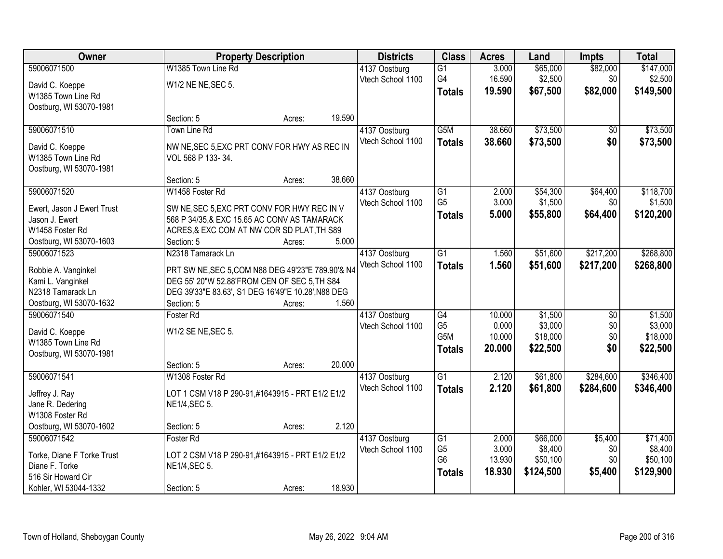| Owner                      |                                                    | <b>Property Description</b> |        | <b>Districts</b>  | <b>Class</b>     | <b>Acres</b> | Land      | <b>Impts</b>    | <b>Total</b> |
|----------------------------|----------------------------------------------------|-----------------------------|--------|-------------------|------------------|--------------|-----------|-----------------|--------------|
| 59006071500                | W1385 Town Line Rd                                 |                             |        | 4137 Oostburg     | $\overline{G1}$  | 3.000        | \$65,000  | \$82,000        | \$147,000    |
| David C. Koeppe            | W1/2 NE NE, SEC 5.                                 |                             |        | Vtech School 1100 | G4               | 16.590       | \$2,500   | \$0             | \$2,500      |
| W1385 Town Line Rd         |                                                    |                             |        |                   | <b>Totals</b>    | 19.590       | \$67,500  | \$82,000        | \$149,500    |
| Oostburg, WI 53070-1981    |                                                    |                             |        |                   |                  |              |           |                 |              |
|                            | Section: 5                                         | Acres:                      | 19.590 |                   |                  |              |           |                 |              |
| 59006071510                | Town Line Rd                                       |                             |        | 4137 Oostburg     | G5M              | 38.660       | \$73,500  | \$0             | \$73,500     |
| David C. Koeppe            | NW NE, SEC 5, EXC PRT CONV FOR HWY AS REC IN       |                             |        | Vtech School 1100 | <b>Totals</b>    | 38.660       | \$73,500  | \$0             | \$73,500     |
| W1385 Town Line Rd         | VOL 568 P 133-34.                                  |                             |        |                   |                  |              |           |                 |              |
| Oostburg, WI 53070-1981    |                                                    |                             |        |                   |                  |              |           |                 |              |
|                            | Section: 5                                         | Acres:                      | 38.660 |                   |                  |              |           |                 |              |
| 59006071520                | W1458 Foster Rd                                    |                             |        | 4137 Oostburg     | $\overline{G1}$  | 2.000        | \$54,300  | \$64,400        | \$118,700    |
| Ewert, Jason J Ewert Trust | SW NE, SEC 5, EXC PRT CONV FOR HWY REC IN V        |                             |        | Vtech School 1100 | G <sub>5</sub>   | 3.000        | \$1,500   | \$0             | \$1,500      |
| Jason J. Ewert             | 568 P 34/35,& EXC 15.65 AC CONV AS TAMARACK        |                             |        |                   | <b>Totals</b>    | 5.000        | \$55,800  | \$64,400        | \$120,200    |
| W1458 Foster Rd            | ACRES, & EXC COM AT NW COR SD PLAT, TH S89         |                             |        |                   |                  |              |           |                 |              |
| Oostburg, WI 53070-1603    | Section: 5                                         | Acres:                      | 5.000  |                   |                  |              |           |                 |              |
| 59006071523                | N2318 Tamarack Ln                                  |                             |        | 4137 Oostburg     | $\overline{G1}$  | 1.560        | \$51,600  | \$217,200       | \$268,800    |
| Robbie A. Vanginkel        | PRT SW NE, SEC 5, COM N88 DEG 49'23"E 789.90'& N4  |                             |        | Vtech School 1100 | <b>Totals</b>    | 1.560        | \$51,600  | \$217,200       | \$268,800    |
| Kami L. Vanginkel          | DEG 55' 20"W 52.88'FROM CEN OF SEC 5, TH S84       |                             |        |                   |                  |              |           |                 |              |
| N2318 Tamarack Ln          | DEG 39'33"E 83.63', S1 DEG 16'49"E 10.28', N88 DEG |                             |        |                   |                  |              |           |                 |              |
| Oostburg, WI 53070-1632    | Section: 5                                         | Acres:                      | 1.560  |                   |                  |              |           |                 |              |
| 59006071540                | Foster Rd                                          |                             |        | 4137 Oostburg     | $\overline{G4}$  | 10.000       | \$1,500   | $\overline{50}$ | \$1,500      |
| David C. Koeppe            | W1/2 SE NE, SEC 5.                                 |                             |        | Vtech School 1100 | G <sub>5</sub>   | 0.000        | \$3,000   | \$0             | \$3,000      |
| W1385 Town Line Rd         |                                                    |                             |        |                   | G <sub>5</sub> M | 10.000       | \$18,000  | \$0             | \$18,000     |
| Oostburg, WI 53070-1981    |                                                    |                             |        |                   | <b>Totals</b>    | 20.000       | \$22,500  | \$0             | \$22,500     |
|                            | Section: 5                                         | Acres:                      | 20.000 |                   |                  |              |           |                 |              |
| 59006071541                | W1308 Foster Rd                                    |                             |        | 4137 Oostburg     | $\overline{G1}$  | 2.120        | \$61,800  | \$284,600       | \$346,400    |
| Jeffrey J. Ray             | LOT 1 CSM V18 P 290-91,#1643915 - PRT E1/2 E1/2    |                             |        | Vtech School 1100 | <b>Totals</b>    | 2.120        | \$61,800  | \$284,600       | \$346,400    |
| Jane R. Dedering           | NE1/4, SEC 5.                                      |                             |        |                   |                  |              |           |                 |              |
| W1308 Foster Rd            |                                                    |                             |        |                   |                  |              |           |                 |              |
| Oostburg, WI 53070-1602    | Section: 5                                         | Acres:                      | 2.120  |                   |                  |              |           |                 |              |
| 59006071542                | Foster Rd                                          |                             |        | 4137 Oostburg     | $\overline{G1}$  | 2.000        | \$66,000  | \$5,400         | \$71,400     |
| Torke, Diane F Torke Trust | LOT 2 CSM V18 P 290-91,#1643915 - PRT E1/2 E1/2    |                             |        | Vtech School 1100 | G <sub>5</sub>   | 3.000        | \$8,400   | \$0             | \$8,400      |
| Diane F. Torke             | NE1/4, SEC 5.                                      |                             |        |                   | G <sub>6</sub>   | 13.930       | \$50,100  | \$0             | \$50,100     |
| 516 Sir Howard Cir         |                                                    |                             |        |                   | <b>Totals</b>    | 18.930       | \$124,500 | \$5,400         | \$129,900    |
| Kohler, WI 53044-1332      | Section: 5                                         | Acres:                      | 18.930 |                   |                  |              |           |                 |              |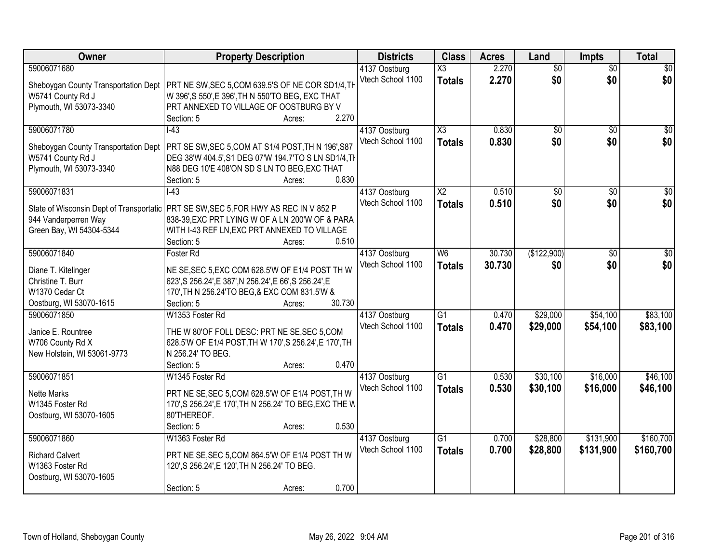| Owner                                  | <b>Property Description</b>                                                                                                             | <b>Districts</b>                   | <b>Class</b>        | <b>Acres</b> | Land            | <b>Impts</b>    | <b>Total</b>    |
|----------------------------------------|-----------------------------------------------------------------------------------------------------------------------------------------|------------------------------------|---------------------|--------------|-----------------|-----------------|-----------------|
| 59006071680                            |                                                                                                                                         | 4137 Oostburg                      | X3                  | 2.270        | $\overline{60}$ | $\overline{50}$ | \$0             |
| Sheboygan County Transportation Dept   | PRT NE SW, SEC 5, COM 639.5'S OF NE COR SD1/4, TH                                                                                       | Vtech School 1100                  | <b>Totals</b>       | 2.270        | \$0             | \$0             | \$0             |
| W5741 County Rd J                      | W 396', S 550', E 396', TH N 550'TO BEG, EXC THAT                                                                                       |                                    |                     |              |                 |                 |                 |
| Plymouth, WI 53073-3340                | PRT ANNEXED TO VILLAGE OF OOSTBURG BY V                                                                                                 |                                    |                     |              |                 |                 |                 |
|                                        | 2.270<br>Section: 5<br>Acres:                                                                                                           |                                    |                     |              |                 |                 |                 |
| 59006071780                            | $\overline{1-43}$                                                                                                                       | 4137 Oostburg                      | $\overline{\chi_3}$ | 0.830        | $\overline{50}$ | $\overline{50}$ | $\overline{30}$ |
| Sheboygan County Transportation Dept   | PRT SE SW, SEC 5, COM AT S1/4 POST, TH N 196', S87                                                                                      | Vtech School 1100                  | <b>Totals</b>       | 0.830        | \$0             | \$0             | \$0             |
| W5741 County Rd J                      | DEG 38'W 404.5', S1 DEG 07'W 194.7'TO S LN SD1/4, TI                                                                                    |                                    |                     |              |                 |                 |                 |
| Plymouth, WI 53073-3340                | N88 DEG 10'E 408'ON SD S LN TO BEG, EXC THAT                                                                                            |                                    |                     |              |                 |                 |                 |
|                                        | 0.830<br>Section: 5<br>Acres:                                                                                                           |                                    |                     |              |                 |                 |                 |
| 59006071831                            | $-43$                                                                                                                                   | 4137 Oostburg                      | X <sub>2</sub>      | 0.510        | \$0             | \$0             | $\overline{50}$ |
|                                        |                                                                                                                                         | Vtech School 1100                  | <b>Totals</b>       | 0.510        | \$0             | \$0             | \$0             |
| 944 Vanderperren Way                   | State of Wisconsin Dept of Transportatic PRT SE SW, SEC 5, FOR HWY AS REC IN V 852 P<br>838-39, EXC PRT LYING W OF A LN 200'W OF & PARA |                                    |                     |              |                 |                 |                 |
| Green Bay, WI 54304-5344               | WITH I-43 REF LN, EXC PRT ANNEXED TO VILLAGE                                                                                            |                                    |                     |              |                 |                 |                 |
|                                        | Section: 5<br>0.510<br>Acres:                                                                                                           |                                    |                     |              |                 |                 |                 |
| 59006071840                            | Foster Rd                                                                                                                               | 4137 Oostburg                      | W <sub>6</sub>      | 30.730       | (\$122,900)     | $\sqrt[6]{3}$   | $\sqrt{50}$     |
|                                        |                                                                                                                                         | Vtech School 1100                  | <b>Totals</b>       | 30.730       | \$0             | \$0             | \$0             |
| Diane T. Kitelinger                    | NE SE, SEC 5, EXC COM 628.5'W OF E1/4 POST TH W                                                                                         |                                    |                     |              |                 |                 |                 |
| Christine T. Burr                      | 623', S 256.24', E 387', N 256.24', E 66', S 256.24', E                                                                                 |                                    |                     |              |                 |                 |                 |
| W1370 Cedar Ct                         | 170', TH N 256.24'TO BEG, & EXC COM 831.5'W &                                                                                           |                                    |                     |              |                 |                 |                 |
| Oostburg, WI 53070-1615<br>59006071850 | 30.730<br>Section: 5<br>Acres:<br>W1353 Foster Rd                                                                                       |                                    | $\overline{G1}$     | 0.470        | \$29,000        | \$54,100        | \$83,100        |
|                                        |                                                                                                                                         | 4137 Oostburg<br>Vtech School 1100 |                     |              |                 |                 |                 |
| Janice E. Rountree                     | THE W 80'OF FOLL DESC: PRT NE SE, SEC 5, COM                                                                                            |                                    | <b>Totals</b>       | 0.470        | \$29,000        | \$54,100        | \$83,100        |
| W706 County Rd X                       | 628.5'W OF E1/4 POST, TH W 170', S 256.24', E 170', TH                                                                                  |                                    |                     |              |                 |                 |                 |
| New Holstein, WI 53061-9773            | N 256.24' TO BEG.                                                                                                                       |                                    |                     |              |                 |                 |                 |
|                                        | Section: 5<br>0.470<br>Acres:                                                                                                           |                                    |                     |              |                 |                 |                 |
| 59006071851                            | W1345 Foster Rd                                                                                                                         | 4137 Oostburg                      | $\overline{G1}$     | 0.530        | \$30,100        | \$16,000        | \$46,100        |
| <b>Nette Marks</b>                     | PRT NE SE, SEC 5, COM 628.5'W OF E1/4 POST, TH W                                                                                        | Vtech School 1100                  | <b>Totals</b>       | 0.530        | \$30,100        | \$16,000        | \$46,100        |
| W1345 Foster Rd                        | 170', S 256.24', E 170', TH N 256.24' TO BEG, EXC THE W                                                                                 |                                    |                     |              |                 |                 |                 |
| Oostburg, WI 53070-1605                | 80'THEREOF.                                                                                                                             |                                    |                     |              |                 |                 |                 |
|                                        | 0.530<br>Section: 5<br>Acres:                                                                                                           |                                    |                     |              |                 |                 |                 |
| 59006071860                            | W1363 Foster Rd                                                                                                                         | 4137 Oostburg                      | $\overline{G1}$     | 0.700        | \$28,800        | \$131,900       | \$160,700       |
| <b>Richard Calvert</b>                 | PRT NE SE, SEC 5, COM 864.5'W OF E1/4 POST TH W                                                                                         | Vtech School 1100                  | <b>Totals</b>       | 0.700        | \$28,800        | \$131,900       | \$160,700       |
| W1363 Foster Rd                        | 120', S 256.24', E 120', TH N 256.24' TO BEG.                                                                                           |                                    |                     |              |                 |                 |                 |
| Oostburg, WI 53070-1605                |                                                                                                                                         |                                    |                     |              |                 |                 |                 |
|                                        | 0.700<br>Section: 5<br>Acres:                                                                                                           |                                    |                     |              |                 |                 |                 |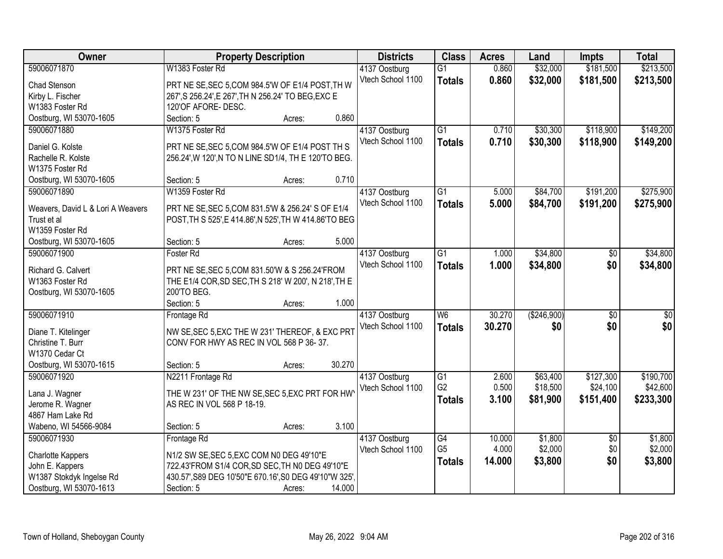| Owner                             | <b>Property Description</b>                            | <b>Districts</b>                   | <b>Class</b>    | <b>Acres</b> | Land          | <b>Impts</b>    | <b>Total</b>     |
|-----------------------------------|--------------------------------------------------------|------------------------------------|-----------------|--------------|---------------|-----------------|------------------|
| 59006071870                       | W1383 Foster Rd                                        | 4137 Oostburg                      | $\overline{G1}$ | 0.860        | \$32,000      | \$181,500       | \$213,500        |
| Chad Stenson                      | PRT NE SE, SEC 5, COM 984.5'W OF E1/4 POST, TH W       | Vtech School 1100                  | <b>Totals</b>   | 0.860        | \$32,000      | \$181,500       | \$213,500        |
| Kirby L. Fischer                  | 267', S 256.24', E 267', TH N 256.24' TO BEG, EXC E    |                                    |                 |              |               |                 |                  |
| W1383 Foster Rd                   | 120'OF AFORE-DESC.                                     |                                    |                 |              |               |                 |                  |
| Oostburg, WI 53070-1605           | 0.860<br>Section: 5<br>Acres:                          |                                    |                 |              |               |                 |                  |
| 59006071880                       | W1375 Foster Rd                                        | 4137 Oostburg                      | $\overline{G1}$ | 0.710        | \$30,300      | \$118,900       | \$149,200        |
|                                   |                                                        | Vtech School 1100                  | <b>Totals</b>   | 0.710        | \$30,300      | \$118,900       | \$149,200        |
| Daniel G. Kolste                  | PRT NE SE, SEC 5, COM 984.5'W OF E1/4 POST TH S        |                                    |                 |              |               |                 |                  |
| Rachelle R. Kolste                | 256.24', W 120', N TO N LINE SD1/4, TH E 120'TO BEG.   |                                    |                 |              |               |                 |                  |
| W1375 Foster Rd                   |                                                        |                                    |                 |              |               |                 |                  |
| Oostburg, WI 53070-1605           | 0.710<br>Section: 5<br>Acres:                          |                                    |                 |              |               |                 |                  |
| 59006071890                       | W1359 Foster Rd                                        | 4137 Oostburg                      | G1              | 5.000        | \$84,700      | \$191,200       | \$275,900        |
| Weavers, David L & Lori A Weavers | PRT NE SE, SEC 5, COM 831.5'W & 256.24' S OF E1/4      | Vtech School 1100                  | <b>Totals</b>   | 5.000        | \$84,700      | \$191,200       | \$275,900        |
| Trust et al                       | POST, TH S 525', E 414.86', N 525', TH W 414.86'TO BEG |                                    |                 |              |               |                 |                  |
| W1359 Foster Rd                   |                                                        |                                    |                 |              |               |                 |                  |
| Oostburg, WI 53070-1605           | 5.000<br>Section: 5<br>Acres:                          |                                    |                 |              |               |                 |                  |
| 59006071900                       | Foster Rd                                              | 4137 Oostburg                      | G1              | 1.000        | \$34,800      | $\sqrt[6]{}$    | \$34,800         |
|                                   |                                                        | Vtech School 1100                  | <b>Totals</b>   | 1.000        | \$34,800      | \$0             | \$34,800         |
| Richard G. Calvert                | PRT NE SE, SEC 5, COM 831.50 W & S 256.24 FROM         |                                    |                 |              |               |                 |                  |
| W1363 Foster Rd                   | THE E1/4 COR, SD SEC, TH S 218' W 200', N 218', TH E   |                                    |                 |              |               |                 |                  |
| Oostburg, WI 53070-1605           | 200'TO BEG.                                            |                                    |                 |              |               |                 |                  |
|                                   | Section: 5<br>1.000<br>Acres:                          |                                    |                 |              |               |                 |                  |
| 59006071910                       | Frontage Rd                                            | 4137 Oostburg                      | $\overline{W6}$ | 30.270       | ( \$246, 900) | $\overline{50}$ | $\overline{\$0}$ |
| Diane T. Kitelinger               | NW SE, SEC 5, EXC THE W 231' THEREOF, & EXC PRT        | Vtech School 1100                  | <b>Totals</b>   | 30.270       | \$0           | \$0             | \$0              |
| Christine T. Burr                 | CONV FOR HWY AS REC IN VOL 568 P 36-37.                |                                    |                 |              |               |                 |                  |
| W1370 Cedar Ct                    |                                                        |                                    |                 |              |               |                 |                  |
| Oostburg, WI 53070-1615           | 30.270<br>Section: 5<br>Acres:                         |                                    |                 |              |               |                 |                  |
| 59006071920                       | N2211 Frontage Rd                                      |                                    | G1              | 2.600        | \$63,400      | \$127,300       | \$190,700        |
|                                   |                                                        | 4137 Oostburg<br>Vtech School 1100 | G <sub>2</sub>  | 0.500        | \$18,500      | \$24,100        | \$42,600         |
| Lana J. Wagner                    | THE W 231' OF THE NW SE, SEC 5, EXC PRT FOR HW         |                                    |                 | 3.100        |               |                 |                  |
| Jerome R. Wagner                  | AS REC IN VOL 568 P 18-19.                             |                                    | <b>Totals</b>   |              | \$81,900      | \$151,400       | \$233,300        |
| 4867 Ham Lake Rd                  |                                                        |                                    |                 |              |               |                 |                  |
| Wabeno, WI 54566-9084             | 3.100<br>Section: 5<br>Acres:                          |                                    |                 |              |               |                 |                  |
| 59006071930                       | Frontage Rd                                            | 4137 Oostburg                      | $\overline{G4}$ | 10.000       | \$1,800       | $\overline{50}$ | \$1,800          |
|                                   |                                                        | Vtech School 1100                  | G <sub>5</sub>  | 4.000        | \$2,000       | \$0             | \$2,000          |
| Charlotte Kappers                 | N1/2 SW SE, SEC 5, EXC COM N0 DEG 49'10"E              |                                    | <b>Totals</b>   | 14.000       | \$3,800       | \$0             | \$3,800          |
| John E. Kappers                   | 722.43'FROM S1/4 COR, SD SEC, TH NO DEG 49'10"E        |                                    |                 |              |               |                 |                  |
| W1387 Stokdyk Ingelse Rd          | 430.57', S89 DEG 10'50"E 670.16', S0 DEG 49'10"W 325', |                                    |                 |              |               |                 |                  |
| Oostburg, WI 53070-1613           | 14.000<br>Section: 5<br>Acres:                         |                                    |                 |              |               |                 |                  |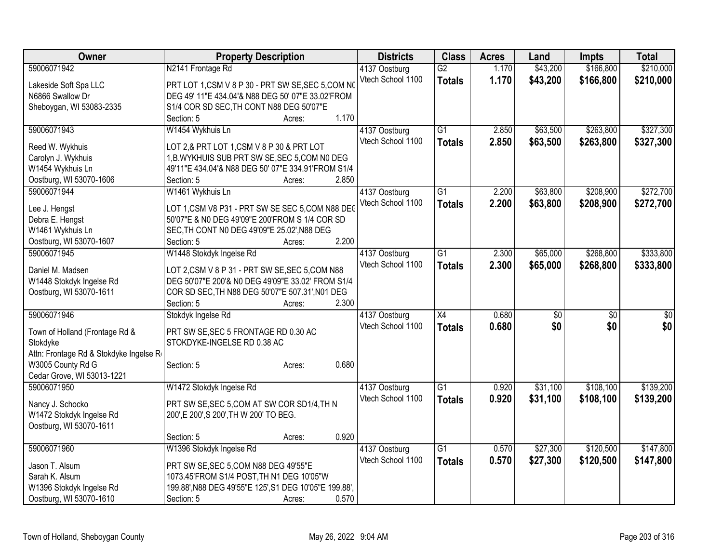| Owner                                  | <b>Property Description</b>                            |                 | <b>Districts</b>                   | <b>Class</b>    | <b>Acres</b> | Land            | <b>Impts</b>    | <b>Total</b>    |
|----------------------------------------|--------------------------------------------------------|-----------------|------------------------------------|-----------------|--------------|-----------------|-----------------|-----------------|
| 59006071942                            | N2141 Frontage Rd                                      |                 | 4137 Oostburg                      | $\overline{G2}$ | 1.170        | \$43,200        | \$166,800       | \$210,000       |
| Lakeside Soft Spa LLC                  | PRT LOT 1, CSM V 8 P 30 - PRT SW SE, SEC 5, COM NO     |                 | Vtech School 1100                  | <b>Totals</b>   | 1.170        | \$43,200        | \$166,800       | \$210,000       |
| N6866 Swallow Dr                       | DEG 49' 11"E 434.04'& N88 DEG 50' 07"E 33.02'FROM      |                 |                                    |                 |              |                 |                 |                 |
| Sheboygan, WI 53083-2335               | S1/4 COR SD SEC, TH CONT N88 DEG 50'07"E               |                 |                                    |                 |              |                 |                 |                 |
|                                        | Section: 5                                             | 1.170<br>Acres: |                                    |                 |              |                 |                 |                 |
| 59006071943                            | W1454 Wykhuis Ln                                       |                 | 4137 Oostburg                      | $\overline{G1}$ | 2.850        | \$63,500        | \$263,800       | \$327,300       |
|                                        |                                                        |                 | Vtech School 1100                  | <b>Totals</b>   | 2.850        | \$63,500        | \$263,800       | \$327,300       |
| Reed W. Wykhuis                        | LOT 2,& PRT LOT 1,CSM V 8 P 30 & PRT LOT               |                 |                                    |                 |              |                 |                 |                 |
| Carolyn J. Wykhuis                     | 1, B. WYKHUIS SUB PRT SW SE, SEC 5, COM NO DEG         |                 |                                    |                 |              |                 |                 |                 |
| W1454 Wykhuis Ln                       | 49'11"E 434.04'& N88 DEG 50' 07"E 334.91'FROM S1/4     |                 |                                    |                 |              |                 |                 |                 |
| Oostburg, WI 53070-1606                | Section: 5                                             | 2.850<br>Acres: |                                    |                 |              |                 |                 |                 |
| 59006071944                            | W1461 Wykhuis Ln                                       |                 | 4137 Oostburg                      | G <sub>1</sub>  | 2.200        | \$63,800        | \$208,900       | \$272,700       |
| Lee J. Hengst                          | LOT 1, CSM V8 P31 - PRT SW SE SEC 5, COM N88 DEO       |                 | Vtech School 1100                  | <b>Totals</b>   | 2.200        | \$63,800        | \$208,900       | \$272,700       |
| Debra E. Hengst                        | 50'07"E & N0 DEG 49'09"E 200'FROM S 1/4 COR SD         |                 |                                    |                 |              |                 |                 |                 |
| W1461 Wykhuis Ln                       | SEC, TH CONT N0 DEG 49'09"E 25.02', N88 DEG            |                 |                                    |                 |              |                 |                 |                 |
| Oostburg, WI 53070-1607                | Section: 5                                             | 2.200<br>Acres: |                                    |                 |              |                 |                 |                 |
| 59006071945                            | W1448 Stokdyk Ingelse Rd                               |                 |                                    | $\overline{G1}$ | 2.300        | \$65,000        | \$268,800       | \$333,800       |
|                                        |                                                        |                 | 4137 Oostburg<br>Vtech School 1100 |                 |              |                 |                 |                 |
| Daniel M. Madsen                       | LOT 2, CSM V 8 P 31 - PRT SW SE, SEC 5, COM N88        |                 |                                    | <b>Totals</b>   | 2.300        | \$65,000        | \$268,800       | \$333,800       |
| W1448 Stokdyk Ingelse Rd               | DEG 50'07"E 200'& N0 DEG 49'09"E 33.02' FROM S1/4      |                 |                                    |                 |              |                 |                 |                 |
| Oostburg, WI 53070-1611                | COR SD SEC, TH N88 DEG 50'07"E 507.31', N01 DEG        |                 |                                    |                 |              |                 |                 |                 |
|                                        | Section: 5                                             | 2.300<br>Acres: |                                    |                 |              |                 |                 |                 |
| 59006071946                            | Stokdyk Ingelse Rd                                     |                 | 4137 Oostburg                      | $\overline{X4}$ | 0.680        | $\overline{50}$ | $\overline{50}$ | $\overline{50}$ |
|                                        |                                                        |                 | Vtech School 1100                  | <b>Totals</b>   | 0.680        | \$0             | \$0             | \$0             |
| Town of Holland (Frontage Rd &         | PRT SW SE, SEC 5 FRONTAGE RD 0.30 AC                   |                 |                                    |                 |              |                 |                 |                 |
| Stokdyke                               | STOKDYKE-INGELSE RD 0.38 AC                            |                 |                                    |                 |              |                 |                 |                 |
| Attn: Frontage Rd & Stokdyke Ingelse R |                                                        |                 |                                    |                 |              |                 |                 |                 |
| W3005 County Rd G                      | Section: 5                                             | 0.680<br>Acres: |                                    |                 |              |                 |                 |                 |
| Cedar Grove, WI 53013-1221             |                                                        |                 |                                    |                 |              |                 |                 |                 |
| 59006071950                            | W1472 Stokdyk Ingelse Rd                               |                 | 4137 Oostburg                      | $\overline{G1}$ | 0.920        | \$31,100        | \$108,100       | \$139,200       |
| Nancy J. Schocko                       | PRT SW SE, SEC 5, COM AT SW COR SD1/4, TH N            |                 | Vtech School 1100                  | <b>Totals</b>   | 0.920        | \$31,100        | \$108,100       | \$139,200       |
| W1472 Stokdyk Ingelse Rd               | 200', E 200', S 200', TH W 200' TO BEG.                |                 |                                    |                 |              |                 |                 |                 |
| Oostburg, WI 53070-1611                |                                                        |                 |                                    |                 |              |                 |                 |                 |
|                                        | Section: 5                                             | 0.920<br>Acres: |                                    |                 |              |                 |                 |                 |
| 59006071960                            | W1396 Stokdyk Ingelse Rd                               |                 | 4137 Oostburg                      | $\overline{G1}$ | 0.570        | \$27,300        | \$120,500       | \$147,800       |
|                                        |                                                        |                 | Vtech School 1100                  | <b>Totals</b>   | 0.570        | \$27,300        | \$120,500       | \$147,800       |
| Jason T. Alsum                         | PRT SW SE, SEC 5, COM N88 DEG 49'55"E                  |                 |                                    |                 |              |                 |                 |                 |
| Sarah K. Alsum                         | 1073.45'FROM S1/4 POST, TH N1 DEG 10'05"W              |                 |                                    |                 |              |                 |                 |                 |
| W1396 Stokdyk Ingelse Rd               | 199.88', N88 DEG 49'55"E 125', S1 DEG 10'05"E 199.88', |                 |                                    |                 |              |                 |                 |                 |
| Oostburg, WI 53070-1610                | Section: 5                                             | 0.570<br>Acres: |                                    |                 |              |                 |                 |                 |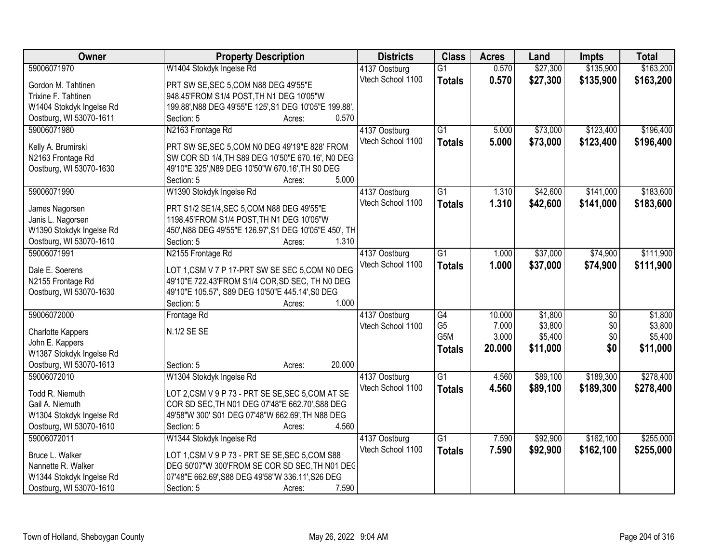| \$27,300<br>59006071970<br>W1404 Stokdyk Ingelse Rd<br>0.570<br>\$135,900<br>$\overline{G1}$<br>4137 Oostburg<br>Vtech School 1100<br>0.570<br>\$27,300<br>\$135,900<br><b>Totals</b><br>PRT SW SE, SEC 5, COM N88 DEG 49'55"E<br>Gordon M. Tahtinen<br>Trixine F. Tahtinen<br>948.45'FROM S1/4 POST, TH N1 DEG 10'05"W<br>199.88', N88 DEG 49'55"E 125', S1 DEG 10'05"E 199.88',<br>W1404 Stokdyk Ingelse Rd<br>Oostburg, WI 53070-1611<br>0.570<br>Section: 5<br>Acres:<br>59006071980<br>$\overline{G1}$<br>\$73,000<br>\$123,400<br>N2163 Frontage Rd<br>4137 Oostburg<br>5.000<br>Vtech School 1100<br>5.000<br>\$73,000<br>\$123,400<br>\$196,400<br><b>Totals</b><br>PRT SW SE, SEC 5, COM N0 DEG 49'19"E 828' FROM<br>Kelly A. Brumirski<br>N2163 Frontage Rd<br>SW COR SD 1/4, TH S89 DEG 10'50"E 670.16', NO DEG<br>Oostburg, WI 53070-1630<br>49'10"E 325', N89 DEG 10'50"W 670.16', TH S0 DEG | <b>Owner</b> | <b>Property Description</b> | <b>Districts</b> | <b>Class</b> | <b>Acres</b> | Land | <b>Impts</b> | <b>Total</b> |
|-----------------------------------------------------------------------------------------------------------------------------------------------------------------------------------------------------------------------------------------------------------------------------------------------------------------------------------------------------------------------------------------------------------------------------------------------------------------------------------------------------------------------------------------------------------------------------------------------------------------------------------------------------------------------------------------------------------------------------------------------------------------------------------------------------------------------------------------------------------------------------------------------------------|--------------|-----------------------------|------------------|--------------|--------------|------|--------------|--------------|
|                                                                                                                                                                                                                                                                                                                                                                                                                                                                                                                                                                                                                                                                                                                                                                                                                                                                                                           |              |                             |                  |              |              |      |              | \$163,200    |
|                                                                                                                                                                                                                                                                                                                                                                                                                                                                                                                                                                                                                                                                                                                                                                                                                                                                                                           |              |                             |                  |              |              |      |              | \$163,200    |
|                                                                                                                                                                                                                                                                                                                                                                                                                                                                                                                                                                                                                                                                                                                                                                                                                                                                                                           |              |                             |                  |              |              |      |              |              |
|                                                                                                                                                                                                                                                                                                                                                                                                                                                                                                                                                                                                                                                                                                                                                                                                                                                                                                           |              |                             |                  |              |              |      |              |              |
|                                                                                                                                                                                                                                                                                                                                                                                                                                                                                                                                                                                                                                                                                                                                                                                                                                                                                                           |              |                             |                  |              |              |      |              |              |
|                                                                                                                                                                                                                                                                                                                                                                                                                                                                                                                                                                                                                                                                                                                                                                                                                                                                                                           |              |                             |                  |              |              |      |              | \$196,400    |
|                                                                                                                                                                                                                                                                                                                                                                                                                                                                                                                                                                                                                                                                                                                                                                                                                                                                                                           |              |                             |                  |              |              |      |              |              |
|                                                                                                                                                                                                                                                                                                                                                                                                                                                                                                                                                                                                                                                                                                                                                                                                                                                                                                           |              |                             |                  |              |              |      |              |              |
|                                                                                                                                                                                                                                                                                                                                                                                                                                                                                                                                                                                                                                                                                                                                                                                                                                                                                                           |              |                             |                  |              |              |      |              |              |
|                                                                                                                                                                                                                                                                                                                                                                                                                                                                                                                                                                                                                                                                                                                                                                                                                                                                                                           |              |                             |                  |              |              |      |              |              |
| 5.000<br>Section: 5<br>Acres:                                                                                                                                                                                                                                                                                                                                                                                                                                                                                                                                                                                                                                                                                                                                                                                                                                                                             |              |                             |                  |              |              |      |              |              |
| 59006071990<br>\$141,000<br>\$42,600<br>W1390 Stokdyk Ingelse Rd<br>4137 Oostburg<br>G1<br>1.310                                                                                                                                                                                                                                                                                                                                                                                                                                                                                                                                                                                                                                                                                                                                                                                                          |              |                             |                  |              |              |      |              | \$183,600    |
| Vtech School 1100<br>1.310<br>\$42,600<br>\$141,000<br><b>Totals</b><br>PRT S1/2 SE1/4, SEC 5, COM N88 DEG 49'55"E<br>James Nagorsen                                                                                                                                                                                                                                                                                                                                                                                                                                                                                                                                                                                                                                                                                                                                                                      |              |                             |                  |              |              |      |              | \$183,600    |
| Janis L. Nagorsen<br>1198.45'FROM S1/4 POST, TH N1 DEG 10'05"W                                                                                                                                                                                                                                                                                                                                                                                                                                                                                                                                                                                                                                                                                                                                                                                                                                            |              |                             |                  |              |              |      |              |              |
| W1390 Stokdyk Ingelse Rd<br>450', N88 DEG 49'55"E 126.97', S1 DEG 10'05"E 450', TH                                                                                                                                                                                                                                                                                                                                                                                                                                                                                                                                                                                                                                                                                                                                                                                                                        |              |                             |                  |              |              |      |              |              |
| Oostburg, WI 53070-1610<br>Section: 5<br>1.310<br>Acres:                                                                                                                                                                                                                                                                                                                                                                                                                                                                                                                                                                                                                                                                                                                                                                                                                                                  |              |                             |                  |              |              |      |              |              |
| 59006071991<br>\$37,000<br>N2155 Frontage Rd<br>G1<br>\$74,900<br>4137 Oostburg<br>1.000                                                                                                                                                                                                                                                                                                                                                                                                                                                                                                                                                                                                                                                                                                                                                                                                                  |              |                             |                  |              |              |      |              | \$111,900    |
| Vtech School 1100<br>1.000<br>\$37,000<br>\$74,900<br><b>Totals</b>                                                                                                                                                                                                                                                                                                                                                                                                                                                                                                                                                                                                                                                                                                                                                                                                                                       |              |                             |                  |              |              |      |              | \$111,900    |
| LOT 1, CSM V 7 P 17-PRT SW SE SEC 5, COM N0 DEG<br>Dale E. Soerens                                                                                                                                                                                                                                                                                                                                                                                                                                                                                                                                                                                                                                                                                                                                                                                                                                        |              |                             |                  |              |              |      |              |              |
| N2155 Frontage Rd<br>49'10"E 722.43'FROM S1/4 COR, SD SEC, TH N0 DEG                                                                                                                                                                                                                                                                                                                                                                                                                                                                                                                                                                                                                                                                                                                                                                                                                                      |              |                             |                  |              |              |      |              |              |
| 49'10"E 105.57', S89 DEG 10'50"E 445.14', S0 DEG<br>Oostburg, WI 53070-1630                                                                                                                                                                                                                                                                                                                                                                                                                                                                                                                                                                                                                                                                                                                                                                                                                               |              |                             |                  |              |              |      |              |              |
| 1.000<br>Section: 5<br>Acres:                                                                                                                                                                                                                                                                                                                                                                                                                                                                                                                                                                                                                                                                                                                                                                                                                                                                             |              |                             |                  |              |              |      |              |              |
| 59006072000<br>G4<br>10.000<br>\$1,800<br>$\overline{50}$<br>Frontage Rd<br>4137 Oostburg                                                                                                                                                                                                                                                                                                                                                                                                                                                                                                                                                                                                                                                                                                                                                                                                                 |              |                             |                  |              |              |      |              | \$1,800      |
| G <sub>5</sub><br>7.000<br>\$3,800<br>\$0<br>Vtech School 1100<br>N.1/2 SE SE<br><b>Charlotte Kappers</b>                                                                                                                                                                                                                                                                                                                                                                                                                                                                                                                                                                                                                                                                                                                                                                                                 |              |                             |                  |              |              |      |              | \$3,800      |
| G5M<br>3.000<br>\$0<br>\$5,400<br>John E. Kappers                                                                                                                                                                                                                                                                                                                                                                                                                                                                                                                                                                                                                                                                                                                                                                                                                                                         |              |                             |                  |              |              |      |              | \$5,400      |
| 20.000<br>\$11,000<br>\$0<br>Totals<br>W1387 Stokdyk Ingelse Rd                                                                                                                                                                                                                                                                                                                                                                                                                                                                                                                                                                                                                                                                                                                                                                                                                                           |              |                             |                  |              |              |      |              | \$11,000     |
| Oostburg, WI 53070-1613<br>20.000<br>Section: 5<br>Acres:                                                                                                                                                                                                                                                                                                                                                                                                                                                                                                                                                                                                                                                                                                                                                                                                                                                 |              |                             |                  |              |              |      |              |              |
| 59006072010<br>G1<br>4.560<br>\$89,100<br>\$189,300<br>W1304 Stokdyk Ingelse Rd<br>4137 Oostburg                                                                                                                                                                                                                                                                                                                                                                                                                                                                                                                                                                                                                                                                                                                                                                                                          |              |                             |                  |              |              |      |              | \$278,400    |
| Vtech School 1100<br>4.560<br>\$89,100<br>\$189,300<br><b>Totals</b>                                                                                                                                                                                                                                                                                                                                                                                                                                                                                                                                                                                                                                                                                                                                                                                                                                      |              |                             |                  |              |              |      |              | \$278,400    |
| Todd R. Niemuth<br>LOT 2,CSM V 9 P 73 - PRT SE SE, SEC 5,COM AT SE                                                                                                                                                                                                                                                                                                                                                                                                                                                                                                                                                                                                                                                                                                                                                                                                                                        |              |                             |                  |              |              |      |              |              |
| COR SD SEC, TH N01 DEG 07'48"E 662.70', S88 DEG<br>Gail A. Niemuth                                                                                                                                                                                                                                                                                                                                                                                                                                                                                                                                                                                                                                                                                                                                                                                                                                        |              |                             |                  |              |              |      |              |              |
| W1304 Stokdyk Ingelse Rd<br>49'58"W 300' S01 DEG 07'48"W 662.69', TH N88 DEG                                                                                                                                                                                                                                                                                                                                                                                                                                                                                                                                                                                                                                                                                                                                                                                                                              |              |                             |                  |              |              |      |              |              |
| Oostburg, WI 53070-1610<br>4.560<br>Section: 5<br>Acres:                                                                                                                                                                                                                                                                                                                                                                                                                                                                                                                                                                                                                                                                                                                                                                                                                                                  |              |                             |                  |              |              |      |              |              |
| 59006072011<br>\$162,100<br>W1344 Stokdyk Ingelse Rd<br>$\overline{G1}$<br>\$92,900<br>4137 Oostburg<br>7.590                                                                                                                                                                                                                                                                                                                                                                                                                                                                                                                                                                                                                                                                                                                                                                                             |              |                             |                  |              |              |      |              | \$255,000    |
| Vtech School 1100<br>7.590<br>\$92,900<br>\$162,100<br><b>Totals</b><br>Bruce L. Walker<br>LOT 1, CSM V 9 P 73 - PRT SE SE, SEC 5, COM S88                                                                                                                                                                                                                                                                                                                                                                                                                                                                                                                                                                                                                                                                                                                                                                |              |                             |                  |              |              |      |              | \$255,000    |
| DEG 50'07"W 300'FROM SE COR SD SEC, TH N01 DEC<br>Nannette R. Walker                                                                                                                                                                                                                                                                                                                                                                                                                                                                                                                                                                                                                                                                                                                                                                                                                                      |              |                             |                  |              |              |      |              |              |
| W1344 Stokdyk Ingelse Rd<br>07'48"E 662.69', S88 DEG 49'58"W 336.11', S26 DEG                                                                                                                                                                                                                                                                                                                                                                                                                                                                                                                                                                                                                                                                                                                                                                                                                             |              |                             |                  |              |              |      |              |              |
| Oostburg, WI 53070-1610<br>7.590<br>Section: 5<br>Acres:                                                                                                                                                                                                                                                                                                                                                                                                                                                                                                                                                                                                                                                                                                                                                                                                                                                  |              |                             |                  |              |              |      |              |              |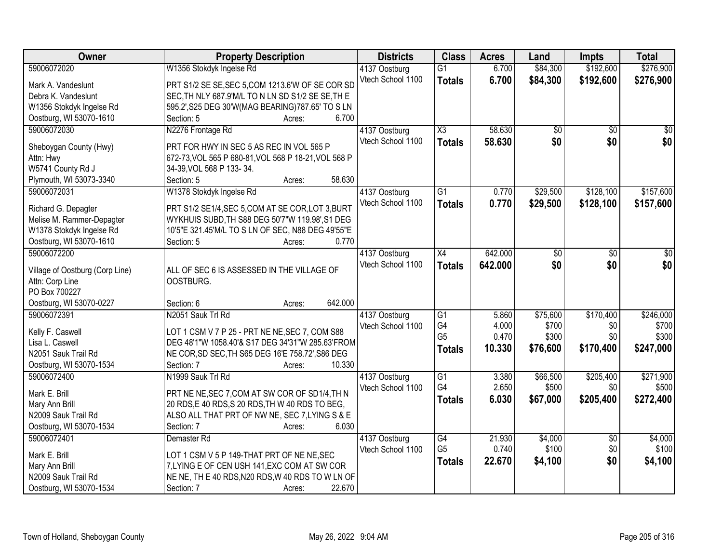| Owner                           | <b>Property Description</b>                          | <b>Districts</b>                   | <b>Class</b>           | <b>Acres</b>   | Land              | <b>Impts</b>     | <b>Total</b>       |
|---------------------------------|------------------------------------------------------|------------------------------------|------------------------|----------------|-------------------|------------------|--------------------|
| 59006072020                     | W1356 Stokdyk Ingelse Rd                             | 4137 Oostburg                      | $\overline{G1}$        | 6.700          | \$84,300          | \$192,600        | \$276,900          |
| Mark A. Vandeslunt              | PRT S1/2 SE SE, SEC 5, COM 1213.6'W OF SE COR SD     | Vtech School 1100                  | <b>Totals</b>          | 6.700          | \$84,300          | \$192,600        | \$276,900          |
| Debra K. Vandeslunt             | SEC, TH NLY 687.9'M/L TO N LN SD S1/2 SE SE, TH E    |                                    |                        |                |                   |                  |                    |
| W1356 Stokdyk Ingelse Rd        | 595.2', S25 DEG 30'W(MAG BEARING) 787.65' TO S LN    |                                    |                        |                |                   |                  |                    |
| Oostburg, WI 53070-1610         | 6.700<br>Section: 5<br>Acres:                        |                                    |                        |                |                   |                  |                    |
| 59006072030                     | N2276 Frontage Rd                                    | 4137 Oostburg                      | $\overline{\text{X3}}$ | 58.630         | \$0               | $\overline{50}$  | $\overline{50}$    |
|                                 |                                                      | Vtech School 1100                  | <b>Totals</b>          | 58.630         | \$0               | \$0              | \$0                |
| Sheboygan County (Hwy)          | PRT FOR HWY IN SEC 5 AS REC IN VOL 565 P             |                                    |                        |                |                   |                  |                    |
| Attn: Hwy                       | 672-73, VOL 565 P 680-81, VOL 568 P 18-21, VOL 568 P |                                    |                        |                |                   |                  |                    |
| W5741 County Rd J               | 34-39, VOL 568 P 133-34.                             |                                    |                        |                |                   |                  |                    |
| Plymouth, WI 53073-3340         | 58.630<br>Section: 5<br>Acres:                       |                                    |                        |                |                   |                  |                    |
| 59006072031                     | W1378 Stokdyk Ingelse Rd                             | 4137 Oostburg                      | $\overline{G1}$        | 0.770          | \$29,500          | \$128,100        | \$157,600          |
| Richard G. Depagter             | PRT S1/2 SE1/4, SEC 5, COM AT SE COR, LOT 3, BURT    | Vtech School 1100                  | <b>Totals</b>          | 0.770          | \$29,500          | \$128,100        | \$157,600          |
| Melise M. Rammer-Depagter       | WYKHUIS SUBD, TH S88 DEG 50'7"W 119.98', S1 DEG      |                                    |                        |                |                   |                  |                    |
| W1378 Stokdyk Ingelse Rd        | 10'5"E 321.45'M/L TO S LN OF SEC, N88 DEG 49'55"E    |                                    |                        |                |                   |                  |                    |
| Oostburg, WI 53070-1610         | Section: 5<br>0.770<br>Acres:                        |                                    |                        |                |                   |                  |                    |
| 59006072200                     |                                                      | 4137 Oostburg                      | X4                     | 642.000        | \$0               | \$0              | \$0                |
|                                 |                                                      | Vtech School 1100                  | <b>Totals</b>          | 642.000        | \$0               | \$0              | \$0                |
| Village of Oostburg (Corp Line) | ALL OF SEC 6 IS ASSESSED IN THE VILLAGE OF           |                                    |                        |                |                   |                  |                    |
| Attn: Corp Line                 | OOSTBURG.                                            |                                    |                        |                |                   |                  |                    |
| PO Box 700227                   |                                                      |                                    |                        |                |                   |                  |                    |
| Oostburg, WI 53070-0227         | 642.000<br>Section: 6<br>Acres:                      |                                    |                        |                |                   |                  |                    |
| 59006072391                     | N2051 Sauk Trl Rd                                    | 4137 Oostburg                      | $\overline{G1}$<br>G4  | 5.860<br>4.000 | \$75,600<br>\$700 | \$170,400<br>\$0 | \$246,000<br>\$700 |
| Kelly F. Caswell                | LOT 1 CSM V 7 P 25 - PRT NE NE, SEC 7, COM S88       | Vtech School 1100                  | G <sub>5</sub>         | 0.470          | \$300             | \$0              | \$300              |
| Lisa L. Caswell                 | DEG 48'1"W 1058.40'& S17 DEG 34'31"W 285.63'FROM     |                                    |                        |                |                   |                  |                    |
| N2051 Sauk Trail Rd             | NE COR, SD SEC, TH S65 DEG 16'E 758.72', S86 DEG     |                                    | <b>Totals</b>          | 10.330         | \$76,600          | \$170,400        | \$247,000          |
| Oostburg, WI 53070-1534         | 10.330<br>Section: 7<br>Acres:                       |                                    |                        |                |                   |                  |                    |
| 59006072400                     | N1999 Sauk Trl Rd                                    | 4137 Oostburg                      | $\overline{G1}$        | 3.380          | \$66,500          | \$205,400        | \$271,900          |
| Mark E. Brill                   | PRT NE NE, SEC 7, COM AT SW COR OF SD1/4, TH N       | Vtech School 1100                  | G4                     | 2.650          | \$500             | \$0              | \$500              |
| Mary Ann Brill                  | 20 RDS, E 40 RDS, S 20 RDS, TH W 40 RDS TO BEG,      |                                    | <b>Totals</b>          | 6.030          | \$67,000          | \$205,400        | \$272,400          |
| N2009 Sauk Trail Rd             | ALSO ALL THAT PRT OF NW NE, SEC 7, LYING S & E       |                                    |                        |                |                   |                  |                    |
| Oostburg, WI 53070-1534         | 6.030<br>Section: 7<br>Acres:                        |                                    |                        |                |                   |                  |                    |
| 59006072401                     | Demaster Rd                                          |                                    | $\overline{G4}$        | 21.930         | \$4,000           | $\overline{50}$  | \$4,000            |
|                                 |                                                      | 4137 Oostburg<br>Vtech School 1100 | G <sub>5</sub>         | 0.740          | \$100             | \$0              | \$100              |
| Mark E. Brill                   | LOT 1 CSM V 5 P 149-THAT PRT OF NE NE, SEC           |                                    |                        | 22.670         | \$4,100           | \$0              | \$4,100            |
| Mary Ann Brill                  | 7, LYING E OF CEN USH 141, EXC COM AT SW COR         |                                    | <b>Totals</b>          |                |                   |                  |                    |
| N2009 Sauk Trail Rd             | NE NE, TH E 40 RDS, N20 RDS, W 40 RDS TO W LN OF     |                                    |                        |                |                   |                  |                    |
| Oostburg, WI 53070-1534         | 22.670<br>Section: 7<br>Acres:                       |                                    |                        |                |                   |                  |                    |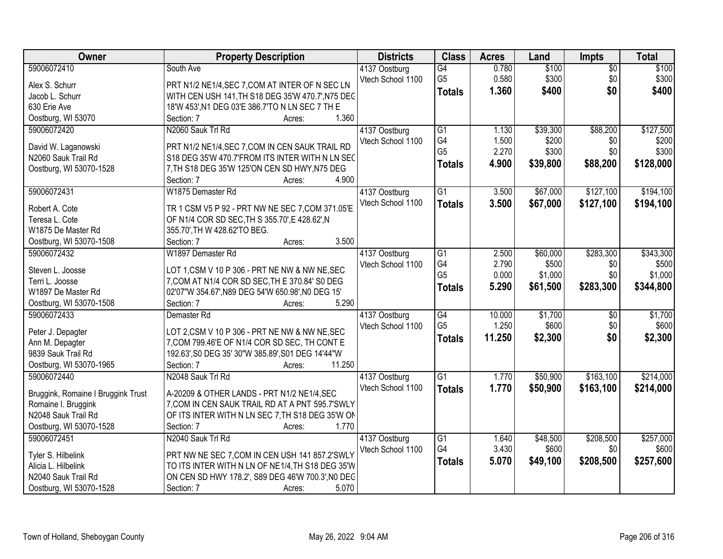| Owner                              | <b>Property Description</b>                                                                      | <b>Districts</b>  | <b>Class</b>    | <b>Acres</b> | Land     | <b>Impts</b>    | <b>Total</b> |
|------------------------------------|--------------------------------------------------------------------------------------------------|-------------------|-----------------|--------------|----------|-----------------|--------------|
| 59006072410                        | South Ave                                                                                        | 4137 Oostburg     | G4              | 0.780        | \$100    | $\overline{50}$ | \$100        |
| Alex S. Schurr                     | PRT N1/2 NE1/4, SEC 7, COM AT INTER OF N SEC LN                                                  | Vtech School 1100 | G <sub>5</sub>  | 0.580        | \$300    | \$0             | \$300        |
| Jacob L. Schurr                    | WITH CEN USH 141, TH S18 DEG 35'W 470.7', N75 DEC                                                |                   | <b>Totals</b>   | 1.360        | \$400    | \$0             | \$400        |
| 630 Erie Ave                       | 18'W 453', N1 DEG 03'E 386.7'TO N LN SEC 7 TH E                                                  |                   |                 |              |          |                 |              |
| Oostburg, WI 53070                 | 1.360<br>Section: 7<br>Acres:                                                                    |                   |                 |              |          |                 |              |
| 59006072420                        | N2060 Sauk Trl Rd                                                                                | 4137 Oostburg     | $\overline{G1}$ | 1.130        | \$39,300 | \$88,200        | \$127,500    |
|                                    |                                                                                                  | Vtech School 1100 | G4              | 1.500        | \$200    | \$0             | \$200        |
| David W. Laganowski                | PRT N1/2 NE1/4, SEC 7, COM IN CEN SAUK TRAIL RD                                                  |                   | G <sub>5</sub>  | 2.270        | \$300    | \$0             | \$300        |
| N2060 Sauk Trail Rd                | S18 DEG 35'W 470.7'FROM ITS INTER WITH N LN SEC                                                  |                   | <b>Totals</b>   | 4.900        | \$39,800 | \$88,200        | \$128,000    |
| Oostburg, WI 53070-1528            | 7, TH S18 DEG 35'W 125'ON CEN SD HWY, N75 DEG<br>4.900                                           |                   |                 |              |          |                 |              |
|                                    | Section: 7<br>Acres:                                                                             |                   |                 |              |          | \$127,100       | \$194,100    |
| 59006072431                        | W1875 Demaster Rd                                                                                | 4137 Oostburg     | $\overline{G1}$ | 3.500        | \$67,000 |                 |              |
| Robert A. Cote                     | TR 1 CSM V5 P 92 - PRT NW NE SEC 7, COM 371.05'E                                                 | Vtech School 1100 | <b>Totals</b>   | 3.500        | \$67,000 | \$127,100       | \$194,100    |
| Teresa L. Cote                     | OF N1/4 COR SD SEC, TH S 355.70', E 428.62', N                                                   |                   |                 |              |          |                 |              |
| W1875 De Master Rd                 | 355.70', TH W 428.62'TO BEG.                                                                     |                   |                 |              |          |                 |              |
| Oostburg, WI 53070-1508            | 3.500<br>Section: 7<br>Acres:                                                                    |                   |                 |              |          |                 |              |
| 59006072432                        | W1897 Demaster Rd                                                                                | 4137 Oostburg     | G1              | 2.500        | \$60,000 | \$283,300       | \$343,300    |
| Steven L. Joosse                   |                                                                                                  | Vtech School 1100 | G4              | 2.790        | \$500    | \$0             | \$500        |
| Terri L. Joosse                    | LOT 1, CSM V 10 P 306 - PRT NE NW & NW NE, SEC<br>7, COM AT N1/4 COR SD SEC, TH E 370.84' S0 DEG |                   | G <sub>5</sub>  | 0.000        | \$1,000  | \$0             | \$1,000      |
| W1897 De Master Rd                 | 02'07"W 354.67', N89 DEG 54'W 650.98', N0 DEG 15'                                                |                   | <b>Totals</b>   | 5.290        | \$61,500 | \$283,300       | \$344,800    |
| Oostburg, WI 53070-1508            | 5.290<br>Section: 7<br>Acres:                                                                    |                   |                 |              |          |                 |              |
| 59006072433                        | Demaster <sub>Rd</sub>                                                                           | 4137 Oostburg     | $\overline{G4}$ | 10.000       | \$1,700  | $\overline{50}$ | \$1,700      |
|                                    |                                                                                                  | Vtech School 1100 | G <sub>5</sub>  | 1.250        | \$600    | \$0             | \$600        |
| Peter J. Depagter                  | LOT 2, CSM V 10 P 306 - PRT NE NW & NW NE, SEC                                                   |                   |                 | 11.250       | \$2,300  | \$0             | \$2,300      |
| Ann M. Depagter                    | 7, COM 799.46'E OF N1/4 COR SD SEC, TH CONT E                                                    |                   | <b>Totals</b>   |              |          |                 |              |
| 9839 Sauk Trail Rd                 | 192.63', S0 DEG 35' 30"W 385.89', S01 DEG 14'44"W                                                |                   |                 |              |          |                 |              |
| Oostburg, WI 53070-1965            | 11.250<br>Section: 7<br>Acres:                                                                   |                   |                 |              |          |                 |              |
| 59006072440                        | N2048 Sauk Trl Rd                                                                                | 4137 Oostburg     | $\overline{G1}$ | 1.770        | \$50,900 | \$163,100       | \$214,000    |
| Bruggink, Romaine I Bruggink Trust | A-20209 & OTHER LANDS - PRT N1/2 NE1/4, SEC                                                      | Vtech School 1100 | <b>Totals</b>   | 1.770        | \$50,900 | \$163,100       | \$214,000    |
| Romaine I. Bruggink                | 7, COM IN CEN SAUK TRAIL RD AT A PNT 595.7'SWLY                                                  |                   |                 |              |          |                 |              |
| N2048 Sauk Trail Rd                | OF ITS INTER WITH N LN SEC 7, TH S18 DEG 35'W ON                                                 |                   |                 |              |          |                 |              |
| Oostburg, WI 53070-1528            | Section: 7<br>1.770<br>Acres:                                                                    |                   |                 |              |          |                 |              |
| 59006072451                        | N2040 Sauk Trl Rd                                                                                | 4137 Oostburg     | $\overline{G1}$ | 1.640        | \$48,500 | \$208,500       | \$257,000    |
|                                    |                                                                                                  | Vtech School 1100 | G4              | 3.430        | \$600    | \$0             | \$600        |
| Tyler S. Hilbelink                 | PRT NW NE SEC 7, COM IN CEN USH 141 857.2'SWLY                                                   |                   | <b>Totals</b>   | 5.070        | \$49,100 | \$208,500       | \$257,600    |
| Alicia L. Hilbelink                | TO ITS INTER WITH N LN OF NE1/4, TH S18 DEG 35'W                                                 |                   |                 |              |          |                 |              |
| N2040 Sauk Trail Rd                | ON CEN SD HWY 178.2', S89 DEG 46'W 700.3', NO DEC                                                |                   |                 |              |          |                 |              |
| Oostburg, WI 53070-1528            | 5.070<br>Section: 7<br>Acres:                                                                    |                   |                 |              |          |                 |              |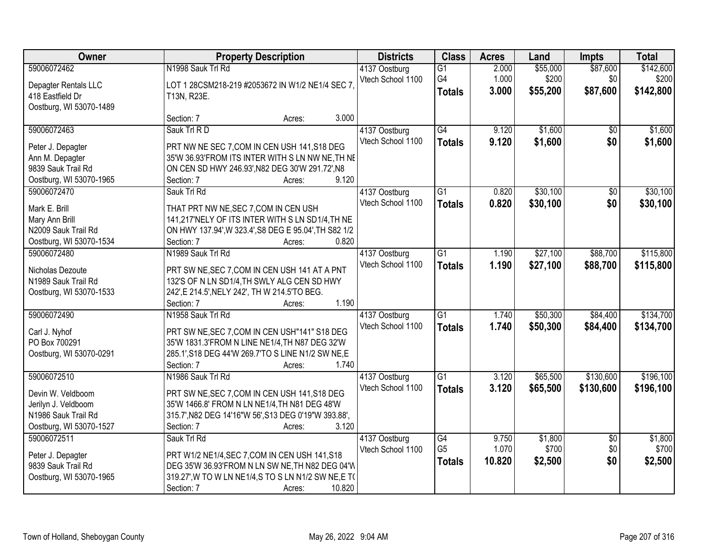| Owner                   | <b>Property Description</b>                           | <b>Districts</b>  | <b>Class</b>        | <b>Acres</b>   | Land              | Impts           | <b>Total</b>       |
|-------------------------|-------------------------------------------------------|-------------------|---------------------|----------------|-------------------|-----------------|--------------------|
| 59006072462             | N1998 Sauk Trl Rd                                     | 4137 Oostburg     | $\overline{G1}$     | 2.000          | \$55,000          | \$87,600        | \$142,600          |
| Depagter Rentals LLC    | LOT 1 28CSM218-219 #2053672 IN W1/2 NE1/4 SEC 7,      | Vtech School 1100 | G4<br><b>Totals</b> | 1.000<br>3.000 | \$200<br>\$55,200 | \$0<br>\$87,600 | \$200<br>\$142,800 |
| 418 Eastfield Dr        | T13N, R23E.                                           |                   |                     |                |                   |                 |                    |
| Oostburg, WI 53070-1489 |                                                       |                   |                     |                |                   |                 |                    |
|                         | Section: 7<br>Acres:                                  | 3.000             |                     |                |                   |                 |                    |
| 59006072463             | Sauk Trl R D                                          | 4137 Oostburg     | G4                  | 9.120          | \$1,600           | $\overline{50}$ | \$1,600            |
| Peter J. Depagter       | PRT NW NE SEC 7, COM IN CEN USH 141, S18 DEG          | Vtech School 1100 | <b>Totals</b>       | 9.120          | \$1,600           | \$0             | \$1,600            |
| Ann M. Depagter         | 35'W 36.93'FROM ITS INTER WITH S LN NW NE, TH NE      |                   |                     |                |                   |                 |                    |
| 9839 Sauk Trail Rd      | ON CEN SD HWY 246.93', N82 DEG 30'W 291.72', N8       |                   |                     |                |                   |                 |                    |
| Oostburg, WI 53070-1965 | Section: 7<br>Acres:                                  | 9.120             |                     |                |                   |                 |                    |
| 59006072470             | Sauk Trl Rd                                           | 4137 Oostburg     | G1                  | 0.820          | \$30,100          | \$0             | \$30,100           |
| Mark E. Brill           | THAT PRT NW NE, SEC 7, COM IN CEN USH                 | Vtech School 1100 | <b>Totals</b>       | 0.820          | \$30,100          | \$0             | \$30,100           |
| Mary Ann Brill          | 141,217'NELY OF ITS INTER WITH S LN SD1/4, TH NE      |                   |                     |                |                   |                 |                    |
| N2009 Sauk Trail Rd     | ON HWY 137.94', W 323.4', S8 DEG E 95.04', TH S82 1/2 |                   |                     |                |                   |                 |                    |
| Oostburg, WI 53070-1534 | Section: 7<br>Acres:                                  | 0.820             |                     |                |                   |                 |                    |
| 59006072480             | N1989 Sauk Trl Rd                                     | 4137 Oostburg     | G1                  | 1.190          | \$27,100          | \$88,700        | \$115,800          |
|                         |                                                       | Vtech School 1100 |                     | 1.190          | \$27,100          | \$88,700        |                    |
| Nicholas Dezoute        | PRT SW NE, SEC 7, COM IN CEN USH 141 AT A PNT         |                   | <b>Totals</b>       |                |                   |                 | \$115,800          |
| N1989 Sauk Trail Rd     | 132'S OF N LN SD1/4, TH SWLY ALG CEN SD HWY           |                   |                     |                |                   |                 |                    |
| Oostburg, WI 53070-1533 | 242', E 214.5', NELY 242', TH W 214.5'TO BEG.         |                   |                     |                |                   |                 |                    |
|                         | Section: 7<br>Acres:                                  | 1.190             |                     |                |                   |                 |                    |
| 59006072490             | N1958 Sauk Trl Rd                                     | 4137 Oostburg     | $\overline{G1}$     | 1.740          | \$50,300          | \$84,400        | \$134,700          |
| Carl J. Nyhof           | PRT SW NE, SEC 7, COM IN CEN USH"141" S18 DEG         | Vtech School 1100 | <b>Totals</b>       | 1.740          | \$50,300          | \$84,400        | \$134,700          |
| PO Box 700291           | 35'W 1831.3'FROM N LINE NE1/4, TH N87 DEG 32'W        |                   |                     |                |                   |                 |                    |
| Oostburg, WI 53070-0291 | 285.1', S18 DEG 44'W 269.7'TO S LINE N1/2 SW NE, E    |                   |                     |                |                   |                 |                    |
|                         | Section: 7<br>Acres:                                  | 1.740             |                     |                |                   |                 |                    |
| 59006072510             | N1986 Sauk Trl Rd                                     | 4137 Oostburg     | $\overline{G1}$     | 3.120          | \$65,500          | \$130,600       | \$196,100          |
| Devin W. Veldboom       | PRT SW NE, SEC 7, COM IN CEN USH 141, S18 DEG         | Vtech School 1100 | <b>Totals</b>       | 3.120          | \$65,500          | \$130,600       | \$196,100          |
| Jerilyn J. Veldboom     | 35'W 1466.8' FROM N LN NE1/4, TH N81 DEG 48'W         |                   |                     |                |                   |                 |                    |
| N1986 Sauk Trail Rd     | 315.7', N82 DEG 14'16"W 56', S13 DEG 0'19"W 393.88',  |                   |                     |                |                   |                 |                    |
| Oostburg, WI 53070-1527 | Section: 7<br>Acres:                                  | 3.120             |                     |                |                   |                 |                    |
| 59006072511             | Sauk Trl Rd                                           | 4137 Oostburg     | G4                  | 9.750          | \$1,800           | $\overline{50}$ | \$1,800            |
|                         |                                                       | Vtech School 1100 | G <sub>5</sub>      | 1.070          | \$700             | \$0             | \$700              |
| Peter J. Depagter       | PRT W1/2 NE1/4, SEC 7, COM IN CEN USH 141, S18        |                   | <b>Totals</b>       | 10.820         | \$2,500           | \$0             | \$2,500            |
| 9839 Sauk Trail Rd      | DEG 35'W 36.93'FROM N LN SW NE, TH N82 DEG 04'W       |                   |                     |                |                   |                 |                    |
| Oostburg, WI 53070-1965 | 319.27', W TO W LN NE1/4, S TO S LN N1/2 SW NE, E TO  |                   |                     |                |                   |                 |                    |
|                         | Section: 7<br>10.820<br>Acres:                        |                   |                     |                |                   |                 |                    |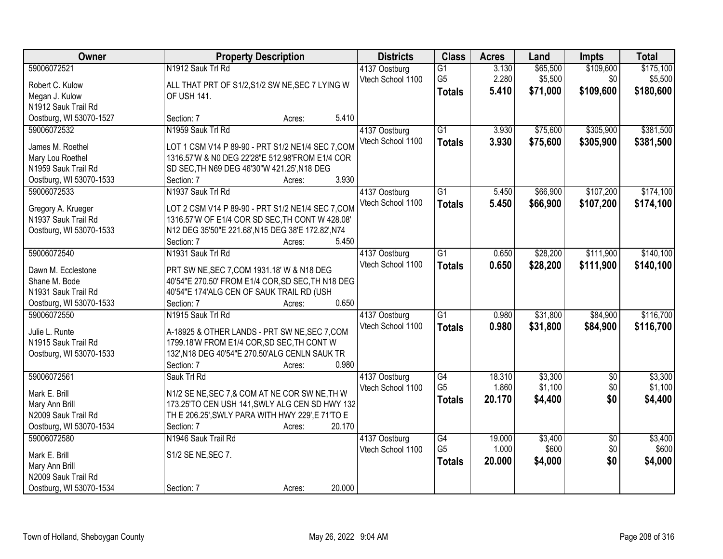| Owner                                  | <b>Property Description</b>                        | <b>Districts</b>  | <b>Class</b>    | <b>Acres</b> | Land     | Impts           | <b>Total</b> |
|----------------------------------------|----------------------------------------------------|-------------------|-----------------|--------------|----------|-----------------|--------------|
| 59006072521                            | N1912 Sauk Trl Rd                                  | 4137 Oostburg     | $\overline{G1}$ | 3.130        | \$65,500 | \$109,600       | \$175,100    |
| Robert C. Kulow                        | ALL THAT PRT OF S1/2, S1/2 SW NE, SEC 7 LYING W    | Vtech School 1100 | G <sub>5</sub>  | 2.280        | \$5,500  | \$0             | \$5,500      |
| Megan J. Kulow                         | OF USH 141.                                        |                   | <b>Totals</b>   | 5.410        | \$71,000 | \$109,600       | \$180,600    |
| N1912 Sauk Trail Rd                    |                                                    |                   |                 |              |          |                 |              |
| Oostburg, WI 53070-1527                | Section: 7<br>Acres:                               | 5.410             |                 |              |          |                 |              |
| 59006072532                            | N1959 Sauk Trl Rd                                  | 4137 Oostburg     | $\overline{G1}$ | 3.930        | \$75,600 | \$305,900       | \$381,500    |
|                                        |                                                    | Vtech School 1100 | <b>Totals</b>   | 3.930        | \$75,600 | \$305,900       | \$381,500    |
| James M. Roethel                       | LOT 1 CSM V14 P 89-90 - PRT S1/2 NE1/4 SEC 7, COM  |                   |                 |              |          |                 |              |
| Mary Lou Roethel                       | 1316.57'W & N0 DEG 22'28"E 512.98'FROM E1/4 COR    |                   |                 |              |          |                 |              |
| N1959 Sauk Trail Rd                    | SD SEC, TH N69 DEG 46'30"W 421.25', N18 DEG        | 3.930             |                 |              |          |                 |              |
| Oostburg, WI 53070-1533<br>59006072533 | Section: 7<br>Acres:                               |                   |                 |              |          | \$107,200       |              |
|                                        | N1937 Sauk Trl Rd                                  | 4137 Oostburg     | $\overline{G1}$ | 5.450        | \$66,900 |                 | \$174,100    |
| Gregory A. Krueger                     | LOT 2 CSM V14 P 89-90 - PRT S1/2 NE1/4 SEC 7, COM  | Vtech School 1100 | <b>Totals</b>   | 5.450        | \$66,900 | \$107,200       | \$174,100    |
| N1937 Sauk Trail Rd                    | 1316.57'W OF E1/4 COR SD SEC, TH CONT W 428.08'    |                   |                 |              |          |                 |              |
| Oostburg, WI 53070-1533                | N12 DEG 35'50"E 221.68', N15 DEG 38'E 172.82', N74 |                   |                 |              |          |                 |              |
|                                        | Section: 7<br>Acres:                               | 5.450             |                 |              |          |                 |              |
| 59006072540                            | N1931 Sauk Trl Rd                                  | 4137 Oostburg     | $\overline{G1}$ | 0.650        | \$28,200 | \$111,900       | \$140,100    |
| Dawn M. Ecclestone                     | PRT SW NE, SEC 7, COM 1931.18' W & N18 DEG         | Vtech School 1100 | <b>Totals</b>   | 0.650        | \$28,200 | \$111,900       | \$140,100    |
| Shane M. Bode                          | 40'54"E 270.50' FROM E1/4 COR, SD SEC, TH N18 DEG  |                   |                 |              |          |                 |              |
| N1931 Sauk Trail Rd                    | 40'54"E 174'ALG CEN OF SAUK TRAIL RD (USH          |                   |                 |              |          |                 |              |
| Oostburg, WI 53070-1533                | Section: 7<br>Acres:                               | 0.650             |                 |              |          |                 |              |
| 59006072550                            | N1915 Sauk Trl Rd                                  | 4137 Oostburg     | $\overline{G1}$ | 0.980        | \$31,800 | \$84,900        | \$116,700    |
|                                        |                                                    | Vtech School 1100 | <b>Totals</b>   | 0.980        | \$31,800 | \$84,900        | \$116,700    |
| Julie L. Runte                         | A-18925 & OTHER LANDS - PRT SW NE, SEC 7, COM      |                   |                 |              |          |                 |              |
| N1915 Sauk Trail Rd                    | 1799.18'W FROM E1/4 COR, SD SEC, TH CONT W         |                   |                 |              |          |                 |              |
| Oostburg, WI 53070-1533                | 132', N18 DEG 40'54"E 270.50'ALG CENLN SAUK TR     |                   |                 |              |          |                 |              |
|                                        | Section: 7<br>Acres:                               | 0.980             |                 |              |          |                 |              |
| 59006072561                            | Sauk Trl Rd                                        | 4137 Oostburg     | G4              | 18.310       | \$3,300  | $\sqrt{$0}$     | \$3,300      |
| Mark E. Brill                          | N1/2 SE NE, SEC 7, & COM AT NE COR SW NE, TH W     | Vtech School 1100 | G <sub>5</sub>  | 1.860        | \$1,100  | \$0             | \$1,100      |
| Mary Ann Brill                         | 173.25'TO CEN USH 141, SWLY ALG CEN SD HWY 132     |                   | <b>Totals</b>   | 20.170       | \$4,400  | \$0             | \$4,400      |
| N2009 Sauk Trail Rd                    | TH E 206.25', SWLY PARA WITH HWY 229', E 71'TO E   |                   |                 |              |          |                 |              |
| Oostburg, WI 53070-1534                | Section: 7<br>Acres:                               | 20.170            |                 |              |          |                 |              |
| 59006072580                            | N1946 Sauk Trail Rd                                | 4137 Oostburg     | G4              | 19.000       | \$3,400  | $\overline{50}$ | \$3,400      |
|                                        |                                                    | Vtech School 1100 | G <sub>5</sub>  | 1.000        | \$600    | \$0             | \$600        |
| Mark E. Brill                          | S1/2 SE NE, SEC 7.                                 |                   | <b>Totals</b>   | 20.000       | \$4,000  | \$0             | \$4,000      |
| Mary Ann Brill                         |                                                    |                   |                 |              |          |                 |              |
| N2009 Sauk Trail Rd                    |                                                    |                   |                 |              |          |                 |              |
| Oostburg, WI 53070-1534                | Section: 7<br>Acres:                               | 20.000            |                 |              |          |                 |              |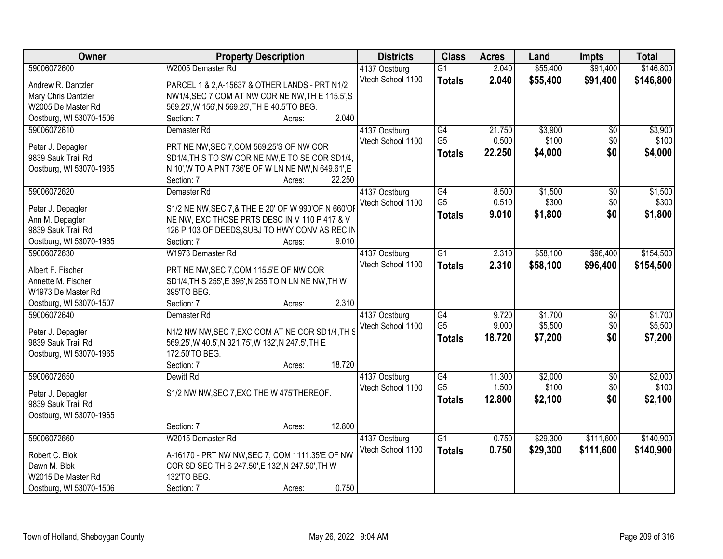| Owner                   | <b>Property Description</b>                         | <b>Districts</b>  | <b>Class</b>    | <b>Acres</b> | Land     | Impts           | <b>Total</b> |
|-------------------------|-----------------------------------------------------|-------------------|-----------------|--------------|----------|-----------------|--------------|
| 59006072600             | W2005 Demaster Rd                                   | 4137 Oostburg     | $\overline{G1}$ | 2.040        | \$55,400 | \$91,400        | \$146,800    |
| Andrew R. Dantzler      | PARCEL 1 & 2, A-15637 & OTHER LANDS - PRT N1/2      | Vtech School 1100 | <b>Totals</b>   | 2.040        | \$55,400 | \$91,400        | \$146,800    |
| Mary Chris Dantzler     | NW1/4, SEC 7 COM AT NW COR NE NW, TH E 115.5', S    |                   |                 |              |          |                 |              |
| W2005 De Master Rd      | 569.25', W 156', N 569.25', TH E 40.5'TO BEG.       |                   |                 |              |          |                 |              |
| Oostburg, WI 53070-1506 | 2.040<br>Section: 7<br>Acres:                       |                   |                 |              |          |                 |              |
| 59006072610             | Demaster <sub>Rd</sub>                              | 4137 Oostburg     | G4              | 21.750       | \$3,900  | $\overline{50}$ | \$3,900      |
|                         |                                                     | Vtech School 1100 | G <sub>5</sub>  | 0.500        | \$100    | \$0             | \$100        |
| Peter J. Depagter       | PRT NE NW, SEC 7, COM 569.25'S OF NW COR            |                   | <b>Totals</b>   | 22.250       | \$4,000  | \$0             | \$4,000      |
| 9839 Sauk Trail Rd      | SD1/4, TH S TO SW COR NE NW, E TO SE COR SD1/4,     |                   |                 |              |          |                 |              |
| Oostburg, WI 53070-1965 | N 10', W TO A PNT 736'E OF W LN NE NW, N 649.61', E |                   |                 |              |          |                 |              |
|                         | 22.250<br>Section: 7<br>Acres:                      |                   |                 |              |          |                 |              |
| 59006072620             | Demaster Rd                                         | 4137 Oostburg     | G4              | 8.500        | \$1,500  | \$0             | \$1,500      |
| Peter J. Depagter       | S1/2 NE NW, SEC 7, & THE E 20' OF W 990'OF N 660'OF | Vtech School 1100 | G <sub>5</sub>  | 0.510        | \$300    | \$0             | \$300        |
| Ann M. Depagter         | NE NW, EXC THOSE PRTS DESC IN V 110 P 417 & V       |                   | Totals          | 9.010        | \$1,800  | \$0             | \$1,800      |
| 9839 Sauk Trail Rd      | 126 P 103 OF DEEDS, SUBJ TO HWY CONV AS REC IN      |                   |                 |              |          |                 |              |
| Oostburg, WI 53070-1965 | Section: 7<br>9.010<br>Acres:                       |                   |                 |              |          |                 |              |
| 59006072630             | W1973 Demaster Rd                                   | 4137 Oostburg     | $\overline{G1}$ | 2.310        | \$58,100 | \$96,400        | \$154,500    |
|                         |                                                     | Vtech School 1100 | <b>Totals</b>   | 2.310        | \$58,100 | \$96,400        | \$154,500    |
| Albert F. Fischer       | PRT NE NW, SEC 7, COM 115.5'E OF NW COR             |                   |                 |              |          |                 |              |
| Annette M. Fischer      | SD1/4, TH S 255', E 395', N 255'TO N LN NE NW, TH W |                   |                 |              |          |                 |              |
| W1973 De Master Rd      | 395'TO BEG.                                         |                   |                 |              |          |                 |              |
| Oostburg, WI 53070-1507 | 2.310<br>Section: 7<br>Acres:                       |                   |                 |              |          |                 |              |
| 59006072640             | Demaster Rd                                         | 4137 Oostburg     | G4              | 9.720        | \$1,700  | $\overline{50}$ | \$1,700      |
| Peter J. Depagter       | N1/2 NW NW, SEC 7, EXC COM AT NE COR SD1/4, TH S    | Vtech School 1100 | G <sub>5</sub>  | 9.000        | \$5,500  | \$0             | \$5,500      |
| 9839 Sauk Trail Rd      | 569.25', W 40.5', N 321.75', W 132', N 247.5', TH E |                   | <b>Totals</b>   | 18.720       | \$7,200  | \$0             | \$7,200      |
| Oostburg, WI 53070-1965 | 172.50'TO BEG.                                      |                   |                 |              |          |                 |              |
|                         | 18.720<br>Section: 7<br>Acres:                      |                   |                 |              |          |                 |              |
| 59006072650             | Dewitt Rd                                           | 4137 Oostburg     | G4              | 11.300       | \$2,000  | $\sqrt{6}$      | \$2,000      |
|                         |                                                     | Vtech School 1100 | G <sub>5</sub>  | 1.500        | \$100    | \$0             | \$100        |
| Peter J. Depagter       | S1/2 NW NW, SEC 7, EXC THE W 475'THEREOF.           |                   | <b>Totals</b>   | 12,800       | \$2,100  | \$0             | \$2,100      |
| 9839 Sauk Trail Rd      |                                                     |                   |                 |              |          |                 |              |
| Oostburg, WI 53070-1965 |                                                     |                   |                 |              |          |                 |              |
|                         | 12.800<br>Section: 7<br>Acres:                      |                   |                 |              |          |                 |              |
| 59006072660             | W2015 Demaster Rd                                   | 4137 Oostburg     | $\overline{G1}$ | 0.750        | \$29,300 | \$111,600       | \$140,900    |
| Robert C. Blok          | A-16170 - PRT NW NW, SEC 7, COM 1111.35'E OF NW     | Vtech School 1100 | <b>Totals</b>   | 0.750        | \$29,300 | \$111,600       | \$140,900    |
| Dawn M. Blok            | COR SD SEC, TH S 247.50', E 132', N 247.50', TH W   |                   |                 |              |          |                 |              |
| W2015 De Master Rd      | 132'TO BEG.                                         |                   |                 |              |          |                 |              |
| Oostburg, WI 53070-1506 | 0.750<br>Section: 7<br>Acres:                       |                   |                 |              |          |                 |              |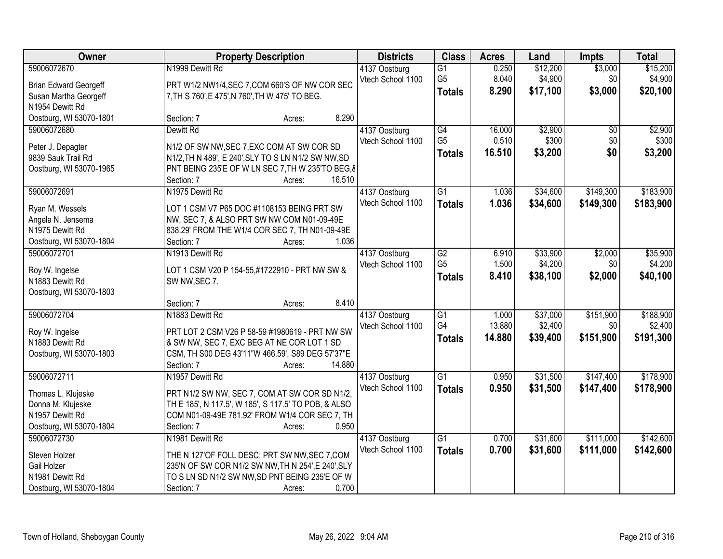| Owner                                   | <b>Property Description</b>                                                                           | <b>Districts</b>  | <b>Class</b>    | <b>Acres</b> | Land     | <b>Impts</b> | <b>Total</b> |
|-----------------------------------------|-------------------------------------------------------------------------------------------------------|-------------------|-----------------|--------------|----------|--------------|--------------|
| 59006072670                             | N1999 Dewitt Rd                                                                                       | 4137 Oostburg     | $\overline{G1}$ | 0.250        | \$12,200 | \$3,000      | \$15,200     |
| <b>Brian Edward Georgeff</b>            | PRT W1/2 NW1/4, SEC 7, COM 660'S OF NW COR SEC                                                        | Vtech School 1100 | G <sub>5</sub>  | 8.040        | \$4,900  | \$0          | \$4,900      |
| Susan Martha Georgeff                   | 7, TH S 760', E 475', N 760', TH W 475' TO BEG.                                                       |                   | <b>Totals</b>   | 8.290        | \$17,100 | \$3,000      | \$20,100     |
| N1954 Dewitt Rd                         |                                                                                                       |                   |                 |              |          |              |              |
| Oostburg, WI 53070-1801                 | 8.290<br>Section: 7<br>Acres:                                                                         |                   |                 |              |          |              |              |
| 59006072680                             | Dewitt Rd                                                                                             | 4137 Oostburg     | G4              | 16.000       | \$2,900  | \$0          | \$2,900      |
|                                         | N1/2 OF SW NW, SEC 7, EXC COM AT SW COR SD                                                            | Vtech School 1100 | G <sub>5</sub>  | 0.510        | \$300    | \$0          | \$300        |
| Peter J. Depagter<br>9839 Sauk Trail Rd | N1/2, TH N 489', E 240', SLY TO S LN N1/2 SW NW, SD                                                   |                   | <b>Totals</b>   | 16.510       | \$3,200  | \$0          | \$3,200      |
| Oostburg, WI 53070-1965                 | PNT BEING 235'E OF W LN SEC 7, TH W 235'TO BEG, &                                                     |                   |                 |              |          |              |              |
|                                         | 16.510<br>Section: 7<br>Acres:                                                                        |                   |                 |              |          |              |              |
| 59006072691                             | N1975 Dewitt Rd                                                                                       | 4137 Oostburg     | $\overline{G1}$ | 1.036        | \$34,600 | \$149,300    | \$183,900    |
|                                         |                                                                                                       | Vtech School 1100 | <b>Totals</b>   | 1.036        | \$34,600 | \$149,300    | \$183,900    |
| Ryan M. Wessels                         | LOT 1 CSM V7 P65 DOC #1108153 BEING PRT SW                                                            |                   |                 |              |          |              |              |
| Angela N. Jensema                       | NW, SEC 7, & ALSO PRT SW NW COM N01-09-49E                                                            |                   |                 |              |          |              |              |
| N1975 Dewitt Rd                         | 838.29' FROM THE W1/4 COR SEC 7, TH N01-09-49E                                                        |                   |                 |              |          |              |              |
| Oostburg, WI 53070-1804                 | 1.036<br>Section: 7<br>Acres:                                                                         |                   |                 |              |          |              |              |
| 59006072701                             | N1913 Dewitt Rd                                                                                       | 4137 Oostburg     | G2              | 6.910        | \$33,900 | \$2,000      | \$35,900     |
| Roy W. Ingelse                          | LOT 1 CSM V20 P 154-55,#1722910 - PRT NW SW &                                                         | Vtech School 1100 | G <sub>5</sub>  | 1.500        | \$4,200  | \$0          | \$4,200      |
| N1883 Dewitt Rd                         | SW NW, SEC 7.                                                                                         |                   | <b>Totals</b>   | 8.410        | \$38,100 | \$2,000      | \$40,100     |
| Oostburg, WI 53070-1803                 |                                                                                                       |                   |                 |              |          |              |              |
|                                         | 8.410<br>Section: 7<br>Acres:                                                                         |                   |                 |              |          |              |              |
| 59006072704                             | N1883 Dewitt Rd                                                                                       | 4137 Oostburg     | $\overline{G1}$ | 1.000        | \$37,000 | \$151,900    | \$188,900    |
| Roy W. Ingelse                          | PRT LOT 2 CSM V26 P 58-59 #1980619 - PRT NW SW                                                        | Vtech School 1100 | G4              | 13.880       | \$2,400  | \$0          | \$2,400      |
| N1883 Dewitt Rd                         | & SW NW, SEC 7, EXC BEG AT NE COR LOT 1 SD                                                            |                   | <b>Totals</b>   | 14.880       | \$39,400 | \$151,900    | \$191,300    |
| Oostburg, WI 53070-1803                 | CSM, TH S00 DEG 43'11"W 466.59', S89 DEG 57'37"E                                                      |                   |                 |              |          |              |              |
|                                         | 14.880<br>Section: 7<br>Acres:                                                                        |                   |                 |              |          |              |              |
| 59006072711                             | N1957 Dewitt Rd                                                                                       | 4137 Oostburg     | $\overline{G1}$ | 0.950        | \$31,500 | \$147,400    | \$178,900    |
|                                         |                                                                                                       | Vtech School 1100 | <b>Totals</b>   | 0.950        | \$31,500 | \$147,400    | \$178,900    |
| Thomas L. Klujeske<br>Donna M. Klujeske | PRT N1/2 SW NW, SEC 7, COM AT SW COR SD N1/2,<br>TH E 185', N 117.5', W 185', S 117.5' TO POB, & ALSO |                   |                 |              |          |              |              |
| N1957 Dewitt Rd                         | COM N01-09-49E 781.92' FROM W1/4 COR SEC 7, TH                                                        |                   |                 |              |          |              |              |
| Oostburg, WI 53070-1804                 | 0.950<br>Section: 7<br>Acres:                                                                         |                   |                 |              |          |              |              |
| 59006072730                             | N1981 Dewitt Rd                                                                                       | 4137 Oostburg     | $\overline{G1}$ | 0.700        | \$31,600 | \$111,000    | \$142,600    |
|                                         |                                                                                                       | Vtech School 1100 | <b>Totals</b>   | 0.700        | \$31,600 | \$111,000    | \$142,600    |
| Steven Holzer                           | THE N 127'OF FOLL DESC: PRT SW NW, SEC 7, COM                                                         |                   |                 |              |          |              |              |
| Gail Holzer                             | 235'N OF SW COR N1/2 SW NW, TH N 254', E 240', SLY                                                    |                   |                 |              |          |              |              |
| N1981 Dewitt Rd                         | TO S LN SD N1/2 SW NW, SD PNT BEING 235'E OF W                                                        |                   |                 |              |          |              |              |
| Oostburg, WI 53070-1804                 | 0.700<br>Section: 7<br>Acres:                                                                         |                   |                 |              |          |              |              |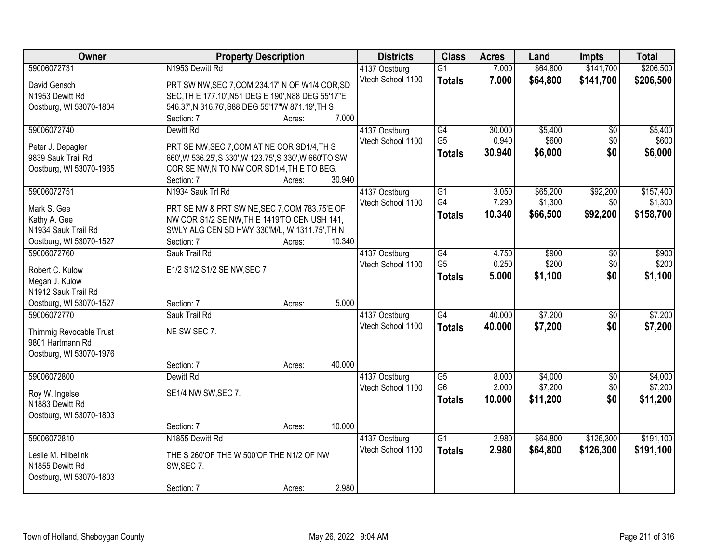| Owner                                       | <b>Property Description</b>                             |        |        | <b>Districts</b>  | <b>Class</b>    | <b>Acres</b> | Land     | Impts           | <b>Total</b> |
|---------------------------------------------|---------------------------------------------------------|--------|--------|-------------------|-----------------|--------------|----------|-----------------|--------------|
| 59006072731                                 | N1953 Dewitt Rd                                         |        |        | 4137 Oostburg     | $\overline{G1}$ | 7.000        | \$64,800 | \$141,700       | \$206,500    |
| David Gensch                                | PRT SW NW, SEC 7, COM 234.17' N OF W1/4 COR, SD         |        |        | Vtech School 1100 | <b>Totals</b>   | 7.000        | \$64,800 | \$141,700       | \$206,500    |
| N1953 Dewitt Rd                             | SEC, TH E 177.10', N51 DEG E 190', N88 DEG 55'17"E      |        |        |                   |                 |              |          |                 |              |
| Oostburg, WI 53070-1804                     | 546.37', N 316.76', S88 DEG 55'17"W 871.19', TH S       |        |        |                   |                 |              |          |                 |              |
|                                             | Section: 7                                              | Acres: | 7.000  |                   |                 |              |          |                 |              |
| 59006072740                                 | Dewitt Rd                                               |        |        | 4137 Oostburg     | G4              | 30.000       | \$5,400  | \$0             | \$5,400      |
|                                             |                                                         |        |        | Vtech School 1100 | G <sub>5</sub>  | 0.940        | \$600    | \$0             | \$600        |
| Peter J. Depagter                           | PRT SE NW, SEC 7, COM AT NE COR SD1/4, TH S             |        |        |                   | <b>Totals</b>   | 30.940       | \$6,000  | \$0             | \$6,000      |
| 9839 Sauk Trail Rd                          | 660', W 536.25', S 330', W 123.75', S 330', W 660'TO SW |        |        |                   |                 |              |          |                 |              |
| Oostburg, WI 53070-1965                     | COR SE NW, N TO NW COR SD1/4, THE TO BEG.<br>Section: 7 | Acres: | 30.940 |                   |                 |              |          |                 |              |
| 59006072751                                 | N1934 Sauk Trl Rd                                       |        |        | 4137 Oostburg     | $\overline{G1}$ | 3.050        | \$65,200 | \$92,200        | \$157,400    |
|                                             |                                                         |        |        | Vtech School 1100 | G4              | 7.290        | \$1,300  | \$0             | \$1,300      |
| Mark S. Gee                                 | PRT SE NW & PRT SW NE, SEC 7, COM 783.75'E OF           |        |        |                   | <b>Totals</b>   | 10.340       | \$66,500 | \$92,200        | \$158,700    |
| Kathy A. Gee                                | NW COR S1/2 SE NW, TH E 1419'TO CEN USH 141,            |        |        |                   |                 |              |          |                 |              |
| N1934 Sauk Trail Rd                         | SWLY ALG CEN SD HWY 330'M/L, W 1311.75', TH N           |        |        |                   |                 |              |          |                 |              |
| Oostburg, WI 53070-1527                     | Section: 7                                              | Acres: | 10.340 |                   |                 |              |          |                 |              |
| 59006072760                                 | Sauk Trail Rd                                           |        |        | 4137 Oostburg     | G4              | 4.750        | \$900    | \$0             | \$900        |
| Robert C. Kulow                             | E1/2 S1/2 S1/2 SE NW, SEC 7                             |        |        | Vtech School 1100 | G <sub>5</sub>  | 0.250        | \$200    | \$0             | \$200        |
| Megan J. Kulow                              |                                                         |        |        |                   | <b>Totals</b>   | 5.000        | \$1,100  | \$0             | \$1,100      |
| N1912 Sauk Trail Rd                         |                                                         |        |        |                   |                 |              |          |                 |              |
| Oostburg, WI 53070-1527                     | Section: 7                                              | Acres: | 5.000  |                   |                 |              |          |                 |              |
| 59006072770                                 | Sauk Trail Rd                                           |        |        | 4137 Oostburg     | G4              | 40.000       | \$7,200  | $\overline{50}$ | \$7,200      |
|                                             | NE SW SEC 7.                                            |        |        | Vtech School 1100 | <b>Totals</b>   | 40.000       | \$7,200  | \$0             | \$7,200      |
| Thimmig Revocable Trust<br>9801 Hartmann Rd |                                                         |        |        |                   |                 |              |          |                 |              |
| Oostburg, WI 53070-1976                     |                                                         |        |        |                   |                 |              |          |                 |              |
|                                             | Section: 7                                              | Acres: | 40.000 |                   |                 |              |          |                 |              |
| 59006072800                                 | Dewitt Rd                                               |        |        | 4137 Oostburg     | $\overline{G5}$ | 8.000        | \$4,000  | $\sqrt{6}$      | \$4,000      |
|                                             |                                                         |        |        | Vtech School 1100 | G <sub>6</sub>  | 2.000        | \$7,200  | \$0             | \$7,200      |
| Roy W. Ingelse                              | SE1/4 NW SW, SEC 7.                                     |        |        |                   | <b>Totals</b>   | 10.000       | \$11,200 | \$0             | \$11,200     |
| N1883 Dewitt Rd                             |                                                         |        |        |                   |                 |              |          |                 |              |
| Oostburg, WI 53070-1803                     |                                                         |        |        |                   |                 |              |          |                 |              |
|                                             | Section: 7                                              | Acres: | 10.000 |                   |                 |              |          |                 |              |
| 59006072810                                 | N1855 Dewitt Rd                                         |        |        | 4137 Oostburg     | $\overline{G1}$ | 2.980        | \$64,800 | \$126,300       | \$191,100    |
| Leslie M. Hilbelink                         | THE S 260'OF THE W 500'OF THE N1/2 OF NW                |        |        | Vtech School 1100 | <b>Totals</b>   | 2.980        | \$64,800 | \$126,300       | \$191,100    |
| N1855 Dewitt Rd                             | SW, SEC 7.                                              |        |        |                   |                 |              |          |                 |              |
| Oostburg, WI 53070-1803                     |                                                         |        |        |                   |                 |              |          |                 |              |
|                                             | Section: 7                                              | Acres: | 2.980  |                   |                 |              |          |                 |              |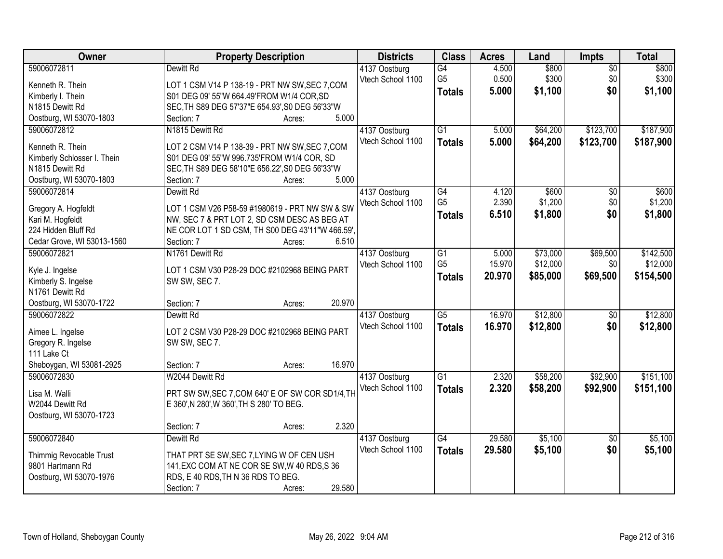| Owner                                  | <b>Property Description</b>                              | <b>Districts</b>                   | <b>Class</b>         | <b>Acres</b>   | Land     | Impts           | <b>Total</b>     |
|----------------------------------------|----------------------------------------------------------|------------------------------------|----------------------|----------------|----------|-----------------|------------------|
| 59006072811                            | Dewitt Rd                                                | 4137 Oostburg                      | G4                   | 4.500          | \$800    | $\overline{50}$ | \$800            |
| Kenneth R. Thein                       | LOT 1 CSM V14 P 138-19 - PRT NW SW, SEC 7, COM           | Vtech School 1100                  | G <sub>5</sub>       | 0.500          | \$300    | \$0             | \$300            |
| Kimberly I. Thein                      | S01 DEG 09' 55"W 664.49'FROM W1/4 COR, SD                |                                    | <b>Totals</b>        | 5.000          | \$1,100  | \$0             | \$1,100          |
| N1815 Dewitt Rd                        | SEC, TH S89 DEG 57'37"E 654.93', S0 DEG 56'33"W          |                                    |                      |                |          |                 |                  |
| Oostburg, WI 53070-1803                | 5.000<br>Section: 7<br>Acres:                            |                                    |                      |                |          |                 |                  |
| 59006072812                            | N1815 Dewitt Rd                                          | 4137 Oostburg                      | $\overline{G1}$      | 5.000          | \$64,200 | \$123,700       | \$187,900        |
|                                        |                                                          | Vtech School 1100                  | <b>Totals</b>        | 5.000          | \$64,200 | \$123,700       | \$187,900        |
| Kenneth R. Thein                       | LOT 2 CSM V14 P 138-39 - PRT NW SW, SEC 7, COM           |                                    |                      |                |          |                 |                  |
| Kimberly Schlosser I. Thein            | S01 DEG 09' 55"W 996.735'FROM W1/4 COR, SD               |                                    |                      |                |          |                 |                  |
| N1815 Dewitt Rd                        | SEC, TH S89 DEG 58'10"E 656.22', S0 DEG 56'33"W<br>5.000 |                                    |                      |                |          |                 |                  |
| Oostburg, WI 53070-1803                | Section: 7<br>Acres:                                     |                                    |                      |                |          |                 |                  |
| 59006072814                            | Dewitt Rd                                                | 4137 Oostburg                      | G4<br>G <sub>5</sub> | 4.120<br>2.390 | \$600    | \$0             | \$600<br>\$1,200 |
| Gregory A. Hogfeldt                    | LOT 1 CSM V26 P58-59 #1980619 - PRT NW SW & SW           | Vtech School 1100                  |                      |                | \$1,200  | \$0             |                  |
| Kari M. Hogfeldt                       | NW, SEC 7 & PRT LOT 2, SD CSM DESC AS BEG AT             |                                    | <b>Totals</b>        | 6.510          | \$1,800  | \$0             | \$1,800          |
| 224 Hidden Bluff Rd                    | NE COR LOT 1 SD CSM, TH S00 DEG 43'11"W 466.59',         |                                    |                      |                |          |                 |                  |
| Cedar Grove, WI 53013-1560             | Section: 7<br>6.510<br>Acres:                            |                                    |                      |                |          |                 |                  |
| 59006072821                            | N1761 Dewitt Rd                                          | 4137 Oostburg                      | $\overline{G1}$      | 5.000          | \$73,000 | \$69,500        | \$142,500        |
|                                        |                                                          | Vtech School 1100                  | G <sub>5</sub>       | 15.970         | \$12,000 | \$0             | \$12,000         |
| Kyle J. Ingelse                        | LOT 1 CSM V30 P28-29 DOC #2102968 BEING PART             |                                    | <b>Totals</b>        | 20.970         | \$85,000 | \$69,500        | \$154,500        |
| Kimberly S. Ingelse<br>N1761 Dewitt Rd | SW SW, SEC 7.                                            |                                    |                      |                |          |                 |                  |
| Oostburg, WI 53070-1722                | 20.970<br>Section: 7<br>Acres:                           |                                    |                      |                |          |                 |                  |
| 59006072822                            | Dewitt Rd                                                |                                    | $\overline{G5}$      | 16.970         | \$12,800 | $\overline{50}$ | \$12,800         |
|                                        |                                                          | 4137 Oostburg<br>Vtech School 1100 |                      | 16.970         |          |                 |                  |
| Aimee L. Ingelse                       | LOT 2 CSM V30 P28-29 DOC #2102968 BEING PART             |                                    | <b>Totals</b>        |                | \$12,800 | \$0             | \$12,800         |
| Gregory R. Ingelse                     | SW SW, SEC 7.                                            |                                    |                      |                |          |                 |                  |
| 111 Lake Ct                            |                                                          |                                    |                      |                |          |                 |                  |
| Sheboygan, WI 53081-2925               | 16.970<br>Section: 7<br>Acres:                           |                                    |                      |                |          |                 |                  |
| 59006072830                            | W2044 Dewitt Rd                                          | 4137 Oostburg                      | $\overline{G1}$      | 2.320          | \$58,200 | \$92,900        | \$151,100        |
| Lisa M. Walli                          | PRT SW SW, SEC 7, COM 640' E OF SW COR SD1/4, TH         | Vtech School 1100                  | <b>Totals</b>        | 2.320          | \$58,200 | \$92,900        | \$151,100        |
| W2044 Dewitt Rd                        | E 360', N 280', W 360', TH S 280' TO BEG.                |                                    |                      |                |          |                 |                  |
| Oostburg, WI 53070-1723                |                                                          |                                    |                      |                |          |                 |                  |
|                                        | 2.320<br>Section: 7<br>Acres:                            |                                    |                      |                |          |                 |                  |
| 59006072840                            | Dewitt Rd                                                | 4137 Oostburg                      | $\overline{G4}$      | 29.580         | \$5,100  | $\overline{30}$ | \$5,100          |
|                                        |                                                          | Vtech School 1100                  | <b>Totals</b>        | 29.580         | \$5,100  | \$0             | \$5,100          |
| Thimmig Revocable Trust                | THAT PRT SE SW, SEC 7, LYING W OF CEN USH                |                                    |                      |                |          |                 |                  |
| 9801 Hartmann Rd                       | 141, EXC COM AT NE COR SE SW, W 40 RDS, S 36             |                                    |                      |                |          |                 |                  |
| Oostburg, WI 53070-1976                | RDS, E 40 RDS, TH N 36 RDS TO BEG.                       |                                    |                      |                |          |                 |                  |
|                                        | 29.580<br>Section: 7<br>Acres:                           |                                    |                      |                |          |                 |                  |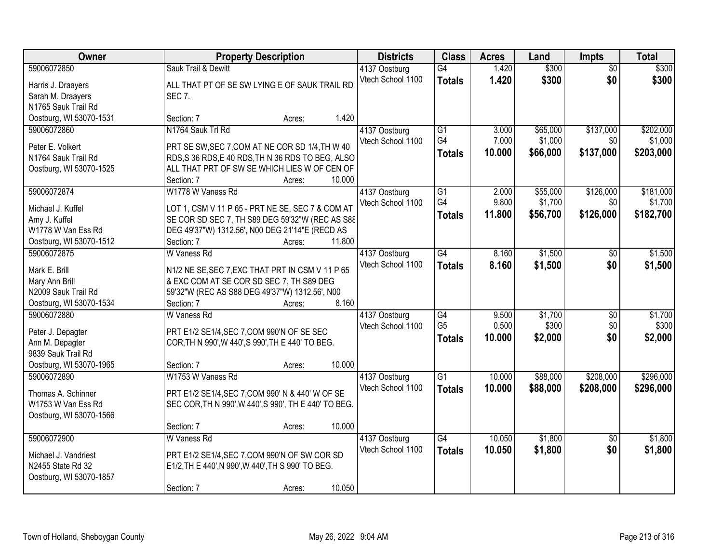| Owner                   | <b>Property Description</b>                           | <b>Districts</b>  | <b>Class</b>    | <b>Acres</b> | Land     | <b>Impts</b>    | <b>Total</b> |
|-------------------------|-------------------------------------------------------|-------------------|-----------------|--------------|----------|-----------------|--------------|
| 59006072850             | Sauk Trail & Dewitt                                   | 4137 Oostburg     | $\overline{G4}$ | 1.420        | \$300    | $\overline{50}$ | \$300        |
| Harris J. Draayers      | ALL THAT PT OF SE SW LYING E OF SAUK TRAIL RD         | Vtech School 1100 | <b>Totals</b>   | 1.420        | \$300    | \$0             | \$300        |
| Sarah M. Draayers       | <b>SEC 7.</b>                                         |                   |                 |              |          |                 |              |
| N1765 Sauk Trail Rd     |                                                       |                   |                 |              |          |                 |              |
| Oostburg, WI 53070-1531 | 1.420<br>Section: 7<br>Acres:                         |                   |                 |              |          |                 |              |
| 59006072860             | N1764 Sauk Trl Rd                                     | 4137 Oostburg     | $\overline{G1}$ | 3.000        | \$65,000 | \$137,000       | \$202,000    |
| Peter E. Volkert        | PRT SE SW, SEC 7, COM AT NE COR SD 1/4, TH W 40       | Vtech School 1100 | G4              | 7.000        | \$1,000  | \$0             | \$1,000      |
| N1764 Sauk Trail Rd     | RDS, S 36 RDS, E 40 RDS, TH N 36 RDS TO BEG, ALSO     |                   | <b>Totals</b>   | 10.000       | \$66,000 | \$137,000       | \$203,000    |
| Oostburg, WI 53070-1525 | ALL THAT PRT OF SW SE WHICH LIES W OF CEN OF          |                   |                 |              |          |                 |              |
|                         | 10.000<br>Section: 7<br>Acres:                        |                   |                 |              |          |                 |              |
| 59006072874             | W1778 W Vaness Rd                                     | 4137 Oostburg     | G1              | 2.000        | \$55,000 | \$126,000       | \$181,000    |
|                         |                                                       | Vtech School 1100 | G4              | 9.800        | \$1,700  | \$0             | \$1,700      |
| Michael J. Kuffel       | LOT 1, CSM V 11 P 65 - PRT NE SE, SEC 7 & COM AT      |                   | <b>Totals</b>   | 11.800       | \$56,700 | \$126,000       | \$182,700    |
| Amy J. Kuffel           | SE COR SD SEC 7, TH S89 DEG 59'32"W (REC AS S88       |                   |                 |              |          |                 |              |
| W1778 W Van Ess Rd      | DEG 49'37"W) 1312.56', N00 DEG 21'14"E (RECD AS       |                   |                 |              |          |                 |              |
| Oostburg, WI 53070-1512 | 11.800<br>Section: 7<br>Acres:                        |                   |                 |              |          |                 |              |
| 59006072875             | W Vaness Rd                                           | 4137 Oostburg     | $\overline{G4}$ | 8.160        | \$1,500  | $\frac{1}{20}$  | \$1,500      |
| Mark E. Brill           | N1/2 NE SE, SEC 7, EXC THAT PRT IN CSM V 11 P 65      | Vtech School 1100 | <b>Totals</b>   | 8.160        | \$1,500  | \$0             | \$1,500      |
| Mary Ann Brill          | & EXC COM AT SE COR SD SEC 7, TH S89 DEG              |                   |                 |              |          |                 |              |
| N2009 Sauk Trail Rd     | 59'32"W (REC AS S88 DEG 49'37"W) 1312.56', N00        |                   |                 |              |          |                 |              |
| Oostburg, WI 53070-1534 | 8.160<br>Section: 7<br>Acres:                         |                   |                 |              |          |                 |              |
| 59006072880             | W Vaness Rd                                           | 4137 Oostburg     | $\overline{G4}$ | 9.500        | \$1,700  | $\overline{50}$ | \$1,700      |
| Peter J. Depagter       | PRT E1/2 SE1/4, SEC 7, COM 990'N OF SE SEC            | Vtech School 1100 | G <sub>5</sub>  | 0.500        | \$300    | \$0             | \$300        |
| Ann M. Depagter         | COR, TH N 990', W 440', S 990', TH E 440' TO BEG.     |                   | <b>Totals</b>   | 10.000       | \$2,000  | \$0             | \$2,000      |
| 9839 Sauk Trail Rd      |                                                       |                   |                 |              |          |                 |              |
| Oostburg, WI 53070-1965 | 10.000<br>Section: 7<br>Acres:                        |                   |                 |              |          |                 |              |
| 59006072890             | W1753 W Vaness Rd                                     | 4137 Oostburg     | $\overline{G1}$ | 10.000       | \$88,000 | \$208,000       | \$296,000    |
|                         |                                                       | Vtech School 1100 | <b>Totals</b>   | 10.000       | \$88,000 | \$208,000       | \$296,000    |
| Thomas A. Schinner      | PRT E1/2 SE1/4, SEC 7, COM 990' N & 440' W OF SE      |                   |                 |              |          |                 |              |
| W1753 W Van Ess Rd      | SEC COR, TH N 990', W 440', S 990', TH E 440' TO BEG. |                   |                 |              |          |                 |              |
| Oostburg, WI 53070-1566 |                                                       |                   |                 |              |          |                 |              |
|                         | 10.000<br>Section: 7<br>Acres:                        |                   |                 |              |          |                 |              |
| 59006072900             | W Vaness Rd                                           | 4137 Oostburg     | $\overline{G4}$ | 10.050       | \$1,800  | $\overline{50}$ | \$1,800      |
| Michael J. Vandriest    | PRT E1/2 SE1/4, SEC 7, COM 990'N OF SW COR SD         | Vtech School 1100 | <b>Totals</b>   | 10.050       | \$1,800  | \$0             | \$1,800      |
| N2455 State Rd 32       | E1/2, TH E 440', N 990', W 440', TH S 990' TO BEG.    |                   |                 |              |          |                 |              |
| Oostburg, WI 53070-1857 |                                                       |                   |                 |              |          |                 |              |
|                         | 10.050<br>Section: 7<br>Acres:                        |                   |                 |              |          |                 |              |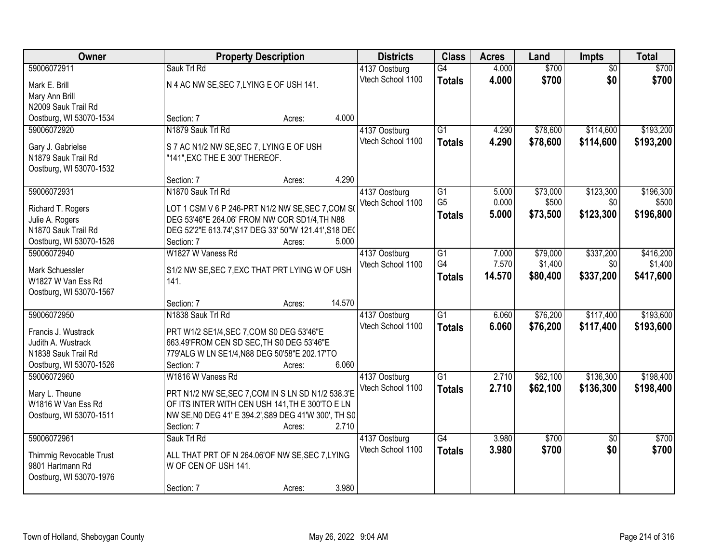| Owner                                     |                                                                                                         | <b>Property Description</b> |        | <b>Districts</b>  | <b>Class</b>    | <b>Acres</b> | Land     | Impts           | <b>Total</b> |
|-------------------------------------------|---------------------------------------------------------------------------------------------------------|-----------------------------|--------|-------------------|-----------------|--------------|----------|-----------------|--------------|
| 59006072911                               | Sauk Trl Rd                                                                                             |                             |        | 4137 Oostburg     | G4              | 4.000        | \$700    | $\overline{50}$ | \$700        |
| Mark E. Brill                             | N 4 AC NW SE, SEC 7, LYING E OF USH 141.                                                                |                             |        | Vtech School 1100 | <b>Totals</b>   | 4.000        | \$700    | \$0             | \$700        |
| Mary Ann Brill                            |                                                                                                         |                             |        |                   |                 |              |          |                 |              |
| N2009 Sauk Trail Rd                       |                                                                                                         |                             |        |                   |                 |              |          |                 |              |
| Oostburg, WI 53070-1534                   | Section: 7                                                                                              | Acres:                      | 4.000  |                   |                 |              |          |                 |              |
| 59006072920                               | N1879 Sauk Trl Rd                                                                                       |                             |        | 4137 Oostburg     | $\overline{G1}$ | 4.290        | \$78,600 | \$114,600       | \$193,200    |
| Gary J. Gabrielse                         | S 7 AC N1/2 NW SE, SEC 7, LYING E OF USH                                                                |                             |        | Vtech School 1100 | <b>Totals</b>   | 4.290        | \$78,600 | \$114,600       | \$193,200    |
| N1879 Sauk Trail Rd                       | "141", EXC THE E 300' THEREOF.                                                                          |                             |        |                   |                 |              |          |                 |              |
| Oostburg, WI 53070-1532                   |                                                                                                         |                             |        |                   |                 |              |          |                 |              |
|                                           | Section: 7                                                                                              | Acres:                      | 4.290  |                   |                 |              |          |                 |              |
| 59006072931                               | N1870 Sauk Trl Rd                                                                                       |                             |        | 4137 Oostburg     | G1              | 5.000        | \$73,000 | \$123,300       | \$196,300    |
| Richard T. Rogers                         | LOT 1 CSM V 6 P 246-PRT N1/2 NW SE, SEC 7, COM S(                                                       |                             |        | Vtech School 1100 | G <sub>5</sub>  | 0.000        | \$500    | \$0             | \$500        |
| Julie A. Rogers                           | DEG 53'46"E 264.06' FROM NW COR SD1/4, TH N88                                                           |                             |        |                   | <b>Totals</b>   | 5.000        | \$73,500 | \$123,300       | \$196,800    |
| N1870 Sauk Trail Rd                       | DEG 52'2"E 613.74', S17 DEG 33' 50"W 121.41', S18 DE(                                                   |                             |        |                   |                 |              |          |                 |              |
| Oostburg, WI 53070-1526                   | Section: 7                                                                                              | Acres:                      | 5.000  |                   |                 |              |          |                 |              |
| 59006072940                               | W1827 W Vaness Rd                                                                                       |                             |        | 4137 Oostburg     | G1              | 7.000        | \$79,000 | \$337,200       | \$416,200    |
| Mark Schuessler                           |                                                                                                         |                             |        | Vtech School 1100 | G4              | 7.570        | \$1,400  | \$0             | \$1,400      |
| W1827 W Van Ess Rd                        | S1/2 NW SE, SEC 7, EXC THAT PRT LYING W OF USH<br>141.                                                  |                             |        |                   | <b>Totals</b>   | 14.570       | \$80,400 | \$337,200       | \$417,600    |
| Oostburg, WI 53070-1567                   |                                                                                                         |                             |        |                   |                 |              |          |                 |              |
|                                           | Section: 7                                                                                              | Acres:                      | 14.570 |                   |                 |              |          |                 |              |
| 59006072950                               | N1838 Sauk Trl Rd                                                                                       |                             |        | 4137 Oostburg     | $\overline{G1}$ | 6.060        | \$76,200 | \$117,400       | \$193,600    |
|                                           |                                                                                                         |                             |        | Vtech School 1100 | <b>Totals</b>   | 6.060        | \$76,200 | \$117,400       | \$193,600    |
| Francis J. Wustrack<br>Judith A. Wustrack | PRT W1/2 SE1/4, SEC 7, COM S0 DEG 53'46"E<br>663.49'FROM CEN SD SEC.TH S0 DEG 53'46"E                   |                             |        |                   |                 |              |          |                 |              |
| N1838 Sauk Trail Rd                       | 779'ALG W LN SE1/4, N88 DEG 50'58"E 202.17'TO                                                           |                             |        |                   |                 |              |          |                 |              |
| Oostburg, WI 53070-1526                   | Section: 7                                                                                              | Acres:                      | 6.060  |                   |                 |              |          |                 |              |
| 59006072960                               | W1816 W Vaness Rd                                                                                       |                             |        | 4137 Oostburg     | $\overline{G1}$ | 2.710        | \$62,100 | \$136,300       | \$198,400    |
|                                           |                                                                                                         |                             |        | Vtech School 1100 | <b>Totals</b>   | 2.710        | \$62,100 | \$136,300       | \$198,400    |
| Mary L. Theune                            | PRT N1/2 NW SE, SEC 7, COM IN S LN SD N1/2 538.3'E                                                      |                             |        |                   |                 |              |          |                 |              |
| W1816 W Van Ess Rd                        | OF ITS INTER WITH CEN USH 141, TH E 300'TO E LN<br>NW SE, NO DEG 41' E 394.2', S89 DEG 41'W 300', TH S0 |                             |        |                   |                 |              |          |                 |              |
| Oostburg, WI 53070-1511                   | Section: 7                                                                                              | Acres:                      | 2.710  |                   |                 |              |          |                 |              |
| 59006072961                               | Sauk Trl Rd                                                                                             |                             |        | 4137 Oostburg     | $\overline{G4}$ | 3.980        | \$700    | $\overline{30}$ | \$700        |
|                                           |                                                                                                         |                             |        | Vtech School 1100 | <b>Totals</b>   | 3.980        | \$700    | \$0             | \$700        |
| Thimmig Revocable Trust                   | ALL THAT PRT OF N 264.06'OF NW SE, SEC 7, LYING                                                         |                             |        |                   |                 |              |          |                 |              |
| 9801 Hartmann Rd                          | W OF CEN OF USH 141.                                                                                    |                             |        |                   |                 |              |          |                 |              |
| Oostburg, WI 53070-1976                   |                                                                                                         |                             |        |                   |                 |              |          |                 |              |
|                                           | Section: 7                                                                                              | Acres:                      | 3.980  |                   |                 |              |          |                 |              |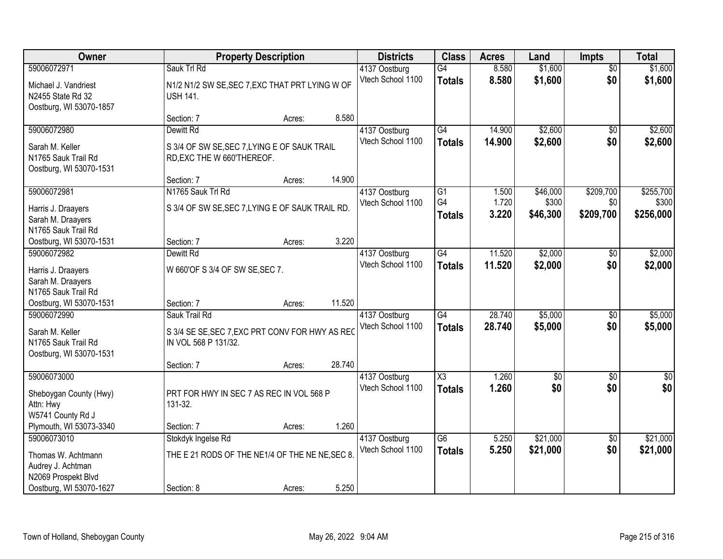| Owner                                                                                                    |                                                                                          | <b>Property Description</b> |        | <b>Districts</b>                   | <b>Class</b>                            | <b>Acres</b>            | Land                          | <b>Impts</b>                  | <b>Total</b>                    |
|----------------------------------------------------------------------------------------------------------|------------------------------------------------------------------------------------------|-----------------------------|--------|------------------------------------|-----------------------------------------|-------------------------|-------------------------------|-------------------------------|---------------------------------|
| 59006072971<br>Michael J. Vandriest<br>N2455 State Rd 32<br>Oostburg, WI 53070-1857                      | Sauk Trl Rd<br>N1/2 N1/2 SW SE, SEC 7, EXC THAT PRT LYING W OF<br><b>USH 141.</b>        |                             |        | 4137 Oostburg<br>Vtech School 1100 | $\overline{G4}$<br><b>Totals</b>        | 8.580<br>8.580          | \$1,600<br>\$1,600            | $\overline{30}$<br>\$0        | \$1,600<br>\$1,600              |
|                                                                                                          | Section: 7                                                                               | Acres:                      | 8.580  |                                    |                                         |                         |                               |                               |                                 |
| 59006072980<br>Sarah M. Keller<br>N1765 Sauk Trail Rd<br>Oostburg, WI 53070-1531                         | Dewitt Rd<br>S 3/4 OF SW SE, SEC 7, LYING E OF SAUK TRAIL<br>RD, EXC THE W 660'THEREOF.  |                             |        | 4137 Oostburg<br>Vtech School 1100 | G4<br><b>Totals</b>                     | 14.900<br>14.900        | \$2,600<br>\$2,600            | $\overline{50}$<br>\$0        | \$2,600<br>\$2,600              |
|                                                                                                          | Section: 7                                                                               | Acres:                      | 14.900 |                                    |                                         |                         |                               |                               |                                 |
| 59006072981<br>Harris J. Draayers<br>Sarah M. Draayers<br>N1765 Sauk Trail Rd                            | N1765 Sauk Trl Rd<br>S 3/4 OF SW SE, SEC 7, LYING E OF SAUK TRAIL RD.                    |                             |        | 4137 Oostburg<br>Vtech School 1100 | G1<br>G4<br>Totals                      | 1.500<br>1.720<br>3.220 | \$46,000<br>\$300<br>\$46,300 | \$209,700<br>\$0<br>\$209,700 | \$255,700<br>\$300<br>\$256,000 |
| Oostburg, WI 53070-1531                                                                                  | Section: 7                                                                               | Acres:                      | 3.220  |                                    |                                         |                         |                               |                               |                                 |
| 59006072982<br>Harris J. Draayers<br>Sarah M. Draayers                                                   | Dewitt Rd<br>W 660'OF S 3/4 OF SW SE, SEC 7.                                             |                             |        | 4137 Oostburg<br>Vtech School 1100 | $\overline{G4}$<br><b>Totals</b>        | 11.520<br>11.520        | \$2,000<br>\$2,000            | \$0<br>\$0                    | \$2,000<br>\$2,000              |
| N1765 Sauk Trail Rd<br>Oostburg, WI 53070-1531                                                           | Section: 7                                                                               | Acres:                      | 11.520 |                                    |                                         |                         |                               |                               |                                 |
| 59006072990<br>Sarah M. Keller<br>N1765 Sauk Trail Rd<br>Oostburg, WI 53070-1531                         | Sauk Trail Rd<br>S 3/4 SE SE, SEC 7, EXC PRT CONV FOR HWY AS REC<br>IN VOL 568 P 131/32. |                             |        | 4137 Oostburg<br>Vtech School 1100 | $\overline{G4}$<br><b>Totals</b>        | 28.740<br>28.740        | \$5,000<br>\$5,000            | $\overline{50}$<br>\$0        | \$5,000<br>\$5,000              |
|                                                                                                          | Section: 7                                                                               | Acres:                      | 28.740 |                                    |                                         |                         |                               |                               |                                 |
| 59006073000<br>Sheboygan County (Hwy)<br>Attn: Hwy<br>W5741 County Rd J                                  | PRT FOR HWY IN SEC 7 AS REC IN VOL 568 P<br>131-32.                                      |                             |        | 4137 Oostburg<br>Vtech School 1100 | $\overline{\text{X3}}$<br><b>Totals</b> | 1.260<br>1.260          | $\overline{50}$<br>\$0        | $\overline{30}$<br>\$0        | $\overline{\$0}$<br>\$0         |
| Plymouth, WI 53073-3340                                                                                  | Section: 7                                                                               | Acres:                      | 1.260  |                                    |                                         |                         |                               |                               |                                 |
| 59006073010<br>Thomas W. Achtmann<br>Audrey J. Achtman<br>N2069 Prospekt Blvd<br>Oostburg, WI 53070-1627 | Stokdyk Ingelse Rd<br>THE E 21 RODS OF THE NE1/4 OF THE NE NE, SEC 8.<br>Section: 8      | Acres:                      | 5.250  | 4137 Oostburg<br>Vtech School 1100 | $\overline{G6}$<br><b>Totals</b>        | 5.250<br>5.250          | \$21,000<br>\$21,000          | $\overline{50}$<br>\$0        | \$21,000<br>\$21,000            |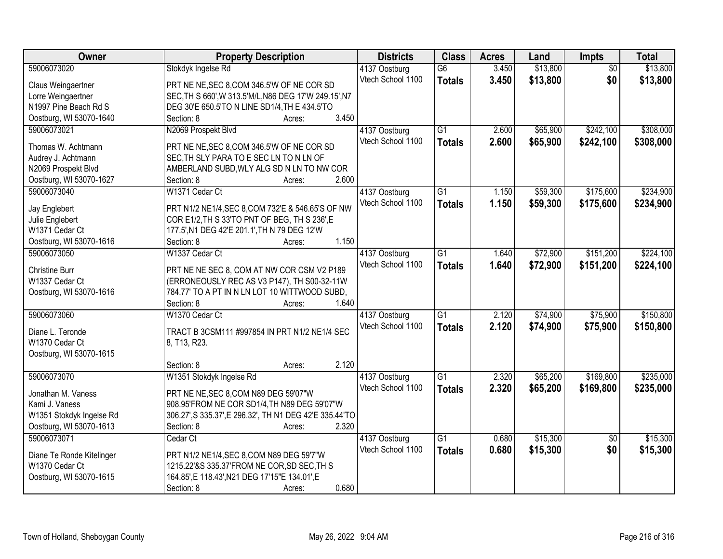| <b>Owner</b>              | <b>Property Description</b>                             | <b>Districts</b>  | <b>Class</b>    | <b>Acres</b> | Land     | Impts           | <b>Total</b> |
|---------------------------|---------------------------------------------------------|-------------------|-----------------|--------------|----------|-----------------|--------------|
| 59006073020               | Stokdyk Ingelse Rd                                      | 4137 Oostburg     | $\overline{G6}$ | 3.450        | \$13,800 | $\overline{50}$ | \$13,800     |
| Claus Weingaertner        | PRT NE NE, SEC 8, COM 346.5'W OF NE COR SD              | Vtech School 1100 | <b>Totals</b>   | 3.450        | \$13,800 | \$0             | \$13,800     |
| Lorre Weingaertner        | SEC, TH S 660', W 313.5'M/L, N86 DEG 17'W 249.15', N7   |                   |                 |              |          |                 |              |
| N1997 Pine Beach Rd S     | DEG 30'E 650.5'TO N LINE SD1/4, TH E 434.5'TO           |                   |                 |              |          |                 |              |
| Oostburg, WI 53070-1640   | 3.450<br>Section: 8<br>Acres:                           |                   |                 |              |          |                 |              |
| 59006073021               | N2069 Prospekt Blvd                                     | 4137 Oostburg     | $\overline{G1}$ | 2.600        | \$65,900 | \$242,100       | \$308,000    |
|                           |                                                         | Vtech School 1100 | <b>Totals</b>   | 2.600        | \$65,900 | \$242,100       | \$308,000    |
| Thomas W. Achtmann        | PRT NE NE, SEC 8, COM 346.5'W OF NE COR SD              |                   |                 |              |          |                 |              |
| Audrey J. Achtmann        | SEC, TH SLY PARA TO E SEC LN TO N LN OF                 |                   |                 |              |          |                 |              |
| N2069 Prospekt Blvd       | AMBERLAND SUBD, WLY ALG SD N LN TO NW COR               |                   |                 |              |          |                 |              |
| Oostburg, WI 53070-1627   | 2.600<br>Section: 8<br>Acres:                           |                   |                 |              |          |                 |              |
| 59006073040               | W1371 Cedar Ct                                          | 4137 Oostburg     | G1              | 1.150        | \$59,300 | \$175,600       | \$234,900    |
| Jay Englebert             | PRT N1/2 NE1/4, SEC 8, COM 732'E & 546.65'S OF NW       | Vtech School 1100 | <b>Totals</b>   | 1.150        | \$59,300 | \$175,600       | \$234,900    |
| Julie Englebert           | COR E1/2, TH S 33'TO PNT OF BEG, TH S 236', E           |                   |                 |              |          |                 |              |
| W1371 Cedar Ct            | 177.5', N1 DEG 42'E 201.1', TH N 79 DEG 12'W            |                   |                 |              |          |                 |              |
| Oostburg, WI 53070-1616   | 1.150<br>Section: 8<br>Acres:                           |                   |                 |              |          |                 |              |
| 59006073050               | W1337 Cedar Ct                                          | 4137 Oostburg     | $\overline{G1}$ | 1.640        | \$72,900 | \$151,200       | \$224,100    |
|                           |                                                         | Vtech School 1100 | <b>Totals</b>   | 1.640        | \$72,900 | \$151,200       | \$224,100    |
| <b>Christine Burr</b>     | PRT NE NE SEC 8, COM AT NW COR CSM V2 P189              |                   |                 |              |          |                 |              |
| W1337 Cedar Ct            | (ERRONEOUSLY REC AS V3 P147), TH S00-32-11W             |                   |                 |              |          |                 |              |
| Oostburg, WI 53070-1616   | 784.77' TO A PT IN N LN LOT 10 WITTWOOD SUBD,           |                   |                 |              |          |                 |              |
|                           | 1.640<br>Section: 8<br>Acres:                           |                   |                 |              |          |                 |              |
| 59006073060               | W1370 Cedar Ct                                          | 4137 Oostburg     | $\overline{G1}$ | 2.120        | \$74,900 | \$75,900        | \$150,800    |
| Diane L. Teronde          | TRACT B 3CSM111 #997854 IN PRT N1/2 NE1/4 SEC           | Vtech School 1100 | <b>Totals</b>   | 2.120        | \$74,900 | \$75,900        | \$150,800    |
| W1370 Cedar Ct            | 8, T13, R23.                                            |                   |                 |              |          |                 |              |
| Oostburg, WI 53070-1615   |                                                         |                   |                 |              |          |                 |              |
|                           | 2.120<br>Section: 8<br>Acres:                           |                   |                 |              |          |                 |              |
| 59006073070               | W1351 Stokdyk Ingelse Rd                                | 4137 Oostburg     | G1              | 2.320        | \$65,200 | \$169,800       | \$235,000    |
| Jonathan M. Vaness        | PRT NE NE, SEC 8, COM N89 DEG 59'07"W                   | Vtech School 1100 | <b>Totals</b>   | 2.320        | \$65,200 | \$169,800       | \$235,000    |
| Kami J. Vaness            | 908.95'FROM NE COR SD1/4, TH N89 DEG 59'07"W            |                   |                 |              |          |                 |              |
| W1351 Stokdyk Ingelse Rd  | 306.27', S 335.37', E 296.32', TH N1 DEG 42'E 335.44'TO |                   |                 |              |          |                 |              |
| Oostburg, WI 53070-1613   | 2.320<br>Section: 8<br>Acres:                           |                   |                 |              |          |                 |              |
| 59006073071               | Cedar Ct                                                | 4137 Oostburg     | $\overline{G1}$ | 0.680        | \$15,300 | $\overline{50}$ | \$15,300     |
|                           |                                                         | Vtech School 1100 | <b>Totals</b>   | 0.680        | \$15,300 | \$0             | \$15,300     |
| Diane Te Ronde Kitelinger | PRT N1/2 NE1/4, SEC 8, COM N89 DEG 59'7"W               |                   |                 |              |          |                 |              |
| W1370 Cedar Ct            | 1215.22'&S 335.37'FROM NE COR, SD SEC, TH S             |                   |                 |              |          |                 |              |
| Oostburg, WI 53070-1615   | 164.85', E 118.43', N21 DEG 17'15" E 134.01', E         |                   |                 |              |          |                 |              |
|                           | 0.680<br>Section: 8<br>Acres:                           |                   |                 |              |          |                 |              |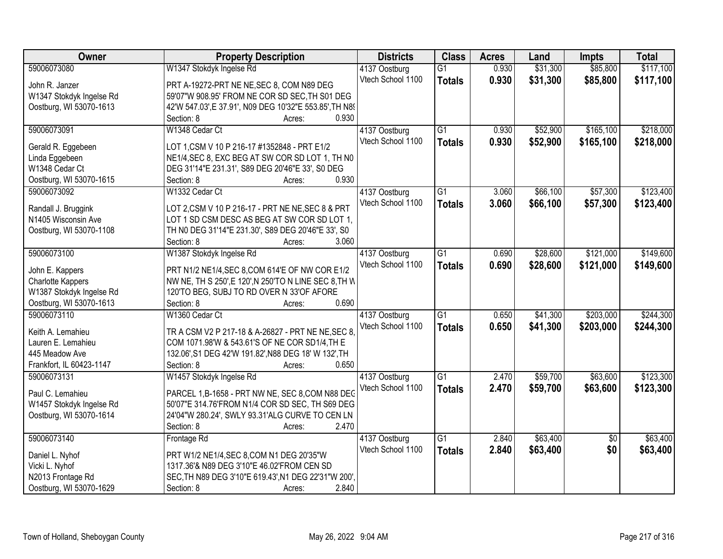| <b>Owner</b>             | <b>Property Description</b>                             | <b>Districts</b>  | <b>Class</b>    | <b>Acres</b> | Land     | Impts           | <b>Total</b> |
|--------------------------|---------------------------------------------------------|-------------------|-----------------|--------------|----------|-----------------|--------------|
| 59006073080              | W1347 Stokdyk Ingelse Rd                                | 4137 Oostburg     | $\overline{G1}$ | 0.930        | \$31,300 | \$85,800        | \$117,100    |
| John R. Janzer           | PRT A-19272-PRT NE NE, SEC 8, COM N89 DEG               | Vtech School 1100 | <b>Totals</b>   | 0.930        | \$31,300 | \$85,800        | \$117,100    |
| W1347 Stokdyk Ingelse Rd | 59'07"W 908.95' FROM NE COR SD SEC, TH S01 DEG          |                   |                 |              |          |                 |              |
| Oostburg, WI 53070-1613  | 42'W 547.03', E 37.91', N09 DEG 10'32"E 553.85', TH N89 |                   |                 |              |          |                 |              |
|                          | 0.930<br>Section: 8<br>Acres:                           |                   |                 |              |          |                 |              |
| 59006073091              | W1348 Cedar Ct                                          | 4137 Oostburg     | $\overline{G1}$ | 0.930        | \$52,900 | \$165,100       | \$218,000    |
|                          |                                                         | Vtech School 1100 | <b>Totals</b>   | 0.930        | \$52,900 | \$165,100       | \$218,000    |
| Gerald R. Eggebeen       | LOT 1, CSM V 10 P 216-17 #1352848 - PRT E1/2            |                   |                 |              |          |                 |              |
| Linda Eggebeen           | NE1/4, SEC 8, EXC BEG AT SW COR SD LOT 1, TH NO         |                   |                 |              |          |                 |              |
| W1348 Cedar Ct           | DEG 31'14"E 231.31', S89 DEG 20'46"E 33', S0 DEG        |                   |                 |              |          |                 |              |
| Oostburg, WI 53070-1615  | 0.930<br>Section: 8<br>Acres:                           |                   |                 |              |          |                 |              |
| 59006073092              | W1332 Cedar Ct                                          | 4137 Oostburg     | G1              | 3.060        | \$66,100 | \$57,300        | \$123,400    |
| Randall J. Bruggink      | LOT 2, CSM V 10 P 216-17 - PRT NE NE, SEC 8 & PRT       | Vtech School 1100 | <b>Totals</b>   | 3.060        | \$66,100 | \$57,300        | \$123,400    |
| N1405 Wisconsin Ave      | LOT 1 SD CSM DESC AS BEG AT SW COR SD LOT 1,            |                   |                 |              |          |                 |              |
| Oostburg, WI 53070-1108  | TH NO DEG 31'14"E 231.30', S89 DEG 20'46"E 33', S0      |                   |                 |              |          |                 |              |
|                          | 3.060<br>Section: 8<br>Acres:                           |                   |                 |              |          |                 |              |
| 59006073100              | W1387 Stokdyk Ingelse Rd                                |                   | $\overline{G1}$ | 0.690        | \$28,600 | \$121,000       | \$149,600    |
|                          |                                                         | 4137 Oostburg     |                 |              |          |                 |              |
| John E. Kappers          | PRT N1/2 NE1/4, SEC 8, COM 614'E OF NW COR E1/2         | Vtech School 1100 | <b>Totals</b>   | 0.690        | \$28,600 | \$121,000       | \$149,600    |
| <b>Charlotte Kappers</b> | NW NE, TH S 250', E 120', N 250'TO N LINE SEC 8, TH W   |                   |                 |              |          |                 |              |
| W1387 Stokdyk Ingelse Rd | 120'TO BEG, SUBJ TO RD OVER N 33'OF AFORE               |                   |                 |              |          |                 |              |
| Oostburg, WI 53070-1613  | 0.690<br>Section: 8<br>Acres:                           |                   |                 |              |          |                 |              |
| 59006073110              | W1360 Cedar Ct                                          | 4137 Oostburg     | $\overline{G1}$ | 0.650        | \$41,300 | \$203,000       | \$244,300    |
|                          |                                                         | Vtech School 1100 | <b>Totals</b>   | 0.650        | \$41,300 | \$203,000       | \$244,300    |
| Keith A. Lemahieu        | TR A CSM V2 P 217-18 & A-26827 - PRT NE NE, SEC 8.      |                   |                 |              |          |                 |              |
| Lauren E. Lemahieu       | COM 1071.98'W & 543.61'S OF NE COR SD1/4, TH E          |                   |                 |              |          |                 |              |
| 445 Meadow Ave           | 132.06', S1 DEG 42'W 191.82', N88 DEG 18' W 132', TH    |                   |                 |              |          |                 |              |
| Frankfort, IL 60423-1147 | 0.650<br>Section: 8<br>Acres:                           |                   |                 |              |          |                 |              |
| 59006073131              | W1457 Stokdyk Ingelse Rd                                | 4137 Oostburg     | G1              | 2.470        | \$59,700 | \$63,600        | \$123,300    |
| Paul C. Lemahieu         | PARCEL 1,B-1658 - PRT NW NE, SEC 8,COM N88 DEC          | Vtech School 1100 | <b>Totals</b>   | 2.470        | \$59,700 | \$63,600        | \$123,300    |
| W1457 Stokdyk Ingelse Rd | 50'07"E 314.76'FROM N1/4 COR SD SEC, TH S69 DEG         |                   |                 |              |          |                 |              |
| Oostburg, WI 53070-1614  | 24'04"W 280.24', SWLY 93.31'ALG CURVE TO CEN LN         |                   |                 |              |          |                 |              |
|                          | 2.470<br>Section: 8<br>Acres:                           |                   |                 |              |          |                 |              |
| 59006073140              | Frontage Rd                                             | 4137 Oostburg     | G1              | 2.840        | \$63,400 | $\overline{50}$ | \$63,400     |
|                          |                                                         | Vtech School 1100 |                 |              |          | \$0             |              |
| Daniel L. Nyhof          | PRT W1/2 NE1/4, SEC 8, COM N1 DEG 20'35"W               |                   | <b>Totals</b>   | 2.840        | \$63,400 |                 | \$63,400     |
| Vicki L. Nyhof           | 1317.36'& N89 DEG 3'10"E 46.02'FROM CEN SD              |                   |                 |              |          |                 |              |
| N2013 Frontage Rd        | SEC, TH N89 DEG 3'10"E 619.43', N1 DEG 22'31"W 200'.    |                   |                 |              |          |                 |              |
| Oostburg, WI 53070-1629  | 2.840<br>Section: 8<br>Acres:                           |                   |                 |              |          |                 |              |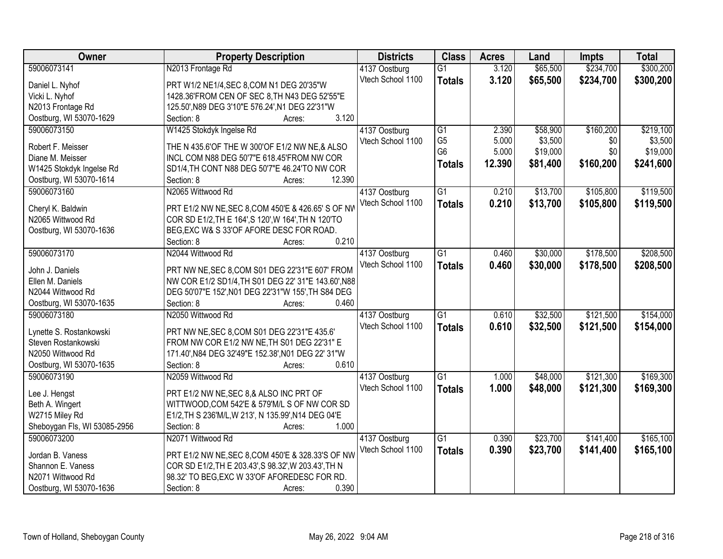| Owner                        | <b>Property Description</b>                                                                     | <b>Districts</b>  | <b>Class</b>    | <b>Acres</b> | Land     | <b>Impts</b> | <b>Total</b> |
|------------------------------|-------------------------------------------------------------------------------------------------|-------------------|-----------------|--------------|----------|--------------|--------------|
| 59006073141                  | N2013 Frontage Rd                                                                               | 4137 Oostburg     | $\overline{G1}$ | 3.120        | \$65,500 | \$234,700    | \$300,200    |
| Daniel L. Nyhof              | PRT W1/2 NE1/4, SEC 8, COM N1 DEG 20'35"W                                                       | Vtech School 1100 | <b>Totals</b>   | 3.120        | \$65,500 | \$234,700    | \$300,200    |
| Vicki L. Nyhof               | 1428.36'FROM CEN OF SEC 8, TH N43 DEG 52'55"E                                                   |                   |                 |              |          |              |              |
| N2013 Frontage Rd            | 125.50', N89 DEG 3'10"E 576.24', N1 DEG 22'31"W                                                 |                   |                 |              |          |              |              |
| Oostburg, WI 53070-1629      | 3.120<br>Section: 8<br>Acres:                                                                   |                   |                 |              |          |              |              |
| 59006073150                  | W1425 Stokdyk Ingelse Rd                                                                        | 4137 Oostburg     | $\overline{G1}$ | 2.390        | \$58,900 | \$160,200    | \$219,100    |
|                              |                                                                                                 | Vtech School 1100 | G <sub>5</sub>  | 5.000        | \$3,500  | \$0          | \$3,500      |
| Robert F. Meisser            | THE N 435.6'OF THE W 300'OF E1/2 NW NE,& ALSO                                                   |                   | G <sub>6</sub>  | 5.000        | \$19,000 | \$0          | \$19,000     |
| Diane M. Meisser             | INCL COM N88 DEG 50'7"E 618.45'FROM NW COR                                                      |                   | <b>Totals</b>   | 12.390       | \$81,400 | \$160,200    | \$241,600    |
| W1425 Stokdyk Ingelse Rd     | SD1/4, TH CONT N88 DEG 50'7"E 46.24'TO NW COR                                                   |                   |                 |              |          |              |              |
| Oostburg, WI 53070-1614      | 12.390<br>Section: 8<br>Acres:                                                                  |                   |                 |              |          |              |              |
| 59006073160                  | N2065 Wittwood Rd                                                                               | 4137 Oostburg     | $\overline{G1}$ | 0.210        | \$13,700 | \$105,800    | \$119,500    |
| Cheryl K. Baldwin            | PRT E1/2 NW NE, SEC 8, COM 450'E & 426.65' S OF NW                                              | Vtech School 1100 | <b>Totals</b>   | 0.210        | \$13,700 | \$105,800    | \$119,500    |
| N2065 Wittwood Rd            |                                                                                                 |                   |                 |              |          |              |              |
|                              | COR SD E1/2, TH E 164', S 120', W 164', TH N 120'TO<br>BEG, EXC W& S 33'OF AFORE DESC FOR ROAD. |                   |                 |              |          |              |              |
| Oostburg, WI 53070-1636      | 0.210<br>Section: 8                                                                             |                   |                 |              |          |              |              |
|                              | Acres:<br>N2044 Wittwood Rd                                                                     |                   |                 |              |          |              |              |
| 59006073170                  |                                                                                                 | 4137 Oostburg     | G1              | 0.460        | \$30,000 | \$178,500    | \$208,500    |
| John J. Daniels              | PRT NW NE, SEC 8, COM S01 DEG 22'31"E 607' FROM                                                 | Vtech School 1100 | <b>Totals</b>   | 0.460        | \$30,000 | \$178,500    | \$208,500    |
| Ellen M. Daniels             | NW COR E1/2 SD1/4, TH S01 DEG 22' 31"E 143.60', N88                                             |                   |                 |              |          |              |              |
| N2044 Wittwood Rd            | DEG 50'07"E 152', N01 DEG 22'31"W 155', TH S84 DEG                                              |                   |                 |              |          |              |              |
| Oostburg, WI 53070-1635      | 0.460<br>Section: 8<br>Acres:                                                                   |                   |                 |              |          |              |              |
| 59006073180                  | N2050 Wittwood Rd                                                                               | 4137 Oostburg     | $\overline{G1}$ | 0.610        | \$32,500 | \$121,500    | \$154,000    |
|                              |                                                                                                 | Vtech School 1100 | <b>Totals</b>   | 0.610        | \$32,500 | \$121,500    | \$154,000    |
| Lynette S. Rostankowski      | PRT NW NE, SEC 8, COM S01 DEG 22'31"E 435.6'                                                    |                   |                 |              |          |              |              |
| Steven Rostankowski          | FROM NW COR E1/2 NW NE, TH S01 DEG 22'31" E                                                     |                   |                 |              |          |              |              |
| N2050 Wittwood Rd            | 171.40', N84 DEG 32'49"E 152.38', N01 DEG 22' 31"W                                              |                   |                 |              |          |              |              |
| Oostburg, WI 53070-1635      | 0.610<br>Section: 8<br>Acres:                                                                   |                   |                 |              |          |              |              |
| 59006073190                  | N2059 Wittwood Rd                                                                               | 4137 Oostburg     | $\overline{G1}$ | 1.000        | \$48,000 | \$121,300    | \$169,300    |
| Lee J. Hengst                | PRT E1/2 NW NE, SEC 8,& ALSO INC PRT OF                                                         | Vtech School 1100 | <b>Totals</b>   | 1.000        | \$48,000 | \$121,300    | \$169,300    |
| Beth A. Wingert              | WITTWOOD, COM 542'E & 579'M/L S OF NW COR SD                                                    |                   |                 |              |          |              |              |
| W2715 Miley Rd               | E1/2, TH S 236'M/L, W 213', N 135.99', N14 DEG 04'E                                             |                   |                 |              |          |              |              |
| Sheboygan Fls, WI 53085-2956 | 1.000<br>Section: 8<br>Acres:                                                                   |                   |                 |              |          |              |              |
| 59006073200                  | N2071 Wittwood Rd                                                                               | 4137 Oostburg     | $\overline{G1}$ | 0.390        | \$23,700 | \$141,400    | \$165,100    |
|                              |                                                                                                 | Vtech School 1100 |                 | 0.390        | \$23,700 | \$141,400    | \$165,100    |
| Jordan B. Vaness             | PRT E1/2 NW NE, SEC 8, COM 450'E & 328.33'S OF NW                                               |                   | <b>Totals</b>   |              |          |              |              |
| Shannon E. Vaness            | COR SD E1/2, TH E 203.43', S 98.32', W 203.43', TH N                                            |                   |                 |              |          |              |              |
| N2071 Wittwood Rd            | 98.32' TO BEG, EXC W 33'OF AFOREDESC FOR RD.                                                    |                   |                 |              |          |              |              |
| Oostburg, WI 53070-1636      | 0.390<br>Section: 8<br>Acres:                                                                   |                   |                 |              |          |              |              |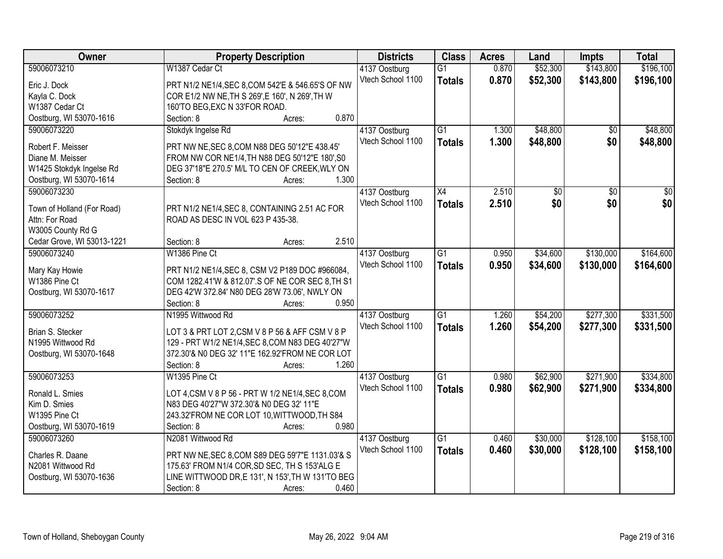| Owner                      | <b>Property Description</b>                       | <b>Districts</b>  | <b>Class</b>    | <b>Acres</b> | Land     | <b>Impts</b> | <b>Total</b> |
|----------------------------|---------------------------------------------------|-------------------|-----------------|--------------|----------|--------------|--------------|
| 59006073210                | W1387 Cedar Ct                                    | 4137 Oostburg     | $\overline{G1}$ | 0.870        | \$52,300 | \$143,800    | \$196,100    |
| Eric J. Dock               | PRT N1/2 NE1/4, SEC 8, COM 542'E & 546.65'S OF NW | Vtech School 1100 | <b>Totals</b>   | 0.870        | \$52,300 | \$143,800    | \$196,100    |
| Kayla C. Dock              | COR E1/2 NW NE, TH S 269', E 160', N 269', TH W   |                   |                 |              |          |              |              |
| W1387 Cedar Ct             | 160'TO BEG, EXC N 33'FOR ROAD.                    |                   |                 |              |          |              |              |
| Oostburg, WI 53070-1616    | 0.870<br>Section: 8<br>Acres:                     |                   |                 |              |          |              |              |
| 59006073220                | Stokdyk Ingelse Rd                                | 4137 Oostburg     | $\overline{G1}$ | 1.300        | \$48,800 | \$0          | \$48,800     |
|                            |                                                   | Vtech School 1100 | <b>Totals</b>   | 1.300        | \$48,800 | \$0          | \$48,800     |
| Robert F. Meisser          | PRT NW NE, SEC 8, COM N88 DEG 50'12"E 438.45'     |                   |                 |              |          |              |              |
| Diane M. Meisser           | FROM NW COR NE1/4, TH N88 DEG 50'12"E 180', S0    |                   |                 |              |          |              |              |
| W1425 Stokdyk Ingelse Rd   | DEG 37'18"E 270.5' M/L TO CEN OF CREEK, WLY ON    |                   |                 |              |          |              |              |
| Oostburg, WI 53070-1614    | 1.300<br>Section: 8<br>Acres:                     |                   |                 |              |          |              |              |
| 59006073230                |                                                   | 4137 Oostburg     | X4              | 2.510        | \$0      | \$0          | \$0          |
| Town of Holland (For Road) | PRT N1/2 NE1/4, SEC 8, CONTAINING 2.51 AC FOR     | Vtech School 1100 | <b>Totals</b>   | 2.510        | \$0      | \$0          | \$0          |
| Attn: For Road             | ROAD AS DESC IN VOL 623 P 435-38.                 |                   |                 |              |          |              |              |
| W3005 County Rd G          |                                                   |                   |                 |              |          |              |              |
| Cedar Grove, WI 53013-1221 | 2.510<br>Section: 8<br>Acres:                     |                   |                 |              |          |              |              |
| 59006073240                | W1386 Pine Ct                                     | 4137 Oostburg     | G1              | 0.950        | \$34,600 | \$130,000    | \$164,600    |
|                            |                                                   | Vtech School 1100 | <b>Totals</b>   | 0.950        | \$34,600 | \$130,000    | \$164,600    |
| Mary Kay Howie             | PRT N1/2 NE1/4, SEC 8, CSM V2 P189 DOC #966084,   |                   |                 |              |          |              |              |
| W1386 Pine Ct              | COM 1282.41'W & 812.07'.S OF NE COR SEC 8, TH S1  |                   |                 |              |          |              |              |
| Oostburg, WI 53070-1617    | DEG 42'W 372.84' N80 DEG 28'W 73.06', NWLY ON     |                   |                 |              |          |              |              |
|                            | 0.950<br>Section: 8<br>Acres:                     |                   |                 |              |          |              |              |
| 59006073252                | N1995 Wittwood Rd                                 | 4137 Oostburg     | $\overline{G1}$ | 1.260        | \$54,200 | \$277,300    | \$331,500    |
| Brian S. Stecker           | LOT 3 & PRT LOT 2,CSM V 8 P 56 & AFF CSM V 8 P    | Vtech School 1100 | <b>Totals</b>   | 1.260        | \$54,200 | \$277,300    | \$331,500    |
| N1995 Wittwood Rd          | 129 - PRT W1/2 NE1/4, SEC 8, COM N83 DEG 40'27"W  |                   |                 |              |          |              |              |
| Oostburg, WI 53070-1648    | 372.30'& N0 DEG 32' 11"E 162.92'FROM NE COR LOT   |                   |                 |              |          |              |              |
|                            | 1.260<br>Section: 8<br>Acres:                     |                   |                 |              |          |              |              |
| 59006073253                | W1395 Pine Ct                                     | 4137 Oostburg     | $\overline{G1}$ | 0.980        | \$62,900 | \$271,900    | \$334,800    |
|                            |                                                   | Vtech School 1100 | <b>Totals</b>   | 0.980        | \$62,900 | \$271,900    | \$334,800    |
| Ronald L. Smies            | LOT 4, CSM V 8 P 56 - PRT W 1/2 NE1/4, SEC 8, COM |                   |                 |              |          |              |              |
| Kim D. Smies               | N83 DEG 40'27"W 372.30'& N0 DEG 32' 11"E          |                   |                 |              |          |              |              |
| W1395 Pine Ct              | 243.32'FROM NE COR LOT 10, WITTWOOD, TH S84       |                   |                 |              |          |              |              |
| Oostburg, WI 53070-1619    | 0.980<br>Section: 8<br>Acres:                     |                   |                 |              |          |              |              |
| 59006073260                | N2081 Wittwood Rd                                 | 4137 Oostburg     | $\overline{G1}$ | 0.460        | \$30,000 | \$128,100    | \$158,100    |
| Charles R. Daane           | PRT NW NE, SEC 8, COM S89 DEG 59'7"E 1131.03'& S  | Vtech School 1100 | <b>Totals</b>   | 0.460        | \$30,000 | \$128,100    | \$158,100    |
| N2081 Wittwood Rd          | 175.63' FROM N1/4 COR, SD SEC, TH S 153'ALG E     |                   |                 |              |          |              |              |
| Oostburg, WI 53070-1636    | LINE WITTWOOD DR, E 131', N 153', TH W 131'TO BEG |                   |                 |              |          |              |              |
|                            | Section: 8<br>0.460<br>Acres:                     |                   |                 |              |          |              |              |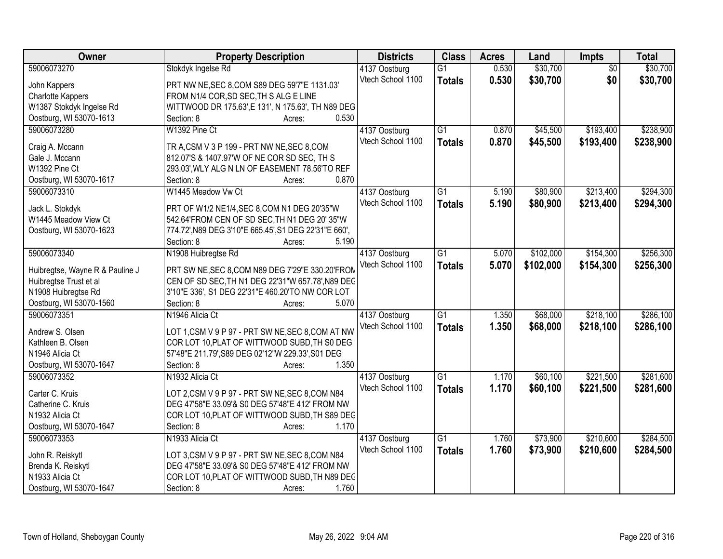| Owner                           | <b>Property Description</b>                           | <b>Districts</b>  | <b>Class</b>    | <b>Acres</b> | Land      | Impts           | <b>Total</b> |
|---------------------------------|-------------------------------------------------------|-------------------|-----------------|--------------|-----------|-----------------|--------------|
| 59006073270                     | Stokdyk Ingelse Rd                                    | 4137 Oostburg     | $\overline{G1}$ | 0.530        | \$30,700  | $\overline{50}$ | \$30,700     |
| John Kappers                    | PRT NW NE, SEC 8, COM S89 DEG 59'7"E 1131.03'         | Vtech School 1100 | <b>Totals</b>   | 0.530        | \$30,700  | \$0             | \$30,700     |
| Charlotte Kappers               | FROM N1/4 COR, SD SEC, TH S ALG E LINE                |                   |                 |              |           |                 |              |
| W1387 Stokdyk Ingelse Rd        | WITTWOOD DR 175.63', E 131', N 175.63', TH N89 DEG    |                   |                 |              |           |                 |              |
| Oostburg, WI 53070-1613         | 0.530<br>Section: 8<br>Acres:                         |                   |                 |              |           |                 |              |
| 59006073280                     | W1392 Pine Ct                                         | 4137 Oostburg     | $\overline{G1}$ | 0.870        | \$45,500  | \$193,400       | \$238,900    |
|                                 |                                                       | Vtech School 1100 | <b>Totals</b>   | 0.870        | \$45,500  | \$193,400       | \$238,900    |
| Craig A. Mccann                 | TR A, CSM V 3 P 199 - PRT NW NE, SEC 8, COM           |                   |                 |              |           |                 |              |
| Gale J. Mccann                  | 812.07'S & 1407.97'W OF NE COR SD SEC, TH S           |                   |                 |              |           |                 |              |
| W1392 Pine Ct                   | 293.03', WLY ALG N LN OF EASEMENT 78.56'TO REF        |                   |                 |              |           |                 |              |
| Oostburg, WI 53070-1617         | 0.870<br>Section: 8<br>Acres:                         |                   |                 |              |           |                 |              |
| 59006073310                     | W1445 Meadow Vw Ct                                    | 4137 Oostburg     | G1              | 5.190        | \$80,900  | \$213,400       | \$294,300    |
| Jack L. Stokdyk                 | PRT OF W1/2 NE1/4, SEC 8, COM N1 DEG 20'35"W          | Vtech School 1100 | <b>Totals</b>   | 5.190        | \$80,900  | \$213,400       | \$294,300    |
| W1445 Meadow View Ct            | 542.64'FROM CEN OF SD SEC, TH N1 DEG 20' 35"W         |                   |                 |              |           |                 |              |
| Oostburg, WI 53070-1623         | 774.72', N89 DEG 3'10"E 665.45', S1 DEG 22'31"E 660', |                   |                 |              |           |                 |              |
|                                 | Section: 8<br>5.190<br>Acres:                         |                   |                 |              |           |                 |              |
| 59006073340                     | N1908 Huibregtse Rd                                   | 4137 Oostburg     | $\overline{G1}$ | 5.070        | \$102,000 | \$154,300       | \$256,300    |
|                                 |                                                       | Vtech School 1100 | <b>Totals</b>   | 5.070        | \$102,000 | \$154,300       | \$256,300    |
| Huibregtse, Wayne R & Pauline J | PRT SW NE, SEC 8, COM N89 DEG 7'29"E 330.20'FROM      |                   |                 |              |           |                 |              |
| Huibregtse Trust et al          | CEN OF SD SEC, TH N1 DEG 22'31"W 657.78', N89 DEC     |                   |                 |              |           |                 |              |
| N1908 Huibregtse Rd             | 3'10"E 336', S1 DEG 22'31"E 460.20'TO NW COR LOT      |                   |                 |              |           |                 |              |
| Oostburg, WI 53070-1560         | 5.070<br>Section: 8<br>Acres:                         |                   |                 |              |           |                 |              |
| 59006073351                     | N1946 Alicia Ct                                       | 4137 Oostburg     | $\overline{G1}$ | 1.350        | \$68,000  | \$218,100       | \$286,100    |
| Andrew S. Olsen                 | LOT 1, CSM V 9 P 97 - PRT SW NE, SEC 8, COM AT NW     | Vtech School 1100 | <b>Totals</b>   | 1.350        | \$68,000  | \$218,100       | \$286,100    |
| Kathleen B. Olsen               | COR LOT 10, PLAT OF WITTWOOD SUBD, TH S0 DEG          |                   |                 |              |           |                 |              |
| N1946 Alicia Ct                 | 57'48"E 211.79', S89 DEG 02'12"W 229.33', S01 DEG     |                   |                 |              |           |                 |              |
| Oostburg, WI 53070-1647         | 1.350<br>Section: 8<br>Acres:                         |                   |                 |              |           |                 |              |
| 59006073352                     | N1932 Alicia Ct                                       | 4137 Oostburg     | G1              | 1.170        | \$60,100  | \$221,500       | \$281,600    |
|                                 |                                                       | Vtech School 1100 | <b>Totals</b>   | 1.170        | \$60,100  | \$221,500       | \$281,600    |
| Carter C. Kruis                 | LOT 2,CSM V 9 P 97 - PRT SW NE, SEC 8,COM N84         |                   |                 |              |           |                 |              |
| Catherine C. Kruis              | DEG 47'58"E 33.09'& S0 DEG 57'48"E 412' FROM NW       |                   |                 |              |           |                 |              |
| N1932 Alicia Ct                 | COR LOT 10, PLAT OF WITTWOOD SUBD, TH S89 DEC         |                   |                 |              |           |                 |              |
| Oostburg, WI 53070-1647         | 1.170<br>Section: 8<br>Acres:                         |                   |                 |              |           |                 |              |
| 59006073353                     | N1933 Alicia Ct                                       | 4137 Oostburg     | $\overline{G1}$ | 1.760        | \$73,900  | \$210,600       | \$284,500    |
| John R. Reiskytl                | LOT 3, CSM V 9 P 97 - PRT SW NE, SEC 8, COM N84       | Vtech School 1100 | <b>Totals</b>   | 1.760        | \$73,900  | \$210,600       | \$284,500    |
| Brenda K. Reiskytl              | DEG 47'58"E 33.09'& S0 DEG 57'48"E 412' FROM NW       |                   |                 |              |           |                 |              |
| N1933 Alicia Ct                 | COR LOT 10, PLAT OF WITTWOOD SUBD, TH N89 DEC         |                   |                 |              |           |                 |              |
| Oostburg, WI 53070-1647         | 1.760<br>Section: 8<br>Acres:                         |                   |                 |              |           |                 |              |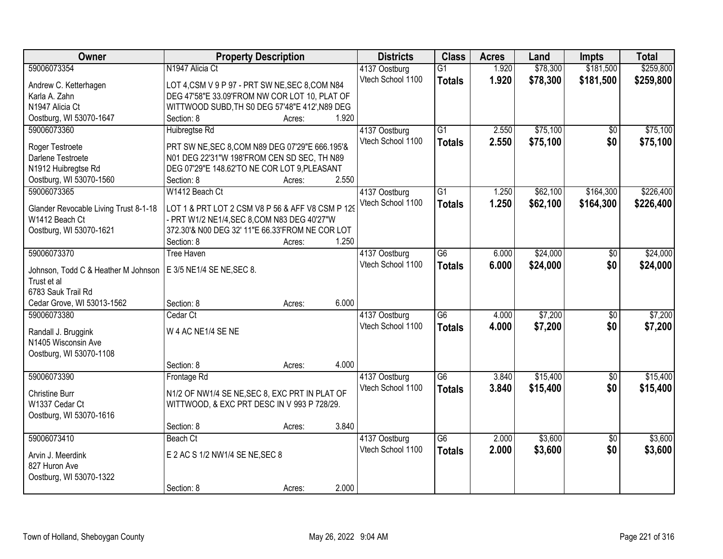| <b>Owner</b>                                   | <b>Property Description</b>                                |        |       | <b>Districts</b>                   | <b>Class</b>    | <b>Acres</b> | Land     | <b>Impts</b>    | <b>Total</b> |
|------------------------------------------------|------------------------------------------------------------|--------|-------|------------------------------------|-----------------|--------------|----------|-----------------|--------------|
| 59006073354                                    | N1947 Alicia Ct                                            |        |       | 4137 Oostburg                      | $\overline{G1}$ | 1.920        | \$78,300 | \$181,500       | \$259,800    |
| Andrew C. Ketterhagen                          | LOT 4, CSM V 9 P 97 - PRT SW NE, SEC 8, COM N84            |        |       | Vtech School 1100                  | <b>Totals</b>   | 1.920        | \$78,300 | \$181,500       | \$259,800    |
| Karla A. Zahn                                  | DEG 47'58"E 33.09'FROM NW COR LOT 10, PLAT OF              |        |       |                                    |                 |              |          |                 |              |
| N <sub>1947</sub> Alicia Ct                    | WITTWOOD SUBD, TH S0 DEG 57'48"E 412', N89 DEG             |        |       |                                    |                 |              |          |                 |              |
| Oostburg, WI 53070-1647                        | Section: 8                                                 | Acres: | 1.920 |                                    |                 |              |          |                 |              |
| 59006073360                                    | Huibregtse Rd                                              |        |       | 4137 Oostburg                      | $\overline{G1}$ | 2.550        | \$75,100 | \$0             | \$75,100     |
|                                                |                                                            |        |       | Vtech School 1100                  | <b>Totals</b>   | 2.550        | \$75,100 | \$0             | \$75,100     |
| Roger Testroete<br>Darlene Testroete           | PRT SW NE, SEC 8, COM N89 DEG 07'29"E 666.195'&            |        |       |                                    |                 |              |          |                 |              |
|                                                | N01 DEG 22'31"W 198'FROM CEN SD SEC, TH N89                |        |       |                                    |                 |              |          |                 |              |
| N1912 Huibregtse Rd<br>Oostburg, WI 53070-1560 | DEG 07'29"E 148.62'TO NE COR LOT 9, PLEASANT<br>Section: 8 |        | 2.550 |                                    |                 |              |          |                 |              |
| 59006073365                                    | W1412 Beach Ct                                             | Acres: |       |                                    | G1              | 1.250        | \$62,100 | \$164,300       | \$226,400    |
|                                                |                                                            |        |       | 4137 Oostburg<br>Vtech School 1100 |                 |              |          |                 |              |
| Glander Revocable Living Trust 8-1-18          | LOT 1 & PRT LOT 2 CSM V8 P 56 & AFF V8 CSM P 129           |        |       |                                    | <b>Totals</b>   | 1.250        | \$62,100 | \$164,300       | \$226,400    |
| W1412 Beach Ct                                 | - PRT W1/2 NE1/4, SEC 8, COM N83 DEG 40'27"W               |        |       |                                    |                 |              |          |                 |              |
| Oostburg, WI 53070-1621                        | 372.30'& N00 DEG 32' 11"E 66.33'FROM NE COR LOT            |        |       |                                    |                 |              |          |                 |              |
|                                                | Section: 8                                                 | Acres: | 1.250 |                                    |                 |              |          |                 |              |
| 59006073370                                    | <b>Tree Haven</b>                                          |        |       | 4137 Oostburg                      | G <sub>6</sub>  | 6.000        | \$24,000 | \$0             | \$24,000     |
| Johnson, Todd C & Heather M Johnson            | E 3/5 NE1/4 SE NE, SEC 8.                                  |        |       | Vtech School 1100                  | <b>Totals</b>   | 6.000        | \$24,000 | \$0             | \$24,000     |
| Trust et al                                    |                                                            |        |       |                                    |                 |              |          |                 |              |
| 6783 Sauk Trail Rd                             |                                                            |        |       |                                    |                 |              |          |                 |              |
| Cedar Grove, WI 53013-1562                     | Section: 8                                                 | Acres: | 6.000 |                                    |                 |              |          |                 |              |
| 59006073380                                    | Cedar Ct                                                   |        |       | 4137 Oostburg                      | $\overline{G6}$ | 4.000        | \$7,200  | $\overline{50}$ | \$7,200      |
|                                                |                                                            |        |       | Vtech School 1100                  | <b>Totals</b>   | 4.000        | \$7,200  | \$0             | \$7,200      |
| Randall J. Bruggink                            | W 4 AC NE1/4 SE NE                                         |        |       |                                    |                 |              |          |                 |              |
| N1405 Wisconsin Ave                            |                                                            |        |       |                                    |                 |              |          |                 |              |
| Oostburg, WI 53070-1108                        |                                                            |        |       |                                    |                 |              |          |                 |              |
|                                                | Section: 8                                                 | Acres: | 4.000 |                                    |                 |              |          |                 |              |
| 59006073390                                    | Frontage Rd                                                |        |       | 4137 Oostburg                      | $\overline{G6}$ | 3.840        | \$15,400 | $\sqrt{6}$      | \$15,400     |
| <b>Christine Burr</b>                          | N1/2 OF NW1/4 SE NE, SEC 8, EXC PRT IN PLAT OF             |        |       | Vtech School 1100                  | <b>Totals</b>   | 3.840        | \$15,400 | \$0             | \$15,400     |
| W1337 Cedar Ct                                 | WITTWOOD, & EXC PRT DESC IN V 993 P 728/29.                |        |       |                                    |                 |              |          |                 |              |
| Oostburg, WI 53070-1616                        |                                                            |        |       |                                    |                 |              |          |                 |              |
|                                                | Section: 8                                                 | Acres: | 3.840 |                                    |                 |              |          |                 |              |
| 59006073410                                    | Beach Ct                                                   |        |       | 4137 Oostburg                      | $\overline{G6}$ | 2.000        | \$3,600  | $\overline{50}$ | \$3,600      |
|                                                |                                                            |        |       | Vtech School 1100                  | <b>Totals</b>   | 2.000        | \$3,600  | \$0             | \$3,600      |
| Arvin J. Meerdink                              | E 2 AC S 1/2 NW1/4 SE NE, SEC 8                            |        |       |                                    |                 |              |          |                 |              |
| 827 Huron Ave                                  |                                                            |        |       |                                    |                 |              |          |                 |              |
| Oostburg, WI 53070-1322                        |                                                            |        |       |                                    |                 |              |          |                 |              |
|                                                | Section: 8                                                 | Acres: | 2.000 |                                    |                 |              |          |                 |              |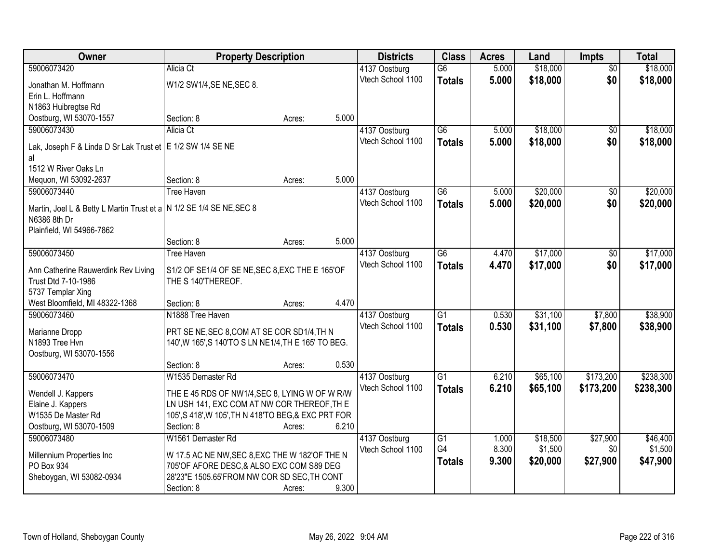| Owner                                                                                | <b>Property Description</b>                          |       | <b>Districts</b>  | <b>Class</b>    | <b>Acres</b> | Land     | Impts           | <b>Total</b> |
|--------------------------------------------------------------------------------------|------------------------------------------------------|-------|-------------------|-----------------|--------------|----------|-----------------|--------------|
| 59006073420                                                                          | Alicia Ct                                            |       | 4137 Oostburg     | $\overline{G6}$ | 5.000        | \$18,000 | $\overline{50}$ | \$18,000     |
| Jonathan M. Hoffmann                                                                 | W1/2 SW1/4, SE NE, SEC 8.                            |       | Vtech School 1100 | <b>Totals</b>   | 5.000        | \$18,000 | \$0             | \$18,000     |
| Erin L. Hoffmann                                                                     |                                                      |       |                   |                 |              |          |                 |              |
| N1863 Huibregtse Rd                                                                  |                                                      |       |                   |                 |              |          |                 |              |
| Oostburg, WI 53070-1557                                                              | Section: 8<br>Acres:                                 | 5.000 |                   |                 |              |          |                 |              |
| 59006073430                                                                          | Alicia Ct                                            |       | 4137 Oostburg     | $\overline{G6}$ | 5.000        | \$18,000 | \$0             | \$18,000     |
| Lak, Joseph F & Linda D Sr Lak Trust et   E 1/2 SW 1/4 SE NE                         |                                                      |       | Vtech School 1100 | <b>Totals</b>   | 5.000        | \$18,000 | \$0             | \$18,000     |
| al                                                                                   |                                                      |       |                   |                 |              |          |                 |              |
| 1512 W River Oaks Ln                                                                 |                                                      |       |                   |                 |              |          |                 |              |
| Mequon, WI 53092-2637                                                                | Section: 8<br>Acres:                                 | 5.000 |                   |                 |              |          |                 |              |
| 59006073440                                                                          | <b>Tree Haven</b>                                    |       | 4137 Oostburg     | $\overline{G6}$ | 5.000        | \$20,000 | $\overline{50}$ | \$20,000     |
|                                                                                      |                                                      |       | Vtech School 1100 | <b>Totals</b>   | 5.000        | \$20,000 | \$0             | \$20,000     |
| Martin, Joel L & Betty L Martin Trust et a N 1/2 SE 1/4 SE NE, SEC 8<br>N6386 8th Dr |                                                      |       |                   |                 |              |          |                 |              |
| Plainfield, WI 54966-7862                                                            |                                                      |       |                   |                 |              |          |                 |              |
|                                                                                      | Section: 8<br>Acres:                                 | 5.000 |                   |                 |              |          |                 |              |
| 59006073450                                                                          | <b>Tree Haven</b>                                    |       | 4137 Oostburg     | $\overline{G6}$ | 4.470        | \$17,000 | \$0             | \$17,000     |
|                                                                                      |                                                      |       | Vtech School 1100 | <b>Totals</b>   | 4.470        | \$17,000 | \$0             | \$17,000     |
| Ann Catherine Rauwerdink Rev Living                                                  | S1/2 OF SE1/4 OF SE NE, SEC 8, EXC THE E 165'OF      |       |                   |                 |              |          |                 |              |
| Trust Dtd 7-10-1986                                                                  | THE S 140'THEREOF.                                   |       |                   |                 |              |          |                 |              |
| 5737 Templar Xing<br>West Bloomfield, MI 48322-1368                                  | Section: 8<br>Acres:                                 | 4.470 |                   |                 |              |          |                 |              |
| 59006073460                                                                          | N1888 Tree Haven                                     |       | 4137 Oostburg     | $\overline{G1}$ | 0.530        | \$31,100 | \$7,800         | \$38,900     |
|                                                                                      |                                                      |       | Vtech School 1100 | <b>Totals</b>   | 0.530        | \$31,100 | \$7,800         | \$38,900     |
| Marianne Dropp                                                                       | PRT SE NE, SEC 8, COM AT SE COR SD1/4, TH N          |       |                   |                 |              |          |                 |              |
| N1893 Tree Hvn                                                                       | 140', W 165', S 140'TO S LN NE1/4, TH E 165' TO BEG. |       |                   |                 |              |          |                 |              |
| Oostburg, WI 53070-1556                                                              |                                                      |       |                   |                 |              |          |                 |              |
|                                                                                      | Section: 8<br>Acres:                                 | 0.530 |                   |                 |              |          |                 |              |
| 59006073470                                                                          | W1535 Demaster Rd                                    |       | 4137 Oostburg     | $\overline{G1}$ | 6.210        | \$65,100 | \$173,200       | \$238,300    |
| Wendell J. Kappers                                                                   | THE E 45 RDS OF NW1/4, SEC 8, LYING W OF W R/W       |       | Vtech School 1100 | <b>Totals</b>   | 6.210        | \$65,100 | \$173,200       | \$238,300    |
| Elaine J. Kappers                                                                    | LN USH 141, EXC COM AT NW COR THEREOF, TH E          |       |                   |                 |              |          |                 |              |
| W1535 De Master Rd                                                                   | 105', S 418', W 105', TH N 418'TO BEG, & EXC PRT FOR |       |                   |                 |              |          |                 |              |
| Oostburg, WI 53070-1509                                                              | Section: 8<br>Acres:                                 | 6.210 |                   |                 |              |          |                 |              |
| 59006073480                                                                          | W1561 Demaster Rd                                    |       | 4137 Oostburg     | $\overline{G1}$ | 1.000        | \$18,500 | \$27,900        | \$46,400     |
| Millennium Properties Inc                                                            | W 17.5 AC NE NW, SEC 8, EXC THE W 182'OF THE N       |       | Vtech School 1100 | G4              | 8.300        | \$1,500  | \$0             | \$1,500      |
| PO Box 934                                                                           | 705'OF AFORE DESC, & ALSO EXC COM S89 DEG            |       |                   | <b>Totals</b>   | 9.300        | \$20,000 | \$27,900        | \$47,900     |
| Sheboygan, WI 53082-0934                                                             | 28'23"E 1505.65'FROM NW COR SD SEC, TH CONT          |       |                   |                 |              |          |                 |              |
|                                                                                      | Section: 8<br>Acres:                                 | 9.300 |                   |                 |              |          |                 |              |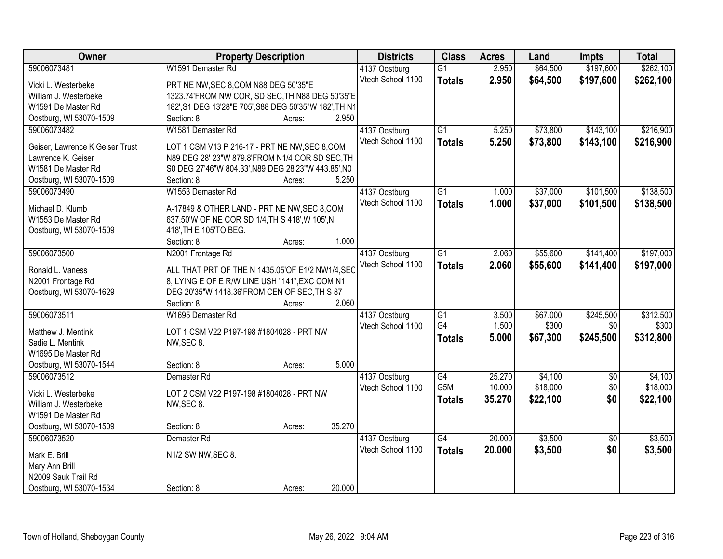| Owner                           | <b>Property Description</b>                            | <b>Districts</b>  | <b>Class</b>    | <b>Acres</b>     | Land                | <b>Impts</b>           | <b>Total</b>        |
|---------------------------------|--------------------------------------------------------|-------------------|-----------------|------------------|---------------------|------------------------|---------------------|
| 59006073481                     | W1591 Demaster Rd                                      | 4137 Oostburg     | $\overline{G1}$ | 2.950            | \$64,500            | \$197,600              | \$262,100           |
| Vicki L. Westerbeke             | PRT NE NW, SEC 8, COM N88 DEG 50'35"E                  | Vtech School 1100 | <b>Totals</b>   | 2.950            | \$64,500            | \$197,600              | \$262,100           |
| William J. Westerbeke           | 1323.74'FROM NW COR, SD SEC, TH N88 DEG 50'35"E        |                   |                 |                  |                     |                        |                     |
| W1591 De Master Rd              | 182', S1 DEG 13'28"E 705', S88 DEG 50'35"W 182', TH N1 |                   |                 |                  |                     |                        |                     |
| Oostburg, WI 53070-1509         | 2.950<br>Section: 8<br>Acres:                          |                   |                 |                  |                     |                        |                     |
| 59006073482                     | W1581 Demaster Rd                                      | 4137 Oostburg     | $\overline{G1}$ | 5.250            | \$73,800            | \$143,100              | \$216,900           |
|                                 |                                                        | Vtech School 1100 | <b>Totals</b>   | 5.250            | \$73,800            | \$143,100              | \$216,900           |
| Geiser, Lawrence K Geiser Trust | LOT 1 CSM V13 P 216-17 - PRT NE NW, SEC 8, COM         |                   |                 |                  |                     |                        |                     |
| Lawrence K. Geiser              | N89 DEG 28' 23"W 879.8'FROM N1/4 COR SD SEC, TH        |                   |                 |                  |                     |                        |                     |
| W1581 De Master Rd              | S0 DEG 27'46"W 804.33', N89 DEG 28'23"W 443.85', N0    |                   |                 |                  |                     |                        |                     |
| Oostburg, WI 53070-1509         | 5.250<br>Section: 8<br>Acres:                          |                   |                 |                  |                     |                        |                     |
| 59006073490                     | W1553 Demaster Rd                                      | 4137 Oostburg     | G1              | 1.000            | \$37,000            | \$101,500              | \$138,500           |
| Michael D. Klumb                | A-17849 & OTHER LAND - PRT NE NW, SEC 8, COM           | Vtech School 1100 | <b>Totals</b>   | 1.000            | \$37,000            | \$101,500              | \$138,500           |
| W1553 De Master Rd              | 637.50'W OF NE COR SD 1/4, TH S 418', W 105', N        |                   |                 |                  |                     |                        |                     |
| Oostburg, WI 53070-1509         | 418', TH E 105'TO BEG.                                 |                   |                 |                  |                     |                        |                     |
|                                 | 1.000<br>Section: 8<br>Acres:                          |                   |                 |                  |                     |                        |                     |
| 59006073500                     | N2001 Frontage Rd                                      | 4137 Oostburg     | $\overline{G1}$ | 2.060            | \$55,600            | \$141,400              | \$197,000           |
|                                 |                                                        | Vtech School 1100 | <b>Totals</b>   | 2.060            | \$55,600            | \$141,400              | \$197,000           |
| Ronald L. Vaness                | ALL THAT PRT OF THE N 1435.05'OF E1/2 NW1/4, SEC       |                   |                 |                  |                     |                        |                     |
| N2001 Frontage Rd               | 8, LYING E OF E R/W LINE USH "141", EXC COM N1         |                   |                 |                  |                     |                        |                     |
| Oostburg, WI 53070-1629         | DEG 20'35"W 1418.36'FROM CEN OF SEC, TH S 87           |                   |                 |                  |                     |                        |                     |
|                                 | 2.060<br>Section: 8<br>Acres:                          |                   |                 |                  |                     |                        |                     |
| 59006073511                     | W1695 Demaster Rd                                      | 4137 Oostburg     | $\overline{G1}$ | 3.500            | \$67,000            | \$245,500              | \$312,500           |
| Matthew J. Mentink              | LOT 1 CSM V22 P197-198 #1804028 - PRT NW               | Vtech School 1100 | G4              | 1.500            | \$300               | \$0                    | \$300               |
| Sadie L. Mentink                | NW, SEC 8.                                             |                   | <b>Totals</b>   | 5.000            | \$67,300            | \$245,500              | \$312,800           |
| W1695 De Master Rd              |                                                        |                   |                 |                  |                     |                        |                     |
| Oostburg, WI 53070-1544         | 5.000<br>Section: 8                                    |                   |                 |                  |                     |                        |                     |
| 59006073512                     | Acres:                                                 |                   | G4              |                  |                     |                        |                     |
|                                 | Demaster <sub>Rd</sub>                                 | 4137 Oostburg     | G5M             | 25.270<br>10.000 | \$4,100<br>\$18,000 | $\overline{50}$<br>\$0 | \$4,100<br>\$18,000 |
| Vicki L. Westerbeke             | LOT 2 CSM V22 P197-198 #1804028 - PRT NW               | Vtech School 1100 |                 |                  |                     |                        |                     |
| William J. Westerbeke           | NW, SEC 8.                                             |                   | <b>Totals</b>   | 35.270           | \$22,100            | \$0                    | \$22,100            |
| W1591 De Master Rd              |                                                        |                   |                 |                  |                     |                        |                     |
| Oostburg, WI 53070-1509         | 35.270<br>Section: 8<br>Acres:                         |                   |                 |                  |                     |                        |                     |
| 59006073520                     | Demaster Rd                                            | 4137 Oostburg     | $\overline{G4}$ | 20.000           | \$3,500             | $\overline{50}$        | \$3,500             |
|                                 |                                                        | Vtech School 1100 | <b>Totals</b>   | 20.000           | \$3,500             | \$0                    | \$3,500             |
| Mark E. Brill                   | N1/2 SW NW, SEC 8.                                     |                   |                 |                  |                     |                        |                     |
| Mary Ann Brill                  |                                                        |                   |                 |                  |                     |                        |                     |
| N2009 Sauk Trail Rd             |                                                        |                   |                 |                  |                     |                        |                     |
| Oostburg, WI 53070-1534         | 20.000<br>Section: 8<br>Acres:                         |                   |                 |                  |                     |                        |                     |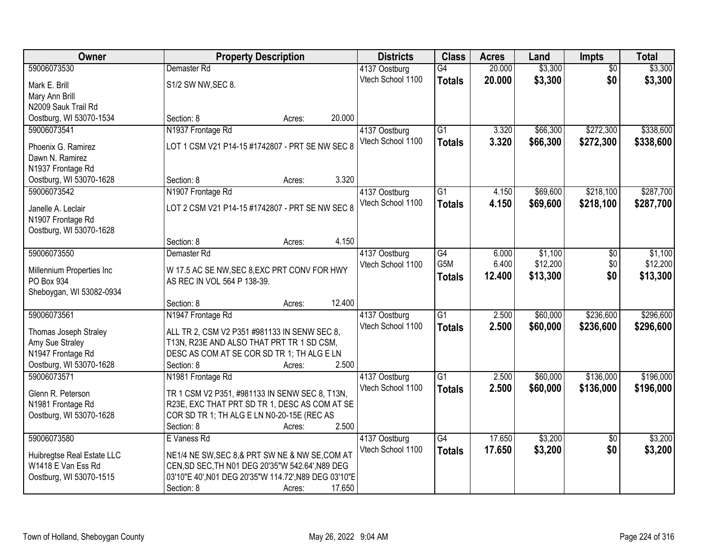| Owner                                   | <b>Property Description</b>                                                             |        | <b>Districts</b>                   | <b>Class</b>    | <b>Acres</b> | Land     | Impts           | <b>Total</b> |
|-----------------------------------------|-----------------------------------------------------------------------------------------|--------|------------------------------------|-----------------|--------------|----------|-----------------|--------------|
| 59006073530                             | Demaster Rd                                                                             |        | 4137 Oostburg                      | G4              | 20.000       | \$3,300  | $\overline{50}$ | \$3,300      |
| Mark E. Brill                           | S1/2 SW NW, SEC 8.                                                                      |        | Vtech School 1100                  | <b>Totals</b>   | 20.000       | \$3,300  | \$0             | \$3,300      |
| Mary Ann Brill                          |                                                                                         |        |                                    |                 |              |          |                 |              |
| N2009 Sauk Trail Rd                     |                                                                                         |        |                                    |                 |              |          |                 |              |
| Oostburg, WI 53070-1534                 | Section: 8<br>Acres:                                                                    | 20.000 |                                    |                 |              |          |                 |              |
| 59006073541                             | N1937 Frontage Rd                                                                       |        | 4137 Oostburg                      | $\overline{G1}$ | 3.320        | \$66,300 | \$272,300       | \$338,600    |
| Phoenix G. Ramirez                      | LOT 1 CSM V21 P14-15 #1742807 - PRT SE NW SEC 8                                         |        | Vtech School 1100                  | <b>Totals</b>   | 3.320        | \$66,300 | \$272,300       | \$338,600    |
| Dawn N. Ramirez                         |                                                                                         |        |                                    |                 |              |          |                 |              |
| N1937 Frontage Rd                       |                                                                                         |        |                                    |                 |              |          |                 |              |
| Oostburg, WI 53070-1628                 | Section: 8<br>Acres:                                                                    | 3.320  |                                    |                 |              |          |                 |              |
| 59006073542                             | N1907 Frontage Rd                                                                       |        | 4137 Oostburg                      | $\overline{G1}$ | 4.150        | \$69,600 | \$218,100       | \$287,700    |
| Janelle A. Leclair                      | LOT 2 CSM V21 P14-15 #1742807 - PRT SE NW SEC 8                                         |        | Vtech School 1100                  | <b>Totals</b>   | 4.150        | \$69,600 | \$218,100       | \$287,700    |
| N1907 Frontage Rd                       |                                                                                         |        |                                    |                 |              |          |                 |              |
| Oostburg, WI 53070-1628                 |                                                                                         |        |                                    |                 |              |          |                 |              |
|                                         | Section: 8<br>Acres:                                                                    | 4.150  |                                    |                 |              |          |                 |              |
| 59006073550                             | Demaster Rd                                                                             |        | 4137 Oostburg                      | G4              | 6.000        | \$1,100  | $\frac{1}{20}$  | \$1,100      |
|                                         |                                                                                         |        | Vtech School 1100                  | G5M             | 6.400        | \$12,200 | \$0             | \$12,200     |
| Millennium Properties Inc<br>PO Box 934 | W 17.5 AC SE NW, SEC 8, EXC PRT CONV FOR HWY<br>AS REC IN VOL 564 P 138-39.             |        |                                    | <b>Totals</b>   | 12.400       | \$13,300 | \$0             | \$13,300     |
| Sheboygan, WI 53082-0934                |                                                                                         |        |                                    |                 |              |          |                 |              |
|                                         | Section: 8<br>Acres:                                                                    | 12.400 |                                    |                 |              |          |                 |              |
| 59006073561                             | N1947 Frontage Rd                                                                       |        | 4137 Oostburg                      | $\overline{G1}$ | 2.500        | \$60,000 | \$236,600       | \$296,600    |
|                                         |                                                                                         |        | Vtech School 1100                  | <b>Totals</b>   | 2.500        | \$60,000 | \$236,600       | \$296,600    |
| Thomas Joseph Straley                   | ALL TR 2, CSM V2 P351 #981133 IN SENW SEC 8,                                            |        |                                    |                 |              |          |                 |              |
| Amy Sue Straley<br>N1947 Frontage Rd    | T13N, R23E AND ALSO THAT PRT TR 1 SD CSM,<br>DESC AS COM AT SE COR SD TR 1; TH ALG E LN |        |                                    |                 |              |          |                 |              |
| Oostburg, WI 53070-1628                 | Section: 8<br>Acres:                                                                    | 2.500  |                                    |                 |              |          |                 |              |
| 59006073571                             | N1981 Frontage Rd                                                                       |        | 4137 Oostburg                      | G1              | 2.500        | \$60,000 | \$136,000       | \$196,000    |
|                                         |                                                                                         |        | Vtech School 1100                  | <b>Totals</b>   | 2.500        | \$60,000 | \$136,000       | \$196,000    |
| Glenn R. Peterson                       | TR 1 CSM V2 P351, #981133 IN SENW SEC 8, T13N,                                          |        |                                    |                 |              |          |                 |              |
| N1981 Frontage Rd                       | R23E, EXC THAT PRT SD TR 1, DESC AS COM AT SE                                           |        |                                    |                 |              |          |                 |              |
| Oostburg, WI 53070-1628                 | COR SD TR 1; TH ALG E LN N0-20-15E (REC AS<br>Section: 8                                | 2.500  |                                    |                 |              |          |                 |              |
| 59006073580                             | Acres:<br>E Vaness Rd                                                                   |        |                                    | $\overline{G4}$ | 17.650       | \$3,200  | $\overline{50}$ | \$3,200      |
|                                         |                                                                                         |        | 4137 Oostburg<br>Vtech School 1100 |                 | 17.650       | \$3,200  | \$0             | \$3,200      |
| Huibregtse Real Estate LLC              | NE1/4 NE SW, SEC 8,& PRT SW NE & NW SE, COM AT                                          |        |                                    | <b>Totals</b>   |              |          |                 |              |
| W1418 E Van Ess Rd                      | CEN, SD SEC, TH N01 DEG 20'35"W 542.64', N89 DEG                                        |        |                                    |                 |              |          |                 |              |
| Oostburg, WI 53070-1515                 | 03'10"E 40', N01 DEG 20'35"W 114.72', N89 DEG 03'10"E                                   |        |                                    |                 |              |          |                 |              |
|                                         | Section: 8<br>Acres:                                                                    | 17.650 |                                    |                 |              |          |                 |              |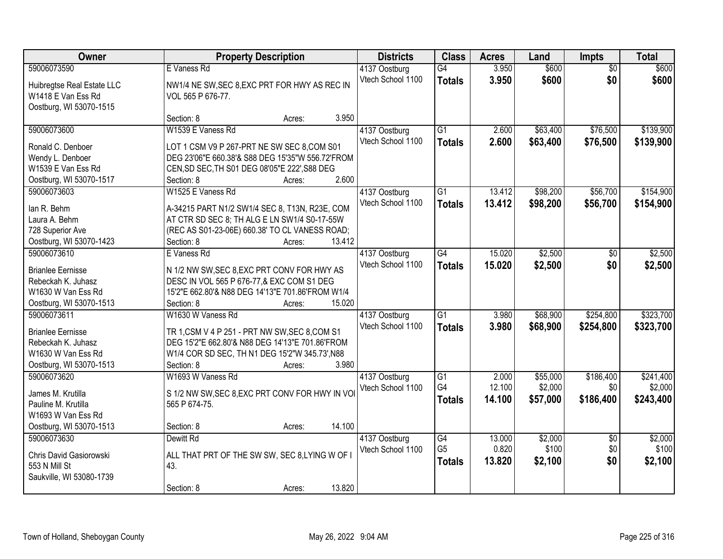| Owner                                  | <b>Property Description</b>                                  |                  | <b>Districts</b>  | <b>Class</b>    | <b>Acres</b> | Land     | Impts           | <b>Total</b> |
|----------------------------------------|--------------------------------------------------------------|------------------|-------------------|-----------------|--------------|----------|-----------------|--------------|
| 59006073590                            | E Vaness Rd                                                  |                  | 4137 Oostburg     | $\overline{G4}$ | 3.950        | \$600    | $\overline{50}$ | \$600        |
| Huibregtse Real Estate LLC             | NW1/4 NE SW, SEC 8, EXC PRT FOR HWY AS REC IN                |                  | Vtech School 1100 | <b>Totals</b>   | 3.950        | \$600    | \$0             | \$600        |
| W1418 E Van Ess Rd                     | VOL 565 P 676-77.                                            |                  |                   |                 |              |          |                 |              |
| Oostburg, WI 53070-1515                |                                                              |                  |                   |                 |              |          |                 |              |
|                                        | Section: 8                                                   | 3.950<br>Acres:  |                   |                 |              |          |                 |              |
| 59006073600                            | W1539 E Vaness Rd                                            |                  | 4137 Oostburg     | $\overline{G1}$ | 2.600        | \$63,400 | \$76,500        | \$139,900    |
| Ronald C. Denboer                      | LOT 1 CSM V9 P 267-PRT NE SW SEC 8, COM S01                  |                  | Vtech School 1100 | <b>Totals</b>   | 2.600        | \$63,400 | \$76,500        | \$139,900    |
| Wendy L. Denboer                       | DEG 23'06"E 660.38'& S88 DEG 15'35"W 556.72'FROM             |                  |                   |                 |              |          |                 |              |
| W1539 E Van Ess Rd                     | CEN, SD SEC, TH S01 DEG 08'05"E 222', S88 DEG                |                  |                   |                 |              |          |                 |              |
| Oostburg, WI 53070-1517                | Section: 8                                                   | 2.600<br>Acres:  |                   |                 |              |          |                 |              |
| 59006073603                            | W1525 E Vaness Rd                                            |                  | 4137 Oostburg     | $\overline{G1}$ | 13.412       | \$98,200 | \$56,700        | \$154,900    |
|                                        |                                                              |                  | Vtech School 1100 | <b>Totals</b>   | 13.412       | \$98,200 | \$56,700        | \$154,900    |
| lan R. Behm                            | A-34215 PART N1/2 SW1/4 SEC 8, T13N, R23E, COM               |                  |                   |                 |              |          |                 |              |
| Laura A. Behm                          | AT CTR SD SEC 8; TH ALG E LN SW1/4 S0-17-55W                 |                  |                   |                 |              |          |                 |              |
| 728 Superior Ave                       | (REC AS S01-23-06E) 660.38' TO CL VANESS ROAD;<br>Section: 8 | 13.412           |                   |                 |              |          |                 |              |
| Oostburg, WI 53070-1423<br>59006073610 | E Vaness Rd                                                  | Acres:           | 4137 Oostburg     | $\overline{G4}$ | 15.020       | \$2,500  | \$0             | \$2,500      |
|                                        |                                                              |                  | Vtech School 1100 |                 |              |          |                 |              |
| <b>Brianlee Eernisse</b>               | N 1/2 NW SW, SEC 8, EXC PRT CONV FOR HWY AS                  |                  |                   | <b>Totals</b>   | 15.020       | \$2,500  | \$0             | \$2,500      |
| Rebeckah K. Juhasz                     | DESC IN VOL 565 P 676-77,& EXC COM S1 DEG                    |                  |                   |                 |              |          |                 |              |
| W1630 W Van Ess Rd                     | 15'2"E 662.80'& N88 DEG 14'13"E 701.86'FROM W1/4             |                  |                   |                 |              |          |                 |              |
| Oostburg, WI 53070-1513                | Section: 8                                                   | 15.020<br>Acres: |                   |                 |              |          |                 |              |
| 59006073611                            | W1630 W Vaness Rd                                            |                  | 4137 Oostburg     | $\overline{G1}$ | 3.980        | \$68,900 | \$254,800       | \$323,700    |
| <b>Brianlee Eernisse</b>               | TR 1, CSM V 4 P 251 - PRT NW SW, SEC 8, COM S1               |                  | Vtech School 1100 | <b>Totals</b>   | 3.980        | \$68,900 | \$254,800       | \$323,700    |
| Rebeckah K. Juhasz                     | DEG 15'2"E 662.80'& N88 DEG 14'13"E 701.86'FROM              |                  |                   |                 |              |          |                 |              |
| W1630 W Van Ess Rd                     | W1/4 COR SD SEC, TH N1 DEG 15'2"W 345.73', N88               |                  |                   |                 |              |          |                 |              |
| Oostburg, WI 53070-1513                | Section: 8                                                   | 3.980<br>Acres:  |                   |                 |              |          |                 |              |
| 59006073620                            | W1693 W Vaness Rd                                            |                  | 4137 Oostburg     | $\overline{G1}$ | 2.000        | \$55,000 | \$186,400       | \$241,400    |
| James M. Krutilla                      | S 1/2 NW SW, SEC 8, EXC PRT CONV FOR HWY IN VOI              |                  | Vtech School 1100 | G4              | 12.100       | \$2,000  | \$0             | \$2,000      |
| Pauline M. Krutilla                    | 565 P 674-75.                                                |                  |                   | <b>Totals</b>   | 14.100       | \$57,000 | \$186,400       | \$243,400    |
| W1693 W Van Ess Rd                     |                                                              |                  |                   |                 |              |          |                 |              |
| Oostburg, WI 53070-1513                | Section: 8                                                   | 14.100<br>Acres: |                   |                 |              |          |                 |              |
| 59006073630                            | Dewitt Rd                                                    |                  | 4137 Oostburg     | $\overline{G4}$ | 13.000       | \$2,000  | $\overline{50}$ | \$2,000      |
|                                        |                                                              |                  | Vtech School 1100 | G <sub>5</sub>  | 0.820        | \$100    | \$0             | \$100        |
| Chris David Gasiorowski                | ALL THAT PRT OF THE SW SW, SEC 8,LYING W OF I                |                  |                   | <b>Totals</b>   | 13.820       | \$2,100  | \$0             | \$2,100      |
| 553 N Mill St                          | 43.                                                          |                  |                   |                 |              |          |                 |              |
| Saukville, WI 53080-1739               |                                                              |                  |                   |                 |              |          |                 |              |
|                                        | Section: 8                                                   | 13.820<br>Acres: |                   |                 |              |          |                 |              |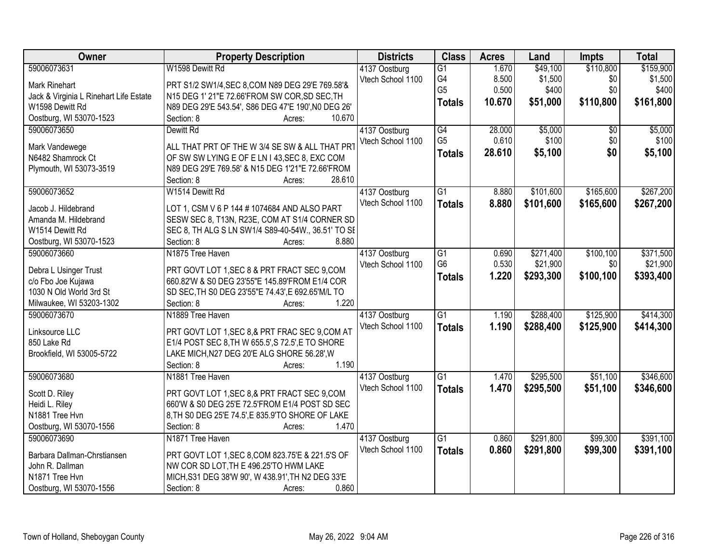| Owner                                  | <b>Property Description</b>                         | <b>Districts</b>  | <b>Class</b>    | <b>Acres</b> | Land      | <b>Impts</b>    | <b>Total</b> |
|----------------------------------------|-----------------------------------------------------|-------------------|-----------------|--------------|-----------|-----------------|--------------|
| 59006073631                            | W1598 Dewitt Rd                                     | 4137 Oostburg     | $\overline{G1}$ | 1.670        | \$49,100  | \$110,800       | \$159,900    |
| <b>Mark Rinehart</b>                   | PRT S1/2 SW1/4, SEC 8, COM N89 DEG 29'E 769.58'&    | Vtech School 1100 | G4              | 8.500        | \$1,500   | \$0             | \$1,500      |
| Jack & Virginia L Rinehart Life Estate | N15 DEG 1' 21"E 72.66'FROM SW COR, SD SEC, TH       |                   | G <sub>5</sub>  | 0.500        | \$400     | \$0             | \$400        |
| W1598 Dewitt Rd                        | N89 DEG 29'E 543.54', S86 DEG 47'E 190', N0 DEG 26' |                   | <b>Totals</b>   | 10.670       | \$51,000  | \$110,800       | \$161,800    |
| Oostburg, WI 53070-1523                | Section: 8<br>10.670<br>Acres:                      |                   |                 |              |           |                 |              |
| 59006073650                            | Dewitt Rd                                           | 4137 Oostburg     | G4              | 28,000       | \$5,000   | $\overline{30}$ | \$5,000      |
|                                        |                                                     | Vtech School 1100 | G <sub>5</sub>  | 0.610        | \$100     | \$0             | \$100        |
| Mark Vandewege                         | ALL THAT PRT OF THE W 3/4 SE SW & ALL THAT PRT      |                   | <b>Totals</b>   | 28.610       | \$5,100   | \$0             | \$5,100      |
| N6482 Shamrock Ct                      | OF SW SW LYING E OF E LN I 43, SEC 8, EXC COM       |                   |                 |              |           |                 |              |
| Plymouth, WI 53073-3519                | N89 DEG 29'E 769.58' & N15 DEG 1'21"E 72.66'FROM    |                   |                 |              |           |                 |              |
|                                        | 28.610<br>Section: 8<br>Acres:                      |                   |                 |              |           |                 |              |
| 59006073652                            | W1514 Dewitt Rd                                     | 4137 Oostburg     | G1              | 8.880        | \$101,600 | \$165,600       | \$267,200    |
| Jacob J. Hildebrand                    | LOT 1, CSM V 6 P 144 # 1074684 AND ALSO PART        | Vtech School 1100 | <b>Totals</b>   | 8.880        | \$101,600 | \$165,600       | \$267,200    |
| Amanda M. Hildebrand                   | SESW SEC 8, T13N, R23E, COM AT S1/4 CORNER SD       |                   |                 |              |           |                 |              |
| W1514 Dewitt Rd                        | SEC 8, TH ALG S LN SW1/4 S89-40-54W., 36.51' TO SE  |                   |                 |              |           |                 |              |
| Oostburg, WI 53070-1523                | 8.880<br>Section: 8<br>Acres:                       |                   |                 |              |           |                 |              |
| 59006073660                            | N1875 Tree Haven                                    | 4137 Oostburg     | G1              | 0.690        | \$271,400 | \$100,100       | \$371,500    |
|                                        |                                                     | Vtech School 1100 | G <sub>6</sub>  | 0.530        | \$21,900  | \$0             | \$21,900     |
| Debra L Usinger Trust                  | PRT GOVT LOT 1, SEC 8 & PRT FRACT SEC 9, COM        |                   | <b>Totals</b>   | 1.220        | \$293,300 | \$100,100       | \$393,400    |
| c/o Fbo Joe Kujawa                     | 660.82'W & S0 DEG 23'55"E 145.89'FROM E1/4 COR      |                   |                 |              |           |                 |              |
| 1030 N Old World 3rd St                | SD SEC, TH S0 DEG 23'55"E 74.43', E 692.65'M/L TO   |                   |                 |              |           |                 |              |
| Milwaukee, WI 53203-1302               | 1.220<br>Section: 8<br>Acres:                       |                   |                 |              |           |                 |              |
| 59006073670                            | N1889 Tree Haven                                    | 4137 Oostburg     | $\overline{G1}$ | 1.190        | \$288,400 | \$125,900       | \$414,300    |
| Linksource LLC                         | PRT GOVT LOT 1, SEC 8.& PRT FRAC SEC 9, COM AT      | Vtech School 1100 | <b>Totals</b>   | 1.190        | \$288,400 | \$125,900       | \$414,300    |
| 850 Lake Rd                            | E1/4 POST SEC 8, TH W 655.5', S 72.5', E TO SHORE   |                   |                 |              |           |                 |              |
| Brookfield, WI 53005-5722              | LAKE MICH, N27 DEG 20'E ALG SHORE 56.28', W         |                   |                 |              |           |                 |              |
|                                        | 1.190<br>Section: 8<br>Acres:                       |                   |                 |              |           |                 |              |
| 59006073680                            | N1881 Tree Haven                                    | 4137 Oostburg     | $\overline{G1}$ | 1.470        | \$295,500 | \$51,100        | \$346,600    |
|                                        |                                                     | Vtech School 1100 | <b>Totals</b>   | 1.470        | \$295,500 | \$51,100        | \$346,600    |
| Scott D. Riley                         | PRT GOVT LOT 1, SEC 8, & PRT FRACT SEC 9, COM       |                   |                 |              |           |                 |              |
| Heidi L. Riley                         | 660'W & S0 DEG 25'E 72.5'FROM E1/4 POST SD SEC      |                   |                 |              |           |                 |              |
| N1881 Tree Hvn                         | 8, TH S0 DEG 25'E 74.5', E 835.9'TO SHORE OF LAKE   |                   |                 |              |           |                 |              |
| Oostburg, WI 53070-1556                | Section: 8<br>1.470<br>Acres:                       |                   |                 |              |           |                 |              |
| 59006073690                            | N1871 Tree Haven                                    | 4137 Oostburg     | $\overline{G1}$ | 0.860        | \$291,800 | \$99,300        | \$391,100    |
| Barbara Dallman-Chrstiansen            | PRT GOVT LOT 1, SEC 8, COM 823.75'E & 221.5'S OF    | Vtech School 1100 | <b>Totals</b>   | 0.860        | \$291,800 | \$99,300        | \$391,100    |
| John R. Dallman                        | NW COR SD LOT, TH E 496.25'TO HWM LAKE              |                   |                 |              |           |                 |              |
| N1871 Tree Hvn                         | MICH, S31 DEG 38'W 90', W 438.91', TH N2 DEG 33'E   |                   |                 |              |           |                 |              |
| Oostburg, WI 53070-1556                | Section: 8<br>0.860<br>Acres:                       |                   |                 |              |           |                 |              |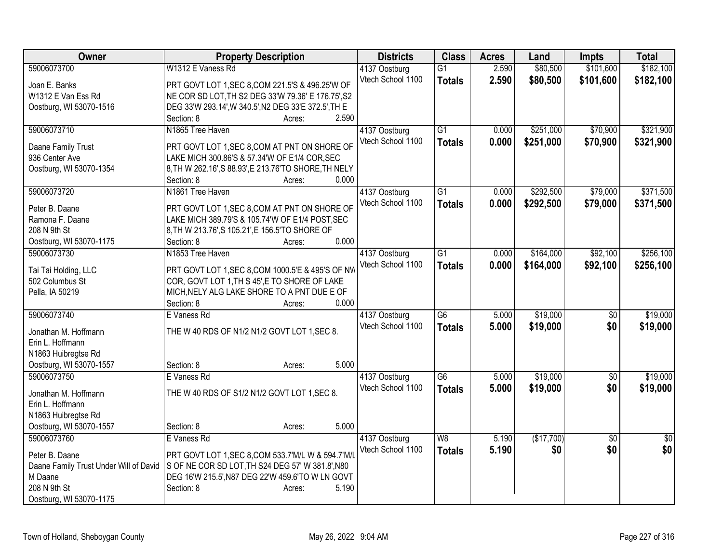| Owner                                    | <b>Property Description</b>                                             | <b>Districts</b>                   | <b>Class</b>    | <b>Acres</b> | Land       | <b>Impts</b>    | <b>Total</b>    |
|------------------------------------------|-------------------------------------------------------------------------|------------------------------------|-----------------|--------------|------------|-----------------|-----------------|
| 59006073700                              | W1312 E Vaness Rd                                                       | 4137 Oostburg                      | G1              | 2.590        | \$80,500   | \$101,600       | \$182,100       |
| Joan E. Banks                            | PRT GOVT LOT 1, SEC 8, COM 221.5'S & 496.25'W OF                        | Vtech School 1100                  | <b>Totals</b>   | 2.590        | \$80,500   | \$101,600       | \$182,100       |
| W1312 E Van Ess Rd                       | NE COR SD LOT, TH S2 DEG 33'W 79.36' E 176.75', S2                      |                                    |                 |              |            |                 |                 |
| Oostburg, WI 53070-1516                  | DEG 33'W 293.14', W 340.5', N2 DEG 33'E 372.5', TH E                    |                                    |                 |              |            |                 |                 |
|                                          | Section: 8<br>Acres:                                                    | 2.590                              |                 |              |            |                 |                 |
| 59006073710                              | N1865 Tree Haven                                                        | 4137 Oostburg                      | $\overline{G1}$ | 0.000        | \$251,000  | \$70,900        | \$321,900       |
| Daane Family Trust                       | PRT GOVT LOT 1, SEC 8, COM AT PNT ON SHORE OF                           | Vtech School 1100                  | <b>Totals</b>   | 0.000        | \$251,000  | \$70,900        | \$321,900       |
| 936 Center Ave                           | LAKE MICH 300.86'S & 57.34'W OF E1/4 COR, SEC                           |                                    |                 |              |            |                 |                 |
| Oostburg, WI 53070-1354                  | 8, TH W 262.16', S 88.93', E 213.76'TO SHORE, TH NELY                   |                                    |                 |              |            |                 |                 |
|                                          | Section: 8<br>Acres:                                                    | 0.000                              |                 |              |            |                 |                 |
| 59006073720                              | N1861 Tree Haven                                                        | 4137 Oostburg                      | $\overline{G1}$ | 0.000        | \$292,500  | \$79,000        | \$371,500       |
|                                          |                                                                         | Vtech School 1100                  | <b>Totals</b>   | 0.000        | \$292,500  | \$79,000        | \$371,500       |
| Peter B. Daane                           | PRT GOVT LOT 1, SEC 8, COM AT PNT ON SHORE OF                           |                                    |                 |              |            |                 |                 |
| Ramona F. Daane                          | LAKE MICH 389.79'S & 105.74'W OF E1/4 POST, SEC                         |                                    |                 |              |            |                 |                 |
| 208 N 9th St                             | 8, TH W 213.76', S 105.21', E 156.5'TO SHORE OF<br>Section: 8<br>Acres: | 0.000                              |                 |              |            |                 |                 |
| Oostburg, WI 53070-1175<br>59006073730   | N1853 Tree Haven                                                        |                                    | $\overline{G1}$ | 0.000        | \$164,000  | \$92,100        | \$256,100       |
|                                          |                                                                         | 4137 Oostburg<br>Vtech School 1100 |                 |              |            |                 |                 |
| Tai Tai Holding, LLC                     | PRT GOVT LOT 1, SEC 8, COM 1000.5'E & 495'S OF NW                       |                                    | <b>Totals</b>   | 0.000        | \$164,000  | \$92,100        | \$256,100       |
| 502 Columbus St                          | COR, GOVT LOT 1, TH S 45', E TO SHORE OF LAKE                           |                                    |                 |              |            |                 |                 |
| Pella, IA 50219                          | MICH, NELY ALG LAKE SHORE TO A PNT DUE E OF                             |                                    |                 |              |            |                 |                 |
|                                          | Section: 8<br>Acres:                                                    | 0.000                              |                 |              |            |                 |                 |
| 59006073740                              | E Vaness Rd                                                             | 4137 Oostburg                      | $\overline{G6}$ | 5.000        | \$19,000   | $\overline{50}$ | \$19,000        |
| Jonathan M. Hoffmann                     | THE W 40 RDS OF N1/2 N1/2 GOVT LOT 1, SEC 8.                            | Vtech School 1100                  | <b>Totals</b>   | 5.000        | \$19,000   | \$0             | \$19,000        |
| Erin L. Hoffmann                         |                                                                         |                                    |                 |              |            |                 |                 |
| N1863 Huibregtse Rd                      |                                                                         |                                    |                 |              |            |                 |                 |
| Oostburg, WI 53070-1557                  | Section: 8<br>Acres:                                                    | 5.000                              |                 |              |            |                 |                 |
| 59006073750                              | E Vaness Rd                                                             | 4137 Oostburg                      | G6              | 5.000        | \$19,000   | $\overline{50}$ | \$19,000        |
|                                          | THE W 40 RDS OF S1/2 N1/2 GOVT LOT 1, SEC 8.                            | Vtech School 1100                  | <b>Totals</b>   | 5.000        | \$19,000   | \$0             | \$19,000        |
| Jonathan M. Hoffmann<br>Erin L. Hoffmann |                                                                         |                                    |                 |              |            |                 |                 |
| N1863 Huibregtse Rd                      |                                                                         |                                    |                 |              |            |                 |                 |
| Oostburg, WI 53070-1557                  | Section: 8<br>Acres:                                                    | 5.000                              |                 |              |            |                 |                 |
| 59006073760                              | E Vaness Rd                                                             | 4137 Oostburg                      | W8              | 5.190        | (\$17,700) | $\overline{50}$ | $\overline{50}$ |
|                                          |                                                                         | Vtech School 1100                  | <b>Totals</b>   | 5.190        | \$0        | \$0             | \$0             |
| Peter B. Daane                           | PRT GOVT LOT 1, SEC 8, COM 533.7'M/L W & 594.7'M/L                      |                                    |                 |              |            |                 |                 |
| Daane Family Trust Under Will of David   | S OF NE COR SD LOT, TH S24 DEG 57' W 381.8', N80                        |                                    |                 |              |            |                 |                 |
| M Daane                                  | DEG 16'W 215.5', N87 DEG 22'W 459.6'TO W LN GOVT                        |                                    |                 |              |            |                 |                 |
| 208 N 9th St                             | Section: 8<br>Acres:                                                    | 5.190                              |                 |              |            |                 |                 |
| Oostburg, WI 53070-1175                  |                                                                         |                                    |                 |              |            |                 |                 |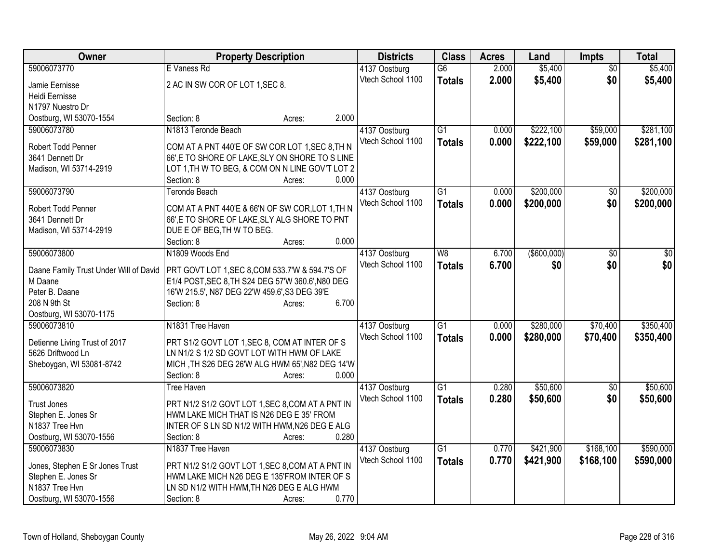| Owner                                                  | <b>Property Description</b>                       |                 | <b>Districts</b>                   | <b>Class</b>    | <b>Acres</b> | Land           | Impts           | <b>Total</b> |
|--------------------------------------------------------|---------------------------------------------------|-----------------|------------------------------------|-----------------|--------------|----------------|-----------------|--------------|
| 59006073770                                            | E Vaness Rd                                       |                 | 4137 Oostburg                      | $\overline{G6}$ | 2.000        | \$5,400        | $\overline{50}$ | \$5,400      |
| Jamie Eernisse                                         | 2 AC IN SW COR OF LOT 1, SEC 8.                   |                 | Vtech School 1100                  | <b>Totals</b>   | 2.000        | \$5,400        | \$0             | \$5,400      |
| Heidi Eernisse                                         |                                                   |                 |                                    |                 |              |                |                 |              |
| N1797 Nuestro Dr                                       |                                                   |                 |                                    |                 |              |                |                 |              |
| Oostburg, WI 53070-1554                                | Section: 8                                        | 2.000<br>Acres: |                                    |                 |              |                |                 |              |
| 59006073780                                            | N1813 Teronde Beach                               |                 | 4137 Oostburg                      | $\overline{G1}$ | 0.000        | \$222,100      | \$59,000        | \$281,100    |
| Robert Todd Penner                                     | COM AT A PNT 440'E OF SW COR LOT 1, SEC 8, TH N   |                 | Vtech School 1100                  | <b>Totals</b>   | 0.000        | \$222,100      | \$59,000        | \$281,100    |
| 3641 Dennett Dr                                        | 66', E TO SHORE OF LAKE, SLY ON SHORE TO S LINE   |                 |                                    |                 |              |                |                 |              |
| Madison, WI 53714-2919                                 | LOT 1, TH W TO BEG, & COM ON N LINE GOV'T LOT 2   |                 |                                    |                 |              |                |                 |              |
|                                                        | Section: 8                                        | 0.000<br>Acres: |                                    |                 |              |                |                 |              |
| 59006073790                                            | <b>Teronde Beach</b>                              |                 | 4137 Oostburg                      | G1              | 0.000        | \$200,000      | \$0             | \$200,000    |
|                                                        |                                                   |                 | Vtech School 1100                  | <b>Totals</b>   | 0.000        | \$200,000      | \$0             | \$200,000    |
| Robert Todd Penner                                     | COM AT A PNT 440'E & 66'N OF SW COR, LOT 1, TH N  |                 |                                    |                 |              |                |                 |              |
| 3641 Dennett Dr                                        | 66',E TO SHORE OF LAKE, SLY ALG SHORE TO PNT      |                 |                                    |                 |              |                |                 |              |
| Madison, WI 53714-2919                                 | DUE E OF BEG, TH W TO BEG.                        | 0.000           |                                    |                 |              |                |                 |              |
| 59006073800                                            | Section: 8<br>N1809 Woods End                     | Acres:          |                                    | W8              | 6.700        | $($ \$600,000) | $\overline{30}$ | \$0          |
|                                                        |                                                   |                 | 4137 Oostburg<br>Vtech School 1100 |                 |              |                |                 |              |
| Daane Family Trust Under Will of David                 | PRT GOVT LOT 1, SEC 8, COM 533.7'W & 594.7'S OF   |                 |                                    | <b>Totals</b>   | 6.700        | \$0            | \$0             | \$0          |
| M Daane                                                | E1/4 POST, SEC 8, TH S24 DEG 57'W 360.6', N80 DEG |                 |                                    |                 |              |                |                 |              |
| Peter B. Daane                                         | 16'W 215.5', N87 DEG 22'W 459.6', S3 DEG 39'E     |                 |                                    |                 |              |                |                 |              |
| 208 N 9th St                                           | Section: 8                                        | 6.700<br>Acres: |                                    |                 |              |                |                 |              |
| Oostburg, WI 53070-1175                                |                                                   |                 |                                    |                 |              |                |                 |              |
| 59006073810                                            | N1831 Tree Haven                                  |                 | 4137 Oostburg                      | G1              | 0.000        | \$280,000      | \$70,400        | \$350,400    |
| Detienne Living Trust of 2017                          | PRT S1/2 GOVT LOT 1, SEC 8, COM AT INTER OF S     |                 | Vtech School 1100                  | <b>Totals</b>   | 0.000        | \$280,000      | \$70,400        | \$350,400    |
| 5626 Driftwood Ln                                      | LN N1/2 S 1/2 SD GOVT LOT WITH HWM OF LAKE        |                 |                                    |                 |              |                |                 |              |
| Sheboygan, WI 53081-8742                               | MICH, TH S26 DEG 26'W ALG HWM 65', N82 DEG 14'W   |                 |                                    |                 |              |                |                 |              |
|                                                        | Section: 8                                        | 0.000<br>Acres: |                                    |                 |              |                |                 |              |
| 59006073820                                            | Tree Haven                                        |                 | 4137 Oostburg                      | $\overline{G1}$ | 0.280        | \$50,600       | $\overline{50}$ | \$50,600     |
| <b>Trust Jones</b>                                     | PRT N1/2 S1/2 GOVT LOT 1, SEC 8, COM AT A PNT IN  |                 | Vtech School 1100                  | <b>Totals</b>   | 0.280        | \$50,600       | \$0             | \$50,600     |
| Stephen E. Jones Sr                                    | HWM LAKE MICH THAT IS N26 DEG E 35' FROM          |                 |                                    |                 |              |                |                 |              |
| N1837 Tree Hvn                                         | INTER OF S LN SD N1/2 WITH HWM, N26 DEG E ALG     |                 |                                    |                 |              |                |                 |              |
| Oostburg, WI 53070-1556                                | Section: 8                                        | 0.280<br>Acres: |                                    |                 |              |                |                 |              |
| 59006073830                                            | N1837 Tree Haven                                  |                 | 4137 Oostburg                      | $\overline{G1}$ | 0.770        | \$421,900      | \$168,100       | \$590,000    |
|                                                        | PRT N1/2 S1/2 GOVT LOT 1, SEC 8, COM AT A PNT IN  |                 | Vtech School 1100                  | <b>Totals</b>   | 0.770        | \$421,900      | \$168,100       | \$590,000    |
| Jones, Stephen E Sr Jones Trust<br>Stephen E. Jones Sr | HWM LAKE MICH N26 DEG E 135'FROM INTER OF S       |                 |                                    |                 |              |                |                 |              |
| N1837 Tree Hvn                                         | LN SD N1/2 WITH HWM, TH N26 DEG E ALG HWM         |                 |                                    |                 |              |                |                 |              |
| Oostburg, WI 53070-1556                                | Section: 8                                        | 0.770<br>Acres: |                                    |                 |              |                |                 |              |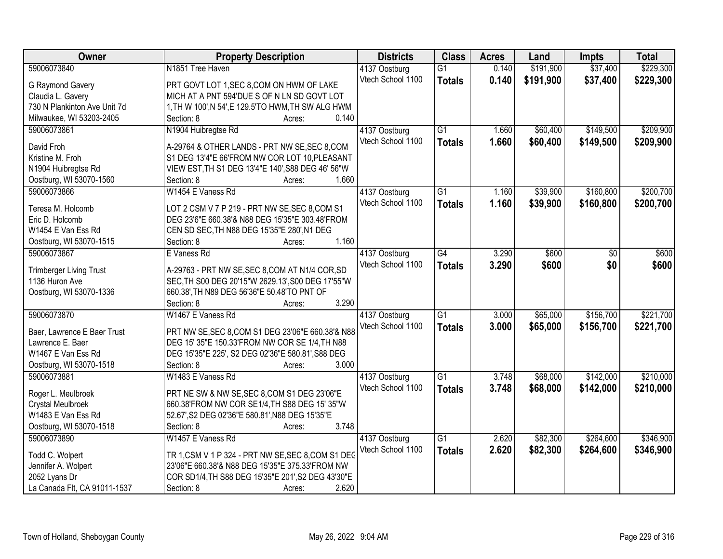| Owner                                  | <b>Property Description</b>                                                                    | <b>Districts</b>                   | <b>Class</b>    | <b>Acres</b> | Land      | <b>Impts</b> | <b>Total</b> |
|----------------------------------------|------------------------------------------------------------------------------------------------|------------------------------------|-----------------|--------------|-----------|--------------|--------------|
| 59006073840                            | N1851 Tree Haven                                                                               | 4137 Oostburg                      | $\overline{G1}$ | 0.140        | \$191,900 | \$37,400     | \$229,300    |
| G Raymond Gavery                       | PRT GOVT LOT 1, SEC 8, COM ON HWM OF LAKE                                                      | Vtech School 1100                  | <b>Totals</b>   | 0.140        | \$191,900 | \$37,400     | \$229,300    |
| Claudia L. Gavery                      | MICH AT A PNT 594'DUE S OF N LN SD GOVT LOT                                                    |                                    |                 |              |           |              |              |
| 730 N Plankinton Ave Unit 7d           | 1, TH W 100', N 54', E 129.5'TO HWM, TH SW ALG HWM                                             |                                    |                 |              |           |              |              |
| Milwaukee, WI 53203-2405               | Section: 8<br>0.140<br>Acres:                                                                  |                                    |                 |              |           |              |              |
| 59006073861                            | N1904 Huibregtse Rd                                                                            | 4137 Oostburg                      | $\overline{G1}$ | 1.660        | \$60,400  | \$149,500    | \$209,900    |
| David Froh                             |                                                                                                | Vtech School 1100                  | <b>Totals</b>   | 1.660        | \$60,400  | \$149,500    | \$209,900    |
| Kristine M. Froh                       | A-29764 & OTHER LANDS - PRT NW SE, SEC 8, COM<br>S1 DEG 13'4"E 66'FROM NW COR LOT 10, PLEASANT |                                    |                 |              |           |              |              |
| N1904 Huibregtse Rd                    | VIEW EST, TH S1 DEG 13'4"E 140', S88 DEG 46' 56"W                                              |                                    |                 |              |           |              |              |
| Oostburg, WI 53070-1560                | 1.660<br>Section: 8<br>Acres:                                                                  |                                    |                 |              |           |              |              |
| 59006073866                            | W1454 E Vaness Rd                                                                              | 4137 Oostburg                      | $\overline{G1}$ | 1.160        | \$39,900  | \$160,800    | \$200,700    |
|                                        |                                                                                                | Vtech School 1100                  | <b>Totals</b>   | 1.160        | \$39,900  | \$160,800    | \$200,700    |
| Teresa M. Holcomb                      | LOT 2 CSM V 7 P 219 - PRT NW SE, SEC 8, COM S1                                                 |                                    |                 |              |           |              |              |
| Eric D. Holcomb                        | DEG 23'6"E 660.38'& N88 DEG 15'35"E 303.48'FROM                                                |                                    |                 |              |           |              |              |
| W1454 E Van Ess Rd                     | CEN SD SEC, TH N88 DEG 15'35"E 280', N1 DEG                                                    |                                    |                 |              |           |              |              |
| Oostburg, WI 53070-1515                | 1.160<br>Section: 8<br>Acres:                                                                  |                                    |                 |              |           |              |              |
| 59006073867                            | E Vaness Rd                                                                                    | 4137 Oostburg                      | $\overline{G4}$ | 3.290        | \$600     | \$0          | \$600        |
| <b>Trimberger Living Trust</b>         | A-29763 - PRT NW SE, SEC 8, COM AT N1/4 COR, SD                                                | Vtech School 1100                  | <b>Totals</b>   | 3.290        | \$600     | \$0          | \$600        |
| 1136 Huron Ave                         | SEC, TH S00 DEG 20'15"W 2629.13', S00 DEG 17'55"W                                              |                                    |                 |              |           |              |              |
| Oostburg, WI 53070-1336                | 660.38', TH N89 DEG 56'36"E 50.48'TO PNT OF                                                    |                                    |                 |              |           |              |              |
|                                        | 3.290<br>Section: 8<br>Acres:                                                                  |                                    |                 |              |           |              |              |
| 59006073870                            | W1467 E Vaness Rd                                                                              | 4137 Oostburg                      | $\overline{G1}$ | 3.000        | \$65,000  | \$156,700    | \$221,700    |
|                                        |                                                                                                | Vtech School 1100                  | <b>Totals</b>   | 3.000        | \$65,000  | \$156,700    | \$221,700    |
| Baer, Lawrence E Baer Trust            | PRT NW SE, SEC 8, COM S1 DEG 23'06"E 660.38'& N88                                              |                                    |                 |              |           |              |              |
| Lawrence E. Baer                       | DEG 15' 35"E 150.33'FROM NW COR SE 1/4, TH N88                                                 |                                    |                 |              |           |              |              |
| W1467 E Van Ess Rd                     | DEG 15'35"E 225', S2 DEG 02'36"E 580.81', S88 DEG<br>3.000<br>Section: 8                       |                                    |                 |              |           |              |              |
| Oostburg, WI 53070-1518<br>59006073881 | Acres:<br>W1483 E Vaness Rd                                                                    |                                    | $\overline{G1}$ | 3.748        | \$68,000  | \$142,000    | \$210,000    |
|                                        |                                                                                                | 4137 Oostburg<br>Vtech School 1100 |                 |              |           |              |              |
| Roger L. Meulbroek                     | PRT NE SW & NW SE, SEC 8, COM S1 DEG 23'06"E                                                   |                                    | <b>Totals</b>   | 3.748        | \$68,000  | \$142,000    | \$210,000    |
| Crystal Meulbroek                      | 660.38'FROM NW COR SE1/4, TH S88 DEG 15' 35"W                                                  |                                    |                 |              |           |              |              |
| W1483 E Van Ess Rd                     | 52.67', S2 DEG 02'36"E 580.81', N88 DEG 15'35"E                                                |                                    |                 |              |           |              |              |
| Oostburg, WI 53070-1518                | 3.748<br>Section: 8<br>Acres:                                                                  |                                    |                 |              |           |              |              |
| 59006073890                            | W1457 E Vaness Rd                                                                              | 4137 Oostburg                      | $\overline{G1}$ | 2.620        | \$82,300  | \$264,600    | \$346,900    |
| Todd C. Wolpert                        | TR 1, CSM V 1 P 324 - PRT NW SE, SEC 8, COM S1 DEC                                             | Vtech School 1100                  | <b>Totals</b>   | 2.620        | \$82,300  | \$264,600    | \$346,900    |
| Jennifer A. Wolpert                    | 23'06"E 660.38'& N88 DEG 15'35"E 375.33'FROM NW                                                |                                    |                 |              |           |              |              |
| 2052 Lyans Dr                          | COR SD1/4, TH S88 DEG 15'35"E 201', S2 DEG 43'30"E                                             |                                    |                 |              |           |              |              |
| La Canada Flt, CA 91011-1537           | 2.620<br>Section: 8<br>Acres:                                                                  |                                    |                 |              |           |              |              |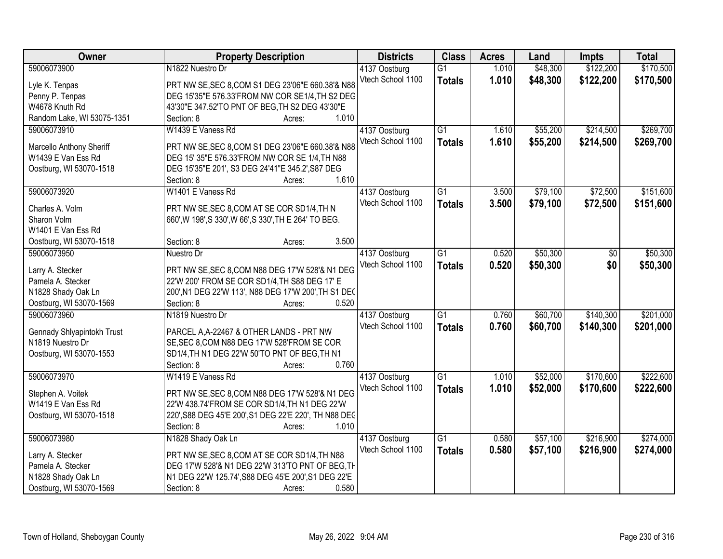| Owner                      | <b>Property Description</b>                                                  | <b>Districts</b>                   | <b>Class</b>    | <b>Acres</b> | Land     | <b>Impts</b> | <b>Total</b> |
|----------------------------|------------------------------------------------------------------------------|------------------------------------|-----------------|--------------|----------|--------------|--------------|
| 59006073900                | N1822 Nuestro Dr                                                             | 4137 Oostburg                      | $\overline{G1}$ | 1.010        | \$48,300 | \$122,200    | \$170,500    |
| Lyle K. Tenpas             | PRT NW SE, SEC 8, COM S1 DEG 23'06"E 660.38'& N88                            | Vtech School 1100                  | <b>Totals</b>   | 1.010        | \$48,300 | \$122,200    | \$170,500    |
| Penny P. Tenpas            | DEG 15'35"E 576.33'FROM NW COR SE1/4, TH S2 DEG                              |                                    |                 |              |          |              |              |
| W4678 Knuth Rd             | 43'30"E 347.52'TO PNT OF BEG, TH S2 DEG 43'30"E                              |                                    |                 |              |          |              |              |
| Random Lake, WI 53075-1351 | 1.010<br>Section: 8<br>Acres:                                                |                                    |                 |              |          |              |              |
| 59006073910                | W1439 E Vaness Rd                                                            | 4137 Oostburg                      | $\overline{G1}$ | 1.610        | \$55,200 | \$214,500    | \$269,700    |
| Marcello Anthony Sheriff   | PRT NW SE, SEC 8, COM S1 DEG 23'06"E 660.38'& N88                            | Vtech School 1100                  | <b>Totals</b>   | 1.610        | \$55,200 | \$214,500    | \$269,700    |
| W1439 E Van Ess Rd         | DEG 15' 35"E 576.33'FROM NW COR SE 1/4, TH N88                               |                                    |                 |              |          |              |              |
| Oostburg, WI 53070-1518    | DEG 15'35"E 201', S3 DEG 24'41"E 345.2', S87 DEG                             |                                    |                 |              |          |              |              |
|                            | 1.610<br>Section: 8<br>Acres:                                                |                                    |                 |              |          |              |              |
| 59006073920                | W1401 E Vaness Rd                                                            | 4137 Oostburg                      | G1              | 3.500        | \$79,100 | \$72,500     | \$151,600    |
|                            |                                                                              | Vtech School 1100                  | <b>Totals</b>   | 3.500        | \$79,100 | \$72,500     | \$151,600    |
| Charles A. Volm            | PRT NW SE, SEC 8, COM AT SE COR SD1/4, TH N                                  |                                    |                 |              |          |              |              |
| Sharon Volm                | 660', W 198', S 330', W 66', S 330', TH E 264' TO BEG.                       |                                    |                 |              |          |              |              |
| W1401 E Van Ess Rd         |                                                                              |                                    |                 |              |          |              |              |
| Oostburg, WI 53070-1518    | 3.500<br>Section: 8<br>Acres:                                                |                                    |                 |              |          |              |              |
| 59006073950                | Nuestro Dr                                                                   | 4137 Oostburg                      | $\overline{G1}$ | 0.520        | \$50,300 | \$0          | \$50,300     |
| Larry A. Stecker           | PRT NW SE, SEC 8, COM N88 DEG 17'W 528'& N1 DEG                              | Vtech School 1100                  | <b>Totals</b>   | 0.520        | \$50,300 | \$0          | \$50,300     |
| Pamela A. Stecker          | 22'W 200' FROM SE COR SD1/4, TH S88 DEG 17' E                                |                                    |                 |              |          |              |              |
| N1828 Shady Oak Ln         | 200', N1 DEG 22'W 113', N88 DEG 17'W 200', TH S1 DEC                         |                                    |                 |              |          |              |              |
| Oostburg, WI 53070-1569    | 0.520<br>Section: 8<br>Acres:                                                |                                    |                 |              |          |              |              |
| 59006073960                | N1819 Nuestro Dr                                                             | 4137 Oostburg                      | $\overline{G1}$ | 0.760        | \$60,700 | \$140,300    | \$201,000    |
| Gennady Shlyapintokh Trust | PARCEL A, A-22467 & OTHER LANDS - PRT NW                                     | Vtech School 1100                  | <b>Totals</b>   | 0.760        | \$60,700 | \$140,300    | \$201,000    |
| N1819 Nuestro Dr           | SE, SEC 8, COM N88 DEG 17'W 528'FROM SE COR                                  |                                    |                 |              |          |              |              |
| Oostburg, WI 53070-1553    | SD1/4, TH N1 DEG 22'W 50'TO PNT OF BEG, TH N1                                |                                    |                 |              |          |              |              |
|                            | 0.760<br>Section: 8<br>Acres:                                                |                                    |                 |              |          |              |              |
| 59006073970                | W1419 E Vaness Rd                                                            | 4137 Oostburg                      | $\overline{G1}$ | 1.010        | \$52,000 | \$170,600    | \$222,600    |
|                            |                                                                              | Vtech School 1100                  | <b>Totals</b>   | 1.010        | \$52,000 | \$170,600    | \$222,600    |
| Stephen A. Voitek          | PRT NW SE, SEC 8, COM N88 DEG 17'W 528'& N1 DEG                              |                                    |                 |              |          |              |              |
| W1419 E Van Ess Rd         | 22'W 438.74'FROM SE COR SD1/4, TH N1 DEG 22'W                                |                                    |                 |              |          |              |              |
| Oostburg, WI 53070-1518    | 220', S88 DEG 45'E 200', S1 DEG 22'E 220', TH N88 DEC<br>1.010<br>Section: 8 |                                    |                 |              |          |              |              |
| 59006073980                | Acres:<br>N1828 Shady Oak Ln                                                 |                                    | $\overline{G1}$ | 0.580        | \$57,100 | \$216,900    | \$274,000    |
|                            |                                                                              | 4137 Oostburg<br>Vtech School 1100 |                 |              |          |              |              |
| Larry A. Stecker           | PRT NW SE, SEC 8, COM AT SE COR SD1/4, TH N88                                |                                    | <b>Totals</b>   | 0.580        | \$57,100 | \$216,900    | \$274,000    |
| Pamela A. Stecker          | DEG 17'W 528'& N1 DEG 22'W 313'TO PNT OF BEG, TH                             |                                    |                 |              |          |              |              |
| N1828 Shady Oak Ln         | N1 DEG 22'W 125.74', S88 DEG 45'E 200', S1 DEG 22'E                          |                                    |                 |              |          |              |              |
| Oostburg, WI 53070-1569    | 0.580<br>Section: 8<br>Acres:                                                |                                    |                 |              |          |              |              |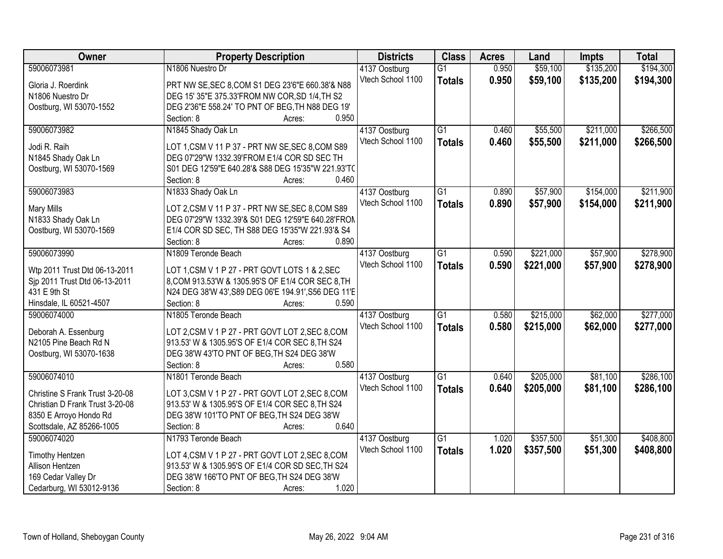| Owner                           | <b>Property Description</b>                                 | <b>Districts</b>                   | <b>Class</b>    | <b>Acres</b> | Land      | <b>Impts</b> | <b>Total</b> |
|---------------------------------|-------------------------------------------------------------|------------------------------------|-----------------|--------------|-----------|--------------|--------------|
| 59006073981                     | N1806 Nuestro Dr                                            | 4137 Oostburg                      | $\overline{G1}$ | 0.950        | \$59,100  | \$135,200    | \$194,300    |
| Gloria J. Roerdink              | PRT NW SE, SEC 8, COM S1 DEG 23'6"E 660.38'& N88            | Vtech School 1100                  | <b>Totals</b>   | 0.950        | \$59,100  | \$135,200    | \$194,300    |
| N1806 Nuestro Dr                | DEG 15' 35"E 375.33'FROM NW COR, SD 1/4, TH S2              |                                    |                 |              |           |              |              |
| Oostburg, WI 53070-1552         | DEG 2'36"E 558.24' TO PNT OF BEG, TH N88 DEG 19'            |                                    |                 |              |           |              |              |
|                                 | 0.950<br>Section: 8<br>Acres:                               |                                    |                 |              |           |              |              |
| 59006073982                     | N1845 Shady Oak Ln                                          | 4137 Oostburg                      | $\overline{G1}$ | 0.460        | \$55,500  | \$211,000    | \$266,500    |
|                                 |                                                             | Vtech School 1100                  | <b>Totals</b>   | 0.460        | \$55,500  | \$211,000    | \$266,500    |
| Jodi R. Raih                    | LOT 1, CSM V 11 P 37 - PRT NW SE, SEC 8, COM S89            |                                    |                 |              |           |              |              |
| N1845 Shady Oak Ln              | DEG 07'29"W 1332.39'FROM E1/4 COR SD SEC TH                 |                                    |                 |              |           |              |              |
| Oostburg, WI 53070-1569         | S01 DEG 12'59"E 640.28'& S88 DEG 15'35"W 221.93'TC<br>0.460 |                                    |                 |              |           |              |              |
| 59006073983                     | Section: 8<br>Acres:<br>N1833 Shady Oak Ln                  |                                    | $\overline{G1}$ | 0.890        | \$57,900  | \$154,000    | \$211,900    |
|                                 |                                                             | 4137 Oostburg<br>Vtech School 1100 |                 |              |           |              |              |
| <b>Mary Mills</b>               | LOT 2,CSM V 11 P 37 - PRT NW SE, SEC 8,COM S89              |                                    | <b>Totals</b>   | 0.890        | \$57,900  | \$154,000    | \$211,900    |
| N1833 Shady Oak Ln              | DEG 07'29"W 1332.39'& S01 DEG 12'59"E 640.28'FRON           |                                    |                 |              |           |              |              |
| Oostburg, WI 53070-1569         | E1/4 COR SD SEC, TH S88 DEG 15'35"W 221.93'& S4             |                                    |                 |              |           |              |              |
|                                 | Section: 8<br>0.890<br>Acres:                               |                                    |                 |              |           |              |              |
| 59006073990                     | N1809 Teronde Beach                                         | 4137 Oostburg                      | $\overline{G1}$ | 0.590        | \$221,000 | \$57,900     | \$278,900    |
| Wtp 2011 Trust Dtd 06-13-2011   | LOT 1, CSM V 1 P 27 - PRT GOVT LOTS 1 & 2, SEC              | Vtech School 1100                  | <b>Totals</b>   | 0.590        | \$221,000 | \$57,900     | \$278,900    |
| Sjp 2011 Trust Dtd 06-13-2011   | 8, COM 913.53'W & 1305.95'S OF E1/4 COR SEC 8, TH           |                                    |                 |              |           |              |              |
| 431 E 9th St                    | N24 DEG 38'W 43', S89 DEG 06'E 194.91', S56 DEG 11'E        |                                    |                 |              |           |              |              |
| Hinsdale, IL 60521-4507         | Section: 8<br>0.590<br>Acres:                               |                                    |                 |              |           |              |              |
| 59006074000                     | N1805 Teronde Beach                                         | 4137 Oostburg                      | $\overline{G1}$ | 0.580        | \$215,000 | \$62,000     | \$277,000    |
|                                 |                                                             | Vtech School 1100                  | <b>Totals</b>   | 0.580        | \$215,000 | \$62,000     | \$277,000    |
| Deborah A. Essenburg            | LOT 2, CSM V 1 P 27 - PRT GOVT LOT 2, SEC 8, COM            |                                    |                 |              |           |              |              |
| N2105 Pine Beach Rd N           | 913.53' W & 1305.95'S OF E1/4 COR SEC 8, TH S24             |                                    |                 |              |           |              |              |
| Oostburg, WI 53070-1638         | DEG 38'W 43'TO PNT OF BEG, TH S24 DEG 38'W                  |                                    |                 |              |           |              |              |
|                                 | 0.580<br>Section: 8<br>Acres:                               |                                    |                 |              |           |              |              |
| 59006074010                     | N1801 Teronde Beach                                         | 4137 Oostburg                      | $\overline{G1}$ | 0.640        | \$205,000 | \$81,100     | \$286,100    |
| Christine S Frank Trust 3-20-08 | LOT 3,CSM V 1 P 27 - PRT GOVT LOT 2,SEC 8,COM               | Vtech School 1100                  | <b>Totals</b>   | 0.640        | \$205,000 | \$81,100     | \$286,100    |
| Christian D Frank Trust 3-20-08 | 913.53' W & 1305.95'S OF E1/4 COR SEC 8, TH S24             |                                    |                 |              |           |              |              |
| 8350 E Arroyo Hondo Rd          | DEG 38'W 101'TO PNT OF BEG, TH S24 DEG 38'W                 |                                    |                 |              |           |              |              |
| Scottsdale, AZ 85266-1005       | Section: 8<br>0.640<br>Acres:                               |                                    |                 |              |           |              |              |
| 59006074020                     | N1793 Teronde Beach                                         | 4137 Oostburg                      | $\overline{G1}$ | 1.020        | \$357,500 | \$51,300     | \$408,800    |
| <b>Timothy Hentzen</b>          | LOT 4, CSM V 1 P 27 - PRT GOVT LOT 2, SEC 8, COM            | Vtech School 1100                  | <b>Totals</b>   | 1.020        | \$357,500 | \$51,300     | \$408,800    |
| Allison Hentzen                 | 913.53' W & 1305.95'S OF E1/4 COR SD SEC, TH S24            |                                    |                 |              |           |              |              |
| 169 Cedar Valley Dr             | DEG 38'W 166'TO PNT OF BEG, TH S24 DEG 38'W                 |                                    |                 |              |           |              |              |
| Cedarburg, WI 53012-9136        | 1.020<br>Section: 8<br>Acres:                               |                                    |                 |              |           |              |              |
|                                 |                                                             |                                    |                 |              |           |              |              |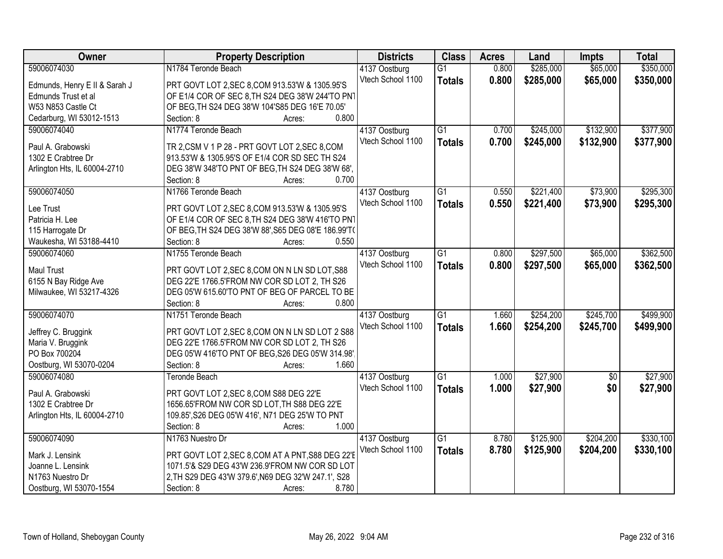| Owner                         | <b>Property Description</b>                         | <b>Districts</b>                   | <b>Class</b>    | <b>Acres</b> | Land      | <b>Impts</b>    | <b>Total</b> |
|-------------------------------|-----------------------------------------------------|------------------------------------|-----------------|--------------|-----------|-----------------|--------------|
| 59006074030                   | N1784 Teronde Beach                                 | 4137 Oostburg                      | $\overline{G1}$ | 0.800        | \$285,000 | \$65,000        | \$350,000    |
| Edmunds, Henry E II & Sarah J | PRT GOVT LOT 2, SEC 8, COM 913.53'W & 1305.95'S     | Vtech School 1100                  | <b>Totals</b>   | 0.800        | \$285,000 | \$65,000        | \$350,000    |
| Edmunds Trust et al           | OF E1/4 COR OF SEC 8, TH S24 DEG 38'W 244'TO PN1    |                                    |                 |              |           |                 |              |
| W53 N853 Castle Ct            | OF BEG, TH S24 DEG 38'W 104'S85 DEG 16'E 70.05'     |                                    |                 |              |           |                 |              |
| Cedarburg, WI 53012-1513      | 0.800<br>Section: 8<br>Acres:                       |                                    |                 |              |           |                 |              |
| 59006074040                   | N1774 Teronde Beach                                 | 4137 Oostburg                      | $\overline{G1}$ | 0.700        | \$245,000 | \$132,900       | \$377,900    |
|                               |                                                     | Vtech School 1100                  | <b>Totals</b>   | 0.700        | \$245,000 | \$132,900       | \$377,900    |
| Paul A. Grabowski             | TR 2, CSM V 1 P 28 - PRT GOVT LOT 2, SEC 8, COM     |                                    |                 |              |           |                 |              |
| 1302 E Crabtree Dr            | 913.53'W & 1305.95'S OF E1/4 COR SD SEC TH S24      |                                    |                 |              |           |                 |              |
| Arlington Hts, IL 60004-2710  | DEG 38'W 348'TO PNT OF BEG, TH S24 DEG 38'W 68',    |                                    |                 |              |           |                 |              |
|                               | 0.700<br>Section: 8<br>Acres:                       |                                    |                 |              |           |                 |              |
| 59006074050                   | N1766 Teronde Beach                                 | 4137 Oostburg                      | $\overline{G1}$ | 0.550        | \$221,400 | \$73,900        | \$295,300    |
| Lee Trust                     | PRT GOVT LOT 2, SEC 8, COM 913.53'W & 1305.95'S     | Vtech School 1100                  | <b>Totals</b>   | 0.550        | \$221,400 | \$73,900        | \$295,300    |
| Patricia H. Lee               | OF E1/4 COR OF SEC 8, TH S24 DEG 38'W 416'TO PN1    |                                    |                 |              |           |                 |              |
| 115 Harrogate Dr              | OF BEG, TH S24 DEG 38'W 88', S65 DEG 08'E 186.99'T( |                                    |                 |              |           |                 |              |
| Waukesha, WI 53188-4410       | Section: 8<br>0.550<br>Acres:                       |                                    |                 |              |           |                 |              |
| 59006074060                   | N1755 Teronde Beach                                 | 4137 Oostburg                      | G1              | 0.800        | \$297,500 | \$65,000        | \$362,500    |
|                               |                                                     | Vtech School 1100                  | <b>Totals</b>   | 0.800        | \$297,500 | \$65,000        | \$362,500    |
| <b>Maul Trust</b>             | PRT GOVT LOT 2, SEC 8, COM ON N LN SD LOT, S88      |                                    |                 |              |           |                 |              |
| 6155 N Bay Ridge Ave          | DEG 22'E 1766.5'FROM NW COR SD LOT 2, TH S26        |                                    |                 |              |           |                 |              |
| Milwaukee, WI 53217-4326      | DEG 05'W 615.60'TO PNT OF BEG OF PARCEL TO BE       |                                    |                 |              |           |                 |              |
|                               | 0.800<br>Section: 8<br>Acres:                       |                                    |                 |              |           |                 |              |
| 59006074070                   | N1751 Teronde Beach                                 | 4137 Oostburg                      | $\overline{G1}$ | 1.660        | \$254,200 | \$245,700       | \$499,900    |
| Jeffrey C. Bruggink           | PRT GOVT LOT 2, SEC 8, COM ON N LN SD LOT 2 S88     | Vtech School 1100                  | <b>Totals</b>   | 1.660        | \$254,200 | \$245,700       | \$499,900    |
| Maria V. Bruggink             | DEG 22'E 1766.5'FROM NW COR SD LOT 2, TH S26        |                                    |                 |              |           |                 |              |
| PO Box 700204                 | DEG 05'W 416'TO PNT OF BEG, S26 DEG 05'W 314.98'    |                                    |                 |              |           |                 |              |
| Oostburg, WI 53070-0204       | 1.660<br>Section: 8<br>Acres:                       |                                    |                 |              |           |                 |              |
| 59006074080                   | <b>Teronde Beach</b>                                | 4137 Oostburg                      | $\overline{G1}$ | 1.000        | \$27,900  | $\overline{50}$ | \$27,900     |
| Paul A. Grabowski             | PRT GOVT LOT 2, SEC 8, COM S88 DEG 22'E             | Vtech School 1100                  | <b>Totals</b>   | 1.000        | \$27,900  | \$0             | \$27,900     |
| 1302 E Crabtree Dr            | 1656.65'FROM NW COR SD LOT, TH S88 DEG 22'E         |                                    |                 |              |           |                 |              |
|                               | 109.85', S26 DEG 05'W 416', N71 DEG 25'W TO PNT     |                                    |                 |              |           |                 |              |
| Arlington Hts, IL 60004-2710  | 1.000<br>Section: 8                                 |                                    |                 |              |           |                 |              |
| 59006074090                   | Acres:<br>N1763 Nuestro Dr                          |                                    | $\overline{G1}$ | 8.780        | \$125,900 | \$204,200       | \$330,100    |
|                               |                                                     | 4137 Oostburg<br>Vtech School 1100 |                 |              |           |                 |              |
| Mark J. Lensink               | PRT GOVT LOT 2, SEC 8, COM AT A PNT, S88 DEG 22'E   |                                    | <b>Totals</b>   | 8.780        | \$125,900 | \$204,200       | \$330,100    |
| Joanne L. Lensink             | 1071.5'& S29 DEG 43'W 236.9'FROM NW COR SD LOT      |                                    |                 |              |           |                 |              |
| N1763 Nuestro Dr              | 2, TH S29 DEG 43'W 379.6', N69 DEG 32'W 247.1', S28 |                                    |                 |              |           |                 |              |
| Oostburg, WI 53070-1554       | 8.780<br>Section: 8<br>Acres:                       |                                    |                 |              |           |                 |              |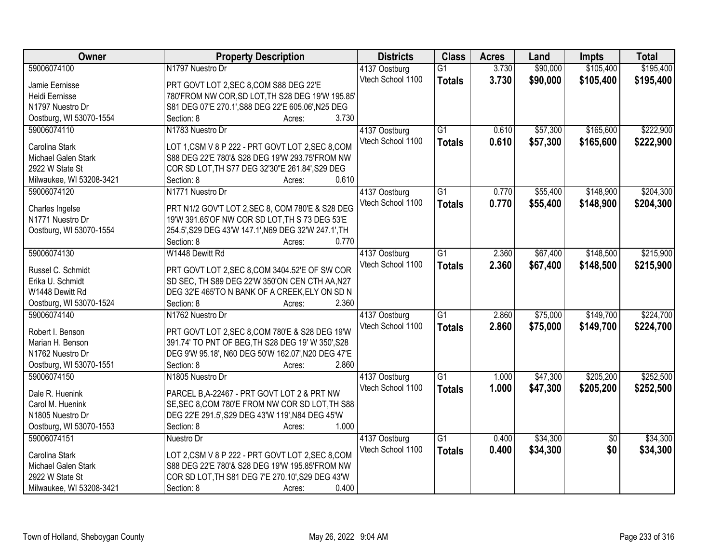| Owner                    | <b>Property Description</b>                          | <b>Districts</b>  | <b>Class</b>    | <b>Acres</b> | Land     | <b>Impts</b>    | <b>Total</b> |
|--------------------------|------------------------------------------------------|-------------------|-----------------|--------------|----------|-----------------|--------------|
| 59006074100              | N1797 Nuestro Dr                                     | 4137 Oostburg     | $\overline{G1}$ | 3.730        | \$90,000 | \$105,400       | \$195,400    |
| Jamie Eernisse           | PRT GOVT LOT 2, SEC 8, COM S88 DEG 22'E              | Vtech School 1100 | <b>Totals</b>   | 3.730        | \$90,000 | \$105,400       | \$195,400    |
| Heidi Eernisse           | 780'FROM NW COR, SD LOT, TH S28 DEG 19'W 195.85'     |                   |                 |              |          |                 |              |
| N1797 Nuestro Dr         | S81 DEG 07'E 270.1', S88 DEG 22'E 605.06', N25 DEG   |                   |                 |              |          |                 |              |
| Oostburg, WI 53070-1554  | 3.730<br>Section: 8<br>Acres:                        |                   |                 |              |          |                 |              |
| 59006074110              | N1783 Nuestro Dr                                     | 4137 Oostburg     | $\overline{G1}$ | 0.610        | \$57,300 | \$165,600       | \$222,900    |
|                          |                                                      | Vtech School 1100 | <b>Totals</b>   | 0.610        | \$57,300 | \$165,600       | \$222,900    |
| Carolina Stark           | LOT 1, CSM V 8 P 222 - PRT GOVT LOT 2, SEC 8, COM    |                   |                 |              |          |                 |              |
| Michael Galen Stark      | S88 DEG 22'E 780'& S28 DEG 19'W 293.75'FROM NW       |                   |                 |              |          |                 |              |
| 2922 W State St          | COR SD LOT, TH S77 DEG 32'30"E 261.84', S29 DEG      |                   |                 |              |          |                 |              |
| Milwaukee, WI 53208-3421 | 0.610<br>Section: 8<br>Acres:                        |                   |                 |              |          |                 |              |
| 59006074120              | N1771 Nuestro Dr                                     | 4137 Oostburg     | G1              | 0.770        | \$55,400 | \$148,900       | \$204,300    |
| Charles Ingelse          | PRT N1/2 GOV'T LOT 2, SEC 8, COM 780'E & S28 DEG     | Vtech School 1100 | <b>Totals</b>   | 0.770        | \$55,400 | \$148,900       | \$204,300    |
| N1771 Nuestro Dr         | 19'W 391.65'OF NW COR SD LOT, TH S 73 DEG 53'E       |                   |                 |              |          |                 |              |
| Oostburg, WI 53070-1554  | 254.5', S29 DEG 43'W 147.1', N69 DEG 32'W 247.1', TH |                   |                 |              |          |                 |              |
|                          | Section: 8<br>0.770<br>Acres:                        |                   |                 |              |          |                 |              |
| 59006074130              | W1448 Dewitt Rd                                      | 4137 Oostburg     | $\overline{G1}$ | 2.360        | \$67,400 | \$148,500       | \$215,900    |
|                          |                                                      |                   |                 |              |          |                 |              |
| Russel C. Schmidt        | PRT GOVT LOT 2, SEC 8, COM 3404.52'E OF SW COR       | Vtech School 1100 | <b>Totals</b>   | 2.360        | \$67,400 | \$148,500       | \$215,900    |
| Erika U. Schmidt         | SD SEC, TH S89 DEG 22'W 350'ON CEN CTH AA, N27       |                   |                 |              |          |                 |              |
| W1448 Dewitt Rd          | DEG 32'E 465'TO N BANK OF A CREEK, ELY ON SD N       |                   |                 |              |          |                 |              |
| Oostburg, WI 53070-1524  | 2.360<br>Section: 8<br>Acres:                        |                   |                 |              |          |                 |              |
| 59006074140              | N1762 Nuestro Dr                                     | 4137 Oostburg     | $\overline{G1}$ | 2.860        | \$75,000 | \$149,700       | \$224,700    |
|                          |                                                      | Vtech School 1100 | <b>Totals</b>   | 2.860        | \$75,000 | \$149,700       | \$224,700    |
| Robert I. Benson         | PRT GOVT LOT 2, SEC 8, COM 780'E & S28 DEG 19'W      |                   |                 |              |          |                 |              |
| Marian H. Benson         | 391.74' TO PNT OF BEG, TH S28 DEG 19' W 350', S28    |                   |                 |              |          |                 |              |
| N1762 Nuestro Dr         | DEG 9'W 95.18', N60 DEG 50'W 162.07', N20 DEG 47'E   |                   |                 |              |          |                 |              |
| Oostburg, WI 53070-1551  | 2.860<br>Section: 8<br>Acres:                        |                   |                 |              |          |                 |              |
| 59006074150              | N1805 Nuestro Dr                                     | 4137 Oostburg     | G1              | 1.000        | \$47,300 | \$205,200       | \$252,500    |
| Dale R. Huenink          | PARCEL B, A-22467 - PRT GOVT LOT 2 & PRT NW          | Vtech School 1100 | <b>Totals</b>   | 1.000        | \$47,300 | \$205,200       | \$252,500    |
| Carol M. Huenink         | SE, SEC 8, COM 780'E FROM NW COR SD LOT, TH S88      |                   |                 |              |          |                 |              |
| N1805 Nuestro Dr         | DEG 22'E 291.5', S29 DEG 43'W 119', N84 DEG 45'W     |                   |                 |              |          |                 |              |
| Oostburg, WI 53070-1553  | 1.000<br>Section: 8<br>Acres:                        |                   |                 |              |          |                 |              |
| 59006074151              | Nuestro Dr                                           |                   | $\overline{G1}$ | 0.400        | \$34,300 | $\overline{50}$ | \$34,300     |
|                          |                                                      | 4137 Oostburg     |                 |              |          |                 |              |
| Carolina Stark           | LOT 2,CSM V 8 P 222 - PRT GOVT LOT 2,SEC 8,COM       | Vtech School 1100 | <b>Totals</b>   | 0.400        | \$34,300 | \$0             | \$34,300     |
| Michael Galen Stark      | S88 DEG 22'E 780'& S28 DEG 19'W 195.85'FROM NW       |                   |                 |              |          |                 |              |
| 2922 W State St          | COR SD LOT, TH S81 DEG 7'E 270.10', S29 DEG 43'W     |                   |                 |              |          |                 |              |
| Milwaukee, WI 53208-3421 | Section: 8<br>0.400<br>Acres:                        |                   |                 |              |          |                 |              |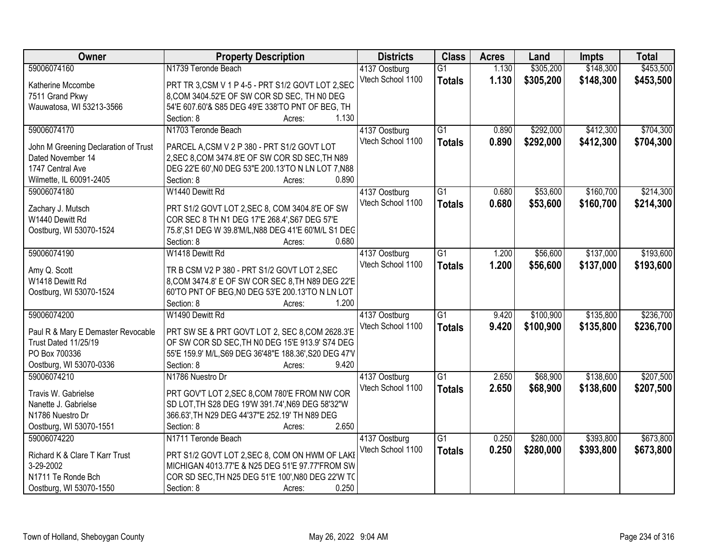| Owner                                | <b>Property Description</b>                            | <b>Districts</b>  | <b>Class</b>    | <b>Acres</b> | Land      | <b>Impts</b> | <b>Total</b> |
|--------------------------------------|--------------------------------------------------------|-------------------|-----------------|--------------|-----------|--------------|--------------|
| 59006074160                          | N1739 Teronde Beach                                    | 4137 Oostburg     | $\overline{G1}$ | 1.130        | \$305,200 | \$148,300    | \$453,500    |
| Katherine Mccombe                    | PRT TR 3,CSM V 1 P 4-5 - PRT S1/2 GOVT LOT 2,SEC       | Vtech School 1100 | <b>Totals</b>   | 1.130        | \$305,200 | \$148,300    | \$453,500    |
| 7511 Grand Pkwy                      | 8, COM 3404.52'E OF SW COR SD SEC, TH NO DEG           |                   |                 |              |           |              |              |
| Wauwatosa, WI 53213-3566             | 54'E 607.60'& S85 DEG 49'E 338'TO PNT OF BEG, TH       |                   |                 |              |           |              |              |
|                                      | 1.130<br>Section: 8<br>Acres:                          |                   |                 |              |           |              |              |
| 59006074170                          | N1703 Teronde Beach                                    | 4137 Oostburg     | $\overline{G1}$ | 0.890        | \$292,000 | \$412,300    | \$704,300    |
|                                      |                                                        | Vtech School 1100 | <b>Totals</b>   | 0.890        | \$292,000 | \$412,300    | \$704,300    |
| John M Greening Declaration of Trust | PARCEL A,CSM V 2 P 380 - PRT S1/2 GOVT LOT             |                   |                 |              |           |              |              |
| Dated November 14                    | 2, SEC 8, COM 3474.8'E OF SW COR SD SEC, TH N89        |                   |                 |              |           |              |              |
| 1747 Central Ave                     | DEG 22'E 60', NO DEG 53"E 200.13'TO N LN LOT 7, N88    |                   |                 |              |           |              |              |
| Wilmette, IL 60091-2405              | 0.890<br>Section: 8<br>Acres:                          |                   |                 |              |           |              |              |
| 59006074180                          | W1440 Dewitt Rd                                        | 4137 Oostburg     | G1              | 0.680        | \$53,600  | \$160,700    | \$214,300    |
| Zachary J. Mutsch                    | PRT S1/2 GOVT LOT 2, SEC 8, COM 3404.8'E OF SW         | Vtech School 1100 | <b>Totals</b>   | 0.680        | \$53,600  | \$160,700    | \$214,300    |
| W1440 Dewitt Rd                      | COR SEC 8 TH N1 DEG 17'E 268.4', S67 DEG 57'E          |                   |                 |              |           |              |              |
| Oostburg, WI 53070-1524              | 75.8', S1 DEG W 39.8'M/L, N88 DEG 41'E 60'M/L S1 DEC   |                   |                 |              |           |              |              |
|                                      | 0.680<br>Section: 8<br>Acres:                          |                   |                 |              |           |              |              |
| 59006074190                          | W1418 Dewitt Rd                                        | 4137 Oostburg     | $\overline{G1}$ | 1.200        | \$56,600  | \$137,000    | \$193,600    |
|                                      |                                                        | Vtech School 1100 | <b>Totals</b>   | 1.200        | \$56,600  | \$137,000    | \$193,600    |
| Amy Q. Scott                         | TR B CSM V2 P 380 - PRT S1/2 GOVT LOT 2, SEC           |                   |                 |              |           |              |              |
| W1418 Dewitt Rd                      | 8, COM 3474.8' E OF SW COR SEC 8, TH N89 DEG 22'E      |                   |                 |              |           |              |              |
| Oostburg, WI 53070-1524              | 60'TO PNT OF BEG, NO DEG 53'E 200.13'TO N LN LOT       |                   |                 |              |           |              |              |
|                                      | 1.200<br>Section: 8<br>Acres:                          |                   |                 |              |           |              |              |
| 59006074200                          | W1490 Dewitt Rd                                        | 4137 Oostburg     | $\overline{G1}$ | 9.420        | \$100,900 | \$135,800    | \$236,700    |
| Paul R & Mary E Demaster Revocable   | PRT SW SE & PRT GOVT LOT 2, SEC 8, COM 2628.3'E        | Vtech School 1100 | <b>Totals</b>   | 9.420        | \$100,900 | \$135,800    | \$236,700    |
| Trust Dated 11/25/19                 | OF SW COR SD SEC, TH N0 DEG 15'E 913.9' S74 DEG        |                   |                 |              |           |              |              |
| PO Box 700336                        | 55'E 159.9' M/L, S69 DEG 36'48"E 188.36', S20 DEG 47'V |                   |                 |              |           |              |              |
| Oostburg, WI 53070-0336              | 9.420<br>Section: 8                                    |                   |                 |              |           |              |              |
| 59006074210                          | Acres:<br>N1786 Nuestro Dr                             |                   | $\overline{G1}$ | 2.650        | \$68,900  | \$138,600    | \$207,500    |
|                                      |                                                        | 4137 Oostburg     |                 |              |           |              |              |
| Travis W. Gabrielse                  | PRT GOV'T LOT 2, SEC 8, COM 780'E FROM NW COR          | Vtech School 1100 | <b>Totals</b>   | 2.650        | \$68,900  | \$138,600    | \$207,500    |
| Nanette J. Gabrielse                 | SD LOT, TH S28 DEG 19'W 391.74', N69 DEG 58'32"W       |                   |                 |              |           |              |              |
| N1786 Nuestro Dr                     | 366.63', TH N29 DEG 44'37"E 252.19' TH N89 DEG         |                   |                 |              |           |              |              |
| Oostburg, WI 53070-1551              | 2.650<br>Section: 8<br>Acres:                          |                   |                 |              |           |              |              |
| 59006074220                          | N1711 Teronde Beach                                    | 4137 Oostburg     | $\overline{G1}$ | 0.250        | \$280,000 | \$393,800    | \$673,800    |
|                                      |                                                        | Vtech School 1100 | <b>Totals</b>   | 0.250        | \$280,000 | \$393,800    | \$673,800    |
| Richard K & Clare T Karr Trust       | PRT S1/2 GOVT LOT 2, SEC 8, COM ON HWM OF LAKE         |                   |                 |              |           |              |              |
| 3-29-2002                            | MICHIGAN 4013.77'E & N25 DEG 51'E 97.77'FROM SW        |                   |                 |              |           |              |              |
| N1711 Te Ronde Bch                   | COR SD SEC, TH N25 DEG 51'E 100', N80 DEG 22'W TO      |                   |                 |              |           |              |              |
| Oostburg, WI 53070-1550              | 0.250<br>Section: 8<br>Acres:                          |                   |                 |              |           |              |              |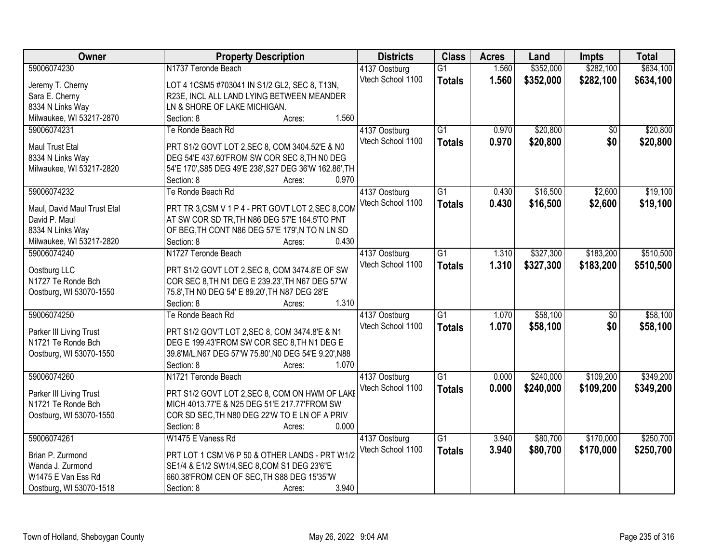| <b>Owner</b>                | <b>Property Description</b>                                    | <b>Districts</b>  | <b>Class</b>    | <b>Acres</b> | Land      | <b>Impts</b>    | <b>Total</b> |
|-----------------------------|----------------------------------------------------------------|-------------------|-----------------|--------------|-----------|-----------------|--------------|
| 59006074230                 | N1737 Teronde Beach                                            | 4137 Oostburg     | $\overline{G1}$ | 1.560        | \$352,000 | \$282,100       | \$634,100    |
| Jeremy T. Cherny            | LOT 4 1CSM5 #703041 IN S1/2 GL2, SEC 8, T13N,                  | Vtech School 1100 | <b>Totals</b>   | 1.560        | \$352,000 | \$282,100       | \$634,100    |
| Sara E. Cherny              | R23E, INCL ALL LAND LYING BETWEEN MEANDER                      |                   |                 |              |           |                 |              |
| 8334 N Links Way            | LN & SHORE OF LAKE MICHIGAN.                                   |                   |                 |              |           |                 |              |
| Milwaukee, WI 53217-2870    | 1.560<br>Section: 8<br>Acres:                                  |                   |                 |              |           |                 |              |
| 59006074231                 | Te Ronde Beach Rd                                              | 4137 Oostburg     | $\overline{G1}$ | 0.970        | \$20,800  | $\overline{50}$ | \$20,800     |
|                             |                                                                | Vtech School 1100 | <b>Totals</b>   | 0.970        | \$20,800  | \$0             | \$20,800     |
| Maul Trust Etal             | PRT S1/2 GOVT LOT 2, SEC 8, COM 3404.52'E & N0                 |                   |                 |              |           |                 |              |
| 8334 N Links Way            | DEG 54'E 437.60'FROM SW COR SEC 8, TH N0 DEG                   |                   |                 |              |           |                 |              |
| Milwaukee, WI 53217-2820    | 54'E 170', S85 DEG 49'E 238', S27 DEG 36'W 162.86', TH         |                   |                 |              |           |                 |              |
|                             | 0.970<br>Section: 8<br>Acres:                                  |                   |                 |              |           |                 |              |
| 59006074232                 | Te Ronde Beach Rd                                              | 4137 Oostburg     | G1              | 0.430        | \$16,500  | \$2,600         | \$19,100     |
| Maul, David Maul Trust Etal | PRT TR 3,CSM V 1 P 4 - PRT GOVT LOT 2,SEC 8,COM                | Vtech School 1100 | <b>Totals</b>   | 0.430        | \$16,500  | \$2,600         | \$19,100     |
| David P. Maul               | AT SW COR SD TR, TH N86 DEG 57'E 164.5'TO PNT                  |                   |                 |              |           |                 |              |
| 8334 N Links Way            | OF BEG, TH CONT N86 DEG 57'E 179', N TO N LN SD                |                   |                 |              |           |                 |              |
| Milwaukee, WI 53217-2820    | 0.430<br>Section: 8<br>Acres:                                  |                   |                 |              |           |                 |              |
| 59006074240                 | N1727 Teronde Beach                                            | 4137 Oostburg     | $\overline{G1}$ | 1.310        | \$327,300 | \$183,200       | \$510,500    |
|                             |                                                                | Vtech School 1100 |                 |              |           |                 |              |
| Oostburg LLC                | PRT S1/2 GOVT LOT 2, SEC 8, COM 3474.8'E OF SW                 |                   | <b>Totals</b>   | 1.310        | \$327,300 | \$183,200       | \$510,500    |
| N1727 Te Ronde Bch          | COR SEC 8, TH N1 DEG E 239.23', TH N67 DEG 57'W                |                   |                 |              |           |                 |              |
| Oostburg, WI 53070-1550     | 75.8', TH NO DEG 54' E 89.20', TH N87 DEG 28'E                 |                   |                 |              |           |                 |              |
|                             | 1.310<br>Section: 8<br>Acres:                                  |                   |                 |              |           |                 |              |
| 59006074250                 | Te Ronde Beach Rd                                              | 4137 Oostburg     | $\overline{G1}$ | 1.070        | \$58,100  | $\overline{50}$ | \$58,100     |
|                             |                                                                | Vtech School 1100 | <b>Totals</b>   | 1.070        | \$58,100  | \$0             | \$58,100     |
| Parker III Living Trust     | PRT S1/2 GOV'T LOT 2, SEC 8, COM 3474.8'E & N1                 |                   |                 |              |           |                 |              |
| N1721 Te Ronde Bch          | DEG E 199.43'FROM SW COR SEC 8, TH N1 DEG E                    |                   |                 |              |           |                 |              |
| Oostburg, WI 53070-1550     | 39.8'M/L, N67 DEG 57'W 75.80', N0 DEG 54'E 9.20', N88<br>1.070 |                   |                 |              |           |                 |              |
|                             | Section: 8<br>Acres:                                           |                   |                 |              |           |                 |              |
| 59006074260                 | N1721 Teronde Beach                                            | 4137 Oostburg     | G1              | 0.000        | \$240,000 | \$109,200       | \$349,200    |
| Parker III Living Trust     | PRT S1/2 GOVT LOT 2, SEC 8, COM ON HWM OF LAKE                 | Vtech School 1100 | <b>Totals</b>   | 0.000        | \$240,000 | \$109,200       | \$349,200    |
| N1721 Te Ronde Bch          | MICH 4013.77'E & N25 DEG 51'E 217.77'FROM SW                   |                   |                 |              |           |                 |              |
| Oostburg, WI 53070-1550     | COR SD SEC, TH N80 DEG 22'W TO E LN OF A PRIV                  |                   |                 |              |           |                 |              |
|                             | 0.000<br>Section: 8<br>Acres:                                  |                   |                 |              |           |                 |              |
| 59006074261                 | W1475 E Vaness Rd                                              | 4137 Oostburg     | $\overline{G1}$ | 3.940        | \$80,700  | \$170,000       | \$250,700    |
|                             |                                                                | Vtech School 1100 | <b>Totals</b>   | 3.940        | \$80,700  | \$170,000       | \$250,700    |
| Brian P. Zurmond            | PRT LOT 1 CSM V6 P 50 & OTHER LANDS - PRT W1/2                 |                   |                 |              |           |                 |              |
| Wanda J. Zurmond            | SE1/4 & E1/2 SW1/4, SEC 8, COM S1 DEG 23'6"E                   |                   |                 |              |           |                 |              |
| W1475 E Van Ess Rd          | 660.38'FROM CEN OF SEC, TH S88 DEG 15'35"W                     |                   |                 |              |           |                 |              |
| Oostburg, WI 53070-1518     | 3.940<br>Section: 8<br>Acres:                                  |                   |                 |              |           |                 |              |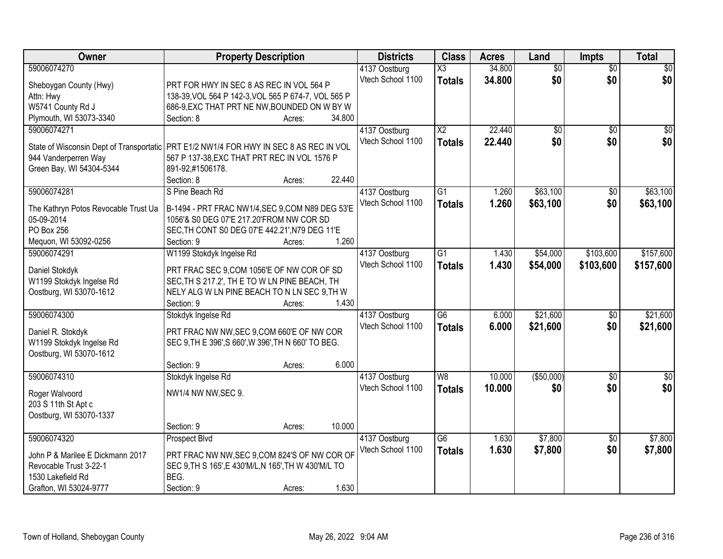| 59006074270<br>34.800<br>$\overline{50}$<br>$\overline{30}$<br>X3<br>$\overline{50}$<br>4137 Oostburg<br>\$0<br>Vtech School 1100<br>\$0<br>\$0<br>34.800<br><b>Totals</b><br>Sheboygan County (Hwy)<br>PRT FOR HWY IN SEC 8 AS REC IN VOL 564 P<br>138-39, VOL 564 P 142-3, VOL 565 P 674-7, VOL 565 P<br>Attn: Hwy |
|----------------------------------------------------------------------------------------------------------------------------------------------------------------------------------------------------------------------------------------------------------------------------------------------------------------------|
|                                                                                                                                                                                                                                                                                                                      |
|                                                                                                                                                                                                                                                                                                                      |
|                                                                                                                                                                                                                                                                                                                      |
| W5741 County Rd J<br>686-9, EXC THAT PRT NE NW, BOUNDED ON W BY W                                                                                                                                                                                                                                                    |
| Plymouth, WI 53073-3340<br>34.800<br>Section: 8<br>Acres:                                                                                                                                                                                                                                                            |
| 22.440<br>59006074271<br>$\overline{X2}$<br>$\overline{50}$<br>$\overline{50}$<br>$\sqrt{50}$<br>4137 Oostburg                                                                                                                                                                                                       |
| \$0<br>\$0 <br>Vtech School 1100<br>22.440<br>\$0<br><b>Totals</b>                                                                                                                                                                                                                                                   |
| State of Wisconsin Dept of Transportatic<br>PRT E1/2 NW1/4 FOR HWY IN SEC 8 AS REC IN VOL                                                                                                                                                                                                                            |
| 944 Vanderperren Way<br>567 P 137-38, EXC THAT PRT REC IN VOL 1576 P                                                                                                                                                                                                                                                 |
| Green Bay, WI 54304-5344<br>891-92,#1506178.<br>22.440<br>Section: 8                                                                                                                                                                                                                                                 |
| Acres:<br>S Pine Beach Rd<br>\$63,100<br>\$63,100<br>59006074281<br>$\overline{G1}$<br>1.260<br>$\overline{50}$                                                                                                                                                                                                      |
| 4137 Oostburg<br>Vtech School 1100                                                                                                                                                                                                                                                                                   |
| \$63,100<br>\$0<br>1.260<br>\$63,100<br><b>Totals</b><br>The Kathryn Potos Revocable Trust Ua<br>B-1494 - PRT FRAC NW1/4, SEC 9, COM N89 DEG 53'E                                                                                                                                                                    |
| 05-09-2014<br>1056'& S0 DEG 07'E 217.20'FROM NW COR SD                                                                                                                                                                                                                                                               |
| PO Box 256<br>SEC, TH CONT S0 DEG 07'E 442.21', N79 DEG 11'E                                                                                                                                                                                                                                                         |
| 1.260<br>Mequon, WI 53092-0256<br>Section: 9<br>Acres:                                                                                                                                                                                                                                                               |
| \$157,600<br>59006074291<br>W1199 Stokdyk Ingelse Rd<br>$\overline{G1}$<br>\$54,000<br>\$103,600<br>4137 Oostburg<br>1.430                                                                                                                                                                                           |
| Vtech School 1100<br>1.430<br>\$54,000<br>\$103,600<br>\$157,600<br><b>Totals</b><br>Daniel Stokdyk<br>PRT FRAC SEC 9,COM 1056'E OF NW COR OF SD                                                                                                                                                                     |
| W1199 Stokdyk Ingelse Rd<br>SEC, TH S 217.2', TH E TO W LN PINE BEACH, TH                                                                                                                                                                                                                                            |
| Oostburg, WI 53070-1612<br>NELY ALG W LN PINE BEACH TO N LN SEC 9,TH W                                                                                                                                                                                                                                               |
| Section: 9<br>1.430<br>Acres:                                                                                                                                                                                                                                                                                        |
| \$21,600<br>59006074300<br>$\overline{G6}$<br>\$21,600<br>6.000<br>\$0<br>Stokdyk Ingelse Rd<br>4137 Oostburg                                                                                                                                                                                                        |
| Vtech School 1100<br>6.000<br>\$21,600<br>\$0<br>\$21,600<br>Totals                                                                                                                                                                                                                                                  |
| PRT FRAC NW NW, SEC 9, COM 660'E OF NW COR<br>Daniel R. Stokdyk                                                                                                                                                                                                                                                      |
| W1199 Stokdyk Ingelse Rd<br>SEC 9, TH E 396', S 660', W 396', TH N 660' TO BEG.                                                                                                                                                                                                                                      |
| Oostburg, WI 53070-1612                                                                                                                                                                                                                                                                                              |
| 6.000<br>Section: 9<br>Acres:                                                                                                                                                                                                                                                                                        |
| 59006074310<br>10.000<br>( \$50,000)<br>$\overline{30}$<br>W <sub>8</sub><br>$\overline{50}$<br>Stokdyk Ingelse Rd<br>4137 Oostburg                                                                                                                                                                                  |
| \$0<br>Vtech School 1100<br>10.000<br>\$0<br>\$0<br><b>Totals</b><br>NW1/4 NW NW, SEC 9.<br>Roger Walvoord                                                                                                                                                                                                           |
| 203 S 11th St Apt c                                                                                                                                                                                                                                                                                                  |
| Oostburg, WI 53070-1337                                                                                                                                                                                                                                                                                              |
| 10.000<br>Section: 9<br>Acres:                                                                                                                                                                                                                                                                                       |
| \$7,800<br>59006074320<br>Prospect Blvd<br>G6<br>\$7,800<br>4137 Oostburg<br>1.630<br>$\overline{30}$                                                                                                                                                                                                                |
| Vtech School 1100<br>1.630<br>\$7,800<br>\$0<br>\$7,800<br><b>Totals</b><br>John P & Marilee E Dickmann 2017<br>PRT FRAC NW NW, SEC 9, COM 824'S OF NW COR OF                                                                                                                                                        |
| Revocable Trust 3-22-1<br>SEC 9, TH S 165', E 430'M/L, N 165', TH W 430'M/L TO                                                                                                                                                                                                                                       |
| BEG.<br>1530 Lakefield Rd                                                                                                                                                                                                                                                                                            |
| 1.630<br>Grafton, WI 53024-9777<br>Section: 9<br>Acres:                                                                                                                                                                                                                                                              |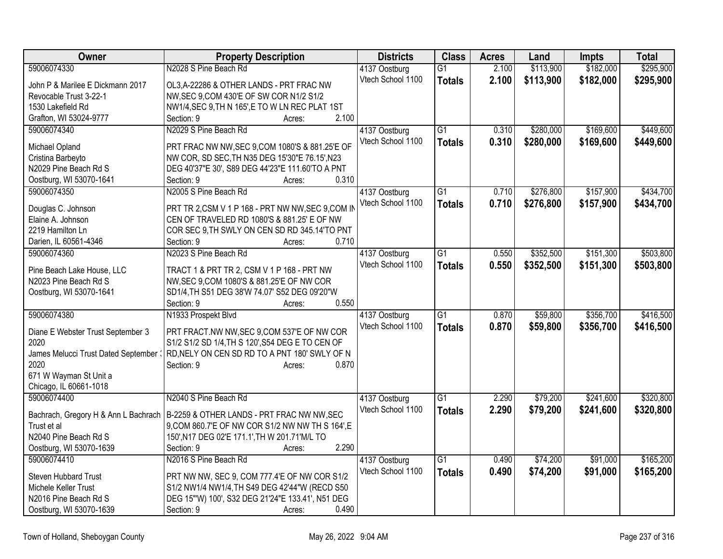| Owner                                 | <b>Property Description</b>                               | <b>Districts</b>  | <b>Class</b>    | <b>Acres</b> | Land      | <b>Impts</b> | <b>Total</b> |
|---------------------------------------|-----------------------------------------------------------|-------------------|-----------------|--------------|-----------|--------------|--------------|
| 59006074330                           | N2028 S Pine Beach Rd                                     | 4137 Oostburg     | G1              | 2.100        | \$113,900 | \$182,000    | \$295,900    |
| John P & Marilee E Dickmann 2017      | OL3, A-22286 & OTHER LANDS - PRT FRAC NW                  | Vtech School 1100 | <b>Totals</b>   | 2.100        | \$113,900 | \$182,000    | \$295,900    |
| Revocable Trust 3-22-1                | NW, SEC 9, COM 430'E OF SW COR N1/2 S1/2                  |                   |                 |              |           |              |              |
| 1530 Lakefield Rd                     | NW1/4, SEC 9, TH N 165', E TO W LN REC PLAT 1ST           |                   |                 |              |           |              |              |
| Grafton, WI 53024-9777                | 2.100<br>Section: 9<br>Acres:                             |                   |                 |              |           |              |              |
| 59006074340                           | N2029 S Pine Beach Rd                                     | 4137 Oostburg     | G1              | 0.310        | \$280,000 | \$169,600    | \$449,600    |
|                                       |                                                           | Vtech School 1100 | <b>Totals</b>   | 0.310        | \$280,000 | \$169,600    | \$449,600    |
| Michael Opland                        | PRT FRAC NW NW, SEC 9, COM 1080'S & 881.25'E OF           |                   |                 |              |           |              |              |
| Cristina Barbeyto                     | NW COR, SD SEC, TH N35 DEG 15'30"E 76.15', N23            |                   |                 |              |           |              |              |
| N2029 Pine Beach Rd S                 | DEG 40'37"E 30', S89 DEG 44'23"E 111.60'TO A PNT<br>0.310 |                   |                 |              |           |              |              |
| Oostburg, WI 53070-1641               | Section: 9<br>Acres:                                      |                   |                 |              |           |              |              |
| 59006074350                           | N2005 S Pine Beach Rd                                     | 4137 Oostburg     | $\overline{G1}$ | 0.710        | \$276,800 | \$157,900    | \$434,700    |
| Douglas C. Johnson                    | PRT TR 2,CSM V 1 P 168 - PRT NW NW, SEC 9,COM IN          | Vtech School 1100 | <b>Totals</b>   | 0.710        | \$276,800 | \$157,900    | \$434,700    |
| Elaine A. Johnson                     | CEN OF TRAVELED RD 1080'S & 881.25' E OF NW               |                   |                 |              |           |              |              |
| 2219 Hamilton Ln                      | COR SEC 9, TH SWLY ON CEN SD RD 345.14'TO PNT             |                   |                 |              |           |              |              |
| Darien, IL 60561-4346                 | 0.710<br>Section: 9<br>Acres:                             |                   |                 |              |           |              |              |
| 59006074360                           | N2023 S Pine Beach Rd                                     | 4137 Oostburg     | $\overline{G1}$ | 0.550        | \$352,500 | \$151,300    | \$503,800    |
|                                       |                                                           | Vtech School 1100 | <b>Totals</b>   | 0.550        | \$352,500 | \$151,300    | \$503,800    |
| Pine Beach Lake House, LLC            | TRACT 1 & PRT TR 2, CSM V 1 P 168 - PRT NW                |                   |                 |              |           |              |              |
| N2023 Pine Beach Rd S                 | NW, SEC 9, COM 1080'S & 881.25'E OF NW COR                |                   |                 |              |           |              |              |
| Oostburg, WI 53070-1641               | SD1/4, TH S51 DEG 38'W 74.07' S52 DEG 09'20"W<br>0.550    |                   |                 |              |           |              |              |
| 59006074380                           | Section: 9<br>Acres:                                      |                   | $\overline{G1}$ | 0.870        |           |              |              |
|                                       | N1933 Prospekt Blvd                                       | 4137 Oostburg     |                 |              | \$59,800  | \$356,700    | \$416,500    |
| Diane E Webster Trust September 3     | PRT FRACT.NW NW, SEC 9, COM 537'E OF NW COR               | Vtech School 1100 | <b>Totals</b>   | 0.870        | \$59,800  | \$356,700    | \$416,500    |
| 2020                                  | S1/2 S1/2 SD 1/4, TH S 120', S54 DEG E TO CEN OF          |                   |                 |              |           |              |              |
| James Melucci Trust Dated September : | RD, NELY ON CEN SD RD TO A PNT 180' SWLY OF N             |                   |                 |              |           |              |              |
| 2020                                  | 0.870<br>Section: 9<br>Acres:                             |                   |                 |              |           |              |              |
| 671 W Wayman St Unit a                |                                                           |                   |                 |              |           |              |              |
| Chicago, IL 60661-1018                |                                                           |                   |                 |              |           |              |              |
| 59006074400                           | N2040 S Pine Beach Rd                                     | 4137 Oostburg     | G1              | 2.290        | \$79,200  | \$241,600    | \$320,800    |
| Bachrach, Gregory H & Ann L Bachrach  | B-2259 & OTHER LANDS - PRT FRAC NW NW, SEC                | Vtech School 1100 | <b>Totals</b>   | 2.290        | \$79,200  | \$241,600    | \$320,800    |
| Trust et al                           | 9, COM 860. 7'E OF NW COR S1/2 NW NW TH S 164', E         |                   |                 |              |           |              |              |
| N2040 Pine Beach Rd S                 | 150', N17 DEG 02'E 171.1', TH W 201.71'M/L TO             |                   |                 |              |           |              |              |
| Oostburg, WI 53070-1639               | 2.290<br>Section: 9<br>Acres:                             |                   |                 |              |           |              |              |
| 59006074410                           | N2016 S Pine Beach Rd                                     | 4137 Oostburg     | $\overline{G1}$ | 0.490        | \$74,200  | \$91,000     | \$165,200    |
|                                       |                                                           | Vtech School 1100 | <b>Totals</b>   | 0.490        | \$74,200  | \$91,000     | \$165,200    |
| Steven Hubbard Trust                  | PRT NW NW, SEC 9, COM 777.4'E OF NW COR S1/2              |                   |                 |              |           |              |              |
| Michele Keller Trust                  | S1/2 NW1/4 NW1/4, TH S49 DEG 42'44"W (RECD S50            |                   |                 |              |           |              |              |
| N2016 Pine Beach Rd S                 | DEG 15"W) 100', S32 DEG 21'24"E 133.41', N51 DEG          |                   |                 |              |           |              |              |
| Oostburg, WI 53070-1639               | 0.490<br>Section: 9<br>Acres:                             |                   |                 |              |           |              |              |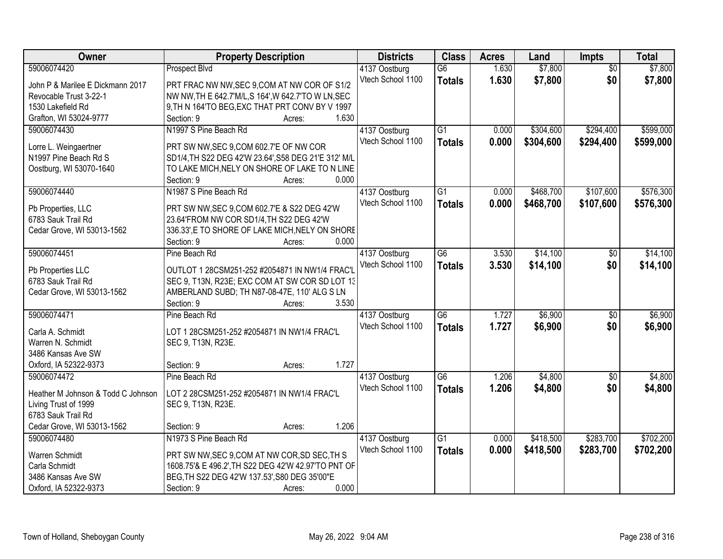| Owner                              | <b>Property Description</b>                          |                 | <b>Districts</b>  | <b>Class</b>    | <b>Acres</b> | Land      | <b>Impts</b>    | <b>Total</b> |
|------------------------------------|------------------------------------------------------|-----------------|-------------------|-----------------|--------------|-----------|-----------------|--------------|
| 59006074420                        | <b>Prospect Blvd</b>                                 |                 | 4137 Oostburg     | $\overline{G6}$ | 1.630        | \$7,800   | $\overline{50}$ | \$7,800      |
| John P & Marilee E Dickmann 2017   | PRT FRAC NW NW, SEC 9, COM AT NW COR OF S1/2         |                 | Vtech School 1100 | <b>Totals</b>   | 1.630        | \$7,800   | \$0             | \$7,800      |
| Revocable Trust 3-22-1             | NW NW, TH E 642.7'M/L, S 164', W 642.7'TO W LN, SEC  |                 |                   |                 |              |           |                 |              |
| 1530 Lakefield Rd                  | 9, TH N 164'TO BEG, EXC THAT PRT CONV BY V 1997      |                 |                   |                 |              |           |                 |              |
| Grafton, WI 53024-9777             | Section: 9                                           | 1.630<br>Acres: |                   |                 |              |           |                 |              |
| 59006074430                        | N1997 S Pine Beach Rd                                |                 | 4137 Oostburg     | $\overline{G1}$ | 0.000        | \$304,600 | \$294,400       | \$599,000    |
|                                    |                                                      |                 | Vtech School 1100 | <b>Totals</b>   | 0.000        | \$304,600 | \$294,400       | \$599,000    |
| Lorre L. Weingaertner              | PRT SW NW, SEC 9, COM 602.7'E OF NW COR              |                 |                   |                 |              |           |                 |              |
| N1997 Pine Beach Rd S              | SD1/4, TH S22 DEG 42'W 23.64', S58 DEG 21'E 312' M/L |                 |                   |                 |              |           |                 |              |
| Oostburg, WI 53070-1640            | TO LAKE MICH, NELY ON SHORE OF LAKE TO N LINE        |                 |                   |                 |              |           |                 |              |
|                                    | Section: 9                                           | 0.000<br>Acres: |                   |                 |              |           |                 |              |
| 59006074440                        | N1987 S Pine Beach Rd                                |                 | 4137 Oostburg     | $\overline{G1}$ | 0.000        | \$468,700 | \$107,600       | \$576,300    |
| Pb Properties, LLC                 | PRT SW NW, SEC 9, COM 602.7'E & S22 DEG 42'W         |                 | Vtech School 1100 | <b>Totals</b>   | 0.000        | \$468,700 | \$107,600       | \$576,300    |
| 6783 Sauk Trail Rd                 | 23.64'FROM NW COR SD1/4,TH S22 DEG 42'W              |                 |                   |                 |              |           |                 |              |
| Cedar Grove, WI 53013-1562         | 336.33', E TO SHORE OF LAKE MICH, NELY ON SHORE      |                 |                   |                 |              |           |                 |              |
|                                    | Section: 9                                           | 0.000<br>Acres: |                   |                 |              |           |                 |              |
| 59006074451                        | Pine Beach Rd                                        |                 | 4137 Oostburg     | $\overline{G6}$ | 3.530        | \$14,100  | $\sqrt[6]{}$    | \$14,100     |
|                                    |                                                      |                 | Vtech School 1100 | <b>Totals</b>   | 3.530        | \$14,100  | \$0             | \$14,100     |
| Pb Properties LLC                  | OUTLOT 1 28CSM251-252 #2054871 IN NW1/4 FRAC'L       |                 |                   |                 |              |           |                 |              |
| 6783 Sauk Trail Rd                 | SEC 9, T13N, R23E; EXC COM AT SW COR SD LOT 13       |                 |                   |                 |              |           |                 |              |
| Cedar Grove, WI 53013-1562         | AMBERLAND SUBD; TH N87-08-47E, 110' ALG S LN         |                 |                   |                 |              |           |                 |              |
|                                    | Section: 9                                           | 3.530<br>Acres: |                   |                 |              |           |                 |              |
| 59006074471                        | Pine Beach Rd                                        |                 | 4137 Oostburg     | $\overline{G6}$ | 1.727        | \$6,900   | $\overline{50}$ | \$6,900      |
| Carla A. Schmidt                   | LOT 1 28CSM251-252 #2054871 IN NW1/4 FRAC'L          |                 | Vtech School 1100 | <b>Totals</b>   | 1.727        | \$6,900   | \$0             | \$6,900      |
| Warren N. Schmidt                  | SEC 9, T13N, R23E.                                   |                 |                   |                 |              |           |                 |              |
| 3486 Kansas Ave SW                 |                                                      |                 |                   |                 |              |           |                 |              |
| Oxford, IA 52322-9373              | Section: 9                                           | 1.727<br>Acres: |                   |                 |              |           |                 |              |
| 59006074472                        | Pine Beach Rd                                        |                 | 4137 Oostburg     | G6              | 1.206        | \$4,800   | \$0             | \$4,800      |
|                                    |                                                      |                 | Vtech School 1100 | <b>Totals</b>   | 1.206        | \$4,800   | \$0             | \$4,800      |
| Heather M Johnson & Todd C Johnson | LOT 2 28CSM251-252 #2054871 IN NW1/4 FRAC'L          |                 |                   |                 |              |           |                 |              |
| Living Trust of 1999               | SEC 9, T13N, R23E.                                   |                 |                   |                 |              |           |                 |              |
| 6783 Sauk Trail Rd                 |                                                      |                 |                   |                 |              |           |                 |              |
| Cedar Grove, WI 53013-1562         | Section: 9                                           | 1.206<br>Acres: |                   |                 |              |           |                 |              |
| 59006074480                        | N1973 S Pine Beach Rd                                |                 | 4137 Oostburg     | $\overline{G1}$ | 0.000        | \$418,500 | \$283,700       | \$702,200    |
| Warren Schmidt                     | PRT SW NW, SEC 9, COM AT NW COR, SD SEC, TH S        |                 | Vtech School 1100 | <b>Totals</b>   | 0.000        | \$418,500 | \$283,700       | \$702,200    |
| Carla Schmidt                      | 1608.75'& E 496.2', TH S22 DEG 42'W 42.97'TO PNT OF  |                 |                   |                 |              |           |                 |              |
| 3486 Kansas Ave SW                 | BEG, TH S22 DEG 42'W 137.53', S80 DEG 35'00"E        |                 |                   |                 |              |           |                 |              |
| Oxford, IA 52322-9373              | Section: 9                                           | 0.000<br>Acres: |                   |                 |              |           |                 |              |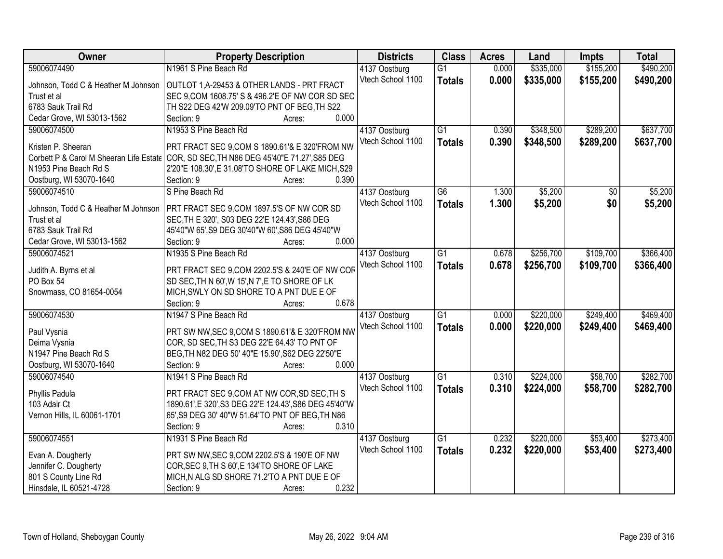| Owner                                   | <b>Property Description</b>                            | <b>Districts</b>  | <b>Class</b>    | <b>Acres</b> | Land      | <b>Impts</b> | <b>Total</b> |
|-----------------------------------------|--------------------------------------------------------|-------------------|-----------------|--------------|-----------|--------------|--------------|
| 59006074490                             | N1961 S Pine Beach Rd                                  | 4137 Oostburg     | $\overline{G1}$ | 0.000        | \$335,000 | \$155,200    | \$490,200    |
| Johnson, Todd C & Heather M Johnson     | OUTLOT 1, A-29453 & OTHER LANDS - PRT FRACT            | Vtech School 1100 | <b>Totals</b>   | 0.000        | \$335,000 | \$155,200    | \$490,200    |
| Trust et al                             | SEC 9, COM 1608.75' S & 496.2'E OF NW COR SD SEC       |                   |                 |              |           |              |              |
| 6783 Sauk Trail Rd                      | TH S22 DEG 42'W 209.09'TO PNT OF BEG, TH S22           |                   |                 |              |           |              |              |
| Cedar Grove, WI 53013-1562              | 0.000<br>Section: 9<br>Acres:                          |                   |                 |              |           |              |              |
| 59006074500                             | N1953 S Pine Beach Rd                                  | 4137 Oostburg     | $\overline{G1}$ | 0.390        | \$348,500 | \$289,200    | \$637,700    |
|                                         |                                                        | Vtech School 1100 | <b>Totals</b>   | 0.390        | \$348,500 | \$289,200    | \$637,700    |
| Kristen P. Sheeran                      | PRT FRACT SEC 9,COM S 1890.61'& E 320'FROM NW          |                   |                 |              |           |              |              |
| Corbett P & Carol M Sheeran Life Estate | COR, SD SEC, TH N86 DEG 45'40"E 71.27', S85 DEG        |                   |                 |              |           |              |              |
| N1953 Pine Beach Rd S                   | 2'20"E 108.30', E 31.08'TO SHORE OF LAKE MICH, S29     |                   |                 |              |           |              |              |
| Oostburg, WI 53070-1640                 | 0.390<br>Section: 9<br>Acres:                          |                   |                 |              |           |              |              |
| 59006074510                             | S Pine Beach Rd                                        | 4137 Oostburg     | $\overline{G6}$ | 1.300        | \$5,200   | \$0          | \$5,200      |
| Johnson, Todd C & Heather M Johnson     | PRT FRACT SEC 9,COM 1897.5'S OF NW COR SD              | Vtech School 1100 | <b>Totals</b>   | 1.300        | \$5,200   | \$0          | \$5,200      |
| Trust et al                             | SEC, TH E 320', S03 DEG 22'E 124.43', S86 DEG          |                   |                 |              |           |              |              |
| 6783 Sauk Trail Rd                      | 45'40"W 65', S9 DEG 30'40"W 60', S86 DEG 45'40"W       |                   |                 |              |           |              |              |
| Cedar Grove, WI 53013-1562              | 0.000<br>Section: 9<br>Acres:                          |                   |                 |              |           |              |              |
| 59006074521                             | N1935 S Pine Beach Rd                                  | 4137 Oostburg     | $\overline{G1}$ | 0.678        | \$256,700 | \$109,700    | \$366,400    |
|                                         |                                                        | Vtech School 1100 |                 | 0.678        | \$256,700 | \$109,700    | \$366,400    |
| Judith A. Byrns et al                   | PRT FRACT SEC 9, COM 2202.5'S & 240'E OF NW COF        |                   | <b>Totals</b>   |              |           |              |              |
| PO Box 54                               | SD SEC, TH N 60', W 15', N 7', E TO SHORE OF LK        |                   |                 |              |           |              |              |
| Snowmass, CO 81654-0054                 | MICH, SWLY ON SD SHORE TO A PNT DUE E OF               |                   |                 |              |           |              |              |
|                                         | 0.678<br>Section: 9<br>Acres:                          |                   |                 |              |           |              |              |
| 59006074530                             | N1947 S Pine Beach Rd                                  | 4137 Oostburg     | $\overline{G1}$ | 0.000        | \$220,000 | \$249,400    | \$469,400    |
|                                         | PRT SW NW, SEC 9, COM S 1890.61'& E 320'FROM NW        | Vtech School 1100 | <b>Totals</b>   | 0.000        | \$220,000 | \$249,400    | \$469,400    |
| Paul Vysnia                             | COR, SD SEC, TH S3 DEG 22'E 64.43' TO PNT OF           |                   |                 |              |           |              |              |
| Deima Vysnia<br>N1947 Pine Beach Rd S   | BEG, TH N82 DEG 50' 40"E 15.90', S62 DEG 22'50"E       |                   |                 |              |           |              |              |
| Oostburg, WI 53070-1640                 | 0.000<br>Section: 9                                    |                   |                 |              |           |              |              |
|                                         | Acres:<br>N1941 S Pine Beach Rd                        |                   |                 |              |           |              |              |
| 59006074540                             |                                                        | 4137 Oostburg     | $\overline{G1}$ | 0.310        | \$224,000 | \$58,700     | \$282,700    |
| Phyllis Padula                          | PRT FRACT SEC 9,COM AT NW COR, SD SEC, TH S            | Vtech School 1100 | <b>Totals</b>   | 0.310        | \$224,000 | \$58,700     | \$282,700    |
| 103 Adair Ct                            | 1890.61', E 320', S3 DEG 22'E 124.43', S86 DEG 45'40"W |                   |                 |              |           |              |              |
| Vernon Hills, IL 60061-1701             | 65', S9 DEG 30' 40"W 51.64'TO PNT OF BEG, TH N86       |                   |                 |              |           |              |              |
|                                         | 0.310<br>Section: 9<br>Acres:                          |                   |                 |              |           |              |              |
| 59006074551                             | N1931 S Pine Beach Rd                                  | 4137 Oostburg     | G1              | 0.232        | \$220,000 | \$53,400     | \$273,400    |
|                                         |                                                        | Vtech School 1100 | <b>Totals</b>   | 0.232        | \$220,000 | \$53,400     | \$273,400    |
| Evan A. Dougherty                       | PRT SW NW, SEC 9, COM 2202.5'S & 190'E OF NW           |                   |                 |              |           |              |              |
| Jennifer C. Dougherty                   | COR, SEC 9, TH S 60', E 134'TO SHORE OF LAKE           |                   |                 |              |           |              |              |
| 801 S County Line Rd                    | MICH, N ALG SD SHORE 71.2'TO A PNT DUE E OF            |                   |                 |              |           |              |              |
| Hinsdale, IL 60521-4728                 | 0.232<br>Section: 9<br>Acres:                          |                   |                 |              |           |              |              |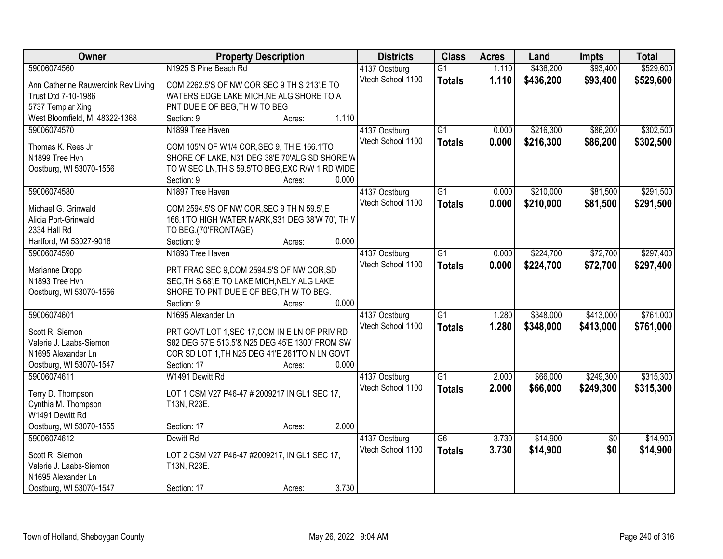| Owner                               | <b>Property Description</b>                      | <b>Districts</b>  | <b>Class</b>    | <b>Acres</b> | Land      | <b>Impts</b>    | <b>Total</b> |
|-------------------------------------|--------------------------------------------------|-------------------|-----------------|--------------|-----------|-----------------|--------------|
| 59006074560                         | N1925 S Pine Beach Rd                            | 4137 Oostburg     | $\overline{G1}$ | 1.110        | \$436,200 | \$93,400        | \$529,600    |
| Ann Catherine Rauwerdink Rev Living | COM 2262.5'S OF NW COR SEC 9 TH S 213',E TO      | Vtech School 1100 | <b>Totals</b>   | 1.110        | \$436,200 | \$93,400        | \$529,600    |
| Trust Dtd 7-10-1986                 | WATERS EDGE LAKE MICH, NE ALG SHORE TO A         |                   |                 |              |           |                 |              |
| 5737 Templar Xing                   | PNT DUE E OF BEG, TH W TO BEG                    |                   |                 |              |           |                 |              |
| West Bloomfield, MI 48322-1368      | 1.110<br>Section: 9<br>Acres:                    |                   |                 |              |           |                 |              |
| 59006074570                         | N1899 Tree Haven                                 | 4137 Oostburg     | $\overline{G1}$ | 0.000        | \$216,300 | \$86,200        | \$302,500    |
|                                     |                                                  | Vtech School 1100 | <b>Totals</b>   | 0.000        | \$216,300 | \$86,200        | \$302,500    |
| Thomas K. Rees Jr                   | COM 105'N OF W1/4 COR, SEC 9, TH E 166.1'TO      |                   |                 |              |           |                 |              |
| N1899 Tree Hvn                      | SHORE OF LAKE, N31 DEG 38'E 70'ALG SD SHORE W    |                   |                 |              |           |                 |              |
| Oostburg, WI 53070-1556             | TO W SEC LN, TH S 59.5'TO BEG, EXC R/W 1 RD WIDE |                   |                 |              |           |                 |              |
|                                     | 0.000<br>Section: 9<br>Acres:                    |                   |                 |              |           |                 |              |
| 59006074580                         | N1897 Tree Haven                                 | 4137 Oostburg     | $\overline{G1}$ | 0.000        | \$210,000 | \$81,500        | \$291,500    |
| Michael G. Grinwald                 | COM 2594.5'S OF NW COR, SEC 9 TH N 59.5', E      | Vtech School 1100 | <b>Totals</b>   | 0.000        | \$210,000 | \$81,500        | \$291,500    |
| Alicia Port-Grinwald                | 166.1'TO HIGH WATER MARK, S31 DEG 38'W 70', TH V |                   |                 |              |           |                 |              |
| 2334 Hall Rd                        | TO BEG.(70'FRONTAGE)                             |                   |                 |              |           |                 |              |
| Hartford, WI 53027-9016             | 0.000<br>Section: 9<br>Acres:                    |                   |                 |              |           |                 |              |
| 59006074590                         | N1893 Tree Haven                                 | 4137 Oostburg     | $\overline{G1}$ | 0.000        | \$224,700 | \$72,700        | \$297,400    |
|                                     |                                                  | Vtech School 1100 | <b>Totals</b>   | 0.000        | \$224,700 | \$72,700        | \$297,400    |
| Marianne Dropp                      | PRT FRAC SEC 9,COM 2594.5'S OF NW COR,SD         |                   |                 |              |           |                 |              |
| N1893 Tree Hvn                      | SEC, TH S 68', E TO LAKE MICH, NELY ALG LAKE     |                   |                 |              |           |                 |              |
| Oostburg, WI 53070-1556             | SHORE TO PNT DUE E OF BEG, TH W TO BEG.          |                   |                 |              |           |                 |              |
|                                     | 0.000<br>Section: 9<br>Acres:                    |                   |                 |              |           |                 |              |
| 59006074601                         | N1695 Alexander Ln                               | 4137 Oostburg     | $\overline{G1}$ | 1.280        | \$348,000 | \$413,000       | \$761,000    |
| Scott R. Siemon                     | PRT GOVT LOT 1, SEC 17, COM IN E LN OF PRIV RD   | Vtech School 1100 | <b>Totals</b>   | 1.280        | \$348,000 | \$413,000       | \$761,000    |
| Valerie J. Laabs-Siemon             | S82 DEG 57'E 513.5'& N25 DEG 45'E 1300' FROM SW  |                   |                 |              |           |                 |              |
| N1695 Alexander Ln                  | COR SD LOT 1, TH N25 DEG 41'E 261'TO N LN GOVT   |                   |                 |              |           |                 |              |
| Oostburg, WI 53070-1547             | 0.000<br>Section: 17<br>Acres:                   |                   |                 |              |           |                 |              |
| 59006074611                         | W1491 Dewitt Rd                                  | 4137 Oostburg     | $\overline{G1}$ | 2.000        | \$66,000  | \$249,300       | \$315,300    |
|                                     |                                                  | Vtech School 1100 | <b>Totals</b>   | 2.000        | \$66,000  | \$249,300       | \$315,300    |
| Terry D. Thompson                   | LOT 1 CSM V27 P46-47 # 2009217 IN GL1 SEC 17,    |                   |                 |              |           |                 |              |
| Cynthia M. Thompson                 | T13N, R23E.                                      |                   |                 |              |           |                 |              |
| W1491 Dewitt Rd                     |                                                  |                   |                 |              |           |                 |              |
| Oostburg, WI 53070-1555             | 2.000<br>Section: 17<br>Acres:                   |                   |                 |              |           |                 |              |
| 59006074612                         | Dewitt Rd                                        | 4137 Oostburg     | $\overline{G6}$ | 3.730        | \$14,900  | $\overline{30}$ | \$14,900     |
| Scott R. Siemon                     | LOT 2 CSM V27 P46-47 #2009217, IN GL1 SEC 17,    | Vtech School 1100 | <b>Totals</b>   | 3.730        | \$14,900  | \$0             | \$14,900     |
| Valerie J. Laabs-Siemon             | T13N, R23E.                                      |                   |                 |              |           |                 |              |
| N1695 Alexander Ln                  |                                                  |                   |                 |              |           |                 |              |
| Oostburg, WI 53070-1547             | 3.730<br>Section: 17<br>Acres:                   |                   |                 |              |           |                 |              |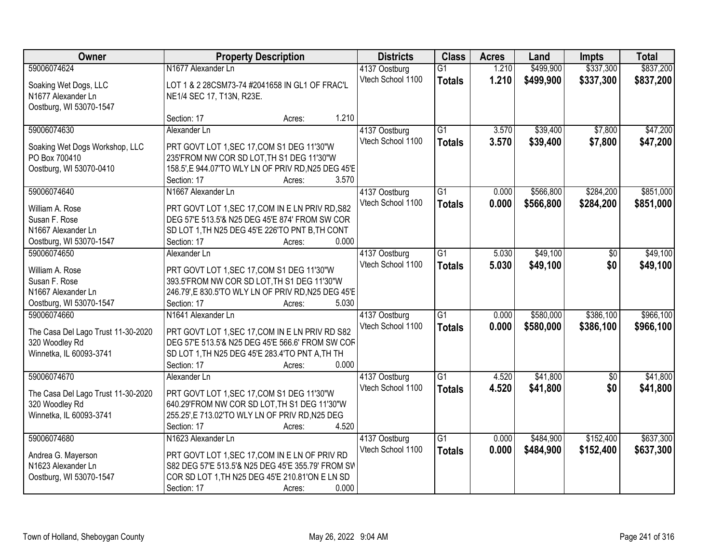| Owner                              | <b>Property Description</b>                         | <b>Districts</b>  | <b>Class</b>    | <b>Acres</b> | Land      | <b>Impts</b>    | <b>Total</b> |
|------------------------------------|-----------------------------------------------------|-------------------|-----------------|--------------|-----------|-----------------|--------------|
| 59006074624                        | N1677 Alexander Ln                                  | 4137 Oostburg     | $\overline{G1}$ | 1.210        | \$499,900 | \$337,300       | \$837,200    |
| Soaking Wet Dogs, LLC              | LOT 1 & 2 28CSM73-74 #2041658 IN GL1 OF FRAC'L      | Vtech School 1100 | <b>Totals</b>   | 1.210        | \$499,900 | \$337,300       | \$837,200    |
| N1677 Alexander Ln                 | NE1/4 SEC 17, T13N, R23E.                           |                   |                 |              |           |                 |              |
| Oostburg, WI 53070-1547            |                                                     |                   |                 |              |           |                 |              |
|                                    | Section: 17<br>Acres:                               | 1.210             |                 |              |           |                 |              |
| 59006074630                        | Alexander Ln                                        | 4137 Oostburg     | $\overline{G1}$ | 3.570        | \$39,400  | \$7,800         | \$47,200     |
| Soaking Wet Dogs Workshop, LLC     | PRT GOVT LOT 1, SEC 17, COM S1 DEG 11'30"W          | Vtech School 1100 | <b>Totals</b>   | 3.570        | \$39,400  | \$7,800         | \$47,200     |
| PO Box 700410                      | 235'FROM NW COR SD LOT, TH S1 DEG 11'30"W           |                   |                 |              |           |                 |              |
| Oostburg, WI 53070-0410            | 158.5', E 944.07'TO WLY LN OF PRIV RD, N25 DEG 45'E |                   |                 |              |           |                 |              |
|                                    | Section: 17<br>Acres:                               | 3.570             |                 |              |           |                 |              |
| 59006074640                        | N1667 Alexander Ln                                  | 4137 Oostburg     | G1              | 0.000        | \$566,800 | \$284,200       | \$851,000    |
|                                    |                                                     | Vtech School 1100 | <b>Totals</b>   | 0.000        | \$566,800 | \$284,200       | \$851,000    |
| William A. Rose                    | PRT GOVT LOT 1, SEC 17, COM IN E LN PRIV RD, S82    |                   |                 |              |           |                 |              |
| Susan F. Rose                      | DEG 57'E 513.5'& N25 DEG 45'E 874' FROM SW COR      |                   |                 |              |           |                 |              |
| N1667 Alexander Ln                 | SD LOT 1, TH N25 DEG 45'E 226'TO PNT B, TH CONT     |                   |                 |              |           |                 |              |
| Oostburg, WI 53070-1547            | Section: 17<br>Acres:                               | 0.000             |                 |              |           |                 |              |
| 59006074650                        | Alexander Ln                                        | 4137 Oostburg     | G1              | 5.030        | \$49,100  | $\frac{1}{20}$  | \$49,100     |
| William A. Rose                    | PRT GOVT LOT 1, SEC 17, COM S1 DEG 11'30"W          | Vtech School 1100 | <b>Totals</b>   | 5.030        | \$49,100  | \$0             | \$49,100     |
| Susan F. Rose                      | 393.5'FROM NW COR SD LOT, TH S1 DEG 11'30"W         |                   |                 |              |           |                 |              |
| N1667 Alexander Ln                 | 246.79',E 830.5'TO WLY LN OF PRIV RD, N25 DEG 45'E  |                   |                 |              |           |                 |              |
| Oostburg, WI 53070-1547            | Section: 17<br>Acres:                               | 5.030             |                 |              |           |                 |              |
| 59006074660                        | N1641 Alexander Ln                                  | 4137 Oostburg     | $\overline{G1}$ | 0.000        | \$580,000 | \$386,100       | \$966,100    |
| The Casa Del Lago Trust 11-30-2020 | PRT GOVT LOT 1, SEC 17, COM IN E LN PRIV RD S82     | Vtech School 1100 | <b>Totals</b>   | 0.000        | \$580,000 | \$386,100       | \$966,100    |
| 320 Woodley Rd                     | DEG 57'E 513.5'& N25 DEG 45'E 566.6' FROM SW COF    |                   |                 |              |           |                 |              |
| Winnetka, IL 60093-3741            | SD LOT 1, TH N25 DEG 45'E 283.4'TO PNT A, TH TH     |                   |                 |              |           |                 |              |
|                                    | Section: 17<br>Acres:                               | 0.000             |                 |              |           |                 |              |
| 59006074670                        | Alexander Ln                                        | 4137 Oostburg     | $\overline{G1}$ | 4.520        | \$41,800  | $\overline{50}$ | \$41,800     |
|                                    |                                                     | Vtech School 1100 | <b>Totals</b>   | 4.520        | \$41,800  | \$0             | \$41,800     |
| The Casa Del Lago Trust 11-30-2020 | PRT GOVT LOT 1, SEC 17, COM S1 DEG 11'30"W          |                   |                 |              |           |                 |              |
| 320 Woodley Rd                     | 640.29'FROM NW COR SD LOT, TH S1 DEG 11'30"W        |                   |                 |              |           |                 |              |
| Winnetka, IL 60093-3741            | 255.25', E 713.02'TO WLY LN OF PRIV RD, N25 DEG     |                   |                 |              |           |                 |              |
|                                    | Section: 17<br>Acres:                               | 4.520             |                 |              |           |                 |              |
| 59006074680                        | N1623 Alexander Ln                                  | 4137 Oostburg     | $\overline{G1}$ | 0.000        | \$484,900 | \$152,400       | \$637,300    |
| Andrea G. Mayerson                 | PRT GOVT LOT 1, SEC 17, COM IN E LN OF PRIV RD      | Vtech School 1100 | <b>Totals</b>   | 0.000        | \$484,900 | \$152,400       | \$637,300    |
| N1623 Alexander Ln                 | S82 DEG 57'E 513.5'& N25 DEG 45'E 355.79' FROM SV   |                   |                 |              |           |                 |              |
| Oostburg, WI 53070-1547            | COR SD LOT 1, TH N25 DEG 45'E 210.81'ON E LN SD     |                   |                 |              |           |                 |              |
|                                    | Section: 17<br>Acres:                               | 0.000             |                 |              |           |                 |              |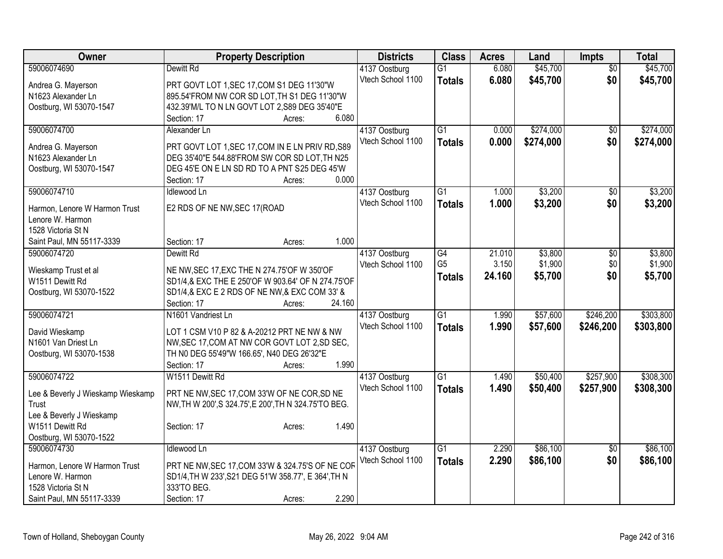| Owner                                           | <b>Property Description</b>                           | <b>Districts</b>  | <b>Class</b>    | <b>Acres</b> | Land      | Impts           | <b>Total</b> |
|-------------------------------------------------|-------------------------------------------------------|-------------------|-----------------|--------------|-----------|-----------------|--------------|
| 59006074690                                     | Dewitt Rd                                             | 4137 Oostburg     | $\overline{G1}$ | 6.080        | \$45,700  | $\overline{50}$ | \$45,700     |
| Andrea G. Mayerson                              | PRT GOVT LOT 1, SEC 17, COM S1 DEG 11'30"W            | Vtech School 1100 | <b>Totals</b>   | 6.080        | \$45,700  | \$0             | \$45,700     |
| N1623 Alexander Ln                              | 895.54'FROM NW COR SD LOT, TH S1 DEG 11'30"W          |                   |                 |              |           |                 |              |
| Oostburg, WI 53070-1547                         | 432.39'M/L TO N LN GOVT LOT 2,S89 DEG 35'40"E         |                   |                 |              |           |                 |              |
|                                                 | 6.080<br>Section: 17<br>Acres:                        |                   |                 |              |           |                 |              |
| 59006074700                                     | Alexander Ln                                          | 4137 Oostburg     | $\overline{G1}$ | 0.000        | \$274,000 | \$0             | \$274,000    |
| Andrea G. Mayerson                              | PRT GOVT LOT 1, SEC 17, COM IN E LN PRIV RD, S89      | Vtech School 1100 | <b>Totals</b>   | 0.000        | \$274,000 | \$0             | \$274,000    |
| N1623 Alexander Ln                              | DEG 35'40"E 544.88'FROM SW COR SD LOT, TH N25         |                   |                 |              |           |                 |              |
| Oostburg, WI 53070-1547                         | DEG 45'E ON E LN SD RD TO A PNT S25 DEG 45'W          |                   |                 |              |           |                 |              |
|                                                 | 0.000<br>Section: 17<br>Acres:                        |                   |                 |              |           |                 |              |
| 59006074710                                     | <b>Idlewood Ln</b>                                    | 4137 Oostburg     | $\overline{G1}$ | 1.000        | \$3,200   | \$0             | \$3,200      |
|                                                 |                                                       | Vtech School 1100 | <b>Totals</b>   | 1.000        | \$3,200   | \$0             | \$3,200      |
| Harmon, Lenore W Harmon Trust                   | E2 RDS OF NE NW, SEC 17(ROAD                          |                   |                 |              |           |                 |              |
| Lenore W. Harmon                                |                                                       |                   |                 |              |           |                 |              |
| 1528 Victoria St N<br>Saint Paul, MN 55117-3339 | 1.000<br>Section: 17                                  |                   |                 |              |           |                 |              |
| 59006074720                                     | Acres:<br>Dewitt Rd                                   | 4137 Oostburg     | G4              | 21.010       | \$3,800   | \$0             | \$3,800      |
|                                                 |                                                       | Vtech School 1100 | G <sub>5</sub>  | 3.150        | \$1,900   | \$0             | \$1,900      |
| Wieskamp Trust et al                            | NE NW, SEC 17, EXC THE N 274.75'OF W 350'OF           |                   | <b>Totals</b>   | 24.160       | \$5,700   | \$0             | \$5,700      |
| W1511 Dewitt Rd                                 | SD1/4,& EXC THE E 250'OF W 903.64' OF N 274.75'OF     |                   |                 |              |           |                 |              |
| Oostburg, WI 53070-1522                         | SD1/4,& EXC E 2 RDS OF NE NW,& EXC COM 33' &          |                   |                 |              |           |                 |              |
|                                                 | Section: 17<br>24.160<br>Acres:                       |                   |                 |              |           |                 |              |
| 59006074721                                     | N1601 Vandriest Ln                                    | 4137 Oostburg     | $\overline{G1}$ | 1.990        | \$57,600  | \$246,200       | \$303,800    |
| David Wieskamp                                  | LOT 1 CSM V10 P 82 & A-20212 PRT NE NW & NW           | Vtech School 1100 | <b>Totals</b>   | 1.990        | \$57,600  | \$246,200       | \$303,800    |
| N1601 Van Driest Ln                             | NW, SEC 17, COM AT NW COR GOVT LOT 2, SD SEC,         |                   |                 |              |           |                 |              |
| Oostburg, WI 53070-1538                         | TH N0 DEG 55'49"W 166.65', N40 DEG 26'32"E            |                   |                 |              |           |                 |              |
|                                                 | 1.990<br>Section: 17<br>Acres:                        |                   |                 |              |           |                 |              |
| 59006074722                                     | W1511 Dewitt Rd                                       | 4137 Oostburg     | $\overline{G1}$ | 1.490        | \$50,400  | \$257,900       | \$308,300    |
| Lee & Beverly J Wieskamp Wieskamp               | PRT NE NW, SEC 17, COM 33'W OF NE COR, SD NE          | Vtech School 1100 | <b>Totals</b>   | 1.490        | \$50,400  | \$257,900       | \$308,300    |
| <b>Trust</b>                                    | NW, TH W 200', S 324.75', E 200', TH N 324.75'TO BEG. |                   |                 |              |           |                 |              |
| Lee & Beverly J Wieskamp                        |                                                       |                   |                 |              |           |                 |              |
| W1511 Dewitt Rd                                 | 1.490<br>Section: 17<br>Acres:                        |                   |                 |              |           |                 |              |
| Oostburg, WI 53070-1522                         |                                                       |                   |                 |              |           |                 |              |
| 59006074730                                     | <b>Idlewood Ln</b>                                    | 4137 Oostburg     | $\overline{G1}$ | 2.290        | \$86,100  | $\overline{30}$ | \$86,100     |
|                                                 |                                                       | Vtech School 1100 | <b>Totals</b>   | 2.290        | \$86,100  | \$0             | \$86,100     |
| Harmon, Lenore W Harmon Trust                   | PRT NE NW, SEC 17, COM 33'W & 324.75'S OF NE COF      |                   |                 |              |           |                 |              |
| Lenore W. Harmon                                | SD1/4, TH W 233', S21 DEG 51'W 358.77', E 364', TH N  |                   |                 |              |           |                 |              |
| 1528 Victoria St N                              | 333'TO BEG.                                           |                   |                 |              |           |                 |              |
| Saint Paul, MN 55117-3339                       | 2.290<br>Section: 17<br>Acres:                        |                   |                 |              |           |                 |              |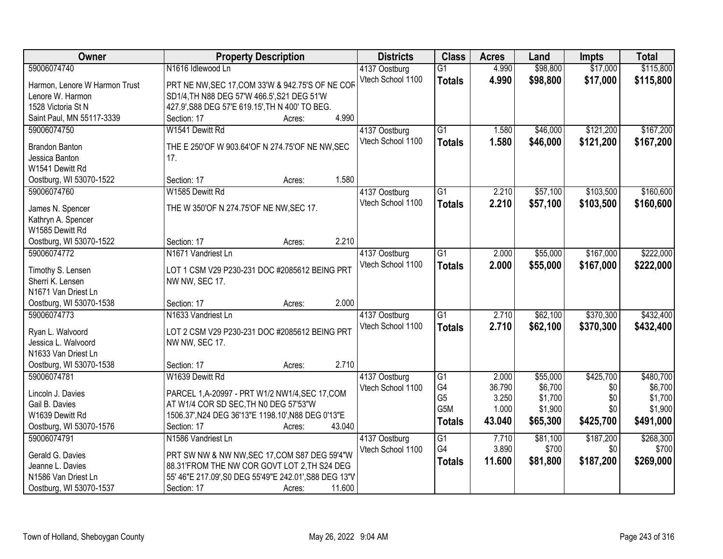| Owner                         | <b>Property Description</b>                            | <b>Districts</b>  | <b>Class</b>     | <b>Acres</b> | Land     | <b>Impts</b> | <b>Total</b> |
|-------------------------------|--------------------------------------------------------|-------------------|------------------|--------------|----------|--------------|--------------|
| 59006074740                   | N1616 Idlewood Ln                                      | 4137 Oostburg     | $\overline{G1}$  | 4.990        | \$98,800 | \$17,000     | \$115,800    |
| Harmon, Lenore W Harmon Trust | PRT NE NW, SEC 17, COM 33'W & 942.75'S OF NE COR       | Vtech School 1100 | <b>Totals</b>    | 4.990        | \$98,800 | \$17,000     | \$115,800    |
| Lenore W. Harmon              | SD1/4, TH N88 DEG 57'W 466.5', S21 DEG 51'W            |                   |                  |              |          |              |              |
| 1528 Victoria St N            | 427.9', S88 DEG 57'E 619.15', TH N 400' TO BEG.        |                   |                  |              |          |              |              |
| Saint Paul, MN 55117-3339     | 4.990<br>Section: 17<br>Acres:                         |                   |                  |              |          |              |              |
| 59006074750                   | W1541 Dewitt Rd                                        | 4137 Oostburg     | $\overline{G1}$  | 1.580        | \$46,000 | \$121,200    | \$167,200    |
|                               |                                                        | Vtech School 1100 | <b>Totals</b>    | 1.580        | \$46,000 | \$121,200    | \$167,200    |
| <b>Brandon Banton</b>         | THE E 250'OF W 903.64'OF N 274.75'OF NE NW, SEC        |                   |                  |              |          |              |              |
| Jessica Banton                | 17.                                                    |                   |                  |              |          |              |              |
| W1541 Dewitt Rd               |                                                        |                   |                  |              |          |              |              |
| Oostburg, WI 53070-1522       | 1.580<br>Section: 17<br>Acres:                         |                   |                  |              |          |              |              |
| 59006074760                   | W1585 Dewitt Rd                                        | 4137 Oostburg     | $\overline{G1}$  | 2.210        | \$57,100 | \$103,500    | \$160,600    |
| James N. Spencer              | THE W 350'OF N 274.75'OF NE NW, SEC 17.                | Vtech School 1100 | <b>Totals</b>    | 2.210        | \$57,100 | \$103,500    | \$160,600    |
| Kathryn A. Spencer            |                                                        |                   |                  |              |          |              |              |
| W1585 Dewitt Rd               |                                                        |                   |                  |              |          |              |              |
| Oostburg, WI 53070-1522       | 2.210<br>Section: 17<br>Acres:                         |                   |                  |              |          |              |              |
| 59006074772                   | N1671 Vandriest Ln                                     | 4137 Oostburg     | G1               | 2.000        | \$55,000 | \$167,000    | \$222,000    |
|                               |                                                        | Vtech School 1100 | <b>Totals</b>    | 2.000        | \$55,000 | \$167,000    | \$222,000    |
| Timothy S. Lensen             | LOT 1 CSM V29 P230-231 DOC #2085612 BEING PRT          |                   |                  |              |          |              |              |
| Sherri K. Lensen              | NW NW, SEC 17.                                         |                   |                  |              |          |              |              |
| N1671 Van Driest Ln           |                                                        |                   |                  |              |          |              |              |
| Oostburg, WI 53070-1538       | 2.000<br>Section: 17<br>Acres:                         |                   |                  |              |          |              |              |
| 59006074773                   | N1633 Vandriest Ln                                     | 4137 Oostburg     | $\overline{G1}$  | 2.710        | \$62,100 | \$370,300    | \$432,400    |
| Ryan L. Walvoord              | LOT 2 CSM V29 P230-231 DOC #2085612 BEING PRT          | Vtech School 1100 | <b>Totals</b>    | 2.710        | \$62,100 | \$370,300    | \$432,400    |
| Jessica L. Walvoord           | NW NW, SEC 17.                                         |                   |                  |              |          |              |              |
| N1633 Van Driest Ln           |                                                        |                   |                  |              |          |              |              |
| Oostburg, WI 53070-1538       | 2.710<br>Section: 17<br>Acres:                         |                   |                  |              |          |              |              |
| 59006074781                   | W1639 Dewitt Rd                                        | 4137 Oostburg     | $\overline{G1}$  | 2.000        | \$55,000 | \$425,700    | \$480,700    |
|                               |                                                        | Vtech School 1100 | G4               | 36.790       | \$6,700  | \$0          | \$6,700      |
| Lincoln J. Davies             | PARCEL 1, A-20997 - PRT W1/2 NW1/4, SEC 17, COM        |                   | G <sub>5</sub>   | 3.250        | \$1,700  | \$0          | \$1,700      |
| Gail B. Davies                | AT W1/4 COR SD SEC, TH N0 DEG 57'53"W                  |                   | G <sub>5</sub> M | 1.000        | \$1,900  | \$0          | \$1,900      |
| W1639 Dewitt Rd               | 1506.37', N24 DEG 36'13"E 1198.10', N88 DEG 0'13"E     |                   | <b>Totals</b>    | 43.040       | \$65,300 | \$425,700    | \$491,000    |
| Oostburg, WI 53070-1576       | Section: 17<br>43.040<br>Acres:                        |                   |                  |              |          |              |              |
| 59006074791                   | N1586 Vandriest Ln                                     | 4137 Oostburg     | $\overline{G1}$  | 7.710        | \$81,100 | \$187,200    | \$268,300    |
| Gerald G. Davies              | PRT SW NW & NW NW, SEC 17, COM S87 DEG 59'4"W          | Vtech School 1100 | G4               | 3.890        | \$700    | \$0          | \$700        |
| Jeanne L. Davies              | 88.31 FROM THE NW COR GOVT LOT 2, TH S24 DEG           |                   | <b>Totals</b>    | 11.600       | \$81,800 | \$187,200    | \$269,000    |
| N1586 Van Driest Ln           | 55' 46"E 217.09', S0 DEG 55'49"E 242.01', S88 DEG 13"V |                   |                  |              |          |              |              |
| Oostburg, WI 53070-1537       | 11.600<br>Section: 17<br>Acres:                        |                   |                  |              |          |              |              |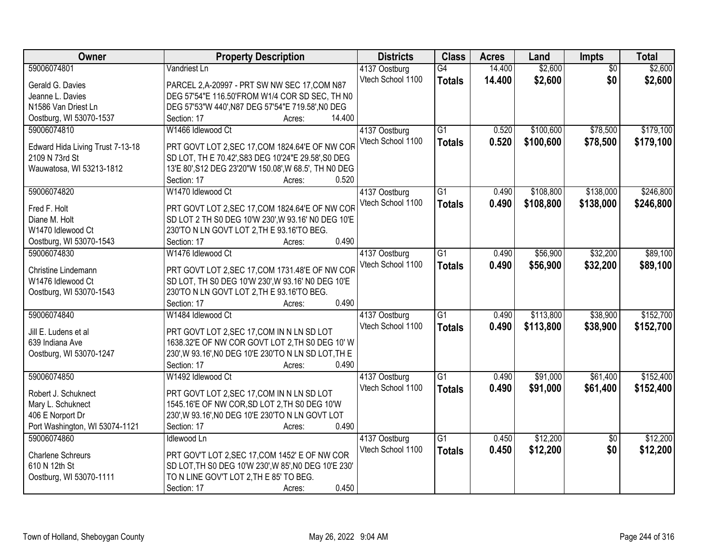| Owner                            | <b>Property Description</b>                           | <b>Districts</b>  | <b>Class</b>    | <b>Acres</b> | Land      | Impts           | <b>Total</b> |
|----------------------------------|-------------------------------------------------------|-------------------|-----------------|--------------|-----------|-----------------|--------------|
| 59006074801                      | Vandriest Ln                                          | 4137 Oostburg     | G4              | 14.400       | \$2,600   | $\overline{50}$ | \$2,600      |
| Gerald G. Davies                 | PARCEL 2, A-20997 - PRT SW NW SEC 17, COM N87         | Vtech School 1100 | <b>Totals</b>   | 14.400       | \$2,600   | \$0             | \$2,600      |
| Jeanne L. Davies                 | DEG 57'54"E 116.50'FROM W1/4 COR SD SEC, TH N0        |                   |                 |              |           |                 |              |
| N1586 Van Driest Ln              | DEG 57'53"W 440', N87 DEG 57'54"E 719.58', N0 DEG     |                   |                 |              |           |                 |              |
| Oostburg, WI 53070-1537          | 14.400<br>Section: 17<br>Acres:                       |                   |                 |              |           |                 |              |
| 59006074810                      | W1466 Idlewood Ct                                     | 4137 Oostburg     | $\overline{G1}$ | 0.520        | \$100,600 | \$78,500        | \$179,100    |
|                                  |                                                       | Vtech School 1100 | <b>Totals</b>   | 0.520        | \$100,600 | \$78,500        | \$179,100    |
| Edward Hida Living Trust 7-13-18 | PRT GOVT LOT 2, SEC 17, COM 1824.64'E OF NW COR       |                   |                 |              |           |                 |              |
| 2109 N 73rd St                   | SD LOT, TH E 70.42', S83 DEG 10'24"E 29.58', S0 DEG   |                   |                 |              |           |                 |              |
| Wauwatosa, WI 53213-1812         | 13'E 80', S12 DEG 23'20"W 150.08', W 68.5', TH N0 DEG |                   |                 |              |           |                 |              |
|                                  | 0.520<br>Section: 17<br>Acres:                        |                   |                 |              |           |                 |              |
| 59006074820                      | W1470 Idlewood Ct                                     | 4137 Oostburg     | G1              | 0.490        | \$108,800 | \$138,000       | \$246,800    |
| Fred F. Holt                     | PRT GOVT LOT 2, SEC 17, COM 1824.64'E OF NW COR       | Vtech School 1100 | <b>Totals</b>   | 0.490        | \$108,800 | \$138,000       | \$246,800    |
| Diane M. Holt                    | SD LOT 2 TH S0 DEG 10'W 230', W 93.16' NO DEG 10'E    |                   |                 |              |           |                 |              |
| W1470 Idlewood Ct                | 230'TO N LN GOVT LOT 2, TH E 93.16'TO BEG.            |                   |                 |              |           |                 |              |
| Oostburg, WI 53070-1543          | 0.490<br>Section: 17<br>Acres:                        |                   |                 |              |           |                 |              |
| 59006074830                      | W1476 Idlewood Ct                                     | 4137 Oostburg     | $\overline{G1}$ | 0.490        | \$56,900  | \$32,200        | \$89,100     |
|                                  |                                                       | Vtech School 1100 | <b>Totals</b>   | 0.490        | \$56,900  | \$32,200        | \$89,100     |
| Christine Lindemann              | PRT GOVT LOT 2, SEC 17, COM 1731.48'E OF NW COR       |                   |                 |              |           |                 |              |
| W1476 Idlewood Ct                | SD LOT, TH S0 DEG 10'W 230', W 93.16' NO DEG 10'E     |                   |                 |              |           |                 |              |
| Oostburg, WI 53070-1543          | 230'TO N LN GOVT LOT 2, TH E 93.16'TO BEG.            |                   |                 |              |           |                 |              |
|                                  | 0.490<br>Section: 17<br>Acres:                        |                   |                 |              |           |                 |              |
| 59006074840                      | W1484 Idlewood Ct                                     | 4137 Oostburg     | $\overline{G1}$ | 0.490        | \$113,800 | \$38,900        | \$152,700    |
| Jill E. Ludens et al             | PRT GOVT LOT 2, SEC 17, COM IN N LN SD LOT            | Vtech School 1100 | <b>Totals</b>   | 0.490        | \$113,800 | \$38,900        | \$152,700    |
| 639 Indiana Ave                  | 1638.32'E OF NW COR GOVT LOT 2, TH S0 DEG 10' W       |                   |                 |              |           |                 |              |
| Oostburg, WI 53070-1247          | 230', W 93.16', NO DEG 10'E 230'TO N LN SD LOT, TH E  |                   |                 |              |           |                 |              |
|                                  | 0.490<br>Section: 17<br>Acres:                        |                   |                 |              |           |                 |              |
| 59006074850                      | W1492 Idlewood Ct                                     | 4137 Oostburg     | $\overline{G1}$ | 0.490        | \$91,000  | \$61,400        | \$152,400    |
|                                  |                                                       | Vtech School 1100 | <b>Totals</b>   | 0.490        | \$91,000  | \$61,400        | \$152,400    |
| Robert J. Schuknect              | PRT GOVT LOT 2, SEC 17, COM IN N LN SD LOT            |                   |                 |              |           |                 |              |
| Mary L. Schuknect                | 1545.16'E OF NW COR, SD LOT 2, TH S0 DEG 10'W         |                   |                 |              |           |                 |              |
| 406 E Norport Dr                 | 230', W 93.16', NO DEG 10'E 230'TO N LN GOVT LOT      |                   |                 |              |           |                 |              |
| Port Washington, WI 53074-1121   | 0.490<br>Section: 17<br>Acres:                        |                   |                 |              |           |                 |              |
| 59006074860                      | <b>Idlewood Ln</b>                                    | 4137 Oostburg     | $\overline{G1}$ | 0.450        | \$12,200  | $\overline{50}$ | \$12,200     |
| <b>Charlene Schreurs</b>         | PRT GOV'T LOT 2, SEC 17, COM 1452' E OF NW COR        | Vtech School 1100 | <b>Totals</b>   | 0.450        | \$12,200  | \$0             | \$12,200     |
| 610 N 12th St                    | SD LOT, TH S0 DEG 10'W 230', W 85', N0 DEG 10'E 230'  |                   |                 |              |           |                 |              |
| Oostburg, WI 53070-1111          | TO N LINE GOV'T LOT 2, TH E 85' TO BEG.               |                   |                 |              |           |                 |              |
|                                  | 0.450<br>Section: 17<br>Acres:                        |                   |                 |              |           |                 |              |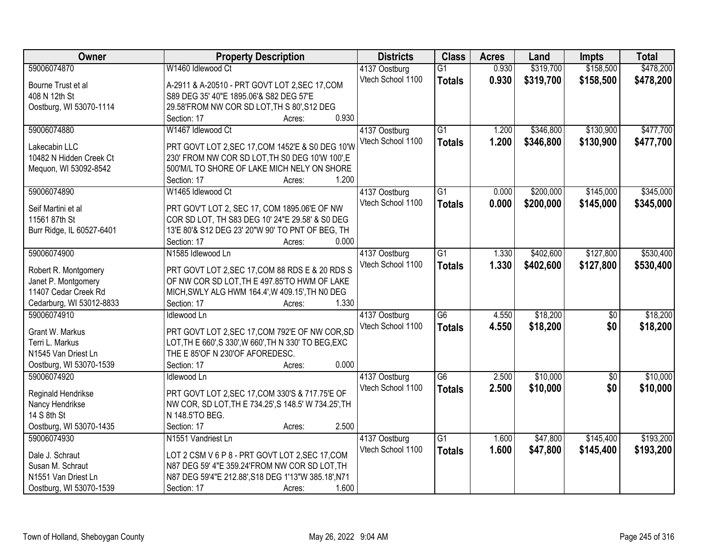| <b>Owner</b>              | <b>Property Description</b>                           | <b>Districts</b>                   | <b>Class</b>    | <b>Acres</b> | Land      | <b>Impts</b>    | <b>Total</b> |
|---------------------------|-------------------------------------------------------|------------------------------------|-----------------|--------------|-----------|-----------------|--------------|
| 59006074870               | W1460 Idlewood Ct                                     | 4137 Oostburg                      | $\overline{G1}$ | 0.930        | \$319,700 | \$158,500       | \$478,200    |
| Bourne Trust et al        | A-2911 & A-20510 - PRT GOVT LOT 2, SEC 17, COM        | Vtech School 1100                  | <b>Totals</b>   | 0.930        | \$319,700 | \$158,500       | \$478,200    |
| 408 N 12th St             | S89 DEG 35' 40"E 1895.06'& S82 DEG 57'E               |                                    |                 |              |           |                 |              |
| Oostburg, WI 53070-1114   | 29.58'FROM NW COR SD LOT, TH S 80', S12 DEG           |                                    |                 |              |           |                 |              |
|                           | 0.930<br>Section: 17<br>Acres:                        |                                    |                 |              |           |                 |              |
| 59006074880               | W1467 Idlewood Ct                                     | 4137 Oostburg                      | $\overline{G1}$ | 1.200        | \$346,800 | \$130,900       | \$477,700    |
|                           |                                                       | Vtech School 1100                  | <b>Totals</b>   | 1.200        | \$346,800 | \$130,900       | \$477,700    |
| Lakecabin LLC             | PRT GOVT LOT 2, SEC 17, COM 1452'E & S0 DEG 10'W      |                                    |                 |              |           |                 |              |
| 10482 N Hidden Creek Ct   | 230' FROM NW COR SD LOT, TH S0 DEG 10'W 100', E       |                                    |                 |              |           |                 |              |
| Mequon, WI 53092-8542     | 500'M/L TO SHORE OF LAKE MICH NELY ON SHORE           |                                    |                 |              |           |                 |              |
|                           | 1.200<br>Section: 17<br>Acres:                        |                                    |                 |              |           |                 |              |
| 59006074890               | W1465 Idlewood Ct                                     | 4137 Oostburg                      | $\overline{G1}$ | 0.000        | \$200,000 | \$145,000       | \$345,000    |
| Seif Martini et al        | PRT GOV'T LOT 2, SEC 17, COM 1895.06'E OF NW          | Vtech School 1100                  | <b>Totals</b>   | 0.000        | \$200,000 | \$145,000       | \$345,000    |
| 11561 87th St             | COR SD LOT, TH S83 DEG 10' 24"E 29.58' & S0 DEG       |                                    |                 |              |           |                 |              |
| Burr Ridge, IL 60527-6401 | 13'E 80'& S12 DEG 23' 20"W 90' TO PNT OF BEG, TH      |                                    |                 |              |           |                 |              |
|                           | 0.000<br>Section: 17<br>Acres:                        |                                    |                 |              |           |                 |              |
| 59006074900               | N1585 Idlewood Ln                                     |                                    | G1              | 1.330        | \$402,600 | \$127,800       | \$530,400    |
|                           |                                                       | 4137 Oostburg<br>Vtech School 1100 |                 |              |           |                 |              |
| Robert R. Montgomery      | PRT GOVT LOT 2, SEC 17, COM 88 RDS E & 20 RDS S       |                                    | <b>Totals</b>   | 1.330        | \$402,600 | \$127,800       | \$530,400    |
| Janet P. Montgomery       | OF NW COR SD LOT, TH E 497.85'TO HWM OF LAKE          |                                    |                 |              |           |                 |              |
| 11407 Cedar Creek Rd      | MICH, SWLY ALG HWM 164.4', W 409.15', TH NO DEG       |                                    |                 |              |           |                 |              |
| Cedarburg, WI 53012-8833  | 1.330<br>Section: 17<br>Acres:                        |                                    |                 |              |           |                 |              |
| 59006074910               | Idlewood Ln                                           | 4137 Oostburg                      | $\overline{G6}$ | 4.550        | \$18,200  | $\overline{50}$ | \$18,200     |
|                           |                                                       | Vtech School 1100                  | <b>Totals</b>   | 4.550        | \$18,200  | \$0             | \$18,200     |
| Grant W. Markus           | PRT GOVT LOT 2, SEC 17, COM 792'E OF NW COR, SD       |                                    |                 |              |           |                 |              |
| Terri L. Markus           | LOT, TH E 660', S 330', W 660', TH N 330' TO BEG, EXC |                                    |                 |              |           |                 |              |
| N1545 Van Driest Ln       | THE E 85'OF N 230'OF AFOREDESC.                       |                                    |                 |              |           |                 |              |
| Oostburg, WI 53070-1539   | 0.000<br>Section: 17<br>Acres:                        |                                    |                 |              |           |                 |              |
| 59006074920               | Idlewood Ln                                           | 4137 Oostburg                      | G6              | 2.500        | \$10,000  | $\overline{50}$ | \$10,000     |
| Reginald Hendrikse        | PRT GOVT LOT 2, SEC 17, COM 330'S & 717.75'E OF       | Vtech School 1100                  | <b>Totals</b>   | 2.500        | \$10,000  | \$0             | \$10,000     |
| Nancy Hendrikse           | NW COR, SD LOT, TH E 734.25', S 148.5' W 734.25', TH  |                                    |                 |              |           |                 |              |
| 14 S 8th St               | N 148.5'TO BEG.                                       |                                    |                 |              |           |                 |              |
| Oostburg, WI 53070-1435   | 2.500<br>Section: 17<br>Acres:                        |                                    |                 |              |           |                 |              |
| 59006074930               | N1551 Vandriest Ln                                    | 4137 Oostburg                      | $\overline{G1}$ | 1.600        | \$47,800  | \$145,400       | \$193,200    |
|                           |                                                       | Vtech School 1100                  | <b>Totals</b>   | 1.600        | \$47,800  | \$145,400       | \$193,200    |
| Dale J. Schraut           | LOT 2 CSM V 6 P 8 - PRT GOVT LOT 2, SEC 17, COM       |                                    |                 |              |           |                 |              |
| Susan M. Schraut          | N87 DEG 59' 4"E 359.24'FROM NW COR SD LOT, TH         |                                    |                 |              |           |                 |              |
| N1551 Van Driest Ln       | N87 DEG 59'4"E 212.88', S18 DEG 1'13"W 385.18', N71   |                                    |                 |              |           |                 |              |
| Oostburg, WI 53070-1539   | 1.600<br>Section: 17<br>Acres:                        |                                    |                 |              |           |                 |              |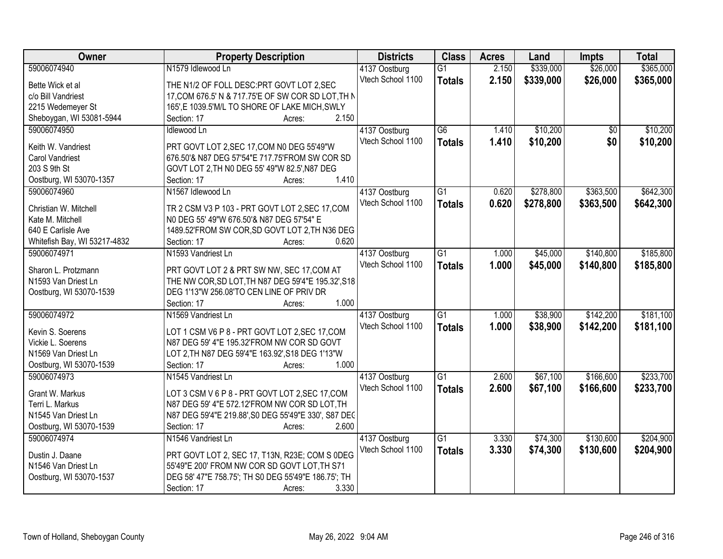| Owner                        | <b>Property Description</b>                          | <b>Districts</b>  | <b>Class</b>    | <b>Acres</b> | Land      | <b>Impts</b> | <b>Total</b> |
|------------------------------|------------------------------------------------------|-------------------|-----------------|--------------|-----------|--------------|--------------|
| 59006074940                  | N1579 Idlewood Ln                                    | 4137 Oostburg     | $\overline{G1}$ | 2.150        | \$339,000 | \$26,000     | \$365,000    |
| Bette Wick et al             | THE N1/2 OF FOLL DESC: PRT GOVT LOT 2, SEC           | Vtech School 1100 | <b>Totals</b>   | 2.150        | \$339,000 | \$26,000     | \$365,000    |
| c/o Bill Vandriest           | 17, COM 676.5' N & 717.75'E OF SW COR SD LOT, TH N   |                   |                 |              |           |              |              |
| 2215 Wedemeyer St            | 165', E 1039.5'M/L TO SHORE OF LAKE MICH, SWLY       |                   |                 |              |           |              |              |
| Sheboygan, WI 53081-5944     | 2.150<br>Section: 17<br>Acres:                       |                   |                 |              |           |              |              |
| 59006074950                  | Idlewood Ln                                          | 4137 Oostburg     | $\overline{G6}$ | 1.410        | \$10,200  | \$0          | \$10,200     |
|                              |                                                      | Vtech School 1100 | <b>Totals</b>   | 1.410        | \$10,200  | \$0          | \$10,200     |
| Keith W. Vandriest           | PRT GOVT LOT 2, SEC 17, COM N0 DEG 55'49"W           |                   |                 |              |           |              |              |
| <b>Carol Vandriest</b>       | 676.50'& N87 DEG 57'54"E 717.75'FROM SW COR SD       |                   |                 |              |           |              |              |
| 203 S 9th St                 | GOVT LOT 2, TH N0 DEG 55' 49"W 82.5', N87 DEG        |                   |                 |              |           |              |              |
| Oostburg, WI 53070-1357      | 1.410<br>Section: 17<br>Acres:                       |                   |                 |              |           |              |              |
| 59006074960                  | N1567 Idlewood Ln                                    | 4137 Oostburg     | $\overline{G1}$ | 0.620        | \$278,800 | \$363,500    | \$642,300    |
| Christian W. Mitchell        | TR 2 CSM V3 P 103 - PRT GOVT LOT 2, SEC 17, COM      | Vtech School 1100 | <b>Totals</b>   | 0.620        | \$278,800 | \$363,500    | \$642,300    |
| Kate M. Mitchell             | NO DEG 55' 49"W 676.50'& N87 DEG 57'54" E            |                   |                 |              |           |              |              |
| 640 E Carlisle Ave           | 1489.52'FROM SW COR, SD GOVT LOT 2, TH N36 DEG       |                   |                 |              |           |              |              |
| Whitefish Bay, WI 53217-4832 | 0.620<br>Section: 17<br>Acres:                       |                   |                 |              |           |              |              |
| 59006074971                  | N1593 Vandriest Ln                                   | 4137 Oostburg     | G1              | 1.000        | \$45,000  | \$140,800    | \$185,800    |
|                              |                                                      | Vtech School 1100 |                 | 1.000        | \$45,000  | \$140,800    | \$185,800    |
| Sharon L. Protzmann          | PRT GOVT LOT 2 & PRT SW NW, SEC 17, COM AT           |                   | <b>Totals</b>   |              |           |              |              |
| N1593 Van Driest Ln          | THE NW COR, SD LOT, TH N87 DEG 59'4"E 195.32', S18   |                   |                 |              |           |              |              |
| Oostburg, WI 53070-1539      | DEG 1'13"W 256.08'TO CEN LINE OF PRIV DR             |                   |                 |              |           |              |              |
|                              | 1.000<br>Section: 17<br>Acres:                       |                   |                 |              |           |              |              |
| 59006074972                  | N1569 Vandriest Ln                                   | 4137 Oostburg     | $\overline{G1}$ | 1.000        | \$38,900  | \$142,200    | \$181,100    |
|                              |                                                      | Vtech School 1100 | <b>Totals</b>   | 1.000        | \$38,900  | \$142,200    | \$181,100    |
| Kevin S. Soerens             | LOT 1 CSM V6 P 8 - PRT GOVT LOT 2, SEC 17, COM       |                   |                 |              |           |              |              |
| Vickie L. Soerens            | N87 DEG 59' 4"E 195.32'FROM NW COR SD GOVT           |                   |                 |              |           |              |              |
| N1569 Van Driest Ln          | LOT 2, TH N87 DEG 59'4"E 163.92', S18 DEG 1'13"W     |                   |                 |              |           |              |              |
| Oostburg, WI 53070-1539      | 1.000<br>Section: 17<br>Acres:                       |                   |                 |              |           |              |              |
| 59006074973                  | N1545 Vandriest Ln                                   | 4137 Oostburg     | $\overline{G1}$ | 2.600        | \$67,100  | \$166,600    | \$233,700    |
| Grant W. Markus              | LOT 3 CSM V 6 P 8 - PRT GOVT LOT 2, SEC 17, COM      | Vtech School 1100 | <b>Totals</b>   | 2.600        | \$67,100  | \$166,600    | \$233,700    |
| Terri L. Markus              | N87 DEG 59' 4"E 572.12'FROM NW COR SD LOT, TH        |                   |                 |              |           |              |              |
| N1545 Van Driest Ln          | N87 DEG 59'4"E 219.88', S0 DEG 55'49"E 330', S87 DEC |                   |                 |              |           |              |              |
| Oostburg, WI 53070-1539      | 2.600<br>Section: 17<br>Acres:                       |                   |                 |              |           |              |              |
| 59006074974                  | N1546 Vandriest Ln                                   | 4137 Oostburg     | $\overline{G1}$ | 3.330        | \$74,300  | \$130,600    | \$204,900    |
|                              |                                                      | Vtech School 1100 | <b>Totals</b>   | 3.330        | \$74,300  | \$130,600    | \$204,900    |
| Dustin J. Daane              | PRT GOVT LOT 2, SEC 17, T13N, R23E; COM S 0DEG       |                   |                 |              |           |              |              |
| N1546 Van Driest Ln          | 55'49"E 200' FROM NW COR SD GOVT LOT, TH S71         |                   |                 |              |           |              |              |
| Oostburg, WI 53070-1537      | DEG 58' 47"E 758.75'; TH S0 DEG 55'49"E 186.75'; TH  |                   |                 |              |           |              |              |
|                              | 3.330<br>Section: 17<br>Acres:                       |                   |                 |              |           |              |              |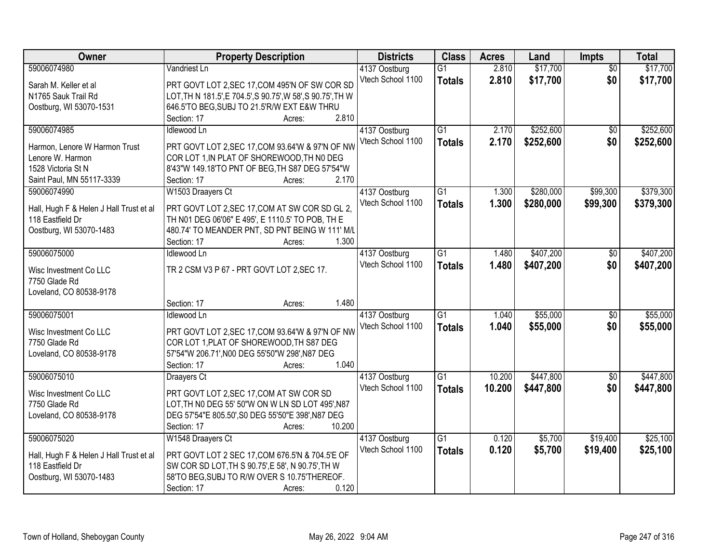| <b>Owner</b>                            | <b>Property Description</b>                                                                  | <b>Districts</b>  | <b>Class</b>    | <b>Acres</b> | Land      | Impts           | <b>Total</b> |
|-----------------------------------------|----------------------------------------------------------------------------------------------|-------------------|-----------------|--------------|-----------|-----------------|--------------|
| 59006074980                             | Vandriest Ln                                                                                 | 4137 Oostburg     | $\overline{G1}$ | 2.810        | \$17,700  | $\overline{50}$ | \$17,700     |
| Sarah M. Keller et al                   | PRT GOVT LOT 2, SEC 17, COM 495'N OF SW COR SD                                               | Vtech School 1100 | <b>Totals</b>   | 2.810        | \$17,700  | \$0             | \$17,700     |
| N1765 Sauk Trail Rd                     | LOT, TH N 181.5', E 704.5', S 90.75', W 58', S 90.75', TH W                                  |                   |                 |              |           |                 |              |
| Oostburg, WI 53070-1531                 | 646.5'TO BEG, SUBJ TO 21.5'R/W EXT E&W THRU                                                  |                   |                 |              |           |                 |              |
|                                         | 2.810<br>Section: 17<br>Acres:                                                               |                   |                 |              |           |                 |              |
| 59006074985                             | Idlewood Ln                                                                                  | 4137 Oostburg     | $\overline{G1}$ | 2.170        | \$252,600 | $\overline{50}$ | \$252,600    |
| Harmon, Lenore W Harmon Trust           | PRT GOVT LOT 2, SEC 17, COM 93.64'W & 97'N OF NW                                             | Vtech School 1100 | <b>Totals</b>   | 2.170        | \$252,600 | \$0             | \$252,600    |
| Lenore W. Harmon                        | COR LOT 1, IN PLAT OF SHOREWOOD, TH NO DEG                                                   |                   |                 |              |           |                 |              |
| 1528 Victoria St N                      | 8'43"W 149.18'TO PNT OF BEG, TH S87 DEG 57'54"W                                              |                   |                 |              |           |                 |              |
| Saint Paul, MN 55117-3339               | 2.170<br>Section: 17<br>Acres:                                                               |                   |                 |              |           |                 |              |
| 59006074990                             | W1503 Draayers Ct                                                                            | 4137 Oostburg     | G1              | 1.300        | \$280,000 | \$99,300        | \$379,300    |
|                                         |                                                                                              | Vtech School 1100 | <b>Totals</b>   | 1.300        | \$280,000 | \$99,300        | \$379,300    |
| Hall, Hugh F & Helen J Hall Trust et al | PRT GOVT LOT 2, SEC 17, COM AT SW COR SD GL 2,                                               |                   |                 |              |           |                 |              |
| 118 Eastfield Dr                        | TH N01 DEG 06'06" E 495', E 1110.5' TO POB, TH E                                             |                   |                 |              |           |                 |              |
| Oostburg, WI 53070-1483                 | 480.74' TO MEANDER PNT, SD PNT BEING W 111' M/L                                              |                   |                 |              |           |                 |              |
|                                         | Section: 17<br>1.300<br>Acres:                                                               |                   |                 |              |           |                 |              |
| 59006075000                             | Idlewood Ln                                                                                  | 4137 Oostburg     | $\overline{G1}$ | 1.480        | \$407,200 | \$0             | \$407,200    |
| Wisc Investment Co LLC                  | TR 2 CSM V3 P 67 - PRT GOVT LOT 2, SEC 17.                                                   | Vtech School 1100 | <b>Totals</b>   | 1.480        | \$407,200 | \$0             | \$407,200    |
| 7750 Glade Rd                           |                                                                                              |                   |                 |              |           |                 |              |
| Loveland, CO 80538-9178                 |                                                                                              |                   |                 |              |           |                 |              |
|                                         | 1.480<br>Section: 17<br>Acres:                                                               |                   |                 |              |           |                 |              |
| 59006075001                             | Idlewood Ln                                                                                  | 4137 Oostburg     | $\overline{G1}$ | 1.040        | \$55,000  | $\overline{50}$ | \$55,000     |
| Wisc Investment Co LLC                  | PRT GOVT LOT 2, SEC 17, COM 93.64'W & 97'N OF NW                                             | Vtech School 1100 | <b>Totals</b>   | 1.040        | \$55,000  | \$0             | \$55,000     |
| 7750 Glade Rd                           | COR LOT 1, PLAT OF SHOREWOOD, TH S87 DEG                                                     |                   |                 |              |           |                 |              |
| Loveland, CO 80538-9178                 | 57'54"W 206.71', N00 DEG 55'50"W 298', N87 DEG                                               |                   |                 |              |           |                 |              |
|                                         | 1.040<br>Section: 17<br>Acres:                                                               |                   |                 |              |           |                 |              |
| 59006075010                             | Draayers Ct                                                                                  | 4137 Oostburg     | G1              | 10.200       | \$447,800 | $\overline{50}$ | \$447,800    |
|                                         |                                                                                              | Vtech School 1100 | <b>Totals</b>   | 10.200       | \$447,800 | \$0             | \$447,800    |
| Wisc Investment Co LLC<br>7750 Glade Rd | PRT GOVT LOT 2, SEC 17, COM AT SW COR SD<br>LOT, TH NO DEG 55' 50"W ON W LN SD LOT 495', N87 |                   |                 |              |           |                 |              |
| Loveland, CO 80538-9178                 | DEG 57'54"E 805.50', S0 DEG 55'50"E 398', N87 DEG                                            |                   |                 |              |           |                 |              |
|                                         | 10.200<br>Section: 17<br>Acres:                                                              |                   |                 |              |           |                 |              |
| 59006075020                             | W1548 Draayers Ct                                                                            | 4137 Oostburg     | $\overline{G1}$ | 0.120        | \$5,700   | \$19,400        | \$25,100     |
|                                         |                                                                                              | Vtech School 1100 | <b>Totals</b>   | 0.120        | \$5,700   | \$19,400        | \$25,100     |
| Hall, Hugh F & Helen J Hall Trust et al | PRT GOVT LOT 2 SEC 17, COM 676.5'N & 704.5'E OF                                              |                   |                 |              |           |                 |              |
| 118 Eastfield Dr                        | SW COR SD LOT, TH S 90.75', E 58', N 90.75', TH W                                            |                   |                 |              |           |                 |              |
| Oostburg, WI 53070-1483                 | 58'TO BEG, SUBJ TO R/W OVER S 10.75'THEREOF.                                                 |                   |                 |              |           |                 |              |
|                                         | 0.120<br>Section: 17<br>Acres:                                                               |                   |                 |              |           |                 |              |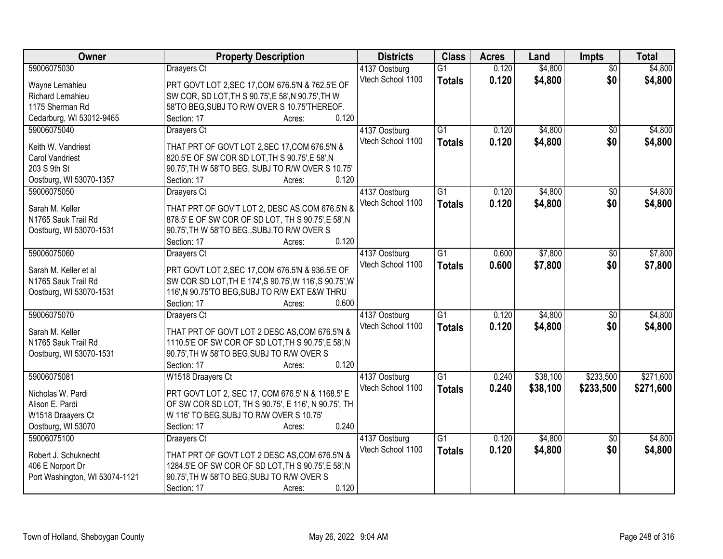| Owner                                | <b>Property Description</b>                                                                             | <b>Districts</b>  | <b>Class</b>    | <b>Acres</b> | Land     | <b>Impts</b>    | <b>Total</b> |
|--------------------------------------|---------------------------------------------------------------------------------------------------------|-------------------|-----------------|--------------|----------|-----------------|--------------|
| 59006075030                          | Draayers Ct                                                                                             | 4137 Oostburg     | $\overline{G1}$ | 0.120        | \$4,800  | $\overline{50}$ | \$4,800      |
| Wayne Lemahieu                       | PRT GOVT LOT 2, SEC 17, COM 676.5'N & 762.5'E OF                                                        | Vtech School 1100 | <b>Totals</b>   | 0.120        | \$4,800  | \$0             | \$4,800      |
| Richard Lemahieu                     | SW COR, SD LOT, TH S 90.75', E 58', N 90.75', TH W                                                      |                   |                 |              |          |                 |              |
| 1175 Sherman Rd                      | 58'TO BEG, SUBJ TO R/W OVER S 10.75'THEREOF.                                                            |                   |                 |              |          |                 |              |
| Cedarburg, WI 53012-9465             | 0.120<br>Section: 17<br>Acres:                                                                          |                   |                 |              |          |                 |              |
| 59006075040                          | <b>Draayers Ct</b>                                                                                      | 4137 Oostburg     | $\overline{G1}$ | 0.120        | \$4,800  | \$0             | \$4,800      |
|                                      |                                                                                                         | Vtech School 1100 | <b>Totals</b>   | 0.120        | \$4,800  | \$0             | \$4,800      |
| Keith W. Vandriest                   | THAT PRT OF GOVT LOT 2, SEC 17, COM 676.5'N &                                                           |                   |                 |              |          |                 |              |
| Carol Vandriest                      | 820.5'E OF SW COR SD LOT, TH S 90.75', E 58', N                                                         |                   |                 |              |          |                 |              |
| 203 S 9th St                         | 90.75', TH W 58'TO BEG, SUBJ TO R/W OVER S 10.75'                                                       |                   |                 |              |          |                 |              |
| Oostburg, WI 53070-1357              | 0.120<br>Section: 17<br>Acres:                                                                          |                   |                 |              |          |                 |              |
| 59006075050                          | Draayers Ct                                                                                             | 4137 Oostburg     | $\overline{G1}$ | 0.120        | \$4,800  | $\overline{50}$ | \$4,800      |
| Sarah M. Keller                      | THAT PRT OF GOV'T LOT 2, DESC AS, COM 676.5'N &                                                         | Vtech School 1100 | <b>Totals</b>   | 0.120        | \$4,800  | \$0             | \$4,800      |
| N1765 Sauk Trail Rd                  | 878.5' E OF SW COR OF SD LOT, TH S 90.75', E 58', N                                                     |                   |                 |              |          |                 |              |
| Oostburg, WI 53070-1531              | 90.75', TH W 58'TO BEG., SUBJ. TO R/W OVER S                                                            |                   |                 |              |          |                 |              |
|                                      | 0.120<br>Section: 17<br>Acres:                                                                          |                   |                 |              |          |                 |              |
| 59006075060                          | Draayers Ct                                                                                             | 4137 Oostburg     | G1              | 0.600        | \$7,800  | $\sqrt[6]{}$    | \$7,800      |
|                                      |                                                                                                         | Vtech School 1100 | <b>Totals</b>   | 0.600        | \$7,800  | \$0             | \$7,800      |
| Sarah M. Keller et al                | PRT GOVT LOT 2, SEC 17, COM 676.5'N & 936.5'E OF                                                        |                   |                 |              |          |                 |              |
| N1765 Sauk Trail Rd                  | SW COR SD LOT, TH E 174', S 90.75', W 116', S 90.75', W                                                 |                   |                 |              |          |                 |              |
| Oostburg, WI 53070-1531              | 116', N 90.75'TO BEG, SUBJ TO R/W EXT E&W THRU                                                          |                   |                 |              |          |                 |              |
|                                      | Section: 17<br>0.600<br>Acres:                                                                          |                   |                 |              |          |                 |              |
| 59006075070                          | Draayers Ct                                                                                             | 4137 Oostburg     | $\overline{G1}$ | 0.120        | \$4,800  | $\overline{50}$ | \$4,800      |
| Sarah M. Keller                      | THAT PRT OF GOVT LOT 2 DESC AS, COM 676.5'N &                                                           | Vtech School 1100 | <b>Totals</b>   | 0.120        | \$4,800  | \$0             | \$4,800      |
| N1765 Sauk Trail Rd                  | 1110.5'E OF SW COR OF SD LOT, TH S 90.75', E 58', N                                                     |                   |                 |              |          |                 |              |
| Oostburg, WI 53070-1531              | 90.75', TH W 58'TO BEG, SUBJ TO R/W OVER S                                                              |                   |                 |              |          |                 |              |
|                                      | 0.120<br>Section: 17<br>Acres:                                                                          |                   |                 |              |          |                 |              |
| 59006075081                          | W1518 Draayers Ct                                                                                       | 4137 Oostburg     | G1              | 0.240        | \$38,100 | \$233,500       | \$271,600    |
|                                      |                                                                                                         | Vtech School 1100 | <b>Totals</b>   | 0.240        | \$38,100 | \$233,500       | \$271,600    |
| Nicholas W. Pardi<br>Alison E. Pardi | PRT GOVT LOT 2, SEC 17, COM 676.5' N & 1168.5' E<br>OF SW COR SD LOT, TH S 90.75', E 116', N 90.75', TH |                   |                 |              |          |                 |              |
|                                      |                                                                                                         |                   |                 |              |          |                 |              |
| W1518 Draayers Ct                    | W 116' TO BEG, SUBJ TO R/W OVER S 10.75'<br>0.240                                                       |                   |                 |              |          |                 |              |
| Oostburg, WI 53070                   | Section: 17<br>Acres:                                                                                   |                   |                 |              |          |                 |              |
| 59006075100                          | Draayers Ct                                                                                             | 4137 Oostburg     | $\overline{G1}$ | 0.120        | \$4,800  | $\overline{50}$ | \$4,800      |
| Robert J. Schuknecht                 | THAT PRT OF GOVT LOT 2 DESC AS, COM 676.5'N &                                                           | Vtech School 1100 | <b>Totals</b>   | 0.120        | \$4,800  | \$0             | \$4,800      |
| 406 E Norport Dr                     | 1284.5'E OF SW COR OF SD LOT, TH S 90.75', E 58', N                                                     |                   |                 |              |          |                 |              |
| Port Washington, WI 53074-1121       | 90.75', TH W 58'TO BEG, SUBJ TO R/W OVER S                                                              |                   |                 |              |          |                 |              |
|                                      | 0.120<br>Section: 17<br>Acres:                                                                          |                   |                 |              |          |                 |              |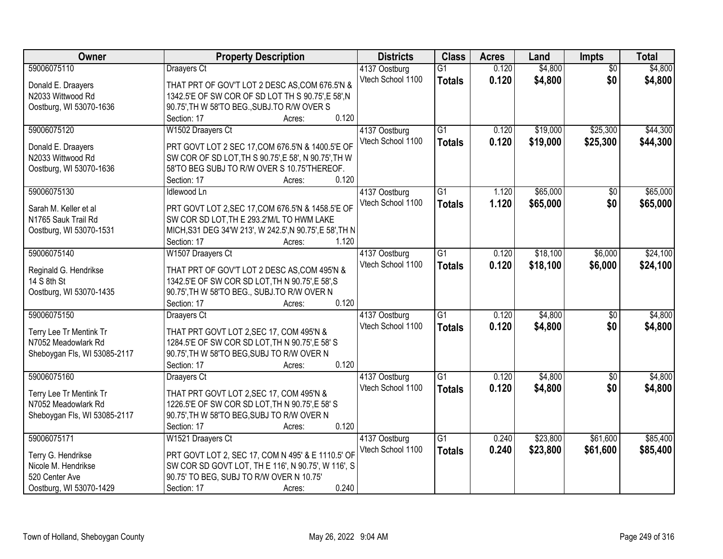| Owner                        | <b>Property Description</b>                              | <b>Districts</b>  | <b>Class</b>    | <b>Acres</b> | Land     | Impts           | <b>Total</b> |
|------------------------------|----------------------------------------------------------|-------------------|-----------------|--------------|----------|-----------------|--------------|
| 59006075110                  | Draayers Ct                                              | 4137 Oostburg     | $\overline{G1}$ | 0.120        | \$4,800  | $\overline{50}$ | \$4,800      |
| Donald E. Draayers           | THAT PRT OF GOV'T LOT 2 DESC AS, COM 676.5'N &           | Vtech School 1100 | <b>Totals</b>   | 0.120        | \$4,800  | \$0             | \$4,800      |
| N2033 Wittwood Rd            | 1342.5'E OF SW COR OF SD LOT TH S 90.75', E 58', N       |                   |                 |              |          |                 |              |
| Oostburg, WI 53070-1636      | 90.75', TH W 58'TO BEG., SUBJ.TO R/W OVER S              |                   |                 |              |          |                 |              |
|                              | 0.120<br>Section: 17<br>Acres:                           |                   |                 |              |          |                 |              |
| 59006075120                  | W1502 Draayers Ct                                        | 4137 Oostburg     | $\overline{G1}$ | 0.120        | \$19,000 | \$25,300        | \$44,300     |
|                              |                                                          | Vtech School 1100 | <b>Totals</b>   | 0.120        | \$19,000 | \$25,300        | \$44,300     |
| Donald E. Draayers           | PRT GOVT LOT 2 SEC 17, COM 676.5'N & 1400.5'E OF         |                   |                 |              |          |                 |              |
| N2033 Wittwood Rd            | SW COR OF SD LOT, TH S 90.75', E 58', N 90.75', TH W     |                   |                 |              |          |                 |              |
| Oostburg, WI 53070-1636      | 58'TO BEG SUBJ TO R/W OVER S 10.75'THEREOF.              |                   |                 |              |          |                 |              |
|                              | 0.120<br>Section: 17<br>Acres:                           |                   |                 |              |          |                 |              |
| 59006075130                  | <b>Idlewood Ln</b>                                       | 4137 Oostburg     | G1              | 1.120        | \$65,000 | \$0             | \$65,000     |
| Sarah M. Keller et al        | PRT GOVT LOT 2, SEC 17, COM 676.5'N & 1458.5'E OF        | Vtech School 1100 | <b>Totals</b>   | 1.120        | \$65,000 | \$0             | \$65,000     |
| N1765 Sauk Trail Rd          | SW COR SD LOT, TH E 293.2'M/L TO HWM LAKE                |                   |                 |              |          |                 |              |
| Oostburg, WI 53070-1531      | MICH, S31 DEG 34'W 213', W 242.5', N 90.75', E 58', TH N |                   |                 |              |          |                 |              |
|                              | Section: 17<br>1.120<br>Acres:                           |                   |                 |              |          |                 |              |
| 59006075140                  | W1507 Draayers Ct                                        | 4137 Oostburg     | $\overline{G1}$ | 0.120        | \$18,100 | \$6,000         | \$24,100     |
|                              |                                                          | Vtech School 1100 | <b>Totals</b>   | 0.120        | \$18,100 | \$6,000         | \$24,100     |
| Reginald G. Hendrikse        | THAT PRT OF GOV'T LOT 2 DESC AS, COM 495'N &             |                   |                 |              |          |                 |              |
| 14 S 8th St                  | 1342.5'E OF SW COR SD LOT, TH N 90.75', E 58', S         |                   |                 |              |          |                 |              |
| Oostburg, WI 53070-1435      | 90.75', TH W 58'TO BEG., SUBJ.TO R/W OVER N              |                   |                 |              |          |                 |              |
|                              | 0.120<br>Section: 17<br>Acres:                           |                   |                 |              |          |                 |              |
| 59006075150                  | <b>Draayers Ct</b>                                       | 4137 Oostburg     | $\overline{G1}$ | 0.120        | \$4,800  | $\overline{50}$ | \$4,800      |
| Terry Lee Tr Mentink Tr      | THAT PRT GOVT LOT 2, SEC 17, COM 495'N &                 | Vtech School 1100 | <b>Totals</b>   | 0.120        | \$4,800  | \$0             | \$4,800      |
| N7052 Meadowlark Rd          | 1284.5'E OF SW COR SD LOT, TH N 90.75', E 58' S          |                   |                 |              |          |                 |              |
| Sheboygan Fls, WI 53085-2117 | 90.75', TH W 58'TO BEG, SUBJ TO R/W OVER N               |                   |                 |              |          |                 |              |
|                              | 0.120<br>Section: 17<br>Acres:                           |                   |                 |              |          |                 |              |
| 59006075160                  | Draayers Ct                                              | 4137 Oostburg     | G1              | 0.120        | \$4,800  | $\overline{50}$ | \$4,800      |
| Terry Lee Tr Mentink Tr      | THAT PRT GOVT LOT 2, SEC 17, COM 495'N &                 | Vtech School 1100 | <b>Totals</b>   | 0.120        | \$4,800  | \$0             | \$4,800      |
| N7052 Meadowlark Rd          | 1226.5'E OF SW COR SD LOT, TH N 90.75', E 58' S          |                   |                 |              |          |                 |              |
| Sheboygan Fls, WI 53085-2117 | 90.75', TH W 58'TO BEG, SUBJ TO R/W OVER N               |                   |                 |              |          |                 |              |
|                              | 0.120<br>Section: 17<br>Acres:                           |                   |                 |              |          |                 |              |
| 59006075171                  | W1521 Draayers Ct                                        | 4137 Oostburg     | $\overline{G1}$ | 0.240        | \$23,800 | \$61,600        | \$85,400     |
|                              |                                                          | Vtech School 1100 | <b>Totals</b>   | 0.240        | \$23,800 | \$61,600        | \$85,400     |
| Terry G. Hendrikse           | PRT GOVT LOT 2, SEC 17, COM N 495' & E 1110.5' OF        |                   |                 |              |          |                 |              |
| Nicole M. Hendrikse          | SW COR SD GOVT LOT, TH E 116', N 90.75', W 116', S       |                   |                 |              |          |                 |              |
| 520 Center Ave               | 90.75' TO BEG, SUBJ TO R/W OVER N 10.75'                 |                   |                 |              |          |                 |              |
| Oostburg, WI 53070-1429      | 0.240<br>Section: 17<br>Acres:                           |                   |                 |              |          |                 |              |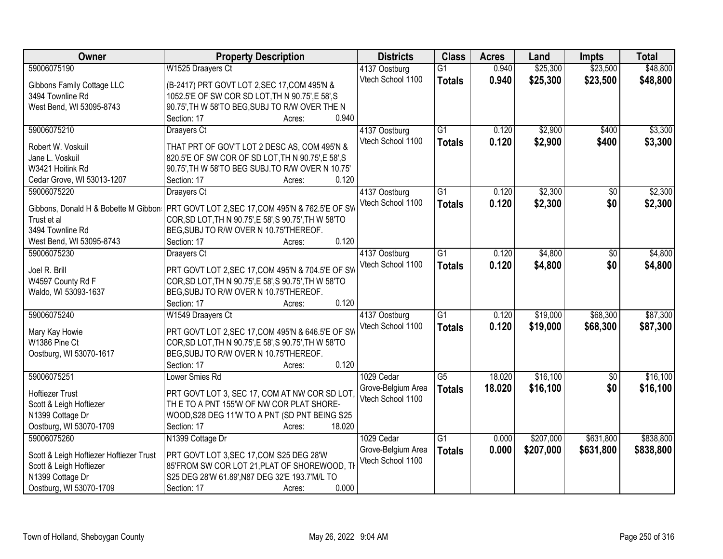| Owner                                   | <b>Property Description</b>                           | <b>Districts</b>   | <b>Class</b>    | <b>Acres</b> | Land      | <b>Impts</b> | <b>Total</b> |
|-----------------------------------------|-------------------------------------------------------|--------------------|-----------------|--------------|-----------|--------------|--------------|
| 59006075190                             | W1525 Draayers Ct                                     | 4137 Oostburg      | $\overline{G1}$ | 0.940        | \$25,300  | \$23,500     | \$48,800     |
| Gibbons Family Cottage LLC              | (B-2417) PRT GOVT LOT 2, SEC 17, COM 495'N &          | Vtech School 1100  | <b>Totals</b>   | 0.940        | \$25,300  | \$23,500     | \$48,800     |
| 3494 Townline Rd                        | 1052.5'E OF SW COR SD LOT, TH N 90.75', E 58', S      |                    |                 |              |           |              |              |
| West Bend, WI 53095-8743                | 90.75', TH W 58'TO BEG, SUBJ TO R/W OVER THE N        |                    |                 |              |           |              |              |
|                                         | 0.940<br>Section: 17<br>Acres:                        |                    |                 |              |           |              |              |
| 59006075210                             | Draayers Ct                                           | 4137 Oostburg      | $\overline{G1}$ | 0.120        | \$2,900   | \$400        | \$3,300      |
|                                         |                                                       | Vtech School 1100  | <b>Totals</b>   | 0.120        | \$2,900   | \$400        | \$3,300      |
| Robert W. Voskuil                       | THAT PRT OF GOV'T LOT 2 DESC AS, COM 495'N &          |                    |                 |              |           |              |              |
| Jane L. Voskuil                         | 820.5'E OF SW COR OF SD LOT, TH N 90.75', E 58', S    |                    |                 |              |           |              |              |
| W3421 Hoitink Rd                        | 90.75', TH W 58'TO BEG SUBJ.TO R/W OVER N 10.75'      |                    |                 |              |           |              |              |
| Cedar Grove, WI 53013-1207              | 0.120<br>Section: 17<br>Acres:                        |                    |                 |              |           |              |              |
| 59006075220                             | Draayers Ct                                           | 4137 Oostburg      | $\overline{G1}$ | 0.120        | \$2,300   | \$0          | \$2,300      |
| Gibbons, Donald H & Bobette M Gibbon    | PRT GOVT LOT 2, SEC 17, COM 495'N & 762.5'E OF SW     | Vtech School 1100  | <b>Totals</b>   | 0.120        | \$2,300   | \$0          | \$2,300      |
| Trust et al                             | COR, SD LOT, TH N 90.75', E 58', S 90.75', TH W 58'TO |                    |                 |              |           |              |              |
| 3494 Townline Rd                        | BEG, SUBJ TO R/W OVER N 10.75'THEREOF.                |                    |                 |              |           |              |              |
| West Bend, WI 53095-8743                | 0.120<br>Section: 17<br>Acres:                        |                    |                 |              |           |              |              |
| 59006075230                             | Draayers Ct                                           | 4137 Oostburg      | G1              | 0.120        | \$4,800   | \$0          | \$4,800      |
|                                         |                                                       | Vtech School 1100  | <b>Totals</b>   | 0.120        | \$4,800   | \$0          | \$4,800      |
| Joel R. Brill                           | PRT GOVT LOT 2, SEC 17, COM 495'N & 704.5'E OF SW     |                    |                 |              |           |              |              |
| W4597 County Rd F                       | COR, SD LOT, TH N 90.75', E 58', S 90.75', TH W 58'TO |                    |                 |              |           |              |              |
| Waldo, WI 53093-1637                    | BEG, SUBJ TO R/W OVER N 10.75'THEREOF.                |                    |                 |              |           |              |              |
|                                         | 0.120<br>Section: 17<br>Acres:                        |                    |                 |              |           |              |              |
| 59006075240                             | W1549 Draayers Ct                                     | 4137 Oostburg      | $\overline{G1}$ | 0.120        | \$19,000  | \$68,300     | \$87,300     |
| Mary Kay Howie                          | PRT GOVT LOT 2, SEC 17, COM 495'N & 646.5'E OF SW     | Vtech School 1100  | <b>Totals</b>   | 0.120        | \$19,000  | \$68,300     | \$87,300     |
| W1386 Pine Ct                           | COR, SD LOT, TH N 90.75', E 58', S 90.75', TH W 58'TO |                    |                 |              |           |              |              |
| Oostburg, WI 53070-1617                 | BEG, SUBJ TO R/W OVER N 10.75'THEREOF.                |                    |                 |              |           |              |              |
|                                         | 0.120<br>Section: 17<br>Acres:                        |                    |                 |              |           |              |              |
| 59006075251                             | Lower Smies Rd                                        | 1029 Cedar         | $\overline{G5}$ | 18.020       | \$16,100  | \$0          | \$16,100     |
|                                         |                                                       | Grove-Belgium Area | <b>Totals</b>   | 18.020       | \$16,100  | \$0          | \$16,100     |
| <b>Hoftiezer Trust</b>                  | PRT GOVT LOT 3, SEC 17, COM AT NW COR SD LOT          | Vtech School 1100  |                 |              |           |              |              |
| Scott & Leigh Hoftiezer                 | THE TO A PNT 155'W OF NW COR PLAT SHORE-              |                    |                 |              |           |              |              |
| N1399 Cottage Dr                        | WOOD, S28 DEG 11'W TO A PNT (SD PNT BEING S25         |                    |                 |              |           |              |              |
| Oostburg, WI 53070-1709                 | 18.020<br>Section: 17<br>Acres:                       |                    |                 |              |           |              |              |
| 59006075260                             | N1399 Cottage Dr                                      | 1029 Cedar         | $\overline{G1}$ | 0.000        | \$207,000 | \$631,800    | \$838,800    |
| Scott & Leigh Hoftiezer Hoftiezer Trust | PRT GOVT LOT 3, SEC 17, COM S25 DEG 28'W              | Grove-Belgium Area | <b>Totals</b>   | 0.000        | \$207,000 | \$631,800    | \$838,800    |
| Scott & Leigh Hoftiezer                 | 85'FROM SW COR LOT 21, PLAT OF SHOREWOOD, TH          | Vtech School 1100  |                 |              |           |              |              |
| N1399 Cottage Dr                        | S25 DEG 28'W 61.89', N87 DEG 32'E 193.7'M/L TO        |                    |                 |              |           |              |              |
| Oostburg, WI 53070-1709                 | 0.000<br>Section: 17<br>Acres:                        |                    |                 |              |           |              |              |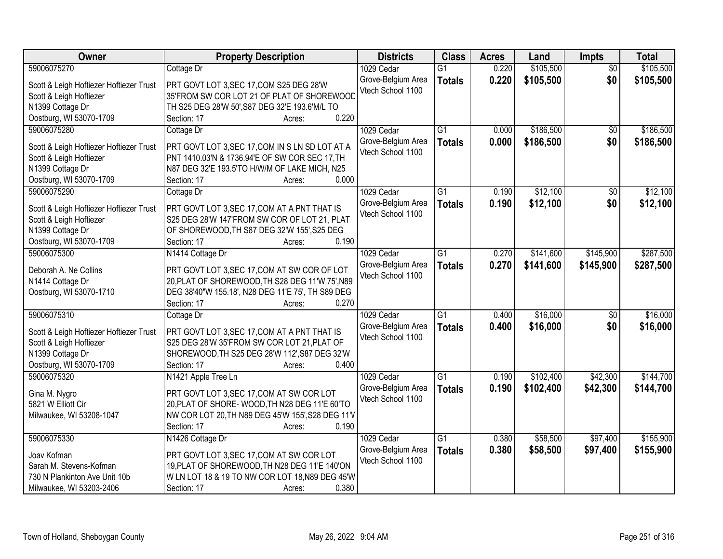| Owner                                   | <b>Property Description</b>                       | <b>Districts</b>                        | <b>Class</b>    | <b>Acres</b> | Land      | <b>Impts</b>    | <b>Total</b> |
|-----------------------------------------|---------------------------------------------------|-----------------------------------------|-----------------|--------------|-----------|-----------------|--------------|
| 59006075270                             | Cottage Dr                                        | 1029 Cedar                              | $\overline{G1}$ | 0.220        | \$105,500 | $\overline{50}$ | \$105,500    |
| Scott & Leigh Hoftiezer Hoftiezer Trust | PRT GOVT LOT 3, SEC 17, COM S25 DEG 28'W          | Grove-Belgium Area                      | <b>Totals</b>   | 0.220        | \$105,500 | \$0             | \$105,500    |
| Scott & Leigh Hoftiezer                 | 35'FROM SW COR LOT 21 OF PLAT OF SHOREWOOD        | Vtech School 1100                       |                 |              |           |                 |              |
| N1399 Cottage Dr                        | TH S25 DEG 28'W 50', S87 DEG 32'E 193.6'M/L TO    |                                         |                 |              |           |                 |              |
| Oostburg, WI 53070-1709                 | 0.220<br>Section: 17<br>Acres:                    |                                         |                 |              |           |                 |              |
| 59006075280                             | Cottage Dr                                        | 1029 Cedar                              | $\overline{G1}$ | 0.000        | \$186,500 | \$0             | \$186,500    |
|                                         |                                                   | Grove-Belgium Area                      | <b>Totals</b>   | 0.000        | \$186,500 | \$0             | \$186,500    |
| Scott & Leigh Hoftiezer Hoftiezer Trust | PRT GOVT LOT 3, SEC 17, COM IN S LN SD LOT AT A   | Vtech School 1100                       |                 |              |           |                 |              |
| Scott & Leigh Hoftiezer                 | PNT 1410.03'N & 1736.94'E OF SW COR SEC 17, TH    |                                         |                 |              |           |                 |              |
| N1399 Cottage Dr                        | N87 DEG 32'E 193.5'TO H/W/M OF LAKE MICH, N25     |                                         |                 |              |           |                 |              |
| Oostburg, WI 53070-1709                 | 0.000<br>Section: 17<br>Acres:                    |                                         |                 |              |           |                 |              |
| 59006075290                             | Cottage Dr                                        | 1029 Cedar                              | $\overline{G1}$ | 0.190        | \$12,100  | \$0             | \$12,100     |
| Scott & Leigh Hoftiezer Hoftiezer Trust | PRT GOVT LOT 3, SEC 17, COM AT A PNT THAT IS      | Grove-Belgium Area                      | <b>Totals</b>   | 0.190        | \$12,100  | \$0             | \$12,100     |
| Scott & Leigh Hoftiezer                 | S25 DEG 28'W 147'FROM SW COR OF LOT 21, PLAT      | Vtech School 1100                       |                 |              |           |                 |              |
| N1399 Cottage Dr                        | OF SHOREWOOD, TH S87 DEG 32'W 155', S25 DEG       |                                         |                 |              |           |                 |              |
| Oostburg, WI 53070-1709                 | 0.190<br>Section: 17<br>Acres:                    |                                         |                 |              |           |                 |              |
| 59006075300                             | N1414 Cottage Dr                                  | 1029 Cedar                              | G <sub>1</sub>  | 0.270        | \$141,600 | \$145,900       | \$287,500    |
|                                         |                                                   | Grove-Belgium Area                      | <b>Totals</b>   | 0.270        | \$141,600 | \$145,900       | \$287,500    |
| Deborah A. Ne Collins                   | PRT GOVT LOT 3, SEC 17, COM AT SW COR OF LOT      | Vtech School 1100                       |                 |              |           |                 |              |
| N1414 Cottage Dr                        | 20, PLAT OF SHOREWOOD, TH S28 DEG 11'W 75', N89   |                                         |                 |              |           |                 |              |
| Oostburg, WI 53070-1710                 | DEG 38'40"W 155.18', N28 DEG 11'E 75', TH S89 DEG |                                         |                 |              |           |                 |              |
|                                         | 0.270<br>Section: 17<br>Acres:                    |                                         |                 |              |           |                 |              |
| 59006075310                             | Cottage Dr                                        | 1029 Cedar                              | $\overline{G1}$ | 0.400        | \$16,000  | \$0             | \$16,000     |
| Scott & Leigh Hoftiezer Hoftiezer Trust | PRT GOVT LOT 3, SEC 17, COM AT A PNT THAT IS      | Grove-Belgium Area                      | <b>Totals</b>   | 0.400        | \$16,000  | \$0             | \$16,000     |
| Scott & Leigh Hoftiezer                 | S25 DEG 28'W 35'FROM SW COR LOT 21, PLAT OF       | Vtech School 1100                       |                 |              |           |                 |              |
| N1399 Cottage Dr                        | SHOREWOOD, TH S25 DEG 28'W 112', S87 DEG 32'W     |                                         |                 |              |           |                 |              |
| Oostburg, WI 53070-1709                 | 0.400<br>Section: 17<br>Acres:                    |                                         |                 |              |           |                 |              |
| 59006075320                             |                                                   |                                         | $\overline{G1}$ | 0.190        | \$102,400 | \$42,300        | \$144,700    |
|                                         | N1421 Apple Tree Ln                               | 1029 Cedar                              |                 |              |           |                 |              |
| Gina M. Nygro                           | PRT GOVT LOT 3, SEC 17, COM AT SW COR LOT         | Grove-Belgium Area<br>Vtech School 1100 | <b>Totals</b>   | 0.190        | \$102,400 | \$42,300        | \$144,700    |
| 5821 W Elliott Cir                      | 20, PLAT OF SHORE-WOOD, TH N28 DEG 11'E 60'TO     |                                         |                 |              |           |                 |              |
| Milwaukee, WI 53208-1047                | NW COR LOT 20, TH N89 DEG 45'W 155', S28 DEG 11'V |                                         |                 |              |           |                 |              |
|                                         | 0.190<br>Section: 17<br>Acres:                    |                                         |                 |              |           |                 |              |
| 59006075330                             | N1426 Cottage Dr                                  | 1029 Cedar                              | $\overline{G1}$ | 0.380        | \$58,500  | \$97,400        | \$155,900    |
|                                         |                                                   | Grove-Belgium Area                      | <b>Totals</b>   | 0.380        | \$58,500  | \$97,400        | \$155,900    |
| Joav Kofman                             | PRT GOVT LOT 3, SEC 17, COM AT SW COR LOT         | Vtech School 1100                       |                 |              |           |                 |              |
| Sarah M. Stevens-Kofman                 | 19, PLAT OF SHOREWOOD, TH N28 DEG 11'E 140'ON     |                                         |                 |              |           |                 |              |
| 730 N Plankinton Ave Unit 10b           | W LN LOT 18 & 19 TO NW COR LOT 18, N89 DEG 45'W   |                                         |                 |              |           |                 |              |
| Milwaukee, WI 53203-2406                | 0.380<br>Section: 17<br>Acres:                    |                                         |                 |              |           |                 |              |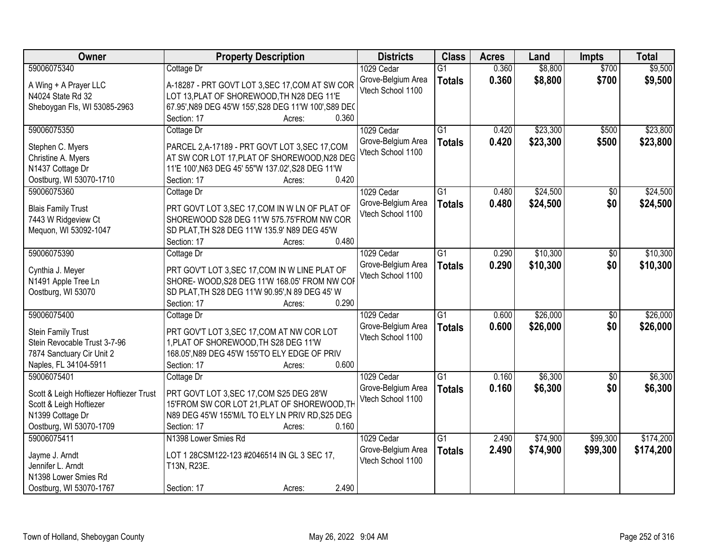| Owner                                   | <b>Property Description</b>                                                                     | <b>Districts</b>   | <b>Class</b>    | <b>Acres</b> | Land     | <b>Impts</b> | <b>Total</b> |
|-----------------------------------------|-------------------------------------------------------------------------------------------------|--------------------|-----------------|--------------|----------|--------------|--------------|
| 59006075340                             | Cottage Dr                                                                                      | 1029 Cedar         | $\overline{G1}$ | 0.360        | \$8,800  | \$700        | \$9,500      |
| A Wing + A Prayer LLC                   | A-18287 - PRT GOVT LOT 3, SEC 17, COM AT SW COR                                                 | Grove-Belgium Area | <b>Totals</b>   | 0.360        | \$8,800  | \$700        | \$9,500      |
| N4024 State Rd 32                       | LOT 13, PLAT OF SHOREWOOD, TH N28 DEG 11'E                                                      | Vtech School 1100  |                 |              |          |              |              |
| Sheboygan Fls, WI 53085-2963            | 67.95', N89 DEG 45'W 155', S28 DEG 11'W 100', S89 DEC                                           |                    |                 |              |          |              |              |
|                                         | 0.360<br>Section: 17<br>Acres:                                                                  |                    |                 |              |          |              |              |
| 59006075350                             | Cottage Dr                                                                                      | 1029 Cedar         | $\overline{G1}$ | 0.420        | \$23,300 | \$500        | \$23,800     |
|                                         |                                                                                                 | Grove-Belgium Area | <b>Totals</b>   | 0.420        | \$23,300 | \$500        | \$23,800     |
| Stephen C. Myers<br>Christine A. Myers  | PARCEL 2, A-17189 - PRT GOVT LOT 3, SEC 17, COM<br>AT SW COR LOT 17, PLAT OF SHOREWOOD, N28 DEG | Vtech School 1100  |                 |              |          |              |              |
| N1437 Cottage Dr                        | 11'E 100', N63 DEG 45' 55"W 137.02', S28 DEG 11'W                                               |                    |                 |              |          |              |              |
| Oostburg, WI 53070-1710                 | 0.420<br>Section: 17<br>Acres:                                                                  |                    |                 |              |          |              |              |
| 59006075360                             | Cottage Dr                                                                                      | 1029 Cedar         | $\overline{G1}$ | 0.480        | \$24,500 | \$0          | \$24,500     |
|                                         |                                                                                                 | Grove-Belgium Area | <b>Totals</b>   | 0.480        | \$24,500 | \$0          | \$24,500     |
| <b>Blais Family Trust</b>               | PRT GOVT LOT 3, SEC 17, COM IN W LN OF PLAT OF                                                  | Vtech School 1100  |                 |              |          |              |              |
| 7443 W Ridgeview Ct                     | SHOREWOOD S28 DEG 11'W 575.75'FROM NW COR                                                       |                    |                 |              |          |              |              |
| Mequon, WI 53092-1047                   | SD PLAT, TH S28 DEG 11'W 135.9' N89 DEG 45'W                                                    |                    |                 |              |          |              |              |
|                                         | 0.480<br>Section: 17<br>Acres:                                                                  |                    |                 |              |          |              |              |
| 59006075390                             | Cottage Dr                                                                                      | 1029 Cedar         | $\overline{G1}$ | 0.290        | \$10,300 | $\sqrt[6]{}$ | \$10,300     |
| Cynthia J. Meyer                        | PRT GOV'T LOT 3, SEC 17, COM IN W LINE PLAT OF                                                  | Grove-Belgium Area | <b>Totals</b>   | 0.290        | \$10,300 | \$0          | \$10,300     |
| N1491 Apple Tree Ln                     | SHORE- WOOD, S28 DEG 11'W 168.05' FROM NW COF                                                   | Vtech School 1100  |                 |              |          |              |              |
| Oostburg, WI 53070                      | SD PLAT, TH S28 DEG 11'W 90.95', N 89 DEG 45' W                                                 |                    |                 |              |          |              |              |
|                                         | 0.290<br>Section: 17<br>Acres:                                                                  |                    |                 |              |          |              |              |
| 59006075400                             | Cottage Dr                                                                                      | 1029 Cedar         | $\overline{G1}$ | 0.600        | \$26,000 | \$0          | \$26,000     |
| <b>Stein Family Trust</b>               | PRT GOV'T LOT 3, SEC 17, COM AT NW COR LOT                                                      | Grove-Belgium Area | <b>Totals</b>   | 0.600        | \$26,000 | \$0          | \$26,000     |
| Stein Revocable Trust 3-7-96            | 1, PLAT OF SHOREWOOD, TH S28 DEG 11'W                                                           | Vtech School 1100  |                 |              |          |              |              |
| 7874 Sanctuary Cir Unit 2               | 168.05', N89 DEG 45'W 155'TO ELY EDGE OF PRIV                                                   |                    |                 |              |          |              |              |
| Naples, FL 34104-5911                   | 0.600<br>Section: 17<br>Acres:                                                                  |                    |                 |              |          |              |              |
| 59006075401                             | Cottage Dr                                                                                      | 1029 Cedar         | $\overline{G1}$ | 0.160        | \$6,300  | $\sqrt{$0}$  | \$6,300      |
|                                         |                                                                                                 | Grove-Belgium Area | <b>Totals</b>   | 0.160        | \$6,300  | \$0          | \$6,300      |
| Scott & Leigh Hoftiezer Hoftiezer Trust | PRT GOVT LOT 3, SEC 17, COM S25 DEG 28'W                                                        | Vtech School 1100  |                 |              |          |              |              |
| Scott & Leigh Hoftiezer                 | 15'FROM SW COR LOT 21, PLAT OF SHOREWOOD, TH                                                    |                    |                 |              |          |              |              |
| N1399 Cottage Dr                        | N89 DEG 45'W 155'M/L TO ELY LN PRIV RD, S25 DEG                                                 |                    |                 |              |          |              |              |
| Oostburg, WI 53070-1709                 | 0.160<br>Section: 17<br>Acres:                                                                  |                    |                 |              |          |              |              |
| 59006075411                             | N1398 Lower Smies Rd                                                                            | 1029 Cedar         | $\overline{G1}$ | 2.490        | \$74,900 | \$99,300     | \$174,200    |
| Jayme J. Arndt                          | LOT 1 28CSM122-123 #2046514 IN GL 3 SEC 17,                                                     | Grove-Belgium Area | <b>Totals</b>   | 2.490        | \$74,900 | \$99,300     | \$174,200    |
| Jennifer L. Arndt                       | T13N, R23E.                                                                                     | Vtech School 1100  |                 |              |          |              |              |
| N1398 Lower Smies Rd                    |                                                                                                 |                    |                 |              |          |              |              |
| Oostburg, WI 53070-1767                 | 2.490<br>Section: 17<br>Acres:                                                                  |                    |                 |              |          |              |              |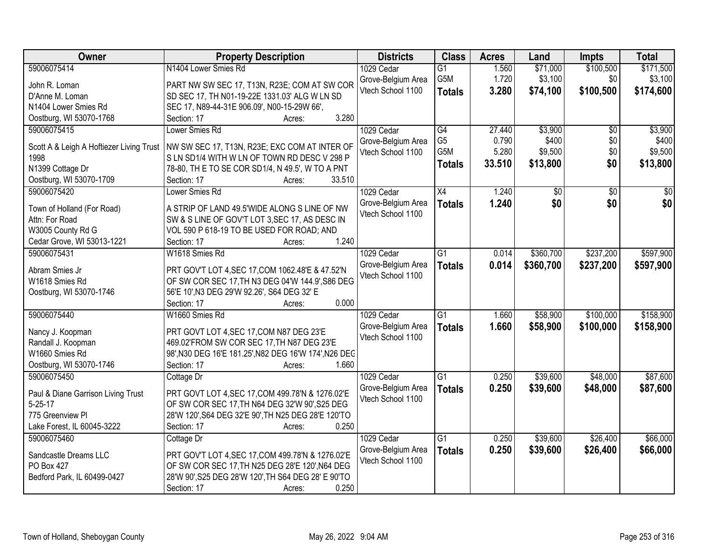| Owner                                    | <b>Property Description</b>                           | <b>Districts</b>   | <b>Class</b>     | <b>Acres</b> | Land      | <b>Impts</b>    | <b>Total</b> |
|------------------------------------------|-------------------------------------------------------|--------------------|------------------|--------------|-----------|-----------------|--------------|
| 59006075414                              | N1404 Lower Smies Rd                                  | 1029 Cedar         | $\overline{G1}$  | 1.560        | \$71,000  | \$100,500       | \$171,500    |
| John R. Loman                            | PART NW SW SEC 17, T13N, R23E; COM AT SW COR          | Grove-Belgium Area | G5M              | 1.720        | \$3,100   | \$0             | \$3,100      |
| D'Anne M. Loman                          | SD SEC 17, TH N01-19-22E 1331.03' ALG W LN SD         | Vtech School 1100  | <b>Totals</b>    | 3.280        | \$74,100  | \$100,500       | \$174,600    |
| N1404 Lower Smies Rd                     | SEC 17, N89-44-31E 906.09', N00-15-29W 66',           |                    |                  |              |           |                 |              |
| Oostburg, WI 53070-1768                  | 3.280<br>Section: 17<br>Acres:                        |                    |                  |              |           |                 |              |
| 59006075415                              | Lower Smies Rd                                        | 1029 Cedar         | G4               | 27.440       | \$3,900   | $\overline{50}$ | \$3,900      |
|                                          |                                                       | Grove-Belgium Area | G <sub>5</sub>   | 0.790        | \$400     | \$0             | \$400        |
| Scott A & Leigh A Hoftiezer Living Trust | NW SW SEC 17, T13N, R23E; EXC COM AT INTER OF         | Vtech School 1100  | G <sub>5</sub> M | 5.280        | \$9,500   | \$0             | \$9,500      |
| 1998                                     | S LN SD1/4 WITH W LN OF TOWN RD DESC V 298 P          |                    | <b>Totals</b>    | 33.510       | \$13,800  | \$0             | \$13,800     |
| N1399 Cottage Dr                         | 78-80, TH E TO SE COR SD1/4, N 49.5', W TO A PNT      |                    |                  |              |           |                 |              |
| Oostburg, WI 53070-1709                  | 33.510<br>Section: 17<br>Acres:                       |                    |                  |              |           |                 |              |
| 59006075420                              | Lower Smies Rd                                        | 1029 Cedar         | X4               | 1.240        | \$0       | \$0             | \$0          |
| Town of Holland (For Road)               | A STRIP OF LAND 49.5'WIDE ALONG S LINE OF NW          | Grove-Belgium Area | <b>Totals</b>    | 1.240        | \$0       | \$0             | \$0          |
| Attn: For Road                           | SW & S LINE OF GOV'T LOT 3, SEC 17, AS DESC IN        | Vtech School 1100  |                  |              |           |                 |              |
| W3005 County Rd G                        | VOL 590 P 618-19 TO BE USED FOR ROAD; AND             |                    |                  |              |           |                 |              |
| Cedar Grove, WI 53013-1221               | 1.240<br>Section: 17<br>Acres:                        |                    |                  |              |           |                 |              |
| 59006075431                              | W1618 Smies Rd                                        | 1029 Cedar         | G1               | 0.014        | \$360,700 | \$237,200       | \$597,900    |
|                                          |                                                       | Grove-Belgium Area | <b>Totals</b>    | 0.014        | \$360,700 | \$237,200       | \$597,900    |
| Abram Smies Jr                           | PRT GOV'T LOT 4, SEC 17, COM 1062.48'E & 47.52'N      | Vtech School 1100  |                  |              |           |                 |              |
| W1618 Smies Rd                           | OF SW COR SEC 17, TH N3 DEG 04'W 144.9', S86 DEG      |                    |                  |              |           |                 |              |
| Oostburg, WI 53070-1746                  | 56'E 10', N3 DEG 29'W 92.26', S64 DEG 32' E           |                    |                  |              |           |                 |              |
|                                          | 0.000<br>Section: 17<br>Acres:                        |                    |                  |              |           |                 |              |
| 59006075440                              | W1660 Smies Rd                                        | 1029 Cedar         | $\overline{G1}$  | 1.660        | \$58,900  | \$100,000       | \$158,900    |
| Nancy J. Koopman                         | PRT GOVT LOT 4, SEC 17, COM N87 DEG 23'E              | Grove-Belgium Area | <b>Totals</b>    | 1.660        | \$58,900  | \$100,000       | \$158,900    |
| Randall J. Koopman                       | 469.02'FROM SW COR SEC 17, TH N87 DEG 23'E            | Vtech School 1100  |                  |              |           |                 |              |
| W1660 Smies Rd                           | 98', N30 DEG 16'E 181.25', N82 DEG 16'W 174', N26 DEC |                    |                  |              |           |                 |              |
| Oostburg, WI 53070-1746                  | 1.660<br>Section: 17<br>Acres:                        |                    |                  |              |           |                 |              |
| 59006075450                              | Cottage Dr                                            | 1029 Cedar         | $\overline{G1}$  | 0.250        | \$39,600  | \$48,000        | \$87,600     |
|                                          |                                                       | Grove-Belgium Area |                  | 0.250        | \$39,600  | \$48,000        |              |
| Paul & Diane Garrison Living Trust       | PRT GOVT LOT 4, SEC 17, COM 499.78'N & 1276.02'E      | Vtech School 1100  | <b>Totals</b>    |              |           |                 | \$87,600     |
| $5 - 25 - 17$                            | OF SW COR SEC 17, TH N64 DEG 32'W 90', S25 DEG        |                    |                  |              |           |                 |              |
| 775 Greenview Pl                         | 28'W 120', S64 DEG 32'E 90', TH N25 DEG 28'E 120'TO   |                    |                  |              |           |                 |              |
| Lake Forest, IL 60045-3222               | 0.250<br>Section: 17<br>Acres:                        |                    |                  |              |           |                 |              |
| 59006075460                              | Cottage Dr                                            | 1029 Cedar         | $\overline{G1}$  | 0.250        | \$39,600  | \$26,400        | \$66,000     |
| Sandcastle Dreams LLC                    | PRT GOV'T LOT 4, SEC 17, COM 499.78'N & 1276.02'E     | Grove-Belgium Area | <b>Totals</b>    | 0.250        | \$39,600  | \$26,400        | \$66,000     |
| PO Box 427                               | OF SW COR SEC 17, TH N25 DEG 28'E 120', N64 DEG       | Vtech School 1100  |                  |              |           |                 |              |
| Bedford Park, IL 60499-0427              | 28'W 90', S25 DEG 28'W 120', TH S64 DEG 28' E 90'TO   |                    |                  |              |           |                 |              |
|                                          | 0.250<br>Section: 17<br>Acres:                        |                    |                  |              |           |                 |              |
|                                          |                                                       |                    |                  |              |           |                 |              |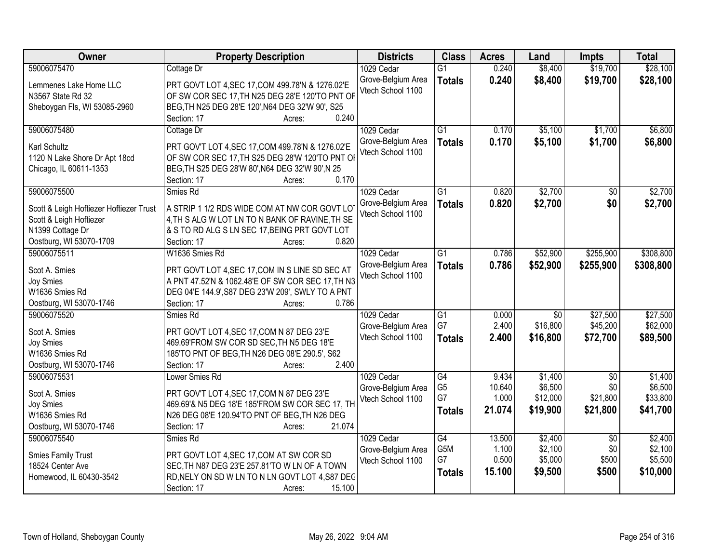| Owner                                         | <b>Property Description</b>                                                               | <b>Districts</b>   | <b>Class</b>         | <b>Acres</b> | Land            | <b>Impts</b>    | <b>Total</b> |
|-----------------------------------------------|-------------------------------------------------------------------------------------------|--------------------|----------------------|--------------|-----------------|-----------------|--------------|
| 59006075470                                   | Cottage Dr                                                                                | 1029 Cedar         | $\overline{G1}$      | 0.240        | \$8,400         | \$19,700        | \$28,100     |
| Lemmenes Lake Home LLC                        | PRT GOVT LOT 4, SEC 17, COM 499.78'N & 1276.02'E                                          | Grove-Belgium Area | <b>Totals</b>        | 0.240        | \$8,400         | \$19,700        | \$28,100     |
| N3567 State Rd 32                             | OF SW COR SEC 17, TH N25 DEG 28'E 120'TO PNT OF                                           | Vtech School 1100  |                      |              |                 |                 |              |
| Sheboygan Fls, WI 53085-2960                  | BEG, TH N25 DEG 28'E 120', N64 DEG 32'W 90', S25                                          |                    |                      |              |                 |                 |              |
|                                               | 0.240<br>Section: 17<br>Acres:                                                            |                    |                      |              |                 |                 |              |
| 59006075480                                   | Cottage Dr                                                                                | 1029 Cedar         | $\overline{G1}$      | 0.170        | \$5,100         | \$1,700         | \$6,800      |
|                                               |                                                                                           | Grove-Belgium Area | <b>Totals</b>        | 0.170        | \$5,100         | \$1,700         | \$6,800      |
| <b>Karl Schultz</b>                           | PRT GOV'T LOT 4, SEC 17, COM 499.78'N & 1276.02'E                                         | Vtech School 1100  |                      |              |                 |                 |              |
| 1120 N Lake Shore Dr Apt 18cd                 | OF SW COR SEC 17, TH S25 DEG 28'W 120'TO PNT OI                                           |                    |                      |              |                 |                 |              |
| Chicago, IL 60611-1353                        | BEG, TH S25 DEG 28'W 80', N64 DEG 32'W 90', N 25<br>0.170                                 |                    |                      |              |                 |                 |              |
| 59006075500                                   | Section: 17<br>Acres:<br>Smies Rd                                                         | 1029 Cedar         | $\overline{G1}$      | 0.820        | \$2,700         | $\overline{50}$ | \$2,700      |
|                                               |                                                                                           | Grove-Belgium Area |                      |              |                 |                 |              |
| Scott & Leigh Hoftiezer Hoftiezer Trust       | A STRIP 1 1/2 RDS WIDE COM AT NW COR GOVT LO                                              | Vtech School 1100  | <b>Totals</b>        | 0.820        | \$2,700         | \$0             | \$2,700      |
| Scott & Leigh Hoftiezer                       | 4, TH S ALG W LOT LN TO N BANK OF RAVINE, TH SE                                           |                    |                      |              |                 |                 |              |
| N1399 Cottage Dr                              | & S TO RD ALG S LN SEC 17, BEING PRT GOVT LOT                                             |                    |                      |              |                 |                 |              |
| Oostburg, WI 53070-1709                       | 0.820<br>Section: 17<br>Acres:                                                            |                    |                      |              |                 |                 |              |
| 59006075511                                   | W1636 Smies Rd                                                                            | 1029 Cedar         | G1                   | 0.786        | \$52,900        | \$255,900       | \$308,800    |
| Scot A. Smies                                 | PRT GOVT LOT 4, SEC 17, COM IN S LINE SD SEC AT                                           | Grove-Belgium Area | <b>Totals</b>        | 0.786        | \$52,900        | \$255,900       | \$308,800    |
| <b>Joy Smies</b>                              | A PNT 47.52'N & 1062.48'E OF SW COR SEC 17, TH N3                                         | Vtech School 1100  |                      |              |                 |                 |              |
| W1636 Smies Rd                                | DEG 04'E 144.9', S87 DEG 23'W 209', SWLY TO A PNT                                         |                    |                      |              |                 |                 |              |
| Oostburg, WI 53070-1746                       | 0.786<br>Section: 17<br>Acres:                                                            |                    |                      |              |                 |                 |              |
| 59006075520                                   | Smies Rd                                                                                  | 1029 Cedar         | $\overline{G1}$      | 0.000        | $\overline{50}$ | \$27,500        | \$27,500     |
|                                               |                                                                                           | Grove-Belgium Area | G7                   | 2.400        | \$16,800        | \$45,200        | \$62,000     |
| Scot A. Smies                                 | PRT GOV'T LOT 4, SEC 17, COM N 87 DEG 23'E                                                | Vtech School 1100  | <b>Totals</b>        | 2.400        | \$16,800        | \$72,700        | \$89,500     |
| <b>Joy Smies</b>                              | 469.69'FROM SW COR SD SEC, TH N5 DEG 18'E                                                 |                    |                      |              |                 |                 |              |
| W1636 Smies Rd                                | 185'TO PNT OF BEG, TH N26 DEG 08'E 290.5', S62                                            |                    |                      |              |                 |                 |              |
| Oostburg, WI 53070-1746                       | Section: 17<br>2.400<br>Acres:                                                            |                    |                      |              |                 |                 |              |
| 59006075531                                   | Lower Smies Rd                                                                            | 1029 Cedar         | $\overline{G4}$      | 9.434        | \$1,400         | $\sqrt{6}$      | \$1,400      |
| Scot A. Smies                                 | PRT GOV'T LOT 4, SEC 17, COM N 87 DEG 23'E                                                | Grove-Belgium Area | G <sub>5</sub><br>G7 | 10.640       | \$6,500         | \$0             | \$6,500      |
| Joy Smies                                     | 469.69'& N5 DEG 18'E 185'FROM SW COR SEC 17, TH                                           | Vtech School 1100  |                      | 1.000        | \$12,000        | \$21,800        | \$33,800     |
| W1636 Smies Rd                                | N26 DEG 08'E 120.94'TO PNT OF BEG, TH N26 DEG                                             |                    | <b>Totals</b>        | 21.074       | \$19,900        | \$21,800        | \$41,700     |
| Oostburg, WI 53070-1746                       | Section: 17<br>21.074<br>Acres:                                                           |                    |                      |              |                 |                 |              |
| 59006075540                                   | Smies Rd                                                                                  | 1029 Cedar         | $\overline{G4}$      | 13.500       | \$2,400         | $\overline{50}$ | \$2,400      |
|                                               |                                                                                           | Grove-Belgium Area | G5M                  | 1.100        | \$2,100         | \$0             | \$2,100      |
| <b>Smies Family Trust</b><br>18524 Center Ave | PRT GOVT LOT 4, SEC 17, COM AT SW COR SD<br>SEC, TH N87 DEG 23'E 257.81'TO W LN OF A TOWN | Vtech School 1100  | G7                   | 0.500        | \$5,000         | \$500           | \$5,500      |
| Homewood, IL 60430-3542                       | RD, NELY ON SD W LN TO N LN GOVT LOT 4, S87 DEC                                           |                    | <b>Totals</b>        | 15.100       | \$9,500         | \$500           | \$10,000     |
|                                               | 15.100<br>Section: 17<br>Acres:                                                           |                    |                      |              |                 |                 |              |
|                                               |                                                                                           |                    |                      |              |                 |                 |              |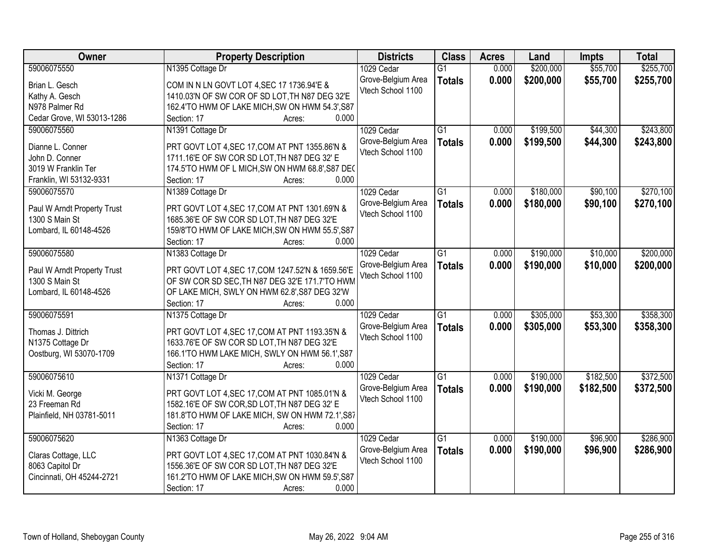| Owner                       | <b>Property Description</b>                                           | <b>Districts</b>   | <b>Class</b>    | <b>Acres</b> | Land      | <b>Impts</b> | <b>Total</b> |
|-----------------------------|-----------------------------------------------------------------------|--------------------|-----------------|--------------|-----------|--------------|--------------|
| 59006075550                 | N1395 Cottage Dr                                                      | 1029 Cedar         | $\overline{G1}$ | 0.000        | \$200,000 | \$55,700     | \$255,700    |
| Brian L. Gesch              | COM IN N LN GOVT LOT 4, SEC 17 1736.94'E &                            | Grove-Belgium Area | <b>Totals</b>   | 0.000        | \$200,000 | \$55,700     | \$255,700    |
| Kathy A. Gesch              | 1410.03'N OF SW COR OF SD LOT, TH N87 DEG 32'E                        | Vtech School 1100  |                 |              |           |              |              |
| N978 Palmer Rd              | 162.4'TO HWM OF LAKE MICH, SW ON HWM 54.3', S87                       |                    |                 |              |           |              |              |
| Cedar Grove, WI 53013-1286  | 0.000<br>Section: 17<br>Acres:                                        |                    |                 |              |           |              |              |
| 59006075560                 | N1391 Cottage Dr                                                      | 1029 Cedar         | $\overline{G1}$ | 0.000        | \$199,500 | \$44,300     | \$243,800    |
|                             |                                                                       | Grove-Belgium Area | <b>Totals</b>   | 0.000        | \$199,500 | \$44,300     | \$243,800    |
| Dianne L. Conner            | PRT GOVT LOT 4, SEC 17, COM AT PNT 1355.86'N &                        | Vtech School 1100  |                 |              |           |              |              |
| John D. Conner              | 1711.16'E OF SW COR SD LOT, TH N87 DEG 32' E                          |                    |                 |              |           |              |              |
| 3019 W Franklin Ter         | 174.5'TO HWM OF L MICH, SW ON HWM 68.8', S87 DEC                      |                    |                 |              |           |              |              |
| Franklin, WI 53132-9331     | 0.000<br>Section: 17<br>Acres:                                        |                    |                 |              |           |              |              |
| 59006075570                 | N1389 Cottage Dr                                                      | 1029 Cedar         | $\overline{G1}$ | 0.000        | \$180,000 | \$90,100     | \$270,100    |
| Paul W Arndt Property Trust | PRT GOVT LOT 4, SEC 17, COM AT PNT 1301.69'N &                        | Grove-Belgium Area | <b>Totals</b>   | 0.000        | \$180,000 | \$90,100     | \$270,100    |
| 1300 S Main St              | 1685.36'E OF SW COR SD LOT, TH N87 DEG 32'E                           | Vtech School 1100  |                 |              |           |              |              |
| Lombard, IL 60148-4526      | 159/8'TO HWM OF LAKE MICH, SW ON HWM 55.5', S87                       |                    |                 |              |           |              |              |
|                             | Section: 17<br>0.000<br>Acres:                                        |                    |                 |              |           |              |              |
| 59006075580                 | N1383 Cottage Dr                                                      | 1029 Cedar         | G1              | 0.000        | \$190,000 | \$10,000     | \$200,000    |
|                             |                                                                       | Grove-Belgium Area | <b>Totals</b>   | 0.000        | \$190,000 | \$10,000     | \$200,000    |
| Paul W Arndt Property Trust | PRT GOVT LOT 4, SEC 17, COM 1247.52'N & 1659.56'E                     | Vtech School 1100  |                 |              |           |              |              |
| 1300 S Main St              | OF SW COR SD SEC, TH N87 DEG 32'E 171.7'TO HWM                        |                    |                 |              |           |              |              |
| Lombard, IL 60148-4526      | OF LAKE MICH, SWLY ON HWM 62.8', S87 DEG 32'W<br>Section: 17<br>0.000 |                    |                 |              |           |              |              |
| 59006075591                 | Acres:                                                                |                    | $\overline{G1}$ | 0.000        | \$305,000 | \$53,300     | \$358,300    |
|                             | N1375 Cottage Dr                                                      | 1029 Cedar         |                 |              |           |              |              |
| Thomas J. Dittrich          | PRT GOVT LOT 4, SEC 17, COM AT PNT 1193.35'N &                        | Grove-Belgium Area | <b>Totals</b>   | 0.000        | \$305,000 | \$53,300     | \$358,300    |
| N1375 Cottage Dr            | 1633.76'E OF SW COR SD LOT, TH N87 DEG 32'E                           | Vtech School 1100  |                 |              |           |              |              |
| Oostburg, WI 53070-1709     | 166.1'TO HWM LAKE MICH, SWLY ON HWM 56.1', S87                        |                    |                 |              |           |              |              |
|                             | Section: 17<br>0.000<br>Acres:                                        |                    |                 |              |           |              |              |
| 59006075610                 | N1371 Cottage Dr                                                      | 1029 Cedar         | G1              | 0.000        | \$190,000 | \$182,500    | \$372,500    |
| Vicki M. George             | PRT GOVT LOT 4, SEC 17, COM AT PNT 1085.01'N &                        | Grove-Belgium Area | <b>Totals</b>   | 0.000        | \$190,000 | \$182,500    | \$372,500    |
| 23 Freeman Rd               | 1582.16'E OF SW COR, SD LOT, TH N87 DEG 32' E                         | Vtech School 1100  |                 |              |           |              |              |
| Plainfield, NH 03781-5011   | 181.8'TO HWM OF LAKE MICH, SW ON HWM 72.1', S87                       |                    |                 |              |           |              |              |
|                             | 0.000<br>Section: 17<br>Acres:                                        |                    |                 |              |           |              |              |
| 59006075620                 | N1363 Cottage Dr                                                      | 1029 Cedar         | $\overline{G1}$ | 0.000        | \$190,000 | \$96,900     | \$286,900    |
|                             |                                                                       | Grove-Belgium Area |                 | 0.000        |           |              |              |
| Claras Cottage, LLC         | PRT GOVT LOT 4, SEC 17, COM AT PNT 1030.84'N &                        | Vtech School 1100  | <b>Totals</b>   |              | \$190,000 | \$96,900     | \$286,900    |
| 8063 Capitol Dr             | 1556.36'E OF SW COR SD LOT, TH N87 DEG 32'E                           |                    |                 |              |           |              |              |
| Cincinnati, OH 45244-2721   | 161.2'TO HWM OF LAKE MICH, SW ON HWM 59.5', S87                       |                    |                 |              |           |              |              |
|                             | 0.000<br>Section: 17<br>Acres:                                        |                    |                 |              |           |              |              |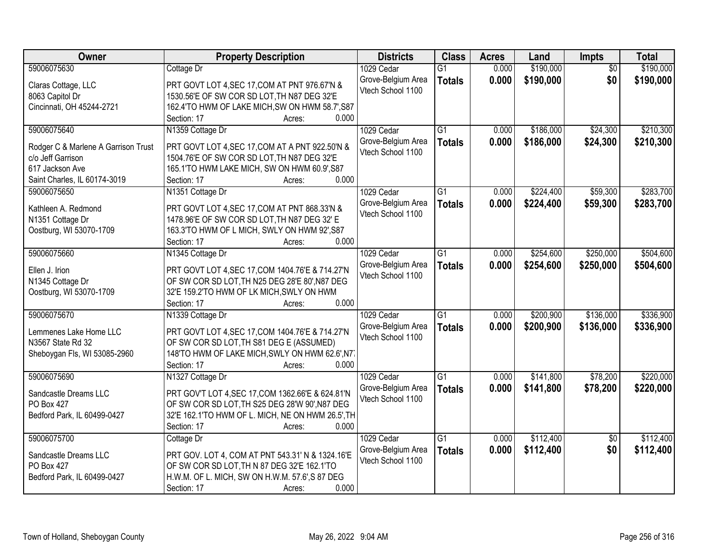| Owner                               | <b>Property Description</b>                        | <b>Districts</b>   | <b>Class</b>    | <b>Acres</b> | Land      | Impts           | <b>Total</b> |
|-------------------------------------|----------------------------------------------------|--------------------|-----------------|--------------|-----------|-----------------|--------------|
| 59006075630                         | Cottage Dr                                         | 1029 Cedar         | $\overline{G1}$ | 0.000        | \$190,000 | $\overline{50}$ | \$190,000    |
| Claras Cottage, LLC                 | PRT GOVT LOT 4, SEC 17, COM AT PNT 976.67'N &      | Grove-Belgium Area | <b>Totals</b>   | 0.000        | \$190,000 | \$0             | \$190,000    |
| 8063 Capitol Dr                     | 1530.56'E OF SW COR SD LOT, TH N87 DEG 32'E        | Vtech School 1100  |                 |              |           |                 |              |
| Cincinnati, OH 45244-2721           | 162.4'TO HWM OF LAKE MICH, SW ON HWM 58.7', S87    |                    |                 |              |           |                 |              |
|                                     | 0.000<br>Section: 17<br>Acres:                     |                    |                 |              |           |                 |              |
| 59006075640                         | N1359 Cottage Dr                                   | 1029 Cedar         | $\overline{G1}$ | 0.000        | \$186,000 | \$24,300        | \$210,300    |
|                                     |                                                    | Grove-Belgium Area | <b>Totals</b>   | 0.000        | \$186,000 | \$24,300        | \$210,300    |
| Rodger C & Marlene A Garrison Trust | PRT GOVT LOT 4, SEC 17, COM AT A PNT 922.50'N &    | Vtech School 1100  |                 |              |           |                 |              |
| c/o Jeff Garrison                   | 1504.76'E OF SW COR SD LOT, TH N87 DEG 32'E        |                    |                 |              |           |                 |              |
| 617 Jackson Ave                     | 165.1'TO HWM LAKE MICH, SW ON HWM 60.9', S87       |                    |                 |              |           |                 |              |
| Saint Charles, IL 60174-3019        | 0.000<br>Section: 17<br>Acres:                     |                    |                 |              |           |                 |              |
| 59006075650                         | N1351 Cottage Dr                                   | 1029 Cedar         | G1              | 0.000        | \$224,400 | \$59,300        | \$283,700    |
| Kathleen A. Redmond                 | PRT GOVT LOT 4, SEC 17, COM AT PNT 868.33'N &      | Grove-Belgium Area | <b>Totals</b>   | 0.000        | \$224,400 | \$59,300        | \$283,700    |
| N1351 Cottage Dr                    | 1478.96'E OF SW COR SD LOT, TH N87 DEG 32' E       | Vtech School 1100  |                 |              |           |                 |              |
| Oostburg, WI 53070-1709             | 163.3'TO HWM OF L MICH, SWLY ON HWM 92', S87       |                    |                 |              |           |                 |              |
|                                     | Section: 17<br>0.000<br>Acres:                     |                    |                 |              |           |                 |              |
| 59006075660                         | N1345 Cottage Dr                                   | 1029 Cedar         | G1              | 0.000        | \$254,600 | \$250,000       | \$504,600    |
|                                     |                                                    | Grove-Belgium Area | <b>Totals</b>   | 0.000        | \$254,600 | \$250,000       | \$504,600    |
| Ellen J. Irion                      | PRT GOVT LOT 4, SEC 17, COM 1404. 76'E & 714. 27'N | Vtech School 1100  |                 |              |           |                 |              |
| N1345 Cottage Dr                    | OF SW COR SD LOT, TH N25 DEG 28'E 80', N87 DEG     |                    |                 |              |           |                 |              |
| Oostburg, WI 53070-1709             | 32'E 159.2'TO HWM OF LK MICH, SWLY ON HWM          |                    |                 |              |           |                 |              |
|                                     | 0.000<br>Section: 17<br>Acres:                     |                    |                 |              |           |                 |              |
| 59006075670                         | N1339 Cottage Dr                                   | 1029 Cedar         | $\overline{G1}$ | 0.000        | \$200,900 | \$136,000       | \$336,900    |
| Lemmenes Lake Home LLC              | PRT GOVT LOT 4, SEC 17, COM 1404. 76'E & 714. 27'N | Grove-Belgium Area | <b>Totals</b>   | 0.000        | \$200,900 | \$136,000       | \$336,900    |
| N3567 State Rd 32                   | OF SW COR SD LOT, TH S81 DEG E (ASSUMED)           | Vtech School 1100  |                 |              |           |                 |              |
| Sheboygan Fls, WI 53085-2960        | 148'TO HWM OF LAKE MICH, SWLY ON HWM 62.6', N7.    |                    |                 |              |           |                 |              |
|                                     | Section: 17<br>0.000<br>Acres:                     |                    |                 |              |           |                 |              |
| 59006075690                         | N1327 Cottage Dr                                   | 1029 Cedar         | $\overline{G1}$ | 0.000        | \$141,800 | \$78,200        | \$220,000    |
|                                     |                                                    | Grove-Belgium Area |                 | 0.000        | \$141,800 | \$78,200        | \$220,000    |
| Sandcastle Dreams LLC               | PRT GOV'T LOT 4, SEC 17, COM 1362.66'E & 624.81'N  | Vtech School 1100  | <b>Totals</b>   |              |           |                 |              |
| PO Box 427                          | OF SW COR SD LOT, TH S25 DEG 28'W 90', N87 DEG     |                    |                 |              |           |                 |              |
| Bedford Park, IL 60499-0427         | 32'E 162.1'TO HWM OF L. MICH, NE ON HWM 26.5', TH  |                    |                 |              |           |                 |              |
|                                     | 0.000<br>Section: 17<br>Acres:                     |                    |                 |              |           |                 |              |
| 59006075700                         | Cottage Dr                                         | 1029 Cedar         | $\overline{G1}$ | 0.000        | \$112,400 | $\overline{50}$ | \$112,400    |
| Sandcastle Dreams LLC               | PRT GOV. LOT 4, COM AT PNT 543.31' N & 1324.16'E   | Grove-Belgium Area | <b>Totals</b>   | 0.000        | \$112,400 | \$0             | \$112,400    |
| PO Box 427                          | OF SW COR SD LOT, TH N 87 DEG 32'E 162.1'TO        | Vtech School 1100  |                 |              |           |                 |              |
| Bedford Park, IL 60499-0427         | H.W.M. OF L. MICH, SW ON H.W.M. 57.6', S 87 DEG    |                    |                 |              |           |                 |              |
|                                     | 0.000<br>Section: 17                               |                    |                 |              |           |                 |              |
|                                     | Acres:                                             |                    |                 |              |           |                 |              |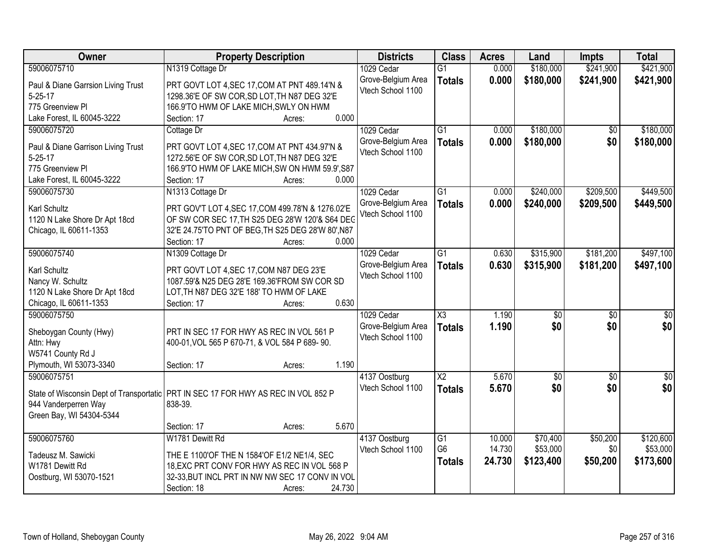| \$421,900<br>59006075710<br>N1319 Cottage Dr<br>0.000<br>\$180,000<br>\$241,900<br>1029 Cedar<br>$\overline{G1}$<br>Grove-Belgium Area<br>0.000<br>\$180,000<br>\$241,900<br>\$421,900<br><b>Totals</b><br>Paul & Diane Garrsion Living Trust<br>PRT GOVT LOT 4, SEC 17, COM AT PNT 489.14'N &<br>Vtech School 1100<br>$5 - 25 - 17$<br>1298.36'E OF SW COR, SD LOT, TH N87 DEG 32'E<br>775 Greenview PI<br>166.9'TO HWM OF LAKE MICH, SWLY ON HWM<br>0.000<br>Lake Forest, IL 60045-3222<br>Section: 17<br>Acres:<br>\$180,000<br>59006075720<br>1029 Cedar<br>$\overline{G1}$<br>0.000<br>\$0<br>Cottage Dr<br>0.000<br>\$180,000<br>\$0<br>\$180,000<br>Grove-Belgium Area<br><b>Totals</b><br>Paul & Diane Garrison Living Trust<br>PRT GOVT LOT 4, SEC 17, COM AT PNT 434.97'N &<br>Vtech School 1100<br>1272.56'E OF SW COR, SD LOT, TH N87 DEG 32'E<br>$5 - 25 - 17$<br>775 Greenview Pl<br>166.9'TO HWM OF LAKE MICH, SW ON HWM 59.9', S87<br>0.000<br>Lake Forest, IL 60045-3222<br>Section: 17<br>Acres:<br>59006075730<br>N1313 Cottage Dr<br>1029 Cedar<br>$\overline{G1}$<br>\$240,000<br>\$209,500<br>0.000<br>Grove-Belgium Area<br>0.000<br>\$240,000<br>\$209,500<br>\$449,500<br><b>Totals</b><br><b>Karl Schultz</b><br>PRT GOV'T LOT 4, SEC 17, COM 499.78'N & 1276.02'E<br>Vtech School 1100<br>OF SW COR SEC 17, TH S25 DEG 28'W 120'& S64 DEG<br>1120 N Lake Shore Dr Apt 18cd<br>Chicago, IL 60611-1353<br>32'E 24.75'TO PNT OF BEG, TH S25 DEG 28'W 80', N87<br>Section: 17<br>0.000<br>Acres:<br>59006075740<br>$\overline{G1}$<br>\$315,900<br>\$181,200<br>N1309 Cottage Dr<br>1029 Cedar<br>0.630<br>Grove-Belgium Area<br>0.630<br>\$315,900<br>\$181,200<br>\$497,100<br><b>Totals</b><br>Karl Schultz<br>PRT GOVT LOT 4, SEC 17, COM N87 DEG 23'E<br>Vtech School 1100<br>1087.59'& N25 DEG 28'E 169.36'FROM SW COR SD<br>Nancy W. Schultz<br>1120 N Lake Shore Dr Apt 18cd<br>LOT, TH N87 DEG 32'E 188' TO HWM OF LAKE<br>Chicago, IL 60611-1353<br>0.630<br>Section: 17<br>Acres:<br>$\overline{\text{X3}}$<br>59006075750<br>1.190<br>$\overline{50}$<br>1029 Cedar<br>$\overline{50}$<br>\$0<br>1.190<br>\$0<br>\$0<br>Grove-Belgium Area<br><b>Totals</b><br>PRT IN SEC 17 FOR HWY AS REC IN VOL 561 P<br>Sheboygan County (Hwy)<br>Vtech School 1100<br>Attn: Hwy<br>400-01, VOL 565 P 670-71, & VOL 584 P 689-90.<br>W5741 County Rd J<br>1.190<br>Plymouth, WI 53073-3340<br>Section: 17<br>Acres:<br>59006075751<br>$\overline{X2}$<br>5.670<br>$\sqrt{$0}$<br>$\overline{50}$<br>4137 Oostburg<br>\$0<br>Vtech School 1100<br>5.670<br>\$0<br><b>Totals</b><br>State of Wisconsin Dept of Transportatic   PRT IN SEC 17 FOR HWY AS REC IN VOL 852 P | Owner                | <b>Property Description</b> | <b>Districts</b> | <b>Class</b> | <b>Acres</b> | Land | Impts | <b>Total</b> |
|-----------------------------------------------------------------------------------------------------------------------------------------------------------------------------------------------------------------------------------------------------------------------------------------------------------------------------------------------------------------------------------------------------------------------------------------------------------------------------------------------------------------------------------------------------------------------------------------------------------------------------------------------------------------------------------------------------------------------------------------------------------------------------------------------------------------------------------------------------------------------------------------------------------------------------------------------------------------------------------------------------------------------------------------------------------------------------------------------------------------------------------------------------------------------------------------------------------------------------------------------------------------------------------------------------------------------------------------------------------------------------------------------------------------------------------------------------------------------------------------------------------------------------------------------------------------------------------------------------------------------------------------------------------------------------------------------------------------------------------------------------------------------------------------------------------------------------------------------------------------------------------------------------------------------------------------------------------------------------------------------------------------------------------------------------------------------------------------------------------------------------------------------------------------------------------------------------------------------------------------------------------------------------------------------------------------------------------------------------------------------------------------------------------------------------------------------------------------------------------------------------------------------------------------------------------------------------------------------------------------------------------------------------------------------------------------------|----------------------|-----------------------------|------------------|--------------|--------------|------|-------|--------------|
|                                                                                                                                                                                                                                                                                                                                                                                                                                                                                                                                                                                                                                                                                                                                                                                                                                                                                                                                                                                                                                                                                                                                                                                                                                                                                                                                                                                                                                                                                                                                                                                                                                                                                                                                                                                                                                                                                                                                                                                                                                                                                                                                                                                                                                                                                                                                                                                                                                                                                                                                                                                                                                                                                               |                      |                             |                  |              |              |      |       |              |
|                                                                                                                                                                                                                                                                                                                                                                                                                                                                                                                                                                                                                                                                                                                                                                                                                                                                                                                                                                                                                                                                                                                                                                                                                                                                                                                                                                                                                                                                                                                                                                                                                                                                                                                                                                                                                                                                                                                                                                                                                                                                                                                                                                                                                                                                                                                                                                                                                                                                                                                                                                                                                                                                                               |                      |                             |                  |              |              |      |       |              |
| \$180,000<br>\$449,500<br>\$497,100<br>$\overline{\$0}$<br>$\sqrt{50}$<br>\$0                                                                                                                                                                                                                                                                                                                                                                                                                                                                                                                                                                                                                                                                                                                                                                                                                                                                                                                                                                                                                                                                                                                                                                                                                                                                                                                                                                                                                                                                                                                                                                                                                                                                                                                                                                                                                                                                                                                                                                                                                                                                                                                                                                                                                                                                                                                                                                                                                                                                                                                                                                                                                 |                      |                             |                  |              |              |      |       |              |
|                                                                                                                                                                                                                                                                                                                                                                                                                                                                                                                                                                                                                                                                                                                                                                                                                                                                                                                                                                                                                                                                                                                                                                                                                                                                                                                                                                                                                                                                                                                                                                                                                                                                                                                                                                                                                                                                                                                                                                                                                                                                                                                                                                                                                                                                                                                                                                                                                                                                                                                                                                                                                                                                                               |                      |                             |                  |              |              |      |       |              |
|                                                                                                                                                                                                                                                                                                                                                                                                                                                                                                                                                                                                                                                                                                                                                                                                                                                                                                                                                                                                                                                                                                                                                                                                                                                                                                                                                                                                                                                                                                                                                                                                                                                                                                                                                                                                                                                                                                                                                                                                                                                                                                                                                                                                                                                                                                                                                                                                                                                                                                                                                                                                                                                                                               |                      |                             |                  |              |              |      |       |              |
|                                                                                                                                                                                                                                                                                                                                                                                                                                                                                                                                                                                                                                                                                                                                                                                                                                                                                                                                                                                                                                                                                                                                                                                                                                                                                                                                                                                                                                                                                                                                                                                                                                                                                                                                                                                                                                                                                                                                                                                                                                                                                                                                                                                                                                                                                                                                                                                                                                                                                                                                                                                                                                                                                               |                      |                             |                  |              |              |      |       |              |
|                                                                                                                                                                                                                                                                                                                                                                                                                                                                                                                                                                                                                                                                                                                                                                                                                                                                                                                                                                                                                                                                                                                                                                                                                                                                                                                                                                                                                                                                                                                                                                                                                                                                                                                                                                                                                                                                                                                                                                                                                                                                                                                                                                                                                                                                                                                                                                                                                                                                                                                                                                                                                                                                                               |                      |                             |                  |              |              |      |       |              |
|                                                                                                                                                                                                                                                                                                                                                                                                                                                                                                                                                                                                                                                                                                                                                                                                                                                                                                                                                                                                                                                                                                                                                                                                                                                                                                                                                                                                                                                                                                                                                                                                                                                                                                                                                                                                                                                                                                                                                                                                                                                                                                                                                                                                                                                                                                                                                                                                                                                                                                                                                                                                                                                                                               |                      |                             |                  |              |              |      |       |              |
|                                                                                                                                                                                                                                                                                                                                                                                                                                                                                                                                                                                                                                                                                                                                                                                                                                                                                                                                                                                                                                                                                                                                                                                                                                                                                                                                                                                                                                                                                                                                                                                                                                                                                                                                                                                                                                                                                                                                                                                                                                                                                                                                                                                                                                                                                                                                                                                                                                                                                                                                                                                                                                                                                               |                      |                             |                  |              |              |      |       |              |
|                                                                                                                                                                                                                                                                                                                                                                                                                                                                                                                                                                                                                                                                                                                                                                                                                                                                                                                                                                                                                                                                                                                                                                                                                                                                                                                                                                                                                                                                                                                                                                                                                                                                                                                                                                                                                                                                                                                                                                                                                                                                                                                                                                                                                                                                                                                                                                                                                                                                                                                                                                                                                                                                                               |                      |                             |                  |              |              |      |       |              |
|                                                                                                                                                                                                                                                                                                                                                                                                                                                                                                                                                                                                                                                                                                                                                                                                                                                                                                                                                                                                                                                                                                                                                                                                                                                                                                                                                                                                                                                                                                                                                                                                                                                                                                                                                                                                                                                                                                                                                                                                                                                                                                                                                                                                                                                                                                                                                                                                                                                                                                                                                                                                                                                                                               |                      |                             |                  |              |              |      |       |              |
|                                                                                                                                                                                                                                                                                                                                                                                                                                                                                                                                                                                                                                                                                                                                                                                                                                                                                                                                                                                                                                                                                                                                                                                                                                                                                                                                                                                                                                                                                                                                                                                                                                                                                                                                                                                                                                                                                                                                                                                                                                                                                                                                                                                                                                                                                                                                                                                                                                                                                                                                                                                                                                                                                               |                      |                             |                  |              |              |      |       |              |
|                                                                                                                                                                                                                                                                                                                                                                                                                                                                                                                                                                                                                                                                                                                                                                                                                                                                                                                                                                                                                                                                                                                                                                                                                                                                                                                                                                                                                                                                                                                                                                                                                                                                                                                                                                                                                                                                                                                                                                                                                                                                                                                                                                                                                                                                                                                                                                                                                                                                                                                                                                                                                                                                                               |                      |                             |                  |              |              |      |       |              |
|                                                                                                                                                                                                                                                                                                                                                                                                                                                                                                                                                                                                                                                                                                                                                                                                                                                                                                                                                                                                                                                                                                                                                                                                                                                                                                                                                                                                                                                                                                                                                                                                                                                                                                                                                                                                                                                                                                                                                                                                                                                                                                                                                                                                                                                                                                                                                                                                                                                                                                                                                                                                                                                                                               |                      |                             |                  |              |              |      |       |              |
|                                                                                                                                                                                                                                                                                                                                                                                                                                                                                                                                                                                                                                                                                                                                                                                                                                                                                                                                                                                                                                                                                                                                                                                                                                                                                                                                                                                                                                                                                                                                                                                                                                                                                                                                                                                                                                                                                                                                                                                                                                                                                                                                                                                                                                                                                                                                                                                                                                                                                                                                                                                                                                                                                               |                      |                             |                  |              |              |      |       |              |
|                                                                                                                                                                                                                                                                                                                                                                                                                                                                                                                                                                                                                                                                                                                                                                                                                                                                                                                                                                                                                                                                                                                                                                                                                                                                                                                                                                                                                                                                                                                                                                                                                                                                                                                                                                                                                                                                                                                                                                                                                                                                                                                                                                                                                                                                                                                                                                                                                                                                                                                                                                                                                                                                                               |                      |                             |                  |              |              |      |       |              |
|                                                                                                                                                                                                                                                                                                                                                                                                                                                                                                                                                                                                                                                                                                                                                                                                                                                                                                                                                                                                                                                                                                                                                                                                                                                                                                                                                                                                                                                                                                                                                                                                                                                                                                                                                                                                                                                                                                                                                                                                                                                                                                                                                                                                                                                                                                                                                                                                                                                                                                                                                                                                                                                                                               |                      |                             |                  |              |              |      |       |              |
|                                                                                                                                                                                                                                                                                                                                                                                                                                                                                                                                                                                                                                                                                                                                                                                                                                                                                                                                                                                                                                                                                                                                                                                                                                                                                                                                                                                                                                                                                                                                                                                                                                                                                                                                                                                                                                                                                                                                                                                                                                                                                                                                                                                                                                                                                                                                                                                                                                                                                                                                                                                                                                                                                               |                      |                             |                  |              |              |      |       |              |
|                                                                                                                                                                                                                                                                                                                                                                                                                                                                                                                                                                                                                                                                                                                                                                                                                                                                                                                                                                                                                                                                                                                                                                                                                                                                                                                                                                                                                                                                                                                                                                                                                                                                                                                                                                                                                                                                                                                                                                                                                                                                                                                                                                                                                                                                                                                                                                                                                                                                                                                                                                                                                                                                                               |                      |                             |                  |              |              |      |       |              |
|                                                                                                                                                                                                                                                                                                                                                                                                                                                                                                                                                                                                                                                                                                                                                                                                                                                                                                                                                                                                                                                                                                                                                                                                                                                                                                                                                                                                                                                                                                                                                                                                                                                                                                                                                                                                                                                                                                                                                                                                                                                                                                                                                                                                                                                                                                                                                                                                                                                                                                                                                                                                                                                                                               |                      |                             |                  |              |              |      |       |              |
|                                                                                                                                                                                                                                                                                                                                                                                                                                                                                                                                                                                                                                                                                                                                                                                                                                                                                                                                                                                                                                                                                                                                                                                                                                                                                                                                                                                                                                                                                                                                                                                                                                                                                                                                                                                                                                                                                                                                                                                                                                                                                                                                                                                                                                                                                                                                                                                                                                                                                                                                                                                                                                                                                               |                      |                             |                  |              |              |      |       |              |
|                                                                                                                                                                                                                                                                                                                                                                                                                                                                                                                                                                                                                                                                                                                                                                                                                                                                                                                                                                                                                                                                                                                                                                                                                                                                                                                                                                                                                                                                                                                                                                                                                                                                                                                                                                                                                                                                                                                                                                                                                                                                                                                                                                                                                                                                                                                                                                                                                                                                                                                                                                                                                                                                                               |                      |                             |                  |              |              |      |       |              |
|                                                                                                                                                                                                                                                                                                                                                                                                                                                                                                                                                                                                                                                                                                                                                                                                                                                                                                                                                                                                                                                                                                                                                                                                                                                                                                                                                                                                                                                                                                                                                                                                                                                                                                                                                                                                                                                                                                                                                                                                                                                                                                                                                                                                                                                                                                                                                                                                                                                                                                                                                                                                                                                                                               |                      |                             |                  |              |              |      |       |              |
|                                                                                                                                                                                                                                                                                                                                                                                                                                                                                                                                                                                                                                                                                                                                                                                                                                                                                                                                                                                                                                                                                                                                                                                                                                                                                                                                                                                                                                                                                                                                                                                                                                                                                                                                                                                                                                                                                                                                                                                                                                                                                                                                                                                                                                                                                                                                                                                                                                                                                                                                                                                                                                                                                               |                      |                             |                  |              |              |      |       |              |
|                                                                                                                                                                                                                                                                                                                                                                                                                                                                                                                                                                                                                                                                                                                                                                                                                                                                                                                                                                                                                                                                                                                                                                                                                                                                                                                                                                                                                                                                                                                                                                                                                                                                                                                                                                                                                                                                                                                                                                                                                                                                                                                                                                                                                                                                                                                                                                                                                                                                                                                                                                                                                                                                                               |                      |                             |                  |              |              |      |       |              |
|                                                                                                                                                                                                                                                                                                                                                                                                                                                                                                                                                                                                                                                                                                                                                                                                                                                                                                                                                                                                                                                                                                                                                                                                                                                                                                                                                                                                                                                                                                                                                                                                                                                                                                                                                                                                                                                                                                                                                                                                                                                                                                                                                                                                                                                                                                                                                                                                                                                                                                                                                                                                                                                                                               |                      |                             |                  |              |              |      |       |              |
|                                                                                                                                                                                                                                                                                                                                                                                                                                                                                                                                                                                                                                                                                                                                                                                                                                                                                                                                                                                                                                                                                                                                                                                                                                                                                                                                                                                                                                                                                                                                                                                                                                                                                                                                                                                                                                                                                                                                                                                                                                                                                                                                                                                                                                                                                                                                                                                                                                                                                                                                                                                                                                                                                               |                      |                             |                  |              |              |      |       |              |
|                                                                                                                                                                                                                                                                                                                                                                                                                                                                                                                                                                                                                                                                                                                                                                                                                                                                                                                                                                                                                                                                                                                                                                                                                                                                                                                                                                                                                                                                                                                                                                                                                                                                                                                                                                                                                                                                                                                                                                                                                                                                                                                                                                                                                                                                                                                                                                                                                                                                                                                                                                                                                                                                                               |                      |                             |                  |              |              |      |       |              |
|                                                                                                                                                                                                                                                                                                                                                                                                                                                                                                                                                                                                                                                                                                                                                                                                                                                                                                                                                                                                                                                                                                                                                                                                                                                                                                                                                                                                                                                                                                                                                                                                                                                                                                                                                                                                                                                                                                                                                                                                                                                                                                                                                                                                                                                                                                                                                                                                                                                                                                                                                                                                                                                                                               |                      |                             |                  |              |              |      |       |              |
|                                                                                                                                                                                                                                                                                                                                                                                                                                                                                                                                                                                                                                                                                                                                                                                                                                                                                                                                                                                                                                                                                                                                                                                                                                                                                                                                                                                                                                                                                                                                                                                                                                                                                                                                                                                                                                                                                                                                                                                                                                                                                                                                                                                                                                                                                                                                                                                                                                                                                                                                                                                                                                                                                               | 944 Vanderperren Way | 838-39.                     |                  |              |              |      |       |              |
| Green Bay, WI 54304-5344                                                                                                                                                                                                                                                                                                                                                                                                                                                                                                                                                                                                                                                                                                                                                                                                                                                                                                                                                                                                                                                                                                                                                                                                                                                                                                                                                                                                                                                                                                                                                                                                                                                                                                                                                                                                                                                                                                                                                                                                                                                                                                                                                                                                                                                                                                                                                                                                                                                                                                                                                                                                                                                                      |                      |                             |                  |              |              |      |       |              |
| 5.670<br>Section: 17<br>Acres:                                                                                                                                                                                                                                                                                                                                                                                                                                                                                                                                                                                                                                                                                                                                                                                                                                                                                                                                                                                                                                                                                                                                                                                                                                                                                                                                                                                                                                                                                                                                                                                                                                                                                                                                                                                                                                                                                                                                                                                                                                                                                                                                                                                                                                                                                                                                                                                                                                                                                                                                                                                                                                                                |                      |                             |                  |              |              |      |       |              |
| 59006075760<br>W1781 Dewitt Rd<br>\$70,400<br>\$50,200<br>\$120,600<br>4137 Oostburg<br>G1<br>10.000                                                                                                                                                                                                                                                                                                                                                                                                                                                                                                                                                                                                                                                                                                                                                                                                                                                                                                                                                                                                                                                                                                                                                                                                                                                                                                                                                                                                                                                                                                                                                                                                                                                                                                                                                                                                                                                                                                                                                                                                                                                                                                                                                                                                                                                                                                                                                                                                                                                                                                                                                                                          |                      |                             |                  |              |              |      |       |              |
| G <sub>6</sub><br>14.730<br>\$53,000<br>\$53,000<br>\$0<br>Vtech School 1100<br>Tadeusz M. Sawicki<br>THE E 1100'OF THE N 1584'OF E1/2 NE1/4, SEC                                                                                                                                                                                                                                                                                                                                                                                                                                                                                                                                                                                                                                                                                                                                                                                                                                                                                                                                                                                                                                                                                                                                                                                                                                                                                                                                                                                                                                                                                                                                                                                                                                                                                                                                                                                                                                                                                                                                                                                                                                                                                                                                                                                                                                                                                                                                                                                                                                                                                                                                             |                      |                             |                  |              |              |      |       |              |
| 24.730<br>\$123,400<br>\$50,200<br>\$173,600<br><b>Totals</b><br>18, EXC PRT CONV FOR HWY AS REC IN VOL 568 P<br>W1781 Dewitt Rd                                                                                                                                                                                                                                                                                                                                                                                                                                                                                                                                                                                                                                                                                                                                                                                                                                                                                                                                                                                                                                                                                                                                                                                                                                                                                                                                                                                                                                                                                                                                                                                                                                                                                                                                                                                                                                                                                                                                                                                                                                                                                                                                                                                                                                                                                                                                                                                                                                                                                                                                                              |                      |                             |                  |              |              |      |       |              |
| 32-33, BUT INCL PRT IN NW NW SEC 17 CONV IN VOL<br>Oostburg, WI 53070-1521                                                                                                                                                                                                                                                                                                                                                                                                                                                                                                                                                                                                                                                                                                                                                                                                                                                                                                                                                                                                                                                                                                                                                                                                                                                                                                                                                                                                                                                                                                                                                                                                                                                                                                                                                                                                                                                                                                                                                                                                                                                                                                                                                                                                                                                                                                                                                                                                                                                                                                                                                                                                                    |                      |                             |                  |              |              |      |       |              |
| 24.730<br>Section: 18<br>Acres:                                                                                                                                                                                                                                                                                                                                                                                                                                                                                                                                                                                                                                                                                                                                                                                                                                                                                                                                                                                                                                                                                                                                                                                                                                                                                                                                                                                                                                                                                                                                                                                                                                                                                                                                                                                                                                                                                                                                                                                                                                                                                                                                                                                                                                                                                                                                                                                                                                                                                                                                                                                                                                                               |                      |                             |                  |              |              |      |       |              |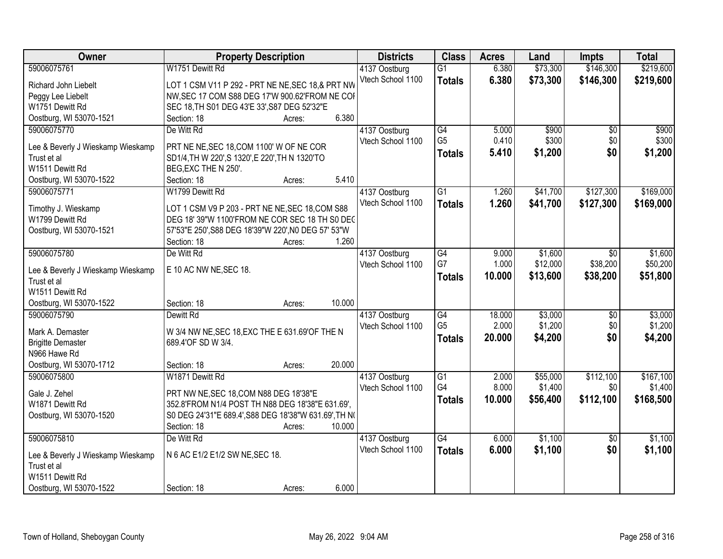| Owner                             | <b>Property Description</b>                           | <b>Districts</b>  | <b>Class</b>    | <b>Acres</b> | Land     | <b>Impts</b>    | <b>Total</b> |
|-----------------------------------|-------------------------------------------------------|-------------------|-----------------|--------------|----------|-----------------|--------------|
| 59006075761                       | W1751 Dewitt Rd                                       | 4137 Oostburg     | $\overline{G1}$ | 6.380        | \$73,300 | \$146,300       | \$219,600    |
| Richard John Liebelt              | LOT 1 CSM V11 P 292 - PRT NE NE, SEC 18, & PRT NW     | Vtech School 1100 | <b>Totals</b>   | 6.380        | \$73,300 | \$146,300       | \$219,600    |
| Peggy Lee Liebelt                 | NW, SEC 17 COM S88 DEG 17'W 900.62'FROM NE COI        |                   |                 |              |          |                 |              |
| W1751 Dewitt Rd                   | SEC 18, TH S01 DEG 43'E 33', S87 DEG 52'32"E          |                   |                 |              |          |                 |              |
| Oostburg, WI 53070-1521           | 6.380<br>Section: 18<br>Acres:                        |                   |                 |              |          |                 |              |
| 59006075770                       | De Witt Rd                                            | 4137 Oostburg     | G4              | 5.000        | \$900    | $\overline{30}$ | \$900        |
|                                   |                                                       | Vtech School 1100 | G <sub>5</sub>  | 0.410        | \$300    | \$0             | \$300        |
| Lee & Beverly J Wieskamp Wieskamp | PRT NE NE, SEC 18, COM 1100' W OF NE COR              |                   | <b>Totals</b>   | 5.410        | \$1,200  | \$0             | \$1,200      |
| Trust et al                       | SD1/4, TH W 220', S 1320', E 220', TH N 1320'TO       |                   |                 |              |          |                 |              |
| W1511 Dewitt Rd                   | BEG, EXC THE N 250'.                                  |                   |                 |              |          |                 |              |
| Oostburg, WI 53070-1522           | 5.410<br>Section: 18<br>Acres:                        |                   |                 |              |          |                 |              |
| 59006075771                       | W1799 Dewitt Rd                                       | 4137 Oostburg     | G1              | 1.260        | \$41,700 | \$127,300       | \$169,000    |
| Timothy J. Wieskamp               | LOT 1 CSM V9 P 203 - PRT NE NE, SEC 18, COM S88       | Vtech School 1100 | <b>Totals</b>   | 1.260        | \$41,700 | \$127,300       | \$169,000    |
| W1799 Dewitt Rd                   | DEG 18' 39"W 1100'FROM NE COR SEC 18 TH S0 DEC        |                   |                 |              |          |                 |              |
| Oostburg, WI 53070-1521           | 57'53"E 250', S88 DEG 18'39"W 220', N0 DEG 57' 53"W   |                   |                 |              |          |                 |              |
|                                   | Section: 18<br>1.260<br>Acres:                        |                   |                 |              |          |                 |              |
| 59006075780                       | De Witt Rd                                            | 4137 Oostburg     | G4              | 9.000        | \$1,600  | $\sqrt{6}$      | \$1,600      |
|                                   |                                                       | Vtech School 1100 | G7              | 1.000        | \$12,000 | \$38,200        | \$50,200     |
| Lee & Beverly J Wieskamp Wieskamp | E 10 AC NW NE, SEC 18.                                |                   | <b>Totals</b>   | 10.000       | \$13,600 | \$38,200        | \$51,800     |
| Trust et al                       |                                                       |                   |                 |              |          |                 |              |
| W1511 Dewitt Rd                   |                                                       |                   |                 |              |          |                 |              |
| Oostburg, WI 53070-1522           | 10.000<br>Section: 18<br>Acres:                       |                   |                 |              |          |                 |              |
| 59006075790                       | Dewitt Rd                                             | 4137 Oostburg     | $\overline{G4}$ | 18.000       | \$3,000  | \$0             | \$3,000      |
| Mark A. Demaster                  | W 3/4 NW NE, SEC 18, EXC THE E 631.69'OF THE N        | Vtech School 1100 | G <sub>5</sub>  | 2.000        | \$1,200  | \$0             | \$1,200      |
| <b>Brigitte Demaster</b>          | 689.4'OF SD W 3/4.                                    |                   | <b>Totals</b>   | 20.000       | \$4,200  | \$0             | \$4,200      |
| N966 Hawe Rd                      |                                                       |                   |                 |              |          |                 |              |
| Oostburg, WI 53070-1712           | 20.000<br>Section: 18<br>Acres:                       |                   |                 |              |          |                 |              |
| 59006075800                       | W1871 Dewitt Rd                                       | 4137 Oostburg     | $\overline{G1}$ | 2.000        | \$55,000 | \$112,100       | \$167,100    |
|                                   |                                                       | Vtech School 1100 | G4              | 8.000        | \$1,400  | \$0             | \$1,400      |
| Gale J. Zehel                     | PRT NW NE, SEC 18, COM N88 DEG 18'38"E                |                   | <b>Totals</b>   | 10.000       | \$56,400 | \$112,100       | \$168,500    |
| W1871 Dewitt Rd                   | 352.8'FROM N1/4 POST TH N88 DEG 18'38"E 631.69',      |                   |                 |              |          |                 |              |
| Oostburg, WI 53070-1520           | S0 DEG 24'31"E 689.4', S88 DEG 18'38"W 631.69', TH N( |                   |                 |              |          |                 |              |
|                                   | 10.000<br>Section: 18<br>Acres:                       |                   |                 |              |          |                 |              |
| 59006075810                       | De Witt Rd                                            | 4137 Oostburg     | $\overline{G4}$ | 6.000        | \$1,100  | $\overline{30}$ | \$1,100      |
| Lee & Beverly J Wieskamp Wieskamp | N 6 AC E1/2 E1/2 SW NE, SEC 18.                       | Vtech School 1100 | <b>Totals</b>   | 6.000        | \$1,100  | \$0             | \$1,100      |
| Trust et al                       |                                                       |                   |                 |              |          |                 |              |
| W1511 Dewitt Rd                   |                                                       |                   |                 |              |          |                 |              |
| Oostburg, WI 53070-1522           | 6.000<br>Section: 18<br>Acres:                        |                   |                 |              |          |                 |              |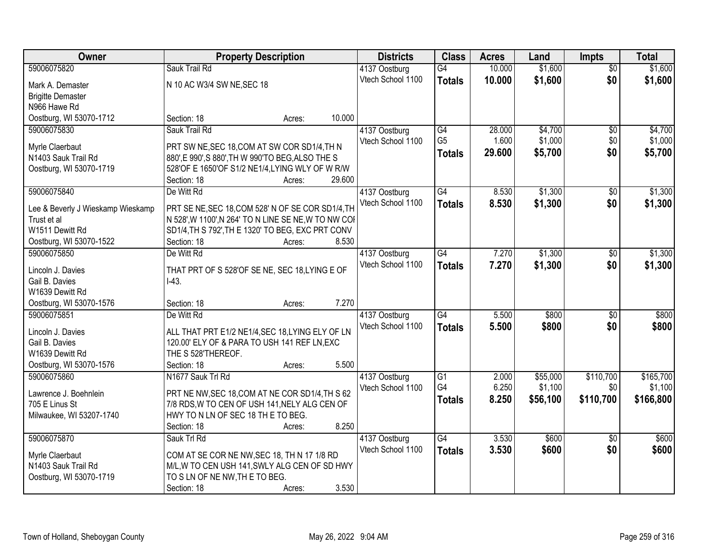| Owner                             | <b>Property Description</b>                          |        |        | <b>Districts</b>  | <b>Class</b>    | <b>Acres</b> | Land     | <b>Impts</b>    | <b>Total</b> |
|-----------------------------------|------------------------------------------------------|--------|--------|-------------------|-----------------|--------------|----------|-----------------|--------------|
| 59006075820                       | Sauk Trail Rd                                        |        |        | 4137 Oostburg     | $\overline{G4}$ | 10.000       | \$1,600  | $\overline{50}$ | \$1,600      |
| Mark A. Demaster                  | N 10 AC W3/4 SW NE, SEC 18                           |        |        | Vtech School 1100 | <b>Totals</b>   | 10.000       | \$1,600  | \$0             | \$1,600      |
| <b>Brigitte Demaster</b>          |                                                      |        |        |                   |                 |              |          |                 |              |
| N966 Hawe Rd                      |                                                      |        |        |                   |                 |              |          |                 |              |
| Oostburg, WI 53070-1712           | Section: 18                                          | Acres: | 10.000 |                   |                 |              |          |                 |              |
| 59006075830                       | Sauk Trail Rd                                        |        |        | 4137 Oostburg     | G4              | 28.000       | \$4,700  | $\overline{50}$ | \$4,700      |
|                                   |                                                      |        |        | Vtech School 1100 | G <sub>5</sub>  | 1.600        | \$1,000  | \$0             | \$1,000      |
| Myrle Claerbaut                   | PRT SW NE, SEC 18, COM AT SW COR SD1/4, TH N         |        |        |                   | <b>Totals</b>   | 29.600       | \$5,700  | \$0             | \$5,700      |
| N1403 Sauk Trail Rd               | 880', E 990', S 880', TH W 990'TO BEG, ALSO THE S    |        |        |                   |                 |              |          |                 |              |
| Oostburg, WI 53070-1719           | 528'OF E 1650'OF S1/2 NE1/4, LYING WLY OF W R/W      |        |        |                   |                 |              |          |                 |              |
|                                   | Section: 18                                          | Acres: | 29.600 |                   |                 |              |          |                 |              |
| 59006075840                       | De Witt Rd                                           |        |        | 4137 Oostburg     | G4              | 8.530        | \$1,300  | \$0             | \$1,300      |
| Lee & Beverly J Wieskamp Wieskamp | PRT SE NE, SEC 18, COM 528' N OF SE COR SD1/4, TH    |        |        | Vtech School 1100 | <b>Totals</b>   | 8.530        | \$1,300  | \$0             | \$1,300      |
| Trust et al                       | N 528', W 1100', N 264' TO N LINE SE NE, W TO NW COI |        |        |                   |                 |              |          |                 |              |
| W1511 Dewitt Rd                   | SD1/4, TH S 792', TH E 1320' TO BEG, EXC PRT CONV    |        |        |                   |                 |              |          |                 |              |
| Oostburg, WI 53070-1522           | Section: 18                                          | Acres: | 8.530  |                   |                 |              |          |                 |              |
| 59006075850                       | De Witt Rd                                           |        |        | 4137 Oostburg     | G4              | 7.270        | \$1,300  | \$0             | \$1,300      |
|                                   |                                                      |        |        | Vtech School 1100 | <b>Totals</b>   | 7.270        | \$1,300  | \$0             | \$1,300      |
| Lincoln J. Davies                 | THAT PRT OF S 528'OF SE NE, SEC 18, LYING E OF       |        |        |                   |                 |              |          |                 |              |
| Gail B. Davies                    | $I-43.$                                              |        |        |                   |                 |              |          |                 |              |
| W1639 Dewitt Rd                   |                                                      |        |        |                   |                 |              |          |                 |              |
| Oostburg, WI 53070-1576           | Section: 18                                          | Acres: | 7.270  |                   |                 |              |          |                 |              |
| 59006075851                       | De Witt Rd                                           |        |        | 4137 Oostburg     | G4              | 5.500        | \$800    | $\overline{30}$ | \$800        |
| Lincoln J. Davies                 | ALL THAT PRT E1/2 NE1/4, SEC 18, LYING ELY OF LN     |        |        | Vtech School 1100 | <b>Totals</b>   | 5.500        | \$800    | \$0             | \$800        |
| Gail B. Davies                    | 120.00' ELY OF & PARA TO USH 141 REF LN, EXC         |        |        |                   |                 |              |          |                 |              |
| W1639 Dewitt Rd                   | THE S 528'THEREOF.                                   |        |        |                   |                 |              |          |                 |              |
| Oostburg, WI 53070-1576           | Section: 18                                          | Acres: | 5.500  |                   |                 |              |          |                 |              |
| 59006075860                       | N1677 Sauk Trl Rd                                    |        |        | 4137 Oostburg     | $\overline{G1}$ | 2.000        | \$55,000 | \$110,700       | \$165,700    |
|                                   |                                                      |        |        | Vtech School 1100 | G4              | 6.250        | \$1,100  | \$0             | \$1,100      |
| Lawrence J. Boehnlein             | PRT NE NW, SEC 18, COM AT NE COR SD1/4, TH S 62      |        |        |                   | <b>Totals</b>   | 8.250        | \$56,100 | \$110,700       | \$166,800    |
| 705 E Linus St                    | 7/8 RDS, W TO CEN OF USH 141, NELY ALG CEN OF        |        |        |                   |                 |              |          |                 |              |
| Milwaukee, WI 53207-1740          | HWY TO N LN OF SEC 18 TH E TO BEG.                   |        |        |                   |                 |              |          |                 |              |
|                                   | Section: 18                                          | Acres: | 8.250  |                   |                 |              |          |                 |              |
| 59006075870                       | Sauk Trl Rd                                          |        |        | 4137 Oostburg     | G4              | 3.530        | \$600    | $\overline{30}$ | \$600        |
| Myrle Claerbaut                   | COM AT SE COR NE NW, SEC 18, TH N 17 1/8 RD          |        |        | Vtech School 1100 | <b>Totals</b>   | 3.530        | \$600    | \$0             | \$600        |
| N1403 Sauk Trail Rd               | M/L, W TO CEN USH 141, SWLY ALG CEN OF SD HWY        |        |        |                   |                 |              |          |                 |              |
| Oostburg, WI 53070-1719           | TO S LN OF NE NW, TH E TO BEG.                       |        |        |                   |                 |              |          |                 |              |
|                                   | Section: 18                                          | Acres: | 3.530  |                   |                 |              |          |                 |              |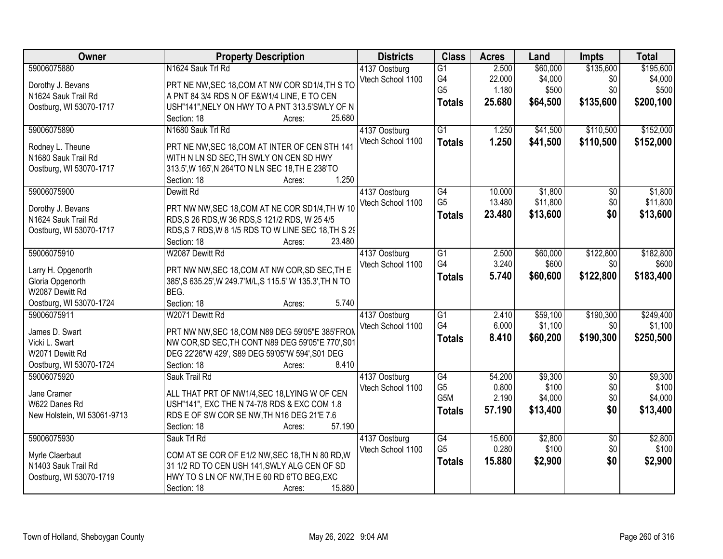| <b>Owner</b>                | <b>Property Description</b>                               | <b>Districts</b>  | <b>Class</b>    | <b>Acres</b> | Land     | <b>Impts</b>    | <b>Total</b> |
|-----------------------------|-----------------------------------------------------------|-------------------|-----------------|--------------|----------|-----------------|--------------|
| 59006075880                 | N1624 Sauk Trl Rd                                         | 4137 Oostburg     | $\overline{G1}$ | 2.500        | \$60,000 | \$135,600       | \$195,600    |
| Dorothy J. Bevans           | PRT NE NW, SEC 18, COM AT NW COR SD1/4, TH S TO           | Vtech School 1100 | G4              | 22.000       | \$4,000  | \$0             | \$4,000      |
| N1624 Sauk Trail Rd         | A PNT 84 3/4 RDS N OF E&W1/4 LINE, E TO CEN               |                   | G <sub>5</sub>  | 1.180        | \$500    | \$0             | \$500        |
| Oostburg, WI 53070-1717     | USH"141", NELY ON HWY TO A PNT 313.5'SWLY OF N            |                   | <b>Totals</b>   | 25.680       | \$64,500 | \$135,600       | \$200,100    |
|                             | 25.680<br>Section: 18<br>Acres:                           |                   |                 |              |          |                 |              |
| 59006075890                 | N1680 Sauk Trl Rd                                         | 4137 Oostburg     | $\overline{G1}$ | 1.250        | \$41,500 | \$110,500       | \$152,000    |
|                             |                                                           | Vtech School 1100 | <b>Totals</b>   | 1.250        | \$41,500 | \$110,500       | \$152,000    |
| Rodney L. Theune            | PRT NE NW, SEC 18, COM AT INTER OF CEN STH 141            |                   |                 |              |          |                 |              |
| N1680 Sauk Trail Rd         | WITH N LN SD SEC, TH SWLY ON CEN SD HWY                   |                   |                 |              |          |                 |              |
| Oostburg, WI 53070-1717     | 313.5', W 165', N 264'TO N LN SEC 18, TH E 238'TO         |                   |                 |              |          |                 |              |
|                             | 1.250<br>Section: 18<br>Acres:                            |                   |                 |              |          |                 |              |
| 59006075900                 | Dewitt Rd                                                 | 4137 Oostburg     | G4              | 10.000       | \$1,800  | \$0             | \$1,800      |
| Dorothy J. Bevans           | PRT NW NW, SEC 18, COM AT NE COR SD1/4, TH W 10           | Vtech School 1100 | G <sub>5</sub>  | 13.480       | \$11,800 | \$0             | \$11,800     |
| N1624 Sauk Trail Rd         | RDS, S 26 RDS, W 36 RDS, S 121/2 RDS, W 25 4/5            |                   | <b>Totals</b>   | 23.480       | \$13,600 | \$0             | \$13,600     |
| Oostburg, WI 53070-1717     | RDS, S 7 RDS, W 8 1/5 RDS TO W LINE SEC 18, TH S 29       |                   |                 |              |          |                 |              |
|                             | 23.480<br>Section: 18<br>Acres:                           |                   |                 |              |          |                 |              |
| 59006075910                 | W2087 Dewitt Rd                                           | 4137 Oostburg     | $\overline{G1}$ | 2.500        | \$60,000 | \$122,800       | \$182,800    |
|                             |                                                           | Vtech School 1100 | G4              | 3.240        | \$600    | \$0             | \$600        |
| Larry H. Opgenorth          | PRT NW NW, SEC 18, COM AT NW COR, SD SEC, TH E            |                   | <b>Totals</b>   | 5.740        | \$60,600 | \$122,800       | \$183,400    |
| Gloria Opgenorth            | 385', S 635.25', W 249.7' M/L, S 115.5' W 135.3', TH N TO |                   |                 |              |          |                 |              |
| W2087 Dewitt Rd             | BEG.                                                      |                   |                 |              |          |                 |              |
| Oostburg, WI 53070-1724     | Section: 18<br>5.740<br>Acres:                            |                   |                 |              |          |                 |              |
| 59006075911                 | W2071 Dewitt Rd                                           | 4137 Oostburg     | $\overline{G1}$ | 2.410        | \$59,100 | \$190,300       | \$249,400    |
| James D. Swart              | PRT NW NW, SEC 18, COM N89 DEG 59'05"E 385'FROM           | Vtech School 1100 | G4              | 6.000        | \$1,100  | \$0             | \$1,100      |
| Vicki L. Swart              | NW COR, SD SEC, TH CONT N89 DEG 59'05"E 770', S01         |                   | <b>Totals</b>   | 8.410        | \$60,200 | \$190,300       | \$250,500    |
| W2071 Dewitt Rd             | DEG 22'26"W 429', S89 DEG 59'05"W 594', S01 DEG           |                   |                 |              |          |                 |              |
| Oostburg, WI 53070-1724     | 8.410<br>Section: 18<br>Acres:                            |                   |                 |              |          |                 |              |
| 59006075920                 | Sauk Trail Rd                                             | 4137 Oostburg     | G4              | 54.200       | \$9,300  | $\overline{50}$ | \$9,300      |
|                             |                                                           | Vtech School 1100 | G <sub>5</sub>  | 0.800        | \$100    | \$0             | \$100        |
| Jane Cramer                 | ALL THAT PRT OF NW1/4, SEC 18, LYING W OF CEN             |                   | G5M             | 2.190        | \$4,000  | \$0             | \$4,000      |
| W622 Danes Rd               | USH"141", EXC THE N 74-7/8 RDS & EXC COM 1.8              |                   | <b>Totals</b>   | 57.190       | \$13,400 | \$0             | \$13,400     |
| New Holstein, WI 53061-9713 | RDS E OF SW COR SE NW, TH N16 DEG 21'E 7.6                |                   |                 |              |          |                 |              |
|                             | 57.190<br>Section: 18<br>Acres:                           |                   |                 |              |          |                 |              |
| 59006075930                 | Sauk Trl Rd                                               | 4137 Oostburg     | G4              | 15.600       | \$2,800  | $\overline{50}$ | \$2,800      |
| Myrle Claerbaut             | COM AT SE COR OF E1/2 NW, SEC 18, TH N 80 RD, W           | Vtech School 1100 | G <sub>5</sub>  | 0.280        | \$100    | \$0             | \$100        |
| N1403 Sauk Trail Rd         | 31 1/2 RD TO CEN USH 141, SWLY ALG CEN OF SD              |                   | <b>Totals</b>   | 15.880       | \$2,900  | \$0             | \$2,900      |
| Oostburg, WI 53070-1719     | HWY TO S LN OF NW, TH E 60 RD 6'TO BEG, EXC               |                   |                 |              |          |                 |              |
|                             | 15.880<br>Section: 18<br>Acres:                           |                   |                 |              |          |                 |              |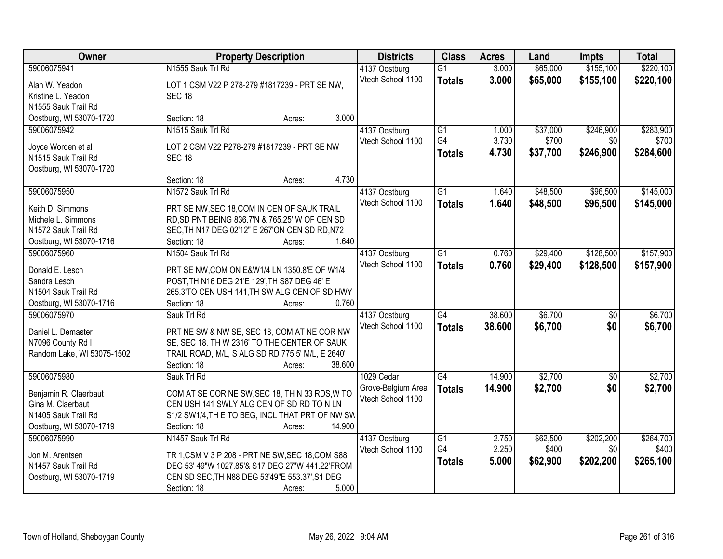| Owner                                     | <b>Property Description</b>                                                                 | <b>Districts</b>   | <b>Class</b>    | <b>Acres</b> | Land     | <b>Impts</b>    | <b>Total</b> |
|-------------------------------------------|---------------------------------------------------------------------------------------------|--------------------|-----------------|--------------|----------|-----------------|--------------|
| 59006075941                               | N1555 Sauk Trl Rd                                                                           | 4137 Oostburg      | $\overline{G1}$ | 3.000        | \$65,000 | \$155,100       | \$220,100    |
| Alan W. Yeadon                            | LOT 1 CSM V22 P 278-279 #1817239 - PRT SE NW,                                               | Vtech School 1100  | <b>Totals</b>   | 3.000        | \$65,000 | \$155,100       | \$220,100    |
| Kristine L. Yeadon                        | <b>SEC 18</b>                                                                               |                    |                 |              |          |                 |              |
| N1555 Sauk Trail Rd                       |                                                                                             |                    |                 |              |          |                 |              |
| Oostburg, WI 53070-1720                   | 3.000<br>Section: 18<br>Acres:                                                              |                    |                 |              |          |                 |              |
| 59006075942                               | N1515 Sauk Trl Rd                                                                           | 4137 Oostburg      | $\overline{G1}$ | 1.000        | \$37,000 | \$246,900       | \$283,900    |
|                                           |                                                                                             | Vtech School 1100  | G4              | 3.730        | \$700    | \$0             | \$700        |
| Joyce Worden et al<br>N1515 Sauk Trail Rd | LOT 2 CSM V22 P278-279 #1817239 - PRT SE NW                                                 |                    | <b>Totals</b>   | 4.730        | \$37,700 | \$246,900       | \$284,600    |
| Oostburg, WI 53070-1720                   | <b>SEC 18</b>                                                                               |                    |                 |              |          |                 |              |
|                                           | 4.730<br>Section: 18<br>Acres:                                                              |                    |                 |              |          |                 |              |
| 59006075950                               | N1572 Sauk Trl Rd                                                                           | 4137 Oostburg      | G1              | 1.640        | \$48,500 | \$96,500        | \$145,000    |
|                                           |                                                                                             | Vtech School 1100  | <b>Totals</b>   | 1.640        | \$48,500 | \$96,500        | \$145,000    |
| Keith D. Simmons                          | PRT SE NW, SEC 18, COM IN CEN OF SAUK TRAIL                                                 |                    |                 |              |          |                 |              |
| Michele L. Simmons                        | RD, SD PNT BEING 836.7'N & 765.25' W OF CEN SD                                              |                    |                 |              |          |                 |              |
| N1572 Sauk Trail Rd                       | SEC, TH N17 DEG 02'12" E 267'ON CEN SD RD, N72                                              |                    |                 |              |          |                 |              |
| Oostburg, WI 53070-1716                   | 1.640<br>Section: 18<br>Acres:                                                              |                    |                 |              |          |                 |              |
| 59006075960                               | N1504 Sauk Trl Rd                                                                           | 4137 Oostburg      | G1              | 0.760        | \$29,400 | \$128,500       | \$157,900    |
| Donald E. Lesch                           | PRT SE NW, COM ON E&W1/4 LN 1350.8'E OF W1/4                                                | Vtech School 1100  | <b>Totals</b>   | 0.760        | \$29,400 | \$128,500       | \$157,900    |
| Sandra Lesch                              | POST, TH N16 DEG 21'E 129', TH S87 DEG 46' E                                                |                    |                 |              |          |                 |              |
| N1504 Sauk Trail Rd                       | 265.3'TO CEN USH 141, TH SW ALG CEN OF SD HWY                                               |                    |                 |              |          |                 |              |
| Oostburg, WI 53070-1716                   | 0.760<br>Section: 18<br>Acres:                                                              |                    |                 |              |          |                 |              |
| 59006075970                               | Sauk Trl Rd                                                                                 | 4137 Oostburg      | $\overline{G4}$ | 38.600       | \$6,700  | $\overline{50}$ | \$6,700      |
| Daniel L. Demaster                        |                                                                                             | Vtech School 1100  | <b>Totals</b>   | 38.600       | \$6,700  | \$0             | \$6,700      |
| N7096 County Rd I                         | PRT NE SW & NW SE, SEC 18, COM AT NE COR NW<br>SE, SEC 18, TH W 2316' TO THE CENTER OF SAUK |                    |                 |              |          |                 |              |
| Random Lake, WI 53075-1502                | TRAIL ROAD, M/L, S ALG SD RD 775.5' M/L, E 2640'                                            |                    |                 |              |          |                 |              |
|                                           | Section: 18<br>38.600<br>Acres:                                                             |                    |                 |              |          |                 |              |
| 59006075980                               | Sauk Trl Rd                                                                                 | 1029 Cedar         | $\overline{G4}$ | 14.900       | \$2,700  | $\overline{50}$ | \$2,700      |
|                                           |                                                                                             | Grove-Belgium Area | <b>Totals</b>   | 14.900       | \$2,700  | \$0             | \$2,700      |
| Benjamin R. Claerbaut                     | COM AT SE COR NE SW, SEC 18, TH N 33 RDS, W TO                                              | Vtech School 1100  |                 |              |          |                 |              |
| Gina M. Claerbaut                         | CEN USH 141 SWLY ALG CEN OF SD RD TO N LN                                                   |                    |                 |              |          |                 |              |
| N1405 Sauk Trail Rd                       | S1/2 SW1/4, TH E TO BEG, INCL THAT PRT OF NW SW                                             |                    |                 |              |          |                 |              |
| Oostburg, WI 53070-1719                   | 14.900<br>Section: 18<br>Acres:                                                             |                    |                 |              |          |                 |              |
| 59006075990                               | N1457 Sauk Trl Rd                                                                           | 4137 Oostburg      | $\overline{G1}$ | 2.750        | \$62,500 | \$202,200       | \$264,700    |
| Jon M. Arentsen                           | TR 1, CSM V 3 P 208 - PRT NE SW, SEC 18, COM S88                                            | Vtech School 1100  | G4              | 2.250        | \$400    | \$0             | \$400        |
| N1457 Sauk Trail Rd                       | DEG 53' 49"W 1027.85'& S17 DEG 27"W 441.22'FROM                                             |                    | <b>Totals</b>   | 5.000        | \$62,900 | \$202,200       | \$265,100    |
| Oostburg, WI 53070-1719                   | CEN SD SEC, TH N88 DEG 53'49"E 553.37', S1 DEG                                              |                    |                 |              |          |                 |              |
|                                           | 5.000<br>Section: 18<br>Acres:                                                              |                    |                 |              |          |                 |              |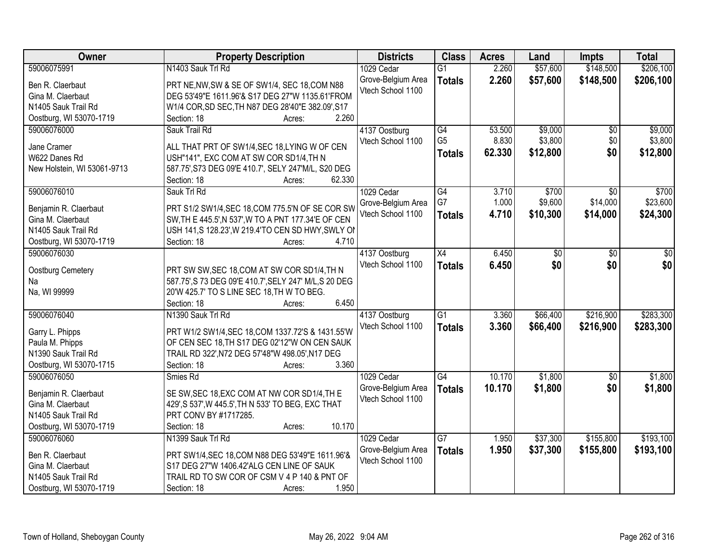| Owner                       | <b>Property Description</b>                            | <b>Districts</b>   | <b>Class</b>    | <b>Acres</b> | Land     | <b>Impts</b> | <b>Total</b> |
|-----------------------------|--------------------------------------------------------|--------------------|-----------------|--------------|----------|--------------|--------------|
| 59006075991                 | N1403 Sauk Trl Rd                                      | 1029 Cedar         | $\overline{G1}$ | 2.260        | \$57,600 | \$148,500    | \$206,100    |
| Ben R. Claerbaut            | PRT NE, NW, SW & SE OF SW1/4, SEC 18, COM N88          | Grove-Belgium Area | <b>Totals</b>   | 2.260        | \$57,600 | \$148,500    | \$206,100    |
| Gina M. Claerbaut           | DEG 53'49"E 1611.96'& S17 DEG 27"W 1135.61'FROM        | Vtech School 1100  |                 |              |          |              |              |
| N1405 Sauk Trail Rd         | W1/4 COR, SD SEC, TH N87 DEG 28'40"E 382.09', S17      |                    |                 |              |          |              |              |
| Oostburg, WI 53070-1719     | 2.260<br>Section: 18<br>Acres:                         |                    |                 |              |          |              |              |
| 59006076000                 | Sauk Trail Rd                                          | 4137 Oostburg      | G4              | 53.500       | \$9,000  | \$0          | \$9,000      |
|                             |                                                        | Vtech School 1100  | G <sub>5</sub>  | 8.830        | \$3,800  | \$0          | \$3,800      |
| Jane Cramer                 | ALL THAT PRT OF SW1/4, SEC 18, LYING W OF CEN          |                    |                 | 62.330       | \$12,800 | \$0          | \$12,800     |
| W622 Danes Rd               | USH"141", EXC COM AT SW COR SD1/4, TH N                |                    | <b>Totals</b>   |              |          |              |              |
| New Holstein, WI 53061-9713 | 587.75', S73 DEG 09'E 410.7', SELY 247'M/L, S20 DEG    |                    |                 |              |          |              |              |
|                             | 62.330<br>Section: 18<br>Acres:                        |                    |                 |              |          |              |              |
| 59006076010                 | Sauk Trl Rd                                            | 1029 Cedar         | $\overline{G4}$ | 3.710        | \$700    | \$0          | \$700        |
|                             |                                                        | Grove-Belgium Area | G7              | 1.000        | \$9,600  | \$14,000     | \$23,600     |
| Benjamin R. Claerbaut       | PRT S1/2 SW1/4, SEC 18, COM 775.5'N OF SE COR SW       | Vtech School 1100  | <b>Totals</b>   | 4.710        | \$10,300 | \$14,000     | \$24,300     |
| Gina M. Claerbaut           | SW, TH E 445.5', N 537', W TO A PNT 177.34'E OF CEN    |                    |                 |              |          |              |              |
| N1405 Sauk Trail Rd         | USH 141,S 128.23', W 219.4'TO CEN SD HWY, SWLY ON      |                    |                 |              |          |              |              |
| Oostburg, WI 53070-1719     | Section: 18<br>4.710<br>Acres:                         |                    |                 |              |          |              |              |
| 59006076030                 |                                                        | 4137 Oostburg      | X4              | 6.450        | \$0      | \$0          | \$0          |
| Oostburg Cemetery           | PRT SW SW, SEC 18, COM AT SW COR SD1/4, TH N           | Vtech School 1100  | <b>Totals</b>   | 6.450        | \$0      | \$0          | \$0          |
| Na                          | 587.75', S 73 DEG 09'E 410.7', SELY 247' M/L, S 20 DEG |                    |                 |              |          |              |              |
| Na, WI 99999                | 20'W 425.7' TO S LINE SEC 18, TH W TO BEG.             |                    |                 |              |          |              |              |
|                             | 6.450<br>Section: 18<br>Acres:                         |                    |                 |              |          |              |              |
| 59006076040                 | N1390 Sauk Trl Rd                                      | 4137 Oostburg      | $\overline{G1}$ | 3.360        | \$66,400 | \$216,900    | \$283,300    |
|                             |                                                        | Vtech School 1100  | <b>Totals</b>   | 3.360        | \$66,400 | \$216,900    | \$283,300    |
| Garry L. Phipps             | PRT W1/2 SW1/4, SEC 18, COM 1337. 72'S & 1431.55'W     |                    |                 |              |          |              |              |
| Paula M. Phipps             | OF CEN SEC 18, TH S17 DEG 02'12"W ON CEN SAUK          |                    |                 |              |          |              |              |
| N1390 Sauk Trail Rd         | TRAIL RD 322', N72 DEG 57'48"W 498.05', N17 DEG        |                    |                 |              |          |              |              |
| Oostburg, WI 53070-1715     | 3.360<br>Section: 18<br>Acres:                         |                    |                 |              |          |              |              |
| 59006076050                 | Smies Rd                                               | 1029 Cedar         | G4              | 10.170       | \$1,800  | \$0          | \$1,800      |
| Benjamin R. Claerbaut       | SE SW, SEC 18, EXC COM AT NW COR SD1/4, TH E           | Grove-Belgium Area | <b>Totals</b>   | 10.170       | \$1,800  | \$0          | \$1,800      |
| Gina M. Claerbaut           | 429', S 537', W 445.5', TH N 533' TO BEG, EXC THAT     | Vtech School 1100  |                 |              |          |              |              |
| N1405 Sauk Trail Rd         | PRT CONV BY #1717285.                                  |                    |                 |              |          |              |              |
| Oostburg, WI 53070-1719     | 10.170<br>Section: 18<br>Acres:                        |                    |                 |              |          |              |              |
| 59006076060                 | N1399 Sauk Trl Rd                                      | 1029 Cedar         | $\overline{G7}$ | 1.950        | \$37,300 | \$155,800    | \$193,100    |
|                             |                                                        |                    |                 |              |          |              |              |
| Ben R. Claerbaut            | PRT SW1/4, SEC 18, COM N88 DEG 53'49"E 1611.96'&       | Grove-Belgium Area | <b>Totals</b>   | 1.950        | \$37,300 | \$155,800    | \$193,100    |
| Gina M. Claerbaut           | S17 DEG 27"W 1406.42'ALG CEN LINE OF SAUK              | Vtech School 1100  |                 |              |          |              |              |
| N1405 Sauk Trail Rd         | TRAIL RD TO SW COR OF CSM V 4 P 140 & PNT OF           |                    |                 |              |          |              |              |
| Oostburg, WI 53070-1719     | 1.950<br>Section: 18<br>Acres:                         |                    |                 |              |          |              |              |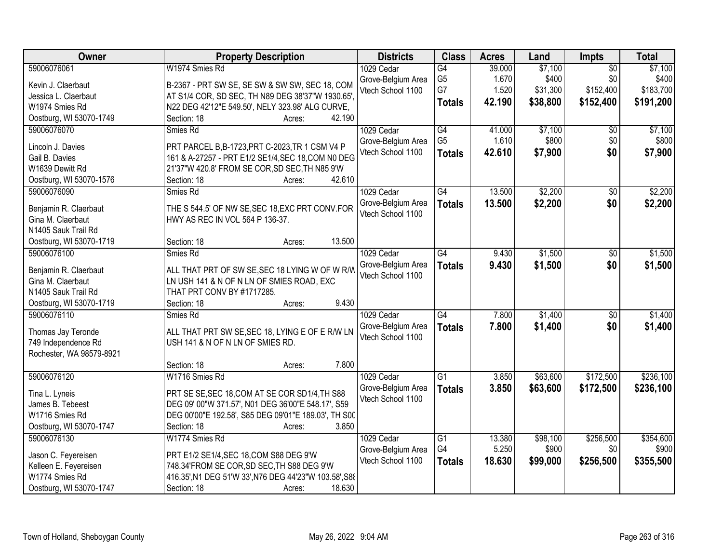| Owner                    | <b>Property Description</b>                            | <b>Districts</b>   | <b>Class</b>    | <b>Acres</b> | Land     | Impts           | <b>Total</b> |
|--------------------------|--------------------------------------------------------|--------------------|-----------------|--------------|----------|-----------------|--------------|
| 59006076061              | W1974 Smies Rd                                         | 1029 Cedar         | G4              | 39.000       | \$7,100  | $\overline{50}$ | \$7,100      |
| Kevin J. Claerbaut       | B-2367 - PRT SW SE, SE SW & SW SW, SEC 18, COM         | Grove-Belgium Area | G <sub>5</sub>  | 1.670        | \$400    | \$0             | \$400        |
| Jessica L. Claerbaut     | AT S1/4 COR, SD SEC, TH N89 DEG 38'37"W 1930.65'       | Vtech School 1100  | G7              | 1.520        | \$31,300 | \$152,400       | \$183,700    |
| W1974 Smies Rd           | N22 DEG 42'12"E 549.50', NELY 323.98' ALG CURVE,       |                    | <b>Totals</b>   | 42.190       | \$38,800 | \$152,400       | \$191,200    |
| Oostburg, WI 53070-1749  | 42.190<br>Section: 18<br>Acres:                        |                    |                 |              |          |                 |              |
| 59006076070              | Smies Rd                                               | 1029 Cedar         | G4              | 41.000       | \$7,100  | $\overline{30}$ | \$7,100      |
|                          |                                                        | Grove-Belgium Area | G <sub>5</sub>  | 1.610        | \$800    | \$0             | \$800        |
| Lincoln J. Davies        | PRT PARCEL B, B-1723, PRT C-2023, TR 1 CSM V4 P        | Vtech School 1100  | <b>Totals</b>   | 42.610       | \$7,900  | \$0             | \$7,900      |
| Gail B. Davies           | 161 & A-27257 - PRT E1/2 SE1/4, SEC 18, COM N0 DEG     |                    |                 |              |          |                 |              |
| W1639 Dewitt Rd          | 21'37"W 420.8' FROM SE COR, SD SEC, TH N85 9'W         |                    |                 |              |          |                 |              |
| Oostburg, WI 53070-1576  | 42.610<br>Section: 18<br>Acres:                        |                    |                 |              |          |                 |              |
| 59006076090              | Smies Rd                                               | 1029 Cedar         | G4              | 13.500       | \$2,200  | \$0             | \$2,200      |
| Benjamin R. Claerbaut    | THE S 544.5' OF NW SE, SEC 18, EXC PRT CONV. FOR       | Grove-Belgium Area | <b>Totals</b>   | 13.500       | \$2,200  | \$0             | \$2,200      |
| Gina M. Claerbaut        | HWY AS REC IN VOL 564 P 136-37.                        | Vtech School 1100  |                 |              |          |                 |              |
| N1405 Sauk Trail Rd      |                                                        |                    |                 |              |          |                 |              |
| Oostburg, WI 53070-1719  | 13.500<br>Section: 18<br>Acres:                        |                    |                 |              |          |                 |              |
| 59006076100              | Smies Rd                                               | 1029 Cedar         | $\overline{G4}$ | 9.430        | \$1,500  | \$0             | \$1,500      |
|                          |                                                        | Grove-Belgium Area | <b>Totals</b>   | 9.430        | \$1,500  | \$0             | \$1,500      |
| Benjamin R. Claerbaut    | ALL THAT PRT OF SW SE, SEC 18 LYING W OF W R/W         | Vtech School 1100  |                 |              |          |                 |              |
| Gina M. Claerbaut        | LN USH 141 & N OF N LN OF SMIES ROAD, EXC              |                    |                 |              |          |                 |              |
| N1405 Sauk Trail Rd      | THAT PRT CONV BY #1717285.                             |                    |                 |              |          |                 |              |
| Oostburg, WI 53070-1719  | 9.430<br>Section: 18<br>Acres:                         |                    |                 |              |          |                 |              |
| 59006076110              | Smies Rd                                               | 1029 Cedar         | $\overline{G4}$ | 7.800        | \$1,400  | $\overline{50}$ | \$1,400      |
| Thomas Jay Teronde       | ALL THAT PRT SW SE, SEC 18, LYING E OF E R/W LN        | Grove-Belgium Area | <b>Totals</b>   | 7.800        | \$1,400  | \$0             | \$1,400      |
| 749 Independence Rd      | USH 141 & N OF N LN OF SMIES RD.                       | Vtech School 1100  |                 |              |          |                 |              |
| Rochester, WA 98579-8921 |                                                        |                    |                 |              |          |                 |              |
|                          | 7.800<br>Section: 18<br>Acres:                         |                    |                 |              |          |                 |              |
| 59006076120              | W1716 Smies Rd                                         | 1029 Cedar         | G1              | 3.850        | \$63,600 | \$172,500       | \$236,100    |
|                          |                                                        | Grove-Belgium Area | <b>Totals</b>   | 3.850        | \$63,600 | \$172,500       | \$236,100    |
| Tina L. Lyneis           | PRT SE SE, SEC 18, COM AT SE COR SD1/4, TH S88         | Vtech School 1100  |                 |              |          |                 |              |
| James B. Tebeest         | DEG 09' 00"W 371.57', N01 DEG 36'00"E 548.17', S59     |                    |                 |              |          |                 |              |
| W1716 Smies Rd           | DEG 00'00"E 192.58', S85 DEG 09'01"E 189.03', TH S00   |                    |                 |              |          |                 |              |
| Oostburg, WI 53070-1747  | 3.850<br>Section: 18<br>Acres:                         |                    |                 |              |          |                 |              |
| 59006076130              | W1774 Smies Rd                                         | 1029 Cedar         | $\overline{G1}$ | 13.380       | \$98,100 | \$256,500       | \$354,600    |
| Jason C. Feyereisen      | PRT E1/2 SE1/4, SEC 18, COM S88 DEG 9'W                | Grove-Belgium Area | G4              | 5.250        | \$900    | \$0             | \$900        |
| Kelleen E. Feyereisen    | 748.34'FROM SE COR, SD SEC, TH S88 DEG 9'W             | Vtech School 1100  | <b>Totals</b>   | 18.630       | \$99,000 | \$256,500       | \$355,500    |
| W1774 Smies Rd           | 416.35', N1 DEG 51'W 33', N76 DEG 44'23"W 103.58', S88 |                    |                 |              |          |                 |              |
| Oostburg, WI 53070-1747  | 18.630<br>Section: 18<br>Acres:                        |                    |                 |              |          |                 |              |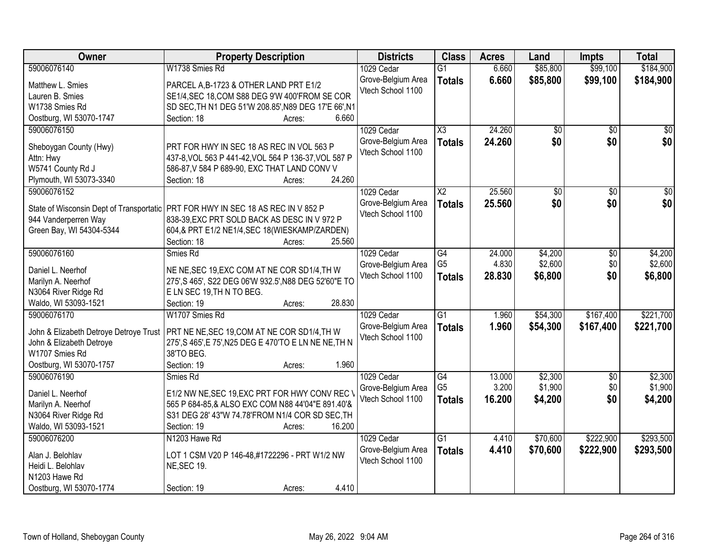| Owner                                  | <b>Property Description</b>                                                        | <b>Districts</b>   | <b>Class</b>        | <b>Acres</b> | Land            | Impts           | <b>Total</b>    |
|----------------------------------------|------------------------------------------------------------------------------------|--------------------|---------------------|--------------|-----------------|-----------------|-----------------|
| 59006076140                            | W1738 Smies Rd                                                                     | 1029 Cedar         | $\overline{G1}$     | 6.660        | \$85,800        | \$99,100        | \$184,900       |
| Matthew L. Smies                       | PARCEL A, B-1723 & OTHER LAND PRT E1/2                                             | Grove-Belgium Area | <b>Totals</b>       | 6.660        | \$85,800        | \$99,100        | \$184,900       |
| Lauren B. Smies                        | SE1/4, SEC 18, COM S88 DEG 9'W 400'FROM SE COR                                     | Vtech School 1100  |                     |              |                 |                 |                 |
| W1738 Smies Rd                         | SD SEC, TH N1 DEG 51'W 208.85', N89 DEG 17'E 66', N1                               |                    |                     |              |                 |                 |                 |
| Oostburg, WI 53070-1747                | 6.660<br>Section: 18<br>Acres:                                                     |                    |                     |              |                 |                 |                 |
| 59006076150                            |                                                                                    | 1029 Cedar         | $\overline{\chi_3}$ | 24.260       | $\overline{50}$ | $\overline{50}$ | $\sqrt{50}$     |
|                                        |                                                                                    | Grove-Belgium Area | <b>Totals</b>       | 24.260       | \$0             | \$0             | \$0             |
| Sheboygan County (Hwy)                 | PRT FOR HWY IN SEC 18 AS REC IN VOL 563 P                                          | Vtech School 1100  |                     |              |                 |                 |                 |
| Attn: Hwy                              | 437-8, VOL 563 P 441-42, VOL 564 P 136-37, VOL 587 P                               |                    |                     |              |                 |                 |                 |
| W5741 County Rd J                      | 586-87, V 584 P 689-90, EXC THAT LAND CONV V                                       |                    |                     |              |                 |                 |                 |
| Plymouth, WI 53073-3340                | 24.260<br>Section: 18<br>Acres:                                                    |                    |                     |              |                 |                 |                 |
| 59006076152                            |                                                                                    | 1029 Cedar         | $\overline{X2}$     | 25.560       | \$0             | \$0             | $\overline{50}$ |
|                                        | State of Wisconsin Dept of Transportatic   PRT FOR HWY IN SEC 18 AS REC IN V 852 P | Grove-Belgium Area | <b>Totals</b>       | 25.560       | \$0             | \$0             | \$0             |
| 944 Vanderperren Way                   | 838-39, EXC PRT SOLD BACK AS DESC IN V 972 P                                       | Vtech School 1100  |                     |              |                 |                 |                 |
| Green Bay, WI 54304-5344               | 604,& PRT E1/2 NE1/4, SEC 18(WIESKAMP/ZARDEN)                                      |                    |                     |              |                 |                 |                 |
|                                        | 25.560<br>Section: 18<br>Acres:                                                    |                    |                     |              |                 |                 |                 |
| 59006076160                            | Smies Rd                                                                           | 1029 Cedar         | G4                  | 24.000       | \$4,200         | \$0             | \$4,200         |
|                                        |                                                                                    | Grove-Belgium Area | G <sub>5</sub>      | 4.830        | \$2,600         | \$0             | \$2,600         |
| Daniel L. Neerhof                      | NE NE, SEC 19, EXC COM AT NE COR SD1/4, TH W                                       | Vtech School 1100  | <b>Totals</b>       | 28.830       | \$6,800         | \$0             | \$6,800         |
| Marilyn A. Neerhof                     | 275', S 465', S22 DEG 06'W 932.5', N88 DEG 52'60"E TO                              |                    |                     |              |                 |                 |                 |
| N3064 River Ridge Rd                   | E LN SEC 19, TH N TO BEG.                                                          |                    |                     |              |                 |                 |                 |
| Waldo, WI 53093-1521                   | 28.830<br>Section: 19<br>Acres:                                                    |                    |                     |              |                 |                 |                 |
| 59006076170                            | W1707 Smies Rd                                                                     | 1029 Cedar         | $\overline{G1}$     | 1.960        | \$54,300        | \$167,400       | \$221,700       |
| John & Elizabeth Detroye Detroye Trust | PRT NE NE, SEC 19, COM AT NE COR SD1/4, TH W                                       | Grove-Belgium Area | <b>Totals</b>       | 1.960        | \$54,300        | \$167,400       | \$221,700       |
| John & Elizabeth Detroye               | 275', S 465', E 75', N25 DEG E 470'TO E LN NE NE, TH N                             | Vtech School 1100  |                     |              |                 |                 |                 |
| W1707 Smies Rd                         | 38'TO BEG.                                                                         |                    |                     |              |                 |                 |                 |
| Oostburg, WI 53070-1757                | 1.960<br>Section: 19<br>Acres:                                                     |                    |                     |              |                 |                 |                 |
| 59006076190                            | Smies Rd                                                                           | 1029 Cedar         | $\overline{G4}$     | 13.000       | \$2,300         | $\sqrt{6}$      | \$2,300         |
|                                        |                                                                                    | Grove-Belgium Area | G <sub>5</sub>      | 3.200        | \$1,900         | \$0             | \$1,900         |
| Daniel L. Neerhof                      | E1/2 NW NE, SEC 19, EXC PRT FOR HWY CONV REC \                                     | Vtech School 1100  | <b>Totals</b>       | 16.200       | \$4,200         | \$0             | \$4,200         |
| Marilyn A. Neerhof                     | 565 P 684-85,& ALSO EXC COM N88 44'04"E 891.40'&                                   |                    |                     |              |                 |                 |                 |
| N3064 River Ridge Rd                   | S31 DEG 28' 43"W 74.78'FROM N1/4 COR SD SEC, TH                                    |                    |                     |              |                 |                 |                 |
| Waldo, WI 53093-1521                   | 16.200<br>Section: 19<br>Acres:                                                    |                    |                     |              |                 |                 |                 |
| 59006076200                            | N1203 Hawe Rd                                                                      | 1029 Cedar         | $\overline{G1}$     | 4.410        | \$70,600        | \$222,900       | \$293,500       |
| Alan J. Belohlav                       | LOT 1 CSM V20 P 146-48,#1722296 - PRT W1/2 NW                                      | Grove-Belgium Area | <b>Totals</b>       | 4.410        | \$70,600        | \$222,900       | \$293,500       |
| Heidi L. Belohlav                      | <b>NE, SEC 19.</b>                                                                 | Vtech School 1100  |                     |              |                 |                 |                 |
| N1203 Hawe Rd                          |                                                                                    |                    |                     |              |                 |                 |                 |
| Oostburg, WI 53070-1774                | 4.410<br>Section: 19<br>Acres:                                                     |                    |                     |              |                 |                 |                 |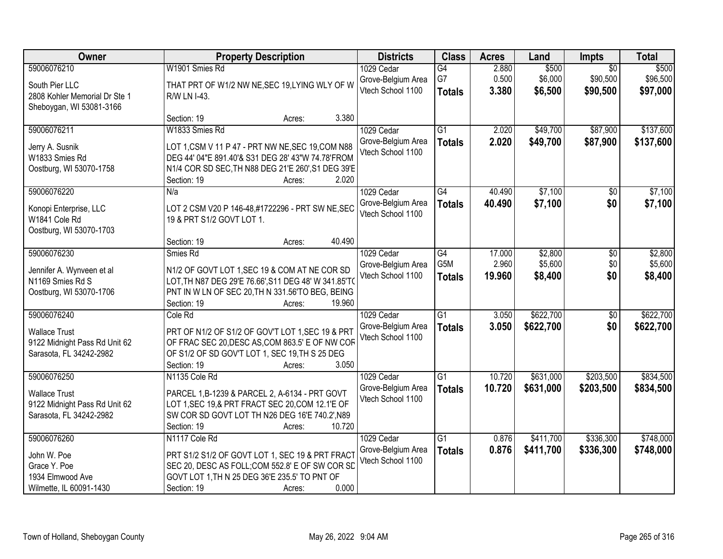| Owner                                                                                           | <b>Property Description</b>                                                                                                                                                                                      | <b>Districts</b>                                      | <b>Class</b>                            | <b>Acres</b>              | Land                          | Impts                                   | <b>Total</b>                  |
|-------------------------------------------------------------------------------------------------|------------------------------------------------------------------------------------------------------------------------------------------------------------------------------------------------------------------|-------------------------------------------------------|-----------------------------------------|---------------------------|-------------------------------|-----------------------------------------|-------------------------------|
| 59006076210<br>South Pier LLC<br>2808 Kohler Memorial Dr Ste 1                                  | W1901 Smies Rd<br>THAT PRT OF W1/2 NW NE, SEC 19, LYING WLY OF W<br>R/W LN I-43.                                                                                                                                 | 1029 Cedar<br>Grove-Belgium Area<br>Vtech School 1100 | G4<br>G7<br><b>Totals</b>               | 2.880<br>0.500<br>3.380   | \$500<br>\$6,000<br>\$6,500   | $\overline{50}$<br>\$90,500<br>\$90,500 | \$500<br>\$96,500<br>\$97,000 |
| Sheboygan, WI 53081-3166                                                                        | 3.380<br>Section: 19<br>Acres:                                                                                                                                                                                   |                                                       |                                         |                           |                               |                                         |                               |
| 59006076211<br>Jerry A. Susnik<br>W1833 Smies Rd<br>Oostburg, WI 53070-1758                     | W1833 Smies Rd<br>LOT 1, CSM V 11 P 47 - PRT NW NE, SEC 19, COM N88<br>DEG 44' 04"E 891.40'& S31 DEG 28' 43"W 74.78'FROM<br>N1/4 COR SD SEC, TH N88 DEG 21'E 260', S1 DEG 39'E<br>2.020<br>Section: 19<br>Acres: | 1029 Cedar<br>Grove-Belgium Area<br>Vtech School 1100 | $\overline{G1}$<br><b>Totals</b>        | 2.020<br>2.020            | \$49,700<br>\$49,700          | \$87,900<br>\$87,900                    | \$137,600<br>\$137,600        |
| 59006076220                                                                                     | N/a                                                                                                                                                                                                              | 1029 Cedar                                            | G4                                      | 40.490                    | \$7,100                       | \$0                                     | \$7,100                       |
| Konopi Enterprise, LLC<br>W1841 Cole Rd<br>Oostburg, WI 53070-1703                              | LOT 2 CSM V20 P 146-48,#1722296 - PRT SW NE, SEC<br>19 & PRT S1/2 GOVT LOT 1.                                                                                                                                    | Grove-Belgium Area<br>Vtech School 1100               | <b>Totals</b>                           | 40.490                    | \$7,100                       | \$0                                     | \$7,100                       |
|                                                                                                 | 40.490<br>Section: 19<br>Acres:                                                                                                                                                                                  |                                                       |                                         |                           |                               |                                         |                               |
| 59006076230<br>Jennifer A. Wynveen et al<br>N1169 Smies Rd S<br>Oostburg, WI 53070-1706         | Smies Rd<br>N1/2 OF GOVT LOT 1, SEC 19 & COM AT NE COR SD<br>LOT, TH N87 DEG 29'E 76.66', S11 DEG 48' W 341.85'TO<br>PNT IN W LN OF SEC 20, TH N 331.56'TO BEG, BEING<br>19.960<br>Section: 19<br>Acres:         | 1029 Cedar<br>Grove-Belgium Area<br>Vtech School 1100 | $\overline{G4}$<br>G5M<br><b>Totals</b> | 17.000<br>2.960<br>19.960 | \$2,800<br>\$5,600<br>\$8,400 | \$0<br>\$0<br>\$0                       | \$2,800<br>\$5,600<br>\$8,400 |
| 59006076240<br><b>Wallace Trust</b><br>9122 Midnight Pass Rd Unit 62<br>Sarasota, FL 34242-2982 | Cole Rd<br>PRT OF N1/2 OF S1/2 OF GOV'T LOT 1, SEC 19 & PRT<br>OF FRAC SEC 20, DESC AS, COM 863.5' E OF NW COR<br>OF S1/2 OF SD GOV'T LOT 1, SEC 19, TH S 25 DEG<br>Section: 19<br>3.050<br>Acres:               | 1029 Cedar<br>Grove-Belgium Area<br>Vtech School 1100 | $\overline{G1}$<br><b>Totals</b>        | 3.050<br>3.050            | \$622,700<br>\$622,700        | $\overline{50}$<br>\$0                  | \$622,700<br>\$622,700        |
| 59006076250<br><b>Wallace Trust</b><br>9122 Midnight Pass Rd Unit 62<br>Sarasota, FL 34242-2982 | N1135 Cole Rd<br>PARCEL 1, B-1239 & PARCEL 2, A-6134 - PRT GOVT<br>LOT 1, SEC 19, & PRT FRACT SEC 20, COM 12.1'E OF<br>SW COR SD GOVT LOT TH N26 DEG 16'E 740.2', N89<br>10.720<br>Section: 19<br>Acres:         | 1029 Cedar<br>Grove-Belgium Area<br>Vtech School 1100 | $\overline{G1}$<br><b>Totals</b>        | 10.720<br>10.720          | \$631,000<br>\$631,000        | \$203,500<br>\$203,500                  | \$834,500<br>\$834,500        |
| 59006076260<br>John W. Poe<br>Grace Y. Poe<br>1934 Elmwood Ave<br>Wilmette, IL 60091-1430       | N1117 Cole Rd<br>PRT S1/2 S1/2 OF GOVT LOT 1, SEC 19 & PRT FRACT<br>SEC 20, DESC AS FOLL; COM 552.8' E OF SW COR SD<br>GOVT LOT 1, TH N 25 DEG 36'E 235.5' TO PNT OF<br>0.000<br>Section: 19<br>Acres:           | 1029 Cedar<br>Grove-Belgium Area<br>Vtech School 1100 | $\overline{G1}$<br><b>Totals</b>        | 0.876<br>0.876            | \$411,700<br>\$411,700        | \$336,300<br>\$336,300                  | \$748,000<br>\$748,000        |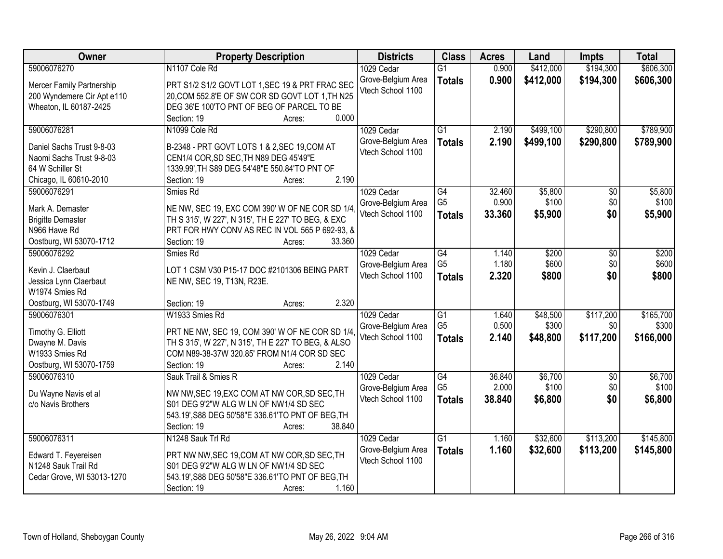| Owner                                                                                                              | <b>Property Description</b>                                                                                                                                                                              | <b>Districts</b>                                      | <b>Class</b>                                       | <b>Acres</b>            | Land                          | <b>Impts</b>                  | <b>Total</b>                    |
|--------------------------------------------------------------------------------------------------------------------|----------------------------------------------------------------------------------------------------------------------------------------------------------------------------------------------------------|-------------------------------------------------------|----------------------------------------------------|-------------------------|-------------------------------|-------------------------------|---------------------------------|
| 59006076270                                                                                                        | N1107 Cole Rd                                                                                                                                                                                            | 1029 Cedar                                            | $\overline{G1}$                                    | 0.900                   | \$412,000                     | \$194,300                     | \$606,300                       |
| Mercer Family Partnership<br>200 Wyndemere Cir Apt e110<br>Wheaton, IL 60187-2425                                  | PRT S1/2 S1/2 GOVT LOT 1, SEC 19 & PRT FRAC SEC<br>20, COM 552.8'E OF SW COR SD GOVT LOT 1, TH N25<br>DEG 36'E 100'TO PNT OF BEG OF PARCEL TO BE                                                         | Grove-Belgium Area<br>Vtech School 1100               | <b>Totals</b>                                      | 0.900                   | \$412,000                     | \$194,300                     | \$606,300                       |
|                                                                                                                    | 0.000<br>Section: 19<br>Acres:                                                                                                                                                                           |                                                       |                                                    |                         |                               |                               |                                 |
| 59006076281<br>Daniel Sachs Trust 9-8-03<br>Naomi Sachs Trust 9-8-03<br>64 W Schiller St<br>Chicago, IL 60610-2010 | N1099 Cole Rd<br>B-2348 - PRT GOVT LOTS 1 & 2, SEC 19, COM AT<br>CEN1/4 COR, SD SEC, TH N89 DEG 45'49"E<br>1339.99', TH S89 DEG 54'48"E 550.84'TO PNT OF<br>2.190<br>Section: 19<br>Acres:               | 1029 Cedar<br>Grove-Belgium Area<br>Vtech School 1100 | $\overline{G1}$<br><b>Totals</b>                   | 2.190<br>2.190          | \$499,100<br>\$499,100        | \$290,800<br>\$290,800        | \$789,900<br>\$789,900          |
| 59006076291                                                                                                        | Smies Rd                                                                                                                                                                                                 | 1029 Cedar                                            | G4                                                 | 32.460                  | \$5,800                       | \$0                           | \$5,800                         |
| Mark A. Demaster<br><b>Brigitte Demaster</b><br>N966 Hawe Rd<br>Oostburg, WI 53070-1712                            | NE NW, SEC 19, EXC COM 390' W OF NE COR SD 1/4<br>TH S 315', W 227', N 315', TH E 227' TO BEG, & EXC<br>PRT FOR HWY CONV AS REC IN VOL 565 P 692-93, &<br>33.360<br>Section: 19<br>Acres:                | Grove-Belgium Area<br>Vtech School 1100               | G <sub>5</sub><br><b>Totals</b>                    | 0.900<br>33.360         | \$100<br>\$5,900              | \$0<br>\$0                    | \$100<br>\$5,900                |
| 59006076292                                                                                                        | Smies Rd                                                                                                                                                                                                 | 1029 Cedar                                            | G4                                                 | 1.140                   | \$200                         | \$0                           | \$200                           |
| Kevin J. Claerbaut<br>Jessica Lynn Claerbaut<br>W1974 Smies Rd                                                     | LOT 1 CSM V30 P15-17 DOC #2101306 BEING PART<br>NE NW, SEC 19, T13N, R23E.                                                                                                                               | Grove-Belgium Area<br>Vtech School 1100               | G <sub>5</sub><br><b>Totals</b>                    | 1.180<br>2.320          | \$600<br>\$800                | \$0<br>\$0                    | \$600<br>\$800                  |
| Oostburg, WI 53070-1749                                                                                            | 2.320<br>Section: 19<br>Acres:                                                                                                                                                                           |                                                       |                                                    |                         |                               |                               |                                 |
| 59006076301<br>Timothy G. Elliott<br>Dwayne M. Davis<br>W1933 Smies Rd<br>Oostburg, WI 53070-1759                  | W1933 Smies Rd<br>PRT NE NW, SEC 19, COM 390' W OF NE COR SD 1/4<br>TH S 315', W 227', N 315', TH E 227' TO BEG, & ALSO<br>COM N89-38-37W 320.85' FROM N1/4 COR SD SEC<br>2.140<br>Section: 19<br>Acres: | 1029 Cedar<br>Grove-Belgium Area<br>Vtech School 1100 | $\overline{G1}$<br>G <sub>5</sub><br><b>Totals</b> | 1.640<br>0.500<br>2.140 | \$48,500<br>\$300<br>\$48,800 | \$117,200<br>\$0<br>\$117,200 | \$165,700<br>\$300<br>\$166,000 |
| 59006076310                                                                                                        | Sauk Trail & Smies R                                                                                                                                                                                     | 1029 Cedar                                            | G4                                                 | 36.840                  | \$6,700                       | $\overline{50}$               | \$6,700                         |
| Du Wayne Navis et al<br>c/o Navis Brothers                                                                         | NW NW, SEC 19, EXC COM AT NW COR, SD SEC, TH<br>S01 DEG 9'2"W ALG W LN OF NW1/4 SD SEC<br>543.19', S88 DEG 50'58"E 336.61'TO PNT OF BEG, TH<br>38.840<br>Section: 19<br>Acres:                           | Grove-Belgium Area<br>Vtech School 1100               | G <sub>5</sub><br><b>Totals</b>                    | 2.000<br>38.840         | \$100<br>\$6,800              | \$0<br>\$0                    | \$100<br>\$6,800                |
| 59006076311<br>Edward T. Feyereisen<br>N1248 Sauk Trail Rd<br>Cedar Grove, WI 53013-1270                           | N1248 Sauk Trl Rd<br>PRT NW NW, SEC 19, COM AT NW COR, SD SEC, TH<br>S01 DEG 9'2"W ALG W LN OF NW1/4 SD SEC<br>543.19', S88 DEG 50'58"E 336.61'TO PNT OF BEG, TH<br>1.160<br>Section: 19<br>Acres:       | 1029 Cedar<br>Grove-Belgium Area<br>Vtech School 1100 | $\overline{G1}$<br><b>Totals</b>                   | 1.160<br>1.160          | \$32,600<br>\$32,600          | \$113,200<br>\$113,200        | \$145,800<br>\$145,800          |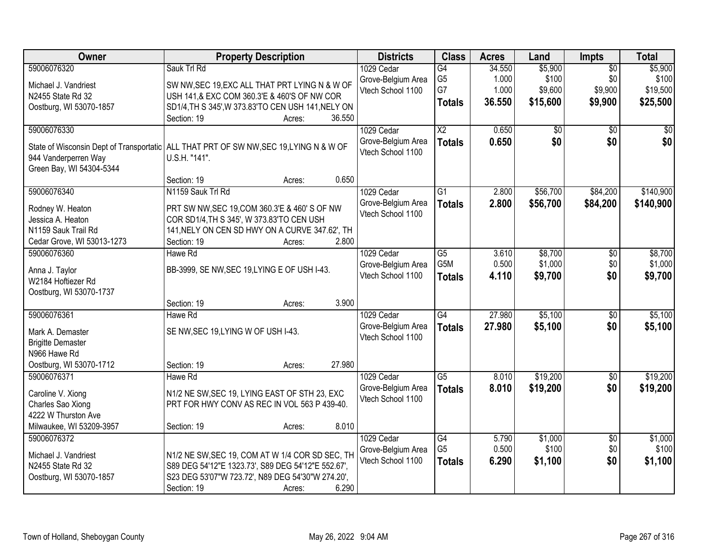| 59006076320<br>Sauk Trl Rd<br>\$5,900<br>\$5,900<br>1029 Cedar<br>G4<br>34.550<br>$\overline{50}$<br>G <sub>5</sub><br>\$100<br>\$0<br>\$100<br>1.000<br>Grove-Belgium Area<br>Michael J. Vandriest<br>SW NW, SEC 19, EXC ALL THAT PRT LYING N & W OF<br>G7<br>1.000<br>\$9,600<br>\$9,900<br>\$19,500<br>Vtech School 1100<br>USH 141,& EXC COM 360.3'E & 460'S OF NW COR<br>N2455 State Rd 32<br>36.550<br>\$15,600<br>\$9,900<br>\$25,500<br><b>Totals</b><br>SD1/4, TH S 345', W 373.83'TO CEN USH 141, NELY ON<br>Oostburg, WI 53070-1857<br>36.550<br>Section: 19<br>Acres:<br>59006076330<br>$\overline{\text{X2}}$<br>1029 Cedar<br>0.650<br>\$0<br>$\overline{50}$<br>\$0<br>\$0<br>\$0<br>0.650<br>\$0<br>Grove-Belgium Area<br><b>Totals</b><br>State of Wisconsin Dept of Transportatic ALL THAT PRT OF SW NW, SEC 19, LYING N & W OF<br>Vtech School 1100<br>944 Vanderperren Way<br>U.S.H. "141".<br>Green Bay, WI 54304-5344<br>Section: 19<br>0.650<br>Acres:<br>59006076340<br>\$56,700<br>\$84,200<br>N1159 Sauk Trl Rd<br>1029 Cedar<br>$\overline{G1}$<br>2.800<br>Grove-Belgium Area<br>2.800<br>\$56,700<br>\$84,200<br><b>Totals</b><br>PRT SW NW, SEC 19, COM 360.3'E & 460' S OF NW<br>Rodney W. Heaton<br>Vtech School 1100<br>Jessica A. Heaton<br>COR SD1/4, TH S 345', W 373.83'TO CEN USH<br>N1159 Sauk Trail Rd<br>141, NELY ON CEN SD HWY ON A CURVE 347.62', TH<br>Cedar Grove, WI 53013-1273<br>Section: 19<br>2.800<br>Acres:<br>59006076360<br>1029 Cedar<br>$\overline{G5}$<br>\$8,700<br>Hawe Rd<br>3.610<br>\$0<br>G5M<br>0.500<br>\$1,000<br>\$0<br>Grove-Belgium Area<br>BB-3999, SE NW, SEC 19, LYING E OF USH I-43.<br>Anna J. Taylor<br>\$0<br>Vtech School 1100<br>4.110<br>\$9,700<br><b>Totals</b><br>W2184 Hoftiezer Rd<br>Oostburg, WI 53070-1737<br>3.900<br>Section: 19<br>Acres:<br>27.980<br>\$5,100<br>59006076361<br>$\overline{G4}$<br>1029 Cedar<br>\$0<br>Hawe Rd<br>27,980<br>\$5,100<br>Grove-Belgium Area<br>\$0<br><b>Totals</b><br>SE NW, SEC 19, LYING W OF USH I-43.<br>Mark A. Demaster<br>Vtech School 1100<br><b>Brigitte Demaster</b><br>N966 Hawe Rd<br>27.980<br>Oostburg, WI 53070-1712<br>Section: 19<br>Acres:<br>$\overline{G5}$<br>\$19,200<br>59006076371<br>Hawe Rd<br>8.010<br>$\overline{60}$<br>1029 Cedar |
|---------------------------------------------------------------------------------------------------------------------------------------------------------------------------------------------------------------------------------------------------------------------------------------------------------------------------------------------------------------------------------------------------------------------------------------------------------------------------------------------------------------------------------------------------------------------------------------------------------------------------------------------------------------------------------------------------------------------------------------------------------------------------------------------------------------------------------------------------------------------------------------------------------------------------------------------------------------------------------------------------------------------------------------------------------------------------------------------------------------------------------------------------------------------------------------------------------------------------------------------------------------------------------------------------------------------------------------------------------------------------------------------------------------------------------------------------------------------------------------------------------------------------------------------------------------------------------------------------------------------------------------------------------------------------------------------------------------------------------------------------------------------------------------------------------------------------------------------------------------------------------------------------------------------------------------------------------------------------------------------------------------------------------------------------------------------------------------------------------------------------------------------------------------------------------------------------------------------------------------------------------------------------------------------|
|                                                                                                                                                                                                                                                                                                                                                                                                                                                                                                                                                                                                                                                                                                                                                                                                                                                                                                                                                                                                                                                                                                                                                                                                                                                                                                                                                                                                                                                                                                                                                                                                                                                                                                                                                                                                                                                                                                                                                                                                                                                                                                                                                                                                                                                                                             |
|                                                                                                                                                                                                                                                                                                                                                                                                                                                                                                                                                                                                                                                                                                                                                                                                                                                                                                                                                                                                                                                                                                                                                                                                                                                                                                                                                                                                                                                                                                                                                                                                                                                                                                                                                                                                                                                                                                                                                                                                                                                                                                                                                                                                                                                                                             |
|                                                                                                                                                                                                                                                                                                                                                                                                                                                                                                                                                                                                                                                                                                                                                                                                                                                                                                                                                                                                                                                                                                                                                                                                                                                                                                                                                                                                                                                                                                                                                                                                                                                                                                                                                                                                                                                                                                                                                                                                                                                                                                                                                                                                                                                                                             |
|                                                                                                                                                                                                                                                                                                                                                                                                                                                                                                                                                                                                                                                                                                                                                                                                                                                                                                                                                                                                                                                                                                                                                                                                                                                                                                                                                                                                                                                                                                                                                                                                                                                                                                                                                                                                                                                                                                                                                                                                                                                                                                                                                                                                                                                                                             |
|                                                                                                                                                                                                                                                                                                                                                                                                                                                                                                                                                                                                                                                                                                                                                                                                                                                                                                                                                                                                                                                                                                                                                                                                                                                                                                                                                                                                                                                                                                                                                                                                                                                                                                                                                                                                                                                                                                                                                                                                                                                                                                                                                                                                                                                                                             |
| \$140,900<br>\$140,900<br>\$8,700<br>\$1,000<br>\$9,700<br>\$5,100<br>\$5,100<br>\$19,200                                                                                                                                                                                                                                                                                                                                                                                                                                                                                                                                                                                                                                                                                                                                                                                                                                                                                                                                                                                                                                                                                                                                                                                                                                                                                                                                                                                                                                                                                                                                                                                                                                                                                                                                                                                                                                                                                                                                                                                                                                                                                                                                                                                                   |
|                                                                                                                                                                                                                                                                                                                                                                                                                                                                                                                                                                                                                                                                                                                                                                                                                                                                                                                                                                                                                                                                                                                                                                                                                                                                                                                                                                                                                                                                                                                                                                                                                                                                                                                                                                                                                                                                                                                                                                                                                                                                                                                                                                                                                                                                                             |
|                                                                                                                                                                                                                                                                                                                                                                                                                                                                                                                                                                                                                                                                                                                                                                                                                                                                                                                                                                                                                                                                                                                                                                                                                                                                                                                                                                                                                                                                                                                                                                                                                                                                                                                                                                                                                                                                                                                                                                                                                                                                                                                                                                                                                                                                                             |
|                                                                                                                                                                                                                                                                                                                                                                                                                                                                                                                                                                                                                                                                                                                                                                                                                                                                                                                                                                                                                                                                                                                                                                                                                                                                                                                                                                                                                                                                                                                                                                                                                                                                                                                                                                                                                                                                                                                                                                                                                                                                                                                                                                                                                                                                                             |
|                                                                                                                                                                                                                                                                                                                                                                                                                                                                                                                                                                                                                                                                                                                                                                                                                                                                                                                                                                                                                                                                                                                                                                                                                                                                                                                                                                                                                                                                                                                                                                                                                                                                                                                                                                                                                                                                                                                                                                                                                                                                                                                                                                                                                                                                                             |
|                                                                                                                                                                                                                                                                                                                                                                                                                                                                                                                                                                                                                                                                                                                                                                                                                                                                                                                                                                                                                                                                                                                                                                                                                                                                                                                                                                                                                                                                                                                                                                                                                                                                                                                                                                                                                                                                                                                                                                                                                                                                                                                                                                                                                                                                                             |
|                                                                                                                                                                                                                                                                                                                                                                                                                                                                                                                                                                                                                                                                                                                                                                                                                                                                                                                                                                                                                                                                                                                                                                                                                                                                                                                                                                                                                                                                                                                                                                                                                                                                                                                                                                                                                                                                                                                                                                                                                                                                                                                                                                                                                                                                                             |
|                                                                                                                                                                                                                                                                                                                                                                                                                                                                                                                                                                                                                                                                                                                                                                                                                                                                                                                                                                                                                                                                                                                                                                                                                                                                                                                                                                                                                                                                                                                                                                                                                                                                                                                                                                                                                                                                                                                                                                                                                                                                                                                                                                                                                                                                                             |
|                                                                                                                                                                                                                                                                                                                                                                                                                                                                                                                                                                                                                                                                                                                                                                                                                                                                                                                                                                                                                                                                                                                                                                                                                                                                                                                                                                                                                                                                                                                                                                                                                                                                                                                                                                                                                                                                                                                                                                                                                                                                                                                                                                                                                                                                                             |
|                                                                                                                                                                                                                                                                                                                                                                                                                                                                                                                                                                                                                                                                                                                                                                                                                                                                                                                                                                                                                                                                                                                                                                                                                                                                                                                                                                                                                                                                                                                                                                                                                                                                                                                                                                                                                                                                                                                                                                                                                                                                                                                                                                                                                                                                                             |
|                                                                                                                                                                                                                                                                                                                                                                                                                                                                                                                                                                                                                                                                                                                                                                                                                                                                                                                                                                                                                                                                                                                                                                                                                                                                                                                                                                                                                                                                                                                                                                                                                                                                                                                                                                                                                                                                                                                                                                                                                                                                                                                                                                                                                                                                                             |
|                                                                                                                                                                                                                                                                                                                                                                                                                                                                                                                                                                                                                                                                                                                                                                                                                                                                                                                                                                                                                                                                                                                                                                                                                                                                                                                                                                                                                                                                                                                                                                                                                                                                                                                                                                                                                                                                                                                                                                                                                                                                                                                                                                                                                                                                                             |
|                                                                                                                                                                                                                                                                                                                                                                                                                                                                                                                                                                                                                                                                                                                                                                                                                                                                                                                                                                                                                                                                                                                                                                                                                                                                                                                                                                                                                                                                                                                                                                                                                                                                                                                                                                                                                                                                                                                                                                                                                                                                                                                                                                                                                                                                                             |
|                                                                                                                                                                                                                                                                                                                                                                                                                                                                                                                                                                                                                                                                                                                                                                                                                                                                                                                                                                                                                                                                                                                                                                                                                                                                                                                                                                                                                                                                                                                                                                                                                                                                                                                                                                                                                                                                                                                                                                                                                                                                                                                                                                                                                                                                                             |
|                                                                                                                                                                                                                                                                                                                                                                                                                                                                                                                                                                                                                                                                                                                                                                                                                                                                                                                                                                                                                                                                                                                                                                                                                                                                                                                                                                                                                                                                                                                                                                                                                                                                                                                                                                                                                                                                                                                                                                                                                                                                                                                                                                                                                                                                                             |
|                                                                                                                                                                                                                                                                                                                                                                                                                                                                                                                                                                                                                                                                                                                                                                                                                                                                                                                                                                                                                                                                                                                                                                                                                                                                                                                                                                                                                                                                                                                                                                                                                                                                                                                                                                                                                                                                                                                                                                                                                                                                                                                                                                                                                                                                                             |
|                                                                                                                                                                                                                                                                                                                                                                                                                                                                                                                                                                                                                                                                                                                                                                                                                                                                                                                                                                                                                                                                                                                                                                                                                                                                                                                                                                                                                                                                                                                                                                                                                                                                                                                                                                                                                                                                                                                                                                                                                                                                                                                                                                                                                                                                                             |
|                                                                                                                                                                                                                                                                                                                                                                                                                                                                                                                                                                                                                                                                                                                                                                                                                                                                                                                                                                                                                                                                                                                                                                                                                                                                                                                                                                                                                                                                                                                                                                                                                                                                                                                                                                                                                                                                                                                                                                                                                                                                                                                                                                                                                                                                                             |
|                                                                                                                                                                                                                                                                                                                                                                                                                                                                                                                                                                                                                                                                                                                                                                                                                                                                                                                                                                                                                                                                                                                                                                                                                                                                                                                                                                                                                                                                                                                                                                                                                                                                                                                                                                                                                                                                                                                                                                                                                                                                                                                                                                                                                                                                                             |
|                                                                                                                                                                                                                                                                                                                                                                                                                                                                                                                                                                                                                                                                                                                                                                                                                                                                                                                                                                                                                                                                                                                                                                                                                                                                                                                                                                                                                                                                                                                                                                                                                                                                                                                                                                                                                                                                                                                                                                                                                                                                                                                                                                                                                                                                                             |
|                                                                                                                                                                                                                                                                                                                                                                                                                                                                                                                                                                                                                                                                                                                                                                                                                                                                                                                                                                                                                                                                                                                                                                                                                                                                                                                                                                                                                                                                                                                                                                                                                                                                                                                                                                                                                                                                                                                                                                                                                                                                                                                                                                                                                                                                                             |
|                                                                                                                                                                                                                                                                                                                                                                                                                                                                                                                                                                                                                                                                                                                                                                                                                                                                                                                                                                                                                                                                                                                                                                                                                                                                                                                                                                                                                                                                                                                                                                                                                                                                                                                                                                                                                                                                                                                                                                                                                                                                                                                                                                                                                                                                                             |
| \$19,200<br>Grove-Belgium Area<br>\$0<br>\$19,200<br>8.010<br><b>Totals</b><br>N1/2 NE SW, SEC 19, LYING EAST OF STH 23, EXC<br>Caroline V. Xiong                                                                                                                                                                                                                                                                                                                                                                                                                                                                                                                                                                                                                                                                                                                                                                                                                                                                                                                                                                                                                                                                                                                                                                                                                                                                                                                                                                                                                                                                                                                                                                                                                                                                                                                                                                                                                                                                                                                                                                                                                                                                                                                                           |
| Vtech School 1100<br>Charles Sao Xiong<br>PRT FOR HWY CONV AS REC IN VOL 563 P 439-40.                                                                                                                                                                                                                                                                                                                                                                                                                                                                                                                                                                                                                                                                                                                                                                                                                                                                                                                                                                                                                                                                                                                                                                                                                                                                                                                                                                                                                                                                                                                                                                                                                                                                                                                                                                                                                                                                                                                                                                                                                                                                                                                                                                                                      |
| 4222 W Thurston Ave                                                                                                                                                                                                                                                                                                                                                                                                                                                                                                                                                                                                                                                                                                                                                                                                                                                                                                                                                                                                                                                                                                                                                                                                                                                                                                                                                                                                                                                                                                                                                                                                                                                                                                                                                                                                                                                                                                                                                                                                                                                                                                                                                                                                                                                                         |
| 8.010<br>Milwaukee, WI 53209-3957<br>Section: 19<br>Acres:                                                                                                                                                                                                                                                                                                                                                                                                                                                                                                                                                                                                                                                                                                                                                                                                                                                                                                                                                                                                                                                                                                                                                                                                                                                                                                                                                                                                                                                                                                                                                                                                                                                                                                                                                                                                                                                                                                                                                                                                                                                                                                                                                                                                                                  |
| 59006076372<br>$\overline{G4}$<br>\$1,000<br>\$1,000<br>1029 Cedar<br>5.790<br>$\overline{50}$                                                                                                                                                                                                                                                                                                                                                                                                                                                                                                                                                                                                                                                                                                                                                                                                                                                                                                                                                                                                                                                                                                                                                                                                                                                                                                                                                                                                                                                                                                                                                                                                                                                                                                                                                                                                                                                                                                                                                                                                                                                                                                                                                                                              |
| G <sub>5</sub><br>0.500<br>\$100<br>\$0<br>\$100<br>Grove-Belgium Area<br>N1/2 NE SW, SEC 19, COM AT W 1/4 COR SD SEC, TH<br>Michael J. Vandriest                                                                                                                                                                                                                                                                                                                                                                                                                                                                                                                                                                                                                                                                                                                                                                                                                                                                                                                                                                                                                                                                                                                                                                                                                                                                                                                                                                                                                                                                                                                                                                                                                                                                                                                                                                                                                                                                                                                                                                                                                                                                                                                                           |
| Vtech School 1100<br>\$0<br>\$1,100<br>6.290<br>\$1,100<br><b>Totals</b><br>S89 DEG 54'12"E 1323.73', S89 DEG 54'12"E 552.67',<br>N2455 State Rd 32                                                                                                                                                                                                                                                                                                                                                                                                                                                                                                                                                                                                                                                                                                                                                                                                                                                                                                                                                                                                                                                                                                                                                                                                                                                                                                                                                                                                                                                                                                                                                                                                                                                                                                                                                                                                                                                                                                                                                                                                                                                                                                                                         |
| S23 DEG 53'07"W 723.72', N89 DEG 54'30"W 274.20',<br>Oostburg, WI 53070-1857                                                                                                                                                                                                                                                                                                                                                                                                                                                                                                                                                                                                                                                                                                                                                                                                                                                                                                                                                                                                                                                                                                                                                                                                                                                                                                                                                                                                                                                                                                                                                                                                                                                                                                                                                                                                                                                                                                                                                                                                                                                                                                                                                                                                                |
| 6.290<br>Section: 19<br>Acres:                                                                                                                                                                                                                                                                                                                                                                                                                                                                                                                                                                                                                                                                                                                                                                                                                                                                                                                                                                                                                                                                                                                                                                                                                                                                                                                                                                                                                                                                                                                                                                                                                                                                                                                                                                                                                                                                                                                                                                                                                                                                                                                                                                                                                                                              |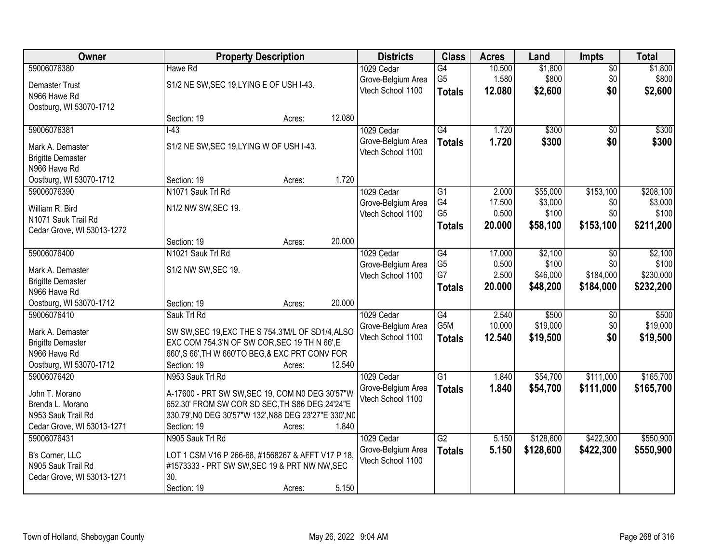| Owner                                 |                                                                                                    | <b>Property Description</b> |        | <b>Districts</b>   | <b>Class</b>     | <b>Acres</b> | Land      | <b>Impts</b>    | <b>Total</b> |
|---------------------------------------|----------------------------------------------------------------------------------------------------|-----------------------------|--------|--------------------|------------------|--------------|-----------|-----------------|--------------|
| 59006076380                           | Hawe Rd                                                                                            |                             |        | 1029 Cedar         | $\overline{G4}$  | 10.500       | \$1,800   | $\sqrt{$0}$     | \$1,800      |
| <b>Demaster Trust</b>                 | S1/2 NE SW, SEC 19, LYING E OF USH I-43.                                                           |                             |        | Grove-Belgium Area | G <sub>5</sub>   | 1.580        | \$800     | \$0             | \$800        |
| N966 Hawe Rd                          |                                                                                                    |                             |        | Vtech School 1100  | <b>Totals</b>    | 12.080       | \$2,600   | \$0             | \$2,600      |
| Oostburg, WI 53070-1712               |                                                                                                    |                             |        |                    |                  |              |           |                 |              |
|                                       | Section: 19                                                                                        | Acres:                      | 12.080 |                    |                  |              |           |                 |              |
| 59006076381                           | $I-43$                                                                                             |                             |        | 1029 Cedar         | G4               | 1.720        | \$300     | $\overline{50}$ | \$300        |
| Mark A. Demaster                      | S1/2 NE SW, SEC 19, LYING W OF USH I-43.                                                           |                             |        | Grove-Belgium Area | <b>Totals</b>    | 1.720        | \$300     | \$0             | \$300        |
| <b>Brigitte Demaster</b>              |                                                                                                    |                             |        | Vtech School 1100  |                  |              |           |                 |              |
| N966 Hawe Rd                          |                                                                                                    |                             |        |                    |                  |              |           |                 |              |
| Oostburg, WI 53070-1712               | Section: 19                                                                                        | Acres:                      | 1.720  |                    |                  |              |           |                 |              |
| 59006076390                           | N1071 Sauk Trl Rd                                                                                  |                             |        | 1029 Cedar         | G1               | 2.000        | \$55,000  | \$153,100       | \$208,100    |
| William R. Bird                       | N1/2 NW SW, SEC 19.                                                                                |                             |        | Grove-Belgium Area | G4               | 17.500       | \$3,000   | \$0             | \$3,000      |
| N1071 Sauk Trail Rd                   |                                                                                                    |                             |        | Vtech School 1100  | G <sub>5</sub>   | 0.500        | \$100     | \$0             | \$100        |
| Cedar Grove, WI 53013-1272            |                                                                                                    |                             |        |                    | <b>Totals</b>    | 20,000       | \$58,100  | \$153,100       | \$211,200    |
|                                       | Section: 19                                                                                        | Acres:                      | 20.000 |                    |                  |              |           |                 |              |
| 59006076400                           | N1021 Sauk Trl Rd                                                                                  |                             |        | 1029 Cedar         | G4               | 17.000       | \$2,100   | $\sqrt[6]{}$    | \$2,100      |
| Mark A. Demaster                      | S1/2 NW SW, SEC 19.                                                                                |                             |        | Grove-Belgium Area | G <sub>5</sub>   | 0.500        | \$100     | \$0             | \$100        |
| <b>Brigitte Demaster</b>              |                                                                                                    |                             |        | Vtech School 1100  | G7               | 2.500        | \$46,000  | \$184,000       | \$230,000    |
| N966 Hawe Rd                          |                                                                                                    |                             |        |                    | <b>Totals</b>    | 20.000       | \$48,200  | \$184,000       | \$232,200    |
| Oostburg, WI 53070-1712               | Section: 19                                                                                        | Acres:                      | 20.000 |                    |                  |              |           |                 |              |
| 59006076410                           | Sauk Trl Rd                                                                                        |                             |        | 1029 Cedar         | $\overline{G4}$  | 2.540        | \$500     | \$0             | \$500        |
| Mark A. Demaster                      | SW SW, SEC 19, EXC THE S 754.3'M/L OF SD1/4, ALSO                                                  |                             |        | Grove-Belgium Area | G <sub>5</sub> M | 10.000       | \$19,000  | \$0             | \$19,000     |
| <b>Brigitte Demaster</b>              | EXC COM 754.3'N OF SW COR, SEC 19 TH N 66', E                                                      |                             |        | Vtech School 1100  | <b>Totals</b>    | 12.540       | \$19,500  | \$0             | \$19,500     |
| N966 Hawe Rd                          | 660', S 66', TH W 660'TO BEG, & EXC PRT CONV FOR                                                   |                             |        |                    |                  |              |           |                 |              |
| Oostburg, WI 53070-1712               | Section: 19                                                                                        | Acres:                      | 12.540 |                    |                  |              |           |                 |              |
| 59006076420                           | N953 Sauk Trl Rd                                                                                   |                             |        | 1029 Cedar         | $\overline{G1}$  | 1.840        | \$54,700  | \$111,000       | \$165,700    |
| John T. Morano                        | A-17600 - PRT SW SW, SEC 19, COM N0 DEG 30'57"W                                                    |                             |        | Grove-Belgium Area | <b>Totals</b>    | 1.840        | \$54,700  | \$111,000       | \$165,700    |
| Brenda L. Morano                      | 652.30' FROM SW COR SD SEC, TH S86 DEG 24'24"E                                                     |                             |        | Vtech School 1100  |                  |              |           |                 |              |
| N953 Sauk Trail Rd                    | 330.79', NO DEG 30'57"W 132', N88 DEG 23'27"E 330', NO                                             |                             |        |                    |                  |              |           |                 |              |
| Cedar Grove, WI 53013-1271            | Section: 19                                                                                        | Acres:                      | 1.840  |                    |                  |              |           |                 |              |
| 59006076431                           | N905 Sauk Trl Rd                                                                                   |                             |        | 1029 Cedar         | G2               | 5.150        | \$128,600 | \$422,300       | \$550,900    |
|                                       |                                                                                                    |                             |        | Grove-Belgium Area | <b>Totals</b>    | 5.150        | \$128,600 | \$422,300       | \$550,900    |
| B's Corner, LLC<br>N905 Sauk Trail Rd | LOT 1 CSM V16 P 266-68, #1568267 & AFFT V17 P 18.<br>#1573333 - PRT SW SW, SEC 19 & PRT NW NW, SEC |                             |        | Vtech School 1100  |                  |              |           |                 |              |
| Cedar Grove, WI 53013-1271            | 30.                                                                                                |                             |        |                    |                  |              |           |                 |              |
|                                       | Section: 19                                                                                        | Acres:                      | 5.150  |                    |                  |              |           |                 |              |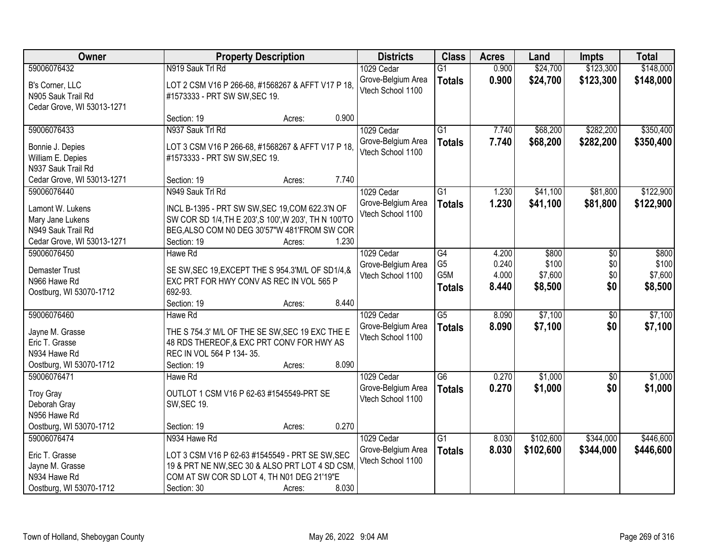| Owner                                                                                       |                                                                                                                                                                                | <b>Property Description</b> |       | <b>Districts</b>                                      | <b>Class</b>                           | <b>Acres</b>            | Land                        | <b>Impts</b>           | <b>Total</b>                |
|---------------------------------------------------------------------------------------------|--------------------------------------------------------------------------------------------------------------------------------------------------------------------------------|-----------------------------|-------|-------------------------------------------------------|----------------------------------------|-------------------------|-----------------------------|------------------------|-----------------------------|
| 59006076432                                                                                 | N919 Sauk Trl Rd                                                                                                                                                               |                             |       | 1029 Cedar                                            | $\overline{G1}$                        | 0.900                   | \$24,700                    | \$123,300              | \$148,000                   |
| B's Corner, LLC<br>N905 Sauk Trail Rd<br>Cedar Grove, WI 53013-1271                         | LOT 2 CSM V16 P 266-68, #1568267 & AFFT V17 P 18,<br>#1573333 - PRT SW SW, SEC 19.                                                                                             |                             |       | Grove-Belgium Area<br>Vtech School 1100               | <b>Totals</b>                          | 0.900                   | \$24,700                    | \$123,300              | \$148,000                   |
|                                                                                             | Section: 19                                                                                                                                                                    | Acres:                      | 0.900 |                                                       |                                        |                         |                             |                        |                             |
| 59006076433<br>Bonnie J. Depies                                                             | N937 Sauk Trl Rd<br>LOT 3 CSM V16 P 266-68, #1568267 & AFFT V17 P 18,                                                                                                          |                             |       | 1029 Cedar<br>Grove-Belgium Area<br>Vtech School 1100 | $\overline{G1}$<br><b>Totals</b>       | 7.740<br>7.740          | \$68,200<br>\$68,200        | \$282,200<br>\$282,200 | \$350,400<br>\$350,400      |
| William E. Depies<br>N937 Sauk Trail Rd<br>Cedar Grove, WI 53013-1271                       | #1573333 - PRT SW SW, SEC 19.<br>Section: 19                                                                                                                                   | Acres:                      | 7.740 |                                                       |                                        |                         |                             |                        |                             |
| 59006076440                                                                                 | N949 Sauk Trl Rd                                                                                                                                                               |                             |       | 1029 Cedar                                            | G1                                     | 1.230                   | \$41,100                    | \$81,800               | \$122,900                   |
| Lamont W. Lukens<br>Mary Jane Lukens<br>N949 Sauk Trail Rd<br>Cedar Grove, WI 53013-1271    | INCL B-1395 - PRT SW SW, SEC 19, COM 622.3'N OF<br>SW COR SD 1/4, TH E 203', S 100', W 203', TH N 100'TO<br>BEG, ALSO COM N0 DEG 30'57"W 481'FROM SW COR<br>Section: 19        | Acres:                      | 1.230 | Grove-Belgium Area<br>Vtech School 1100               | <b>Totals</b>                          | 1.230                   | \$41,100                    | \$81,800               | \$122,900                   |
| 59006076450                                                                                 | Hawe Rd                                                                                                                                                                        |                             |       | 1029 Cedar                                            | G4                                     | 4.200                   | \$800                       | \$0                    | \$800                       |
| <b>Demaster Trust</b><br>N966 Hawe Rd<br>Oostburg, WI 53070-1712                            | SE SW, SEC 19, EXCEPT THE S 954.3'M/L OF SD1/4, &<br>EXC PRT FOR HWY CONV AS REC IN VOL 565 P<br>692-93.                                                                       |                             |       | Grove-Belgium Area<br>Vtech School 1100               | G <sub>5</sub><br>G5M<br><b>Totals</b> | 0.240<br>4.000<br>8.440 | \$100<br>\$7,600<br>\$8,500 | \$0<br>\$0<br>\$0      | \$100<br>\$7,600<br>\$8,500 |
|                                                                                             | Section: 19                                                                                                                                                                    | Acres:                      | 8.440 |                                                       |                                        |                         |                             |                        |                             |
| 59006076460<br>Jayne M. Grasse<br>Eric T. Grasse<br>N934 Hawe Rd<br>Oostburg, WI 53070-1712 | Hawe Rd<br>THE S 754.3' M/L OF THE SE SW, SEC 19 EXC THE E<br>48 RDS THEREOF, & EXC PRT CONV FOR HWY AS<br>REC IN VOL 564 P 134-35.<br>Section: 19                             | Acres:                      | 8.090 | 1029 Cedar<br>Grove-Belgium Area<br>Vtech School 1100 | $\overline{G5}$<br><b>Totals</b>       | 8.090<br>8.090          | \$7,100<br>\$7,100          | $\overline{50}$<br>\$0 | \$7,100<br>\$7,100          |
| 59006076471                                                                                 | Hawe Rd                                                                                                                                                                        |                             |       | 1029 Cedar                                            | $\overline{G6}$                        | 0.270                   | \$1,000                     | $\overline{50}$        | \$1,000                     |
| <b>Troy Gray</b><br>Deborah Gray<br>N956 Hawe Rd                                            | OUTLOT 1 CSM V16 P 62-63 #1545549-PRT SE<br><b>SW, SEC 19.</b>                                                                                                                 |                             |       | Grove-Belgium Area<br>Vtech School 1100               | <b>Totals</b>                          | 0.270                   | \$1,000                     | \$0                    | \$1,000                     |
| Oostburg, WI 53070-1712                                                                     | Section: 19                                                                                                                                                                    | Acres:                      | 0.270 |                                                       |                                        |                         |                             |                        |                             |
| 59006076474<br>Eric T. Grasse<br>Jayne M. Grasse<br>N934 Hawe Rd<br>Oostburg, WI 53070-1712 | N934 Hawe Rd<br>LOT 3 CSM V16 P 62-63 #1545549 - PRT SE SW, SEC<br>19 & PRT NE NW, SEC 30 & ALSO PRT LOT 4 SD CSM<br>COM AT SW COR SD LOT 4, TH N01 DEG 21'19"E<br>Section: 30 | Acres:                      | 8.030 | 1029 Cedar<br>Grove-Belgium Area<br>Vtech School 1100 | $\overline{G1}$<br><b>Totals</b>       | 8.030<br>8.030          | \$102,600<br>\$102,600      | \$344,000<br>\$344,000 | \$446,600<br>\$446,600      |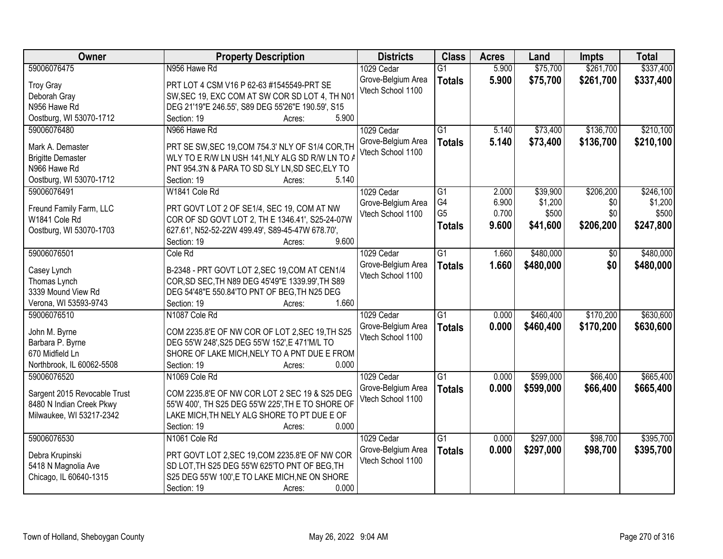| Owner                        | <b>Property Description</b>                       | <b>Districts</b>   | <b>Class</b>         | <b>Acres</b> | Land      | <b>Impts</b> | <b>Total</b> |
|------------------------------|---------------------------------------------------|--------------------|----------------------|--------------|-----------|--------------|--------------|
| 59006076475                  | N956 Hawe Rd                                      | 1029 Cedar         | $\overline{G1}$      | 5.900        | \$75,700  | \$261,700    | \$337,400    |
| <b>Troy Gray</b>             | PRT LOT 4 CSM V16 P 62-63 #1545549-PRT SE         | Grove-Belgium Area | <b>Totals</b>        | 5.900        | \$75,700  | \$261,700    | \$337,400    |
| Deborah Gray                 | SW, SEC 19, EXC COM AT SW COR SD LOT 4, TH N01    | Vtech School 1100  |                      |              |           |              |              |
| N956 Hawe Rd                 | DEG 21'19"E 246.55', S89 DEG 55'26"E 190.59', S15 |                    |                      |              |           |              |              |
| Oostburg, WI 53070-1712      | 5.900<br>Section: 19<br>Acres:                    |                    |                      |              |           |              |              |
| 59006076480                  | N966 Hawe Rd                                      | 1029 Cedar         | $\overline{G1}$      | 5.140        | \$73,400  | \$136,700    | \$210,100    |
|                              |                                                   | Grove-Belgium Area | <b>Totals</b>        | 5.140        | \$73,400  | \$136,700    | \$210,100    |
| Mark A. Demaster             | PRT SE SW, SEC 19, COM 754.3' NLY OF S1/4 COR, TH | Vtech School 1100  |                      |              |           |              |              |
| <b>Brigitte Demaster</b>     | WLY TO E R/W LN USH 141, NLY ALG SD R/W LN TO A   |                    |                      |              |           |              |              |
| N966 Hawe Rd                 | PNT 954.3'N & PARA TO SD SLY LN, SD SEC, ELY TO   |                    |                      |              |           |              |              |
| Oostburg, WI 53070-1712      | 5.140<br>Section: 19<br>Acres:                    |                    |                      |              |           |              |              |
| 59006076491                  | W1841 Cole Rd                                     | 1029 Cedar         | $\overline{G1}$      | 2.000        | \$39,900  | \$206,200    | \$246,100    |
| Freund Family Farm, LLC      | PRT GOVT LOT 2 OF SE1/4, SEC 19, COM AT NW        | Grove-Belgium Area | G4<br>G <sub>5</sub> | 6.900        | \$1,200   | \$0          | \$1,200      |
| W1841 Cole Rd                | COR OF SD GOVT LOT 2, TH E 1346.41', S25-24-07W   | Vtech School 1100  |                      | 0.700        | \$500     | \$0          | \$500        |
| Oostburg, WI 53070-1703      | 627.61', N52-52-22W 499.49', S89-45-47W 678.70',  |                    | <b>Totals</b>        | 9.600        | \$41,600  | \$206,200    | \$247,800    |
|                              | 9.600<br>Section: 19<br>Acres:                    |                    |                      |              |           |              |              |
| 59006076501                  | Cole Rd                                           | 1029 Cedar         | $\overline{G1}$      | 1.660        | \$480,000 | \$0          | \$480,000    |
|                              |                                                   | Grove-Belgium Area | <b>Totals</b>        | 1.660        | \$480,000 | \$0          | \$480,000    |
| Casey Lynch                  | B-2348 - PRT GOVT LOT 2, SEC 19, COM AT CEN1/4    | Vtech School 1100  |                      |              |           |              |              |
| Thomas Lynch                 | COR, SD SEC, TH N89 DEG 45'49"E 1339.99', TH S89  |                    |                      |              |           |              |              |
| 3339 Mound View Rd           | DEG 54'48"E 550.84'TO PNT OF BEG, TH N25 DEG      |                    |                      |              |           |              |              |
| Verona, WI 53593-9743        | 1.660<br>Section: 19<br>Acres:                    |                    |                      |              |           |              |              |
| 59006076510                  | N1087 Cole Rd                                     | 1029 Cedar         | $\overline{G1}$      | 0.000        | \$460,400 | \$170,200    | \$630,600    |
| John M. Byrne                | COM 2235.8'E OF NW COR OF LOT 2, SEC 19, TH S25   | Grove-Belgium Area | <b>Totals</b>        | 0.000        | \$460,400 | \$170,200    | \$630,600    |
| Barbara P. Byrne             | DEG 55'W 248', S25 DEG 55'W 152', E 471'M/L TO    | Vtech School 1100  |                      |              |           |              |              |
| 670 Midfield Ln              | SHORE OF LAKE MICH, NELY TO A PNT DUE E FROM      |                    |                      |              |           |              |              |
| Northbrook, IL 60062-5508    | Section: 19<br>0.000<br>Acres:                    |                    |                      |              |           |              |              |
| 59006076520                  | N1069 Cole Rd                                     | 1029 Cedar         | $\overline{G1}$      | 0.000        | \$599,000 | \$66,400     | \$665,400    |
|                              |                                                   | Grove-Belgium Area | <b>Totals</b>        | 0.000        | \$599,000 | \$66,400     | \$665,400    |
| Sargent 2015 Revocable Trust | COM 2235.8'E OF NW COR LOT 2 SEC 19 & S25 DEG     | Vtech School 1100  |                      |              |           |              |              |
| 8480 N Indian Creek Pkwy     | 55'W 400', TH S25 DEG 55'W 225', TH E TO SHORE OF |                    |                      |              |           |              |              |
| Milwaukee, WI 53217-2342     | LAKE MICH, TH NELY ALG SHORE TO PT DUE E OF       |                    |                      |              |           |              |              |
|                              | Section: 19<br>0.000<br>Acres:                    |                    |                      |              |           |              |              |
| 59006076530                  | N1061 Cole Rd                                     | 1029 Cedar         | $\overline{G1}$      | 0.000        | \$297,000 | \$98,700     | \$395,700    |
| Debra Krupinski              | PRT GOVT LOT 2, SEC 19, COM 2235.8'E OF NW COR    | Grove-Belgium Area | <b>Totals</b>        | 0.000        | \$297,000 | \$98,700     | \$395,700    |
| 5418 N Magnolia Ave          | SD LOT, TH S25 DEG 55'W 625'TO PNT OF BEG, TH     | Vtech School 1100  |                      |              |           |              |              |
| Chicago, IL 60640-1315       | S25 DEG 55'W 100',E TO LAKE MICH, NE ON SHORE     |                    |                      |              |           |              |              |
|                              | Section: 19<br>0.000<br>Acres:                    |                    |                      |              |           |              |              |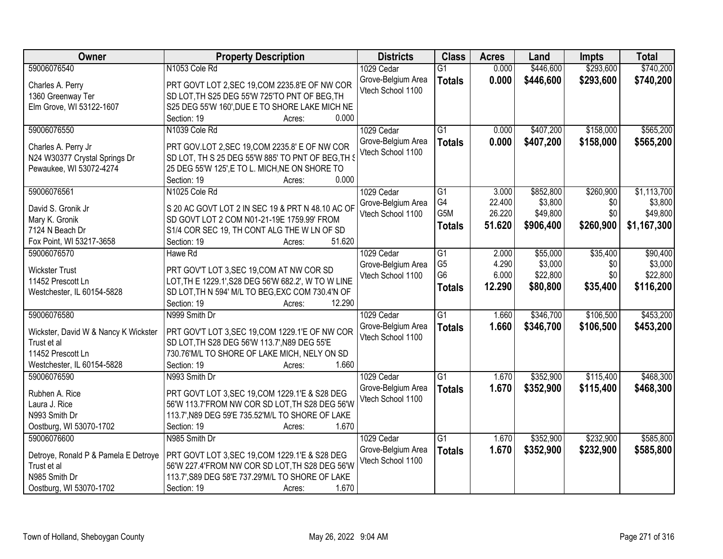| \$740,200<br>59006076540<br>N1053 Cole Rd<br>\$446,600<br>\$293,600<br>1029 Cedar<br>$\overline{G1}$<br>0.000<br>Grove-Belgium Area<br>0.000<br>\$446,600<br>\$293,600<br>\$740,200<br><b>Totals</b><br>PRT GOVT LOT 2, SEC 19, COM 2235.8'E OF NW COR<br>Charles A. Perry<br>Vtech School 1100<br>1360 Greenway Ter<br>SD LOT, TH S25 DEG 55'W 725'TO PNT OF BEG, TH<br>S25 DEG 55'W 160', DUE E TO SHORE LAKE MICH NE<br>Elm Grove, WI 53122-1607<br>0.000<br>Section: 19<br>Acres:<br>\$158,000<br>\$565,200<br>59006076550<br>N1039 Cole Rd<br>1029 Cedar<br>$\overline{G1}$<br>\$407,200<br>0.000<br>0.000<br>\$407,200<br>\$158,000<br>Grove-Belgium Area<br>\$565,200<br><b>Totals</b><br>PRT GOV.LOT 2, SEC 19, COM 2235.8' E OF NW COR<br>Charles A. Perry Jr<br>Vtech School 1100 |
|---------------------------------------------------------------------------------------------------------------------------------------------------------------------------------------------------------------------------------------------------------------------------------------------------------------------------------------------------------------------------------------------------------------------------------------------------------------------------------------------------------------------------------------------------------------------------------------------------------------------------------------------------------------------------------------------------------------------------------------------------------------------------------------------|
|                                                                                                                                                                                                                                                                                                                                                                                                                                                                                                                                                                                                                                                                                                                                                                                             |
|                                                                                                                                                                                                                                                                                                                                                                                                                                                                                                                                                                                                                                                                                                                                                                                             |
|                                                                                                                                                                                                                                                                                                                                                                                                                                                                                                                                                                                                                                                                                                                                                                                             |
|                                                                                                                                                                                                                                                                                                                                                                                                                                                                                                                                                                                                                                                                                                                                                                                             |
|                                                                                                                                                                                                                                                                                                                                                                                                                                                                                                                                                                                                                                                                                                                                                                                             |
|                                                                                                                                                                                                                                                                                                                                                                                                                                                                                                                                                                                                                                                                                                                                                                                             |
|                                                                                                                                                                                                                                                                                                                                                                                                                                                                                                                                                                                                                                                                                                                                                                                             |
|                                                                                                                                                                                                                                                                                                                                                                                                                                                                                                                                                                                                                                                                                                                                                                                             |
| N24 W30377 Crystal Springs Dr<br>SD LOT, TH S 25 DEG 55'W 885' TO PNT OF BEG, TH S                                                                                                                                                                                                                                                                                                                                                                                                                                                                                                                                                                                                                                                                                                          |
| Pewaukee, WI 53072-4274<br>25 DEG 55'W 125', E TO L. MICH, NE ON SHORE TO                                                                                                                                                                                                                                                                                                                                                                                                                                                                                                                                                                                                                                                                                                                   |
| 0.000<br>Section: 19<br>Acres:                                                                                                                                                                                                                                                                                                                                                                                                                                                                                                                                                                                                                                                                                                                                                              |
| \$1,113,700<br>59006076561<br>N1025 Cole Rd<br>1029 Cedar<br>$\overline{G1}$<br>3.000<br>\$852,800<br>\$260,900                                                                                                                                                                                                                                                                                                                                                                                                                                                                                                                                                                                                                                                                             |
| G4<br>22.400<br>\$3,800<br>\$0<br>\$3,800<br>Grove-Belgium Area<br>S 20 AC GOVT LOT 2 IN SEC 19 & PRT N 48.10 AC OF<br>David S. Gronik Jr                                                                                                                                                                                                                                                                                                                                                                                                                                                                                                                                                                                                                                                   |
| G5M<br>26.220<br>\$49,800<br>\$0<br>\$49,800<br>Vtech School 1100<br>SD GOVT LOT 2 COM N01-21-19E 1759.99' FROM<br>Mary K. Gronik                                                                                                                                                                                                                                                                                                                                                                                                                                                                                                                                                                                                                                                           |
| 51.620<br>\$906,400<br>\$260,900<br>\$1,167,300<br><b>Totals</b><br>7124 N Beach Dr<br>S1/4 COR SEC 19, TH CONT ALG THE W LN OF SD                                                                                                                                                                                                                                                                                                                                                                                                                                                                                                                                                                                                                                                          |
| 51.620<br>Fox Point, WI 53217-3658<br>Section: 19<br>Acres:                                                                                                                                                                                                                                                                                                                                                                                                                                                                                                                                                                                                                                                                                                                                 |
| 59006076570<br>1029 Cedar<br>\$55,000<br>\$35,400<br>\$90,400<br>Hawe Rd<br>G1<br>2.000                                                                                                                                                                                                                                                                                                                                                                                                                                                                                                                                                                                                                                                                                                     |
| G <sub>5</sub><br>4.290<br>\$3,000<br>\$3,000<br>Grove-Belgium Area<br>\$0                                                                                                                                                                                                                                                                                                                                                                                                                                                                                                                                                                                                                                                                                                                  |
| <b>Wickster Trust</b><br>PRT GOV'T LOT 3, SEC 19, COM AT NW COR SD<br>G <sub>6</sub><br>6.000<br>\$22,800<br>\$0<br>\$22,800<br>Vtech School 1100                                                                                                                                                                                                                                                                                                                                                                                                                                                                                                                                                                                                                                           |
| 11452 Prescott Ln<br>LOT, TH E 1229.1', S28 DEG 56'W 682.2', W TO W LINE<br>\$80,800<br>\$35,400<br>12.290<br>\$116,200<br><b>Totals</b>                                                                                                                                                                                                                                                                                                                                                                                                                                                                                                                                                                                                                                                    |
| SD LOT, TH N 594' M/L TO BEG, EXC COM 730.4'N OF<br>Westchester, IL 60154-5828                                                                                                                                                                                                                                                                                                                                                                                                                                                                                                                                                                                                                                                                                                              |
| 12.290<br>Section: 19<br>Acres:                                                                                                                                                                                                                                                                                                                                                                                                                                                                                                                                                                                                                                                                                                                                                             |
| \$106,500<br>\$453,200<br>59006076580<br>$\overline{G1}$<br>\$346,700<br>N999 Smith Dr<br>1.660<br>1029 Cedar                                                                                                                                                                                                                                                                                                                                                                                                                                                                                                                                                                                                                                                                               |
| \$453,200<br>Grove-Belgium Area<br>1.660<br>\$346,700<br>\$106,500<br><b>Totals</b><br>PRT GOV'T LOT 3, SEC 19, COM 1229.1'E OF NW COR<br>Wickster, David W & Nancy K Wickster                                                                                                                                                                                                                                                                                                                                                                                                                                                                                                                                                                                                              |
| Vtech School 1100<br>Trust et al<br>SD LOT, TH S28 DEG 56'W 113.7', N89 DEG 55'E                                                                                                                                                                                                                                                                                                                                                                                                                                                                                                                                                                                                                                                                                                            |
| 11452 Prescott Ln<br>730.76'M/L TO SHORE OF LAKE MICH, NELY ON SD                                                                                                                                                                                                                                                                                                                                                                                                                                                                                                                                                                                                                                                                                                                           |
| 1.660<br>Westchester, IL 60154-5828<br>Section: 19<br>Acres:                                                                                                                                                                                                                                                                                                                                                                                                                                                                                                                                                                                                                                                                                                                                |
| $\overline{G1}$<br>\$352,900<br>\$115,400<br>\$468,300<br>59006076590<br>N993 Smith Dr<br>1.670<br>1029 Cedar                                                                                                                                                                                                                                                                                                                                                                                                                                                                                                                                                                                                                                                                               |
| Grove-Belgium Area<br>1.670<br>\$352,900<br>\$115,400<br>\$468,300<br><b>Totals</b>                                                                                                                                                                                                                                                                                                                                                                                                                                                                                                                                                                                                                                                                                                         |
| Rubhen A. Rice<br>PRT GOVT LOT 3, SEC 19, COM 1229.1'E & S28 DEG<br>Vtech School 1100                                                                                                                                                                                                                                                                                                                                                                                                                                                                                                                                                                                                                                                                                                       |
| 56'W 113.7'FROM NW COR SD LOT, TH S28 DEG 56'W<br>Laura J. Rice                                                                                                                                                                                                                                                                                                                                                                                                                                                                                                                                                                                                                                                                                                                             |
| N993 Smith Dr<br>113.7', N89 DEG 59'E 735.52'M/L TO SHORE OF LAKE                                                                                                                                                                                                                                                                                                                                                                                                                                                                                                                                                                                                                                                                                                                           |
| Oostburg, WI 53070-1702<br>Section: 19<br>1.670<br>Acres:                                                                                                                                                                                                                                                                                                                                                                                                                                                                                                                                                                                                                                                                                                                                   |
| 59006076600<br>$\overline{G1}$<br>\$352,900<br>\$232,900<br>\$585,800<br>N985 Smith Dr<br>1029 Cedar<br>1.670                                                                                                                                                                                                                                                                                                                                                                                                                                                                                                                                                                                                                                                                               |
| 1.670<br>Grove-Belgium Area<br>\$352,900<br>\$232,900<br>\$585,800<br><b>Totals</b><br>Detroye, Ronald P & Pamela E Detroye<br>PRT GOVT LOT 3, SEC 19, COM 1229.1'E & S28 DEG                                                                                                                                                                                                                                                                                                                                                                                                                                                                                                                                                                                                               |
| Vtech School 1100<br>56'W 227.4'FROM NW COR SD LOT, TH S28 DEG 56'W<br>Trust et al                                                                                                                                                                                                                                                                                                                                                                                                                                                                                                                                                                                                                                                                                                          |
| N985 Smith Dr<br>113.7', S89 DEG 58'E 737.29'M/L TO SHORE OF LAKE                                                                                                                                                                                                                                                                                                                                                                                                                                                                                                                                                                                                                                                                                                                           |
| Oostburg, WI 53070-1702<br>1.670<br>Section: 19<br>Acres:                                                                                                                                                                                                                                                                                                                                                                                                                                                                                                                                                                                                                                                                                                                                   |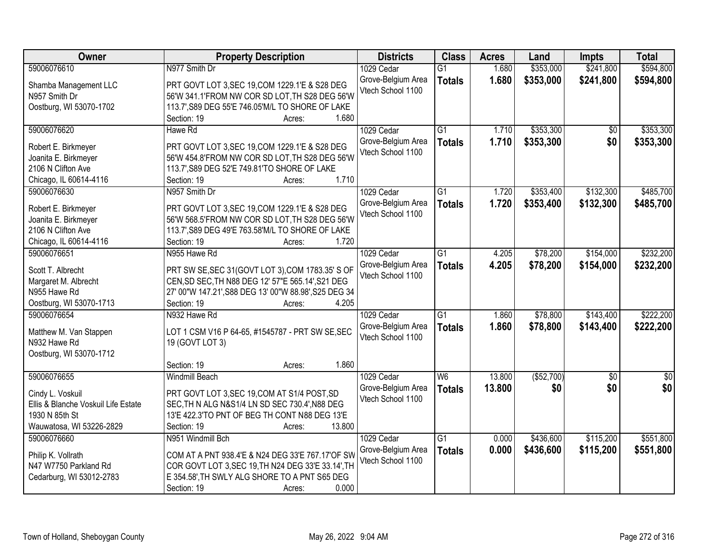| Owner                               | <b>Property Description</b>                            | <b>Districts</b>                        | <b>Class</b>    | <b>Acres</b> | Land        | <b>Impts</b>    | <b>Total</b>    |
|-------------------------------------|--------------------------------------------------------|-----------------------------------------|-----------------|--------------|-------------|-----------------|-----------------|
| 59006076610                         | N977 Smith Dr                                          | 1029 Cedar                              | $\overline{G1}$ | 1.680        | \$353,000   | \$241,800       | \$594,800       |
| Shamba Management LLC               | PRT GOVT LOT 3, SEC 19, COM 1229.1'E & S28 DEG         | Grove-Belgium Area                      | <b>Totals</b>   | 1.680        | \$353,000   | \$241,800       | \$594,800       |
| N957 Smith Dr                       | 56'W 341.1'FROM NW COR SD LOT, TH S28 DEG 56'W         | Vtech School 1100                       |                 |              |             |                 |                 |
| Oostburg, WI 53070-1702             | 113.7', S89 DEG 55'E 746.05'M/L TO SHORE OF LAKE       |                                         |                 |              |             |                 |                 |
|                                     | 1.680<br>Section: 19<br>Acres:                         |                                         |                 |              |             |                 |                 |
| 59006076620                         | Hawe Rd                                                | 1029 Cedar                              | $\overline{G1}$ | 1.710        | \$353,300   | $\overline{50}$ | \$353,300       |
|                                     |                                                        | Grove-Belgium Area                      | <b>Totals</b>   | 1.710        | \$353,300   | \$0             | \$353,300       |
| Robert E. Birkmeyer                 | PRT GOVT LOT 3, SEC 19, COM 1229.1'E & S28 DEG         | Vtech School 1100                       |                 |              |             |                 |                 |
| Joanita E. Birkmeyer                | 56'W 454.8'FROM NW COR SD LOT, TH S28 DEG 56'W         |                                         |                 |              |             |                 |                 |
| 2106 N Clifton Ave                  | 113.7', S89 DEG 52'E 749.81'TO SHORE OF LAKE           |                                         |                 |              |             |                 |                 |
| Chicago, IL 60614-4116              | 1.710<br>Section: 19<br>Acres:                         |                                         |                 |              |             |                 |                 |
| 59006076630                         | N957 Smith Dr                                          | 1029 Cedar                              | $\overline{G1}$ | 1.720        | \$353,400   | \$132,300       | \$485,700       |
| Robert E. Birkmeyer                 | PRT GOVT LOT 3, SEC 19, COM 1229.1'E & S28 DEG         | Grove-Belgium Area                      | <b>Totals</b>   | 1.720        | \$353,400   | \$132,300       | \$485,700       |
| Joanita E. Birkmeyer                | 56'W 568.5'FROM NW COR SD LOT, TH S28 DEG 56'W         | Vtech School 1100                       |                 |              |             |                 |                 |
| 2106 N Clifton Ave                  | 113.7', S89 DEG 49'E 763.58'M/L TO SHORE OF LAKE       |                                         |                 |              |             |                 |                 |
| Chicago, IL 60614-4116              | Section: 19<br>1.720<br>Acres:                         |                                         |                 |              |             |                 |                 |
| 59006076651                         | N955 Hawe Rd                                           | 1029 Cedar                              | $\overline{G1}$ | 4.205        | \$78,200    | \$154,000       | \$232,200       |
|                                     |                                                        |                                         |                 |              |             |                 |                 |
| Scott T. Albrecht                   | PRT SW SE, SEC 31(GOVT LOT 3), COM 1783.35' S OF       | Grove-Belgium Area<br>Vtech School 1100 | <b>Totals</b>   | 4.205        | \$78,200    | \$154,000       | \$232,200       |
| Margaret M. Albrecht                | CEN, SD SEC, TH N88 DEG 12' 57"E 565.14', S21 DEG      |                                         |                 |              |             |                 |                 |
| N955 Hawe Rd                        | 27' 00"W 147.21', S88 DEG 13' 00"W 88.98', S25 DEG 34' |                                         |                 |              |             |                 |                 |
| Oostburg, WI 53070-1713             | 4.205<br>Section: 19<br>Acres:                         |                                         |                 |              |             |                 |                 |
| 59006076654                         | N932 Hawe Rd                                           | 1029 Cedar                              | $\overline{G1}$ | 1.860        | \$78,800    | \$143,400       | \$222,200       |
|                                     |                                                        | Grove-Belgium Area                      | <b>Totals</b>   | 1.860        | \$78,800    | \$143,400       | \$222,200       |
| Matthew M. Van Stappen              | LOT 1 CSM V16 P 64-65, #1545787 - PRT SW SE, SEC       | Vtech School 1100                       |                 |              |             |                 |                 |
| N932 Hawe Rd                        | 19 (GOVT LOT 3)                                        |                                         |                 |              |             |                 |                 |
| Oostburg, WI 53070-1712             |                                                        |                                         |                 |              |             |                 |                 |
|                                     | 1.860<br>Section: 19<br>Acres:                         |                                         |                 |              |             |                 |                 |
| 59006076655                         | Windmill Beach                                         | 1029 Cedar                              | W6              | 13.800       | ( \$52,700) | $\overline{50}$ | $\overline{50}$ |
| Cindy L. Voskuil                    | PRT GOVT LOT 3, SEC 19, COM AT S1/4 POST, SD           | Grove-Belgium Area                      | <b>Totals</b>   | 13.800       | \$0         | \$0             | \$0             |
| Ellis & Blanche Voskuil Life Estate | SEC, TH N ALG N&S1/4 LN SD SEC 730.4', N88 DEG         | Vtech School 1100                       |                 |              |             |                 |                 |
| 1930 N 85th St                      | 13'E 422.3'TO PNT OF BEG TH CONT N88 DEG 13'E          |                                         |                 |              |             |                 |                 |
| Wauwatosa, WI 53226-2829            | Section: 19<br>13.800<br>Acres:                        |                                         |                 |              |             |                 |                 |
| 59006076660                         | N951 Windmill Bch                                      | 1029 Cedar                              | $\overline{G1}$ | 0.000        | \$436,600   | \$115,200       | \$551,800       |
|                                     |                                                        | Grove-Belgium Area                      | <b>Totals</b>   | 0.000        | \$436,600   | \$115,200       | \$551,800       |
| Philip K. Vollrath                  | COM AT A PNT 938.4'E & N24 DEG 33'E 767.17'OF SW       | Vtech School 1100                       |                 |              |             |                 |                 |
| N47 W7750 Parkland Rd               | COR GOVT LOT 3, SEC 19, TH N24 DEG 33'E 33.14', TH     |                                         |                 |              |             |                 |                 |
| Cedarburg, WI 53012-2783            | E 354.58', TH SWLY ALG SHORE TO A PNT S65 DEG          |                                         |                 |              |             |                 |                 |
|                                     | 0.000<br>Section: 19<br>Acres:                         |                                         |                 |              |             |                 |                 |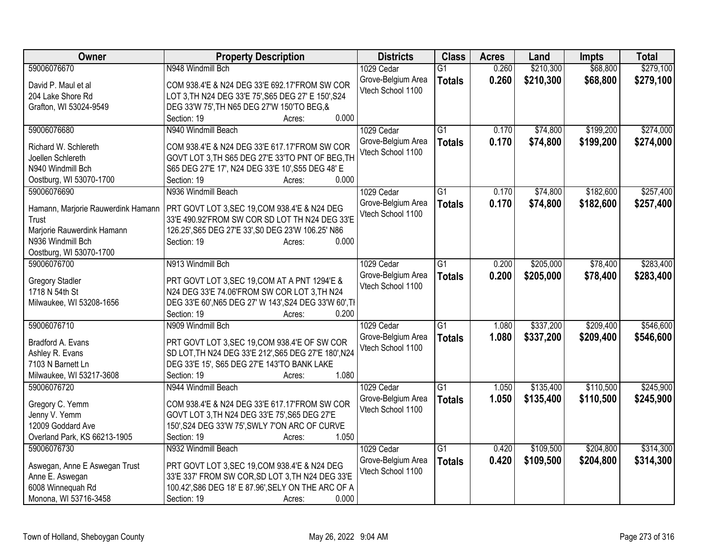| Owner                              | <b>Property Description</b>                            | <b>Districts</b>                        | <b>Class</b>    | <b>Acres</b> | Land      | <b>Impts</b> | <b>Total</b> |
|------------------------------------|--------------------------------------------------------|-----------------------------------------|-----------------|--------------|-----------|--------------|--------------|
| 59006076670                        | N948 Windmill Bch                                      | 1029 Cedar                              | $\overline{G1}$ | 0.260        | \$210,300 | \$68,800     | \$279,100    |
| David P. Maul et al                | COM 938.4'E & N24 DEG 33'E 692.17'FROM SW COR          | Grove-Belgium Area                      | <b>Totals</b>   | 0.260        | \$210,300 | \$68,800     | \$279,100    |
| 204 Lake Shore Rd                  | LOT 3, TH N24 DEG 33'E 75', S65 DEG 27' E 150', S24    | Vtech School 1100                       |                 |              |           |              |              |
| Grafton, WI 53024-9549             | DEG 33'W 75', TH N65 DEG 27'W 150'TO BEG, &            |                                         |                 |              |           |              |              |
|                                    | 0.000<br>Section: 19<br>Acres:                         |                                         |                 |              |           |              |              |
| 59006076680                        | N940 Windmill Beach                                    | 1029 Cedar                              | G1              | 0.170        | \$74,800  | \$199,200    | \$274,000    |
|                                    |                                                        | Grove-Belgium Area                      | <b>Totals</b>   | 0.170        | \$74,800  | \$199,200    | \$274,000    |
| Richard W. Schlereth               | COM 938.4'E & N24 DEG 33'E 617.17'FROM SW COR          | Vtech School 1100                       |                 |              |           |              |              |
| Joellen Schlereth                  | GOVT LOT 3, TH S65 DEG 27'E 33'TO PNT OF BEG, TH       |                                         |                 |              |           |              |              |
| N940 Windmill Bch                  | S65 DEG 27'E 17', N24 DEG 33'E 10', S55 DEG 48' E      |                                         |                 |              |           |              |              |
| Oostburg, WI 53070-1700            | 0.000<br>Section: 19<br>Acres:                         |                                         |                 |              |           |              |              |
| 59006076690                        | N936 Windmill Beach                                    | 1029 Cedar                              | $\overline{G1}$ | 0.170        | \$74,800  | \$182,600    | \$257,400    |
| Hamann, Marjorie Rauwerdink Hamann | PRT GOVT LOT 3, SEC 19, COM 938.4'E & N24 DEG          | Grove-Belgium Area                      | <b>Totals</b>   | 0.170        | \$74,800  | \$182,600    | \$257,400    |
| Trust                              | 33'E 490.92'FROM SW COR SD LOT TH N24 DEG 33'E         | Vtech School 1100                       |                 |              |           |              |              |
| Marjorie Rauwerdink Hamann         | 126.25', S65 DEG 27'E 33', S0 DEG 23'W 106.25' N86     |                                         |                 |              |           |              |              |
| N936 Windmill Bch                  | 0.000<br>Section: 19<br>Acres:                         |                                         |                 |              |           |              |              |
| Oostburg, WI 53070-1700            |                                                        |                                         |                 |              |           |              |              |
| 59006076700                        | N913 Windmill Bch                                      | 1029 Cedar                              | $\overline{G1}$ | 0.200        | \$205,000 | \$78,400     | \$283,400    |
|                                    |                                                        | Grove-Belgium Area                      | <b>Totals</b>   | 0.200        | \$205,000 | \$78,400     | \$283,400    |
| <b>Gregory Stadler</b>             | PRT GOVT LOT 3, SEC 19, COM AT A PNT 1294'E &          | Vtech School 1100                       |                 |              |           |              |              |
| 1718 N 54th St                     | N24 DEG 33'E 74.06'FROM SW COR LOT 3, TH N24           |                                         |                 |              |           |              |              |
| Milwaukee, WI 53208-1656           | DEG 33'E 60', N65 DEG 27' W 143', S24 DEG 33'W 60', TI |                                         |                 |              |           |              |              |
|                                    | 0.200<br>Section: 19<br>Acres:                         |                                         |                 |              |           |              |              |
| 59006076710                        | N909 Windmill Bch                                      | 1029 Cedar                              | $\overline{G1}$ | 1.080        | \$337,200 | \$209,400    | \$546,600    |
| Bradford A. Evans                  | PRT GOVT LOT 3, SEC 19, COM 938.4'E OF SW COR          | Grove-Belgium Area                      | <b>Totals</b>   | 1.080        | \$337,200 | \$209,400    | \$546,600    |
| Ashley R. Evans                    | SD LOT, TH N24 DEG 33'E 212', S65 DEG 27'E 180', N24   | Vtech School 1100                       |                 |              |           |              |              |
| 7103 N Barnett Ln                  | DEG 33'E 15', S65 DEG 27'E 143'TO BANK LAKE            |                                         |                 |              |           |              |              |
| Milwaukee, WI 53217-3608           | 1.080<br>Section: 19<br>Acres:                         |                                         |                 |              |           |              |              |
| 59006076720                        | N944 Windmill Beach                                    | 1029 Cedar                              | $\overline{G1}$ | 1.050        | \$135,400 | \$110,500    | \$245,900    |
|                                    |                                                        |                                         |                 |              |           |              |              |
| Gregory C. Yemm                    | COM 938.4'E & N24 DEG 33'E 617.17'FROM SW COR          | Grove-Belgium Area<br>Vtech School 1100 | <b>Totals</b>   | 1.050        | \$135,400 | \$110,500    | \$245,900    |
| Jenny V. Yemm                      | GOVT LOT 3, TH N24 DEG 33'E 75', S65 DEG 27'E          |                                         |                 |              |           |              |              |
| 12009 Goddard Ave                  | 150', S24 DEG 33'W 75', SWLY 7'ON ARC OF CURVE         |                                         |                 |              |           |              |              |
| Overland Park, KS 66213-1905       | 1.050<br>Section: 19<br>Acres:                         |                                         |                 |              |           |              |              |
| 59006076730                        | N932 Windmill Beach                                    | 1029 Cedar                              | $\overline{G1}$ | 0.420        | \$109,500 | \$204,800    | \$314,300    |
|                                    |                                                        | Grove-Belgium Area                      | <b>Totals</b>   | 0.420        | \$109,500 | \$204,800    | \$314,300    |
| Aswegan, Anne E Aswegan Trust      | PRT GOVT LOT 3, SEC 19, COM 938.4'E & N24 DEG          | Vtech School 1100                       |                 |              |           |              |              |
| Anne E. Aswegan                    | 33'E 337' FROM SW COR, SD LOT 3, TH N24 DEG 33'E       |                                         |                 |              |           |              |              |
| 6008 Winnequah Rd                  | 100.42', S86 DEG 18' E 87.96', SELY ON THE ARC OF A    |                                         |                 |              |           |              |              |
| Monona, WI 53716-3458              | Section: 19<br>0.000<br>Acres:                         |                                         |                 |              |           |              |              |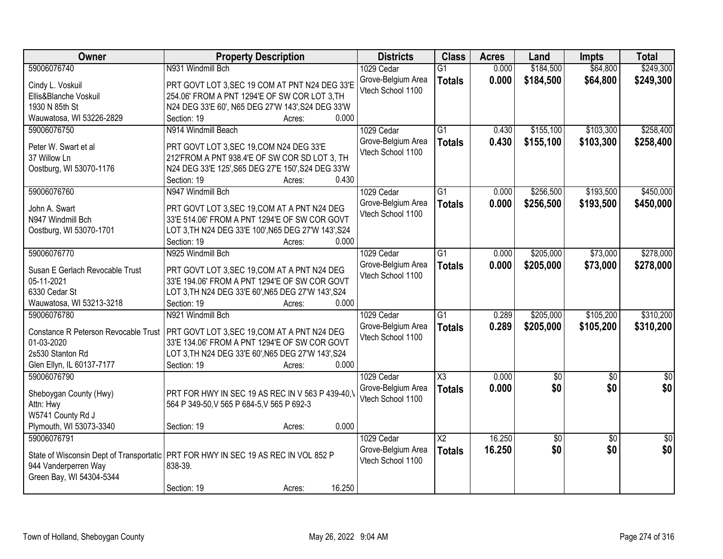| Owner                                | <b>Property Description</b>                                                        | <b>Districts</b>   | <b>Class</b>           | <b>Acres</b> | Land        | <b>Impts</b>    | <b>Total</b>    |
|--------------------------------------|------------------------------------------------------------------------------------|--------------------|------------------------|--------------|-------------|-----------------|-----------------|
| 59006076740                          | N931 Windmill Bch                                                                  | 1029 Cedar         | $\overline{G1}$        | 0.000        | \$184,500   | \$64,800        | \$249,300       |
| Cindy L. Voskuil                     | PRT GOVT LOT 3, SEC 19 COM AT PNT N24 DEG 33'E                                     | Grove-Belgium Area | <b>Totals</b>          | 0.000        | \$184,500   | \$64,800        | \$249,300       |
| Ellis&Blanche Voskuil                | 254.06' FROM A PNT 1294'E OF SW COR LOT 3, TH                                      | Vtech School 1100  |                        |              |             |                 |                 |
| 1930 N 85th St                       | N24 DEG 33'E 60', N65 DEG 27'W 143', S24 DEG 33'W                                  |                    |                        |              |             |                 |                 |
| Wauwatosa, WI 53226-2829             | 0.000<br>Section: 19<br>Acres:                                                     |                    |                        |              |             |                 |                 |
| 59006076750                          | N914 Windmill Beach                                                                | 1029 Cedar         | $\overline{G1}$        | 0.430        | \$155,100   | \$103,300       | \$258,400       |
|                                      |                                                                                    | Grove-Belgium Area | <b>Totals</b>          | 0.430        | \$155,100   | \$103,300       | \$258,400       |
| Peter W. Swart et al                 | PRT GOVT LOT 3, SEC 19, COM N24 DEG 33'E                                           | Vtech School 1100  |                        |              |             |                 |                 |
| 37 Willow Ln                         | 212'FROM A PNT 938.4'E OF SW COR SD LOT 3, TH                                      |                    |                        |              |             |                 |                 |
| Oostburg, WI 53070-1176              | N24 DEG 33'E 125', S65 DEG 27'E 150', S24 DEG 33'W                                 |                    |                        |              |             |                 |                 |
|                                      | 0.430<br>Section: 19<br>Acres:                                                     |                    |                        |              |             |                 |                 |
| 59006076760                          | N947 Windmill Bch                                                                  | 1029 Cedar         | $\overline{G1}$        | 0.000        | \$256,500   | \$193,500       | \$450,000       |
| John A. Swart                        | PRT GOVT LOT 3, SEC 19, COM AT A PNT N24 DEG                                       | Grove-Belgium Area | <b>Totals</b>          | 0.000        | \$256,500   | \$193,500       | \$450,000       |
| N947 Windmill Bch                    | 33'E 514.06' FROM A PNT 1294'E OF SW COR GOVT                                      | Vtech School 1100  |                        |              |             |                 |                 |
| Oostburg, WI 53070-1701              | LOT 3, TH N24 DEG 33'E 100', N65 DEG 27'W 143', S24                                |                    |                        |              |             |                 |                 |
|                                      | Section: 19<br>0.000<br>Acres:                                                     |                    |                        |              |             |                 |                 |
| 59006076770                          | N925 Windmill Bch                                                                  | 1029 Cedar         | G1                     | 0.000        | \$205,000   | \$73,000        | \$278,000       |
|                                      |                                                                                    | Grove-Belgium Area | <b>Totals</b>          | 0.000        | \$205,000   | \$73,000        | \$278,000       |
| Susan E Gerlach Revocable Trust      | PRT GOVT LOT 3, SEC 19, COM AT A PNT N24 DEG                                       | Vtech School 1100  |                        |              |             |                 |                 |
| 05-11-2021                           | 33'E 194.06' FROM A PNT 1294'E OF SW COR GOVT                                      |                    |                        |              |             |                 |                 |
| 6330 Cedar St                        | LOT 3, TH N24 DEG 33'E 60', N65 DEG 27'W 143', S24                                 |                    |                        |              |             |                 |                 |
| Wauwatosa, WI 53213-3218             | Section: 19<br>0.000<br>Acres:                                                     |                    |                        |              |             |                 |                 |
| 59006076780                          | N921 Windmill Bch                                                                  | 1029 Cedar         | $\overline{G1}$        | 0.289        | \$205,000   | \$105,200       | \$310,200       |
| Constance R Peterson Revocable Trust | PRT GOVT LOT 3, SEC 19, COM AT A PNT N24 DEG                                       | Grove-Belgium Area | <b>Totals</b>          | 0.289        | \$205,000   | \$105,200       | \$310,200       |
| 01-03-2020                           | 33'E 134.06' FROM A PNT 1294'E OF SW COR GOVT                                      | Vtech School 1100  |                        |              |             |                 |                 |
| 2s530 Stanton Rd                     | LOT 3, TH N24 DEG 33'E 60', N65 DEG 27'W 143', S24                                 |                    |                        |              |             |                 |                 |
| Glen Ellyn, IL 60137-7177            | Section: 19<br>0.000<br>Acres:                                                     |                    |                        |              |             |                 |                 |
| 59006076790                          |                                                                                    | 1029 Cedar         | X3                     | 0.000        | $\sqrt{50}$ | $\sqrt{6}$      | $\frac{6}{3}$   |
|                                      |                                                                                    | Grove-Belgium Area | <b>Totals</b>          | 0.000        | \$0         | \$0             | \$0             |
| Sheboygan County (Hwy)               | PRT FOR HWY IN SEC 19 AS REC IN V 563 P 439-40.                                    | Vtech School 1100  |                        |              |             |                 |                 |
| Attn: Hwy                            | 564 P 349-50, V 565 P 684-5, V 565 P 692-3                                         |                    |                        |              |             |                 |                 |
| W5741 County Rd J                    |                                                                                    |                    |                        |              |             |                 |                 |
| Plymouth, WI 53073-3340              | 0.000<br>Section: 19<br>Acres:                                                     |                    |                        |              |             |                 |                 |
| 59006076791                          |                                                                                    | 1029 Cedar         | $\overline{\text{X2}}$ | 16.250       | $\sqrt{50}$ | $\overline{50}$ | $\overline{50}$ |
|                                      | State of Wisconsin Dept of Transportatic PRT FOR HWY IN SEC 19 AS REC IN VOL 852 P | Grove-Belgium Area | <b>Totals</b>          | 16.250       | \$0         | \$0             | \$0             |
| 944 Vanderperren Way                 | 838-39.                                                                            | Vtech School 1100  |                        |              |             |                 |                 |
| Green Bay, WI 54304-5344             |                                                                                    |                    |                        |              |             |                 |                 |
|                                      | 16.250<br>Section: 19<br>Acres:                                                    |                    |                        |              |             |                 |                 |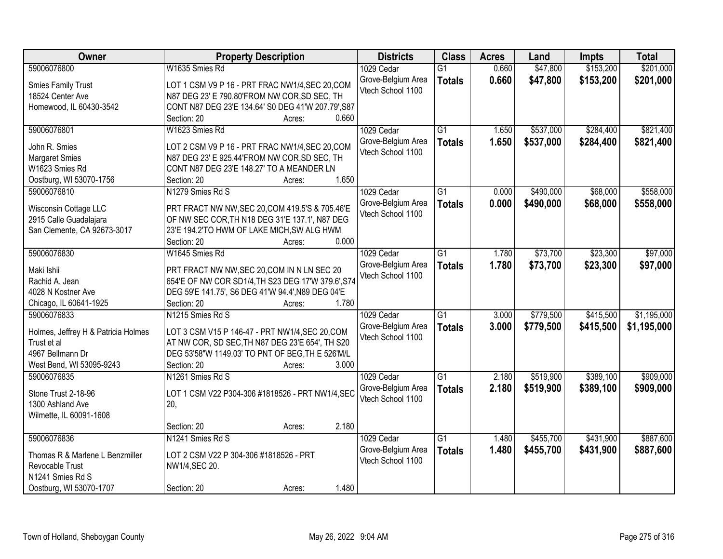| Owner                               | <b>Property Description</b>                                                                             | <b>Districts</b>   | <b>Class</b>    | <b>Acres</b> | Land      | <b>Impts</b> | <b>Total</b> |
|-------------------------------------|---------------------------------------------------------------------------------------------------------|--------------------|-----------------|--------------|-----------|--------------|--------------|
| 59006076800                         | W1635 Smies Rd                                                                                          | 1029 Cedar         | $\overline{G1}$ | 0.660        | \$47,800  | \$153,200    | \$201,000    |
| <b>Smies Family Trust</b>           | LOT 1 CSM V9 P 16 - PRT FRAC NW1/4, SEC 20, COM                                                         | Grove-Belgium Area | <b>Totals</b>   | 0.660        | \$47,800  | \$153,200    | \$201,000    |
| 18524 Center Ave                    | N87 DEG 23' E 790.80'FROM NW COR, SD SEC, TH                                                            | Vtech School 1100  |                 |              |           |              |              |
| Homewood, IL 60430-3542             | CONT N87 DEG 23'E 134.64' S0 DEG 41'W 207.79', S87                                                      |                    |                 |              |           |              |              |
|                                     | 0.660<br>Section: 20<br>Acres:                                                                          |                    |                 |              |           |              |              |
| 59006076801                         | W1623 Smies Rd                                                                                          | 1029 Cedar         | $\overline{G1}$ | 1.650        | \$537,000 | \$284,400    | \$821,400    |
|                                     |                                                                                                         | Grove-Belgium Area | <b>Totals</b>   | 1.650        | \$537,000 | \$284,400    | \$821,400    |
| John R. Smies                       | LOT 2 CSM V9 P 16 - PRT FRAC NW1/4, SEC 20, COM                                                         | Vtech School 1100  |                 |              |           |              |              |
| <b>Margaret Smies</b>               | N87 DEG 23' E 925.44'FROM NW COR, SD SEC, TH                                                            |                    |                 |              |           |              |              |
| W1623 Smies Rd                      | CONT N87 DEG 23'E 148.27' TO A MEANDER LN                                                               |                    |                 |              |           |              |              |
| Oostburg, WI 53070-1756             | 1.650<br>Section: 20<br>Acres:                                                                          |                    |                 |              |           |              |              |
| 59006076810                         | N1279 Smies Rd S                                                                                        | 1029 Cedar         | G1              | 0.000        | \$490,000 | \$68,000     | \$558,000    |
| Wisconsin Cottage LLC               | PRT FRACT NW NW, SEC 20, COM 419.5'S & 705.46'E                                                         | Grove-Belgium Area | <b>Totals</b>   | 0.000        | \$490,000 | \$68,000     | \$558,000    |
| 2915 Calle Guadalajara              | OF NW SEC COR, TH N18 DEG 31'E 137.1', N87 DEG                                                          | Vtech School 1100  |                 |              |           |              |              |
| San Clemente, CA 92673-3017         | 23'E 194.2'TO HWM OF LAKE MICH, SW ALG HWM                                                              |                    |                 |              |           |              |              |
|                                     | 0.000<br>Section: 20<br>Acres:                                                                          |                    |                 |              |           |              |              |
| 59006076830                         | W1645 Smies Rd                                                                                          | 1029 Cedar         | $\overline{G1}$ | 1.780        | \$73,700  | \$23,300     | \$97,000     |
|                                     |                                                                                                         | Grove-Belgium Area | <b>Totals</b>   | 1.780        | \$73,700  | \$23,300     | \$97,000     |
| Maki Ishii<br>Rachid A. Jean        | PRT FRACT NW NW, SEC 20, COM IN N LN SEC 20                                                             | Vtech School 1100  |                 |              |           |              |              |
| 4028 N Kostner Ave                  | 654'E OF NW COR SD1/4, TH S23 DEG 17'W 379.6', S74<br>DEG 59'E 141.75', S6 DEG 41'W 94.4', N89 DEG 04'E |                    |                 |              |           |              |              |
| Chicago, IL 60641-1925              | 1.780<br>Section: 20                                                                                    |                    |                 |              |           |              |              |
| 59006076833                         | Acres:<br>N1215 Smies Rd S                                                                              | 1029 Cedar         | $\overline{G1}$ | 3.000        | \$779,500 | \$415,500    | \$1,195,000  |
|                                     |                                                                                                         | Grove-Belgium Area |                 |              |           |              |              |
| Holmes, Jeffrey H & Patricia Holmes | LOT 3 CSM V15 P 146-47 - PRT NW1/4, SEC 20, COM                                                         | Vtech School 1100  | <b>Totals</b>   | 3.000        | \$779,500 | \$415,500    | \$1,195,000  |
| Trust et al                         | AT NW COR, SD SEC, TH N87 DEG 23'E 654', TH S20                                                         |                    |                 |              |           |              |              |
| 4967 Bellmann Dr                    | DEG 53'58"W 1149.03' TO PNT OF BEG. TH E 526'M/L                                                        |                    |                 |              |           |              |              |
| West Bend, WI 53095-9243            | Section: 20<br>3.000<br>Acres:                                                                          |                    |                 |              |           |              |              |
| 59006076835                         | N1261 Smies Rd S                                                                                        | 1029 Cedar         | $\overline{G1}$ | 2.180        | \$519,900 | \$389,100    | \$909,000    |
| Stone Trust 2-18-96                 | LOT 1 CSM V22 P304-306 #1818526 - PRT NW1/4, SEC                                                        | Grove-Belgium Area | <b>Totals</b>   | 2.180        | \$519,900 | \$389,100    | \$909,000    |
| 1300 Ashland Ave                    | 20,                                                                                                     | Vtech School 1100  |                 |              |           |              |              |
| Wilmette, IL 60091-1608             |                                                                                                         |                    |                 |              |           |              |              |
|                                     | 2.180<br>Section: 20<br>Acres:                                                                          |                    |                 |              |           |              |              |
| 59006076836                         | N1241 Smies Rd S                                                                                        | 1029 Cedar         | $\overline{G1}$ | 1.480        | \$455,700 | \$431,900    | \$887,600    |
|                                     |                                                                                                         | Grove-Belgium Area | <b>Totals</b>   | 1.480        | \$455,700 | \$431,900    | \$887,600    |
| Thomas R & Marlene L Benzmiller     | LOT 2 CSM V22 P 304-306 #1818526 - PRT                                                                  | Vtech School 1100  |                 |              |           |              |              |
| Revocable Trust                     | NW1/4, SEC 20.                                                                                          |                    |                 |              |           |              |              |
| N1241 Smies Rd S                    |                                                                                                         |                    |                 |              |           |              |              |
| Oostburg, WI 53070-1707             | 1.480<br>Section: 20<br>Acres:                                                                          |                    |                 |              |           |              |              |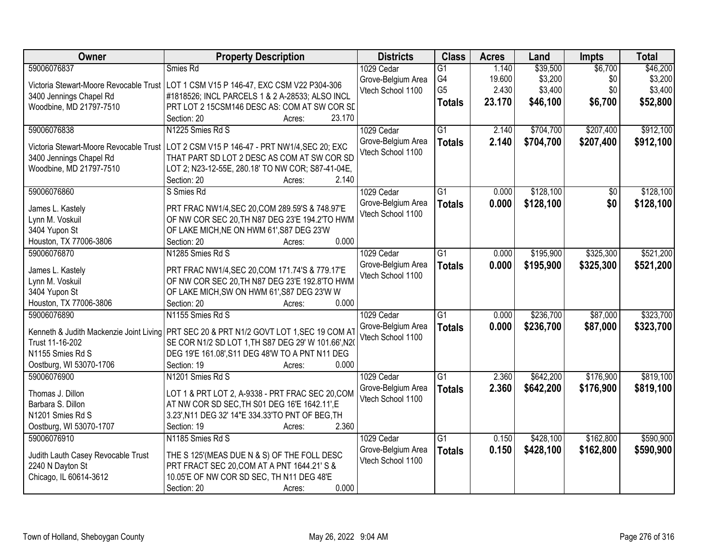| Owner                                   | <b>Property Description</b>                                                                       | <b>Districts</b>                        | <b>Class</b>    | <b>Acres</b> | Land      | <b>Impts</b>    | <b>Total</b> |
|-----------------------------------------|---------------------------------------------------------------------------------------------------|-----------------------------------------|-----------------|--------------|-----------|-----------------|--------------|
| 59006076837                             | Smies Rd                                                                                          | 1029 Cedar                              | $\overline{G1}$ | 1.140        | \$39,500  | \$6,700         | \$46,200     |
|                                         | Victoria Stewart-Moore Revocable Trust   LOT 1 CSM V15 P 146-47, EXC CSM V22 P304-306             | Grove-Belgium Area                      | G4              | 19.600       | \$3,200   | \$0             | \$3,200      |
| 3400 Jennings Chapel Rd                 | #1818526; INCL PARCELS 1 & 2 A-28533; ALSO INCL                                                   | Vtech School 1100                       | G <sub>5</sub>  | 2.430        | \$3,400   | \$0             | \$3,400      |
| Woodbine, MD 21797-7510                 | PRT LOT 2 15CSM146 DESC AS: COM AT SW COR SE                                                      |                                         | <b>Totals</b>   | 23.170       | \$46,100  | \$6,700         | \$52,800     |
|                                         | 23.170<br>Section: 20<br>Acres:                                                                   |                                         |                 |              |           |                 |              |
| 59006076838                             | N1225 Smies Rd S                                                                                  | 1029 Cedar                              | $\overline{G1}$ | 2.140        | \$704,700 | \$207,400       | \$912,100    |
|                                         |                                                                                                   | Grove-Belgium Area                      | <b>Totals</b>   | 2.140        | \$704,700 | \$207,400       | \$912,100    |
| Victoria Stewart-Moore Revocable Trust  | LOT 2 CSM V15 P 146-47 - PRT NW1/4, SEC 20; EXC                                                   | Vtech School 1100                       |                 |              |           |                 |              |
| 3400 Jennings Chapel Rd                 | THAT PART SD LOT 2 DESC AS COM AT SW COR SD                                                       |                                         |                 |              |           |                 |              |
| Woodbine, MD 21797-7510                 | LOT 2; N23-12-55E, 280.18' TO NW COR; S87-41-04E,<br>2.140                                        |                                         |                 |              |           |                 |              |
|                                         | Section: 20<br>Acres:                                                                             |                                         |                 |              |           |                 |              |
| 59006076860                             | S Smies Rd                                                                                        | 1029 Cedar                              | $\overline{G1}$ | 0.000        | \$128,100 | $\overline{50}$ | \$128,100    |
| James L. Kastely                        | PRT FRAC NW1/4, SEC 20, COM 289.59'S & 748.97'E                                                   | Grove-Belgium Area<br>Vtech School 1100 | <b>Totals</b>   | 0.000        | \$128,100 | \$0             | \$128,100    |
| Lynn M. Voskuil                         | OF NW COR SEC 20, TH N87 DEG 23'E 194.2'TO HWM                                                    |                                         |                 |              |           |                 |              |
| 3404 Yupon St                           | OF LAKE MICH, NE ON HWM 61', S87 DEG 23'W                                                         |                                         |                 |              |           |                 |              |
| Houston, TX 77006-3806                  | 0.000<br>Section: 20<br>Acres:                                                                    |                                         |                 |              |           |                 |              |
| 59006076870                             | N1285 Smies Rd S                                                                                  | 1029 Cedar                              | $\overline{G1}$ | 0.000        | \$195,900 | \$325,300       | \$521,200    |
|                                         |                                                                                                   | Grove-Belgium Area                      | <b>Totals</b>   | 0.000        | \$195,900 | \$325,300       | \$521,200    |
| James L. Kastely<br>Lynn M. Voskuil     | PRT FRAC NW1/4, SEC 20, COM 171.74'S & 779.17'E<br>OF NW COR SEC 20, TH N87 DEG 23'E 192.8'TO HWM | Vtech School 1100                       |                 |              |           |                 |              |
| 3404 Yupon St                           | OF LAKE MICH, SW ON HWM 61', S87 DEG 23'W W                                                       |                                         |                 |              |           |                 |              |
| Houston, TX 77006-3806                  | 0.000<br>Section: 20<br>Acres:                                                                    |                                         |                 |              |           |                 |              |
| 59006076890                             | N1155 Smies Rd S                                                                                  | 1029 Cedar                              | $\overline{G1}$ | 0.000        | \$236,700 | \$87,000        | \$323,700    |
|                                         |                                                                                                   |                                         |                 |              |           |                 |              |
| Kenneth & Judith Mackenzie Joint Living | PRT SEC 20 & PRT N1/2 GOVT LOT 1, SEC 19 COM AT                                                   | Grove-Belgium Area<br>Vtech School 1100 | <b>Totals</b>   | 0.000        | \$236,700 | \$87,000        | \$323,700    |
| Trust 11-16-202                         | SE COR N1/2 SD LOT 1, TH S87 DEG 29' W 101.66', N20                                               |                                         |                 |              |           |                 |              |
| N1155 Smies Rd S                        | DEG 19'E 161.08', S11 DEG 48'W TO A PNT N11 DEG                                                   |                                         |                 |              |           |                 |              |
| Oostburg, WI 53070-1706                 | 0.000<br>Section: 19<br>Acres:                                                                    |                                         |                 |              |           |                 |              |
| 59006076900                             | N1201 Smies Rd S                                                                                  | 1029 Cedar                              | $\overline{G1}$ | 2.360        | \$642,200 | \$176,900       | \$819,100    |
| Thomas J. Dillon                        | LOT 1 & PRT LOT 2, A-9338 - PRT FRAC SEC 20, COM                                                  | Grove-Belgium Area                      | <b>Totals</b>   | 2.360        | \$642,200 | \$176,900       | \$819,100    |
| Barbara S. Dillon                       | AT NW COR SD SEC, TH S01 DEG 16'E 1642.11', E                                                     | Vtech School 1100                       |                 |              |           |                 |              |
| N1201 Smies Rd S                        | 3.23', N11 DEG 32' 14"E 334.33'TO PNT OF BEG, TH                                                  |                                         |                 |              |           |                 |              |
| Oostburg, WI 53070-1707                 | 2.360<br>Section: 19<br>Acres:                                                                    |                                         |                 |              |           |                 |              |
| 59006076910                             | N1185 Smies Rd S                                                                                  | 1029 Cedar                              | G1              | 0.150        | \$428,100 | \$162,800       | \$590,900    |
|                                         |                                                                                                   | Grove-Belgium Area                      | <b>Totals</b>   | 0.150        | \$428,100 | \$162,800       | \$590,900    |
| Judith Lauth Casey Revocable Trust      | THE S 125' (MEAS DUE N & S) OF THE FOLL DESC                                                      | Vtech School 1100                       |                 |              |           |                 |              |
| 2240 N Dayton St                        | PRT FRACT SEC 20, COM AT A PNT 1644.21' S &                                                       |                                         |                 |              |           |                 |              |
| Chicago, IL 60614-3612                  | 10.05'E OF NW COR SD SEC, TH N11 DEG 48'E                                                         |                                         |                 |              |           |                 |              |
|                                         | 0.000<br>Section: 20<br>Acres:                                                                    |                                         |                 |              |           |                 |              |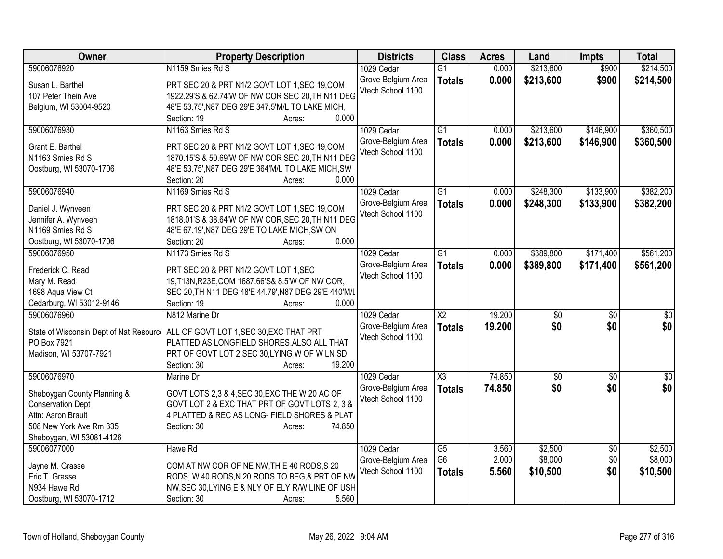| N1159 Smies Rd S<br>\$213,600<br>\$214,500<br>59006076920<br>0.000<br>\$900<br>1029 Cedar<br>$\overline{G1}$<br>Grove-Belgium Area<br>0.000<br>\$213,600<br>\$900<br>\$214,500<br><b>Totals</b><br>PRT SEC 20 & PRT N1/2 GOVT LOT 1, SEC 19, COM<br>Susan L. Barthel<br>Vtech School 1100<br>1922.29'S & 62.74'W OF NW COR SEC 20, TH N11 DEG<br>107 Peter Thein Ave<br>48'E 53.75', N87 DEG 29'E 347.5'M/L TO LAKE MICH,<br>Belgium, WI 53004-9520<br>0.000<br>Section: 19<br>Acres:<br>59006076930<br>N1163 Smies Rd S<br>$\overline{G1}$<br>\$213,600<br>\$146,900<br>1029 Cedar<br>0.000<br>0.000<br>\$213,600<br>\$146,900<br>Grove-Belgium Area<br><b>Totals</b><br>Grant E. Barthel<br>PRT SEC 20 & PRT N1/2 GOVT LOT 1, SEC 19, COM<br>Vtech School 1100<br>1870.15'S & 50.69'W OF NW COR SEC 20, TH N11 DEG<br>N1163 Smies Rd S<br>48'E 53.75', N87 DEG 29'E 364'M/L TO LAKE MICH, SW<br>Oostburg, WI 53070-1706<br>0.000<br>Section: 20<br>Acres:<br>59006076940<br>\$248,300<br>\$133,900<br>N1169 Smies Rd S<br>1029 Cedar<br>$\overline{G1}$<br>0.000<br>0.000<br>Grove-Belgium Area<br>\$248,300<br>\$133,900<br><b>Totals</b><br>PRT SEC 20 & PRT N1/2 GOVT LOT 1, SEC 19, COM<br>Daniel J. Wynveen<br>Vtech School 1100<br>Jennifer A. Wynveen<br>1818.01'S & 38.64'W OF NW COR, SEC 20, TH N11 DEG<br>N1169 Smies Rd S<br>48'E 67.19', N87 DEG 29'E TO LAKE MICH, SW ON<br>0.000<br>Oostburg, WI 53070-1706<br>Section: 20<br>Acres:<br>59006076950<br>N1173 Smies Rd S<br>$\overline{G1}$<br>\$389,800<br>\$171,400<br>1029 Cedar<br>0.000<br>Grove-Belgium Area<br>0.000<br>\$389,800<br>\$171,400<br><b>Totals</b><br>PRT SEC 20 & PRT N1/2 GOVT LOT 1,SEC<br>Frederick C. Read<br>Vtech School 1100<br>19, T13N, R23E, COM 1687.66'S& 8.5'W OF NW COR,<br>Mary M. Read<br>SEC 20, TH N11 DEG 48'E 44.79', N87 DEG 29'E 440'M/L<br>1698 Aqua View Ct<br>Cedarburg, WI 53012-9146<br>0.000<br>Section: 19<br>Acres:<br>59006076960<br>N812 Marine Dr<br>$\overline{\text{X2}}$<br>19.200<br>\$0<br>$\overline{50}$<br>1029 Cedar<br>\$0<br>19.200<br>\$0<br>Grove-Belgium Area<br><b>Totals</b><br>ALL OF GOVT LOT 1, SEC 30, EXC THAT PRT<br>State of Wisconsin Dept of Nat Resource<br>Vtech School 1100<br>PO Box 7921<br>PLATTED AS LONGFIELD SHORES, ALSO ALL THAT<br>Madison, WI 53707-7921<br>PRT OF GOVT LOT 2, SEC 30, LYING W OF W LN SD<br>19.200<br>Section: 30<br>Acres:<br>59006076970<br>$\overline{\text{X3}}$<br>74.850<br>1029 Cedar<br>$\overline{50}$<br>$\overline{50}$<br>Marine Dr<br>\$0<br>74.850<br>\$0<br>Grove-Belgium Area<br><b>Totals</b><br>GOVT LOTS 2,3 & 4, SEC 30, EXC THE W 20 AC OF<br>Sheboygan County Planning &<br>Vtech School 1100<br>GOVT LOT 2 & EXC THAT PRT OF GOVT LOTS 2, 3 &<br><b>Conservation Dept</b> | <b>Owner</b>            | <b>Property Description</b>                  | <b>Districts</b> | <b>Class</b> | <b>Acres</b> | Land | <b>Impts</b> | <b>Total</b> |
|-------------------------------------------------------------------------------------------------------------------------------------------------------------------------------------------------------------------------------------------------------------------------------------------------------------------------------------------------------------------------------------------------------------------------------------------------------------------------------------------------------------------------------------------------------------------------------------------------------------------------------------------------------------------------------------------------------------------------------------------------------------------------------------------------------------------------------------------------------------------------------------------------------------------------------------------------------------------------------------------------------------------------------------------------------------------------------------------------------------------------------------------------------------------------------------------------------------------------------------------------------------------------------------------------------------------------------------------------------------------------------------------------------------------------------------------------------------------------------------------------------------------------------------------------------------------------------------------------------------------------------------------------------------------------------------------------------------------------------------------------------------------------------------------------------------------------------------------------------------------------------------------------------------------------------------------------------------------------------------------------------------------------------------------------------------------------------------------------------------------------------------------------------------------------------------------------------------------------------------------------------------------------------------------------------------------------------------------------------------------------------------------------------------------------------------------------------------------------------------------------------------------------------------------------------------------------------------------------------------------------------------------------------------------------------------------------------------------------------------------------------------------------------|-------------------------|----------------------------------------------|------------------|--------------|--------------|------|--------------|--------------|
|                                                                                                                                                                                                                                                                                                                                                                                                                                                                                                                                                                                                                                                                                                                                                                                                                                                                                                                                                                                                                                                                                                                                                                                                                                                                                                                                                                                                                                                                                                                                                                                                                                                                                                                                                                                                                                                                                                                                                                                                                                                                                                                                                                                                                                                                                                                                                                                                                                                                                                                                                                                                                                                                                                                                                                               |                         |                                              |                  |              |              |      |              |              |
|                                                                                                                                                                                                                                                                                                                                                                                                                                                                                                                                                                                                                                                                                                                                                                                                                                                                                                                                                                                                                                                                                                                                                                                                                                                                                                                                                                                                                                                                                                                                                                                                                                                                                                                                                                                                                                                                                                                                                                                                                                                                                                                                                                                                                                                                                                                                                                                                                                                                                                                                                                                                                                                                                                                                                                               |                         |                                              |                  |              |              |      |              |              |
| \$360,500<br>\$360,500<br>\$382,200<br>\$382,200<br>\$561,200<br>\$561,200<br>\$0<br>\$0<br>$\overline{50}$<br>\$0                                                                                                                                                                                                                                                                                                                                                                                                                                                                                                                                                                                                                                                                                                                                                                                                                                                                                                                                                                                                                                                                                                                                                                                                                                                                                                                                                                                                                                                                                                                                                                                                                                                                                                                                                                                                                                                                                                                                                                                                                                                                                                                                                                                                                                                                                                                                                                                                                                                                                                                                                                                                                                                            |                         |                                              |                  |              |              |      |              |              |
|                                                                                                                                                                                                                                                                                                                                                                                                                                                                                                                                                                                                                                                                                                                                                                                                                                                                                                                                                                                                                                                                                                                                                                                                                                                                                                                                                                                                                                                                                                                                                                                                                                                                                                                                                                                                                                                                                                                                                                                                                                                                                                                                                                                                                                                                                                                                                                                                                                                                                                                                                                                                                                                                                                                                                                               |                         |                                              |                  |              |              |      |              |              |
|                                                                                                                                                                                                                                                                                                                                                                                                                                                                                                                                                                                                                                                                                                                                                                                                                                                                                                                                                                                                                                                                                                                                                                                                                                                                                                                                                                                                                                                                                                                                                                                                                                                                                                                                                                                                                                                                                                                                                                                                                                                                                                                                                                                                                                                                                                                                                                                                                                                                                                                                                                                                                                                                                                                                                                               |                         |                                              |                  |              |              |      |              |              |
|                                                                                                                                                                                                                                                                                                                                                                                                                                                                                                                                                                                                                                                                                                                                                                                                                                                                                                                                                                                                                                                                                                                                                                                                                                                                                                                                                                                                                                                                                                                                                                                                                                                                                                                                                                                                                                                                                                                                                                                                                                                                                                                                                                                                                                                                                                                                                                                                                                                                                                                                                                                                                                                                                                                                                                               |                         |                                              |                  |              |              |      |              |              |
|                                                                                                                                                                                                                                                                                                                                                                                                                                                                                                                                                                                                                                                                                                                                                                                                                                                                                                                                                                                                                                                                                                                                                                                                                                                                                                                                                                                                                                                                                                                                                                                                                                                                                                                                                                                                                                                                                                                                                                                                                                                                                                                                                                                                                                                                                                                                                                                                                                                                                                                                                                                                                                                                                                                                                                               |                         |                                              |                  |              |              |      |              |              |
|                                                                                                                                                                                                                                                                                                                                                                                                                                                                                                                                                                                                                                                                                                                                                                                                                                                                                                                                                                                                                                                                                                                                                                                                                                                                                                                                                                                                                                                                                                                                                                                                                                                                                                                                                                                                                                                                                                                                                                                                                                                                                                                                                                                                                                                                                                                                                                                                                                                                                                                                                                                                                                                                                                                                                                               |                         |                                              |                  |              |              |      |              |              |
|                                                                                                                                                                                                                                                                                                                                                                                                                                                                                                                                                                                                                                                                                                                                                                                                                                                                                                                                                                                                                                                                                                                                                                                                                                                                                                                                                                                                                                                                                                                                                                                                                                                                                                                                                                                                                                                                                                                                                                                                                                                                                                                                                                                                                                                                                                                                                                                                                                                                                                                                                                                                                                                                                                                                                                               |                         |                                              |                  |              |              |      |              |              |
|                                                                                                                                                                                                                                                                                                                                                                                                                                                                                                                                                                                                                                                                                                                                                                                                                                                                                                                                                                                                                                                                                                                                                                                                                                                                                                                                                                                                                                                                                                                                                                                                                                                                                                                                                                                                                                                                                                                                                                                                                                                                                                                                                                                                                                                                                                                                                                                                                                                                                                                                                                                                                                                                                                                                                                               |                         |                                              |                  |              |              |      |              |              |
|                                                                                                                                                                                                                                                                                                                                                                                                                                                                                                                                                                                                                                                                                                                                                                                                                                                                                                                                                                                                                                                                                                                                                                                                                                                                                                                                                                                                                                                                                                                                                                                                                                                                                                                                                                                                                                                                                                                                                                                                                                                                                                                                                                                                                                                                                                                                                                                                                                                                                                                                                                                                                                                                                                                                                                               |                         |                                              |                  |              |              |      |              |              |
|                                                                                                                                                                                                                                                                                                                                                                                                                                                                                                                                                                                                                                                                                                                                                                                                                                                                                                                                                                                                                                                                                                                                                                                                                                                                                                                                                                                                                                                                                                                                                                                                                                                                                                                                                                                                                                                                                                                                                                                                                                                                                                                                                                                                                                                                                                                                                                                                                                                                                                                                                                                                                                                                                                                                                                               |                         |                                              |                  |              |              |      |              |              |
|                                                                                                                                                                                                                                                                                                                                                                                                                                                                                                                                                                                                                                                                                                                                                                                                                                                                                                                                                                                                                                                                                                                                                                                                                                                                                                                                                                                                                                                                                                                                                                                                                                                                                                                                                                                                                                                                                                                                                                                                                                                                                                                                                                                                                                                                                                                                                                                                                                                                                                                                                                                                                                                                                                                                                                               |                         |                                              |                  |              |              |      |              |              |
|                                                                                                                                                                                                                                                                                                                                                                                                                                                                                                                                                                                                                                                                                                                                                                                                                                                                                                                                                                                                                                                                                                                                                                                                                                                                                                                                                                                                                                                                                                                                                                                                                                                                                                                                                                                                                                                                                                                                                                                                                                                                                                                                                                                                                                                                                                                                                                                                                                                                                                                                                                                                                                                                                                                                                                               |                         |                                              |                  |              |              |      |              |              |
|                                                                                                                                                                                                                                                                                                                                                                                                                                                                                                                                                                                                                                                                                                                                                                                                                                                                                                                                                                                                                                                                                                                                                                                                                                                                                                                                                                                                                                                                                                                                                                                                                                                                                                                                                                                                                                                                                                                                                                                                                                                                                                                                                                                                                                                                                                                                                                                                                                                                                                                                                                                                                                                                                                                                                                               |                         |                                              |                  |              |              |      |              |              |
|                                                                                                                                                                                                                                                                                                                                                                                                                                                                                                                                                                                                                                                                                                                                                                                                                                                                                                                                                                                                                                                                                                                                                                                                                                                                                                                                                                                                                                                                                                                                                                                                                                                                                                                                                                                                                                                                                                                                                                                                                                                                                                                                                                                                                                                                                                                                                                                                                                                                                                                                                                                                                                                                                                                                                                               |                         |                                              |                  |              |              |      |              |              |
|                                                                                                                                                                                                                                                                                                                                                                                                                                                                                                                                                                                                                                                                                                                                                                                                                                                                                                                                                                                                                                                                                                                                                                                                                                                                                                                                                                                                                                                                                                                                                                                                                                                                                                                                                                                                                                                                                                                                                                                                                                                                                                                                                                                                                                                                                                                                                                                                                                                                                                                                                                                                                                                                                                                                                                               |                         |                                              |                  |              |              |      |              |              |
|                                                                                                                                                                                                                                                                                                                                                                                                                                                                                                                                                                                                                                                                                                                                                                                                                                                                                                                                                                                                                                                                                                                                                                                                                                                                                                                                                                                                                                                                                                                                                                                                                                                                                                                                                                                                                                                                                                                                                                                                                                                                                                                                                                                                                                                                                                                                                                                                                                                                                                                                                                                                                                                                                                                                                                               |                         |                                              |                  |              |              |      |              |              |
|                                                                                                                                                                                                                                                                                                                                                                                                                                                                                                                                                                                                                                                                                                                                                                                                                                                                                                                                                                                                                                                                                                                                                                                                                                                                                                                                                                                                                                                                                                                                                                                                                                                                                                                                                                                                                                                                                                                                                                                                                                                                                                                                                                                                                                                                                                                                                                                                                                                                                                                                                                                                                                                                                                                                                                               |                         |                                              |                  |              |              |      |              |              |
|                                                                                                                                                                                                                                                                                                                                                                                                                                                                                                                                                                                                                                                                                                                                                                                                                                                                                                                                                                                                                                                                                                                                                                                                                                                                                                                                                                                                                                                                                                                                                                                                                                                                                                                                                                                                                                                                                                                                                                                                                                                                                                                                                                                                                                                                                                                                                                                                                                                                                                                                                                                                                                                                                                                                                                               |                         |                                              |                  |              |              |      |              |              |
|                                                                                                                                                                                                                                                                                                                                                                                                                                                                                                                                                                                                                                                                                                                                                                                                                                                                                                                                                                                                                                                                                                                                                                                                                                                                                                                                                                                                                                                                                                                                                                                                                                                                                                                                                                                                                                                                                                                                                                                                                                                                                                                                                                                                                                                                                                                                                                                                                                                                                                                                                                                                                                                                                                                                                                               |                         |                                              |                  |              |              |      |              |              |
|                                                                                                                                                                                                                                                                                                                                                                                                                                                                                                                                                                                                                                                                                                                                                                                                                                                                                                                                                                                                                                                                                                                                                                                                                                                                                                                                                                                                                                                                                                                                                                                                                                                                                                                                                                                                                                                                                                                                                                                                                                                                                                                                                                                                                                                                                                                                                                                                                                                                                                                                                                                                                                                                                                                                                                               |                         |                                              |                  |              |              |      |              |              |
|                                                                                                                                                                                                                                                                                                                                                                                                                                                                                                                                                                                                                                                                                                                                                                                                                                                                                                                                                                                                                                                                                                                                                                                                                                                                                                                                                                                                                                                                                                                                                                                                                                                                                                                                                                                                                                                                                                                                                                                                                                                                                                                                                                                                                                                                                                                                                                                                                                                                                                                                                                                                                                                                                                                                                                               |                         |                                              |                  |              |              |      |              |              |
|                                                                                                                                                                                                                                                                                                                                                                                                                                                                                                                                                                                                                                                                                                                                                                                                                                                                                                                                                                                                                                                                                                                                                                                                                                                                                                                                                                                                                                                                                                                                                                                                                                                                                                                                                                                                                                                                                                                                                                                                                                                                                                                                                                                                                                                                                                                                                                                                                                                                                                                                                                                                                                                                                                                                                                               |                         |                                              |                  |              |              |      |              |              |
|                                                                                                                                                                                                                                                                                                                                                                                                                                                                                                                                                                                                                                                                                                                                                                                                                                                                                                                                                                                                                                                                                                                                                                                                                                                                                                                                                                                                                                                                                                                                                                                                                                                                                                                                                                                                                                                                                                                                                                                                                                                                                                                                                                                                                                                                                                                                                                                                                                                                                                                                                                                                                                                                                                                                                                               |                         |                                              |                  |              |              |      |              |              |
|                                                                                                                                                                                                                                                                                                                                                                                                                                                                                                                                                                                                                                                                                                                                                                                                                                                                                                                                                                                                                                                                                                                                                                                                                                                                                                                                                                                                                                                                                                                                                                                                                                                                                                                                                                                                                                                                                                                                                                                                                                                                                                                                                                                                                                                                                                                                                                                                                                                                                                                                                                                                                                                                                                                                                                               |                         |                                              |                  |              |              |      |              |              |
|                                                                                                                                                                                                                                                                                                                                                                                                                                                                                                                                                                                                                                                                                                                                                                                                                                                                                                                                                                                                                                                                                                                                                                                                                                                                                                                                                                                                                                                                                                                                                                                                                                                                                                                                                                                                                                                                                                                                                                                                                                                                                                                                                                                                                                                                                                                                                                                                                                                                                                                                                                                                                                                                                                                                                                               |                         |                                              |                  |              |              |      |              |              |
|                                                                                                                                                                                                                                                                                                                                                                                                                                                                                                                                                                                                                                                                                                                                                                                                                                                                                                                                                                                                                                                                                                                                                                                                                                                                                                                                                                                                                                                                                                                                                                                                                                                                                                                                                                                                                                                                                                                                                                                                                                                                                                                                                                                                                                                                                                                                                                                                                                                                                                                                                                                                                                                                                                                                                                               |                         |                                              |                  |              |              |      |              |              |
|                                                                                                                                                                                                                                                                                                                                                                                                                                                                                                                                                                                                                                                                                                                                                                                                                                                                                                                                                                                                                                                                                                                                                                                                                                                                                                                                                                                                                                                                                                                                                                                                                                                                                                                                                                                                                                                                                                                                                                                                                                                                                                                                                                                                                                                                                                                                                                                                                                                                                                                                                                                                                                                                                                                                                                               |                         |                                              |                  |              |              |      |              |              |
|                                                                                                                                                                                                                                                                                                                                                                                                                                                                                                                                                                                                                                                                                                                                                                                                                                                                                                                                                                                                                                                                                                                                                                                                                                                                                                                                                                                                                                                                                                                                                                                                                                                                                                                                                                                                                                                                                                                                                                                                                                                                                                                                                                                                                                                                                                                                                                                                                                                                                                                                                                                                                                                                                                                                                                               |                         |                                              |                  |              |              |      |              |              |
|                                                                                                                                                                                                                                                                                                                                                                                                                                                                                                                                                                                                                                                                                                                                                                                                                                                                                                                                                                                                                                                                                                                                                                                                                                                                                                                                                                                                                                                                                                                                                                                                                                                                                                                                                                                                                                                                                                                                                                                                                                                                                                                                                                                                                                                                                                                                                                                                                                                                                                                                                                                                                                                                                                                                                                               | Attn: Aaron Brault      | 4 PLATTED & REC AS LONG- FIELD SHORES & PLAT |                  |              |              |      |              |              |
| 508 New York Ave Rm 335<br>Section: 30<br>74.850<br>Acres:                                                                                                                                                                                                                                                                                                                                                                                                                                                                                                                                                                                                                                                                                                                                                                                                                                                                                                                                                                                                                                                                                                                                                                                                                                                                                                                                                                                                                                                                                                                                                                                                                                                                                                                                                                                                                                                                                                                                                                                                                                                                                                                                                                                                                                                                                                                                                                                                                                                                                                                                                                                                                                                                                                                    |                         |                                              |                  |              |              |      |              |              |
| Sheboygan, WI 53081-4126                                                                                                                                                                                                                                                                                                                                                                                                                                                                                                                                                                                                                                                                                                                                                                                                                                                                                                                                                                                                                                                                                                                                                                                                                                                                                                                                                                                                                                                                                                                                                                                                                                                                                                                                                                                                                                                                                                                                                                                                                                                                                                                                                                                                                                                                                                                                                                                                                                                                                                                                                                                                                                                                                                                                                      |                         |                                              |                  |              |              |      |              |              |
| 59006077000<br>\$2,500<br>\$2,500<br>Hawe Rd<br>1029 Cedar<br>$\overline{G5}$<br>3.560<br>$\overline{50}$                                                                                                                                                                                                                                                                                                                                                                                                                                                                                                                                                                                                                                                                                                                                                                                                                                                                                                                                                                                                                                                                                                                                                                                                                                                                                                                                                                                                                                                                                                                                                                                                                                                                                                                                                                                                                                                                                                                                                                                                                                                                                                                                                                                                                                                                                                                                                                                                                                                                                                                                                                                                                                                                     |                         |                                              |                  |              |              |      |              |              |
| G <sub>6</sub><br>2.000<br>\$8,000<br>\$0<br>\$8,000<br>Grove-Belgium Area<br>COM AT NW COR OF NE NW, TH E 40 RODS, S 20<br>Jayne M. Grasse                                                                                                                                                                                                                                                                                                                                                                                                                                                                                                                                                                                                                                                                                                                                                                                                                                                                                                                                                                                                                                                                                                                                                                                                                                                                                                                                                                                                                                                                                                                                                                                                                                                                                                                                                                                                                                                                                                                                                                                                                                                                                                                                                                                                                                                                                                                                                                                                                                                                                                                                                                                                                                   |                         |                                              |                  |              |              |      |              |              |
| \$0<br>Vtech School 1100<br>5.560<br>\$10,500<br>\$10,500<br><b>Totals</b><br>RODS, W 40 RODS, N 20 RODS TO BEG, & PRT OF NW<br>Eric T. Grasse                                                                                                                                                                                                                                                                                                                                                                                                                                                                                                                                                                                                                                                                                                                                                                                                                                                                                                                                                                                                                                                                                                                                                                                                                                                                                                                                                                                                                                                                                                                                                                                                                                                                                                                                                                                                                                                                                                                                                                                                                                                                                                                                                                                                                                                                                                                                                                                                                                                                                                                                                                                                                                |                         |                                              |                  |              |              |      |              |              |
| N934 Hawe Rd<br>NW, SEC 30, LYING E & NLY OF ELY R/W LINE OF USH                                                                                                                                                                                                                                                                                                                                                                                                                                                                                                                                                                                                                                                                                                                                                                                                                                                                                                                                                                                                                                                                                                                                                                                                                                                                                                                                                                                                                                                                                                                                                                                                                                                                                                                                                                                                                                                                                                                                                                                                                                                                                                                                                                                                                                                                                                                                                                                                                                                                                                                                                                                                                                                                                                              |                         |                                              |                  |              |              |      |              |              |
|                                                                                                                                                                                                                                                                                                                                                                                                                                                                                                                                                                                                                                                                                                                                                                                                                                                                                                                                                                                                                                                                                                                                                                                                                                                                                                                                                                                                                                                                                                                                                                                                                                                                                                                                                                                                                                                                                                                                                                                                                                                                                                                                                                                                                                                                                                                                                                                                                                                                                                                                                                                                                                                                                                                                                                               | Oostburg, WI 53070-1712 | 5.560<br>Section: 30<br>Acres:               |                  |              |              |      |              |              |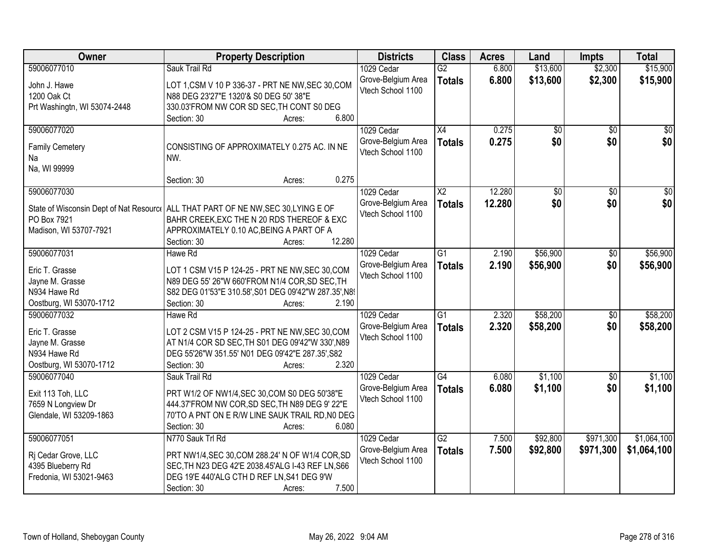| Owner                                        | <b>Property Description</b>                                                                     | <b>Districts</b>                        | <b>Class</b>    | <b>Acres</b> | Land            | <b>Impts</b>    | <b>Total</b>    |
|----------------------------------------------|-------------------------------------------------------------------------------------------------|-----------------------------------------|-----------------|--------------|-----------------|-----------------|-----------------|
| 59006077010                                  | Sauk Trail Rd                                                                                   | 1029 Cedar                              | $\overline{G2}$ | 6.800        | \$13,600        | \$2,300         | \$15,900        |
| John J. Hawe                                 | LOT 1, CSM V 10 P 336-37 - PRT NE NW, SEC 30, COM                                               | Grove-Belgium Area                      | <b>Totals</b>   | 6.800        | \$13,600        | \$2,300         | \$15,900        |
| 1200 Oak Ct                                  | N88 DEG 23'27"E 1320'& S0 DEG 50' 38"E                                                          | Vtech School 1100                       |                 |              |                 |                 |                 |
| Prt Washingtn, WI 53074-2448                 | 330.03'FROM NW COR SD SEC, TH CONT S0 DEG                                                       |                                         |                 |              |                 |                 |                 |
|                                              | 6.800<br>Section: 30<br>Acres:                                                                  |                                         |                 |              |                 |                 |                 |
| 59006077020                                  |                                                                                                 | 1029 Cedar                              | $\overline{X4}$ | 0.275        | $\overline{50}$ | $\overline{50}$ | $\sqrt{50}$     |
|                                              |                                                                                                 | Grove-Belgium Area                      | <b>Totals</b>   | 0.275        | \$0             | \$0             | \$0             |
| <b>Family Cemetery</b>                       | CONSISTING OF APPROXIMATELY 0.275 AC. IN NE                                                     | Vtech School 1100                       |                 |              |                 |                 |                 |
| Na                                           | NW.                                                                                             |                                         |                 |              |                 |                 |                 |
| Na, WI 99999                                 | 0.275                                                                                           |                                         |                 |              |                 |                 |                 |
|                                              | Section: 30<br>Acres:                                                                           |                                         |                 |              |                 |                 |                 |
| 59006077030                                  |                                                                                                 | 1029 Cedar                              | X2              | 12.280       | \$0             | \$0             | $\overline{30}$ |
|                                              | State of Wisconsin Dept of Nat Resourc   ALL THAT PART OF NE NW, SEC 30, LYING E OF             | Grove-Belgium Area<br>Vtech School 1100 | <b>Totals</b>   | 12.280       | \$0             | \$0             | \$0             |
| PO Box 7921                                  | BAHR CREEK, EXC THE N 20 RDS THEREOF & EXC                                                      |                                         |                 |              |                 |                 |                 |
| Madison, WI 53707-7921                       | APPROXIMATELY 0.10 AC, BEING A PART OF A                                                        |                                         |                 |              |                 |                 |                 |
|                                              | 12.280<br>Section: 30<br>Acres:                                                                 |                                         |                 |              |                 |                 |                 |
| 59006077031                                  | Hawe Rd                                                                                         | 1029 Cedar                              | G <sub>1</sub>  | 2.190        | \$56,900        | \$0             | \$56,900        |
| Eric T. Grasse                               | LOT 1 CSM V15 P 124-25 - PRT NE NW, SEC 30, COM                                                 | Grove-Belgium Area                      | <b>Totals</b>   | 2.190        | \$56,900        | \$0             | \$56,900        |
| Jayne M. Grasse                              | N89 DEG 55' 26"W 660'FROM N1/4 COR, SD SEC, TH                                                  | Vtech School 1100                       |                 |              |                 |                 |                 |
| N934 Hawe Rd                                 | S82 DEG 01'53"E 310.58', S01 DEG 09'42"W 287.35', N89                                           |                                         |                 |              |                 |                 |                 |
| Oostburg, WI 53070-1712                      | Section: 30<br>2.190<br>Acres:                                                                  |                                         |                 |              |                 |                 |                 |
| 59006077032                                  | Hawe Rd                                                                                         | 1029 Cedar                              | $\overline{G1}$ | 2.320        | \$58,200        | $\overline{30}$ | \$58,200        |
|                                              |                                                                                                 | Grove-Belgium Area                      | <b>Totals</b>   | 2.320        | \$58,200        | \$0             | \$58,200        |
| Eric T. Grasse                               | LOT 2 CSM V15 P 124-25 - PRT NE NW, SEC 30, COM                                                 | Vtech School 1100                       |                 |              |                 |                 |                 |
| Jayne M. Grasse                              | AT N1/4 COR SD SEC, TH S01 DEG 09'42"W 330', N89                                                |                                         |                 |              |                 |                 |                 |
| N934 Hawe Rd                                 | DEG 55'26"W 351.55' N01 DEG 09'42"E 287.35', S82                                                |                                         |                 |              |                 |                 |                 |
| Oostburg, WI 53070-1712                      | 2.320<br>Section: 30<br>Acres:                                                                  |                                         |                 |              |                 |                 |                 |
| 59006077040                                  | Sauk Trail Rd                                                                                   | 1029 Cedar                              | $\overline{G4}$ | 6.080        | \$1,100         | $\sqrt{6}$      | \$1,100         |
| Exit 113 Toh, LLC                            | PRT W1/2 OF NW1/4, SEC 30, COM S0 DEG 50'38"E                                                   | Grove-Belgium Area                      | <b>Totals</b>   | 6.080        | \$1,100         | \$0             | \$1,100         |
| 7659 N Longview Dr                           | 444.37'FROM NW COR, SD SEC, TH N89 DEG 9' 22"E                                                  | Vtech School 1100                       |                 |              |                 |                 |                 |
| Glendale, WI 53209-1863                      | 70'TO A PNT ON E R/W LINE SAUK TRAIL RD, NO DEG                                                 |                                         |                 |              |                 |                 |                 |
|                                              | Section: 30<br>6.080<br>Acres:                                                                  |                                         |                 |              |                 |                 |                 |
| 59006077051                                  | N770 Sauk Trl Rd                                                                                | 1029 Cedar                              | $\overline{G2}$ | 7.500        | \$92,800        | \$971,300       | \$1,064,100     |
|                                              |                                                                                                 | Grove-Belgium Area                      | <b>Totals</b>   | 7.500        | \$92,800        | \$971,300       | \$1,064,100     |
| Ri Cedar Grove, LLC                          | PRT NW1/4, SEC 30, COM 288.24' N OF W1/4 COR, SD                                                | Vtech School 1100                       |                 |              |                 |                 |                 |
| 4395 Blueberry Rd<br>Fredonia, WI 53021-9463 | SEC, TH N23 DEG 42'E 2038.45'ALG I-43 REF LN, S66<br>DEG 19'E 440'ALG CTH D REF LN, S41 DEG 9'W |                                         |                 |              |                 |                 |                 |
|                                              | 7.500<br>Section: 30                                                                            |                                         |                 |              |                 |                 |                 |
|                                              | Acres:                                                                                          |                                         |                 |              |                 |                 |                 |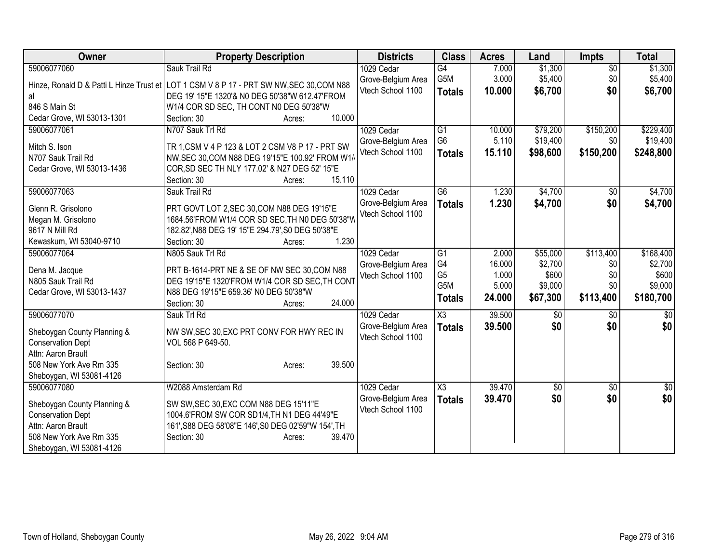| <b>Owner</b>                         | <b>Property Description</b>                                                                    | <b>Districts</b>   | <b>Class</b>           | <b>Acres</b> | Land            | <b>Impts</b>    | <b>Total</b>    |
|--------------------------------------|------------------------------------------------------------------------------------------------|--------------------|------------------------|--------------|-----------------|-----------------|-----------------|
| 59006077060                          | Sauk Trail Rd                                                                                  | 1029 Cedar         | $\overline{G4}$        | 7.000        | \$1,300         | $\overline{50}$ | \$1,300         |
|                                      | Hinze, Ronald D & Patti L Hinze Trust et LOT 1 CSM V 8 P 17 - PRT SW NW, SEC 30, COM N88       | Grove-Belgium Area | G <sub>5</sub> M       | 3.000        | \$5,400         | \$0             | \$5,400         |
| al                                   | DEG 19' 15"E 1320'& N0 DEG 50'38"W 612.47'FROM                                                 | Vtech School 1100  | <b>Totals</b>          | 10.000       | \$6,700         | \$0             | \$6,700         |
| 846 S Main St                        | W1/4 COR SD SEC, TH CONT N0 DEG 50'38"W                                                        |                    |                        |              |                 |                 |                 |
| Cedar Grove, WI 53013-1301           | 10.000<br>Section: 30<br>Acres:                                                                |                    |                        |              |                 |                 |                 |
| 59006077061                          | N707 Sauk Trl Rd                                                                               | 1029 Cedar         | G1                     | 10.000       | \$79,200        | \$150,200       | \$229,400       |
| Mitch S. Ison                        | TR 1, CSM V 4 P 123 & LOT 2 CSM V8 P 17 - PRT SW                                               | Grove-Belgium Area | G <sub>6</sub>         | 5.110        | \$19,400        | \$0             | \$19,400        |
| N707 Sauk Trail Rd                   | NW, SEC 30, COM N88 DEG 19'15"E 100.92' FROM W1/                                               | Vtech School 1100  | <b>Totals</b>          | 15.110       | \$98,600        | \$150,200       | \$248,800       |
| Cedar Grove, WI 53013-1436           | COR, SD SEC TH NLY 177.02' & N27 DEG 52' 15"E                                                  |                    |                        |              |                 |                 |                 |
|                                      | 15.110<br>Section: 30<br>Acres:                                                                |                    |                        |              |                 |                 |                 |
| 59006077063                          | Sauk Trail Rd                                                                                  | 1029 Cedar         | G6                     | 1.230        | \$4,700         | \$0             | \$4,700         |
|                                      |                                                                                                | Grove-Belgium Area |                        | 1.230        |                 |                 |                 |
| Glenn R. Grisolono                   | PRT GOVT LOT 2, SEC 30, COM N88 DEG 19'15"E                                                    | Vtech School 1100  | <b>Totals</b>          |              | \$4,700         | \$0             | \$4,700         |
| Megan M. Grisolono                   | 1684.56'FROM W1/4 COR SD SEC, TH N0 DEG 50'38"W                                                |                    |                        |              |                 |                 |                 |
| 9617 N Mill Rd                       | 182.82', N88 DEG 19' 15"E 294.79', S0 DEG 50'38"E                                              |                    |                        |              |                 |                 |                 |
| Kewaskum, WI 53040-9710              | 1.230<br>Section: 30<br>Acres:                                                                 |                    |                        |              |                 |                 |                 |
| 59006077064                          | N805 Sauk Trl Rd                                                                               | 1029 Cedar         | G1                     | 2.000        | \$55,000        | \$113,400       | \$168,400       |
|                                      |                                                                                                | Grove-Belgium Area | G <sub>4</sub>         | 16.000       | \$2,700         | \$0             | \$2,700         |
| Dena M. Jacque<br>N805 Sauk Trail Rd | PRT B-1614-PRT NE & SE OF NW SEC 30, COM N88<br>DEG 19'15"E 1320'FROM W1/4 COR SD SEC, TH CONT | Vtech School 1100  | G <sub>5</sub>         | 1.000        | \$600           | \$0             | \$600           |
| Cedar Grove, WI 53013-1437           | N88 DEG 19'15"E 659.36' N0 DEG 50'38"W                                                         |                    | G5M                    | 5.000        | \$9,000         | \$0             | \$9,000         |
|                                      | 24.000<br>Section: 30<br>Acres:                                                                |                    | <b>Totals</b>          | 24.000       | \$67,300        | \$113,400       | \$180,700       |
| 59006077070                          | Sauk Trl Rd                                                                                    | 1029 Cedar         | $\overline{\text{X3}}$ | 39.500       | \$0             | \$0             | $\overline{50}$ |
|                                      |                                                                                                | Grove-Belgium Area |                        | 39.500       | \$0             | \$0             | \$0             |
| Sheboygan County Planning &          | NW SW, SEC 30, EXC PRT CONV FOR HWY REC IN                                                     | Vtech School 1100  | <b>Totals</b>          |              |                 |                 |                 |
| <b>Conservation Dept</b>             | VOL 568 P 649-50.                                                                              |                    |                        |              |                 |                 |                 |
| Attn: Aaron Brault                   |                                                                                                |                    |                        |              |                 |                 |                 |
| 508 New York Ave Rm 335              | 39.500<br>Section: 30<br>Acres:                                                                |                    |                        |              |                 |                 |                 |
| Sheboygan, WI 53081-4126             |                                                                                                |                    |                        |              |                 |                 |                 |
| 59006077080                          | W2088 Amsterdam Rd                                                                             | 1029 Cedar         | X3                     | 39.470       | $\overline{60}$ | $\overline{50}$ | $\sqrt{30}$     |
| Sheboygan County Planning &          | SW SW, SEC 30, EXC COM N88 DEG 15'11"E                                                         | Grove-Belgium Area | <b>Totals</b>          | 39.470       | \$0             | \$0             | \$0             |
| <b>Conservation Dept</b>             | 1004.6'FROM SW COR SD1/4, TH N1 DEG 44'49"E                                                    | Vtech School 1100  |                        |              |                 |                 |                 |
| Attn: Aaron Brault                   | 161', S88 DEG 58'08"E 146', S0 DEG 02'59"W 154', TH                                            |                    |                        |              |                 |                 |                 |
| 508 New York Ave Rm 335              | Section: 30<br>39.470<br>Acres:                                                                |                    |                        |              |                 |                 |                 |
| Sheboygan, WI 53081-4126             |                                                                                                |                    |                        |              |                 |                 |                 |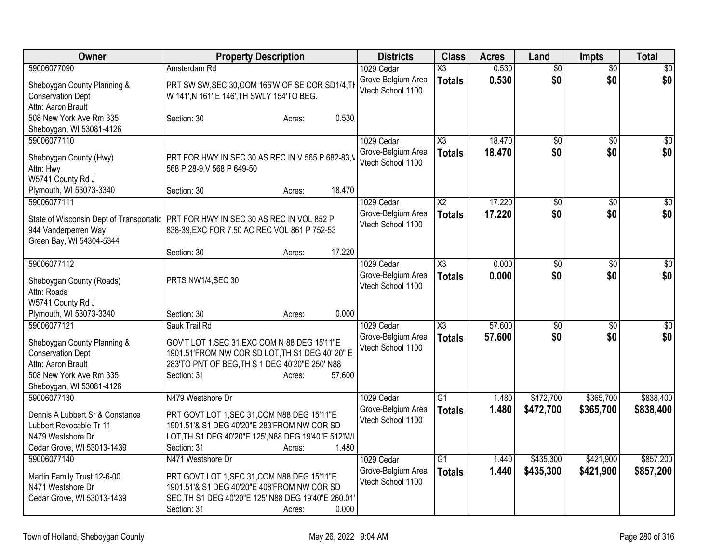| Owner                                                                                                                                | <b>Property Description</b>                                                                                                                                                                               | <b>Districts</b>                                      | <b>Class</b>                            | <b>Acres</b>     | Land                   | <b>Impts</b>           | <b>Total</b>           |
|--------------------------------------------------------------------------------------------------------------------------------------|-----------------------------------------------------------------------------------------------------------------------------------------------------------------------------------------------------------|-------------------------------------------------------|-----------------------------------------|------------------|------------------------|------------------------|------------------------|
| 59006077090<br>Sheboygan County Planning &<br><b>Conservation Dept</b>                                                               | Amsterdam Rd<br>PRT SW SW, SEC 30, COM 165'W OF SE COR SD1/4, TI<br>W 141', N 161', E 146', TH SWLY 154'TO BEG.                                                                                           | 1029 Cedar<br>Grove-Belgium Area<br>Vtech School 1100 | $\overline{\text{X3}}$<br><b>Totals</b> | 0.530<br>0.530   | $\overline{50}$<br>\$0 | $\overline{50}$<br>\$0 | $\overline{50}$<br>\$0 |
| Attn: Aaron Brault<br>508 New York Ave Rm 335<br>Sheboygan, WI 53081-4126                                                            | 0.530<br>Section: 30<br>Acres:                                                                                                                                                                            |                                                       |                                         |                  |                        |                        |                        |
| 59006077110<br>Sheboygan County (Hwy)<br>Attn: Hwy<br>W5741 County Rd J                                                              | PRT FOR HWY IN SEC 30 AS REC IN V 565 P 682-83,<br>568 P 28-9, V 568 P 649-50                                                                                                                             | 1029 Cedar<br>Grove-Belgium Area<br>Vtech School 1100 | $\overline{\text{X3}}$<br><b>Totals</b> | 18.470<br>18.470 | $\overline{50}$<br>\$0 | $\overline{50}$<br>\$0 | \$0<br>\$0             |
| Plymouth, WI 53073-3340<br>59006077111<br>944 Vanderperren Way<br>Green Bay, WI 54304-5344                                           | 18.470<br>Section: 30<br>Acres:<br>State of Wisconsin Dept of Transportatic PRT FOR HWY IN SEC 30 AS REC IN VOL 852 P<br>838-39, EXC FOR 7.50 AC REC VOL 861 P 752-53                                     | 1029 Cedar<br>Grove-Belgium Area<br>Vtech School 1100 | $\overline{\text{X2}}$<br><b>Totals</b> | 17.220<br>17.220 | $\overline{50}$<br>\$0 | $\overline{50}$<br>\$0 | $\sqrt{50}$<br>\$0     |
| 59006077112<br>Sheboygan County (Roads)<br>Attn: Roads                                                                               | 17.220<br>Section: 30<br>Acres:<br>PRTS NW1/4, SEC 30                                                                                                                                                     | 1029 Cedar<br>Grove-Belgium Area<br>Vtech School 1100 | X3<br><b>Totals</b>                     | 0.000<br>0.000   | $\overline{50}$<br>\$0 | $\overline{30}$<br>\$0 | $\overline{50}$<br>\$0 |
| W5741 County Rd J<br>Plymouth, WI 53073-3340<br>59006077121                                                                          | 0.000<br>Section: 30<br>Acres:<br>Sauk Trail Rd                                                                                                                                                           | 1029 Cedar                                            | $\overline{\text{X3}}$                  | 57.600           | $\overline{50}$        | $\sqrt{6}$             | $\overline{50}$        |
| Sheboygan County Planning &<br><b>Conservation Dept</b><br>Attn: Aaron Brault<br>508 New York Ave Rm 335<br>Sheboygan, WI 53081-4126 | GOV'T LOT 1, SEC 31, EXC COM N 88 DEG 15'11"E<br>1901.51'FROM NW COR SD LOT, TH S1 DEG 40' 20" E<br>283'TO PNT OF BEG, TH S 1 DEG 40'20"E 250' N88<br>Section: 31<br>57.600<br>Acres:                     | Grove-Belgium Area<br>Vtech School 1100               | <b>Totals</b>                           | 57.600           | \$0                    | \$0                    | \$0                    |
| 59006077130<br>Dennis A Lubbert Sr & Constance<br>Lubbert Revocable Tr 11<br>N479 Westshore Dr<br>Cedar Grove, WI 53013-1439         | N479 Westshore Dr<br>PRT GOVT LOT 1, SEC 31, COM N88 DEG 15'11"E<br>1901.51'& S1 DEG 40'20"E 283'FROM NW COR SD<br>LOT, TH S1 DEG 40'20"E 125', N88 DEG 19'40"E 512'M/L<br>1.480<br>Section: 31<br>Acres: | 1029 Cedar<br>Grove-Belgium Area<br>Vtech School 1100 | $\overline{G1}$<br><b>Totals</b>        | 1.480<br>1.480   | \$472,700<br>\$472,700 | \$365,700<br>\$365,700 | \$838,400<br>\$838,400 |
| 59006077140<br>Martin Family Trust 12-6-00<br>N471 Westshore Dr<br>Cedar Grove, WI 53013-1439                                        | N471 Westshore Dr<br>PRT GOVT LOT 1, SEC 31, COM N88 DEG 15'11"E<br>1901.51'& S1 DEG 40'20"E 408'FROM NW COR SD<br>SEC, TH S1 DEG 40'20"E 125', N88 DEG 19'40"E 260.01'<br>0.000<br>Section: 31<br>Acres: | 1029 Cedar<br>Grove-Belgium Area<br>Vtech School 1100 | G <sub>1</sub><br><b>Totals</b>         | 1.440<br>1.440   | \$435,300<br>\$435,300 | \$421,900<br>\$421,900 | \$857,200<br>\$857,200 |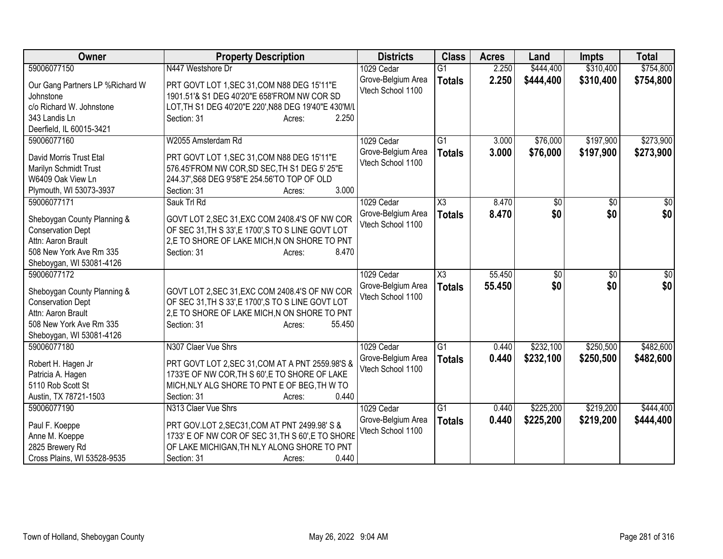| Owner                                   | <b>Property Description</b>                                                                        | <b>Districts</b>   | <b>Class</b>           | <b>Acres</b> | Land      | <b>Impts</b>    | <b>Total</b> |
|-----------------------------------------|----------------------------------------------------------------------------------------------------|--------------------|------------------------|--------------|-----------|-----------------|--------------|
| 59006077150                             | N447 Westshore Dr                                                                                  | 1029 Cedar         | $\overline{G1}$        | 2.250        | \$444,400 | \$310,400       | \$754,800    |
| Our Gang Partners LP %Richard W         | PRT GOVT LOT 1, SEC 31, COM N88 DEG 15'11"E                                                        | Grove-Belgium Area | <b>Totals</b>          | 2.250        | \$444,400 | \$310,400       | \$754,800    |
| Johnstone                               | 1901.51'& S1 DEG 40'20"E 658'FROM NW COR SD                                                        | Vtech School 1100  |                        |              |           |                 |              |
| c/o Richard W. Johnstone                | LOT, TH S1 DEG 40'20"E 220', N88 DEG 19'40"E 430'M/L                                               |                    |                        |              |           |                 |              |
| 343 Landis Ln                           | 2.250<br>Section: 31<br>Acres:                                                                     |                    |                        |              |           |                 |              |
| Deerfield, IL 60015-3421                |                                                                                                    |                    |                        |              |           |                 |              |
| 59006077160                             | W2055 Amsterdam Rd                                                                                 | 1029 Cedar         | $\overline{G1}$        | 3.000        | \$76,000  | \$197,900       | \$273,900    |
| David Morris Trust Etal                 | PRT GOVT LOT 1, SEC 31, COM N88 DEG 15'11"E                                                        | Grove-Belgium Area | <b>Totals</b>          | 3.000        | \$76,000  | \$197,900       | \$273,900    |
| Marilyn Schmidt Trust                   | 576.45'FROM NW COR, SD SEC, TH S1 DEG 5' 25"E                                                      | Vtech School 1100  |                        |              |           |                 |              |
| W6409 Oak View Ln                       | 244.37', S68 DEG 9'58"E 254.56'TO TOP OF OLD                                                       |                    |                        |              |           |                 |              |
| Plymouth, WI 53073-3937                 | 3.000<br>Section: 31<br>Acres:                                                                     |                    |                        |              |           |                 |              |
| 59006077171                             | Sauk Trl Rd                                                                                        | 1029 Cedar         | $\overline{\chi_3}$    | 8.470        | \$0       | $\overline{50}$ | \$0          |
|                                         |                                                                                                    | Grove-Belgium Area | <b>Totals</b>          | 8.470        | \$0       | \$0             | \$0          |
| Sheboygan County Planning &             | GOVT LOT 2, SEC 31, EXC COM 2408.4'S OF NW COR                                                     | Vtech School 1100  |                        |              |           |                 |              |
| <b>Conservation Dept</b>                | OF SEC 31, TH S 33', E 1700', S TO S LINE GOVT LOT                                                 |                    |                        |              |           |                 |              |
| Attn: Aaron Brault                      | 2,E TO SHORE OF LAKE MICH, N ON SHORE TO PNT                                                       |                    |                        |              |           |                 |              |
| 508 New York Ave Rm 335                 | 8.470<br>Section: 31<br>Acres:                                                                     |                    |                        |              |           |                 |              |
| Sheboygan, WI 53081-4126<br>59006077172 |                                                                                                    | 1029 Cedar         | $\overline{\text{X3}}$ | 55.450       |           | $\overline{30}$ | \$0          |
|                                         |                                                                                                    | Grove-Belgium Area |                        |              | \$0       |                 |              |
| Sheboygan County Planning &             | GOVT LOT 2, SEC 31, EXC COM 2408.4'S OF NW COR                                                     | Vtech School 1100  | <b>Totals</b>          | 55.450       | \$0       | \$0             | \$0          |
| <b>Conservation Dept</b>                | OF SEC 31, TH S 33', E 1700', S TO S LINE GOVT LOT                                                 |                    |                        |              |           |                 |              |
| Attn: Aaron Brault                      | 2,E TO SHORE OF LAKE MICH, N ON SHORE TO PNT                                                       |                    |                        |              |           |                 |              |
| 508 New York Ave Rm 335                 | Section: 31<br>55.450<br>Acres:                                                                    |                    |                        |              |           |                 |              |
| Sheboygan, WI 53081-4126                |                                                                                                    |                    |                        |              |           |                 |              |
| 59006077180                             | N307 Claer Vue Shrs                                                                                | 1029 Cedar         | $\overline{G1}$        | 0.440        | \$232,100 | \$250,500       | \$482,600    |
| Robert H. Hagen Jr                      | PRT GOVT LOT 2, SEC 31, COM AT A PNT 2559.98'S &                                                   | Grove-Belgium Area | <b>Totals</b>          | 0.440        | \$232,100 | \$250,500       | \$482,600    |
| Patricia A. Hagen                       | 1733'E OF NW COR, TH S 60', E TO SHORE OF LAKE                                                     | Vtech School 1100  |                        |              |           |                 |              |
| 5110 Rob Scott St                       | MICH, NLY ALG SHORE TO PNT E OF BEG, TH W TO                                                       |                    |                        |              |           |                 |              |
| Austin, TX 78721-1503                   | 0.440<br>Section: 31<br>Acres:                                                                     |                    |                        |              |           |                 |              |
| 59006077190                             | N313 Claer Vue Shrs                                                                                | 1029 Cedar         | $\overline{G1}$        | 0.440        | \$225,200 | \$219,200       | \$444,400    |
|                                         |                                                                                                    | Grove-Belgium Area | <b>Totals</b>          | 0.440        | \$225,200 | \$219,200       | \$444,400    |
| Paul F. Koeppe<br>Anne M. Koeppe        | PRT GOV.LOT 2, SEC31, COM AT PNT 2499.98' S &<br>1733' E OF NW COR OF SEC 31, TH S 60', E TO SHORE | Vtech School 1100  |                        |              |           |                 |              |
| 2825 Brewery Rd                         | OF LAKE MICHIGAN, TH NLY ALONG SHORE TO PNT                                                        |                    |                        |              |           |                 |              |
| Cross Plains, WI 53528-9535             | 0.440<br>Section: 31<br>Acres:                                                                     |                    |                        |              |           |                 |              |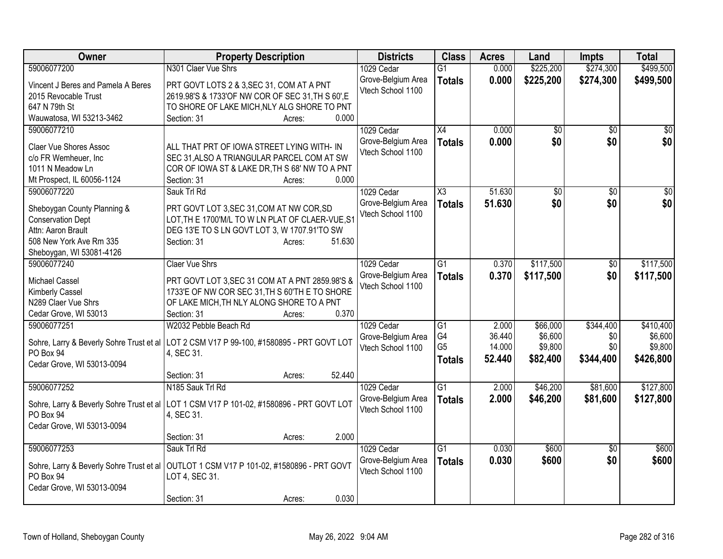| Owner                                    | <b>Property Description</b>                                                                | <b>Districts</b>   | <b>Class</b>    | <b>Acres</b> | Land      | <b>Impts</b>    | <b>Total</b>    |
|------------------------------------------|--------------------------------------------------------------------------------------------|--------------------|-----------------|--------------|-----------|-----------------|-----------------|
| 59006077200                              | N301 Claer Vue Shrs                                                                        | 1029 Cedar         | $\overline{G1}$ | 0.000        | \$225,200 | \$274,300       | \$499,500       |
| Vincent J Beres and Pamela A Beres       | PRT GOVT LOTS 2 & 3, SEC 31, COM AT A PNT                                                  | Grove-Belgium Area | <b>Totals</b>   | 0.000        | \$225,200 | \$274,300       | \$499,500       |
| 2015 Revocable Trust                     | 2619.98'S & 1733'OF NW COR OF SEC 31, TH S 60', E                                          | Vtech School 1100  |                 |              |           |                 |                 |
| 647 N 79th St                            | TO SHORE OF LAKE MICH, NLY ALG SHORE TO PNT                                                |                    |                 |              |           |                 |                 |
| Wauwatosa, WI 53213-3462                 | 0.000<br>Section: 31<br>Acres:                                                             |                    |                 |              |           |                 |                 |
| 59006077210                              |                                                                                            | 1029 Cedar         | X4              | 0.000        | \$0       | $\overline{50}$ | \$0             |
|                                          |                                                                                            | Grove-Belgium Area | <b>Totals</b>   | 0.000        | \$0       | \$0             | \$0             |
| <b>Claer Vue Shores Assoc</b>            | ALL THAT PRT OF IOWA STREET LYING WITH- IN                                                 | Vtech School 1100  |                 |              |           |                 |                 |
| c/o FR Wemheuer, Inc                     | SEC 31, ALSO A TRIANGULAR PARCEL COM AT SW                                                 |                    |                 |              |           |                 |                 |
| 1011 N Meadow Ln                         | COR OF IOWA ST & LAKE DR, TH S 68' NW TO A PNT                                             |                    |                 |              |           |                 |                 |
| Mt Prospect, IL 60056-1124               | 0.000<br>Section: 31<br>Acres:                                                             |                    |                 |              |           |                 |                 |
| 59006077220                              | Sauk Trl Rd                                                                                | 1029 Cedar         | X3              | 51.630       | \$0       | $\sqrt{6}$      | $\overline{30}$ |
| Sheboygan County Planning &              | PRT GOVT LOT 3, SEC 31, COM AT NW COR, SD                                                  | Grove-Belgium Area | <b>Totals</b>   | 51.630       | \$0       | \$0             | \$0             |
| <b>Conservation Dept</b>                 | LOT, TH E 1700'M/L TO W LN PLAT OF CLAER-VUE, S1                                           | Vtech School 1100  |                 |              |           |                 |                 |
| Attn: Aaron Brault                       | DEG 13'E TO S LN GOVT LOT 3, W 1707.91'TO SW                                               |                    |                 |              |           |                 |                 |
| 508 New York Ave Rm 335                  | Section: 31<br>51.630<br>Acres:                                                            |                    |                 |              |           |                 |                 |
| Sheboygan, WI 53081-4126                 |                                                                                            |                    |                 |              |           |                 |                 |
| 59006077240                              | <b>Claer Vue Shrs</b>                                                                      | 1029 Cedar         | G1              | 0.370        | \$117,500 | \$0             | \$117,500       |
|                                          |                                                                                            | Grove-Belgium Area |                 |              |           | \$0             |                 |
| Michael Cassel                           | PRT GOVT LOT 3, SEC 31 COM AT A PNT 2859.98'S &                                            | Vtech School 1100  | <b>Totals</b>   | 0.370        | \$117,500 |                 | \$117,500       |
| Kimberly Cassel                          | 1733'E OF NW COR SEC 31, TH S 60'TH E TO SHORE                                             |                    |                 |              |           |                 |                 |
| N289 Claer Vue Shrs                      | OF LAKE MICH, TH NLY ALONG SHORE TO A PNT                                                  |                    |                 |              |           |                 |                 |
| Cedar Grove, WI 53013                    | 0.370<br>Section: 31<br>Acres:                                                             |                    |                 |              |           |                 |                 |
| 59006077251                              | W2032 Pebble Beach Rd                                                                      | 1029 Cedar         | G1              | 2.000        | \$66,000  | \$344,400       | \$410,400       |
|                                          |                                                                                            | Grove-Belgium Area | G4              | 36.440       | \$6,600   | \$0             | \$6,600         |
|                                          | Sohre, Larry & Beverly Sohre Trust et al   LOT 2 CSM V17 P 99-100, #1580895 - PRT GOVT LOT | Vtech School 1100  | G <sub>5</sub>  | 14.000       | \$9,800   | \$0             | \$9,800         |
| PO Box 94                                | 4, SEC 31.                                                                                 |                    | <b>Totals</b>   | 52.440       | \$82,400  | \$344,400       | \$426,800       |
| Cedar Grove, WI 53013-0094               | 52.440                                                                                     |                    |                 |              |           |                 |                 |
|                                          | Section: 31<br>Acres:                                                                      |                    |                 |              |           |                 | \$127,800       |
| 59006077252                              | N185 Sauk Trl Rd                                                                           | 1029 Cedar         | G1              | 2.000        | \$46,200  | \$81,600        |                 |
|                                          | Sohre, Larry & Beverly Sohre Trust et al   LOT 1 CSM V17 P 101-02, #1580896 - PRT GOVT LOT | Grove-Belgium Area | <b>Totals</b>   | 2.000        | \$46,200  | \$81,600        | \$127,800       |
| PO Box 94                                | 4, SEC 31.                                                                                 | Vtech School 1100  |                 |              |           |                 |                 |
| Cedar Grove, WI 53013-0094               |                                                                                            |                    |                 |              |           |                 |                 |
|                                          | 2.000<br>Section: 31<br>Acres:                                                             |                    |                 |              |           |                 |                 |
| 59006077253                              | Sauk Trl Rd                                                                                | 1029 Cedar         | $\overline{G1}$ | 0.030        | \$600     | $\overline{30}$ | \$600           |
|                                          |                                                                                            | Grove-Belgium Area | <b>Totals</b>   | 0.030        | \$600     | \$0             | \$600           |
| Sohre, Larry & Beverly Sohre Trust et al | OUTLOT 1 CSM V17 P 101-02, #1580896 - PRT GOVT                                             | Vtech School 1100  |                 |              |           |                 |                 |
| PO Box 94                                | LOT 4, SEC 31.                                                                             |                    |                 |              |           |                 |                 |
| Cedar Grove, WI 53013-0094               |                                                                                            |                    |                 |              |           |                 |                 |
|                                          | 0.030<br>Section: 31<br>Acres:                                                             |                    |                 |              |           |                 |                 |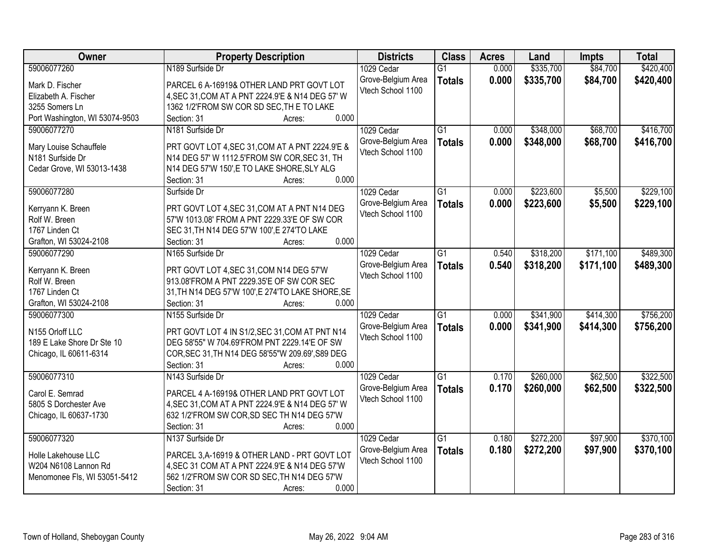| Owner                          | <b>Property Description</b>                          | <b>Districts</b>                        | <b>Class</b>    | <b>Acres</b> | Land      | <b>Impts</b> | <b>Total</b> |
|--------------------------------|------------------------------------------------------|-----------------------------------------|-----------------|--------------|-----------|--------------|--------------|
| 59006077260                    | N189 Surfside Dr                                     | 1029 Cedar                              | $\overline{G1}$ | 0.000        | \$335,700 | \$84,700     | \$420,400    |
| Mark D. Fischer                | PARCEL 6 A-16919& OTHER LAND PRT GOVT LOT            | Grove-Belgium Area                      | <b>Totals</b>   | 0.000        | \$335,700 | \$84,700     | \$420,400    |
| Elizabeth A. Fischer           | 4, SEC 31, COM AT A PNT 2224.9'E & N14 DEG 57' W     | Vtech School 1100                       |                 |              |           |              |              |
| 3255 Somers Ln                 | 1362 1/2'FROM SW COR SD SEC, TH E TO LAKE            |                                         |                 |              |           |              |              |
| Port Washington, WI 53074-9503 | 0.000<br>Section: 31<br>Acres:                       |                                         |                 |              |           |              |              |
| 59006077270                    | N181 Surfside Dr                                     | 1029 Cedar                              | $\overline{G1}$ | 0.000        | \$348,000 | \$68,700     | \$416,700    |
|                                |                                                      | Grove-Belgium Area                      | <b>Totals</b>   | 0.000        | \$348,000 | \$68,700     | \$416,700    |
| Mary Louise Schauffele         | PRT GOVT LOT 4, SEC 31, COM AT A PNT 2224.9'E &      | Vtech School 1100                       |                 |              |           |              |              |
| N181 Surfside Dr               | N14 DEG 57' W 1112.5'FROM SW COR, SEC 31, TH         |                                         |                 |              |           |              |              |
| Cedar Grove, WI 53013-1438     | N14 DEG 57'W 150', E TO LAKE SHORE, SLY ALG<br>0.000 |                                         |                 |              |           |              |              |
|                                | Section: 31<br>Acres:                                |                                         |                 |              |           |              |              |
| 59006077280                    | Surfside Dr                                          | 1029 Cedar                              | $\overline{G1}$ | 0.000        | \$223,600 | \$5,500      | \$229,100    |
| Kerryann K. Breen              | PRT GOVT LOT 4, SEC 31, COM AT A PNT N14 DEG         | Grove-Belgium Area<br>Vtech School 1100 | <b>Totals</b>   | 0.000        | \$223,600 | \$5,500      | \$229,100    |
| Rolf W. Breen                  | 57'W 1013.08' FROM A PNT 2229.33'E OF SW COR         |                                         |                 |              |           |              |              |
| 1767 Linden Ct                 | SEC 31, TH N14 DEG 57'W 100', E 274'TO LAKE          |                                         |                 |              |           |              |              |
| Grafton, WI 53024-2108         | 0.000<br>Section: 31<br>Acres:                       |                                         |                 |              |           |              |              |
| 59006077290                    | N165 Surfside Dr                                     | 1029 Cedar                              | $\overline{G1}$ | 0.540        | \$318,200 | \$171,100    | \$489,300    |
| Kerryann K. Breen              | PRT GOVT LOT 4, SEC 31, COM N14 DEG 57'W             | Grove-Belgium Area                      | <b>Totals</b>   | 0.540        | \$318,200 | \$171,100    | \$489,300    |
| Rolf W. Breen                  | 913.08'FROM A PNT 2229.35'E OF SW COR SEC            | Vtech School 1100                       |                 |              |           |              |              |
| 1767 Linden Ct                 | 31, TH N14 DEG 57'W 100', E 274'TO LAKE SHORE, SE    |                                         |                 |              |           |              |              |
| Grafton, WI 53024-2108         | 0.000<br>Section: 31<br>Acres:                       |                                         |                 |              |           |              |              |
| 59006077300                    | N155 Surfside Dr                                     | 1029 Cedar                              | $\overline{G1}$ | 0.000        | \$341,900 | \$414,300    | \$756,200    |
|                                |                                                      | Grove-Belgium Area                      | <b>Totals</b>   | 0.000        | \$341,900 | \$414,300    | \$756,200    |
| N155 Orloff LLC                | PRT GOVT LOT 4 IN S1/2, SEC 31, COM AT PNT N14       | Vtech School 1100                       |                 |              |           |              |              |
| 189 E Lake Shore Dr Ste 10     | DEG 58'55" W 704.69'FROM PNT 2229.14'E OF SW         |                                         |                 |              |           |              |              |
| Chicago, IL 60611-6314         | COR, SEC 31, TH N14 DEG 58'55"W 209.69', S89 DEG     |                                         |                 |              |           |              |              |
|                                | 0.000<br>Section: 31<br>Acres:                       |                                         |                 |              |           |              |              |
| 59006077310                    | N143 Surfside Dr                                     | 1029 Cedar                              | $\overline{G1}$ | 0.170        | \$260,000 | \$62,500     | \$322,500    |
| Carol E. Semrad                | PARCEL 4 A-16919& OTHER LAND PRT GOVT LOT            | Grove-Belgium Area                      | <b>Totals</b>   | 0.170        | \$260,000 | \$62,500     | \$322,500    |
| 5805 S Dorchester Ave          | 4, SEC 31, COM AT A PNT 2224.9'E & N14 DEG 57' W     | Vtech School 1100                       |                 |              |           |              |              |
| Chicago, IL 60637-1730         | 632 1/2'FROM SW COR, SD SEC TH N14 DEG 57'W          |                                         |                 |              |           |              |              |
|                                | Section: 31<br>0.000<br>Acres:                       |                                         |                 |              |           |              |              |
| 59006077320                    | N137 Surfside Dr                                     | 1029 Cedar                              | $\overline{G1}$ | 0.180        | \$272,200 | \$97,900     | \$370,100    |
|                                |                                                      | Grove-Belgium Area                      | <b>Totals</b>   | 0.180        | \$272,200 | \$97,900     | \$370,100    |
| Holle Lakehouse LLC            | PARCEL 3, A-16919 & OTHER LAND - PRT GOVT LOT        | Vtech School 1100                       |                 |              |           |              |              |
| W204 N6108 Lannon Rd           | 4, SEC 31 COM AT A PNT 2224.9'E & N14 DEG 57'W       |                                         |                 |              |           |              |              |
| Menomonee Fls, WI 53051-5412   | 562 1/2'FROM SW COR SD SEC, TH N14 DEG 57'W          |                                         |                 |              |           |              |              |
|                                | 0.000<br>Section: 31<br>Acres:                       |                                         |                 |              |           |              |              |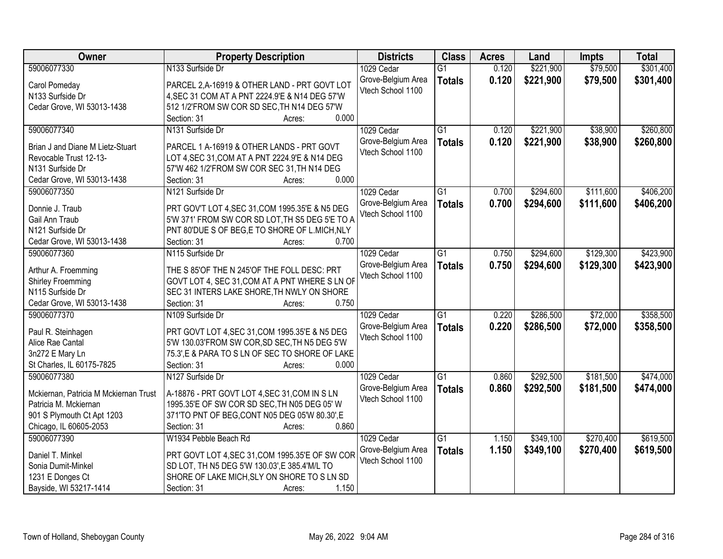| Owner                                 | <b>Property Description</b>                     | <b>Districts</b>   | <b>Class</b>    | <b>Acres</b> | Land      | <b>Impts</b> | <b>Total</b> |
|---------------------------------------|-------------------------------------------------|--------------------|-----------------|--------------|-----------|--------------|--------------|
| 59006077330                           | N133 Surfside Dr                                | 1029 Cedar         | $\overline{G1}$ | 0.120        | \$221,900 | \$79,500     | \$301,400    |
| Carol Pomeday                         | PARCEL 2, A-16919 & OTHER LAND - PRT GOVT LOT   | Grove-Belgium Area | <b>Totals</b>   | 0.120        | \$221,900 | \$79,500     | \$301,400    |
| N133 Surfside Dr                      | 4, SEC 31 COM AT A PNT 2224.9'E & N14 DEG 57'W  | Vtech School 1100  |                 |              |           |              |              |
| Cedar Grove, WI 53013-1438            | 512 1/2'FROM SW COR SD SEC, TH N14 DEG 57'W     |                    |                 |              |           |              |              |
|                                       | 0.000<br>Section: 31<br>Acres:                  |                    |                 |              |           |              |              |
| 59006077340                           | N131 Surfside Dr                                | 1029 Cedar         | $\overline{G1}$ | 0.120        | \$221,900 | \$38,900     | \$260,800    |
|                                       |                                                 | Grove-Belgium Area | <b>Totals</b>   | 0.120        | \$221,900 | \$38,900     | \$260,800    |
| Brian J and Diane M Lietz-Stuart      | PARCEL 1 A-16919 & OTHER LANDS - PRT GOVT       | Vtech School 1100  |                 |              |           |              |              |
| Revocable Trust 12-13-                | LOT 4, SEC 31, COM AT A PNT 2224.9'E & N14 DEG  |                    |                 |              |           |              |              |
| N131 Surfside Dr                      | 57'W 462 1/2'FROM SW COR SEC 31, TH N14 DEG     |                    |                 |              |           |              |              |
| Cedar Grove, WI 53013-1438            | 0.000<br>Section: 31<br>Acres:                  |                    |                 |              |           |              |              |
| 59006077350                           | N121 Surfside Dr                                | 1029 Cedar         | $\overline{G1}$ | 0.700        | \$294,600 | \$111,600    | \$406,200    |
| Donnie J. Traub                       | PRT GOV'T LOT 4, SEC 31, COM 1995.35'E & N5 DEG | Grove-Belgium Area | <b>Totals</b>   | 0.700        | \$294,600 | \$111,600    | \$406,200    |
| Gail Ann Traub                        | 5'W 371' FROM SW COR SD LOT, TH S5 DEG 5'E TO A | Vtech School 1100  |                 |              |           |              |              |
| N121 Surfside Dr                      | PNT 80'DUE S OF BEG,E TO SHORE OF L.MICH, NLY   |                    |                 |              |           |              |              |
| Cedar Grove, WI 53013-1438            | 0.700<br>Section: 31<br>Acres:                  |                    |                 |              |           |              |              |
| 59006077360                           | N115 Surfside Dr                                |                    |                 |              |           | \$129,300    | \$423,900    |
|                                       |                                                 | 1029 Cedar         | G1              | 0.750        | \$294,600 |              |              |
| Arthur A. Froemming                   | THE S 85'OF THE N 245'OF THE FOLL DESC: PRT     | Grove-Belgium Area | <b>Totals</b>   | 0.750        | \$294,600 | \$129,300    | \$423,900    |
| <b>Shirley Froemming</b>              | GOVT LOT 4, SEC 31, COM AT A PNT WHERE S LN OF  | Vtech School 1100  |                 |              |           |              |              |
| N115 Surfside Dr                      | SEC 31 INTERS LAKE SHORE, TH NWLY ON SHORE      |                    |                 |              |           |              |              |
| Cedar Grove, WI 53013-1438            | Section: 31<br>0.750<br>Acres:                  |                    |                 |              |           |              |              |
| 59006077370                           | N109 Surfside Dr                                | 1029 Cedar         | $\overline{G1}$ | 0.220        | \$286,500 | \$72,000     | \$358,500    |
|                                       |                                                 | Grove-Belgium Area | <b>Totals</b>   | 0.220        | \$286,500 | \$72,000     | \$358,500    |
| Paul R. Steinhagen                    | PRT GOVT LOT 4, SEC 31, COM 1995.35'E & N5 DEG  | Vtech School 1100  |                 |              |           |              |              |
| Alice Rae Cantal                      | 5'W 130.03'FROM SW COR, SD SEC, TH N5 DEG 5'W   |                    |                 |              |           |              |              |
| 3n272 E Mary Ln                       | 75.3', E & PARA TO S LN OF SEC TO SHORE OF LAKE |                    |                 |              |           |              |              |
| St Charles, IL 60175-7825             | Section: 31<br>0.000<br>Acres:                  |                    |                 |              |           |              |              |
| 59006077380                           | N127 Surfside Dr                                | 1029 Cedar         | $\overline{G1}$ | 0.860        | \$292,500 | \$181,500    | \$474,000    |
| Mckiernan, Patricia M Mckiernan Trust | A-18876 - PRT GOVT LOT 4, SEC 31, COM IN S LN   | Grove-Belgium Area | <b>Totals</b>   | 0.860        | \$292,500 | \$181,500    | \$474,000    |
| Patricia M. Mckiernan                 | 1995.35'E OF SW COR SD SEC, TH N05 DEG 05' W    | Vtech School 1100  |                 |              |           |              |              |
| 901 S Plymouth Ct Apt 1203            | 371'TO PNT OF BEG, CONT N05 DEG 05'W 80.30', E  |                    |                 |              |           |              |              |
| Chicago, IL 60605-2053                | 0.860<br>Section: 31<br>Acres:                  |                    |                 |              |           |              |              |
| 59006077390                           | W1934 Pebble Beach Rd                           | 1029 Cedar         | $\overline{G1}$ | 1.150        | \$349,100 | \$270,400    | \$619,500    |
|                                       |                                                 | Grove-Belgium Area |                 | 1.150        | \$349,100 | \$270,400    |              |
| Daniel T. Minkel                      | PRT GOVT LOT 4, SEC 31, COM 1995.35'E OF SW COR | Vtech School 1100  | <b>Totals</b>   |              |           |              | \$619,500    |
| Sonia Dumit-Minkel                    | SD LOT, TH N5 DEG 5'W 130.03', E 385.4'M/L TO   |                    |                 |              |           |              |              |
| 1231 E Donges Ct                      | SHORE OF LAKE MICH, SLY ON SHORE TO S LN SD     |                    |                 |              |           |              |              |
| Bayside, WI 53217-1414                | 1.150<br>Section: 31<br>Acres:                  |                    |                 |              |           |              |              |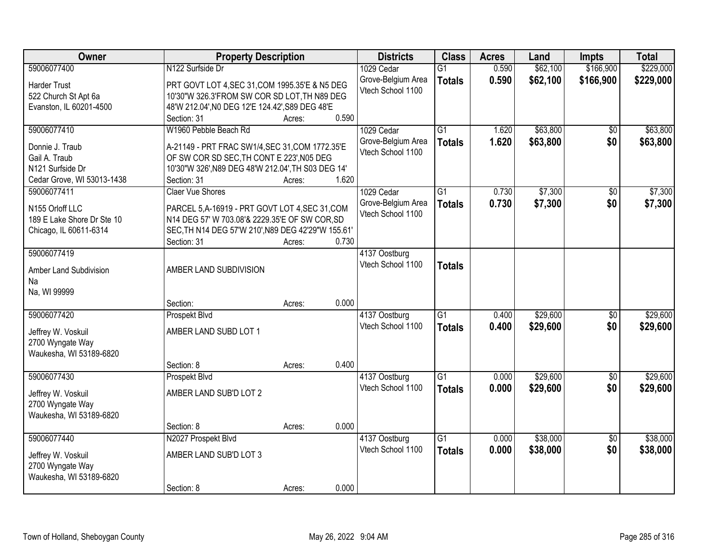| Owner                      | <b>Property Description</b>                        |                 | <b>Districts</b>                   | <b>Class</b>    | <b>Acres</b> | Land     | <b>Impts</b>    | <b>Total</b> |
|----------------------------|----------------------------------------------------|-----------------|------------------------------------|-----------------|--------------|----------|-----------------|--------------|
| 59006077400                | N122 Surfside Dr                                   |                 | 1029 Cedar                         | $\overline{G1}$ | 0.590        | \$62,100 | \$166,900       | \$229,000    |
| <b>Harder Trust</b>        | PRT GOVT LOT 4, SEC 31, COM 1995.35'E & N5 DEG     |                 | Grove-Belgium Area                 | <b>Totals</b>   | 0.590        | \$62,100 | \$166,900       | \$229,000    |
| 522 Church St Apt 6a       | 10'30"W 326.3'FROM SW COR SD LOT, TH N89 DEG       |                 | Vtech School 1100                  |                 |              |          |                 |              |
| Evanston, IL 60201-4500    | 48'W 212.04', NO DEG 12'E 124.42', S89 DEG 48'E    |                 |                                    |                 |              |          |                 |              |
|                            | Section: 31                                        | 0.590<br>Acres: |                                    |                 |              |          |                 |              |
| 59006077410                | W1960 Pebble Beach Rd                              |                 | 1029 Cedar                         | $\overline{G1}$ | 1.620        | \$63,800 | \$0             | \$63,800     |
|                            |                                                    |                 | Grove-Belgium Area                 | <b>Totals</b>   | 1.620        | \$63,800 | \$0             | \$63,800     |
| Donnie J. Traub            | A-21149 - PRT FRAC SW1/4, SEC 31, COM 1772.35'E    |                 | Vtech School 1100                  |                 |              |          |                 |              |
| Gail A. Traub              | OF SW COR SD SEC, TH CONT E 223', N05 DEG          |                 |                                    |                 |              |          |                 |              |
| N121 Surfside Dr           | 10'30"W 326', N89 DEG 48'W 212.04', TH S03 DEG 14' |                 |                                    |                 |              |          |                 |              |
| Cedar Grove, WI 53013-1438 | Section: 31                                        | 1.620<br>Acres: |                                    |                 |              |          |                 |              |
| 59006077411                | <b>Claer Vue Shores</b>                            |                 | 1029 Cedar                         | G1              | 0.730        | \$7,300  | \$0             | \$7,300      |
| N155 Orloff LLC            | PARCEL 5, A-16919 - PRT GOVT LOT 4, SEC 31, COM    |                 | Grove-Belgium Area                 | <b>Totals</b>   | 0.730        | \$7,300  | \$0             | \$7,300      |
| 189 E Lake Shore Dr Ste 10 | N14 DEG 57' W 703.08'& 2229.35'E OF SW COR, SD     |                 | Vtech School 1100                  |                 |              |          |                 |              |
| Chicago, IL 60611-6314     | SEC, TH N14 DEG 57'W 210', N89 DEG 42'29"W 155.61' |                 |                                    |                 |              |          |                 |              |
|                            | Section: 31                                        | 0.730<br>Acres: |                                    |                 |              |          |                 |              |
| 59006077419                |                                                    |                 | 4137 Oostburg                      |                 |              |          |                 |              |
|                            |                                                    |                 | Vtech School 1100                  | <b>Totals</b>   |              |          |                 |              |
| Amber Land Subdivision     | AMBER LAND SUBDIVISION                             |                 |                                    |                 |              |          |                 |              |
| Na                         |                                                    |                 |                                    |                 |              |          |                 |              |
| Na, WI 99999               |                                                    |                 |                                    |                 |              |          |                 |              |
|                            | Section:                                           | 0.000<br>Acres: |                                    |                 |              |          |                 |              |
| 59006077420                | Prospekt Blvd                                      |                 | 4137 Oostburg                      | $\overline{G1}$ | 0.400        | \$29,600 | $\overline{50}$ | \$29,600     |
| Jeffrey W. Voskuil         | AMBER LAND SUBD LOT 1                              |                 | Vtech School 1100                  | <b>Totals</b>   | 0.400        | \$29,600 | \$0             | \$29,600     |
| 2700 Wyngate Way           |                                                    |                 |                                    |                 |              |          |                 |              |
| Waukesha, WI 53189-6820    |                                                    |                 |                                    |                 |              |          |                 |              |
|                            | Section: 8                                         | 0.400<br>Acres: |                                    |                 |              |          |                 |              |
| 59006077430                | Prospekt Blvd                                      |                 | 4137 Oostburg                      | $\overline{G1}$ | 0.000        | \$29,600 | $\sqrt{6}$      | \$29,600     |
| Jeffrey W. Voskuil         | AMBER LAND SUB'D LOT 2                             |                 | Vtech School 1100                  | <b>Totals</b>   | 0.000        | \$29,600 | \$0             | \$29,600     |
| 2700 Wyngate Way           |                                                    |                 |                                    |                 |              |          |                 |              |
| Waukesha, WI 53189-6820    |                                                    |                 |                                    |                 |              |          |                 |              |
|                            | Section: 8                                         | 0.000<br>Acres: |                                    |                 |              |          |                 |              |
| 59006077440                | N2027 Prospekt Blvd                                |                 |                                    | $\overline{G1}$ | 0.000        | \$38,000 | $\overline{50}$ | \$38,000     |
|                            |                                                    |                 | 4137 Oostburg<br>Vtech School 1100 |                 |              |          |                 |              |
| Jeffrey W. Voskuil         | AMBER LAND SUB'D LOT 3                             |                 |                                    | <b>Totals</b>   | 0.000        | \$38,000 | \$0             | \$38,000     |
| 2700 Wyngate Way           |                                                    |                 |                                    |                 |              |          |                 |              |
| Waukesha, WI 53189-6820    |                                                    |                 |                                    |                 |              |          |                 |              |
|                            | Section: 8                                         | 0.000<br>Acres: |                                    |                 |              |          |                 |              |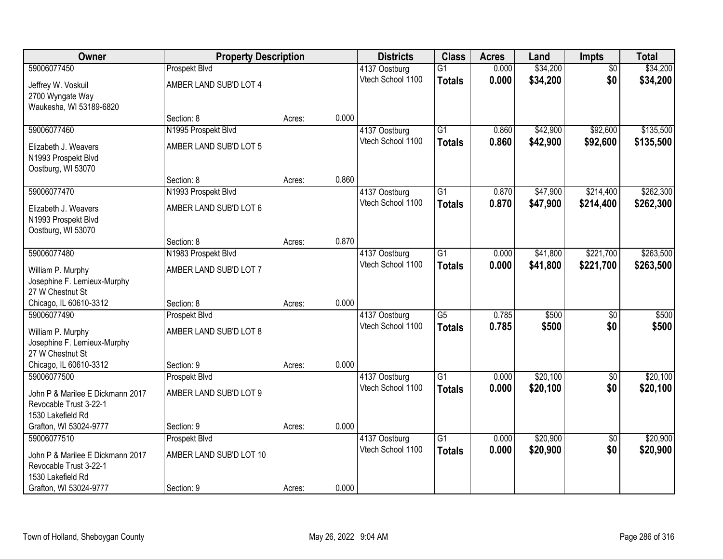| Owner                                                      | <b>Property Description</b> |        |       | <b>Districts</b>                   | <b>Class</b>    | <b>Acres</b>   | Land     | <b>Impts</b>    | <b>Total</b> |
|------------------------------------------------------------|-----------------------------|--------|-------|------------------------------------|-----------------|----------------|----------|-----------------|--------------|
| 59006077450                                                | Prospekt Blvd               |        |       | 4137 Oostburg                      | $\overline{G1}$ | 0.000          | \$34,200 | $\overline{50}$ | \$34,200     |
| Jeffrey W. Voskuil                                         | AMBER LAND SUB'D LOT 4      |        |       | Vtech School 1100                  | <b>Totals</b>   | 0.000          | \$34,200 | \$0             | \$34,200     |
| 2700 Wyngate Way                                           |                             |        |       |                                    |                 |                |          |                 |              |
| Waukesha, WI 53189-6820                                    |                             |        |       |                                    |                 |                |          |                 |              |
|                                                            | Section: 8                  | Acres: | 0.000 |                                    |                 |                |          |                 |              |
| 59006077460                                                | N1995 Prospekt Blvd         |        |       | 4137 Oostburg                      | $\overline{G1}$ | 0.860          | \$42,900 | \$92,600        | \$135,500    |
| Elizabeth J. Weavers                                       | AMBER LAND SUB'D LOT 5      |        |       | Vtech School 1100                  | <b>Totals</b>   | 0.860          | \$42,900 | \$92,600        | \$135,500    |
| N1993 Prospekt Blvd                                        |                             |        |       |                                    |                 |                |          |                 |              |
| Oostburg, WI 53070                                         |                             |        |       |                                    |                 |                |          |                 |              |
|                                                            | Section: 8                  | Acres: | 0.860 |                                    |                 |                |          |                 |              |
| 59006077470                                                | N1993 Prospekt Blvd         |        |       | 4137 Oostburg                      | G1              | 0.870          | \$47,900 | \$214,400       | \$262,300    |
| Elizabeth J. Weavers                                       | AMBER LAND SUB'D LOT 6      |        |       | Vtech School 1100                  | <b>Totals</b>   | 0.870          | \$47,900 | \$214,400       | \$262,300    |
| N1993 Prospekt Blvd                                        |                             |        |       |                                    |                 |                |          |                 |              |
| Oostburg, WI 53070                                         |                             |        |       |                                    |                 |                |          |                 |              |
|                                                            | Section: 8                  | Acres: | 0.870 |                                    |                 |                |          |                 |              |
| 59006077480                                                | N1983 Prospekt Blvd         |        |       | 4137 Oostburg<br>Vtech School 1100 | $\overline{G1}$ | 0.000<br>0.000 | \$41,800 | \$221,700       | \$263,500    |
| William P. Murphy                                          | AMBER LAND SUB'D LOT 7      |        |       |                                    | <b>Totals</b>   |                | \$41,800 | \$221,700       | \$263,500    |
| Josephine F. Lemieux-Murphy                                |                             |        |       |                                    |                 |                |          |                 |              |
| 27 W Chestnut St                                           |                             |        | 0.000 |                                    |                 |                |          |                 |              |
| Chicago, IL 60610-3312<br>59006077490                      | Section: 8<br>Prospekt Blvd | Acres: |       | 4137 Oostburg                      | $\overline{G5}$ | 0.785          | \$500    | $\overline{50}$ | \$500        |
|                                                            |                             |        |       | Vtech School 1100                  | <b>Totals</b>   | 0.785          | \$500    | \$0             | \$500        |
| William P. Murphy                                          | AMBER LAND SUB'D LOT 8      |        |       |                                    |                 |                |          |                 |              |
| Josephine F. Lemieux-Murphy                                |                             |        |       |                                    |                 |                |          |                 |              |
| 27 W Chestnut St<br>Chicago, IL 60610-3312                 | Section: 9                  | Acres: | 0.000 |                                    |                 |                |          |                 |              |
| 59006077500                                                | Prospekt Blvd               |        |       | 4137 Oostburg                      | $\overline{G1}$ | 0.000          | \$20,100 | $\overline{60}$ | \$20,100     |
|                                                            |                             |        |       | Vtech School 1100                  | <b>Totals</b>   | 0.000          | \$20,100 | \$0             | \$20,100     |
| John P & Marilee E Dickmann 2017                           | AMBER LAND SUB'D LOT 9      |        |       |                                    |                 |                |          |                 |              |
| Revocable Trust 3-22-1<br>1530 Lakefield Rd                |                             |        |       |                                    |                 |                |          |                 |              |
| Grafton, WI 53024-9777                                     | Section: 9                  | Acres: | 0.000 |                                    |                 |                |          |                 |              |
| 59006077510                                                | Prospekt Blvd               |        |       | 4137 Oostburg                      | $\overline{G1}$ | 0.000          | \$20,900 | $\overline{50}$ | \$20,900     |
|                                                            |                             |        |       | Vtech School 1100                  | <b>Totals</b>   | 0.000          | \$20,900 | \$0             | \$20,900     |
| John P & Marilee E Dickmann 2017<br>Revocable Trust 3-22-1 | AMBER LAND SUB'D LOT 10     |        |       |                                    |                 |                |          |                 |              |
| 1530 Lakefield Rd                                          |                             |        |       |                                    |                 |                |          |                 |              |
| Grafton, WI 53024-9777                                     | Section: 9                  | Acres: | 0.000 |                                    |                 |                |          |                 |              |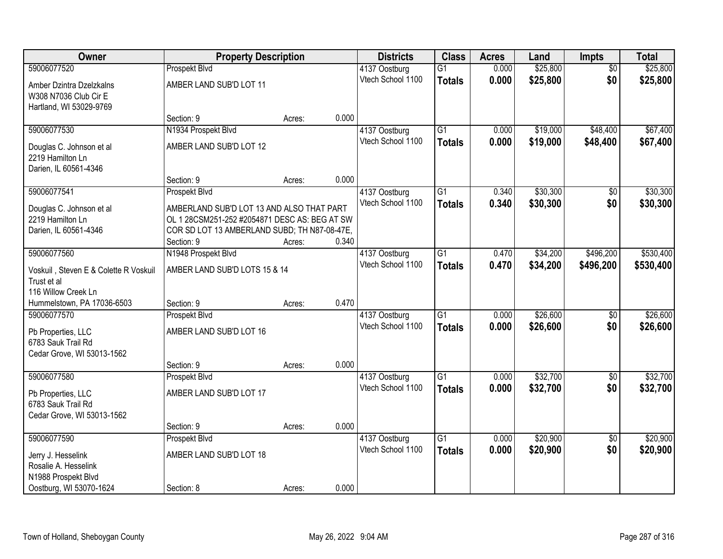| Owner                                 | <b>Property Description</b>                   |        |       | <b>Districts</b>  | <b>Class</b>    | <b>Acres</b> | Land     | Impts           | <b>Total</b> |
|---------------------------------------|-----------------------------------------------|--------|-------|-------------------|-----------------|--------------|----------|-----------------|--------------|
| 59006077520                           | Prospekt Blvd                                 |        |       | 4137 Oostburg     | $\overline{G1}$ | 0.000        | \$25,800 | $\overline{50}$ | \$25,800     |
| Amber Dzintra Dzelzkalns              | AMBER LAND SUB'D LOT 11                       |        |       | Vtech School 1100 | <b>Totals</b>   | 0.000        | \$25,800 | \$0             | \$25,800     |
| W308 N7036 Club Cir E                 |                                               |        |       |                   |                 |              |          |                 |              |
| Hartland, WI 53029-9769               |                                               |        |       |                   |                 |              |          |                 |              |
|                                       | Section: 9                                    | Acres: | 0.000 |                   |                 |              |          |                 |              |
| 59006077530                           | N1934 Prospekt Blvd                           |        |       | 4137 Oostburg     | $\overline{G1}$ | 0.000        | \$19,000 | \$48,400        | \$67,400     |
| Douglas C. Johnson et al              | AMBER LAND SUB'D LOT 12                       |        |       | Vtech School 1100 | <b>Totals</b>   | 0.000        | \$19,000 | \$48,400        | \$67,400     |
| 2219 Hamilton Ln                      |                                               |        |       |                   |                 |              |          |                 |              |
| Darien, IL 60561-4346                 |                                               |        |       |                   |                 |              |          |                 |              |
|                                       | Section: 9                                    | Acres: | 0.000 |                   |                 |              |          |                 |              |
| 59006077541                           | Prospekt Blvd                                 |        |       | 4137 Oostburg     | $\overline{G1}$ | 0.340        | \$30,300 | \$0             | \$30,300     |
| Douglas C. Johnson et al              | AMBERLAND SUB'D LOT 13 AND ALSO THAT PART     |        |       | Vtech School 1100 | <b>Totals</b>   | 0.340        | \$30,300 | \$0             | \$30,300     |
| 2219 Hamilton Ln                      | OL 1 28CSM251-252 #2054871 DESC AS: BEG AT SW |        |       |                   |                 |              |          |                 |              |
| Darien, IL 60561-4346                 | COR SD LOT 13 AMBERLAND SUBD; TH N87-08-47E,  |        |       |                   |                 |              |          |                 |              |
|                                       | Section: 9                                    | Acres: | 0.340 |                   |                 |              |          |                 |              |
| 59006077560                           | N1948 Prospekt Blvd                           |        |       | 4137 Oostburg     | $\overline{G1}$ | 0.470        | \$34,200 | \$496,200       | \$530,400    |
| Voskuil, Steven E & Colette R Voskuil | AMBER LAND SUB'D LOTS 15 & 14                 |        |       | Vtech School 1100 | <b>Totals</b>   | 0.470        | \$34,200 | \$496,200       | \$530,400    |
| Trust et al                           |                                               |        |       |                   |                 |              |          |                 |              |
| 116 Willow Creek Ln                   |                                               |        |       |                   |                 |              |          |                 |              |
| Hummelstown, PA 17036-6503            | Section: 9                                    | Acres: | 0.470 |                   |                 |              |          |                 |              |
| 59006077570                           | Prospekt Blvd                                 |        |       | 4137 Oostburg     | $\overline{G1}$ | 0.000        | \$26,600 | $\overline{50}$ | \$26,600     |
| Pb Properties, LLC                    | AMBER LAND SUB'D LOT 16                       |        |       | Vtech School 1100 | <b>Totals</b>   | 0.000        | \$26,600 | \$0             | \$26,600     |
| 6783 Sauk Trail Rd                    |                                               |        |       |                   |                 |              |          |                 |              |
| Cedar Grove, WI 53013-1562            |                                               |        |       |                   |                 |              |          |                 |              |
|                                       | Section: 9                                    | Acres: | 0.000 |                   |                 |              |          |                 |              |
| 59006077580                           | Prospekt Blvd                                 |        |       | 4137 Oostburg     | $\overline{G1}$ | 0.000        | \$32,700 | $\sqrt{6}$      | \$32,700     |
| Pb Properties, LLC                    | AMBER LAND SUB'D LOT 17                       |        |       | Vtech School 1100 | <b>Totals</b>   | 0.000        | \$32,700 | \$0             | \$32,700     |
| 6783 Sauk Trail Rd                    |                                               |        |       |                   |                 |              |          |                 |              |
| Cedar Grove, WI 53013-1562            |                                               |        |       |                   |                 |              |          |                 |              |
|                                       | Section: 9                                    | Acres: | 0.000 |                   |                 |              |          |                 |              |
| 59006077590                           | Prospekt Blvd                                 |        |       | 4137 Oostburg     | $\overline{G1}$ | 0.000        | \$20,900 | $\overline{50}$ | \$20,900     |
| Jerry J. Hesselink                    | AMBER LAND SUB'D LOT 18                       |        |       | Vtech School 1100 | <b>Totals</b>   | 0.000        | \$20,900 | \$0             | \$20,900     |
| Rosalie A. Hesselink                  |                                               |        |       |                   |                 |              |          |                 |              |
| N1988 Prospekt Blvd                   |                                               |        |       |                   |                 |              |          |                 |              |
| Oostburg, WI 53070-1624               | Section: 8                                    | Acres: | 0.000 |                   |                 |              |          |                 |              |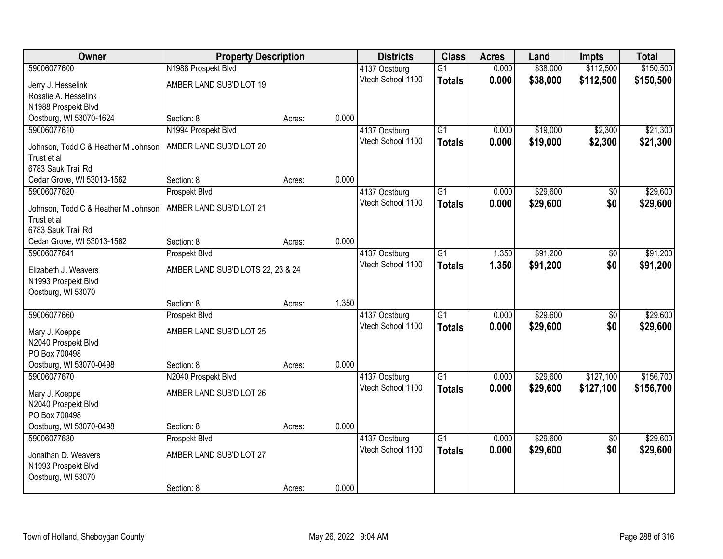| Owner                                      | <b>Property Description</b>       |        |       | <b>Districts</b>  | <b>Class</b>    | <b>Acres</b> | Land     | <b>Impts</b>    | <b>Total</b> |
|--------------------------------------------|-----------------------------------|--------|-------|-------------------|-----------------|--------------|----------|-----------------|--------------|
| 59006077600                                | N1988 Prospekt Blvd               |        |       | 4137 Oostburg     | $\overline{G1}$ | 0.000        | \$38,000 | \$112,500       | \$150,500    |
| Jerry J. Hesselink                         | AMBER LAND SUB'D LOT 19           |        |       | Vtech School 1100 | <b>Totals</b>   | 0.000        | \$38,000 | \$112,500       | \$150,500    |
| Rosalie A. Hesselink                       |                                   |        |       |                   |                 |              |          |                 |              |
| N1988 Prospekt Blvd                        |                                   |        |       |                   |                 |              |          |                 |              |
| Oostburg, WI 53070-1624                    | Section: 8                        | Acres: | 0.000 |                   |                 |              |          |                 |              |
| 59006077610                                | N1994 Prospekt Blvd               |        |       | 4137 Oostburg     | $\overline{G1}$ | 0.000        | \$19,000 | \$2,300         | \$21,300     |
| Johnson, Todd C & Heather M Johnson        | AMBER LAND SUB'D LOT 20           |        |       | Vtech School 1100 | <b>Totals</b>   | 0.000        | \$19,000 | \$2,300         | \$21,300     |
| Trust et al                                |                                   |        |       |                   |                 |              |          |                 |              |
| 6783 Sauk Trail Rd                         |                                   |        |       |                   |                 |              |          |                 |              |
| Cedar Grove, WI 53013-1562                 | Section: 8                        | Acres: | 0.000 |                   |                 |              |          |                 |              |
| 59006077620                                | Prospekt Blvd                     |        |       | 4137 Oostburg     | G1              | 0.000        | \$29,600 | \$0             | \$29,600     |
| Johnson, Todd C & Heather M Johnson        | AMBER LAND SUB'D LOT 21           |        |       | Vtech School 1100 | <b>Totals</b>   | 0.000        | \$29,600 | \$0             | \$29,600     |
| Trust et al                                |                                   |        |       |                   |                 |              |          |                 |              |
| 6783 Sauk Trail Rd                         |                                   |        |       |                   |                 |              |          |                 |              |
| Cedar Grove, WI 53013-1562                 | Section: 8                        | Acres: | 0.000 |                   |                 |              |          |                 |              |
| 59006077641                                | Prospekt Blvd                     |        |       | 4137 Oostburg     | G1              | 1.350        | \$91,200 | \$0             | \$91,200     |
| Elizabeth J. Weavers                       | AMBER LAND SUB'D LOTS 22, 23 & 24 |        |       | Vtech School 1100 | <b>Totals</b>   | 1.350        | \$91,200 | \$0             | \$91,200     |
| N1993 Prospekt Blvd                        |                                   |        |       |                   |                 |              |          |                 |              |
| Oostburg, WI 53070                         |                                   |        |       |                   |                 |              |          |                 |              |
|                                            | Section: 8                        | Acres: | 1.350 |                   |                 |              |          |                 |              |
| 59006077660                                | Prospekt Blvd                     |        |       | 4137 Oostburg     | $\overline{G1}$ | 0.000        | \$29,600 | $\overline{50}$ | \$29,600     |
| Mary J. Koeppe                             | AMBER LAND SUB'D LOT 25           |        |       | Vtech School 1100 | <b>Totals</b>   | 0.000        | \$29,600 | \$0             | \$29,600     |
| N2040 Prospekt Blvd                        |                                   |        |       |                   |                 |              |          |                 |              |
| PO Box 700498                              |                                   |        |       |                   |                 |              |          |                 |              |
| Oostburg, WI 53070-0498                    | Section: 8                        | Acres: | 0.000 |                   |                 |              |          |                 |              |
| 59006077670                                | N2040 Prospekt Blvd               |        |       | 4137 Oostburg     | $\overline{G1}$ | 0.000        | \$29,600 | \$127,100       | \$156,700    |
|                                            | AMBER LAND SUB'D LOT 26           |        |       | Vtech School 1100 | <b>Totals</b>   | 0.000        | \$29,600 | \$127,100       | \$156,700    |
| Mary J. Koeppe<br>N2040 Prospekt Blvd      |                                   |        |       |                   |                 |              |          |                 |              |
| PO Box 700498                              |                                   |        |       |                   |                 |              |          |                 |              |
| Oostburg, WI 53070-0498                    | Section: 8                        | Acres: | 0.000 |                   |                 |              |          |                 |              |
| 59006077680                                | Prospekt Blvd                     |        |       | 4137 Oostburg     | $\overline{G1}$ | 0.000        | \$29,600 | $\overline{50}$ | \$29,600     |
|                                            |                                   |        |       | Vtech School 1100 | <b>Totals</b>   | 0.000        | \$29,600 | \$0             | \$29,600     |
| Jonathan D. Weavers<br>N1993 Prospekt Blvd | AMBER LAND SUB'D LOT 27           |        |       |                   |                 |              |          |                 |              |
| Oostburg, WI 53070                         |                                   |        |       |                   |                 |              |          |                 |              |
|                                            | Section: 8                        | Acres: | 0.000 |                   |                 |              |          |                 |              |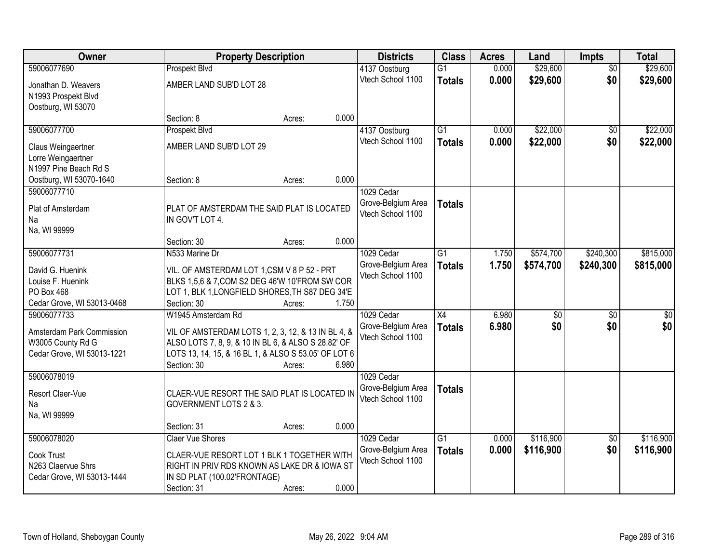| Owner                      | <b>Property Description</b>                          |                 | <b>Districts</b>   | <b>Class</b>    | <b>Acres</b> | Land            | <b>Impts</b>    | <b>Total</b>    |
|----------------------------|------------------------------------------------------|-----------------|--------------------|-----------------|--------------|-----------------|-----------------|-----------------|
| 59006077690                | Prospekt Blvd                                        |                 | 4137 Oostburg      | $\overline{G1}$ | 0.000        | \$29,600        | $\overline{50}$ | \$29,600        |
| Jonathan D. Weavers        | AMBER LAND SUB'D LOT 28                              |                 | Vtech School 1100  | <b>Totals</b>   | 0.000        | \$29,600        | \$0             | \$29,600        |
| N1993 Prospekt Blvd        |                                                      |                 |                    |                 |              |                 |                 |                 |
| Oostburg, WI 53070         |                                                      |                 |                    |                 |              |                 |                 |                 |
|                            | Section: 8                                           | 0.000<br>Acres: |                    |                 |              |                 |                 |                 |
| 59006077700                | Prospekt Blvd                                        |                 | 4137 Oostburg      | $\overline{G1}$ | 0.000        | \$22,000        | $\overline{50}$ | \$22,000        |
| Claus Weingaertner         | AMBER LAND SUB'D LOT 29                              |                 | Vtech School 1100  | <b>Totals</b>   | 0.000        | \$22,000        | \$0             | \$22,000        |
| Lorre Weingaertner         |                                                      |                 |                    |                 |              |                 |                 |                 |
| N1997 Pine Beach Rd S      |                                                      |                 |                    |                 |              |                 |                 |                 |
| Oostburg, WI 53070-1640    | Section: 8                                           | 0.000<br>Acres: |                    |                 |              |                 |                 |                 |
| 59006077710                |                                                      |                 | 1029 Cedar         |                 |              |                 |                 |                 |
| Plat of Amsterdam          | PLAT OF AMSTERDAM THE SAID PLAT IS LOCATED           |                 | Grove-Belgium Area | <b>Totals</b>   |              |                 |                 |                 |
| Na                         | IN GOV'T LOT 4.                                      |                 | Vtech School 1100  |                 |              |                 |                 |                 |
| Na, WI 99999               |                                                      |                 |                    |                 |              |                 |                 |                 |
|                            | Section: 30                                          | 0.000<br>Acres: |                    |                 |              |                 |                 |                 |
| 59006077731                | N533 Marine Dr                                       |                 | 1029 Cedar         | $\overline{G1}$ | 1.750        | \$574,700       | \$240,300       | \$815,000       |
| David G. Huenink           | VIL. OF AMSTERDAM LOT 1,CSM V 8 P 52 - PRT           |                 | Grove-Belgium Area | <b>Totals</b>   | 1.750        | \$574,700       | \$240,300       | \$815,000       |
| Louise F. Huenink          | BLKS 1,5,6 & 7, COM S2 DEG 46'W 10'FROM SW COR       |                 | Vtech School 1100  |                 |              |                 |                 |                 |
| PO Box 468                 | LOT 1, BLK 1, LONGFIELD SHORES, TH S87 DEG 34'E      |                 |                    |                 |              |                 |                 |                 |
| Cedar Grove, WI 53013-0468 | Section: 30                                          | 1.750<br>Acres: |                    |                 |              |                 |                 |                 |
| 59006077733                | W1945 Amsterdam Rd                                   |                 | 1029 Cedar         | $\overline{X4}$ | 6.980        | $\overline{50}$ | \$0             | $\overline{50}$ |
| Amsterdam Park Commission  | VIL OF AMSTERDAM LOTS 1, 2, 3, 12, & 13 IN BL 4, &   |                 | Grove-Belgium Area | <b>Totals</b>   | 6.980        | \$0             | \$0             | \$0             |
| W3005 County Rd G          | ALSO LOTS 7, 8, 9, & 10 IN BL 6, & ALSO S 28.82' OF  |                 | Vtech School 1100  |                 |              |                 |                 |                 |
| Cedar Grove, WI 53013-1221 | LOTS 13, 14, 15, & 16 BL 1, & ALSO S 53.05' OF LOT 6 |                 |                    |                 |              |                 |                 |                 |
|                            | Section: 30                                          | 6.980<br>Acres: |                    |                 |              |                 |                 |                 |
| 59006078019                |                                                      |                 | 1029 Cedar         |                 |              |                 |                 |                 |
| Resort Claer-Vue           | CLAER-VUE RESORT THE SAID PLAT IS LOCATED IN         |                 | Grove-Belgium Area | <b>Totals</b>   |              |                 |                 |                 |
| Na                         | GOVERNMENT LOTS 2 & 3.                               |                 | Vtech School 1100  |                 |              |                 |                 |                 |
| Na, WI 99999               |                                                      |                 |                    |                 |              |                 |                 |                 |
|                            | Section: 31                                          | 0.000<br>Acres: |                    |                 |              |                 |                 |                 |
| 59006078020                | <b>Claer Vue Shores</b>                              |                 | 1029 Cedar         | $\overline{G1}$ | 0.000        | \$116,900       | $\overline{60}$ | \$116,900       |
| Cook Trust                 | CLAER-VUE RESORT LOT 1 BLK 1 TOGETHER WITH           |                 | Grove-Belgium Area | <b>Totals</b>   | 0.000        | \$116,900       | \$0             | \$116,900       |
| N263 Claervue Shrs         | RIGHT IN PRIV RDS KNOWN AS LAKE DR & IOWA ST         |                 | Vtech School 1100  |                 |              |                 |                 |                 |
| Cedar Grove, WI 53013-1444 | IN SD PLAT (100.02'FRONTAGE)                         |                 |                    |                 |              |                 |                 |                 |
|                            | Section: 31                                          | 0.000<br>Acres: |                    |                 |              |                 |                 |                 |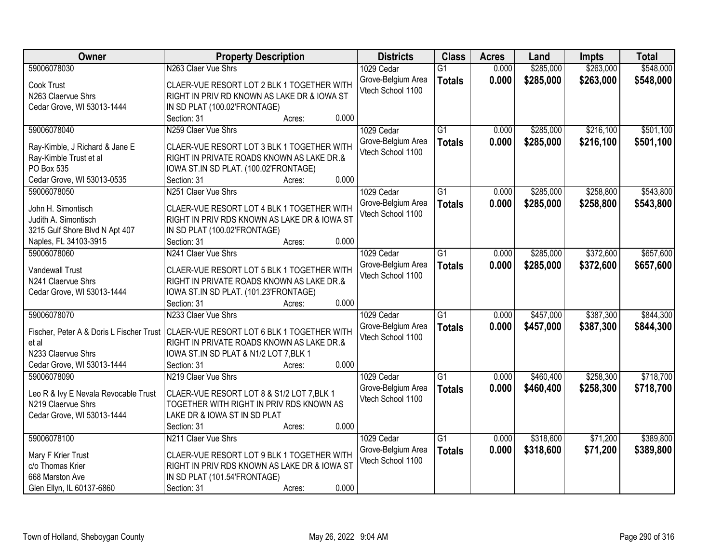| Owner                                | <b>Property Description</b>                                                           | <b>Districts</b>   | <b>Class</b>    | <b>Acres</b> | Land      | Impts     | <b>Total</b> |
|--------------------------------------|---------------------------------------------------------------------------------------|--------------------|-----------------|--------------|-----------|-----------|--------------|
| 59006078030                          | N263 Claer Vue Shrs                                                                   | 1029 Cedar         | $\overline{G1}$ | 0.000        | \$285,000 | \$263,000 | \$548,000    |
| Cook Trust                           | CLAER-VUE RESORT LOT 2 BLK 1 TOGETHER WITH                                            | Grove-Belgium Area | <b>Totals</b>   | 0.000        | \$285,000 | \$263,000 | \$548,000    |
| N263 Claervue Shrs                   | RIGHT IN PRIV RD KNOWN AS LAKE DR & IOWA ST                                           | Vtech School 1100  |                 |              |           |           |              |
| Cedar Grove, WI 53013-1444           | IN SD PLAT (100.02'FRONTAGE)                                                          |                    |                 |              |           |           |              |
|                                      | 0.000<br>Section: 31<br>Acres:                                                        |                    |                 |              |           |           |              |
| 59006078040                          | N259 Claer Vue Shrs                                                                   | 1029 Cedar         | $\overline{G1}$ | 0.000        | \$285,000 | \$216,100 | \$501,100    |
|                                      |                                                                                       | Grove-Belgium Area | <b>Totals</b>   | 0.000        | \$285,000 | \$216,100 | \$501,100    |
| Ray-Kimble, J Richard & Jane E       | CLAER-VUE RESORT LOT 3 BLK 1 TOGETHER WITH                                            | Vtech School 1100  |                 |              |           |           |              |
| Ray-Kimble Trust et al               | RIGHT IN PRIVATE ROADS KNOWN AS LAKE DR.&                                             |                    |                 |              |           |           |              |
| PO Box 535                           | IOWA ST.IN SD PLAT. (100.02'FRONTAGE)                                                 |                    |                 |              |           |           |              |
| Cedar Grove, WI 53013-0535           | 0.000<br>Section: 31<br>Acres:                                                        |                    |                 |              |           |           |              |
| 59006078050                          | N251 Claer Vue Shrs                                                                   | 1029 Cedar         | G1              | 0.000        | \$285,000 | \$258,800 | \$543,800    |
| John H. Simontisch                   | CLAER-VUE RESORT LOT 4 BLK 1 TOGETHER WITH                                            | Grove-Belgium Area | <b>Totals</b>   | 0.000        | \$285,000 | \$258,800 | \$543,800    |
| Judith A. Simontisch                 | RIGHT IN PRIV RDS KNOWN AS LAKE DR & IOWA ST                                          | Vtech School 1100  |                 |              |           |           |              |
| 3215 Gulf Shore Blvd N Apt 407       | IN SD PLAT (100.02'FRONTAGE)                                                          |                    |                 |              |           |           |              |
|                                      | 0.000<br>Section: 31                                                                  |                    |                 |              |           |           |              |
| Naples, FL 34103-3915                | Acres:                                                                                |                    |                 |              |           |           |              |
| 59006078060                          | N241 Claer Vue Shrs                                                                   | 1029 Cedar         | G1              | 0.000        | \$285,000 | \$372,600 | \$657,600    |
| <b>Vandewall Trust</b>               | CLAER-VUE RESORT LOT 5 BLK 1 TOGETHER WITH                                            | Grove-Belgium Area | <b>Totals</b>   | 0.000        | \$285,000 | \$372,600 | \$657,600    |
| N241 Claervue Shrs                   | RIGHT IN PRIVATE ROADS KNOWN AS LAKE DR.&                                             | Vtech School 1100  |                 |              |           |           |              |
| Cedar Grove, WI 53013-1444           | IOWA ST.IN SD PLAT. (101.23'FRONTAGE)                                                 |                    |                 |              |           |           |              |
|                                      | 0.000<br>Section: 31<br>Acres:                                                        |                    |                 |              |           |           |              |
| 59006078070                          | N233 Claer Vue Shrs                                                                   | 1029 Cedar         | $\overline{G1}$ | 0.000        | \$457,000 | \$387,300 | \$844,300    |
|                                      |                                                                                       | Grove-Belgium Area | <b>Totals</b>   | 0.000        | \$457,000 | \$387,300 | \$844,300    |
|                                      | Fischer, Peter A & Doris L Fischer Trust   CLAER-VUE RESORT LOT 6 BLK 1 TOGETHER WITH | Vtech School 1100  |                 |              |           |           |              |
| et al                                | RIGHT IN PRIVATE ROADS KNOWN AS LAKE DR.&                                             |                    |                 |              |           |           |              |
| N233 Claervue Shrs                   | IOWA ST.IN SD PLAT & N1/2 LOT 7, BLK 1                                                |                    |                 |              |           |           |              |
| Cedar Grove, WI 53013-1444           | Section: 31<br>0.000<br>Acres:                                                        |                    |                 |              |           |           |              |
| 59006078090                          | N219 Claer Vue Shrs                                                                   | 1029 Cedar         | $\overline{G1}$ | 0.000        | \$460,400 | \$258,300 | \$718,700    |
| Leo R & Ivy E Nevala Revocable Trust | CLAER-VUE RESORT LOT 8 & S1/2 LOT 7, BLK 1                                            | Grove-Belgium Area | <b>Totals</b>   | 0.000        | \$460,400 | \$258,300 | \$718,700    |
| N219 Claervue Shrs                   | TOGETHER WITH RIGHT IN PRIV RDS KNOWN AS                                              | Vtech School 1100  |                 |              |           |           |              |
| Cedar Grove, WI 53013-1444           | LAKE DR & IOWA ST IN SD PLAT                                                          |                    |                 |              |           |           |              |
|                                      | 0.000<br>Section: 31<br>Acres:                                                        |                    |                 |              |           |           |              |
| 59006078100                          | N211 Claer Vue Shrs                                                                   | 1029 Cedar         | $\overline{G1}$ | 0.000        | \$318,600 | \$71,200  | \$389,800    |
|                                      |                                                                                       | Grove-Belgium Area |                 | 0.000        | \$318,600 | \$71,200  | \$389,800    |
| Mary F Krier Trust                   | CLAER-VUE RESORT LOT 9 BLK 1 TOGETHER WITH                                            | Vtech School 1100  | <b>Totals</b>   |              |           |           |              |
| c/o Thomas Krier                     | RIGHT IN PRIV RDS KNOWN AS LAKE DR & IOWA ST                                          |                    |                 |              |           |           |              |
| 668 Marston Ave                      | IN SD PLAT (101.54'FRONTAGE)                                                          |                    |                 |              |           |           |              |
| Glen Ellyn, IL 60137-6860            | 0.000<br>Section: 31<br>Acres:                                                        |                    |                 |              |           |           |              |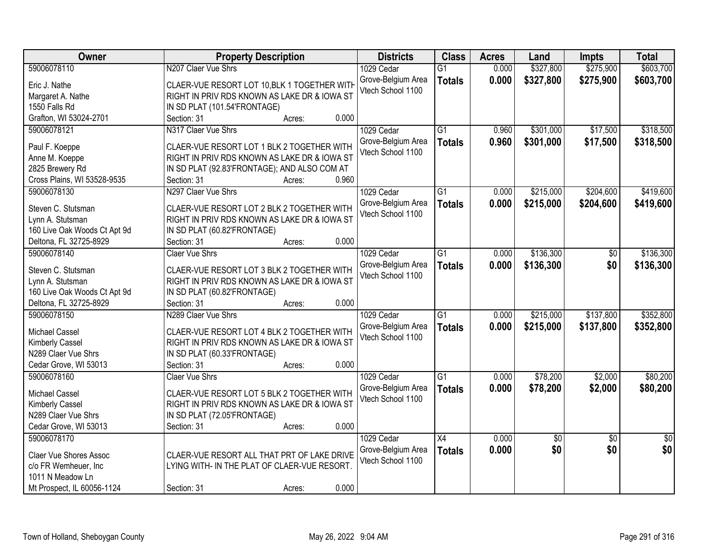| Owner                        | <b>Property Description</b>                  | <b>Districts</b>   | <b>Class</b>    | <b>Acres</b> | Land      | Impts           | <b>Total</b>    |
|------------------------------|----------------------------------------------|--------------------|-----------------|--------------|-----------|-----------------|-----------------|
| 59006078110                  | N207 Claer Vue Shrs                          | 1029 Cedar         | $\overline{G1}$ | 0.000        | \$327,800 | \$275,900       | \$603,700       |
| Eric J. Nathe                | CLAER-VUE RESORT LOT 10, BLK 1 TOGETHER WITH | Grove-Belgium Area | <b>Totals</b>   | 0.000        | \$327,800 | \$275,900       | \$603,700       |
| Margaret A. Nathe            | RIGHT IN PRIV RDS KNOWN AS LAKE DR & IOWA ST | Vtech School 1100  |                 |              |           |                 |                 |
| 1550 Falls Rd                | IN SD PLAT (101.54'FRONTAGE)                 |                    |                 |              |           |                 |                 |
| Grafton, WI 53024-2701       | 0.000<br>Section: 31<br>Acres:               |                    |                 |              |           |                 |                 |
| 59006078121                  | N317 Claer Vue Shrs                          | 1029 Cedar         | $\overline{G1}$ | 0.960        | \$301,000 | \$17,500        | \$318,500       |
|                              |                                              | Grove-Belgium Area |                 | 0.960        | \$301,000 | \$17,500        | \$318,500       |
| Paul F. Koeppe               | CLAER-VUE RESORT LOT 1 BLK 2 TOGETHER WITH   | Vtech School 1100  | <b>Totals</b>   |              |           |                 |                 |
| Anne M. Koeppe               | RIGHT IN PRIV RDS KNOWN AS LAKE DR & IOWA ST |                    |                 |              |           |                 |                 |
| 2825 Brewery Rd              | IN SD PLAT (92.83'FRONTAGE); AND ALSO COM AT |                    |                 |              |           |                 |                 |
| Cross Plains, WI 53528-9535  | 0.960<br>Section: 31<br>Acres:               |                    |                 |              |           |                 |                 |
| 59006078130                  | N297 Claer Vue Shrs                          | 1029 Cedar         | $\overline{G1}$ | 0.000        | \$215,000 | \$204,600       | \$419,600       |
| Steven C. Stutsman           | CLAER-VUE RESORT LOT 2 BLK 2 TOGETHER WITH   | Grove-Belgium Area | <b>Totals</b>   | 0.000        | \$215,000 | \$204,600       | \$419,600       |
|                              |                                              | Vtech School 1100  |                 |              |           |                 |                 |
| Lynn A. Stutsman             | RIGHT IN PRIV RDS KNOWN AS LAKE DR & IOWA ST |                    |                 |              |           |                 |                 |
| 160 Live Oak Woods Ct Apt 9d | IN SD PLAT (60.82'FRONTAGE)<br>0.000         |                    |                 |              |           |                 |                 |
| Deltona, FL 32725-8929       | Section: 31<br>Acres:                        |                    |                 |              |           |                 |                 |
| 59006078140                  | <b>Claer Vue Shrs</b>                        | 1029 Cedar         | $\overline{G1}$ | 0.000        | \$136,300 | \$0             | \$136,300       |
| Steven C. Stutsman           | CLAER-VUE RESORT LOT 3 BLK 2 TOGETHER WITH   | Grove-Belgium Area | <b>Totals</b>   | 0.000        | \$136,300 | \$0             | \$136,300       |
| Lynn A. Stutsman             | RIGHT IN PRIV RDS KNOWN AS LAKE DR & IOWA ST | Vtech School 1100  |                 |              |           |                 |                 |
| 160 Live Oak Woods Ct Apt 9d | IN SD PLAT (60.82'FRONTAGE)                  |                    |                 |              |           |                 |                 |
| Deltona, FL 32725-8929       | 0.000<br>Section: 31<br>Acres:               |                    |                 |              |           |                 |                 |
| 59006078150                  | N289 Claer Vue Shrs                          | 1029 Cedar         | $\overline{G1}$ | 0.000        | \$215,000 | \$137,800       | \$352,800       |
|                              |                                              | Grove-Belgium Area | <b>Totals</b>   | 0.000        | \$215,000 | \$137,800       | \$352,800       |
| Michael Cassel               | CLAER-VUE RESORT LOT 4 BLK 2 TOGETHER WITH   | Vtech School 1100  |                 |              |           |                 |                 |
| Kimberly Cassel              | RIGHT IN PRIV RDS KNOWN AS LAKE DR & IOWA ST |                    |                 |              |           |                 |                 |
| N289 Claer Vue Shrs          | IN SD PLAT (60.33'FRONTAGE)                  |                    |                 |              |           |                 |                 |
| Cedar Grove, WI 53013        | 0.000<br>Section: 31<br>Acres:               |                    |                 |              |           |                 |                 |
| 59006078160                  | <b>Claer Vue Shrs</b>                        | 1029 Cedar         | $\overline{G1}$ | 0.000        | \$78,200  | \$2,000         | \$80,200        |
| Michael Cassel               | CLAER-VUE RESORT LOT 5 BLK 2 TOGETHER WITH   | Grove-Belgium Area | <b>Totals</b>   | 0.000        | \$78,200  | \$2,000         | \$80,200        |
| Kimberly Cassel              | RIGHT IN PRIV RDS KNOWN AS LAKE DR & IOWA ST | Vtech School 1100  |                 |              |           |                 |                 |
| N289 Claer Vue Shrs          | IN SD PLAT (72.05'FRONTAGE)                  |                    |                 |              |           |                 |                 |
| Cedar Grove, WI 53013        | 0.000<br>Section: 31<br>Acres:               |                    |                 |              |           |                 |                 |
| 59006078170                  |                                              | 1029 Cedar         | $\overline{X4}$ | 0.000        | \$0       | $\overline{50}$ | $\overline{50}$ |
|                              |                                              | Grove-Belgium Area | <b>Totals</b>   | 0.000        | \$0       | \$0             | \$0             |
| Claer Vue Shores Assoc       | CLAER-VUE RESORT ALL THAT PRT OF LAKE DRIVE  | Vtech School 1100  |                 |              |           |                 |                 |
| c/o FR Wemheuer, Inc         | LYING WITH- IN THE PLAT OF CLAER-VUE RESORT. |                    |                 |              |           |                 |                 |
| 1011 N Meadow Ln             |                                              |                    |                 |              |           |                 |                 |
| Mt Prospect, IL 60056-1124   | 0.000<br>Section: 31<br>Acres:               |                    |                 |              |           |                 |                 |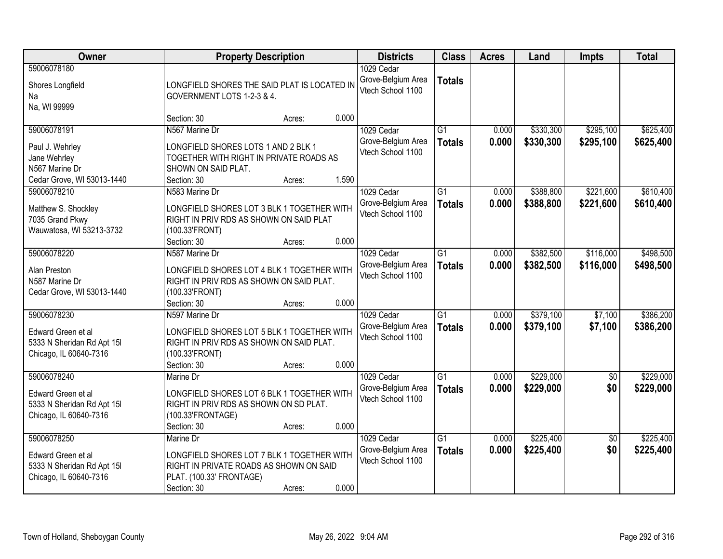| Owner                                                                                          |                                                                                                                                        | <b>Property Description</b> |       | <b>Districts</b>                                      | <b>Class</b>                     | <b>Acres</b>   | Land                   | <b>Impts</b>           | <b>Total</b>           |
|------------------------------------------------------------------------------------------------|----------------------------------------------------------------------------------------------------------------------------------------|-----------------------------|-------|-------------------------------------------------------|----------------------------------|----------------|------------------------|------------------------|------------------------|
| 59006078180<br>Shores Longfield<br>Na<br>Na, WI 99999                                          | LONGFIELD SHORES THE SAID PLAT IS LOCATED IN<br>GOVERNMENT LOTS 1-2-3 & 4.                                                             |                             |       | 1029 Cedar<br>Grove-Belgium Area<br>Vtech School 1100 | <b>Totals</b>                    |                |                        |                        |                        |
|                                                                                                | Section: 30                                                                                                                            | Acres:                      | 0.000 |                                                       |                                  |                |                        |                        |                        |
| 59006078191<br>Paul J. Wehrley<br>Jane Wehrley<br>N567 Marine Dr<br>Cedar Grove, WI 53013-1440 | N567 Marine Dr<br>LONGFIELD SHORES LOTS 1 AND 2 BLK 1<br>TOGETHER WITH RIGHT IN PRIVATE ROADS AS<br>SHOWN ON SAID PLAT.<br>Section: 30 | Acres:                      | 1.590 | 1029 Cedar<br>Grove-Belgium Area<br>Vtech School 1100 | $\overline{G1}$<br><b>Totals</b> | 0.000<br>0.000 | \$330,300<br>\$330,300 | \$295,100<br>\$295,100 | \$625,400<br>\$625,400 |
| 59006078210                                                                                    | N583 Marine Dr                                                                                                                         |                             |       | 1029 Cedar                                            | G1                               | 0.000          | \$388,800              | \$221,600              | \$610,400              |
| Matthew S. Shockley<br>7035 Grand Pkwy<br>Wauwatosa, WI 53213-3732                             | LONGFIELD SHORES LOT 3 BLK 1 TOGETHER WITH<br>RIGHT IN PRIV RDS AS SHOWN ON SAID PLAT<br>(100.33'FRONT)                                |                             |       | Grove-Belgium Area<br>Vtech School 1100               | <b>Totals</b>                    | 0.000          | \$388,800              | \$221,600              | \$610,400              |
|                                                                                                | Section: 30                                                                                                                            | Acres:                      | 0.000 |                                                       |                                  |                |                        |                        |                        |
| 59006078220<br>Alan Preston<br>N587 Marine Dr<br>Cedar Grove, WI 53013-1440                    | N587 Marine Dr<br>LONGFIELD SHORES LOT 4 BLK 1 TOGETHER WITH<br>RIGHT IN PRIV RDS AS SHOWN ON SAID PLAT.<br>(100.33'FRONT)             |                             |       | 1029 Cedar<br>Grove-Belgium Area<br>Vtech School 1100 | $\overline{G1}$<br><b>Totals</b> | 0.000<br>0.000 | \$382,500<br>\$382,500 | \$116,000<br>\$116,000 | \$498,500<br>\$498,500 |
|                                                                                                | Section: 30                                                                                                                            | Acres:                      | 0.000 |                                                       |                                  |                |                        |                        |                        |
| 59006078230<br>Edward Green et al<br>5333 N Sheridan Rd Apt 15I<br>Chicago, IL 60640-7316      | N597 Marine Dr<br>LONGFIELD SHORES LOT 5 BLK 1 TOGETHER WITH<br>RIGHT IN PRIV RDS AS SHOWN ON SAID PLAT.<br>(100.33'FRONT)             |                             |       | 1029 Cedar<br>Grove-Belgium Area<br>Vtech School 1100 | $\overline{G1}$<br><b>Totals</b> | 0.000<br>0.000 | \$379,100<br>\$379,100 | \$7,100<br>\$7,100     | \$386,200<br>\$386,200 |
|                                                                                                | Section: 30                                                                                                                            | Acres:                      | 0.000 |                                                       |                                  |                |                        |                        |                        |
| 59006078240<br>Edward Green et al<br>5333 N Sheridan Rd Apt 15I<br>Chicago, IL 60640-7316      | Marine Dr<br>LONGFIELD SHORES LOT 6 BLK 1 TOGETHER WITH<br>RIGHT IN PRIV RDS AS SHOWN ON SD PLAT.<br>(100.33'FRONTAGE)                 |                             |       | 1029 Cedar<br>Grove-Belgium Area<br>Vtech School 1100 | $\overline{G1}$<br><b>Totals</b> | 0.000<br>0.000 | \$229,000<br>\$229,000 | $\sqrt{6}$<br>\$0      | \$229,000<br>\$229,000 |
| 59006078250                                                                                    | Section: 30<br>Marine Dr                                                                                                               | Acres:                      | 0.000 | 1029 Cedar                                            | $\overline{G1}$                  | 0.000          | \$225,400              | $\overline{50}$        | \$225,400              |
| Edward Green et al<br>5333 N Sheridan Rd Apt 15I<br>Chicago, IL 60640-7316                     | LONGFIELD SHORES LOT 7 BLK 1 TOGETHER WITH<br>RIGHT IN PRIVATE ROADS AS SHOWN ON SAID<br>PLAT. (100.33' FRONTAGE)<br>Section: 30       | Acres:                      | 0.000 | Grove-Belgium Area<br>Vtech School 1100               | <b>Totals</b>                    | 0.000          | \$225,400              | \$0                    | \$225,400              |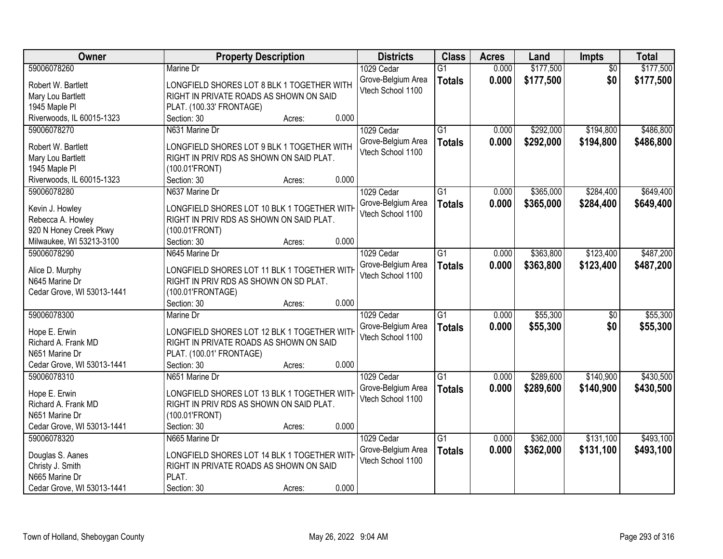| <b>Owner</b>               | <b>Property Description</b>                 | <b>Districts</b>                        | <b>Class</b>    | <b>Acres</b> | Land      | <b>Impts</b>    | <b>Total</b> |
|----------------------------|---------------------------------------------|-----------------------------------------|-----------------|--------------|-----------|-----------------|--------------|
| 59006078260                | Marine Dr                                   | 1029 Cedar                              | $\overline{G1}$ | 0.000        | \$177,500 | $\overline{30}$ | \$177,500    |
| Robert W. Bartlett         | LONGFIELD SHORES LOT 8 BLK 1 TOGETHER WITH  | Grove-Belgium Area                      | <b>Totals</b>   | 0.000        | \$177,500 | \$0             | \$177,500    |
| Mary Lou Bartlett          | RIGHT IN PRIVATE ROADS AS SHOWN ON SAID     | Vtech School 1100                       |                 |              |           |                 |              |
| 1945 Maple Pl              | PLAT. (100.33' FRONTAGE)                    |                                         |                 |              |           |                 |              |
| Riverwoods, IL 60015-1323  | 0.000<br>Section: 30<br>Acres:              |                                         |                 |              |           |                 |              |
| 59006078270                | N631 Marine Dr                              | 1029 Cedar                              | $\overline{G1}$ | 0.000        | \$292,000 | \$194,800       | \$486,800    |
|                            |                                             | Grove-Belgium Area                      | <b>Totals</b>   | 0.000        | \$292,000 | \$194,800       | \$486,800    |
| Robert W. Bartlett         | LONGFIELD SHORES LOT 9 BLK 1 TOGETHER WITH  | Vtech School 1100                       |                 |              |           |                 |              |
| Mary Lou Bartlett          | RIGHT IN PRIV RDS AS SHOWN ON SAID PLAT.    |                                         |                 |              |           |                 |              |
| 1945 Maple Pl              | (100.01'FRONT)                              |                                         |                 |              |           |                 |              |
| Riverwoods, IL 60015-1323  | 0.000<br>Section: 30<br>Acres:              |                                         |                 |              |           |                 |              |
| 59006078280                | N637 Marine Dr                              | 1029 Cedar                              | G1              | 0.000        | \$365,000 | \$284,400       | \$649,400    |
| Kevin J. Howley            | LONGFIELD SHORES LOT 10 BLK 1 TOGETHER WITH | Grove-Belgium Area                      | <b>Totals</b>   | 0.000        | \$365,000 | \$284,400       | \$649,400    |
| Rebecca A. Howley          | RIGHT IN PRIV RDS AS SHOWN ON SAID PLAT.    | Vtech School 1100                       |                 |              |           |                 |              |
| 920 N Honey Creek Pkwy     | (100.01'FRONT)                              |                                         |                 |              |           |                 |              |
| Milwaukee, WI 53213-3100   | 0.000<br>Section: 30<br>Acres:              |                                         |                 |              |           |                 |              |
| 59006078290                | N645 Marine Dr                              | 1029 Cedar                              | $\overline{G1}$ | 0.000        | \$363,800 | \$123,400       | \$487,200    |
|                            |                                             | Grove-Belgium Area                      | <b>Totals</b>   | 0.000        | \$363,800 | \$123,400       | \$487,200    |
| Alice D. Murphy            | LONGFIELD SHORES LOT 11 BLK 1 TOGETHER WITH | Vtech School 1100                       |                 |              |           |                 |              |
| N645 Marine Dr             | RIGHT IN PRIV RDS AS SHOWN ON SD PLAT.      |                                         |                 |              |           |                 |              |
| Cedar Grove, WI 53013-1441 | (100.01'FRONTAGE)<br>0.000<br>Section: 30   |                                         |                 |              |           |                 |              |
| 59006078300                | Acres:<br>Marine Dr                         | 1029 Cedar                              | $\overline{G1}$ | 0.000        | \$55,300  | $\overline{50}$ | \$55,300     |
|                            |                                             |                                         |                 |              |           |                 |              |
| Hope E. Erwin              | LONGFIELD SHORES LOT 12 BLK 1 TOGETHER WITH | Grove-Belgium Area<br>Vtech School 1100 | <b>Totals</b>   | 0.000        | \$55,300  | \$0             | \$55,300     |
| Richard A. Frank MD        | RIGHT IN PRIVATE ROADS AS SHOWN ON SAID     |                                         |                 |              |           |                 |              |
| N651 Marine Dr             | PLAT. (100.01' FRONTAGE)                    |                                         |                 |              |           |                 |              |
| Cedar Grove, WI 53013-1441 | Section: 30<br>0.000<br>Acres:              |                                         |                 |              |           |                 |              |
| 59006078310                | N651 Marine Dr                              | 1029 Cedar                              | $\overline{G1}$ | 0.000        | \$289,600 | \$140,900       | \$430,500    |
| Hope E. Erwin              | LONGFIELD SHORES LOT 13 BLK 1 TOGETHER WITH | Grove-Belgium Area                      | <b>Totals</b>   | 0.000        | \$289,600 | \$140,900       | \$430,500    |
| Richard A. Frank MD        | RIGHT IN PRIV RDS AS SHOWN ON SAID PLAT.    | Vtech School 1100                       |                 |              |           |                 |              |
| N651 Marine Dr             | (100.01'FRONT)                              |                                         |                 |              |           |                 |              |
| Cedar Grove, WI 53013-1441 | 0.000<br>Section: 30<br>Acres:              |                                         |                 |              |           |                 |              |
| 59006078320                | N665 Marine Dr                              | 1029 Cedar                              | $\overline{G1}$ | 0.000        | \$362,000 | \$131,100       | \$493,100    |
|                            |                                             | Grove-Belgium Area                      | <b>Totals</b>   | 0.000        | \$362,000 | \$131,100       | \$493,100    |
| Douglas S. Aanes           | LONGFIELD SHORES LOT 14 BLK 1 TOGETHER WITH | Vtech School 1100                       |                 |              |           |                 |              |
| Christy J. Smith           | RIGHT IN PRIVATE ROADS AS SHOWN ON SAID     |                                         |                 |              |           |                 |              |
| N665 Marine Dr             | PLAT.                                       |                                         |                 |              |           |                 |              |
| Cedar Grove, WI 53013-1441 | 0.000<br>Section: 30<br>Acres:              |                                         |                 |              |           |                 |              |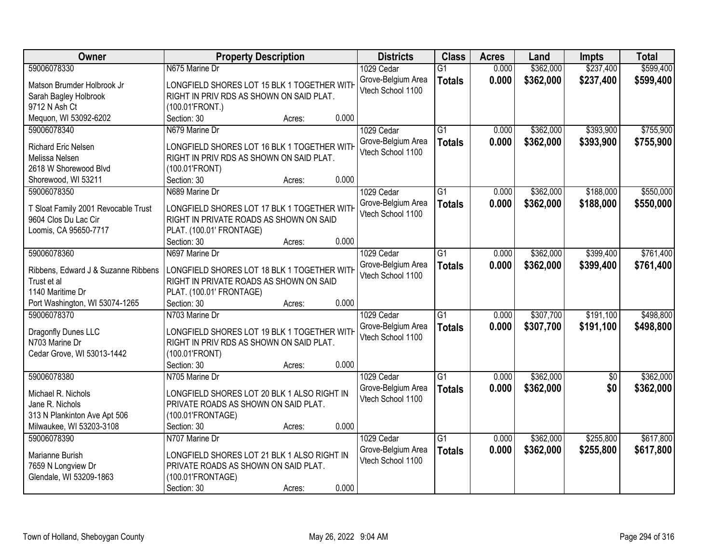| \$237,400<br>\$599,400<br>59006078330<br>\$362,000<br>N675 Marine Dr<br>1029 Cedar<br>$\overline{G1}$<br>0.000<br>0.000<br>\$362,000<br>\$237,400<br>Grove-Belgium Area<br>\$599,400<br><b>Totals</b><br>LONGFIELD SHORES LOT 15 BLK 1 TOGETHER WITH<br>Matson Brumder Holbrook Jr<br>Vtech School 1100<br>RIGHT IN PRIV RDS AS SHOWN ON SAID PLAT.<br>Sarah Bagley Holbrook<br>9712 N Ash Ct<br>(100.01'FRONT.)<br>Mequon, WI 53092-6202<br>0.000<br>Section: 30<br>Acres:<br>$\overline{G1}$<br>\$362,000<br>\$393,900<br>\$755,900<br>59006078340<br>N679 Marine Dr<br>1029 Cedar<br>0.000<br>0.000<br>\$362,000<br>\$393,900<br>Grove-Belgium Area<br><b>Totals</b><br>Richard Eric Nelsen<br>LONGFIELD SHORES LOT 16 BLK 1 TOGETHER WITH<br>Vtech School 1100<br>Melissa Nelsen<br>RIGHT IN PRIV RDS AS SHOWN ON SAID PLAT.<br>2618 W Shorewood Blvd<br>(100.01'FRONT)<br>0.000<br>Shorewood, WI 53211<br>Section: 30<br>Acres:<br>59006078350<br>$\overline{G1}$<br>\$362,000<br>\$188,000<br>N689 Marine Dr<br>1029 Cedar<br>0.000<br>Grove-Belgium Area<br>0.000<br>\$362,000<br>\$188,000<br><b>Totals</b><br>LONGFIELD SHORES LOT 17 BLK 1 TOGETHER WITH<br>T Sloat Family 2001 Revocable Trust<br>Vtech School 1100<br>9604 Clos Du Lac Cir<br>RIGHT IN PRIVATE ROADS AS SHOWN ON SAID<br>Loomis, CA 95650-7717<br>PLAT. (100.01' FRONTAGE)<br>0.000<br>Section: 30<br>Acres:<br>\$399,400<br>59006078360<br>$\overline{G1}$<br>\$362,000<br>N697 Marine Dr<br>1029 Cedar<br>0.000<br>Grove-Belgium Area<br>0.000<br>\$362,000<br>\$399,400<br><b>Totals</b><br>Ribbens, Edward J & Suzanne Ribbens<br>LONGFIELD SHORES LOT 18 BLK 1 TOGETHER WITH<br>Vtech School 1100<br>Trust et al<br>RIGHT IN PRIVATE ROADS AS SHOWN ON SAID<br>1140 Maritime Dr<br>PLAT. (100.01' FRONTAGE)<br>0.000<br>Section: 30<br>Port Washington, WI 53074-1265<br>Acres:<br>$\overline{G1}$<br>\$191,100<br>59006078370<br>N703 Marine Dr<br>0.000<br>\$307,700<br>1029 Cedar<br>0.000<br>\$307,700<br>\$191,100<br>Grove-Belgium Area<br><b>Totals</b><br>Dragonfly Dunes LLC<br>LONGFIELD SHORES LOT 19 BLK 1 TOGETHER WITH<br>Vtech School 1100<br>RIGHT IN PRIV RDS AS SHOWN ON SAID PLAT.<br>N703 Marine Dr<br>Cedar Grove, WI 53013-1442<br>(100.01'FRONT)<br>0.000<br>Section: 30<br>Acres:<br>\$362,000<br>59006078380<br>$\overline{G1}$<br>N705 Marine Dr<br>1029 Cedar<br>0.000<br>$\overline{50}$<br>0.000<br>\$362,000<br>\$0<br>Grove-Belgium Area<br><b>Totals</b><br>LONGFIELD SHORES LOT 20 BLK 1 ALSO RIGHT IN<br>Michael R. Nichols<br>Vtech School 1100<br>Jane R. Nichols<br>PRIVATE ROADS AS SHOWN ON SAID PLAT.<br>313 N Plankinton Ave Apt 506<br>(100.01'FRONTAGE)<br>0.000<br>Milwaukee, WI 53203-3108<br>Section: 30<br>Acres:<br>$\overline{G1}$<br>\$362,000<br>59006078390<br>N707 Marine Dr<br>1029 Cedar<br>0.000<br>\$255,800<br>0.000<br>\$362,000<br>Grove-Belgium Area<br>\$255,800<br><b>Totals</b><br>LONGFIELD SHORES LOT 21 BLK 1 ALSO RIGHT IN<br>Marianne Burish<br>Vtech School 1100<br>PRIVATE ROADS AS SHOWN ON SAID PLAT.<br>7659 N Longview Dr | Owner | <b>Property Description</b> | <b>Districts</b> | <b>Class</b> | <b>Acres</b> | Land | Impts | <b>Total</b> |
|---------------------------------------------------------------------------------------------------------------------------------------------------------------------------------------------------------------------------------------------------------------------------------------------------------------------------------------------------------------------------------------------------------------------------------------------------------------------------------------------------------------------------------------------------------------------------------------------------------------------------------------------------------------------------------------------------------------------------------------------------------------------------------------------------------------------------------------------------------------------------------------------------------------------------------------------------------------------------------------------------------------------------------------------------------------------------------------------------------------------------------------------------------------------------------------------------------------------------------------------------------------------------------------------------------------------------------------------------------------------------------------------------------------------------------------------------------------------------------------------------------------------------------------------------------------------------------------------------------------------------------------------------------------------------------------------------------------------------------------------------------------------------------------------------------------------------------------------------------------------------------------------------------------------------------------------------------------------------------------------------------------------------------------------------------------------------------------------------------------------------------------------------------------------------------------------------------------------------------------------------------------------------------------------------------------------------------------------------------------------------------------------------------------------------------------------------------------------------------------------------------------------------------------------------------------------------------------------------------------------------------------------------------------------------------------------------------------------------------------------------------------------------------------------------------------------------------------------------------------------------------------------------------------------------------------------------------------------------------------------------------------------------------------------------------------------------------------|-------|-----------------------------|------------------|--------------|--------------|------|-------|--------------|
|                                                                                                                                                                                                                                                                                                                                                                                                                                                                                                                                                                                                                                                                                                                                                                                                                                                                                                                                                                                                                                                                                                                                                                                                                                                                                                                                                                                                                                                                                                                                                                                                                                                                                                                                                                                                                                                                                                                                                                                                                                                                                                                                                                                                                                                                                                                                                                                                                                                                                                                                                                                                                                                                                                                                                                                                                                                                                                                                                                                                                                                                                       |       |                             |                  |              |              |      |       |              |
|                                                                                                                                                                                                                                                                                                                                                                                                                                                                                                                                                                                                                                                                                                                                                                                                                                                                                                                                                                                                                                                                                                                                                                                                                                                                                                                                                                                                                                                                                                                                                                                                                                                                                                                                                                                                                                                                                                                                                                                                                                                                                                                                                                                                                                                                                                                                                                                                                                                                                                                                                                                                                                                                                                                                                                                                                                                                                                                                                                                                                                                                                       |       |                             |                  |              |              |      |       |              |
|                                                                                                                                                                                                                                                                                                                                                                                                                                                                                                                                                                                                                                                                                                                                                                                                                                                                                                                                                                                                                                                                                                                                                                                                                                                                                                                                                                                                                                                                                                                                                                                                                                                                                                                                                                                                                                                                                                                                                                                                                                                                                                                                                                                                                                                                                                                                                                                                                                                                                                                                                                                                                                                                                                                                                                                                                                                                                                                                                                                                                                                                                       |       |                             |                  |              |              |      |       |              |
|                                                                                                                                                                                                                                                                                                                                                                                                                                                                                                                                                                                                                                                                                                                                                                                                                                                                                                                                                                                                                                                                                                                                                                                                                                                                                                                                                                                                                                                                                                                                                                                                                                                                                                                                                                                                                                                                                                                                                                                                                                                                                                                                                                                                                                                                                                                                                                                                                                                                                                                                                                                                                                                                                                                                                                                                                                                                                                                                                                                                                                                                                       |       |                             |                  |              |              |      |       |              |
|                                                                                                                                                                                                                                                                                                                                                                                                                                                                                                                                                                                                                                                                                                                                                                                                                                                                                                                                                                                                                                                                                                                                                                                                                                                                                                                                                                                                                                                                                                                                                                                                                                                                                                                                                                                                                                                                                                                                                                                                                                                                                                                                                                                                                                                                                                                                                                                                                                                                                                                                                                                                                                                                                                                                                                                                                                                                                                                                                                                                                                                                                       |       |                             |                  |              |              |      |       |              |
| \$755,900<br>\$550,000<br>\$550,000<br>\$761,400<br>\$761,400<br>\$498,800<br>\$498,800<br>\$362,000<br>\$362,000<br>\$617,800<br>\$617,800                                                                                                                                                                                                                                                                                                                                                                                                                                                                                                                                                                                                                                                                                                                                                                                                                                                                                                                                                                                                                                                                                                                                                                                                                                                                                                                                                                                                                                                                                                                                                                                                                                                                                                                                                                                                                                                                                                                                                                                                                                                                                                                                                                                                                                                                                                                                                                                                                                                                                                                                                                                                                                                                                                                                                                                                                                                                                                                                           |       |                             |                  |              |              |      |       |              |
|                                                                                                                                                                                                                                                                                                                                                                                                                                                                                                                                                                                                                                                                                                                                                                                                                                                                                                                                                                                                                                                                                                                                                                                                                                                                                                                                                                                                                                                                                                                                                                                                                                                                                                                                                                                                                                                                                                                                                                                                                                                                                                                                                                                                                                                                                                                                                                                                                                                                                                                                                                                                                                                                                                                                                                                                                                                                                                                                                                                                                                                                                       |       |                             |                  |              |              |      |       |              |
|                                                                                                                                                                                                                                                                                                                                                                                                                                                                                                                                                                                                                                                                                                                                                                                                                                                                                                                                                                                                                                                                                                                                                                                                                                                                                                                                                                                                                                                                                                                                                                                                                                                                                                                                                                                                                                                                                                                                                                                                                                                                                                                                                                                                                                                                                                                                                                                                                                                                                                                                                                                                                                                                                                                                                                                                                                                                                                                                                                                                                                                                                       |       |                             |                  |              |              |      |       |              |
|                                                                                                                                                                                                                                                                                                                                                                                                                                                                                                                                                                                                                                                                                                                                                                                                                                                                                                                                                                                                                                                                                                                                                                                                                                                                                                                                                                                                                                                                                                                                                                                                                                                                                                                                                                                                                                                                                                                                                                                                                                                                                                                                                                                                                                                                                                                                                                                                                                                                                                                                                                                                                                                                                                                                                                                                                                                                                                                                                                                                                                                                                       |       |                             |                  |              |              |      |       |              |
|                                                                                                                                                                                                                                                                                                                                                                                                                                                                                                                                                                                                                                                                                                                                                                                                                                                                                                                                                                                                                                                                                                                                                                                                                                                                                                                                                                                                                                                                                                                                                                                                                                                                                                                                                                                                                                                                                                                                                                                                                                                                                                                                                                                                                                                                                                                                                                                                                                                                                                                                                                                                                                                                                                                                                                                                                                                                                                                                                                                                                                                                                       |       |                             |                  |              |              |      |       |              |
|                                                                                                                                                                                                                                                                                                                                                                                                                                                                                                                                                                                                                                                                                                                                                                                                                                                                                                                                                                                                                                                                                                                                                                                                                                                                                                                                                                                                                                                                                                                                                                                                                                                                                                                                                                                                                                                                                                                                                                                                                                                                                                                                                                                                                                                                                                                                                                                                                                                                                                                                                                                                                                                                                                                                                                                                                                                                                                                                                                                                                                                                                       |       |                             |                  |              |              |      |       |              |
|                                                                                                                                                                                                                                                                                                                                                                                                                                                                                                                                                                                                                                                                                                                                                                                                                                                                                                                                                                                                                                                                                                                                                                                                                                                                                                                                                                                                                                                                                                                                                                                                                                                                                                                                                                                                                                                                                                                                                                                                                                                                                                                                                                                                                                                                                                                                                                                                                                                                                                                                                                                                                                                                                                                                                                                                                                                                                                                                                                                                                                                                                       |       |                             |                  |              |              |      |       |              |
|                                                                                                                                                                                                                                                                                                                                                                                                                                                                                                                                                                                                                                                                                                                                                                                                                                                                                                                                                                                                                                                                                                                                                                                                                                                                                                                                                                                                                                                                                                                                                                                                                                                                                                                                                                                                                                                                                                                                                                                                                                                                                                                                                                                                                                                                                                                                                                                                                                                                                                                                                                                                                                                                                                                                                                                                                                                                                                                                                                                                                                                                                       |       |                             |                  |              |              |      |       |              |
|                                                                                                                                                                                                                                                                                                                                                                                                                                                                                                                                                                                                                                                                                                                                                                                                                                                                                                                                                                                                                                                                                                                                                                                                                                                                                                                                                                                                                                                                                                                                                                                                                                                                                                                                                                                                                                                                                                                                                                                                                                                                                                                                                                                                                                                                                                                                                                                                                                                                                                                                                                                                                                                                                                                                                                                                                                                                                                                                                                                                                                                                                       |       |                             |                  |              |              |      |       |              |
|                                                                                                                                                                                                                                                                                                                                                                                                                                                                                                                                                                                                                                                                                                                                                                                                                                                                                                                                                                                                                                                                                                                                                                                                                                                                                                                                                                                                                                                                                                                                                                                                                                                                                                                                                                                                                                                                                                                                                                                                                                                                                                                                                                                                                                                                                                                                                                                                                                                                                                                                                                                                                                                                                                                                                                                                                                                                                                                                                                                                                                                                                       |       |                             |                  |              |              |      |       |              |
|                                                                                                                                                                                                                                                                                                                                                                                                                                                                                                                                                                                                                                                                                                                                                                                                                                                                                                                                                                                                                                                                                                                                                                                                                                                                                                                                                                                                                                                                                                                                                                                                                                                                                                                                                                                                                                                                                                                                                                                                                                                                                                                                                                                                                                                                                                                                                                                                                                                                                                                                                                                                                                                                                                                                                                                                                                                                                                                                                                                                                                                                                       |       |                             |                  |              |              |      |       |              |
|                                                                                                                                                                                                                                                                                                                                                                                                                                                                                                                                                                                                                                                                                                                                                                                                                                                                                                                                                                                                                                                                                                                                                                                                                                                                                                                                                                                                                                                                                                                                                                                                                                                                                                                                                                                                                                                                                                                                                                                                                                                                                                                                                                                                                                                                                                                                                                                                                                                                                                                                                                                                                                                                                                                                                                                                                                                                                                                                                                                                                                                                                       |       |                             |                  |              |              |      |       |              |
|                                                                                                                                                                                                                                                                                                                                                                                                                                                                                                                                                                                                                                                                                                                                                                                                                                                                                                                                                                                                                                                                                                                                                                                                                                                                                                                                                                                                                                                                                                                                                                                                                                                                                                                                                                                                                                                                                                                                                                                                                                                                                                                                                                                                                                                                                                                                                                                                                                                                                                                                                                                                                                                                                                                                                                                                                                                                                                                                                                                                                                                                                       |       |                             |                  |              |              |      |       |              |
|                                                                                                                                                                                                                                                                                                                                                                                                                                                                                                                                                                                                                                                                                                                                                                                                                                                                                                                                                                                                                                                                                                                                                                                                                                                                                                                                                                                                                                                                                                                                                                                                                                                                                                                                                                                                                                                                                                                                                                                                                                                                                                                                                                                                                                                                                                                                                                                                                                                                                                                                                                                                                                                                                                                                                                                                                                                                                                                                                                                                                                                                                       |       |                             |                  |              |              |      |       |              |
|                                                                                                                                                                                                                                                                                                                                                                                                                                                                                                                                                                                                                                                                                                                                                                                                                                                                                                                                                                                                                                                                                                                                                                                                                                                                                                                                                                                                                                                                                                                                                                                                                                                                                                                                                                                                                                                                                                                                                                                                                                                                                                                                                                                                                                                                                                                                                                                                                                                                                                                                                                                                                                                                                                                                                                                                                                                                                                                                                                                                                                                                                       |       |                             |                  |              |              |      |       |              |
|                                                                                                                                                                                                                                                                                                                                                                                                                                                                                                                                                                                                                                                                                                                                                                                                                                                                                                                                                                                                                                                                                                                                                                                                                                                                                                                                                                                                                                                                                                                                                                                                                                                                                                                                                                                                                                                                                                                                                                                                                                                                                                                                                                                                                                                                                                                                                                                                                                                                                                                                                                                                                                                                                                                                                                                                                                                                                                                                                                                                                                                                                       |       |                             |                  |              |              |      |       |              |
|                                                                                                                                                                                                                                                                                                                                                                                                                                                                                                                                                                                                                                                                                                                                                                                                                                                                                                                                                                                                                                                                                                                                                                                                                                                                                                                                                                                                                                                                                                                                                                                                                                                                                                                                                                                                                                                                                                                                                                                                                                                                                                                                                                                                                                                                                                                                                                                                                                                                                                                                                                                                                                                                                                                                                                                                                                                                                                                                                                                                                                                                                       |       |                             |                  |              |              |      |       |              |
|                                                                                                                                                                                                                                                                                                                                                                                                                                                                                                                                                                                                                                                                                                                                                                                                                                                                                                                                                                                                                                                                                                                                                                                                                                                                                                                                                                                                                                                                                                                                                                                                                                                                                                                                                                                                                                                                                                                                                                                                                                                                                                                                                                                                                                                                                                                                                                                                                                                                                                                                                                                                                                                                                                                                                                                                                                                                                                                                                                                                                                                                                       |       |                             |                  |              |              |      |       |              |
|                                                                                                                                                                                                                                                                                                                                                                                                                                                                                                                                                                                                                                                                                                                                                                                                                                                                                                                                                                                                                                                                                                                                                                                                                                                                                                                                                                                                                                                                                                                                                                                                                                                                                                                                                                                                                                                                                                                                                                                                                                                                                                                                                                                                                                                                                                                                                                                                                                                                                                                                                                                                                                                                                                                                                                                                                                                                                                                                                                                                                                                                                       |       |                             |                  |              |              |      |       |              |
|                                                                                                                                                                                                                                                                                                                                                                                                                                                                                                                                                                                                                                                                                                                                                                                                                                                                                                                                                                                                                                                                                                                                                                                                                                                                                                                                                                                                                                                                                                                                                                                                                                                                                                                                                                                                                                                                                                                                                                                                                                                                                                                                                                                                                                                                                                                                                                                                                                                                                                                                                                                                                                                                                                                                                                                                                                                                                                                                                                                                                                                                                       |       |                             |                  |              |              |      |       |              |
|                                                                                                                                                                                                                                                                                                                                                                                                                                                                                                                                                                                                                                                                                                                                                                                                                                                                                                                                                                                                                                                                                                                                                                                                                                                                                                                                                                                                                                                                                                                                                                                                                                                                                                                                                                                                                                                                                                                                                                                                                                                                                                                                                                                                                                                                                                                                                                                                                                                                                                                                                                                                                                                                                                                                                                                                                                                                                                                                                                                                                                                                                       |       |                             |                  |              |              |      |       |              |
|                                                                                                                                                                                                                                                                                                                                                                                                                                                                                                                                                                                                                                                                                                                                                                                                                                                                                                                                                                                                                                                                                                                                                                                                                                                                                                                                                                                                                                                                                                                                                                                                                                                                                                                                                                                                                                                                                                                                                                                                                                                                                                                                                                                                                                                                                                                                                                                                                                                                                                                                                                                                                                                                                                                                                                                                                                                                                                                                                                                                                                                                                       |       |                             |                  |              |              |      |       |              |
|                                                                                                                                                                                                                                                                                                                                                                                                                                                                                                                                                                                                                                                                                                                                                                                                                                                                                                                                                                                                                                                                                                                                                                                                                                                                                                                                                                                                                                                                                                                                                                                                                                                                                                                                                                                                                                                                                                                                                                                                                                                                                                                                                                                                                                                                                                                                                                                                                                                                                                                                                                                                                                                                                                                                                                                                                                                                                                                                                                                                                                                                                       |       |                             |                  |              |              |      |       |              |
|                                                                                                                                                                                                                                                                                                                                                                                                                                                                                                                                                                                                                                                                                                                                                                                                                                                                                                                                                                                                                                                                                                                                                                                                                                                                                                                                                                                                                                                                                                                                                                                                                                                                                                                                                                                                                                                                                                                                                                                                                                                                                                                                                                                                                                                                                                                                                                                                                                                                                                                                                                                                                                                                                                                                                                                                                                                                                                                                                                                                                                                                                       |       |                             |                  |              |              |      |       |              |
|                                                                                                                                                                                                                                                                                                                                                                                                                                                                                                                                                                                                                                                                                                                                                                                                                                                                                                                                                                                                                                                                                                                                                                                                                                                                                                                                                                                                                                                                                                                                                                                                                                                                                                                                                                                                                                                                                                                                                                                                                                                                                                                                                                                                                                                                                                                                                                                                                                                                                                                                                                                                                                                                                                                                                                                                                                                                                                                                                                                                                                                                                       |       |                             |                  |              |              |      |       |              |
|                                                                                                                                                                                                                                                                                                                                                                                                                                                                                                                                                                                                                                                                                                                                                                                                                                                                                                                                                                                                                                                                                                                                                                                                                                                                                                                                                                                                                                                                                                                                                                                                                                                                                                                                                                                                                                                                                                                                                                                                                                                                                                                                                                                                                                                                                                                                                                                                                                                                                                                                                                                                                                                                                                                                                                                                                                                                                                                                                                                                                                                                                       |       |                             |                  |              |              |      |       |              |
|                                                                                                                                                                                                                                                                                                                                                                                                                                                                                                                                                                                                                                                                                                                                                                                                                                                                                                                                                                                                                                                                                                                                                                                                                                                                                                                                                                                                                                                                                                                                                                                                                                                                                                                                                                                                                                                                                                                                                                                                                                                                                                                                                                                                                                                                                                                                                                                                                                                                                                                                                                                                                                                                                                                                                                                                                                                                                                                                                                                                                                                                                       |       |                             |                  |              |              |      |       |              |
|                                                                                                                                                                                                                                                                                                                                                                                                                                                                                                                                                                                                                                                                                                                                                                                                                                                                                                                                                                                                                                                                                                                                                                                                                                                                                                                                                                                                                                                                                                                                                                                                                                                                                                                                                                                                                                                                                                                                                                                                                                                                                                                                                                                                                                                                                                                                                                                                                                                                                                                                                                                                                                                                                                                                                                                                                                                                                                                                                                                                                                                                                       |       |                             |                  |              |              |      |       |              |
|                                                                                                                                                                                                                                                                                                                                                                                                                                                                                                                                                                                                                                                                                                                                                                                                                                                                                                                                                                                                                                                                                                                                                                                                                                                                                                                                                                                                                                                                                                                                                                                                                                                                                                                                                                                                                                                                                                                                                                                                                                                                                                                                                                                                                                                                                                                                                                                                                                                                                                                                                                                                                                                                                                                                                                                                                                                                                                                                                                                                                                                                                       |       |                             |                  |              |              |      |       |              |
|                                                                                                                                                                                                                                                                                                                                                                                                                                                                                                                                                                                                                                                                                                                                                                                                                                                                                                                                                                                                                                                                                                                                                                                                                                                                                                                                                                                                                                                                                                                                                                                                                                                                                                                                                                                                                                                                                                                                                                                                                                                                                                                                                                                                                                                                                                                                                                                                                                                                                                                                                                                                                                                                                                                                                                                                                                                                                                                                                                                                                                                                                       |       |                             |                  |              |              |      |       |              |
| Glendale, WI 53209-1863<br>(100.01'FRONTAGE)                                                                                                                                                                                                                                                                                                                                                                                                                                                                                                                                                                                                                                                                                                                                                                                                                                                                                                                                                                                                                                                                                                                                                                                                                                                                                                                                                                                                                                                                                                                                                                                                                                                                                                                                                                                                                                                                                                                                                                                                                                                                                                                                                                                                                                                                                                                                                                                                                                                                                                                                                                                                                                                                                                                                                                                                                                                                                                                                                                                                                                          |       |                             |                  |              |              |      |       |              |
| 0.000<br>Section: 30<br>Acres:                                                                                                                                                                                                                                                                                                                                                                                                                                                                                                                                                                                                                                                                                                                                                                                                                                                                                                                                                                                                                                                                                                                                                                                                                                                                                                                                                                                                                                                                                                                                                                                                                                                                                                                                                                                                                                                                                                                                                                                                                                                                                                                                                                                                                                                                                                                                                                                                                                                                                                                                                                                                                                                                                                                                                                                                                                                                                                                                                                                                                                                        |       |                             |                  |              |              |      |       |              |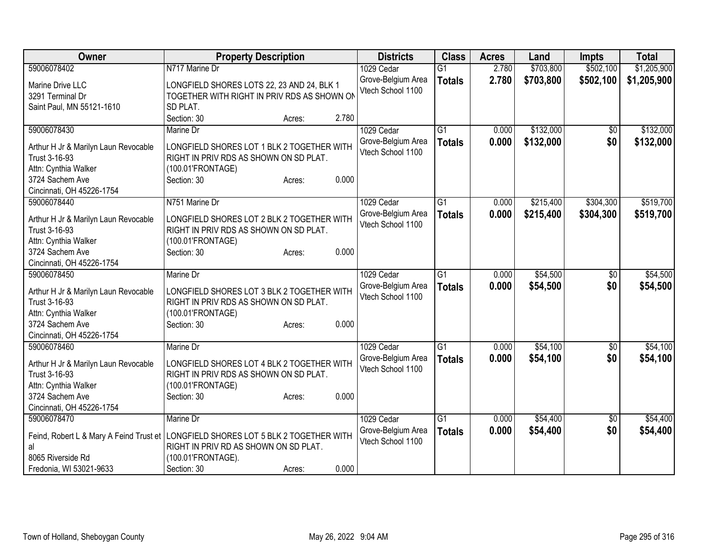| Owner                                                                         | <b>Property Description</b>                                                                                                                                      | <b>Districts</b>                                      | <b>Class</b>                     | <b>Acres</b>   | Land                 | <b>Impts</b> | <b>Total</b>         |
|-------------------------------------------------------------------------------|------------------------------------------------------------------------------------------------------------------------------------------------------------------|-------------------------------------------------------|----------------------------------|----------------|----------------------|--------------|----------------------|
| 59006078402                                                                   | N717 Marine Dr                                                                                                                                                   | 1029 Cedar                                            | $\overline{G1}$                  | 2.780          | \$703,800            | \$502,100    | \$1,205,900          |
| Marine Drive LLC<br>3291 Terminal Dr<br>Saint Paul, MN 55121-1610             | LONGFIELD SHORES LOTS 22, 23 AND 24, BLK 1<br>TOGETHER WITH RIGHT IN PRIV RDS AS SHOWN ON<br>SD PLAT.                                                            | Grove-Belgium Area<br>Vtech School 1100               | <b>Totals</b>                    | 2.780          | \$703,800            | \$502,100    | \$1,205,900          |
|                                                                               | Section: 30<br>2.780<br>Acres:                                                                                                                                   |                                                       |                                  |                |                      |              |                      |
| 59006078430                                                                   | Marine Dr                                                                                                                                                        | 1029 Cedar                                            | $\overline{G1}$                  | 0.000          | \$132,000            | $\sqrt{6}$   | \$132,000            |
| Arthur H Jr & Marilyn Laun Revocable<br>Trust 3-16-93<br>Attn: Cynthia Walker | LONGFIELD SHORES LOT 1 BLK 2 TOGETHER WITH<br>RIGHT IN PRIV RDS AS SHOWN ON SD PLAT.<br>(100.01'FRONTAGE)                                                        | Grove-Belgium Area<br>Vtech School 1100               | <b>Totals</b>                    | 0.000          | \$132,000            | \$0          | \$132,000            |
| 3724 Sachem Ave<br>Cincinnati, OH 45226-1754                                  | 0.000<br>Section: 30<br>Acres:                                                                                                                                   |                                                       |                                  |                |                      |              |                      |
| 59006078440                                                                   | N751 Marine Dr                                                                                                                                                   | 1029 Cedar                                            | $\overline{G1}$                  | 0.000          | \$215,400            | \$304,300    | \$519,700            |
| Arthur H Jr & Marilyn Laun Revocable<br>Trust 3-16-93<br>Attn: Cynthia Walker | LONGFIELD SHORES LOT 2 BLK 2 TOGETHER WITH<br>RIGHT IN PRIV RDS AS SHOWN ON SD PLAT.<br>(100.01'FRONTAGE)                                                        | Grove-Belgium Area<br>Vtech School 1100               | <b>Totals</b>                    | 0.000          | \$215,400            | \$304,300    | \$519,700            |
| 3724 Sachem Ave                                                               | 0.000<br>Section: 30<br>Acres:                                                                                                                                   |                                                       |                                  |                |                      |              |                      |
| Cincinnati, OH 45226-1754                                                     |                                                                                                                                                                  |                                                       |                                  |                |                      |              |                      |
| 59006078450                                                                   | Marine Dr                                                                                                                                                        | 1029 Cedar                                            | $\overline{G1}$                  | 0.000          | \$54,500             | \$0          | \$54,500             |
| Arthur H Jr & Marilyn Laun Revocable<br>Trust 3-16-93<br>Attn: Cynthia Walker | LONGFIELD SHORES LOT 3 BLK 2 TOGETHER WITH<br>RIGHT IN PRIV RDS AS SHOWN ON SD PLAT.<br>(100.01'FRONTAGE)                                                        | Grove-Belgium Area<br>Vtech School 1100               | <b>Totals</b>                    | 0.000          | \$54,500             | \$0          | \$54,500             |
| 3724 Sachem Ave                                                               | 0.000<br>Section: 30<br>Acres:                                                                                                                                   |                                                       |                                  |                |                      |              |                      |
| Cincinnati, OH 45226-1754                                                     |                                                                                                                                                                  |                                                       |                                  |                |                      |              |                      |
| 59006078460                                                                   | Marine Dr                                                                                                                                                        | 1029 Cedar                                            | $\overline{G1}$                  | 0.000          | \$54,100             | $\sqrt[6]{}$ | \$54,100             |
| Arthur H Jr & Marilyn Laun Revocable<br>Trust 3-16-93<br>Attn: Cynthia Walker | LONGFIELD SHORES LOT 4 BLK 2 TOGETHER WITH<br>RIGHT IN PRIV RDS AS SHOWN ON SD PLAT.<br>(100.01'FRONTAGE)                                                        | Grove-Belgium Area<br>Vtech School 1100               | <b>Totals</b>                    | 0.000          | \$54,100             | \$0          | \$54,100             |
| 3724 Sachem Ave                                                               | 0.000<br>Section: 30<br>Acres:                                                                                                                                   |                                                       |                                  |                |                      |              |                      |
| Cincinnati, OH 45226-1754                                                     |                                                                                                                                                                  |                                                       |                                  |                |                      |              |                      |
| 59006078470<br>al<br>8065 Riverside Rd                                        | Marine Dr<br>Feind, Robert L & Mary A Feind Trust et   LONGFIELD SHORES LOT 5 BLK 2 TOGETHER WITH<br>RIGHT IN PRIV RD AS SHOWN ON SD PLAT.<br>(100.01'FRONTAGE). | 1029 Cedar<br>Grove-Belgium Area<br>Vtech School 1100 | $\overline{G1}$<br><b>Totals</b> | 0.000<br>0.000 | \$54,400<br>\$54,400 | \$0<br>\$0   | \$54,400<br>\$54,400 |
| Fredonia, WI 53021-9633                                                       | 0.000<br>Section: 30<br>Acres:                                                                                                                                   |                                                       |                                  |                |                      |              |                      |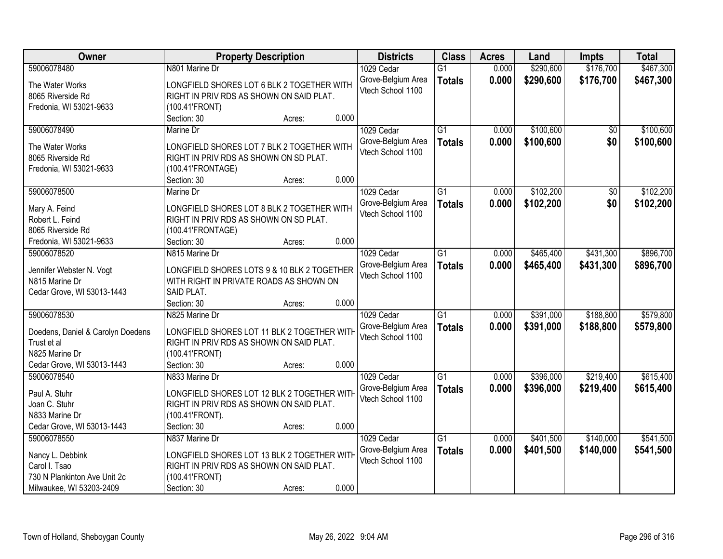| Owner                             | <b>Property Description</b>                           | <b>Districts</b>                        | <b>Class</b>    | <b>Acres</b> | Land      | <b>Impts</b>    | <b>Total</b> |
|-----------------------------------|-------------------------------------------------------|-----------------------------------------|-----------------|--------------|-----------|-----------------|--------------|
| 59006078480                       | N801 Marine Dr                                        | 1029 Cedar                              | $\overline{G1}$ | 0.000        | \$290,600 | \$176,700       | \$467,300    |
| The Water Works                   | LONGFIELD SHORES LOT 6 BLK 2 TOGETHER WITH            | Grove-Belgium Area                      | <b>Totals</b>   | 0.000        | \$290,600 | \$176,700       | \$467,300    |
| 8065 Riverside Rd                 | RIGHT IN PRIV RDS AS SHOWN ON SAID PLAT.              | Vtech School 1100                       |                 |              |           |                 |              |
| Fredonia, WI 53021-9633           | (100.41'FRONT)                                        |                                         |                 |              |           |                 |              |
|                                   | 0.000<br>Section: 30<br>Acres:                        |                                         |                 |              |           |                 |              |
| 59006078490                       | Marine Dr                                             | 1029 Cedar                              | $\overline{G1}$ | 0.000        | \$100,600 | $\overline{50}$ | \$100,600    |
|                                   |                                                       | Grove-Belgium Area                      | <b>Totals</b>   | 0.000        | \$100,600 | \$0             | \$100,600    |
| The Water Works                   | LONGFIELD SHORES LOT 7 BLK 2 TOGETHER WITH            | Vtech School 1100                       |                 |              |           |                 |              |
| 8065 Riverside Rd                 | RIGHT IN PRIV RDS AS SHOWN ON SD PLAT.                |                                         |                 |              |           |                 |              |
| Fredonia, WI 53021-9633           | (100.41'FRONTAGE)<br>0.000                            |                                         |                 |              |           |                 |              |
|                                   | Section: 30<br>Acres:                                 |                                         |                 |              |           |                 |              |
| 59006078500                       | Marine Dr                                             | 1029 Cedar                              | G1              | 0.000        | \$102,200 | \$0             | \$102,200    |
| Mary A. Feind                     | LONGFIELD SHORES LOT 8 BLK 2 TOGETHER WITH            | Grove-Belgium Area                      | <b>Totals</b>   | 0.000        | \$102,200 | \$0             | \$102,200    |
| Robert L. Feind                   | RIGHT IN PRIV RDS AS SHOWN ON SD PLAT.                | Vtech School 1100                       |                 |              |           |                 |              |
| 8065 Riverside Rd                 | (100.41'FRONTAGE)                                     |                                         |                 |              |           |                 |              |
| Fredonia, WI 53021-9633           | 0.000<br>Section: 30<br>Acres:                        |                                         |                 |              |           |                 |              |
| 59006078520                       | N815 Marine Dr                                        | 1029 Cedar                              | G1              | 0.000        | \$465,400 | \$431,300       | \$896,700    |
|                                   |                                                       | Grove-Belgium Area                      | <b>Totals</b>   | 0.000        | \$465,400 | \$431,300       | \$896,700    |
| Jennifer Webster N. Vogt          | LONGFIELD SHORES LOTS 9 & 10 BLK 2 TOGETHER           | Vtech School 1100                       |                 |              |           |                 |              |
| N815 Marine Dr                    | WITH RIGHT IN PRIVATE ROADS AS SHOWN ON<br>SAID PLAT. |                                         |                 |              |           |                 |              |
| Cedar Grove, WI 53013-1443        | 0.000<br>Section: 30                                  |                                         |                 |              |           |                 |              |
| 59006078530                       | Acres:<br>N825 Marine Dr                              |                                         | $\overline{G1}$ | 0.000        | \$391,000 | \$188,800       | \$579,800    |
|                                   |                                                       | 1029 Cedar                              |                 |              |           |                 |              |
| Doedens, Daniel & Carolyn Doedens | LONGFIELD SHORES LOT 11 BLK 2 TOGETHER WITH           | Grove-Belgium Area<br>Vtech School 1100 | <b>Totals</b>   | 0.000        | \$391,000 | \$188,800       | \$579,800    |
| Trust et al                       | RIGHT IN PRIV RDS AS SHOWN ON SAID PLAT.              |                                         |                 |              |           |                 |              |
| N825 Marine Dr                    | (100.41'FRONT)                                        |                                         |                 |              |           |                 |              |
| Cedar Grove, WI 53013-1443        | Section: 30<br>0.000<br>Acres:                        |                                         |                 |              |           |                 |              |
| 59006078540                       | N833 Marine Dr                                        | 1029 Cedar                              | $\overline{G1}$ | 0.000        | \$396,000 | \$219,400       | \$615,400    |
| Paul A. Stuhr                     | LONGFIELD SHORES LOT 12 BLK 2 TOGETHER WITH           | Grove-Belgium Area                      | <b>Totals</b>   | 0.000        | \$396,000 | \$219,400       | \$615,400    |
| Joan C. Stuhr                     | RIGHT IN PRIV RDS AS SHOWN ON SAID PLAT.              | Vtech School 1100                       |                 |              |           |                 |              |
| N833 Marine Dr                    | (100.41'FRONT).                                       |                                         |                 |              |           |                 |              |
| Cedar Grove, WI 53013-1443        | 0.000<br>Section: 30<br>Acres:                        |                                         |                 |              |           |                 |              |
| 59006078550                       | N837 Marine Dr                                        | 1029 Cedar                              | $\overline{G1}$ | 0.000        | \$401,500 | \$140,000       | \$541,500    |
|                                   |                                                       | Grove-Belgium Area                      | <b>Totals</b>   | 0.000        | \$401,500 | \$140,000       | \$541,500    |
| Nancy L. Debbink                  | LONGFIELD SHORES LOT 13 BLK 2 TOGETHER WITH           | Vtech School 1100                       |                 |              |           |                 |              |
| Carol I. Tsao                     | RIGHT IN PRIV RDS AS SHOWN ON SAID PLAT.              |                                         |                 |              |           |                 |              |
| 730 N Plankinton Ave Unit 2c      | (100.41'FRONT)                                        |                                         |                 |              |           |                 |              |
| Milwaukee, WI 53203-2409          | 0.000<br>Section: 30<br>Acres:                        |                                         |                 |              |           |                 |              |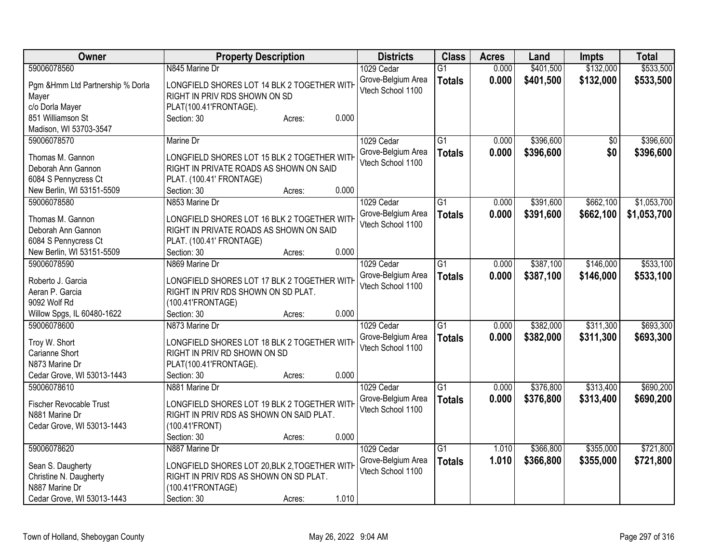| Owner                                       | <b>Property Description</b>                                                             | <b>Districts</b>   | <b>Class</b>    | <b>Acres</b> | Land      | Impts           | <b>Total</b> |
|---------------------------------------------|-----------------------------------------------------------------------------------------|--------------------|-----------------|--------------|-----------|-----------------|--------------|
| 59006078560                                 | N845 Marine Dr                                                                          | 1029 Cedar         | $\overline{G1}$ | 0.000        | \$401,500 | \$132,000       | \$533,500    |
| Pgm & Hmm Ltd Partnership % Dorla           | LONGFIELD SHORES LOT 14 BLK 2 TOGETHER WITH                                             | Grove-Belgium Area | <b>Totals</b>   | 0.000        | \$401,500 | \$132,000       | \$533,500    |
| Mayer                                       | RIGHT IN PRIV RDS SHOWN ON SD                                                           | Vtech School 1100  |                 |              |           |                 |              |
| c/o Dorla Mayer                             | PLAT(100.41'FRONTAGE).                                                                  |                    |                 |              |           |                 |              |
| 851 Williamson St                           | 0.000<br>Section: 30<br>Acres:                                                          |                    |                 |              |           |                 |              |
| Madison, WI 53703-3547                      |                                                                                         |                    |                 |              |           |                 |              |
| 59006078570                                 | Marine Dr                                                                               | 1029 Cedar         | G1              | 0.000        | \$396,600 | $\overline{60}$ | \$396,600    |
|                                             |                                                                                         | Grove-Belgium Area | <b>Totals</b>   | 0.000        | \$396,600 | \$0             | \$396,600    |
| Thomas M. Gannon                            | LONGFIELD SHORES LOT 15 BLK 2 TOGETHER WITH                                             | Vtech School 1100  |                 |              |           |                 |              |
| Deborah Ann Gannon                          | RIGHT IN PRIVATE ROADS AS SHOWN ON SAID                                                 |                    |                 |              |           |                 |              |
| 6084 S Pennycress Ct                        | PLAT. (100.41' FRONTAGE)                                                                |                    |                 |              |           |                 |              |
| New Berlin, WI 53151-5509                   | 0.000<br>Section: 30<br>Acres:                                                          |                    |                 |              |           |                 |              |
| 59006078580                                 | N853 Marine Dr                                                                          | 1029 Cedar         | $\overline{G1}$ | 0.000        | \$391,600 | \$662,100       | \$1,053,700  |
| Thomas M. Gannon                            | LONGFIELD SHORES LOT 16 BLK 2 TOGETHER WITH                                             | Grove-Belgium Area | <b>Totals</b>   | 0.000        | \$391,600 | \$662,100       | \$1,053,700  |
| Deborah Ann Gannon                          | RIGHT IN PRIVATE ROADS AS SHOWN ON SAID                                                 | Vtech School 1100  |                 |              |           |                 |              |
| 6084 S Pennycress Ct                        | PLAT. (100.41' FRONTAGE)                                                                |                    |                 |              |           |                 |              |
| New Berlin, WI 53151-5509                   | 0.000<br>Section: 30<br>Acres:                                                          |                    |                 |              |           |                 |              |
| 59006078590                                 | N869 Marine Dr                                                                          | 1029 Cedar         | $\overline{G1}$ | 0.000        | \$387,100 | \$146,000       | \$533,100    |
|                                             |                                                                                         | Grove-Belgium Area | <b>Totals</b>   | 0.000        | \$387,100 | \$146,000       | \$533,100    |
| Roberto J. Garcia                           | LONGFIELD SHORES LOT 17 BLK 2 TOGETHER WITH                                             | Vtech School 1100  |                 |              |           |                 |              |
| Aeran P. Garcia                             | RIGHT IN PRIV RDS SHOWN ON SD PLAT.                                                     |                    |                 |              |           |                 |              |
| 9092 Wolf Rd                                | (100.41'FRONTAGE)                                                                       |                    |                 |              |           |                 |              |
| Willow Spgs, IL 60480-1622                  | 0.000<br>Section: 30<br>Acres:                                                          |                    |                 |              |           |                 |              |
| 59006078600                                 | N873 Marine Dr                                                                          | 1029 Cedar         | G1              | 0.000        | \$382,000 | \$311,300       | \$693,300    |
| Troy W. Short                               | LONGFIELD SHORES LOT 18 BLK 2 TOGETHER WITH                                             | Grove-Belgium Area | <b>Totals</b>   | 0.000        | \$382,000 | \$311,300       | \$693,300    |
| Carianne Short                              | RIGHT IN PRIV RD SHOWN ON SD                                                            | Vtech School 1100  |                 |              |           |                 |              |
| N873 Marine Dr                              | PLAT(100.41'FRONTAGE).                                                                  |                    |                 |              |           |                 |              |
| Cedar Grove, WI 53013-1443                  | 0.000<br>Section: 30<br>Acres:                                                          |                    |                 |              |           |                 |              |
| 59006078610                                 | N881 Marine Dr                                                                          | 1029 Cedar         | $\overline{G1}$ | 0.000        | \$376,800 | \$313,400       | \$690,200    |
|                                             |                                                                                         | Grove-Belgium Area |                 | 0.000        | \$376,800 | \$313,400       | \$690,200    |
| <b>Fischer Revocable Trust</b>              | LONGFIELD SHORES LOT 19 BLK 2 TOGETHER WITH                                             | Vtech School 1100  | <b>Totals</b>   |              |           |                 |              |
| N881 Marine Dr                              | RIGHT IN PRIV RDS AS SHOWN ON SAID PLAT.                                                |                    |                 |              |           |                 |              |
| Cedar Grove, WI 53013-1443                  | (100.41'FRONT)                                                                          |                    |                 |              |           |                 |              |
|                                             | 0.000<br>Section: 30<br>Acres:                                                          |                    |                 |              |           |                 |              |
| 59006078620                                 | N887 Marine Dr                                                                          | 1029 Cedar         | $\overline{G1}$ | 1.010        | \$366,800 | \$355,000       | \$721,800    |
|                                             |                                                                                         | Grove-Belgium Area | <b>Totals</b>   | 1.010        | \$366,800 | \$355,000       | \$721,800    |
| Sean S. Daugherty<br>Christine N. Daugherty | LONGFIELD SHORES LOT 20, BLK 2, TOGETHER WITH<br>RIGHT IN PRIV RDS AS SHOWN ON SD PLAT. | Vtech School 1100  |                 |              |           |                 |              |
| N887 Marine Dr                              |                                                                                         |                    |                 |              |           |                 |              |
|                                             | (100.41'FRONTAGE)<br>1.010                                                              |                    |                 |              |           |                 |              |
| Cedar Grove, WI 53013-1443                  | Section: 30<br>Acres:                                                                   |                    |                 |              |           |                 |              |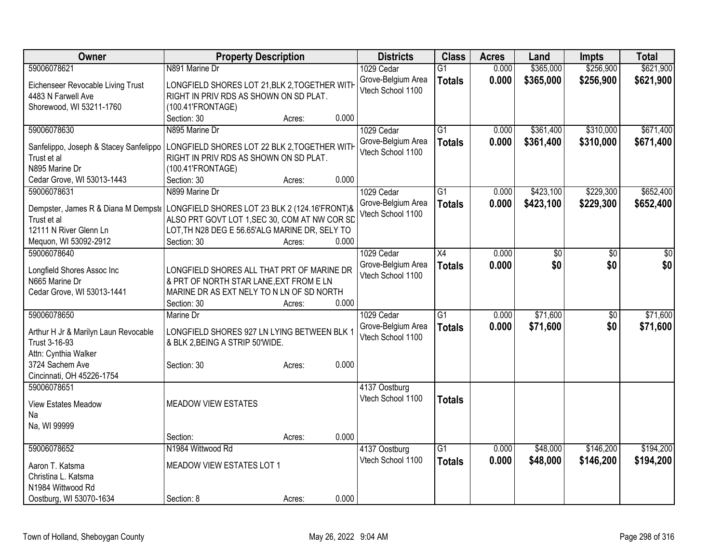| \$365,000<br>\$256,900<br>\$621,900<br>59006078621<br>N891 Marine Dr<br>0.000<br>1029 Cedar<br>$\overline{G1}$<br>0.000<br>Grove-Belgium Area<br>\$365,000<br>\$256,900<br>\$621,900<br><b>Totals</b><br>LONGFIELD SHORES LOT 21, BLK 2, TOGETHER WITH<br>Eichenseer Revocable Living Trust<br>Vtech School 1100<br>RIGHT IN PRIV RDS AS SHOWN ON SD PLAT.<br>4483 N Farwell Ave<br>Shorewood, WI 53211-1760<br>(100.41'FRONTAGE)<br>0.000<br>Section: 30<br>Acres:<br>59006078630<br>N895 Marine Dr<br>\$310,000<br>\$671,400<br>1029 Cedar<br>$\overline{G1}$<br>\$361,400<br>0.000<br>0.000<br>\$361,400<br>\$310,000<br>Grove-Belgium Area<br>\$671,400<br><b>Totals</b><br>Sanfelippo, Joseph & Stacey Sanfelippo<br>LONGFIELD SHORES LOT 22 BLK 2, TOGETHER WITH<br>Vtech School 1100<br>RIGHT IN PRIV RDS AS SHOWN ON SD PLAT.<br>Trust et al<br>N895 Marine Dr<br>(100.41'FRONTAGE)<br>0.000<br>Cedar Grove, WI 53013-1443<br>Section: 30<br>Acres:<br>N899 Marine Dr<br>$\overline{G1}$<br>\$423,100<br>\$229,300<br>\$652,400<br>59006078631<br>1029 Cedar<br>0.000<br>Grove-Belgium Area<br>0.000<br>\$423,100<br>\$229,300<br>\$652,400<br><b>Totals</b><br>Dempster, James R & Diana M Dempst   LONGFIELD SHORES LOT 23 BLK 2 (124.16'FRONT)&<br>Vtech School 1100<br>ALSO PRT GOVT LOT 1, SEC 30, COM AT NW COR SD<br>Trust et al<br>12111 N River Glenn Ln<br>LOT, TH N28 DEG E 56.65'ALG MARINE DR, SELY TO<br>Section: 30<br>0.000<br>Mequon, WI 53092-2912<br>Acres:<br>59006078640<br>$\overline{X4}$<br>0.000<br>1029 Cedar<br>\$0<br>\$0<br>\$0<br>Grove-Belgium Area<br>0.000<br>\$0<br><b>Totals</b><br>Longfield Shores Assoc Inc<br>LONGFIELD SHORES ALL THAT PRT OF MARINE DR<br>Vtech School 1100<br>N665 Marine Dr<br>& PRT OF NORTH STAR LANE, EXT FROM E LN<br>Cedar Grove, WI 53013-1441<br>MARINE DR AS EXT NELY TO N LN OF SD NORTH<br>0.000<br>Section: 30<br>Acres:<br>\$71,600<br>59006078650<br>$\overline{G1}$<br>Marine Dr<br>0.000<br>$\overline{50}$<br>1029 Cedar<br>0.000<br>\$71,600<br>\$0<br>Grove-Belgium Area<br><b>Totals</b><br>Arthur H Jr & Marilyn Laun Revocable<br>LONGFIELD SHORES 927 LN LYING BETWEEN BLK 1<br>Vtech School 1100<br>Trust 3-16-93<br>& BLK 2, BEING A STRIP 50'WIDE.<br>Attn: Cynthia Walker<br>0.000<br>3724 Sachem Ave<br>Section: 30<br>Acres:<br>Cincinnati, OH 45226-1754<br>59006078651<br>4137 Oostburg<br>Vtech School 1100<br><b>Totals</b><br><b>MEADOW VIEW ESTATES</b><br>View Estates Meadow<br>Na<br>Na, WI 99999<br>0.000<br>Section:<br>Acres:<br>59006078652<br>N1984 Wittwood Rd<br>$\overline{G1}$<br>\$48,000<br>\$146,200<br>4137 Oostburg<br>0.000<br>Vtech School 1100<br>0.000<br>\$48,000<br>\$146,200<br><b>Totals</b><br>Aaron T. Katsma<br>MEADOW VIEW ESTATES LOT 1<br>Christina L. Katsma<br>N1984 Wittwood Rd | Owner                   | <b>Property Description</b> | <b>Districts</b> | <b>Class</b> | <b>Acres</b> | Land | <b>Impts</b> | <b>Total</b> |
|------------------------------------------------------------------------------------------------------------------------------------------------------------------------------------------------------------------------------------------------------------------------------------------------------------------------------------------------------------------------------------------------------------------------------------------------------------------------------------------------------------------------------------------------------------------------------------------------------------------------------------------------------------------------------------------------------------------------------------------------------------------------------------------------------------------------------------------------------------------------------------------------------------------------------------------------------------------------------------------------------------------------------------------------------------------------------------------------------------------------------------------------------------------------------------------------------------------------------------------------------------------------------------------------------------------------------------------------------------------------------------------------------------------------------------------------------------------------------------------------------------------------------------------------------------------------------------------------------------------------------------------------------------------------------------------------------------------------------------------------------------------------------------------------------------------------------------------------------------------------------------------------------------------------------------------------------------------------------------------------------------------------------------------------------------------------------------------------------------------------------------------------------------------------------------------------------------------------------------------------------------------------------------------------------------------------------------------------------------------------------------------------------------------------------------------------------------------------------------------------------------------------------------------------------------------------------------------------------------------------------------------------------------------------------------------------------------------------------------------------------------------------------------------------------------------------|-------------------------|-----------------------------|------------------|--------------|--------------|------|--------------|--------------|
|                                                                                                                                                                                                                                                                                                                                                                                                                                                                                                                                                                                                                                                                                                                                                                                                                                                                                                                                                                                                                                                                                                                                                                                                                                                                                                                                                                                                                                                                                                                                                                                                                                                                                                                                                                                                                                                                                                                                                                                                                                                                                                                                                                                                                                                                                                                                                                                                                                                                                                                                                                                                                                                                                                                                                                                                                        |                         |                             |                  |              |              |      |              |              |
|                                                                                                                                                                                                                                                                                                                                                                                                                                                                                                                                                                                                                                                                                                                                                                                                                                                                                                                                                                                                                                                                                                                                                                                                                                                                                                                                                                                                                                                                                                                                                                                                                                                                                                                                                                                                                                                                                                                                                                                                                                                                                                                                                                                                                                                                                                                                                                                                                                                                                                                                                                                                                                                                                                                                                                                                                        |                         |                             |                  |              |              |      |              |              |
|                                                                                                                                                                                                                                                                                                                                                                                                                                                                                                                                                                                                                                                                                                                                                                                                                                                                                                                                                                                                                                                                                                                                                                                                                                                                                                                                                                                                                                                                                                                                                                                                                                                                                                                                                                                                                                                                                                                                                                                                                                                                                                                                                                                                                                                                                                                                                                                                                                                                                                                                                                                                                                                                                                                                                                                                                        |                         |                             |                  |              |              |      |              |              |
|                                                                                                                                                                                                                                                                                                                                                                                                                                                                                                                                                                                                                                                                                                                                                                                                                                                                                                                                                                                                                                                                                                                                                                                                                                                                                                                                                                                                                                                                                                                                                                                                                                                                                                                                                                                                                                                                                                                                                                                                                                                                                                                                                                                                                                                                                                                                                                                                                                                                                                                                                                                                                                                                                                                                                                                                                        |                         |                             |                  |              |              |      |              |              |
|                                                                                                                                                                                                                                                                                                                                                                                                                                                                                                                                                                                                                                                                                                                                                                                                                                                                                                                                                                                                                                                                                                                                                                                                                                                                                                                                                                                                                                                                                                                                                                                                                                                                                                                                                                                                                                                                                                                                                                                                                                                                                                                                                                                                                                                                                                                                                                                                                                                                                                                                                                                                                                                                                                                                                                                                                        |                         |                             |                  |              |              |      |              |              |
|                                                                                                                                                                                                                                                                                                                                                                                                                                                                                                                                                                                                                                                                                                                                                                                                                                                                                                                                                                                                                                                                                                                                                                                                                                                                                                                                                                                                                                                                                                                                                                                                                                                                                                                                                                                                                                                                                                                                                                                                                                                                                                                                                                                                                                                                                                                                                                                                                                                                                                                                                                                                                                                                                                                                                                                                                        |                         |                             |                  |              |              |      |              |              |
|                                                                                                                                                                                                                                                                                                                                                                                                                                                                                                                                                                                                                                                                                                                                                                                                                                                                                                                                                                                                                                                                                                                                                                                                                                                                                                                                                                                                                                                                                                                                                                                                                                                                                                                                                                                                                                                                                                                                                                                                                                                                                                                                                                                                                                                                                                                                                                                                                                                                                                                                                                                                                                                                                                                                                                                                                        |                         |                             |                  |              |              |      |              |              |
|                                                                                                                                                                                                                                                                                                                                                                                                                                                                                                                                                                                                                                                                                                                                                                                                                                                                                                                                                                                                                                                                                                                                                                                                                                                                                                                                                                                                                                                                                                                                                                                                                                                                                                                                                                                                                                                                                                                                                                                                                                                                                                                                                                                                                                                                                                                                                                                                                                                                                                                                                                                                                                                                                                                                                                                                                        |                         |                             |                  |              |              |      |              |              |
|                                                                                                                                                                                                                                                                                                                                                                                                                                                                                                                                                                                                                                                                                                                                                                                                                                                                                                                                                                                                                                                                                                                                                                                                                                                                                                                                                                                                                                                                                                                                                                                                                                                                                                                                                                                                                                                                                                                                                                                                                                                                                                                                                                                                                                                                                                                                                                                                                                                                                                                                                                                                                                                                                                                                                                                                                        |                         |                             |                  |              |              |      |              |              |
|                                                                                                                                                                                                                                                                                                                                                                                                                                                                                                                                                                                                                                                                                                                                                                                                                                                                                                                                                                                                                                                                                                                                                                                                                                                                                                                                                                                                                                                                                                                                                                                                                                                                                                                                                                                                                                                                                                                                                                                                                                                                                                                                                                                                                                                                                                                                                                                                                                                                                                                                                                                                                                                                                                                                                                                                                        |                         |                             |                  |              |              |      |              |              |
|                                                                                                                                                                                                                                                                                                                                                                                                                                                                                                                                                                                                                                                                                                                                                                                                                                                                                                                                                                                                                                                                                                                                                                                                                                                                                                                                                                                                                                                                                                                                                                                                                                                                                                                                                                                                                                                                                                                                                                                                                                                                                                                                                                                                                                                                                                                                                                                                                                                                                                                                                                                                                                                                                                                                                                                                                        |                         |                             |                  |              |              |      |              |              |
|                                                                                                                                                                                                                                                                                                                                                                                                                                                                                                                                                                                                                                                                                                                                                                                                                                                                                                                                                                                                                                                                                                                                                                                                                                                                                                                                                                                                                                                                                                                                                                                                                                                                                                                                                                                                                                                                                                                                                                                                                                                                                                                                                                                                                                                                                                                                                                                                                                                                                                                                                                                                                                                                                                                                                                                                                        |                         |                             |                  |              |              |      |              |              |
|                                                                                                                                                                                                                                                                                                                                                                                                                                                                                                                                                                                                                                                                                                                                                                                                                                                                                                                                                                                                                                                                                                                                                                                                                                                                                                                                                                                                                                                                                                                                                                                                                                                                                                                                                                                                                                                                                                                                                                                                                                                                                                                                                                                                                                                                                                                                                                                                                                                                                                                                                                                                                                                                                                                                                                                                                        |                         |                             |                  |              |              |      |              |              |
|                                                                                                                                                                                                                                                                                                                                                                                                                                                                                                                                                                                                                                                                                                                                                                                                                                                                                                                                                                                                                                                                                                                                                                                                                                                                                                                                                                                                                                                                                                                                                                                                                                                                                                                                                                                                                                                                                                                                                                                                                                                                                                                                                                                                                                                                                                                                                                                                                                                                                                                                                                                                                                                                                                                                                                                                                        |                         |                             |                  |              |              |      |              |              |
| \$0<br>\$0<br>\$71,600<br>\$71,600<br>\$194,200<br>\$194,200                                                                                                                                                                                                                                                                                                                                                                                                                                                                                                                                                                                                                                                                                                                                                                                                                                                                                                                                                                                                                                                                                                                                                                                                                                                                                                                                                                                                                                                                                                                                                                                                                                                                                                                                                                                                                                                                                                                                                                                                                                                                                                                                                                                                                                                                                                                                                                                                                                                                                                                                                                                                                                                                                                                                                           |                         |                             |                  |              |              |      |              |              |
|                                                                                                                                                                                                                                                                                                                                                                                                                                                                                                                                                                                                                                                                                                                                                                                                                                                                                                                                                                                                                                                                                                                                                                                                                                                                                                                                                                                                                                                                                                                                                                                                                                                                                                                                                                                                                                                                                                                                                                                                                                                                                                                                                                                                                                                                                                                                                                                                                                                                                                                                                                                                                                                                                                                                                                                                                        |                         |                             |                  |              |              |      |              |              |
|                                                                                                                                                                                                                                                                                                                                                                                                                                                                                                                                                                                                                                                                                                                                                                                                                                                                                                                                                                                                                                                                                                                                                                                                                                                                                                                                                                                                                                                                                                                                                                                                                                                                                                                                                                                                                                                                                                                                                                                                                                                                                                                                                                                                                                                                                                                                                                                                                                                                                                                                                                                                                                                                                                                                                                                                                        |                         |                             |                  |              |              |      |              |              |
|                                                                                                                                                                                                                                                                                                                                                                                                                                                                                                                                                                                                                                                                                                                                                                                                                                                                                                                                                                                                                                                                                                                                                                                                                                                                                                                                                                                                                                                                                                                                                                                                                                                                                                                                                                                                                                                                                                                                                                                                                                                                                                                                                                                                                                                                                                                                                                                                                                                                                                                                                                                                                                                                                                                                                                                                                        |                         |                             |                  |              |              |      |              |              |
|                                                                                                                                                                                                                                                                                                                                                                                                                                                                                                                                                                                                                                                                                                                                                                                                                                                                                                                                                                                                                                                                                                                                                                                                                                                                                                                                                                                                                                                                                                                                                                                                                                                                                                                                                                                                                                                                                                                                                                                                                                                                                                                                                                                                                                                                                                                                                                                                                                                                                                                                                                                                                                                                                                                                                                                                                        |                         |                             |                  |              |              |      |              |              |
|                                                                                                                                                                                                                                                                                                                                                                                                                                                                                                                                                                                                                                                                                                                                                                                                                                                                                                                                                                                                                                                                                                                                                                                                                                                                                                                                                                                                                                                                                                                                                                                                                                                                                                                                                                                                                                                                                                                                                                                                                                                                                                                                                                                                                                                                                                                                                                                                                                                                                                                                                                                                                                                                                                                                                                                                                        |                         |                             |                  |              |              |      |              |              |
|                                                                                                                                                                                                                                                                                                                                                                                                                                                                                                                                                                                                                                                                                                                                                                                                                                                                                                                                                                                                                                                                                                                                                                                                                                                                                                                                                                                                                                                                                                                                                                                                                                                                                                                                                                                                                                                                                                                                                                                                                                                                                                                                                                                                                                                                                                                                                                                                                                                                                                                                                                                                                                                                                                                                                                                                                        |                         |                             |                  |              |              |      |              |              |
|                                                                                                                                                                                                                                                                                                                                                                                                                                                                                                                                                                                                                                                                                                                                                                                                                                                                                                                                                                                                                                                                                                                                                                                                                                                                                                                                                                                                                                                                                                                                                                                                                                                                                                                                                                                                                                                                                                                                                                                                                                                                                                                                                                                                                                                                                                                                                                                                                                                                                                                                                                                                                                                                                                                                                                                                                        |                         |                             |                  |              |              |      |              |              |
|                                                                                                                                                                                                                                                                                                                                                                                                                                                                                                                                                                                                                                                                                                                                                                                                                                                                                                                                                                                                                                                                                                                                                                                                                                                                                                                                                                                                                                                                                                                                                                                                                                                                                                                                                                                                                                                                                                                                                                                                                                                                                                                                                                                                                                                                                                                                                                                                                                                                                                                                                                                                                                                                                                                                                                                                                        |                         |                             |                  |              |              |      |              |              |
|                                                                                                                                                                                                                                                                                                                                                                                                                                                                                                                                                                                                                                                                                                                                                                                                                                                                                                                                                                                                                                                                                                                                                                                                                                                                                                                                                                                                                                                                                                                                                                                                                                                                                                                                                                                                                                                                                                                                                                                                                                                                                                                                                                                                                                                                                                                                                                                                                                                                                                                                                                                                                                                                                                                                                                                                                        |                         |                             |                  |              |              |      |              |              |
|                                                                                                                                                                                                                                                                                                                                                                                                                                                                                                                                                                                                                                                                                                                                                                                                                                                                                                                                                                                                                                                                                                                                                                                                                                                                                                                                                                                                                                                                                                                                                                                                                                                                                                                                                                                                                                                                                                                                                                                                                                                                                                                                                                                                                                                                                                                                                                                                                                                                                                                                                                                                                                                                                                                                                                                                                        |                         |                             |                  |              |              |      |              |              |
|                                                                                                                                                                                                                                                                                                                                                                                                                                                                                                                                                                                                                                                                                                                                                                                                                                                                                                                                                                                                                                                                                                                                                                                                                                                                                                                                                                                                                                                                                                                                                                                                                                                                                                                                                                                                                                                                                                                                                                                                                                                                                                                                                                                                                                                                                                                                                                                                                                                                                                                                                                                                                                                                                                                                                                                                                        |                         |                             |                  |              |              |      |              |              |
|                                                                                                                                                                                                                                                                                                                                                                                                                                                                                                                                                                                                                                                                                                                                                                                                                                                                                                                                                                                                                                                                                                                                                                                                                                                                                                                                                                                                                                                                                                                                                                                                                                                                                                                                                                                                                                                                                                                                                                                                                                                                                                                                                                                                                                                                                                                                                                                                                                                                                                                                                                                                                                                                                                                                                                                                                        |                         |                             |                  |              |              |      |              |              |
|                                                                                                                                                                                                                                                                                                                                                                                                                                                                                                                                                                                                                                                                                                                                                                                                                                                                                                                                                                                                                                                                                                                                                                                                                                                                                                                                                                                                                                                                                                                                                                                                                                                                                                                                                                                                                                                                                                                                                                                                                                                                                                                                                                                                                                                                                                                                                                                                                                                                                                                                                                                                                                                                                                                                                                                                                        |                         |                             |                  |              |              |      |              |              |
|                                                                                                                                                                                                                                                                                                                                                                                                                                                                                                                                                                                                                                                                                                                                                                                                                                                                                                                                                                                                                                                                                                                                                                                                                                                                                                                                                                                                                                                                                                                                                                                                                                                                                                                                                                                                                                                                                                                                                                                                                                                                                                                                                                                                                                                                                                                                                                                                                                                                                                                                                                                                                                                                                                                                                                                                                        |                         |                             |                  |              |              |      |              |              |
|                                                                                                                                                                                                                                                                                                                                                                                                                                                                                                                                                                                                                                                                                                                                                                                                                                                                                                                                                                                                                                                                                                                                                                                                                                                                                                                                                                                                                                                                                                                                                                                                                                                                                                                                                                                                                                                                                                                                                                                                                                                                                                                                                                                                                                                                                                                                                                                                                                                                                                                                                                                                                                                                                                                                                                                                                        |                         |                             |                  |              |              |      |              |              |
|                                                                                                                                                                                                                                                                                                                                                                                                                                                                                                                                                                                                                                                                                                                                                                                                                                                                                                                                                                                                                                                                                                                                                                                                                                                                                                                                                                                                                                                                                                                                                                                                                                                                                                                                                                                                                                                                                                                                                                                                                                                                                                                                                                                                                                                                                                                                                                                                                                                                                                                                                                                                                                                                                                                                                                                                                        |                         |                             |                  |              |              |      |              |              |
|                                                                                                                                                                                                                                                                                                                                                                                                                                                                                                                                                                                                                                                                                                                                                                                                                                                                                                                                                                                                                                                                                                                                                                                                                                                                                                                                                                                                                                                                                                                                                                                                                                                                                                                                                                                                                                                                                                                                                                                                                                                                                                                                                                                                                                                                                                                                                                                                                                                                                                                                                                                                                                                                                                                                                                                                                        |                         |                             |                  |              |              |      |              |              |
|                                                                                                                                                                                                                                                                                                                                                                                                                                                                                                                                                                                                                                                                                                                                                                                                                                                                                                                                                                                                                                                                                                                                                                                                                                                                                                                                                                                                                                                                                                                                                                                                                                                                                                                                                                                                                                                                                                                                                                                                                                                                                                                                                                                                                                                                                                                                                                                                                                                                                                                                                                                                                                                                                                                                                                                                                        |                         |                             |                  |              |              |      |              |              |
|                                                                                                                                                                                                                                                                                                                                                                                                                                                                                                                                                                                                                                                                                                                                                                                                                                                                                                                                                                                                                                                                                                                                                                                                                                                                                                                                                                                                                                                                                                                                                                                                                                                                                                                                                                                                                                                                                                                                                                                                                                                                                                                                                                                                                                                                                                                                                                                                                                                                                                                                                                                                                                                                                                                                                                                                                        |                         |                             |                  |              |              |      |              |              |
|                                                                                                                                                                                                                                                                                                                                                                                                                                                                                                                                                                                                                                                                                                                                                                                                                                                                                                                                                                                                                                                                                                                                                                                                                                                                                                                                                                                                                                                                                                                                                                                                                                                                                                                                                                                                                                                                                                                                                                                                                                                                                                                                                                                                                                                                                                                                                                                                                                                                                                                                                                                                                                                                                                                                                                                                                        |                         |                             |                  |              |              |      |              |              |
|                                                                                                                                                                                                                                                                                                                                                                                                                                                                                                                                                                                                                                                                                                                                                                                                                                                                                                                                                                                                                                                                                                                                                                                                                                                                                                                                                                                                                                                                                                                                                                                                                                                                                                                                                                                                                                                                                                                                                                                                                                                                                                                                                                                                                                                                                                                                                                                                                                                                                                                                                                                                                                                                                                                                                                                                                        |                         |                             |                  |              |              |      |              |              |
| Acres:                                                                                                                                                                                                                                                                                                                                                                                                                                                                                                                                                                                                                                                                                                                                                                                                                                                                                                                                                                                                                                                                                                                                                                                                                                                                                                                                                                                                                                                                                                                                                                                                                                                                                                                                                                                                                                                                                                                                                                                                                                                                                                                                                                                                                                                                                                                                                                                                                                                                                                                                                                                                                                                                                                                                                                                                                 | Oostburg, WI 53070-1634 | 0.000<br>Section: 8         |                  |              |              |      |              |              |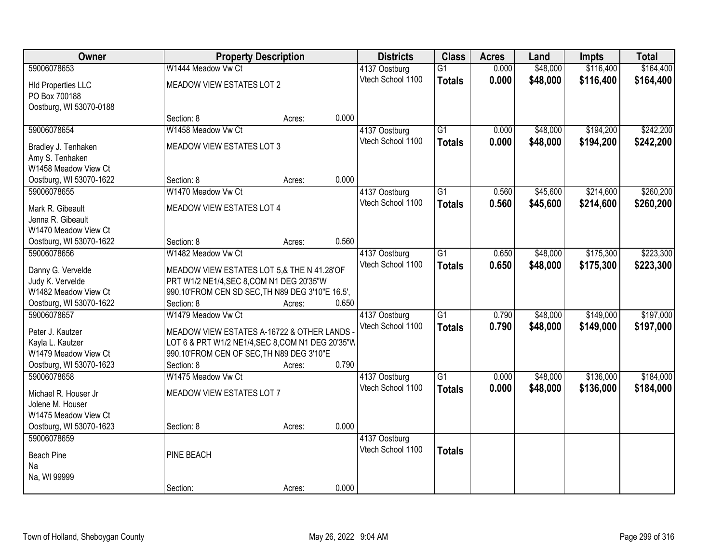| Owner                                    | <b>Property Description</b>                             |        |       | <b>Districts</b>                   | <b>Class</b>    | <b>Acres</b> | Land     | <b>Impts</b> | <b>Total</b> |
|------------------------------------------|---------------------------------------------------------|--------|-------|------------------------------------|-----------------|--------------|----------|--------------|--------------|
| 59006078653                              | W1444 Meadow Vw Ct                                      |        |       | 4137 Oostburg                      | $\overline{G1}$ | 0.000        | \$48,000 | \$116,400    | \$164,400    |
| <b>HId Properties LLC</b>                | MEADOW VIEW ESTATES LOT 2                               |        |       | Vtech School 1100                  | <b>Totals</b>   | 0.000        | \$48,000 | \$116,400    | \$164,400    |
| PO Box 700188                            |                                                         |        |       |                                    |                 |              |          |              |              |
| Oostburg, WI 53070-0188                  |                                                         |        |       |                                    |                 |              |          |              |              |
|                                          | Section: 8                                              | Acres: | 0.000 |                                    |                 |              |          |              |              |
| 59006078654                              | W1458 Meadow Vw Ct                                      |        |       | 4137 Oostburg                      | $\overline{G1}$ | 0.000        | \$48,000 | \$194,200    | \$242,200    |
| Bradley J. Tenhaken                      | MEADOW VIEW ESTATES LOT 3                               |        |       | Vtech School 1100                  | <b>Totals</b>   | 0.000        | \$48,000 | \$194,200    | \$242,200    |
| Amy S. Tenhaken                          |                                                         |        |       |                                    |                 |              |          |              |              |
| W1458 Meadow View Ct                     |                                                         |        |       |                                    |                 |              |          |              |              |
| Oostburg, WI 53070-1622                  | Section: 8                                              | Acres: | 0.000 |                                    |                 |              |          |              |              |
| 59006078655                              | W1470 Meadow Vw Ct                                      |        |       | 4137 Oostburg                      | $\overline{G1}$ | 0.560        | \$45,600 | \$214,600    | \$260,200    |
| Mark R. Gibeault                         | MEADOW VIEW ESTATES LOT 4                               |        |       | Vtech School 1100                  | <b>Totals</b>   | 0.560        | \$45,600 | \$214,600    | \$260,200    |
| Jenna R. Gibeault                        |                                                         |        |       |                                    |                 |              |          |              |              |
| W1470 Meadow View Ct                     |                                                         |        |       |                                    |                 |              |          |              |              |
| Oostburg, WI 53070-1622                  | Section: 8                                              | Acres: | 0.560 |                                    |                 |              |          |              |              |
| 59006078656                              | W1482 Meadow Vw Ct                                      |        |       | 4137 Oostburg                      | $\overline{G1}$ | 0.650        | \$48,000 | \$175,300    | \$223,300    |
|                                          | MEADOW VIEW ESTATES LOT 5,& THE N 41.28'OF              |        |       | Vtech School 1100                  | <b>Totals</b>   | 0.650        | \$48,000 | \$175,300    | \$223,300    |
| Danny G. Vervelde<br>Judy K. Vervelde    | PRT W1/2 NE1/4, SEC 8, COM N1 DEG 20'35"W               |        |       |                                    |                 |              |          |              |              |
| W1482 Meadow View Ct                     | 990.10'FROM CEN SD SEC, TH N89 DEG 3'10"E 16.5',        |        |       |                                    |                 |              |          |              |              |
| Oostburg, WI 53070-1622                  | Section: 8                                              | Acres: | 0.650 |                                    |                 |              |          |              |              |
| 59006078657                              | W1479 Meadow Vw Ct                                      |        |       | 4137 Oostburg                      | $\overline{G1}$ | 0.790        | \$48,000 | \$149,000    | \$197,000    |
|                                          |                                                         |        |       | Vtech School 1100                  | <b>Totals</b>   | 0.790        | \$48,000 | \$149,000    | \$197,000    |
| Peter J. Kautzer                         | MEADOW VIEW ESTATES A-16722 & OTHER LANDS               |        |       |                                    |                 |              |          |              |              |
| Kayla L. Kautzer<br>W1479 Meadow View Ct | LOT 6 & PRT W1/2 NE1/4, SEC 8, COM N1 DEG 20'35"W       |        |       |                                    |                 |              |          |              |              |
| Oostburg, WI 53070-1623                  | 990.10'FROM CEN OF SEC, TH N89 DEG 3'10"E<br>Section: 8 | Acres: | 0.790 |                                    |                 |              |          |              |              |
| 59006078658                              | W1475 Meadow Vw Ct                                      |        |       | 4137 Oostburg                      | $\overline{G1}$ | 0.000        | \$48,000 | \$136,000    | \$184,000    |
|                                          |                                                         |        |       | Vtech School 1100                  | <b>Totals</b>   | 0.000        | \$48,000 | \$136,000    | \$184,000    |
| Michael R. Houser Jr                     | MEADOW VIEW ESTATES LOT 7                               |        |       |                                    |                 |              |          |              |              |
| Jolene M. Houser                         |                                                         |        |       |                                    |                 |              |          |              |              |
| W1475 Meadow View Ct                     |                                                         |        |       |                                    |                 |              |          |              |              |
| Oostburg, WI 53070-1623<br>59006078659   | Section: 8                                              | Acres: | 0.000 |                                    |                 |              |          |              |              |
|                                          |                                                         |        |       | 4137 Oostburg<br>Vtech School 1100 |                 |              |          |              |              |
| <b>Beach Pine</b>                        | PINE BEACH                                              |        |       |                                    | <b>Totals</b>   |              |          |              |              |
| Na                                       |                                                         |        |       |                                    |                 |              |          |              |              |
| Na, WI 99999                             |                                                         |        |       |                                    |                 |              |          |              |              |
|                                          | Section:                                                | Acres: | 0.000 |                                    |                 |              |          |              |              |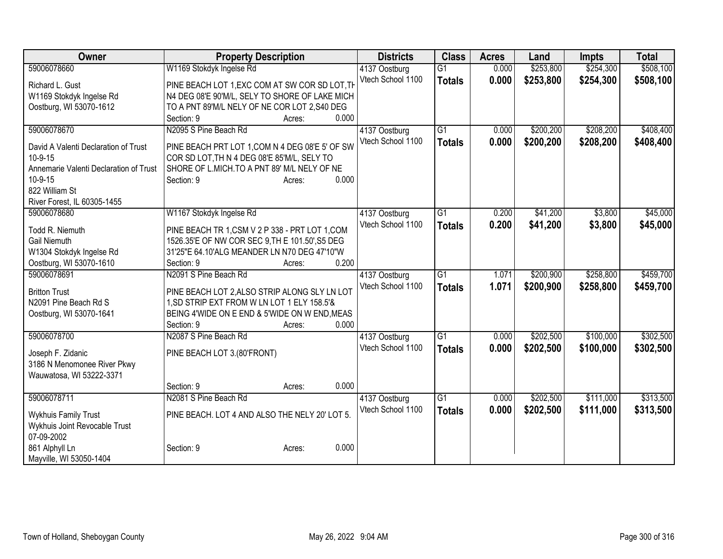| Owner                                  | <b>Property Description</b>                     | <b>Districts</b>  | <b>Class</b>    | <b>Acres</b> | Land      | <b>Impts</b> | <b>Total</b> |
|----------------------------------------|-------------------------------------------------|-------------------|-----------------|--------------|-----------|--------------|--------------|
| 59006078660                            | W1169 Stokdyk Ingelse Rd                        | 4137 Oostburg     | $\overline{G1}$ | 0.000        | \$253,800 | \$254,300    | \$508,100    |
| Richard L. Gust                        | PINE BEACH LOT 1, EXC COM AT SW COR SD LOT, TH  | Vtech School 1100 | <b>Totals</b>   | 0.000        | \$253,800 | \$254,300    | \$508,100    |
| W1169 Stokdyk Ingelse Rd               | N4 DEG 08'E 90'M/L, SELY TO SHORE OF LAKE MICH  |                   |                 |              |           |              |              |
| Oostburg, WI 53070-1612                | TO A PNT 89'M/L NELY OF NE COR LOT 2,S40 DEG    |                   |                 |              |           |              |              |
|                                        | Section: 9<br>0.000<br>Acres:                   |                   |                 |              |           |              |              |
| 59006078670                            | N2095 S Pine Beach Rd                           | 4137 Oostburg     | $\overline{G1}$ | 0.000        | \$200,200 | \$208,200    | \$408,400    |
|                                        |                                                 | Vtech School 1100 | <b>Totals</b>   | 0.000        | \$200,200 | \$208,200    | \$408,400    |
| David A Valenti Declaration of Trust   | PINE BEACH PRT LOT 1, COM N 4 DEG 08'E 5' OF SW |                   |                 |              |           |              |              |
| $10-9-15$                              | COR SD LOT, TH N 4 DEG 08'E 85'M/L, SELY TO     |                   |                 |              |           |              |              |
| Annemarie Valenti Declaration of Trust | SHORE OF L.MICH.TO A PNT 89' M/L NELY OF NE     |                   |                 |              |           |              |              |
| 10-9-15                                | 0.000<br>Section: 9<br>Acres:                   |                   |                 |              |           |              |              |
| 822 William St                         |                                                 |                   |                 |              |           |              |              |
| River Forest, IL 60305-1455            |                                                 |                   |                 |              |           |              |              |
| 59006078680                            | W1167 Stokdyk Ingelse Rd                        | 4137 Oostburg     | $\overline{G1}$ | 0.200        | \$41,200  | \$3,800      | \$45,000     |
| Todd R. Niemuth                        | PINE BEACH TR 1,CSM V 2 P 338 - PRT LOT 1,COM   | Vtech School 1100 | <b>Totals</b>   | 0.200        | \$41,200  | \$3,800      | \$45,000     |
| Gail Niemuth                           | 1526.35'E OF NW COR SEC 9, TH E 101.50', S5 DEG |                   |                 |              |           |              |              |
| W1304 Stokdyk Ingelse Rd               | 31'25"E 64.10'ALG MEANDER LN N70 DEG 47'10"W    |                   |                 |              |           |              |              |
| Oostburg, WI 53070-1610                | 0.200<br>Section: 9<br>Acres:                   |                   |                 |              |           |              |              |
| 59006078691                            | N2091 S Pine Beach Rd                           | 4137 Oostburg     | $\overline{G1}$ | 1.071        | \$200,900 | \$258,800    | \$459,700    |
|                                        |                                                 | Vtech School 1100 | <b>Totals</b>   | 1.071        | \$200,900 | \$258,800    | \$459,700    |
| <b>Britton Trust</b>                   | PINE BEACH LOT 2, ALSO STRIP ALONG SLY LN LOT   |                   |                 |              |           |              |              |
| N2091 Pine Beach Rd S                  | 1, SD STRIP EXT FROM W LN LOT 1 ELY 158.5'&     |                   |                 |              |           |              |              |
| Oostburg, WI 53070-1641                | BEING 4'WIDE ON E END & 5'WIDE ON W END, MEAS   |                   |                 |              |           |              |              |
|                                        | 0.000<br>Section: 9<br>Acres:                   |                   |                 |              |           |              |              |
| 59006078700                            | N2087 S Pine Beach Rd                           | 4137 Oostburg     | $\overline{G1}$ | 0.000        | \$202,500 | \$100,000    | \$302,500    |
| Joseph F. Zidanic                      | PINE BEACH LOT 3.(80'FRONT)                     | Vtech School 1100 | <b>Totals</b>   | 0.000        | \$202,500 | \$100,000    | \$302,500    |
| 3186 N Menomonee River Pkwy            |                                                 |                   |                 |              |           |              |              |
| Wauwatosa, WI 53222-3371               |                                                 |                   |                 |              |           |              |              |
|                                        | 0.000<br>Section: 9<br>Acres:                   |                   |                 |              |           |              |              |
| 59006078711                            | N2081 S Pine Beach Rd                           | 4137 Oostburg     | G1              | 0.000        | \$202,500 | \$111,000    | \$313,500    |
|                                        |                                                 | Vtech School 1100 | <b>Totals</b>   | 0.000        | \$202,500 | \$111,000    | \$313,500    |
| <b>Wykhuis Family Trust</b>            | PINE BEACH. LOT 4 AND ALSO THE NELY 20' LOT 5.  |                   |                 |              |           |              |              |
| Wykhuis Joint Revocable Trust          |                                                 |                   |                 |              |           |              |              |
| 07-09-2002                             |                                                 |                   |                 |              |           |              |              |
| 861 Alphyll Ln                         | 0.000<br>Section: 9<br>Acres:                   |                   |                 |              |           |              |              |
| Mayville, WI 53050-1404                |                                                 |                   |                 |              |           |              |              |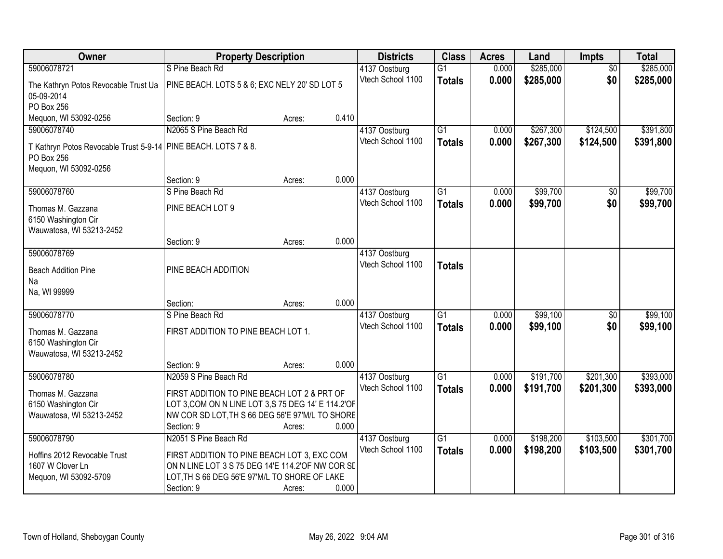| Owner                                                                        | <b>Property Description</b>                         |        |       | <b>Districts</b>                   | <b>Class</b>    | <b>Acres</b> | Land      | <b>Impts</b>    | <b>Total</b> |
|------------------------------------------------------------------------------|-----------------------------------------------------|--------|-------|------------------------------------|-----------------|--------------|-----------|-----------------|--------------|
| 59006078721                                                                  | S Pine Beach Rd                                     |        |       | 4137 Oostburg                      | $\overline{G1}$ | 0.000        | \$285,000 | $\overline{50}$ | \$285,000    |
| The Kathryn Potos Revocable Trust Ua<br>05-09-2014                           | PINE BEACH. LOTS 5 & 6; EXC NELY 20' SD LOT 5       |        |       | Vtech School 1100                  | <b>Totals</b>   | 0.000        | \$285,000 | \$0             | \$285,000    |
| PO Box 256                                                                   |                                                     |        |       |                                    |                 |              |           |                 |              |
| Mequon, WI 53092-0256                                                        | Section: 9                                          | Acres: | 0.410 |                                    |                 |              |           |                 |              |
| 59006078740                                                                  | N2065 S Pine Beach Rd                               |        |       | 4137 Oostburg                      | $\overline{G1}$ | 0.000        | \$267,300 | \$124,500       | \$391,800    |
| T Kathryn Potos Revocable Trust 5-9-14 PINE BEACH. LOTS 7 & 8.<br>PO Box 256 |                                                     |        |       | Vtech School 1100                  | <b>Totals</b>   | 0.000        | \$267,300 | \$124,500       | \$391,800    |
| Mequon, WI 53092-0256                                                        |                                                     |        |       |                                    |                 |              |           |                 |              |
|                                                                              | Section: 9                                          | Acres: | 0.000 |                                    |                 |              |           |                 |              |
| 59006078760                                                                  | S Pine Beach Rd                                     |        |       | 4137 Oostburg                      | $\overline{G1}$ | 0.000        | \$99,700  | \$0             | \$99,700     |
| Thomas M. Gazzana<br>6150 Washington Cir                                     | PINE BEACH LOT 9                                    |        |       | Vtech School 1100                  | <b>Totals</b>   | 0.000        | \$99,700  | \$0             | \$99,700     |
| Wauwatosa, WI 53213-2452                                                     |                                                     |        |       |                                    |                 |              |           |                 |              |
|                                                                              | Section: 9                                          | Acres: | 0.000 |                                    |                 |              |           |                 |              |
| 59006078769<br><b>Beach Addition Pine</b>                                    | PINE BEACH ADDITION                                 |        |       | 4137 Oostburg<br>Vtech School 1100 | <b>Totals</b>   |              |           |                 |              |
| Na                                                                           |                                                     |        |       |                                    |                 |              |           |                 |              |
| Na, WI 99999                                                                 |                                                     |        |       |                                    |                 |              |           |                 |              |
|                                                                              | Section:                                            | Acres: | 0.000 |                                    |                 |              |           |                 |              |
| 59006078770                                                                  | S Pine Beach Rd                                     |        |       | 4137 Oostburg                      | $\overline{G1}$ | 0.000        | \$99,100  | $\overline{50}$ | \$99,100     |
| Thomas M. Gazzana                                                            | FIRST ADDITION TO PINE BEACH LOT 1.                 |        |       | Vtech School 1100                  | <b>Totals</b>   | 0.000        | \$99,100  | \$0             | \$99,100     |
| 6150 Washington Cir                                                          |                                                     |        |       |                                    |                 |              |           |                 |              |
| Wauwatosa, WI 53213-2452                                                     |                                                     |        |       |                                    |                 |              |           |                 |              |
|                                                                              | Section: 9                                          | Acres: | 0.000 |                                    |                 |              |           |                 |              |
| 59006078780                                                                  | N2059 S Pine Beach Rd                               |        |       | 4137 Oostburg                      | $\overline{G1}$ | 0.000        | \$191,700 | \$201,300       | \$393,000    |
| Thomas M. Gazzana                                                            | FIRST ADDITION TO PINE BEACH LOT 2 & PRT OF         |        |       | Vtech School 1100                  | <b>Totals</b>   | 0.000        | \$191,700 | \$201,300       | \$393,000    |
| 6150 Washington Cir                                                          | LOT 3, COM ON N LINE LOT 3, S 75 DEG 14' E 114.2'OF |        |       |                                    |                 |              |           |                 |              |
| Wauwatosa, WI 53213-2452                                                     | NW COR SD LOT, TH S 66 DEG 56'E 97'M/L TO SHORE     |        |       |                                    |                 |              |           |                 |              |
|                                                                              | Section: 9                                          | Acres: | 0.000 |                                    |                 |              |           |                 |              |
| 59006078790                                                                  | N2051 S Pine Beach Rd                               |        |       | 4137 Oostburg                      | $\overline{G1}$ | 0.000        | \$198,200 | \$103,500       | \$301,700    |
| Hoffins 2012 Revocable Trust                                                 | FIRST ADDITION TO PINE BEACH LOT 3, EXC COM         |        |       | Vtech School 1100                  | <b>Totals</b>   | 0.000        | \$198,200 | \$103,500       | \$301,700    |
| 1607 W Clover Ln                                                             | ON N LINE LOT 3 S 75 DEG 14'E 114.2'OF NW COR SI    |        |       |                                    |                 |              |           |                 |              |
| Mequon, WI 53092-5709                                                        | LOT, TH S 66 DEG 56'E 97'M/L TO SHORE OF LAKE       |        |       |                                    |                 |              |           |                 |              |
|                                                                              | Section: 9                                          | Acres: | 0.000 |                                    |                 |              |           |                 |              |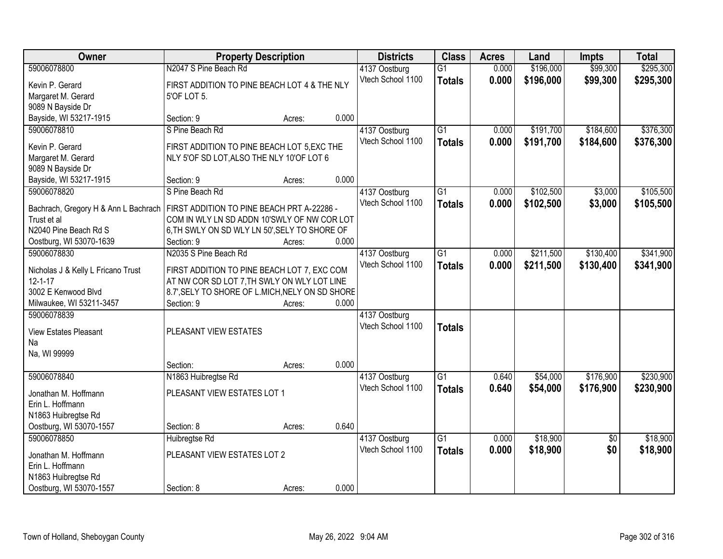| Owner                                                                             | <b>Property Description</b>                                                                    |                 | <b>Districts</b>                   | <b>Class</b>    | <b>Acres</b> | Land      | <b>Impts</b>    | <b>Total</b> |
|-----------------------------------------------------------------------------------|------------------------------------------------------------------------------------------------|-----------------|------------------------------------|-----------------|--------------|-----------|-----------------|--------------|
| 59006078800                                                                       | N2047 S Pine Beach Rd                                                                          |                 | 4137 Oostburg                      | $\overline{G1}$ | 0.000        | \$196,000 | \$99,300        | \$295,300    |
| Kevin P. Gerard                                                                   | FIRST ADDITION TO PINE BEACH LOT 4 & THE NLY                                                   |                 | Vtech School 1100                  | <b>Totals</b>   | 0.000        | \$196,000 | \$99,300        | \$295,300    |
| Margaret M. Gerard                                                                | 5'OF LOT 5.                                                                                    |                 |                                    |                 |              |           |                 |              |
| 9089 N Bayside Dr                                                                 |                                                                                                |                 |                                    |                 |              |           |                 |              |
| Bayside, WI 53217-1915                                                            | Section: 9                                                                                     | 0.000<br>Acres: |                                    |                 |              |           |                 |              |
| 59006078810                                                                       | S Pine Beach Rd                                                                                |                 | 4137 Oostburg                      | $\overline{G1}$ | 0.000        | \$191,700 | \$184,600       | \$376,300    |
| Kevin P. Gerard                                                                   | FIRST ADDITION TO PINE BEACH LOT 5, EXC THE                                                    |                 | Vtech School 1100                  | <b>Totals</b>   | 0.000        | \$191,700 | \$184,600       | \$376,300    |
| Margaret M. Gerard                                                                | NLY 5'OF SD LOT, ALSO THE NLY 10'OF LOT 6                                                      |                 |                                    |                 |              |           |                 |              |
| 9089 N Bayside Dr                                                                 |                                                                                                |                 |                                    |                 |              |           |                 |              |
| Bayside, WI 53217-1915                                                            | Section: 9                                                                                     | 0.000<br>Acres: |                                    |                 |              |           |                 |              |
| 59006078820                                                                       | S Pine Beach Rd                                                                                |                 | 4137 Oostburg                      | $\overline{G1}$ | 0.000        | \$102,500 | \$3,000         | \$105,500    |
| Bachrach, Gregory H & Ann L Bachrach   FIRST ADDITION TO PINE BEACH PRT A-22286 - |                                                                                                |                 | Vtech School 1100                  | <b>Totals</b>   | 0.000        | \$102,500 | \$3,000         | \$105,500    |
| Trust et al                                                                       | COM IN WLY LN SD ADDN 10'SWLY OF NW COR LOT                                                    |                 |                                    |                 |              |           |                 |              |
| N2040 Pine Beach Rd S                                                             | 6, TH SWLY ON SD WLY LN 50', SELY TO SHORE OF                                                  |                 |                                    |                 |              |           |                 |              |
| Oostburg, WI 53070-1639                                                           | Section: 9                                                                                     | 0.000<br>Acres: |                                    |                 |              |           |                 |              |
| 59006078830                                                                       | N2035 S Pine Beach Rd                                                                          |                 | 4137 Oostburg                      | $\overline{G1}$ | 0.000        | \$211,500 | \$130,400       | \$341,900    |
|                                                                                   |                                                                                                |                 | Vtech School 1100                  | <b>Totals</b>   | 0.000        | \$211,500 | \$130,400       | \$341,900    |
| Nicholas J & Kelly L Fricano Trust<br>$12 - 1 - 17$                               | FIRST ADDITION TO PINE BEACH LOT 7, EXC COM                                                    |                 |                                    |                 |              |           |                 |              |
| 3002 E Kenwood Blvd                                                               | AT NW COR SD LOT 7, TH SWLY ON WLY LOT LINE<br>8.7', SELY TO SHORE OF L.MICH, NELY ON SD SHORE |                 |                                    |                 |              |           |                 |              |
| Milwaukee, WI 53211-3457                                                          | Section: 9                                                                                     | 0.000<br>Acres: |                                    |                 |              |           |                 |              |
| 59006078839                                                                       |                                                                                                |                 | 4137 Oostburg                      |                 |              |           |                 |              |
|                                                                                   |                                                                                                |                 | Vtech School 1100                  | <b>Totals</b>   |              |           |                 |              |
| <b>View Estates Pleasant</b>                                                      | PLEASANT VIEW ESTATES                                                                          |                 |                                    |                 |              |           |                 |              |
| Na                                                                                |                                                                                                |                 |                                    |                 |              |           |                 |              |
| Na, WI 99999                                                                      | Section:                                                                                       | 0.000<br>Acres: |                                    |                 |              |           |                 |              |
| 59006078840                                                                       | N1863 Huibregtse Rd                                                                            |                 | 4137 Oostburg                      | $\overline{G1}$ | 0.640        | \$54,000  | \$176,900       | \$230,900    |
|                                                                                   |                                                                                                |                 | Vtech School 1100                  | <b>Totals</b>   | 0.640        | \$54,000  | \$176,900       | \$230,900    |
| Jonathan M. Hoffmann                                                              | PLEASANT VIEW ESTATES LOT 1                                                                    |                 |                                    |                 |              |           |                 |              |
| Erin L. Hoffmann                                                                  |                                                                                                |                 |                                    |                 |              |           |                 |              |
| N1863 Huibregtse Rd                                                               |                                                                                                |                 |                                    |                 |              |           |                 |              |
| Oostburg, WI 53070-1557<br>59006078850                                            | Section: 8                                                                                     | 0.640<br>Acres: |                                    | $\overline{G1}$ | 0.000        | \$18,900  |                 | \$18,900     |
|                                                                                   | Huibregtse Rd                                                                                  |                 | 4137 Oostburg<br>Vtech School 1100 |                 |              |           | $\overline{30}$ |              |
| Jonathan M. Hoffmann                                                              | PLEASANT VIEW ESTATES LOT 2                                                                    |                 |                                    | <b>Totals</b>   | 0.000        | \$18,900  | \$0             | \$18,900     |
| Erin L. Hoffmann                                                                  |                                                                                                |                 |                                    |                 |              |           |                 |              |
| N1863 Huibregtse Rd                                                               |                                                                                                |                 |                                    |                 |              |           |                 |              |
| Oostburg, WI 53070-1557                                                           | Section: 8                                                                                     | 0.000<br>Acres: |                                    |                 |              |           |                 |              |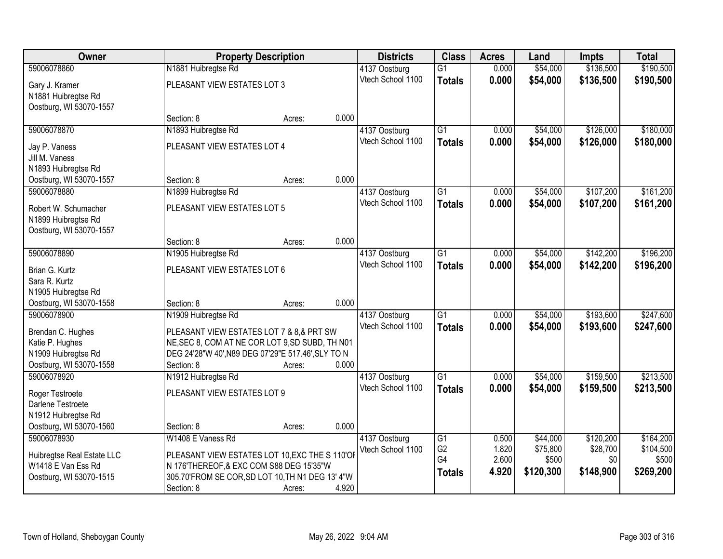| <b>Owner</b>               |                                                    | <b>Property Description</b> |       | <b>Districts</b>  | <b>Class</b>    | <b>Acres</b> | Land      | <b>Impts</b> | <b>Total</b> |
|----------------------------|----------------------------------------------------|-----------------------------|-------|-------------------|-----------------|--------------|-----------|--------------|--------------|
| 59006078860                | N1881 Huibregtse Rd                                |                             |       | 4137 Oostburg     | $\overline{G1}$ | 0.000        | \$54,000  | \$136,500    | \$190,500    |
| Gary J. Kramer             | PLEASANT VIEW ESTATES LOT 3                        |                             |       | Vtech School 1100 | <b>Totals</b>   | 0.000        | \$54,000  | \$136,500    | \$190,500    |
| N1881 Huibregtse Rd        |                                                    |                             |       |                   |                 |              |           |              |              |
| Oostburg, WI 53070-1557    |                                                    |                             |       |                   |                 |              |           |              |              |
|                            | Section: 8                                         | Acres:                      | 0.000 |                   |                 |              |           |              |              |
| 59006078870                | N1893 Huibregtse Rd                                |                             |       | 4137 Oostburg     | $\overline{G1}$ | 0.000        | \$54,000  | \$126,000    | \$180,000    |
| Jay P. Vaness              | PLEASANT VIEW ESTATES LOT 4                        |                             |       | Vtech School 1100 | <b>Totals</b>   | 0.000        | \$54,000  | \$126,000    | \$180,000    |
| Jill M. Vaness             |                                                    |                             |       |                   |                 |              |           |              |              |
| N1893 Huibregtse Rd        |                                                    |                             |       |                   |                 |              |           |              |              |
| Oostburg, WI 53070-1557    | Section: 8                                         | Acres:                      | 0.000 |                   |                 |              |           |              |              |
| 59006078880                | N1899 Huibregtse Rd                                |                             |       | 4137 Oostburg     | G1              | 0.000        | \$54,000  | \$107,200    | \$161,200    |
| Robert W. Schumacher       | PLEASANT VIEW ESTATES LOT 5                        |                             |       | Vtech School 1100 | <b>Totals</b>   | 0.000        | \$54,000  | \$107,200    | \$161,200    |
| N1899 Huibregtse Rd        |                                                    |                             |       |                   |                 |              |           |              |              |
| Oostburg, WI 53070-1557    |                                                    |                             |       |                   |                 |              |           |              |              |
|                            | Section: 8                                         | Acres:                      | 0.000 |                   |                 |              |           |              |              |
| 59006078890                | N1905 Huibregtse Rd                                |                             |       | 4137 Oostburg     | $\overline{G1}$ | 0.000        | \$54,000  | \$142,200    | \$196,200    |
| Brian G. Kurtz             | PLEASANT VIEW ESTATES LOT 6                        |                             |       | Vtech School 1100 | <b>Totals</b>   | 0.000        | \$54,000  | \$142,200    | \$196,200    |
| Sara R. Kurtz              |                                                    |                             |       |                   |                 |              |           |              |              |
| N1905 Huibregtse Rd        |                                                    |                             |       |                   |                 |              |           |              |              |
| Oostburg, WI 53070-1558    | Section: 8                                         | Acres:                      | 0.000 |                   |                 |              |           |              |              |
| 59006078900                | N1909 Huibregtse Rd                                |                             |       | 4137 Oostburg     | $\overline{G1}$ | 0.000        | \$54,000  | \$193,600    | \$247,600    |
| Brendan C. Hughes          | PLEASANT VIEW ESTATES LOT 7 & 8,& PRT SW           |                             |       | Vtech School 1100 | <b>Totals</b>   | 0.000        | \$54,000  | \$193,600    | \$247,600    |
| Katie P. Hughes            | NE, SEC 8, COM AT NE COR LOT 9, SD SUBD, TH N01    |                             |       |                   |                 |              |           |              |              |
| N1909 Huibregtse Rd        | DEG 24'28"W 40', N89 DEG 07'29"E 517.46', SLY TO N |                             |       |                   |                 |              |           |              |              |
| Oostburg, WI 53070-1558    | Section: 8                                         | Acres:                      | 0.000 |                   |                 |              |           |              |              |
| 59006078920                | N1912 Huibregtse Rd                                |                             |       | 4137 Oostburg     | $\overline{G1}$ | 0.000        | \$54,000  | \$159,500    | \$213,500    |
| Roger Testroete            | PLEASANT VIEW ESTATES LOT 9                        |                             |       | Vtech School 1100 | <b>Totals</b>   | 0.000        | \$54,000  | \$159,500    | \$213,500    |
| Darlene Testroete          |                                                    |                             |       |                   |                 |              |           |              |              |
| N1912 Huibregtse Rd        |                                                    |                             |       |                   |                 |              |           |              |              |
| Oostburg, WI 53070-1560    | Section: 8                                         | Acres:                      | 0.000 |                   |                 |              |           |              |              |
| 59006078930                | W1408 E Vaness Rd                                  |                             |       | 4137 Oostburg     | $\overline{G1}$ | 0.500        | \$44,000  | \$120,200    | \$164,200    |
| Huibregtse Real Estate LLC | PLEASANT VIEW ESTATES LOT 10, EXC THE S 110'OF     |                             |       | Vtech School 1100 | G <sub>2</sub>  | 1.820        | \$75,800  | \$28,700     | \$104,500    |
| W1418 E Van Ess Rd         | N 176'THEREOF, & EXC COM S88 DEG 15'35"W           |                             |       |                   | G4              | 2.600        | \$500     | \$0          | \$500        |
| Oostburg, WI 53070-1515    | 305.70'FROM SE COR, SD LOT 10, TH N1 DEG 13' 4"W   |                             |       |                   | <b>Totals</b>   | 4.920        | \$120,300 | \$148,900    | \$269,200    |
|                            | Section: 8                                         | Acres:                      | 4.920 |                   |                 |              |           |              |              |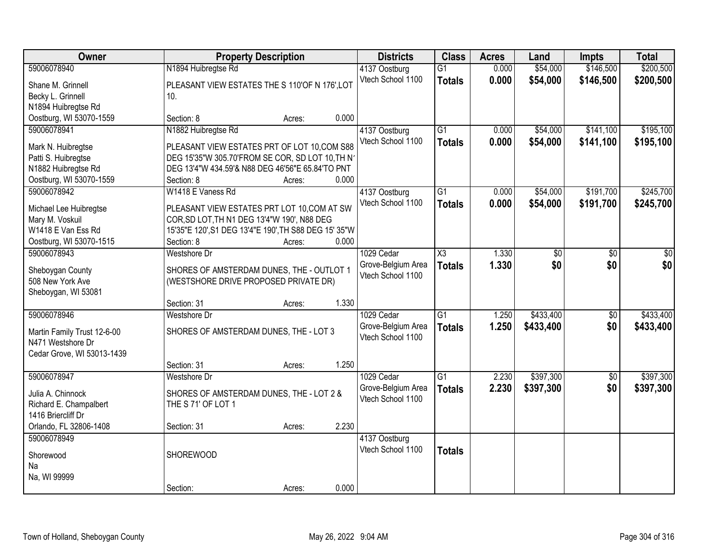| Owner                                 |                                                                     | <b>Property Description</b> |       | <b>Districts</b>   | <b>Class</b>           | <b>Acres</b> | Land            | Impts           | <b>Total</b>    |
|---------------------------------------|---------------------------------------------------------------------|-----------------------------|-------|--------------------|------------------------|--------------|-----------------|-----------------|-----------------|
| 59006078940                           | N1894 Huibregtse Rd                                                 |                             |       | 4137 Oostburg      | $\overline{G1}$        | 0.000        | \$54,000        | \$146,500       | \$200,500       |
| Shane M. Grinnell                     | PLEASANT VIEW ESTATES THE S 110'OF N 176', LOT                      |                             |       | Vtech School 1100  | <b>Totals</b>          | 0.000        | \$54,000        | \$146,500       | \$200,500       |
| Becky L. Grinnell                     | 10.                                                                 |                             |       |                    |                        |              |                 |                 |                 |
| N1894 Huibregtse Rd                   |                                                                     |                             |       |                    |                        |              |                 |                 |                 |
| Oostburg, WI 53070-1559               | Section: 8                                                          | Acres:                      | 0.000 |                    |                        |              |                 |                 |                 |
| 59006078941                           | N1882 Huibregtse Rd                                                 |                             |       | 4137 Oostburg      | $\overline{G1}$        | 0.000        | \$54,000        | \$141,100       | \$195,100       |
| Mark N. Huibregtse                    | PLEASANT VIEW ESTATES PRT OF LOT 10, COM S88                        |                             |       | Vtech School 1100  | <b>Totals</b>          | 0.000        | \$54,000        | \$141,100       | \$195,100       |
| Patti S. Huibregtse                   | DEG 15'35"W 305.70'FROM SE COR, SD LOT 10, TH N'                    |                             |       |                    |                        |              |                 |                 |                 |
| N1882 Huibregtse Rd                   | DEG 13'4"W 434.59'& N88 DEG 46'56"E 65.84'TO PNT                    |                             |       |                    |                        |              |                 |                 |                 |
| Oostburg, WI 53070-1559               | Section: 8                                                          | Acres:                      | 0.000 |                    |                        |              |                 |                 |                 |
| 59006078942                           | W1418 E Vaness Rd                                                   |                             |       | 4137 Oostburg      | $\overline{G1}$        | 0.000        | \$54,000        | \$191,700       | \$245,700       |
|                                       |                                                                     |                             |       | Vtech School 1100  | <b>Totals</b>          | 0.000        | \$54,000        | \$191,700       | \$245,700       |
| Michael Lee Huibregtse                | PLEASANT VIEW ESTATES PRT LOT 10, COM AT SW                         |                             |       |                    |                        |              |                 |                 |                 |
| Mary M. Voskuil<br>W1418 E Van Ess Rd | COR, SD LOT, TH N1 DEG 13'4"W 190', N88 DEG                         |                             |       |                    |                        |              |                 |                 |                 |
| Oostburg, WI 53070-1515               | 15'35"E 120', S1 DEG 13'4"E 190', TH S88 DEG 15' 35"W<br>Section: 8 | Acres:                      | 0.000 |                    |                        |              |                 |                 |                 |
| 59006078943                           | <b>Westshore Dr</b>                                                 |                             |       | 1029 Cedar         | $\overline{\text{X3}}$ | 1.330        | $\overline{50}$ | $\overline{30}$ | $\overline{50}$ |
|                                       |                                                                     |                             |       | Grove-Belgium Area | <b>Totals</b>          | 1.330        | \$0             | \$0             | \$0             |
| Sheboygan County                      | SHORES OF AMSTERDAM DUNES, THE - OUTLOT 1                           |                             |       | Vtech School 1100  |                        |              |                 |                 |                 |
| 508 New York Ave                      | (WESTSHORE DRIVE PROPOSED PRIVATE DR)                               |                             |       |                    |                        |              |                 |                 |                 |
| Sheboygan, WI 53081                   |                                                                     |                             |       |                    |                        |              |                 |                 |                 |
|                                       | Section: 31                                                         | Acres:                      | 1.330 |                    |                        |              |                 |                 |                 |
| 59006078946                           | <b>Westshore Dr</b>                                                 |                             |       | 1029 Cedar         | $\overline{G1}$        | 1.250        | \$433,400       | \$0             | \$433,400       |
| Martin Family Trust 12-6-00           | SHORES OF AMSTERDAM DUNES, THE - LOT 3                              |                             |       | Grove-Belgium Area | <b>Totals</b>          | 1.250        | \$433,400       | \$0             | \$433,400       |
| N471 Westshore Dr                     |                                                                     |                             |       | Vtech School 1100  |                        |              |                 |                 |                 |
| Cedar Grove, WI 53013-1439            |                                                                     |                             |       |                    |                        |              |                 |                 |                 |
|                                       | Section: 31                                                         | Acres:                      | 1.250 |                    |                        |              |                 |                 |                 |
| 59006078947                           | <b>Westshore Dr</b>                                                 |                             |       | 1029 Cedar         | $\overline{G1}$        | 2.230        | \$397,300       | $\sqrt{6}$      | \$397,300       |
| Julia A. Chinnock                     | SHORES OF AMSTERDAM DUNES, THE - LOT 2 &                            |                             |       | Grove-Belgium Area | <b>Totals</b>          | 2.230        | \$397,300       | \$0             | \$397,300       |
| Richard E. Champalbert                | THE S71' OF LOT 1                                                   |                             |       | Vtech School 1100  |                        |              |                 |                 |                 |
| 1416 Briercliff Dr                    |                                                                     |                             |       |                    |                        |              |                 |                 |                 |
| Orlando, FL 32806-1408                | Section: 31                                                         | Acres:                      | 2.230 |                    |                        |              |                 |                 |                 |
| 59006078949                           |                                                                     |                             |       | 4137 Oostburg      |                        |              |                 |                 |                 |
| Shorewood                             | <b>SHOREWOOD</b>                                                    |                             |       | Vtech School 1100  | <b>Totals</b>          |              |                 |                 |                 |
| Na                                    |                                                                     |                             |       |                    |                        |              |                 |                 |                 |
| Na, WI 99999                          |                                                                     |                             |       |                    |                        |              |                 |                 |                 |
|                                       | Section:                                                            | Acres:                      | 0.000 |                    |                        |              |                 |                 |                 |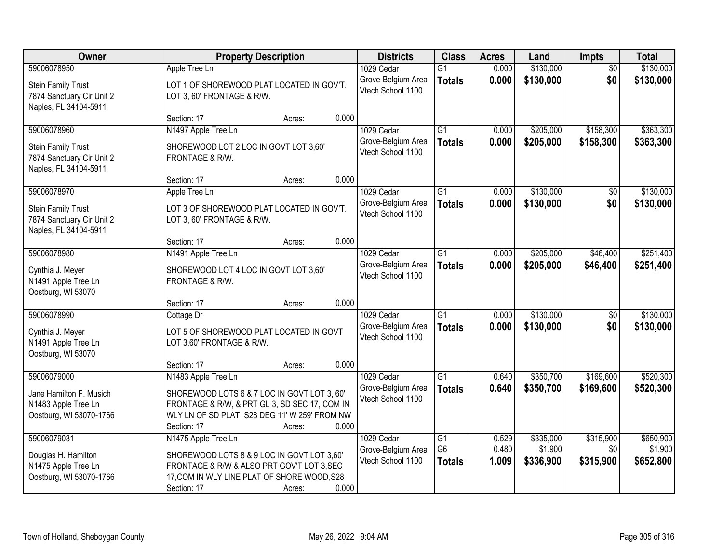| Owner                                                                           | <b>Property Description</b>                                                                                                                                  |        | <b>Districts</b>                                 | <b>Class</b>                    | <b>Acres</b>   | Land                 | <b>Impts</b>     | <b>Total</b>         |
|---------------------------------------------------------------------------------|--------------------------------------------------------------------------------------------------------------------------------------------------------------|--------|--------------------------------------------------|---------------------------------|----------------|----------------------|------------------|----------------------|
| 59006078950                                                                     | Apple Tree Ln                                                                                                                                                |        | 1029 Cedar                                       | $\overline{G1}$                 | 0.000          | \$130,000            | $\overline{50}$  | \$130,000            |
| <b>Stein Family Trust</b><br>7874 Sanctuary Cir Unit 2<br>Naples, FL 34104-5911 | LOT 1 OF SHOREWOOD PLAT LOCATED IN GOV'T.<br>LOT 3, 60' FRONTAGE & R/W.                                                                                      |        | Grove-Belgium Area<br>Vtech School 1100          | <b>Totals</b>                   | 0.000          | \$130,000            | \$0              | \$130,000            |
|                                                                                 | Section: 17                                                                                                                                                  | Acres: | 0.000                                            |                                 |                |                      |                  |                      |
| 59006078960                                                                     | N1497 Apple Tree Ln                                                                                                                                          |        | 1029 Cedar                                       | $\overline{G1}$                 | 0.000          | \$205,000            | \$158,300        | \$363,300            |
| <b>Stein Family Trust</b><br>7874 Sanctuary Cir Unit 2<br>Naples, FL 34104-5911 | SHOREWOOD LOT 2 LOC IN GOVT LOT 3,60'<br>FRONTAGE & R/W.                                                                                                     |        | Grove-Belgium Area<br>Vtech School 1100          | <b>Totals</b>                   | 0.000          | \$205,000            | \$158,300        | \$363,300            |
|                                                                                 | Section: 17                                                                                                                                                  | Acres: | 0.000                                            |                                 |                |                      |                  |                      |
| 59006078970                                                                     | Apple Tree Ln                                                                                                                                                |        | 1029 Cedar                                       | G1                              | 0.000          | \$130,000            | \$0              | \$130,000            |
| <b>Stein Family Trust</b><br>7874 Sanctuary Cir Unit 2<br>Naples, FL 34104-5911 | LOT 3 OF SHOREWOOD PLAT LOCATED IN GOV'T.<br>LOT 3, 60' FRONTAGE & R/W.                                                                                      |        | Grove-Belgium Area<br>Vtech School 1100          | <b>Totals</b>                   | 0.000          | \$130,000            | \$0              | \$130,000            |
|                                                                                 | Section: 17                                                                                                                                                  | Acres: | 0.000                                            |                                 |                |                      |                  |                      |
| 59006078980                                                                     | N1491 Apple Tree Ln                                                                                                                                          |        | 1029 Cedar                                       | G1                              | 0.000          | \$205,000            | \$46,400         | \$251,400            |
| Cynthia J. Meyer<br>N1491 Apple Tree Ln<br>Oostburg, WI 53070                   | SHOREWOOD LOT 4 LOC IN GOVT LOT 3,60'<br>FRONTAGE & R/W.                                                                                                     |        | Grove-Belgium Area<br>Vtech School 1100          | <b>Totals</b>                   | 0.000          | \$205,000            | \$46,400         | \$251,400            |
|                                                                                 | Section: 17                                                                                                                                                  | Acres: | 0.000                                            |                                 |                |                      |                  |                      |
| 59006078990                                                                     | Cottage Dr                                                                                                                                                   |        | 1029 Cedar                                       | $\overline{G1}$                 | 0.000          | \$130,000            | $\overline{50}$  | \$130,000            |
| Cynthia J. Meyer<br>N1491 Apple Tree Ln<br>Oostburg, WI 53070                   | LOT 5 OF SHOREWOOD PLAT LOCATED IN GOVT<br>LOT 3,60' FRONTAGE & R/W.                                                                                         |        | Grove-Belgium Area<br>Vtech School 1100          | <b>Totals</b>                   | 0.000          | \$130,000            | \$0              | \$130,000            |
|                                                                                 | Section: 17                                                                                                                                                  | Acres: | 0.000                                            |                                 |                |                      |                  |                      |
| 59006079000                                                                     | N1483 Apple Tree Ln                                                                                                                                          |        | 1029 Cedar                                       | $\overline{G1}$                 | 0.640          | \$350,700            | \$169,600        | \$520,300            |
| Jane Hamilton F. Musich<br>N1483 Apple Tree Ln<br>Oostburg, WI 53070-1766       | SHOREWOOD LOTS 6 & 7 LOC IN GOVT LOT 3, 60'<br>FRONTAGE & R/W, & PRT GL 3, SD SEC 17, COM IN<br>WLY LN OF SD PLAT, S28 DEG 11' W 259' FROM NW<br>Section: 17 | Acres: | Grove-Belgium Area<br>Vtech School 1100<br>0.000 | <b>Totals</b>                   | 0.640          | \$350,700            | \$169,600        | \$520,300            |
| 59006079031                                                                     | N1475 Apple Tree Ln                                                                                                                                          |        | 1029 Cedar                                       | $\overline{G1}$                 | 0.529          | \$335,000            | \$315,900        | \$650,900            |
| Douglas H. Hamilton<br>N1475 Apple Tree Ln<br>Oostburg, WI 53070-1766           | SHOREWOOD LOTS 8 & 9 LOC IN GOVT LOT 3,60'<br>FRONTAGE & R/W & ALSO PRT GOV'T LOT 3, SEC<br>17, COM IN WLY LINE PLAT OF SHORE WOOD, S28<br>Section: 17       | Acres: | Grove-Belgium Area<br>Vtech School 1100<br>0.000 | G <sub>6</sub><br><b>Totals</b> | 0.480<br>1.009 | \$1,900<br>\$336,900 | \$0<br>\$315,900 | \$1,900<br>\$652,800 |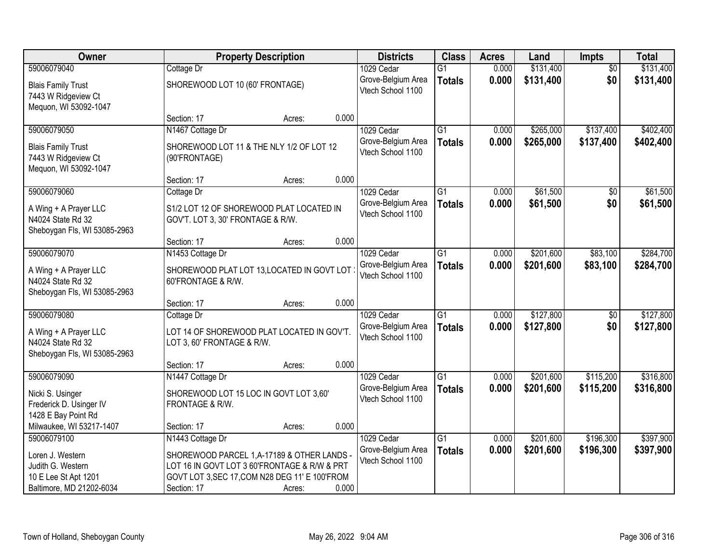| Owner                                                                      |                                                                                                                                               | <b>Property Description</b> |       | <b>Districts</b>                        | <b>Class</b>    | <b>Acres</b> | Land      | Impts           | <b>Total</b> |
|----------------------------------------------------------------------------|-----------------------------------------------------------------------------------------------------------------------------------------------|-----------------------------|-------|-----------------------------------------|-----------------|--------------|-----------|-----------------|--------------|
| 59006079040                                                                | Cottage Dr                                                                                                                                    |                             |       | 1029 Cedar                              | $\overline{G1}$ | 0.000        | \$131,400 | $\overline{50}$ | \$131,400    |
| <b>Blais Family Trust</b><br>7443 W Ridgeview Ct<br>Mequon, WI 53092-1047  | SHOREWOOD LOT 10 (60' FRONTAGE)                                                                                                               |                             |       | Grove-Belgium Area<br>Vtech School 1100 | <b>Totals</b>   | 0.000        | \$131,400 | \$0             | \$131,400    |
|                                                                            | Section: 17                                                                                                                                   | Acres:                      | 0.000 |                                         |                 |              |           |                 |              |
| 59006079050                                                                | N1467 Cottage Dr                                                                                                                              |                             |       | 1029 Cedar                              | $\overline{G1}$ | 0.000        | \$265,000 | \$137,400       | \$402,400    |
| <b>Blais Family Trust</b><br>7443 W Ridgeview Ct<br>Mequon, WI 53092-1047  | SHOREWOOD LOT 11 & THE NLY 1/2 OF LOT 12<br>(90'FRONTAGE)                                                                                     |                             |       | Grove-Belgium Area<br>Vtech School 1100 | <b>Totals</b>   | 0.000        | \$265,000 | \$137,400       | \$402,400    |
|                                                                            | Section: 17                                                                                                                                   | Acres:                      | 0.000 |                                         |                 |              |           |                 |              |
| 59006079060                                                                | Cottage Dr                                                                                                                                    |                             |       | 1029 Cedar                              | $\overline{G1}$ | 0.000        | \$61,500  | $\overline{50}$ | \$61,500     |
| A Wing + A Prayer LLC<br>N4024 State Rd 32<br>Sheboygan Fls, WI 53085-2963 | S1/2 LOT 12 OF SHOREWOOD PLAT LOCATED IN<br>GOV'T. LOT 3, 30' FRONTAGE & R/W.                                                                 |                             |       | Grove-Belgium Area<br>Vtech School 1100 | <b>Totals</b>   | 0.000        | \$61,500  | \$0             | \$61,500     |
|                                                                            | Section: 17                                                                                                                                   | Acres:                      | 0.000 |                                         |                 |              |           |                 |              |
| 59006079070                                                                | N1453 Cottage Dr                                                                                                                              |                             |       | 1029 Cedar                              | G1              | 0.000        | \$201,600 | \$83,100        | \$284,700    |
| A Wing + A Prayer LLC<br>N4024 State Rd 32<br>Sheboygan Fls, WI 53085-2963 | SHOREWOOD PLAT LOT 13, LOCATED IN GOVT LOT<br>60'FRONTAGE & R/W.                                                                              |                             |       | Grove-Belgium Area<br>Vtech School 1100 | <b>Totals</b>   | 0.000        | \$201,600 | \$83,100        | \$284,700    |
|                                                                            | Section: 17                                                                                                                                   | Acres:                      | 0.000 |                                         |                 |              |           |                 |              |
| 59006079080                                                                | Cottage Dr                                                                                                                                    |                             |       | 1029 Cedar                              | $\overline{G1}$ | 0.000        | \$127,800 | $\overline{50}$ | \$127,800    |
| A Wing + A Prayer LLC<br>N4024 State Rd 32<br>Sheboygan Fls, WI 53085-2963 | LOT 14 OF SHOREWOOD PLAT LOCATED IN GOV'T.<br>LOT 3, 60' FRONTAGE & R/W.                                                                      |                             |       | Grove-Belgium Area<br>Vtech School 1100 | <b>Totals</b>   | 0.000        | \$127,800 | \$0             | \$127,800    |
|                                                                            | Section: 17                                                                                                                                   | Acres:                      | 0.000 |                                         |                 |              |           |                 |              |
| 59006079090                                                                | N1447 Cottage Dr                                                                                                                              |                             |       | 1029 Cedar                              | G1              | 0.000        | \$201,600 | \$115,200       | \$316,800    |
| Nicki S. Usinger<br>Frederick D. Usinger IV<br>1428 E Bay Point Rd         | SHOREWOOD LOT 15 LOC IN GOVT LOT 3,60'<br>FRONTAGE & R/W.                                                                                     |                             |       | Grove-Belgium Area<br>Vtech School 1100 | <b>Totals</b>   | 0.000        | \$201,600 | \$115,200       | \$316,800    |
| Milwaukee, WI 53217-1407                                                   | Section: 17                                                                                                                                   | Acres:                      | 0.000 |                                         |                 |              |           |                 |              |
| 59006079100                                                                | N1443 Cottage Dr                                                                                                                              |                             |       | 1029 Cedar                              | $\overline{G1}$ | 0.000        | \$201,600 | \$196,300       | \$397,900    |
| Loren J. Western<br>Judith G. Western<br>10 E Lee St Apt 1201              | SHOREWOOD PARCEL 1, A-17189 & OTHER LANDS -<br>LOT 16 IN GOVT LOT 3 60'FRONTAGE & R/W & PRT<br>GOVT LOT 3, SEC 17, COM N28 DEG 11' E 100'FROM |                             |       | Grove-Belgium Area<br>Vtech School 1100 | <b>Totals</b>   | 0.000        | \$201,600 | \$196,300       | \$397,900    |
| Baltimore, MD 21202-6034                                                   | Section: 17                                                                                                                                   | Acres:                      | 0.000 |                                         |                 |              |           |                 |              |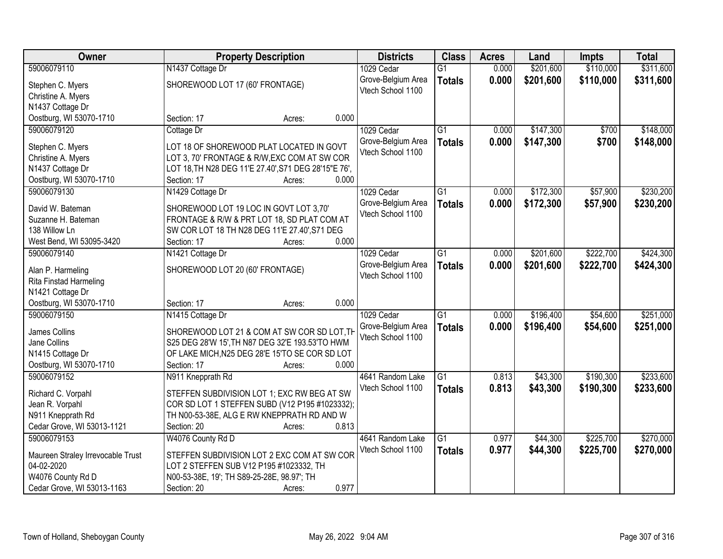| Owner                                  | <b>Property Description</b>                          |                 | <b>Districts</b>   | <b>Class</b>    | <b>Acres</b> | Land      | <b>Impts</b> | <b>Total</b> |
|----------------------------------------|------------------------------------------------------|-----------------|--------------------|-----------------|--------------|-----------|--------------|--------------|
| 59006079110                            | N1437 Cottage Dr                                     |                 | 1029 Cedar         | $\overline{G1}$ | 0.000        | \$201,600 | \$110,000    | \$311,600    |
| Stephen C. Myers                       | SHOREWOOD LOT 17 (60' FRONTAGE)                      |                 | Grove-Belgium Area | <b>Totals</b>   | 0.000        | \$201,600 | \$110,000    | \$311,600    |
| Christine A. Myers                     |                                                      |                 | Vtech School 1100  |                 |              |           |              |              |
| N1437 Cottage Dr                       |                                                      |                 |                    |                 |              |           |              |              |
| Oostburg, WI 53070-1710                | Section: 17                                          | 0.000<br>Acres: |                    |                 |              |           |              |              |
| 59006079120                            | Cottage Dr                                           |                 | 1029 Cedar         | $\overline{G1}$ | 0.000        | \$147,300 | \$700        | \$148,000    |
|                                        | LOT 18 OF SHOREWOOD PLAT LOCATED IN GOVT             |                 | Grove-Belgium Area | <b>Totals</b>   | 0.000        | \$147,300 | \$700        | \$148,000    |
| Stephen C. Myers<br>Christine A. Myers | LOT 3, 70' FRONTAGE & R/W, EXC COM AT SW COR         |                 | Vtech School 1100  |                 |              |           |              |              |
| N1437 Cottage Dr                       | LOT 18, TH N28 DEG 11'E 27.40', S71 DEG 28'15"E 76', |                 |                    |                 |              |           |              |              |
| Oostburg, WI 53070-1710                | Section: 17                                          | 0.000<br>Acres: |                    |                 |              |           |              |              |
| 59006079130                            | N1429 Cottage Dr                                     |                 | 1029 Cedar         | $\overline{G1}$ | 0.000        | \$172,300 | \$57,900     | \$230,200    |
|                                        |                                                      |                 | Grove-Belgium Area | <b>Totals</b>   | 0.000        | \$172,300 | \$57,900     | \$230,200    |
| David W. Bateman                       | SHOREWOOD LOT 19 LOC IN GOVT LOT 3,70'               |                 | Vtech School 1100  |                 |              |           |              |              |
| Suzanne H. Bateman                     | FRONTAGE & R/W & PRT LOT 18, SD PLAT COM AT          |                 |                    |                 |              |           |              |              |
| 138 Willow Ln                          | SW COR LOT 18 TH N28 DEG 11'E 27.40', S71 DEG        |                 |                    |                 |              |           |              |              |
| West Bend, WI 53095-3420               | Section: 17                                          | 0.000<br>Acres: |                    |                 |              |           |              |              |
| 59006079140                            | N1421 Cottage Dr                                     |                 | 1029 Cedar         | $\overline{G1}$ | 0.000        | \$201,600 | \$222,700    | \$424,300    |
| Alan P. Harmeling                      | SHOREWOOD LOT 20 (60' FRONTAGE)                      |                 | Grove-Belgium Area | <b>Totals</b>   | 0.000        | \$201,600 | \$222,700    | \$424,300    |
| Rita Finstad Harmeling                 |                                                      |                 | Vtech School 1100  |                 |              |           |              |              |
| N1421 Cottage Dr                       |                                                      |                 |                    |                 |              |           |              |              |
| Oostburg, WI 53070-1710                | Section: 17                                          | 0.000<br>Acres: |                    |                 |              |           |              |              |
| 59006079150                            | N1415 Cottage Dr                                     |                 | 1029 Cedar         | $\overline{G1}$ | 0.000        | \$196,400 | \$54,600     | \$251,000    |
| James Collins                          | SHOREWOOD LOT 21 & COM AT SW COR SD LOT, TH          |                 | Grove-Belgium Area | <b>Totals</b>   | 0.000        | \$196,400 | \$54,600     | \$251,000    |
| Jane Collins                           | S25 DEG 28'W 15', TH N87 DEG 32'E 193.53'TO HWM      |                 | Vtech School 1100  |                 |              |           |              |              |
| N1415 Cottage Dr                       | OF LAKE MICH, N25 DEG 28'E 15'TO SE COR SD LOT       |                 |                    |                 |              |           |              |              |
| Oostburg, WI 53070-1710                | Section: 17                                          | 0.000<br>Acres: |                    |                 |              |           |              |              |
| 59006079152                            | N911 Knepprath Rd                                    |                 | 4641 Random Lake   | $\overline{G1}$ | 0.813        | \$43,300  | \$190,300    | \$233,600    |
|                                        |                                                      |                 | Vtech School 1100  | <b>Totals</b>   | 0.813        | \$43,300  | \$190,300    | \$233,600    |
| Richard C. Vorpahl                     | STEFFEN SUBDIVISION LOT 1; EXC RW BEG AT SW          |                 |                    |                 |              |           |              |              |
| Jean R. Vorpahl                        | COR SD LOT 1 STEFFEN SUBD (V12 P195 #1023332);       |                 |                    |                 |              |           |              |              |
| N911 Knepprath Rd                      | TH N00-53-38E, ALG E RW KNEPPRATH RD AND W           |                 |                    |                 |              |           |              |              |
| Cedar Grove, WI 53013-1121             | Section: 20                                          | 0.813<br>Acres: |                    |                 |              |           |              |              |
| 59006079153                            | W4076 County Rd D                                    |                 | 4641 Random Lake   | $\overline{G1}$ | 0.977        | \$44,300  | \$225,700    | \$270,000    |
| Maureen Straley Irrevocable Trust      | STEFFEN SUBDIVISION LOT 2 EXC COM AT SW COR          |                 | Vtech School 1100  | <b>Totals</b>   | 0.977        | \$44,300  | \$225,700    | \$270,000    |
| 04-02-2020                             | LOT 2 STEFFEN SUB V12 P195 #1023332, TH              |                 |                    |                 |              |           |              |              |
| W4076 County Rd D                      | N00-53-38E, 19'; TH S89-25-28E, 98.97'; TH           |                 |                    |                 |              |           |              |              |
| Cedar Grove, WI 53013-1163             | Section: 20                                          | 0.977<br>Acres: |                    |                 |              |           |              |              |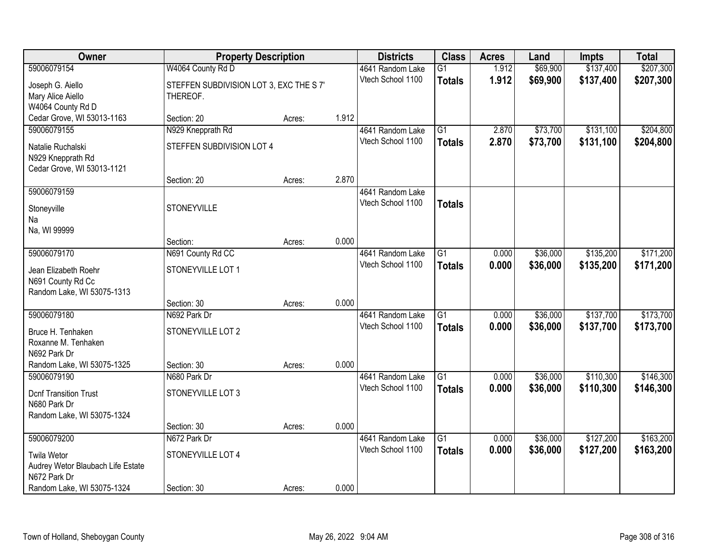| Owner                                           | <b>Property Description</b>             |        |       | <b>Districts</b>                      | <b>Class</b>    | <b>Acres</b> | Land     | Impts     | <b>Total</b> |
|-------------------------------------------------|-----------------------------------------|--------|-------|---------------------------------------|-----------------|--------------|----------|-----------|--------------|
| 59006079154                                     | W4064 County Rd D                       |        |       | 4641 Random Lake                      | $\overline{G1}$ | 1.912        | \$69,900 | \$137,400 | \$207,300    |
| Joseph G. Aiello                                | STEFFEN SUBDIVISION LOT 3, EXC THE S 7' |        |       | Vtech School 1100                     | <b>Totals</b>   | 1.912        | \$69,900 | \$137,400 | \$207,300    |
| Mary Alice Aiello                               | THEREOF.                                |        |       |                                       |                 |              |          |           |              |
| W4064 County Rd D                               |                                         |        |       |                                       |                 |              |          |           |              |
| Cedar Grove, WI 53013-1163                      | Section: 20                             | Acres: | 1.912 |                                       |                 |              |          |           |              |
| 59006079155                                     | N929 Knepprath Rd                       |        |       | 4641 Random Lake                      | $\overline{G1}$ | 2.870        | \$73,700 | \$131,100 | \$204,800    |
| Natalie Ruchalski                               | STEFFEN SUBDIVISION LOT 4               |        |       | Vtech School 1100                     | <b>Totals</b>   | 2.870        | \$73,700 | \$131,100 | \$204,800    |
| N929 Knepprath Rd                               |                                         |        |       |                                       |                 |              |          |           |              |
| Cedar Grove, WI 53013-1121                      |                                         |        |       |                                       |                 |              |          |           |              |
|                                                 | Section: 20                             | Acres: | 2.870 |                                       |                 |              |          |           |              |
| 59006079159                                     |                                         |        |       | 4641 Random Lake<br>Vtech School 1100 |                 |              |          |           |              |
| Stoneyville                                     | <b>STONEYVILLE</b>                      |        |       |                                       | <b>Totals</b>   |              |          |           |              |
| Na                                              |                                         |        |       |                                       |                 |              |          |           |              |
| Na, WI 99999                                    | Section:                                |        | 0.000 |                                       |                 |              |          |           |              |
| 59006079170                                     | N691 County Rd CC                       | Acres: |       | 4641 Random Lake                      | $\overline{G1}$ | 0.000        | \$36,000 | \$135,200 | \$171,200    |
|                                                 |                                         |        |       | Vtech School 1100                     | <b>Totals</b>   | 0.000        | \$36,000 | \$135,200 | \$171,200    |
| Jean Elizabeth Roehr                            | STONEYVILLE LOT 1                       |        |       |                                       |                 |              |          |           |              |
| N691 County Rd Cc<br>Random Lake, WI 53075-1313 |                                         |        |       |                                       |                 |              |          |           |              |
|                                                 | Section: 30                             | Acres: | 0.000 |                                       |                 |              |          |           |              |
| 59006079180                                     | N692 Park Dr                            |        |       | 4641 Random Lake                      | $\overline{G1}$ | 0.000        | \$36,000 | \$137,700 | \$173,700    |
|                                                 |                                         |        |       | Vtech School 1100                     | <b>Totals</b>   | 0.000        | \$36,000 | \$137,700 | \$173,700    |
| Bruce H. Tenhaken<br>Roxanne M. Tenhaken        | STONEYVILLE LOT 2                       |        |       |                                       |                 |              |          |           |              |
| N692 Park Dr                                    |                                         |        |       |                                       |                 |              |          |           |              |
| Random Lake, WI 53075-1325                      | Section: 30                             | Acres: | 0.000 |                                       |                 |              |          |           |              |
| 59006079190                                     | N680 Park Dr                            |        |       | 4641 Random Lake                      | $\overline{G1}$ | 0.000        | \$36,000 | \$110,300 | \$146,300    |
| <b>Dcnf Transition Trust</b>                    | STONEYVILLE LOT 3                       |        |       | Vtech School 1100                     | <b>Totals</b>   | 0.000        | \$36,000 | \$110,300 | \$146,300    |
| N680 Park Dr                                    |                                         |        |       |                                       |                 |              |          |           |              |
| Random Lake, WI 53075-1324                      |                                         |        |       |                                       |                 |              |          |           |              |
|                                                 | Section: 30                             | Acres: | 0.000 |                                       |                 |              |          |           |              |
| 59006079200                                     | N672 Park Dr                            |        |       | 4641 Random Lake                      | $\overline{G1}$ | 0.000        | \$36,000 | \$127,200 | \$163,200    |
| <b>Twila Wetor</b>                              | STONEYVILLE LOT 4                       |        |       | Vtech School 1100                     | <b>Totals</b>   | 0.000        | \$36,000 | \$127,200 | \$163,200    |
| Audrey Wetor Blaubach Life Estate               |                                         |        |       |                                       |                 |              |          |           |              |
| N672 Park Dr                                    |                                         |        |       |                                       |                 |              |          |           |              |
| Random Lake, WI 53075-1324                      | Section: 30                             | Acres: | 0.000 |                                       |                 |              |          |           |              |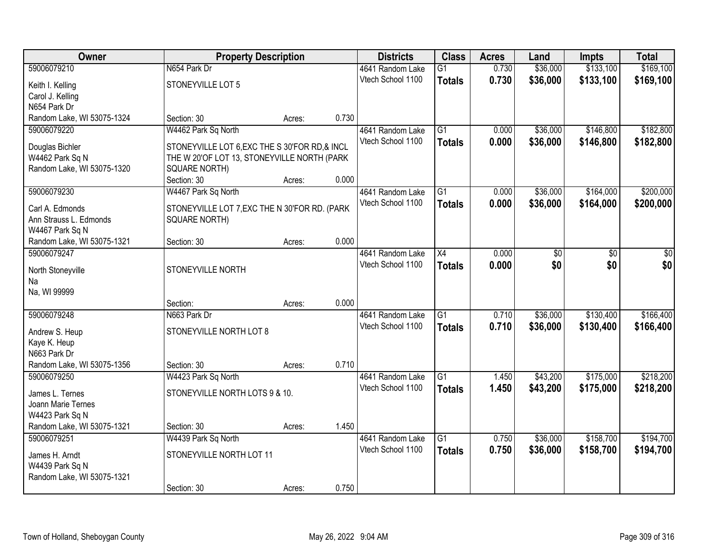| <b>Owner</b>               | <b>Property Description</b>                    |        |       | <b>Districts</b>  | <b>Class</b>    | <b>Acres</b> | Land     | <b>Impts</b> | <b>Total</b>    |
|----------------------------|------------------------------------------------|--------|-------|-------------------|-----------------|--------------|----------|--------------|-----------------|
| 59006079210                | N654 Park Dr                                   |        |       | 4641 Random Lake  | $\overline{G1}$ | 0.730        | \$36,000 | \$133,100    | \$169,100       |
| Keith I. Kelling           | STONEYVILLE LOT 5                              |        |       | Vtech School 1100 | <b>Totals</b>   | 0.730        | \$36,000 | \$133,100    | \$169,100       |
| Carol J. Kelling           |                                                |        |       |                   |                 |              |          |              |                 |
| N654 Park Dr               |                                                |        |       |                   |                 |              |          |              |                 |
| Random Lake, WI 53075-1324 | Section: 30                                    | Acres: | 0.730 |                   |                 |              |          |              |                 |
| 59006079220                | W4462 Park Sq North                            |        |       | 4641 Random Lake  | $\overline{G1}$ | 0.000        | \$36,000 | \$146,800    | \$182,800       |
| Douglas Bichler            | STONEYVILLE LOT 6, EXC THE S 30'FOR RD, & INCL |        |       | Vtech School 1100 | <b>Totals</b>   | 0.000        | \$36,000 | \$146,800    | \$182,800       |
| W4462 Park Sq N            | THE W 20'OF LOT 13, STONEYVILLE NORTH (PARK    |        |       |                   |                 |              |          |              |                 |
| Random Lake, WI 53075-1320 | <b>SQUARE NORTH)</b>                           |        |       |                   |                 |              |          |              |                 |
|                            | Section: 30                                    | Acres: | 0.000 |                   |                 |              |          |              |                 |
| 59006079230                | W4467 Park Sq North                            |        |       | 4641 Random Lake  | $\overline{G1}$ | 0.000        | \$36,000 | \$164,000    | \$200,000       |
| Carl A. Edmonds            | STONEYVILLE LOT 7, EXC THE N 30'FOR RD. (PARK  |        |       | Vtech School 1100 | <b>Totals</b>   | 0.000        | \$36,000 | \$164,000    | \$200,000       |
| Ann Strauss L. Edmonds     | <b>SQUARE NORTH)</b>                           |        |       |                   |                 |              |          |              |                 |
| W4467 Park Sq N            |                                                |        |       |                   |                 |              |          |              |                 |
| Random Lake, WI 53075-1321 | Section: 30                                    | Acres: | 0.000 |                   |                 |              |          |              |                 |
| 59006079247                |                                                |        |       | 4641 Random Lake  | $\overline{X4}$ | 0.000        | \$0      | \$0          | $\overline{50}$ |
| North Stoneyville          | STONEYVILLE NORTH                              |        |       | Vtech School 1100 | <b>Totals</b>   | 0.000        | \$0      | \$0          | \$0             |
| Na                         |                                                |        |       |                   |                 |              |          |              |                 |
| Na, WI 99999               |                                                |        |       |                   |                 |              |          |              |                 |
|                            | Section:                                       | Acres: | 0.000 |                   |                 |              |          |              |                 |
| 59006079248                | N663 Park Dr                                   |        |       | 4641 Random Lake  | $\overline{G1}$ | 0.710        | \$36,000 | \$130,400    | \$166,400       |
| Andrew S. Heup             | STONEYVILLE NORTH LOT 8                        |        |       | Vtech School 1100 | <b>Totals</b>   | 0.710        | \$36,000 | \$130,400    | \$166,400       |
| Kaye K. Heup               |                                                |        |       |                   |                 |              |          |              |                 |
| N663 Park Dr               |                                                |        |       |                   |                 |              |          |              |                 |
| Random Lake, WI 53075-1356 | Section: 30                                    | Acres: | 0.710 |                   |                 |              |          |              |                 |
| 59006079250                | W4423 Park Sq North                            |        |       | 4641 Random Lake  | G1              | 1.450        | \$43,200 | \$175,000    | \$218,200       |
| James L. Ternes            | STONEYVILLE NORTH LOTS 9 & 10.                 |        |       | Vtech School 1100 | <b>Totals</b>   | 1.450        | \$43,200 | \$175,000    | \$218,200       |
| Joann Marie Ternes         |                                                |        |       |                   |                 |              |          |              |                 |
| W4423 Park Sq N            |                                                |        |       |                   |                 |              |          |              |                 |
| Random Lake, WI 53075-1321 | Section: 30                                    | Acres: | 1.450 |                   |                 |              |          |              |                 |
| 59006079251                | W4439 Park Sq North                            |        |       | 4641 Random Lake  | $\overline{G1}$ | 0.750        | \$36,000 | \$158,700    | \$194,700       |
| James H. Arndt             | STONEYVILLE NORTH LOT 11                       |        |       | Vtech School 1100 | <b>Totals</b>   | 0.750        | \$36,000 | \$158,700    | \$194,700       |
| W4439 Park Sq N            |                                                |        |       |                   |                 |              |          |              |                 |
| Random Lake, WI 53075-1321 |                                                |        |       |                   |                 |              |          |              |                 |
|                            | Section: 30                                    | Acres: | 0.750 |                   |                 |              |          |              |                 |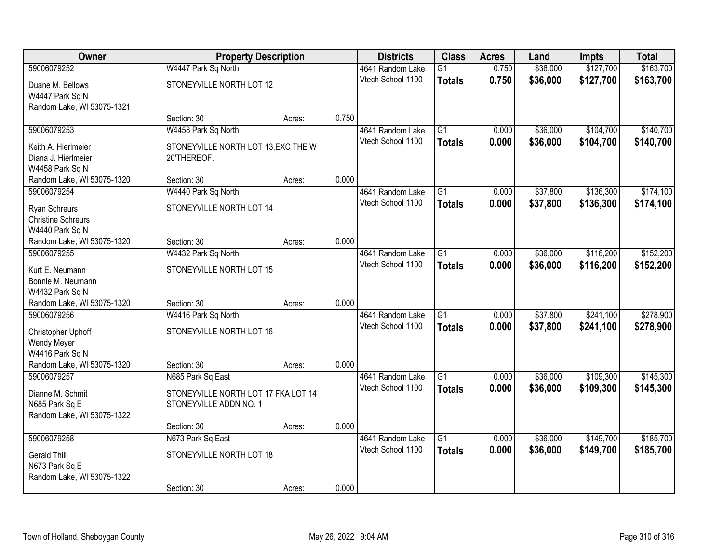| Owner                      | <b>Property Description</b>         |        |       | <b>Districts</b>  | <b>Class</b>    | <b>Acres</b> | Land     | <b>Impts</b> | <b>Total</b> |
|----------------------------|-------------------------------------|--------|-------|-------------------|-----------------|--------------|----------|--------------|--------------|
| 59006079252                | W4447 Park Sq North                 |        |       | 4641 Random Lake  | $\overline{G1}$ | 0.750        | \$36,000 | \$127,700    | \$163,700    |
| Duane M. Bellows           | STONEYVILLE NORTH LOT 12            |        |       | Vtech School 1100 | <b>Totals</b>   | 0.750        | \$36,000 | \$127,700    | \$163,700    |
| W4447 Park Sq N            |                                     |        |       |                   |                 |              |          |              |              |
| Random Lake, WI 53075-1321 |                                     |        |       |                   |                 |              |          |              |              |
|                            | Section: 30                         | Acres: | 0.750 |                   |                 |              |          |              |              |
| 59006079253                | W4458 Park Sq North                 |        |       | 4641 Random Lake  | $\overline{G1}$ | 0.000        | \$36,000 | \$104,700    | \$140,700    |
| Keith A. Hierlmeier        | STONEYVILLE NORTH LOT 13, EXC THE W |        |       | Vtech School 1100 | <b>Totals</b>   | 0.000        | \$36,000 | \$104,700    | \$140,700    |
| Diana J. Hierlmeier        | 20'THEREOF.                         |        |       |                   |                 |              |          |              |              |
| W4458 Park Sq N            |                                     |        |       |                   |                 |              |          |              |              |
| Random Lake, WI 53075-1320 | Section: 30                         | Acres: | 0.000 |                   |                 |              |          |              |              |
| 59006079254                | W4440 Park Sq North                 |        |       | 4641 Random Lake  | $\overline{G1}$ | 0.000        | \$37,800 | \$136,300    | \$174,100    |
| Ryan Schreurs              | STONEYVILLE NORTH LOT 14            |        |       | Vtech School 1100 | <b>Totals</b>   | 0.000        | \$37,800 | \$136,300    | \$174,100    |
| <b>Christine Schreurs</b>  |                                     |        |       |                   |                 |              |          |              |              |
| W4440 Park Sq N            |                                     |        |       |                   |                 |              |          |              |              |
| Random Lake, WI 53075-1320 | Section: 30                         | Acres: | 0.000 |                   |                 |              |          |              |              |
| 59006079255                | W4432 Park Sq North                 |        |       | 4641 Random Lake  | $\overline{G1}$ | 0.000        | \$36,000 | \$116,200    | \$152,200    |
| Kurt E. Neumann            | STONEYVILLE NORTH LOT 15            |        |       | Vtech School 1100 | <b>Totals</b>   | 0.000        | \$36,000 | \$116,200    | \$152,200    |
| Bonnie M. Neumann          |                                     |        |       |                   |                 |              |          |              |              |
| W4432 Park Sq N            |                                     |        |       |                   |                 |              |          |              |              |
| Random Lake, WI 53075-1320 | Section: 30                         | Acres: | 0.000 |                   |                 |              |          |              |              |
| 59006079256                | W4416 Park Sq North                 |        |       | 4641 Random Lake  | $\overline{G1}$ | 0.000        | \$37,800 | \$241,100    | \$278,900    |
| Christopher Uphoff         | STONEYVILLE NORTH LOT 16            |        |       | Vtech School 1100 | <b>Totals</b>   | 0.000        | \$37,800 | \$241,100    | \$278,900    |
| Wendy Meyer                |                                     |        |       |                   |                 |              |          |              |              |
| W4416 Park Sq N            |                                     |        |       |                   |                 |              |          |              |              |
| Random Lake, WI 53075-1320 | Section: 30                         | Acres: | 0.000 |                   |                 |              |          |              |              |
| 59006079257                | N685 Park Sq East                   |        |       | 4641 Random Lake  | $\overline{G1}$ | 0.000        | \$36,000 | \$109,300    | \$145,300    |
| Dianne M. Schmit           | STONEYVILLE NORTH LOT 17 FKA LOT 14 |        |       | Vtech School 1100 | <b>Totals</b>   | 0.000        | \$36,000 | \$109,300    | \$145,300    |
| N685 Park Sq E             | STONEYVILLE ADDN NO. 1              |        |       |                   |                 |              |          |              |              |
| Random Lake, WI 53075-1322 |                                     |        |       |                   |                 |              |          |              |              |
|                            | Section: 30                         | Acres: | 0.000 |                   |                 |              |          |              |              |
| 59006079258                | N673 Park Sq East                   |        |       | 4641 Random Lake  | $\overline{G1}$ | 0.000        | \$36,000 | \$149,700    | \$185,700    |
| <b>Gerald Thill</b>        | STONEYVILLE NORTH LOT 18            |        |       | Vtech School 1100 | <b>Totals</b>   | 0.000        | \$36,000 | \$149,700    | \$185,700    |
| N673 Park Sq E             |                                     |        |       |                   |                 |              |          |              |              |
| Random Lake, WI 53075-1322 |                                     |        |       |                   |                 |              |          |              |              |
|                            | Section: 30                         | Acres: | 0.000 |                   |                 |              |          |              |              |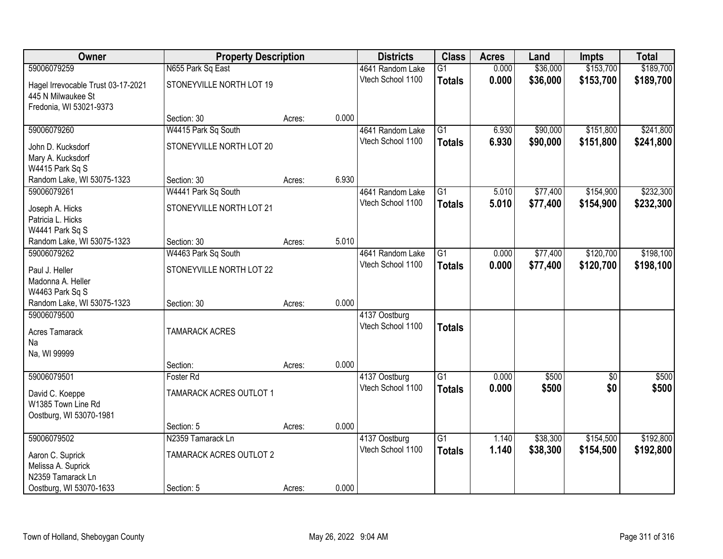| Owner                              | <b>Property Description</b>    |        |       | <b>Districts</b>  | <b>Class</b>    | <b>Acres</b> | Land     | Impts           | <b>Total</b> |
|------------------------------------|--------------------------------|--------|-------|-------------------|-----------------|--------------|----------|-----------------|--------------|
| 59006079259                        | N655 Park Sq East              |        |       | 4641 Random Lake  | $\overline{G1}$ | 0.000        | \$36,000 | \$153,700       | \$189,700    |
| Hagel Irrevocable Trust 03-17-2021 | STONEYVILLE NORTH LOT 19       |        |       | Vtech School 1100 | <b>Totals</b>   | 0.000        | \$36,000 | \$153,700       | \$189,700    |
| 445 N Milwaukee St                 |                                |        |       |                   |                 |              |          |                 |              |
| Fredonia, WI 53021-9373            |                                |        |       |                   |                 |              |          |                 |              |
|                                    | Section: 30                    | Acres: | 0.000 |                   |                 |              |          |                 |              |
| 59006079260                        | W4415 Park Sq South            |        |       | 4641 Random Lake  | $\overline{G1}$ | 6.930        | \$90,000 | \$151,800       | \$241,800    |
| John D. Kucksdorf                  | STONEYVILLE NORTH LOT 20       |        |       | Vtech School 1100 | <b>Totals</b>   | 6.930        | \$90,000 | \$151,800       | \$241,800    |
| Mary A. Kucksdorf                  |                                |        |       |                   |                 |              |          |                 |              |
| W4415 Park Sq S                    |                                |        |       |                   |                 |              |          |                 |              |
| Random Lake, WI 53075-1323         | Section: 30                    | Acres: | 6.930 |                   |                 |              |          |                 |              |
| 59006079261                        | W4441 Park Sq South            |        |       | 4641 Random Lake  | $\overline{G1}$ | 5.010        | \$77,400 | \$154,900       | \$232,300    |
| Joseph A. Hicks                    | STONEYVILLE NORTH LOT 21       |        |       | Vtech School 1100 | <b>Totals</b>   | 5.010        | \$77,400 | \$154,900       | \$232,300    |
| Patricia L. Hicks                  |                                |        |       |                   |                 |              |          |                 |              |
| W4441 Park Sq S                    |                                |        |       |                   |                 |              |          |                 |              |
| Random Lake, WI 53075-1323         | Section: 30                    | Acres: | 5.010 |                   |                 |              |          |                 |              |
| 59006079262                        | W4463 Park Sq South            |        |       | 4641 Random Lake  | $\overline{G1}$ | 0.000        | \$77,400 | \$120,700       | \$198,100    |
| Paul J. Heller                     | STONEYVILLE NORTH LOT 22       |        |       | Vtech School 1100 | <b>Totals</b>   | 0.000        | \$77,400 | \$120,700       | \$198,100    |
| Madonna A. Heller                  |                                |        |       |                   |                 |              |          |                 |              |
| W4463 Park Sq S                    |                                |        |       |                   |                 |              |          |                 |              |
| Random Lake, WI 53075-1323         | Section: 30                    | Acres: | 0.000 |                   |                 |              |          |                 |              |
| 59006079500                        |                                |        |       | 4137 Oostburg     |                 |              |          |                 |              |
| <b>Acres Tamarack</b>              | <b>TAMARACK ACRES</b>          |        |       | Vtech School 1100 | <b>Totals</b>   |              |          |                 |              |
| Na                                 |                                |        |       |                   |                 |              |          |                 |              |
| Na, WI 99999                       |                                |        |       |                   |                 |              |          |                 |              |
|                                    | Section:                       | Acres: | 0.000 |                   |                 |              |          |                 |              |
| 59006079501                        | Foster Rd                      |        |       | 4137 Oostburg     | $\overline{G1}$ | 0.000        | \$500    | $\overline{30}$ | \$500        |
| David C. Koeppe                    | <b>TAMARACK ACRES OUTLOT 1</b> |        |       | Vtech School 1100 | <b>Totals</b>   | 0.000        | \$500    | \$0             | \$500        |
| W1385 Town Line Rd                 |                                |        |       |                   |                 |              |          |                 |              |
| Oostburg, WI 53070-1981            |                                |        |       |                   |                 |              |          |                 |              |
|                                    | Section: 5                     | Acres: | 0.000 |                   |                 |              |          |                 |              |
| 59006079502                        | N2359 Tamarack Ln              |        |       | 4137 Oostburg     | $\overline{G1}$ | 1.140        | \$38,300 | \$154,500       | \$192,800    |
| Aaron C. Suprick                   | TAMARACK ACRES OUTLOT 2        |        |       | Vtech School 1100 | <b>Totals</b>   | 1.140        | \$38,300 | \$154,500       | \$192,800    |
| Melissa A. Suprick                 |                                |        |       |                   |                 |              |          |                 |              |
| N2359 Tamarack Ln                  |                                |        |       |                   |                 |              |          |                 |              |
| Oostburg, WI 53070-1633            | Section: 5                     | Acres: | 0.000 |                   |                 |              |          |                 |              |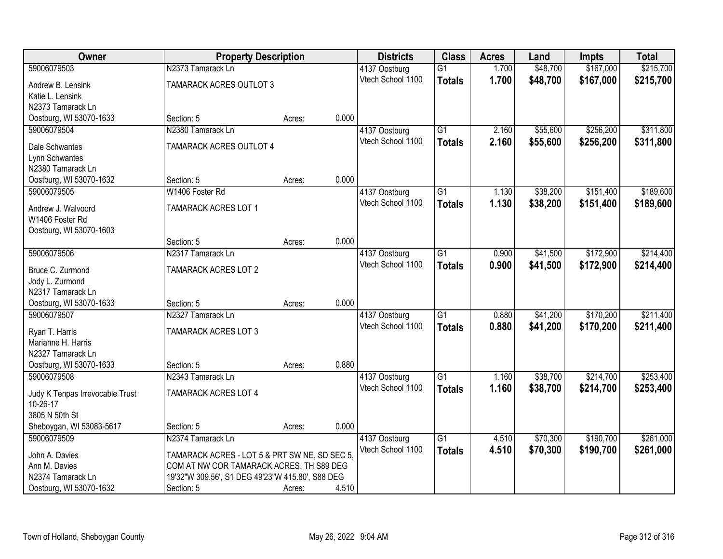| <b>Owner</b>                                 | <b>Property Description</b>                      |        |       | <b>Districts</b>                   | <b>Class</b>    | <b>Acres</b>   | Land     | <b>Impts</b> | <b>Total</b> |
|----------------------------------------------|--------------------------------------------------|--------|-------|------------------------------------|-----------------|----------------|----------|--------------|--------------|
| 59006079503                                  | N2373 Tamarack Ln                                |        |       | 4137 Oostburg                      | $\overline{G1}$ | 1.700          | \$48,700 | \$167,000    | \$215,700    |
| Andrew B. Lensink                            | TAMARACK ACRES OUTLOT 3                          |        |       | Vtech School 1100                  | <b>Totals</b>   | 1.700          | \$48,700 | \$167,000    | \$215,700    |
| Katie L. Lensink                             |                                                  |        |       |                                    |                 |                |          |              |              |
| N2373 Tamarack Ln                            |                                                  |        |       |                                    |                 |                |          |              |              |
| Oostburg, WI 53070-1633                      | Section: 5                                       | Acres: | 0.000 |                                    |                 |                |          |              |              |
| 59006079504                                  | N2380 Tamarack Ln                                |        |       | 4137 Oostburg                      | $\overline{G1}$ | 2.160          | \$55,600 | \$256,200    | \$311,800    |
| Dale Schwantes                               | TAMARACK ACRES OUTLOT 4                          |        |       | Vtech School 1100                  | <b>Totals</b>   | 2.160          | \$55,600 | \$256,200    | \$311,800    |
| Lynn Schwantes                               |                                                  |        |       |                                    |                 |                |          |              |              |
| N2380 Tamarack Ln                            |                                                  |        |       |                                    |                 |                |          |              |              |
| Oostburg, WI 53070-1632                      | Section: 5                                       | Acres: | 0.000 |                                    |                 |                |          |              |              |
| 59006079505                                  | W1406 Foster Rd                                  |        |       | 4137 Oostburg                      | G1              | 1.130          | \$38,200 | \$151,400    | \$189,600    |
| Andrew J. Walvoord                           | <b>TAMARACK ACRES LOT 1</b>                      |        |       | Vtech School 1100                  | <b>Totals</b>   | 1.130          | \$38,200 | \$151,400    | \$189,600    |
| W1406 Foster Rd                              |                                                  |        |       |                                    |                 |                |          |              |              |
| Oostburg, WI 53070-1603                      |                                                  |        |       |                                    |                 |                |          |              |              |
|                                              | Section: 5                                       | Acres: | 0.000 |                                    |                 |                |          |              |              |
| 59006079506                                  | N2317 Tamarack Ln                                |        |       | 4137 Oostburg                      | G1              | 0.900          | \$41,500 | \$172,900    | \$214,400    |
|                                              |                                                  |        |       | Vtech School 1100                  | <b>Totals</b>   | 0.900          | \$41,500 | \$172,900    | \$214,400    |
| Bruce C. Zurmond                             | <b>TAMARACK ACRES LOT 2</b>                      |        |       |                                    |                 |                |          |              |              |
| Jody L. Zurmond<br>N2317 Tamarack Ln         |                                                  |        |       |                                    |                 |                |          |              |              |
| Oostburg, WI 53070-1633                      | Section: 5                                       | Acres: | 0.000 |                                    |                 |                |          |              |              |
| 59006079507                                  | N2327 Tamarack Ln                                |        |       | 4137 Oostburg                      | $\overline{G1}$ | 0.880          | \$41,200 | \$170,200    | \$211,400    |
|                                              |                                                  |        |       | Vtech School 1100                  | <b>Totals</b>   | 0.880          | \$41,200 | \$170,200    | \$211,400    |
| Ryan T. Harris                               | <b>TAMARACK ACRES LOT 3</b>                      |        |       |                                    |                 |                |          |              |              |
| Marianne H. Harris                           |                                                  |        |       |                                    |                 |                |          |              |              |
| N2327 Tamarack Ln<br>Oostburg, WI 53070-1633 | Section: 5                                       | Acres: | 0.880 |                                    |                 |                |          |              |              |
| 59006079508                                  | N2343 Tamarack Ln                                |        |       | 4137 Oostburg                      | $\overline{G1}$ | 1.160          | \$38,700 | \$214,700    | \$253,400    |
|                                              |                                                  |        |       | Vtech School 1100                  | <b>Totals</b>   | 1.160          | \$38,700 | \$214,700    | \$253,400    |
| Judy K Tenpas Irrevocable Trust              | <b>TAMARACK ACRES LOT 4</b>                      |        |       |                                    |                 |                |          |              |              |
| 10-26-17                                     |                                                  |        |       |                                    |                 |                |          |              |              |
| 3805 N 50th St                               |                                                  |        |       |                                    |                 |                |          |              |              |
| Sheboygan, WI 53083-5617<br>59006079509      | Section: 5<br>N2374 Tamarack Ln                  | Acres: | 0.000 |                                    | $\overline{G1}$ |                | \$70,300 | \$190,700    | \$261,000    |
|                                              |                                                  |        |       | 4137 Oostburg<br>Vtech School 1100 |                 | 4.510<br>4.510 |          |              |              |
| John A. Davies                               | TAMARACK ACRES - LOT 5 & PRT SW NE, SD SEC 5,    |        |       |                                    | <b>Totals</b>   |                | \$70,300 | \$190,700    | \$261,000    |
| Ann M. Davies                                | COM AT NW COR TAMARACK ACRES, TH S89 DEG         |        |       |                                    |                 |                |          |              |              |
| N2374 Tamarack Ln                            | 19'32"W 309.56', S1 DEG 49'23"W 415.80', S88 DEG |        |       |                                    |                 |                |          |              |              |
| Oostburg, WI 53070-1632                      | Section: 5                                       | Acres: | 4.510 |                                    |                 |                |          |              |              |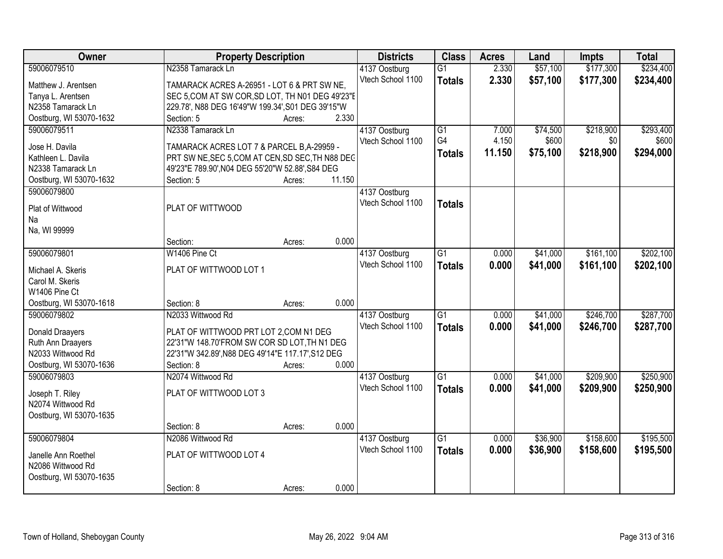| Owner                                  | <b>Property Description</b>                                                                    |        |        | <b>Districts</b>                   | <b>Class</b>    | <b>Acres</b> | Land     | <b>Impts</b> | <b>Total</b> |
|----------------------------------------|------------------------------------------------------------------------------------------------|--------|--------|------------------------------------|-----------------|--------------|----------|--------------|--------------|
| 59006079510                            | N2358 Tamarack Ln                                                                              |        |        | 4137 Oostburg                      | $\overline{G1}$ | 2.330        | \$57,100 | \$177,300    | \$234,400    |
| Matthew J. Arentsen                    | TAMARACK ACRES A-26951 - LOT 6 & PRT SW NE,                                                    |        |        | Vtech School 1100                  | <b>Totals</b>   | 2.330        | \$57,100 | \$177,300    | \$234,400    |
| Tanya L. Arentsen                      | SEC 5, COM AT SW COR, SD LOT, TH N01 DEG 49'23"E                                               |        |        |                                    |                 |              |          |              |              |
| N2358 Tamarack Ln                      | 229.78', N88 DEG 16'49"W 199.34', S01 DEG 39'15"W                                              |        |        |                                    |                 |              |          |              |              |
| Oostburg, WI 53070-1632                | Section: 5                                                                                     | Acres: | 2.330  |                                    |                 |              |          |              |              |
| 59006079511                            | N2338 Tamarack Ln                                                                              |        |        | 4137 Oostburg                      | $\overline{G1}$ | 7.000        | \$74,500 | \$218,900    | \$293,400    |
|                                        |                                                                                                |        |        | Vtech School 1100                  | G4              | 4.150        | \$600    | \$0          | \$600        |
| Jose H. Davila<br>Kathleen L. Davila   | TAMARACK ACRES LOT 7 & PARCEL B, A-29959 -<br>PRT SW NE, SEC 5, COM AT CEN, SD SEC, TH N88 DEC |        |        |                                    | <b>Totals</b>   | 11.150       | \$75,100 | \$218,900    | \$294,000    |
| N2338 Tamarack Ln                      | 49'23"E 789.90', N04 DEG 55'20"W 52.88', S84 DEG                                               |        |        |                                    |                 |              |          |              |              |
|                                        | Section: 5                                                                                     |        | 11.150 |                                    |                 |              |          |              |              |
| Oostburg, WI 53070-1632<br>59006079800 |                                                                                                | Acres: |        |                                    |                 |              |          |              |              |
|                                        |                                                                                                |        |        | 4137 Oostburg<br>Vtech School 1100 |                 |              |          |              |              |
| Plat of Wittwood                       | PLAT OF WITTWOOD                                                                               |        |        |                                    | <b>Totals</b>   |              |          |              |              |
| Na                                     |                                                                                                |        |        |                                    |                 |              |          |              |              |
| Na, WI 99999                           |                                                                                                |        |        |                                    |                 |              |          |              |              |
|                                        | Section:                                                                                       | Acres: | 0.000  |                                    |                 |              |          |              |              |
| 59006079801                            | W1406 Pine Ct                                                                                  |        |        | 4137 Oostburg                      | $\overline{G1}$ | 0.000        | \$41,000 | \$161,100    | \$202,100    |
| Michael A. Skeris                      | PLAT OF WITTWOOD LOT 1                                                                         |        |        | Vtech School 1100                  | <b>Totals</b>   | 0.000        | \$41,000 | \$161,100    | \$202,100    |
| Carol M. Skeris                        |                                                                                                |        |        |                                    |                 |              |          |              |              |
| W1406 Pine Ct                          |                                                                                                |        |        |                                    |                 |              |          |              |              |
| Oostburg, WI 53070-1618                | Section: 8                                                                                     | Acres: | 0.000  |                                    |                 |              |          |              |              |
| 59006079802                            | N2033 Wittwood Rd                                                                              |        |        | 4137 Oostburg                      | $\overline{G1}$ | 0.000        | \$41,000 | \$246,700    | \$287,700    |
|                                        |                                                                                                |        |        | Vtech School 1100                  |                 |              |          |              |              |
| Donald Draayers                        | PLAT OF WITTWOOD PRT LOT 2,COM N1 DEG                                                          |        |        |                                    | <b>Totals</b>   | 0.000        | \$41,000 | \$246,700    | \$287,700    |
| Ruth Ann Draayers                      | 22'31"W 148.70'FROM SW COR SD LOT, TH N1 DEG                                                   |        |        |                                    |                 |              |          |              |              |
| N2033 Wittwood Rd                      | 22'31"W 342.89', N88 DEG 49'14"E 117.17', S12 DEG                                              |        |        |                                    |                 |              |          |              |              |
| Oostburg, WI 53070-1636                | Section: 8                                                                                     | Acres: | 0.000  |                                    |                 |              |          |              |              |
| 59006079803                            | N2074 Wittwood Rd                                                                              |        |        | 4137 Oostburg                      | $\overline{G1}$ | 0.000        | \$41,000 | \$209,900    | \$250,900    |
| Joseph T. Riley                        | PLAT OF WITTWOOD LOT 3                                                                         |        |        | Vtech School 1100                  | <b>Totals</b>   | 0.000        | \$41,000 | \$209,900    | \$250,900    |
| N2074 Wittwood Rd                      |                                                                                                |        |        |                                    |                 |              |          |              |              |
| Oostburg, WI 53070-1635                |                                                                                                |        |        |                                    |                 |              |          |              |              |
|                                        | Section: 8                                                                                     | Acres: | 0.000  |                                    |                 |              |          |              |              |
| 59006079804                            | N2086 Wittwood Rd                                                                              |        |        | 4137 Oostburg                      | $\overline{G1}$ | 0.000        | \$36,900 | \$158,600    | \$195,500    |
|                                        |                                                                                                |        |        | Vtech School 1100                  |                 | 0.000        | \$36,900 | \$158,600    | \$195,500    |
| Janelle Ann Roethel                    | PLAT OF WITTWOOD LOT 4                                                                         |        |        |                                    | <b>Totals</b>   |              |          |              |              |
| N2086 Wittwood Rd                      |                                                                                                |        |        |                                    |                 |              |          |              |              |
| Oostburg, WI 53070-1635                |                                                                                                |        |        |                                    |                 |              |          |              |              |
|                                        | Section: 8                                                                                     | Acres: | 0.000  |                                    |                 |              |          |              |              |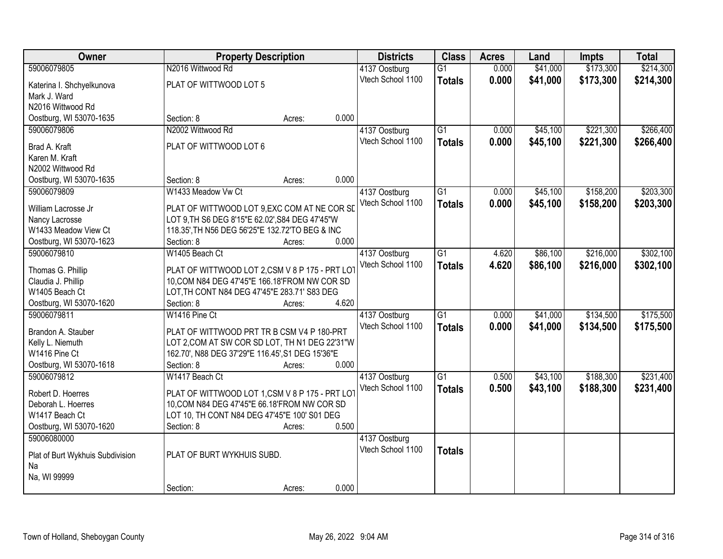| Owner                             | <b>Property Description</b>                                                                  |        |       | <b>Districts</b>  | <b>Class</b>    | <b>Acres</b> | Land     | <b>Impts</b> | <b>Total</b> |
|-----------------------------------|----------------------------------------------------------------------------------------------|--------|-------|-------------------|-----------------|--------------|----------|--------------|--------------|
| 59006079805                       | N2016 Wittwood Rd                                                                            |        |       | 4137 Oostburg     | $\overline{G1}$ | 0.000        | \$41,000 | \$173,300    | \$214,300    |
| Katerina I. Shchyelkunova         | PLAT OF WITTWOOD LOT 5                                                                       |        |       | Vtech School 1100 | <b>Totals</b>   | 0.000        | \$41,000 | \$173,300    | \$214,300    |
| Mark J. Ward                      |                                                                                              |        |       |                   |                 |              |          |              |              |
| N2016 Wittwood Rd                 |                                                                                              |        |       |                   |                 |              |          |              |              |
| Oostburg, WI 53070-1635           | Section: 8                                                                                   | Acres: | 0.000 |                   |                 |              |          |              |              |
| 59006079806                       | N2002 Wittwood Rd                                                                            |        |       | 4137 Oostburg     | $\overline{G1}$ | 0.000        | \$45,100 | \$221,300    | \$266,400    |
| Brad A. Kraft                     | PLAT OF WITTWOOD LOT 6                                                                       |        |       | Vtech School 1100 | <b>Totals</b>   | 0.000        | \$45,100 | \$221,300    | \$266,400    |
| Karen M. Kraft                    |                                                                                              |        |       |                   |                 |              |          |              |              |
| N2002 Wittwood Rd                 |                                                                                              |        |       |                   |                 |              |          |              |              |
| Oostburg, WI 53070-1635           | Section: 8                                                                                   | Acres: | 0.000 |                   |                 |              |          |              |              |
| 59006079809                       | W1433 Meadow Vw Ct                                                                           |        |       | 4137 Oostburg     | G1              | 0.000        | \$45,100 | \$158,200    | \$203,300    |
|                                   |                                                                                              |        |       | Vtech School 1100 | <b>Totals</b>   | 0.000        | \$45,100 | \$158,200    | \$203,300    |
| William Lacrosse Jr               | PLAT OF WITTWOOD LOT 9, EXC COM AT NE COR SD                                                 |        |       |                   |                 |              |          |              |              |
| Nancy Lacrosse                    | LOT 9, TH S6 DEG 8'15"E 62.02', S84 DEG 47'45"W                                              |        |       |                   |                 |              |          |              |              |
| W1433 Meadow View Ct              | 118.35', TH N56 DEG 56'25"E 132.72'TO BEG & INC                                              |        |       |                   |                 |              |          |              |              |
| Oostburg, WI 53070-1623           | Section: 8                                                                                   | Acres: | 0.000 |                   |                 |              |          |              |              |
| 59006079810                       | W1405 Beach Ct                                                                               |        |       | 4137 Oostburg     | G1              | 4.620        | \$86,100 | \$216,000    | \$302,100    |
| Thomas G. Phillip                 | PLAT OF WITTWOOD LOT 2,CSM V 8 P 175 - PRT LOT                                               |        |       | Vtech School 1100 | <b>Totals</b>   | 4.620        | \$86,100 | \$216,000    | \$302,100    |
| Claudia J. Phillip                | 10, COM N84 DEG 47'45"E 166.18' FROM NW COR SD                                               |        |       |                   |                 |              |          |              |              |
| W1405 Beach Ct                    | LOT, TH CONT N84 DEG 47'45"E 283.71' S83 DEG                                                 |        |       |                   |                 |              |          |              |              |
| Oostburg, WI 53070-1620           | Section: 8                                                                                   | Acres: | 4.620 |                   |                 |              |          |              |              |
| 59006079811                       | W1416 Pine Ct                                                                                |        |       | 4137 Oostburg     | $\overline{G1}$ | 0.000        | \$41,000 | \$134,500    | \$175,500    |
|                                   |                                                                                              |        |       | Vtech School 1100 | <b>Totals</b>   | 0.000        | \$41,000 | \$134,500    | \$175,500    |
| Brandon A. Stauber                | PLAT OF WITTWOOD PRT TR B CSM V4 P 180-PRT<br>LOT 2, COM AT SW COR SD LOT, TH N1 DEG 22'31"W |        |       |                   |                 |              |          |              |              |
| Kelly L. Niemuth<br>W1416 Pine Ct | 162.70', N88 DEG 37'29"E 116.45', S1 DEG 15'36"E                                             |        |       |                   |                 |              |          |              |              |
| Oostburg, WI 53070-1618           | Section: 8                                                                                   | Acres: | 0.000 |                   |                 |              |          |              |              |
| 59006079812                       | W1417 Beach Ct                                                                               |        |       | 4137 Oostburg     | $\overline{G1}$ | 0.500        | \$43,100 | \$188,300    | \$231,400    |
|                                   |                                                                                              |        |       | Vtech School 1100 | <b>Totals</b>   | 0.500        | \$43,100 | \$188,300    | \$231,400    |
| Robert D. Hoerres                 | PLAT OF WITTWOOD LOT 1,CSM V 8 P 175 - PRT LOT                                               |        |       |                   |                 |              |          |              |              |
| Deborah L. Hoerres                | 10, COM N84 DEG 47'45"E 66.18' FROM NW COR SD                                                |        |       |                   |                 |              |          |              |              |
| W1417 Beach Ct                    | LOT 10, TH CONT N84 DEG 47'45"E 100' S01 DEG                                                 |        |       |                   |                 |              |          |              |              |
| Oostburg, WI 53070-1620           | Section: 8                                                                                   | Acres: | 0.500 |                   |                 |              |          |              |              |
| 59006080000                       |                                                                                              |        |       | 4137 Oostburg     |                 |              |          |              |              |
| Plat of Burt Wykhuis Subdivision  | PLAT OF BURT WYKHUIS SUBD.                                                                   |        |       | Vtech School 1100 | <b>Totals</b>   |              |          |              |              |
| Na                                |                                                                                              |        |       |                   |                 |              |          |              |              |
| Na, WI 99999                      |                                                                                              |        |       |                   |                 |              |          |              |              |
|                                   | Section:                                                                                     | Acres: | 0.000 |                   |                 |              |          |              |              |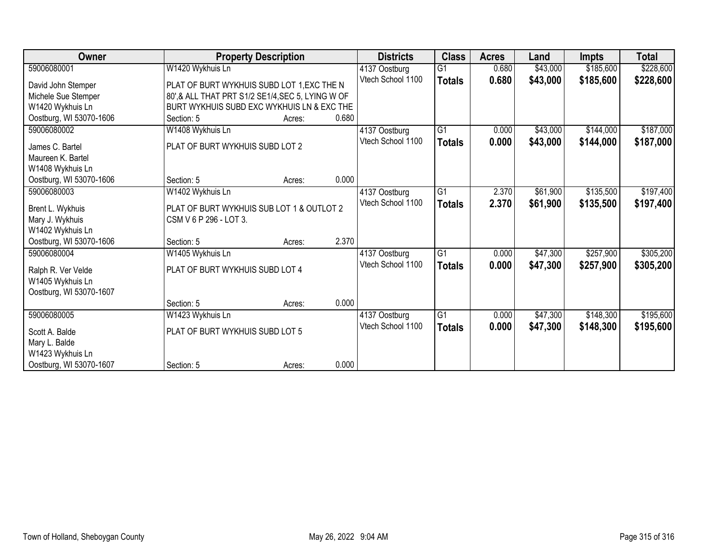| Owner                   |                                                  | <b>Property Description</b>               |       | <b>Districts</b>                   | <b>Class</b>    | <b>Acres</b> | Land     | <b>Impts</b> | <b>Total</b> |
|-------------------------|--------------------------------------------------|-------------------------------------------|-------|------------------------------------|-----------------|--------------|----------|--------------|--------------|
| 59006080001             | W1420 Wykhuis Ln                                 |                                           |       | 4137 Oostburg                      | $\overline{G1}$ | 0.680        | \$43,000 | \$185,600    | \$228,600    |
| David John Stemper      | PLAT OF BURT WYKHUIS SUBD LOT 1, EXC THE N       |                                           |       | Vtech School 1100                  | <b>Totals</b>   | 0.680        | \$43,000 | \$185,600    | \$228,600    |
| Michele Sue Stemper     | 80',& ALL THAT PRT S1/2 SE1/4, SEC 5, LYING W OF |                                           |       |                                    |                 |              |          |              |              |
| W1420 Wykhuis Ln        | BURT WYKHUIS SUBD EXC WYKHUIS LN & EXC THE       |                                           |       |                                    |                 |              |          |              |              |
| Oostburg, WI 53070-1606 | Section: 5                                       | Acres:                                    | 0.680 |                                    |                 |              |          |              |              |
| 59006080002             | W1408 Wykhuis Ln                                 |                                           |       | 4137 Oostburg                      | $\overline{G1}$ | 0.000        | \$43,000 | \$144,000    | \$187,000    |
|                         |                                                  |                                           |       | Vtech School 1100                  | <b>Totals</b>   | 0.000        | \$43,000 | \$144,000    | \$187,000    |
| James C. Bartel         | PLAT OF BURT WYKHUIS SUBD LOT 2                  |                                           |       |                                    |                 |              |          |              |              |
| Maureen K. Bartel       |                                                  |                                           |       |                                    |                 |              |          |              |              |
| W1408 Wykhuis Ln        |                                                  |                                           |       |                                    |                 |              |          |              |              |
| Oostburg, WI 53070-1606 | Section: 5                                       | Acres:                                    | 0.000 |                                    |                 |              |          |              |              |
| 59006080003             | W1402 Wykhuis Ln                                 |                                           |       | 4137 Oostburg<br>Vtech School 1100 | $\overline{G1}$ | 2.370        | \$61,900 | \$135,500    | \$197,400    |
| Brent L. Wykhuis        |                                                  | PLAT OF BURT WYKHUIS SUB LOT 1 & OUTLOT 2 |       |                                    | <b>Totals</b>   | 2.370        | \$61,900 | \$135,500    | \$197,400    |
| Mary J. Wykhuis         |                                                  | CSM V 6 P 296 - LOT 3.                    |       |                                    |                 |              |          |              |              |
| W1402 Wykhuis Ln        |                                                  |                                           |       |                                    |                 |              |          |              |              |
| Oostburg, WI 53070-1606 | Section: 5                                       | Acres:                                    | 2.370 |                                    |                 |              |          |              |              |
| 59006080004             | W1405 Wykhuis Ln                                 |                                           |       | 4137 Oostburg                      | G1              | 0.000        | \$47,300 | \$257,900    | \$305,200    |
|                         |                                                  |                                           |       | Vtech School 1100                  | <b>Totals</b>   | 0.000        | \$47,300 | \$257,900    | \$305,200    |
| Ralph R. Ver Velde      | PLAT OF BURT WYKHUIS SUBD LOT 4                  |                                           |       |                                    |                 |              |          |              |              |
| W1405 Wykhuis Ln        |                                                  |                                           |       |                                    |                 |              |          |              |              |
| Oostburg, WI 53070-1607 |                                                  |                                           |       |                                    |                 |              |          |              |              |
|                         | Section: 5                                       | Acres:                                    | 0.000 |                                    |                 |              |          |              |              |
| 59006080005             | W1423 Wykhuis Ln                                 |                                           |       | 4137 Oostburg<br>Vtech School 1100 | $\overline{G1}$ | 0.000        | \$47,300 | \$148,300    | \$195,600    |
| Scott A. Balde          |                                                  | PLAT OF BURT WYKHUIS SUBD LOT 5           |       |                                    | <b>Totals</b>   | 0.000        | \$47,300 | \$148,300    | \$195,600    |
| Mary L. Balde           |                                                  |                                           |       |                                    |                 |              |          |              |              |
| W1423 Wykhuis Ln        |                                                  |                                           |       |                                    |                 |              |          |              |              |
| Oostburg, WI 53070-1607 | Section: 5                                       | Acres:                                    | 0.000 |                                    |                 |              |          |              |              |